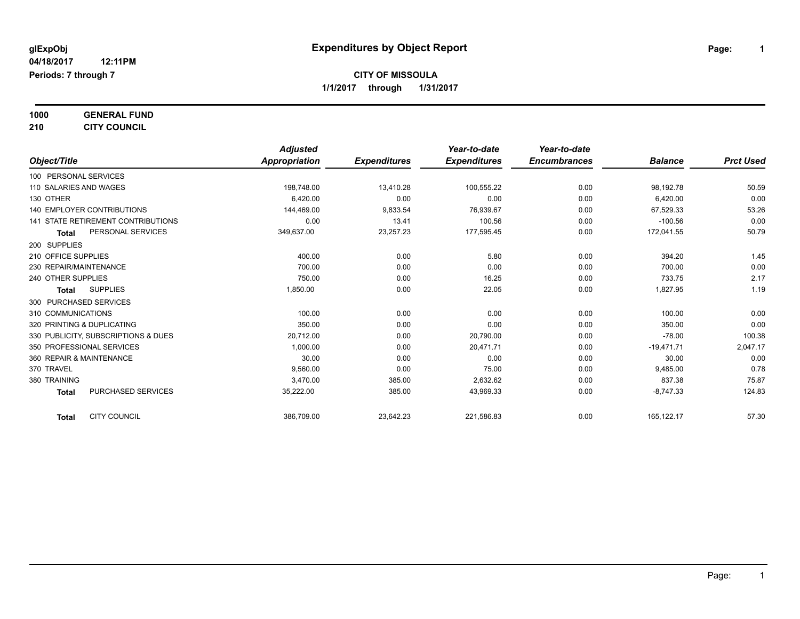**1000 GENERAL FUND**

**210 CITY COUNCIL**

|                                     | <b>Adjusted</b> |                     | Year-to-date        | Year-to-date        |                |                  |
|-------------------------------------|-----------------|---------------------|---------------------|---------------------|----------------|------------------|
| Object/Title                        | Appropriation   | <b>Expenditures</b> | <b>Expenditures</b> | <b>Encumbrances</b> | <b>Balance</b> | <b>Prct Used</b> |
| 100 PERSONAL SERVICES               |                 |                     |                     |                     |                |                  |
| 110 SALARIES AND WAGES              | 198,748.00      | 13,410.28           | 100,555.22          | 0.00                | 98,192.78      | 50.59            |
| 130 OTHER                           | 6.420.00        | 0.00                | 0.00                | 0.00                | 6,420.00       | 0.00             |
| 140 EMPLOYER CONTRIBUTIONS          | 144,469.00      | 9,833.54            | 76,939.67           | 0.00                | 67,529.33      | 53.26            |
| 141 STATE RETIREMENT CONTRIBUTIONS  | 0.00            | 13.41               | 100.56              | 0.00                | $-100.56$      | 0.00             |
| PERSONAL SERVICES<br><b>Total</b>   | 349,637.00      | 23,257.23           | 177,595.45          | 0.00                | 172,041.55     | 50.79            |
| 200 SUPPLIES                        |                 |                     |                     |                     |                |                  |
| 210 OFFICE SUPPLIES                 | 400.00          | 0.00                | 5.80                | 0.00                | 394.20         | 1.45             |
| 230 REPAIR/MAINTENANCE              | 700.00          | 0.00                | 0.00                | 0.00                | 700.00         | 0.00             |
| 240 OTHER SUPPLIES                  | 750.00          | 0.00                | 16.25               | 0.00                | 733.75         | 2.17             |
| <b>SUPPLIES</b><br><b>Total</b>     | 1,850.00        | 0.00                | 22.05               | 0.00                | 1,827.95       | 1.19             |
| 300 PURCHASED SERVICES              |                 |                     |                     |                     |                |                  |
| 310 COMMUNICATIONS                  | 100.00          | 0.00                | 0.00                | 0.00                | 100.00         | 0.00             |
| 320 PRINTING & DUPLICATING          | 350.00          | 0.00                | 0.00                | 0.00                | 350.00         | 0.00             |
| 330 PUBLICITY, SUBSCRIPTIONS & DUES | 20,712.00       | 0.00                | 20,790.00           | 0.00                | $-78.00$       | 100.38           |
| 350 PROFESSIONAL SERVICES           | 1.000.00        | 0.00                | 20,471.71           | 0.00                | $-19,471.71$   | 2,047.17         |
| 360 REPAIR & MAINTENANCE            | 30.00           | 0.00                | 0.00                | 0.00                | 30.00          | 0.00             |
| 370 TRAVEL                          | 9.560.00        | 0.00                | 75.00               | 0.00                | 9,485.00       | 0.78             |
| 380 TRAINING                        | 3,470.00        | 385.00              | 2,632.62            | 0.00                | 837.38         | 75.87            |
| PURCHASED SERVICES<br><b>Total</b>  | 35,222.00       | 385.00              | 43,969.33           | 0.00                | $-8,747.33$    | 124.83           |
| <b>CITY COUNCIL</b><br><b>Total</b> | 386,709.00      | 23,642.23           | 221,586.83          | 0.00                | 165,122.17     | 57.30            |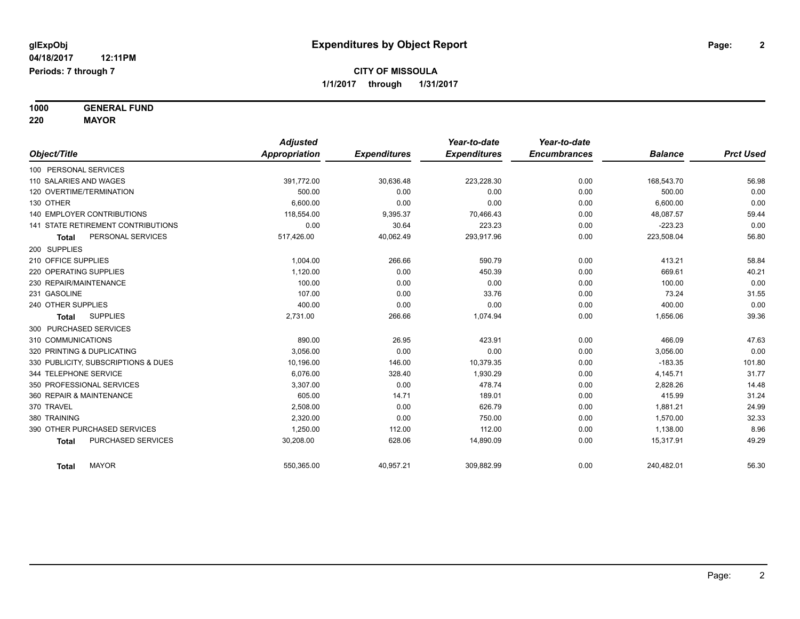**1000 GENERAL FUND**

**220 MAYOR**

|                                     | <b>Adjusted</b> |                     | Year-to-date        | Year-to-date        |                |                  |
|-------------------------------------|-----------------|---------------------|---------------------|---------------------|----------------|------------------|
| Object/Title                        | Appropriation   | <b>Expenditures</b> | <b>Expenditures</b> | <b>Encumbrances</b> | <b>Balance</b> | <b>Prct Used</b> |
| 100 PERSONAL SERVICES               |                 |                     |                     |                     |                |                  |
| 110 SALARIES AND WAGES              | 391,772.00      | 30,636.48           | 223,228.30          | 0.00                | 168,543.70     | 56.98            |
| 120 OVERTIME/TERMINATION            | 500.00          | 0.00                | 0.00                | 0.00                | 500.00         | 0.00             |
| 130 OTHER                           | 6.600.00        | 0.00                | 0.00                | 0.00                | 6,600.00       | 0.00             |
| <b>140 EMPLOYER CONTRIBUTIONS</b>   | 118,554.00      | 9,395.37            | 70.466.43           | 0.00                | 48,087.57      | 59.44            |
| 141 STATE RETIREMENT CONTRIBUTIONS  | 0.00            | 30.64               | 223.23              | 0.00                | $-223.23$      | 0.00             |
| PERSONAL SERVICES<br><b>Total</b>   | 517,426.00      | 40,062.49           | 293,917.96          | 0.00                | 223,508.04     | 56.80            |
| 200 SUPPLIES                        |                 |                     |                     |                     |                |                  |
| 210 OFFICE SUPPLIES                 | 1,004.00        | 266.66              | 590.79              | 0.00                | 413.21         | 58.84            |
| 220 OPERATING SUPPLIES              | 1,120.00        | 0.00                | 450.39              | 0.00                | 669.61         | 40.21            |
| 230 REPAIR/MAINTENANCE              | 100.00          | 0.00                | 0.00                | 0.00                | 100.00         | 0.00             |
| 231 GASOLINE                        | 107.00          | 0.00                | 33.76               | 0.00                | 73.24          | 31.55            |
| 240 OTHER SUPPLIES                  | 400.00          | 0.00                | 0.00                | 0.00                | 400.00         | 0.00             |
| <b>SUPPLIES</b><br><b>Total</b>     | 2,731.00        | 266.66              | 1,074.94            | 0.00                | 1,656.06       | 39.36            |
| 300 PURCHASED SERVICES              |                 |                     |                     |                     |                |                  |
| 310 COMMUNICATIONS                  | 890.00          | 26.95               | 423.91              | 0.00                | 466.09         | 47.63            |
| 320 PRINTING & DUPLICATING          | 3,056.00        | 0.00                | 0.00                | 0.00                | 3,056.00       | 0.00             |
| 330 PUBLICITY, SUBSCRIPTIONS & DUES | 10,196.00       | 146.00              | 10,379.35           | 0.00                | $-183.35$      | 101.80           |
| 344 TELEPHONE SERVICE               | 6.076.00        | 328.40              | 1,930.29            | 0.00                | 4,145.71       | 31.77            |
| 350 PROFESSIONAL SERVICES           | 3,307.00        | 0.00                | 478.74              | 0.00                | 2,828.26       | 14.48            |
| 360 REPAIR & MAINTENANCE            | 605.00          | 14.71               | 189.01              | 0.00                | 415.99         | 31.24            |
| 370 TRAVEL                          | 2,508.00        | 0.00                | 626.79              | 0.00                | 1,881.21       | 24.99            |
| 380 TRAINING                        | 2,320.00        | 0.00                | 750.00              | 0.00                | 1,570.00       | 32.33            |
| 390 OTHER PURCHASED SERVICES        | 1,250.00        | 112.00              | 112.00              | 0.00                | 1,138.00       | 8.96             |
| PURCHASED SERVICES<br><b>Total</b>  | 30,208.00       | 628.06              | 14,890.09           | 0.00                | 15,317.91      | 49.29            |
| <b>MAYOR</b><br><b>Total</b>        | 550,365.00      | 40,957.21           | 309,882.99          | 0.00                | 240,482.01     | 56.30            |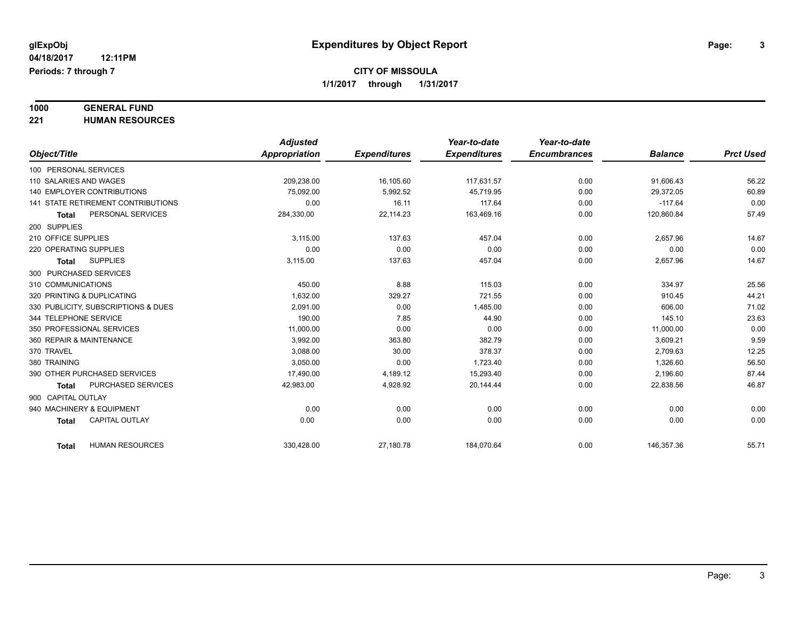# **1000 GENERAL FUND**

**221 HUMAN RESOURCES**

|                                        | <b>Adjusted</b> |                     | Year-to-date        | Year-to-date        |                |                  |
|----------------------------------------|-----------------|---------------------|---------------------|---------------------|----------------|------------------|
| Object/Title                           | Appropriation   | <b>Expenditures</b> | <b>Expenditures</b> | <b>Encumbrances</b> | <b>Balance</b> | <b>Prct Used</b> |
| 100 PERSONAL SERVICES                  |                 |                     |                     |                     |                |                  |
| 110 SALARIES AND WAGES                 | 209.238.00      | 16,105.60           | 117.631.57          | 0.00                | 91,606.43      | 56.22            |
| 140 EMPLOYER CONTRIBUTIONS             | 75.092.00       | 5,992.52            | 45.719.95           | 0.00                | 29,372.05      | 60.89            |
| 141 STATE RETIREMENT CONTRIBUTIONS     | 0.00            | 16.11               | 117.64              | 0.00                | $-117.64$      | 0.00             |
| PERSONAL SERVICES<br><b>Total</b>      | 284,330.00      | 22,114.23           | 163,469.16          | 0.00                | 120,860.84     | 57.49            |
| 200 SUPPLIES                           |                 |                     |                     |                     |                |                  |
| 210 OFFICE SUPPLIES                    | 3,115.00        | 137.63              | 457.04              | 0.00                | 2,657.96       | 14.67            |
| 220 OPERATING SUPPLIES                 | 0.00            | 0.00                | 0.00                | 0.00                | 0.00           | 0.00             |
| <b>SUPPLIES</b><br><b>Total</b>        | 3,115.00        | 137.63              | 457.04              | 0.00                | 2,657.96       | 14.67            |
| 300 PURCHASED SERVICES                 |                 |                     |                     |                     |                |                  |
| 310 COMMUNICATIONS                     | 450.00          | 8.88                | 115.03              | 0.00                | 334.97         | 25.56            |
| 320 PRINTING & DUPLICATING             | 1,632.00        | 329.27              | 721.55              | 0.00                | 910.45         | 44.21            |
| 330 PUBLICITY, SUBSCRIPTIONS & DUES    | 2.091.00        | 0.00                | 1,485.00            | 0.00                | 606.00         | 71.02            |
| 344 TELEPHONE SERVICE                  | 190.00          | 7.85                | 44.90               | 0.00                | 145.10         | 23.63            |
| 350 PROFESSIONAL SERVICES              | 11,000.00       | 0.00                | 0.00                | 0.00                | 11,000.00      | 0.00             |
| 360 REPAIR & MAINTENANCE               | 3,992.00        | 363.80              | 382.79              | 0.00                | 3,609.21       | 9.59             |
| 370 TRAVEL                             | 3,088.00        | 30.00               | 378.37              | 0.00                | 2,709.63       | 12.25            |
| 380 TRAINING                           | 3,050.00        | 0.00                | 1,723.40            | 0.00                | 1,326.60       | 56.50            |
| 390 OTHER PURCHASED SERVICES           | 17,490.00       | 4,189.12            | 15,293.40           | 0.00                | 2,196.60       | 87.44            |
| PURCHASED SERVICES<br><b>Total</b>     | 42,983.00       | 4,928.92            | 20,144.44           | 0.00                | 22,838.56      | 46.87            |
| 900 CAPITAL OUTLAY                     |                 |                     |                     |                     |                |                  |
| 940 MACHINERY & EQUIPMENT              | 0.00            | 0.00                | 0.00                | 0.00                | 0.00           | 0.00             |
| <b>CAPITAL OUTLAY</b><br><b>Total</b>  | 0.00            | 0.00                | 0.00                | 0.00                | 0.00           | 0.00             |
|                                        |                 |                     |                     |                     |                |                  |
| <b>HUMAN RESOURCES</b><br><b>Total</b> | 330,428.00      | 27,180.78           | 184,070.64          | 0.00                | 146,357.36     | 55.71            |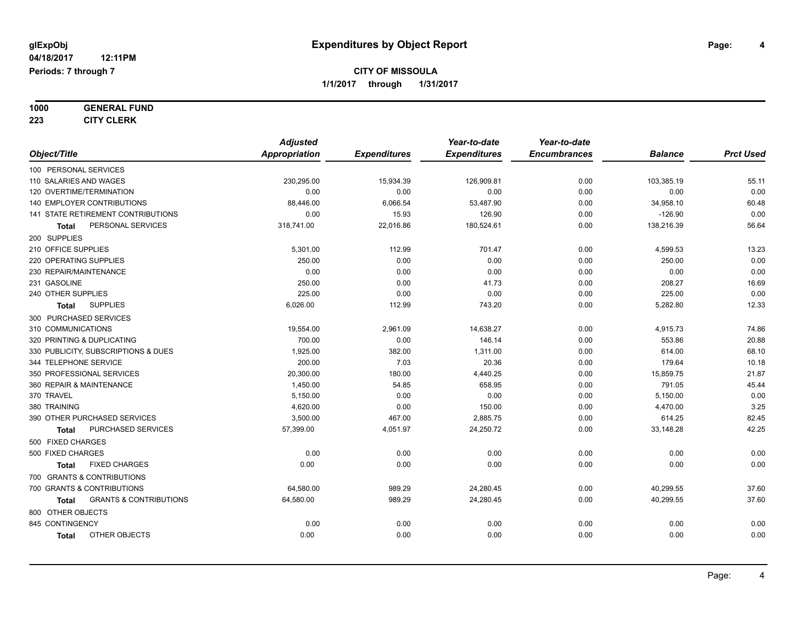**1000 GENERAL FUND**

**223 CITY CLERK**

|                                                   | <b>Adjusted</b>      |                     | Year-to-date        | Year-to-date        |                |                  |
|---------------------------------------------------|----------------------|---------------------|---------------------|---------------------|----------------|------------------|
| Object/Title                                      | <b>Appropriation</b> | <b>Expenditures</b> | <b>Expenditures</b> | <b>Encumbrances</b> | <b>Balance</b> | <b>Prct Used</b> |
| 100 PERSONAL SERVICES                             |                      |                     |                     |                     |                |                  |
| 110 SALARIES AND WAGES                            | 230,295.00           | 15,934.39           | 126,909.81          | 0.00                | 103,385.19     | 55.11            |
| 120 OVERTIME/TERMINATION                          | 0.00                 | 0.00                | 0.00                | 0.00                | 0.00           | 0.00             |
| 140 EMPLOYER CONTRIBUTIONS                        | 88,446.00            | 6,066.54            | 53,487.90           | 0.00                | 34,958.10      | 60.48            |
| 141 STATE RETIREMENT CONTRIBUTIONS                | 0.00                 | 15.93               | 126.90              | 0.00                | $-126.90$      | 0.00             |
| PERSONAL SERVICES<br>Total                        | 318,741.00           | 22,016.86           | 180,524.61          | 0.00                | 138,216.39     | 56.64            |
| 200 SUPPLIES                                      |                      |                     |                     |                     |                |                  |
| 210 OFFICE SUPPLIES                               | 5,301.00             | 112.99              | 701.47              | 0.00                | 4,599.53       | 13.23            |
| 220 OPERATING SUPPLIES                            | 250.00               | 0.00                | 0.00                | 0.00                | 250.00         | 0.00             |
| 230 REPAIR/MAINTENANCE                            | 0.00                 | 0.00                | 0.00                | 0.00                | 0.00           | 0.00             |
| 231 GASOLINE                                      | 250.00               | 0.00                | 41.73               | 0.00                | 208.27         | 16.69            |
| 240 OTHER SUPPLIES                                | 225.00               | 0.00                | 0.00                | 0.00                | 225.00         | 0.00             |
| <b>SUPPLIES</b><br>Total                          | 6,026.00             | 112.99              | 743.20              | 0.00                | 5,282.80       | 12.33            |
| 300 PURCHASED SERVICES                            |                      |                     |                     |                     |                |                  |
| 310 COMMUNICATIONS                                | 19,554.00            | 2,961.09            | 14,638.27           | 0.00                | 4,915.73       | 74.86            |
| 320 PRINTING & DUPLICATING                        | 700.00               | 0.00                | 146.14              | 0.00                | 553.86         | 20.88            |
| 330 PUBLICITY, SUBSCRIPTIONS & DUES               | 1,925.00             | 382.00              | 1,311.00            | 0.00                | 614.00         | 68.10            |
| 344 TELEPHONE SERVICE                             | 200.00               | 7.03                | 20.36               | 0.00                | 179.64         | 10.18            |
| 350 PROFESSIONAL SERVICES                         | 20,300.00            | 180.00              | 4,440.25            | 0.00                | 15,859.75      | 21.87            |
| 360 REPAIR & MAINTENANCE                          | 1,450.00             | 54.85               | 658.95              | 0.00                | 791.05         | 45.44            |
| 370 TRAVEL                                        | 5,150.00             | 0.00                | 0.00                | 0.00                | 5,150.00       | 0.00             |
| 380 TRAINING                                      | 4,620.00             | 0.00                | 150.00              | 0.00                | 4,470.00       | 3.25             |
| 390 OTHER PURCHASED SERVICES                      | 3,500.00             | 467.00              | 2,885.75            | 0.00                | 614.25         | 82.45            |
| PURCHASED SERVICES<br><b>Total</b>                | 57,399.00            | 4,051.97            | 24,250.72           | 0.00                | 33,148.28      | 42.25            |
| 500 FIXED CHARGES                                 |                      |                     |                     |                     |                |                  |
| 500 FIXED CHARGES                                 | 0.00                 | 0.00                | 0.00                | 0.00                | 0.00           | 0.00             |
| <b>FIXED CHARGES</b><br><b>Total</b>              | 0.00                 | 0.00                | 0.00                | 0.00                | 0.00           | 0.00             |
| 700 GRANTS & CONTRIBUTIONS                        |                      |                     |                     |                     |                |                  |
| 700 GRANTS & CONTRIBUTIONS                        | 64,580.00            | 989.29              | 24,280.45           | 0.00                | 40,299.55      | 37.60            |
| <b>GRANTS &amp; CONTRIBUTIONS</b><br><b>Total</b> | 64,580.00            | 989.29              | 24,280.45           | 0.00                | 40,299.55      | 37.60            |
| 800 OTHER OBJECTS                                 |                      |                     |                     |                     |                |                  |
| 845 CONTINGENCY                                   | 0.00                 | 0.00                | 0.00                | 0.00                | 0.00           | 0.00             |
| OTHER OBJECTS<br><b>Total</b>                     | 0.00                 | 0.00                | 0.00                | 0.00                | 0.00           | 0.00             |
|                                                   |                      |                     |                     |                     |                |                  |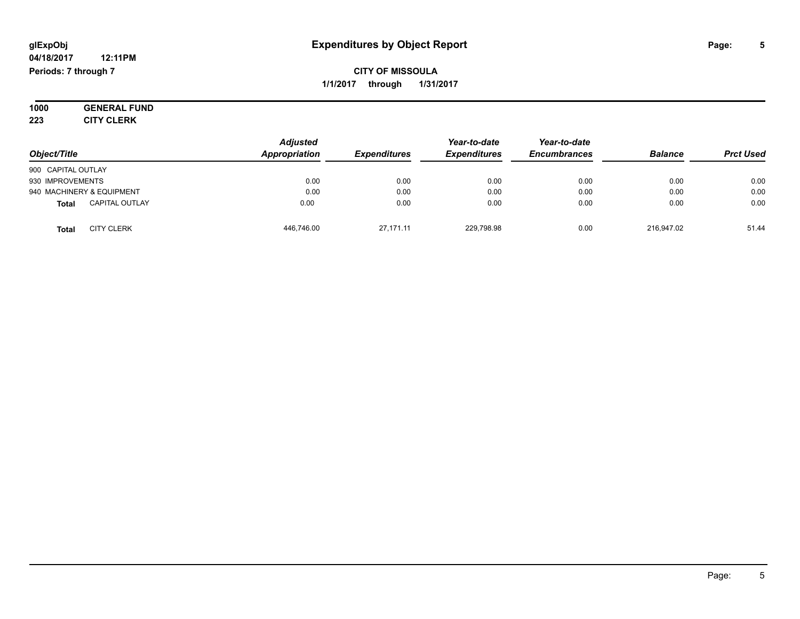#### **04/18/2017 12:11PM Periods: 7 through 7**

### **CITY OF MISSOULA 1/1/2017 through 1/31/2017**

**1000 GENERAL FUND 223 CITY CLERK**

| Object/Title                          | <b>Adjusted</b><br>Appropriation | <b>Expenditures</b> | Year-to-date<br><b>Expenditures</b> | Year-to-date<br><b>Encumbrances</b> | <b>Balance</b> | <b>Prct Used</b> |
|---------------------------------------|----------------------------------|---------------------|-------------------------------------|-------------------------------------|----------------|------------------|
| 900 CAPITAL OUTLAY                    |                                  |                     |                                     |                                     |                |                  |
| 930 IMPROVEMENTS                      | 0.00                             | 0.00                | 0.00                                | 0.00                                | 0.00           | 0.00             |
| 940 MACHINERY & EQUIPMENT             | 0.00                             | 0.00                | 0.00                                | 0.00                                | 0.00           | 0.00             |
| <b>CAPITAL OUTLAY</b><br><b>Total</b> | 0.00                             | 0.00                | 0.00                                | 0.00                                | 0.00           | 0.00             |
| <b>CITY CLERK</b><br>Total            | 446.746.00                       | 27.171.11           | 229.798.98                          | 0.00                                | 216.947.02     | 51.44            |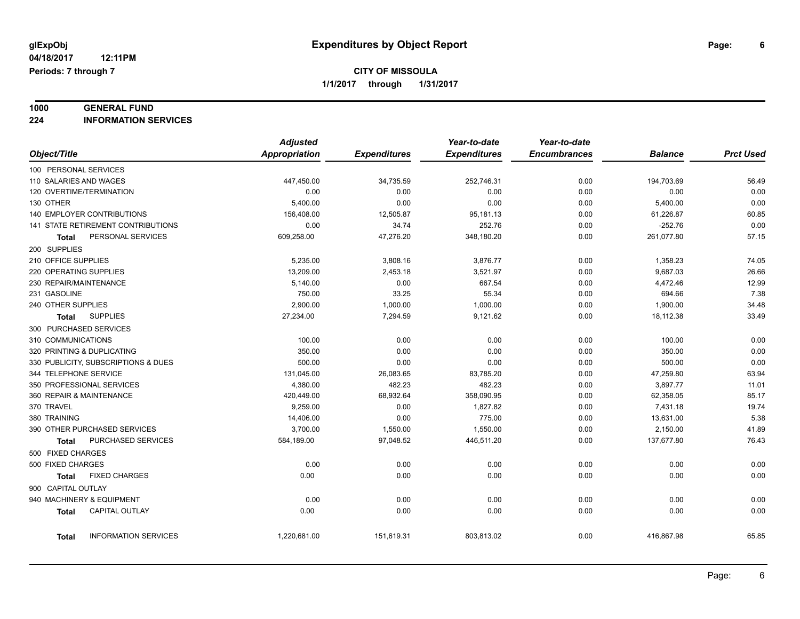# **1000 GENERAL FUND**

**224 INFORMATION SERVICES**

|                                             | <b>Adjusted</b>      |                     | Year-to-date        | Year-to-date        |                |                  |
|---------------------------------------------|----------------------|---------------------|---------------------|---------------------|----------------|------------------|
| Object/Title                                | <b>Appropriation</b> | <b>Expenditures</b> | <b>Expenditures</b> | <b>Encumbrances</b> | <b>Balance</b> | <b>Prct Used</b> |
| 100 PERSONAL SERVICES                       |                      |                     |                     |                     |                |                  |
| 110 SALARIES AND WAGES                      | 447,450.00           | 34,735.59           | 252,746.31          | 0.00                | 194,703.69     | 56.49            |
| 120 OVERTIME/TERMINATION                    | 0.00                 | 0.00                | 0.00                | 0.00                | 0.00           | 0.00             |
| 130 OTHER                                   | 5,400.00             | 0.00                | 0.00                | 0.00                | 5,400.00       | 0.00             |
| <b>140 EMPLOYER CONTRIBUTIONS</b>           | 156,408.00           | 12,505.87           | 95,181.13           | 0.00                | 61,226.87      | 60.85            |
| 141 STATE RETIREMENT CONTRIBUTIONS          | 0.00                 | 34.74               | 252.76              | 0.00                | $-252.76$      | 0.00             |
| PERSONAL SERVICES<br><b>Total</b>           | 609,258.00           | 47,276.20           | 348,180.20          | 0.00                | 261,077.80     | 57.15            |
| 200 SUPPLIES                                |                      |                     |                     |                     |                |                  |
| 210 OFFICE SUPPLIES                         | 5,235.00             | 3,808.16            | 3,876.77            | 0.00                | 1,358.23       | 74.05            |
| 220 OPERATING SUPPLIES                      | 13,209.00            | 2,453.18            | 3,521.97            | 0.00                | 9,687.03       | 26.66            |
| 230 REPAIR/MAINTENANCE                      | 5,140.00             | 0.00                | 667.54              | 0.00                | 4,472.46       | 12.99            |
| 231 GASOLINE                                | 750.00               | 33.25               | 55.34               | 0.00                | 694.66         | 7.38             |
| 240 OTHER SUPPLIES                          | 2,900.00             | 1,000.00            | 1,000.00            | 0.00                | 1,900.00       | 34.48            |
| <b>SUPPLIES</b><br>Total                    | 27,234.00            | 7,294.59            | 9,121.62            | 0.00                | 18,112.38      | 33.49            |
| 300 PURCHASED SERVICES                      |                      |                     |                     |                     |                |                  |
| 310 COMMUNICATIONS                          | 100.00               | 0.00                | 0.00                | 0.00                | 100.00         | 0.00             |
| 320 PRINTING & DUPLICATING                  | 350.00               | 0.00                | 0.00                | 0.00                | 350.00         | 0.00             |
| 330 PUBLICITY, SUBSCRIPTIONS & DUES         | 500.00               | 0.00                | 0.00                | 0.00                | 500.00         | 0.00             |
| 344 TELEPHONE SERVICE                       | 131,045.00           | 26,083.65           | 83,785.20           | 0.00                | 47,259.80      | 63.94            |
| 350 PROFESSIONAL SERVICES                   | 4,380.00             | 482.23              | 482.23              | 0.00                | 3,897.77       | 11.01            |
| 360 REPAIR & MAINTENANCE                    | 420,449.00           | 68,932.64           | 358,090.95          | 0.00                | 62,358.05      | 85.17            |
| 370 TRAVEL                                  | 9,259.00             | 0.00                | 1,827.82            | 0.00                | 7,431.18       | 19.74            |
| 380 TRAINING                                | 14,406.00            | 0.00                | 775.00              | 0.00                | 13,631.00      | 5.38             |
| 390 OTHER PURCHASED SERVICES                | 3,700.00             | 1,550.00            | 1,550.00            | 0.00                | 2,150.00       | 41.89            |
| PURCHASED SERVICES<br><b>Total</b>          | 584,189.00           | 97,048.52           | 446,511.20          | 0.00                | 137,677.80     | 76.43            |
| 500 FIXED CHARGES                           |                      |                     |                     |                     |                |                  |
| 500 FIXED CHARGES                           | 0.00                 | 0.00                | 0.00                | 0.00                | 0.00           | 0.00             |
| <b>FIXED CHARGES</b><br>Total               | 0.00                 | 0.00                | 0.00                | 0.00                | 0.00           | 0.00             |
| 900 CAPITAL OUTLAY                          |                      |                     |                     |                     |                |                  |
| 940 MACHINERY & EQUIPMENT                   | 0.00                 | 0.00                | 0.00                | 0.00                | 0.00           | 0.00             |
| CAPITAL OUTLAY<br><b>Total</b>              | 0.00                 | 0.00                | 0.00                | 0.00                | 0.00           | 0.00             |
|                                             |                      |                     |                     |                     |                |                  |
| <b>INFORMATION SERVICES</b><br><b>Total</b> | 1,220,681.00         | 151,619.31          | 803,813.02          | 0.00                | 416,867.98     | 65.85            |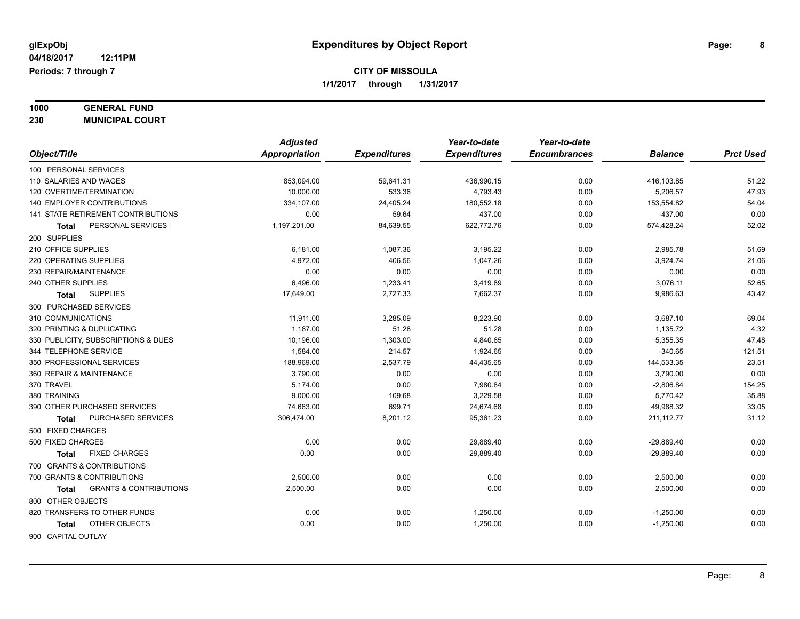**1000 GENERAL FUND**

**230 MUNICIPAL COURT** *Object/Title Adjusted Appropriation Expenditures Year-to-date Expenditures Year-to-date Encumbrances Balance Prct Used* 100 PERSONAL SERVICES 110 SALARIES AND WAGES 853,094.00 59,641.31 436,990.15 0.00 416,103.85 51.22 120 OVERTIME/TERMINATION 10,000.00 533.36 4,793.43 0.00 5,206.57 47.93 140 EMPLOYER CONTRIBUTIONS 1990 153,554.82 180,000 334,107.00 334,107.00 24,405.24 180,552.18 180,552.18 153,554.82 141 STATE RETIREMENT CONTRIBUTIONS 0.00 59.64 437.00 0.00 -437.00 0.00 **Total** PERSONAL SERVICES 1,197,201.00 84,639.55 622,772.76 0.00 574,428.24 52.02 200 SUPPLIES 210 OFFICE SUPPLIES 6,181.00 1,087.36 3,195.22 0.00 2,985.78 51.69 220 OPERATING SUPPLIES 21.06 1.047.26 1,047.26 1,047.26 0.00 3,924.74 21.06 230 REPAIR/MAINTENANCE 0.00 0.00 0.00 0.00 0.00 0.00 240 OTHER SUPPLIES 6,496.00 1,233.41 3,419.89 0.00 3,076.11 52.65 **Total** SUPPLIES 17,649.00 2,727.33 7,662.37 0.00 9,986.63 43.42 300 PURCHASED SERVICES 310 COMMUNICATIONS 11,911.00 3,285.09 8,223.90 0.00 3,687.10 69.04 320 PRINTING & DUPLICATING 1,187.00 51.28 51.28 0.00 1,135.72 4.32 330 PUBLICITY, SUBSCRIPTIONS & DUES 47.48 (10,196.00 1,303.00 4,840.65 0.00 5,355.35 47.48 344 TELEPHONE SERVICE 1,584.00 214.57 1,924.65 0.00 -340.65 121.51 350 PROFESSIONAL SERVICES 188,969.00 2,537.79 44,435.65 0.00 144,533.35 23.51 360 REPAIR & MAINTENANCE 3,790.00 0.00 0.00 0.00 3,790.00 0.00 370 TRAVEL 5,174.00 0.00 7,980.84 0.00 154.25 380 TRAINING 9,000.00 109.68 3,229.58 0.00 5,770.42 35.88 390 OTHER PURCHASED SERVICES 74,663.00 699.71 24,674.68 0.00 49,988.32 33.05 **Total** PURCHASED SERVICES 306,474.00 8,201.12 95,361.23 0.00 211,112.77 31.12 500 FIXED CHARGES 500 FIXED CHARGES 0.00 0.00 29,889.40 0.00 -29,889.40 0.00 **Total** FIXED CHARGES 0.00 0.00 29,889.40 0.00 -29,889.40 0.00 700 GRANTS & CONTRIBUTIONS 700 GRANTS & CONTRIBUTIONS 2,500.00 0.00 0.00 0.00 2,500.00 0.00 **Total** GRANTS & CONTRIBUTIONS 2,500.00 0.00 0.00 0.00 2,500.00 0.00

820 TRANSFERS TO OTHER FUNDS 0.00 1.250.00 0.00

800 OTHER OBJECTS

**Total** OTHER OBJECTS 0.00 0.00 1,250.00 0.00 -1,250.00 0.00

900 CAPITAL OUTLAY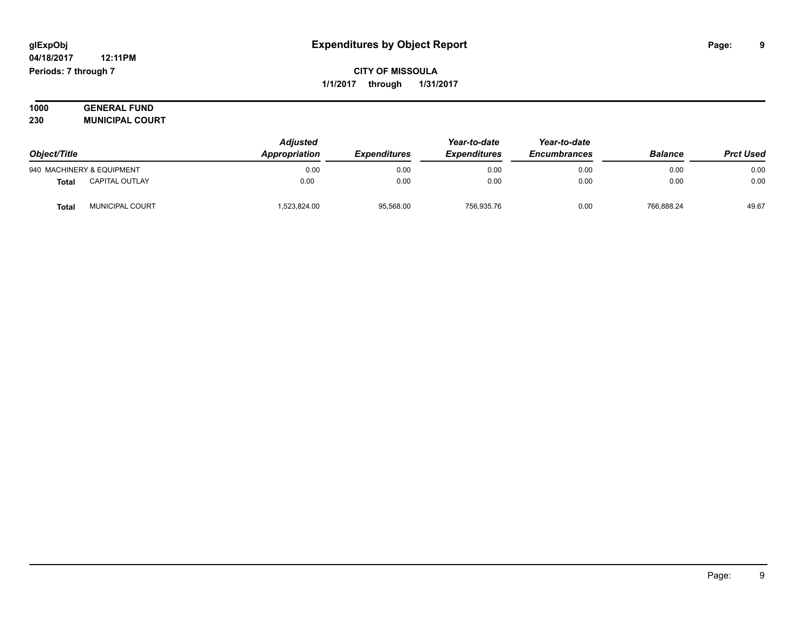#### **04/18/2017 12:11PM Periods: 7 through 7**

**CITY OF MISSOULA 1/1/2017 through 1/31/2017**

| 1000 | <b>GENERAL FUND</b>    |
|------|------------------------|
| 230  | <b>MUNICIPAL COURT</b> |

| Object/Title |                           | <b>Adjusted</b><br>Appropriation | <b>Expenditures</b> | Year-to-date<br><b>Expenditures</b> | Year-to-date<br><b>Encumbrances</b> | <b>Balance</b> | <b>Prct Used</b> |
|--------------|---------------------------|----------------------------------|---------------------|-------------------------------------|-------------------------------------|----------------|------------------|
|              | 940 MACHINERY & EQUIPMENT | 0.00                             | 0.00                | 0.00                                | 0.00                                | 0.00           | 0.00             |
| <b>Total</b> | <b>CAPITAL OUTLAY</b>     | 0.00                             | 0.00                | 0.00                                | 0.00                                | 0.00           | 0.00             |
| Total        | MUNICIPAL COURT           | ,523,824.00                      | 95,568.00           | 756,935.76                          | 0.00                                | 766,888.24     | 49.67            |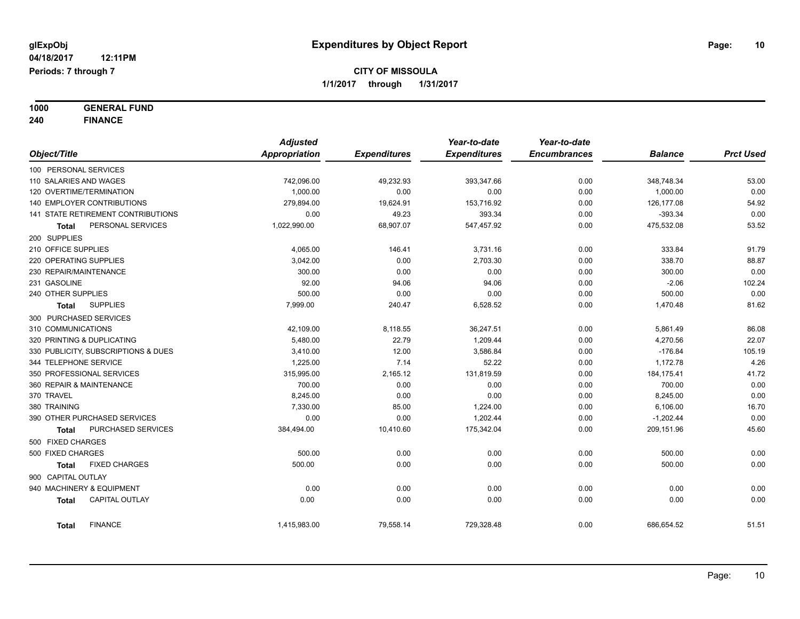**1000 GENERAL FUND 240 FINANCE**

|                                       | <b>Adjusted</b> |                     | Year-to-date        | Year-to-date        |                |                  |
|---------------------------------------|-----------------|---------------------|---------------------|---------------------|----------------|------------------|
| Object/Title                          | Appropriation   | <b>Expenditures</b> | <b>Expenditures</b> | <b>Encumbrances</b> | <b>Balance</b> | <b>Prct Used</b> |
| 100 PERSONAL SERVICES                 |                 |                     |                     |                     |                |                  |
| 110 SALARIES AND WAGES                | 742,096.00      | 49,232.93           | 393,347.66          | 0.00                | 348,748.34     | 53.00            |
| 120 OVERTIME/TERMINATION              | 1,000.00        | 0.00                | 0.00                | 0.00                | 1,000.00       | 0.00             |
| 140 EMPLOYER CONTRIBUTIONS            | 279,894.00      | 19,624.91           | 153,716.92          | 0.00                | 126,177.08     | 54.92            |
| 141 STATE RETIREMENT CONTRIBUTIONS    | 0.00            | 49.23               | 393.34              | 0.00                | $-393.34$      | 0.00             |
| PERSONAL SERVICES<br>Total            | 1,022,990.00    | 68,907.07           | 547,457.92          | 0.00                | 475,532.08     | 53.52            |
| 200 SUPPLIES                          |                 |                     |                     |                     |                |                  |
| 210 OFFICE SUPPLIES                   | 4,065.00        | 146.41              | 3,731.16            | 0.00                | 333.84         | 91.79            |
| 220 OPERATING SUPPLIES                | 3,042.00        | 0.00                | 2,703.30            | 0.00                | 338.70         | 88.87            |
| 230 REPAIR/MAINTENANCE                | 300.00          | 0.00                | 0.00                | 0.00                | 300.00         | 0.00             |
| 231 GASOLINE                          | 92.00           | 94.06               | 94.06               | 0.00                | $-2.06$        | 102.24           |
| 240 OTHER SUPPLIES                    | 500.00          | 0.00                | 0.00                | 0.00                | 500.00         | 0.00             |
| <b>SUPPLIES</b><br>Total              | 7,999.00        | 240.47              | 6,528.52            | 0.00                | 1,470.48       | 81.62            |
| 300 PURCHASED SERVICES                |                 |                     |                     |                     |                |                  |
| 310 COMMUNICATIONS                    | 42,109.00       | 8,118.55            | 36,247.51           | 0.00                | 5,861.49       | 86.08            |
| 320 PRINTING & DUPLICATING            | 5,480.00        | 22.79               | 1,209.44            | 0.00                | 4,270.56       | 22.07            |
| 330 PUBLICITY, SUBSCRIPTIONS & DUES   | 3,410.00        | 12.00               | 3,586.84            | 0.00                | $-176.84$      | 105.19           |
| 344 TELEPHONE SERVICE                 | 1,225.00        | 7.14                | 52.22               | 0.00                | 1,172.78       | 4.26             |
| 350 PROFESSIONAL SERVICES             | 315,995.00      | 2,165.12            | 131,819.59          | 0.00                | 184, 175.41    | 41.72            |
| 360 REPAIR & MAINTENANCE              | 700.00          | 0.00                | 0.00                | 0.00                | 700.00         | 0.00             |
| 370 TRAVEL                            | 8,245.00        | 0.00                | 0.00                | 0.00                | 8,245.00       | 0.00             |
| 380 TRAINING                          | 7,330.00        | 85.00               | 1,224.00            | 0.00                | 6,106.00       | 16.70            |
| 390 OTHER PURCHASED SERVICES          | 0.00            | 0.00                | 1,202.44            | 0.00                | $-1,202.44$    | 0.00             |
| PURCHASED SERVICES<br>Total           | 384,494.00      | 10,410.60           | 175,342.04          | 0.00                | 209,151.96     | 45.60            |
| 500 FIXED CHARGES                     |                 |                     |                     |                     |                |                  |
| 500 FIXED CHARGES                     | 500.00          | 0.00                | 0.00                | 0.00                | 500.00         | 0.00             |
| <b>FIXED CHARGES</b><br>Total         | 500.00          | 0.00                | 0.00                | 0.00                | 500.00         | 0.00             |
| 900 CAPITAL OUTLAY                    |                 |                     |                     |                     |                |                  |
| 940 MACHINERY & EQUIPMENT             | 0.00            | 0.00                | 0.00                | 0.00                | 0.00           | 0.00             |
| <b>CAPITAL OUTLAY</b><br><b>Total</b> | 0.00            | 0.00                | 0.00                | 0.00                | 0.00           | 0.00             |
|                                       |                 |                     |                     |                     |                |                  |
| <b>FINANCE</b><br><b>Total</b>        | 1,415,983.00    | 79,558.14           | 729,328.48          | 0.00                | 686,654.52     | 51.51            |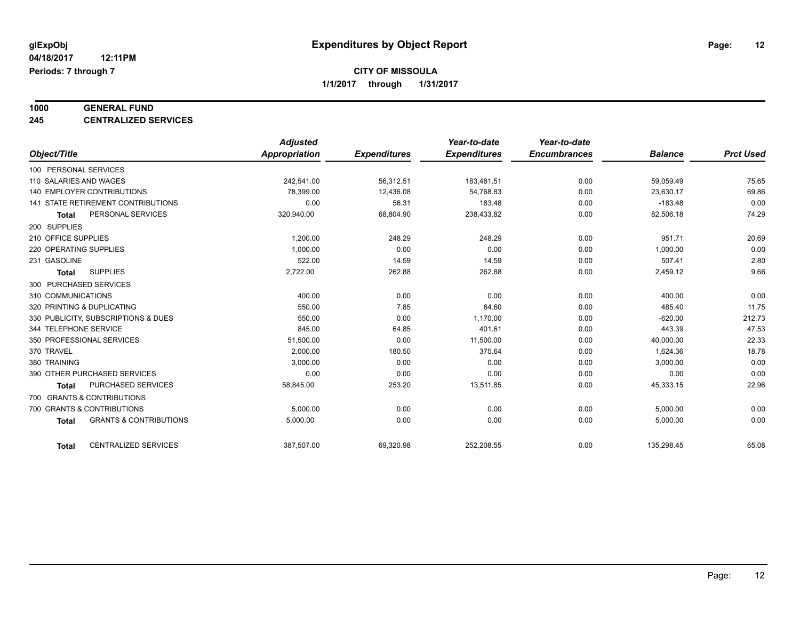# **1000 GENERAL FUND**

**245 CENTRALIZED SERVICES**

|                            |                                           | <b>Adjusted</b>      |                     | Year-to-date        | Year-to-date        |                |                  |
|----------------------------|-------------------------------------------|----------------------|---------------------|---------------------|---------------------|----------------|------------------|
| Object/Title               |                                           | <b>Appropriation</b> | <b>Expenditures</b> | <b>Expenditures</b> | <b>Encumbrances</b> | <b>Balance</b> | <b>Prct Used</b> |
| 100 PERSONAL SERVICES      |                                           |                      |                     |                     |                     |                |                  |
| 110 SALARIES AND WAGES     |                                           | 242.541.00           | 56,312.51           | 183,481.51          | 0.00                | 59,059.49      | 75.65            |
| 140 EMPLOYER CONTRIBUTIONS |                                           | 78,399.00            | 12,436.08           | 54,768.83           | 0.00                | 23,630.17      | 69.86            |
|                            | <b>141 STATE RETIREMENT CONTRIBUTIONS</b> | 0.00                 | 56.31               | 183.48              | 0.00                | $-183.48$      | 0.00             |
| <b>Total</b>               | PERSONAL SERVICES                         | 320,940.00           | 68,804.90           | 238,433.82          | 0.00                | 82,506.18      | 74.29            |
| 200 SUPPLIES               |                                           |                      |                     |                     |                     |                |                  |
| 210 OFFICE SUPPLIES        |                                           | 1,200.00             | 248.29              | 248.29              | 0.00                | 951.71         | 20.69            |
| 220 OPERATING SUPPLIES     |                                           | 1,000.00             | 0.00                | 0.00                | 0.00                | 1,000.00       | 0.00             |
| 231 GASOLINE               |                                           | 522.00               | 14.59               | 14.59               | 0.00                | 507.41         | 2.80             |
| <b>Total</b>               | <b>SUPPLIES</b>                           | 2,722.00             | 262.88              | 262.88              | 0.00                | 2,459.12       | 9.66             |
| 300 PURCHASED SERVICES     |                                           |                      |                     |                     |                     |                |                  |
| 310 COMMUNICATIONS         |                                           | 400.00               | 0.00                | 0.00                | 0.00                | 400.00         | 0.00             |
| 320 PRINTING & DUPLICATING |                                           | 550.00               | 7.85                | 64.60               | 0.00                | 485.40         | 11.75            |
|                            | 330 PUBLICITY, SUBSCRIPTIONS & DUES       | 550.00               | 0.00                | 1,170.00            | 0.00                | $-620.00$      | 212.73           |
| 344 TELEPHONE SERVICE      |                                           | 845.00               | 64.85               | 401.61              | 0.00                | 443.39         | 47.53            |
| 350 PROFESSIONAL SERVICES  |                                           | 51,500.00            | 0.00                | 11,500.00           | 0.00                | 40,000.00      | 22.33            |
| 370 TRAVEL                 |                                           | 2,000.00             | 180.50              | 375.64              | 0.00                | 1,624.36       | 18.78            |
| 380 TRAINING               |                                           | 3,000.00             | 0.00                | 0.00                | 0.00                | 3,000.00       | 0.00             |
|                            | 390 OTHER PURCHASED SERVICES              | 0.00                 | 0.00                | 0.00                | 0.00                | 0.00           | 0.00             |
| <b>Total</b>               | PURCHASED SERVICES                        | 58,845.00            | 253.20              | 13,511.85           | 0.00                | 45,333.15      | 22.96            |
| 700 GRANTS & CONTRIBUTIONS |                                           |                      |                     |                     |                     |                |                  |
| 700 GRANTS & CONTRIBUTIONS |                                           | 5,000.00             | 0.00                | 0.00                | 0.00                | 5,000.00       | 0.00             |
| <b>Total</b>               | <b>GRANTS &amp; CONTRIBUTIONS</b>         | 5,000.00             | 0.00                | 0.00                | 0.00                | 5,000.00       | 0.00             |
|                            |                                           |                      |                     |                     |                     |                |                  |
| <b>Total</b>               | <b>CENTRALIZED SERVICES</b>               | 387,507.00           | 69,320.98           | 252,208.55          | 0.00                | 135,298.45     | 65.08            |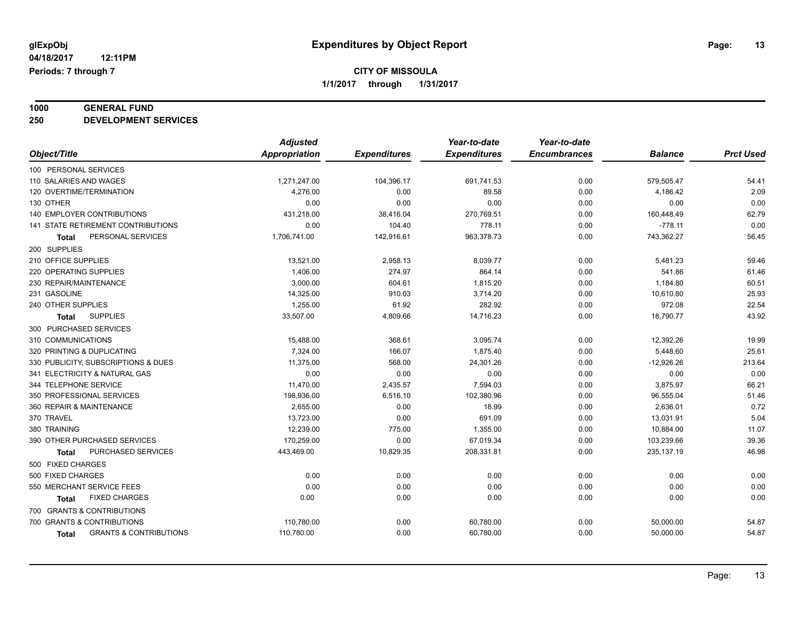# **1000 GENERAL FUND**

**250 DEVELOPMENT SERVICES**

|                                            | <b>Adjusted</b> |                     | Year-to-date        | Year-to-date        |                |                  |
|--------------------------------------------|-----------------|---------------------|---------------------|---------------------|----------------|------------------|
| Object/Title                               | Appropriation   | <b>Expenditures</b> | <b>Expenditures</b> | <b>Encumbrances</b> | <b>Balance</b> | <b>Prct Used</b> |
| 100 PERSONAL SERVICES                      |                 |                     |                     |                     |                |                  |
| 110 SALARIES AND WAGES                     | 1,271,247.00    | 104,396.17          | 691,741.53          | 0.00                | 579,505.47     | 54.41            |
| 120 OVERTIME/TERMINATION                   | 4,276.00        | 0.00                | 89.58               | 0.00                | 4,186.42       | 2.09             |
| 130 OTHER                                  | 0.00            | 0.00                | 0.00                | 0.00                | 0.00           | 0.00             |
| <b>140 EMPLOYER CONTRIBUTIONS</b>          | 431,218.00      | 38,416.04           | 270,769.51          | 0.00                | 160,448.49     | 62.79            |
| 141 STATE RETIREMENT CONTRIBUTIONS         | 0.00            | 104.40              | 778.11              | 0.00                | $-778.11$      | 0.00             |
| PERSONAL SERVICES<br>Total                 | 1,706,741.00    | 142,916.61          | 963,378.73          | 0.00                | 743,362.27     | 56.45            |
| 200 SUPPLIES                               |                 |                     |                     |                     |                |                  |
| 210 OFFICE SUPPLIES                        | 13,521.00       | 2,958.13            | 8,039.77            | 0.00                | 5,481.23       | 59.46            |
| 220 OPERATING SUPPLIES                     | 1,406.00        | 274.97              | 864.14              | 0.00                | 541.86         | 61.46            |
| 230 REPAIR/MAINTENANCE                     | 3,000.00        | 604.61              | 1,815.20            | 0.00                | 1,184.80       | 60.51            |
| 231 GASOLINE                               | 14,325.00       | 910.03              | 3,714.20            | 0.00                | 10,610.80      | 25.93            |
| 240 OTHER SUPPLIES                         | 1,255.00        | 61.92               | 282.92              | 0.00                | 972.08         | 22.54            |
| <b>SUPPLIES</b><br><b>Total</b>            | 33,507.00       | 4,809.66            | 14,716.23           | 0.00                | 18,790.77      | 43.92            |
| 300 PURCHASED SERVICES                     |                 |                     |                     |                     |                |                  |
| 310 COMMUNICATIONS                         | 15,488.00       | 368.61              | 3,095.74            | 0.00                | 12,392.26      | 19.99            |
| 320 PRINTING & DUPLICATING                 | 7,324.00        | 166.07              | 1,875.40            | 0.00                | 5,448.60       | 25.61            |
| 330 PUBLICITY, SUBSCRIPTIONS & DUES        | 11.375.00       | 568.00              | 24,301.26           | 0.00                | $-12,926.26$   | 213.64           |
| 341 ELECTRICITY & NATURAL GAS              | 0.00            | 0.00                | 0.00                | 0.00                | 0.00           | 0.00             |
| 344 TELEPHONE SERVICE                      | 11,470.00       | 2,435.57            | 7,594.03            | 0.00                | 3,875.97       | 66.21            |
| 350 PROFESSIONAL SERVICES                  | 198,936.00      | 6,516.10            | 102,380.96          | 0.00                | 96,555.04      | 51.46            |
| 360 REPAIR & MAINTENANCE                   | 2,655.00        | 0.00                | 18.99               | 0.00                | 2,636.01       | 0.72             |
| 370 TRAVEL                                 | 13,723.00       | 0.00                | 691.09              | 0.00                | 13,031.91      | 5.04             |
| 380 TRAINING                               | 12,239.00       | 775.00              | 1,355.00            | 0.00                | 10,884.00      | 11.07            |
| 390 OTHER PURCHASED SERVICES               | 170,259.00      | 0.00                | 67,019.34           | 0.00                | 103,239.66     | 39.36            |
| PURCHASED SERVICES<br><b>Total</b>         | 443,469.00      | 10,829.35           | 208,331.81          | 0.00                | 235, 137. 19   | 46.98            |
| 500 FIXED CHARGES                          |                 |                     |                     |                     |                |                  |
| 500 FIXED CHARGES                          | 0.00            | 0.00                | 0.00                | 0.00                | 0.00           | 0.00             |
| 550 MERCHANT SERVICE FEES                  | 0.00            | 0.00                | 0.00                | 0.00                | 0.00           | 0.00             |
| <b>FIXED CHARGES</b><br>Total              | 0.00            | 0.00                | 0.00                | 0.00                | 0.00           | 0.00             |
| 700 GRANTS & CONTRIBUTIONS                 |                 |                     |                     |                     |                |                  |
| 700 GRANTS & CONTRIBUTIONS                 | 110,780.00      | 0.00                | 60,780.00           | 0.00                | 50,000.00      | 54.87            |
| <b>GRANTS &amp; CONTRIBUTIONS</b><br>Total | 110,780.00      | 0.00                | 60,780.00           | 0.00                | 50,000.00      | 54.87            |
|                                            |                 |                     |                     |                     |                |                  |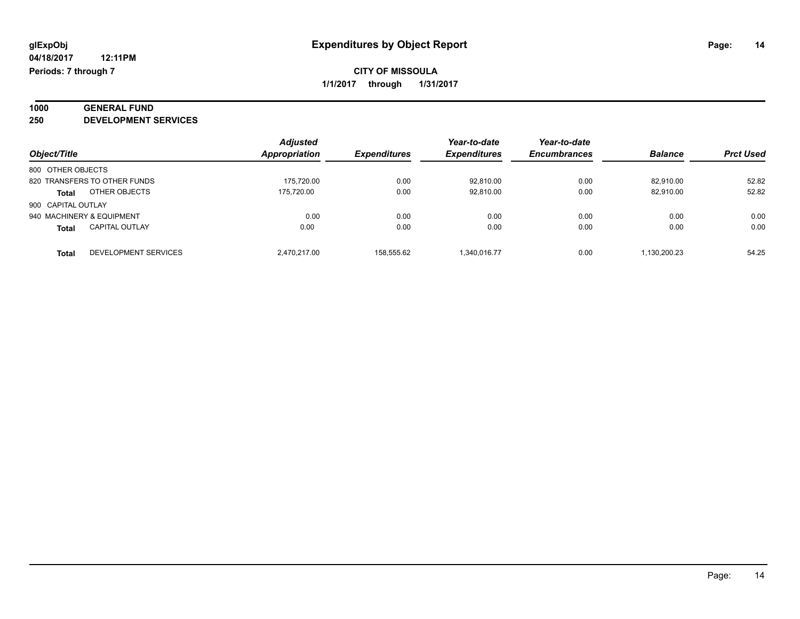# **1000 GENERAL FUND**

**250 DEVELOPMENT SERVICES**

|                                       | <b>Adjusted</b> |                     | Year-to-date        | Year-to-date        |                |                  |
|---------------------------------------|-----------------|---------------------|---------------------|---------------------|----------------|------------------|
| Object/Title                          | Appropriation   | <b>Expenditures</b> | <b>Expenditures</b> | <b>Encumbrances</b> | <b>Balance</b> | <b>Prct Used</b> |
| 800 OTHER OBJECTS                     |                 |                     |                     |                     |                |                  |
| 820 TRANSFERS TO OTHER FUNDS          | 175.720.00      | 0.00                | 92.810.00           | 0.00                | 82.910.00      | 52.82            |
| OTHER OBJECTS<br><b>Total</b>         | 175.720.00      | 0.00                | 92,810.00           | 0.00                | 82.910.00      | 52.82            |
| 900 CAPITAL OUTLAY                    |                 |                     |                     |                     |                |                  |
| 940 MACHINERY & EQUIPMENT             | 0.00            | 0.00                | 0.00                | 0.00                | 0.00           | 0.00             |
| <b>CAPITAL OUTLAY</b><br><b>Total</b> | 0.00            | 0.00                | 0.00                | 0.00                | 0.00           | 0.00             |
| <b>DEVELOPMENT SERVICES</b><br>Total  | 2.470.217.00    | 158.555.62          | 1.340.016.77        | 0.00                | 1.130.200.23   | 54.25            |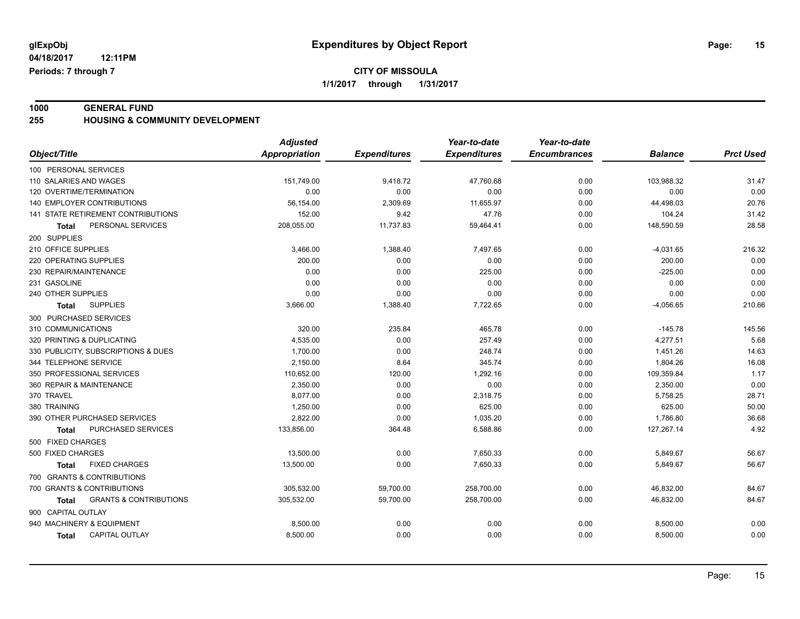**04/18/2017 12:11PM Periods: 7 through 7**

#### **CITY OF MISSOULA 1/1/2017 through 1/31/2017**

**1000 GENERAL FUND 255 HOUSING & COMMUNITY DEVELOPMENT**

|                                            | <b>Adjusted</b>      |                     | Year-to-date        | Year-to-date        |                |                  |
|--------------------------------------------|----------------------|---------------------|---------------------|---------------------|----------------|------------------|
| Object/Title                               | <b>Appropriation</b> | <b>Expenditures</b> | <b>Expenditures</b> | <b>Encumbrances</b> | <b>Balance</b> | <b>Prct Used</b> |
| 100 PERSONAL SERVICES                      |                      |                     |                     |                     |                |                  |
| 110 SALARIES AND WAGES                     | 151,749.00           | 9,418.72            | 47,760.68           | 0.00                | 103,988.32     | 31.47            |
| 120 OVERTIME/TERMINATION                   | 0.00                 | 0.00                | 0.00                | 0.00                | 0.00           | 0.00             |
| 140 EMPLOYER CONTRIBUTIONS                 | 56,154.00            | 2,309.69            | 11,655.97           | 0.00                | 44,498.03      | 20.76            |
| 141 STATE RETIREMENT CONTRIBUTIONS         | 152.00               | 9.42                | 47.76               | 0.00                | 104.24         | 31.42            |
| PERSONAL SERVICES<br><b>Total</b>          | 208,055.00           | 11,737.83           | 59,464.41           | 0.00                | 148,590.59     | 28.58            |
| 200 SUPPLIES                               |                      |                     |                     |                     |                |                  |
| 210 OFFICE SUPPLIES                        | 3,466.00             | 1,388.40            | 7,497.65            | 0.00                | $-4,031.65$    | 216.32           |
| 220 OPERATING SUPPLIES                     | 200.00               | 0.00                | 0.00                | 0.00                | 200.00         | 0.00             |
| 230 REPAIR/MAINTENANCE                     | 0.00                 | 0.00                | 225.00              | 0.00                | $-225.00$      | 0.00             |
| 231 GASOLINE                               | 0.00                 | 0.00                | 0.00                | 0.00                | 0.00           | 0.00             |
| 240 OTHER SUPPLIES                         | 0.00                 | 0.00                | 0.00                | 0.00                | 0.00           | 0.00             |
| <b>SUPPLIES</b><br>Total                   | 3,666.00             | 1,388.40            | 7,722.65            | 0.00                | $-4,056.65$    | 210.66           |
| 300 PURCHASED SERVICES                     |                      |                     |                     |                     |                |                  |
| 310 COMMUNICATIONS                         | 320.00               | 235.84              | 465.78              | 0.00                | $-145.78$      | 145.56           |
| 320 PRINTING & DUPLICATING                 | 4,535.00             | 0.00                | 257.49              | 0.00                | 4,277.51       | 5.68             |
| 330 PUBLICITY, SUBSCRIPTIONS & DUES        | 1,700.00             | 0.00                | 248.74              | 0.00                | 1,451.26       | 14.63            |
| 344 TELEPHONE SERVICE                      | 2,150.00             | 8.64                | 345.74              | 0.00                | 1,804.26       | 16.08            |
| 350 PROFESSIONAL SERVICES                  | 110,652.00           | 120.00              | 1,292.16            | 0.00                | 109,359.84     | 1.17             |
| 360 REPAIR & MAINTENANCE                   | 2.350.00             | 0.00                | 0.00                | 0.00                | 2,350.00       | 0.00             |
| 370 TRAVEL                                 | 8.077.00             | 0.00                | 2,318.75            | 0.00                | 5,758.25       | 28.71            |
| 380 TRAINING                               | 1,250.00             | 0.00                | 625.00              | 0.00                | 625.00         | 50.00            |
| 390 OTHER PURCHASED SERVICES               | 2,822.00             | 0.00                | 1,035.20            | 0.00                | 1,786.80       | 36.68            |
| PURCHASED SERVICES<br>Total                | 133,856.00           | 364.48              | 6,588.86            | 0.00                | 127,267.14     | 4.92             |
| 500 FIXED CHARGES                          |                      |                     |                     |                     |                |                  |
| 500 FIXED CHARGES                          | 13,500.00            | 0.00                | 7,650.33            | 0.00                | 5,849.67       | 56.67            |
| <b>FIXED CHARGES</b><br><b>Total</b>       | 13,500.00            | 0.00                | 7,650.33            | 0.00                | 5,849.67       | 56.67            |
| 700 GRANTS & CONTRIBUTIONS                 |                      |                     |                     |                     |                |                  |
| 700 GRANTS & CONTRIBUTIONS                 | 305,532.00           | 59,700.00           | 258,700.00          | 0.00                | 46,832.00      | 84.67            |
| <b>GRANTS &amp; CONTRIBUTIONS</b><br>Total | 305,532.00           | 59,700.00           | 258,700.00          | 0.00                | 46,832.00      | 84.67            |
| 900 CAPITAL OUTLAY                         |                      |                     |                     |                     |                |                  |
| 940 MACHINERY & EQUIPMENT                  | 8,500.00             | 0.00                | 0.00                | 0.00                | 8,500.00       | 0.00             |
| <b>CAPITAL OUTLAY</b><br><b>Total</b>      | 8,500.00             | 0.00                | 0.00                | 0.00                | 8,500.00       | 0.00             |
|                                            |                      |                     |                     |                     |                |                  |

Page: 15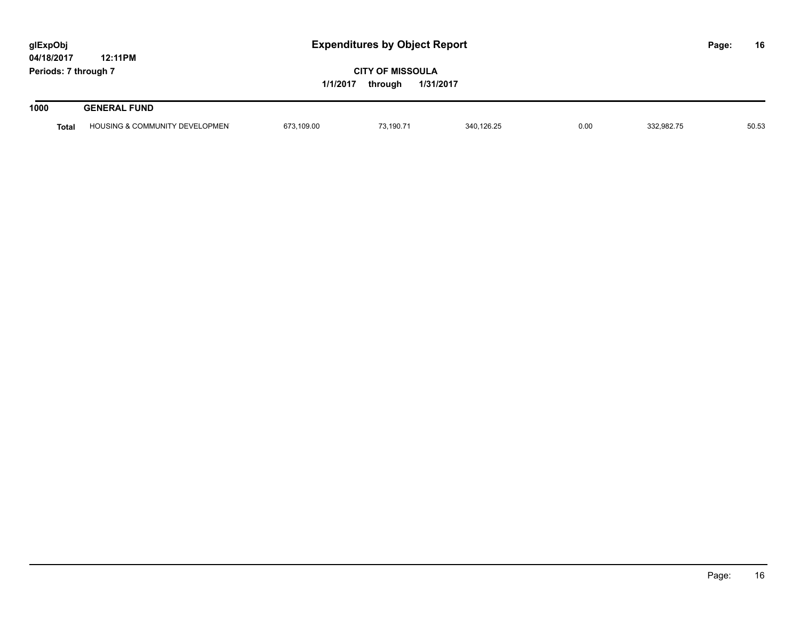| glExpObj<br>04/18/2017 | 12:11PM                                    | <b>Expenditures by Object Report</b> |                                    |            |      |            | Page: | 16    |
|------------------------|--------------------------------------------|--------------------------------------|------------------------------------|------------|------|------------|-------|-------|
| Periods: 7 through 7   |                                            | 1/1/2017                             | <b>CITY OF MISSOULA</b><br>through | 1/31/2017  |      |            |       |       |
| 1000                   | <b>GENERAL FUND</b>                        |                                      |                                    |            |      |            |       |       |
| <b>Total</b>           | <b>HOUSING &amp; COMMUNITY DEVELOPMENT</b> | 673,109.00                           | 73,190.71                          | 340,126.25 | 0.00 | 332,982.75 |       | 50.53 |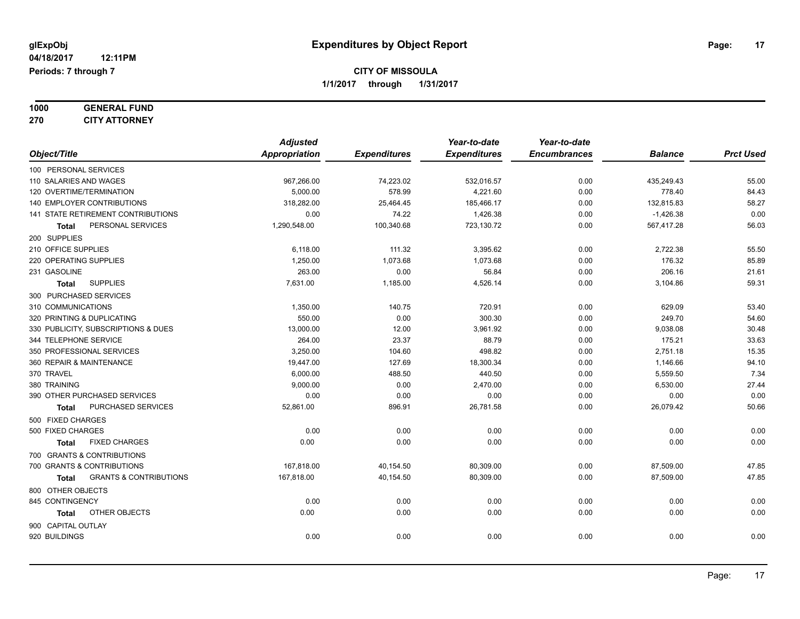#### **1000 GENERAL FUND 270 CITY ATTORNEY**

| 270<br><b>CITY ATTORNEY</b>                |                 |                     |                     |                     |                |                  |
|--------------------------------------------|-----------------|---------------------|---------------------|---------------------|----------------|------------------|
|                                            | <b>Adjusted</b> |                     | Year-to-date        | Year-to-date        |                |                  |
| Object/Title                               | Appropriation   | <b>Expenditures</b> | <b>Expenditures</b> | <b>Encumbrances</b> | <b>Balance</b> | <b>Prct Used</b> |
| 100 PERSONAL SERVICES                      |                 |                     |                     |                     |                |                  |
| 110 SALARIES AND WAGES                     | 967,266.00      | 74,223.02           | 532,016.57          | 0.00                | 435,249.43     | 55.00            |
| 120 OVERTIME/TERMINATION                   | 5,000.00        | 578.99              | 4,221.60            | 0.00                | 778.40         | 84.43            |
| 140 EMPLOYER CONTRIBUTIONS                 | 318,282.00      | 25,464.45           | 185,466.17          | 0.00                | 132,815.83     | 58.27            |
| 141 STATE RETIREMENT CONTRIBUTIONS         | 0.00            | 74.22               | 1,426.38            | 0.00                | $-1,426.38$    | 0.00             |
| PERSONAL SERVICES<br><b>Total</b>          | 1,290,548.00    | 100,340.68          | 723,130.72          | 0.00                | 567,417.28     | 56.03            |
| 200 SUPPLIES                               |                 |                     |                     |                     |                |                  |
| 210 OFFICE SUPPLIES                        | 6,118.00        | 111.32              | 3,395.62            | 0.00                | 2,722.38       | 55.50            |
| 220 OPERATING SUPPLIES                     | 1,250.00        | 1,073.68            | 1,073.68            | 0.00                | 176.32         | 85.89            |
| 231 GASOLINE                               | 263.00          | 0.00                | 56.84               | 0.00                | 206.16         | 21.61            |
| <b>SUPPLIES</b><br>Total                   | 7,631.00        | 1,185.00            | 4,526.14            | 0.00                | 3,104.86       | 59.31            |
| 300 PURCHASED SERVICES                     |                 |                     |                     |                     |                |                  |
| 310 COMMUNICATIONS                         | 1,350.00        | 140.75              | 720.91              | 0.00                | 629.09         | 53.40            |
| 320 PRINTING & DUPLICATING                 | 550.00          | 0.00                | 300.30              | 0.00                | 249.70         | 54.60            |
| 330 PUBLICITY, SUBSCRIPTIONS & DUES        | 13,000.00       | 12.00               | 3,961.92            | 0.00                | 9,038.08       | 30.48            |
| 344 TELEPHONE SERVICE                      | 264.00          | 23.37               | 88.79               | 0.00                | 175.21         | 33.63            |
| 350 PROFESSIONAL SERVICES                  | 3,250.00        | 104.60              | 498.82              | 0.00                | 2,751.18       | 15.35            |
| 360 REPAIR & MAINTENANCE                   | 19,447.00       | 127.69              | 18,300.34           | 0.00                | 1,146.66       | 94.10            |
| 370 TRAVEL                                 | 6,000.00        | 488.50              | 440.50              | 0.00                | 5,559.50       | 7.34             |
| 380 TRAINING                               | 9,000.00        | 0.00                | 2,470.00            | 0.00                | 6,530.00       | 27.44            |
| 390 OTHER PURCHASED SERVICES               | 0.00            | 0.00                | 0.00                | 0.00                | 0.00           | 0.00             |
| PURCHASED SERVICES<br>Total                | 52,861.00       | 896.91              | 26,781.58           | 0.00                | 26,079.42      | 50.66            |
| 500 FIXED CHARGES                          |                 |                     |                     |                     |                |                  |
| 500 FIXED CHARGES                          | 0.00            | 0.00                | 0.00                | 0.00                | 0.00           | 0.00             |
| <b>FIXED CHARGES</b><br>Total              | 0.00            | 0.00                | 0.00                | 0.00                | 0.00           | 0.00             |
| 700 GRANTS & CONTRIBUTIONS                 |                 |                     |                     |                     |                |                  |
| 700 GRANTS & CONTRIBUTIONS                 | 167,818.00      | 40,154.50           | 80,309.00           | 0.00                | 87,509.00      | 47.85            |
| <b>GRANTS &amp; CONTRIBUTIONS</b><br>Total | 167,818.00      | 40,154.50           | 80,309.00           | 0.00                | 87,509.00      | 47.85            |
| 800 OTHER OBJECTS                          |                 |                     |                     |                     |                |                  |
| 845 CONTINGENCY                            | 0.00            | 0.00                | 0.00                | 0.00                | 0.00           | 0.00             |
| OTHER OBJECTS<br>Total                     | 0.00            | 0.00                | 0.00                | 0.00                | 0.00           | 0.00             |
| 900 CAPITAL OUTLAY                         |                 |                     |                     |                     |                |                  |
| 920 BUILDINGS                              | 0.00            | 0.00                | 0.00                | 0.00                | 0.00           | 0.00             |
|                                            |                 |                     |                     |                     |                |                  |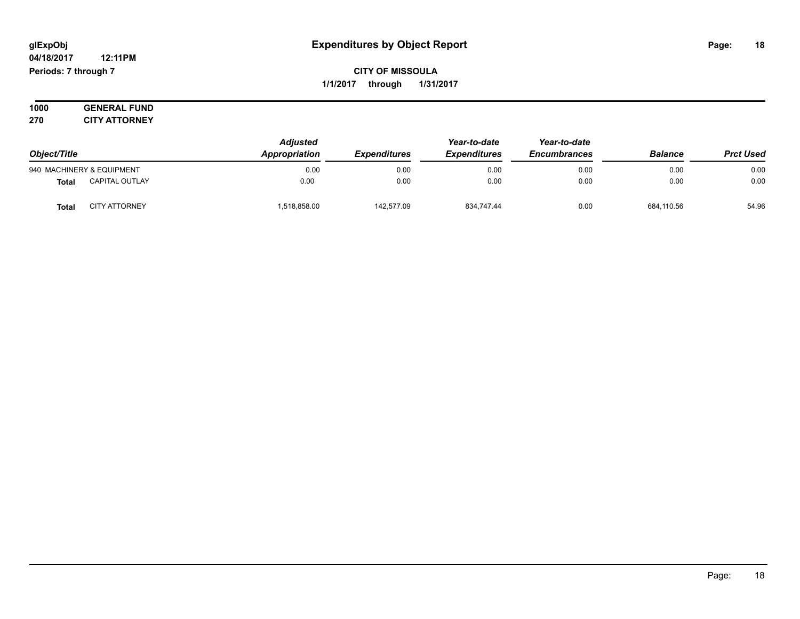#### **04/18/2017 12:11PM Periods: 7 through 7**

### **CITY OF MISSOULA 1/1/2017 through 1/31/2017**

**1000 GENERAL FUND 270 CITY ATTORNEY**

|                                       | <b>Adjusted</b> | Year-to-date        | Year-to-date        |                     |                |                  |
|---------------------------------------|-----------------|---------------------|---------------------|---------------------|----------------|------------------|
| Object/Title                          | Appropriation   | <b>Expenditures</b> | <b>Expenditures</b> | <b>Encumbrances</b> | <b>Balance</b> | <b>Prct Used</b> |
| 940 MACHINERY & EQUIPMENT             | 0.00            | 0.00                | 0.00                | 0.00                | 0.00           | 0.00             |
| <b>CAPITAL OUTLAY</b><br><b>Total</b> | 0.00            | 0.00                | 0.00                | 0.00                | 0.00           | 0.00             |
| <b>CITY ATTORNEY</b><br><b>Total</b>  | 1,518,858.00    | 142,577.09          | 834,747.44          | 0.00                | 684,110.56     | 54.96            |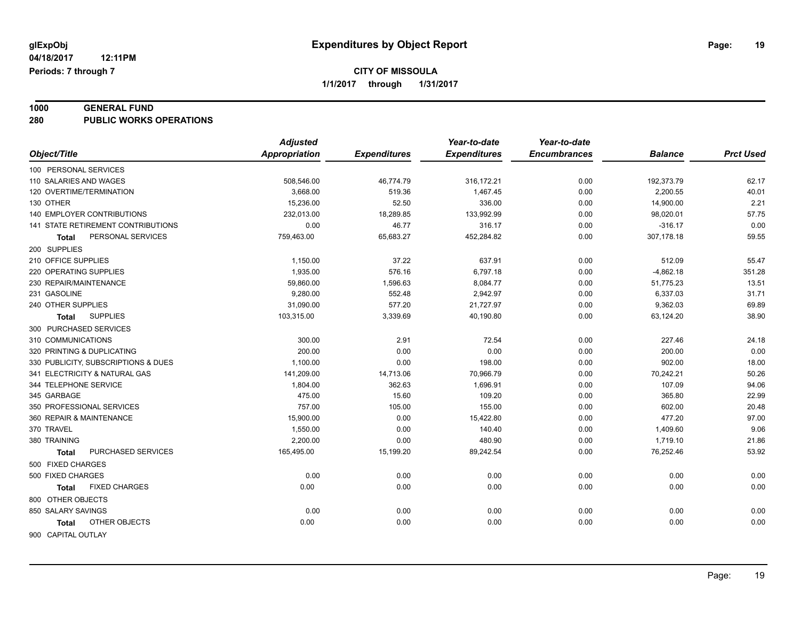# **1000 GENERAL FUND**

**280 PUBLIC WORKS OPERATIONS**

| <b>Appropriation</b><br>Object/Title<br><b>Expenditures</b><br><b>Expenditures</b><br><b>Encumbrances</b><br><b>Prct Used</b><br><b>Balance</b><br>100 PERSONAL SERVICES<br>62.17<br>110 SALARIES AND WAGES<br>508,546.00<br>46,774.79<br>316,172.21<br>0.00<br>192,373.79<br>40.01<br>120 OVERTIME/TERMINATION<br>3,668.00<br>519.36<br>1.467.45<br>0.00<br>2,200.55<br>2.21<br>130 OTHER<br>15,236.00<br>52.50<br>336.00<br>0.00<br>14,900.00<br>57.75<br><b>140 EMPLOYER CONTRIBUTIONS</b><br>232,013.00<br>18,289.85<br>133,992.99<br>0.00<br>98,020.01<br>0.00<br><b>141 STATE RETIREMENT CONTRIBUTIONS</b><br>46.77<br>316.17<br>0.00<br>0.00<br>$-316.17$<br>59.55<br>307,178.18<br>PERSONAL SERVICES<br>759,463.00<br>65,683.27<br>452,284.82<br>0.00<br>Total<br>200 SUPPLIES<br>210 OFFICE SUPPLIES<br>1,150.00<br>37.22<br>637.91<br>0.00<br>512.09<br>55.47<br>220 OPERATING SUPPLIES<br>1,935.00<br>576.16<br>6,797.18<br>0.00<br>$-4,862.18$<br>351.28<br>13.51<br>230 REPAIR/MAINTENANCE<br>59,860.00<br>1,596.63<br>8,084.77<br>0.00<br>51,775.23<br>31.71<br>231 GASOLINE<br>9,280.00<br>552.48<br>2,942.97<br>0.00<br>6,337.03<br>31,090.00<br>577.20<br>21,727.97<br>9,362.03<br>69.89<br>240 OTHER SUPPLIES<br>0.00<br>103,315.00<br>3,339.69<br>40,190.80<br>0.00<br>63,124.20<br>38.90<br><b>SUPPLIES</b><br>Total<br>300 PURCHASED SERVICES<br>310 COMMUNICATIONS<br>300.00<br>2.91<br>72.54<br>227.46<br>24.18<br>0.00<br>0.00<br>200.00<br>0.00<br>0.00<br>200.00<br>320 PRINTING & DUPLICATING<br>0.00<br>1,100.00<br>0.00<br>198.00<br>902.00<br>18.00<br>330 PUBLICITY, SUBSCRIPTIONS & DUES<br>0.00<br>50.26<br>341 ELECTRICITY & NATURAL GAS<br>141,209.00<br>14,713.06<br>70,966.79<br>0.00<br>70,242.21<br>107.09<br>94.06<br>344 TELEPHONE SERVICE<br>1,804.00<br>362.63<br>1,696.91<br>0.00<br>22.99<br>475.00<br>365.80<br>345 GARBAGE<br>15.60<br>109.20<br>0.00<br>350 PROFESSIONAL SERVICES<br>757.00<br>602.00<br>20.48<br>105.00<br>155.00<br>0.00<br>97.00<br>360 REPAIR & MAINTENANCE<br>15,900.00<br>0.00<br>15,422.80<br>0.00<br>477.20<br>370 TRAVEL<br>9.06<br>1,550.00<br>0.00<br>140.40<br>1,409.60<br>0.00<br>2,200.00<br>21.86<br>380 TRAINING<br>0.00<br>480.90<br>0.00<br>1,719.10<br>53.92<br>PURCHASED SERVICES<br>165,495.00<br>15,199.20<br>89,242.54<br>0.00<br>76,252.46<br><b>Total</b><br>500 FIXED CHARGES<br>0.00<br>500 FIXED CHARGES<br>0.00<br>0.00<br>0.00<br>0.00<br>0.00<br>0.00<br><b>FIXED CHARGES</b><br>0.00<br>0.00<br>0.00<br>0.00<br>0.00<br>Total<br>800 OTHER OBJECTS<br>850 SALARY SAVINGS<br>0.00<br>0.00<br>0.00<br>0.00<br>0.00<br>0.00<br>0.00<br>OTHER OBJECTS<br>0.00<br>0.00<br>0.00<br>0.00<br>0.00<br>Total |                    | <b>Adjusted</b> | Year-to-date | Year-to-date |  |
|----------------------------------------------------------------------------------------------------------------------------------------------------------------------------------------------------------------------------------------------------------------------------------------------------------------------------------------------------------------------------------------------------------------------------------------------------------------------------------------------------------------------------------------------------------------------------------------------------------------------------------------------------------------------------------------------------------------------------------------------------------------------------------------------------------------------------------------------------------------------------------------------------------------------------------------------------------------------------------------------------------------------------------------------------------------------------------------------------------------------------------------------------------------------------------------------------------------------------------------------------------------------------------------------------------------------------------------------------------------------------------------------------------------------------------------------------------------------------------------------------------------------------------------------------------------------------------------------------------------------------------------------------------------------------------------------------------------------------------------------------------------------------------------------------------------------------------------------------------------------------------------------------------------------------------------------------------------------------------------------------------------------------------------------------------------------------------------------------------------------------------------------------------------------------------------------------------------------------------------------------------------------------------------------------------------------------------------------------------------------------------------------------------------------------------------------------------------------------------------------------------------------------------------------------------------------------------------------------------------------------------------------------------------------------------------------------|--------------------|-----------------|--------------|--------------|--|
|                                                                                                                                                                                                                                                                                                                                                                                                                                                                                                                                                                                                                                                                                                                                                                                                                                                                                                                                                                                                                                                                                                                                                                                                                                                                                                                                                                                                                                                                                                                                                                                                                                                                                                                                                                                                                                                                                                                                                                                                                                                                                                                                                                                                                                                                                                                                                                                                                                                                                                                                                                                                                                                                                                    |                    |                 |              |              |  |
|                                                                                                                                                                                                                                                                                                                                                                                                                                                                                                                                                                                                                                                                                                                                                                                                                                                                                                                                                                                                                                                                                                                                                                                                                                                                                                                                                                                                                                                                                                                                                                                                                                                                                                                                                                                                                                                                                                                                                                                                                                                                                                                                                                                                                                                                                                                                                                                                                                                                                                                                                                                                                                                                                                    |                    |                 |              |              |  |
|                                                                                                                                                                                                                                                                                                                                                                                                                                                                                                                                                                                                                                                                                                                                                                                                                                                                                                                                                                                                                                                                                                                                                                                                                                                                                                                                                                                                                                                                                                                                                                                                                                                                                                                                                                                                                                                                                                                                                                                                                                                                                                                                                                                                                                                                                                                                                                                                                                                                                                                                                                                                                                                                                                    |                    |                 |              |              |  |
|                                                                                                                                                                                                                                                                                                                                                                                                                                                                                                                                                                                                                                                                                                                                                                                                                                                                                                                                                                                                                                                                                                                                                                                                                                                                                                                                                                                                                                                                                                                                                                                                                                                                                                                                                                                                                                                                                                                                                                                                                                                                                                                                                                                                                                                                                                                                                                                                                                                                                                                                                                                                                                                                                                    |                    |                 |              |              |  |
|                                                                                                                                                                                                                                                                                                                                                                                                                                                                                                                                                                                                                                                                                                                                                                                                                                                                                                                                                                                                                                                                                                                                                                                                                                                                                                                                                                                                                                                                                                                                                                                                                                                                                                                                                                                                                                                                                                                                                                                                                                                                                                                                                                                                                                                                                                                                                                                                                                                                                                                                                                                                                                                                                                    |                    |                 |              |              |  |
|                                                                                                                                                                                                                                                                                                                                                                                                                                                                                                                                                                                                                                                                                                                                                                                                                                                                                                                                                                                                                                                                                                                                                                                                                                                                                                                                                                                                                                                                                                                                                                                                                                                                                                                                                                                                                                                                                                                                                                                                                                                                                                                                                                                                                                                                                                                                                                                                                                                                                                                                                                                                                                                                                                    |                    |                 |              |              |  |
|                                                                                                                                                                                                                                                                                                                                                                                                                                                                                                                                                                                                                                                                                                                                                                                                                                                                                                                                                                                                                                                                                                                                                                                                                                                                                                                                                                                                                                                                                                                                                                                                                                                                                                                                                                                                                                                                                                                                                                                                                                                                                                                                                                                                                                                                                                                                                                                                                                                                                                                                                                                                                                                                                                    |                    |                 |              |              |  |
|                                                                                                                                                                                                                                                                                                                                                                                                                                                                                                                                                                                                                                                                                                                                                                                                                                                                                                                                                                                                                                                                                                                                                                                                                                                                                                                                                                                                                                                                                                                                                                                                                                                                                                                                                                                                                                                                                                                                                                                                                                                                                                                                                                                                                                                                                                                                                                                                                                                                                                                                                                                                                                                                                                    |                    |                 |              |              |  |
|                                                                                                                                                                                                                                                                                                                                                                                                                                                                                                                                                                                                                                                                                                                                                                                                                                                                                                                                                                                                                                                                                                                                                                                                                                                                                                                                                                                                                                                                                                                                                                                                                                                                                                                                                                                                                                                                                                                                                                                                                                                                                                                                                                                                                                                                                                                                                                                                                                                                                                                                                                                                                                                                                                    |                    |                 |              |              |  |
|                                                                                                                                                                                                                                                                                                                                                                                                                                                                                                                                                                                                                                                                                                                                                                                                                                                                                                                                                                                                                                                                                                                                                                                                                                                                                                                                                                                                                                                                                                                                                                                                                                                                                                                                                                                                                                                                                                                                                                                                                                                                                                                                                                                                                                                                                                                                                                                                                                                                                                                                                                                                                                                                                                    |                    |                 |              |              |  |
|                                                                                                                                                                                                                                                                                                                                                                                                                                                                                                                                                                                                                                                                                                                                                                                                                                                                                                                                                                                                                                                                                                                                                                                                                                                                                                                                                                                                                                                                                                                                                                                                                                                                                                                                                                                                                                                                                                                                                                                                                                                                                                                                                                                                                                                                                                                                                                                                                                                                                                                                                                                                                                                                                                    |                    |                 |              |              |  |
|                                                                                                                                                                                                                                                                                                                                                                                                                                                                                                                                                                                                                                                                                                                                                                                                                                                                                                                                                                                                                                                                                                                                                                                                                                                                                                                                                                                                                                                                                                                                                                                                                                                                                                                                                                                                                                                                                                                                                                                                                                                                                                                                                                                                                                                                                                                                                                                                                                                                                                                                                                                                                                                                                                    |                    |                 |              |              |  |
|                                                                                                                                                                                                                                                                                                                                                                                                                                                                                                                                                                                                                                                                                                                                                                                                                                                                                                                                                                                                                                                                                                                                                                                                                                                                                                                                                                                                                                                                                                                                                                                                                                                                                                                                                                                                                                                                                                                                                                                                                                                                                                                                                                                                                                                                                                                                                                                                                                                                                                                                                                                                                                                                                                    |                    |                 |              |              |  |
|                                                                                                                                                                                                                                                                                                                                                                                                                                                                                                                                                                                                                                                                                                                                                                                                                                                                                                                                                                                                                                                                                                                                                                                                                                                                                                                                                                                                                                                                                                                                                                                                                                                                                                                                                                                                                                                                                                                                                                                                                                                                                                                                                                                                                                                                                                                                                                                                                                                                                                                                                                                                                                                                                                    |                    |                 |              |              |  |
|                                                                                                                                                                                                                                                                                                                                                                                                                                                                                                                                                                                                                                                                                                                                                                                                                                                                                                                                                                                                                                                                                                                                                                                                                                                                                                                                                                                                                                                                                                                                                                                                                                                                                                                                                                                                                                                                                                                                                                                                                                                                                                                                                                                                                                                                                                                                                                                                                                                                                                                                                                                                                                                                                                    |                    |                 |              |              |  |
|                                                                                                                                                                                                                                                                                                                                                                                                                                                                                                                                                                                                                                                                                                                                                                                                                                                                                                                                                                                                                                                                                                                                                                                                                                                                                                                                                                                                                                                                                                                                                                                                                                                                                                                                                                                                                                                                                                                                                                                                                                                                                                                                                                                                                                                                                                                                                                                                                                                                                                                                                                                                                                                                                                    |                    |                 |              |              |  |
|                                                                                                                                                                                                                                                                                                                                                                                                                                                                                                                                                                                                                                                                                                                                                                                                                                                                                                                                                                                                                                                                                                                                                                                                                                                                                                                                                                                                                                                                                                                                                                                                                                                                                                                                                                                                                                                                                                                                                                                                                                                                                                                                                                                                                                                                                                                                                                                                                                                                                                                                                                                                                                                                                                    |                    |                 |              |              |  |
|                                                                                                                                                                                                                                                                                                                                                                                                                                                                                                                                                                                                                                                                                                                                                                                                                                                                                                                                                                                                                                                                                                                                                                                                                                                                                                                                                                                                                                                                                                                                                                                                                                                                                                                                                                                                                                                                                                                                                                                                                                                                                                                                                                                                                                                                                                                                                                                                                                                                                                                                                                                                                                                                                                    |                    |                 |              |              |  |
|                                                                                                                                                                                                                                                                                                                                                                                                                                                                                                                                                                                                                                                                                                                                                                                                                                                                                                                                                                                                                                                                                                                                                                                                                                                                                                                                                                                                                                                                                                                                                                                                                                                                                                                                                                                                                                                                                                                                                                                                                                                                                                                                                                                                                                                                                                                                                                                                                                                                                                                                                                                                                                                                                                    |                    |                 |              |              |  |
|                                                                                                                                                                                                                                                                                                                                                                                                                                                                                                                                                                                                                                                                                                                                                                                                                                                                                                                                                                                                                                                                                                                                                                                                                                                                                                                                                                                                                                                                                                                                                                                                                                                                                                                                                                                                                                                                                                                                                                                                                                                                                                                                                                                                                                                                                                                                                                                                                                                                                                                                                                                                                                                                                                    |                    |                 |              |              |  |
|                                                                                                                                                                                                                                                                                                                                                                                                                                                                                                                                                                                                                                                                                                                                                                                                                                                                                                                                                                                                                                                                                                                                                                                                                                                                                                                                                                                                                                                                                                                                                                                                                                                                                                                                                                                                                                                                                                                                                                                                                                                                                                                                                                                                                                                                                                                                                                                                                                                                                                                                                                                                                                                                                                    |                    |                 |              |              |  |
|                                                                                                                                                                                                                                                                                                                                                                                                                                                                                                                                                                                                                                                                                                                                                                                                                                                                                                                                                                                                                                                                                                                                                                                                                                                                                                                                                                                                                                                                                                                                                                                                                                                                                                                                                                                                                                                                                                                                                                                                                                                                                                                                                                                                                                                                                                                                                                                                                                                                                                                                                                                                                                                                                                    |                    |                 |              |              |  |
|                                                                                                                                                                                                                                                                                                                                                                                                                                                                                                                                                                                                                                                                                                                                                                                                                                                                                                                                                                                                                                                                                                                                                                                                                                                                                                                                                                                                                                                                                                                                                                                                                                                                                                                                                                                                                                                                                                                                                                                                                                                                                                                                                                                                                                                                                                                                                                                                                                                                                                                                                                                                                                                                                                    |                    |                 |              |              |  |
|                                                                                                                                                                                                                                                                                                                                                                                                                                                                                                                                                                                                                                                                                                                                                                                                                                                                                                                                                                                                                                                                                                                                                                                                                                                                                                                                                                                                                                                                                                                                                                                                                                                                                                                                                                                                                                                                                                                                                                                                                                                                                                                                                                                                                                                                                                                                                                                                                                                                                                                                                                                                                                                                                                    |                    |                 |              |              |  |
|                                                                                                                                                                                                                                                                                                                                                                                                                                                                                                                                                                                                                                                                                                                                                                                                                                                                                                                                                                                                                                                                                                                                                                                                                                                                                                                                                                                                                                                                                                                                                                                                                                                                                                                                                                                                                                                                                                                                                                                                                                                                                                                                                                                                                                                                                                                                                                                                                                                                                                                                                                                                                                                                                                    |                    |                 |              |              |  |
|                                                                                                                                                                                                                                                                                                                                                                                                                                                                                                                                                                                                                                                                                                                                                                                                                                                                                                                                                                                                                                                                                                                                                                                                                                                                                                                                                                                                                                                                                                                                                                                                                                                                                                                                                                                                                                                                                                                                                                                                                                                                                                                                                                                                                                                                                                                                                                                                                                                                                                                                                                                                                                                                                                    |                    |                 |              |              |  |
|                                                                                                                                                                                                                                                                                                                                                                                                                                                                                                                                                                                                                                                                                                                                                                                                                                                                                                                                                                                                                                                                                                                                                                                                                                                                                                                                                                                                                                                                                                                                                                                                                                                                                                                                                                                                                                                                                                                                                                                                                                                                                                                                                                                                                                                                                                                                                                                                                                                                                                                                                                                                                                                                                                    |                    |                 |              |              |  |
|                                                                                                                                                                                                                                                                                                                                                                                                                                                                                                                                                                                                                                                                                                                                                                                                                                                                                                                                                                                                                                                                                                                                                                                                                                                                                                                                                                                                                                                                                                                                                                                                                                                                                                                                                                                                                                                                                                                                                                                                                                                                                                                                                                                                                                                                                                                                                                                                                                                                                                                                                                                                                                                                                                    |                    |                 |              |              |  |
|                                                                                                                                                                                                                                                                                                                                                                                                                                                                                                                                                                                                                                                                                                                                                                                                                                                                                                                                                                                                                                                                                                                                                                                                                                                                                                                                                                                                                                                                                                                                                                                                                                                                                                                                                                                                                                                                                                                                                                                                                                                                                                                                                                                                                                                                                                                                                                                                                                                                                                                                                                                                                                                                                                    |                    |                 |              |              |  |
|                                                                                                                                                                                                                                                                                                                                                                                                                                                                                                                                                                                                                                                                                                                                                                                                                                                                                                                                                                                                                                                                                                                                                                                                                                                                                                                                                                                                                                                                                                                                                                                                                                                                                                                                                                                                                                                                                                                                                                                                                                                                                                                                                                                                                                                                                                                                                                                                                                                                                                                                                                                                                                                                                                    |                    |                 |              |              |  |
|                                                                                                                                                                                                                                                                                                                                                                                                                                                                                                                                                                                                                                                                                                                                                                                                                                                                                                                                                                                                                                                                                                                                                                                                                                                                                                                                                                                                                                                                                                                                                                                                                                                                                                                                                                                                                                                                                                                                                                                                                                                                                                                                                                                                                                                                                                                                                                                                                                                                                                                                                                                                                                                                                                    |                    |                 |              |              |  |
|                                                                                                                                                                                                                                                                                                                                                                                                                                                                                                                                                                                                                                                                                                                                                                                                                                                                                                                                                                                                                                                                                                                                                                                                                                                                                                                                                                                                                                                                                                                                                                                                                                                                                                                                                                                                                                                                                                                                                                                                                                                                                                                                                                                                                                                                                                                                                                                                                                                                                                                                                                                                                                                                                                    |                    |                 |              |              |  |
|                                                                                                                                                                                                                                                                                                                                                                                                                                                                                                                                                                                                                                                                                                                                                                                                                                                                                                                                                                                                                                                                                                                                                                                                                                                                                                                                                                                                                                                                                                                                                                                                                                                                                                                                                                                                                                                                                                                                                                                                                                                                                                                                                                                                                                                                                                                                                                                                                                                                                                                                                                                                                                                                                                    |                    |                 |              |              |  |
|                                                                                                                                                                                                                                                                                                                                                                                                                                                                                                                                                                                                                                                                                                                                                                                                                                                                                                                                                                                                                                                                                                                                                                                                                                                                                                                                                                                                                                                                                                                                                                                                                                                                                                                                                                                                                                                                                                                                                                                                                                                                                                                                                                                                                                                                                                                                                                                                                                                                                                                                                                                                                                                                                                    | 900 CAPITAL OUTLAY |                 |              |              |  |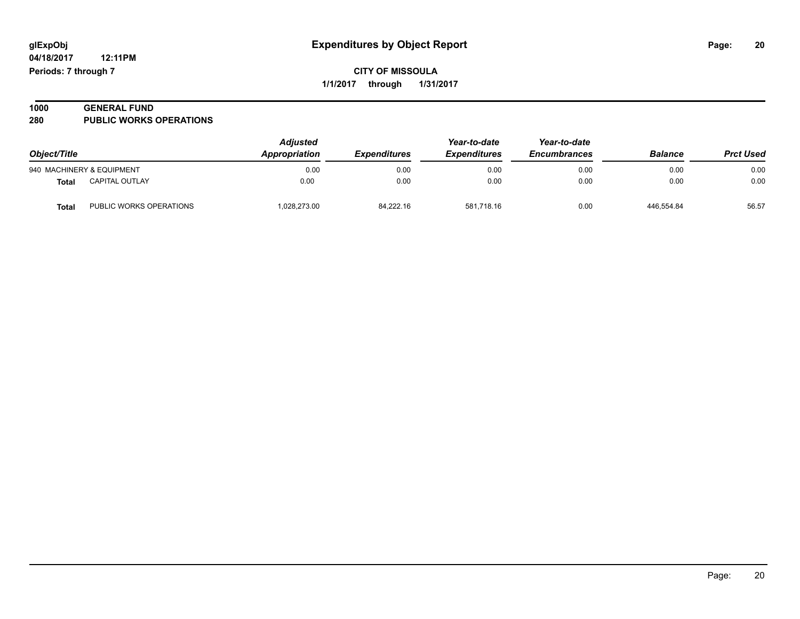**04/18/2017 12:11PM Periods: 7 through 7**

**CITY OF MISSOULA 1/1/2017 through 1/31/2017**

| 1000 | <b>GENERAL FUND</b>            |  |
|------|--------------------------------|--|
| 280  | <b>PUBLIC WORKS OPERATIONS</b> |  |

| Object/Title |                           | <b>Adjusted</b><br>Appropriation | <i><b>Expenditures</b></i> | Year-to-date<br><b>Expenditures</b> | Year-to-date<br><b>Encumbrances</b> | <b>Balance</b> | <b>Prct Used</b> |
|--------------|---------------------------|----------------------------------|----------------------------|-------------------------------------|-------------------------------------|----------------|------------------|
|              | 940 MACHINERY & EQUIPMENT | 0.00                             | 0.00                       | 0.00                                | 0.00                                | 0.00           | 0.00             |
| <b>Total</b> | <b>CAPITAL OUTLAY</b>     | 0.00                             | 0.00                       | 0.00                                | 0.00                                | 0.00           | 0.00             |
| <b>Total</b> | PUBLIC WORKS OPERATIONS   | 1,028,273.00                     | 84.222.16                  | 581.718.16                          | 0.00                                | 446.554.84     | 56.57            |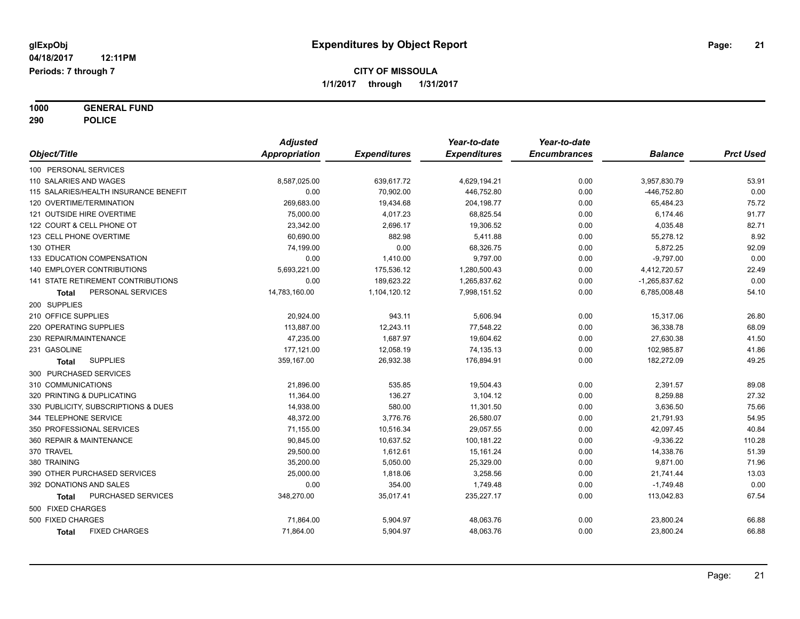**1000 GENERAL FUND 290 POLICE**

|                                       | <b>Adjusted</b>      |                     | Year-to-date        | Year-to-date        |                 |                  |
|---------------------------------------|----------------------|---------------------|---------------------|---------------------|-----------------|------------------|
| Object/Title                          | <b>Appropriation</b> | <b>Expenditures</b> | <b>Expenditures</b> | <b>Encumbrances</b> | <b>Balance</b>  | <b>Prct Used</b> |
| 100 PERSONAL SERVICES                 |                      |                     |                     |                     |                 |                  |
| 110 SALARIES AND WAGES                | 8,587,025.00         | 639,617.72          | 4,629,194.21        | 0.00                | 3,957,830.79    | 53.91            |
| 115 SALARIES/HEALTH INSURANCE BENEFIT | 0.00                 | 70,902.00           | 446,752.80          | 0.00                | -446,752.80     | 0.00             |
| 120 OVERTIME/TERMINATION              | 269,683.00           | 19,434.68           | 204, 198.77         | 0.00                | 65,484.23       | 75.72            |
| 121 OUTSIDE HIRE OVERTIME             | 75,000.00            | 4,017.23            | 68,825.54           | 0.00                | 6,174.46        | 91.77            |
| 122 COURT & CELL PHONE OT             | 23,342.00            | 2,696.17            | 19,306.52           | 0.00                | 4,035.48        | 82.71            |
| 123 CELL PHONE OVERTIME               | 60.690.00            | 882.98              | 5,411.88            | 0.00                | 55,278.12       | 8.92             |
| 130 OTHER                             | 74,199.00            | 0.00                | 68,326.75           | 0.00                | 5,872.25        | 92.09            |
| 133 EDUCATION COMPENSATION            | 0.00                 | 1,410.00            | 9,797.00            | 0.00                | $-9,797.00$     | 0.00             |
| 140 EMPLOYER CONTRIBUTIONS            | 5,693,221.00         | 175,536.12          | 1,280,500.43        | 0.00                | 4,412,720.57    | 22.49            |
| 141 STATE RETIREMENT CONTRIBUTIONS    | 0.00                 | 189,623.22          | 1,265,837.62        | 0.00                | $-1,265,837.62$ | 0.00             |
| PERSONAL SERVICES<br>Total            | 14,783,160.00        | 1,104,120.12        | 7,998,151.52        | 0.00                | 6,785,008.48    | 54.10            |
| 200 SUPPLIES                          |                      |                     |                     |                     |                 |                  |
| 210 OFFICE SUPPLIES                   | 20,924.00            | 943.11              | 5,606.94            | 0.00                | 15,317.06       | 26.80            |
| 220 OPERATING SUPPLIES                | 113,887.00           | 12,243.11           | 77,548.22           | 0.00                | 36,338.78       | 68.09            |
| 230 REPAIR/MAINTENANCE                | 47,235.00            | 1,687.97            | 19,604.62           | 0.00                | 27,630.38       | 41.50            |
| 231 GASOLINE                          | 177,121.00           | 12,058.19           | 74,135.13           | 0.00                | 102,985.87      | 41.86            |
| <b>SUPPLIES</b><br>Total              | 359,167.00           | 26,932.38           | 176,894.91          | 0.00                | 182,272.09      | 49.25            |
| 300 PURCHASED SERVICES                |                      |                     |                     |                     |                 |                  |
| 310 COMMUNICATIONS                    | 21,896.00            | 535.85              | 19,504.43           | 0.00                | 2,391.57        | 89.08            |
| 320 PRINTING & DUPLICATING            | 11,364.00            | 136.27              | 3,104.12            | 0.00                | 8,259.88        | 27.32            |
| 330 PUBLICITY, SUBSCRIPTIONS & DUES   | 14,938.00            | 580.00              | 11,301.50           | 0.00                | 3,636.50        | 75.66            |
| 344 TELEPHONE SERVICE                 | 48,372.00            | 3,776.76            | 26,580.07           | 0.00                | 21,791.93       | 54.95            |
| 350 PROFESSIONAL SERVICES             | 71,155.00            | 10,516.34           | 29,057.55           | 0.00                | 42,097.45       | 40.84            |
| 360 REPAIR & MAINTENANCE              | 90,845.00            | 10,637.52           | 100,181.22          | 0.00                | $-9,336.22$     | 110.28           |
| 370 TRAVEL                            | 29,500.00            | 1,612.61            | 15,161.24           | 0.00                | 14,338.76       | 51.39            |
| 380 TRAINING                          | 35,200.00            | 5,050.00            | 25,329.00           | 0.00                | 9,871.00        | 71.96            |
| 390 OTHER PURCHASED SERVICES          | 25,000.00            | 1,818.06            | 3,258.56            | 0.00                | 21,741.44       | 13.03            |
| 392 DONATIONS AND SALES               | 0.00                 | 354.00              | 1,749.48            | 0.00                | $-1,749.48$     | 0.00             |
| PURCHASED SERVICES<br>Total           | 348,270.00           | 35,017.41           | 235,227.17          | 0.00                | 113,042.83      | 67.54            |
| 500 FIXED CHARGES                     |                      |                     |                     |                     |                 |                  |
| 500 FIXED CHARGES                     | 71,864.00            | 5,904.97            | 48,063.76           | 0.00                | 23,800.24       | 66.88            |
| <b>FIXED CHARGES</b><br><b>Total</b>  | 71,864.00            | 5,904.97            | 48,063.76           | 0.00                | 23,800.24       | 66.88            |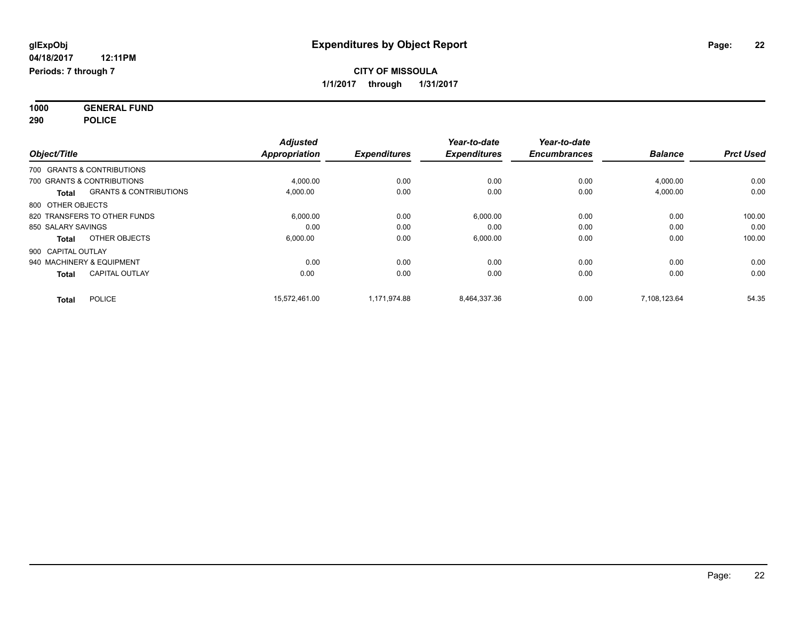**1000 GENERAL FUND 290 POLICE**

| Object/Title       |                                   | <b>Adjusted</b><br><b>Appropriation</b> | <b>Expenditures</b> | Year-to-date<br><b>Expenditures</b> | Year-to-date<br><b>Encumbrances</b> | <b>Balance</b> | <b>Prct Used</b> |
|--------------------|-----------------------------------|-----------------------------------------|---------------------|-------------------------------------|-------------------------------------|----------------|------------------|
|                    | 700 GRANTS & CONTRIBUTIONS        |                                         |                     |                                     |                                     |                |                  |
|                    |                                   |                                         |                     |                                     |                                     |                |                  |
|                    | 700 GRANTS & CONTRIBUTIONS        | 4,000.00                                | 0.00                | 0.00                                | 0.00                                | 4,000.00       | 0.00             |
| <b>Total</b>       | <b>GRANTS &amp; CONTRIBUTIONS</b> | 4,000.00                                | 0.00                | 0.00                                | 0.00                                | 4,000.00       | 0.00             |
| 800 OTHER OBJECTS  |                                   |                                         |                     |                                     |                                     |                |                  |
|                    | 820 TRANSFERS TO OTHER FUNDS      | 6,000.00                                | 0.00                | 6,000.00                            | 0.00                                | 0.00           | 100.00           |
| 850 SALARY SAVINGS |                                   | 0.00                                    | 0.00                | 0.00                                | 0.00                                | 0.00           | 0.00             |
| <b>Total</b>       | OTHER OBJECTS                     | 6,000.00                                | 0.00                | 6,000.00                            | 0.00                                | 0.00           | 100.00           |
| 900 CAPITAL OUTLAY |                                   |                                         |                     |                                     |                                     |                |                  |
|                    | 940 MACHINERY & EQUIPMENT         | 0.00                                    | 0.00                | 0.00                                | 0.00                                | 0.00           | 0.00             |
| <b>Total</b>       | <b>CAPITAL OUTLAY</b>             | 0.00                                    | 0.00                | 0.00                                | 0.00                                | 0.00           | 0.00             |
| Total              | <b>POLICE</b>                     | 15.572.461.00                           | 1.171.974.88        | 8,464,337.36                        | 0.00                                | 7.108.123.64   | 54.35            |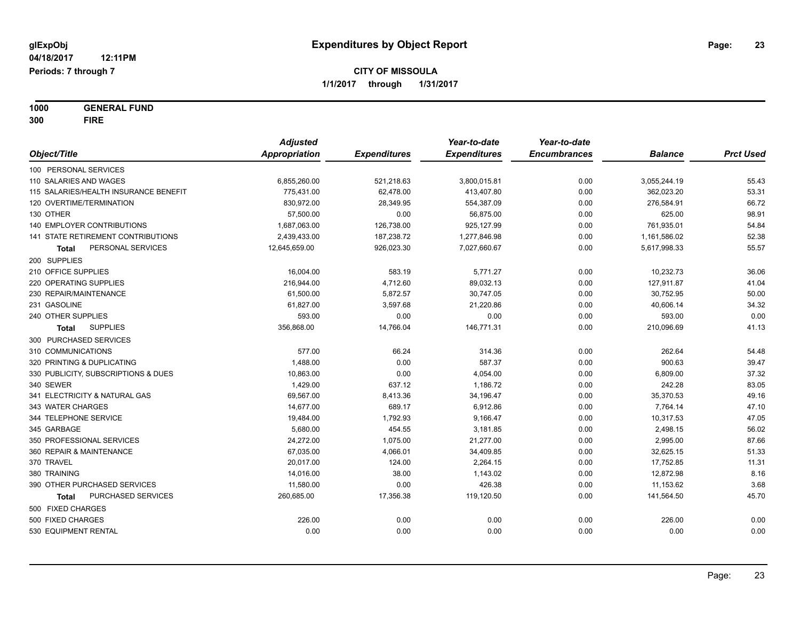**1000 GENERAL FUND 300 FIRE**

|                                       | <b>Adjusted</b> |                     | Year-to-date        | Year-to-date        |                |                  |
|---------------------------------------|-----------------|---------------------|---------------------|---------------------|----------------|------------------|
| Object/Title                          | Appropriation   | <b>Expenditures</b> | <b>Expenditures</b> | <b>Encumbrances</b> | <b>Balance</b> | <b>Prct Used</b> |
| 100 PERSONAL SERVICES                 |                 |                     |                     |                     |                |                  |
| 110 SALARIES AND WAGES                | 6,855,260.00    | 521,218.63          | 3,800,015.81        | 0.00                | 3,055,244.19   | 55.43            |
| 115 SALARIES/HEALTH INSURANCE BENEFIT | 775,431.00      | 62,478.00           | 413,407.80          | 0.00                | 362,023.20     | 53.31            |
| 120 OVERTIME/TERMINATION              | 830,972.00      | 28,349.95           | 554,387.09          | 0.00                | 276,584.91     | 66.72            |
| 130 OTHER                             | 57,500.00       | 0.00                | 56,875.00           | 0.00                | 625.00         | 98.91            |
| <b>140 EMPLOYER CONTRIBUTIONS</b>     | 1,687,063.00    | 126,738.00          | 925,127.99          | 0.00                | 761,935.01     | 54.84            |
| 141 STATE RETIREMENT CONTRIBUTIONS    | 2,439,433.00    | 187,238.72          | 1,277,846.98        | 0.00                | 1,161,586.02   | 52.38            |
| PERSONAL SERVICES<br>Total            | 12,645,659.00   | 926,023.30          | 7,027,660.67        | 0.00                | 5,617,998.33   | 55.57            |
| 200 SUPPLIES                          |                 |                     |                     |                     |                |                  |
| 210 OFFICE SUPPLIES                   | 16,004.00       | 583.19              | 5,771.27            | 0.00                | 10,232.73      | 36.06            |
| 220 OPERATING SUPPLIES                | 216,944.00      | 4,712.60            | 89,032.13           | 0.00                | 127,911.87     | 41.04            |
| 230 REPAIR/MAINTENANCE                | 61,500.00       | 5,872.57            | 30,747.05           | 0.00                | 30,752.95      | 50.00            |
| 231 GASOLINE                          | 61,827.00       | 3,597.68            | 21,220.86           | 0.00                | 40,606.14      | 34.32            |
| 240 OTHER SUPPLIES                    | 593.00          | 0.00                | 0.00                | 0.00                | 593.00         | 0.00             |
| <b>SUPPLIES</b><br><b>Total</b>       | 356,868.00      | 14,766.04           | 146,771.31          | 0.00                | 210,096.69     | 41.13            |
| 300 PURCHASED SERVICES                |                 |                     |                     |                     |                |                  |
| 310 COMMUNICATIONS                    | 577.00          | 66.24               | 314.36              | 0.00                | 262.64         | 54.48            |
| 320 PRINTING & DUPLICATING            | 1,488.00        | 0.00                | 587.37              | 0.00                | 900.63         | 39.47            |
| 330 PUBLICITY, SUBSCRIPTIONS & DUES   | 10,863.00       | 0.00                | 4,054.00            | 0.00                | 6,809.00       | 37.32            |
| 340 SEWER                             | 1,429.00        | 637.12              | 1,186.72            | 0.00                | 242.28         | 83.05            |
| 341 ELECTRICITY & NATURAL GAS         | 69,567.00       | 8,413.36            | 34,196.47           | 0.00                | 35,370.53      | 49.16            |
| 343 WATER CHARGES                     | 14,677.00       | 689.17              | 6,912.86            | 0.00                | 7,764.14       | 47.10            |
| 344 TELEPHONE SERVICE                 | 19,484.00       | 1,792.93            | 9,166.47            | 0.00                | 10,317.53      | 47.05            |
| 345 GARBAGE                           | 5,680.00        | 454.55              | 3,181.85            | 0.00                | 2,498.15       | 56.02            |
| 350 PROFESSIONAL SERVICES             | 24,272.00       | 1,075.00            | 21,277.00           | 0.00                | 2,995.00       | 87.66            |
| 360 REPAIR & MAINTENANCE              | 67,035.00       | 4,066.01            | 34,409.85           | 0.00                | 32,625.15      | 51.33            |
| 370 TRAVEL                            | 20,017.00       | 124.00              | 2,264.15            | 0.00                | 17,752.85      | 11.31            |
| 380 TRAINING                          | 14,016.00       | 38.00               | 1,143.02            | 0.00                | 12,872.98      | 8.16             |
| 390 OTHER PURCHASED SERVICES          | 11,580.00       | 0.00                | 426.38              | 0.00                | 11,153.62      | 3.68             |
| PURCHASED SERVICES<br>Total           | 260,685.00      | 17,356.38           | 119,120.50          | 0.00                | 141,564.50     | 45.70            |
| 500 FIXED CHARGES                     |                 |                     |                     |                     |                |                  |
| 500 FIXED CHARGES                     | 226.00          | 0.00                | 0.00                | 0.00                | 226.00         | 0.00             |
| 530 EQUIPMENT RENTAL                  | 0.00            | 0.00                | 0.00                | 0.00                | 0.00           | 0.00             |
|                                       |                 |                     |                     |                     |                |                  |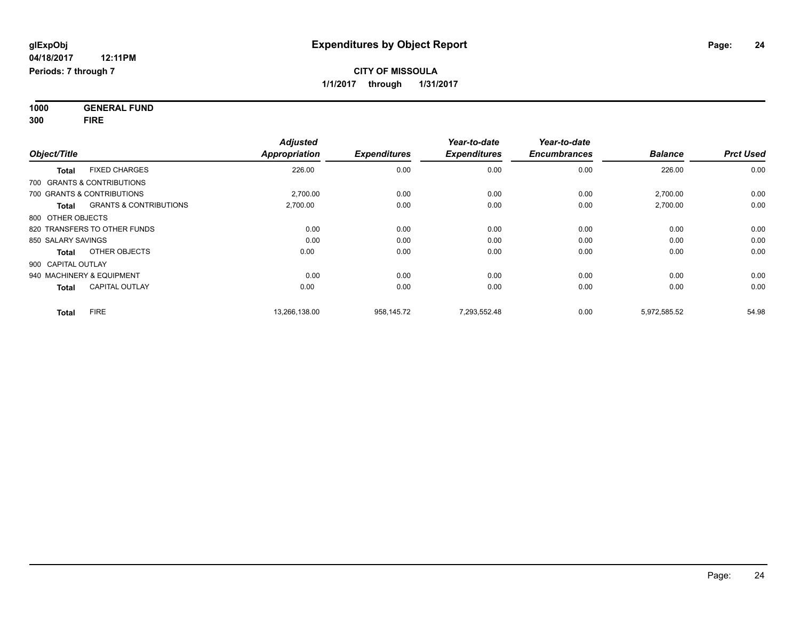**1000 GENERAL FUND 300 FIRE**

| Object/Title                                      | <b>Adjusted</b><br><b>Appropriation</b> | <b>Expenditures</b> | Year-to-date<br><b>Expenditures</b> | Year-to-date<br><b>Encumbrances</b> | <b>Balance</b> | <b>Prct Used</b> |
|---------------------------------------------------|-----------------------------------------|---------------------|-------------------------------------|-------------------------------------|----------------|------------------|
| <b>FIXED CHARGES</b><br><b>Total</b>              | 226.00                                  | 0.00                | 0.00                                | 0.00                                | 226.00         | 0.00             |
| 700 GRANTS & CONTRIBUTIONS                        |                                         |                     |                                     |                                     |                |                  |
| 700 GRANTS & CONTRIBUTIONS                        | 2,700.00                                | 0.00                | 0.00                                | 0.00                                | 2,700.00       | 0.00             |
| <b>GRANTS &amp; CONTRIBUTIONS</b><br><b>Total</b> | 2,700.00                                | 0.00                | 0.00                                | 0.00                                | 2,700.00       | 0.00             |
| 800 OTHER OBJECTS                                 |                                         |                     |                                     |                                     |                |                  |
| 820 TRANSFERS TO OTHER FUNDS                      | 0.00                                    | 0.00                | 0.00                                | 0.00                                | 0.00           | 0.00             |
| 850 SALARY SAVINGS                                | 0.00                                    | 0.00                | 0.00                                | 0.00                                | 0.00           | 0.00             |
| OTHER OBJECTS<br>Total                            | 0.00                                    | 0.00                | 0.00                                | 0.00                                | 0.00           | 0.00             |
| 900 CAPITAL OUTLAY                                |                                         |                     |                                     |                                     |                |                  |
| 940 MACHINERY & EQUIPMENT                         | 0.00                                    | 0.00                | 0.00                                | 0.00                                | 0.00           | 0.00             |
| <b>CAPITAL OUTLAY</b><br><b>Total</b>             | 0.00                                    | 0.00                | 0.00                                | 0.00                                | 0.00           | 0.00             |
| <b>FIRE</b><br><b>Total</b>                       | 13,266,138.00                           | 958,145.72          | 7,293,552.48                        | 0.00                                | 5,972,585.52   | 54.98            |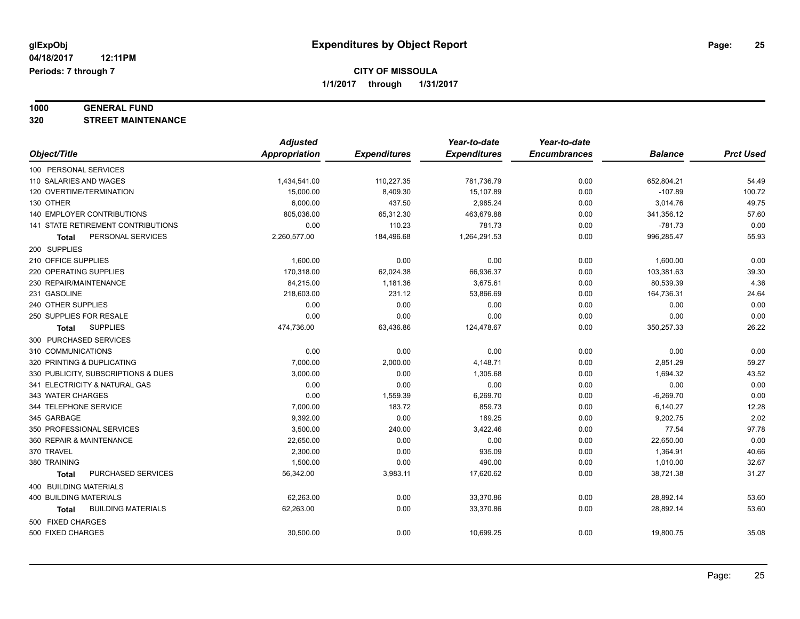# **1000 GENERAL FUND**

**320 STREET MAINTENANCE**

|                                     | <b>Adjusted</b> |                     | Year-to-date        | Year-to-date        |                |                  |
|-------------------------------------|-----------------|---------------------|---------------------|---------------------|----------------|------------------|
| Object/Title                        | Appropriation   | <b>Expenditures</b> | <b>Expenditures</b> | <b>Encumbrances</b> | <b>Balance</b> | <b>Prct Used</b> |
| 100 PERSONAL SERVICES               |                 |                     |                     |                     |                |                  |
| 110 SALARIES AND WAGES              | 1,434,541.00    | 110,227.35          | 781,736.79          | 0.00                | 652,804.21     | 54.49            |
| 120 OVERTIME/TERMINATION            | 15,000.00       | 8,409.30            | 15,107.89           | 0.00                | $-107.89$      | 100.72           |
| 130 OTHER                           | 6,000.00        | 437.50              | 2,985.24            | 0.00                | 3,014.76       | 49.75            |
| <b>140 EMPLOYER CONTRIBUTIONS</b>   | 805,036.00      | 65,312.30           | 463,679.88          | 0.00                | 341,356.12     | 57.60            |
| 141 STATE RETIREMENT CONTRIBUTIONS  | 0.00            | 110.23              | 781.73              | 0.00                | $-781.73$      | 0.00             |
| PERSONAL SERVICES<br>Total          | 2,260,577.00    | 184,496.68          | 1,264,291.53        | 0.00                | 996,285.47     | 55.93            |
| 200 SUPPLIES                        |                 |                     |                     |                     |                |                  |
| 210 OFFICE SUPPLIES                 | 1,600.00        | 0.00                | 0.00                | 0.00                | 1,600.00       | 0.00             |
| 220 OPERATING SUPPLIES              | 170,318.00      | 62,024.38           | 66,936.37           | 0.00                | 103,381.63     | 39.30            |
| 230 REPAIR/MAINTENANCE              | 84,215.00       | 1,181.36            | 3,675.61            | 0.00                | 80,539.39      | 4.36             |
| 231 GASOLINE                        | 218,603.00      | 231.12              | 53,866.69           | 0.00                | 164,736.31     | 24.64            |
| 240 OTHER SUPPLIES                  | 0.00            | 0.00                | 0.00                | 0.00                | 0.00           | 0.00             |
| 250 SUPPLIES FOR RESALE             | 0.00            | 0.00                | 0.00                | 0.00                | 0.00           | 0.00             |
| <b>SUPPLIES</b><br><b>Total</b>     | 474,736.00      | 63,436.86           | 124,478.67          | 0.00                | 350,257.33     | 26.22            |
| 300 PURCHASED SERVICES              |                 |                     |                     |                     |                |                  |
| 310 COMMUNICATIONS                  | 0.00            | 0.00                | 0.00                | 0.00                | 0.00           | 0.00             |
| 320 PRINTING & DUPLICATING          | 7,000.00        | 2,000.00            | 4,148.71            | 0.00                | 2,851.29       | 59.27            |
| 330 PUBLICITY, SUBSCRIPTIONS & DUES | 3,000.00        | 0.00                | 1,305.68            | 0.00                | 1,694.32       | 43.52            |
| 341 ELECTRICITY & NATURAL GAS       | 0.00            | 0.00                | 0.00                | 0.00                | 0.00           | 0.00             |
| 343 WATER CHARGES                   | 0.00            | 1,559.39            | 6,269.70            | 0.00                | $-6,269.70$    | 0.00             |
| 344 TELEPHONE SERVICE               | 7,000.00        | 183.72              | 859.73              | 0.00                | 6,140.27       | 12.28            |
| 345 GARBAGE                         | 9,392.00        | 0.00                | 189.25              | 0.00                | 9,202.75       | 2.02             |
| 350 PROFESSIONAL SERVICES           | 3,500.00        | 240.00              | 3,422.46            | 0.00                | 77.54          | 97.78            |
| 360 REPAIR & MAINTENANCE            | 22,650.00       | 0.00                | 0.00                | 0.00                | 22,650.00      | 0.00             |
| 370 TRAVEL                          | 2,300.00        | 0.00                | 935.09              | 0.00                | 1,364.91       | 40.66            |
| 380 TRAINING                        | 1,500.00        | 0.00                | 490.00              | 0.00                | 1,010.00       | 32.67            |
| PURCHASED SERVICES<br><b>Total</b>  | 56,342.00       | 3,983.11            | 17,620.62           | 0.00                | 38,721.38      | 31.27            |
| 400 BUILDING MATERIALS              |                 |                     |                     |                     |                |                  |
| 400 BUILDING MATERIALS              | 62,263.00       | 0.00                | 33,370.86           | 0.00                | 28,892.14      | 53.60            |
| <b>BUILDING MATERIALS</b><br>Total  | 62,263.00       | 0.00                | 33,370.86           | 0.00                | 28,892.14      | 53.60            |
| 500 FIXED CHARGES                   |                 |                     |                     |                     |                |                  |
| 500 FIXED CHARGES                   | 30,500.00       | 0.00                | 10,699.25           | 0.00                | 19,800.75      | 35.08            |
|                                     |                 |                     |                     |                     |                |                  |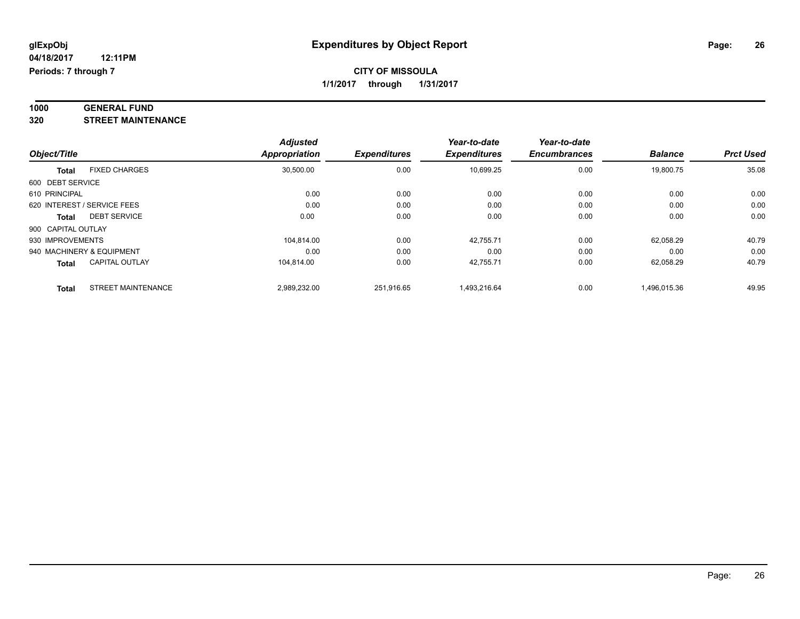#### **1000 GENERAL FUND 320 STREET MAINTENANCE**

| 320 | <b>STREET MAINTENANCE</b> |
|-----|---------------------------|
|     |                           |

|                    |                             | <b>Adjusted</b> |                     | Year-to-date        | Year-to-date        |                |                  |
|--------------------|-----------------------------|-----------------|---------------------|---------------------|---------------------|----------------|------------------|
| Object/Title       |                             | Appropriation   | <b>Expenditures</b> | <b>Expenditures</b> | <b>Encumbrances</b> | <b>Balance</b> | <b>Prct Used</b> |
| <b>Total</b>       | <b>FIXED CHARGES</b>        | 30,500.00       | 0.00                | 10,699.25           | 0.00                | 19,800.75      | 35.08            |
| 600 DEBT SERVICE   |                             |                 |                     |                     |                     |                |                  |
| 610 PRINCIPAL      |                             | 0.00            | 0.00                | 0.00                | 0.00                | 0.00           | 0.00             |
|                    | 620 INTEREST / SERVICE FEES | 0.00            | 0.00                | 0.00                | 0.00                | 0.00           | 0.00             |
| Total              | <b>DEBT SERVICE</b>         | 0.00            | 0.00                | 0.00                | 0.00                | 0.00           | 0.00             |
| 900 CAPITAL OUTLAY |                             |                 |                     |                     |                     |                |                  |
| 930 IMPROVEMENTS   |                             | 104.814.00      | 0.00                | 42.755.71           | 0.00                | 62.058.29      | 40.79            |
|                    | 940 MACHINERY & EQUIPMENT   | 0.00            | 0.00                | 0.00                | 0.00                | 0.00           | 0.00             |
| <b>Total</b>       | <b>CAPITAL OUTLAY</b>       | 104.814.00      | 0.00                | 42,755.71           | 0.00                | 62,058.29      | 40.79            |
| <b>Total</b>       | <b>STREET MAINTENANCE</b>   | 2,989,232.00    | 251.916.65          | 1,493,216.64        | 0.00                | 1,496,015.36   | 49.95            |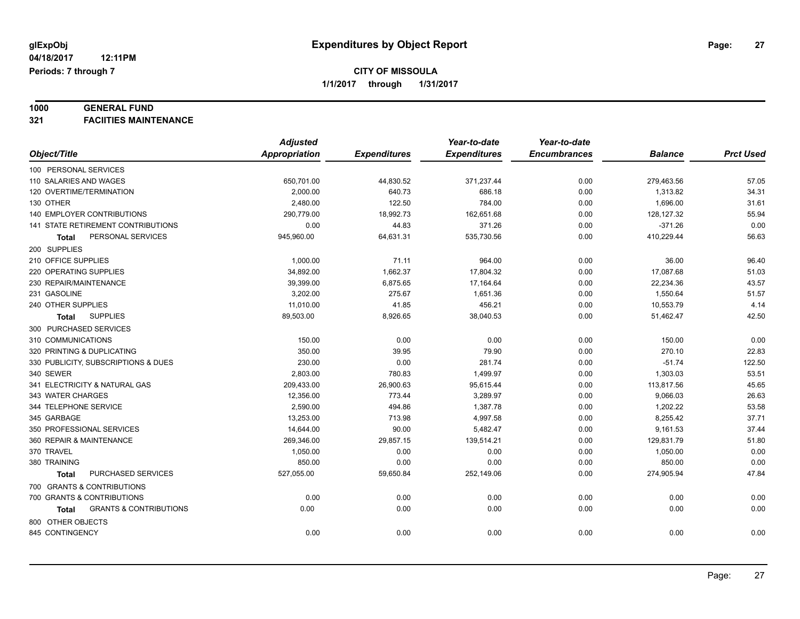# **1000 GENERAL FUND**

**321 FACIITIES MAINTENANCE**

|                                            | <b>Adjusted</b>      |                     | Year-to-date        | Year-to-date        |                |                  |
|--------------------------------------------|----------------------|---------------------|---------------------|---------------------|----------------|------------------|
| Object/Title                               | <b>Appropriation</b> | <b>Expenditures</b> | <b>Expenditures</b> | <b>Encumbrances</b> | <b>Balance</b> | <b>Prct Used</b> |
| 100 PERSONAL SERVICES                      |                      |                     |                     |                     |                |                  |
| 110 SALARIES AND WAGES                     | 650,701.00           | 44,830.52           | 371,237.44          | 0.00                | 279,463.56     | 57.05            |
| 120 OVERTIME/TERMINATION                   | 2,000.00             | 640.73              | 686.18              | 0.00                | 1,313.82       | 34.31            |
| 130 OTHER                                  | 2,480.00             | 122.50              | 784.00              | 0.00                | 1,696.00       | 31.61            |
| 140 EMPLOYER CONTRIBUTIONS                 | 290,779.00           | 18,992.73           | 162,651.68          | 0.00                | 128,127.32     | 55.94            |
| 141 STATE RETIREMENT CONTRIBUTIONS         | 0.00                 | 44.83               | 371.26              | 0.00                | $-371.26$      | 0.00             |
| PERSONAL SERVICES<br>Total                 | 945,960.00           | 64,631.31           | 535,730.56          | 0.00                | 410,229.44     | 56.63            |
| 200 SUPPLIES                               |                      |                     |                     |                     |                |                  |
| 210 OFFICE SUPPLIES                        | 1,000.00             | 71.11               | 964.00              | 0.00                | 36.00          | 96.40            |
| 220 OPERATING SUPPLIES                     | 34,892.00            | 1,662.37            | 17,804.32           | 0.00                | 17,087.68      | 51.03            |
| 230 REPAIR/MAINTENANCE                     | 39,399.00            | 6,875.65            | 17,164.64           | 0.00                | 22,234.36      | 43.57            |
| 231 GASOLINE                               | 3,202.00             | 275.67              | 1,651.36            | 0.00                | 1,550.64       | 51.57            |
| 240 OTHER SUPPLIES                         | 11,010.00            | 41.85               | 456.21              | 0.00                | 10,553.79      | 4.14             |
| <b>SUPPLIES</b><br><b>Total</b>            | 89,503.00            | 8,926.65            | 38,040.53           | 0.00                | 51,462.47      | 42.50            |
| 300 PURCHASED SERVICES                     |                      |                     |                     |                     |                |                  |
| 310 COMMUNICATIONS                         | 150.00               | 0.00                | 0.00                | 0.00                | 150.00         | 0.00             |
| 320 PRINTING & DUPLICATING                 | 350.00               | 39.95               | 79.90               | 0.00                | 270.10         | 22.83            |
| 330 PUBLICITY, SUBSCRIPTIONS & DUES        | 230.00               | 0.00                | 281.74              | 0.00                | $-51.74$       | 122.50           |
| 340 SEWER                                  | 2,803.00             | 780.83              | 1,499.97            | 0.00                | 1,303.03       | 53.51            |
| 341 ELECTRICITY & NATURAL GAS              | 209,433.00           | 26,900.63           | 95,615.44           | 0.00                | 113,817.56     | 45.65            |
| 343 WATER CHARGES                          | 12,356.00            | 773.44              | 3,289.97            | 0.00                | 9,066.03       | 26.63            |
| 344 TELEPHONE SERVICE                      | 2,590.00             | 494.86              | 1,387.78            | 0.00                | 1,202.22       | 53.58            |
| 345 GARBAGE                                | 13,253.00            | 713.98              | 4,997.58            | 0.00                | 8,255.42       | 37.71            |
| 350 PROFESSIONAL SERVICES                  | 14,644.00            | 90.00               | 5,482.47            | 0.00                | 9,161.53       | 37.44            |
| 360 REPAIR & MAINTENANCE                   | 269,346.00           | 29,857.15           | 139,514.21          | 0.00                | 129,831.79     | 51.80            |
| 370 TRAVEL                                 | 1,050.00             | 0.00                | 0.00                | 0.00                | 1,050.00       | 0.00             |
| 380 TRAINING                               | 850.00               | 0.00                | 0.00                | 0.00                | 850.00         | 0.00             |
| PURCHASED SERVICES<br><b>Total</b>         | 527,055.00           | 59,650.84           | 252,149.06          | 0.00                | 274,905.94     | 47.84            |
| 700 GRANTS & CONTRIBUTIONS                 |                      |                     |                     |                     |                |                  |
| 700 GRANTS & CONTRIBUTIONS                 | 0.00                 | 0.00                | 0.00                | 0.00                | 0.00           | 0.00             |
| <b>GRANTS &amp; CONTRIBUTIONS</b><br>Total | 0.00                 | 0.00                | 0.00                | 0.00                | 0.00           | 0.00             |
| 800 OTHER OBJECTS                          |                      |                     |                     |                     |                |                  |
| 845 CONTINGENCY                            | 0.00                 | 0.00                | 0.00                | 0.00                | 0.00           | 0.00             |
|                                            |                      |                     |                     |                     |                |                  |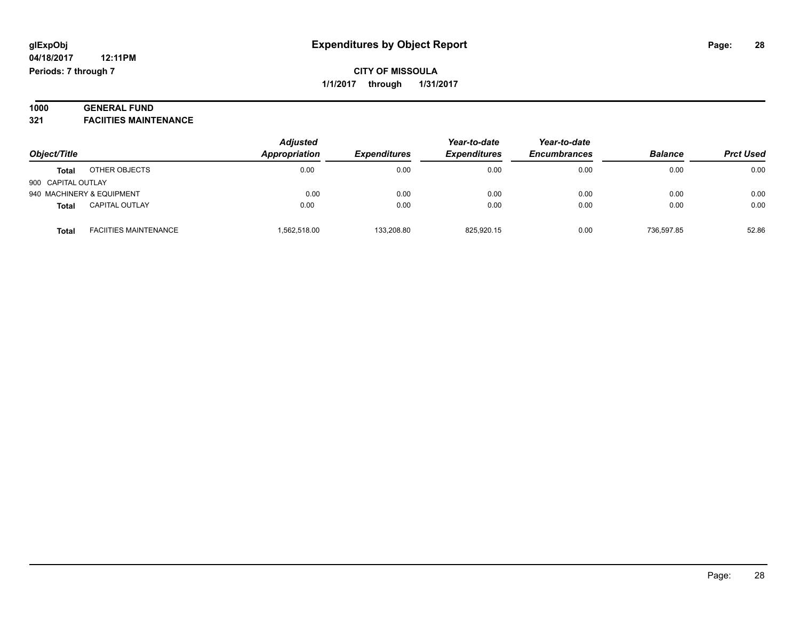#### **1000 GENERAL FUND 321 FACIITIES MAINTENANCE**

| Object/Title       |                              | <b>Adjusted</b> | Year-to-date<br><b>Expenditures</b><br><b>Expenditures</b> | Year-to-date |                     |                |                  |
|--------------------|------------------------------|-----------------|------------------------------------------------------------|--------------|---------------------|----------------|------------------|
|                    |                              | Appropriation   |                                                            |              | <b>Encumbrances</b> | <b>Balance</b> | <b>Prct Used</b> |
| <b>Total</b>       | OTHER OBJECTS                | 0.00            | 0.00                                                       | 0.00         | 0.00                | 0.00           | 0.00             |
| 900 CAPITAL OUTLAY |                              |                 |                                                            |              |                     |                |                  |
|                    | 940 MACHINERY & EQUIPMENT    | 0.00            | 0.00                                                       | 0.00         | 0.00                | 0.00           | 0.00             |
| <b>Total</b>       | <b>CAPITAL OUTLAY</b>        | 0.00            | 0.00                                                       | 0.00         | 0.00                | 0.00           | 0.00             |
| <b>Total</b>       | <b>FACIITIES MAINTENANCE</b> | 1,562,518.00    | 133,208.80                                                 | 825,920.15   | 0.00                | 736.597.85     | 52.86            |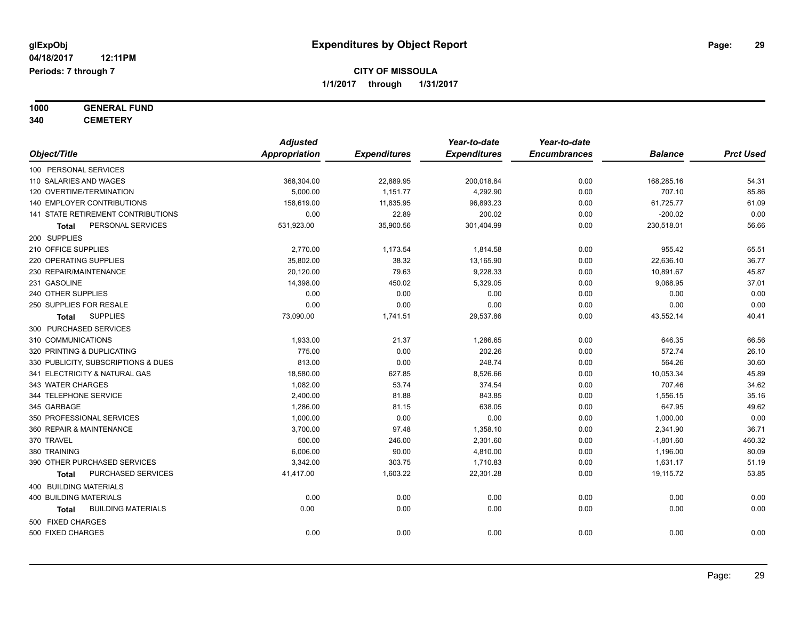# **1000 GENERAL FUND**

**340 CEMETERY**

|                                     | <b>Adjusted</b> |                     | Year-to-date        | Year-to-date        |                |                  |
|-------------------------------------|-----------------|---------------------|---------------------|---------------------|----------------|------------------|
| Object/Title                        | Appropriation   | <b>Expenditures</b> | <b>Expenditures</b> | <b>Encumbrances</b> | <b>Balance</b> | <b>Prct Used</b> |
| 100 PERSONAL SERVICES               |                 |                     |                     |                     |                |                  |
| 110 SALARIES AND WAGES              | 368,304.00      | 22,889.95           | 200,018.84          | 0.00                | 168,285.16     | 54.31            |
| 120 OVERTIME/TERMINATION            | 5,000.00        | 1,151.77            | 4,292.90            | 0.00                | 707.10         | 85.86            |
| 140 EMPLOYER CONTRIBUTIONS          | 158,619.00      | 11,835.95           | 96,893.23           | 0.00                | 61,725.77      | 61.09            |
| 141 STATE RETIREMENT CONTRIBUTIONS  | 0.00            | 22.89               | 200.02              | 0.00                | $-200.02$      | 0.00             |
| PERSONAL SERVICES<br><b>Total</b>   | 531,923.00      | 35,900.56           | 301,404.99          | 0.00                | 230,518.01     | 56.66            |
| 200 SUPPLIES                        |                 |                     |                     |                     |                |                  |
| 210 OFFICE SUPPLIES                 | 2,770.00        | 1,173.54            | 1,814.58            | 0.00                | 955.42         | 65.51            |
| 220 OPERATING SUPPLIES              | 35,802.00       | 38.32               | 13,165.90           | 0.00                | 22,636.10      | 36.77            |
| 230 REPAIR/MAINTENANCE              | 20,120.00       | 79.63               | 9,228.33            | 0.00                | 10,891.67      | 45.87            |
| 231 GASOLINE                        | 14,398.00       | 450.02              | 5,329.05            | 0.00                | 9,068.95       | 37.01            |
| 240 OTHER SUPPLIES                  | 0.00            | 0.00                | 0.00                | 0.00                | 0.00           | 0.00             |
| 250 SUPPLIES FOR RESALE             | 0.00            | 0.00                | 0.00                | 0.00                | 0.00           | 0.00             |
| <b>SUPPLIES</b><br><b>Total</b>     | 73,090.00       | 1,741.51            | 29,537.86           | 0.00                | 43,552.14      | 40.41            |
| 300 PURCHASED SERVICES              |                 |                     |                     |                     |                |                  |
| 310 COMMUNICATIONS                  | 1,933.00        | 21.37               | 1,286.65            | 0.00                | 646.35         | 66.56            |
| 320 PRINTING & DUPLICATING          | 775.00          | 0.00                | 202.26              | 0.00                | 572.74         | 26.10            |
| 330 PUBLICITY, SUBSCRIPTIONS & DUES | 813.00          | 0.00                | 248.74              | 0.00                | 564.26         | 30.60            |
| 341 ELECTRICITY & NATURAL GAS       | 18,580.00       | 627.85              | 8,526.66            | 0.00                | 10,053.34      | 45.89            |
| 343 WATER CHARGES                   | 1,082.00        | 53.74               | 374.54              | 0.00                | 707.46         | 34.62            |
| 344 TELEPHONE SERVICE               | 2,400.00        | 81.88               | 843.85              | 0.00                | 1,556.15       | 35.16            |
| 345 GARBAGE                         | 1,286.00        | 81.15               | 638.05              | 0.00                | 647.95         | 49.62            |
| 350 PROFESSIONAL SERVICES           | 1,000.00        | 0.00                | 0.00                | 0.00                | 1,000.00       | 0.00             |
| 360 REPAIR & MAINTENANCE            | 3,700.00        | 97.48               | 1,358.10            | 0.00                | 2,341.90       | 36.71            |
| 370 TRAVEL                          | 500.00          | 246.00              | 2,301.60            | 0.00                | $-1,801.60$    | 460.32           |
| 380 TRAINING                        | 6,006.00        | 90.00               | 4,810.00            | 0.00                | 1,196.00       | 80.09            |
| 390 OTHER PURCHASED SERVICES        | 3,342.00        | 303.75              | 1,710.83            | 0.00                | 1,631.17       | 51.19            |
| PURCHASED SERVICES<br><b>Total</b>  | 41,417.00       | 1,603.22            | 22,301.28           | 0.00                | 19,115.72      | 53.85            |
| 400 BUILDING MATERIALS              |                 |                     |                     |                     |                |                  |
| <b>400 BUILDING MATERIALS</b>       | 0.00            | 0.00                | 0.00                | 0.00                | 0.00           | 0.00             |
| <b>BUILDING MATERIALS</b><br>Total  | 0.00            | 0.00                | 0.00                | 0.00                | 0.00           | 0.00             |
| 500 FIXED CHARGES                   |                 |                     |                     |                     |                |                  |
| 500 FIXED CHARGES                   | 0.00            | 0.00                | 0.00                | 0.00                | 0.00           | 0.00             |
|                                     |                 |                     |                     |                     |                |                  |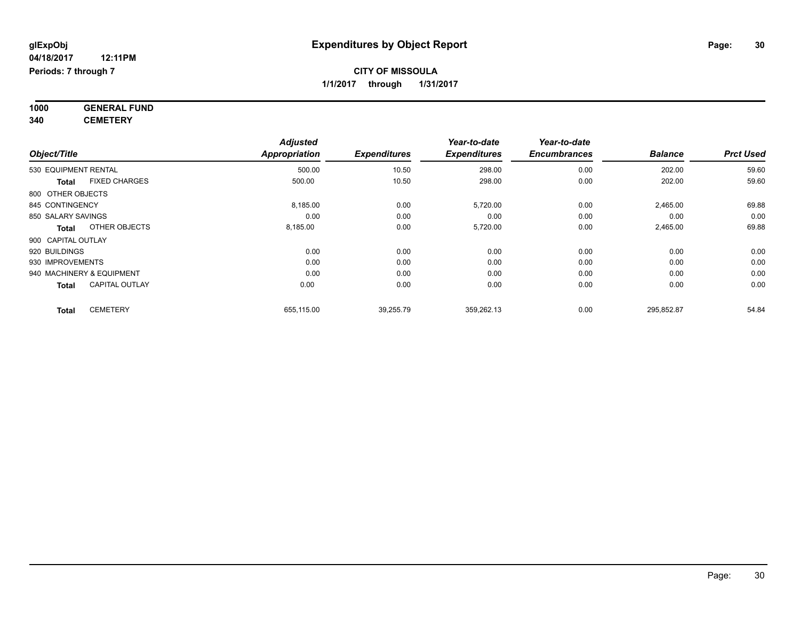**1000 GENERAL FUND 340 CEMETERY**

|                                       | <b>Adjusted</b>      |                     | Year-to-date        | Year-to-date        |                |                  |
|---------------------------------------|----------------------|---------------------|---------------------|---------------------|----------------|------------------|
| Object/Title                          | <b>Appropriation</b> | <b>Expenditures</b> | <b>Expenditures</b> | <b>Encumbrances</b> | <b>Balance</b> | <b>Prct Used</b> |
| 530 EQUIPMENT RENTAL                  | 500.00               | 10.50               | 298.00              | 0.00                | 202.00         | 59.60            |
| <b>FIXED CHARGES</b><br>Total         | 500.00               | 10.50               | 298.00              | 0.00                | 202.00         | 59.60            |
| 800 OTHER OBJECTS                     |                      |                     |                     |                     |                |                  |
| 845 CONTINGENCY                       | 8,185.00             | 0.00                | 5,720.00            | 0.00                | 2,465.00       | 69.88            |
| 850 SALARY SAVINGS                    | 0.00                 | 0.00                | 0.00                | 0.00                | 0.00           | 0.00             |
| OTHER OBJECTS<br><b>Total</b>         | 8,185.00             | 0.00                | 5,720.00            | 0.00                | 2,465.00       | 69.88            |
| 900 CAPITAL OUTLAY                    |                      |                     |                     |                     |                |                  |
| 920 BUILDINGS                         | 0.00                 | 0.00                | 0.00                | 0.00                | 0.00           | 0.00             |
| 930 IMPROVEMENTS                      | 0.00                 | 0.00                | 0.00                | 0.00                | 0.00           | 0.00             |
| 940 MACHINERY & EQUIPMENT             | 0.00                 | 0.00                | 0.00                | 0.00                | 0.00           | 0.00             |
| <b>CAPITAL OUTLAY</b><br><b>Total</b> | 0.00                 | 0.00                | 0.00                | 0.00                | 0.00           | 0.00             |
| <b>CEMETERY</b><br><b>Total</b>       | 655,115.00           | 39,255.79           | 359,262.13          | 0.00                | 295,852.87     | 54.84            |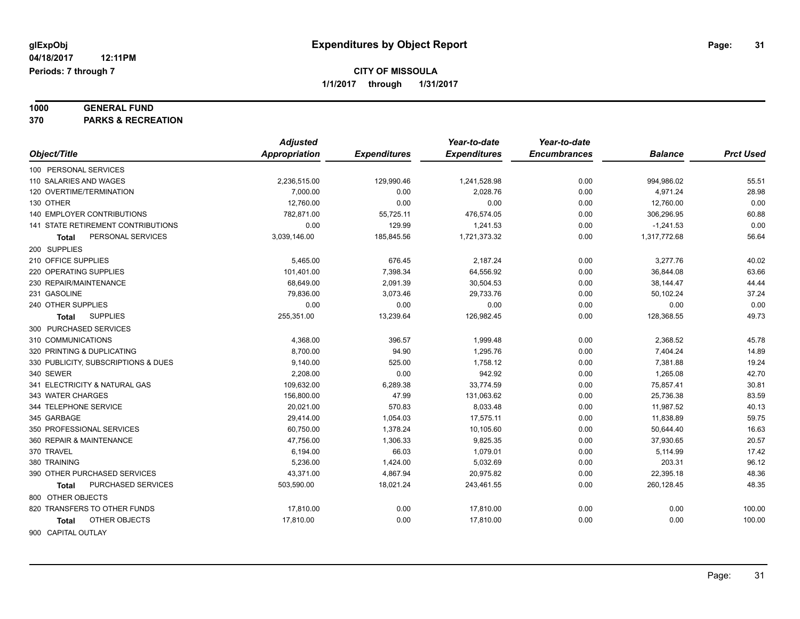# **1000 GENERAL FUND**

**370 PARKS & RECREATION**

|                                     | <b>Adjusted</b>      |                     | Year-to-date        | Year-to-date        |                |                  |
|-------------------------------------|----------------------|---------------------|---------------------|---------------------|----------------|------------------|
| Object/Title                        | <b>Appropriation</b> | <b>Expenditures</b> | <b>Expenditures</b> | <b>Encumbrances</b> | <b>Balance</b> | <b>Prct Used</b> |
| 100 PERSONAL SERVICES               |                      |                     |                     |                     |                |                  |
| 110 SALARIES AND WAGES              | 2,236,515.00         | 129,990.46          | 1,241,528.98        | 0.00                | 994,986.02     | 55.51            |
| 120 OVERTIME/TERMINATION            | 7,000.00             | 0.00                | 2,028.76            | 0.00                | 4,971.24       | 28.98            |
| 130 OTHER                           | 12,760.00            | 0.00                | 0.00                | 0.00                | 12,760.00      | 0.00             |
| 140 EMPLOYER CONTRIBUTIONS          | 782,871.00           | 55,725.11           | 476,574.05          | 0.00                | 306,296.95     | 60.88            |
| 141 STATE RETIREMENT CONTRIBUTIONS  | 0.00                 | 129.99              | 1,241.53            | 0.00                | $-1,241.53$    | 0.00             |
| PERSONAL SERVICES<br>Total          | 3,039,146.00         | 185,845.56          | 1,721,373.32        | 0.00                | 1,317,772.68   | 56.64            |
| 200 SUPPLIES                        |                      |                     |                     |                     |                |                  |
| 210 OFFICE SUPPLIES                 | 5,465.00             | 676.45              | 2,187.24            | 0.00                | 3,277.76       | 40.02            |
| 220 OPERATING SUPPLIES              | 101,401.00           | 7,398.34            | 64,556.92           | 0.00                | 36,844.08      | 63.66            |
| 230 REPAIR/MAINTENANCE              | 68,649.00            | 2,091.39            | 30,504.53           | 0.00                | 38,144.47      | 44.44            |
| 231 GASOLINE                        | 79,836.00            | 3,073.46            | 29,733.76           | 0.00                | 50,102.24      | 37.24            |
| 240 OTHER SUPPLIES                  | 0.00                 | 0.00                | 0.00                | 0.00                | 0.00           | 0.00             |
| <b>SUPPLIES</b><br>Total            | 255,351.00           | 13,239.64           | 126,982.45          | 0.00                | 128,368.55     | 49.73            |
| 300 PURCHASED SERVICES              |                      |                     |                     |                     |                |                  |
| 310 COMMUNICATIONS                  | 4,368.00             | 396.57              | 1,999.48            | 0.00                | 2,368.52       | 45.78            |
| 320 PRINTING & DUPLICATING          | 8,700.00             | 94.90               | 1,295.76            | 0.00                | 7,404.24       | 14.89            |
| 330 PUBLICITY, SUBSCRIPTIONS & DUES | 9,140.00             | 525.00              | 1,758.12            | 0.00                | 7,381.88       | 19.24            |
| 340 SEWER                           | 2,208.00             | 0.00                | 942.92              | 0.00                | 1,265.08       | 42.70            |
| 341 ELECTRICITY & NATURAL GAS       | 109,632.00           | 6,289.38            | 33,774.59           | 0.00                | 75,857.41      | 30.81            |
| 343 WATER CHARGES                   | 156,800.00           | 47.99               | 131,063.62          | 0.00                | 25,736.38      | 83.59            |
| 344 TELEPHONE SERVICE               | 20,021.00            | 570.83              | 8,033.48            | 0.00                | 11,987.52      | 40.13            |
| 345 GARBAGE                         | 29,414.00            | 1,054.03            | 17,575.11           | 0.00                | 11,838.89      | 59.75            |
| 350 PROFESSIONAL SERVICES           | 60,750.00            | 1,378.24            | 10,105.60           | 0.00                | 50,644.40      | 16.63            |
| 360 REPAIR & MAINTENANCE            | 47,756.00            | 1,306.33            | 9,825.35            | 0.00                | 37,930.65      | 20.57            |
| 370 TRAVEL                          | 6,194.00             | 66.03               | 1,079.01            | 0.00                | 5,114.99       | 17.42            |
| 380 TRAINING                        | 5,236.00             | 1,424.00            | 5,032.69            | 0.00                | 203.31         | 96.12            |
| 390 OTHER PURCHASED SERVICES        | 43,371.00            | 4,867.94            | 20,975.82           | 0.00                | 22,395.18      | 48.36            |
| PURCHASED SERVICES<br>Total         | 503,590.00           | 18,021.24           | 243,461.55          | 0.00                | 260,128.45     | 48.35            |
| 800 OTHER OBJECTS                   |                      |                     |                     |                     |                |                  |
| 820 TRANSFERS TO OTHER FUNDS        | 17,810.00            | 0.00                | 17,810.00           | 0.00                | 0.00           | 100.00           |
| OTHER OBJECTS<br>Total              | 17,810.00            | 0.00                | 17,810.00           | 0.00                | 0.00           | 100.00           |
| 900 CAPITAL OUTLAY                  |                      |                     |                     |                     |                |                  |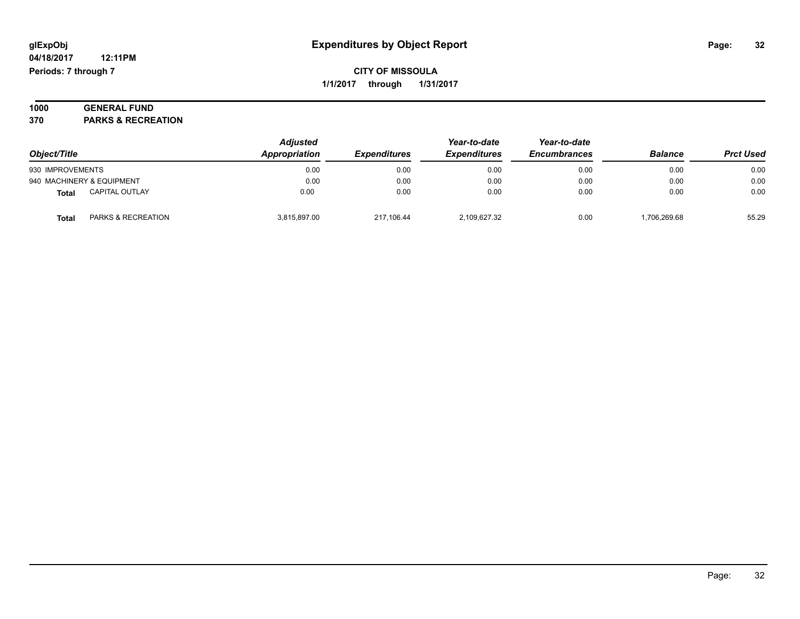**04/18/2017 12:11PM Periods: 7 through 7**

**Prct Used** 

### **CITY OF MISSOULA 1/1/2017 through 1/31/2017**

#### **1000 GENERAL FUND 370 PARKS & RECREATION**

| Object/Title     |                           | <b>Adjusted</b><br>Appropriation | <b>Expenditures</b> | Year-to-date<br><b>Expenditures</b> | Year-to-date<br><b>Encumbrances</b> | <b>Balance</b> | <b>Prct Used</b> |
|------------------|---------------------------|----------------------------------|---------------------|-------------------------------------|-------------------------------------|----------------|------------------|
| 930 IMPROVEMENTS |                           | 0.00                             | 0.00                | 0.00                                | 0.00                                | 0.00           | 0.00             |
|                  | 940 MACHINERY & EQUIPMENT | 0.00                             | 0.00                | 0.00                                | 0.00                                | 0.00           | 0.00             |
| <b>Total</b>     | <b>CAPITAL OUTLAY</b>     | 0.00                             | 0.00                | 0.00                                | 0.00                                | 0.00           | 0.00             |
| <b>Total</b>     | PARKS & RECREATION        | 3,815,897.00                     | 217.106.44          | 2.109.627.32                        | 0.00                                | 1.706.269.68   | 55.29            |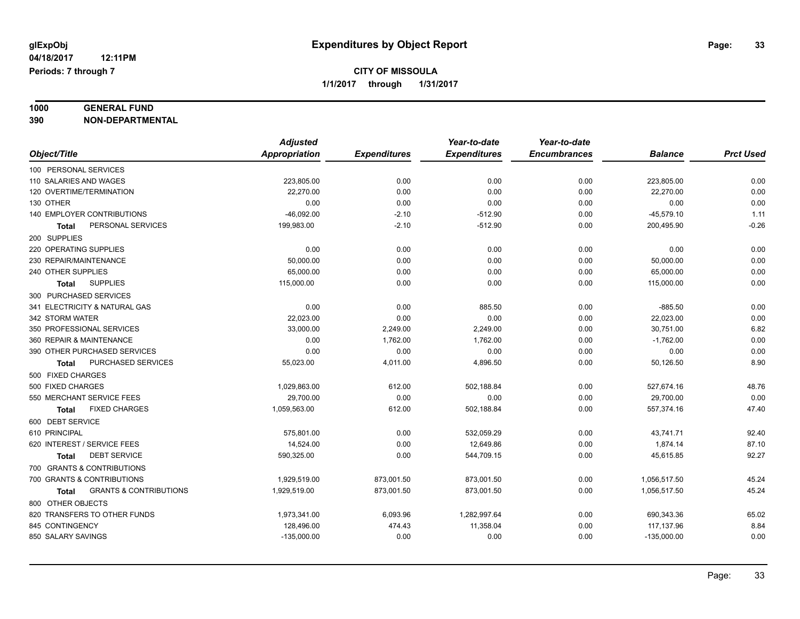# **1000 GENERAL FUND**

**390 NON-DEPARTMENTAL**

|                                                   | <b>Adjusted</b> |                     | Year-to-date        | Year-to-date        |                |                  |
|---------------------------------------------------|-----------------|---------------------|---------------------|---------------------|----------------|------------------|
| Object/Title                                      | Appropriation   | <b>Expenditures</b> | <b>Expenditures</b> | <b>Encumbrances</b> | <b>Balance</b> | <b>Prct Used</b> |
| 100 PERSONAL SERVICES                             |                 |                     |                     |                     |                |                  |
| 110 SALARIES AND WAGES                            | 223,805.00      | 0.00                | 0.00                | 0.00                | 223,805.00     | 0.00             |
| 120 OVERTIME/TERMINATION                          | 22,270.00       | 0.00                | 0.00                | 0.00                | 22,270.00      | 0.00             |
| 130 OTHER                                         | 0.00            | 0.00                | 0.00                | 0.00                | 0.00           | 0.00             |
| 140 EMPLOYER CONTRIBUTIONS                        | $-46,092.00$    | $-2.10$             | $-512.90$           | 0.00                | $-45,579.10$   | 1.11             |
| PERSONAL SERVICES<br>Total                        | 199,983.00      | $-2.10$             | $-512.90$           | 0.00                | 200,495.90     | $-0.26$          |
| 200 SUPPLIES                                      |                 |                     |                     |                     |                |                  |
| 220 OPERATING SUPPLIES                            | 0.00            | 0.00                | 0.00                | 0.00                | 0.00           | 0.00             |
| 230 REPAIR/MAINTENANCE                            | 50,000.00       | 0.00                | 0.00                | 0.00                | 50,000.00      | 0.00             |
| 240 OTHER SUPPLIES                                | 65,000.00       | 0.00                | 0.00                | 0.00                | 65,000.00      | 0.00             |
| <b>SUPPLIES</b><br>Total                          | 115,000.00      | 0.00                | 0.00                | 0.00                | 115,000.00     | 0.00             |
| 300 PURCHASED SERVICES                            |                 |                     |                     |                     |                |                  |
| 341 ELECTRICITY & NATURAL GAS                     | 0.00            | 0.00                | 885.50              | 0.00                | $-885.50$      | 0.00             |
| 342 STORM WATER                                   | 22,023.00       | 0.00                | 0.00                | 0.00                | 22,023.00      | 0.00             |
| 350 PROFESSIONAL SERVICES                         | 33,000.00       | 2,249.00            | 2,249.00            | 0.00                | 30,751.00      | 6.82             |
| 360 REPAIR & MAINTENANCE                          | 0.00            | 1,762.00            | 1,762.00            | 0.00                | $-1,762.00$    | 0.00             |
| 390 OTHER PURCHASED SERVICES                      | 0.00            | 0.00                | 0.00                | 0.00                | 0.00           | 0.00             |
| PURCHASED SERVICES<br><b>Total</b>                | 55,023.00       | 4,011.00            | 4,896.50            | 0.00                | 50,126.50      | 8.90             |
| 500 FIXED CHARGES                                 |                 |                     |                     |                     |                |                  |
| 500 FIXED CHARGES                                 | 1,029,863.00    | 612.00              | 502,188.84          | 0.00                | 527,674.16     | 48.76            |
| 550 MERCHANT SERVICE FEES                         | 29,700.00       | 0.00                | 0.00                | 0.00                | 29,700.00      | 0.00             |
| <b>FIXED CHARGES</b><br><b>Total</b>              | 1,059,563.00    | 612.00              | 502,188.84          | 0.00                | 557,374.16     | 47.40            |
| 600 DEBT SERVICE                                  |                 |                     |                     |                     |                |                  |
| 610 PRINCIPAL                                     | 575,801.00      | 0.00                | 532,059.29          | 0.00                | 43,741.71      | 92.40            |
| 620 INTEREST / SERVICE FEES                       | 14,524.00       | 0.00                | 12,649.86           | 0.00                | 1,874.14       | 87.10            |
| <b>DEBT SERVICE</b><br><b>Total</b>               | 590,325.00      | 0.00                | 544,709.15          | 0.00                | 45,615.85      | 92.27            |
| 700 GRANTS & CONTRIBUTIONS                        |                 |                     |                     |                     |                |                  |
| 700 GRANTS & CONTRIBUTIONS                        | 1,929,519.00    | 873,001.50          | 873,001.50          | 0.00                | 1,056,517.50   | 45.24            |
| <b>GRANTS &amp; CONTRIBUTIONS</b><br><b>Total</b> | 1,929,519.00    | 873,001.50          | 873,001.50          | 0.00                | 1,056,517.50   | 45.24            |
| 800 OTHER OBJECTS                                 |                 |                     |                     |                     |                |                  |
| 820 TRANSFERS TO OTHER FUNDS                      | 1,973,341.00    | 6,093.96            | 1,282,997.64        | 0.00                | 690,343.36     | 65.02            |
| 845 CONTINGENCY                                   | 128,496.00      | 474.43              | 11,358.04           | 0.00                | 117,137.96     | 8.84             |
| 850 SALARY SAVINGS                                | $-135,000.00$   | 0.00                | 0.00                | 0.00                | $-135,000.00$  | 0.00             |
|                                                   |                 |                     |                     |                     |                |                  |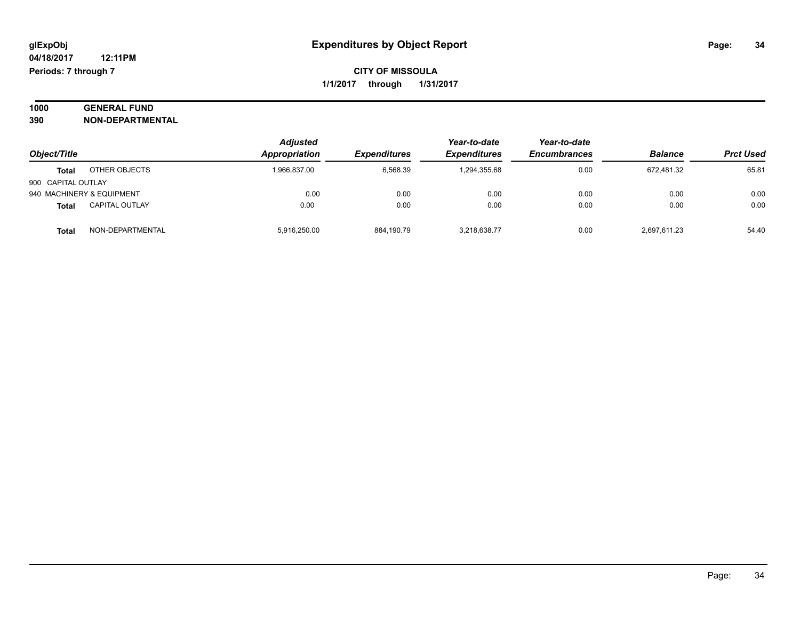#### **1000 GENERAL FUND 390 NON-DEPARTMENTAL**

| Object/Title       |                           | <b>Adjusted</b><br>Appropriation | <b>Expenditures</b> | Year-to-date<br><b>Expenditures</b> | Year-to-date<br><b>Encumbrances</b> | <b>Balance</b> | <b>Prct Used</b> |
|--------------------|---------------------------|----------------------------------|---------------------|-------------------------------------|-------------------------------------|----------------|------------------|
| <b>Total</b>       | OTHER OBJECTS             | 1,966,837.00                     | 6,568.39            | 1,294,355.68                        | 0.00                                | 672.481.32     | 65.81            |
| 900 CAPITAL OUTLAY |                           |                                  |                     |                                     |                                     |                |                  |
|                    | 940 MACHINERY & EQUIPMENT | 0.00                             | 0.00                | 0.00                                | 0.00                                | 0.00           | 0.00             |
| <b>Total</b>       | <b>CAPITAL OUTLAY</b>     | 0.00                             | 0.00                | 0.00                                | 0.00                                | 0.00           | 0.00             |
| <b>Total</b>       | NON-DEPARTMENTAL          | 5,916,250.00                     | 884,190.79          | 3.218.638.77                        | 0.00                                | 2,697,611.23   | 54.40            |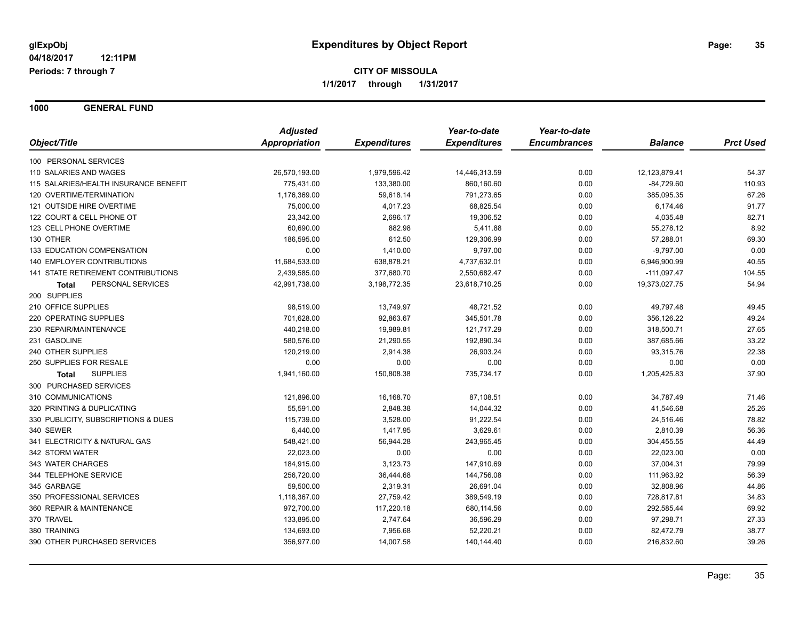**1000 GENERAL FUND**

|                                       | <b>Adjusted</b> |                     | Year-to-date        | Year-to-date        |                |                  |
|---------------------------------------|-----------------|---------------------|---------------------|---------------------|----------------|------------------|
| Object/Title                          | Appropriation   | <b>Expenditures</b> | <b>Expenditures</b> | <b>Encumbrances</b> | <b>Balance</b> | <b>Prct Used</b> |
| 100 PERSONAL SERVICES                 |                 |                     |                     |                     |                |                  |
| 110 SALARIES AND WAGES                | 26,570,193.00   | 1,979,596.42        | 14,446,313.59       | 0.00                | 12,123,879.41  | 54.37            |
| 115 SALARIES/HEALTH INSURANCE BENEFIT | 775,431.00      | 133,380.00          | 860,160.60          | 0.00                | $-84,729.60$   | 110.93           |
| 120 OVERTIME/TERMINATION              | 1,176,369.00    | 59,618.14           | 791,273.65          | 0.00                | 385,095.35     | 67.26            |
| 121 OUTSIDE HIRE OVERTIME             | 75,000.00       | 4,017.23            | 68,825.54           | 0.00                | 6,174.46       | 91.77            |
| 122 COURT & CELL PHONE OT             | 23,342.00       | 2,696.17            | 19,306.52           | 0.00                | 4,035.48       | 82.71            |
| 123 CELL PHONE OVERTIME               | 60,690.00       | 882.98              | 5,411.88            | 0.00                | 55,278.12      | 8.92             |
| 130 OTHER                             | 186,595.00      | 612.50              | 129,306.99          | 0.00                | 57,288.01      | 69.30            |
| 133 EDUCATION COMPENSATION            | 0.00            | 1,410.00            | 9,797.00            | 0.00                | $-9,797.00$    | 0.00             |
| 140 EMPLOYER CONTRIBUTIONS            | 11,684,533.00   | 638,878.21          | 4,737,632.01        | 0.00                | 6,946,900.99   | 40.55            |
| 141 STATE RETIREMENT CONTRIBUTIONS    | 2,439,585.00    | 377,680.70          | 2,550,682.47        | 0.00                | $-111,097.47$  | 104.55           |
| PERSONAL SERVICES<br><b>Total</b>     | 42,991,738.00   | 3,198,772.35        | 23,618,710.25       | 0.00                | 19,373,027.75  | 54.94            |
| 200 SUPPLIES                          |                 |                     |                     |                     |                |                  |
| 210 OFFICE SUPPLIES                   | 98,519.00       | 13,749.97           | 48,721.52           | 0.00                | 49,797.48      | 49.45            |
| 220 OPERATING SUPPLIES                | 701,628.00      | 92,863.67           | 345,501.78          | 0.00                | 356,126.22     | 49.24            |
| 230 REPAIR/MAINTENANCE                | 440,218.00      | 19,989.81           | 121,717.29          | 0.00                | 318,500.71     | 27.65            |
| 231 GASOLINE                          | 580,576.00      | 21,290.55           | 192,890.34          | 0.00                | 387,685.66     | 33.22            |
| 240 OTHER SUPPLIES                    | 120,219.00      | 2,914.38            | 26,903.24           | 0.00                | 93,315.76      | 22.38            |
| 250 SUPPLIES FOR RESALE               | 0.00            | 0.00                | 0.00                | 0.00                | 0.00           | 0.00             |
| <b>SUPPLIES</b><br>Total              | 1,941,160.00    | 150,808.38          | 735,734.17          | 0.00                | 1,205,425.83   | 37.90            |
| 300 PURCHASED SERVICES                |                 |                     |                     |                     |                |                  |
| 310 COMMUNICATIONS                    | 121,896.00      | 16,168.70           | 87,108.51           | 0.00                | 34,787.49      | 71.46            |
| 320 PRINTING & DUPLICATING            | 55,591.00       | 2,848.38            | 14,044.32           | 0.00                | 41,546.68      | 25.26            |
| 330 PUBLICITY, SUBSCRIPTIONS & DUES   | 115,739.00      | 3,528.00            | 91,222.54           | 0.00                | 24,516.46      | 78.82            |
| 340 SEWER                             | 6,440.00        | 1,417.95            | 3,629.61            | 0.00                | 2,810.39       | 56.36            |
| 341 ELECTRICITY & NATURAL GAS         | 548,421.00      | 56,944.28           | 243,965.45          | 0.00                | 304,455.55     | 44.49            |
| 342 STORM WATER                       | 22,023.00       | 0.00                | 0.00                | 0.00                | 22,023.00      | 0.00             |
| 343 WATER CHARGES                     | 184,915.00      | 3,123.73            | 147,910.69          | 0.00                | 37,004.31      | 79.99            |
| 344 TELEPHONE SERVICE                 | 256,720.00      | 36,444.68           | 144,756.08          | 0.00                | 111,963.92     | 56.39            |
| 345 GARBAGE                           | 59,500.00       | 2,319.31            | 26,691.04           | 0.00                | 32,808.96      | 44.86            |
| 350 PROFESSIONAL SERVICES             | 1,118,367.00    | 27,759.42           | 389,549.19          | 0.00                | 728,817.81     | 34.83            |
| 360 REPAIR & MAINTENANCE              | 972,700.00      | 117,220.18          | 680,114.56          | 0.00                | 292,585.44     | 69.92            |
| 370 TRAVEL                            | 133,895.00      | 2,747.64            | 36,596.29           | 0.00                | 97,298.71      | 27.33            |
| 380 TRAINING                          | 134,693.00      | 7,956.68            | 52,220.21           | 0.00                | 82,472.79      | 38.77            |
| 390 OTHER PURCHASED SERVICES          | 356,977.00      | 14,007.58           | 140,144.40          | 0.00                | 216,832.60     | 39.26            |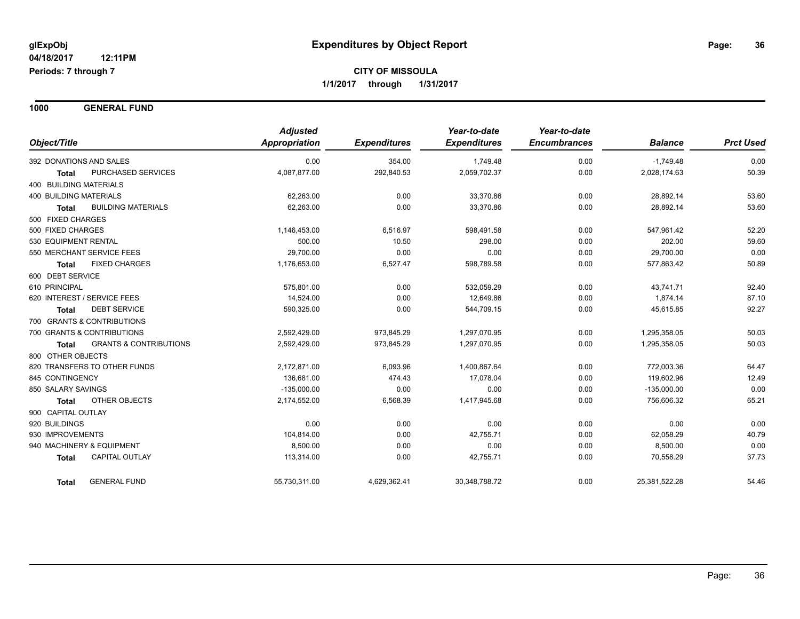**1000 GENERAL FUND**

|                                            | <b>Adjusted</b> |                     | Year-to-date<br><b>Expenditures</b> | Year-to-date<br><b>Encumbrances</b> | <b>Balance</b> | <b>Prct Used</b> |
|--------------------------------------------|-----------------|---------------------|-------------------------------------|-------------------------------------|----------------|------------------|
| Object/Title                               | Appropriation   | <b>Expenditures</b> |                                     |                                     |                |                  |
| 392 DONATIONS AND SALES                    | 0.00            | 354.00              | 1,749.48                            | 0.00                                | $-1,749.48$    | 0.00             |
| PURCHASED SERVICES<br>Total                | 4,087,877.00    | 292,840.53          | 2,059,702.37                        | 0.00                                | 2,028,174.63   | 50.39            |
| 400 BUILDING MATERIALS                     |                 |                     |                                     |                                     |                |                  |
| <b>400 BUILDING MATERIALS</b>              | 62,263.00       | 0.00                | 33,370.86                           | 0.00                                | 28,892.14      | 53.60            |
| <b>BUILDING MATERIALS</b><br>Total         | 62.263.00       | 0.00                | 33.370.86                           | 0.00                                | 28.892.14      | 53.60            |
| 500 FIXED CHARGES                          |                 |                     |                                     |                                     |                |                  |
| 500 FIXED CHARGES                          | 1,146,453.00    | 6,516.97            | 598,491.58                          | 0.00                                | 547,961.42     | 52.20            |
| 530 EQUIPMENT RENTAL                       | 500.00          | 10.50               | 298.00                              | 0.00                                | 202.00         | 59.60            |
| 550 MERCHANT SERVICE FEES                  | 29,700.00       | 0.00                | 0.00                                | 0.00                                | 29,700.00      | 0.00             |
| <b>FIXED CHARGES</b><br><b>Total</b>       | 1,176,653.00    | 6,527.47            | 598,789.58                          | 0.00                                | 577,863.42     | 50.89            |
| 600 DEBT SERVICE                           |                 |                     |                                     |                                     |                |                  |
| 610 PRINCIPAL                              | 575.801.00      | 0.00                | 532,059.29                          | 0.00                                | 43,741.71      | 92.40            |
| 620 INTEREST / SERVICE FEES                | 14.524.00       | 0.00                | 12.649.86                           | 0.00                                | 1,874.14       | 87.10            |
| <b>DEBT SERVICE</b><br>Total               | 590,325.00      | 0.00                | 544,709.15                          | 0.00                                | 45,615.85      | 92.27            |
| 700 GRANTS & CONTRIBUTIONS                 |                 |                     |                                     |                                     |                |                  |
| 700 GRANTS & CONTRIBUTIONS                 | 2,592,429.00    | 973,845.29          | 1,297,070.95                        | 0.00                                | 1,295,358.05   | 50.03            |
| <b>GRANTS &amp; CONTRIBUTIONS</b><br>Total | 2,592,429.00    | 973,845.29          | 1,297,070.95                        | 0.00                                | 1,295,358.05   | 50.03            |
| 800 OTHER OBJECTS                          |                 |                     |                                     |                                     |                |                  |
| 820 TRANSFERS TO OTHER FUNDS               | 2.172.871.00    | 6,093.96            | 1,400,867.64                        | 0.00                                | 772.003.36     | 64.47            |
| 845 CONTINGENCY                            | 136.681.00      | 474.43              | 17,078.04                           | 0.00                                | 119,602.96     | 12.49            |
| 850 SALARY SAVINGS                         | $-135,000.00$   | 0.00                | 0.00                                | 0.00                                | $-135,000.00$  | 0.00             |
| OTHER OBJECTS<br>Total                     | 2,174,552.00    | 6,568.39            | 1,417,945.68                        | 0.00                                | 756,606.32     | 65.21            |
| 900 CAPITAL OUTLAY                         |                 |                     |                                     |                                     |                |                  |
| 920 BUILDINGS                              | 0.00            | 0.00                | 0.00                                | 0.00                                | 0.00           | 0.00             |
| 930 IMPROVEMENTS                           | 104,814.00      | 0.00                | 42,755.71                           | 0.00                                | 62,058.29      | 40.79            |
| 940 MACHINERY & EQUIPMENT                  | 8,500.00        | 0.00                | 0.00                                | 0.00                                | 8,500.00       | 0.00             |
| <b>CAPITAL OUTLAY</b><br><b>Total</b>      | 113,314.00      | 0.00                | 42,755.71                           | 0.00                                | 70,558.29      | 37.73            |
| <b>GENERAL FUND</b><br>Total               | 55,730,311.00   | 4,629,362.41        | 30,348,788.72                       | 0.00                                | 25,381,522.28  | 54.46            |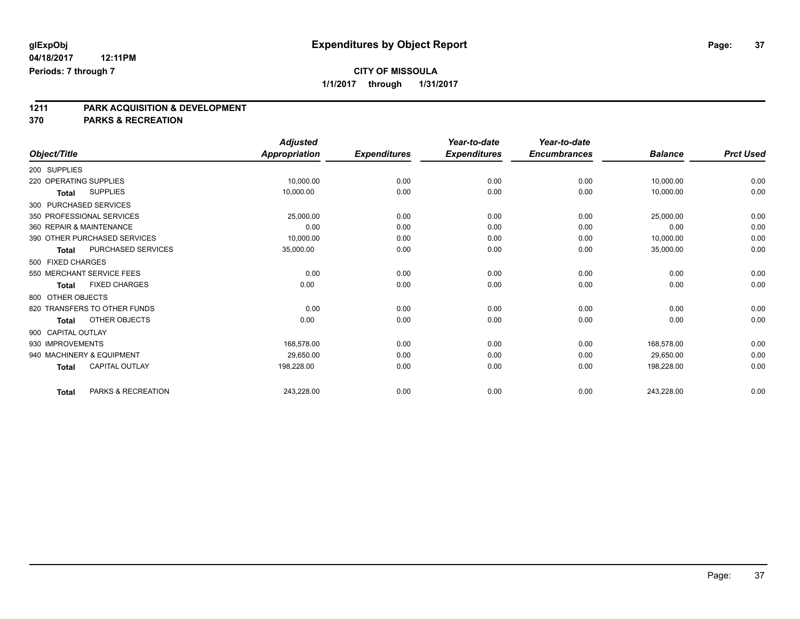**1211 PARK ACQUISITION & DEVELOPMENT**

**370 PARKS & RECREATION**

|                        |                              | <b>Adjusted</b>      |                     | Year-to-date        | Year-to-date        |                |                  |
|------------------------|------------------------------|----------------------|---------------------|---------------------|---------------------|----------------|------------------|
| Object/Title           |                              | <b>Appropriation</b> | <b>Expenditures</b> | <b>Expenditures</b> | <b>Encumbrances</b> | <b>Balance</b> | <b>Prct Used</b> |
| 200 SUPPLIES           |                              |                      |                     |                     |                     |                |                  |
| 220 OPERATING SUPPLIES |                              | 10,000.00            | 0.00                | 0.00                | 0.00                | 10,000.00      | 0.00             |
| Total                  | <b>SUPPLIES</b>              | 10,000.00            | 0.00                | 0.00                | 0.00                | 10,000.00      | 0.00             |
| 300 PURCHASED SERVICES |                              |                      |                     |                     |                     |                |                  |
|                        | 350 PROFESSIONAL SERVICES    | 25,000.00            | 0.00                | 0.00                | 0.00                | 25,000.00      | 0.00             |
|                        | 360 REPAIR & MAINTENANCE     | 0.00                 | 0.00                | 0.00                | 0.00                | 0.00           | 0.00             |
|                        | 390 OTHER PURCHASED SERVICES | 10,000.00            | 0.00                | 0.00                | 0.00                | 10,000.00      | 0.00             |
| Total                  | <b>PURCHASED SERVICES</b>    | 35,000.00            | 0.00                | 0.00                | 0.00                | 35,000.00      | 0.00             |
| 500 FIXED CHARGES      |                              |                      |                     |                     |                     |                |                  |
|                        | 550 MERCHANT SERVICE FEES    | 0.00                 | 0.00                | 0.00                | 0.00                | 0.00           | 0.00             |
| <b>Total</b>           | <b>FIXED CHARGES</b>         | 0.00                 | 0.00                | 0.00                | 0.00                | 0.00           | 0.00             |
| 800 OTHER OBJECTS      |                              |                      |                     |                     |                     |                |                  |
|                        | 820 TRANSFERS TO OTHER FUNDS | 0.00                 | 0.00                | 0.00                | 0.00                | 0.00           | 0.00             |
| <b>Total</b>           | OTHER OBJECTS                | 0.00                 | 0.00                | 0.00                | 0.00                | 0.00           | 0.00             |
| 900 CAPITAL OUTLAY     |                              |                      |                     |                     |                     |                |                  |
| 930 IMPROVEMENTS       |                              | 168,578.00           | 0.00                | 0.00                | 0.00                | 168,578.00     | 0.00             |
|                        | 940 MACHINERY & EQUIPMENT    | 29,650.00            | 0.00                | 0.00                | 0.00                | 29,650.00      | 0.00             |
| <b>Total</b>           | <b>CAPITAL OUTLAY</b>        | 198,228.00           | 0.00                | 0.00                | 0.00                | 198,228.00     | 0.00             |
| <b>Total</b>           | PARKS & RECREATION           | 243,228.00           | 0.00                | 0.00                | 0.00                | 243,228.00     | 0.00             |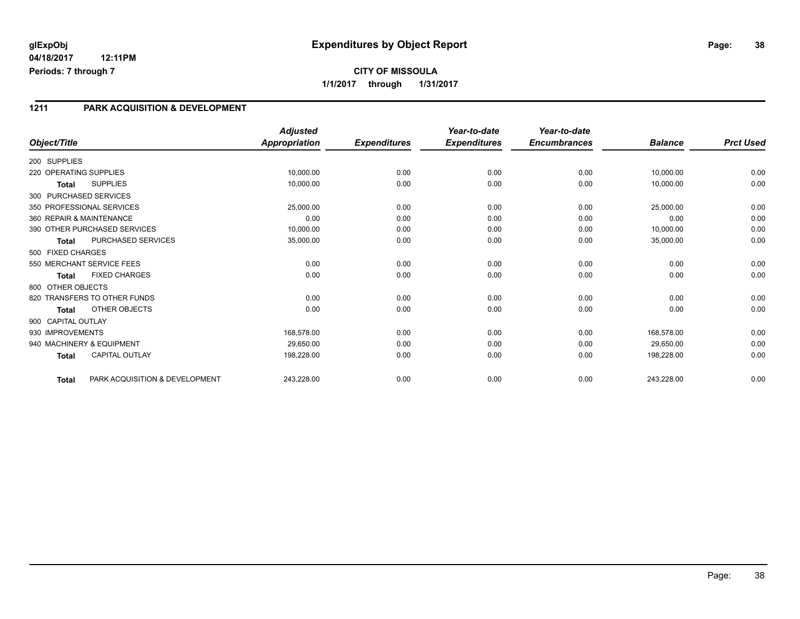#### **1211 PARK ACQUISITION & DEVELOPMENT**

|                        |                                | <b>Adjusted</b>      |                     | Year-to-date        | Year-to-date        |                |                  |
|------------------------|--------------------------------|----------------------|---------------------|---------------------|---------------------|----------------|------------------|
| Object/Title           |                                | <b>Appropriation</b> | <b>Expenditures</b> | <b>Expenditures</b> | <b>Encumbrances</b> | <b>Balance</b> | <b>Prct Used</b> |
| 200 SUPPLIES           |                                |                      |                     |                     |                     |                |                  |
| 220 OPERATING SUPPLIES |                                | 10,000.00            | 0.00                | 0.00                | 0.00                | 10,000.00      | 0.00             |
| <b>Total</b>           | <b>SUPPLIES</b>                | 10,000.00            | 0.00                | 0.00                | 0.00                | 10,000.00      | 0.00             |
|                        | 300 PURCHASED SERVICES         |                      |                     |                     |                     |                |                  |
|                        | 350 PROFESSIONAL SERVICES      | 25,000.00            | 0.00                | 0.00                | 0.00                | 25,000.00      | 0.00             |
|                        | 360 REPAIR & MAINTENANCE       | 0.00                 | 0.00                | 0.00                | 0.00                | 0.00           | 0.00             |
|                        | 390 OTHER PURCHASED SERVICES   | 10,000.00            | 0.00                | 0.00                | 0.00                | 10,000.00      | 0.00             |
| <b>Total</b>           | PURCHASED SERVICES             | 35,000.00            | 0.00                | 0.00                | 0.00                | 35,000.00      | 0.00             |
| 500 FIXED CHARGES      |                                |                      |                     |                     |                     |                |                  |
|                        | 550 MERCHANT SERVICE FEES      | 0.00                 | 0.00                | 0.00                | 0.00                | 0.00           | 0.00             |
| Total                  | <b>FIXED CHARGES</b>           | 0.00                 | 0.00                | 0.00                | 0.00                | 0.00           | 0.00             |
| 800 OTHER OBJECTS      |                                |                      |                     |                     |                     |                |                  |
|                        | 820 TRANSFERS TO OTHER FUNDS   | 0.00                 | 0.00                | 0.00                | 0.00                | 0.00           | 0.00             |
| Total                  | OTHER OBJECTS                  | 0.00                 | 0.00                | 0.00                | 0.00                | 0.00           | 0.00             |
| 900 CAPITAL OUTLAY     |                                |                      |                     |                     |                     |                |                  |
| 930 IMPROVEMENTS       |                                | 168,578.00           | 0.00                | 0.00                | 0.00                | 168,578.00     | 0.00             |
|                        | 940 MACHINERY & EQUIPMENT      | 29,650.00            | 0.00                | 0.00                | 0.00                | 29,650.00      | 0.00             |
| <b>Total</b>           | <b>CAPITAL OUTLAY</b>          | 198,228.00           | 0.00                | 0.00                | 0.00                | 198,228.00     | 0.00             |
| <b>Total</b>           | PARK ACQUISITION & DEVELOPMENT | 243,228.00           | 0.00                | 0.00                | 0.00                | 243,228.00     | 0.00             |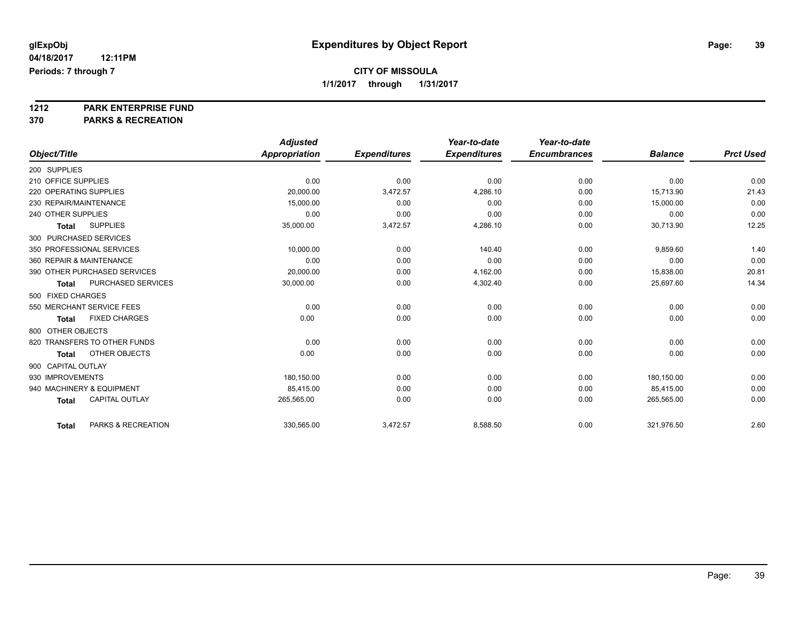# **1212 PARK ENTERPRISE FUND**

**370 PARKS & RECREATION**

|                                       | <b>Adjusted</b>      |                     | Year-to-date        | Year-to-date        |                |                  |
|---------------------------------------|----------------------|---------------------|---------------------|---------------------|----------------|------------------|
| Object/Title                          | <b>Appropriation</b> | <b>Expenditures</b> | <b>Expenditures</b> | <b>Encumbrances</b> | <b>Balance</b> | <b>Prct Used</b> |
| 200 SUPPLIES                          |                      |                     |                     |                     |                |                  |
| 210 OFFICE SUPPLIES                   | 0.00                 | 0.00                | 0.00                | 0.00                | 0.00           | 0.00             |
| 220 OPERATING SUPPLIES                | 20,000.00            | 3,472.57            | 4,286.10            | 0.00                | 15,713.90      | 21.43            |
| 230 REPAIR/MAINTENANCE                | 15,000.00            | 0.00                | 0.00                | 0.00                | 15,000.00      | 0.00             |
| 240 OTHER SUPPLIES                    | 0.00                 | 0.00                | 0.00                | 0.00                | 0.00           | 0.00             |
| <b>SUPPLIES</b><br><b>Total</b>       | 35,000.00            | 3,472.57            | 4,286.10            | 0.00                | 30,713.90      | 12.25            |
| 300 PURCHASED SERVICES                |                      |                     |                     |                     |                |                  |
| 350 PROFESSIONAL SERVICES             | 10,000.00            | 0.00                | 140.40              | 0.00                | 9,859.60       | 1.40             |
| 360 REPAIR & MAINTENANCE              | 0.00                 | 0.00                | 0.00                | 0.00                | 0.00           | 0.00             |
| 390 OTHER PURCHASED SERVICES          | 20,000.00            | 0.00                | 4,162.00            | 0.00                | 15,838.00      | 20.81            |
| PURCHASED SERVICES<br><b>Total</b>    | 30,000.00            | 0.00                | 4,302.40            | 0.00                | 25,697.60      | 14.34            |
| 500 FIXED CHARGES                     |                      |                     |                     |                     |                |                  |
| 550 MERCHANT SERVICE FEES             | 0.00                 | 0.00                | 0.00                | 0.00                | 0.00           | 0.00             |
| <b>FIXED CHARGES</b><br><b>Total</b>  | 0.00                 | 0.00                | 0.00                | 0.00                | 0.00           | 0.00             |
| 800 OTHER OBJECTS                     |                      |                     |                     |                     |                |                  |
| 820 TRANSFERS TO OTHER FUNDS          | 0.00                 | 0.00                | 0.00                | 0.00                | 0.00           | 0.00             |
| OTHER OBJECTS<br><b>Total</b>         | 0.00                 | 0.00                | 0.00                | 0.00                | 0.00           | 0.00             |
| 900 CAPITAL OUTLAY                    |                      |                     |                     |                     |                |                  |
| 930 IMPROVEMENTS                      | 180,150.00           | 0.00                | 0.00                | 0.00                | 180,150.00     | 0.00             |
| 940 MACHINERY & EQUIPMENT             | 85.415.00            | 0.00                | 0.00                | 0.00                | 85.415.00      | 0.00             |
| <b>CAPITAL OUTLAY</b><br><b>Total</b> | 265,565.00           | 0.00                | 0.00                | 0.00                | 265,565.00     | 0.00             |
|                                       |                      |                     |                     |                     |                |                  |
| PARKS & RECREATION<br><b>Total</b>    | 330,565.00           | 3,472.57            | 8,588.50            | 0.00                | 321,976.50     | 2.60             |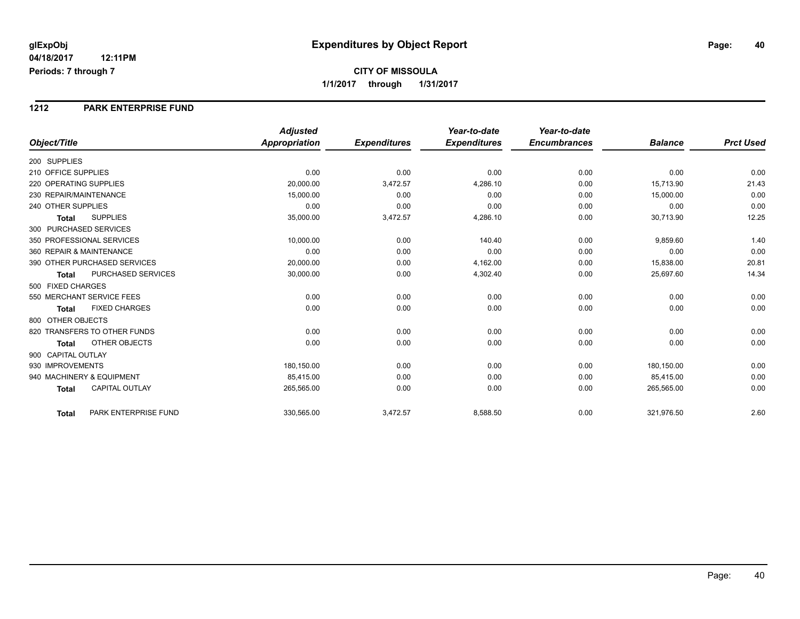#### **1212 PARK ENTERPRISE FUND**

|                                           | <b>Adjusted</b>      |                     | Year-to-date        | Year-to-date        |                |                  |
|-------------------------------------------|----------------------|---------------------|---------------------|---------------------|----------------|------------------|
| Object/Title                              | <b>Appropriation</b> | <b>Expenditures</b> | <b>Expenditures</b> | <b>Encumbrances</b> | <b>Balance</b> | <b>Prct Used</b> |
| 200 SUPPLIES                              |                      |                     |                     |                     |                |                  |
| 210 OFFICE SUPPLIES                       | 0.00                 | 0.00                | 0.00                | 0.00                | 0.00           | 0.00             |
| 220 OPERATING SUPPLIES                    | 20,000.00            | 3,472.57            | 4,286.10            | 0.00                | 15,713.90      | 21.43            |
| 230 REPAIR/MAINTENANCE                    | 15,000.00            | 0.00                | 0.00                | 0.00                | 15,000.00      | 0.00             |
| 240 OTHER SUPPLIES                        | 0.00                 | 0.00                | 0.00                | 0.00                | 0.00           | 0.00             |
| <b>SUPPLIES</b><br><b>Total</b>           | 35,000.00            | 3,472.57            | 4,286.10            | 0.00                | 30,713.90      | 12.25            |
| 300 PURCHASED SERVICES                    |                      |                     |                     |                     |                |                  |
| 350 PROFESSIONAL SERVICES                 | 10,000.00            | 0.00                | 140.40              | 0.00                | 9,859.60       | 1.40             |
| 360 REPAIR & MAINTENANCE                  | 0.00                 | 0.00                | 0.00                | 0.00                | 0.00           | 0.00             |
| 390 OTHER PURCHASED SERVICES              | 20,000.00            | 0.00                | 4,162.00            | 0.00                | 15,838.00      | 20.81            |
| <b>PURCHASED SERVICES</b><br><b>Total</b> | 30,000.00            | 0.00                | 4,302.40            | 0.00                | 25,697.60      | 14.34            |
| 500 FIXED CHARGES                         |                      |                     |                     |                     |                |                  |
| 550 MERCHANT SERVICE FEES                 | 0.00                 | 0.00                | 0.00                | 0.00                | 0.00           | 0.00             |
| <b>FIXED CHARGES</b><br><b>Total</b>      | 0.00                 | 0.00                | 0.00                | 0.00                | 0.00           | 0.00             |
| 800 OTHER OBJECTS                         |                      |                     |                     |                     |                |                  |
| 820 TRANSFERS TO OTHER FUNDS              | 0.00                 | 0.00                | 0.00                | 0.00                | 0.00           | 0.00             |
| <b>OTHER OBJECTS</b><br><b>Total</b>      | 0.00                 | 0.00                | 0.00                | 0.00                | 0.00           | 0.00             |
| 900 CAPITAL OUTLAY                        |                      |                     |                     |                     |                |                  |
| 930 IMPROVEMENTS                          | 180,150.00           | 0.00                | 0.00                | 0.00                | 180,150.00     | 0.00             |
| 940 MACHINERY & EQUIPMENT                 | 85,415.00            | 0.00                | 0.00                | 0.00                | 85,415.00      | 0.00             |
| <b>CAPITAL OUTLAY</b><br><b>Total</b>     | 265,565.00           | 0.00                | 0.00                | 0.00                | 265,565.00     | 0.00             |
| PARK ENTERPRISE FUND<br><b>Total</b>      | 330,565.00           | 3,472.57            | 8,588.50            | 0.00                | 321,976.50     | 2.60             |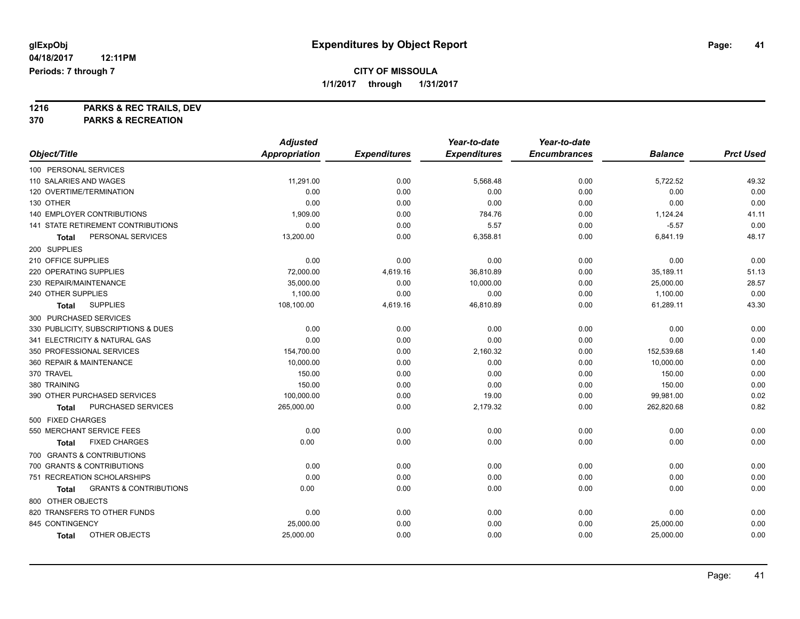**1216 PARKS & REC TRAILS, DEV 370 PARKS & RECREATION**

|                                            | <b>Adjusted</b>      |                     | Year-to-date        | Year-to-date        |                |                  |
|--------------------------------------------|----------------------|---------------------|---------------------|---------------------|----------------|------------------|
| Object/Title                               | <b>Appropriation</b> | <b>Expenditures</b> | <b>Expenditures</b> | <b>Encumbrances</b> | <b>Balance</b> | <b>Prct Used</b> |
| 100 PERSONAL SERVICES                      |                      |                     |                     |                     |                |                  |
| 110 SALARIES AND WAGES                     | 11,291.00            | 0.00                | 5,568.48            | 0.00                | 5,722.52       | 49.32            |
| 120 OVERTIME/TERMINATION                   | 0.00                 | 0.00                | 0.00                | 0.00                | 0.00           | 0.00             |
| 130 OTHER                                  | 0.00                 | 0.00                | 0.00                | 0.00                | 0.00           | 0.00             |
| 140 EMPLOYER CONTRIBUTIONS                 | 1,909.00             | 0.00                | 784.76              | 0.00                | 1,124.24       | 41.11            |
| 141 STATE RETIREMENT CONTRIBUTIONS         | 0.00                 | 0.00                | 5.57                | 0.00                | $-5.57$        | 0.00             |
| PERSONAL SERVICES<br>Total                 | 13,200.00            | 0.00                | 6,358.81            | 0.00                | 6,841.19       | 48.17            |
| 200 SUPPLIES                               |                      |                     |                     |                     |                |                  |
| 210 OFFICE SUPPLIES                        | 0.00                 | 0.00                | 0.00                | 0.00                | 0.00           | 0.00             |
| 220 OPERATING SUPPLIES                     | 72,000.00            | 4,619.16            | 36,810.89           | 0.00                | 35,189.11      | 51.13            |
| 230 REPAIR/MAINTENANCE                     | 35,000.00            | 0.00                | 10,000.00           | 0.00                | 25,000.00      | 28.57            |
| 240 OTHER SUPPLIES                         | 1,100.00             | 0.00                | 0.00                | 0.00                | 1,100.00       | 0.00             |
| <b>SUPPLIES</b><br>Total                   | 108,100.00           | 4,619.16            | 46,810.89           | 0.00                | 61,289.11      | 43.30            |
| 300 PURCHASED SERVICES                     |                      |                     |                     |                     |                |                  |
| 330 PUBLICITY, SUBSCRIPTIONS & DUES        | 0.00                 | 0.00                | 0.00                | 0.00                | 0.00           | 0.00             |
| 341 ELECTRICITY & NATURAL GAS              | 0.00                 | 0.00                | 0.00                | 0.00                | 0.00           | 0.00             |
| 350 PROFESSIONAL SERVICES                  | 154,700.00           | 0.00                | 2,160.32            | 0.00                | 152,539.68     | 1.40             |
| 360 REPAIR & MAINTENANCE                   | 10,000.00            | 0.00                | 0.00                | 0.00                | 10,000.00      | 0.00             |
| 370 TRAVEL                                 | 150.00               | 0.00                | 0.00                | 0.00                | 150.00         | 0.00             |
| 380 TRAINING                               | 150.00               | 0.00                | 0.00                | 0.00                | 150.00         | 0.00             |
| 390 OTHER PURCHASED SERVICES               | 100,000.00           | 0.00                | 19.00               | 0.00                | 99,981.00      | 0.02             |
| PURCHASED SERVICES<br>Total                | 265,000.00           | 0.00                | 2,179.32            | 0.00                | 262,820.68     | 0.82             |
| 500 FIXED CHARGES                          |                      |                     |                     |                     |                |                  |
| 550 MERCHANT SERVICE FEES                  | 0.00                 | 0.00                | 0.00                | 0.00                | 0.00           | 0.00             |
| <b>FIXED CHARGES</b><br>Total              | 0.00                 | 0.00                | 0.00                | 0.00                | 0.00           | 0.00             |
| 700 GRANTS & CONTRIBUTIONS                 |                      |                     |                     |                     |                |                  |
| 700 GRANTS & CONTRIBUTIONS                 | 0.00                 | 0.00                | 0.00                | 0.00                | 0.00           | 0.00             |
| 751 RECREATION SCHOLARSHIPS                | 0.00                 | 0.00                | 0.00                | 0.00                | 0.00           | 0.00             |
| <b>GRANTS &amp; CONTRIBUTIONS</b><br>Total | 0.00                 | 0.00                | 0.00                | 0.00                | 0.00           | 0.00             |
| 800 OTHER OBJECTS                          |                      |                     |                     |                     |                |                  |
| 820 TRANSFERS TO OTHER FUNDS               | 0.00                 | 0.00                | 0.00                | 0.00                | 0.00           | 0.00             |
| 845 CONTINGENCY                            | 25,000.00            | 0.00                | 0.00                | 0.00                | 25,000.00      | 0.00             |
| OTHER OBJECTS<br>Total                     | 25,000.00            | 0.00                | 0.00                | 0.00                | 25,000.00      | 0.00             |
|                                            |                      |                     |                     |                     |                |                  |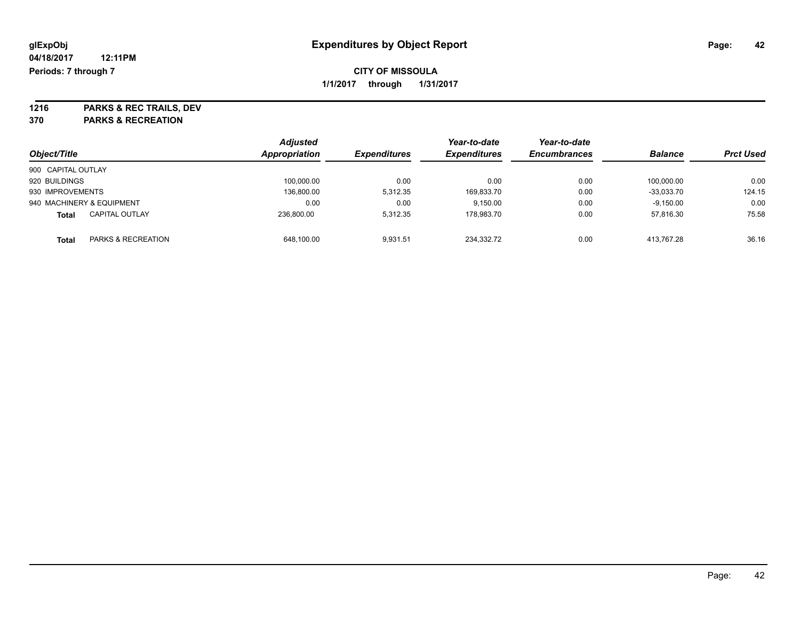**1216 PARKS & REC TRAILS, DEV 370 PARKS & RECREATION**

| Object/Title       |                           | <b>Adjusted</b><br>Appropriation | <b>Expenditures</b> | Year-to-date<br><b>Expenditures</b> | Year-to-date<br><b>Encumbrances</b> | <b>Balance</b> | <b>Prct Used</b> |
|--------------------|---------------------------|----------------------------------|---------------------|-------------------------------------|-------------------------------------|----------------|------------------|
| 900 CAPITAL OUTLAY |                           |                                  |                     |                                     |                                     |                |                  |
| 920 BUILDINGS      |                           | 100,000.00                       | 0.00                | 0.00                                | 0.00                                | 100.000.00     | 0.00             |
| 930 IMPROVEMENTS   |                           | 136,800.00                       | 5.312.35            | 169,833.70                          | 0.00                                | $-33.033.70$   | 124.15           |
|                    | 940 MACHINERY & EQUIPMENT | 0.00                             | 0.00                | 9.150.00                            | 0.00                                | $-9,150.00$    | 0.00             |
| Total              | <b>CAPITAL OUTLAY</b>     | 236.800.00                       | 5.312.35            | 178,983.70                          | 0.00                                | 57.816.30      | 75.58            |
| Total              | PARKS & RECREATION        | 648.100.00                       | 9.931.51            | 234.332.72                          | 0.00                                | 413.767.28     | 36.16            |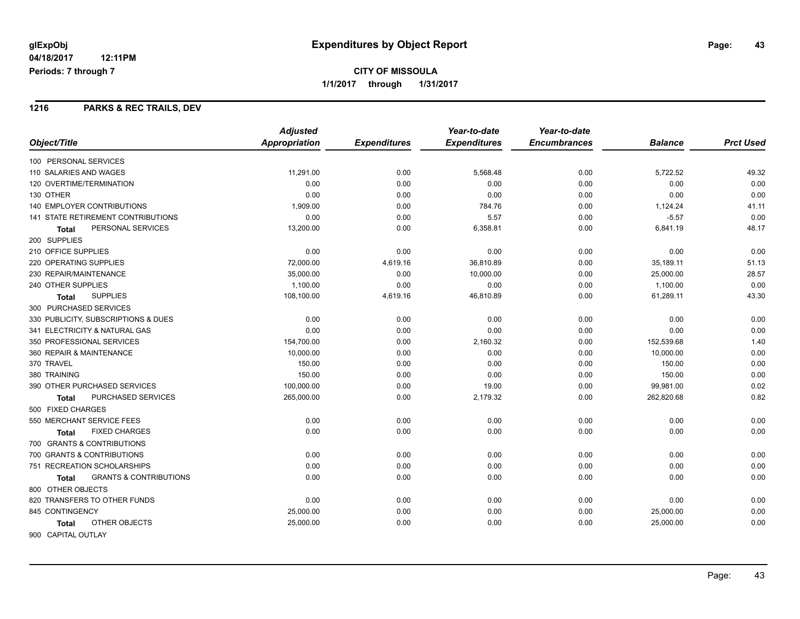## **CITY OF MISSOULA 1/1/2017 through 1/31/2017**

#### **1216 PARKS & REC TRAILS, DEV**

|                                                   | <b>Adjusted</b>      |                     | Year-to-date        | Year-to-date        |                |                  |
|---------------------------------------------------|----------------------|---------------------|---------------------|---------------------|----------------|------------------|
| Object/Title                                      | <b>Appropriation</b> | <b>Expenditures</b> | <b>Expenditures</b> | <b>Encumbrances</b> | <b>Balance</b> | <b>Prct Used</b> |
| 100 PERSONAL SERVICES                             |                      |                     |                     |                     |                |                  |
| 110 SALARIES AND WAGES                            | 11,291.00            | 0.00                | 5,568.48            | 0.00                | 5,722.52       | 49.32            |
| 120 OVERTIME/TERMINATION                          | 0.00                 | 0.00                | 0.00                | 0.00                | 0.00           | 0.00             |
| 130 OTHER                                         | 0.00                 | 0.00                | 0.00                | 0.00                | 0.00           | 0.00             |
| <b>140 EMPLOYER CONTRIBUTIONS</b>                 | 1.909.00             | 0.00                | 784.76              | 0.00                | 1,124.24       | 41.11            |
| 141 STATE RETIREMENT CONTRIBUTIONS                | 0.00                 | 0.00                | 5.57                | 0.00                | $-5.57$        | 0.00             |
| PERSONAL SERVICES<br><b>Total</b>                 | 13,200.00            | 0.00                | 6,358.81            | 0.00                | 6,841.19       | 48.17            |
| 200 SUPPLIES                                      |                      |                     |                     |                     |                |                  |
| 210 OFFICE SUPPLIES                               | 0.00                 | 0.00                | 0.00                | 0.00                | 0.00           | 0.00             |
| 220 OPERATING SUPPLIES                            | 72,000.00            | 4,619.16            | 36,810.89           | 0.00                | 35,189.11      | 51.13            |
| 230 REPAIR/MAINTENANCE                            | 35,000.00            | 0.00                | 10,000.00           | 0.00                | 25,000.00      | 28.57            |
| 240 OTHER SUPPLIES                                | 1,100.00             | 0.00                | 0.00                | 0.00                | 1,100.00       | 0.00             |
| <b>SUPPLIES</b><br><b>Total</b>                   | 108,100.00           | 4,619.16            | 46,810.89           | 0.00                | 61,289.11      | 43.30            |
| 300 PURCHASED SERVICES                            |                      |                     |                     |                     |                |                  |
| 330 PUBLICITY, SUBSCRIPTIONS & DUES               | 0.00                 | 0.00                | 0.00                | 0.00                | 0.00           | 0.00             |
| 341 ELECTRICITY & NATURAL GAS                     | 0.00                 | 0.00                | 0.00                | 0.00                | 0.00           | 0.00             |
| 350 PROFESSIONAL SERVICES                         | 154,700.00           | 0.00                | 2,160.32            | 0.00                | 152,539.68     | 1.40             |
| 360 REPAIR & MAINTENANCE                          | 10,000.00            | 0.00                | 0.00                | 0.00                | 10,000.00      | 0.00             |
| 370 TRAVEL                                        | 150.00               | 0.00                | 0.00                | 0.00                | 150.00         | 0.00             |
| 380 TRAINING                                      | 150.00               | 0.00                | 0.00                | 0.00                | 150.00         | 0.00             |
| 390 OTHER PURCHASED SERVICES                      | 100,000.00           | 0.00                | 19.00               | 0.00                | 99,981.00      | 0.02             |
| PURCHASED SERVICES<br><b>Total</b>                | 265,000.00           | 0.00                | 2,179.32            | 0.00                | 262,820.68     | 0.82             |
| 500 FIXED CHARGES                                 |                      |                     |                     |                     |                |                  |
| 550 MERCHANT SERVICE FEES                         | 0.00                 | 0.00                | 0.00                | 0.00                | 0.00           | 0.00             |
| <b>FIXED CHARGES</b><br><b>Total</b>              | 0.00                 | 0.00                | 0.00                | 0.00                | 0.00           | 0.00             |
| 700 GRANTS & CONTRIBUTIONS                        |                      |                     |                     |                     |                |                  |
| 700 GRANTS & CONTRIBUTIONS                        | 0.00                 | 0.00                | 0.00                | 0.00                | 0.00           | 0.00             |
| 751 RECREATION SCHOLARSHIPS                       | 0.00                 | 0.00                | 0.00                | 0.00                | 0.00           | 0.00             |
| <b>GRANTS &amp; CONTRIBUTIONS</b><br><b>Total</b> | 0.00                 | 0.00                | 0.00                | 0.00                | 0.00           | 0.00             |
| 800 OTHER OBJECTS                                 |                      |                     |                     |                     |                |                  |
| 820 TRANSFERS TO OTHER FUNDS                      | 0.00                 | 0.00                | 0.00                | 0.00                | 0.00           | 0.00             |
| 845 CONTINGENCY                                   | 25,000.00            | 0.00                | 0.00                | 0.00                | 25,000.00      | 0.00             |
| OTHER OBJECTS<br><b>Total</b>                     | 25,000.00            | 0.00                | 0.00                | 0.00                | 25,000.00      | 0.00             |
| 900 CAPITAL OUTLAY                                |                      |                     |                     |                     |                |                  |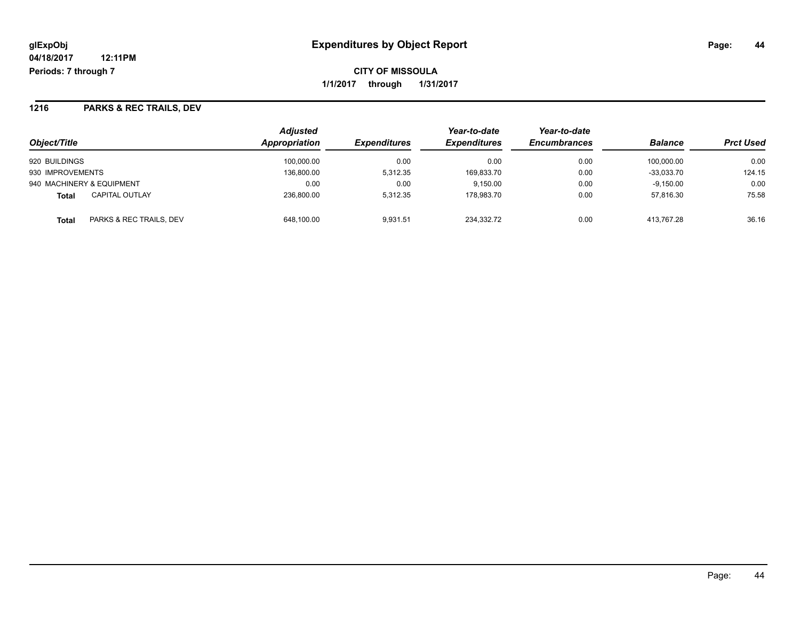**CITY OF MISSOULA 1/1/2017 through 1/31/2017**

### **1216 PARKS & REC TRAILS, DEV**

| Object/Title                          | <b>Adjusted</b><br><b>Appropriation</b> | <b>Expenditures</b> | Year-to-date<br><b>Expenditures</b> | Year-to-date<br><b>Encumbrances</b> | <b>Balance</b> | <b>Prct Used</b> |
|---------------------------------------|-----------------------------------------|---------------------|-------------------------------------|-------------------------------------|----------------|------------------|
| 920 BUILDINGS                         | 100.000.00                              | 0.00                | 0.00                                | 0.00                                | 100.000.00     | 0.00             |
| 930 IMPROVEMENTS                      | 136.800.00                              | 5.312.35            | 169,833.70                          | 0.00                                | $-33.033.70$   | 124.15           |
| 940 MACHINERY & EQUIPMENT             | 0.00                                    | 0.00                | 9.150.00                            | 0.00                                | $-9,150.00$    | 0.00             |
| <b>CAPITAL OUTLAY</b><br><b>Total</b> | 236.800.00                              | 5.312.35            | 178.983.70                          | 0.00                                | 57.816.30      | 75.58            |
| PARKS & REC TRAILS, DEV<br>Total      | 648.100.00                              | 9.931.51            | 234.332.72                          | 0.00                                | 413.767.28     | 36.16            |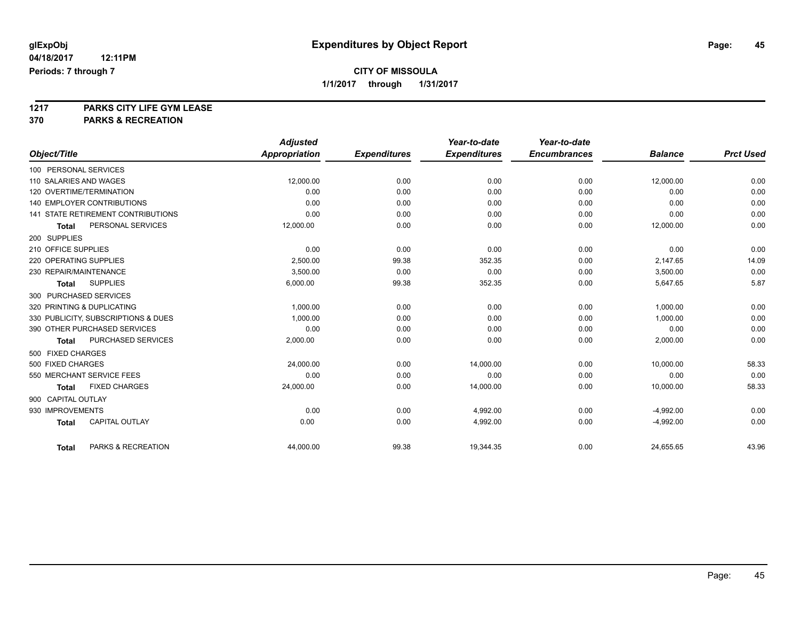# **1217 PARKS CITY LIFE GYM LEASE**

**370 PARKS & RECREATION**

|                                           | <b>Adjusted</b> |                     | Year-to-date        | Year-to-date        |                |                  |
|-------------------------------------------|-----------------|---------------------|---------------------|---------------------|----------------|------------------|
| Object/Title                              | Appropriation   | <b>Expenditures</b> | <b>Expenditures</b> | <b>Encumbrances</b> | <b>Balance</b> | <b>Prct Used</b> |
| 100 PERSONAL SERVICES                     |                 |                     |                     |                     |                |                  |
| 110 SALARIES AND WAGES                    | 12,000.00       | 0.00                | 0.00                | 0.00                | 12,000.00      | 0.00             |
| 120 OVERTIME/TERMINATION                  | 0.00            | 0.00                | 0.00                | 0.00                | 0.00           | 0.00             |
| <b>140 EMPLOYER CONTRIBUTIONS</b>         | 0.00            | 0.00                | 0.00                | 0.00                | 0.00           | 0.00             |
| <b>141 STATE RETIREMENT CONTRIBUTIONS</b> | 0.00            | 0.00                | 0.00                | 0.00                | 0.00           | 0.00             |
| PERSONAL SERVICES<br>Total                | 12,000.00       | 0.00                | 0.00                | 0.00                | 12,000.00      | 0.00             |
| 200 SUPPLIES                              |                 |                     |                     |                     |                |                  |
| 210 OFFICE SUPPLIES                       | 0.00            | 0.00                | 0.00                | 0.00                | 0.00           | 0.00             |
| 220 OPERATING SUPPLIES                    | 2.500.00        | 99.38               | 352.35              | 0.00                | 2,147.65       | 14.09            |
| 230 REPAIR/MAINTENANCE                    | 3,500.00        | 0.00                | 0.00                | 0.00                | 3,500.00       | 0.00             |
| <b>SUPPLIES</b><br><b>Total</b>           | 6,000.00        | 99.38               | 352.35              | 0.00                | 5,647.65       | 5.87             |
| 300 PURCHASED SERVICES                    |                 |                     |                     |                     |                |                  |
| 320 PRINTING & DUPLICATING                | 1,000.00        | 0.00                | 0.00                | 0.00                | 1,000.00       | 0.00             |
| 330 PUBLICITY, SUBSCRIPTIONS & DUES       | 1.000.00        | 0.00                | 0.00                | 0.00                | 1,000.00       | 0.00             |
| 390 OTHER PURCHASED SERVICES              | 0.00            | 0.00                | 0.00                | 0.00                | 0.00           | 0.00             |
| PURCHASED SERVICES<br>Total               | 2,000.00        | 0.00                | 0.00                | 0.00                | 2,000.00       | 0.00             |
| 500 FIXED CHARGES                         |                 |                     |                     |                     |                |                  |
| 500 FIXED CHARGES                         | 24,000.00       | 0.00                | 14,000.00           | 0.00                | 10,000.00      | 58.33            |
| 550 MERCHANT SERVICE FEES                 | 0.00            | 0.00                | 0.00                | 0.00                | 0.00           | 0.00             |
| <b>FIXED CHARGES</b><br><b>Total</b>      | 24,000.00       | 0.00                | 14,000.00           | 0.00                | 10,000.00      | 58.33            |
| 900 CAPITAL OUTLAY                        |                 |                     |                     |                     |                |                  |
| 930 IMPROVEMENTS                          | 0.00            | 0.00                | 4.992.00            | 0.00                | $-4,992.00$    | 0.00             |
| CAPITAL OUTLAY<br><b>Total</b>            | 0.00            | 0.00                | 4,992.00            | 0.00                | $-4,992.00$    | 0.00             |
|                                           |                 |                     |                     |                     |                |                  |
| PARKS & RECREATION<br><b>Total</b>        | 44,000.00       | 99.38               | 19,344.35           | 0.00                | 24,655.65      | 43.96            |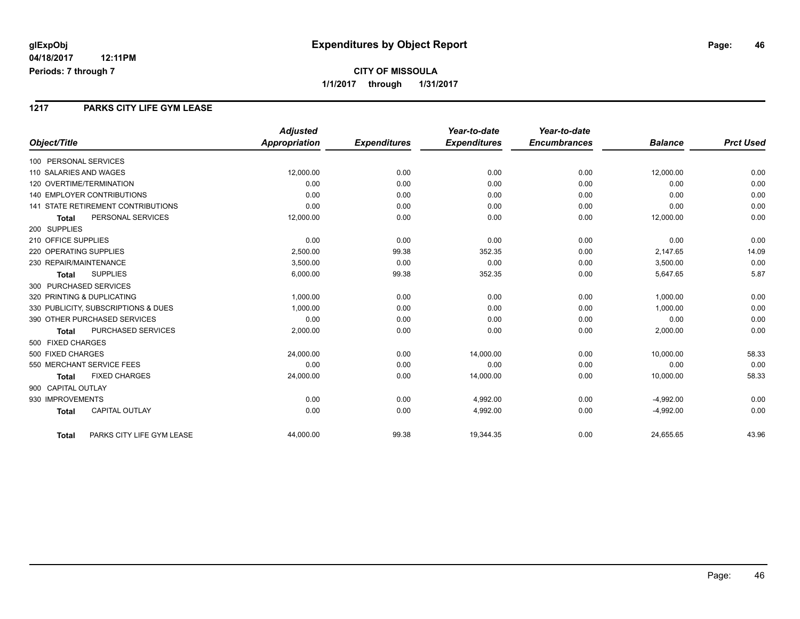### **CITY OF MISSOULA 1/1/2017 through 1/31/2017**

#### **1217 PARKS CITY LIFE GYM LEASE**

|                                           | <b>Adjusted</b>      |                     | Year-to-date        | Year-to-date        |                |                  |
|-------------------------------------------|----------------------|---------------------|---------------------|---------------------|----------------|------------------|
| Object/Title                              | <b>Appropriation</b> | <b>Expenditures</b> | <b>Expenditures</b> | <b>Encumbrances</b> | <b>Balance</b> | <b>Prct Used</b> |
| 100 PERSONAL SERVICES                     |                      |                     |                     |                     |                |                  |
| 110 SALARIES AND WAGES                    | 12,000.00            | 0.00                | 0.00                | 0.00                | 12,000.00      | 0.00             |
| 120 OVERTIME/TERMINATION                  | 0.00                 | 0.00                | 0.00                | 0.00                | 0.00           | 0.00             |
| <b>140 EMPLOYER CONTRIBUTIONS</b>         | 0.00                 | 0.00                | 0.00                | 0.00                | 0.00           | 0.00             |
| <b>141 STATE RETIREMENT CONTRIBUTIONS</b> | 0.00                 | 0.00                | 0.00                | 0.00                | 0.00           | 0.00             |
| PERSONAL SERVICES<br><b>Total</b>         | 12,000.00            | 0.00                | 0.00                | 0.00                | 12,000.00      | 0.00             |
| 200 SUPPLIES                              |                      |                     |                     |                     |                |                  |
| 210 OFFICE SUPPLIES                       | 0.00                 | 0.00                | 0.00                | 0.00                | 0.00           | 0.00             |
| 220 OPERATING SUPPLIES                    | 2,500.00             | 99.38               | 352.35              | 0.00                | 2,147.65       | 14.09            |
| 230 REPAIR/MAINTENANCE                    | 3,500.00             | 0.00                | 0.00                | 0.00                | 3,500.00       | 0.00             |
| <b>SUPPLIES</b><br><b>Total</b>           | 6,000.00             | 99.38               | 352.35              | 0.00                | 5,647.65       | 5.87             |
| 300 PURCHASED SERVICES                    |                      |                     |                     |                     |                |                  |
| 320 PRINTING & DUPLICATING                | 1,000.00             | 0.00                | 0.00                | 0.00                | 1,000.00       | 0.00             |
| 330 PUBLICITY, SUBSCRIPTIONS & DUES       | 1,000.00             | 0.00                | 0.00                | 0.00                | 1,000.00       | 0.00             |
| 390 OTHER PURCHASED SERVICES              | 0.00                 | 0.00                | 0.00                | 0.00                | 0.00           | 0.00             |
| PURCHASED SERVICES<br>Total               | 2,000.00             | 0.00                | 0.00                | 0.00                | 2,000.00       | 0.00             |
| 500 FIXED CHARGES                         |                      |                     |                     |                     |                |                  |
| 500 FIXED CHARGES                         | 24,000.00            | 0.00                | 14,000.00           | 0.00                | 10,000.00      | 58.33            |
| 550 MERCHANT SERVICE FEES                 | 0.00                 | 0.00                | 0.00                | 0.00                | 0.00           | 0.00             |
| <b>FIXED CHARGES</b><br><b>Total</b>      | 24,000.00            | 0.00                | 14,000.00           | 0.00                | 10,000.00      | 58.33            |
| 900 CAPITAL OUTLAY                        |                      |                     |                     |                     |                |                  |
| 930 IMPROVEMENTS                          | 0.00                 | 0.00                | 4,992.00            | 0.00                | $-4,992.00$    | 0.00             |
| <b>CAPITAL OUTLAY</b><br><b>Total</b>     | 0.00                 | 0.00                | 4,992.00            | 0.00                | $-4,992.00$    | 0.00             |
| PARKS CITY LIFE GYM LEASE<br><b>Total</b> | 44,000.00            | 99.38               | 19,344.35           | 0.00                | 24,655.65      | 43.96            |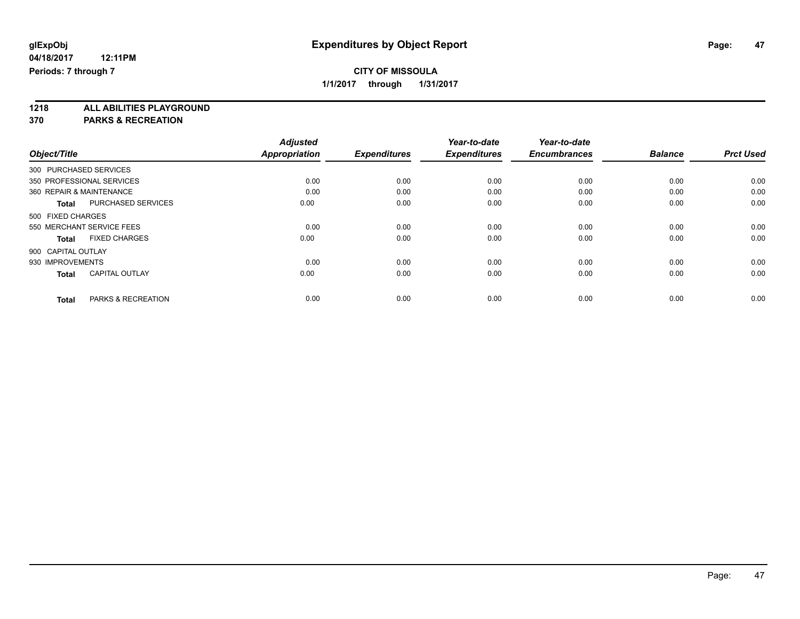**1218 ALL ABILITIES PLAYGROUND**

**370 PARKS & RECREATION**

|                    |                           | <b>Adjusted</b>      |                     | Year-to-date        | Year-to-date        |                |                  |
|--------------------|---------------------------|----------------------|---------------------|---------------------|---------------------|----------------|------------------|
| Object/Title       |                           | <b>Appropriation</b> | <b>Expenditures</b> | <b>Expenditures</b> | <b>Encumbrances</b> | <b>Balance</b> | <b>Prct Used</b> |
|                    | 300 PURCHASED SERVICES    |                      |                     |                     |                     |                |                  |
|                    | 350 PROFESSIONAL SERVICES | 0.00                 | 0.00                | 0.00                | 0.00                | 0.00           | 0.00             |
|                    | 360 REPAIR & MAINTENANCE  | 0.00                 | 0.00                | 0.00                | 0.00                | 0.00           | 0.00             |
| Total              | <b>PURCHASED SERVICES</b> | 0.00                 | 0.00                | 0.00                | 0.00                | 0.00           | 0.00             |
| 500 FIXED CHARGES  |                           |                      |                     |                     |                     |                |                  |
|                    | 550 MERCHANT SERVICE FEES | 0.00                 | 0.00                | 0.00                | 0.00                | 0.00           | 0.00             |
| <b>Total</b>       | <b>FIXED CHARGES</b>      | 0.00                 | 0.00                | 0.00                | 0.00                | 0.00           | 0.00             |
| 900 CAPITAL OUTLAY |                           |                      |                     |                     |                     |                |                  |
| 930 IMPROVEMENTS   |                           | 0.00                 | 0.00                | 0.00                | 0.00                | 0.00           | 0.00             |
| <b>Total</b>       | <b>CAPITAL OUTLAY</b>     | 0.00                 | 0.00                | 0.00                | 0.00                | 0.00           | 0.00             |
|                    |                           |                      |                     |                     |                     |                |                  |
| <b>Total</b>       | PARKS & RECREATION        | 0.00                 | 0.00                | 0.00                | 0.00                | 0.00           | 0.00             |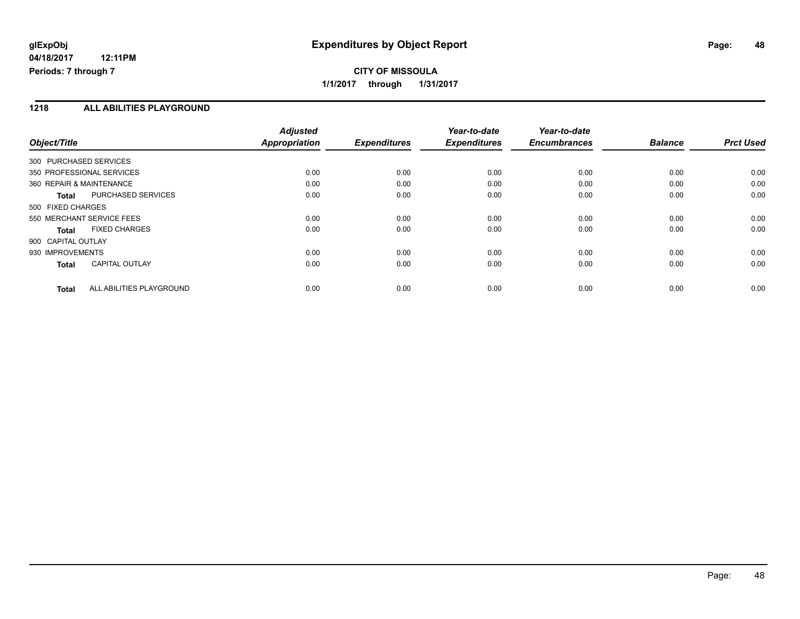#### **1218 ALL ABILITIES PLAYGROUND**

| Object/Title                              | <b>Adjusted</b><br><b>Appropriation</b> | <b>Expenditures</b> | Year-to-date<br><b>Expenditures</b> | Year-to-date<br><b>Encumbrances</b> | <b>Balance</b> | <b>Prct Used</b> |
|-------------------------------------------|-----------------------------------------|---------------------|-------------------------------------|-------------------------------------|----------------|------------------|
| 300 PURCHASED SERVICES                    |                                         |                     |                                     |                                     |                |                  |
| 350 PROFESSIONAL SERVICES                 | 0.00                                    | 0.00                | 0.00                                | 0.00                                | 0.00           | 0.00             |
| 360 REPAIR & MAINTENANCE                  | 0.00                                    | 0.00                | 0.00                                | 0.00                                | 0.00           | 0.00             |
| <b>PURCHASED SERVICES</b><br><b>Total</b> | 0.00                                    | 0.00                | 0.00                                | 0.00                                | 0.00           | 0.00             |
| 500 FIXED CHARGES                         |                                         |                     |                                     |                                     |                |                  |
| 550 MERCHANT SERVICE FEES                 | 0.00                                    | 0.00                | 0.00                                | 0.00                                | 0.00           | 0.00             |
| <b>FIXED CHARGES</b><br>Total             | 0.00                                    | 0.00                | 0.00                                | 0.00                                | 0.00           | 0.00             |
| 900 CAPITAL OUTLAY                        |                                         |                     |                                     |                                     |                |                  |
| 930 IMPROVEMENTS                          | 0.00                                    | 0.00                | 0.00                                | 0.00                                | 0.00           | 0.00             |
| <b>CAPITAL OUTLAY</b><br>Total            | 0.00                                    | 0.00                | 0.00                                | 0.00                                | 0.00           | 0.00             |
| ALL ABILITIES PLAYGROUND<br>Total         | 0.00                                    | 0.00                | 0.00                                | 0.00                                | 0.00           | 0.00             |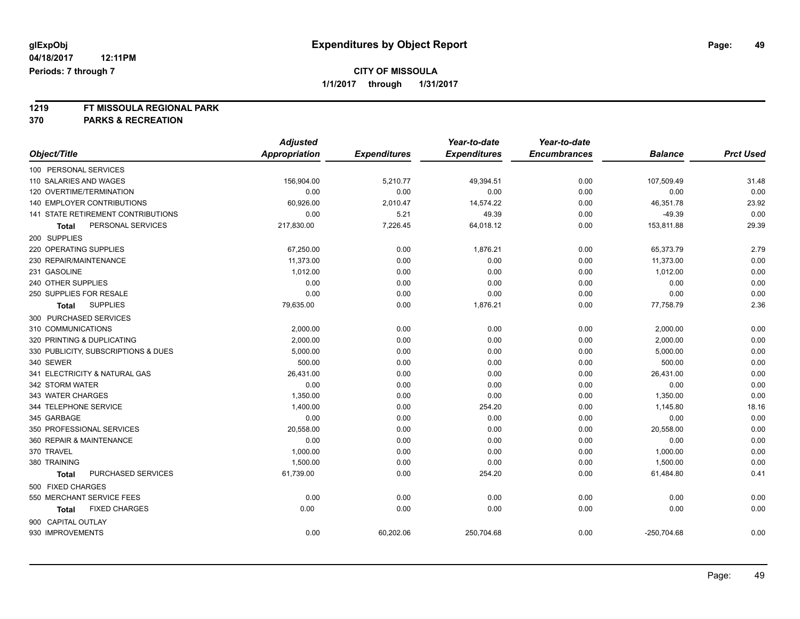**1219 FT MISSOULA REGIONAL PARK**

**370 PARKS & RECREATION**

|                                     | <b>Adjusted</b>      |                     | Year-to-date        | Year-to-date        |                |                  |
|-------------------------------------|----------------------|---------------------|---------------------|---------------------|----------------|------------------|
| Object/Title                        | <b>Appropriation</b> | <b>Expenditures</b> | <b>Expenditures</b> | <b>Encumbrances</b> | <b>Balance</b> | <b>Prct Used</b> |
| 100 PERSONAL SERVICES               |                      |                     |                     |                     |                |                  |
| 110 SALARIES AND WAGES              | 156,904.00           | 5,210.77            | 49,394.51           | 0.00                | 107,509.49     | 31.48            |
| 120 OVERTIME/TERMINATION            | 0.00                 | 0.00                | 0.00                | 0.00                | 0.00           | 0.00             |
| 140 EMPLOYER CONTRIBUTIONS          | 60,926.00            | 2,010.47            | 14,574.22           | 0.00                | 46,351.78      | 23.92            |
| 141 STATE RETIREMENT CONTRIBUTIONS  | 0.00                 | 5.21                | 49.39               | 0.00                | $-49.39$       | 0.00             |
| PERSONAL SERVICES<br>Total          | 217,830.00           | 7,226.45            | 64,018.12           | 0.00                | 153,811.88     | 29.39            |
| 200 SUPPLIES                        |                      |                     |                     |                     |                |                  |
| 220 OPERATING SUPPLIES              | 67,250.00            | 0.00                | 1,876.21            | 0.00                | 65,373.79      | 2.79             |
| 230 REPAIR/MAINTENANCE              | 11,373.00            | 0.00                | 0.00                | 0.00                | 11,373.00      | 0.00             |
| 231 GASOLINE                        | 1,012.00             | 0.00                | 0.00                | 0.00                | 1,012.00       | 0.00             |
| 240 OTHER SUPPLIES                  | 0.00                 | 0.00                | 0.00                | 0.00                | 0.00           | 0.00             |
| 250 SUPPLIES FOR RESALE             | 0.00                 | 0.00                | 0.00                | 0.00                | 0.00           | 0.00             |
| <b>SUPPLIES</b><br><b>Total</b>     | 79,635.00            | 0.00                | 1,876.21            | 0.00                | 77,758.79      | 2.36             |
| 300 PURCHASED SERVICES              |                      |                     |                     |                     |                |                  |
| 310 COMMUNICATIONS                  | 2,000.00             | 0.00                | 0.00                | 0.00                | 2,000.00       | 0.00             |
| 320 PRINTING & DUPLICATING          | 2,000.00             | 0.00                | 0.00                | 0.00                | 2,000.00       | 0.00             |
| 330 PUBLICITY, SUBSCRIPTIONS & DUES | 5,000.00             | 0.00                | 0.00                | 0.00                | 5,000.00       | 0.00             |
| 340 SEWER                           | 500.00               | 0.00                | 0.00                | 0.00                | 500.00         | 0.00             |
| 341 ELECTRICITY & NATURAL GAS       | 26,431.00            | 0.00                | 0.00                | 0.00                | 26,431.00      | 0.00             |
| 342 STORM WATER                     | 0.00                 | 0.00                | 0.00                | 0.00                | 0.00           | 0.00             |
| 343 WATER CHARGES                   | 1,350.00             | 0.00                | 0.00                | 0.00                | 1,350.00       | 0.00             |
| 344 TELEPHONE SERVICE               | 1,400.00             | 0.00                | 254.20              | 0.00                | 1,145.80       | 18.16            |
| 345 GARBAGE                         | 0.00                 | 0.00                | 0.00                | 0.00                | 0.00           | 0.00             |
| 350 PROFESSIONAL SERVICES           | 20,558.00            | 0.00                | 0.00                | 0.00                | 20,558.00      | 0.00             |
| 360 REPAIR & MAINTENANCE            | 0.00                 | 0.00                | 0.00                | 0.00                | 0.00           | 0.00             |
| 370 TRAVEL                          | 1,000.00             | 0.00                | 0.00                | 0.00                | 1,000.00       | 0.00             |
| 380 TRAINING                        | 1,500.00             | 0.00                | 0.00                | 0.00                | 1,500.00       | 0.00             |
| PURCHASED SERVICES<br><b>Total</b>  | 61,739.00            | 0.00                | 254.20              | 0.00                | 61,484.80      | 0.41             |
| 500 FIXED CHARGES                   |                      |                     |                     |                     |                |                  |
| 550 MERCHANT SERVICE FEES           | 0.00                 | 0.00                | 0.00                | 0.00                | 0.00           | 0.00             |
| <b>FIXED CHARGES</b><br>Total       | 0.00                 | 0.00                | 0.00                | 0.00                | 0.00           | 0.00             |
| 900 CAPITAL OUTLAY                  |                      |                     |                     |                     |                |                  |
| 930 IMPROVEMENTS                    | 0.00                 | 60,202.06           | 250,704.68          | 0.00                | $-250,704.68$  | 0.00             |
|                                     |                      |                     |                     |                     |                |                  |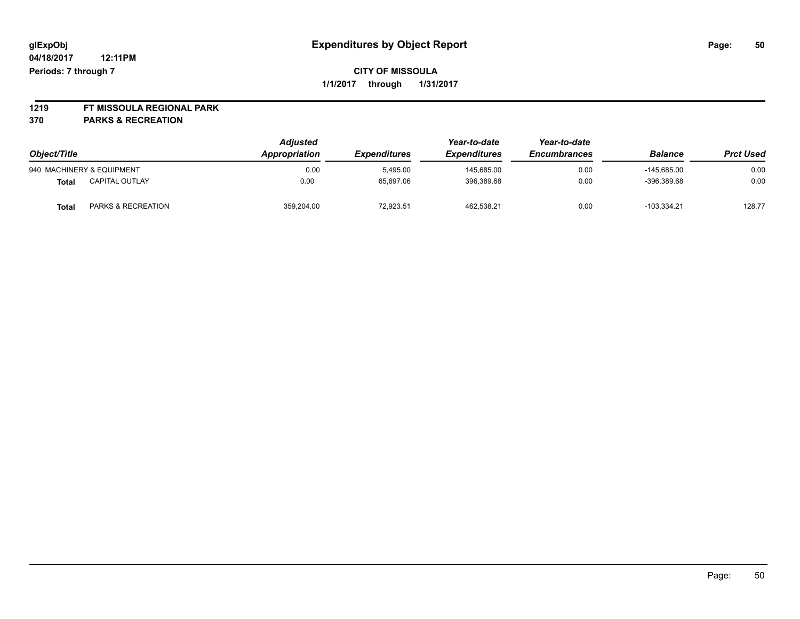# **1219 FT MISSOULA REGIONAL PARK**

**370 PARKS & RECREATION**

| Object/Title |                           | <b>Adjusted</b><br>Appropriation | <b>Expenditures</b> | Year-to-date<br><i><b>Expenditures</b></i> | Year-to-date<br><b>Encumbrances</b> | <b>Balance</b> | <b>Prct Used</b> |
|--------------|---------------------------|----------------------------------|---------------------|--------------------------------------------|-------------------------------------|----------------|------------------|
|              | 940 MACHINERY & EQUIPMENT | 0.00                             | 5.495.00            | 145.685.00                                 | 0.00                                | $-145.685.00$  | 0.00             |
| Total        | <b>CAPITAL OUTLAY</b>     | 0.00                             | 65.697.06           | 396.389.68                                 | 0.00                                | $-396.389.68$  | 0.00             |
| <b>Total</b> | PARKS & RECREATION        | 359.204.00                       | 72.923.51           | 462.538.21                                 | 0.00                                | $-103.334.21$  | 128.77           |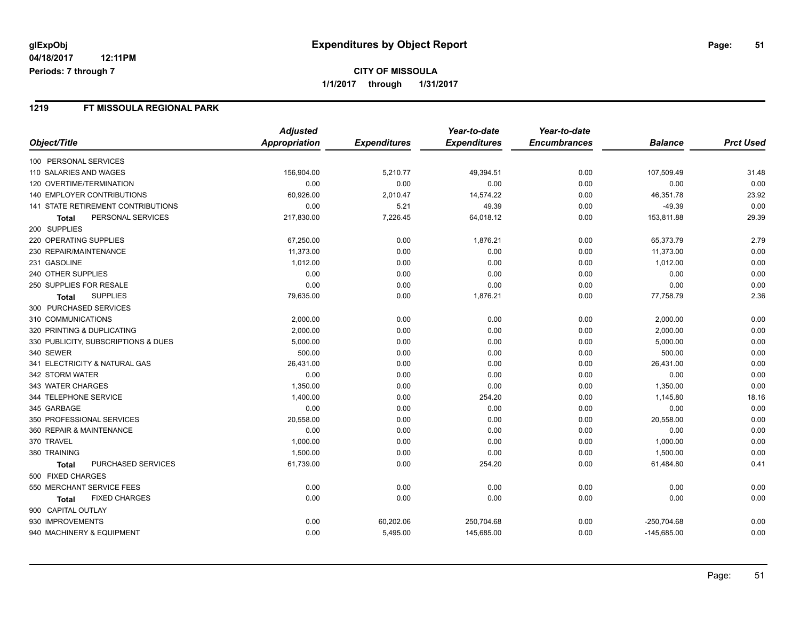### **CITY OF MISSOULA 1/1/2017 through 1/31/2017**

#### **1219 FT MISSOULA REGIONAL PARK**

|                                     | <b>Adjusted</b> |                     | Year-to-date        | Year-to-date        |                |                  |
|-------------------------------------|-----------------|---------------------|---------------------|---------------------|----------------|------------------|
| Object/Title                        | Appropriation   | <b>Expenditures</b> | <b>Expenditures</b> | <b>Encumbrances</b> | <b>Balance</b> | <b>Prct Used</b> |
| 100 PERSONAL SERVICES               |                 |                     |                     |                     |                |                  |
| 110 SALARIES AND WAGES              | 156,904.00      | 5,210.77            | 49,394.51           | 0.00                | 107,509.49     | 31.48            |
| 120 OVERTIME/TERMINATION            | 0.00            | 0.00                | 0.00                | 0.00                | 0.00           | 0.00             |
| <b>140 EMPLOYER CONTRIBUTIONS</b>   | 60,926.00       | 2,010.47            | 14,574.22           | 0.00                | 46,351.78      | 23.92            |
| 141 STATE RETIREMENT CONTRIBUTIONS  | 0.00            | 5.21                | 49.39               | 0.00                | $-49.39$       | 0.00             |
| PERSONAL SERVICES<br><b>Total</b>   | 217,830.00      | 7,226.45            | 64,018.12           | 0.00                | 153,811.88     | 29.39            |
| 200 SUPPLIES                        |                 |                     |                     |                     |                |                  |
| 220 OPERATING SUPPLIES              | 67,250.00       | 0.00                | 1,876.21            | 0.00                | 65,373.79      | 2.79             |
| 230 REPAIR/MAINTENANCE              | 11,373.00       | 0.00                | 0.00                | 0.00                | 11,373.00      | 0.00             |
| 231 GASOLINE                        | 1,012.00        | 0.00                | 0.00                | 0.00                | 1,012.00       | 0.00             |
| 240 OTHER SUPPLIES                  | 0.00            | 0.00                | 0.00                | 0.00                | 0.00           | 0.00             |
| 250 SUPPLIES FOR RESALE             | 0.00            | 0.00                | 0.00                | 0.00                | 0.00           | 0.00             |
| <b>SUPPLIES</b><br>Total            | 79,635.00       | 0.00                | 1,876.21            | 0.00                | 77,758.79      | 2.36             |
| 300 PURCHASED SERVICES              |                 |                     |                     |                     |                |                  |
| 310 COMMUNICATIONS                  | 2,000.00        | 0.00                | 0.00                | 0.00                | 2,000.00       | 0.00             |
| 320 PRINTING & DUPLICATING          | 2,000.00        | 0.00                | 0.00                | 0.00                | 2,000.00       | 0.00             |
| 330 PUBLICITY, SUBSCRIPTIONS & DUES | 5,000.00        | 0.00                | 0.00                | 0.00                | 5,000.00       | 0.00             |
| 340 SEWER                           | 500.00          | 0.00                | 0.00                | 0.00                | 500.00         | 0.00             |
| 341 ELECTRICITY & NATURAL GAS       | 26,431.00       | 0.00                | 0.00                | 0.00                | 26,431.00      | 0.00             |
| 342 STORM WATER                     | 0.00            | 0.00                | 0.00                | 0.00                | 0.00           | 0.00             |
| 343 WATER CHARGES                   | 1,350.00        | 0.00                | 0.00                | 0.00                | 1,350.00       | 0.00             |
| 344 TELEPHONE SERVICE               | 1,400.00        | 0.00                | 254.20              | 0.00                | 1,145.80       | 18.16            |
| 345 GARBAGE                         | 0.00            | 0.00                | 0.00                | 0.00                | 0.00           | 0.00             |
| 350 PROFESSIONAL SERVICES           | 20,558.00       | 0.00                | 0.00                | 0.00                | 20,558.00      | 0.00             |
| 360 REPAIR & MAINTENANCE            | 0.00            | 0.00                | 0.00                | 0.00                | 0.00           | 0.00             |
| 370 TRAVEL                          | 1,000.00        | 0.00                | 0.00                | 0.00                | 1,000.00       | 0.00             |
| 380 TRAINING                        | 1,500.00        | 0.00                | 0.00                | 0.00                | 1,500.00       | 0.00             |
| PURCHASED SERVICES<br><b>Total</b>  | 61,739.00       | 0.00                | 254.20              | 0.00                | 61,484.80      | 0.41             |
| 500 FIXED CHARGES                   |                 |                     |                     |                     |                |                  |
| 550 MERCHANT SERVICE FEES           | 0.00            | 0.00                | 0.00                | 0.00                | 0.00           | 0.00             |
| <b>FIXED CHARGES</b><br>Total       | 0.00            | 0.00                | 0.00                | 0.00                | 0.00           | 0.00             |
| 900 CAPITAL OUTLAY                  |                 |                     |                     |                     |                |                  |
| 930 IMPROVEMENTS                    | 0.00            | 60,202.06           | 250,704.68          | 0.00                | $-250,704.68$  | 0.00             |
| 940 MACHINERY & EQUIPMENT           | 0.00            | 5,495.00            | 145,685.00          | 0.00                | $-145,685.00$  | 0.00             |
|                                     |                 |                     |                     |                     |                |                  |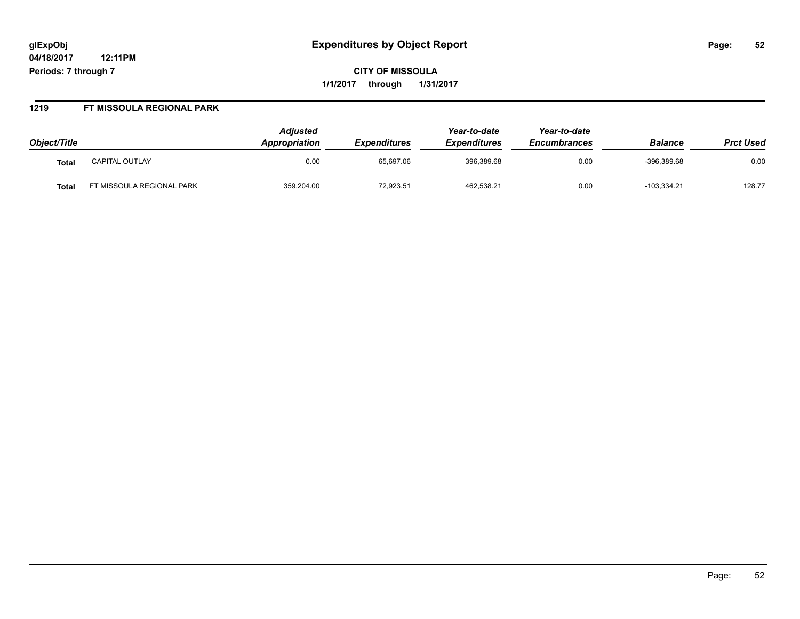# **glExpObj Expenditures by Object Report Page: 52**

**04/18/2017 12:11PM Periods: 7 through 7**

**CITY OF MISSOULA 1/1/2017 through 1/31/2017**

#### **1219 FT MISSOULA REGIONAL PARK**

| Object/Title |                          | <b>Adjusted</b><br>Appropriation | <i><b>Expenditures</b></i> | Year-to-date<br><b>Expenditures</b> | Year-to-date<br><b>Encumbrances</b> | <b>Balance</b> | <b>Prct Used</b> |
|--------------|--------------------------|----------------------------------|----------------------------|-------------------------------------|-------------------------------------|----------------|------------------|
| Tota.        | <b>CAPITAL OUTLAY</b>    | 0.00                             | 65.697.06                  | 396,389.68                          | 0.00                                | $-396.389.68$  | 0.00             |
| <b>Tota</b>  | T MISSOULA REGIONAL PARK | 359,204.00                       | 72,923.51                  | 462,538.21                          | 0.00                                | $-103,334.21$  | 128.77           |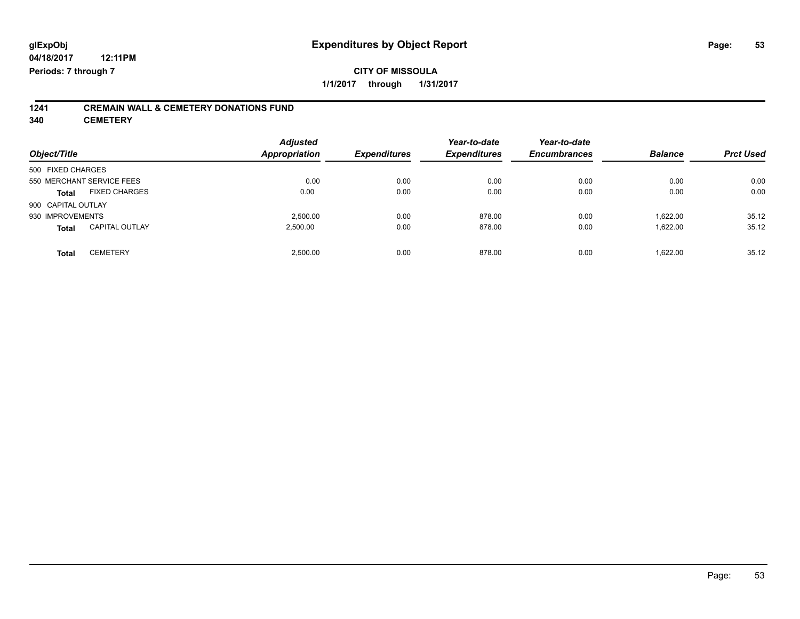# **1241 CREMAIN WALL & CEMETERY DONATIONS FUND**

**340 CEMETERY**

| Object/Title              |                       | <b>Adjusted</b><br>Appropriation | <b>Expenditures</b> | Year-to-date<br><b>Expenditures</b> | Year-to-date<br><b>Encumbrances</b> | <b>Balance</b> | <b>Prct Used</b> |
|---------------------------|-----------------------|----------------------------------|---------------------|-------------------------------------|-------------------------------------|----------------|------------------|
| 500 FIXED CHARGES         |                       |                                  |                     |                                     |                                     |                |                  |
| 550 MERCHANT SERVICE FEES |                       | 0.00                             | 0.00                | 0.00                                | 0.00                                | 0.00           | 0.00             |
| <b>Total</b>              | <b>FIXED CHARGES</b>  | 0.00                             | 0.00                | 0.00                                | 0.00                                | 0.00           | 0.00             |
| 900 CAPITAL OUTLAY        |                       |                                  |                     |                                     |                                     |                |                  |
| 930 IMPROVEMENTS          |                       | 2,500.00                         | 0.00                | 878.00                              | 0.00                                | 1,622.00       | 35.12            |
| <b>Total</b>              | <b>CAPITAL OUTLAY</b> | 2.500.00                         | 0.00                | 878.00                              | 0.00                                | 1.622.00       | 35.12            |
| <b>Total</b>              | <b>CEMETERY</b>       | 2,500.00                         | 0.00                | 878.00                              | 0.00                                | 1.622.00       | 35.12            |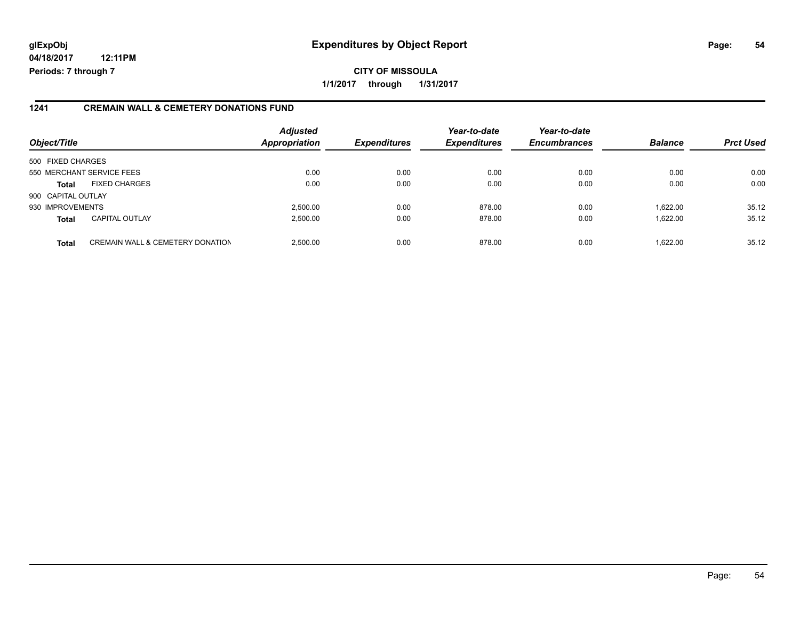# **glExpObj Expenditures by Object Report Page: 54**

**04/18/2017 12:11PM Periods: 7 through 7**

#### **1241 CREMAIN WALL & CEMETERY DONATIONS FUND**

| Object/Title       |                                             | <b>Adjusted</b><br><b>Appropriation</b> | <b>Expenditures</b> | Year-to-date<br><b>Expenditures</b> | Year-to-date<br><b>Encumbrances</b> | <b>Balance</b> | <b>Prct Used</b> |
|--------------------|---------------------------------------------|-----------------------------------------|---------------------|-------------------------------------|-------------------------------------|----------------|------------------|
| 500 FIXED CHARGES  |                                             |                                         |                     |                                     |                                     |                |                  |
|                    | 550 MERCHANT SERVICE FEES                   | 0.00                                    | 0.00                | 0.00                                | 0.00                                | 0.00           | 0.00             |
| <b>Total</b>       | <b>FIXED CHARGES</b>                        | 0.00                                    | 0.00                | 0.00                                | 0.00                                | 0.00           | 0.00             |
| 900 CAPITAL OUTLAY |                                             |                                         |                     |                                     |                                     |                |                  |
| 930 IMPROVEMENTS   |                                             | 2,500.00                                | 0.00                | 878.00                              | 0.00                                | 1.622.00       | 35.12            |
| <b>Total</b>       | <b>CAPITAL OUTLAY</b>                       | 2,500.00                                | 0.00                | 878.00                              | 0.00                                | 1.622.00       | 35.12            |
| <b>Total</b>       | <b>CREMAIN WALL &amp; CEMETERY DONATION</b> | 2.500.00                                | 0.00                | 878.00                              | 0.00                                | 1.622.00       | 35.12            |

**CITY OF MISSOULA**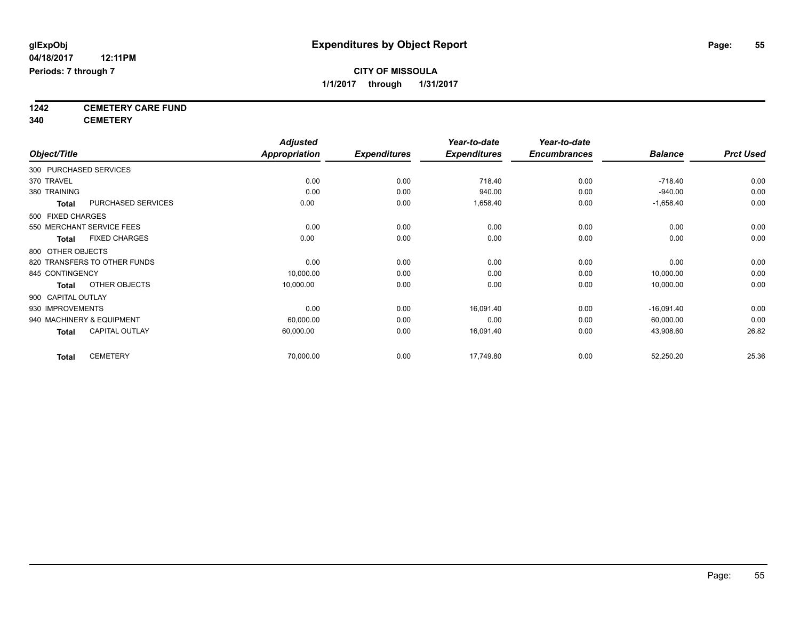**1242 CEMETERY CARE FUND**

**340 CEMETERY**

|                                       | <b>Adjusted</b>      |                     | Year-to-date        | Year-to-date        |                |                  |
|---------------------------------------|----------------------|---------------------|---------------------|---------------------|----------------|------------------|
| Object/Title                          | <b>Appropriation</b> | <b>Expenditures</b> | <b>Expenditures</b> | <b>Encumbrances</b> | <b>Balance</b> | <b>Prct Used</b> |
| 300 PURCHASED SERVICES                |                      |                     |                     |                     |                |                  |
| 370 TRAVEL                            | 0.00                 | 0.00                | 718.40              | 0.00                | $-718.40$      | 0.00             |
| 380 TRAINING                          | 0.00                 | 0.00                | 940.00              | 0.00                | $-940.00$      | 0.00             |
| PURCHASED SERVICES<br><b>Total</b>    | 0.00                 | 0.00                | 1,658.40            | 0.00                | $-1,658.40$    | 0.00             |
| 500 FIXED CHARGES                     |                      |                     |                     |                     |                |                  |
| 550 MERCHANT SERVICE FEES             | 0.00                 | 0.00                | 0.00                | 0.00                | 0.00           | 0.00             |
| <b>FIXED CHARGES</b><br><b>Total</b>  | 0.00                 | 0.00                | 0.00                | 0.00                | 0.00           | 0.00             |
| 800 OTHER OBJECTS                     |                      |                     |                     |                     |                |                  |
| 820 TRANSFERS TO OTHER FUNDS          | 0.00                 | 0.00                | 0.00                | 0.00                | 0.00           | 0.00             |
| 845 CONTINGENCY                       | 10,000.00            | 0.00                | 0.00                | 0.00                | 10,000.00      | 0.00             |
| OTHER OBJECTS<br>Total                | 10,000.00            | 0.00                | 0.00                | 0.00                | 10,000.00      | 0.00             |
| 900 CAPITAL OUTLAY                    |                      |                     |                     |                     |                |                  |
| 930 IMPROVEMENTS                      | 0.00                 | 0.00                | 16,091.40           | 0.00                | $-16,091.40$   | 0.00             |
| 940 MACHINERY & EQUIPMENT             | 60,000.00            | 0.00                | 0.00                | 0.00                | 60,000.00      | 0.00             |
| <b>CAPITAL OUTLAY</b><br><b>Total</b> | 60,000.00            | 0.00                | 16,091.40           | 0.00                | 43,908.60      | 26.82            |
| <b>CEMETERY</b><br><b>Total</b>       | 70,000.00            | 0.00                | 17,749.80           | 0.00                | 52,250.20      | 25.36            |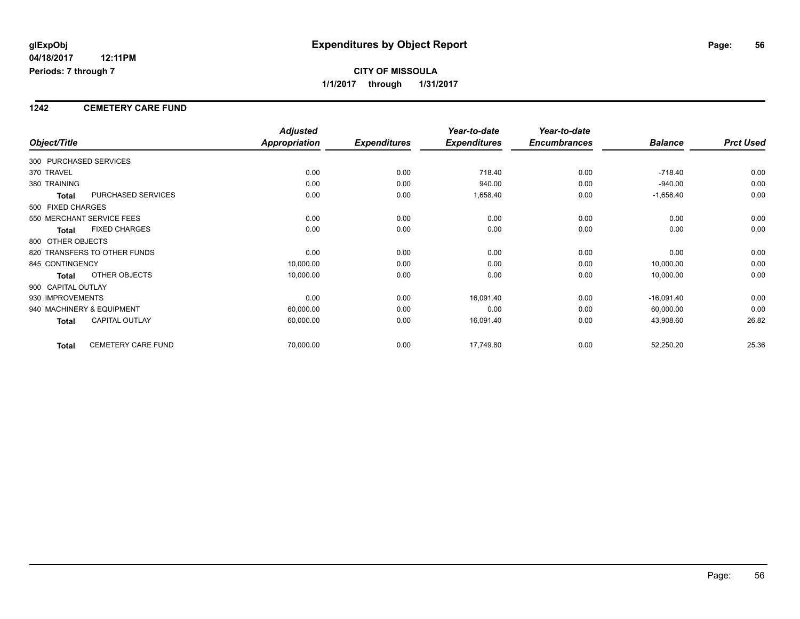# **CITY OF MISSOULA 1/1/2017 through 1/31/2017**

#### **1242 CEMETERY CARE FUND**

|                        |                              | <b>Adjusted</b>      |                     | Year-to-date        | Year-to-date        |                |                  |
|------------------------|------------------------------|----------------------|---------------------|---------------------|---------------------|----------------|------------------|
| Object/Title           |                              | <b>Appropriation</b> | <b>Expenditures</b> | <b>Expenditures</b> | <b>Encumbrances</b> | <b>Balance</b> | <b>Prct Used</b> |
| 300 PURCHASED SERVICES |                              |                      |                     |                     |                     |                |                  |
| 370 TRAVEL             |                              | 0.00                 | 0.00                | 718.40              | 0.00                | $-718.40$      | 0.00             |
| 380 TRAINING           |                              | 0.00                 | 0.00                | 940.00              | 0.00                | $-940.00$      | 0.00             |
| <b>Total</b>           | PURCHASED SERVICES           | 0.00                 | 0.00                | 1,658.40            | 0.00                | $-1,658.40$    | 0.00             |
| 500 FIXED CHARGES      |                              |                      |                     |                     |                     |                |                  |
|                        | 550 MERCHANT SERVICE FEES    | 0.00                 | 0.00                | 0.00                | 0.00                | 0.00           | 0.00             |
| <b>Total</b>           | <b>FIXED CHARGES</b>         | 0.00                 | 0.00                | 0.00                | 0.00                | 0.00           | 0.00             |
| 800 OTHER OBJECTS      |                              |                      |                     |                     |                     |                |                  |
|                        | 820 TRANSFERS TO OTHER FUNDS | 0.00                 | 0.00                | 0.00                | 0.00                | 0.00           | 0.00             |
| 845 CONTINGENCY        |                              | 10,000.00            | 0.00                | 0.00                | 0.00                | 10,000.00      | 0.00             |
| <b>Total</b>           | OTHER OBJECTS                | 10,000.00            | 0.00                | 0.00                | 0.00                | 10,000.00      | 0.00             |
| 900 CAPITAL OUTLAY     |                              |                      |                     |                     |                     |                |                  |
| 930 IMPROVEMENTS       |                              | 0.00                 | 0.00                | 16,091.40           | 0.00                | $-16,091.40$   | 0.00             |
|                        | 940 MACHINERY & EQUIPMENT    | 60,000.00            | 0.00                | 0.00                | 0.00                | 60,000.00      | 0.00             |
| <b>Total</b>           | <b>CAPITAL OUTLAY</b>        | 60,000.00            | 0.00                | 16,091.40           | 0.00                | 43,908.60      | 26.82            |
| <b>Total</b>           | <b>CEMETERY CARE FUND</b>    | 70,000.00            | 0.00                | 17,749.80           | 0.00                | 52,250.20      | 25.36            |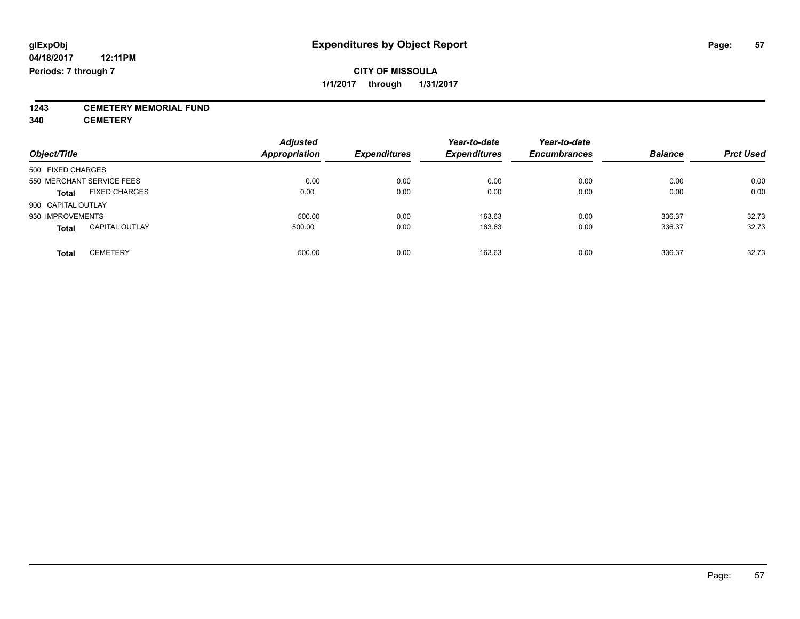**1243 CEMETERY MEMORIAL FUND**

**340 CEMETERY**

| Object/Title                          | <b>Adjusted</b><br><b>Appropriation</b> | <b>Expenditures</b> | Year-to-date<br><b>Expenditures</b> | Year-to-date<br><b>Encumbrances</b> | <b>Balance</b> | <b>Prct Used</b> |
|---------------------------------------|-----------------------------------------|---------------------|-------------------------------------|-------------------------------------|----------------|------------------|
| 500 FIXED CHARGES                     |                                         |                     |                                     |                                     |                |                  |
| 550 MERCHANT SERVICE FEES             | 0.00                                    | 0.00                | 0.00                                | 0.00                                | 0.00           | 0.00             |
| <b>FIXED CHARGES</b><br><b>Total</b>  | 0.00                                    | 0.00                | 0.00                                | 0.00                                | 0.00           | 0.00             |
| 900 CAPITAL OUTLAY                    |                                         |                     |                                     |                                     |                |                  |
| 930 IMPROVEMENTS                      | 500.00                                  | 0.00                | 163.63                              | 0.00                                | 336.37         | 32.73            |
| <b>CAPITAL OUTLAY</b><br><b>Total</b> | 500.00                                  | 0.00                | 163.63                              | 0.00                                | 336.37         | 32.73            |
| <b>CEMETERY</b><br>Total              | 500.00                                  | 0.00                | 163.63                              | 0.00                                | 336.37         | 32.73            |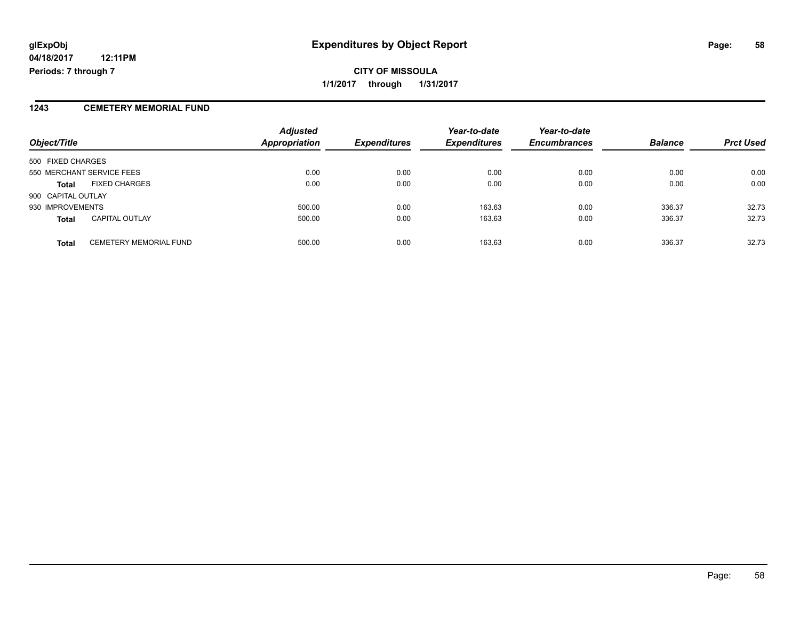**CITY OF MISSOULA 1/1/2017 through 1/31/2017**

#### **1243 CEMETERY MEMORIAL FUND**

| Object/Title                                  | <b>Adjusted</b><br><b>Appropriation</b> | <b>Expenditures</b> | Year-to-date<br><b>Expenditures</b> | Year-to-date<br><b>Encumbrances</b> | <b>Balance</b> | <b>Prct Used</b> |
|-----------------------------------------------|-----------------------------------------|---------------------|-------------------------------------|-------------------------------------|----------------|------------------|
| 500 FIXED CHARGES                             |                                         |                     |                                     |                                     |                |                  |
| 550 MERCHANT SERVICE FEES                     | 0.00                                    | 0.00                | 0.00                                | 0.00                                | 0.00           | 0.00             |
| <b>FIXED CHARGES</b><br><b>Total</b>          | 0.00                                    | 0.00                | 0.00                                | 0.00                                | 0.00           | 0.00             |
| 900 CAPITAL OUTLAY                            |                                         |                     |                                     |                                     |                |                  |
| 930 IMPROVEMENTS                              | 500.00                                  | 0.00                | 163.63                              | 0.00                                | 336.37         | 32.73            |
| <b>CAPITAL OUTLAY</b><br><b>Total</b>         | 500.00                                  | 0.00                | 163.63                              | 0.00                                | 336.37         | 32.73            |
| <b>CEMETERY MEMORIAL FUND</b><br><b>Total</b> | 500.00                                  | 0.00                | 163.63                              | 0.00                                | 336.37         | 32.73            |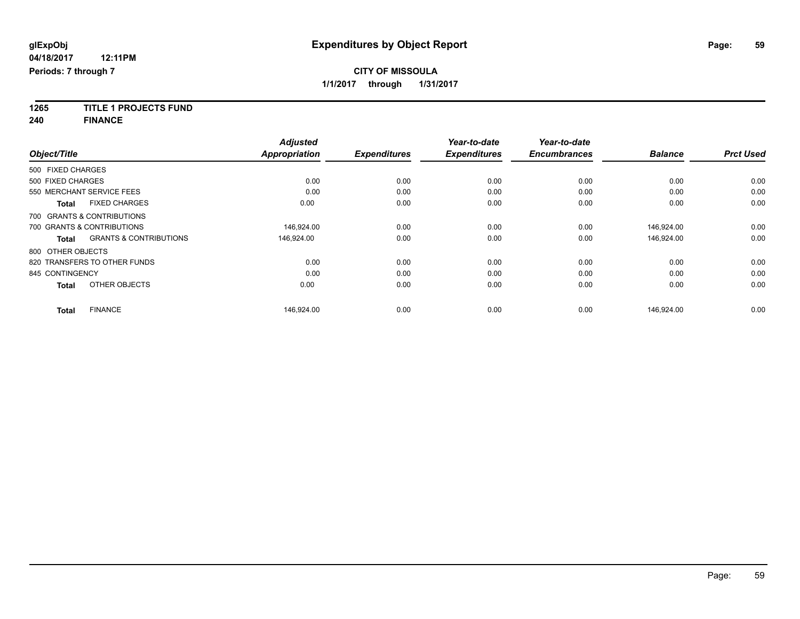**1265 TITLE 1 PROJECTS FUND**

**240 FINANCE**

|                   |                                   | <b>Adjusted</b>      |                     | Year-to-date        | Year-to-date        |                |                  |
|-------------------|-----------------------------------|----------------------|---------------------|---------------------|---------------------|----------------|------------------|
| Object/Title      |                                   | <b>Appropriation</b> | <b>Expenditures</b> | <b>Expenditures</b> | <b>Encumbrances</b> | <b>Balance</b> | <b>Prct Used</b> |
| 500 FIXED CHARGES |                                   |                      |                     |                     |                     |                |                  |
| 500 FIXED CHARGES |                                   | 0.00                 | 0.00                | 0.00                | 0.00                | 0.00           | 0.00             |
|                   | 550 MERCHANT SERVICE FEES         | 0.00                 | 0.00                | 0.00                | 0.00                | 0.00           | 0.00             |
| <b>Total</b>      | <b>FIXED CHARGES</b>              | 0.00                 | 0.00                | 0.00                | 0.00                | 0.00           | 0.00             |
|                   | 700 GRANTS & CONTRIBUTIONS        |                      |                     |                     |                     |                |                  |
|                   | 700 GRANTS & CONTRIBUTIONS        | 146,924.00           | 0.00                | 0.00                | 0.00                | 146,924.00     | 0.00             |
| <b>Total</b>      | <b>GRANTS &amp; CONTRIBUTIONS</b> | 146,924.00           | 0.00                | 0.00                | 0.00                | 146,924.00     | 0.00             |
| 800 OTHER OBJECTS |                                   |                      |                     |                     |                     |                |                  |
|                   | 820 TRANSFERS TO OTHER FUNDS      | 0.00                 | 0.00                | 0.00                | 0.00                | 0.00           | 0.00             |
| 845 CONTINGENCY   |                                   | 0.00                 | 0.00                | 0.00                | 0.00                | 0.00           | 0.00             |
| <b>Total</b>      | OTHER OBJECTS                     | 0.00                 | 0.00                | 0.00                | 0.00                | 0.00           | 0.00             |
| <b>Total</b>      | <b>FINANCE</b>                    | 146,924.00           | 0.00                | 0.00                | 0.00                | 146.924.00     | 0.00             |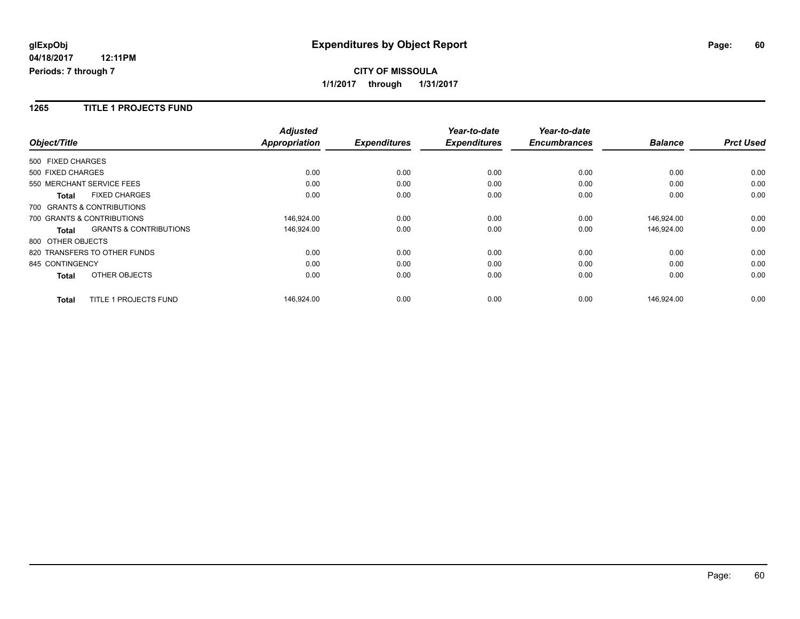## **CITY OF MISSOULA 1/1/2017 through 1/31/2017**

#### **1265 TITLE 1 PROJECTS FUND**

|                   |                                   | <b>Adjusted</b>      |                     | Year-to-date        | Year-to-date        |                |                  |
|-------------------|-----------------------------------|----------------------|---------------------|---------------------|---------------------|----------------|------------------|
| Object/Title      |                                   | <b>Appropriation</b> | <b>Expenditures</b> | <b>Expenditures</b> | <b>Encumbrances</b> | <b>Balance</b> | <b>Prct Used</b> |
| 500 FIXED CHARGES |                                   |                      |                     |                     |                     |                |                  |
| 500 FIXED CHARGES |                                   | 0.00                 | 0.00                | 0.00                | 0.00                | 0.00           | 0.00             |
|                   | 550 MERCHANT SERVICE FEES         | 0.00                 | 0.00                | 0.00                | 0.00                | 0.00           | 0.00             |
| <b>Total</b>      | <b>FIXED CHARGES</b>              | 0.00                 | 0.00                | 0.00                | 0.00                | 0.00           | 0.00             |
|                   | 700 GRANTS & CONTRIBUTIONS        |                      |                     |                     |                     |                |                  |
|                   | 700 GRANTS & CONTRIBUTIONS        | 146.924.00           | 0.00                | 0.00                | 0.00                | 146.924.00     | 0.00             |
| <b>Total</b>      | <b>GRANTS &amp; CONTRIBUTIONS</b> | 146,924.00           | 0.00                | 0.00                | 0.00                | 146,924.00     | 0.00             |
| 800 OTHER OBJECTS |                                   |                      |                     |                     |                     |                |                  |
|                   | 820 TRANSFERS TO OTHER FUNDS      | 0.00                 | 0.00                | 0.00                | 0.00                | 0.00           | 0.00             |
| 845 CONTINGENCY   |                                   | 0.00                 | 0.00                | 0.00                | 0.00                | 0.00           | 0.00             |
| <b>Total</b>      | OTHER OBJECTS                     | 0.00                 | 0.00                | 0.00                | 0.00                | 0.00           | 0.00             |
| <b>Total</b>      | <b>TITLE 1 PROJECTS FUND</b>      | 146.924.00           | 0.00                | 0.00                | 0.00                | 146.924.00     | 0.00             |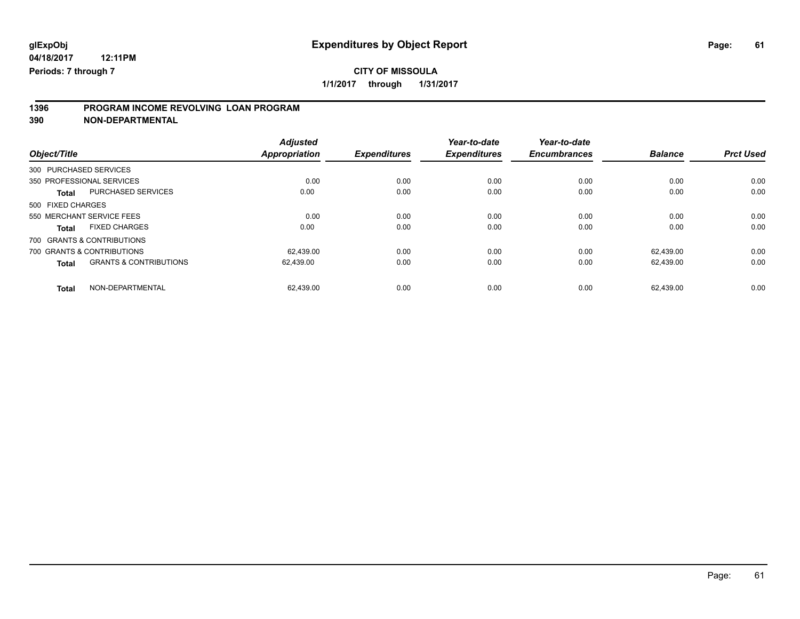# **CITY OF MISSOULA**

**1/1/2017 through 1/31/2017**

# **1396 PROGRAM INCOME REVOLVING LOAN PROGRAM**

**390 NON-DEPARTMENTAL**

| Object/Title      |                                   | <b>Adjusted</b><br><b>Appropriation</b> | <b>Expenditures</b> | Year-to-date<br><b>Expenditures</b> | Year-to-date<br><b>Encumbrances</b> | <b>Balance</b> | <b>Prct Used</b> |
|-------------------|-----------------------------------|-----------------------------------------|---------------------|-------------------------------------|-------------------------------------|----------------|------------------|
|                   | 300 PURCHASED SERVICES            |                                         |                     |                                     |                                     |                |                  |
|                   | 350 PROFESSIONAL SERVICES         | 0.00                                    | 0.00                | 0.00                                | 0.00                                | 0.00           | 0.00             |
| <b>Total</b>      | <b>PURCHASED SERVICES</b>         | 0.00                                    | 0.00                | 0.00                                | 0.00                                | 0.00           | 0.00             |
| 500 FIXED CHARGES |                                   |                                         |                     |                                     |                                     |                |                  |
|                   | 550 MERCHANT SERVICE FEES         | 0.00                                    | 0.00                | 0.00                                | 0.00                                | 0.00           | 0.00             |
| <b>Total</b>      | <b>FIXED CHARGES</b>              | 0.00                                    | 0.00                | 0.00                                | 0.00                                | 0.00           | 0.00             |
|                   | 700 GRANTS & CONTRIBUTIONS        |                                         |                     |                                     |                                     |                |                  |
|                   | 700 GRANTS & CONTRIBUTIONS        | 62.439.00                               | 0.00                | 0.00                                | 0.00                                | 62.439.00      | 0.00             |
| <b>Total</b>      | <b>GRANTS &amp; CONTRIBUTIONS</b> | 62.439.00                               | 0.00                | 0.00                                | 0.00                                | 62.439.00      | 0.00             |
| <b>Total</b>      | NON-DEPARTMENTAL                  | 62.439.00                               | 0.00                | 0.00                                | 0.00                                | 62.439.00      | 0.00             |

Page: 61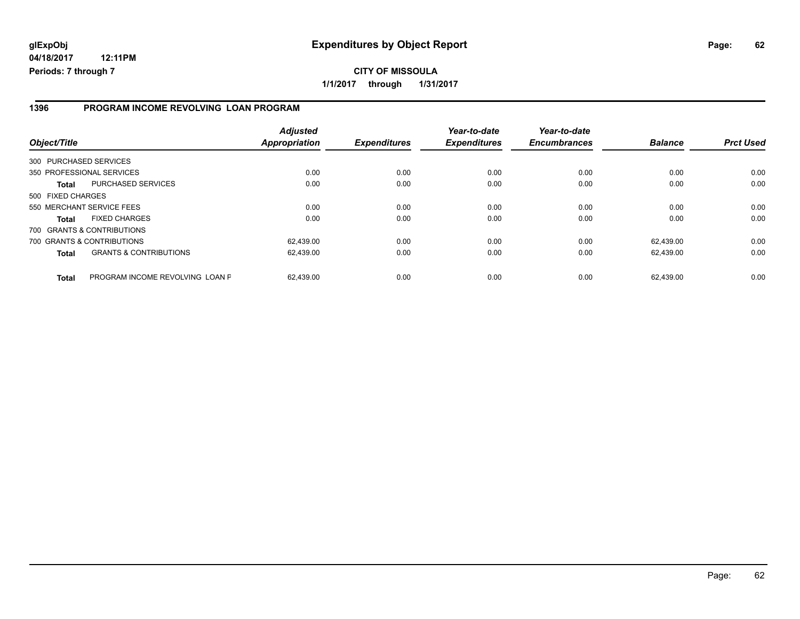#### **1396 PROGRAM INCOME REVOLVING LOAN PROGRAM**

| Object/Title           |                                   | <b>Adjusted</b><br><b>Appropriation</b> | <b>Expenditures</b> | Year-to-date<br><b>Expenditures</b> | Year-to-date<br><b>Encumbrances</b> | <b>Balance</b> | <b>Prct Used</b> |
|------------------------|-----------------------------------|-----------------------------------------|---------------------|-------------------------------------|-------------------------------------|----------------|------------------|
| 300 PURCHASED SERVICES |                                   |                                         |                     |                                     |                                     |                |                  |
|                        | 350 PROFESSIONAL SERVICES         | 0.00                                    | 0.00                | 0.00                                | 0.00                                | 0.00           | 0.00             |
| <b>Total</b>           | <b>PURCHASED SERVICES</b>         | 0.00                                    | 0.00                | 0.00                                | 0.00                                | 0.00           | 0.00             |
| 500 FIXED CHARGES      |                                   |                                         |                     |                                     |                                     |                |                  |
|                        | 550 MERCHANT SERVICE FEES         | 0.00                                    | 0.00                | 0.00                                | 0.00                                | 0.00           | 0.00             |
| <b>Total</b>           | <b>FIXED CHARGES</b>              | 0.00                                    | 0.00                | 0.00                                | 0.00                                | 0.00           | 0.00             |
|                        | 700 GRANTS & CONTRIBUTIONS        |                                         |                     |                                     |                                     |                |                  |
|                        | 700 GRANTS & CONTRIBUTIONS        | 62.439.00                               | 0.00                | 0.00                                | 0.00                                | 62.439.00      | 0.00             |
| <b>Total</b>           | <b>GRANTS &amp; CONTRIBUTIONS</b> | 62,439.00                               | 0.00                | 0.00                                | 0.00                                | 62,439.00      | 0.00             |
| <b>Total</b>           | PROGRAM INCOME REVOLVING LOAN P   | 62.439.00                               | 0.00                | 0.00                                | 0.00                                | 62.439.00      | 0.00             |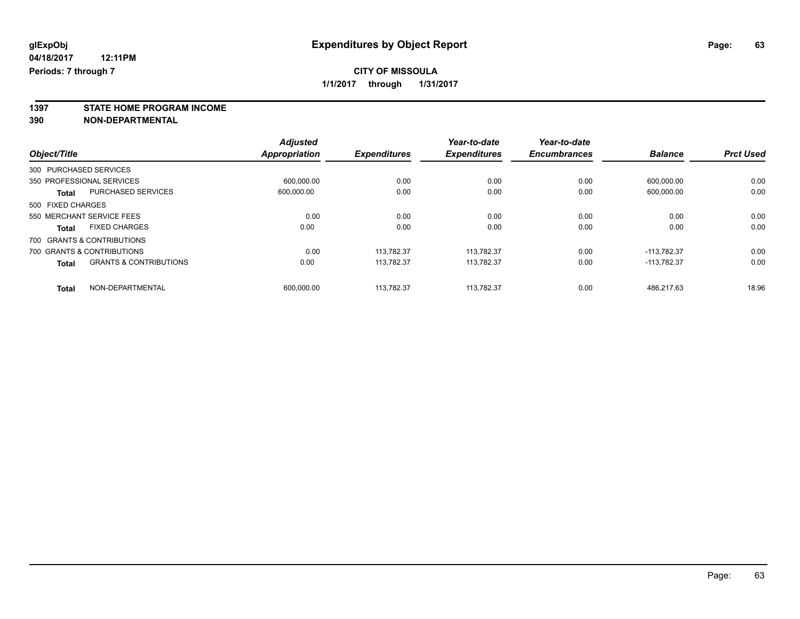**1397 STATE HOME PROGRAM INCOME**

**390 NON-DEPARTMENTAL**

|                   |                                   | <b>Adjusted</b>      |                     | Year-to-date        | Year-to-date        |                |                  |
|-------------------|-----------------------------------|----------------------|---------------------|---------------------|---------------------|----------------|------------------|
| Object/Title      |                                   | <b>Appropriation</b> | <b>Expenditures</b> | <b>Expenditures</b> | <b>Encumbrances</b> | <b>Balance</b> | <b>Prct Used</b> |
|                   | 300 PURCHASED SERVICES            |                      |                     |                     |                     |                |                  |
|                   | 350 PROFESSIONAL SERVICES         | 600.000.00           | 0.00                | 0.00                | 0.00                | 600.000.00     | 0.00             |
| <b>Total</b>      | <b>PURCHASED SERVICES</b>         | 600.000.00           | 0.00                | 0.00                | 0.00                | 600,000.00     | 0.00             |
| 500 FIXED CHARGES |                                   |                      |                     |                     |                     |                |                  |
|                   | 550 MERCHANT SERVICE FEES         | 0.00                 | 0.00                | 0.00                | 0.00                | 0.00           | 0.00             |
| <b>Total</b>      | <b>FIXED CHARGES</b>              | 0.00                 | 0.00                | 0.00                | 0.00                | 0.00           | 0.00             |
|                   | 700 GRANTS & CONTRIBUTIONS        |                      |                     |                     |                     |                |                  |
|                   | 700 GRANTS & CONTRIBUTIONS        | 0.00                 | 113.782.37          | 113.782.37          | 0.00                | $-113.782.37$  | 0.00             |
| <b>Total</b>      | <b>GRANTS &amp; CONTRIBUTIONS</b> | 0.00                 | 113.782.37          | 113.782.37          | 0.00                | $-113.782.37$  | 0.00             |
| <b>Total</b>      | NON-DEPARTMENTAL                  | 600.000.00           | 113.782.37          | 113.782.37          | 0.00                | 486.217.63     | 18.96            |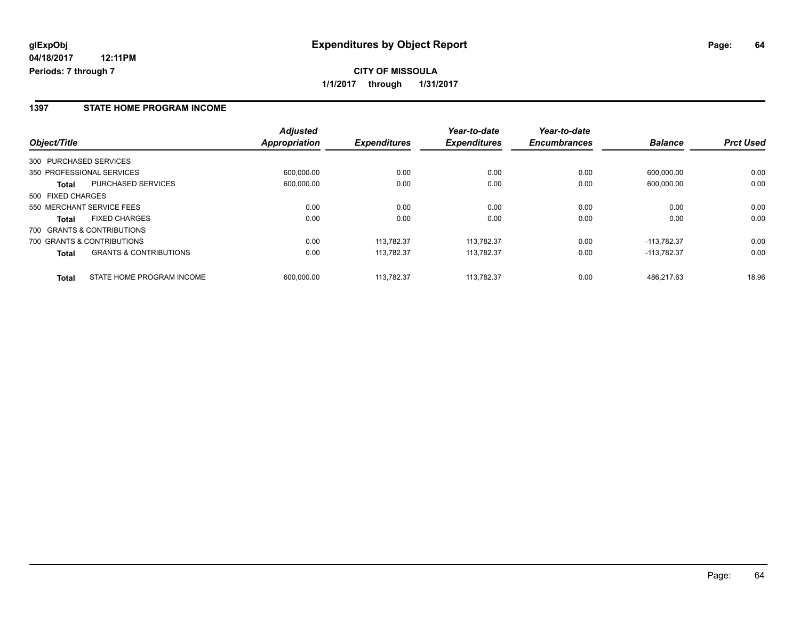#### **1397 STATE HOME PROGRAM INCOME**

|                                                   | <b>Adjusted</b>      |                     | Year-to-date        | Year-to-date        |                |                  |
|---------------------------------------------------|----------------------|---------------------|---------------------|---------------------|----------------|------------------|
| Object/Title                                      | <b>Appropriation</b> | <b>Expenditures</b> | <b>Expenditures</b> | <b>Encumbrances</b> | <b>Balance</b> | <b>Prct Used</b> |
| 300 PURCHASED SERVICES                            |                      |                     |                     |                     |                |                  |
| 350 PROFESSIONAL SERVICES                         | 600.000.00           | 0.00                | 0.00                | 0.00                | 600.000.00     | 0.00             |
| <b>PURCHASED SERVICES</b><br>Total                | 600.000.00           | 0.00                | 0.00                | 0.00                | 600.000.00     | 0.00             |
| 500 FIXED CHARGES                                 |                      |                     |                     |                     |                |                  |
| 550 MERCHANT SERVICE FEES                         | 0.00                 | 0.00                | 0.00                | 0.00                | 0.00           | 0.00             |
| <b>FIXED CHARGES</b><br><b>Total</b>              | 0.00                 | 0.00                | 0.00                | 0.00                | 0.00           | 0.00             |
| 700 GRANTS & CONTRIBUTIONS                        |                      |                     |                     |                     |                |                  |
| 700 GRANTS & CONTRIBUTIONS                        | 0.00                 | 113.782.37          | 113.782.37          | 0.00                | $-113.782.37$  | 0.00             |
| <b>GRANTS &amp; CONTRIBUTIONS</b><br><b>Total</b> | 0.00                 | 113.782.37          | 113.782.37          | 0.00                | -113.782.37    | 0.00             |
| STATE HOME PROGRAM INCOME<br><b>Total</b>         | 600.000.00           | 113.782.37          | 113.782.37          | 0.00                | 486.217.63     | 18.96            |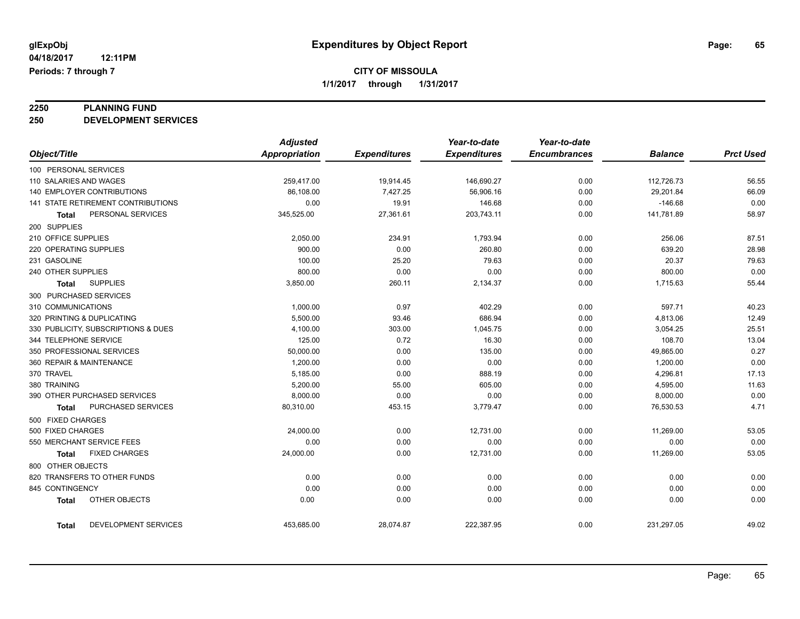# **2250 PLANNING FUND**

**250 DEVELOPMENT SERVICES**

|                        |                                     | <b>Adjusted</b>      |                     | Year-to-date        | Year-to-date        |                |                  |
|------------------------|-------------------------------------|----------------------|---------------------|---------------------|---------------------|----------------|------------------|
| Object/Title           |                                     | <b>Appropriation</b> | <b>Expenditures</b> | <b>Expenditures</b> | <b>Encumbrances</b> | <b>Balance</b> | <b>Prct Used</b> |
| 100 PERSONAL SERVICES  |                                     |                      |                     |                     |                     |                |                  |
| 110 SALARIES AND WAGES |                                     | 259,417.00           | 19,914.45           | 146,690.27          | 0.00                | 112,726.73     | 56.55            |
|                        | 140 EMPLOYER CONTRIBUTIONS          | 86,108.00            | 7,427.25            | 56,906.16           | 0.00                | 29,201.84      | 66.09            |
|                        | 141 STATE RETIREMENT CONTRIBUTIONS  | 0.00                 | 19.91               | 146.68              | 0.00                | $-146.68$      | 0.00             |
| Total                  | PERSONAL SERVICES                   | 345,525.00           | 27,361.61           | 203,743.11          | 0.00                | 141,781.89     | 58.97            |
| 200 SUPPLIES           |                                     |                      |                     |                     |                     |                |                  |
| 210 OFFICE SUPPLIES    |                                     | 2,050.00             | 234.91              | 1,793.94            | 0.00                | 256.06         | 87.51            |
| 220 OPERATING SUPPLIES |                                     | 900.00               | 0.00                | 260.80              | 0.00                | 639.20         | 28.98            |
| 231 GASOLINE           |                                     | 100.00               | 25.20               | 79.63               | 0.00                | 20.37          | 79.63            |
| 240 OTHER SUPPLIES     |                                     | 800.00               | 0.00                | 0.00                | 0.00                | 800.00         | 0.00             |
| Total                  | <b>SUPPLIES</b>                     | 3,850.00             | 260.11              | 2,134.37            | 0.00                | 1,715.63       | 55.44            |
| 300 PURCHASED SERVICES |                                     |                      |                     |                     |                     |                |                  |
| 310 COMMUNICATIONS     |                                     | 1,000.00             | 0.97                | 402.29              | 0.00                | 597.71         | 40.23            |
|                        | 320 PRINTING & DUPLICATING          | 5,500.00             | 93.46               | 686.94              | 0.00                | 4,813.06       | 12.49            |
|                        | 330 PUBLICITY, SUBSCRIPTIONS & DUES | 4,100.00             | 303.00              | 1,045.75            | 0.00                | 3,054.25       | 25.51            |
| 344 TELEPHONE SERVICE  |                                     | 125.00               | 0.72                | 16.30               | 0.00                | 108.70         | 13.04            |
|                        | 350 PROFESSIONAL SERVICES           | 50,000.00            | 0.00                | 135.00              | 0.00                | 49,865.00      | 0.27             |
|                        | 360 REPAIR & MAINTENANCE            | 1,200.00             | 0.00                | 0.00                | 0.00                | 1,200.00       | 0.00             |
| 370 TRAVEL             |                                     | 5,185.00             | 0.00                | 888.19              | 0.00                | 4,296.81       | 17.13            |
| 380 TRAINING           |                                     | 5,200.00             | 55.00               | 605.00              | 0.00                | 4,595.00       | 11.63            |
|                        | 390 OTHER PURCHASED SERVICES        | 8,000.00             | 0.00                | 0.00                | 0.00                | 8,000.00       | 0.00             |
| Total                  | PURCHASED SERVICES                  | 80,310.00            | 453.15              | 3,779.47            | 0.00                | 76,530.53      | 4.71             |
| 500 FIXED CHARGES      |                                     |                      |                     |                     |                     |                |                  |
| 500 FIXED CHARGES      |                                     | 24,000.00            | 0.00                | 12,731.00           | 0.00                | 11,269.00      | 53.05            |
|                        | 550 MERCHANT SERVICE FEES           | 0.00                 | 0.00                | 0.00                | 0.00                | 0.00           | 0.00             |
| Total                  | <b>FIXED CHARGES</b>                | 24,000.00            | 0.00                | 12,731.00           | 0.00                | 11,269.00      | 53.05            |
| 800 OTHER OBJECTS      |                                     |                      |                     |                     |                     |                |                  |
|                        | 820 TRANSFERS TO OTHER FUNDS        | 0.00                 | 0.00                | 0.00                | 0.00                | 0.00           | 0.00             |
| 845 CONTINGENCY        |                                     | 0.00                 | 0.00                | 0.00                | 0.00                | 0.00           | 0.00             |
| <b>Total</b>           | OTHER OBJECTS                       | 0.00                 | 0.00                | 0.00                | 0.00                | 0.00           | 0.00             |
| Total                  | DEVELOPMENT SERVICES                | 453,685.00           | 28,074.87           | 222,387.95          | 0.00                | 231,297.05     | 49.02            |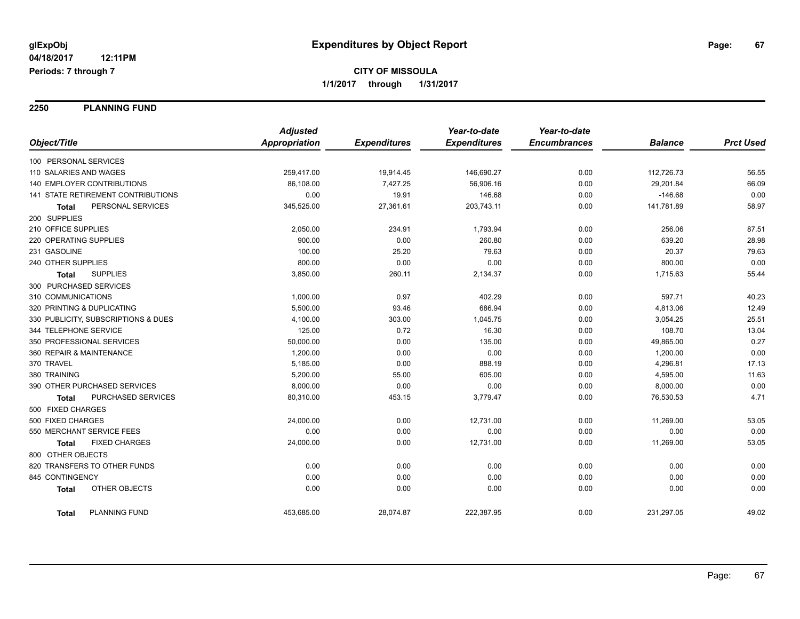**2250 PLANNING FUND**

|                                      | <b>Adjusted</b>      |                     | Year-to-date        | Year-to-date        |                |                  |
|--------------------------------------|----------------------|---------------------|---------------------|---------------------|----------------|------------------|
| Object/Title                         | <b>Appropriation</b> | <b>Expenditures</b> | <b>Expenditures</b> | <b>Encumbrances</b> | <b>Balance</b> | <b>Prct Used</b> |
| 100 PERSONAL SERVICES                |                      |                     |                     |                     |                |                  |
| 110 SALARIES AND WAGES               | 259,417.00           | 19,914.45           | 146,690.27          | 0.00                | 112,726.73     | 56.55            |
| 140 EMPLOYER CONTRIBUTIONS           | 86,108.00            | 7,427.25            | 56,906.16           | 0.00                | 29,201.84      | 66.09            |
| 141 STATE RETIREMENT CONTRIBUTIONS   | 0.00                 | 19.91               | 146.68              | 0.00                | $-146.68$      | 0.00             |
| PERSONAL SERVICES<br>Total           | 345,525.00           | 27,361.61           | 203,743.11          | 0.00                | 141,781.89     | 58.97            |
| 200 SUPPLIES                         |                      |                     |                     |                     |                |                  |
| 210 OFFICE SUPPLIES                  | 2,050.00             | 234.91              | 1,793.94            | 0.00                | 256.06         | 87.51            |
| 220 OPERATING SUPPLIES               | 900.00               | 0.00                | 260.80              | 0.00                | 639.20         | 28.98            |
| 231 GASOLINE                         | 100.00               | 25.20               | 79.63               | 0.00                | 20.37          | 79.63            |
| 240 OTHER SUPPLIES                   | 800.00               | 0.00                | 0.00                | 0.00                | 800.00         | 0.00             |
| <b>SUPPLIES</b><br>Total             | 3,850.00             | 260.11              | 2,134.37            | 0.00                | 1,715.63       | 55.44            |
| 300 PURCHASED SERVICES               |                      |                     |                     |                     |                |                  |
| 310 COMMUNICATIONS                   | 1,000.00             | 0.97                | 402.29              | 0.00                | 597.71         | 40.23            |
| 320 PRINTING & DUPLICATING           | 5,500.00             | 93.46               | 686.94              | 0.00                | 4,813.06       | 12.49            |
| 330 PUBLICITY, SUBSCRIPTIONS & DUES  | 4,100.00             | 303.00              | 1,045.75            | 0.00                | 3,054.25       | 25.51            |
| 344 TELEPHONE SERVICE                | 125.00               | 0.72                | 16.30               | 0.00                | 108.70         | 13.04            |
| 350 PROFESSIONAL SERVICES            | 50,000.00            | 0.00                | 135.00              | 0.00                | 49,865.00      | 0.27             |
| 360 REPAIR & MAINTENANCE             | 1,200.00             | 0.00                | 0.00                | 0.00                | 1,200.00       | 0.00             |
| 370 TRAVEL                           | 5,185.00             | 0.00                | 888.19              | 0.00                | 4,296.81       | 17.13            |
| 380 TRAINING                         | 5,200.00             | 55.00               | 605.00              | 0.00                | 4,595.00       | 11.63            |
| 390 OTHER PURCHASED SERVICES         | 8,000.00             | 0.00                | 0.00                | 0.00                | 8,000.00       | 0.00             |
| PURCHASED SERVICES<br>Total          | 80,310.00            | 453.15              | 3,779.47            | 0.00                | 76,530.53      | 4.71             |
| 500 FIXED CHARGES                    |                      |                     |                     |                     |                |                  |
| 500 FIXED CHARGES                    | 24,000.00            | 0.00                | 12,731.00           | 0.00                | 11,269.00      | 53.05            |
| 550 MERCHANT SERVICE FEES            | 0.00                 | 0.00                | 0.00                | 0.00                | 0.00           | 0.00             |
| <b>FIXED CHARGES</b><br><b>Total</b> | 24,000.00            | 0.00                | 12,731.00           | 0.00                | 11,269.00      | 53.05            |
| 800 OTHER OBJECTS                    |                      |                     |                     |                     |                |                  |
| 820 TRANSFERS TO OTHER FUNDS         | 0.00                 | 0.00                | 0.00                | 0.00                | 0.00           | 0.00             |
| 845 CONTINGENCY                      | 0.00                 | 0.00                | 0.00                | 0.00                | 0.00           | 0.00             |
| OTHER OBJECTS<br><b>Total</b>        | 0.00                 | 0.00                | 0.00                | 0.00                | 0.00           | 0.00             |
| <b>PLANNING FUND</b><br><b>Total</b> | 453,685.00           | 28,074.87           | 222,387.95          | 0.00                | 231,297.05     | 49.02            |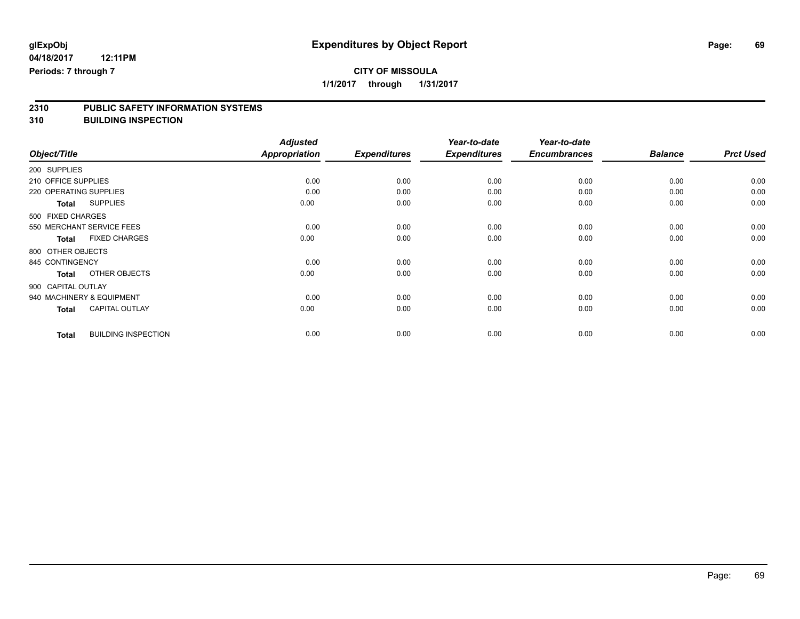# **CITY OF MISSOULA**

**1/1/2017 through 1/31/2017**

# **2310 PUBLIC SAFETY INFORMATION SYSTEMS**

**310 BUILDING INSPECTION**

|                     |                            | <b>Adjusted</b> |                     | Year-to-date        | Year-to-date        |                |                  |
|---------------------|----------------------------|-----------------|---------------------|---------------------|---------------------|----------------|------------------|
| Object/Title        |                            | Appropriation   | <b>Expenditures</b> | <b>Expenditures</b> | <b>Encumbrances</b> | <b>Balance</b> | <b>Prct Used</b> |
| 200 SUPPLIES        |                            |                 |                     |                     |                     |                |                  |
| 210 OFFICE SUPPLIES |                            | 0.00            | 0.00                | 0.00                | 0.00                | 0.00           | 0.00             |
|                     | 220 OPERATING SUPPLIES     | 0.00            | 0.00                | 0.00                | 0.00                | 0.00           | 0.00             |
| <b>Total</b>        | <b>SUPPLIES</b>            | 0.00            | 0.00                | 0.00                | 0.00                | 0.00           | 0.00             |
| 500 FIXED CHARGES   |                            |                 |                     |                     |                     |                |                  |
|                     | 550 MERCHANT SERVICE FEES  | 0.00            | 0.00                | 0.00                | 0.00                | 0.00           | 0.00             |
| <b>Total</b>        | <b>FIXED CHARGES</b>       | 0.00            | 0.00                | 0.00                | 0.00                | 0.00           | 0.00             |
| 800 OTHER OBJECTS   |                            |                 |                     |                     |                     |                |                  |
| 845 CONTINGENCY     |                            | 0.00            | 0.00                | 0.00                | 0.00                | 0.00           | 0.00             |
| <b>Total</b>        | OTHER OBJECTS              | 0.00            | 0.00                | 0.00                | 0.00                | 0.00           | 0.00             |
| 900 CAPITAL OUTLAY  |                            |                 |                     |                     |                     |                |                  |
|                     | 940 MACHINERY & EQUIPMENT  | 0.00            | 0.00                | 0.00                | 0.00                | 0.00           | 0.00             |
| <b>Total</b>        | <b>CAPITAL OUTLAY</b>      | 0.00            | 0.00                | 0.00                | 0.00                | 0.00           | 0.00             |
| <b>Total</b>        | <b>BUILDING INSPECTION</b> | 0.00            | 0.00                | 0.00                | 0.00                | 0.00           | 0.00             |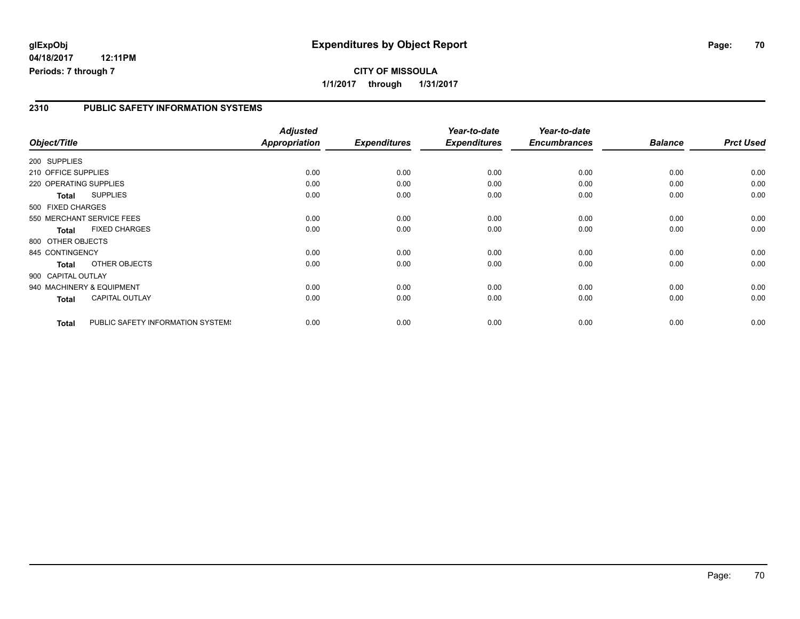# **glExpObj Expenditures by Object Report Page: 70**

**04/18/2017 12:11PM Periods: 7 through 7**

**1/1/2017 through 1/31/2017**

#### **2310 PUBLIC SAFETY INFORMATION SYSTEMS**

|                        |                                   | <b>Adjusted</b>      |                     | Year-to-date        | Year-to-date        |                |                  |
|------------------------|-----------------------------------|----------------------|---------------------|---------------------|---------------------|----------------|------------------|
| Object/Title           |                                   | <b>Appropriation</b> | <b>Expenditures</b> | <b>Expenditures</b> | <b>Encumbrances</b> | <b>Balance</b> | <b>Prct Used</b> |
| 200 SUPPLIES           |                                   |                      |                     |                     |                     |                |                  |
| 210 OFFICE SUPPLIES    |                                   | 0.00                 | 0.00                | 0.00                | 0.00                | 0.00           | 0.00             |
| 220 OPERATING SUPPLIES |                                   | 0.00                 | 0.00                | 0.00                | 0.00                | 0.00           | 0.00             |
| <b>Total</b>           | <b>SUPPLIES</b>                   | 0.00                 | 0.00                | 0.00                | 0.00                | 0.00           | 0.00             |
| 500 FIXED CHARGES      |                                   |                      |                     |                     |                     |                |                  |
|                        | 550 MERCHANT SERVICE FEES         | 0.00                 | 0.00                | 0.00                | 0.00                | 0.00           | 0.00             |
| <b>Total</b>           | <b>FIXED CHARGES</b>              | 0.00                 | 0.00                | 0.00                | 0.00                | 0.00           | 0.00             |
| 800 OTHER OBJECTS      |                                   |                      |                     |                     |                     |                |                  |
| 845 CONTINGENCY        |                                   | 0.00                 | 0.00                | 0.00                | 0.00                | 0.00           | 0.00             |
| <b>Total</b>           | OTHER OBJECTS                     | 0.00                 | 0.00                | 0.00                | 0.00                | 0.00           | 0.00             |
| 900 CAPITAL OUTLAY     |                                   |                      |                     |                     |                     |                |                  |
|                        | 940 MACHINERY & EQUIPMENT         | 0.00                 | 0.00                | 0.00                | 0.00                | 0.00           | 0.00             |
| <b>Total</b>           | <b>CAPITAL OUTLAY</b>             | 0.00                 | 0.00                | 0.00                | 0.00                | 0.00           | 0.00             |
| <b>Total</b>           | PUBLIC SAFETY INFORMATION SYSTEM! | 0.00                 | 0.00                | 0.00                | 0.00                | 0.00           | 0.00             |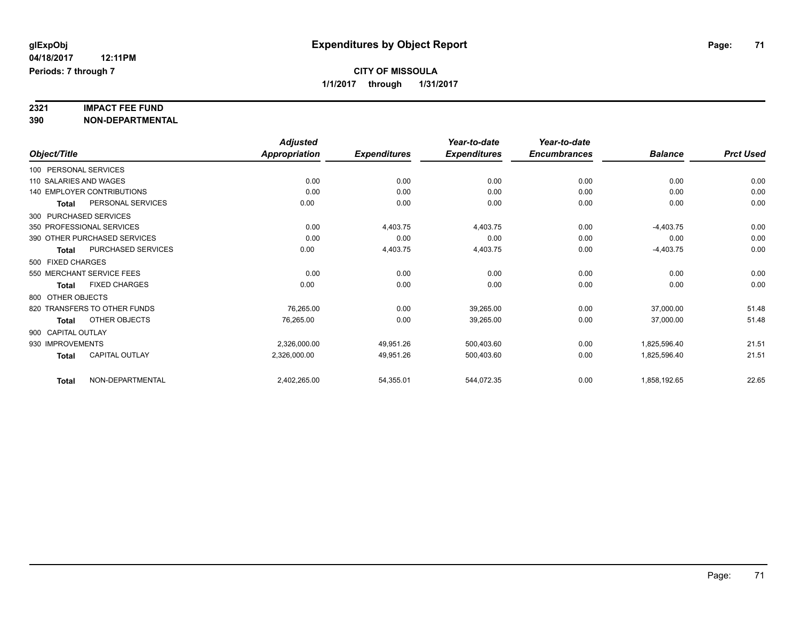# **2321 IMPACT FEE FUND**

**390 NON-DEPARTMENTAL**

|                                           | <b>Adjusted</b>      |                     | Year-to-date        | Year-to-date        |                |                  |
|-------------------------------------------|----------------------|---------------------|---------------------|---------------------|----------------|------------------|
| Object/Title                              | <b>Appropriation</b> | <b>Expenditures</b> | <b>Expenditures</b> | <b>Encumbrances</b> | <b>Balance</b> | <b>Prct Used</b> |
| 100 PERSONAL SERVICES                     |                      |                     |                     |                     |                |                  |
| 110 SALARIES AND WAGES                    | 0.00                 | 0.00                | 0.00                | 0.00                | 0.00           | 0.00             |
| <b>140 EMPLOYER CONTRIBUTIONS</b>         | 0.00                 | 0.00                | 0.00                | 0.00                | 0.00           | 0.00             |
| PERSONAL SERVICES<br>Total                | 0.00                 | 0.00                | 0.00                | 0.00                | 0.00           | 0.00             |
| 300 PURCHASED SERVICES                    |                      |                     |                     |                     |                |                  |
| 350 PROFESSIONAL SERVICES                 | 0.00                 | 4,403.75            | 4,403.75            | 0.00                | $-4,403.75$    | 0.00             |
| 390 OTHER PURCHASED SERVICES              | 0.00                 | 0.00                | 0.00                | 0.00                | 0.00           | 0.00             |
| <b>PURCHASED SERVICES</b><br><b>Total</b> | 0.00                 | 4,403.75            | 4,403.75            | 0.00                | $-4,403.75$    | 0.00             |
| 500 FIXED CHARGES                         |                      |                     |                     |                     |                |                  |
| 550 MERCHANT SERVICE FEES                 | 0.00                 | 0.00                | 0.00                | 0.00                | 0.00           | 0.00             |
| <b>FIXED CHARGES</b><br>Total             | 0.00                 | 0.00                | 0.00                | 0.00                | 0.00           | 0.00             |
| 800 OTHER OBJECTS                         |                      |                     |                     |                     |                |                  |
| 820 TRANSFERS TO OTHER FUNDS              | 76,265.00            | 0.00                | 39,265.00           | 0.00                | 37,000.00      | 51.48            |
| <b>OTHER OBJECTS</b><br>Total             | 76,265.00            | 0.00                | 39,265.00           | 0.00                | 37,000.00      | 51.48            |
| 900 CAPITAL OUTLAY                        |                      |                     |                     |                     |                |                  |
| 930 IMPROVEMENTS                          | 2,326,000.00         | 49,951.26           | 500,403.60          | 0.00                | 1,825,596.40   | 21.51            |
| <b>CAPITAL OUTLAY</b><br><b>Total</b>     | 2,326,000.00         | 49,951.26           | 500,403.60          | 0.00                | 1,825,596.40   | 21.51            |
| NON-DEPARTMENTAL<br><b>Total</b>          | 2,402,265.00         | 54,355.01           | 544,072.35          | 0.00                | 1,858,192.65   | 22.65            |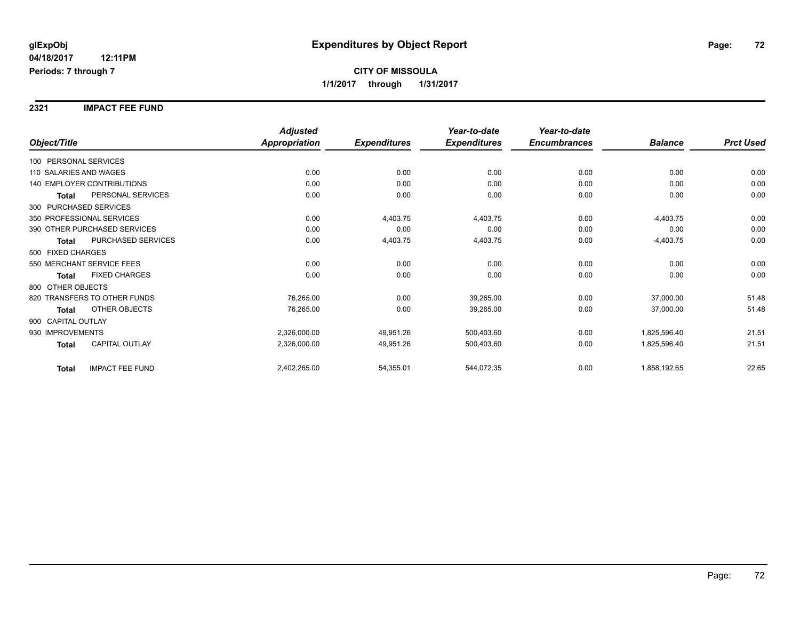#### **2321 IMPACT FEE FUND**

|                                        | <b>Adjusted</b>      |                     | Year-to-date        | Year-to-date        |                |                  |
|----------------------------------------|----------------------|---------------------|---------------------|---------------------|----------------|------------------|
| Object/Title                           | <b>Appropriation</b> | <b>Expenditures</b> | <b>Expenditures</b> | <b>Encumbrances</b> | <b>Balance</b> | <b>Prct Used</b> |
| 100 PERSONAL SERVICES                  |                      |                     |                     |                     |                |                  |
| 110 SALARIES AND WAGES                 | 0.00                 | 0.00                | 0.00                | 0.00                | 0.00           | 0.00             |
| <b>140 EMPLOYER CONTRIBUTIONS</b>      | 0.00                 | 0.00                | 0.00                | 0.00                | 0.00           | 0.00             |
| PERSONAL SERVICES<br><b>Total</b>      | 0.00                 | 0.00                | 0.00                | 0.00                | 0.00           | 0.00             |
| 300 PURCHASED SERVICES                 |                      |                     |                     |                     |                |                  |
| 350 PROFESSIONAL SERVICES              | 0.00                 | 4,403.75            | 4,403.75            | 0.00                | $-4,403.75$    | 0.00             |
| 390 OTHER PURCHASED SERVICES           | 0.00                 | 0.00                | 0.00                | 0.00                | 0.00           | 0.00             |
| PURCHASED SERVICES<br><b>Total</b>     | 0.00                 | 4,403.75            | 4,403.75            | 0.00                | $-4,403.75$    | 0.00             |
| 500 FIXED CHARGES                      |                      |                     |                     |                     |                |                  |
| 550 MERCHANT SERVICE FEES              | 0.00                 | 0.00                | 0.00                | 0.00                | 0.00           | 0.00             |
| <b>FIXED CHARGES</b><br>Total          | 0.00                 | 0.00                | 0.00                | 0.00                | 0.00           | 0.00             |
| 800 OTHER OBJECTS                      |                      |                     |                     |                     |                |                  |
| 820 TRANSFERS TO OTHER FUNDS           | 76,265.00            | 0.00                | 39,265.00           | 0.00                | 37,000.00      | 51.48            |
| OTHER OBJECTS<br><b>Total</b>          | 76,265.00            | 0.00                | 39,265.00           | 0.00                | 37,000.00      | 51.48            |
| 900 CAPITAL OUTLAY                     |                      |                     |                     |                     |                |                  |
| 930 IMPROVEMENTS                       | 2,326,000.00         | 49,951.26           | 500,403.60          | 0.00                | 1,825,596.40   | 21.51            |
| <b>CAPITAL OUTLAY</b><br><b>Total</b>  | 2,326,000.00         | 49,951.26           | 500,403.60          | 0.00                | 1,825,596.40   | 21.51            |
| <b>IMPACT FEE FUND</b><br><b>Total</b> | 2,402,265.00         | 54,355.01           | 544,072.35          | 0.00                | 1,858,192.65   | 22.65            |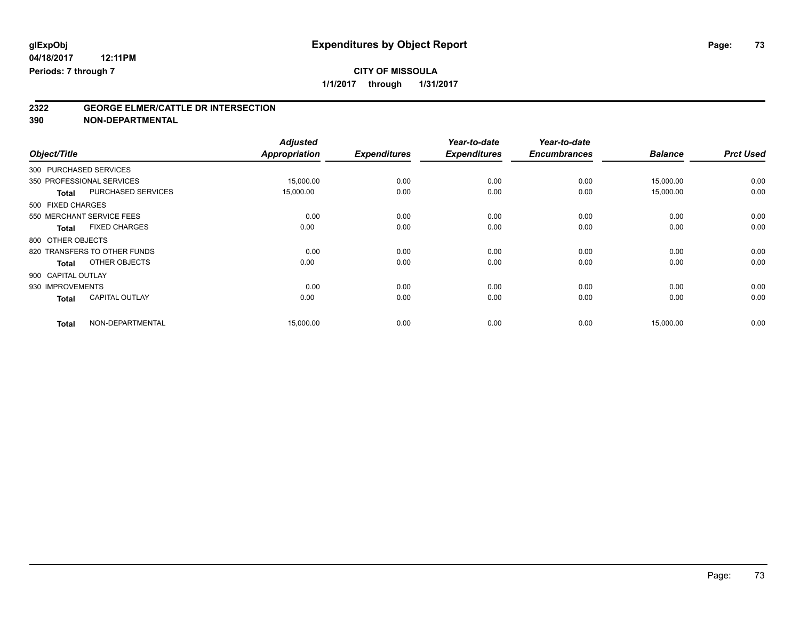# **CITY OF MISSOULA**

**1/1/2017 through 1/31/2017**

# **2322 GEORGE ELMER/CATTLE DR INTERSECTION**

**390 NON-DEPARTMENTAL**

| Object/Title       |                              | <b>Adjusted</b><br><b>Appropriation</b> | <b>Expenditures</b> | Year-to-date<br><b>Expenditures</b> | Year-to-date<br><b>Encumbrances</b> | <b>Balance</b> | <b>Prct Used</b> |
|--------------------|------------------------------|-----------------------------------------|---------------------|-------------------------------------|-------------------------------------|----------------|------------------|
|                    |                              |                                         |                     |                                     |                                     |                |                  |
|                    | 300 PURCHASED SERVICES       |                                         |                     |                                     |                                     |                |                  |
|                    | 350 PROFESSIONAL SERVICES    | 15,000.00                               | 0.00                | 0.00                                | 0.00                                | 15,000.00      | 0.00             |
| <b>Total</b>       | PURCHASED SERVICES           | 15,000.00                               | 0.00                | 0.00                                | 0.00                                | 15,000.00      | 0.00             |
| 500 FIXED CHARGES  |                              |                                         |                     |                                     |                                     |                |                  |
|                    | 550 MERCHANT SERVICE FEES    | 0.00                                    | 0.00                | 0.00                                | 0.00                                | 0.00           | 0.00             |
| <b>Total</b>       | <b>FIXED CHARGES</b>         | 0.00                                    | 0.00                | 0.00                                | 0.00                                | 0.00           | 0.00             |
| 800 OTHER OBJECTS  |                              |                                         |                     |                                     |                                     |                |                  |
|                    | 820 TRANSFERS TO OTHER FUNDS | 0.00                                    | 0.00                | 0.00                                | 0.00                                | 0.00           | 0.00             |
| <b>Total</b>       | OTHER OBJECTS                | 0.00                                    | 0.00                | 0.00                                | 0.00                                | 0.00           | 0.00             |
| 900 CAPITAL OUTLAY |                              |                                         |                     |                                     |                                     |                |                  |
| 930 IMPROVEMENTS   |                              | 0.00                                    | 0.00                | 0.00                                | 0.00                                | 0.00           | 0.00             |
| <b>Total</b>       | <b>CAPITAL OUTLAY</b>        | 0.00                                    | 0.00                | 0.00                                | 0.00                                | 0.00           | 0.00             |
| <b>Total</b>       | NON-DEPARTMENTAL             | 15,000.00                               | 0.00                | 0.00                                | 0.00                                | 15,000.00      | 0.00             |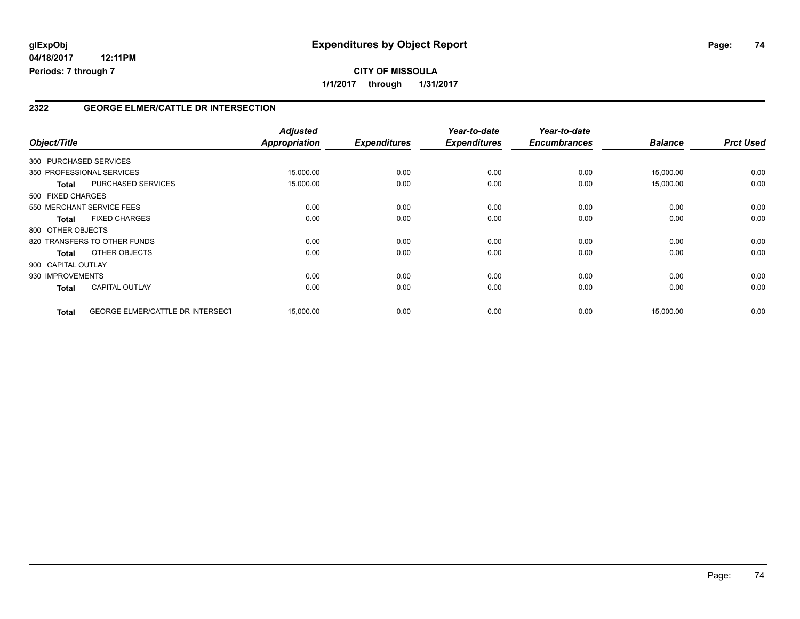### **2322 GEORGE ELMER/CATTLE DR INTERSECTION**

| Object/Title       |                                         | <b>Adjusted</b><br>Appropriation | <b>Expenditures</b> | Year-to-date<br><b>Expenditures</b> | Year-to-date<br><b>Encumbrances</b> | <b>Balance</b> | <b>Prct Used</b> |
|--------------------|-----------------------------------------|----------------------------------|---------------------|-------------------------------------|-------------------------------------|----------------|------------------|
|                    | 300 PURCHASED SERVICES                  |                                  |                     |                                     |                                     |                |                  |
|                    | 350 PROFESSIONAL SERVICES               | 15,000.00                        | 0.00                | 0.00                                | 0.00                                | 15,000.00      | 0.00             |
| <b>Total</b>       | <b>PURCHASED SERVICES</b>               | 15,000.00                        | 0.00                | 0.00                                | 0.00                                | 15,000.00      | 0.00             |
| 500 FIXED CHARGES  |                                         |                                  |                     |                                     |                                     |                |                  |
|                    | 550 MERCHANT SERVICE FEES               | 0.00                             | 0.00                | 0.00                                | 0.00                                | 0.00           | 0.00             |
| <b>Total</b>       | <b>FIXED CHARGES</b>                    | 0.00                             | 0.00                | 0.00                                | 0.00                                | 0.00           | 0.00             |
| 800 OTHER OBJECTS  |                                         |                                  |                     |                                     |                                     |                |                  |
|                    | 820 TRANSFERS TO OTHER FUNDS            | 0.00                             | 0.00                | 0.00                                | 0.00                                | 0.00           | 0.00             |
| <b>Total</b>       | OTHER OBJECTS                           | 0.00                             | 0.00                | 0.00                                | 0.00                                | 0.00           | 0.00             |
| 900 CAPITAL OUTLAY |                                         |                                  |                     |                                     |                                     |                |                  |
| 930 IMPROVEMENTS   |                                         | 0.00                             | 0.00                | 0.00                                | 0.00                                | 0.00           | 0.00             |
| <b>Total</b>       | <b>CAPITAL OUTLAY</b>                   | 0.00                             | 0.00                | 0.00                                | 0.00                                | 0.00           | 0.00             |
| <b>Total</b>       | <b>GEORGE ELMER/CATTLE DR INTERSECT</b> | 15,000.00                        | 0.00                | 0.00                                | 0.00                                | 15,000.00      | 0.00             |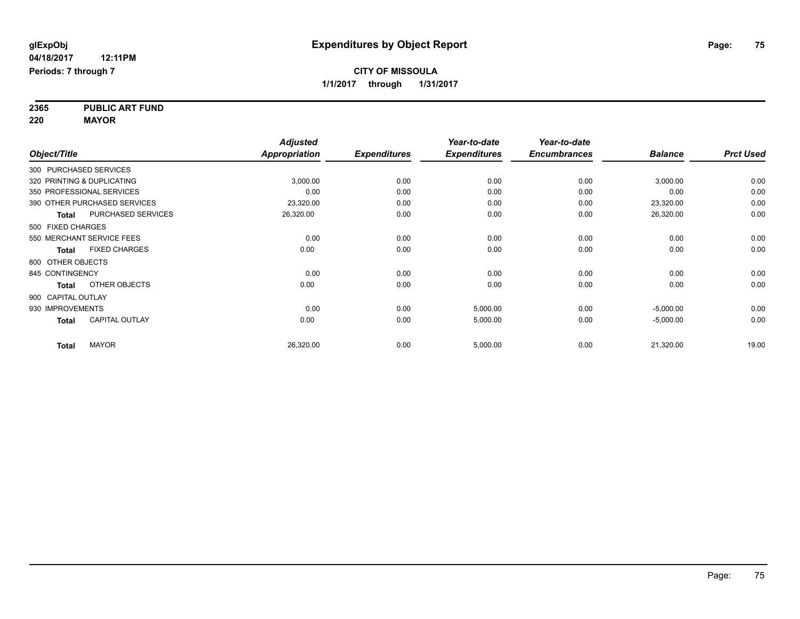**2365 PUBLIC ART FUND 220 MAYOR**

|                        |                              | <b>Adjusted</b>      |                     | Year-to-date        | Year-to-date        |                |                  |
|------------------------|------------------------------|----------------------|---------------------|---------------------|---------------------|----------------|------------------|
| Object/Title           |                              | <b>Appropriation</b> | <b>Expenditures</b> | <b>Expenditures</b> | <b>Encumbrances</b> | <b>Balance</b> | <b>Prct Used</b> |
| 300 PURCHASED SERVICES |                              |                      |                     |                     |                     |                |                  |
|                        | 320 PRINTING & DUPLICATING   | 3,000.00             | 0.00                | 0.00                | 0.00                | 3,000.00       | 0.00             |
|                        | 350 PROFESSIONAL SERVICES    | 0.00                 | 0.00                | 0.00                | 0.00                | 0.00           | 0.00             |
|                        | 390 OTHER PURCHASED SERVICES | 23,320.00            | 0.00                | 0.00                | 0.00                | 23,320.00      | 0.00             |
| <b>Total</b>           | <b>PURCHASED SERVICES</b>    | 26,320.00            | 0.00                | 0.00                | 0.00                | 26,320.00      | 0.00             |
| 500 FIXED CHARGES      |                              |                      |                     |                     |                     |                |                  |
|                        | 550 MERCHANT SERVICE FEES    | 0.00                 | 0.00                | 0.00                | 0.00                | 0.00           | 0.00             |
| Total                  | <b>FIXED CHARGES</b>         | 0.00                 | 0.00                | 0.00                | 0.00                | 0.00           | 0.00             |
| 800 OTHER OBJECTS      |                              |                      |                     |                     |                     |                |                  |
| 845 CONTINGENCY        |                              | 0.00                 | 0.00                | 0.00                | 0.00                | 0.00           | 0.00             |
| <b>Total</b>           | OTHER OBJECTS                | 0.00                 | 0.00                | 0.00                | 0.00                | 0.00           | 0.00             |
| 900 CAPITAL OUTLAY     |                              |                      |                     |                     |                     |                |                  |
| 930 IMPROVEMENTS       |                              | 0.00                 | 0.00                | 5,000.00            | 0.00                | $-5,000.00$    | 0.00             |
| <b>Total</b>           | <b>CAPITAL OUTLAY</b>        | 0.00                 | 0.00                | 5,000.00            | 0.00                | $-5,000.00$    | 0.00             |
| <b>Total</b>           | <b>MAYOR</b>                 | 26,320.00            | 0.00                | 5,000.00            | 0.00                | 21,320.00      | 19.00            |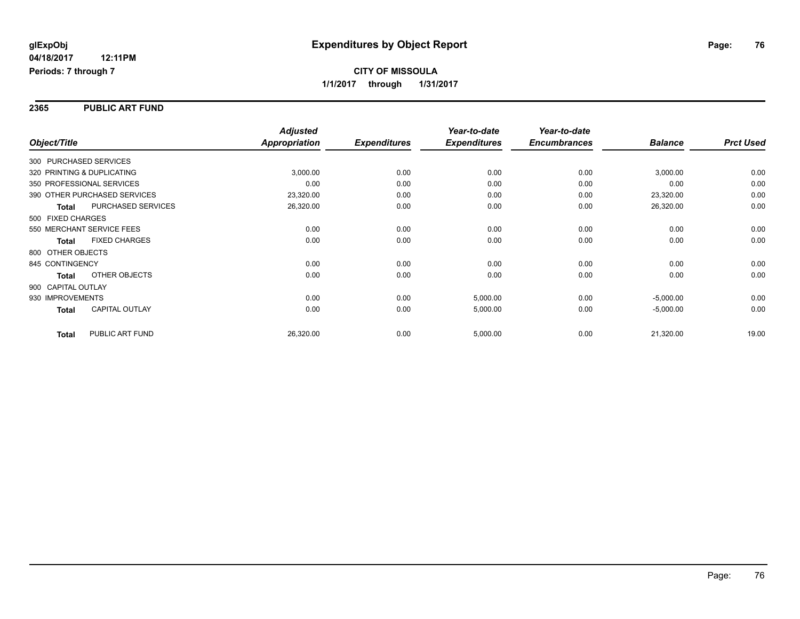#### **2365 PUBLIC ART FUND**

|                    |                              | <b>Adjusted</b>      |                     | Year-to-date        | Year-to-date        |                |                  |
|--------------------|------------------------------|----------------------|---------------------|---------------------|---------------------|----------------|------------------|
| Object/Title       |                              | <b>Appropriation</b> | <b>Expenditures</b> | <b>Expenditures</b> | <b>Encumbrances</b> | <b>Balance</b> | <b>Prct Used</b> |
|                    | 300 PURCHASED SERVICES       |                      |                     |                     |                     |                |                  |
|                    | 320 PRINTING & DUPLICATING   | 3,000.00             | 0.00                | 0.00                | 0.00                | 3,000.00       | 0.00             |
|                    | 350 PROFESSIONAL SERVICES    | 0.00                 | 0.00                | 0.00                | 0.00                | 0.00           | 0.00             |
|                    | 390 OTHER PURCHASED SERVICES | 23,320.00            | 0.00                | 0.00                | 0.00                | 23,320.00      | 0.00             |
| <b>Total</b>       | PURCHASED SERVICES           | 26,320.00            | 0.00                | 0.00                | 0.00                | 26,320.00      | 0.00             |
| 500 FIXED CHARGES  |                              |                      |                     |                     |                     |                |                  |
|                    | 550 MERCHANT SERVICE FEES    | 0.00                 | 0.00                | 0.00                | 0.00                | 0.00           | 0.00             |
| <b>Total</b>       | <b>FIXED CHARGES</b>         | 0.00                 | 0.00                | 0.00                | 0.00                | 0.00           | 0.00             |
| 800 OTHER OBJECTS  |                              |                      |                     |                     |                     |                |                  |
| 845 CONTINGENCY    |                              | 0.00                 | 0.00                | 0.00                | 0.00                | 0.00           | 0.00             |
| Total              | OTHER OBJECTS                | 0.00                 | 0.00                | 0.00                | 0.00                | 0.00           | 0.00             |
| 900 CAPITAL OUTLAY |                              |                      |                     |                     |                     |                |                  |
| 930 IMPROVEMENTS   |                              | 0.00                 | 0.00                | 5,000.00            | 0.00                | $-5,000.00$    | 0.00             |
| Total              | <b>CAPITAL OUTLAY</b>        | 0.00                 | 0.00                | 5,000.00            | 0.00                | $-5,000.00$    | 0.00             |
| <b>Total</b>       | PUBLIC ART FUND              | 26,320.00            | 0.00                | 5,000.00            | 0.00                | 21,320.00      | 19.00            |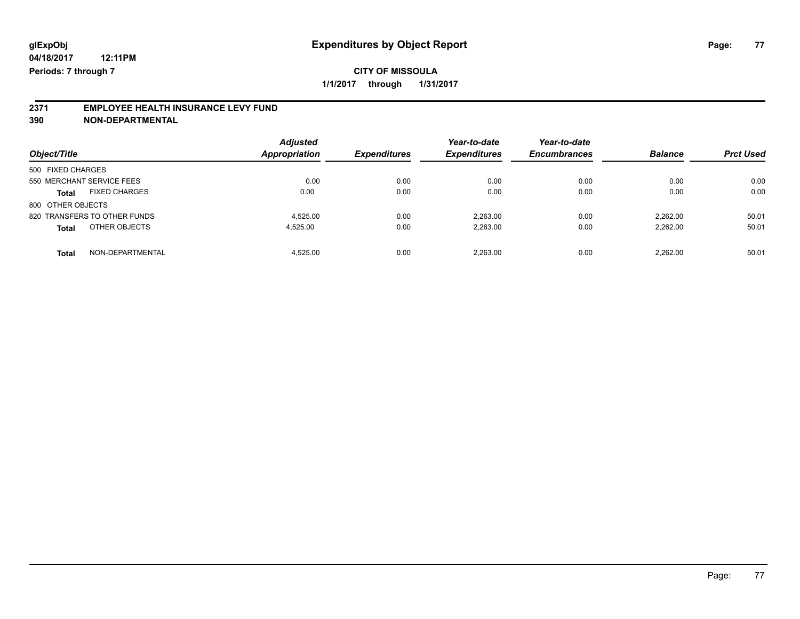### **CITY OF MISSOULA 1/1/2017 through 1/31/2017**

# **2371 EMPLOYEE HEALTH INSURANCE LEVY FUND**

**390 NON-DEPARTMENTAL**

| Object/Title                         | <b>Adjusted</b><br>Appropriation | <b>Expenditures</b> | Year-to-date<br><b>Expenditures</b> | Year-to-date<br><b>Encumbrances</b> | <b>Balance</b> | <b>Prct Used</b> |
|--------------------------------------|----------------------------------|---------------------|-------------------------------------|-------------------------------------|----------------|------------------|
| 500 FIXED CHARGES                    |                                  |                     |                                     |                                     |                |                  |
| 550 MERCHANT SERVICE FEES            | 0.00                             | 0.00                | 0.00                                | 0.00                                | 0.00           | 0.00             |
| <b>FIXED CHARGES</b><br><b>Total</b> | 0.00                             | 0.00                | 0.00                                | 0.00                                | 0.00           | 0.00             |
| 800 OTHER OBJECTS                    |                                  |                     |                                     |                                     |                |                  |
| 820 TRANSFERS TO OTHER FUNDS         | 4.525.00                         | 0.00                | 2.263.00                            | 0.00                                | 2.262.00       | 50.01            |
| OTHER OBJECTS<br><b>Total</b>        | 4.525.00                         | 0.00                | 2,263.00                            | 0.00                                | 2.262.00       | 50.01            |
| NON-DEPARTMENTAL<br><b>Total</b>     | 4.525.00                         | 0.00                | 2.263.00                            | 0.00                                | 2.262.00       | 50.01            |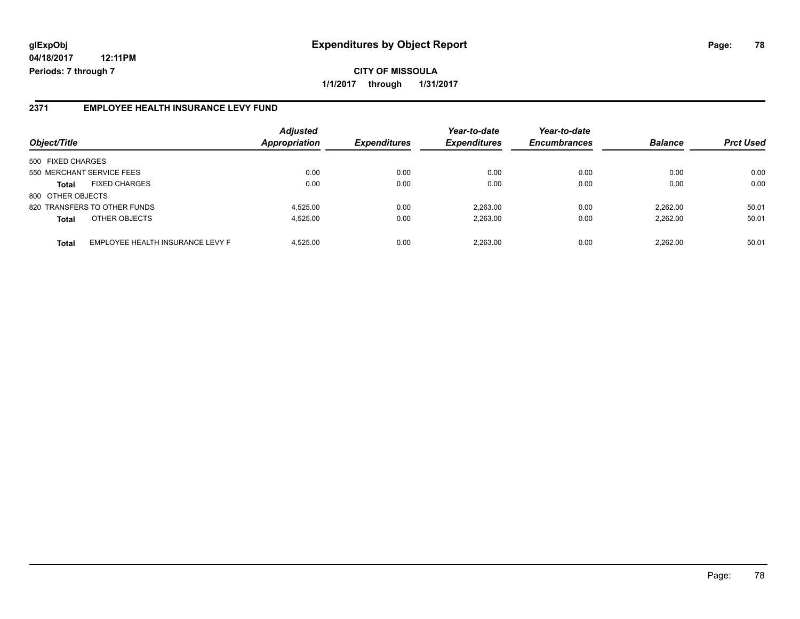**CITY OF MISSOULA 1/1/2017 through 1/31/2017**

#### **2371 EMPLOYEE HEALTH INSURANCE LEVY FUND**

| Object/Title              |                                  | <b>Adjusted</b><br>Appropriation | <b>Expenditures</b> | Year-to-date<br><b>Expenditures</b> | Year-to-date<br><b>Encumbrances</b> | <b>Balance</b> | <b>Prct Used</b> |
|---------------------------|----------------------------------|----------------------------------|---------------------|-------------------------------------|-------------------------------------|----------------|------------------|
| 500 FIXED CHARGES         |                                  |                                  |                     |                                     |                                     |                |                  |
| 550 MERCHANT SERVICE FEES |                                  | 0.00                             | 0.00                | 0.00                                | 0.00                                | 0.00           | 0.00             |
| <b>Total</b>              | <b>FIXED CHARGES</b>             | 0.00                             | 0.00                | 0.00                                | 0.00                                | 0.00           | 0.00             |
| 800 OTHER OBJECTS         |                                  |                                  |                     |                                     |                                     |                |                  |
|                           | 820 TRANSFERS TO OTHER FUNDS     | 4.525.00                         | 0.00                | 2.263.00                            | 0.00                                | 2.262.00       | 50.01            |
| <b>Total</b>              | OTHER OBJECTS                    | 4.525.00                         | 0.00                | 2,263.00                            | 0.00                                | 2.262.00       | 50.01            |
| <b>Total</b>              | EMPLOYEE HEALTH INSURANCE LEVY F | 4.525.00                         | 0.00                | 2.263.00                            | 0.00                                | 2.262.00       | 50.01            |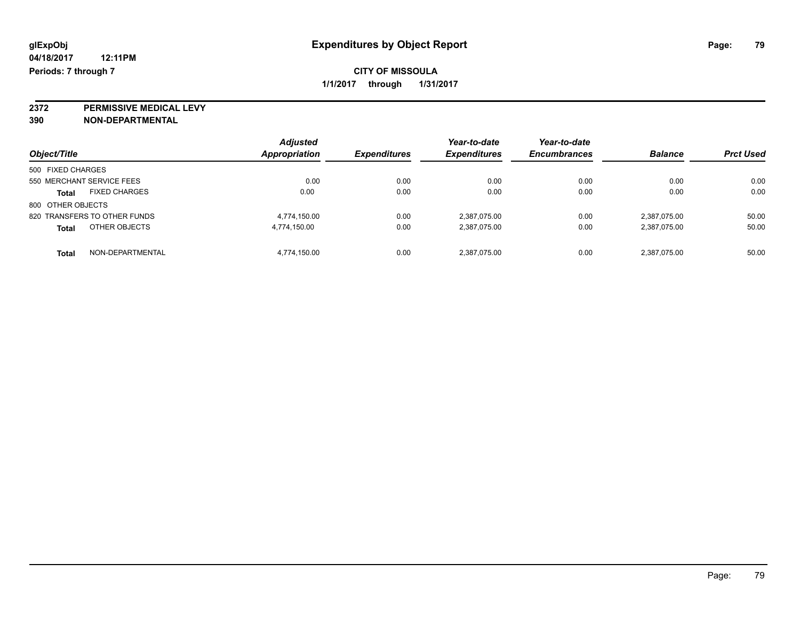**2372 PERMISSIVE MEDICAL LEVY**

**390 NON-DEPARTMENTAL**

| Object/Title                         | <b>Adjusted</b><br>Appropriation | <b>Expenditures</b> | Year-to-date<br><b>Expenditures</b> | Year-to-date<br><b>Encumbrances</b> | <b>Balance</b> | <b>Prct Used</b> |
|--------------------------------------|----------------------------------|---------------------|-------------------------------------|-------------------------------------|----------------|------------------|
| 500 FIXED CHARGES                    |                                  |                     |                                     |                                     |                |                  |
| 550 MERCHANT SERVICE FEES            | 0.00                             | 0.00                | 0.00                                | 0.00                                | 0.00           | 0.00             |
| <b>FIXED CHARGES</b><br><b>Total</b> | 0.00                             | 0.00                | 0.00                                | 0.00                                | 0.00           | 0.00             |
| 800 OTHER OBJECTS                    |                                  |                     |                                     |                                     |                |                  |
| 820 TRANSFERS TO OTHER FUNDS         | 4.774.150.00                     | 0.00                | 2,387,075.00                        | 0.00                                | 2.387.075.00   | 50.00            |
| OTHER OBJECTS<br><b>Total</b>        | 4,774,150.00                     | 0.00                | 2,387,075.00                        | 0.00                                | 2,387,075.00   | 50.00            |
| NON-DEPARTMENTAL<br><b>Total</b>     | 4,774,150.00                     | 0.00                | 2,387,075.00                        | 0.00                                | 2,387,075.00   | 50.00            |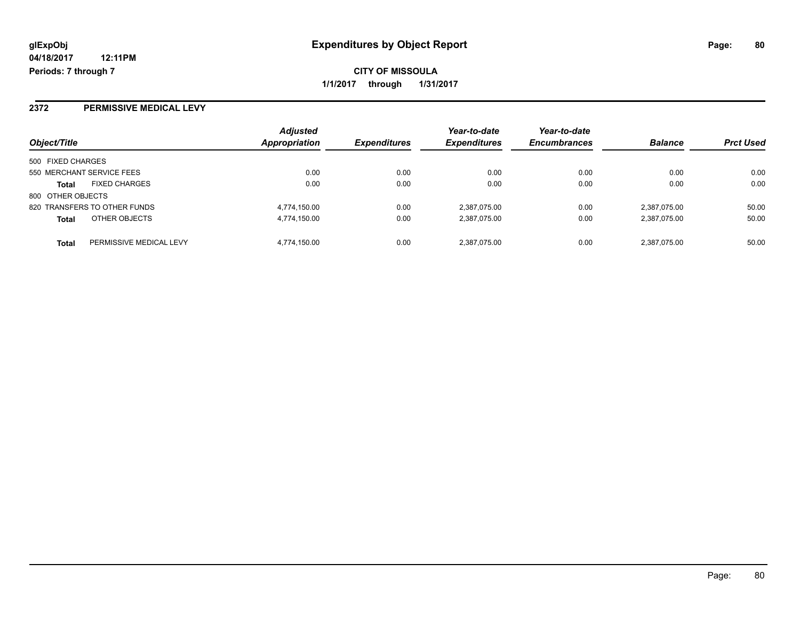#### **2372 PERMISSIVE MEDICAL LEVY**

| Object/Title              |                              | <b>Adjusted</b> |                     | Year-to-date        | Year-to-date        | <b>Balance</b> |                  |
|---------------------------|------------------------------|-----------------|---------------------|---------------------|---------------------|----------------|------------------|
|                           |                              | Appropriation   | <b>Expenditures</b> | <b>Expenditures</b> | <b>Encumbrances</b> |                | <b>Prct Used</b> |
| 500 FIXED CHARGES         |                              |                 |                     |                     |                     |                |                  |
| 550 MERCHANT SERVICE FEES |                              | 0.00            | 0.00                | 0.00                | 0.00                | 0.00           | 0.00             |
| <b>Total</b>              | <b>FIXED CHARGES</b>         | 0.00            | 0.00                | 0.00                | 0.00                | 0.00           | 0.00             |
| 800 OTHER OBJECTS         |                              |                 |                     |                     |                     |                |                  |
|                           | 820 TRANSFERS TO OTHER FUNDS | 4,774,150.00    | 0.00                | 2,387,075.00        | 0.00                | 2,387,075.00   | 50.00            |
| <b>Total</b>              | OTHER OBJECTS                | 4,774,150.00    | 0.00                | 2,387,075.00        | 0.00                | 2,387,075.00   | 50.00            |
| <b>Total</b>              | PERMISSIVE MEDICAL LEVY      | 4.774.150.00    | 0.00                | 2.387.075.00        | 0.00                | 2.387.075.00   | 50.00            |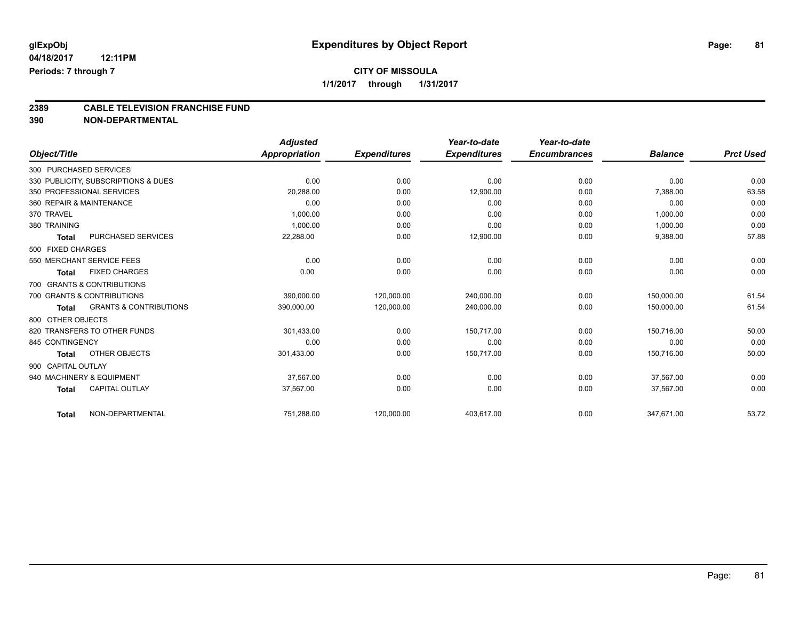# **CITY OF MISSOULA**

**1/1/2017 through 1/31/2017**

# **2389 CABLE TELEVISION FRANCHISE FUND**

**390 NON-DEPARTMENTAL**

|                    |                                     | <b>Adjusted</b> |                     | Year-to-date        | Year-to-date        |                |                  |
|--------------------|-------------------------------------|-----------------|---------------------|---------------------|---------------------|----------------|------------------|
| Object/Title       |                                     | Appropriation   | <b>Expenditures</b> | <b>Expenditures</b> | <b>Encumbrances</b> | <b>Balance</b> | <b>Prct Used</b> |
|                    | 300 PURCHASED SERVICES              |                 |                     |                     |                     |                |                  |
|                    | 330 PUBLICITY, SUBSCRIPTIONS & DUES | 0.00            | 0.00                | 0.00                | 0.00                | 0.00           | 0.00             |
|                    | 350 PROFESSIONAL SERVICES           | 20.288.00       | 0.00                | 12,900.00           | 0.00                | 7,388.00       | 63.58            |
|                    | 360 REPAIR & MAINTENANCE            | 0.00            | 0.00                | 0.00                | 0.00                | 0.00           | 0.00             |
| 370 TRAVEL         |                                     | 1,000.00        | 0.00                | 0.00                | 0.00                | 1,000.00       | 0.00             |
| 380 TRAINING       |                                     | 1,000.00        | 0.00                | 0.00                | 0.00                | 1,000.00       | 0.00             |
| <b>Total</b>       | PURCHASED SERVICES                  | 22,288.00       | 0.00                | 12,900.00           | 0.00                | 9,388.00       | 57.88            |
| 500 FIXED CHARGES  |                                     |                 |                     |                     |                     |                |                  |
|                    | 550 MERCHANT SERVICE FEES           | 0.00            | 0.00                | 0.00                | 0.00                | 0.00           | 0.00             |
| <b>Total</b>       | <b>FIXED CHARGES</b>                | 0.00            | 0.00                | 0.00                | 0.00                | 0.00           | 0.00             |
|                    | 700 GRANTS & CONTRIBUTIONS          |                 |                     |                     |                     |                |                  |
|                    | 700 GRANTS & CONTRIBUTIONS          | 390,000.00      | 120,000.00          | 240,000.00          | 0.00                | 150.000.00     | 61.54            |
| <b>Total</b>       | <b>GRANTS &amp; CONTRIBUTIONS</b>   | 390,000.00      | 120,000.00          | 240,000.00          | 0.00                | 150,000.00     | 61.54            |
| 800 OTHER OBJECTS  |                                     |                 |                     |                     |                     |                |                  |
|                    | 820 TRANSFERS TO OTHER FUNDS        | 301,433.00      | 0.00                | 150,717.00          | 0.00                | 150,716.00     | 50.00            |
| 845 CONTINGENCY    |                                     | 0.00            | 0.00                | 0.00                | 0.00                | 0.00           | 0.00             |
| <b>Total</b>       | OTHER OBJECTS                       | 301,433.00      | 0.00                | 150,717.00          | 0.00                | 150,716.00     | 50.00            |
| 900 CAPITAL OUTLAY |                                     |                 |                     |                     |                     |                |                  |
|                    | 940 MACHINERY & EQUIPMENT           | 37.567.00       | 0.00                | 0.00                | 0.00                | 37,567.00      | 0.00             |
| <b>Total</b>       | <b>CAPITAL OUTLAY</b>               | 37,567.00       | 0.00                | 0.00                | 0.00                | 37,567.00      | 0.00             |
| <b>Total</b>       | NON-DEPARTMENTAL                    | 751,288.00      | 120,000.00          | 403,617.00          | 0.00                | 347,671.00     | 53.72            |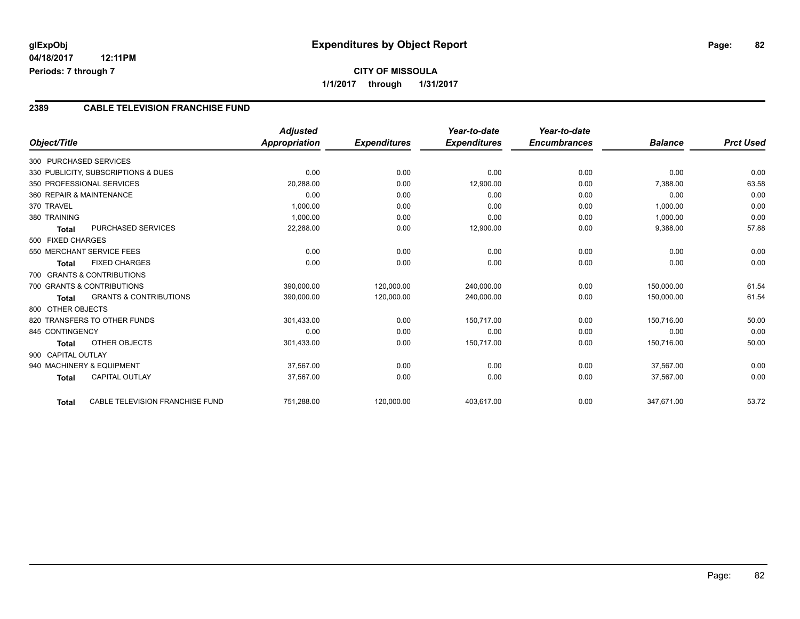#### **2389 CABLE TELEVISION FRANCHISE FUND**

|                                                   | <b>Adjusted</b>      |                     | Year-to-date        | Year-to-date        |                |                  |
|---------------------------------------------------|----------------------|---------------------|---------------------|---------------------|----------------|------------------|
| Object/Title                                      | <b>Appropriation</b> | <b>Expenditures</b> | <b>Expenditures</b> | <b>Encumbrances</b> | <b>Balance</b> | <b>Prct Used</b> |
| 300 PURCHASED SERVICES                            |                      |                     |                     |                     |                |                  |
| 330 PUBLICITY, SUBSCRIPTIONS & DUES               | 0.00                 | 0.00                | 0.00                | 0.00                | 0.00           | 0.00             |
| 350 PROFESSIONAL SERVICES                         | 20,288.00            | 0.00                | 12,900.00           | 0.00                | 7,388.00       | 63.58            |
| 360 REPAIR & MAINTENANCE                          | 0.00                 | 0.00                | 0.00                | 0.00                | 0.00           | 0.00             |
| 370 TRAVEL                                        | 1,000.00             | 0.00                | 0.00                | 0.00                | 1,000.00       | 0.00             |
| 380 TRAINING                                      | 1,000.00             | 0.00                | 0.00                | 0.00                | 1,000.00       | 0.00             |
| <b>PURCHASED SERVICES</b><br><b>Total</b>         | 22,288.00            | 0.00                | 12,900.00           | 0.00                | 9,388.00       | 57.88            |
| 500 FIXED CHARGES                                 |                      |                     |                     |                     |                |                  |
| 550 MERCHANT SERVICE FEES                         | 0.00                 | 0.00                | 0.00                | 0.00                | 0.00           | 0.00             |
| <b>FIXED CHARGES</b><br><b>Total</b>              | 0.00                 | 0.00                | 0.00                | 0.00                | 0.00           | 0.00             |
| 700 GRANTS & CONTRIBUTIONS                        |                      |                     |                     |                     |                |                  |
| 700 GRANTS & CONTRIBUTIONS                        | 390,000.00           | 120,000.00          | 240,000.00          | 0.00                | 150,000.00     | 61.54            |
| <b>GRANTS &amp; CONTRIBUTIONS</b><br><b>Total</b> | 390,000.00           | 120,000.00          | 240,000.00          | 0.00                | 150,000.00     | 61.54            |
| 800 OTHER OBJECTS                                 |                      |                     |                     |                     |                |                  |
| 820 TRANSFERS TO OTHER FUNDS                      | 301,433.00           | 0.00                | 150,717.00          | 0.00                | 150,716.00     | 50.00            |
| 845 CONTINGENCY                                   | 0.00                 | 0.00                | 0.00                | 0.00                | 0.00           | 0.00             |
| OTHER OBJECTS<br><b>Total</b>                     | 301,433.00           | 0.00                | 150,717.00          | 0.00                | 150,716.00     | 50.00            |
| 900 CAPITAL OUTLAY                                |                      |                     |                     |                     |                |                  |
| 940 MACHINERY & EQUIPMENT                         | 37,567.00            | 0.00                | 0.00                | 0.00                | 37,567.00      | 0.00             |
| <b>CAPITAL OUTLAY</b><br><b>Total</b>             | 37,567.00            | 0.00                | 0.00                | 0.00                | 37,567.00      | 0.00             |
| CABLE TELEVISION FRANCHISE FUND<br><b>Total</b>   | 751,288.00           | 120,000.00          | 403,617.00          | 0.00                | 347,671.00     | 53.72            |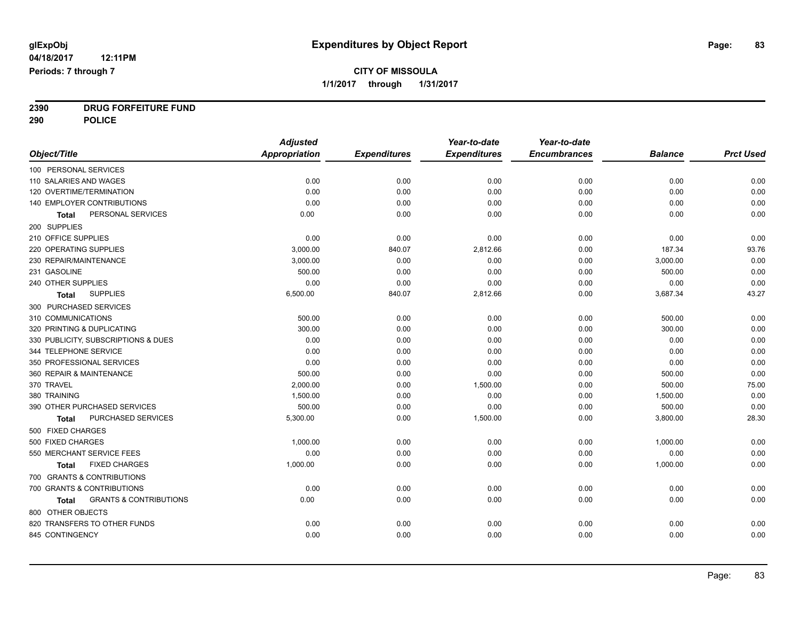**2390 DRUG FORFEITURE FUND**

**290 POLICE**

|                                                   | <b>Adjusted</b>      |                     | Year-to-date        | Year-to-date        |                |                  |
|---------------------------------------------------|----------------------|---------------------|---------------------|---------------------|----------------|------------------|
| Object/Title                                      | <b>Appropriation</b> | <b>Expenditures</b> | <b>Expenditures</b> | <b>Encumbrances</b> | <b>Balance</b> | <b>Prct Used</b> |
| 100 PERSONAL SERVICES                             |                      |                     |                     |                     |                |                  |
| 110 SALARIES AND WAGES                            | 0.00                 | 0.00                | 0.00                | 0.00                | 0.00           | 0.00             |
| 120 OVERTIME/TERMINATION                          | 0.00                 | 0.00                | 0.00                | 0.00                | 0.00           | 0.00             |
| 140 EMPLOYER CONTRIBUTIONS                        | 0.00                 | 0.00                | 0.00                | 0.00                | 0.00           | 0.00             |
| PERSONAL SERVICES<br>Total                        | 0.00                 | 0.00                | 0.00                | 0.00                | 0.00           | 0.00             |
| 200 SUPPLIES                                      |                      |                     |                     |                     |                |                  |
| 210 OFFICE SUPPLIES                               | 0.00                 | 0.00                | 0.00                | 0.00                | 0.00           | 0.00             |
| 220 OPERATING SUPPLIES                            | 3,000.00             | 840.07              | 2,812.66            | 0.00                | 187.34         | 93.76            |
| 230 REPAIR/MAINTENANCE                            | 3,000.00             | 0.00                | 0.00                | 0.00                | 3,000.00       | 0.00             |
| 231 GASOLINE                                      | 500.00               | 0.00                | 0.00                | 0.00                | 500.00         | 0.00             |
| 240 OTHER SUPPLIES                                | 0.00                 | 0.00                | 0.00                | 0.00                | 0.00           | 0.00             |
| <b>SUPPLIES</b><br><b>Total</b>                   | 6,500.00             | 840.07              | 2,812.66            | 0.00                | 3,687.34       | 43.27            |
| 300 PURCHASED SERVICES                            |                      |                     |                     |                     |                |                  |
| 310 COMMUNICATIONS                                | 500.00               | 0.00                | 0.00                | 0.00                | 500.00         | 0.00             |
| 320 PRINTING & DUPLICATING                        | 300.00               | 0.00                | 0.00                | 0.00                | 300.00         | 0.00             |
| 330 PUBLICITY, SUBSCRIPTIONS & DUES               | 0.00                 | 0.00                | 0.00                | 0.00                | 0.00           | 0.00             |
| 344 TELEPHONE SERVICE                             | 0.00                 | 0.00                | 0.00                | 0.00                | 0.00           | 0.00             |
| 350 PROFESSIONAL SERVICES                         | 0.00                 | 0.00                | 0.00                | 0.00                | 0.00           | 0.00             |
| 360 REPAIR & MAINTENANCE                          | 500.00               | 0.00                | 0.00                | 0.00                | 500.00         | 0.00             |
| 370 TRAVEL                                        | 2,000.00             | 0.00                | 1,500.00            | 0.00                | 500.00         | 75.00            |
| 380 TRAINING                                      | 1,500.00             | 0.00                | 0.00                | 0.00                | 1,500.00       | 0.00             |
| 390 OTHER PURCHASED SERVICES                      | 500.00               | 0.00                | 0.00                | 0.00                | 500.00         | 0.00             |
| PURCHASED SERVICES<br>Total                       | 5,300.00             | 0.00                | 1,500.00            | 0.00                | 3,800.00       | 28.30            |
| 500 FIXED CHARGES                                 |                      |                     |                     |                     |                |                  |
| 500 FIXED CHARGES                                 | 1,000.00             | 0.00                | 0.00                | 0.00                | 1,000.00       | 0.00             |
| 550 MERCHANT SERVICE FEES                         | 0.00                 | 0.00                | 0.00                | 0.00                | 0.00           | 0.00             |
| <b>FIXED CHARGES</b><br><b>Total</b>              | 1,000.00             | 0.00                | 0.00                | 0.00                | 1,000.00       | 0.00             |
| 700 GRANTS & CONTRIBUTIONS                        |                      |                     |                     |                     |                |                  |
| 700 GRANTS & CONTRIBUTIONS                        | 0.00                 | 0.00                | 0.00                | 0.00                | 0.00           | 0.00             |
| <b>GRANTS &amp; CONTRIBUTIONS</b><br><b>Total</b> | 0.00                 | 0.00                | 0.00                | 0.00                | 0.00           | 0.00             |
| 800 OTHER OBJECTS                                 |                      |                     |                     |                     |                |                  |
| 820 TRANSFERS TO OTHER FUNDS                      | 0.00                 | 0.00                | 0.00                | 0.00                | 0.00           | 0.00             |
| 845 CONTINGENCY                                   | 0.00                 | 0.00                | 0.00                | 0.00                | 0.00           | 0.00             |
|                                                   |                      |                     |                     |                     |                |                  |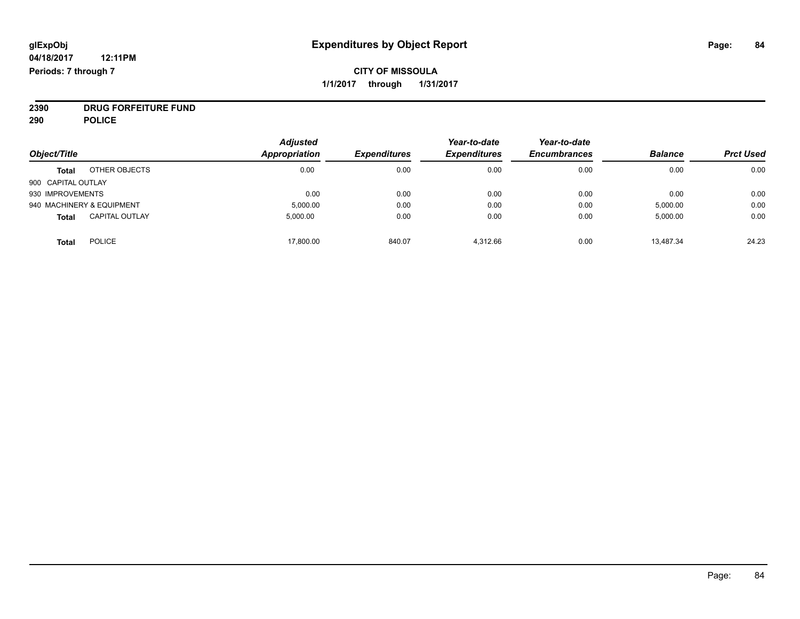### **CITY OF MISSOULA 1/1/2017 through 1/31/2017**

**2390 DRUG FORFEITURE FUND**

**290 POLICE**

|                    |                           | <b>Adjusted</b> |                     | Year-to-date        | Year-to-date        |                |                  |
|--------------------|---------------------------|-----------------|---------------------|---------------------|---------------------|----------------|------------------|
| Object/Title       |                           | Appropriation   | <b>Expenditures</b> | <b>Expenditures</b> | <b>Encumbrances</b> | <b>Balance</b> | <b>Prct Used</b> |
| <b>Total</b>       | OTHER OBJECTS             | 0.00            | 0.00                | 0.00                | 0.00                | 0.00           | 0.00             |
| 900 CAPITAL OUTLAY |                           |                 |                     |                     |                     |                |                  |
| 930 IMPROVEMENTS   |                           | 0.00            | 0.00                | 0.00                | 0.00                | 0.00           | 0.00             |
|                    | 940 MACHINERY & EQUIPMENT | 5,000.00        | 0.00                | 0.00                | 0.00                | 5,000.00       | 0.00             |
| <b>Total</b>       | <b>CAPITAL OUTLAY</b>     | 5.000.00        | 0.00                | 0.00                | 0.00                | 5,000.00       | 0.00             |
| <b>Total</b>       | <b>POLICE</b>             | 17,800.00       | 840.07              | 4.312.66            | 0.00                | 13.487.34      | 24.23            |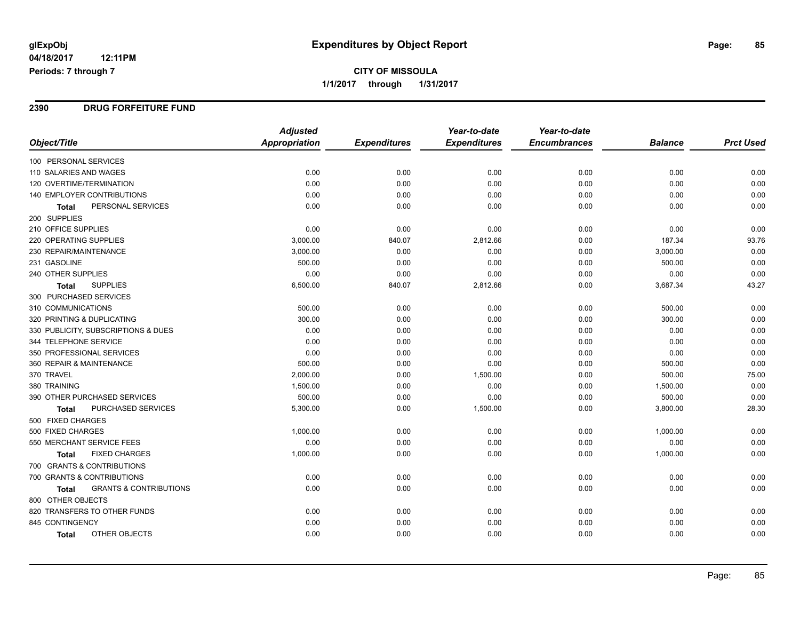## **CITY OF MISSOULA 1/1/2017 through 1/31/2017**

#### **2390 DRUG FORFEITURE FUND**

|                                                   | <b>Adjusted</b>      |                     | Year-to-date        | Year-to-date        |                |                  |
|---------------------------------------------------|----------------------|---------------------|---------------------|---------------------|----------------|------------------|
| Object/Title                                      | <b>Appropriation</b> | <b>Expenditures</b> | <b>Expenditures</b> | <b>Encumbrances</b> | <b>Balance</b> | <b>Prct Used</b> |
| 100 PERSONAL SERVICES                             |                      |                     |                     |                     |                |                  |
| 110 SALARIES AND WAGES                            | 0.00                 | 0.00                | 0.00                | 0.00                | 0.00           | 0.00             |
| 120 OVERTIME/TERMINATION                          | 0.00                 | 0.00                | 0.00                | 0.00                | 0.00           | 0.00             |
| <b>140 EMPLOYER CONTRIBUTIONS</b>                 | 0.00                 | 0.00                | 0.00                | 0.00                | 0.00           | 0.00             |
| PERSONAL SERVICES<br>Total                        | 0.00                 | 0.00                | 0.00                | 0.00                | 0.00           | 0.00             |
| 200 SUPPLIES                                      |                      |                     |                     |                     |                |                  |
| 210 OFFICE SUPPLIES                               | 0.00                 | 0.00                | 0.00                | 0.00                | 0.00           | 0.00             |
| 220 OPERATING SUPPLIES                            | 3,000.00             | 840.07              | 2,812.66            | 0.00                | 187.34         | 93.76            |
| 230 REPAIR/MAINTENANCE                            | 3,000.00             | 0.00                | 0.00                | 0.00                | 3,000.00       | 0.00             |
| 231 GASOLINE                                      | 500.00               | 0.00                | 0.00                | 0.00                | 500.00         | 0.00             |
| 240 OTHER SUPPLIES                                | 0.00                 | 0.00                | 0.00                | 0.00                | 0.00           | 0.00             |
| <b>SUPPLIES</b><br><b>Total</b>                   | 6,500.00             | 840.07              | 2,812.66            | 0.00                | 3,687.34       | 43.27            |
| 300 PURCHASED SERVICES                            |                      |                     |                     |                     |                |                  |
| 310 COMMUNICATIONS                                | 500.00               | 0.00                | 0.00                | 0.00                | 500.00         | 0.00             |
| 320 PRINTING & DUPLICATING                        | 300.00               | 0.00                | 0.00                | 0.00                | 300.00         | 0.00             |
| 330 PUBLICITY, SUBSCRIPTIONS & DUES               | 0.00                 | 0.00                | 0.00                | 0.00                | 0.00           | 0.00             |
| 344 TELEPHONE SERVICE                             | 0.00                 | 0.00                | 0.00                | 0.00                | 0.00           | 0.00             |
| 350 PROFESSIONAL SERVICES                         | 0.00                 | 0.00                | 0.00                | 0.00                | 0.00           | 0.00             |
| 360 REPAIR & MAINTENANCE                          | 500.00               | 0.00                | 0.00                | 0.00                | 500.00         | 0.00             |
| 370 TRAVEL                                        | 2,000.00             | 0.00                | 1,500.00            | 0.00                | 500.00         | 75.00            |
| 380 TRAINING                                      | 1,500.00             | 0.00                | 0.00                | 0.00                | 1,500.00       | 0.00             |
| 390 OTHER PURCHASED SERVICES                      | 500.00               | 0.00                | 0.00                | 0.00                | 500.00         | 0.00             |
| PURCHASED SERVICES<br>Total                       | 5,300.00             | 0.00                | 1,500.00            | 0.00                | 3,800.00       | 28.30            |
| 500 FIXED CHARGES                                 |                      |                     |                     |                     |                |                  |
| 500 FIXED CHARGES                                 | 1,000.00             | 0.00                | 0.00                | 0.00                | 1,000.00       | 0.00             |
| 550 MERCHANT SERVICE FEES                         | 0.00                 | 0.00                | 0.00                | 0.00                | 0.00           | 0.00             |
| <b>FIXED CHARGES</b><br><b>Total</b>              | 1,000.00             | 0.00                | 0.00                | 0.00                | 1,000.00       | 0.00             |
| 700 GRANTS & CONTRIBUTIONS                        |                      |                     |                     |                     |                |                  |
| 700 GRANTS & CONTRIBUTIONS                        | 0.00                 | 0.00                | 0.00                | 0.00                | 0.00           | 0.00             |
| <b>GRANTS &amp; CONTRIBUTIONS</b><br><b>Total</b> | 0.00                 | 0.00                | 0.00                | 0.00                | 0.00           | 0.00             |
| 800 OTHER OBJECTS                                 |                      |                     |                     |                     |                |                  |
| 820 TRANSFERS TO OTHER FUNDS                      | 0.00                 | 0.00                | 0.00                | 0.00                | 0.00           | 0.00             |
| 845 CONTINGENCY                                   | 0.00                 | 0.00                | 0.00                | 0.00                | 0.00           | 0.00             |
| OTHER OBJECTS<br>Total                            | 0.00                 | 0.00                | 0.00                | 0.00                | 0.00           | 0.00             |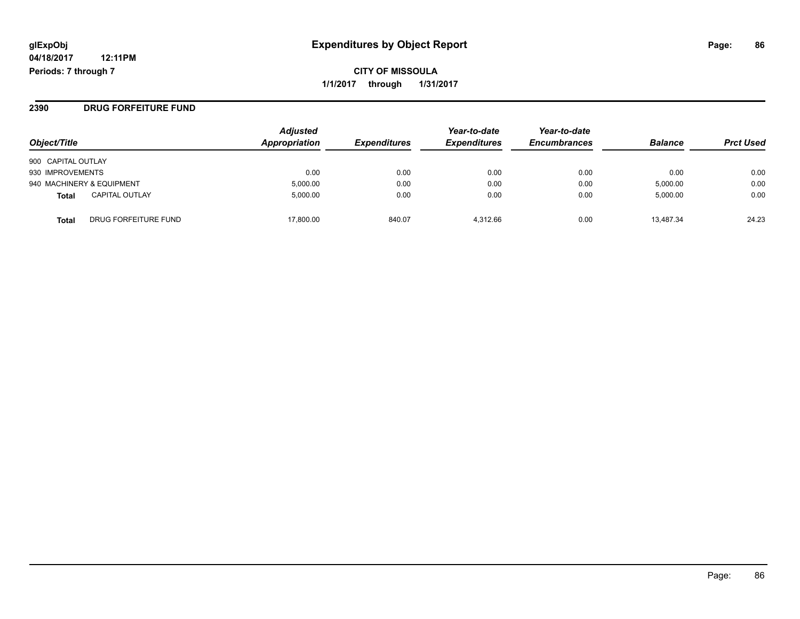**CITY OF MISSOULA 1/1/2017 through 1/31/2017**

**2390 DRUG FORFEITURE FUND**

| Object/Title                          | <b>Adjusted</b><br>Appropriation | <b>Expenditures</b> | Year-to-date<br><b>Expenditures</b> | Year-to-date<br><b>Encumbrances</b> | <b>Balance</b> | <b>Prct Used</b> |
|---------------------------------------|----------------------------------|---------------------|-------------------------------------|-------------------------------------|----------------|------------------|
| 900 CAPITAL OUTLAY                    |                                  |                     |                                     |                                     |                |                  |
| 930 IMPROVEMENTS                      | 0.00                             | 0.00                | 0.00                                | 0.00                                | 0.00           | 0.00             |
| 940 MACHINERY & EQUIPMENT             | 5.000.00                         | 0.00                | 0.00                                | 0.00                                | 5,000.00       | 0.00             |
| <b>CAPITAL OUTLAY</b><br><b>Total</b> | 5,000.00                         | 0.00                | 0.00                                | 0.00                                | 5,000.00       | 0.00             |
| DRUG FORFEITURE FUND<br><b>Total</b>  | 17,800.00                        | 840.07              | 4.312.66                            | 0.00                                | 13,487.34      | 24.23            |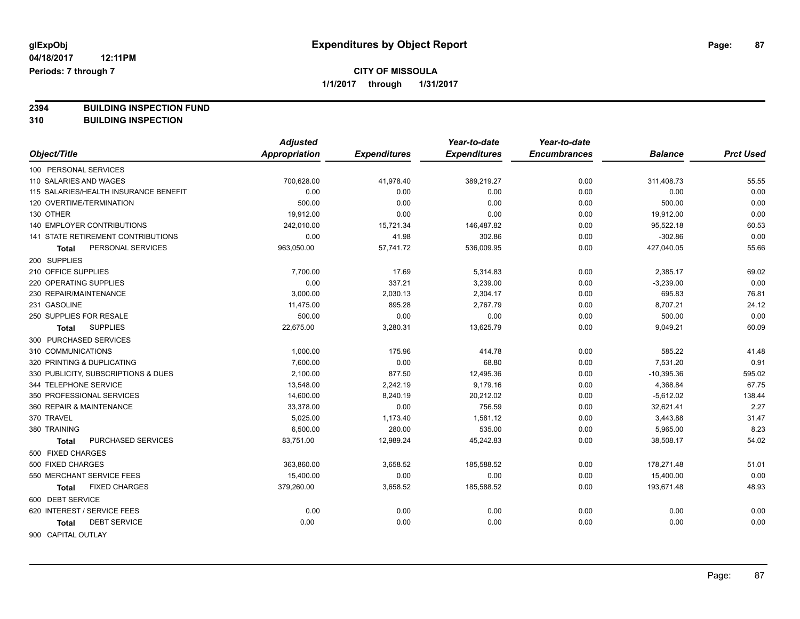**2394 BUILDING INSPECTION FUND**

**310 BUILDING INSPECTION**

|                                       | <b>Adjusted</b> |                     | Year-to-date        | Year-to-date        |                |                  |
|---------------------------------------|-----------------|---------------------|---------------------|---------------------|----------------|------------------|
| Object/Title                          | Appropriation   | <b>Expenditures</b> | <b>Expenditures</b> | <b>Encumbrances</b> | <b>Balance</b> | <b>Prct Used</b> |
| 100 PERSONAL SERVICES                 |                 |                     |                     |                     |                |                  |
| 110 SALARIES AND WAGES                | 700,628.00      | 41,978.40           | 389,219.27          | 0.00                | 311,408.73     | 55.55            |
| 115 SALARIES/HEALTH INSURANCE BENEFIT | 0.00            | 0.00                | 0.00                | 0.00                | 0.00           | 0.00             |
| 120 OVERTIME/TERMINATION              | 500.00          | 0.00                | 0.00                | 0.00                | 500.00         | 0.00             |
| 130 OTHER                             | 19,912.00       | 0.00                | 0.00                | 0.00                | 19,912.00      | 0.00             |
| <b>140 EMPLOYER CONTRIBUTIONS</b>     | 242,010.00      | 15,721.34           | 146,487.82          | 0.00                | 95,522.18      | 60.53            |
| 141 STATE RETIREMENT CONTRIBUTIONS    | 0.00            | 41.98               | 302.86              | 0.00                | $-302.86$      | 0.00             |
| PERSONAL SERVICES<br>Total            | 963,050.00      | 57,741.72           | 536,009.95          | 0.00                | 427,040.05     | 55.66            |
| 200 SUPPLIES                          |                 |                     |                     |                     |                |                  |
| 210 OFFICE SUPPLIES                   | 7,700.00        | 17.69               | 5,314.83            | 0.00                | 2,385.17       | 69.02            |
| 220 OPERATING SUPPLIES                | 0.00            | 337.21              | 3,239.00            | 0.00                | $-3,239.00$    | 0.00             |
| 230 REPAIR/MAINTENANCE                | 3,000.00        | 2,030.13            | 2,304.17            | 0.00                | 695.83         | 76.81            |
| 231 GASOLINE                          | 11,475.00       | 895.28              | 2,767.79            | 0.00                | 8,707.21       | 24.12            |
| 250 SUPPLIES FOR RESALE               | 500.00          | 0.00                | 0.00                | 0.00                | 500.00         | 0.00             |
| <b>SUPPLIES</b><br><b>Total</b>       | 22,675.00       | 3,280.31            | 13,625.79           | 0.00                | 9,049.21       | 60.09            |
| 300 PURCHASED SERVICES                |                 |                     |                     |                     |                |                  |
| 310 COMMUNICATIONS                    | 1,000.00        | 175.96              | 414.78              | 0.00                | 585.22         | 41.48            |
| 320 PRINTING & DUPLICATING            | 7,600.00        | 0.00                | 68.80               | 0.00                | 7,531.20       | 0.91             |
| 330 PUBLICITY, SUBSCRIPTIONS & DUES   | 2,100.00        | 877.50              | 12,495.36           | 0.00                | $-10,395.36$   | 595.02           |
| 344 TELEPHONE SERVICE                 | 13,548.00       | 2,242.19            | 9,179.16            | 0.00                | 4,368.84       | 67.75            |
| 350 PROFESSIONAL SERVICES             | 14,600.00       | 8,240.19            | 20,212.02           | 0.00                | $-5,612.02$    | 138.44           |
| 360 REPAIR & MAINTENANCE              | 33,378.00       | 0.00                | 756.59              | 0.00                | 32,621.41      | 2.27             |
| 370 TRAVEL                            | 5,025.00        | 1,173.40            | 1,581.12            | 0.00                | 3,443.88       | 31.47            |
| 380 TRAINING                          | 6,500.00        | 280.00              | 535.00              | 0.00                | 5,965.00       | 8.23             |
| PURCHASED SERVICES<br><b>Total</b>    | 83,751.00       | 12,989.24           | 45,242.83           | 0.00                | 38,508.17      | 54.02            |
| 500 FIXED CHARGES                     |                 |                     |                     |                     |                |                  |
| 500 FIXED CHARGES                     | 363,860.00      | 3,658.52            | 185,588.52          | 0.00                | 178,271.48     | 51.01            |
| 550 MERCHANT SERVICE FEES             | 15,400.00       | 0.00                | 0.00                | 0.00                | 15,400.00      | 0.00             |
| <b>FIXED CHARGES</b><br><b>Total</b>  | 379,260.00      | 3,658.52            | 185,588.52          | 0.00                | 193,671.48     | 48.93            |
| 600 DEBT SERVICE                      |                 |                     |                     |                     |                |                  |
| 620 INTEREST / SERVICE FEES           | 0.00            | 0.00                | 0.00                | 0.00                | 0.00           | 0.00             |
| <b>DEBT SERVICE</b><br>Total          | 0.00            | 0.00                | 0.00                | 0.00                | 0.00           | 0.00             |
| 900 CAPITAL OUTLAY                    |                 |                     |                     |                     |                |                  |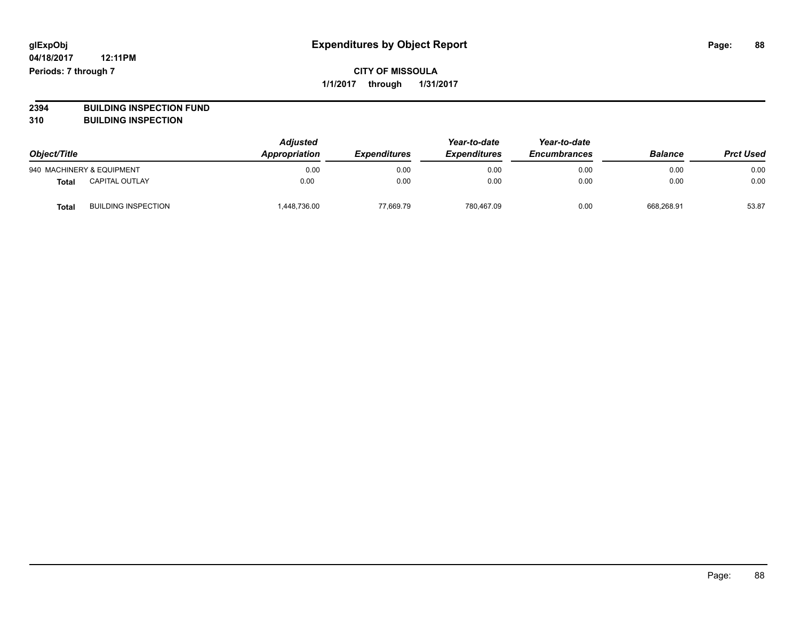**2394 BUILDING INSPECTION FUND**

**310 BUILDING INSPECTION**

| Object/Title |                            | <b>Adjusted</b><br>Appropriation | <b>Expenditures</b> | Year-to-date<br><b>Expenditures</b> | Year-to-date<br><b>Encumbrances</b> | <b>Balance</b> | <b>Prct Used</b> |
|--------------|----------------------------|----------------------------------|---------------------|-------------------------------------|-------------------------------------|----------------|------------------|
|              | 940 MACHINERY & EQUIPMENT  | 0.00                             | 0.00                | 0.00                                | 0.00                                | 0.00           | 0.00             |
| <b>Total</b> | <b>CAPITAL OUTLAY</b>      | 0.00                             | 0.00                | 0.00                                | 0.00                                | 0.00           | 0.00             |
| Tota         | <b>BUILDING INSPECTION</b> | 448,736.00                       | 77.669.79           | 780,467.09                          | 0.00                                | 668.268.91     | 53.87            |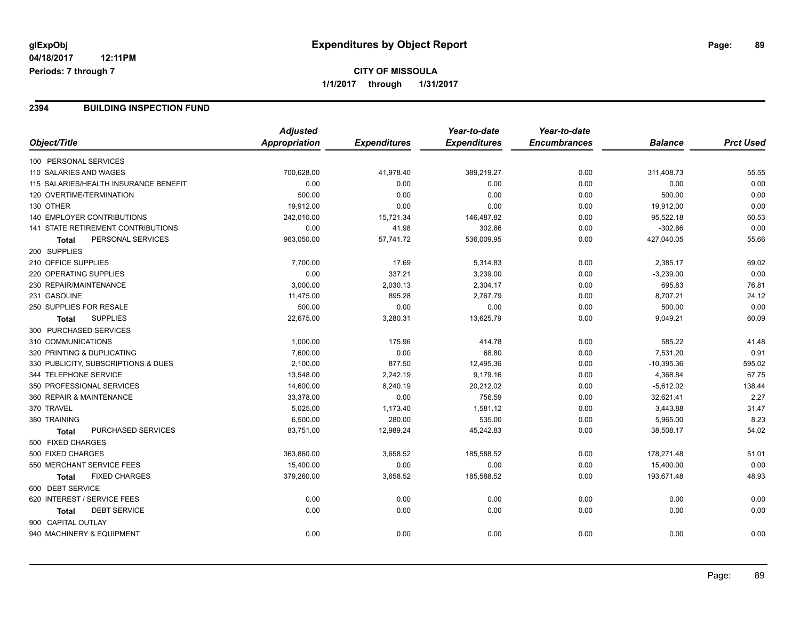## **CITY OF MISSOULA 1/1/2017 through 1/31/2017**

#### **2394 BUILDING INSPECTION FUND**

|                                       | <b>Adjusted</b>      |                     | Year-to-date        | Year-to-date        |                |                  |
|---------------------------------------|----------------------|---------------------|---------------------|---------------------|----------------|------------------|
| Object/Title                          | <b>Appropriation</b> | <b>Expenditures</b> | <b>Expenditures</b> | <b>Encumbrances</b> | <b>Balance</b> | <b>Prct Used</b> |
| 100 PERSONAL SERVICES                 |                      |                     |                     |                     |                |                  |
| 110 SALARIES AND WAGES                | 700,628.00           | 41,978.40           | 389,219.27          | 0.00                | 311,408.73     | 55.55            |
| 115 SALARIES/HEALTH INSURANCE BENEFIT | 0.00                 | 0.00                | 0.00                | 0.00                | 0.00           | 0.00             |
| 120 OVERTIME/TERMINATION              | 500.00               | 0.00                | 0.00                | 0.00                | 500.00         | 0.00             |
| 130 OTHER                             | 19,912.00            | 0.00                | 0.00                | 0.00                | 19,912.00      | 0.00             |
| <b>140 EMPLOYER CONTRIBUTIONS</b>     | 242,010.00           | 15,721.34           | 146,487.82          | 0.00                | 95,522.18      | 60.53            |
| 141 STATE RETIREMENT CONTRIBUTIONS    | 0.00                 | 41.98               | 302.86              | 0.00                | $-302.86$      | 0.00             |
| PERSONAL SERVICES<br><b>Total</b>     | 963,050.00           | 57,741.72           | 536,009.95          | 0.00                | 427,040.05     | 55.66            |
| 200 SUPPLIES                          |                      |                     |                     |                     |                |                  |
| 210 OFFICE SUPPLIES                   | 7,700.00             | 17.69               | 5,314.83            | 0.00                | 2,385.17       | 69.02            |
| 220 OPERATING SUPPLIES                | 0.00                 | 337.21              | 3,239.00            | 0.00                | $-3,239.00$    | 0.00             |
| 230 REPAIR/MAINTENANCE                | 3,000.00             | 2,030.13            | 2,304.17            | 0.00                | 695.83         | 76.81            |
| 231 GASOLINE                          | 11,475.00            | 895.28              | 2,767.79            | 0.00                | 8,707.21       | 24.12            |
| 250 SUPPLIES FOR RESALE               | 500.00               | 0.00                | 0.00                | 0.00                | 500.00         | 0.00             |
| <b>SUPPLIES</b><br><b>Total</b>       | 22,675.00            | 3,280.31            | 13,625.79           | 0.00                | 9,049.21       | 60.09            |
| 300 PURCHASED SERVICES                |                      |                     |                     |                     |                |                  |
| 310 COMMUNICATIONS                    | 1,000.00             | 175.96              | 414.78              | 0.00                | 585.22         | 41.48            |
| 320 PRINTING & DUPLICATING            | 7,600.00             | 0.00                | 68.80               | 0.00                | 7,531.20       | 0.91             |
| 330 PUBLICITY, SUBSCRIPTIONS & DUES   | 2,100.00             | 877.50              | 12,495.36           | 0.00                | $-10,395.36$   | 595.02           |
| 344 TELEPHONE SERVICE                 | 13,548.00            | 2,242.19            | 9,179.16            | 0.00                | 4,368.84       | 67.75            |
| 350 PROFESSIONAL SERVICES             | 14,600.00            | 8,240.19            | 20,212.02           | 0.00                | $-5,612.02$    | 138.44           |
| 360 REPAIR & MAINTENANCE              | 33,378.00            | 0.00                | 756.59              | 0.00                | 32,621.41      | 2.27             |
| 370 TRAVEL                            | 5,025.00             | 1,173.40            | 1,581.12            | 0.00                | 3,443.88       | 31.47            |
| 380 TRAINING                          | 6,500.00             | 280.00              | 535.00              | 0.00                | 5,965.00       | 8.23             |
| PURCHASED SERVICES<br><b>Total</b>    | 83,751.00            | 12,989.24           | 45,242.83           | 0.00                | 38,508.17      | 54.02            |
| 500 FIXED CHARGES                     |                      |                     |                     |                     |                |                  |
| 500 FIXED CHARGES                     | 363,860.00           | 3,658.52            | 185,588.52          | 0.00                | 178,271.48     | 51.01            |
| 550 MERCHANT SERVICE FEES             | 15,400.00            | 0.00                | 0.00                | 0.00                | 15,400.00      | 0.00             |
| <b>FIXED CHARGES</b><br>Total         | 379,260.00           | 3,658.52            | 185,588.52          | 0.00                | 193,671.48     | 48.93            |
| 600 DEBT SERVICE                      |                      |                     |                     |                     |                |                  |
| 620 INTEREST / SERVICE FEES           | 0.00                 | 0.00                | 0.00                | 0.00                | 0.00           | 0.00             |
| <b>DEBT SERVICE</b><br><b>Total</b>   | 0.00                 | 0.00                | 0.00                | 0.00                | 0.00           | 0.00             |
| 900 CAPITAL OUTLAY                    |                      |                     |                     |                     |                |                  |
| 940 MACHINERY & EQUIPMENT             | 0.00                 | 0.00                | 0.00                | 0.00                | 0.00           | 0.00             |
|                                       |                      |                     |                     |                     |                |                  |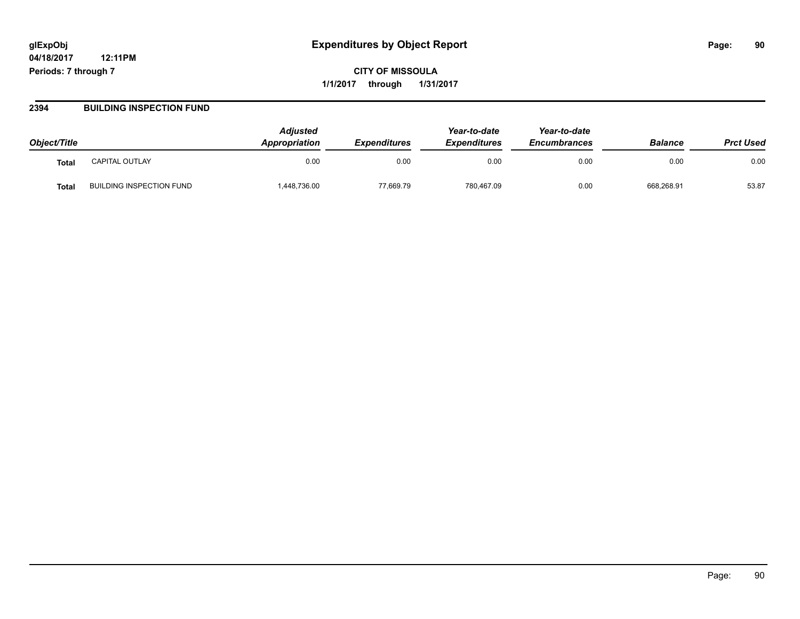# **glExpObj Expenditures by Object Report Page: 90**

**04/18/2017 12:11PM Periods: 7 through 7**

**CITY OF MISSOULA 1/1/2017 through 1/31/2017**

#### **2394 BUILDING INSPECTION FUND**

| Object/Title      |                                 | <b>Adjusted</b><br>Appropriation | <b>Expenditures</b> | Year-to-date<br><b>Expenditures</b> | Year-to-date<br><b>Encumbrances</b> | <b>Balance</b> | <b>Prct Used</b> |
|-------------------|---------------------------------|----------------------------------|---------------------|-------------------------------------|-------------------------------------|----------------|------------------|
| Tota <sub>i</sub> | <b>CAPITAL OUTLAY</b>           | 0.00                             | 0.00                | 0.00                                | 0.00                                | 0.00           | 0.00             |
| Tota.             | <b>BUILDING INSPECTION FUND</b> | 448,736.00                       | 77,669.79           | 780,467.09                          | 0.00                                | 668,268.91     | 53.87            |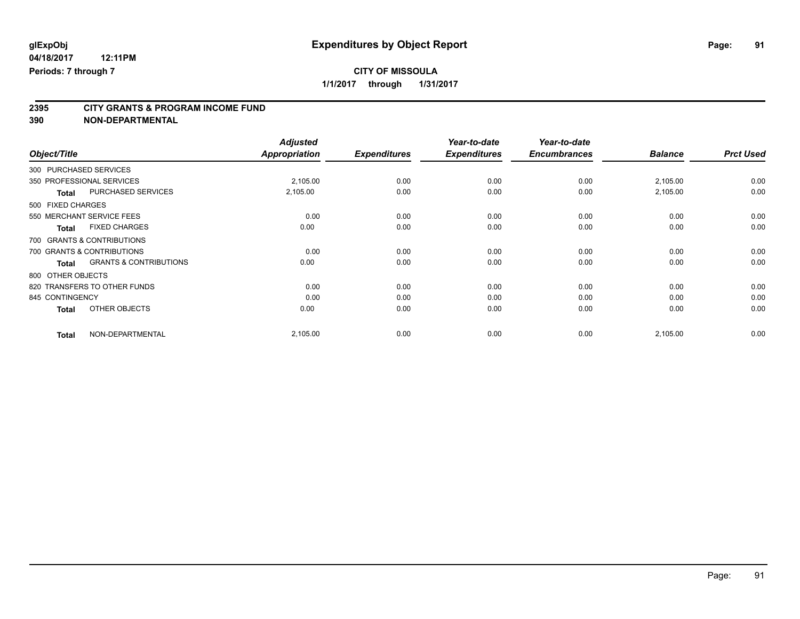# **CITY OF MISSOULA**

**1/1/2017 through 1/31/2017**

# **2395 CITY GRANTS & PROGRAM INCOME FUND**

**390 NON-DEPARTMENTAL**

|                                                   | <b>Adjusted</b> |                     | Year-to-date        | Year-to-date        |                |                  |
|---------------------------------------------------|-----------------|---------------------|---------------------|---------------------|----------------|------------------|
| Object/Title                                      | Appropriation   | <b>Expenditures</b> | <b>Expenditures</b> | <b>Encumbrances</b> | <b>Balance</b> | <b>Prct Used</b> |
| 300 PURCHASED SERVICES                            |                 |                     |                     |                     |                |                  |
| 350 PROFESSIONAL SERVICES                         | 2,105.00        | 0.00                | 0.00                | 0.00                | 2,105.00       | 0.00             |
| PURCHASED SERVICES<br><b>Total</b>                | 2,105.00        | 0.00                | 0.00                | 0.00                | 2,105.00       | 0.00             |
| 500 FIXED CHARGES                                 |                 |                     |                     |                     |                |                  |
| 550 MERCHANT SERVICE FEES                         | 0.00            | 0.00                | 0.00                | 0.00                | 0.00           | 0.00             |
| <b>FIXED CHARGES</b><br><b>Total</b>              | 0.00            | 0.00                | 0.00                | 0.00                | 0.00           | 0.00             |
| 700 GRANTS & CONTRIBUTIONS                        |                 |                     |                     |                     |                |                  |
| 700 GRANTS & CONTRIBUTIONS                        | 0.00            | 0.00                | 0.00                | 0.00                | 0.00           | 0.00             |
| <b>GRANTS &amp; CONTRIBUTIONS</b><br><b>Total</b> | 0.00            | 0.00                | 0.00                | 0.00                | 0.00           | 0.00             |
| 800 OTHER OBJECTS                                 |                 |                     |                     |                     |                |                  |
| 820 TRANSFERS TO OTHER FUNDS                      | 0.00            | 0.00                | 0.00                | 0.00                | 0.00           | 0.00             |
| 845 CONTINGENCY                                   | 0.00            | 0.00                | 0.00                | 0.00                | 0.00           | 0.00             |
| OTHER OBJECTS<br><b>Total</b>                     | 0.00            | 0.00                | 0.00                | 0.00                | 0.00           | 0.00             |
| NON-DEPARTMENTAL<br><b>Total</b>                  | 2,105.00        | 0.00                | 0.00                | 0.00                | 2,105.00       | 0.00             |

Page: 91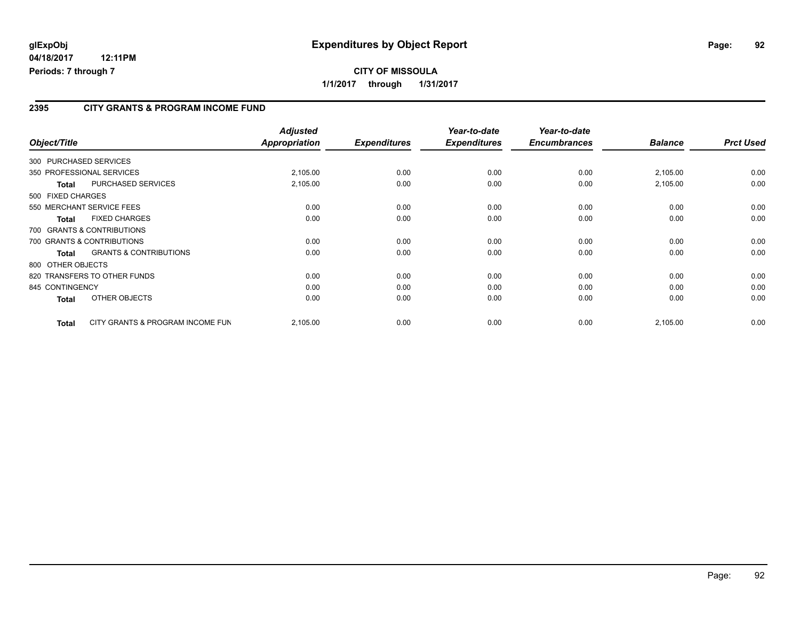#### **2395 CITY GRANTS & PROGRAM INCOME FUND**

| Object/Title           |                                   | <b>Adjusted</b><br><b>Appropriation</b> | <b>Expenditures</b> | Year-to-date<br><b>Expenditures</b> | Year-to-date<br><b>Encumbrances</b> | <b>Balance</b> | <b>Prct Used</b> |
|------------------------|-----------------------------------|-----------------------------------------|---------------------|-------------------------------------|-------------------------------------|----------------|------------------|
| 300 PURCHASED SERVICES |                                   |                                         |                     |                                     |                                     |                |                  |
|                        | 350 PROFESSIONAL SERVICES         | 2,105.00                                | 0.00                | 0.00                                | 0.00                                | 2,105.00       | 0.00             |
| <b>Total</b>           | <b>PURCHASED SERVICES</b>         | 2,105.00                                | 0.00                | 0.00                                | 0.00                                | 2,105.00       | 0.00             |
| 500 FIXED CHARGES      |                                   |                                         |                     |                                     |                                     |                |                  |
|                        | 550 MERCHANT SERVICE FEES         | 0.00                                    | 0.00                | 0.00                                | 0.00                                | 0.00           | 0.00             |
| <b>Total</b>           | <b>FIXED CHARGES</b>              | 0.00                                    | 0.00                | 0.00                                | 0.00                                | 0.00           | 0.00             |
|                        | 700 GRANTS & CONTRIBUTIONS        |                                         |                     |                                     |                                     |                |                  |
|                        | 700 GRANTS & CONTRIBUTIONS        | 0.00                                    | 0.00                | 0.00                                | 0.00                                | 0.00           | 0.00             |
| Total                  | <b>GRANTS &amp; CONTRIBUTIONS</b> | 0.00                                    | 0.00                | 0.00                                | 0.00                                | 0.00           | 0.00             |
| 800 OTHER OBJECTS      |                                   |                                         |                     |                                     |                                     |                |                  |
|                        | 820 TRANSFERS TO OTHER FUNDS      | 0.00                                    | 0.00                | 0.00                                | 0.00                                | 0.00           | 0.00             |
| 845 CONTINGENCY        |                                   | 0.00                                    | 0.00                | 0.00                                | 0.00                                | 0.00           | 0.00             |
| <b>Total</b>           | OTHER OBJECTS                     | 0.00                                    | 0.00                | 0.00                                | 0.00                                | 0.00           | 0.00             |
| <b>Total</b>           | CITY GRANTS & PROGRAM INCOME FUN  | 2,105.00                                | 0.00                | 0.00                                | 0.00                                | 2,105.00       | 0.00             |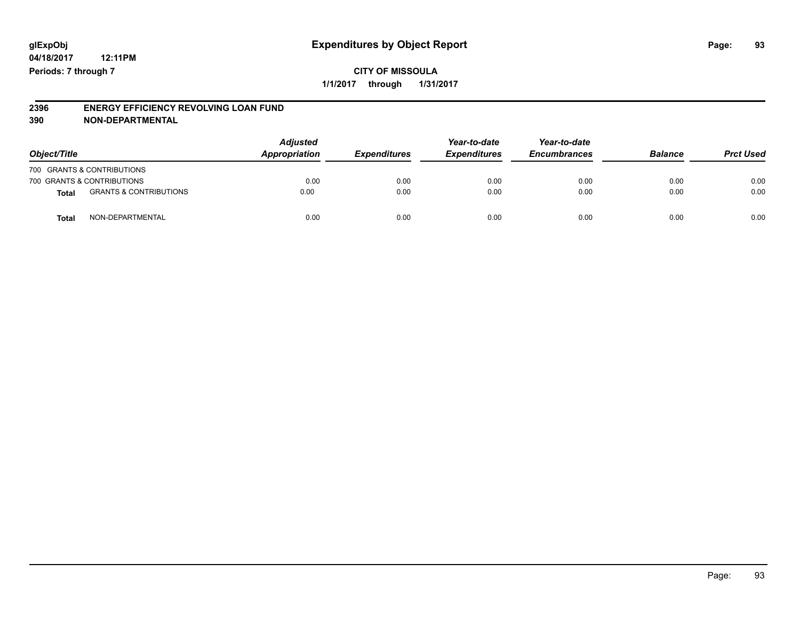#### **2396 ENERGY EFFICIENCY REVOLVING LOAN FUND 390 NON-DEPARTMENTAL**

| Object/Title |                                   | <b>Adjusted</b><br>Appropriation | <b>Expenditures</b> | Year-to-date<br><b>Expenditures</b> | Year-to-date<br><b>Encumbrances</b> | <b>Balance</b> | <b>Prct Used</b> |
|--------------|-----------------------------------|----------------------------------|---------------------|-------------------------------------|-------------------------------------|----------------|------------------|
|              | 700 GRANTS & CONTRIBUTIONS        |                                  |                     |                                     |                                     |                |                  |
|              | 700 GRANTS & CONTRIBUTIONS        | 0.00                             | 0.00                | 0.00                                | 0.00                                | 0.00           | 0.00             |
| <b>Total</b> | <b>GRANTS &amp; CONTRIBUTIONS</b> | 0.00                             | 0.00                | 0.00                                | 0.00                                | 0.00           | 0.00             |
| <b>Total</b> | NON-DEPARTMENTAL                  | 0.00                             | 0.00                | 0.00                                | 0.00                                | 0.00           | 0.00             |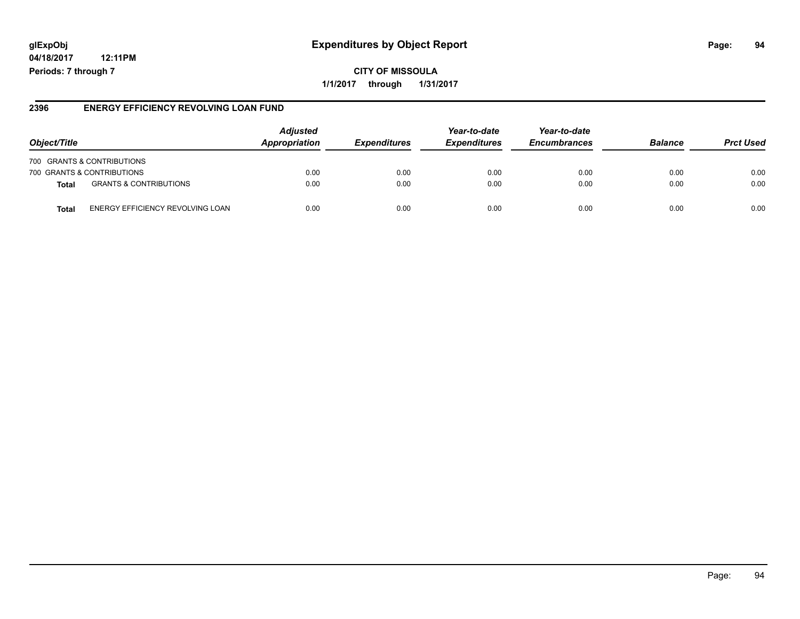# **glExpObj Expenditures by Object Report Page: 94**

**04/18/2017 12:11PM Periods: 7 through 7**

**1/1/2017 through 1/31/2017**

#### **2396 ENERGY EFFICIENCY REVOLVING LOAN FUND**

| Object/Title               |                                   | <b>Adjusted</b><br>Appropriation | <i><b>Expenditures</b></i> | Year-to-date<br><b>Expenditures</b> | Year-to-date<br><b>Encumbrances</b> | <b>Balance</b> | <b>Prct Used</b> |
|----------------------------|-----------------------------------|----------------------------------|----------------------------|-------------------------------------|-------------------------------------|----------------|------------------|
|                            | 700 GRANTS & CONTRIBUTIONS        |                                  |                            |                                     |                                     |                |                  |
| 700 GRANTS & CONTRIBUTIONS |                                   | 0.00                             | 0.00                       | 0.00                                | 0.00                                | 0.00           | 0.00             |
| <b>Total</b>               | <b>GRANTS &amp; CONTRIBUTIONS</b> | 0.00                             | 0.00                       | 0.00                                | 0.00                                | 0.00           | 0.00             |
| <b>Total</b>               | ENERGY EFFICIENCY REVOLVING LOAN  | 0.00                             | 0.00                       | 0.00                                | 0.00                                | 0.00           | 0.00             |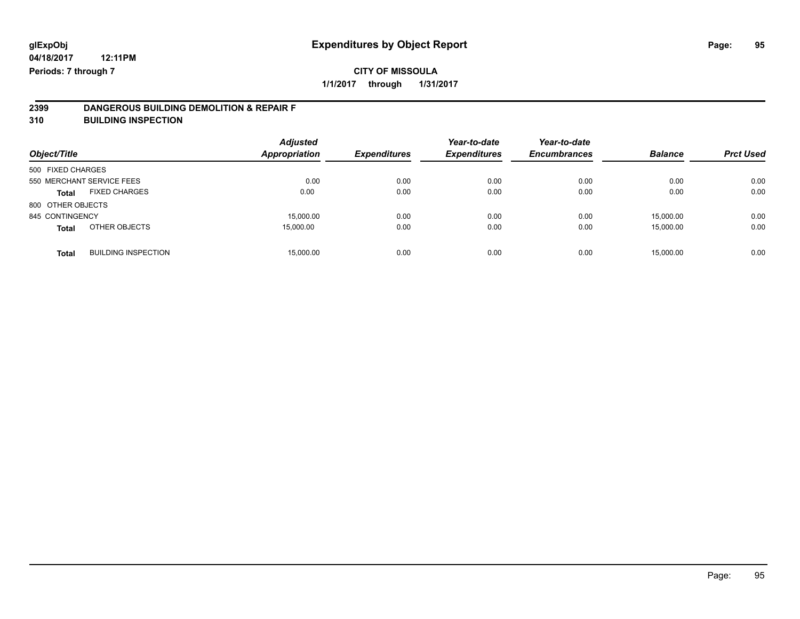# **2399 DANGEROUS BUILDING DEMOLITION & REPAIR F**

**310 BUILDING INSPECTION**

| Object/Title      |                            | <b>Adjusted</b><br><b>Appropriation</b> | <b>Expenditures</b> | Year-to-date<br><b>Expenditures</b> | Year-to-date<br><b>Encumbrances</b> | <b>Balance</b> | <b>Prct Used</b> |
|-------------------|----------------------------|-----------------------------------------|---------------------|-------------------------------------|-------------------------------------|----------------|------------------|
| 500 FIXED CHARGES |                            |                                         |                     |                                     |                                     |                |                  |
|                   | 550 MERCHANT SERVICE FEES  | 0.00                                    | 0.00                | 0.00                                | 0.00                                | 0.00           | 0.00             |
| <b>Total</b>      | <b>FIXED CHARGES</b>       | 0.00                                    | 0.00                | 0.00                                | 0.00                                | 0.00           | 0.00             |
| 800 OTHER OBJECTS |                            |                                         |                     |                                     |                                     |                |                  |
| 845 CONTINGENCY   |                            | 15,000.00                               | 0.00                | 0.00                                | 0.00                                | 15.000.00      | 0.00             |
| <b>Total</b>      | OTHER OBJECTS              | 15.000.00                               | 0.00                | 0.00                                | 0.00                                | 15,000.00      | 0.00             |
| <b>Total</b>      | <b>BUILDING INSPECTION</b> | 15,000.00                               | 0.00                | 0.00                                | 0.00                                | 15.000.00      | 0.00             |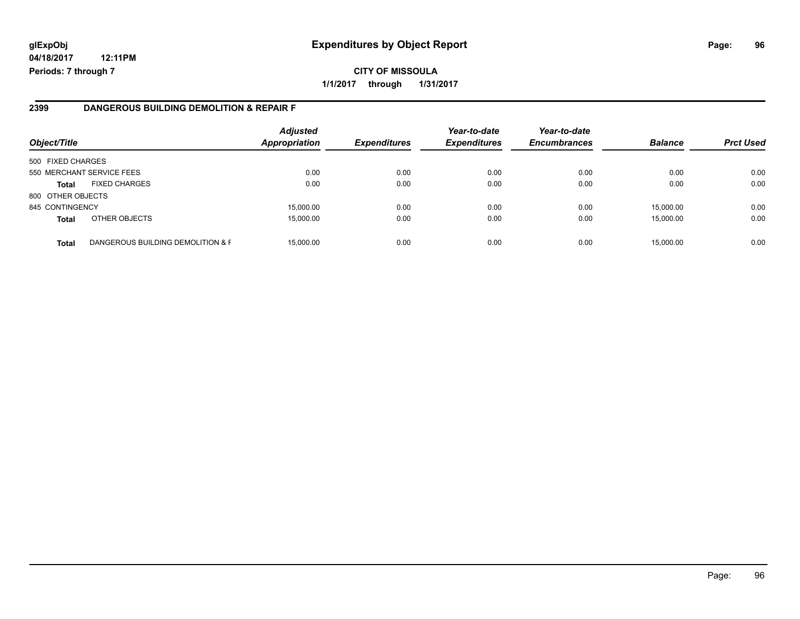# **glExpObj Expenditures by Object Report Page: 96**

**04/18/2017 12:11PM Periods: 7 through 7**

#### **2399 DANGEROUS BUILDING DEMOLITION & REPAIR F**

| Object/Title      |                                   | <b>Adjusted</b><br><b>Appropriation</b> | <b>Expenditures</b> | Year-to-date<br><b>Expenditures</b> | Year-to-date<br><b>Encumbrances</b> | <b>Balance</b> | <b>Prct Used</b> |
|-------------------|-----------------------------------|-----------------------------------------|---------------------|-------------------------------------|-------------------------------------|----------------|------------------|
| 500 FIXED CHARGES |                                   |                                         |                     |                                     |                                     |                |                  |
|                   | 550 MERCHANT SERVICE FEES         | 0.00                                    | 0.00                | 0.00                                | 0.00                                | 0.00           | 0.00             |
| <b>Total</b>      | <b>FIXED CHARGES</b>              | 0.00                                    | 0.00                | 0.00                                | 0.00                                | 0.00           | 0.00             |
| 800 OTHER OBJECTS |                                   |                                         |                     |                                     |                                     |                |                  |
| 845 CONTINGENCY   |                                   | 15,000.00                               | 0.00                | 0.00                                | 0.00                                | 15.000.00      | 0.00             |
| <b>Total</b>      | OTHER OBJECTS                     | 15,000.00                               | 0.00                | 0.00                                | 0.00                                | 15,000.00      | 0.00             |
| <b>Total</b>      | DANGEROUS BUILDING DEMOLITION & F | 15,000.00                               | 0.00                | 0.00                                | 0.00                                | 15,000.00      | 0.00             |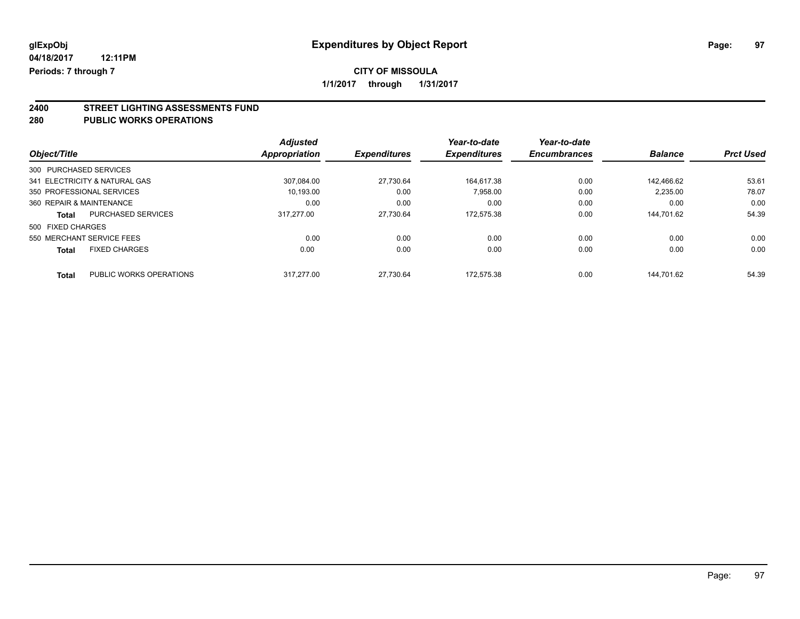# **CITY OF MISSOULA**

**1/1/2017 through 1/31/2017**

# **2400 STREET LIGHTING ASSESSMENTS FUND**

#### **280 PUBLIC WORKS OPERATIONS**

|                          |                               | <b>Adjusted</b> |                     | Year-to-date        | Year-to-date        |                |                  |
|--------------------------|-------------------------------|-----------------|---------------------|---------------------|---------------------|----------------|------------------|
| Object/Title             |                               | Appropriation   | <b>Expenditures</b> | <b>Expenditures</b> | <b>Encumbrances</b> | <b>Balance</b> | <b>Prct Used</b> |
| 300 PURCHASED SERVICES   |                               |                 |                     |                     |                     |                |                  |
|                          | 341 ELECTRICITY & NATURAL GAS | 307.084.00      | 27.730.64           | 164.617.38          | 0.00                | 142.466.62     | 53.61            |
|                          | 350 PROFESSIONAL SERVICES     | 10.193.00       | 0.00                | 7.958.00            | 0.00                | 2,235.00       | 78.07            |
| 360 REPAIR & MAINTENANCE |                               | 0.00            | 0.00                | 0.00                | 0.00                | 0.00           | 0.00             |
| Total                    | <b>PURCHASED SERVICES</b>     | 317.277.00      | 27.730.64           | 172.575.38          | 0.00                | 144.701.62     | 54.39            |
| 500 FIXED CHARGES        |                               |                 |                     |                     |                     |                |                  |
|                          | 550 MERCHANT SERVICE FEES     | 0.00            | 0.00                | 0.00                | 0.00                | 0.00           | 0.00             |
| <b>Total</b>             | <b>FIXED CHARGES</b>          | 0.00            | 0.00                | 0.00                | 0.00                | 0.00           | 0.00             |
| <b>Total</b>             | PUBLIC WORKS OPERATIONS       | 317.277.00      | 27.730.64           | 172.575.38          | 0.00                | 144.701.62     | 54.39            |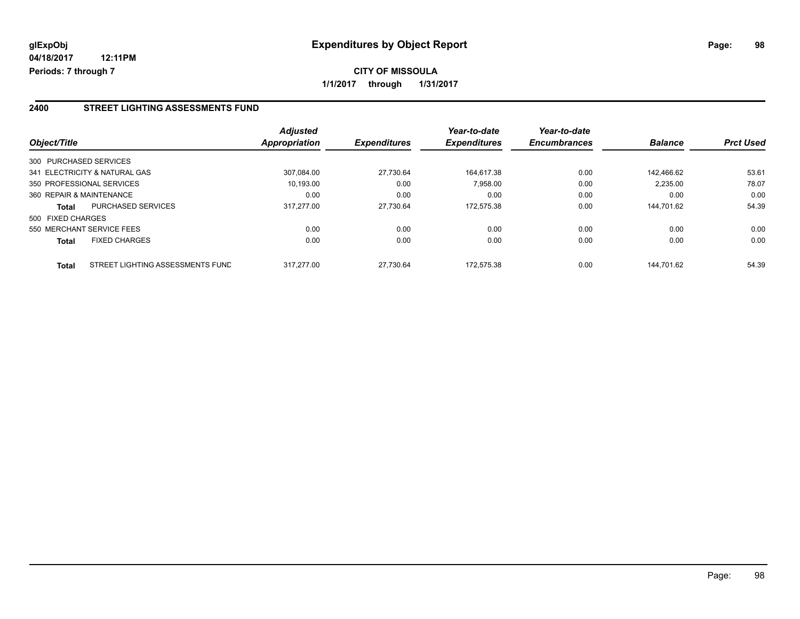#### **2400 STREET LIGHTING ASSESSMENTS FUND**

| Object/Title             |                                  | <b>Adjusted</b><br>Appropriation | <b>Expenditures</b> | Year-to-date<br><b>Expenditures</b> | Year-to-date<br><b>Encumbrances</b> | <b>Balance</b> | <b>Prct Used</b> |
|--------------------------|----------------------------------|----------------------------------|---------------------|-------------------------------------|-------------------------------------|----------------|------------------|
| 300 PURCHASED SERVICES   |                                  |                                  |                     |                                     |                                     |                |                  |
|                          | 341 ELECTRICITY & NATURAL GAS    | 307.084.00                       | 27.730.64           | 164.617.38                          | 0.00                                | 142.466.62     | 53.61            |
|                          | 350 PROFESSIONAL SERVICES        | 10.193.00                        | 0.00                | 7,958.00                            | 0.00                                | 2,235.00       | 78.07            |
| 360 REPAIR & MAINTENANCE |                                  | 0.00                             | 0.00                | 0.00                                | 0.00                                | 0.00           | 0.00             |
| <b>Total</b>             | <b>PURCHASED SERVICES</b>        | 317.277.00                       | 27.730.64           | 172.575.38                          | 0.00                                | 144.701.62     | 54.39            |
| 500 FIXED CHARGES        |                                  |                                  |                     |                                     |                                     |                |                  |
|                          | 550 MERCHANT SERVICE FEES        | 0.00                             | 0.00                | 0.00                                | 0.00                                | 0.00           | 0.00             |
| <b>Total</b>             | <b>FIXED CHARGES</b>             | 0.00                             | 0.00                | 0.00                                | 0.00                                | 0.00           | 0.00             |
| <b>Total</b>             | STREET LIGHTING ASSESSMENTS FUND | 317.277.00                       | 27.730.64           | 172.575.38                          | 0.00                                | 144.701.62     | 54.39            |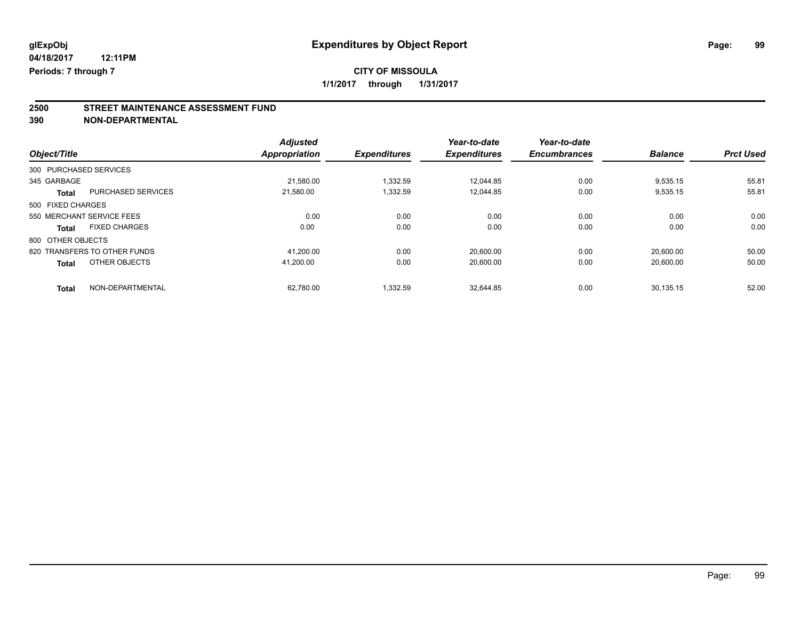# **CITY OF MISSOULA**

**1/1/2017 through 1/31/2017**

# **2500 STREET MAINTENANCE ASSESSMENT FUND**

**390 NON-DEPARTMENTAL**

| Object/Title      |                              | <b>Adjusted</b><br><b>Appropriation</b> | <b>Expenditures</b> | Year-to-date<br><b>Expenditures</b> | Year-to-date<br><b>Encumbrances</b> | <b>Balance</b> | <b>Prct Used</b> |
|-------------------|------------------------------|-----------------------------------------|---------------------|-------------------------------------|-------------------------------------|----------------|------------------|
|                   |                              |                                         |                     |                                     |                                     |                |                  |
|                   | 300 PURCHASED SERVICES       |                                         |                     |                                     |                                     |                |                  |
| 345 GARBAGE       |                              | 21.580.00                               | 1.332.59            | 12.044.85                           | 0.00                                | 9,535.15       | 55.81            |
| <b>Total</b>      | <b>PURCHASED SERVICES</b>    | 21.580.00                               | 1,332.59            | 12.044.85                           | 0.00                                | 9,535.15       | 55.81            |
| 500 FIXED CHARGES |                              |                                         |                     |                                     |                                     |                |                  |
|                   | 550 MERCHANT SERVICE FEES    | 0.00                                    | 0.00                | 0.00                                | 0.00                                | 0.00           | 0.00             |
| <b>Total</b>      | <b>FIXED CHARGES</b>         | 0.00                                    | 0.00                | 0.00                                | 0.00                                | 0.00           | 0.00             |
| 800 OTHER OBJECTS |                              |                                         |                     |                                     |                                     |                |                  |
|                   | 820 TRANSFERS TO OTHER FUNDS | 41,200.00                               | 0.00                | 20.600.00                           | 0.00                                | 20.600.00      | 50.00            |
| <b>Total</b>      | OTHER OBJECTS                | 41.200.00                               | 0.00                | 20,600.00                           | 0.00                                | 20,600.00      | 50.00            |
| <b>Total</b>      | NON-DEPARTMENTAL             | 62.780.00                               | 1.332.59            | 32.644.85                           | 0.00                                | 30.135.15      | 52.00            |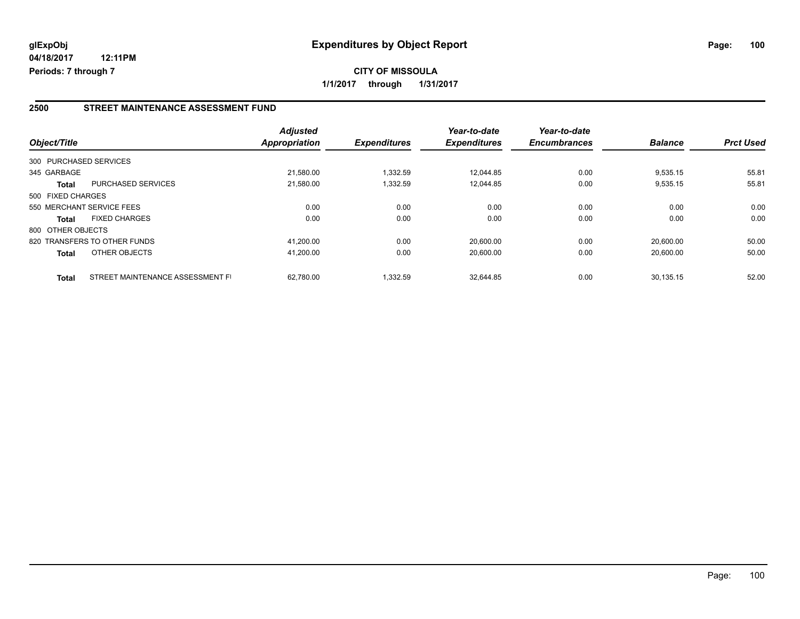#### **2500 STREET MAINTENANCE ASSESSMENT FUND**

| Object/Title           |                                  | <b>Adjusted</b><br>Appropriation | <b>Expenditures</b> | Year-to-date<br><b>Expenditures</b> | Year-to-date<br><b>Encumbrances</b> | <b>Balance</b> | <b>Prct Used</b> |
|------------------------|----------------------------------|----------------------------------|---------------------|-------------------------------------|-------------------------------------|----------------|------------------|
| 300 PURCHASED SERVICES |                                  |                                  |                     |                                     |                                     |                |                  |
| 345 GARBAGE            |                                  | 21,580.00                        | 1.332.59            | 12.044.85                           | 0.00                                | 9,535.15       | 55.81            |
| <b>Total</b>           | <b>PURCHASED SERVICES</b>        | 21.580.00                        | 1,332.59            | 12.044.85                           | 0.00                                | 9,535.15       | 55.81            |
| 500 FIXED CHARGES      |                                  |                                  |                     |                                     |                                     |                |                  |
|                        | 550 MERCHANT SERVICE FEES        | 0.00                             | 0.00                | 0.00                                | 0.00                                | 0.00           | 0.00             |
| <b>Total</b>           | <b>FIXED CHARGES</b>             | 0.00                             | 0.00                | 0.00                                | 0.00                                | 0.00           | 0.00             |
| 800 OTHER OBJECTS      |                                  |                                  |                     |                                     |                                     |                |                  |
|                        | 820 TRANSFERS TO OTHER FUNDS     | 41.200.00                        | 0.00                | 20.600.00                           | 0.00                                | 20.600.00      | 50.00            |
| <b>Total</b>           | OTHER OBJECTS                    | 41,200.00                        | 0.00                | 20,600.00                           | 0.00                                | 20.600.00      | 50.00            |
| <b>Total</b>           | STREET MAINTENANCE ASSESSMENT FI | 62.780.00                        | 1,332.59            | 32.644.85                           | 0.00                                | 30.135.15      | 52.00            |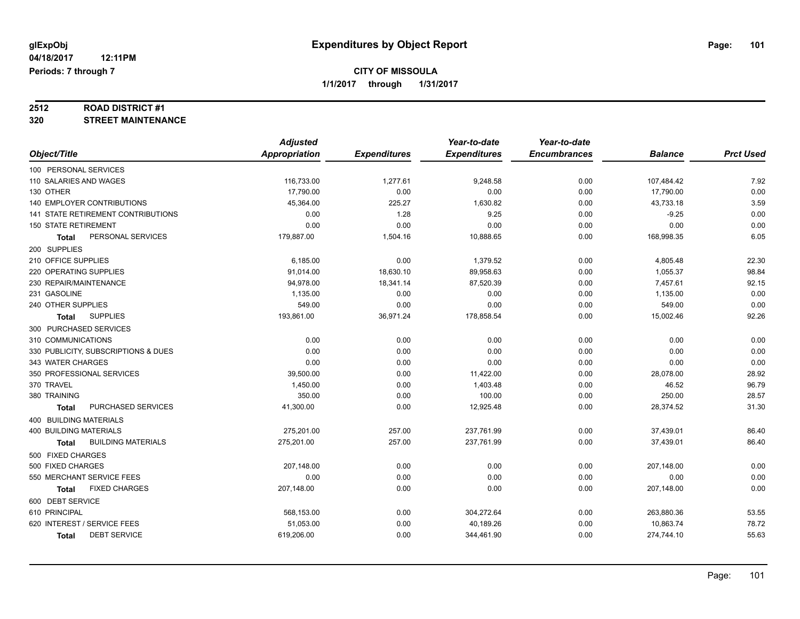# **2512 ROAD DISTRICT #1**

#### **320 STREET MAINTENANCE**

|                                           | <b>Adjusted</b> |                     | Year-to-date        | Year-to-date        |                |                  |
|-------------------------------------------|-----------------|---------------------|---------------------|---------------------|----------------|------------------|
| Object/Title                              | Appropriation   | <b>Expenditures</b> | <b>Expenditures</b> | <b>Encumbrances</b> | <b>Balance</b> | <b>Prct Used</b> |
| 100 PERSONAL SERVICES                     |                 |                     |                     |                     |                |                  |
| 110 SALARIES AND WAGES                    | 116,733.00      | 1,277.61            | 9,248.58            | 0.00                | 107,484.42     | 7.92             |
| 130 OTHER                                 | 17,790.00       | 0.00                | 0.00                | 0.00                | 17,790.00      | 0.00             |
| 140 EMPLOYER CONTRIBUTIONS                | 45,364.00       | 225.27              | 1,630.82            | 0.00                | 43,733.18      | 3.59             |
| 141 STATE RETIREMENT CONTRIBUTIONS        | 0.00            | 1.28                | 9.25                | 0.00                | $-9.25$        | 0.00             |
| <b>150 STATE RETIREMENT</b>               | 0.00            | 0.00                | 0.00                | 0.00                | 0.00           | 0.00             |
| PERSONAL SERVICES<br>Total                | 179,887.00      | 1,504.16            | 10,888.65           | 0.00                | 168,998.35     | 6.05             |
| 200 SUPPLIES                              |                 |                     |                     |                     |                |                  |
| 210 OFFICE SUPPLIES                       | 6,185.00        | 0.00                | 1,379.52            | 0.00                | 4,805.48       | 22.30            |
| 220 OPERATING SUPPLIES                    | 91,014.00       | 18,630.10           | 89,958.63           | 0.00                | 1,055.37       | 98.84            |
| 230 REPAIR/MAINTENANCE                    | 94,978.00       | 18,341.14           | 87,520.39           | 0.00                | 7,457.61       | 92.15            |
| 231 GASOLINE                              | 1,135.00        | 0.00                | 0.00                | 0.00                | 1,135.00       | 0.00             |
| 240 OTHER SUPPLIES                        | 549.00          | 0.00                | 0.00                | 0.00                | 549.00         | 0.00             |
| <b>SUPPLIES</b><br>Total                  | 193,861.00      | 36,971.24           | 178,858.54          | 0.00                | 15,002.46      | 92.26            |
| 300 PURCHASED SERVICES                    |                 |                     |                     |                     |                |                  |
| 310 COMMUNICATIONS                        | 0.00            | 0.00                | 0.00                | 0.00                | 0.00           | 0.00             |
| 330 PUBLICITY, SUBSCRIPTIONS & DUES       | 0.00            | 0.00                | 0.00                | 0.00                | 0.00           | 0.00             |
| 343 WATER CHARGES                         | 0.00            | 0.00                | 0.00                | 0.00                | 0.00           | 0.00             |
| 350 PROFESSIONAL SERVICES                 | 39,500.00       | 0.00                | 11,422.00           | 0.00                | 28,078.00      | 28.92            |
| 370 TRAVEL                                | 1,450.00        | 0.00                | 1,403.48            | 0.00                | 46.52          | 96.79            |
| 380 TRAINING                              | 350.00          | 0.00                | 100.00              | 0.00                | 250.00         | 28.57            |
| PURCHASED SERVICES<br>Total               | 41,300.00       | 0.00                | 12,925.48           | 0.00                | 28,374.52      | 31.30            |
| <b>400 BUILDING MATERIALS</b>             |                 |                     |                     |                     |                |                  |
| <b>400 BUILDING MATERIALS</b>             | 275,201.00      | 257.00              | 237,761.99          | 0.00                | 37,439.01      | 86.40            |
| <b>BUILDING MATERIALS</b><br><b>Total</b> | 275,201.00      | 257.00              | 237,761.99          | 0.00                | 37,439.01      | 86.40            |
| 500 FIXED CHARGES                         |                 |                     |                     |                     |                |                  |
| 500 FIXED CHARGES                         | 207,148.00      | 0.00                | 0.00                | 0.00                | 207,148.00     | 0.00             |
| 550 MERCHANT SERVICE FEES                 | 0.00            | 0.00                | 0.00                | 0.00                | 0.00           | 0.00             |
| <b>FIXED CHARGES</b><br>Total             | 207,148.00      | 0.00                | 0.00                | 0.00                | 207,148.00     | 0.00             |
| 600 DEBT SERVICE                          |                 |                     |                     |                     |                |                  |
| 610 PRINCIPAL                             | 568,153.00      | 0.00                | 304,272.64          | 0.00                | 263,880.36     | 53.55            |
| 620 INTEREST / SERVICE FEES               | 51,053.00       | 0.00                | 40,189.26           | 0.00                | 10,863.74      | 78.72            |
| <b>DEBT SERVICE</b><br><b>Total</b>       | 619,206.00      | 0.00                | 344,461.90          | 0.00                | 274,744.10     | 55.63            |
|                                           |                 |                     |                     |                     |                |                  |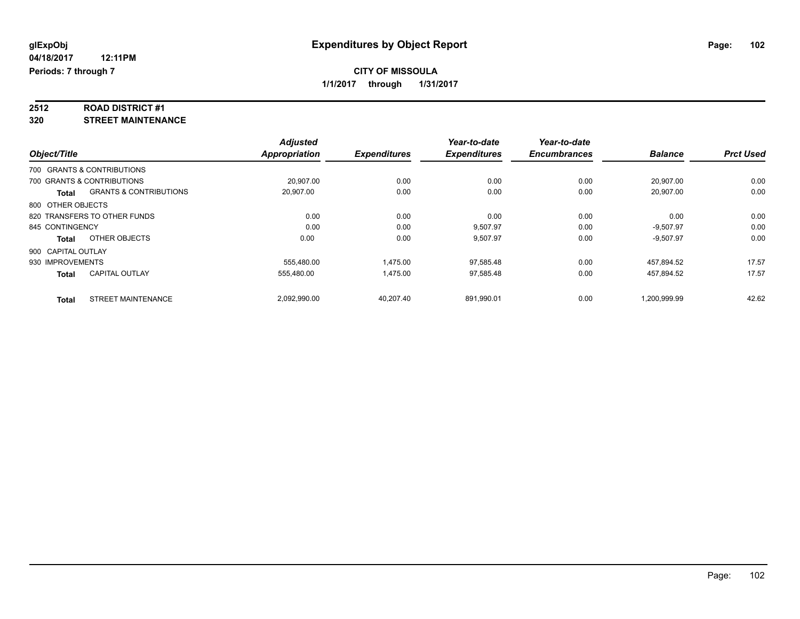# **2512 ROAD DISTRICT #1**

**320 STREET MAINTENANCE**

|                    |                                   | <b>Adjusted</b>      |                     | Year-to-date        | Year-to-date        |                |                  |
|--------------------|-----------------------------------|----------------------|---------------------|---------------------|---------------------|----------------|------------------|
| Object/Title       |                                   | <b>Appropriation</b> | <b>Expenditures</b> | <b>Expenditures</b> | <b>Encumbrances</b> | <b>Balance</b> | <b>Prct Used</b> |
|                    | 700 GRANTS & CONTRIBUTIONS        |                      |                     |                     |                     |                |                  |
|                    | 700 GRANTS & CONTRIBUTIONS        | 20.907.00            | 0.00                | 0.00                | 0.00                | 20,907.00      | 0.00             |
| <b>Total</b>       | <b>GRANTS &amp; CONTRIBUTIONS</b> | 20,907.00            | 0.00                | 0.00                | 0.00                | 20.907.00      | 0.00             |
| 800 OTHER OBJECTS  |                                   |                      |                     |                     |                     |                |                  |
|                    | 820 TRANSFERS TO OTHER FUNDS      | 0.00                 | 0.00                | 0.00                | 0.00                | 0.00           | 0.00             |
| 845 CONTINGENCY    |                                   | 0.00                 | 0.00                | 9.507.97            | 0.00                | $-9.507.97$    | 0.00             |
| <b>Total</b>       | OTHER OBJECTS                     | 0.00                 | 0.00                | 9,507.97            | 0.00                | $-9,507.97$    | 0.00             |
| 900 CAPITAL OUTLAY |                                   |                      |                     |                     |                     |                |                  |
| 930 IMPROVEMENTS   |                                   | 555,480.00           | 1,475.00            | 97,585.48           | 0.00                | 457,894.52     | 17.57            |
| <b>Total</b>       | <b>CAPITAL OUTLAY</b>             | 555.480.00           | 1,475.00            | 97,585.48           | 0.00                | 457.894.52     | 17.57            |
| <b>Total</b>       | <b>STREET MAINTENANCE</b>         | 2,092,990.00         | 40,207.40           | 891,990.01          | 0.00                | 1,200,999.99   | 42.62            |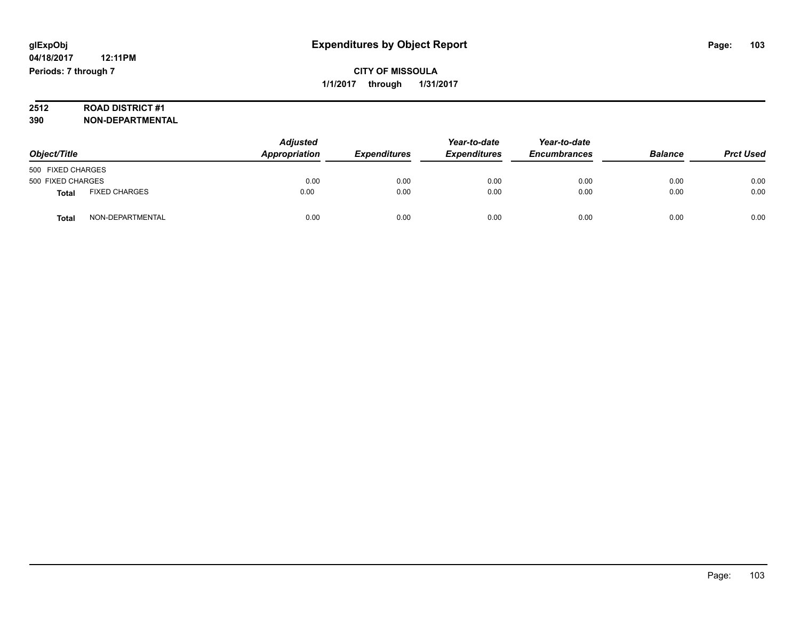# **2512 ROAD DISTRICT #1**

**390 NON-DEPARTMENTAL**

| Object/Title      |                      | <b>Adjusted</b><br>Appropriation | <b>Expenditures</b> | Year-to-date<br><b>Expenditures</b> | Year-to-date<br><b>Encumbrances</b> | <b>Balance</b> | <b>Prct Used</b> |
|-------------------|----------------------|----------------------------------|---------------------|-------------------------------------|-------------------------------------|----------------|------------------|
| 500 FIXED CHARGES |                      |                                  |                     |                                     |                                     |                |                  |
| 500 FIXED CHARGES |                      | 0.00                             | 0.00                | 0.00                                | 0.00                                | 0.00           | 0.00             |
| Total             | <b>FIXED CHARGES</b> | 0.00                             | 0.00                | 0.00                                | 0.00                                | 0.00           | 0.00             |
| Total             | NON-DEPARTMENTAL     | 0.00                             | 0.00                | 0.00                                | 0.00                                | 0.00           | 0.00             |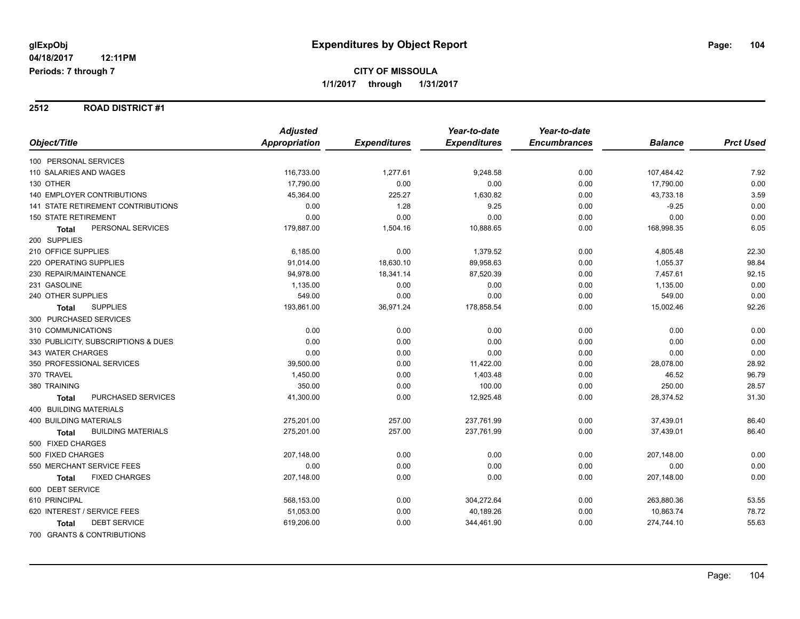#### **2512 ROAD DISTRICT #1**

|                                     | <b>Adjusted</b> |                     | Year-to-date        | Year-to-date        |                |                  |
|-------------------------------------|-----------------|---------------------|---------------------|---------------------|----------------|------------------|
| Object/Title                        | Appropriation   | <b>Expenditures</b> | <b>Expenditures</b> | <b>Encumbrances</b> | <b>Balance</b> | <b>Prct Used</b> |
| 100 PERSONAL SERVICES               |                 |                     |                     |                     |                |                  |
| 110 SALARIES AND WAGES              | 116,733.00      | 1,277.61            | 9,248.58            | 0.00                | 107,484.42     | 7.92             |
| 130 OTHER                           | 17,790.00       | 0.00                | 0.00                | 0.00                | 17,790.00      | 0.00             |
| <b>140 EMPLOYER CONTRIBUTIONS</b>   | 45,364.00       | 225.27              | 1,630.82            | 0.00                | 43,733.18      | 3.59             |
| 141 STATE RETIREMENT CONTRIBUTIONS  | 0.00            | 1.28                | 9.25                | 0.00                | $-9.25$        | 0.00             |
| 150 STATE RETIREMENT                | 0.00            | 0.00                | 0.00                | 0.00                | 0.00           | 0.00             |
| PERSONAL SERVICES<br><b>Total</b>   | 179,887.00      | 1,504.16            | 10,888.65           | 0.00                | 168,998.35     | 6.05             |
| 200 SUPPLIES                        |                 |                     |                     |                     |                |                  |
| 210 OFFICE SUPPLIES                 | 6,185.00        | 0.00                | 1,379.52            | 0.00                | 4,805.48       | 22.30            |
| 220 OPERATING SUPPLIES              | 91,014.00       | 18,630.10           | 89,958.63           | 0.00                | 1,055.37       | 98.84            |
| 230 REPAIR/MAINTENANCE              | 94,978.00       | 18,341.14           | 87,520.39           | 0.00                | 7,457.61       | 92.15            |
| 231 GASOLINE                        | 1,135.00        | 0.00                | 0.00                | 0.00                | 1,135.00       | 0.00             |
| 240 OTHER SUPPLIES                  | 549.00          | 0.00                | 0.00                | 0.00                | 549.00         | 0.00             |
| <b>SUPPLIES</b><br><b>Total</b>     | 193,861.00      | 36,971.24           | 178,858.54          | 0.00                | 15,002.46      | 92.26            |
| 300 PURCHASED SERVICES              |                 |                     |                     |                     |                |                  |
| 310 COMMUNICATIONS                  | 0.00            | 0.00                | 0.00                | 0.00                | 0.00           | 0.00             |
| 330 PUBLICITY, SUBSCRIPTIONS & DUES | 0.00            | 0.00                | 0.00                | 0.00                | 0.00           | 0.00             |
| 343 WATER CHARGES                   | 0.00            | 0.00                | 0.00                | 0.00                | 0.00           | 0.00             |
| 350 PROFESSIONAL SERVICES           | 39,500.00       | 0.00                | 11,422.00           | 0.00                | 28,078.00      | 28.92            |
| 370 TRAVEL                          | 1,450.00        | 0.00                | 1,403.48            | 0.00                | 46.52          | 96.79            |
| 380 TRAINING                        | 350.00          | 0.00                | 100.00              | 0.00                | 250.00         | 28.57            |
| PURCHASED SERVICES<br><b>Total</b>  | 41,300.00       | 0.00                | 12,925.48           | 0.00                | 28,374.52      | 31.30            |
| 400 BUILDING MATERIALS              |                 |                     |                     |                     |                |                  |
| <b>400 BUILDING MATERIALS</b>       | 275,201.00      | 257.00              | 237,761.99          | 0.00                | 37,439.01      | 86.40            |
| <b>BUILDING MATERIALS</b><br>Total  | 275,201.00      | 257.00              | 237,761.99          | 0.00                | 37,439.01      | 86.40            |
| 500 FIXED CHARGES                   |                 |                     |                     |                     |                |                  |
| 500 FIXED CHARGES                   | 207,148.00      | 0.00                | 0.00                | 0.00                | 207,148.00     | 0.00             |
| 550 MERCHANT SERVICE FEES           | 0.00            | 0.00                | 0.00                | 0.00                | 0.00           | 0.00             |
| <b>FIXED CHARGES</b><br>Total       | 207,148.00      | 0.00                | 0.00                | 0.00                | 207,148.00     | 0.00             |
| 600 DEBT SERVICE                    |                 |                     |                     |                     |                |                  |
| 610 PRINCIPAL                       | 568,153.00      | 0.00                | 304,272.64          | 0.00                | 263,880.36     | 53.55            |
| 620 INTEREST / SERVICE FEES         | 51,053.00       | 0.00                | 40,189.26           | 0.00                | 10,863.74      | 78.72            |
| <b>DEBT SERVICE</b><br><b>Total</b> | 619,206.00      | 0.00                | 344,461.90          | 0.00                | 274,744.10     | 55.63            |
| 700 GRANTS & CONTRIBUTIONS          |                 |                     |                     |                     |                |                  |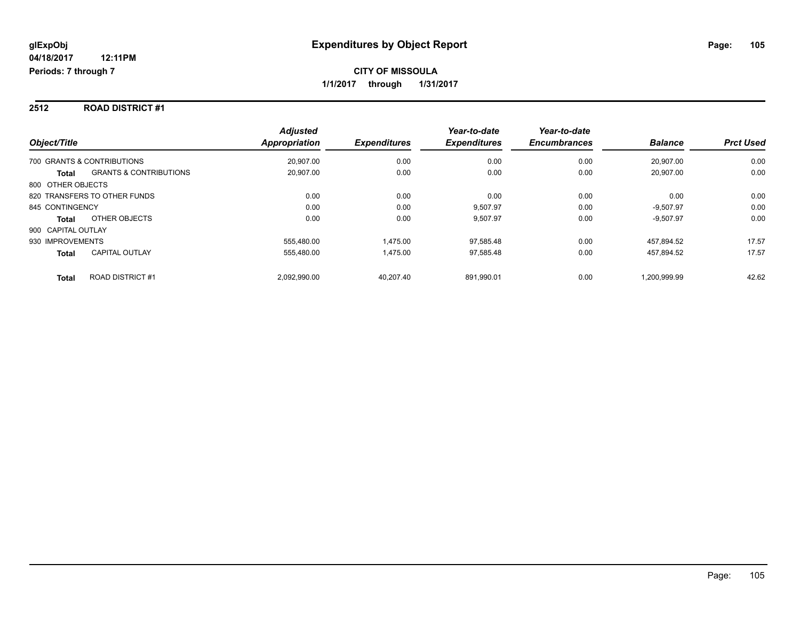#### **2512 ROAD DISTRICT #1**

| Object/Title                                      | <b>Adjusted</b><br>Appropriation | <b>Expenditures</b> | Year-to-date<br><b>Expenditures</b> | Year-to-date<br><b>Encumbrances</b> | <b>Balance</b> | <b>Prct Used</b> |
|---------------------------------------------------|----------------------------------|---------------------|-------------------------------------|-------------------------------------|----------------|------------------|
| 700 GRANTS & CONTRIBUTIONS                        | 20.907.00                        | 0.00                | 0.00                                | 0.00                                | 20.907.00      | 0.00             |
| <b>GRANTS &amp; CONTRIBUTIONS</b><br><b>Total</b> | 20.907.00                        | 0.00                | 0.00                                | 0.00                                | 20.907.00      | 0.00             |
| 800 OTHER OBJECTS                                 |                                  |                     |                                     |                                     |                |                  |
| 820 TRANSFERS TO OTHER FUNDS                      | 0.00                             | 0.00                | 0.00                                | 0.00                                | 0.00           | 0.00             |
| 845 CONTINGENCY                                   | 0.00                             | 0.00                | 9,507.97                            | 0.00                                | $-9,507.97$    | 0.00             |
| OTHER OBJECTS<br><b>Total</b>                     | 0.00                             | 0.00                | 9,507.97                            | 0.00                                | $-9,507.97$    | 0.00             |
| 900 CAPITAL OUTLAY                                |                                  |                     |                                     |                                     |                |                  |
| 930 IMPROVEMENTS                                  | 555.480.00                       | 1.475.00            | 97.585.48                           | 0.00                                | 457.894.52     | 17.57            |
| <b>CAPITAL OUTLAY</b><br><b>Total</b>             | 555.480.00                       | 1.475.00            | 97.585.48                           | 0.00                                | 457.894.52     | 17.57            |
| <b>ROAD DISTRICT #1</b><br><b>Total</b>           | 2.092.990.00                     | 40.207.40           | 891.990.01                          | 0.00                                | 1.200.999.99   | 42.62            |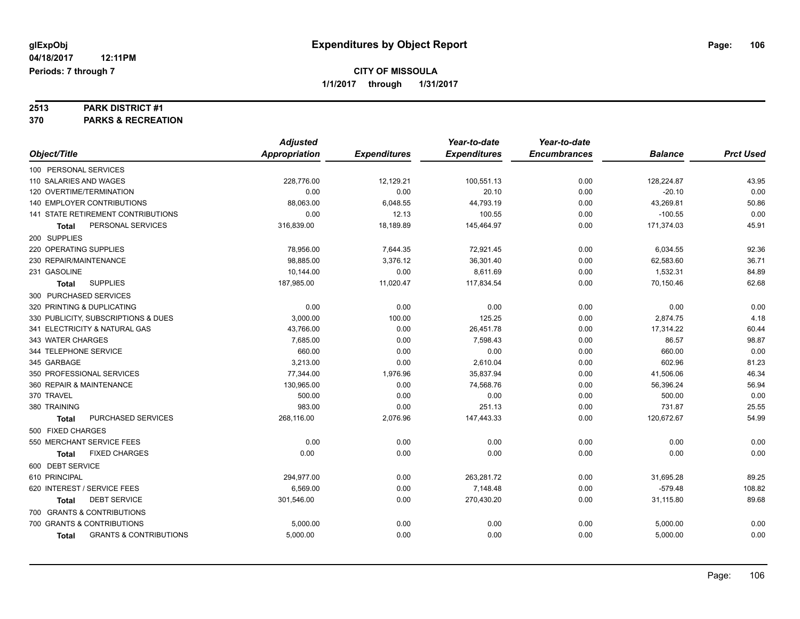# **2513 PARK DISTRICT #1**

**370 PARKS & RECREATION**

|                                                   | <b>Adjusted</b> |                     | Year-to-date        | Year-to-date        |                |                  |
|---------------------------------------------------|-----------------|---------------------|---------------------|---------------------|----------------|------------------|
| Object/Title                                      | Appropriation   | <b>Expenditures</b> | <b>Expenditures</b> | <b>Encumbrances</b> | <b>Balance</b> | <b>Prct Used</b> |
| 100 PERSONAL SERVICES                             |                 |                     |                     |                     |                |                  |
| 110 SALARIES AND WAGES                            | 228,776.00      | 12,129.21           | 100,551.13          | 0.00                | 128,224.87     | 43.95            |
| 120 OVERTIME/TERMINATION                          | 0.00            | 0.00                | 20.10               | 0.00                | $-20.10$       | 0.00             |
| <b>140 EMPLOYER CONTRIBUTIONS</b>                 | 88,063.00       | 6,048.55            | 44,793.19           | 0.00                | 43,269.81      | 50.86            |
| 141 STATE RETIREMENT CONTRIBUTIONS                | 0.00            | 12.13               | 100.55              | 0.00                | $-100.55$      | 0.00             |
| PERSONAL SERVICES<br>Total                        | 316,839.00      | 18,189.89           | 145,464.97          | 0.00                | 171,374.03     | 45.91            |
| 200 SUPPLIES                                      |                 |                     |                     |                     |                |                  |
| 220 OPERATING SUPPLIES                            | 78,956.00       | 7,644.35            | 72,921.45           | 0.00                | 6,034.55       | 92.36            |
| 230 REPAIR/MAINTENANCE                            | 98.885.00       | 3,376.12            | 36,301.40           | 0.00                | 62,583.60      | 36.71            |
| 231 GASOLINE                                      | 10,144.00       | 0.00                | 8,611.69            | 0.00                | 1,532.31       | 84.89            |
| <b>SUPPLIES</b><br><b>Total</b>                   | 187,985.00      | 11,020.47           | 117,834.54          | 0.00                | 70,150.46      | 62.68            |
| 300 PURCHASED SERVICES                            |                 |                     |                     |                     |                |                  |
| 320 PRINTING & DUPLICATING                        | 0.00            | 0.00                | 0.00                | 0.00                | 0.00           | 0.00             |
| 330 PUBLICITY, SUBSCRIPTIONS & DUES               | 3,000.00        | 100.00              | 125.25              | 0.00                | 2,874.75       | 4.18             |
| 341 ELECTRICITY & NATURAL GAS                     | 43,766.00       | 0.00                | 26,451.78           | 0.00                | 17,314.22      | 60.44            |
| 343 WATER CHARGES                                 | 7,685.00        | 0.00                | 7,598.43            | 0.00                | 86.57          | 98.87            |
| 344 TELEPHONE SERVICE                             | 660.00          | 0.00                | 0.00                | 0.00                | 660.00         | 0.00             |
| 345 GARBAGE                                       | 3,213.00        | 0.00                | 2,610.04            | 0.00                | 602.96         | 81.23            |
| 350 PROFESSIONAL SERVICES                         | 77,344.00       | 1,976.96            | 35,837.94           | 0.00                | 41,506.06      | 46.34            |
| 360 REPAIR & MAINTENANCE                          | 130,965.00      | 0.00                | 74,568.76           | 0.00                | 56,396.24      | 56.94            |
| 370 TRAVEL                                        | 500.00          | 0.00                | 0.00                | 0.00                | 500.00         | 0.00             |
| 380 TRAINING                                      | 983.00          | 0.00                | 251.13              | 0.00                | 731.87         | 25.55            |
| PURCHASED SERVICES<br><b>Total</b>                | 268,116.00      | 2,076.96            | 147,443.33          | 0.00                | 120,672.67     | 54.99            |
| 500 FIXED CHARGES                                 |                 |                     |                     |                     |                |                  |
| 550 MERCHANT SERVICE FEES                         | 0.00            | 0.00                | 0.00                | 0.00                | 0.00           | 0.00             |
| <b>FIXED CHARGES</b><br><b>Total</b>              | 0.00            | 0.00                | 0.00                | 0.00                | 0.00           | 0.00             |
| 600 DEBT SERVICE                                  |                 |                     |                     |                     |                |                  |
| 610 PRINCIPAL                                     | 294,977.00      | 0.00                | 263,281.72          | 0.00                | 31,695.28      | 89.25            |
| 620 INTEREST / SERVICE FEES                       | 6,569.00        | 0.00                | 7,148.48            | 0.00                | $-579.48$      | 108.82           |
| <b>DEBT SERVICE</b><br>Total                      | 301,546.00      | 0.00                | 270,430.20          | 0.00                | 31,115.80      | 89.68            |
| 700 GRANTS & CONTRIBUTIONS                        |                 |                     |                     |                     |                |                  |
| 700 GRANTS & CONTRIBUTIONS                        | 5,000.00        | 0.00                | 0.00                | 0.00                | 5,000.00       | 0.00             |
| <b>GRANTS &amp; CONTRIBUTIONS</b><br><b>Total</b> | 5,000.00        | 0.00                | 0.00                | 0.00                | 5,000.00       | 0.00             |
|                                                   |                 |                     |                     |                     |                |                  |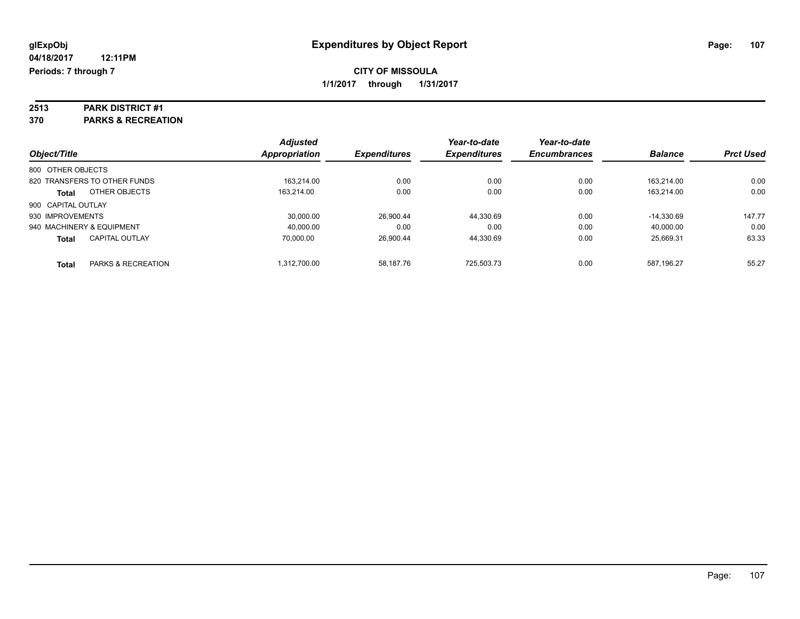# **2513 PARK DISTRICT #1**

**370 PARKS & RECREATION**

| Object/Title                 |                       | <b>Adjusted</b> | <b>Expenditures</b> | Year-to-date<br><b>Expenditures</b> | Year-to-date<br><b>Encumbrances</b> | <b>Balance</b> | <b>Prct Used</b> |
|------------------------------|-----------------------|-----------------|---------------------|-------------------------------------|-------------------------------------|----------------|------------------|
|                              |                       | Appropriation   |                     |                                     |                                     |                |                  |
| 800 OTHER OBJECTS            |                       |                 |                     |                                     |                                     |                |                  |
| 820 TRANSFERS TO OTHER FUNDS |                       | 163.214.00      | 0.00                | 0.00                                | 0.00                                | 163.214.00     | 0.00             |
| <b>Total</b>                 | OTHER OBJECTS         | 163.214.00      | 0.00                | 0.00                                | 0.00                                | 163.214.00     | 0.00             |
| 900 CAPITAL OUTLAY           |                       |                 |                     |                                     |                                     |                |                  |
| 930 IMPROVEMENTS             |                       | 30.000.00       | 26.900.44           | 44,330.69                           | 0.00                                | $-14.330.69$   | 147.77           |
| 940 MACHINERY & EQUIPMENT    |                       | 40.000.00       | 0.00                | 0.00                                | 0.00                                | 40.000.00      | 0.00             |
| <b>Total</b>                 | <b>CAPITAL OUTLAY</b> | 70.000.00       | 26.900.44           | 44.330.69                           | 0.00                                | 25.669.31      | 63.33            |
| <b>Total</b>                 | PARKS & RECREATION    | 1.312.700.00    | 58.187.76           | 725.503.73                          | 0.00                                | 587.196.27     | 55.27            |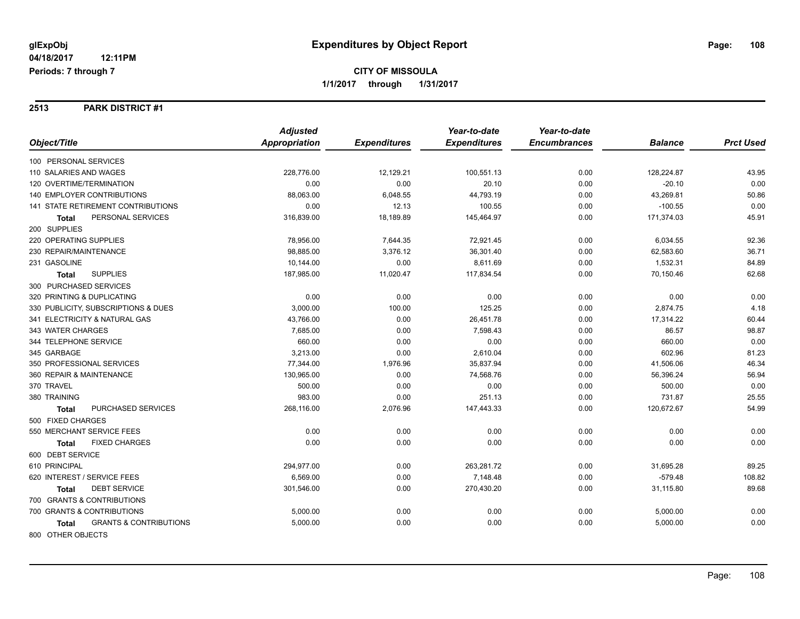#### **2513 PARK DISTRICT #1**

|                                                   | <b>Adjusted</b>      |                     | Year-to-date        | Year-to-date        |                |                  |
|---------------------------------------------------|----------------------|---------------------|---------------------|---------------------|----------------|------------------|
| Object/Title                                      | <b>Appropriation</b> | <b>Expenditures</b> | <b>Expenditures</b> | <b>Encumbrances</b> | <b>Balance</b> | <b>Prct Used</b> |
| 100 PERSONAL SERVICES                             |                      |                     |                     |                     |                |                  |
| 110 SALARIES AND WAGES                            | 228,776.00           | 12,129.21           | 100,551.13          | 0.00                | 128,224.87     | 43.95            |
| 120 OVERTIME/TERMINATION                          | 0.00                 | 0.00                | 20.10               | 0.00                | $-20.10$       | 0.00             |
| <b>140 EMPLOYER CONTRIBUTIONS</b>                 | 88,063.00            | 6,048.55            | 44,793.19           | 0.00                | 43,269.81      | 50.86            |
| 141 STATE RETIREMENT CONTRIBUTIONS                | 0.00                 | 12.13               | 100.55              | 0.00                | $-100.55$      | 0.00             |
| PERSONAL SERVICES<br><b>Total</b>                 | 316,839.00           | 18,189.89           | 145,464.97          | 0.00                | 171,374.03     | 45.91            |
| 200 SUPPLIES                                      |                      |                     |                     |                     |                |                  |
| 220 OPERATING SUPPLIES                            | 78,956.00            | 7,644.35            | 72,921.45           | 0.00                | 6,034.55       | 92.36            |
| 230 REPAIR/MAINTENANCE                            | 98,885.00            | 3,376.12            | 36,301.40           | 0.00                | 62,583.60      | 36.71            |
| 231 GASOLINE                                      | 10,144.00            | 0.00                | 8,611.69            | 0.00                | 1,532.31       | 84.89            |
| <b>SUPPLIES</b><br><b>Total</b>                   | 187,985.00           | 11,020.47           | 117,834.54          | 0.00                | 70,150.46      | 62.68            |
| 300 PURCHASED SERVICES                            |                      |                     |                     |                     |                |                  |
| 320 PRINTING & DUPLICATING                        | 0.00                 | 0.00                | 0.00                | 0.00                | 0.00           | 0.00             |
| 330 PUBLICITY, SUBSCRIPTIONS & DUES               | 3,000.00             | 100.00              | 125.25              | 0.00                | 2,874.75       | 4.18             |
| 341 ELECTRICITY & NATURAL GAS                     | 43,766.00            | 0.00                | 26,451.78           | 0.00                | 17,314.22      | 60.44            |
| 343 WATER CHARGES                                 | 7,685.00             | 0.00                | 7,598.43            | 0.00                | 86.57          | 98.87            |
| 344 TELEPHONE SERVICE                             | 660.00               | 0.00                | 0.00                | 0.00                | 660.00         | 0.00             |
| 345 GARBAGE                                       | 3,213.00             | 0.00                | 2,610.04            | 0.00                | 602.96         | 81.23            |
| 350 PROFESSIONAL SERVICES                         | 77,344.00            | 1,976.96            | 35,837.94           | 0.00                | 41,506.06      | 46.34            |
| 360 REPAIR & MAINTENANCE                          | 130,965.00           | 0.00                | 74,568.76           | 0.00                | 56,396.24      | 56.94            |
| 370 TRAVEL                                        | 500.00               | 0.00                | 0.00                | 0.00                | 500.00         | 0.00             |
| 380 TRAINING                                      | 983.00               | 0.00                | 251.13              | 0.00                | 731.87         | 25.55            |
| PURCHASED SERVICES<br>Total                       | 268,116.00           | 2,076.96            | 147,443.33          | 0.00                | 120,672.67     | 54.99            |
| 500 FIXED CHARGES                                 |                      |                     |                     |                     |                |                  |
| 550 MERCHANT SERVICE FEES                         | 0.00                 | 0.00                | 0.00                | 0.00                | 0.00           | 0.00             |
| <b>FIXED CHARGES</b><br><b>Total</b>              | 0.00                 | 0.00                | 0.00                | 0.00                | 0.00           | 0.00             |
| 600 DEBT SERVICE                                  |                      |                     |                     |                     |                |                  |
| 610 PRINCIPAL                                     | 294,977.00           | 0.00                | 263.281.72          | 0.00                | 31,695.28      | 89.25            |
| 620 INTEREST / SERVICE FEES                       | 6,569.00             | 0.00                | 7,148.48            | 0.00                | $-579.48$      | 108.82           |
| <b>DEBT SERVICE</b><br>Total                      | 301,546.00           | 0.00                | 270,430.20          | 0.00                | 31,115.80      | 89.68            |
| 700 GRANTS & CONTRIBUTIONS                        |                      |                     |                     |                     |                |                  |
| 700 GRANTS & CONTRIBUTIONS                        | 5,000.00             | 0.00                | 0.00                | 0.00                | 5,000.00       | 0.00             |
| <b>GRANTS &amp; CONTRIBUTIONS</b><br><b>Total</b> | 5,000.00             | 0.00                | 0.00                | 0.00                | 5,000.00       | 0.00             |
| 800 OTHER OBJECTS                                 |                      |                     |                     |                     |                |                  |

Page: 108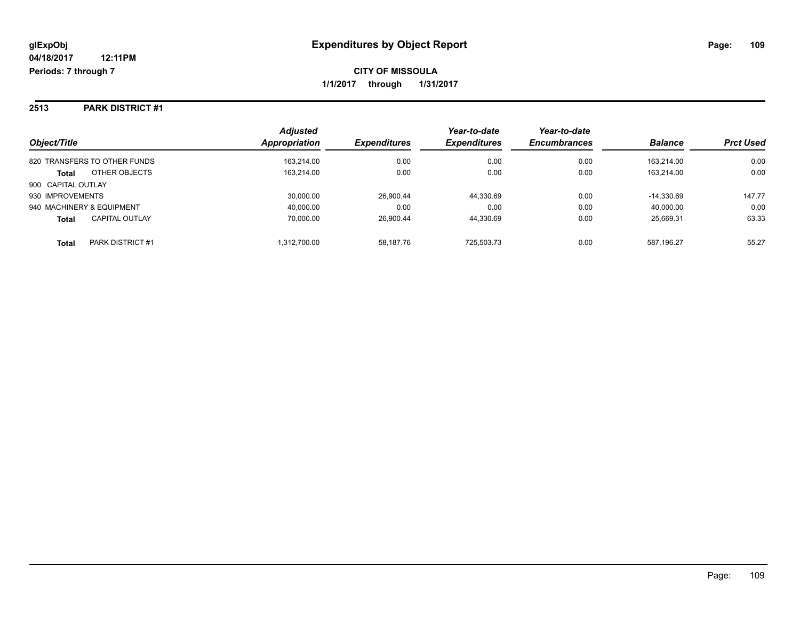#### **2513 PARK DISTRICT #1**

| Object/Title                          | <b>Adjusted</b><br>Appropriation | <b>Expenditures</b> | Year-to-date<br><b>Expenditures</b> | Year-to-date<br><b>Encumbrances</b> | <b>Balance</b> | <b>Prct Used</b> |
|---------------------------------------|----------------------------------|---------------------|-------------------------------------|-------------------------------------|----------------|------------------|
| 820 TRANSFERS TO OTHER FUNDS          | 163.214.00                       | 0.00                | 0.00                                | 0.00                                | 163.214.00     | 0.00             |
| OTHER OBJECTS<br><b>Total</b>         | 163,214.00                       | 0.00                | 0.00                                | 0.00                                | 163.214.00     | 0.00             |
| 900 CAPITAL OUTLAY                    |                                  |                     |                                     |                                     |                |                  |
| 930 IMPROVEMENTS                      | 30,000.00                        | 26,900.44           | 44.330.69                           | 0.00                                | $-14.330.69$   | 147.77           |
| 940 MACHINERY & EQUIPMENT             | 40,000.00                        | 0.00                | 0.00                                | 0.00                                | 40,000.00      | 0.00             |
| <b>CAPITAL OUTLAY</b><br><b>Total</b> | 70,000.00                        | 26.900.44           | 44.330.69                           | 0.00                                | 25.669.31      | 63.33            |
| PARK DISTRICT #1<br><b>Total</b>      | 1,312,700.00                     | 58.187.76           | 725.503.73                          | 0.00                                | 587,196.27     | 55.27            |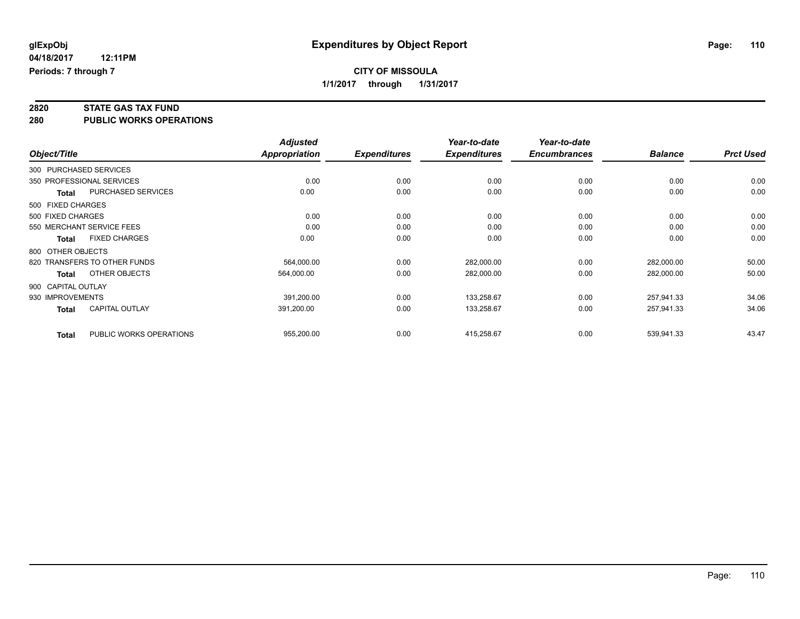# **2820 STATE GAS TAX FUND**

**280 PUBLIC WORKS OPERATIONS**

|                    |                              | <b>Adjusted</b> |                     | Year-to-date        | Year-to-date        |                |                  |
|--------------------|------------------------------|-----------------|---------------------|---------------------|---------------------|----------------|------------------|
| Object/Title       |                              | Appropriation   | <b>Expenditures</b> | <b>Expenditures</b> | <b>Encumbrances</b> | <b>Balance</b> | <b>Prct Used</b> |
|                    | 300 PURCHASED SERVICES       |                 |                     |                     |                     |                |                  |
|                    | 350 PROFESSIONAL SERVICES    | 0.00            | 0.00                | 0.00                | 0.00                | 0.00           | 0.00             |
| <b>Total</b>       | <b>PURCHASED SERVICES</b>    | 0.00            | 0.00                | 0.00                | 0.00                | 0.00           | 0.00             |
| 500 FIXED CHARGES  |                              |                 |                     |                     |                     |                |                  |
| 500 FIXED CHARGES  |                              | 0.00            | 0.00                | 0.00                | 0.00                | 0.00           | 0.00             |
|                    | 550 MERCHANT SERVICE FEES    | 0.00            | 0.00                | 0.00                | 0.00                | 0.00           | 0.00             |
| Total              | <b>FIXED CHARGES</b>         | 0.00            | 0.00                | 0.00                | 0.00                | 0.00           | 0.00             |
| 800 OTHER OBJECTS  |                              |                 |                     |                     |                     |                |                  |
|                    | 820 TRANSFERS TO OTHER FUNDS | 564,000.00      | 0.00                | 282,000.00          | 0.00                | 282,000.00     | 50.00            |
| <b>Total</b>       | OTHER OBJECTS                | 564,000.00      | 0.00                | 282,000.00          | 0.00                | 282,000.00     | 50.00            |
| 900 CAPITAL OUTLAY |                              |                 |                     |                     |                     |                |                  |
| 930 IMPROVEMENTS   |                              | 391,200.00      | 0.00                | 133,258.67          | 0.00                | 257,941.33     | 34.06            |
| Total              | CAPITAL OUTLAY               | 391,200.00      | 0.00                | 133,258.67          | 0.00                | 257,941.33     | 34.06            |
| <b>Total</b>       | PUBLIC WORKS OPERATIONS      | 955,200.00      | 0.00                | 415,258.67          | 0.00                | 539,941.33     | 43.47            |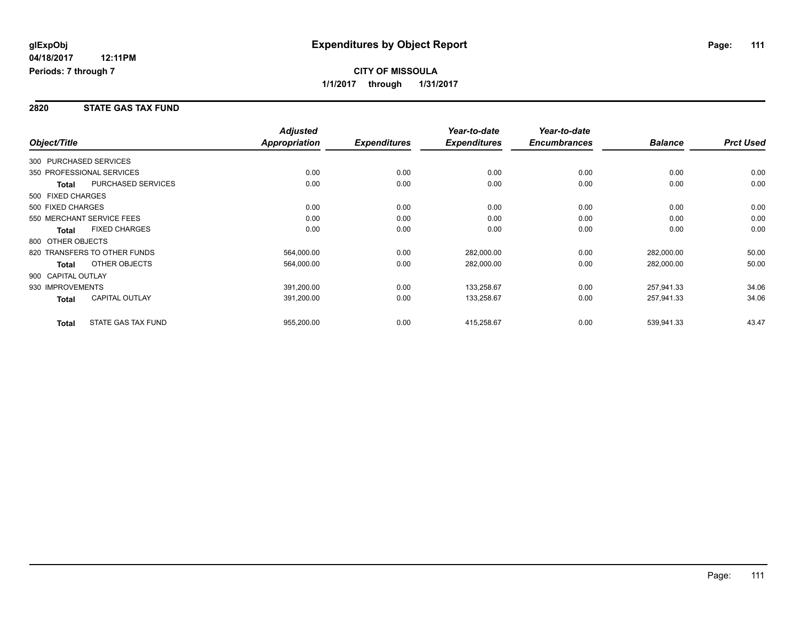## **CITY OF MISSOULA 1/1/2017 through 1/31/2017**

#### **2820 STATE GAS TAX FUND**

| Object/Title       |                              | <b>Adjusted</b><br>Appropriation | <b>Expenditures</b> | Year-to-date<br><b>Expenditures</b> | Year-to-date<br><b>Encumbrances</b> | <b>Balance</b> | <b>Prct Used</b> |
|--------------------|------------------------------|----------------------------------|---------------------|-------------------------------------|-------------------------------------|----------------|------------------|
|                    |                              |                                  |                     |                                     |                                     |                |                  |
|                    | 300 PURCHASED SERVICES       |                                  |                     |                                     |                                     |                |                  |
|                    | 350 PROFESSIONAL SERVICES    | 0.00                             | 0.00                | 0.00                                | 0.00                                | 0.00           | 0.00             |
| Total              | <b>PURCHASED SERVICES</b>    | 0.00                             | 0.00                | 0.00                                | 0.00                                | 0.00           | 0.00             |
| 500 FIXED CHARGES  |                              |                                  |                     |                                     |                                     |                |                  |
| 500 FIXED CHARGES  |                              | 0.00                             | 0.00                | 0.00                                | 0.00                                | 0.00           | 0.00             |
|                    | 550 MERCHANT SERVICE FEES    | 0.00                             | 0.00                | 0.00                                | 0.00                                | 0.00           | 0.00             |
| <b>Total</b>       | <b>FIXED CHARGES</b>         | 0.00                             | 0.00                | 0.00                                | 0.00                                | 0.00           | 0.00             |
| 800 OTHER OBJECTS  |                              |                                  |                     |                                     |                                     |                |                  |
|                    | 820 TRANSFERS TO OTHER FUNDS | 564,000.00                       | 0.00                | 282,000.00                          | 0.00                                | 282,000.00     | 50.00            |
| Total              | OTHER OBJECTS                | 564,000.00                       | 0.00                | 282,000.00                          | 0.00                                | 282,000.00     | 50.00            |
| 900 CAPITAL OUTLAY |                              |                                  |                     |                                     |                                     |                |                  |
| 930 IMPROVEMENTS   |                              | 391,200.00                       | 0.00                | 133,258.67                          | 0.00                                | 257,941.33     | 34.06            |
| Total              | <b>CAPITAL OUTLAY</b>        | 391,200.00                       | 0.00                | 133,258.67                          | 0.00                                | 257,941.33     | 34.06            |
| <b>Total</b>       | STATE GAS TAX FUND           | 955,200.00                       | 0.00                | 415,258.67                          | 0.00                                | 539,941.33     | 43.47            |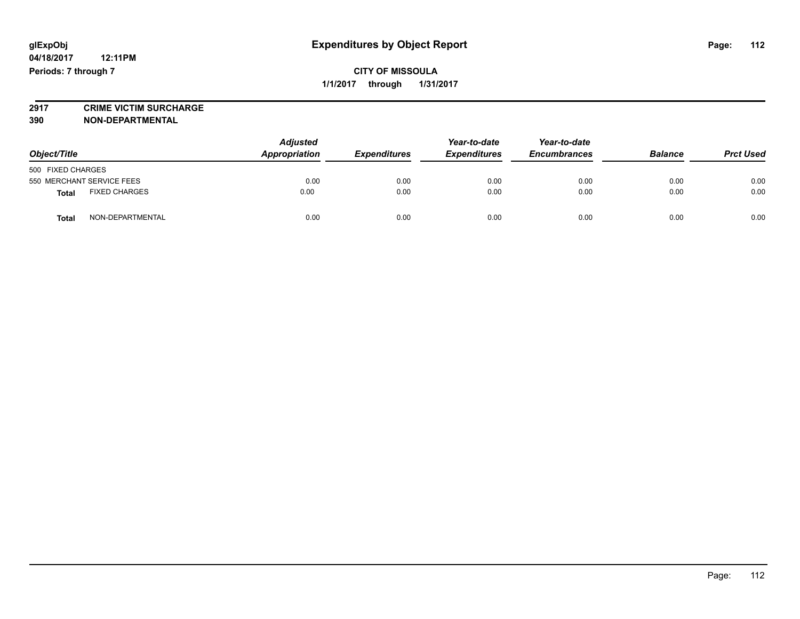# **2917 CRIME VICTIM SURCHARGE**

**390 NON-DEPARTMENTAL**

| Object/Title                         |                  | <b>Adjusted</b><br>Appropriation<br><b>Expenditures</b> |      | Year-to-date<br><b>Expenditures</b> | Year-to-date<br><b>Encumbrances</b> | <b>Balance</b> | <b>Prct Used</b> |
|--------------------------------------|------------------|---------------------------------------------------------|------|-------------------------------------|-------------------------------------|----------------|------------------|
| 500 FIXED CHARGES                    |                  |                                                         |      |                                     |                                     |                |                  |
| 550 MERCHANT SERVICE FEES            |                  | 0.00                                                    | 0.00 | 0.00                                | 0.00                                | 0.00           | 0.00             |
| <b>FIXED CHARGES</b><br><b>Total</b> |                  | 0.00                                                    | 0.00 | 0.00                                | 0.00                                | 0.00           | 0.00             |
| <b>Total</b>                         | NON-DEPARTMENTAL | 0.00                                                    | 0.00 | 0.00                                | 0.00                                | 0.00           | 0.00             |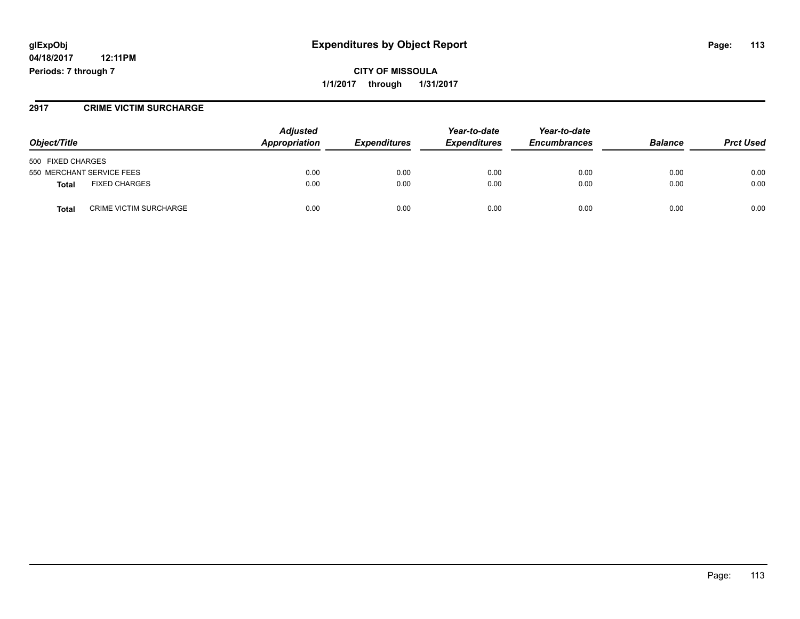## **glExpObj Expenditures by Object Report Page: 113**

**04/18/2017 12:11PM Periods: 7 through 7**

**CITY OF MISSOULA 1/1/2017 through 1/31/2017**

#### **2917 CRIME VICTIM SURCHARGE**

| Object/Title                                  | <b>Adjusted</b><br>Appropriation | <b>Expenditures</b> | Year-to-date<br><b>Expenditures</b> | Year-to-date<br><b>Encumbrances</b> | <b>Balance</b> | <b>Prct Used</b> |
|-----------------------------------------------|----------------------------------|---------------------|-------------------------------------|-------------------------------------|----------------|------------------|
| 500 FIXED CHARGES                             |                                  |                     |                                     |                                     |                |                  |
| 550 MERCHANT SERVICE FEES                     | 0.00                             | 0.00                | 0.00                                | 0.00                                | 0.00           | 0.00             |
| <b>FIXED CHARGES</b><br>Total                 | 0.00                             | 0.00                | 0.00                                | 0.00                                | 0.00           | 0.00             |
| <b>Total</b><br><b>CRIME VICTIM SURCHARGE</b> | 0.00                             | 0.00                | 0.00                                | 0.00                                | 0.00           | 0.00             |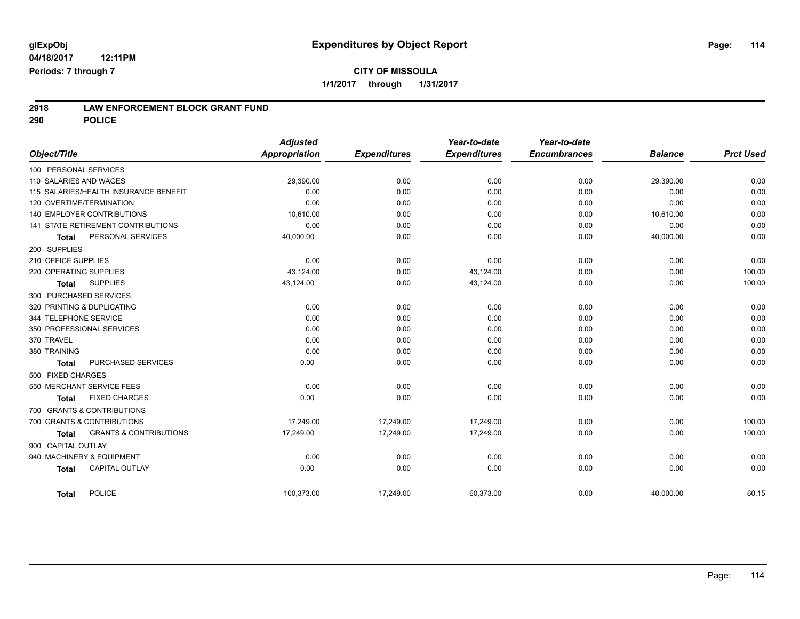**290 POLICE**

|              |                     |                                       | <b>Adjusted</b>      |                     | Year-to-date        | Year-to-date        |                |                  |
|--------------|---------------------|---------------------------------------|----------------------|---------------------|---------------------|---------------------|----------------|------------------|
| Object/Title |                     |                                       | <b>Appropriation</b> | <b>Expenditures</b> | <b>Expenditures</b> | <b>Encumbrances</b> | <b>Balance</b> | <b>Prct Used</b> |
|              |                     | 100 PERSONAL SERVICES                 |                      |                     |                     |                     |                |                  |
|              |                     | 110 SALARIES AND WAGES                | 29,390.00            | 0.00                | 0.00                | 0.00                | 29,390.00      | 0.00             |
|              |                     | 115 SALARIES/HEALTH INSURANCE BENEFIT | 0.00                 | 0.00                | 0.00                | 0.00                | 0.00           | 0.00             |
|              |                     | 120 OVERTIME/TERMINATION              | 0.00                 | 0.00                | 0.00                | 0.00                | 0.00           | 0.00             |
|              |                     | 140 EMPLOYER CONTRIBUTIONS            | 10,610.00            | 0.00                | 0.00                | 0.00                | 10,610.00      | 0.00             |
|              |                     | 141 STATE RETIREMENT CONTRIBUTIONS    | 0.00                 | 0.00                | 0.00                | 0.00                | 0.00           | 0.00             |
|              | <b>Total</b>        | PERSONAL SERVICES                     | 40,000.00            | 0.00                | 0.00                | 0.00                | 40,000.00      | 0.00             |
|              | 200 SUPPLIES        |                                       |                      |                     |                     |                     |                |                  |
|              | 210 OFFICE SUPPLIES |                                       | 0.00                 | 0.00                | 0.00                | 0.00                | 0.00           | 0.00             |
|              |                     | 220 OPERATING SUPPLIES                | 43,124.00            | 0.00                | 43,124.00           | 0.00                | 0.00           | 100.00           |
|              | <b>Total</b>        | <b>SUPPLIES</b>                       | 43,124.00            | 0.00                | 43,124.00           | 0.00                | 0.00           | 100.00           |
|              |                     | 300 PURCHASED SERVICES                |                      |                     |                     |                     |                |                  |
|              |                     | 320 PRINTING & DUPLICATING            | 0.00                 | 0.00                | 0.00                | 0.00                | 0.00           | 0.00             |
|              |                     | 344 TELEPHONE SERVICE                 | 0.00                 | 0.00                | 0.00                | 0.00                | 0.00           | 0.00             |
|              |                     | 350 PROFESSIONAL SERVICES             | 0.00                 | 0.00                | 0.00                | 0.00                | 0.00           | 0.00             |
| 370 TRAVEL   |                     |                                       | 0.00                 | 0.00                | 0.00                | 0.00                | 0.00           | 0.00             |
| 380 TRAINING |                     |                                       | 0.00                 | 0.00                | 0.00                | 0.00                | 0.00           | 0.00             |
|              | <b>Total</b>        | PURCHASED SERVICES                    | 0.00                 | 0.00                | 0.00                | 0.00                | 0.00           | 0.00             |
|              | 500 FIXED CHARGES   |                                       |                      |                     |                     |                     |                |                  |
|              |                     | 550 MERCHANT SERVICE FEES             | 0.00                 | 0.00                | 0.00                | 0.00                | 0.00           | 0.00             |
|              | <b>Total</b>        | <b>FIXED CHARGES</b>                  | 0.00                 | 0.00                | 0.00                | 0.00                | 0.00           | 0.00             |
|              |                     | 700 GRANTS & CONTRIBUTIONS            |                      |                     |                     |                     |                |                  |
|              |                     | 700 GRANTS & CONTRIBUTIONS            | 17,249.00            | 17,249.00           | 17,249.00           | 0.00                | 0.00           | 100.00           |
|              | <b>Total</b>        | <b>GRANTS &amp; CONTRIBUTIONS</b>     | 17,249.00            | 17,249.00           | 17,249.00           | 0.00                | 0.00           | 100.00           |
|              | 900 CAPITAL OUTLAY  |                                       |                      |                     |                     |                     |                |                  |
|              |                     | 940 MACHINERY & EQUIPMENT             | 0.00                 | 0.00                | 0.00                | 0.00                | 0.00           | 0.00             |
|              | <b>Total</b>        | <b>CAPITAL OUTLAY</b>                 | 0.00                 | 0.00                | 0.00                | 0.00                | 0.00           | 0.00             |
|              |                     |                                       |                      |                     |                     |                     |                |                  |
|              | <b>Total</b>        | POLICE                                | 100,373.00           | 17,249.00           | 60,373.00           | 0.00                | 40,000.00      | 60.15            |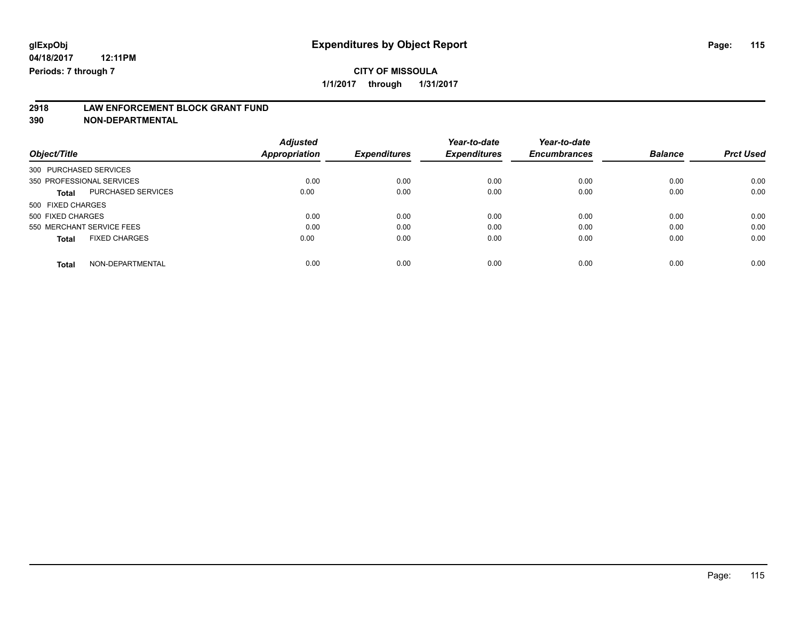# **2918 LAW ENFORCEMENT BLOCK GRANT FUND**

**390 NON-DEPARTMENTAL**

|                                           | <b>Adjusted</b>      |                     | Year-to-date        | Year-to-date        |                |                  |
|-------------------------------------------|----------------------|---------------------|---------------------|---------------------|----------------|------------------|
| Object/Title                              | <b>Appropriation</b> | <b>Expenditures</b> | <b>Expenditures</b> | <b>Encumbrances</b> | <b>Balance</b> | <b>Prct Used</b> |
| 300 PURCHASED SERVICES                    |                      |                     |                     |                     |                |                  |
| 350 PROFESSIONAL SERVICES                 | 0.00                 | 0.00                | 0.00                | 0.00                | 0.00           | 0.00             |
| <b>PURCHASED SERVICES</b><br><b>Total</b> | 0.00                 | 0.00                | 0.00                | 0.00                | 0.00           | 0.00             |
| 500 FIXED CHARGES                         |                      |                     |                     |                     |                |                  |
| 500 FIXED CHARGES                         | 0.00                 | 0.00                | 0.00                | 0.00                | 0.00           | 0.00             |
| 550 MERCHANT SERVICE FEES                 | 0.00                 | 0.00                | 0.00                | 0.00                | 0.00           | 0.00             |
| <b>FIXED CHARGES</b><br><b>Total</b>      | 0.00                 | 0.00                | 0.00                | 0.00                | 0.00           | 0.00             |
| NON-DEPARTMENTAL<br><b>Total</b>          | 0.00                 | 0.00                | 0.00                | 0.00                | 0.00           | 0.00             |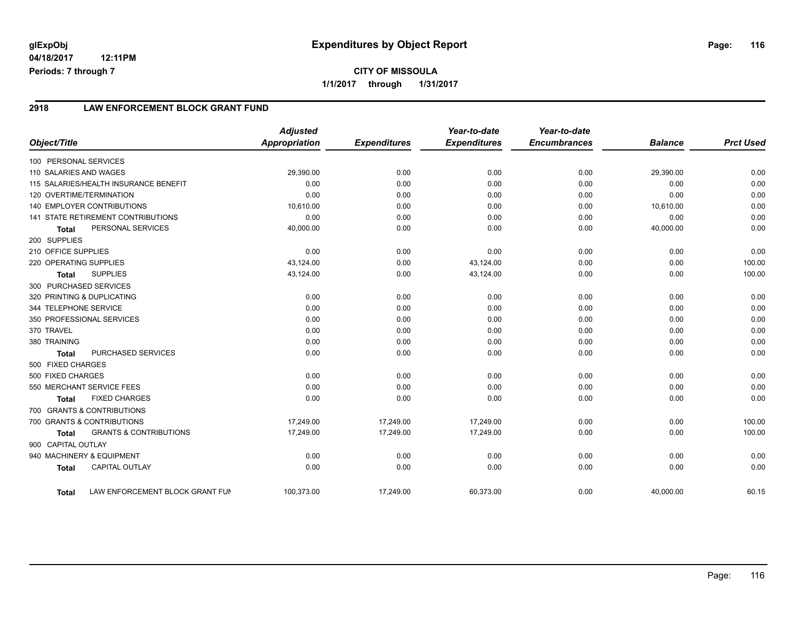### **2918 LAW ENFORCEMENT BLOCK GRANT FUND**

|                        |                                           | <b>Adjusted</b> |                     | Year-to-date        | Year-to-date        |                |                  |
|------------------------|-------------------------------------------|-----------------|---------------------|---------------------|---------------------|----------------|------------------|
| Object/Title           |                                           | Appropriation   | <b>Expenditures</b> | <b>Expenditures</b> | <b>Encumbrances</b> | <b>Balance</b> | <b>Prct Used</b> |
| 100 PERSONAL SERVICES  |                                           |                 |                     |                     |                     |                |                  |
| 110 SALARIES AND WAGES |                                           | 29,390.00       | 0.00                | 0.00                | 0.00                | 29,390.00      | 0.00             |
|                        | 115 SALARIES/HEALTH INSURANCE BENEFIT     | 0.00            | 0.00                | 0.00                | 0.00                | 0.00           | 0.00             |
|                        | 120 OVERTIME/TERMINATION                  | 0.00            | 0.00                | 0.00                | 0.00                | 0.00           | 0.00             |
|                        | 140 EMPLOYER CONTRIBUTIONS                | 10,610.00       | 0.00                | 0.00                | 0.00                | 10,610.00      | 0.00             |
|                        | <b>141 STATE RETIREMENT CONTRIBUTIONS</b> | 0.00            | 0.00                | 0.00                | 0.00                | 0.00           | 0.00             |
| <b>Total</b>           | PERSONAL SERVICES                         | 40,000.00       | 0.00                | 0.00                | 0.00                | 40,000.00      | 0.00             |
| 200 SUPPLIES           |                                           |                 |                     |                     |                     |                |                  |
| 210 OFFICE SUPPLIES    |                                           | 0.00            | 0.00                | 0.00                | 0.00                | 0.00           | 0.00             |
| 220 OPERATING SUPPLIES |                                           | 43,124.00       | 0.00                | 43,124.00           | 0.00                | 0.00           | 100.00           |
| <b>Total</b>           | <b>SUPPLIES</b>                           | 43,124.00       | 0.00                | 43,124.00           | 0.00                | 0.00           | 100.00           |
|                        | 300 PURCHASED SERVICES                    |                 |                     |                     |                     |                |                  |
|                        | 320 PRINTING & DUPLICATING                | 0.00            | 0.00                | 0.00                | 0.00                | 0.00           | 0.00             |
| 344 TELEPHONE SERVICE  |                                           | 0.00            | 0.00                | 0.00                | 0.00                | 0.00           | 0.00             |
|                        | 350 PROFESSIONAL SERVICES                 | 0.00            | 0.00                | 0.00                | 0.00                | 0.00           | 0.00             |
| 370 TRAVEL             |                                           | 0.00            | 0.00                | 0.00                | 0.00                | 0.00           | 0.00             |
| 380 TRAINING           |                                           | 0.00            | 0.00                | 0.00                | 0.00                | 0.00           | 0.00             |
| <b>Total</b>           | PURCHASED SERVICES                        | 0.00            | 0.00                | 0.00                | 0.00                | 0.00           | 0.00             |
| 500 FIXED CHARGES      |                                           |                 |                     |                     |                     |                |                  |
| 500 FIXED CHARGES      |                                           | 0.00            | 0.00                | 0.00                | 0.00                | 0.00           | 0.00             |
|                        | 550 MERCHANT SERVICE FEES                 | 0.00            | 0.00                | 0.00                | 0.00                | 0.00           | 0.00             |
| <b>Total</b>           | <b>FIXED CHARGES</b>                      | 0.00            | 0.00                | 0.00                | 0.00                | 0.00           | 0.00             |
|                        | 700 GRANTS & CONTRIBUTIONS                |                 |                     |                     |                     |                |                  |
|                        | 700 GRANTS & CONTRIBUTIONS                | 17,249.00       | 17,249.00           | 17.249.00           | 0.00                | 0.00           | 100.00           |
| <b>Total</b>           | <b>GRANTS &amp; CONTRIBUTIONS</b>         | 17,249.00       | 17,249.00           | 17,249.00           | 0.00                | 0.00           | 100.00           |
| 900 CAPITAL OUTLAY     |                                           |                 |                     |                     |                     |                |                  |
|                        | 940 MACHINERY & EQUIPMENT                 | 0.00            | 0.00                | 0.00                | 0.00                | 0.00           | 0.00             |
| <b>Total</b>           | <b>CAPITAL OUTLAY</b>                     | 0.00            | 0.00                | 0.00                | 0.00                | 0.00           | 0.00             |
| <b>Total</b>           | LAW ENFORCEMENT BLOCK GRANT FUN           | 100,373.00      | 17,249.00           | 60,373.00           | 0.00                | 40.000.00      | 60.15            |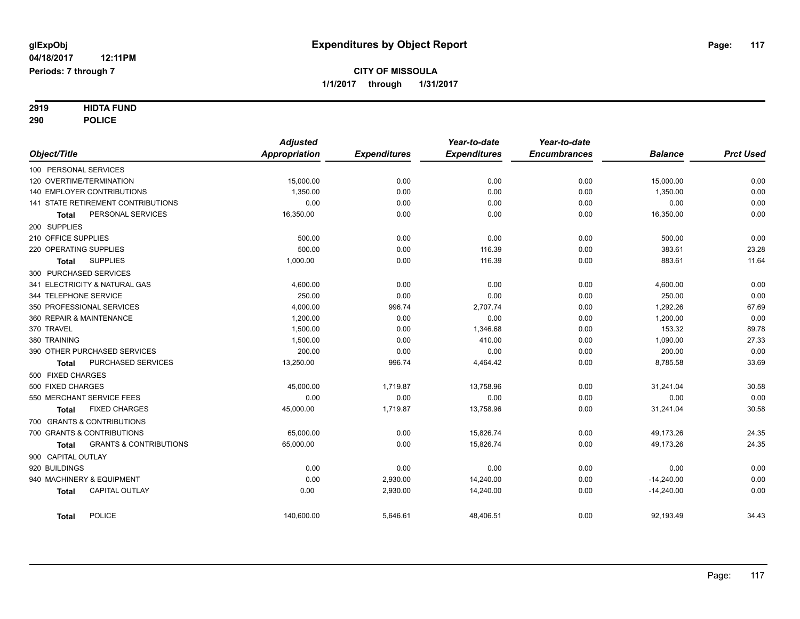# **2919 HIDTA FUND**

**290 POLICE**

|                                            | <b>Adjusted</b> |                     | Year-to-date        | Year-to-date        |                |                  |
|--------------------------------------------|-----------------|---------------------|---------------------|---------------------|----------------|------------------|
| Object/Title                               | Appropriation   | <b>Expenditures</b> | <b>Expenditures</b> | <b>Encumbrances</b> | <b>Balance</b> | <b>Prct Used</b> |
| 100 PERSONAL SERVICES                      |                 |                     |                     |                     |                |                  |
| 120 OVERTIME/TERMINATION                   | 15,000.00       | 0.00                | 0.00                | 0.00                | 15,000.00      | 0.00             |
| <b>140 EMPLOYER CONTRIBUTIONS</b>          | 1.350.00        | 0.00                | 0.00                | 0.00                | 1,350.00       | 0.00             |
| 141 STATE RETIREMENT CONTRIBUTIONS         | 0.00            | 0.00                | 0.00                | 0.00                | 0.00           | 0.00             |
| PERSONAL SERVICES<br><b>Total</b>          | 16,350.00       | 0.00                | 0.00                | 0.00                | 16,350.00      | 0.00             |
| 200 SUPPLIES                               |                 |                     |                     |                     |                |                  |
| 210 OFFICE SUPPLIES                        | 500.00          | 0.00                | 0.00                | 0.00                | 500.00         | 0.00             |
| 220 OPERATING SUPPLIES                     | 500.00          | 0.00                | 116.39              | 0.00                | 383.61         | 23.28            |
| <b>SUPPLIES</b><br><b>Total</b>            | 1,000.00        | 0.00                | 116.39              | 0.00                | 883.61         | 11.64            |
| 300 PURCHASED SERVICES                     |                 |                     |                     |                     |                |                  |
| 341 ELECTRICITY & NATURAL GAS              | 4,600.00        | 0.00                | 0.00                | 0.00                | 4,600.00       | 0.00             |
| 344 TELEPHONE SERVICE                      | 250.00          | 0.00                | 0.00                | 0.00                | 250.00         | 0.00             |
| 350 PROFESSIONAL SERVICES                  | 4,000.00        | 996.74              | 2,707.74            | 0.00                | 1,292.26       | 67.69            |
| 360 REPAIR & MAINTENANCE                   | 1,200.00        | 0.00                | 0.00                | 0.00                | 1,200.00       | 0.00             |
| 370 TRAVEL                                 | 1,500.00        | 0.00                | 1,346.68            | 0.00                | 153.32         | 89.78            |
| 380 TRAINING                               | 1,500.00        | 0.00                | 410.00              | 0.00                | 1,090.00       | 27.33            |
| 390 OTHER PURCHASED SERVICES               | 200.00          | 0.00                | 0.00                | 0.00                | 200.00         | 0.00             |
| PURCHASED SERVICES<br><b>Total</b>         | 13,250.00       | 996.74              | 4,464.42            | 0.00                | 8,785.58       | 33.69            |
| 500 FIXED CHARGES                          |                 |                     |                     |                     |                |                  |
| 500 FIXED CHARGES                          | 45,000.00       | 1,719.87            | 13,758.96           | 0.00                | 31,241.04      | 30.58            |
| 550 MERCHANT SERVICE FEES                  | 0.00            | 0.00                | 0.00                | 0.00                | 0.00           | 0.00             |
| <b>FIXED CHARGES</b><br><b>Total</b>       | 45,000.00       | 1,719.87            | 13,758.96           | 0.00                | 31,241.04      | 30.58            |
| 700 GRANTS & CONTRIBUTIONS                 |                 |                     |                     |                     |                |                  |
| 700 GRANTS & CONTRIBUTIONS                 | 65,000.00       | 0.00                | 15,826.74           | 0.00                | 49,173.26      | 24.35            |
| <b>GRANTS &amp; CONTRIBUTIONS</b><br>Total | 65,000.00       | 0.00                | 15,826.74           | 0.00                | 49,173.26      | 24.35            |
| 900 CAPITAL OUTLAY                         |                 |                     |                     |                     |                |                  |
| 920 BUILDINGS                              | 0.00            | 0.00                | 0.00                | 0.00                | 0.00           | 0.00             |
| 940 MACHINERY & EQUIPMENT                  | 0.00            | 2,930.00            | 14,240.00           | 0.00                | $-14,240.00$   | 0.00             |
| <b>CAPITAL OUTLAY</b><br><b>Total</b>      | 0.00            | 2,930.00            | 14,240.00           | 0.00                | $-14,240.00$   | 0.00             |
| <b>POLICE</b><br><b>Total</b>              | 140,600.00      | 5,646.61            | 48,406.51           | 0.00                | 92,193.49      | 34.43            |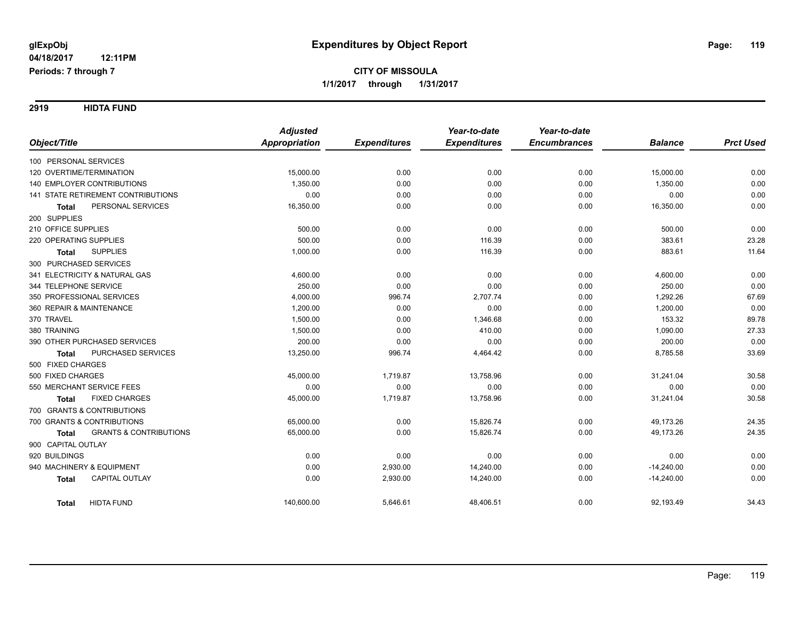**2919 HIDTA FUND**

|                                                   | <b>Adjusted</b>      |                     | Year-to-date        | Year-to-date        |                |                  |
|---------------------------------------------------|----------------------|---------------------|---------------------|---------------------|----------------|------------------|
| Object/Title                                      | <b>Appropriation</b> | <b>Expenditures</b> | <b>Expenditures</b> | <b>Encumbrances</b> | <b>Balance</b> | <b>Prct Used</b> |
| 100 PERSONAL SERVICES                             |                      |                     |                     |                     |                |                  |
| 120 OVERTIME/TERMINATION                          | 15,000.00            | 0.00                | 0.00                | 0.00                | 15,000.00      | 0.00             |
| 140 EMPLOYER CONTRIBUTIONS                        | 1,350.00             | 0.00                | 0.00                | 0.00                | 1,350.00       | 0.00             |
| 141 STATE RETIREMENT CONTRIBUTIONS                | 0.00                 | 0.00                | 0.00                | 0.00                | 0.00           | 0.00             |
| PERSONAL SERVICES<br><b>Total</b>                 | 16,350.00            | 0.00                | 0.00                | 0.00                | 16,350.00      | 0.00             |
| 200 SUPPLIES                                      |                      |                     |                     |                     |                |                  |
| 210 OFFICE SUPPLIES                               | 500.00               | 0.00                | 0.00                | 0.00                | 500.00         | 0.00             |
| 220 OPERATING SUPPLIES                            | 500.00               | 0.00                | 116.39              | 0.00                | 383.61         | 23.28            |
| <b>SUPPLIES</b><br><b>Total</b>                   | 1,000.00             | 0.00                | 116.39              | 0.00                | 883.61         | 11.64            |
| 300 PURCHASED SERVICES                            |                      |                     |                     |                     |                |                  |
| 341 ELECTRICITY & NATURAL GAS                     | 4,600.00             | 0.00                | 0.00                | 0.00                | 4,600.00       | 0.00             |
| 344 TELEPHONE SERVICE                             | 250.00               | 0.00                | 0.00                | 0.00                | 250.00         | 0.00             |
| 350 PROFESSIONAL SERVICES                         | 4,000.00             | 996.74              | 2,707.74            | 0.00                | 1,292.26       | 67.69            |
| 360 REPAIR & MAINTENANCE                          | 1,200.00             | 0.00                | 0.00                | 0.00                | 1,200.00       | 0.00             |
| 370 TRAVEL                                        | 1,500.00             | 0.00                | 1,346.68            | 0.00                | 153.32         | 89.78            |
| 380 TRAINING                                      | 1,500.00             | 0.00                | 410.00              | 0.00                | 1,090.00       | 27.33            |
| 390 OTHER PURCHASED SERVICES                      | 200.00               | 0.00                | 0.00                | 0.00                | 200.00         | 0.00             |
| PURCHASED SERVICES<br><b>Total</b>                | 13,250.00            | 996.74              | 4,464.42            | 0.00                | 8,785.58       | 33.69            |
| 500 FIXED CHARGES                                 |                      |                     |                     |                     |                |                  |
| 500 FIXED CHARGES                                 | 45,000.00            | 1,719.87            | 13,758.96           | 0.00                | 31,241.04      | 30.58            |
| 550 MERCHANT SERVICE FEES                         | 0.00                 | 0.00                | 0.00                | 0.00                | 0.00           | 0.00             |
| <b>FIXED CHARGES</b><br><b>Total</b>              | 45,000.00            | 1,719.87            | 13,758.96           | 0.00                | 31,241.04      | 30.58            |
| 700 GRANTS & CONTRIBUTIONS                        |                      |                     |                     |                     |                |                  |
| 700 GRANTS & CONTRIBUTIONS                        | 65,000.00            | 0.00                | 15,826.74           | 0.00                | 49,173.26      | 24.35            |
| <b>GRANTS &amp; CONTRIBUTIONS</b><br><b>Total</b> | 65,000.00            | 0.00                | 15,826.74           | 0.00                | 49,173.26      | 24.35            |
| 900 CAPITAL OUTLAY                                |                      |                     |                     |                     |                |                  |
| 920 BUILDINGS                                     | 0.00                 | 0.00                | 0.00                | 0.00                | 0.00           | 0.00             |
| 940 MACHINERY & EQUIPMENT                         | 0.00                 | 2,930.00            | 14,240.00           | 0.00                | $-14,240.00$   | 0.00             |
| CAPITAL OUTLAY<br><b>Total</b>                    | 0.00                 | 2,930.00            | 14,240.00           | 0.00                | $-14,240.00$   | 0.00             |
| <b>HIDTA FUND</b><br><b>Total</b>                 | 140,600.00           | 5,646.61            | 48,406.51           | 0.00                | 92,193.49      | 34.43            |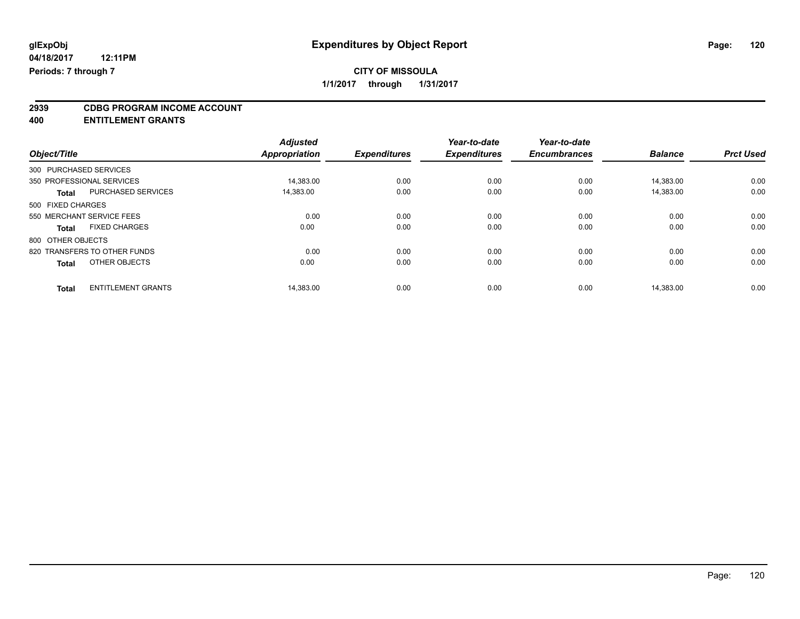# **2939 CDBG PROGRAM INCOME ACCOUNT**

**400 ENTITLEMENT GRANTS**

|                        |                              | <b>Adjusted</b>      |                     | Year-to-date        | Year-to-date        |                |                  |
|------------------------|------------------------------|----------------------|---------------------|---------------------|---------------------|----------------|------------------|
| Object/Title           |                              | <b>Appropriation</b> | <b>Expenditures</b> | <b>Expenditures</b> | <b>Encumbrances</b> | <b>Balance</b> | <b>Prct Used</b> |
| 300 PURCHASED SERVICES |                              |                      |                     |                     |                     |                |                  |
|                        | 350 PROFESSIONAL SERVICES    | 14,383.00            | 0.00                | 0.00                | 0.00                | 14,383.00      | 0.00             |
| <b>Total</b>           | PURCHASED SERVICES           | 14,383.00            | 0.00                | 0.00                | 0.00                | 14,383.00      | 0.00             |
| 500 FIXED CHARGES      |                              |                      |                     |                     |                     |                |                  |
|                        | 550 MERCHANT SERVICE FEES    | 0.00                 | 0.00                | 0.00                | 0.00                | 0.00           | 0.00             |
| <b>Total</b>           | <b>FIXED CHARGES</b>         | 0.00                 | 0.00                | 0.00                | 0.00                | 0.00           | 0.00             |
| 800 OTHER OBJECTS      |                              |                      |                     |                     |                     |                |                  |
|                        | 820 TRANSFERS TO OTHER FUNDS | 0.00                 | 0.00                | 0.00                | 0.00                | 0.00           | 0.00             |
| <b>Total</b>           | OTHER OBJECTS                | 0.00                 | 0.00                | 0.00                | 0.00                | 0.00           | 0.00             |
| <b>Total</b>           | <b>ENTITLEMENT GRANTS</b>    | 14.383.00            | 0.00                | 0.00                | 0.00                | 14.383.00      | 0.00             |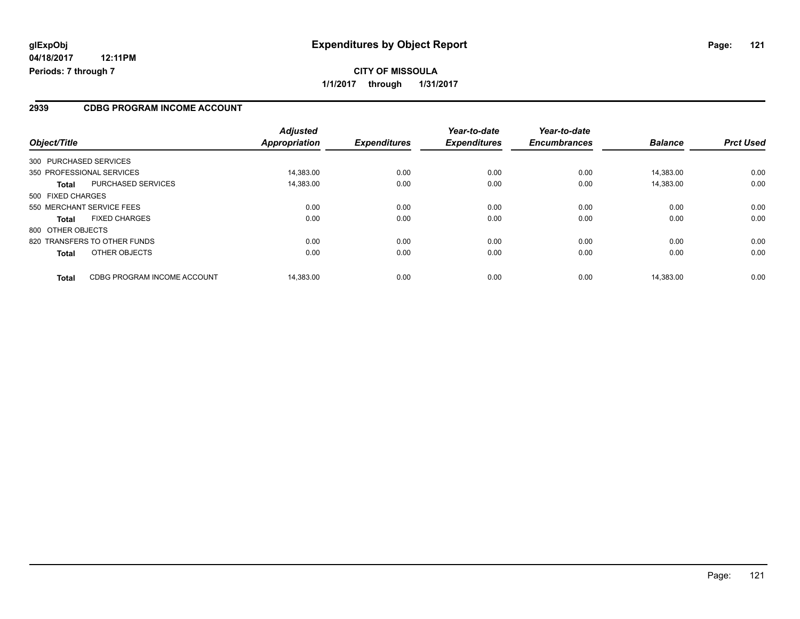#### **2939 CDBG PROGRAM INCOME ACCOUNT**

| Object/Title                                | <b>Adjusted</b><br>Appropriation | <b>Expenditures</b> | Year-to-date<br><b>Expenditures</b> | Year-to-date<br><b>Encumbrances</b> | <b>Balance</b> | <b>Prct Used</b> |
|---------------------------------------------|----------------------------------|---------------------|-------------------------------------|-------------------------------------|----------------|------------------|
| 300 PURCHASED SERVICES                      |                                  |                     |                                     |                                     |                |                  |
| 350 PROFESSIONAL SERVICES                   | 14.383.00                        | 0.00                | 0.00                                | 0.00                                | 14.383.00      | 0.00             |
| <b>PURCHASED SERVICES</b><br><b>Total</b>   | 14,383.00                        | 0.00                | 0.00                                | 0.00                                | 14,383.00      | 0.00             |
| 500 FIXED CHARGES                           |                                  |                     |                                     |                                     |                |                  |
| 550 MERCHANT SERVICE FEES                   | 0.00                             | 0.00                | 0.00                                | 0.00                                | 0.00           | 0.00             |
| <b>FIXED CHARGES</b><br><b>Total</b>        | 0.00                             | 0.00                | 0.00                                | 0.00                                | 0.00           | 0.00             |
| 800 OTHER OBJECTS                           |                                  |                     |                                     |                                     |                |                  |
| 820 TRANSFERS TO OTHER FUNDS                | 0.00                             | 0.00                | 0.00                                | 0.00                                | 0.00           | 0.00             |
| OTHER OBJECTS<br><b>Total</b>               | 0.00                             | 0.00                | 0.00                                | 0.00                                | 0.00           | 0.00             |
| CDBG PROGRAM INCOME ACCOUNT<br><b>Total</b> | 14.383.00                        | 0.00                | 0.00                                | 0.00                                | 14.383.00      | 0.00             |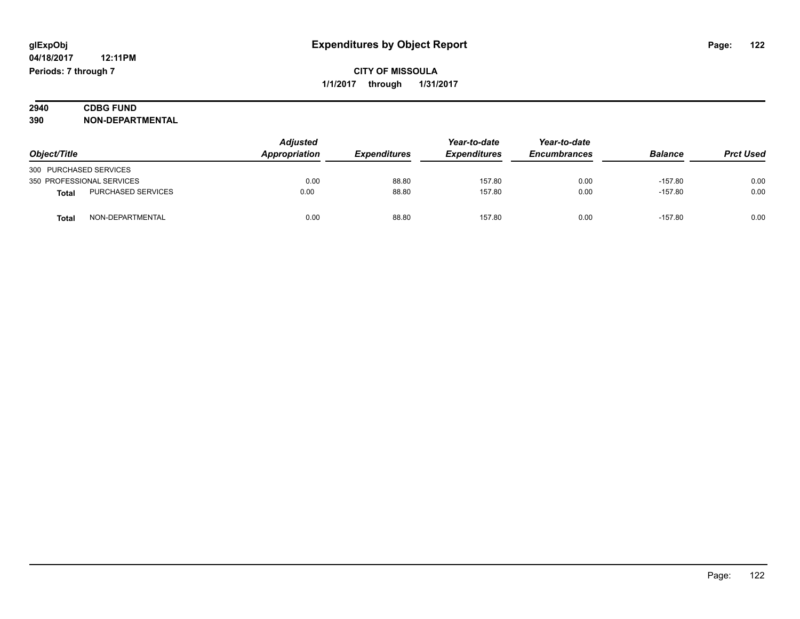| 2940 | <b>CDBG FUND</b>        |  |
|------|-------------------------|--|
| 390  | <b>NON-DEPARTMENTAL</b> |  |

| Object/Title              |                           | <b>Adjusted</b><br>Appropriation | <b>Expenditures</b> | Year-to-date<br><b>Expenditures</b> | Year-to-date<br><b>Encumbrances</b> | <b>Balance</b> | <b>Prct Used</b> |
|---------------------------|---------------------------|----------------------------------|---------------------|-------------------------------------|-------------------------------------|----------------|------------------|
| 300 PURCHASED SERVICES    |                           |                                  |                     |                                     |                                     |                |                  |
| 350 PROFESSIONAL SERVICES |                           | 0.00                             | 88.80               | 157.80                              | 0.00                                | $-157.80$      | 0.00             |
| <b>Total</b>              | <b>PURCHASED SERVICES</b> | 0.00                             | 88.80               | 157.80                              | 0.00                                | $-157.80$      | 0.00             |
| Tota                      | NON-DEPARTMENTAL          | 0.00                             | 88.80               | 157.80                              | 0.00                                | $-157.80$      | 0.00             |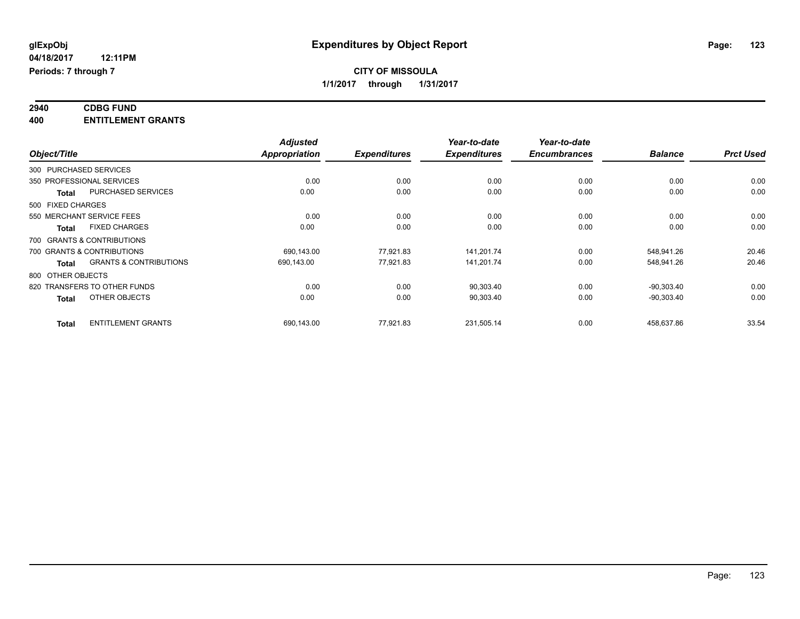#### **2940 CDBG FUND 400 ENTITLEMENT GRANTS**

|              |                                                   | <b>Adjusted</b> |                     | Year-to-date        | Year-to-date        |                |                  |
|--------------|---------------------------------------------------|-----------------|---------------------|---------------------|---------------------|----------------|------------------|
| Object/Title |                                                   | Appropriation   | <b>Expenditures</b> | <b>Expenditures</b> | <b>Encumbrances</b> | <b>Balance</b> | <b>Prct Used</b> |
|              | 300 PURCHASED SERVICES                            |                 |                     |                     |                     |                |                  |
|              | 350 PROFESSIONAL SERVICES                         | 0.00            | 0.00                | 0.00                | 0.00                | 0.00           | 0.00             |
|              | PURCHASED SERVICES<br>Total                       | 0.00            | 0.00                | 0.00                | 0.00                | 0.00           | 0.00             |
|              | 500 FIXED CHARGES                                 |                 |                     |                     |                     |                |                  |
|              | 550 MERCHANT SERVICE FEES                         | 0.00            | 0.00                | 0.00                | 0.00                | 0.00           | 0.00             |
|              | <b>FIXED CHARGES</b><br><b>Total</b>              | 0.00            | 0.00                | 0.00                | 0.00                | 0.00           | 0.00             |
|              | 700 GRANTS & CONTRIBUTIONS                        |                 |                     |                     |                     |                |                  |
|              | 700 GRANTS & CONTRIBUTIONS                        | 690,143.00      | 77,921.83           | 141,201.74          | 0.00                | 548,941.26     | 20.46            |
|              | <b>GRANTS &amp; CONTRIBUTIONS</b><br><b>Total</b> | 690.143.00      | 77.921.83           | 141,201.74          | 0.00                | 548,941.26     | 20.46            |
|              | 800 OTHER OBJECTS                                 |                 |                     |                     |                     |                |                  |
|              | 820 TRANSFERS TO OTHER FUNDS                      | 0.00            | 0.00                | 90,303.40           | 0.00                | $-90,303.40$   | 0.00             |
|              | OTHER OBJECTS<br><b>Total</b>                     | 0.00            | 0.00                | 90,303.40           | 0.00                | $-90,303.40$   | 0.00             |
|              | <b>ENTITLEMENT GRANTS</b><br><b>Total</b>         | 690,143.00      | 77,921.83           | 231,505.14          | 0.00                | 458,637.86     | 33.54            |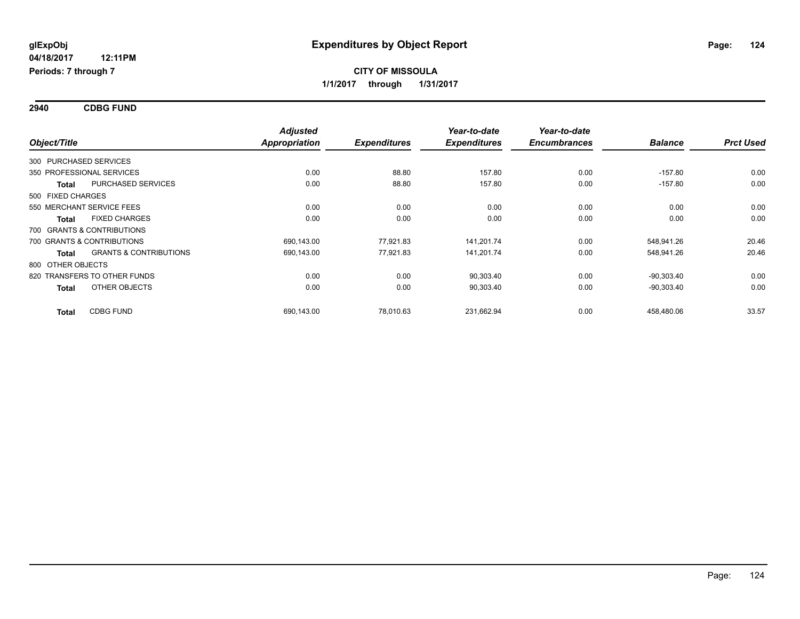**2940 CDBG FUND**

| Object/Title      |                                   | <b>Adjusted</b><br>Appropriation | <b>Expenditures</b> | Year-to-date<br><b>Expenditures</b> | Year-to-date<br><b>Encumbrances</b> | <b>Balance</b> | <b>Prct Used</b> |
|-------------------|-----------------------------------|----------------------------------|---------------------|-------------------------------------|-------------------------------------|----------------|------------------|
|                   | 300 PURCHASED SERVICES            |                                  |                     |                                     |                                     |                |                  |
|                   | 350 PROFESSIONAL SERVICES         | 0.00                             | 88.80               | 157.80                              | 0.00                                | $-157.80$      | 0.00             |
| <b>Total</b>      | PURCHASED SERVICES                | 0.00                             | 88.80               | 157.80                              | 0.00                                | $-157.80$      | 0.00             |
| 500 FIXED CHARGES |                                   |                                  |                     |                                     |                                     |                |                  |
|                   | 550 MERCHANT SERVICE FEES         | 0.00                             | 0.00                | 0.00                                | 0.00                                | 0.00           | 0.00             |
| <b>Total</b>      | <b>FIXED CHARGES</b>              | 0.00                             | 0.00                | 0.00                                | 0.00                                | 0.00           | 0.00             |
|                   | 700 GRANTS & CONTRIBUTIONS        |                                  |                     |                                     |                                     |                |                  |
|                   | 700 GRANTS & CONTRIBUTIONS        | 690,143.00                       | 77,921.83           | 141,201.74                          | 0.00                                | 548,941.26     | 20.46            |
| <b>Total</b>      | <b>GRANTS &amp; CONTRIBUTIONS</b> | 690,143.00                       | 77,921.83           | 141,201.74                          | 0.00                                | 548,941.26     | 20.46            |
| 800 OTHER OBJECTS |                                   |                                  |                     |                                     |                                     |                |                  |
|                   | 820 TRANSFERS TO OTHER FUNDS      | 0.00                             | 0.00                | 90,303.40                           | 0.00                                | $-90,303.40$   | 0.00             |
| <b>Total</b>      | OTHER OBJECTS                     | 0.00                             | 0.00                | 90,303.40                           | 0.00                                | $-90,303.40$   | 0.00             |
| <b>Total</b>      | <b>CDBG FUND</b>                  | 690,143.00                       | 78,010.63           | 231,662.94                          | 0.00                                | 458,480.06     | 33.57            |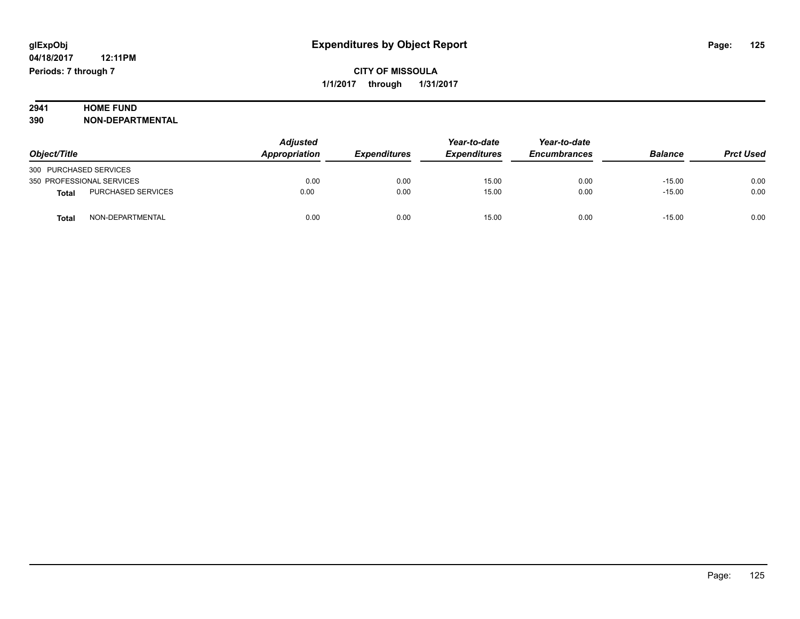# **2941 HOME FUND**<br>390 **NON-DEPART**

**390 NON-DEPARTMENTAL**

|                                    | Adjusted      |                     | Year-to-date        | Year-to-date        |                |                  |
|------------------------------------|---------------|---------------------|---------------------|---------------------|----------------|------------------|
| Object/Title                       | Appropriation | <b>Expenditures</b> | <b>Expenditures</b> | <b>Encumbrances</b> | <b>Balance</b> | <b>Prct Used</b> |
| 300 PURCHASED SERVICES             |               |                     |                     |                     |                |                  |
| 350 PROFESSIONAL SERVICES          | 0.00          | 0.00                | 15.00               | 0.00                | $-15.00$       | 0.00             |
| PURCHASED SERVICES<br><b>Total</b> | 0.00          | 0.00                | 15.00               | 0.00                | $-15.00$       | 0.00             |
| NON-DEPARTMENTAL<br><b>Total</b>   | 0.00          | 0.00                | 15.00               | 0.00                | $-15.00$       | 0.00             |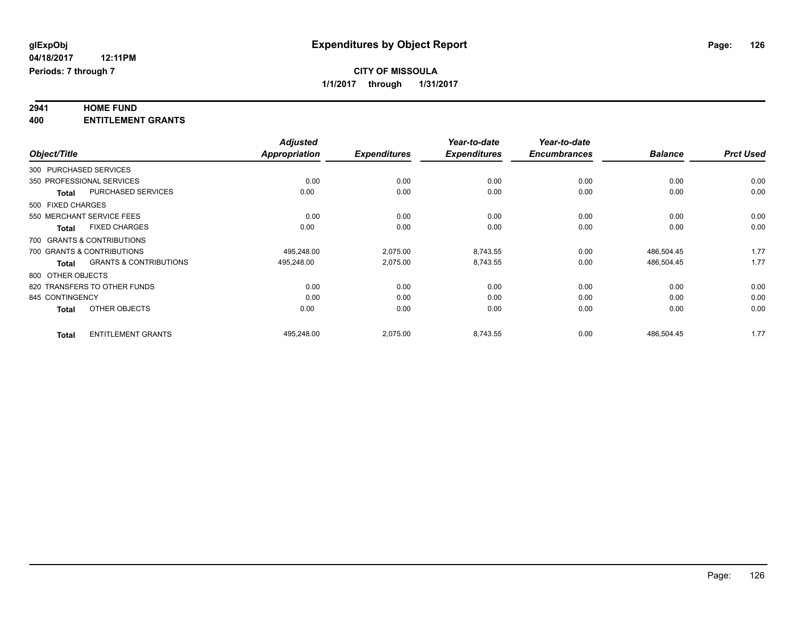# **2941 HOME FUND**

**400 ENTITLEMENT GRANTS**

|                 |                                                   | <b>Adjusted</b>      |                     | Year-to-date        | Year-to-date        |                |                  |
|-----------------|---------------------------------------------------|----------------------|---------------------|---------------------|---------------------|----------------|------------------|
| Object/Title    |                                                   | <b>Appropriation</b> | <b>Expenditures</b> | <b>Expenditures</b> | <b>Encumbrances</b> | <b>Balance</b> | <b>Prct Used</b> |
|                 | 300 PURCHASED SERVICES                            |                      |                     |                     |                     |                |                  |
|                 | 350 PROFESSIONAL SERVICES                         | 0.00                 | 0.00                | 0.00                | 0.00                | 0.00           | 0.00             |
|                 | PURCHASED SERVICES<br><b>Total</b>                | 0.00                 | 0.00                | 0.00                | 0.00                | 0.00           | 0.00             |
|                 | 500 FIXED CHARGES                                 |                      |                     |                     |                     |                |                  |
|                 | 550 MERCHANT SERVICE FEES                         | 0.00                 | 0.00                | 0.00                | 0.00                | 0.00           | 0.00             |
|                 | <b>FIXED CHARGES</b><br><b>Total</b>              | 0.00                 | 0.00                | 0.00                | 0.00                | 0.00           | 0.00             |
|                 | 700 GRANTS & CONTRIBUTIONS                        |                      |                     |                     |                     |                |                  |
|                 | 700 GRANTS & CONTRIBUTIONS                        | 495.248.00           | 2,075.00            | 8,743.55            | 0.00                | 486,504.45     | 1.77             |
|                 | <b>GRANTS &amp; CONTRIBUTIONS</b><br><b>Total</b> | 495,248.00           | 2,075.00            | 8,743.55            | 0.00                | 486,504.45     | 1.77             |
|                 | 800 OTHER OBJECTS                                 |                      |                     |                     |                     |                |                  |
|                 | 820 TRANSFERS TO OTHER FUNDS                      | 0.00                 | 0.00                | 0.00                | 0.00                | 0.00           | 0.00             |
| 845 CONTINGENCY |                                                   | 0.00                 | 0.00                | 0.00                | 0.00                | 0.00           | 0.00             |
|                 | OTHER OBJECTS<br><b>Total</b>                     | 0.00                 | 0.00                | 0.00                | 0.00                | 0.00           | 0.00             |
| <b>Total</b>    | <b>ENTITLEMENT GRANTS</b>                         | 495,248.00           | 2,075.00            | 8,743.55            | 0.00                | 486,504.45     | 1.77             |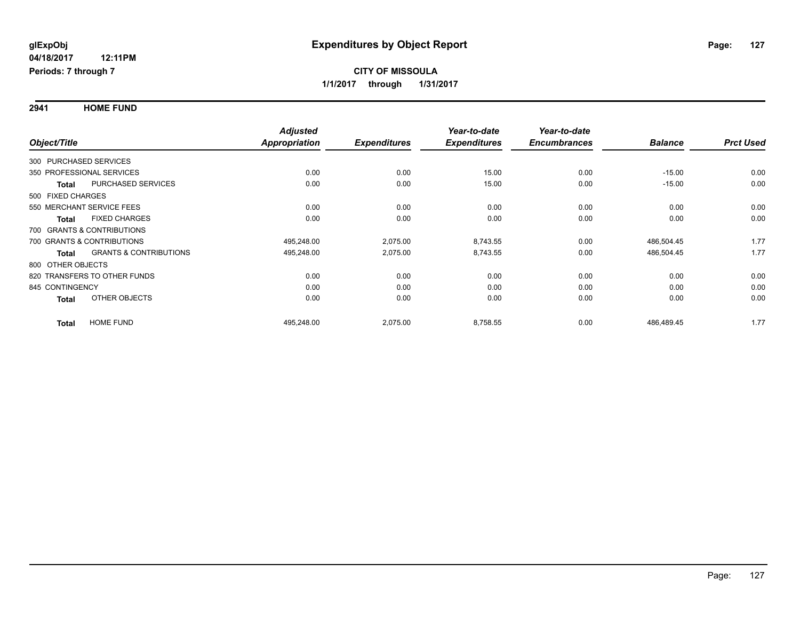**2941 HOME FUND**

|                           |                                   | <b>Adjusted</b> |                     | Year-to-date        | Year-to-date        |                |                  |
|---------------------------|-----------------------------------|-----------------|---------------------|---------------------|---------------------|----------------|------------------|
| Object/Title              |                                   | Appropriation   | <b>Expenditures</b> | <b>Expenditures</b> | <b>Encumbrances</b> | <b>Balance</b> | <b>Prct Used</b> |
| 300 PURCHASED SERVICES    |                                   |                 |                     |                     |                     |                |                  |
| 350 PROFESSIONAL SERVICES |                                   | 0.00            | 0.00                | 15.00               | 0.00                | $-15.00$       | 0.00             |
| <b>Total</b>              | <b>PURCHASED SERVICES</b>         | 0.00            | 0.00                | 15.00               | 0.00                | $-15.00$       | 0.00             |
| 500 FIXED CHARGES         |                                   |                 |                     |                     |                     |                |                  |
| 550 MERCHANT SERVICE FEES |                                   | 0.00            | 0.00                | 0.00                | 0.00                | 0.00           | 0.00             |
| <b>Total</b>              | <b>FIXED CHARGES</b>              | 0.00            | 0.00                | 0.00                | 0.00                | 0.00           | 0.00             |
|                           | 700 GRANTS & CONTRIBUTIONS        |                 |                     |                     |                     |                |                  |
|                           | 700 GRANTS & CONTRIBUTIONS        | 495,248.00      | 2,075.00            | 8,743.55            | 0.00                | 486,504.45     | 1.77             |
| <b>Total</b>              | <b>GRANTS &amp; CONTRIBUTIONS</b> | 495,248.00      | 2,075.00            | 8,743.55            | 0.00                | 486,504.45     | 1.77             |
| 800 OTHER OBJECTS         |                                   |                 |                     |                     |                     |                |                  |
|                           | 820 TRANSFERS TO OTHER FUNDS      | 0.00            | 0.00                | 0.00                | 0.00                | 0.00           | 0.00             |
| 845 CONTINGENCY           |                                   | 0.00            | 0.00                | 0.00                | 0.00                | 0.00           | 0.00             |
| <b>Total</b>              | OTHER OBJECTS                     | 0.00            | 0.00                | 0.00                | 0.00                | 0.00           | 0.00             |
| <b>Total</b>              | <b>HOME FUND</b>                  | 495,248.00      | 2,075.00            | 8,758.55            | 0.00                | 486,489.45     | 1.77             |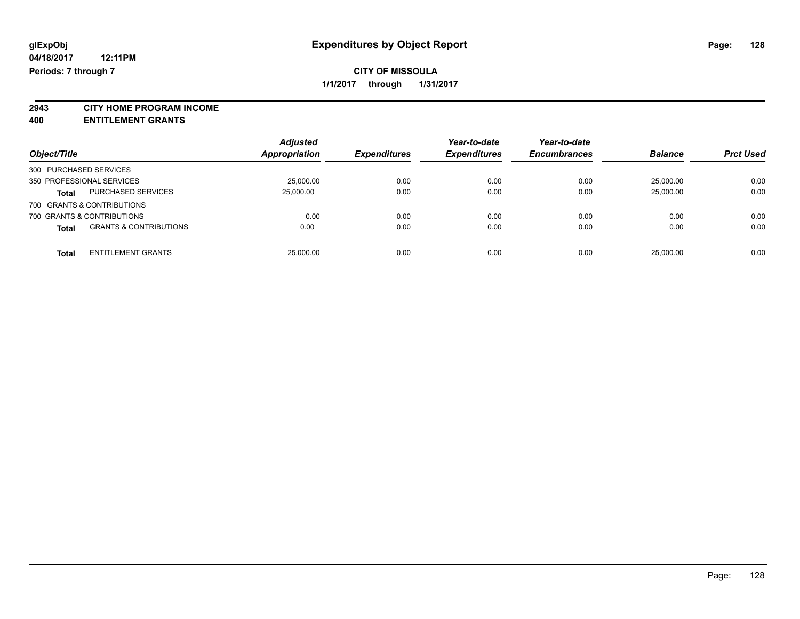**2943 CITY HOME PROGRAM INCOME**

**400 ENTITLEMENT GRANTS**

|                                                   | <b>Adjusted</b> |                            | Year-to-date        | Year-to-date        |                |                  |
|---------------------------------------------------|-----------------|----------------------------|---------------------|---------------------|----------------|------------------|
| Object/Title                                      | Appropriation   | <i><b>Expenditures</b></i> | <b>Expenditures</b> | <b>Encumbrances</b> | <b>Balance</b> | <b>Prct Used</b> |
| 300 PURCHASED SERVICES                            |                 |                            |                     |                     |                |                  |
| 350 PROFESSIONAL SERVICES                         | 25,000.00       | 0.00                       | 0.00                | 0.00                | 25.000.00      | 0.00             |
| <b>PURCHASED SERVICES</b><br><b>Total</b>         | 25,000.00       | 0.00                       | 0.00                | 0.00                | 25,000.00      | 0.00             |
| 700 GRANTS & CONTRIBUTIONS                        |                 |                            |                     |                     |                |                  |
| 700 GRANTS & CONTRIBUTIONS                        | 0.00            | 0.00                       | 0.00                | 0.00                | 0.00           | 0.00             |
| <b>GRANTS &amp; CONTRIBUTIONS</b><br><b>Total</b> | 0.00            | 0.00                       | 0.00                | 0.00                | 0.00           | 0.00             |
| <b>ENTITLEMENT GRANTS</b><br><b>Total</b>         | 25,000.00       | 0.00                       | 0.00                | 0.00                | 25.000.00      | 0.00             |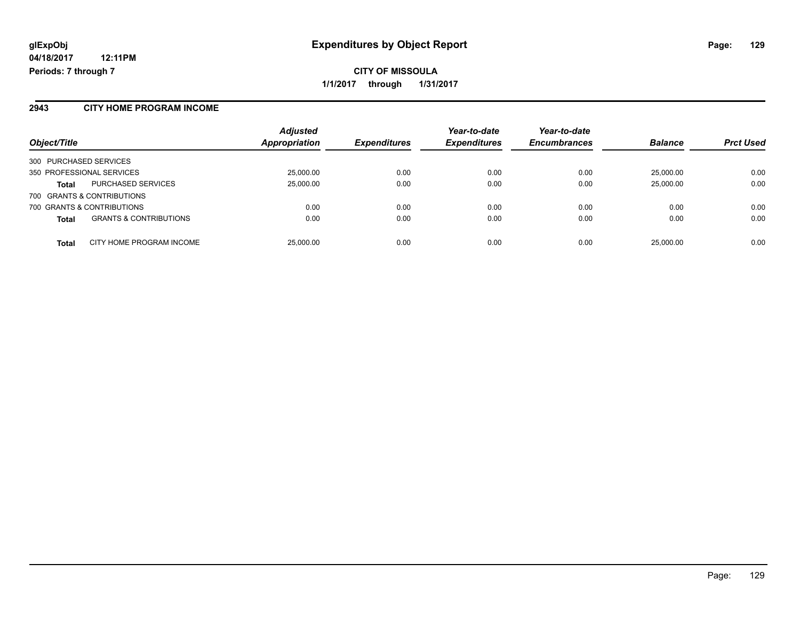#### **2943 CITY HOME PROGRAM INCOME**

| Object/Title                                      | <b>Adjusted</b><br>Appropriation | <b>Expenditures</b> | Year-to-date<br><b>Expenditures</b> | Year-to-date<br><b>Encumbrances</b> | <b>Balance</b> | <b>Prct Used</b> |
|---------------------------------------------------|----------------------------------|---------------------|-------------------------------------|-------------------------------------|----------------|------------------|
| 300 PURCHASED SERVICES                            |                                  |                     |                                     |                                     |                |                  |
| 350 PROFESSIONAL SERVICES                         | 25,000.00                        | 0.00                | 0.00                                | 0.00                                | 25,000.00      | 0.00             |
| PURCHASED SERVICES<br><b>Total</b>                | 25,000.00                        | 0.00                | 0.00                                | 0.00                                | 25,000.00      | 0.00             |
| 700 GRANTS & CONTRIBUTIONS                        |                                  |                     |                                     |                                     |                |                  |
| 700 GRANTS & CONTRIBUTIONS                        | 0.00                             | 0.00                | 0.00                                | 0.00                                | 0.00           | 0.00             |
| <b>GRANTS &amp; CONTRIBUTIONS</b><br><b>Total</b> | 0.00                             | 0.00                | 0.00                                | 0.00                                | 0.00           | 0.00             |
| CITY HOME PROGRAM INCOME<br><b>Total</b>          | 25,000.00                        | 0.00                | 0.00                                | 0.00                                | 25,000.00      | 0.00             |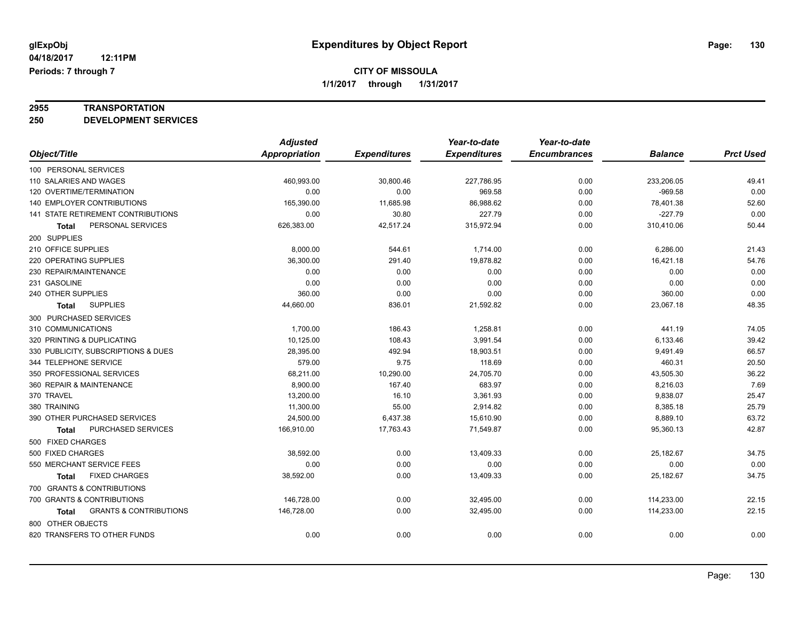# **2955 TRANSPORTATION**

**250 DEVELOPMENT SERVICES**

|                                                   | <b>Adjusted</b>      |                     | Year-to-date        | Year-to-date        |                |                  |
|---------------------------------------------------|----------------------|---------------------|---------------------|---------------------|----------------|------------------|
| Object/Title                                      | <b>Appropriation</b> | <b>Expenditures</b> | <b>Expenditures</b> | <b>Encumbrances</b> | <b>Balance</b> | <b>Prct Used</b> |
| 100 PERSONAL SERVICES                             |                      |                     |                     |                     |                |                  |
| 110 SALARIES AND WAGES                            | 460,993.00           | 30,800.46           | 227,786.95          | 0.00                | 233,206.05     | 49.41            |
| 120 OVERTIME/TERMINATION                          | 0.00                 | 0.00                | 969.58              | 0.00                | $-969.58$      | 0.00             |
| 140 EMPLOYER CONTRIBUTIONS                        | 165,390.00           | 11,685.98           | 86,988.62           | 0.00                | 78,401.38      | 52.60            |
| 141 STATE RETIREMENT CONTRIBUTIONS                | 0.00                 | 30.80               | 227.79              | 0.00                | $-227.79$      | 0.00             |
| PERSONAL SERVICES<br>Total                        | 626,383.00           | 42,517.24           | 315,972.94          | 0.00                | 310,410.06     | 50.44            |
| 200 SUPPLIES                                      |                      |                     |                     |                     |                |                  |
| 210 OFFICE SUPPLIES                               | 8,000.00             | 544.61              | 1,714.00            | 0.00                | 6,286.00       | 21.43            |
| 220 OPERATING SUPPLIES                            | 36,300.00            | 291.40              | 19,878.82           | 0.00                | 16,421.18      | 54.76            |
| 230 REPAIR/MAINTENANCE                            | 0.00                 | 0.00                | 0.00                | 0.00                | 0.00           | 0.00             |
| 231 GASOLINE                                      | 0.00                 | 0.00                | 0.00                | 0.00                | 0.00           | 0.00             |
| 240 OTHER SUPPLIES                                | 360.00               | 0.00                | 0.00                | 0.00                | 360.00         | 0.00             |
| <b>SUPPLIES</b><br>Total                          | 44,660.00            | 836.01              | 21,592.82           | 0.00                | 23,067.18      | 48.35            |
| 300 PURCHASED SERVICES                            |                      |                     |                     |                     |                |                  |
| 310 COMMUNICATIONS                                | 1,700.00             | 186.43              | 1,258.81            | 0.00                | 441.19         | 74.05            |
| 320 PRINTING & DUPLICATING                        | 10,125.00            | 108.43              | 3,991.54            | 0.00                | 6,133.46       | 39.42            |
| 330 PUBLICITY, SUBSCRIPTIONS & DUES               | 28,395.00            | 492.94              | 18,903.51           | 0.00                | 9,491.49       | 66.57            |
| 344 TELEPHONE SERVICE                             | 579.00               | 9.75                | 118.69              | 0.00                | 460.31         | 20.50            |
| 350 PROFESSIONAL SERVICES                         | 68,211.00            | 10,290.00           | 24,705.70           | 0.00                | 43,505.30      | 36.22            |
| 360 REPAIR & MAINTENANCE                          | 8,900.00             | 167.40              | 683.97              | 0.00                | 8,216.03       | 7.69             |
| 370 TRAVEL                                        | 13,200.00            | 16.10               | 3,361.93            | 0.00                | 9,838.07       | 25.47            |
| 380 TRAINING                                      | 11,300.00            | 55.00               | 2,914.82            | 0.00                | 8,385.18       | 25.79            |
| 390 OTHER PURCHASED SERVICES                      | 24,500.00            | 6,437.38            | 15,610.90           | 0.00                | 8,889.10       | 63.72            |
| PURCHASED SERVICES<br><b>Total</b>                | 166,910.00           | 17,763.43           | 71,549.87           | 0.00                | 95,360.13      | 42.87            |
| 500 FIXED CHARGES                                 |                      |                     |                     |                     |                |                  |
| 500 FIXED CHARGES                                 | 38,592.00            | 0.00                | 13,409.33           | 0.00                | 25,182.67      | 34.75            |
| 550 MERCHANT SERVICE FEES                         | 0.00                 | 0.00                | 0.00                | 0.00                | 0.00           | 0.00             |
| <b>FIXED CHARGES</b><br><b>Total</b>              | 38,592.00            | 0.00                | 13,409.33           | 0.00                | 25,182.67      | 34.75            |
| 700 GRANTS & CONTRIBUTIONS                        |                      |                     |                     |                     |                |                  |
| 700 GRANTS & CONTRIBUTIONS                        | 146,728.00           | 0.00                | 32,495.00           | 0.00                | 114,233.00     | 22.15            |
| <b>GRANTS &amp; CONTRIBUTIONS</b><br><b>Total</b> | 146,728.00           | 0.00                | 32,495.00           | 0.00                | 114,233.00     | 22.15            |
| 800 OTHER OBJECTS                                 |                      |                     |                     |                     |                |                  |
| 820 TRANSFERS TO OTHER FUNDS                      | 0.00                 | 0.00                | 0.00                | 0.00                | 0.00           | 0.00             |
|                                                   |                      |                     |                     |                     |                |                  |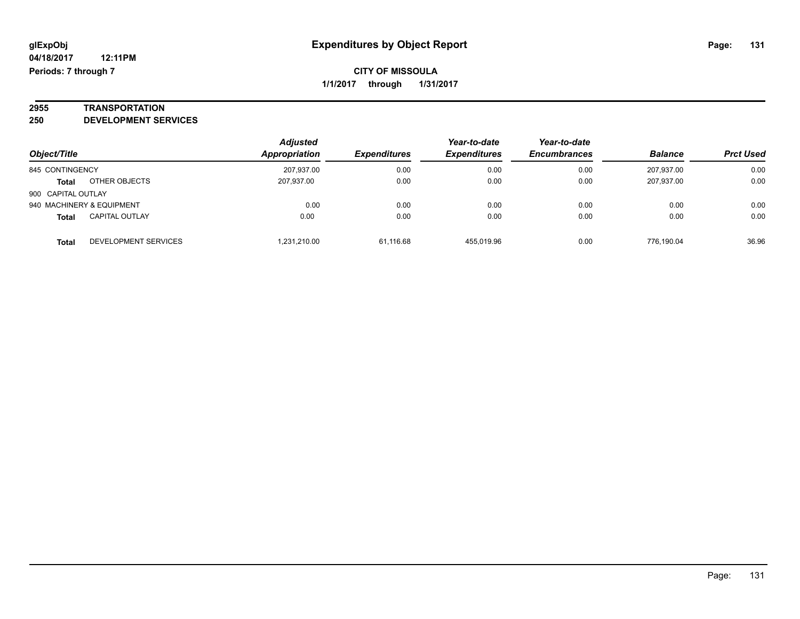# **2955 TRANSPORTATION**

**250 DEVELOPMENT SERVICES**

|                    |                             | Adjusted      |                     | Year-to-date        | Year-to-date        |                |                  |
|--------------------|-----------------------------|---------------|---------------------|---------------------|---------------------|----------------|------------------|
| Object/Title       |                             | Appropriation | <b>Expenditures</b> | <b>Expenditures</b> | <b>Encumbrances</b> | <b>Balance</b> | <b>Prct Used</b> |
| 845 CONTINGENCY    |                             | 207,937.00    | 0.00                | 0.00                | 0.00                | 207,937.00     | 0.00             |
| Total              | OTHER OBJECTS               | 207.937.00    | 0.00                | 0.00                | 0.00                | 207,937.00     | 0.00             |
| 900 CAPITAL OUTLAY |                             |               |                     |                     |                     |                |                  |
|                    | 940 MACHINERY & EQUIPMENT   | 0.00          | 0.00                | 0.00                | 0.00                | 0.00           | 0.00             |
| <b>Total</b>       | <b>CAPITAL OUTLAY</b>       | 0.00          | 0.00                | 0.00                | 0.00                | 0.00           | 0.00             |
| <b>Total</b>       | <b>DEVELOPMENT SERVICES</b> | 1.231.210.00  | 61.116.68           | 455.019.96          | 0.00                | 776.190.04     | 36.96            |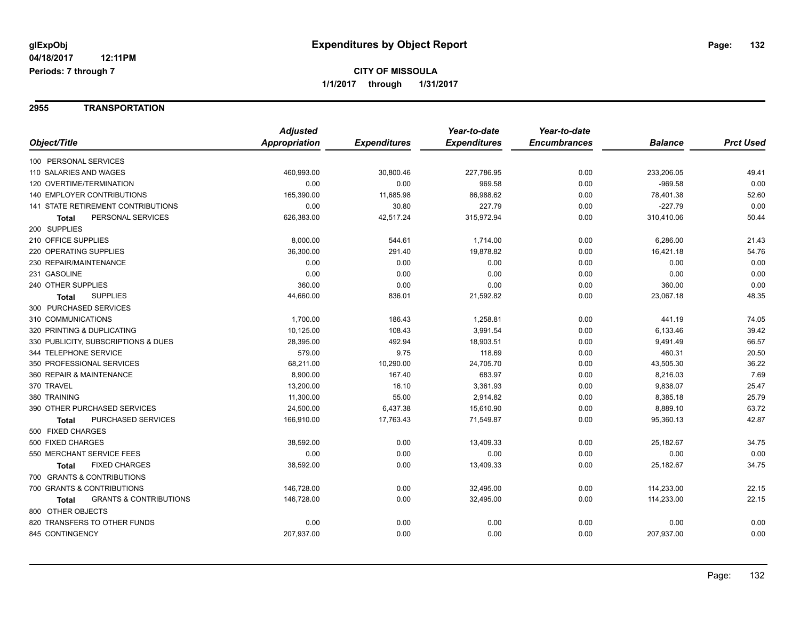#### **2955 TRANSPORTATION**

|                                            | <b>Adjusted</b> |                     | Year-to-date        | Year-to-date        |                |                  |
|--------------------------------------------|-----------------|---------------------|---------------------|---------------------|----------------|------------------|
| Object/Title                               | Appropriation   | <b>Expenditures</b> | <b>Expenditures</b> | <b>Encumbrances</b> | <b>Balance</b> | <b>Prct Used</b> |
| 100 PERSONAL SERVICES                      |                 |                     |                     |                     |                |                  |
| 110 SALARIES AND WAGES                     | 460,993.00      | 30,800.46           | 227,786.95          | 0.00                | 233,206.05     | 49.41            |
| 120 OVERTIME/TERMINATION                   | 0.00            | 0.00                | 969.58              | 0.00                | $-969.58$      | 0.00             |
| <b>140 EMPLOYER CONTRIBUTIONS</b>          | 165,390.00      | 11,685.98           | 86,988.62           | 0.00                | 78,401.38      | 52.60            |
| <b>141 STATE RETIREMENT CONTRIBUTIONS</b>  | 0.00            | 30.80               | 227.79              | 0.00                | $-227.79$      | 0.00             |
| PERSONAL SERVICES<br>Total                 | 626,383.00      | 42,517.24           | 315,972.94          | 0.00                | 310,410.06     | 50.44            |
| 200 SUPPLIES                               |                 |                     |                     |                     |                |                  |
| 210 OFFICE SUPPLIES                        | 8,000.00        | 544.61              | 1,714.00            | 0.00                | 6,286.00       | 21.43            |
| 220 OPERATING SUPPLIES                     | 36,300.00       | 291.40              | 19,878.82           | 0.00                | 16,421.18      | 54.76            |
| 230 REPAIR/MAINTENANCE                     | 0.00            | 0.00                | 0.00                | 0.00                | 0.00           | 0.00             |
| 231 GASOLINE                               | 0.00            | 0.00                | 0.00                | 0.00                | 0.00           | 0.00             |
| 240 OTHER SUPPLIES                         | 360.00          | 0.00                | 0.00                | 0.00                | 360.00         | 0.00             |
| <b>SUPPLIES</b><br><b>Total</b>            | 44,660.00       | 836.01              | 21,592.82           | 0.00                | 23,067.18      | 48.35            |
| 300 PURCHASED SERVICES                     |                 |                     |                     |                     |                |                  |
| 310 COMMUNICATIONS                         | 1,700.00        | 186.43              | 1,258.81            | 0.00                | 441.19         | 74.05            |
| 320 PRINTING & DUPLICATING                 | 10,125.00       | 108.43              | 3,991.54            | 0.00                | 6,133.46       | 39.42            |
| 330 PUBLICITY, SUBSCRIPTIONS & DUES        | 28,395.00       | 492.94              | 18,903.51           | 0.00                | 9,491.49       | 66.57            |
| 344 TELEPHONE SERVICE                      | 579.00          | 9.75                | 118.69              | 0.00                | 460.31         | 20.50            |
| 350 PROFESSIONAL SERVICES                  | 68,211.00       | 10,290.00           | 24,705.70           | 0.00                | 43,505.30      | 36.22            |
| 360 REPAIR & MAINTENANCE                   | 8,900.00        | 167.40              | 683.97              | 0.00                | 8,216.03       | 7.69             |
| 370 TRAVEL                                 | 13,200.00       | 16.10               | 3,361.93            | 0.00                | 9,838.07       | 25.47            |
| 380 TRAINING                               | 11,300.00       | 55.00               | 2,914.82            | 0.00                | 8,385.18       | 25.79            |
| 390 OTHER PURCHASED SERVICES               | 24,500.00       | 6,437.38            | 15,610.90           | 0.00                | 8,889.10       | 63.72            |
| PURCHASED SERVICES<br>Total                | 166,910.00      | 17,763.43           | 71,549.87           | 0.00                | 95,360.13      | 42.87            |
| 500 FIXED CHARGES                          |                 |                     |                     |                     |                |                  |
| 500 FIXED CHARGES                          | 38,592.00       | 0.00                | 13,409.33           | 0.00                | 25,182.67      | 34.75            |
| 550 MERCHANT SERVICE FEES                  | 0.00            | 0.00                | 0.00                | 0.00                | 0.00           | 0.00             |
| <b>FIXED CHARGES</b><br>Total              | 38,592.00       | 0.00                | 13,409.33           | 0.00                | 25,182.67      | 34.75            |
| 700 GRANTS & CONTRIBUTIONS                 |                 |                     |                     |                     |                |                  |
| 700 GRANTS & CONTRIBUTIONS                 | 146,728.00      | 0.00                | 32,495.00           | 0.00                | 114,233.00     | 22.15            |
| <b>GRANTS &amp; CONTRIBUTIONS</b><br>Total | 146,728.00      | 0.00                | 32,495.00           | 0.00                | 114,233.00     | 22.15            |
| 800 OTHER OBJECTS                          |                 |                     |                     |                     |                |                  |
| 820 TRANSFERS TO OTHER FUNDS               | 0.00            | 0.00                | 0.00                | 0.00                | 0.00           | 0.00             |
| 845 CONTINGENCY                            | 207,937.00      | 0.00                | 0.00                | 0.00                | 207,937.00     | 0.00             |
|                                            |                 |                     |                     |                     |                |                  |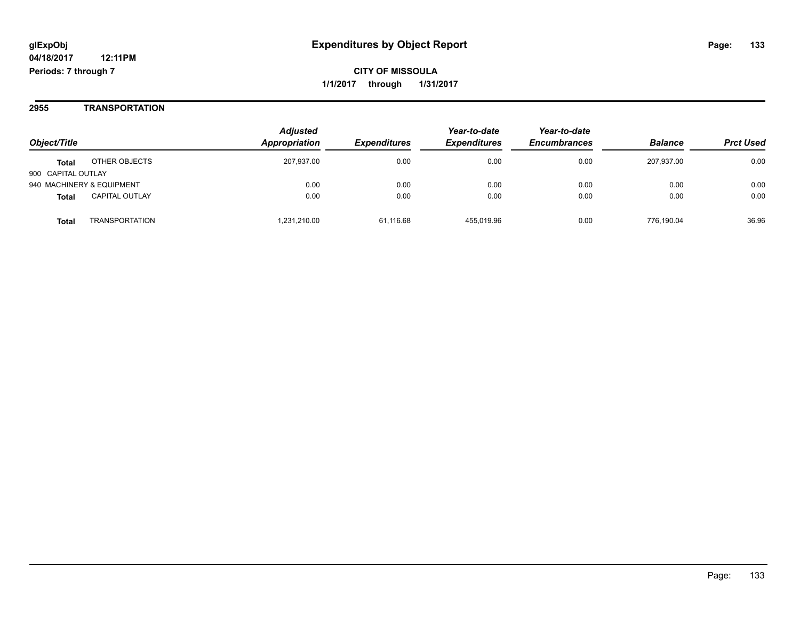**CITY OF MISSOULA 1/1/2017 through 1/31/2017**

#### **2955 TRANSPORTATION**

| Object/Title                          | <b>Adjusted</b><br>Appropriation | <i><b>Expenditures</b></i> | Year-to-date<br><b>Expenditures</b> | Year-to-date<br><b>Encumbrances</b> | <b>Balance</b> | <b>Prct Used</b> |
|---------------------------------------|----------------------------------|----------------------------|-------------------------------------|-------------------------------------|----------------|------------------|
| OTHER OBJECTS<br><b>Total</b>         | 207,937.00                       | 0.00                       | 0.00                                | 0.00                                | 207.937.00     | 0.00             |
| 900 CAPITAL OUTLAY                    |                                  |                            |                                     |                                     |                |                  |
| 940 MACHINERY & EQUIPMENT             | 0.00                             | 0.00                       | 0.00                                | 0.00                                | 0.00           | 0.00             |
| <b>CAPITAL OUTLAY</b><br><b>Total</b> | 0.00                             | 0.00                       | 0.00                                | 0.00                                | 0.00           | 0.00             |
| TRANSPORTATION<br>Total               | 1.231.210.00                     | 61,116.68                  | 455.019.96                          | 0.00                                | 776.190.04     | 36.96            |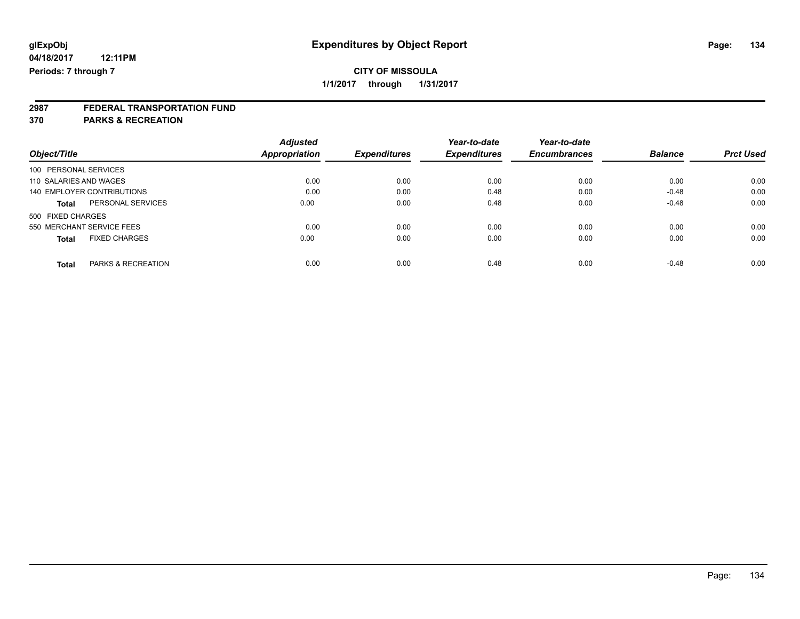# **2987 FEDERAL TRANSPORTATION FUND**

**370 PARKS & RECREATION**

|                                               | <b>Adjusted</b> |                     | Year-to-date        | Year-to-date        |                |                  |
|-----------------------------------------------|-----------------|---------------------|---------------------|---------------------|----------------|------------------|
| Object/Title                                  | Appropriation   | <b>Expenditures</b> | <b>Expenditures</b> | <b>Encumbrances</b> | <b>Balance</b> | <b>Prct Used</b> |
| 100 PERSONAL SERVICES                         |                 |                     |                     |                     |                |                  |
| 110 SALARIES AND WAGES                        | 0.00            | 0.00                | 0.00                | 0.00                | 0.00           | 0.00             |
| 140 EMPLOYER CONTRIBUTIONS                    | 0.00            | 0.00                | 0.48                | 0.00                | $-0.48$        | 0.00             |
| PERSONAL SERVICES<br><b>Total</b>             | 0.00            | 0.00                | 0.48                | 0.00                | $-0.48$        | 0.00             |
| 500 FIXED CHARGES                             |                 |                     |                     |                     |                |                  |
| 550 MERCHANT SERVICE FEES                     | 0.00            | 0.00                | 0.00                | 0.00                | 0.00           | 0.00             |
| <b>FIXED CHARGES</b><br><b>Total</b>          | 0.00            | 0.00                | 0.00                | 0.00                | 0.00           | 0.00             |
| <b>PARKS &amp; RECREATION</b><br><b>Total</b> | 0.00            | 0.00                | 0.48                | 0.00                | $-0.48$        | 0.00             |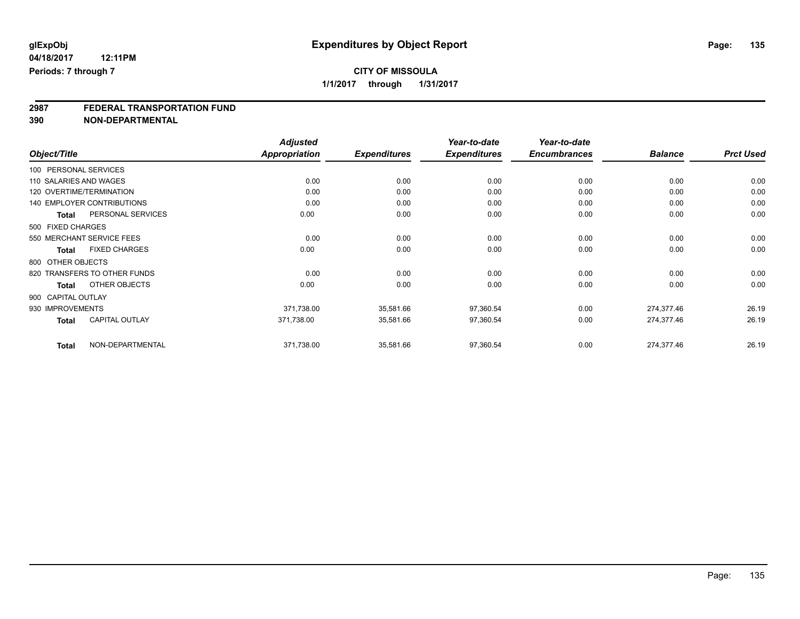# **2987 FEDERAL TRANSPORTATION FUND**

**390 NON-DEPARTMENTAL**

|                                      | <b>Adjusted</b>      |                     | Year-to-date        | Year-to-date        |                |                  |
|--------------------------------------|----------------------|---------------------|---------------------|---------------------|----------------|------------------|
| Object/Title                         | <b>Appropriation</b> | <b>Expenditures</b> | <b>Expenditures</b> | <b>Encumbrances</b> | <b>Balance</b> | <b>Prct Used</b> |
| 100 PERSONAL SERVICES                |                      |                     |                     |                     |                |                  |
| 110 SALARIES AND WAGES               | 0.00                 | 0.00                | 0.00                | 0.00                | 0.00           | 0.00             |
| 120 OVERTIME/TERMINATION             | 0.00                 | 0.00                | 0.00                | 0.00                | 0.00           | 0.00             |
| <b>140 EMPLOYER CONTRIBUTIONS</b>    | 0.00                 | 0.00                | 0.00                | 0.00                | 0.00           | 0.00             |
| PERSONAL SERVICES<br>Total           | 0.00                 | 0.00                | 0.00                | 0.00                | 0.00           | 0.00             |
| 500 FIXED CHARGES                    |                      |                     |                     |                     |                |                  |
| 550 MERCHANT SERVICE FEES            | 0.00                 | 0.00                | 0.00                | 0.00                | 0.00           | 0.00             |
| <b>FIXED CHARGES</b><br><b>Total</b> | 0.00                 | 0.00                | 0.00                | 0.00                | 0.00           | 0.00             |
| 800 OTHER OBJECTS                    |                      |                     |                     |                     |                |                  |
| 820 TRANSFERS TO OTHER FUNDS         | 0.00                 | 0.00                | 0.00                | 0.00                | 0.00           | 0.00             |
| OTHER OBJECTS<br><b>Total</b>        | 0.00                 | 0.00                | 0.00                | 0.00                | 0.00           | 0.00             |
| 900 CAPITAL OUTLAY                   |                      |                     |                     |                     |                |                  |
| 930 IMPROVEMENTS                     | 371,738.00           | 35,581.66           | 97,360.54           | 0.00                | 274,377.46     | 26.19            |
| CAPITAL OUTLAY<br><b>Total</b>       | 371,738.00           | 35,581.66           | 97,360.54           | 0.00                | 274,377.46     | 26.19            |
| NON-DEPARTMENTAL<br><b>Total</b>     | 371,738.00           | 35,581.66           | 97,360.54           | 0.00                | 274,377.46     | 26.19            |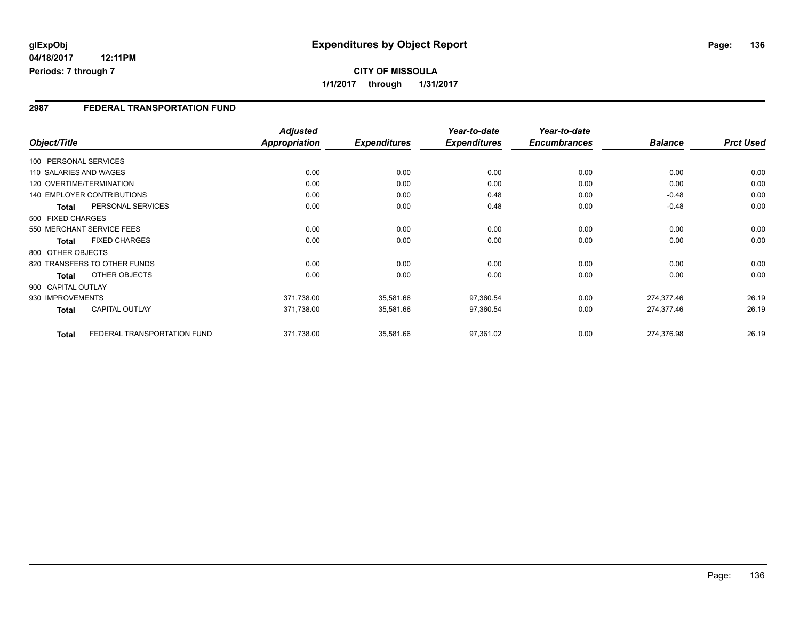### **2987 FEDERAL TRANSPORTATION FUND**

| Object/Title       |                                   | <b>Adjusted</b><br>Appropriation | <b>Expenditures</b> | Year-to-date<br><b>Expenditures</b> | Year-to-date<br><b>Encumbrances</b> | <b>Balance</b> | <b>Prct Used</b> |
|--------------------|-----------------------------------|----------------------------------|---------------------|-------------------------------------|-------------------------------------|----------------|------------------|
|                    | 100 PERSONAL SERVICES             |                                  |                     |                                     |                                     |                |                  |
|                    | 110 SALARIES AND WAGES            | 0.00                             | 0.00                | 0.00                                | 0.00                                | 0.00           | 0.00             |
|                    | 120 OVERTIME/TERMINATION          | 0.00                             | 0.00                | 0.00                                | 0.00                                | 0.00           | 0.00             |
|                    | <b>140 EMPLOYER CONTRIBUTIONS</b> | 0.00                             | 0.00                | 0.48                                | 0.00                                | $-0.48$        | 0.00             |
| <b>Total</b>       | PERSONAL SERVICES                 | 0.00                             | 0.00                | 0.48                                | 0.00                                | $-0.48$        | 0.00             |
| 500 FIXED CHARGES  |                                   |                                  |                     |                                     |                                     |                |                  |
|                    | 550 MERCHANT SERVICE FEES         | 0.00                             | 0.00                | 0.00                                | 0.00                                | 0.00           | 0.00             |
| <b>Total</b>       | <b>FIXED CHARGES</b>              | 0.00                             | 0.00                | 0.00                                | 0.00                                | 0.00           | 0.00             |
| 800 OTHER OBJECTS  |                                   |                                  |                     |                                     |                                     |                |                  |
|                    | 820 TRANSFERS TO OTHER FUNDS      | 0.00                             | 0.00                | 0.00                                | 0.00                                | 0.00           | 0.00             |
| Total              | OTHER OBJECTS                     | 0.00                             | 0.00                | 0.00                                | 0.00                                | 0.00           | 0.00             |
| 900 CAPITAL OUTLAY |                                   |                                  |                     |                                     |                                     |                |                  |
| 930 IMPROVEMENTS   |                                   | 371,738.00                       | 35,581.66           | 97,360.54                           | 0.00                                | 274,377.46     | 26.19            |
| Total              | <b>CAPITAL OUTLAY</b>             | 371,738.00                       | 35,581.66           | 97,360.54                           | 0.00                                | 274,377.46     | 26.19            |
| <b>Total</b>       | FEDERAL TRANSPORTATION FUND       | 371,738.00                       | 35,581.66           | 97,361.02                           | 0.00                                | 274,376.98     | 26.19            |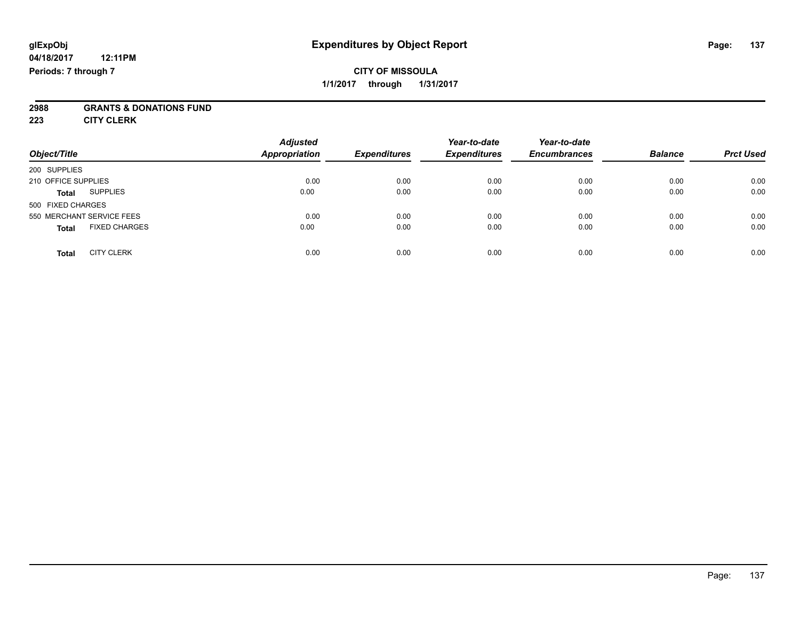### **CITY OF MISSOULA 1/1/2017 through 1/31/2017**

# **2988 GRANTS & DONATIONS FUND**

**223 CITY CLERK**

| Object/Title                         | <b>Adjusted</b><br>Appropriation | <b>Expenditures</b> | Year-to-date<br><b>Expenditures</b> | Year-to-date<br><b>Encumbrances</b> | <b>Balance</b> | <b>Prct Used</b> |
|--------------------------------------|----------------------------------|---------------------|-------------------------------------|-------------------------------------|----------------|------------------|
| 200 SUPPLIES                         |                                  |                     |                                     |                                     |                |                  |
| 210 OFFICE SUPPLIES                  | 0.00                             | 0.00                | 0.00                                | 0.00                                | 0.00           | 0.00             |
| <b>SUPPLIES</b><br><b>Total</b>      | 0.00                             | 0.00                | 0.00                                | 0.00                                | 0.00           | 0.00             |
| 500 FIXED CHARGES                    |                                  |                     |                                     |                                     |                |                  |
| 550 MERCHANT SERVICE FEES            | 0.00                             | 0.00                | 0.00                                | 0.00                                | 0.00           | 0.00             |
| <b>FIXED CHARGES</b><br><b>Total</b> | 0.00                             | 0.00                | 0.00                                | 0.00                                | 0.00           | 0.00             |
| <b>CITY CLERK</b><br><b>Total</b>    | 0.00                             | 0.00                | 0.00                                | 0.00                                | 0.00           | 0.00             |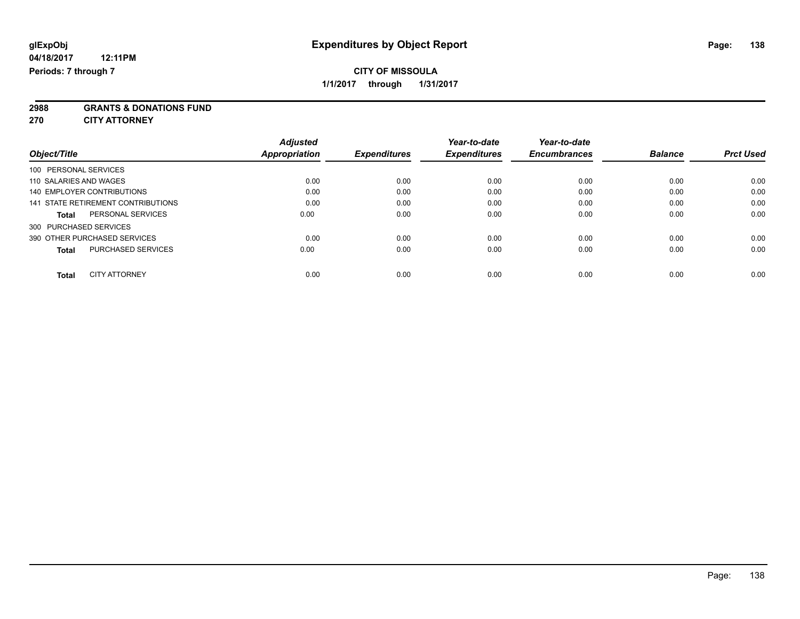**2988 GRANTS & DONATIONS FUND**

**270 CITY ATTORNEY**

| Object/Title                              | <b>Adjusted</b><br>Appropriation | <b>Expenditures</b> | Year-to-date<br><b>Expenditures</b> | Year-to-date<br><b>Encumbrances</b> | <b>Balance</b> | <b>Prct Used</b> |
|-------------------------------------------|----------------------------------|---------------------|-------------------------------------|-------------------------------------|----------------|------------------|
|                                           |                                  |                     |                                     |                                     |                |                  |
| 100 PERSONAL SERVICES                     |                                  |                     |                                     |                                     |                |                  |
| 110 SALARIES AND WAGES                    | 0.00                             | 0.00                | 0.00                                | 0.00                                | 0.00           | 0.00             |
| <b>140 EMPLOYER CONTRIBUTIONS</b>         | 0.00                             | 0.00                | 0.00                                | 0.00                                | 0.00           | 0.00             |
| 141 STATE RETIREMENT CONTRIBUTIONS        | 0.00                             | 0.00                | 0.00                                | 0.00                                | 0.00           | 0.00             |
| PERSONAL SERVICES<br><b>Total</b>         | 0.00                             | 0.00                | 0.00                                | 0.00                                | 0.00           | 0.00             |
| 300 PURCHASED SERVICES                    |                                  |                     |                                     |                                     |                |                  |
| 390 OTHER PURCHASED SERVICES              | 0.00                             | 0.00                | 0.00                                | 0.00                                | 0.00           | 0.00             |
| <b>PURCHASED SERVICES</b><br><b>Total</b> | 0.00                             | 0.00                | 0.00                                | 0.00                                | 0.00           | 0.00             |
|                                           |                                  |                     |                                     |                                     |                |                  |
| <b>CITY ATTORNEY</b><br><b>Total</b>      | 0.00                             | 0.00                | 0.00                                | 0.00                                | 0.00           | 0.00             |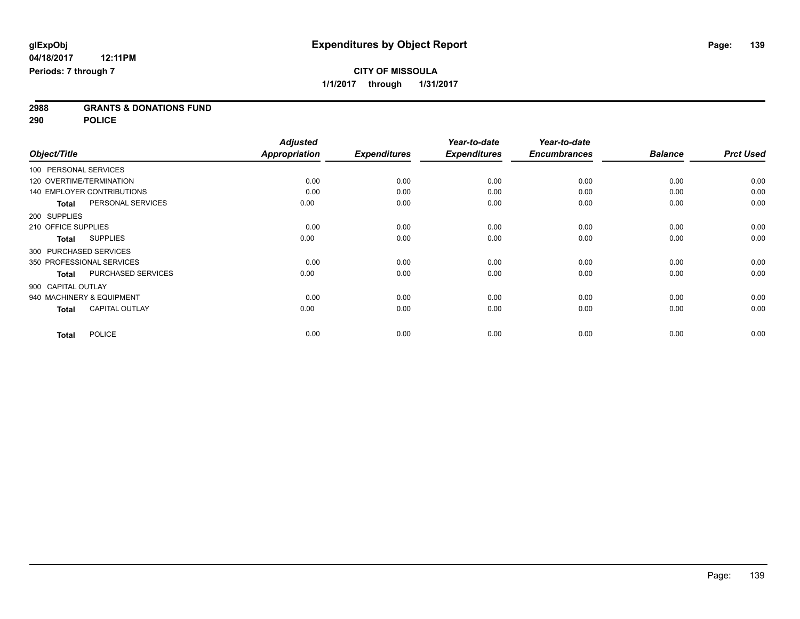**2988 GRANTS & DONATIONS FUND**

**290 POLICE**

|                               |                           | <b>Adjusted</b> |                     | Year-to-date        | Year-to-date        |                |                  |
|-------------------------------|---------------------------|-----------------|---------------------|---------------------|---------------------|----------------|------------------|
| Object/Title                  |                           | Appropriation   | <b>Expenditures</b> | <b>Expenditures</b> | <b>Encumbrances</b> | <b>Balance</b> | <b>Prct Used</b> |
| 100 PERSONAL SERVICES         |                           |                 |                     |                     |                     |                |                  |
| 120 OVERTIME/TERMINATION      |                           | 0.00            | 0.00                | 0.00                | 0.00                | 0.00           | 0.00             |
| 140 EMPLOYER CONTRIBUTIONS    |                           | 0.00            | 0.00                | 0.00                | 0.00                | 0.00           | 0.00             |
| <b>Total</b>                  | PERSONAL SERVICES         | 0.00            | 0.00                | 0.00                | 0.00                | 0.00           | 0.00             |
| 200 SUPPLIES                  |                           |                 |                     |                     |                     |                |                  |
| 210 OFFICE SUPPLIES           |                           | 0.00            | 0.00                | 0.00                | 0.00                | 0.00           | 0.00             |
| <b>SUPPLIES</b><br>Total      |                           | 0.00            | 0.00                | 0.00                | 0.00                | 0.00           | 0.00             |
| 300 PURCHASED SERVICES        |                           |                 |                     |                     |                     |                |                  |
| 350 PROFESSIONAL SERVICES     |                           | 0.00            | 0.00                | 0.00                | 0.00                | 0.00           | 0.00             |
| <b>Total</b>                  | <b>PURCHASED SERVICES</b> | 0.00            | 0.00                | 0.00                | 0.00                | 0.00           | 0.00             |
| 900 CAPITAL OUTLAY            |                           |                 |                     |                     |                     |                |                  |
| 940 MACHINERY & EQUIPMENT     |                           | 0.00            | 0.00                | 0.00                | 0.00                | 0.00           | 0.00             |
| <b>Total</b>                  | <b>CAPITAL OUTLAY</b>     | 0.00            | 0.00                | 0.00                | 0.00                | 0.00           | 0.00             |
| <b>POLICE</b><br><b>Total</b> |                           | 0.00            | 0.00                | 0.00                | 0.00                | 0.00           | 0.00             |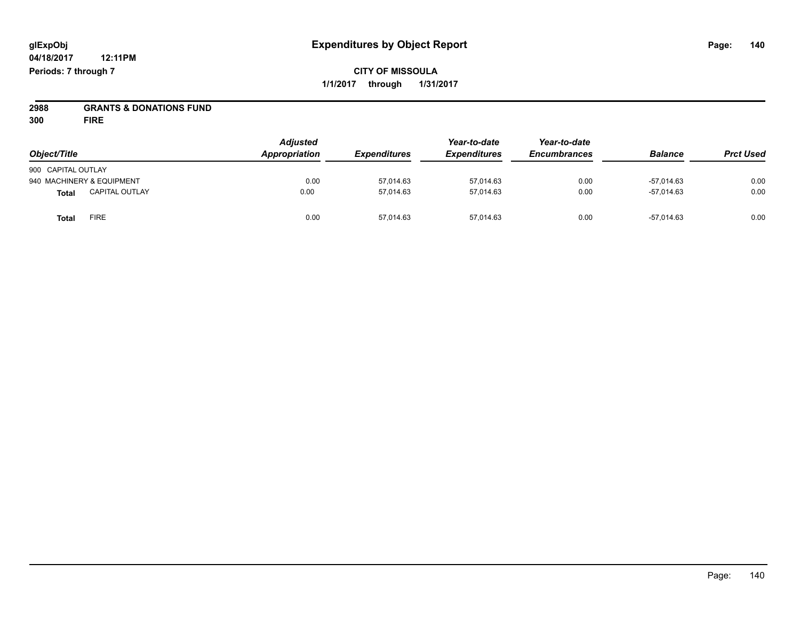**CITY OF MISSOULA 1/1/2017 through 1/31/2017**

# **2988 GRANTS & DONATIONS FUND**

**300 FIRE**

|                                       | <b>Adjusted</b>      |                     | Year-to-date        | Year-to-date<br><b>Encumbrances</b> |                | <b>Prct Used</b> |
|---------------------------------------|----------------------|---------------------|---------------------|-------------------------------------|----------------|------------------|
| Object/Title                          | <b>Appropriation</b> | <b>Expenditures</b> | <b>Expenditures</b> |                                     | <b>Balance</b> |                  |
| 900 CAPITAL OUTLAY                    |                      |                     |                     |                                     |                |                  |
| 940 MACHINERY & EQUIPMENT             | 0.00                 | 57,014.63           | 57,014.63           | 0.00                                | $-57.014.63$   | 0.00             |
| <b>CAPITAL OUTLAY</b><br><b>Total</b> | 0.00                 | 57.014.63           | 57.014.63           | 0.00                                | -57.014.63     | 0.00             |
| <b>FIRE</b><br><b>Total</b>           | 0.00                 | 57,014.63           | 57,014.63           | 0.00                                | -57,014.63     | 0.00             |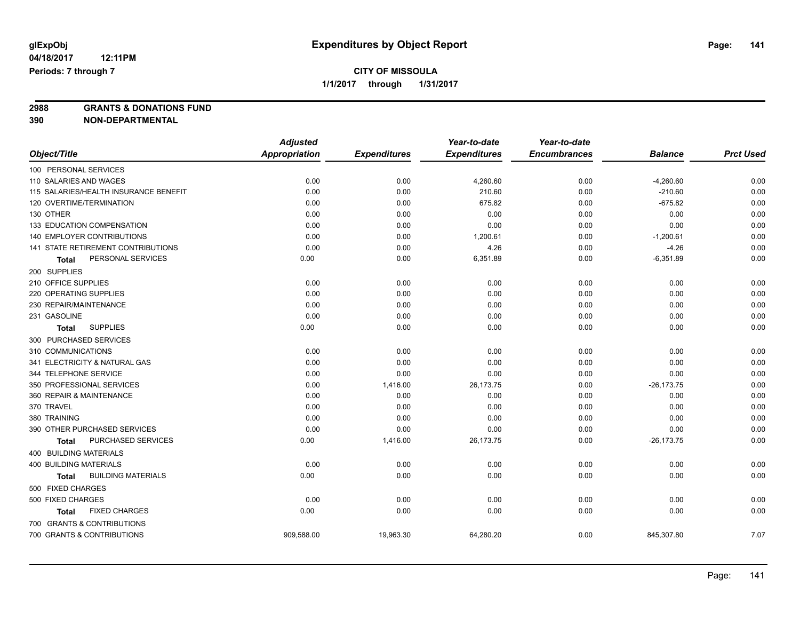**2988 GRANTS & DONATIONS FUND**

**390 NON-DEPARTMENTAL**

|                                           | <b>Adjusted</b>      |                     | Year-to-date        | Year-to-date        |                |                  |
|-------------------------------------------|----------------------|---------------------|---------------------|---------------------|----------------|------------------|
| Object/Title                              | <b>Appropriation</b> | <b>Expenditures</b> | <b>Expenditures</b> | <b>Encumbrances</b> | <b>Balance</b> | <b>Prct Used</b> |
| 100 PERSONAL SERVICES                     |                      |                     |                     |                     |                |                  |
| 110 SALARIES AND WAGES                    | 0.00                 | 0.00                | 4,260.60            | 0.00                | $-4,260.60$    | 0.00             |
| 115 SALARIES/HEALTH INSURANCE BENEFIT     | 0.00                 | 0.00                | 210.60              | 0.00                | $-210.60$      | 0.00             |
| 120 OVERTIME/TERMINATION                  | 0.00                 | 0.00                | 675.82              | 0.00                | $-675.82$      | 0.00             |
| 130 OTHER                                 | 0.00                 | 0.00                | 0.00                | 0.00                | 0.00           | 0.00             |
| 133 EDUCATION COMPENSATION                | 0.00                 | 0.00                | 0.00                | 0.00                | 0.00           | 0.00             |
| 140 EMPLOYER CONTRIBUTIONS                | 0.00                 | 0.00                | 1,200.61            | 0.00                | $-1,200.61$    | 0.00             |
| 141 STATE RETIREMENT CONTRIBUTIONS        | 0.00                 | 0.00                | 4.26                | 0.00                | $-4.26$        | 0.00             |
| PERSONAL SERVICES<br>Total                | 0.00                 | 0.00                | 6,351.89            | 0.00                | $-6,351.89$    | 0.00             |
| 200 SUPPLIES                              |                      |                     |                     |                     |                |                  |
| 210 OFFICE SUPPLIES                       | 0.00                 | 0.00                | 0.00                | 0.00                | 0.00           | 0.00             |
| 220 OPERATING SUPPLIES                    | 0.00                 | 0.00                | 0.00                | 0.00                | 0.00           | 0.00             |
| 230 REPAIR/MAINTENANCE                    | 0.00                 | 0.00                | 0.00                | 0.00                | 0.00           | 0.00             |
| 231 GASOLINE                              | 0.00                 | 0.00                | 0.00                | 0.00                | 0.00           | 0.00             |
| <b>SUPPLIES</b><br><b>Total</b>           | 0.00                 | 0.00                | 0.00                | 0.00                | 0.00           | 0.00             |
| 300 PURCHASED SERVICES                    |                      |                     |                     |                     |                |                  |
| 310 COMMUNICATIONS                        | 0.00                 | 0.00                | 0.00                | 0.00                | 0.00           | 0.00             |
| 341 ELECTRICITY & NATURAL GAS             | 0.00                 | 0.00                | 0.00                | 0.00                | 0.00           | 0.00             |
| 344 TELEPHONE SERVICE                     | 0.00                 | 0.00                | 0.00                | 0.00                | 0.00           | 0.00             |
| 350 PROFESSIONAL SERVICES                 | 0.00                 | 1,416.00            | 26,173.75           | 0.00                | $-26, 173.75$  | 0.00             |
| 360 REPAIR & MAINTENANCE                  | 0.00                 | 0.00                | 0.00                | 0.00                | 0.00           | 0.00             |
| 370 TRAVEL                                | 0.00                 | 0.00                | 0.00                | 0.00                | 0.00           | 0.00             |
| 380 TRAINING                              | 0.00                 | 0.00                | 0.00                | 0.00                | 0.00           | 0.00             |
| 390 OTHER PURCHASED SERVICES              | 0.00                 | 0.00                | 0.00                | 0.00                | 0.00           | 0.00             |
| PURCHASED SERVICES<br><b>Total</b>        | 0.00                 | 1,416.00            | 26,173.75           | 0.00                | $-26, 173.75$  | 0.00             |
| 400 BUILDING MATERIALS                    |                      |                     |                     |                     |                |                  |
| 400 BUILDING MATERIALS                    | 0.00                 | 0.00                | 0.00                | 0.00                | 0.00           | 0.00             |
| <b>BUILDING MATERIALS</b><br><b>Total</b> | 0.00                 | 0.00                | 0.00                | 0.00                | 0.00           | 0.00             |
| 500 FIXED CHARGES                         |                      |                     |                     |                     |                |                  |
| 500 FIXED CHARGES                         | 0.00                 | 0.00                | 0.00                | 0.00                | 0.00           | 0.00             |
| <b>FIXED CHARGES</b><br>Total             | 0.00                 | 0.00                | 0.00                | 0.00                | 0.00           | 0.00             |
| 700 GRANTS & CONTRIBUTIONS                |                      |                     |                     |                     |                |                  |
| 700 GRANTS & CONTRIBUTIONS                | 909,588.00           | 19,963.30           | 64,280.20           | 0.00                | 845,307.80     | 7.07             |
|                                           |                      |                     |                     |                     |                |                  |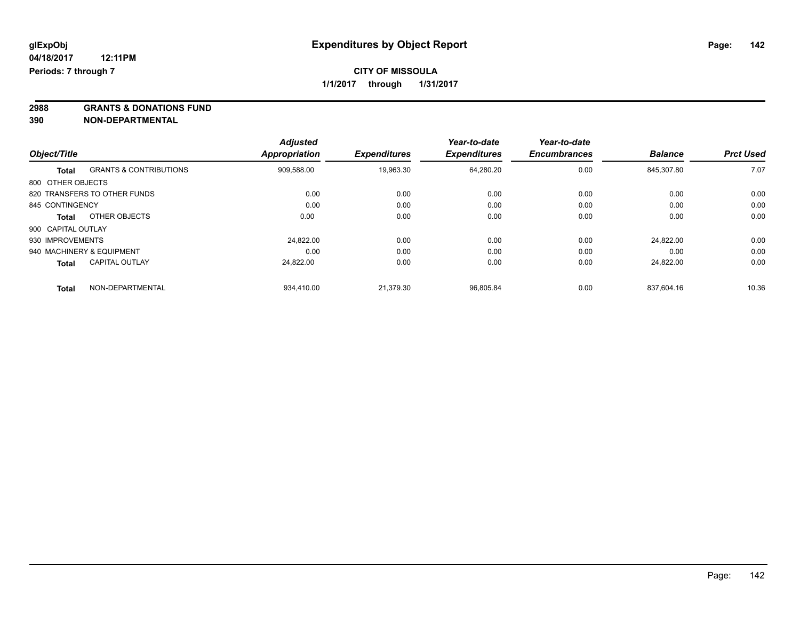**2988 GRANTS & DONATIONS FUND**

**390 NON-DEPARTMENTAL**

| Object/Title       |                                   | <b>Adjusted</b><br><b>Appropriation</b> | <b>Expenditures</b> | Year-to-date<br><b>Expenditures</b> | Year-to-date<br><b>Encumbrances</b> | <b>Balance</b> | <b>Prct Used</b> |
|--------------------|-----------------------------------|-----------------------------------------|---------------------|-------------------------------------|-------------------------------------|----------------|------------------|
|                    |                                   |                                         |                     |                                     |                                     |                |                  |
| <b>Total</b>       | <b>GRANTS &amp; CONTRIBUTIONS</b> | 909,588.00                              | 19,963.30           | 64,280.20                           | 0.00                                | 845.307.80     | 7.07             |
| 800 OTHER OBJECTS  |                                   |                                         |                     |                                     |                                     |                |                  |
|                    | 820 TRANSFERS TO OTHER FUNDS      | 0.00                                    | 0.00                | 0.00                                | 0.00                                | 0.00           | 0.00             |
| 845 CONTINGENCY    |                                   | 0.00                                    | 0.00                | 0.00                                | 0.00                                | 0.00           | 0.00             |
| <b>Total</b>       | OTHER OBJECTS                     | 0.00                                    | 0.00                | 0.00                                | 0.00                                | 0.00           | 0.00             |
| 900 CAPITAL OUTLAY |                                   |                                         |                     |                                     |                                     |                |                  |
| 930 IMPROVEMENTS   |                                   | 24.822.00                               | 0.00                | 0.00                                | 0.00                                | 24.822.00      | 0.00             |
|                    | 940 MACHINERY & EQUIPMENT         | 0.00                                    | 0.00                | 0.00                                | 0.00                                | 0.00           | 0.00             |
| <b>Total</b>       | <b>CAPITAL OUTLAY</b>             | 24,822.00                               | 0.00                | 0.00                                | 0.00                                | 24.822.00      | 0.00             |
| <b>Total</b>       | NON-DEPARTMENTAL                  | 934.410.00                              | 21.379.30           | 96.805.84                           | 0.00                                | 837.604.16     | 10.36            |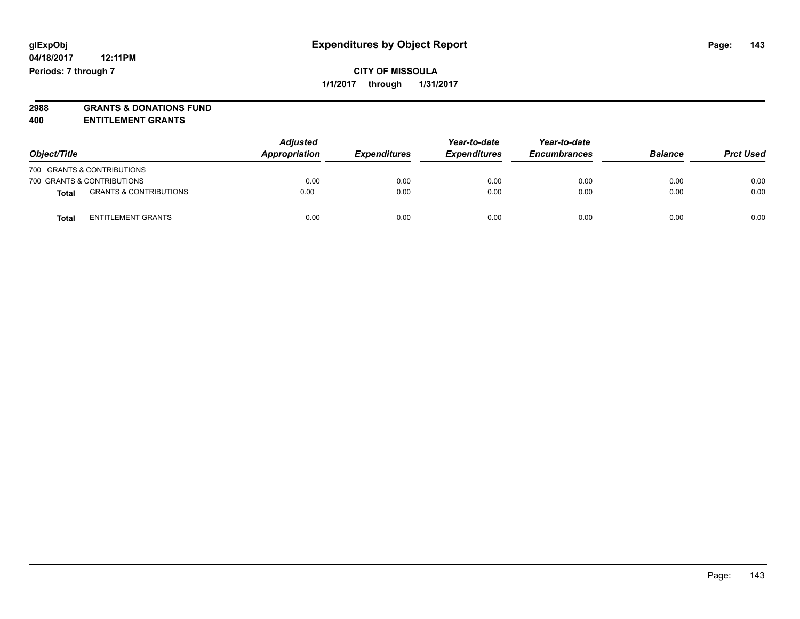# **2988 GRANTS & DONATIONS FUND**

**400 ENTITLEMENT GRANTS**

| Object/Title |                                   | <b>Adjusted</b><br>Appropriation | <b>Expenditures</b> | Year-to-date<br><b>Expenditures</b> | Year-to-date<br><b>Encumbrances</b> | <b>Balance</b> | <b>Prct Used</b> |
|--------------|-----------------------------------|----------------------------------|---------------------|-------------------------------------|-------------------------------------|----------------|------------------|
|              | 700 GRANTS & CONTRIBUTIONS        |                                  |                     |                                     |                                     |                |                  |
|              | 700 GRANTS & CONTRIBUTIONS        | 0.00                             | 0.00                | 0.00                                | 0.00                                | 0.00           | 0.00             |
| Total        | <b>GRANTS &amp; CONTRIBUTIONS</b> | 0.00                             | 0.00                | 0.00                                | 0.00                                | 0.00           | 0.00             |
| Total        | <b>ENTITLEMENT GRANTS</b>         | 0.00                             | 0.00                | 0.00                                | 0.00                                | 0.00           | 0.00             |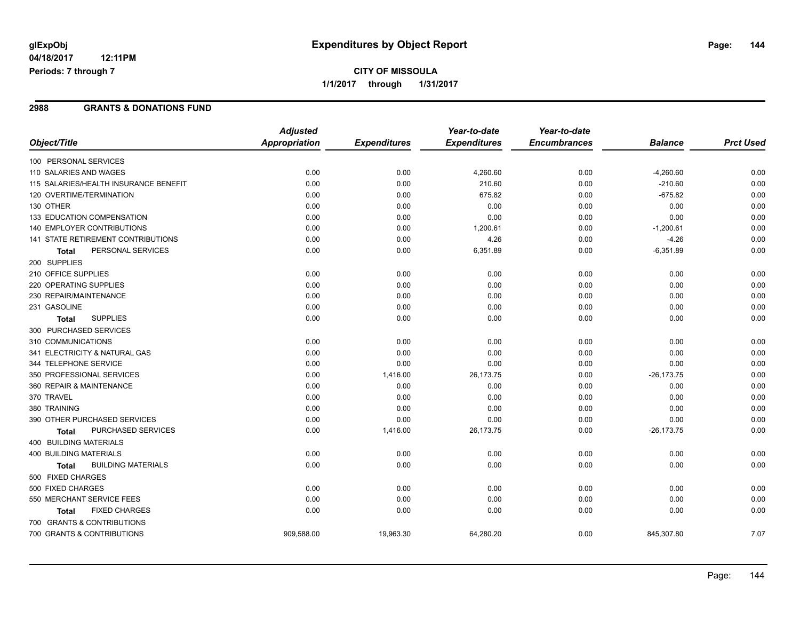## **CITY OF MISSOULA 1/1/2017 through 1/31/2017**

#### **2988 GRANTS & DONATIONS FUND**

|                                           | <b>Adjusted</b>      |                     | Year-to-date        | Year-to-date        |                |                  |
|-------------------------------------------|----------------------|---------------------|---------------------|---------------------|----------------|------------------|
| Object/Title                              | <b>Appropriation</b> | <b>Expenditures</b> | <b>Expenditures</b> | <b>Encumbrances</b> | <b>Balance</b> | <b>Prct Used</b> |
| 100 PERSONAL SERVICES                     |                      |                     |                     |                     |                |                  |
| 110 SALARIES AND WAGES                    | 0.00                 | 0.00                | 4,260.60            | 0.00                | $-4,260.60$    | 0.00             |
| 115 SALARIES/HEALTH INSURANCE BENEFIT     | 0.00                 | 0.00                | 210.60              | 0.00                | $-210.60$      | 0.00             |
| 120 OVERTIME/TERMINATION                  | 0.00                 | 0.00                | 675.82              | 0.00                | $-675.82$      | 0.00             |
| 130 OTHER                                 | 0.00                 | 0.00                | 0.00                | 0.00                | 0.00           | 0.00             |
| 133 EDUCATION COMPENSATION                | 0.00                 | 0.00                | 0.00                | 0.00                | 0.00           | 0.00             |
| <b>140 EMPLOYER CONTRIBUTIONS</b>         | 0.00                 | 0.00                | 1,200.61            | 0.00                | $-1,200.61$    | 0.00             |
| <b>141 STATE RETIREMENT CONTRIBUTIONS</b> | 0.00                 | 0.00                | 4.26                | 0.00                | $-4.26$        | 0.00             |
| PERSONAL SERVICES<br>Total                | 0.00                 | 0.00                | 6,351.89            | 0.00                | $-6,351.89$    | 0.00             |
| 200 SUPPLIES                              |                      |                     |                     |                     |                |                  |
| 210 OFFICE SUPPLIES                       | 0.00                 | 0.00                | 0.00                | 0.00                | 0.00           | 0.00             |
| 220 OPERATING SUPPLIES                    | 0.00                 | 0.00                | 0.00                | 0.00                | 0.00           | 0.00             |
| 230 REPAIR/MAINTENANCE                    | 0.00                 | 0.00                | 0.00                | 0.00                | 0.00           | 0.00             |
| 231 GASOLINE                              | 0.00                 | 0.00                | 0.00                | 0.00                | 0.00           | 0.00             |
| <b>SUPPLIES</b><br><b>Total</b>           | 0.00                 | 0.00                | 0.00                | 0.00                | 0.00           | 0.00             |
| 300 PURCHASED SERVICES                    |                      |                     |                     |                     |                |                  |
| 310 COMMUNICATIONS                        | 0.00                 | 0.00                | 0.00                | 0.00                | 0.00           | 0.00             |
| 341 ELECTRICITY & NATURAL GAS             | 0.00                 | 0.00                | 0.00                | 0.00                | 0.00           | 0.00             |
| 344 TELEPHONE SERVICE                     | 0.00                 | 0.00                | 0.00                | 0.00                | 0.00           | 0.00             |
| 350 PROFESSIONAL SERVICES                 | 0.00                 | 1,416.00            | 26,173.75           | 0.00                | $-26, 173.75$  | 0.00             |
| 360 REPAIR & MAINTENANCE                  | 0.00                 | 0.00                | 0.00                | 0.00                | 0.00           | 0.00             |
| 370 TRAVEL                                | 0.00                 | 0.00                | 0.00                | 0.00                | 0.00           | 0.00             |
| 380 TRAINING                              | 0.00                 | 0.00                | 0.00                | 0.00                | 0.00           | 0.00             |
| 390 OTHER PURCHASED SERVICES              | 0.00                 | 0.00                | 0.00                | 0.00                | 0.00           | 0.00             |
| PURCHASED SERVICES<br>Total               | 0.00                 | 1,416.00            | 26,173.75           | 0.00                | $-26, 173.75$  | 0.00             |
| 400 BUILDING MATERIALS                    |                      |                     |                     |                     |                |                  |
| <b>400 BUILDING MATERIALS</b>             | 0.00                 | 0.00                | 0.00                | 0.00                | 0.00           | 0.00             |
| <b>BUILDING MATERIALS</b><br><b>Total</b> | 0.00                 | 0.00                | 0.00                | 0.00                | 0.00           | 0.00             |
| 500 FIXED CHARGES                         |                      |                     |                     |                     |                |                  |
| 500 FIXED CHARGES                         | 0.00                 | 0.00                | 0.00                | 0.00                | 0.00           | 0.00             |
| 550 MERCHANT SERVICE FEES                 | 0.00                 | 0.00                | 0.00                | 0.00                | 0.00           | 0.00             |
| <b>FIXED CHARGES</b><br>Total             | 0.00                 | 0.00                | 0.00                | 0.00                | 0.00           | 0.00             |
| 700 GRANTS & CONTRIBUTIONS                |                      |                     |                     |                     |                |                  |
| 700 GRANTS & CONTRIBUTIONS                | 909,588.00           | 19,963.30           | 64,280.20           | 0.00                | 845,307.80     | 7.07             |
|                                           |                      |                     |                     |                     |                |                  |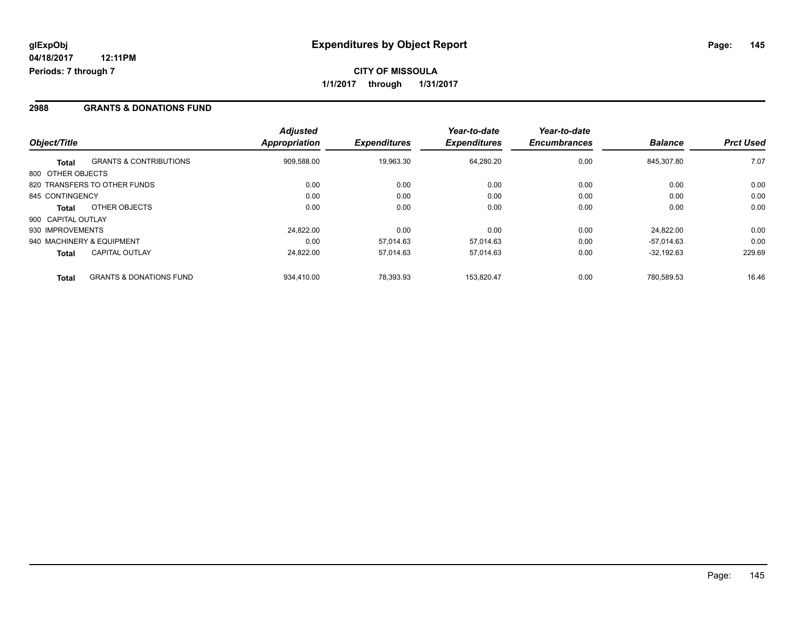### **2988 GRANTS & DONATIONS FUND**

| Object/Title       |                                    | <b>Adjusted</b><br><b>Appropriation</b> | <b>Expenditures</b> | Year-to-date<br><b>Expenditures</b> | Year-to-date<br><b>Encumbrances</b> | <b>Balance</b> | <b>Prct Used</b> |
|--------------------|------------------------------------|-----------------------------------------|---------------------|-------------------------------------|-------------------------------------|----------------|------------------|
|                    |                                    |                                         |                     |                                     |                                     |                |                  |
| <b>Total</b>       | <b>GRANTS &amp; CONTRIBUTIONS</b>  | 909,588.00                              | 19,963.30           | 64,280.20                           | 0.00                                | 845.307.80     | 7.07             |
| 800 OTHER OBJECTS  |                                    |                                         |                     |                                     |                                     |                |                  |
|                    | 820 TRANSFERS TO OTHER FUNDS       | 0.00                                    | 0.00                | 0.00                                | 0.00                                | 0.00           | 0.00             |
| 845 CONTINGENCY    |                                    | 0.00                                    | 0.00                | 0.00                                | 0.00                                | 0.00           | 0.00             |
| <b>Total</b>       | OTHER OBJECTS                      | 0.00                                    | 0.00                | 0.00                                | 0.00                                | 0.00           | 0.00             |
| 900 CAPITAL OUTLAY |                                    |                                         |                     |                                     |                                     |                |                  |
| 930 IMPROVEMENTS   |                                    | 24.822.00                               | 0.00                | 0.00                                | 0.00                                | 24.822.00      | 0.00             |
|                    | 940 MACHINERY & EQUIPMENT          | 0.00                                    | 57.014.63           | 57.014.63                           | 0.00                                | $-57.014.63$   | 0.00             |
| <b>Total</b>       | <b>CAPITAL OUTLAY</b>              | 24.822.00                               | 57,014.63           | 57.014.63                           | 0.00                                | $-32.192.63$   | 229.69           |
| <b>Total</b>       | <b>GRANTS &amp; DONATIONS FUND</b> | 934.410.00                              | 78.393.93           | 153.820.47                          | 0.00                                | 780.589.53     | 16.46            |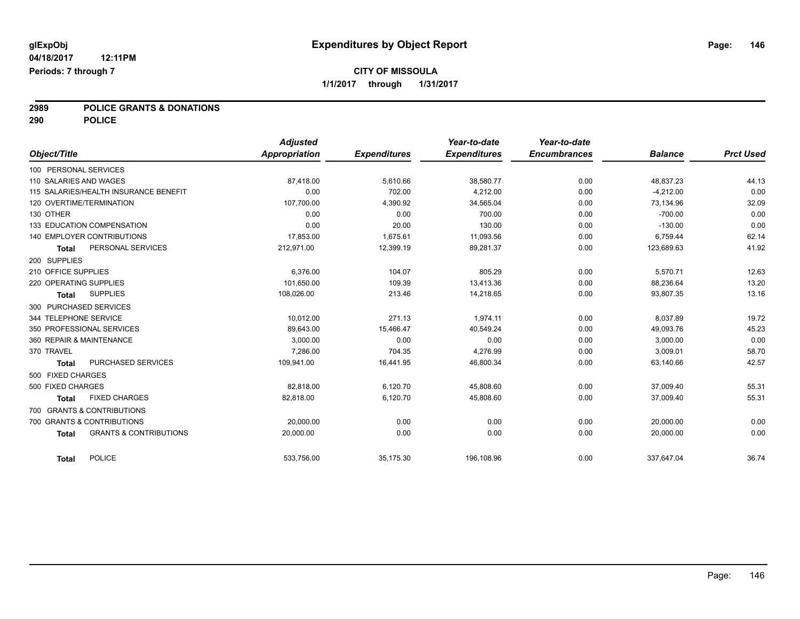# **2989 POLICE GRANTS & DONATIONS**

**290 POLICE**

|                        |                                       | <b>Adjusted</b> |                     | Year-to-date        | Year-to-date        |                |                  |
|------------------------|---------------------------------------|-----------------|---------------------|---------------------|---------------------|----------------|------------------|
| Object/Title           |                                       | Appropriation   | <b>Expenditures</b> | <b>Expenditures</b> | <b>Encumbrances</b> | <b>Balance</b> | <b>Prct Used</b> |
| 100 PERSONAL SERVICES  |                                       |                 |                     |                     |                     |                |                  |
| 110 SALARIES AND WAGES |                                       | 87,418.00       | 5,610.66            | 38,580.77           | 0.00                | 48,837.23      | 44.13            |
|                        | 115 SALARIES/HEALTH INSURANCE BENEFIT | 0.00            | 702.00              | 4,212.00            | 0.00                | $-4,212.00$    | 0.00             |
|                        | 120 OVERTIME/TERMINATION              | 107.700.00      | 4.390.92            | 34,565.04           | 0.00                | 73,134.96      | 32.09            |
| 130 OTHER              |                                       | 0.00            | 0.00                | 700.00              | 0.00                | $-700.00$      | 0.00             |
|                        | 133 EDUCATION COMPENSATION            | 0.00            | 20.00               | 130.00              | 0.00                | $-130.00$      | 0.00             |
|                        | 140 EMPLOYER CONTRIBUTIONS            | 17,853.00       | 1,675.61            | 11,093.56           | 0.00                | 6,759.44       | 62.14            |
| <b>Total</b>           | PERSONAL SERVICES                     | 212,971.00      | 12,399.19           | 89,281.37           | 0.00                | 123,689.63     | 41.92            |
| 200 SUPPLIES           |                                       |                 |                     |                     |                     |                |                  |
| 210 OFFICE SUPPLIES    |                                       | 6.376.00        | 104.07              | 805.29              | 0.00                | 5,570.71       | 12.63            |
| 220 OPERATING SUPPLIES |                                       | 101,650.00      | 109.39              | 13,413.36           | 0.00                | 88,236.64      | 13.20            |
| <b>Total</b>           | <b>SUPPLIES</b>                       | 108,026.00      | 213.46              | 14,218.65           | 0.00                | 93,807.35      | 13.16            |
|                        | 300 PURCHASED SERVICES                |                 |                     |                     |                     |                |                  |
| 344 TELEPHONE SERVICE  |                                       | 10,012.00       | 271.13              | 1.974.11            | 0.00                | 8,037.89       | 19.72            |
|                        | 350 PROFESSIONAL SERVICES             | 89,643.00       | 15,466.47           | 40,549.24           | 0.00                | 49,093.76      | 45.23            |
|                        | 360 REPAIR & MAINTENANCE              | 3,000.00        | 0.00                | 0.00                | 0.00                | 3,000.00       | 0.00             |
| 370 TRAVEL             |                                       | 7,286.00        | 704.35              | 4,276.99            | 0.00                | 3,009.01       | 58.70            |
| <b>Total</b>           | PURCHASED SERVICES                    | 109,941.00      | 16,441.95           | 46,800.34           | 0.00                | 63,140.66      | 42.57            |
| 500 FIXED CHARGES      |                                       |                 |                     |                     |                     |                |                  |
| 500 FIXED CHARGES      |                                       | 82,818.00       | 6,120.70            | 45,808.60           | 0.00                | 37,009.40      | 55.31            |
| <b>Total</b>           | <b>FIXED CHARGES</b>                  | 82,818.00       | 6,120.70            | 45,808.60           | 0.00                | 37,009.40      | 55.31            |
|                        | 700 GRANTS & CONTRIBUTIONS            |                 |                     |                     |                     |                |                  |
|                        | 700 GRANTS & CONTRIBUTIONS            | 20,000.00       | 0.00                | 0.00                | 0.00                | 20,000.00      | 0.00             |
| <b>Total</b>           | <b>GRANTS &amp; CONTRIBUTIONS</b>     | 20,000.00       | 0.00                | 0.00                | 0.00                | 20,000.00      | 0.00             |
| <b>Total</b>           | <b>POLICE</b>                         | 533,756.00      | 35,175.30           | 196,108.96          | 0.00                | 337,647.04     | 36.74            |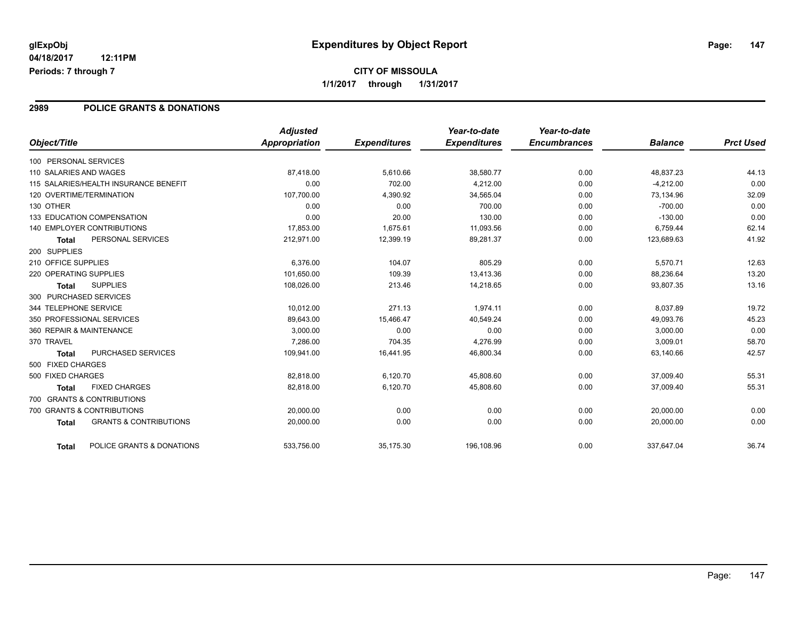## **CITY OF MISSOULA 1/1/2017 through 1/31/2017**

### **2989 POLICE GRANTS & DONATIONS**

| Object/Title           |                                       | <b>Adjusted</b><br><b>Appropriation</b> | <b>Expenditures</b> | Year-to-date<br><b>Expenditures</b> | Year-to-date<br><b>Encumbrances</b> | <b>Balance</b> | <b>Prct Used</b> |
|------------------------|---------------------------------------|-----------------------------------------|---------------------|-------------------------------------|-------------------------------------|----------------|------------------|
| 100 PERSONAL SERVICES  |                                       |                                         |                     |                                     |                                     |                |                  |
| 110 SALARIES AND WAGES |                                       | 87.418.00                               | 5,610.66            | 38,580.77                           | 0.00                                | 48.837.23      | 44.13            |
|                        | 115 SALARIES/HEALTH INSURANCE BENEFIT | 0.00                                    | 702.00              | 4.212.00                            | 0.00                                | $-4,212.00$    | 0.00             |
|                        | 120 OVERTIME/TERMINATION              | 107,700.00                              | 4,390.92            | 34,565.04                           | 0.00                                | 73,134.96      | 32.09            |
| 130 OTHER              |                                       | 0.00                                    | 0.00                | 700.00                              | 0.00                                | $-700.00$      | 0.00             |
|                        | 133 EDUCATION COMPENSATION            | 0.00                                    | 20.00               | 130.00                              | 0.00                                | $-130.00$      | 0.00             |
|                        | <b>140 EMPLOYER CONTRIBUTIONS</b>     | 17,853.00                               | 1,675.61            | 11,093.56                           | 0.00                                | 6,759.44       | 62.14            |
| <b>Total</b>           | PERSONAL SERVICES                     | 212,971.00                              | 12,399.19           | 89,281.37                           | 0.00                                | 123,689.63     | 41.92            |
| 200 SUPPLIES           |                                       |                                         |                     |                                     |                                     |                |                  |
| 210 OFFICE SUPPLIES    |                                       | 6.376.00                                | 104.07              | 805.29                              | 0.00                                | 5,570.71       | 12.63            |
| 220 OPERATING SUPPLIES |                                       | 101,650.00                              | 109.39              | 13,413.36                           | 0.00                                | 88,236.64      | 13.20            |
| <b>Total</b>           | <b>SUPPLIES</b>                       | 108,026.00                              | 213.46              | 14,218.65                           | 0.00                                | 93,807.35      | 13.16            |
| 300 PURCHASED SERVICES |                                       |                                         |                     |                                     |                                     |                |                  |
| 344 TELEPHONE SERVICE  |                                       | 10,012.00                               | 271.13              | 1.974.11                            | 0.00                                | 8,037.89       | 19.72            |
|                        | 350 PROFESSIONAL SERVICES             | 89.643.00                               | 15,466.47           | 40,549.24                           | 0.00                                | 49,093.76      | 45.23            |
|                        | 360 REPAIR & MAINTENANCE              | 3,000.00                                | 0.00                | 0.00                                | 0.00                                | 3,000.00       | 0.00             |
| 370 TRAVEL             |                                       | 7.286.00                                | 704.35              | 4.276.99                            | 0.00                                | 3,009.01       | 58.70            |
| <b>Total</b>           | PURCHASED SERVICES                    | 109,941.00                              | 16,441.95           | 46,800.34                           | 0.00                                | 63,140.66      | 42.57            |
| 500 FIXED CHARGES      |                                       |                                         |                     |                                     |                                     |                |                  |
| 500 FIXED CHARGES      |                                       | 82,818.00                               | 6,120.70            | 45,808.60                           | 0.00                                | 37,009.40      | 55.31            |
| <b>Total</b>           | <b>FIXED CHARGES</b>                  | 82.818.00                               | 6,120.70            | 45,808.60                           | 0.00                                | 37.009.40      | 55.31            |
|                        | 700 GRANTS & CONTRIBUTIONS            |                                         |                     |                                     |                                     |                |                  |
|                        | 700 GRANTS & CONTRIBUTIONS            | 20,000.00                               | 0.00                | 0.00                                | 0.00                                | 20,000.00      | 0.00             |
| <b>Total</b>           | <b>GRANTS &amp; CONTRIBUTIONS</b>     | 20,000.00                               | 0.00                | 0.00                                | 0.00                                | 20,000.00      | 0.00             |
| <b>Total</b>           | POLICE GRANTS & DONATIONS             | 533,756.00                              | 35,175.30           | 196.108.96                          | 0.00                                | 337,647.04     | 36.74            |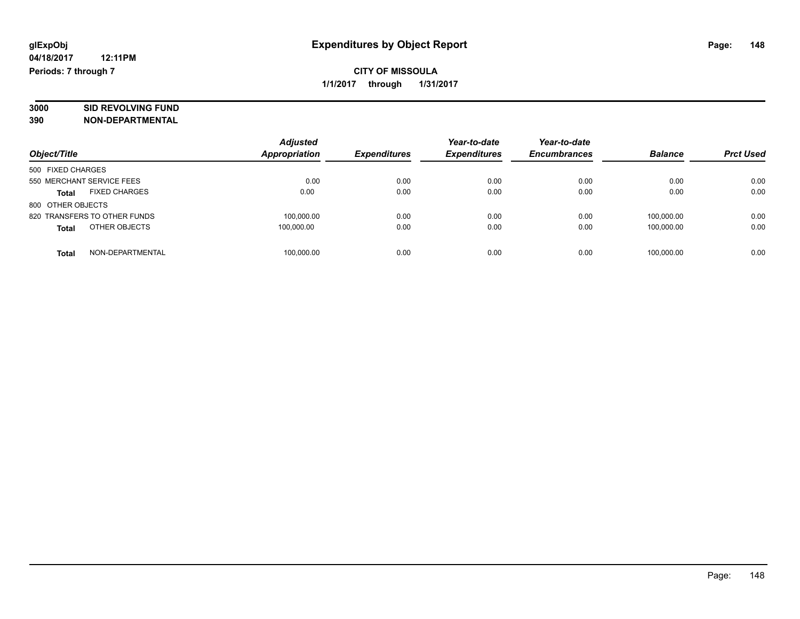# **3000 SID REVOLVING FUND**

|                                      | <b>Adjusted</b>      |                     | Year-to-date        | Year-to-date        |                |                  |
|--------------------------------------|----------------------|---------------------|---------------------|---------------------|----------------|------------------|
| Object/Title                         | <b>Appropriation</b> | <b>Expenditures</b> | <b>Expenditures</b> | <b>Encumbrances</b> | <b>Balance</b> | <b>Prct Used</b> |
| 500 FIXED CHARGES                    |                      |                     |                     |                     |                |                  |
| 550 MERCHANT SERVICE FEES            | 0.00                 | 0.00                | 0.00                | 0.00                | 0.00           | 0.00             |
| <b>FIXED CHARGES</b><br><b>Total</b> | 0.00                 | 0.00                | 0.00                | 0.00                | 0.00           | 0.00             |
| 800 OTHER OBJECTS                    |                      |                     |                     |                     |                |                  |
| 820 TRANSFERS TO OTHER FUNDS         | 100,000.00           | 0.00                | 0.00                | 0.00                | 100.000.00     | 0.00             |
| OTHER OBJECTS<br><b>Total</b>        | 100.000.00           | 0.00                | 0.00                | 0.00                | 100.000.00     | 0.00             |
| NON-DEPARTMENTAL<br>Total            | 100,000.00           | 0.00                | 0.00                | 0.00                | 100.000.00     | 0.00             |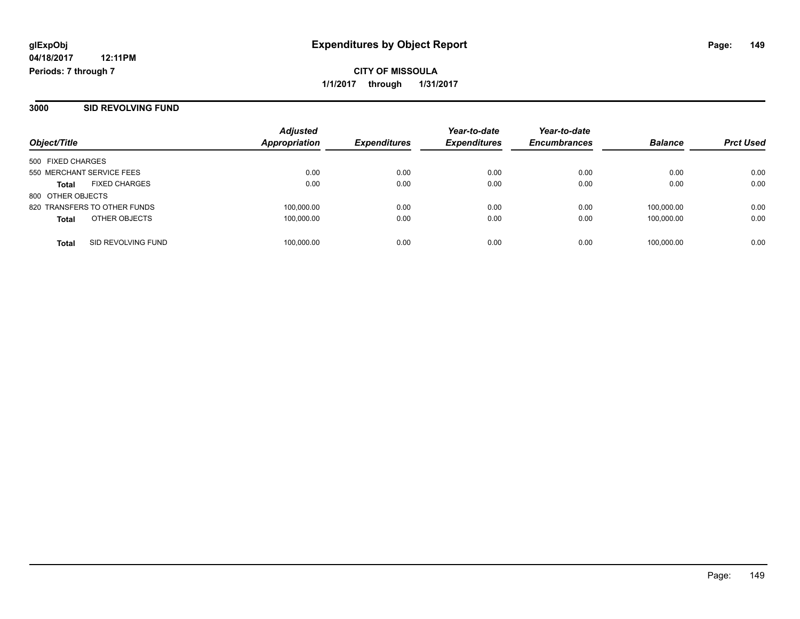**3000 SID REVOLVING FUND**

| Object/Title                         | <b>Adjusted</b><br>Appropriation | <b>Expenditures</b> | Year-to-date<br><b>Expenditures</b> | Year-to-date<br><b>Encumbrances</b> | <b>Balance</b> | <b>Prct Used</b> |
|--------------------------------------|----------------------------------|---------------------|-------------------------------------|-------------------------------------|----------------|------------------|
| 500 FIXED CHARGES                    |                                  |                     |                                     |                                     |                |                  |
| 550 MERCHANT SERVICE FEES            | 0.00                             | 0.00                | 0.00                                | 0.00                                | 0.00           | 0.00             |
| <b>FIXED CHARGES</b><br><b>Total</b> | 0.00                             | 0.00                | 0.00                                | 0.00                                | 0.00           | 0.00             |
| 800 OTHER OBJECTS                    |                                  |                     |                                     |                                     |                |                  |
| 820 TRANSFERS TO OTHER FUNDS         | 100,000.00                       | 0.00                | 0.00                                | 0.00                                | 100.000.00     | 0.00             |
| OTHER OBJECTS<br><b>Total</b>        | 100,000.00                       | 0.00                | 0.00                                | 0.00                                | 100.000.00     | 0.00             |
| SID REVOLVING FUND<br><b>Total</b>   | 100,000.00                       | 0.00                | 0.00                                | 0.00                                | 100,000.00     | 0.00             |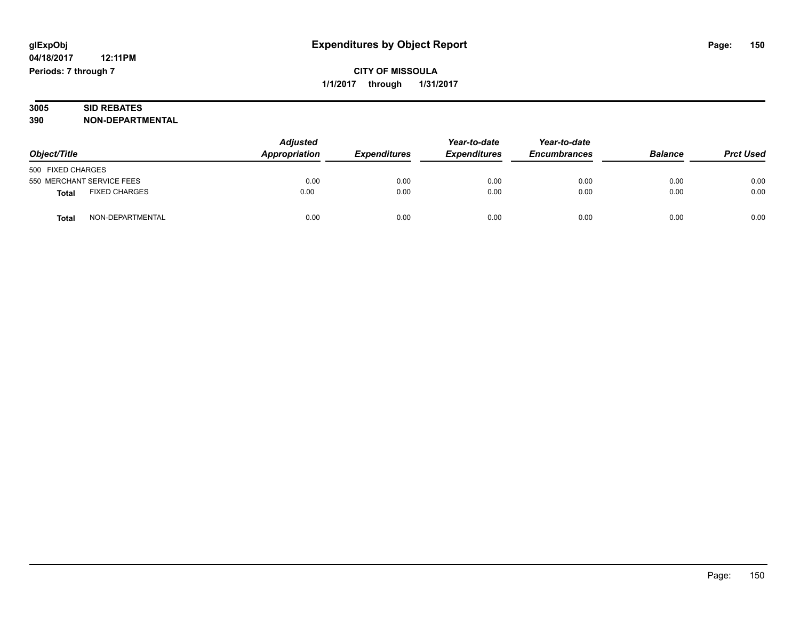### **3005 SID REBATES 390 NON-DEPARTMENTAL**

| Object/Title                  | <b>Adjusted</b><br>Appropriation | <b>Expenditures</b> | Year-to-date<br><b>Expenditures</b> | Year-to-date<br><b>Encumbrances</b> | <b>Balance</b> | <b>Prct Used</b> |
|-------------------------------|----------------------------------|---------------------|-------------------------------------|-------------------------------------|----------------|------------------|
| 500 FIXED CHARGES             |                                  |                     |                                     |                                     |                |                  |
| 550 MERCHANT SERVICE FEES     | 0.00                             | 0.00                | 0.00                                | 0.00                                | 0.00           | 0.00             |
| <b>FIXED CHARGES</b><br>Total | 0.00                             | 0.00                | 0.00                                | 0.00                                | 0.00           | 0.00             |
| NON-DEPARTMENTAL<br>Tota.     | 0.00                             | 0.00                | 0.00                                | 0.00                                | 0.00           | 0.00             |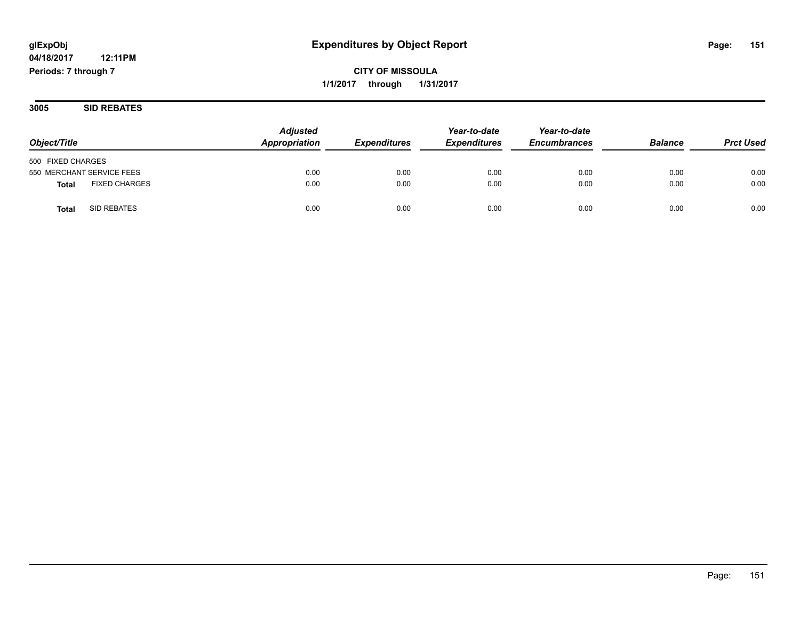**CITY OF MISSOULA 1/1/2017 through 1/31/2017**

**3005 SID REBATES**

|                                      | <b>Adjusted</b> |                     | Year-to-date        | Year-to-date        |                |                  |
|--------------------------------------|-----------------|---------------------|---------------------|---------------------|----------------|------------------|
| Object/Title                         | Appropriation   | <b>Expenditures</b> | <b>Expenditures</b> | <b>Encumbrances</b> | <b>Balance</b> | <b>Prct Used</b> |
| 500 FIXED CHARGES                    |                 |                     |                     |                     |                |                  |
| 550 MERCHANT SERVICE FEES            | 0.00            | 0.00                | 0.00                | 0.00                | 0.00           | 0.00             |
| <b>FIXED CHARGES</b><br><b>Total</b> | 0.00            | 0.00                | 0.00                | 0.00                | 0.00           | 0.00             |
| <b>SID REBATES</b><br>Total          | 0.00            | 0.00                | 0.00                | 0.00                | 0.00           | 0.00             |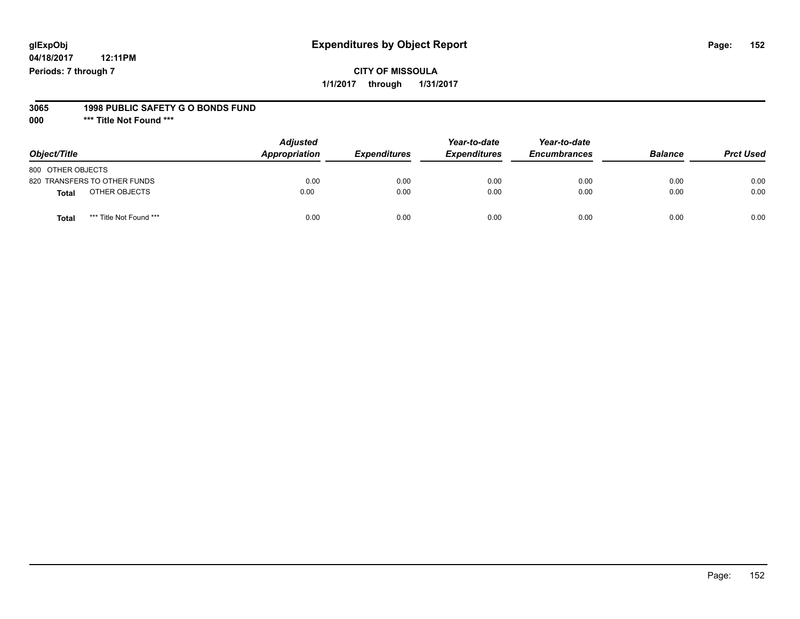## **glExpObj Expenditures by Object Report Page: 152**

**04/18/2017 12:11PM Periods: 7 through 7**

#### **3065 1998 PUBLIC SAFETY G O BONDS FUND**

**000 \*\*\* Title Not Found \*\*\***

| Object/Title                            | <b>Adjusted</b><br>Appropriation | <b>Expenditures</b> | Year-to-date<br><b>Expenditures</b> | Year-to-date<br><b>Encumbrances</b> | <b>Balance</b> | <b>Prct Used</b> |
|-----------------------------------------|----------------------------------|---------------------|-------------------------------------|-------------------------------------|----------------|------------------|
| 800 OTHER OBJECTS                       |                                  |                     |                                     |                                     |                |                  |
| 820 TRANSFERS TO OTHER FUNDS            | 0.00                             | 0.00                | 0.00                                | 0.00                                | 0.00           | 0.00             |
| OTHER OBJECTS<br>Total                  | 0.00                             | 0.00                | 0.00                                | 0.00                                | 0.00           | 0.00             |
| *** Title Not Found ***<br><b>Total</b> | 0.00                             | 0.00                | 0.00                                | 0.00                                | 0.00           | 0.00             |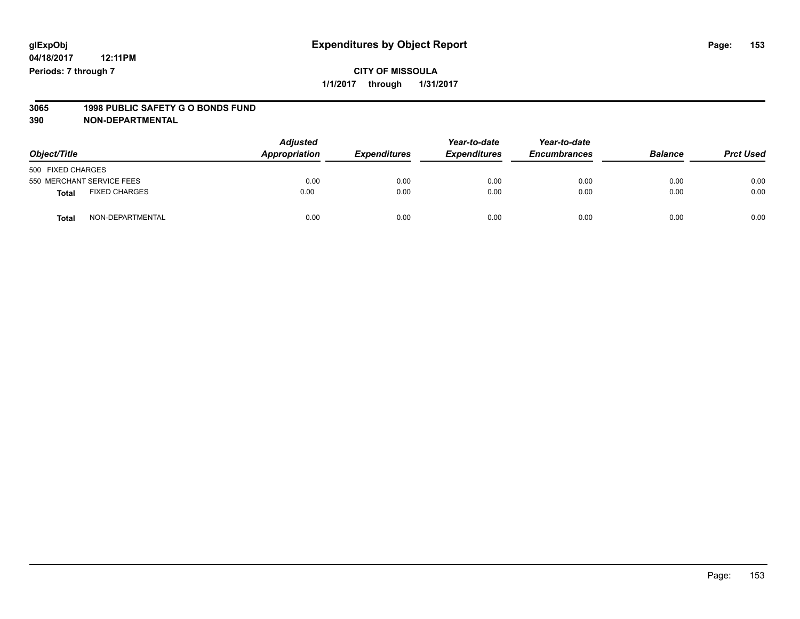# **3065 1998 PUBLIC SAFETY G O BONDS FUND**

| Object/Title                     | <b>Adjusted</b><br>Appropriation | <b>Expenditures</b> | Year-to-date<br><b>Expenditures</b> | Year-to-date<br><b>Encumbrances</b> | <b>Balance</b> | <b>Prct Used</b> |
|----------------------------------|----------------------------------|---------------------|-------------------------------------|-------------------------------------|----------------|------------------|
| 500 FIXED CHARGES                |                                  |                     |                                     |                                     |                |                  |
| 550 MERCHANT SERVICE FEES        | 0.00                             | 0.00                | 0.00                                | 0.00                                | 0.00           | 0.00             |
| <b>FIXED CHARGES</b><br>Total    | 0.00                             | 0.00                | 0.00                                | 0.00                                | 0.00           | 0.00             |
| NON-DEPARTMENTAL<br><b>Total</b> | 0.00                             | 0.00                | 0.00                                | 0.00                                | 0.00           | 0.00             |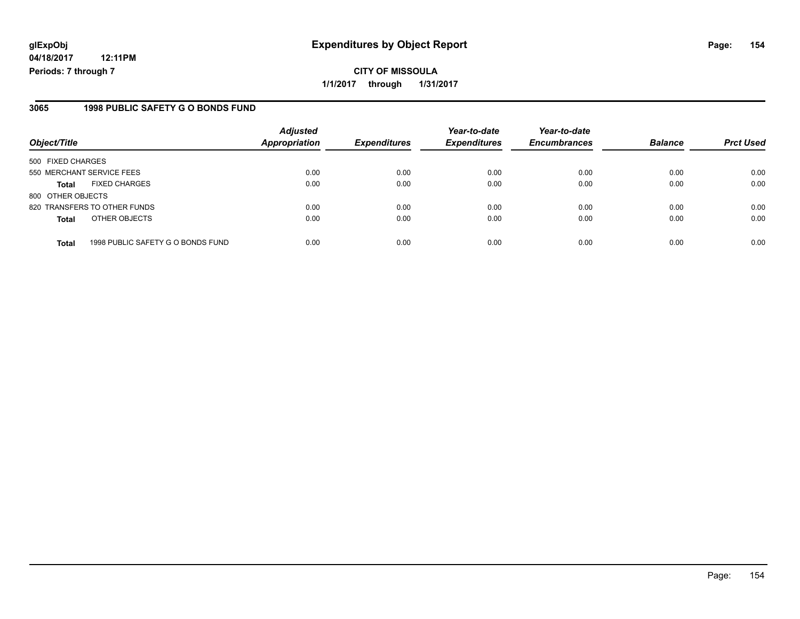### **3065 1998 PUBLIC SAFETY G O BONDS FUND**

| Object/Title              |                                   | <b>Adjusted</b><br><b>Appropriation</b> | <b>Expenditures</b> | Year-to-date<br><b>Expenditures</b> | Year-to-date<br><b>Encumbrances</b> | <b>Balance</b> | <b>Prct Used</b> |
|---------------------------|-----------------------------------|-----------------------------------------|---------------------|-------------------------------------|-------------------------------------|----------------|------------------|
| 500 FIXED CHARGES         |                                   |                                         |                     |                                     |                                     |                |                  |
| 550 MERCHANT SERVICE FEES |                                   | 0.00                                    | 0.00                | 0.00                                | 0.00                                | 0.00           | 0.00             |
| <b>Total</b>              | <b>FIXED CHARGES</b>              | 0.00                                    | 0.00                | 0.00                                | 0.00                                | 0.00           | 0.00             |
| 800 OTHER OBJECTS         |                                   |                                         |                     |                                     |                                     |                |                  |
|                           | 820 TRANSFERS TO OTHER FUNDS      | 0.00                                    | 0.00                | 0.00                                | 0.00                                | 0.00           | 0.00             |
| <b>Total</b>              | OTHER OBJECTS                     | 0.00                                    | 0.00                | 0.00                                | 0.00                                | 0.00           | 0.00             |
| <b>Total</b>              | 1998 PUBLIC SAFETY G O BONDS FUND | 0.00                                    | 0.00                | 0.00                                | 0.00                                | 0.00           | 0.00             |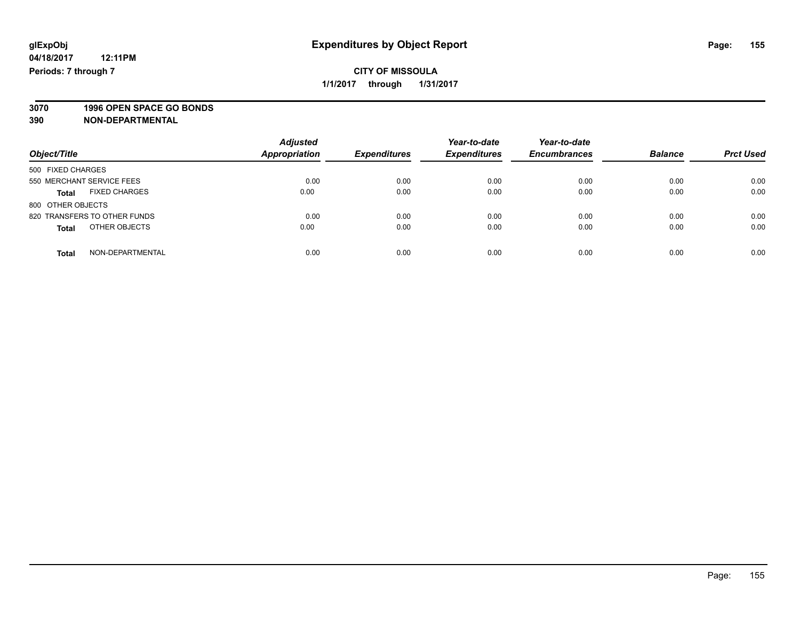**3070 1996 OPEN SPACE GO BONDS**

| Object/Title                         | <b>Adjusted</b><br><b>Appropriation</b> | <b>Expenditures</b> | Year-to-date<br><b>Expenditures</b> | Year-to-date<br><b>Encumbrances</b> | <b>Balance</b> | <b>Prct Used</b> |
|--------------------------------------|-----------------------------------------|---------------------|-------------------------------------|-------------------------------------|----------------|------------------|
| 500 FIXED CHARGES                    |                                         |                     |                                     |                                     |                |                  |
| 550 MERCHANT SERVICE FEES            | 0.00                                    | 0.00                | 0.00                                | 0.00                                | 0.00           | 0.00             |
| <b>FIXED CHARGES</b><br><b>Total</b> | 0.00                                    | 0.00                | 0.00                                | 0.00                                | 0.00           | 0.00             |
| 800 OTHER OBJECTS                    |                                         |                     |                                     |                                     |                |                  |
| 820 TRANSFERS TO OTHER FUNDS         | 0.00                                    | 0.00                | 0.00                                | 0.00                                | 0.00           | 0.00             |
| OTHER OBJECTS<br><b>Total</b>        | 0.00                                    | 0.00                | 0.00                                | 0.00                                | 0.00           | 0.00             |
| NON-DEPARTMENTAL<br><b>Total</b>     | 0.00                                    | 0.00                | 0.00                                | 0.00                                | 0.00           | 0.00             |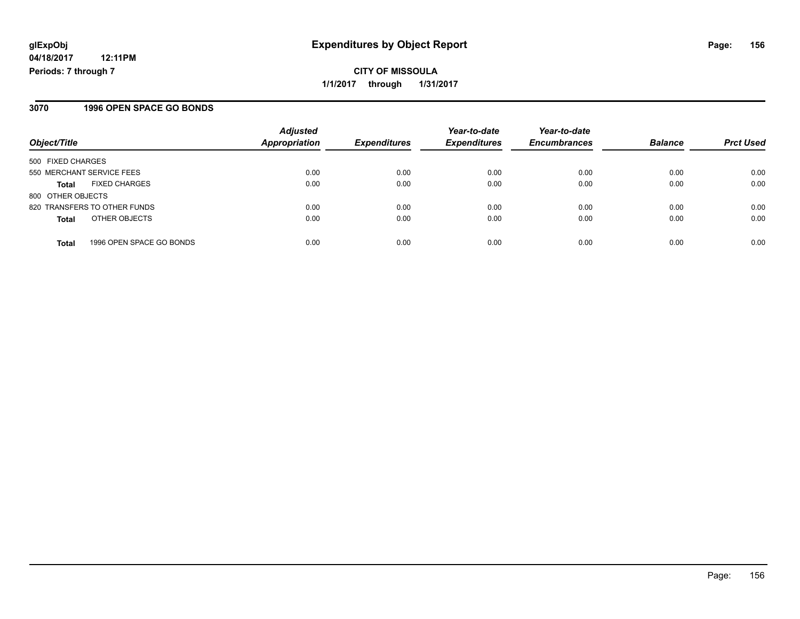## **CITY OF MISSOULA 1/1/2017 through 1/31/2017**

### **3070 1996 OPEN SPACE GO BONDS**

| Object/Title                             | <b>Adjusted</b><br>Appropriation | <b>Expenditures</b> | Year-to-date<br><b>Expenditures</b> | Year-to-date<br><b>Encumbrances</b> | <b>Balance</b> | <b>Prct Used</b> |
|------------------------------------------|----------------------------------|---------------------|-------------------------------------|-------------------------------------|----------------|------------------|
| 500 FIXED CHARGES                        |                                  |                     |                                     |                                     |                |                  |
| 550 MERCHANT SERVICE FEES                | 0.00                             | 0.00                | 0.00                                | 0.00                                | 0.00           | 0.00             |
| <b>FIXED CHARGES</b><br><b>Total</b>     | 0.00                             | 0.00                | 0.00                                | 0.00                                | 0.00           | 0.00             |
| 800 OTHER OBJECTS                        |                                  |                     |                                     |                                     |                |                  |
| 820 TRANSFERS TO OTHER FUNDS             | 0.00                             | 0.00                | 0.00                                | 0.00                                | 0.00           | 0.00             |
| OTHER OBJECTS<br><b>Total</b>            | 0.00                             | 0.00                | 0.00                                | 0.00                                | 0.00           | 0.00             |
| 1996 OPEN SPACE GO BONDS<br><b>Total</b> | 0.00                             | 0.00                | 0.00                                | 0.00                                | 0.00           | 0.00             |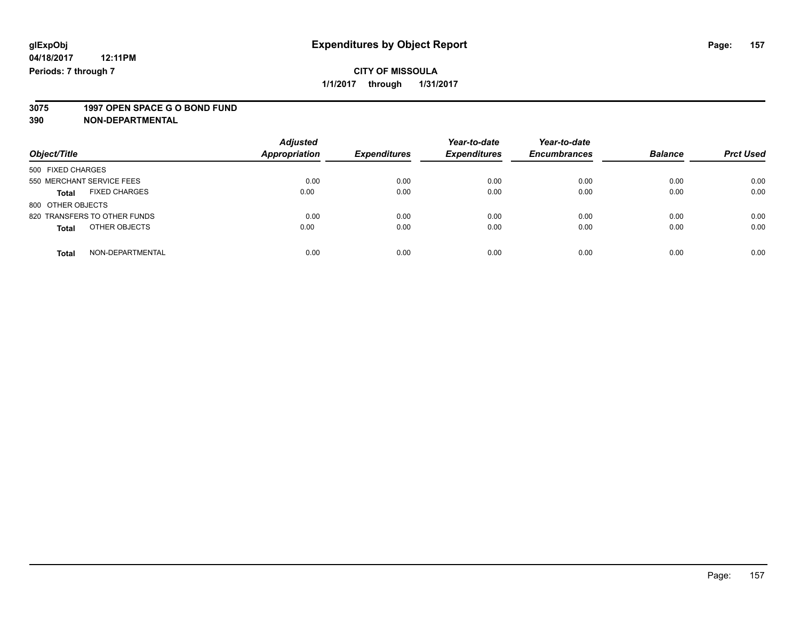# **3075 1997 OPEN SPACE G O BOND FUND**

| Object/Title                         | <b>Adjusted</b><br>Appropriation | <b>Expenditures</b> | Year-to-date<br><b>Expenditures</b> | Year-to-date<br><b>Encumbrances</b> | <b>Balance</b> | <b>Prct Used</b> |
|--------------------------------------|----------------------------------|---------------------|-------------------------------------|-------------------------------------|----------------|------------------|
| 500 FIXED CHARGES                    |                                  |                     |                                     |                                     |                |                  |
| 550 MERCHANT SERVICE FEES            | 0.00                             | 0.00                | 0.00                                | 0.00                                | 0.00           | 0.00             |
| <b>FIXED CHARGES</b><br><b>Total</b> | 0.00                             | 0.00                | 0.00                                | 0.00                                | 0.00           | 0.00             |
| 800 OTHER OBJECTS                    |                                  |                     |                                     |                                     |                |                  |
| 820 TRANSFERS TO OTHER FUNDS         | 0.00                             | 0.00                | 0.00                                | 0.00                                | 0.00           | 0.00             |
| OTHER OBJECTS<br><b>Total</b>        | 0.00                             | 0.00                | 0.00                                | 0.00                                | 0.00           | 0.00             |
| NON-DEPARTMENTAL<br>Total            | 0.00                             | 0.00                | 0.00                                | 0.00                                | 0.00           | 0.00             |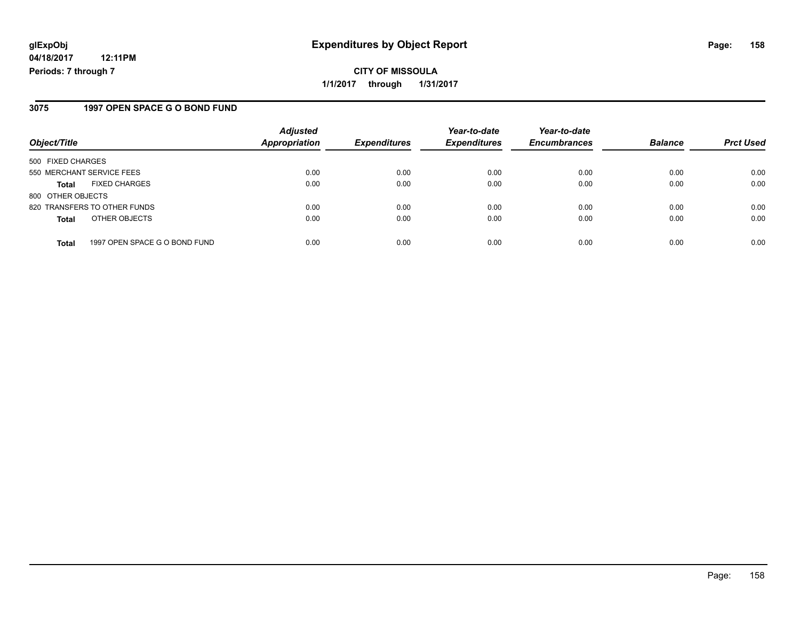### **3075 1997 OPEN SPACE G O BOND FUND**

| Object/Title              |                               | <b>Adjusted</b><br><b>Appropriation</b> | <b>Expenditures</b> | Year-to-date<br><b>Expenditures</b> | Year-to-date<br><b>Encumbrances</b> | <b>Balance</b> | <b>Prct Used</b> |
|---------------------------|-------------------------------|-----------------------------------------|---------------------|-------------------------------------|-------------------------------------|----------------|------------------|
| 500 FIXED CHARGES         |                               |                                         |                     |                                     |                                     |                |                  |
| 550 MERCHANT SERVICE FEES |                               | 0.00                                    | 0.00                | 0.00                                | 0.00                                | 0.00           | 0.00             |
| <b>Total</b>              | <b>FIXED CHARGES</b>          | 0.00                                    | 0.00                | 0.00                                | 0.00                                | 0.00           | 0.00             |
| 800 OTHER OBJECTS         |                               |                                         |                     |                                     |                                     |                |                  |
|                           | 820 TRANSFERS TO OTHER FUNDS  | 0.00                                    | 0.00                | 0.00                                | 0.00                                | 0.00           | 0.00             |
| <b>Total</b>              | OTHER OBJECTS                 | 0.00                                    | 0.00                | 0.00                                | 0.00                                | 0.00           | 0.00             |
| <b>Total</b>              | 1997 OPEN SPACE G O BOND FUND | 0.00                                    | 0.00                | 0.00                                | 0.00                                | 0.00           | 0.00             |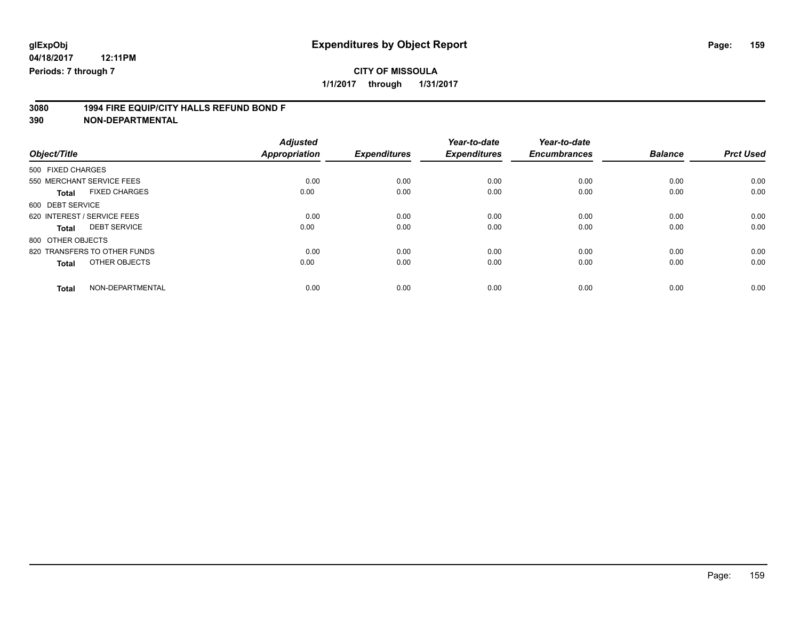## **CITY OF MISSOULA**

**1/1/2017 through 1/31/2017**

# **3080 1994 FIRE EQUIP/CITY HALLS REFUND BOND F**

|                                      | <b>Adjusted</b>      |                     | Year-to-date        | Year-to-date        |                |                  |
|--------------------------------------|----------------------|---------------------|---------------------|---------------------|----------------|------------------|
| Object/Title                         | <b>Appropriation</b> | <b>Expenditures</b> | <b>Expenditures</b> | <b>Encumbrances</b> | <b>Balance</b> | <b>Prct Used</b> |
| 500 FIXED CHARGES                    |                      |                     |                     |                     |                |                  |
| 550 MERCHANT SERVICE FEES            | 0.00                 | 0.00                | 0.00                | 0.00                | 0.00           | 0.00             |
| <b>FIXED CHARGES</b><br><b>Total</b> | 0.00                 | 0.00                | 0.00                | 0.00                | 0.00           | 0.00             |
| 600 DEBT SERVICE                     |                      |                     |                     |                     |                |                  |
| 620 INTEREST / SERVICE FEES          | 0.00                 | 0.00                | 0.00                | 0.00                | 0.00           | 0.00             |
| <b>DEBT SERVICE</b><br>Total         | 0.00                 | 0.00                | 0.00                | 0.00                | 0.00           | 0.00             |
| 800 OTHER OBJECTS                    |                      |                     |                     |                     |                |                  |
| 820 TRANSFERS TO OTHER FUNDS         | 0.00                 | 0.00                | 0.00                | 0.00                | 0.00           | 0.00             |
| OTHER OBJECTS<br><b>Total</b>        | 0.00                 | 0.00                | 0.00                | 0.00                | 0.00           | 0.00             |
| NON-DEPARTMENTAL<br><b>Total</b>     | 0.00                 | 0.00                | 0.00                | 0.00                | 0.00           | 0.00             |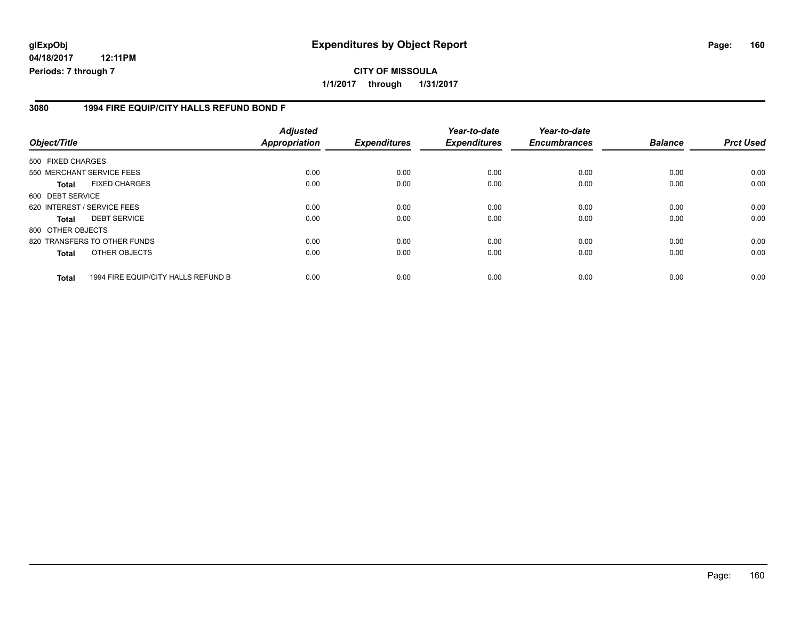## **glExpObj Expenditures by Object Report Page: 160**

**04/18/2017 12:11PM Periods: 7 through 7**

### **3080 1994 FIRE EQUIP/CITY HALLS REFUND BOND F**

| Object/Title      |                                     | <b>Adjusted</b><br>Appropriation | <b>Expenditures</b> | Year-to-date<br><b>Expenditures</b> | Year-to-date<br><b>Encumbrances</b> | <b>Balance</b> | <b>Prct Used</b> |
|-------------------|-------------------------------------|----------------------------------|---------------------|-------------------------------------|-------------------------------------|----------------|------------------|
| 500 FIXED CHARGES |                                     |                                  |                     |                                     |                                     |                |                  |
|                   | 550 MERCHANT SERVICE FEES           | 0.00                             | 0.00                | 0.00                                | 0.00                                | 0.00           | 0.00             |
| <b>Total</b>      | <b>FIXED CHARGES</b>                | 0.00                             | 0.00                | 0.00                                | 0.00                                | 0.00           | 0.00             |
| 600 DEBT SERVICE  |                                     |                                  |                     |                                     |                                     |                |                  |
|                   | 620 INTEREST / SERVICE FEES         | 0.00                             | 0.00                | 0.00                                | 0.00                                | 0.00           | 0.00             |
| <b>Total</b>      | <b>DEBT SERVICE</b>                 | 0.00                             | 0.00                | 0.00                                | 0.00                                | 0.00           | 0.00             |
| 800 OTHER OBJECTS |                                     |                                  |                     |                                     |                                     |                |                  |
|                   | 820 TRANSFERS TO OTHER FUNDS        | 0.00                             | 0.00                | 0.00                                | 0.00                                | 0.00           | 0.00             |
| <b>Total</b>      | OTHER OBJECTS                       | 0.00                             | 0.00                | 0.00                                | 0.00                                | 0.00           | 0.00             |
| <b>Total</b>      | 1994 FIRE EQUIP/CITY HALLS REFUND B | 0.00                             | 0.00                | 0.00                                | 0.00                                | 0.00           | 0.00             |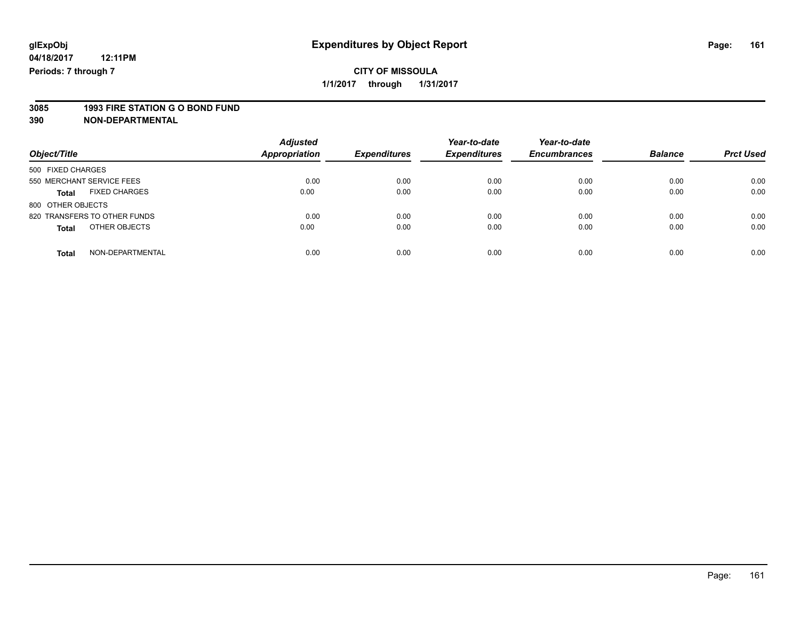## **3085 1993 FIRE STATION G O BOND FUND**

| Object/Title                  | <b>Adjusted</b><br><b>Appropriation</b> | <b>Expenditures</b> | Year-to-date<br><b>Expenditures</b> | Year-to-date<br><b>Encumbrances</b> | <b>Balance</b> | <b>Prct Used</b> |
|-------------------------------|-----------------------------------------|---------------------|-------------------------------------|-------------------------------------|----------------|------------------|
| 500 FIXED CHARGES             |                                         |                     |                                     |                                     |                |                  |
| 550 MERCHANT SERVICE FEES     | 0.00                                    | 0.00                | 0.00                                | 0.00                                | 0.00           | 0.00             |
| <b>FIXED CHARGES</b><br>Total | 0.00                                    | 0.00                | 0.00                                | 0.00                                | 0.00           | 0.00             |
| 800 OTHER OBJECTS             |                                         |                     |                                     |                                     |                |                  |
| 820 TRANSFERS TO OTHER FUNDS  | 0.00                                    | 0.00                | 0.00                                | 0.00                                | 0.00           | 0.00             |
| OTHER OBJECTS<br><b>Total</b> | 0.00                                    | 0.00                | 0.00                                | 0.00                                | 0.00           | 0.00             |
| NON-DEPARTMENTAL<br>Total     | 0.00                                    | 0.00                | 0.00                                | 0.00                                | 0.00           | 0.00             |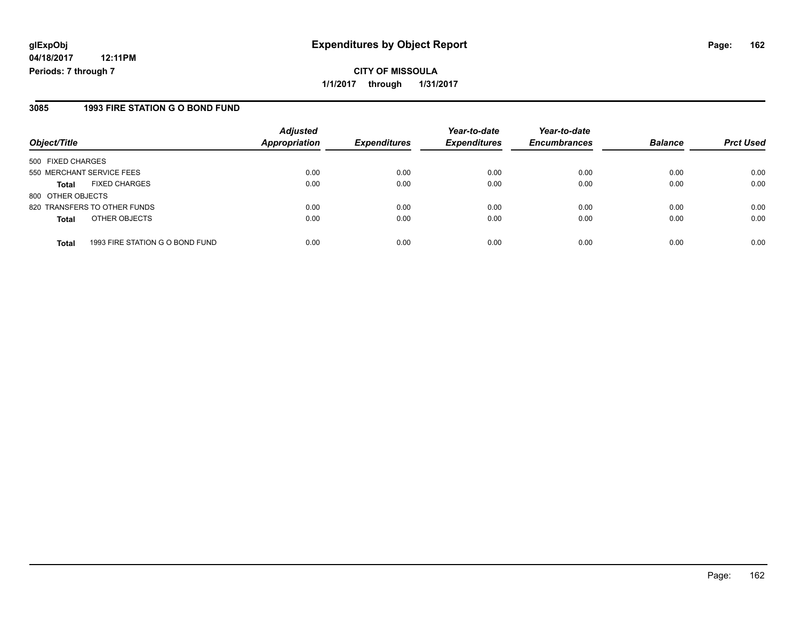#### **3085 1993 FIRE STATION G O BOND FUND**

| Object/Title                                    | <b>Adjusted</b><br>Appropriation | <b>Expenditures</b> | Year-to-date<br><b>Expenditures</b> | Year-to-date<br><b>Encumbrances</b> | <b>Balance</b> | <b>Prct Used</b> |
|-------------------------------------------------|----------------------------------|---------------------|-------------------------------------|-------------------------------------|----------------|------------------|
| 500 FIXED CHARGES                               |                                  |                     |                                     |                                     |                |                  |
| 550 MERCHANT SERVICE FEES                       | 0.00                             | 0.00                | 0.00                                | 0.00                                | 0.00           | 0.00             |
| <b>FIXED CHARGES</b><br><b>Total</b>            | 0.00                             | 0.00                | 0.00                                | 0.00                                | 0.00           | 0.00             |
| 800 OTHER OBJECTS                               |                                  |                     |                                     |                                     |                |                  |
| 820 TRANSFERS TO OTHER FUNDS                    | 0.00                             | 0.00                | 0.00                                | 0.00                                | 0.00           | 0.00             |
| OTHER OBJECTS<br><b>Total</b>                   | 0.00                             | 0.00                | 0.00                                | 0.00                                | 0.00           | 0.00             |
| 1993 FIRE STATION G O BOND FUND<br><b>Total</b> | 0.00                             | 0.00                | 0.00                                | 0.00                                | 0.00           | 0.00             |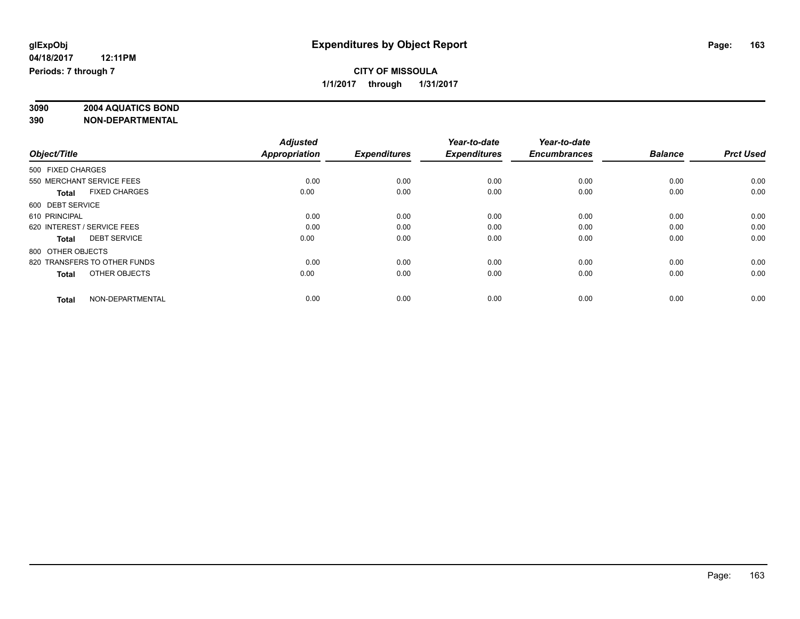# **3090 2004 AQUATICS BOND**

|                                      | <b>Adjusted</b>      |                     | Year-to-date        | Year-to-date        |                |                  |
|--------------------------------------|----------------------|---------------------|---------------------|---------------------|----------------|------------------|
| Object/Title                         | <b>Appropriation</b> | <b>Expenditures</b> | <b>Expenditures</b> | <b>Encumbrances</b> | <b>Balance</b> | <b>Prct Used</b> |
| 500 FIXED CHARGES                    |                      |                     |                     |                     |                |                  |
| 550 MERCHANT SERVICE FEES            | 0.00                 | 0.00                | 0.00                | 0.00                | 0.00           | 0.00             |
| <b>FIXED CHARGES</b><br><b>Total</b> | 0.00                 | 0.00                | 0.00                | 0.00                | 0.00           | 0.00             |
| 600 DEBT SERVICE                     |                      |                     |                     |                     |                |                  |
| 610 PRINCIPAL                        | 0.00                 | 0.00                | 0.00                | 0.00                | 0.00           | 0.00             |
| 620 INTEREST / SERVICE FEES          | 0.00                 | 0.00                | 0.00                | 0.00                | 0.00           | 0.00             |
| <b>DEBT SERVICE</b><br><b>Total</b>  | 0.00                 | 0.00                | 0.00                | 0.00                | 0.00           | 0.00             |
| 800 OTHER OBJECTS                    |                      |                     |                     |                     |                |                  |
| 820 TRANSFERS TO OTHER FUNDS         | 0.00                 | 0.00                | 0.00                | 0.00                | 0.00           | 0.00             |
| OTHER OBJECTS<br><b>Total</b>        | 0.00                 | 0.00                | 0.00                | 0.00                | 0.00           | 0.00             |
|                                      |                      |                     |                     |                     |                |                  |
| NON-DEPARTMENTAL<br><b>Total</b>     | 0.00                 | 0.00                | 0.00                | 0.00                | 0.00           | 0.00             |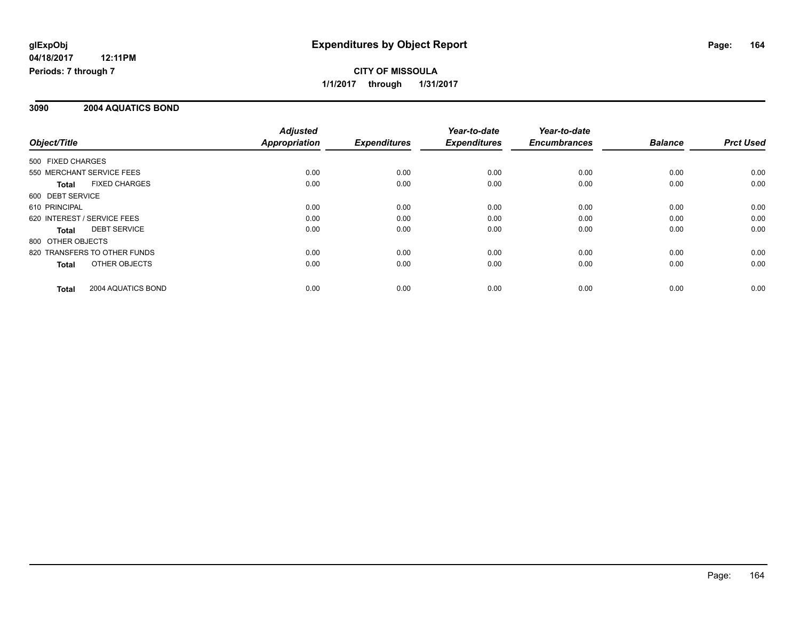## **CITY OF MISSOULA 1/1/2017 through 1/31/2017**

### **3090 2004 AQUATICS BOND**

|                              |                      | <b>Adjusted</b>      |                     | Year-to-date        | Year-to-date        |                |                  |
|------------------------------|----------------------|----------------------|---------------------|---------------------|---------------------|----------------|------------------|
| Object/Title                 |                      | <b>Appropriation</b> | <b>Expenditures</b> | <b>Expenditures</b> | <b>Encumbrances</b> | <b>Balance</b> | <b>Prct Used</b> |
| 500 FIXED CHARGES            |                      |                      |                     |                     |                     |                |                  |
| 550 MERCHANT SERVICE FEES    |                      | 0.00                 | 0.00                | 0.00                | 0.00                | 0.00           | 0.00             |
| Total                        | <b>FIXED CHARGES</b> | 0.00                 | 0.00                | 0.00                | 0.00                | 0.00           | 0.00             |
| 600 DEBT SERVICE             |                      |                      |                     |                     |                     |                |                  |
| 610 PRINCIPAL                |                      | 0.00                 | 0.00                | 0.00                | 0.00                | 0.00           | 0.00             |
| 620 INTEREST / SERVICE FEES  |                      | 0.00                 | 0.00                | 0.00                | 0.00                | 0.00           | 0.00             |
| Total                        | <b>DEBT SERVICE</b>  | 0.00                 | 0.00                | 0.00                | 0.00                | 0.00           | 0.00             |
| 800 OTHER OBJECTS            |                      |                      |                     |                     |                     |                |                  |
| 820 TRANSFERS TO OTHER FUNDS |                      | 0.00                 | 0.00                | 0.00                | 0.00                | 0.00           | 0.00             |
| Total                        | OTHER OBJECTS        | 0.00                 | 0.00                | 0.00                | 0.00                | 0.00           | 0.00             |
| Total                        | 2004 AQUATICS BOND   | 0.00                 | 0.00                | 0.00                | 0.00                | 0.00           | 0.00             |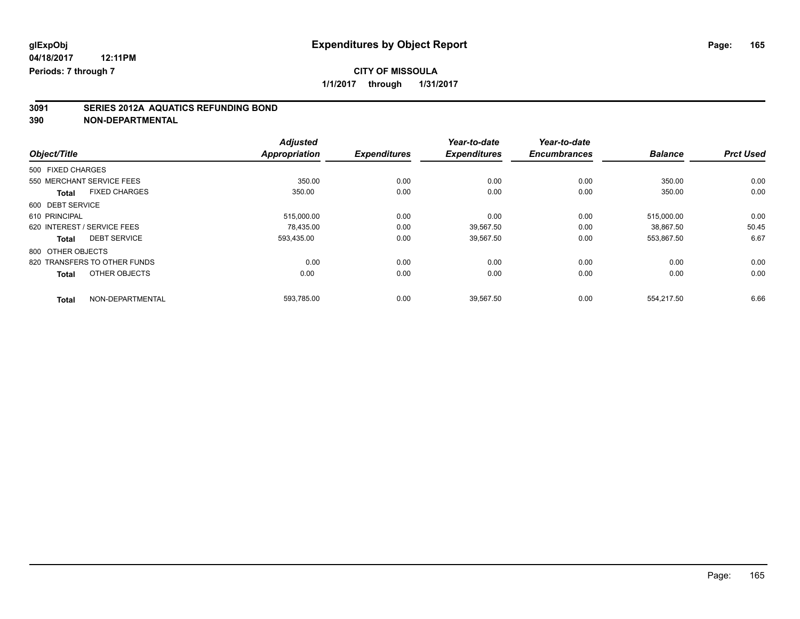**1/1/2017 through 1/31/2017**

# **3091 SERIES 2012A AQUATICS REFUNDING BOND**

|                              |                      | <b>Adjusted</b>      |                     | Year-to-date        | Year-to-date        |                |                  |
|------------------------------|----------------------|----------------------|---------------------|---------------------|---------------------|----------------|------------------|
| Object/Title                 |                      | <b>Appropriation</b> | <b>Expenditures</b> | <b>Expenditures</b> | <b>Encumbrances</b> | <b>Balance</b> | <b>Prct Used</b> |
| 500 FIXED CHARGES            |                      |                      |                     |                     |                     |                |                  |
| 550 MERCHANT SERVICE FEES    |                      | 350.00               | 0.00                | 0.00                | 0.00                | 350.00         | 0.00             |
| <b>Total</b>                 | <b>FIXED CHARGES</b> | 350.00               | 0.00                | 0.00                | 0.00                | 350.00         | 0.00             |
| 600 DEBT SERVICE             |                      |                      |                     |                     |                     |                |                  |
| 610 PRINCIPAL                |                      | 515,000.00           | 0.00                | 0.00                | 0.00                | 515,000.00     | 0.00             |
| 620 INTEREST / SERVICE FEES  |                      | 78.435.00            | 0.00                | 39.567.50           | 0.00                | 38.867.50      | 50.45            |
| <b>Total</b>                 | <b>DEBT SERVICE</b>  | 593,435.00           | 0.00                | 39,567.50           | 0.00                | 553,867.50     | 6.67             |
| 800 OTHER OBJECTS            |                      |                      |                     |                     |                     |                |                  |
| 820 TRANSFERS TO OTHER FUNDS |                      | 0.00                 | 0.00                | 0.00                | 0.00                | 0.00           | 0.00             |
| <b>Total</b>                 | OTHER OBJECTS        | 0.00                 | 0.00                | 0.00                | 0.00                | 0.00           | 0.00             |
| <b>Total</b>                 | NON-DEPARTMENTAL     | 593.785.00           | 0.00                | 39.567.50           | 0.00                | 554.217.50     | 6.66             |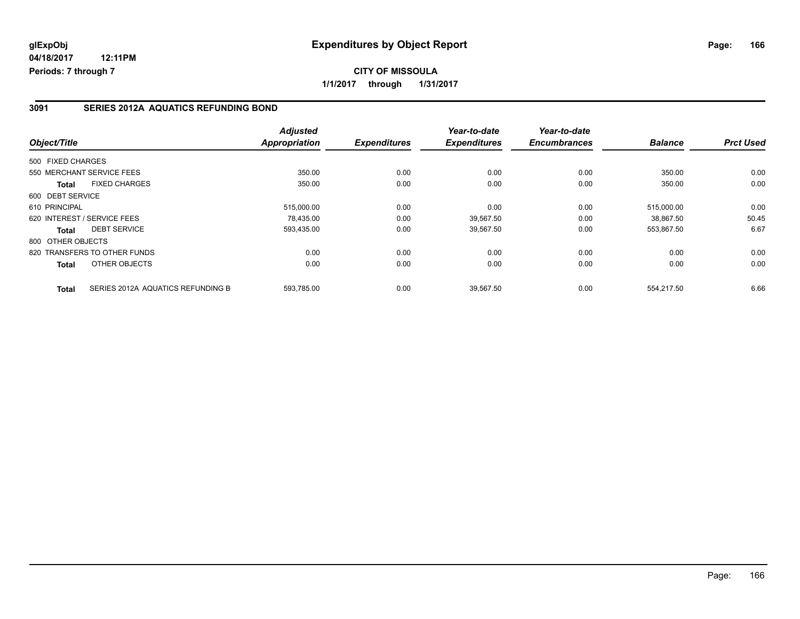#### **3091 SERIES 2012A AQUATICS REFUNDING BOND**

| Object/Title                |                                   | <b>Adjusted</b><br><b>Appropriation</b> | <b>Expenditures</b> | Year-to-date<br><b>Expenditures</b> | Year-to-date<br><b>Encumbrances</b> | <b>Balance</b> | <b>Prct Used</b> |
|-----------------------------|-----------------------------------|-----------------------------------------|---------------------|-------------------------------------|-------------------------------------|----------------|------------------|
| 500 FIXED CHARGES           |                                   |                                         |                     |                                     |                                     |                |                  |
|                             | 550 MERCHANT SERVICE FEES         | 350.00                                  | 0.00                | 0.00                                | 0.00                                | 350.00         | 0.00             |
| <b>Total</b>                | <b>FIXED CHARGES</b>              | 350.00                                  | 0.00                | 0.00                                | 0.00                                | 350.00         | 0.00             |
| 600 DEBT SERVICE            |                                   |                                         |                     |                                     |                                     |                |                  |
| 610 PRINCIPAL               |                                   | 515,000.00                              | 0.00                | 0.00                                | 0.00                                | 515.000.00     | 0.00             |
| 620 INTEREST / SERVICE FEES |                                   | 78.435.00                               | 0.00                | 39.567.50                           | 0.00                                | 38.867.50      | 50.45            |
| Total                       | <b>DEBT SERVICE</b>               | 593,435.00                              | 0.00                | 39,567.50                           | 0.00                                | 553,867.50     | 6.67             |
| 800 OTHER OBJECTS           |                                   |                                         |                     |                                     |                                     |                |                  |
|                             | 820 TRANSFERS TO OTHER FUNDS      | 0.00                                    | 0.00                | 0.00                                | 0.00                                | 0.00           | 0.00             |
| <b>Total</b>                | OTHER OBJECTS                     | 0.00                                    | 0.00                | 0.00                                | 0.00                                | 0.00           | 0.00             |
| <b>Total</b>                | SERIES 2012A AQUATICS REFUNDING B | 593,785.00                              | 0.00                | 39,567.50                           | 0.00                                | 554,217.50     | 6.66             |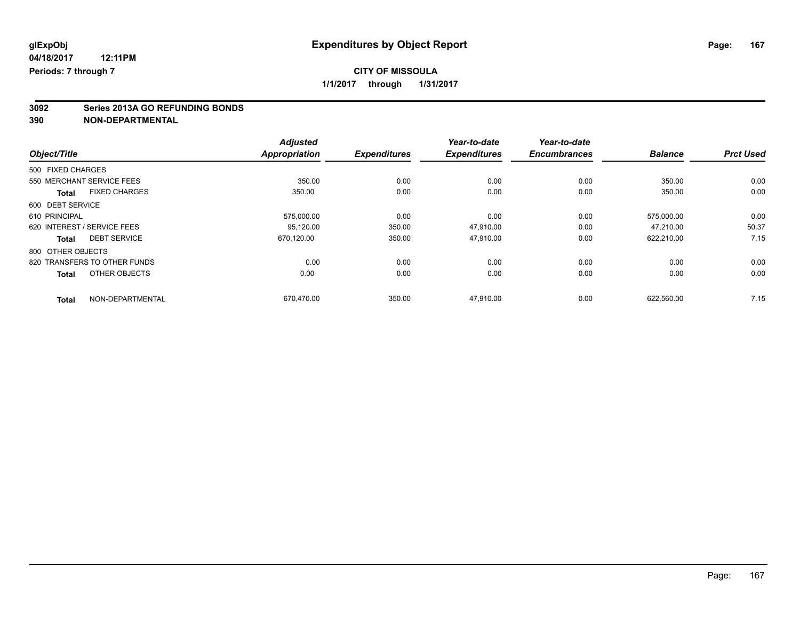**3092 Series 2013A GO REFUNDING BONDS**

|                                      | <b>Adjusted</b>      |                     | Year-to-date        | Year-to-date        |                |                  |
|--------------------------------------|----------------------|---------------------|---------------------|---------------------|----------------|------------------|
| Object/Title                         | <b>Appropriation</b> | <b>Expenditures</b> | <b>Expenditures</b> | <b>Encumbrances</b> | <b>Balance</b> | <b>Prct Used</b> |
| 500 FIXED CHARGES                    |                      |                     |                     |                     |                |                  |
| 550 MERCHANT SERVICE FEES            | 350.00               | 0.00                | 0.00                | 0.00                | 350.00         | 0.00             |
| <b>FIXED CHARGES</b><br><b>Total</b> | 350.00               | 0.00                | 0.00                | 0.00                | 350.00         | 0.00             |
| 600 DEBT SERVICE                     |                      |                     |                     |                     |                |                  |
| 610 PRINCIPAL                        | 575,000.00           | 0.00                | 0.00                | 0.00                | 575,000.00     | 0.00             |
| 620 INTEREST / SERVICE FEES          | 95.120.00            | 350.00              | 47.910.00           | 0.00                | 47.210.00      | 50.37            |
| <b>DEBT SERVICE</b><br><b>Total</b>  | 670,120.00           | 350.00              | 47,910.00           | 0.00                | 622,210.00     | 7.15             |
| 800 OTHER OBJECTS                    |                      |                     |                     |                     |                |                  |
| 820 TRANSFERS TO OTHER FUNDS         | 0.00                 | 0.00                | 0.00                | 0.00                | 0.00           | 0.00             |
| OTHER OBJECTS<br><b>Total</b>        | 0.00                 | 0.00                | 0.00                | 0.00                | 0.00           | 0.00             |
| NON-DEPARTMENTAL<br><b>Total</b>     | 670.470.00           | 350.00              | 47,910.00           | 0.00                | 622.560.00     | 7.15             |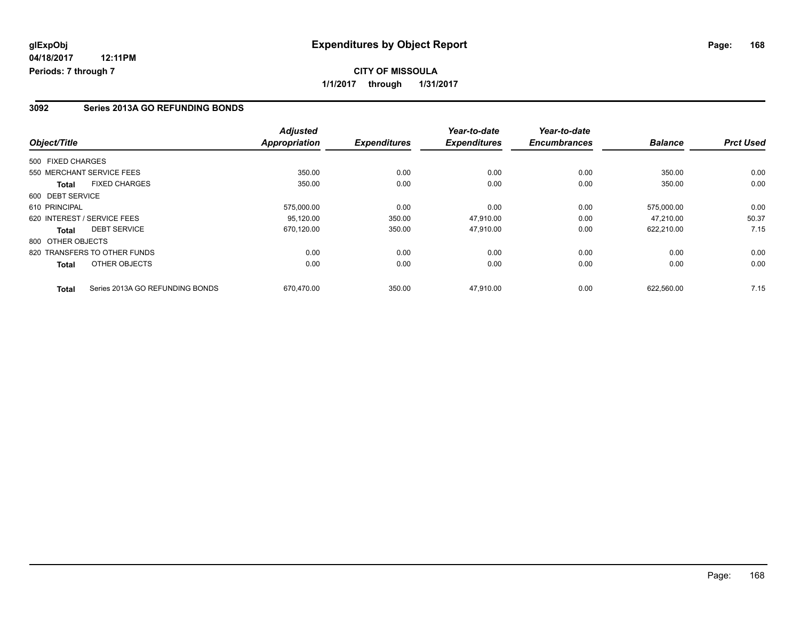#### **3092 Series 2013A GO REFUNDING BONDS**

| Object/Title      |                                 | <b>Adjusted</b><br><b>Appropriation</b> | <b>Expenditures</b> | Year-to-date<br><b>Expenditures</b> | Year-to-date<br><b>Encumbrances</b> | <b>Balance</b> | <b>Prct Used</b> |
|-------------------|---------------------------------|-----------------------------------------|---------------------|-------------------------------------|-------------------------------------|----------------|------------------|
|                   |                                 |                                         |                     |                                     |                                     |                |                  |
| 500 FIXED CHARGES |                                 |                                         |                     |                                     |                                     |                |                  |
|                   | 550 MERCHANT SERVICE FEES       | 350.00                                  | 0.00                | 0.00                                | 0.00                                | 350.00         | 0.00             |
| <b>Total</b>      | <b>FIXED CHARGES</b>            | 350.00                                  | 0.00                | 0.00                                | 0.00                                | 350.00         | 0.00             |
| 600 DEBT SERVICE  |                                 |                                         |                     |                                     |                                     |                |                  |
| 610 PRINCIPAL     |                                 | 575,000.00                              | 0.00                | 0.00                                | 0.00                                | 575.000.00     | 0.00             |
|                   | 620 INTEREST / SERVICE FEES     | 95,120.00                               | 350.00              | 47.910.00                           | 0.00                                | 47.210.00      | 50.37            |
| Total             | <b>DEBT SERVICE</b>             | 670,120.00                              | 350.00              | 47,910.00                           | 0.00                                | 622,210.00     | 7.15             |
| 800 OTHER OBJECTS |                                 |                                         |                     |                                     |                                     |                |                  |
|                   | 820 TRANSFERS TO OTHER FUNDS    | 0.00                                    | 0.00                | 0.00                                | 0.00                                | 0.00           | 0.00             |
| <b>Total</b>      | OTHER OBJECTS                   | 0.00                                    | 0.00                | 0.00                                | 0.00                                | 0.00           | 0.00             |
| <b>Total</b>      | Series 2013A GO REFUNDING BONDS | 670,470.00                              | 350.00              | 47,910.00                           | 0.00                                | 622,560.00     | 7.15             |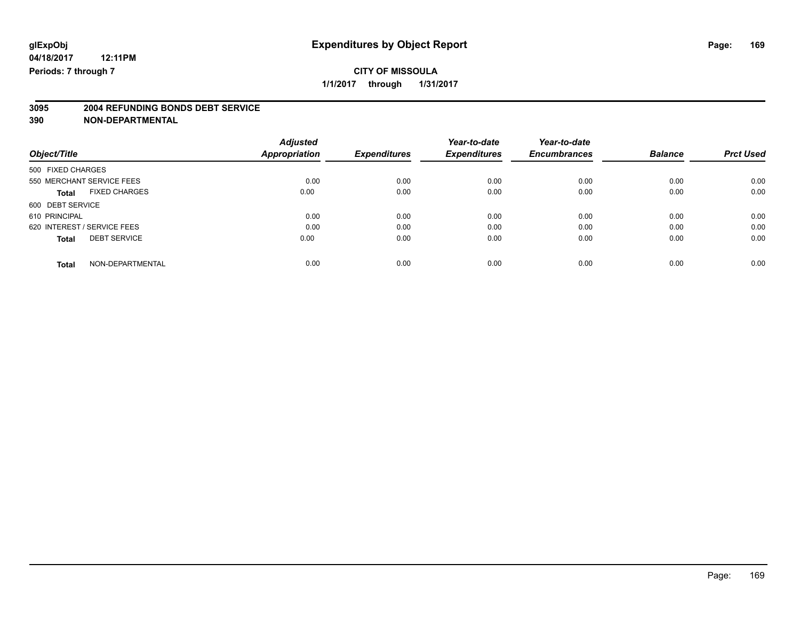**3095 2004 REFUNDING BONDS DEBT SERVICE**

|                                     | <b>Adjusted</b>      |                     | Year-to-date        | Year-to-date        |                |                  |
|-------------------------------------|----------------------|---------------------|---------------------|---------------------|----------------|------------------|
| Object/Title                        | <b>Appropriation</b> | <b>Expenditures</b> | <b>Expenditures</b> | <b>Encumbrances</b> | <b>Balance</b> | <b>Prct Used</b> |
| 500 FIXED CHARGES                   |                      |                     |                     |                     |                |                  |
| 550 MERCHANT SERVICE FEES           | 0.00                 | 0.00                | 0.00                | 0.00                | 0.00           | 0.00             |
| <b>FIXED CHARGES</b><br>Total       | 0.00                 | 0.00                | 0.00                | 0.00                | 0.00           | 0.00             |
| 600 DEBT SERVICE                    |                      |                     |                     |                     |                |                  |
| 610 PRINCIPAL                       | 0.00                 | 0.00                | 0.00                | 0.00                | 0.00           | 0.00             |
| 620 INTEREST / SERVICE FEES         | 0.00                 | 0.00                | 0.00                | 0.00                | 0.00           | 0.00             |
| <b>DEBT SERVICE</b><br><b>Total</b> | 0.00                 | 0.00                | 0.00                | 0.00                | 0.00           | 0.00             |
| NON-DEPARTMENTAL<br><b>Total</b>    | 0.00                 | 0.00                | 0.00                | 0.00                | 0.00           | 0.00             |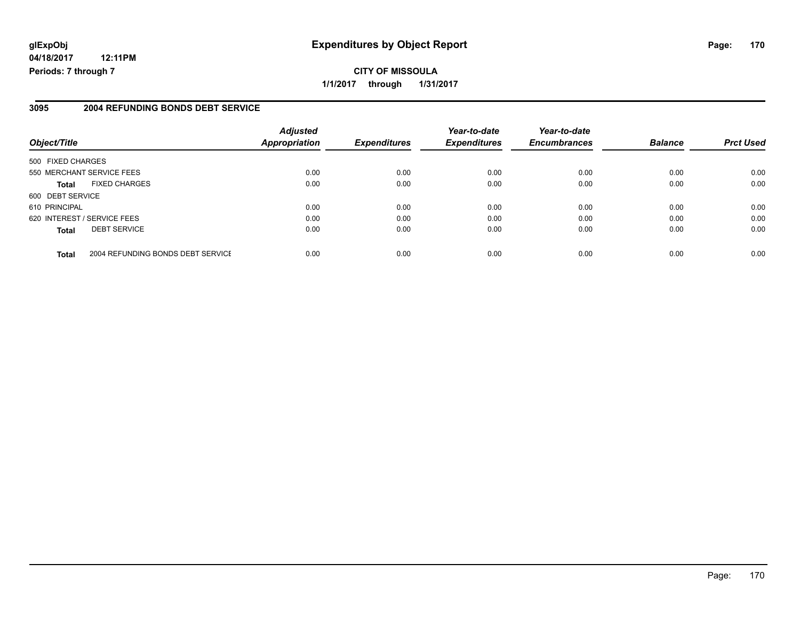## **glExpObj Expenditures by Object Report Page: 170**

**04/18/2017 12:11PM Periods: 7 through 7**

### **3095 2004 REFUNDING BONDS DEBT SERVICE**

| Object/Title                |                                   | <b>Adjusted</b><br><b>Appropriation</b> | <b>Expenditures</b> | Year-to-date<br><b>Expenditures</b> | Year-to-date<br><b>Encumbrances</b> | <b>Balance</b> | <b>Prct Used</b> |
|-----------------------------|-----------------------------------|-----------------------------------------|---------------------|-------------------------------------|-------------------------------------|----------------|------------------|
| 500 FIXED CHARGES           |                                   |                                         |                     |                                     |                                     |                |                  |
| 550 MERCHANT SERVICE FEES   |                                   | 0.00                                    | 0.00                | 0.00                                | 0.00                                | 0.00           | 0.00             |
| Total                       | <b>FIXED CHARGES</b>              | 0.00                                    | 0.00                | 0.00                                | 0.00                                | 0.00           | 0.00             |
| 600 DEBT SERVICE            |                                   |                                         |                     |                                     |                                     |                |                  |
| 610 PRINCIPAL               |                                   | 0.00                                    | 0.00                | 0.00                                | 0.00                                | 0.00           | 0.00             |
| 620 INTEREST / SERVICE FEES |                                   | 0.00                                    | 0.00                | 0.00                                | 0.00                                | 0.00           | 0.00             |
| <b>Total</b>                | <b>DEBT SERVICE</b>               | 0.00                                    | 0.00                | 0.00                                | 0.00                                | 0.00           | 0.00             |
| <b>Total</b>                | 2004 REFUNDING BONDS DEBT SERVICE | 0.00                                    | 0.00                | 0.00                                | 0.00                                | 0.00           | 0.00             |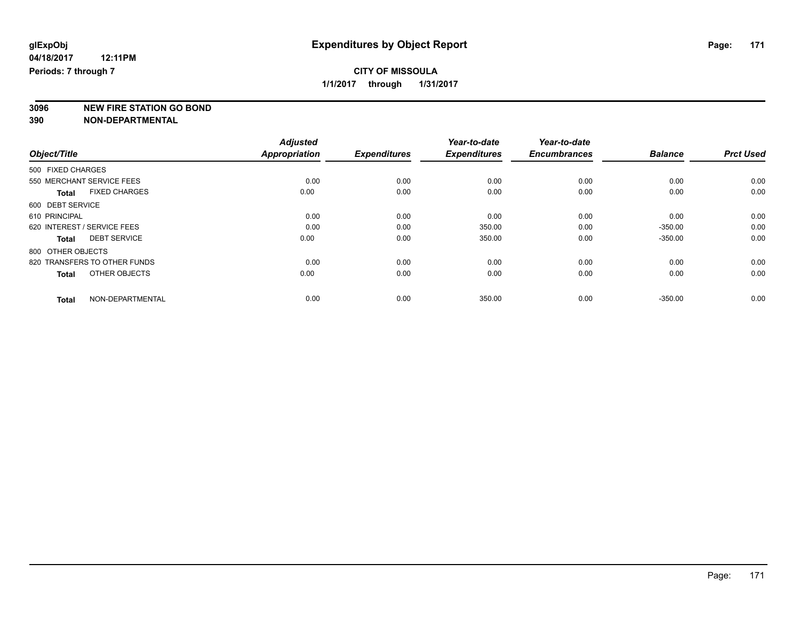**3096 NEW FIRE STATION GO BOND**

|                              |                      | <b>Adjusted</b>      |                     | Year-to-date        | Year-to-date        |                |                  |
|------------------------------|----------------------|----------------------|---------------------|---------------------|---------------------|----------------|------------------|
| Object/Title                 |                      | <b>Appropriation</b> | <b>Expenditures</b> | <b>Expenditures</b> | <b>Encumbrances</b> | <b>Balance</b> | <b>Prct Used</b> |
| 500 FIXED CHARGES            |                      |                      |                     |                     |                     |                |                  |
| 550 MERCHANT SERVICE FEES    |                      | 0.00                 | 0.00                | 0.00                | 0.00                | 0.00           | 0.00             |
| <b>Total</b>                 | <b>FIXED CHARGES</b> | 0.00                 | 0.00                | 0.00                | 0.00                | 0.00           | 0.00             |
| 600 DEBT SERVICE             |                      |                      |                     |                     |                     |                |                  |
| 610 PRINCIPAL                |                      | 0.00                 | 0.00                | 0.00                | 0.00                | 0.00           | 0.00             |
| 620 INTEREST / SERVICE FEES  |                      | 0.00                 | 0.00                | 350.00              | 0.00                | $-350.00$      | 0.00             |
| <b>Total</b>                 | <b>DEBT SERVICE</b>  | 0.00                 | 0.00                | 350.00              | 0.00                | $-350.00$      | 0.00             |
| 800 OTHER OBJECTS            |                      |                      |                     |                     |                     |                |                  |
| 820 TRANSFERS TO OTHER FUNDS |                      | 0.00                 | 0.00                | 0.00                | 0.00                | 0.00           | 0.00             |
| <b>Total</b>                 | OTHER OBJECTS        | 0.00                 | 0.00                | 0.00                | 0.00                | 0.00           | 0.00             |
| <b>Total</b>                 | NON-DEPARTMENTAL     | 0.00                 | 0.00                | 350.00              | 0.00                | $-350.00$      | 0.00             |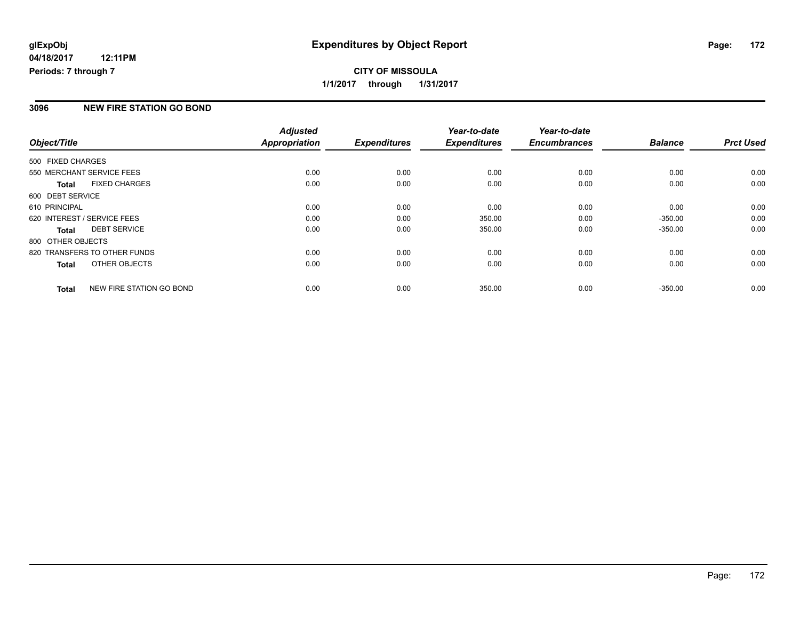#### **3096 NEW FIRE STATION GO BOND**

|                   |                              | <b>Adjusted</b> |                     | Year-to-date        | Year-to-date        |                |                  |
|-------------------|------------------------------|-----------------|---------------------|---------------------|---------------------|----------------|------------------|
| Object/Title      |                              | Appropriation   | <b>Expenditures</b> | <b>Expenditures</b> | <b>Encumbrances</b> | <b>Balance</b> | <b>Prct Used</b> |
| 500 FIXED CHARGES |                              |                 |                     |                     |                     |                |                  |
|                   | 550 MERCHANT SERVICE FEES    | 0.00            | 0.00                | 0.00                | 0.00                | 0.00           | 0.00             |
| <b>Total</b>      | <b>FIXED CHARGES</b>         | 0.00            | 0.00                | 0.00                | 0.00                | 0.00           | 0.00             |
| 600 DEBT SERVICE  |                              |                 |                     |                     |                     |                |                  |
| 610 PRINCIPAL     |                              | 0.00            | 0.00                | 0.00                | 0.00                | 0.00           | 0.00             |
|                   | 620 INTEREST / SERVICE FEES  | 0.00            | 0.00                | 350.00              | 0.00                | $-350.00$      | 0.00             |
| <b>Total</b>      | <b>DEBT SERVICE</b>          | 0.00            | 0.00                | 350.00              | 0.00                | $-350.00$      | 0.00             |
| 800 OTHER OBJECTS |                              |                 |                     |                     |                     |                |                  |
|                   | 820 TRANSFERS TO OTHER FUNDS | 0.00            | 0.00                | 0.00                | 0.00                | 0.00           | 0.00             |
| <b>Total</b>      | OTHER OBJECTS                | 0.00            | 0.00                | 0.00                | 0.00                | 0.00           | 0.00             |
| <b>Total</b>      | NEW FIRE STATION GO BOND     | 0.00            | 0.00                | 350.00              | 0.00                | $-350.00$      | 0.00             |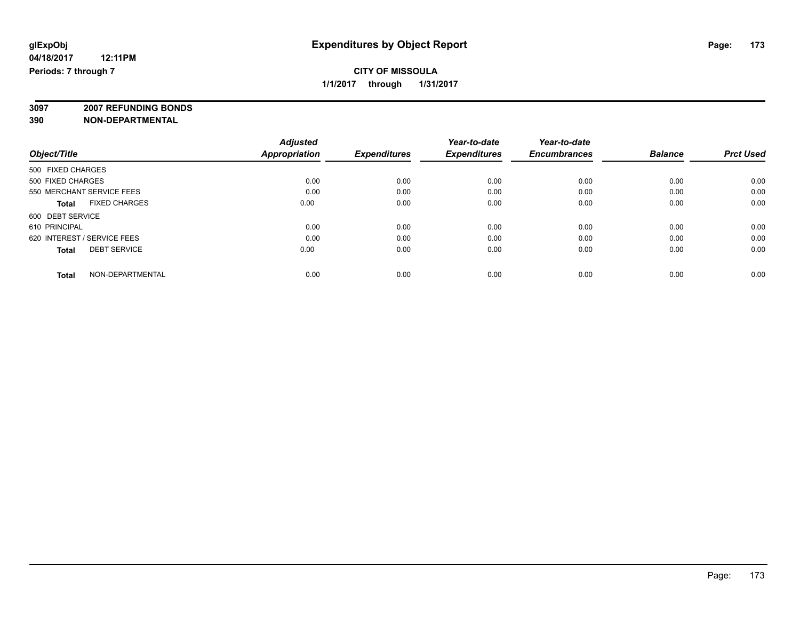**3097 2007 REFUNDING BONDS**

| Object/Title                         | <b>Adjusted</b><br><b>Appropriation</b> | <b>Expenditures</b> | Year-to-date<br><b>Expenditures</b> | Year-to-date<br><b>Encumbrances</b> | <b>Balance</b> | <b>Prct Used</b> |
|--------------------------------------|-----------------------------------------|---------------------|-------------------------------------|-------------------------------------|----------------|------------------|
| 500 FIXED CHARGES                    |                                         |                     |                                     |                                     |                |                  |
| 500 FIXED CHARGES                    | 0.00                                    | 0.00                | 0.00                                | 0.00                                | 0.00           | 0.00             |
|                                      |                                         |                     |                                     |                                     |                |                  |
| 550 MERCHANT SERVICE FEES            | 0.00                                    | 0.00                | 0.00                                | 0.00                                | 0.00           | 0.00             |
| <b>FIXED CHARGES</b><br><b>Total</b> | 0.00                                    | 0.00                | 0.00                                | 0.00                                | 0.00           | 0.00             |
| 600 DEBT SERVICE                     |                                         |                     |                                     |                                     |                |                  |
| 610 PRINCIPAL                        | 0.00                                    | 0.00                | 0.00                                | 0.00                                | 0.00           | 0.00             |
| 620 INTEREST / SERVICE FEES          | 0.00                                    | 0.00                | 0.00                                | 0.00                                | 0.00           | 0.00             |
| <b>DEBT SERVICE</b><br><b>Total</b>  | 0.00                                    | 0.00                | 0.00                                | 0.00                                | 0.00           | 0.00             |
| NON-DEPARTMENTAL<br><b>Total</b>     | 0.00                                    | 0.00                | 0.00                                | 0.00                                | 0.00           | 0.00             |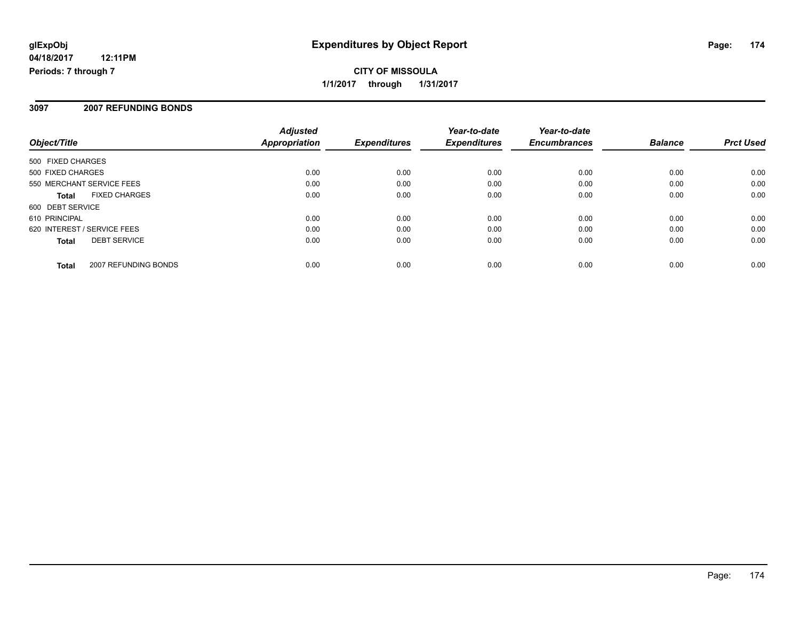**CITY OF MISSOULA 1/1/2017 through 1/31/2017**

### **3097 2007 REFUNDING BONDS**

| Object/Title                |                      | <b>Adjusted</b><br>Appropriation | <b>Expenditures</b> | Year-to-date<br><b>Expenditures</b> | Year-to-date<br><b>Encumbrances</b> | <b>Balance</b> | <b>Prct Used</b> |
|-----------------------------|----------------------|----------------------------------|---------------------|-------------------------------------|-------------------------------------|----------------|------------------|
| 500 FIXED CHARGES           |                      |                                  |                     |                                     |                                     |                |                  |
| 500 FIXED CHARGES           |                      | 0.00                             | 0.00                | 0.00                                | 0.00                                | 0.00           | 0.00             |
| 550 MERCHANT SERVICE FEES   |                      | 0.00                             | 0.00                | 0.00                                | 0.00                                | 0.00           | 0.00             |
| <b>Total</b>                | <b>FIXED CHARGES</b> | 0.00                             | 0.00                | 0.00                                | 0.00                                | 0.00           | 0.00             |
| 600 DEBT SERVICE            |                      |                                  |                     |                                     |                                     |                |                  |
| 610 PRINCIPAL               |                      | 0.00                             | 0.00                | 0.00                                | 0.00                                | 0.00           | 0.00             |
| 620 INTEREST / SERVICE FEES |                      | 0.00                             | 0.00                | 0.00                                | 0.00                                | 0.00           | 0.00             |
| <b>Total</b>                | <b>DEBT SERVICE</b>  | 0.00                             | 0.00                | 0.00                                | 0.00                                | 0.00           | 0.00             |
| <b>Total</b>                | 2007 REFUNDING BONDS | 0.00                             | 0.00                | 0.00                                | 0.00                                | 0.00           | 0.00             |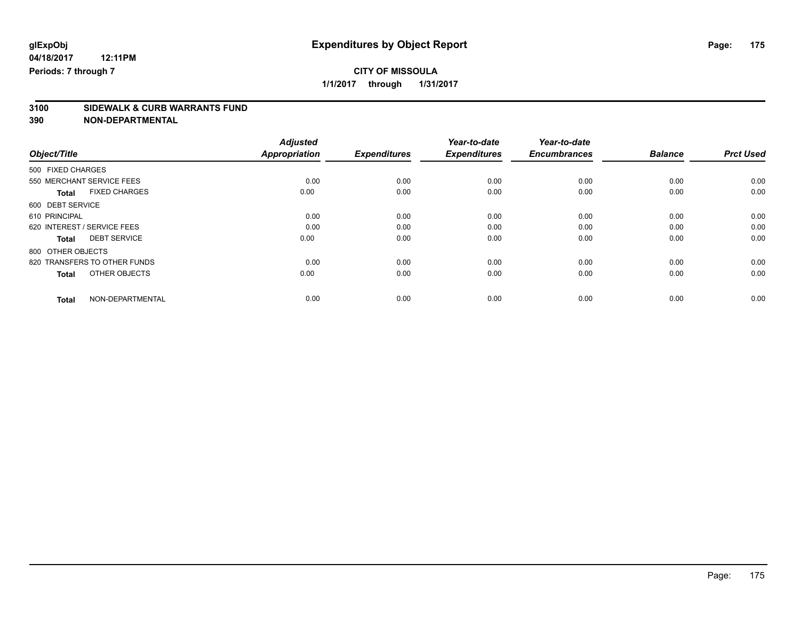**3100 SIDEWALK & CURB WARRANTS FUND**

|                              |                      | <b>Adjusted</b>      | <b>Expenditures</b> | Year-to-date<br><b>Expenditures</b> | Year-to-date<br><b>Encumbrances</b> | <b>Balance</b> | <b>Prct Used</b> |
|------------------------------|----------------------|----------------------|---------------------|-------------------------------------|-------------------------------------|----------------|------------------|
| Object/Title                 |                      | <b>Appropriation</b> |                     |                                     |                                     |                |                  |
| 500 FIXED CHARGES            |                      |                      |                     |                                     |                                     |                |                  |
| 550 MERCHANT SERVICE FEES    |                      | 0.00                 | 0.00                | 0.00                                | 0.00                                | 0.00           | 0.00             |
| <b>Total</b>                 | <b>FIXED CHARGES</b> | 0.00                 | 0.00                | 0.00                                | 0.00                                | 0.00           | 0.00             |
| 600 DEBT SERVICE             |                      |                      |                     |                                     |                                     |                |                  |
| 610 PRINCIPAL                |                      | 0.00                 | 0.00                | 0.00                                | 0.00                                | 0.00           | 0.00             |
| 620 INTEREST / SERVICE FEES  |                      | 0.00                 | 0.00                | 0.00                                | 0.00                                | 0.00           | 0.00             |
| <b>Total</b>                 | <b>DEBT SERVICE</b>  | 0.00                 | 0.00                | 0.00                                | 0.00                                | 0.00           | 0.00             |
| 800 OTHER OBJECTS            |                      |                      |                     |                                     |                                     |                |                  |
| 820 TRANSFERS TO OTHER FUNDS |                      | 0.00                 | 0.00                | 0.00                                | 0.00                                | 0.00           | 0.00             |
| <b>Total</b>                 | OTHER OBJECTS        | 0.00                 | 0.00                | 0.00                                | 0.00                                | 0.00           | 0.00             |
| <b>Total</b>                 | NON-DEPARTMENTAL     | 0.00                 | 0.00                | 0.00                                | 0.00                                | 0.00           | 0.00             |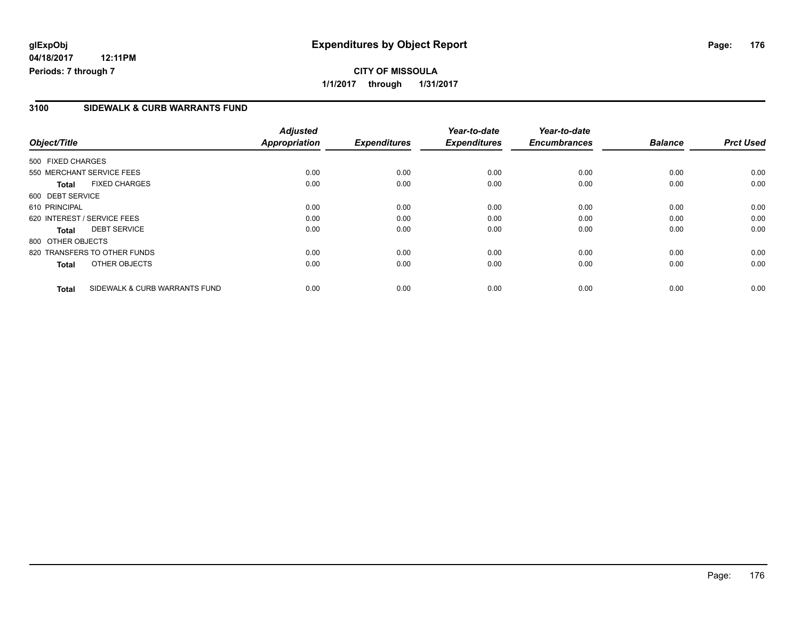### **3100 SIDEWALK & CURB WARRANTS FUND**

| Object/Title      |                               | <b>Adjusted</b><br><b>Appropriation</b> | <b>Expenditures</b> | Year-to-date<br><b>Expenditures</b> | Year-to-date<br><b>Encumbrances</b> | <b>Balance</b> | <b>Prct Used</b> |
|-------------------|-------------------------------|-----------------------------------------|---------------------|-------------------------------------|-------------------------------------|----------------|------------------|
|                   |                               |                                         |                     |                                     |                                     |                |                  |
| 500 FIXED CHARGES |                               |                                         |                     |                                     |                                     |                |                  |
|                   | 550 MERCHANT SERVICE FEES     | 0.00                                    | 0.00                | 0.00                                | 0.00                                | 0.00           | 0.00             |
| <b>Total</b>      | <b>FIXED CHARGES</b>          | 0.00                                    | 0.00                | 0.00                                | 0.00                                | 0.00           | 0.00             |
| 600 DEBT SERVICE  |                               |                                         |                     |                                     |                                     |                |                  |
| 610 PRINCIPAL     |                               | 0.00                                    | 0.00                | 0.00                                | 0.00                                | 0.00           | 0.00             |
|                   | 620 INTEREST / SERVICE FEES   | 0.00                                    | 0.00                | 0.00                                | 0.00                                | 0.00           | 0.00             |
| <b>Total</b>      | <b>DEBT SERVICE</b>           | 0.00                                    | 0.00                | 0.00                                | 0.00                                | 0.00           | 0.00             |
| 800 OTHER OBJECTS |                               |                                         |                     |                                     |                                     |                |                  |
|                   | 820 TRANSFERS TO OTHER FUNDS  | 0.00                                    | 0.00                | 0.00                                | 0.00                                | 0.00           | 0.00             |
| <b>Total</b>      | OTHER OBJECTS                 | 0.00                                    | 0.00                | 0.00                                | 0.00                                | 0.00           | 0.00             |
| <b>Total</b>      | SIDEWALK & CURB WARRANTS FUND | 0.00                                    | 0.00                | 0.00                                | 0.00                                | 0.00           | 0.00             |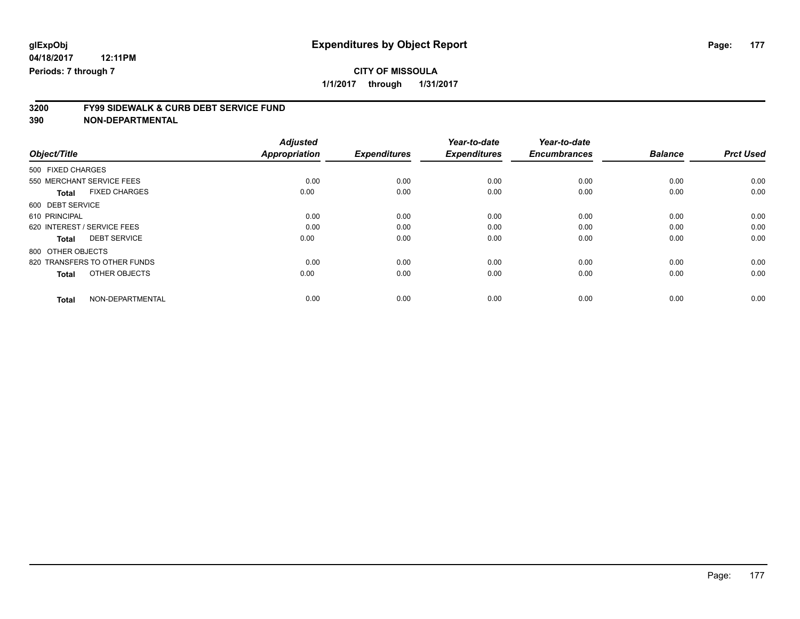**1/1/2017 through 1/31/2017**

# **3200 FY99 SIDEWALK & CURB DEBT SERVICE FUND**

|                                      | <b>Adjusted</b>      | <b>Expenditures</b> | Year-to-date<br><b>Expenditures</b> | Year-to-date<br><b>Encumbrances</b> | <b>Balance</b> | <b>Prct Used</b> |
|--------------------------------------|----------------------|---------------------|-------------------------------------|-------------------------------------|----------------|------------------|
| Object/Title                         | <b>Appropriation</b> |                     |                                     |                                     |                |                  |
| 500 FIXED CHARGES                    |                      |                     |                                     |                                     |                |                  |
| 550 MERCHANT SERVICE FEES            | 0.00                 | 0.00                | 0.00                                | 0.00                                | 0.00           | 0.00             |
| <b>FIXED CHARGES</b><br><b>Total</b> | 0.00                 | 0.00                | 0.00                                | 0.00                                | 0.00           | 0.00             |
| 600 DEBT SERVICE                     |                      |                     |                                     |                                     |                |                  |
| 610 PRINCIPAL                        | 0.00                 | 0.00                | 0.00                                | 0.00                                | 0.00           | 0.00             |
| 620 INTEREST / SERVICE FEES          | 0.00                 | 0.00                | 0.00                                | 0.00                                | 0.00           | 0.00             |
| <b>DEBT SERVICE</b><br><b>Total</b>  | 0.00                 | 0.00                | 0.00                                | 0.00                                | 0.00           | 0.00             |
| 800 OTHER OBJECTS                    |                      |                     |                                     |                                     |                |                  |
| 820 TRANSFERS TO OTHER FUNDS         | 0.00                 | 0.00                | 0.00                                | 0.00                                | 0.00           | 0.00             |
| OTHER OBJECTS<br><b>Total</b>        | 0.00                 | 0.00                | 0.00                                | 0.00                                | 0.00           | 0.00             |
| NON-DEPARTMENTAL<br><b>Total</b>     | 0.00                 | 0.00                | 0.00                                | 0.00                                | 0.00           | 0.00             |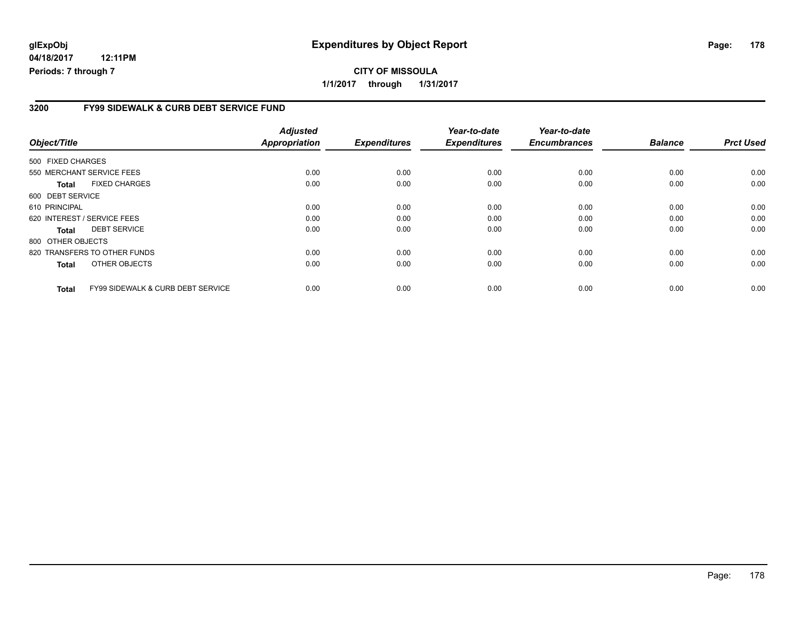## **glExpObj Expenditures by Object Report Page: 178**

**04/18/2017 12:11PM Periods: 7 through 7**

### **3200 FY99 SIDEWALK & CURB DEBT SERVICE FUND**

| Object/Title                                                 | <b>Adjusted</b><br><b>Appropriation</b> | <b>Expenditures</b> | Year-to-date<br><b>Expenditures</b> | Year-to-date<br><b>Encumbrances</b> | <b>Balance</b> | <b>Prct Used</b> |
|--------------------------------------------------------------|-----------------------------------------|---------------------|-------------------------------------|-------------------------------------|----------------|------------------|
|                                                              |                                         |                     |                                     |                                     |                |                  |
| 500 FIXED CHARGES                                            |                                         |                     |                                     |                                     |                |                  |
| 550 MERCHANT SERVICE FEES                                    | 0.00                                    | 0.00                | 0.00                                | 0.00                                | 0.00           | 0.00             |
| <b>FIXED CHARGES</b><br>Total                                | 0.00                                    | 0.00                | 0.00                                | 0.00                                | 0.00           | 0.00             |
| 600 DEBT SERVICE                                             |                                         |                     |                                     |                                     |                |                  |
| 610 PRINCIPAL                                                | 0.00                                    | 0.00                | 0.00                                | 0.00                                | 0.00           | 0.00             |
| 620 INTEREST / SERVICE FEES                                  | 0.00                                    | 0.00                | 0.00                                | 0.00                                | 0.00           | 0.00             |
| <b>DEBT SERVICE</b><br><b>Total</b>                          | 0.00                                    | 0.00                | 0.00                                | 0.00                                | 0.00           | 0.00             |
| 800 OTHER OBJECTS                                            |                                         |                     |                                     |                                     |                |                  |
| 820 TRANSFERS TO OTHER FUNDS                                 | 0.00                                    | 0.00                | 0.00                                | 0.00                                | 0.00           | 0.00             |
| OTHER OBJECTS<br><b>Total</b>                                | 0.00                                    | 0.00                | 0.00                                | 0.00                                | 0.00           | 0.00             |
| <b>FY99 SIDEWALK &amp; CURB DEBT SERVICE</b><br><b>Total</b> | 0.00                                    | 0.00                | 0.00                                | 0.00                                | 0.00           | 0.00             |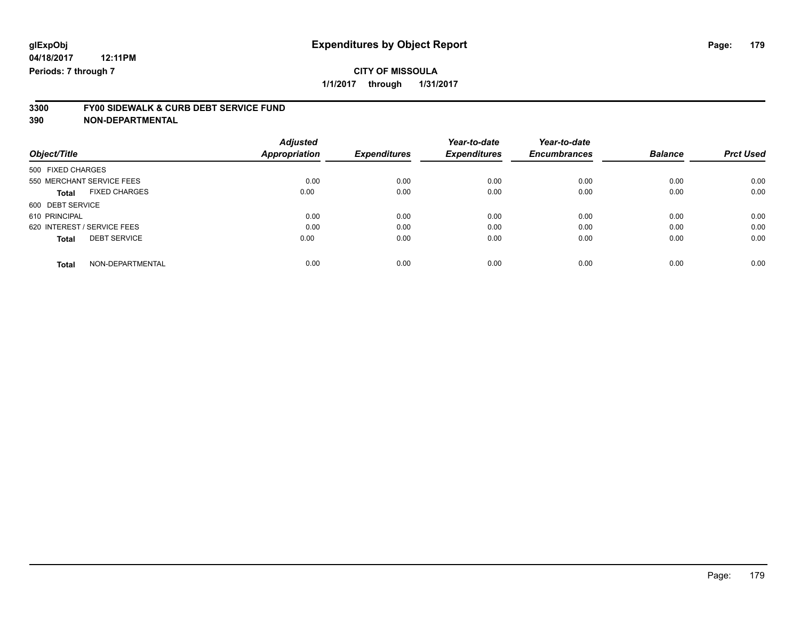## **3300 FY00 SIDEWALK & CURB DEBT SERVICE FUND**

| Object/Title                         | <b>Adjusted</b><br>Appropriation | <b>Expenditures</b> | Year-to-date<br><b>Expenditures</b> | Year-to-date<br><b>Encumbrances</b> | <b>Balance</b> | <b>Prct Used</b> |
|--------------------------------------|----------------------------------|---------------------|-------------------------------------|-------------------------------------|----------------|------------------|
| 500 FIXED CHARGES                    |                                  |                     |                                     |                                     |                |                  |
| 550 MERCHANT SERVICE FEES            | 0.00                             | 0.00                | 0.00                                | 0.00                                | 0.00           | 0.00             |
| <b>FIXED CHARGES</b><br><b>Total</b> | 0.00                             | 0.00                | 0.00                                | 0.00                                | 0.00           | 0.00             |
| 600 DEBT SERVICE                     |                                  |                     |                                     |                                     |                |                  |
| 610 PRINCIPAL                        | 0.00                             | 0.00                | 0.00                                | 0.00                                | 0.00           | 0.00             |
| 620 INTEREST / SERVICE FEES          | 0.00                             | 0.00                | 0.00                                | 0.00                                | 0.00           | 0.00             |
| <b>DEBT SERVICE</b><br><b>Total</b>  | 0.00                             | 0.00                | 0.00                                | 0.00                                | 0.00           | 0.00             |
| NON-DEPARTMENTAL<br><b>Total</b>     | 0.00                             | 0.00                | 0.00                                | 0.00                                | 0.00           | 0.00             |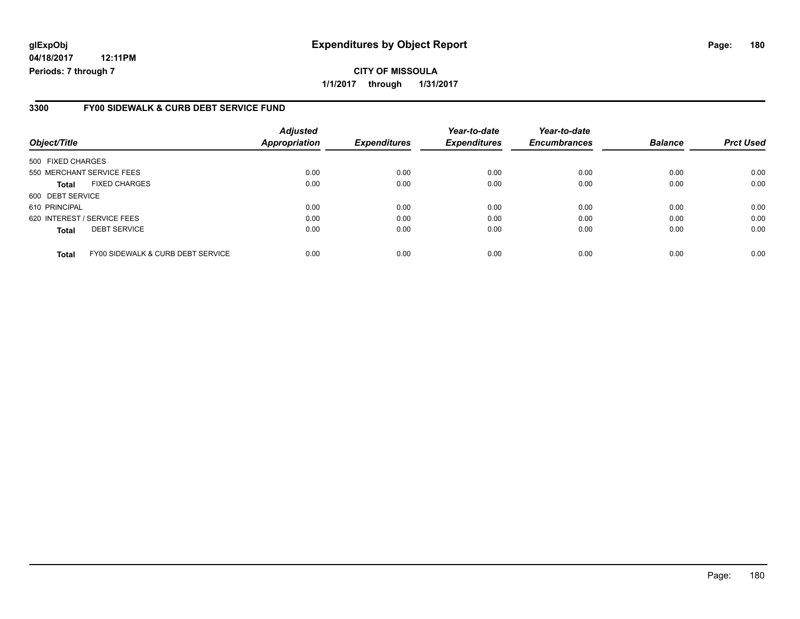## **glExpObj Expenditures by Object Report Page: 180**

**04/18/2017 12:11PM Periods: 7 through 7**

**CITY OF MISSOULA 1/1/2017 through 1/31/2017**

### **3300 FY00 SIDEWALK & CURB DEBT SERVICE FUND**

| Object/Title      |                                   | <b>Adjusted</b><br>Appropriation | <b>Expenditures</b> | Year-to-date<br><b>Expenditures</b> | Year-to-date<br><b>Encumbrances</b> | <b>Balance</b> | <b>Prct Used</b> |
|-------------------|-----------------------------------|----------------------------------|---------------------|-------------------------------------|-------------------------------------|----------------|------------------|
| 500 FIXED CHARGES |                                   |                                  |                     |                                     |                                     |                |                  |
|                   | 550 MERCHANT SERVICE FEES         | 0.00                             | 0.00                | 0.00                                | 0.00                                | 0.00           | 0.00             |
| <b>Total</b>      | <b>FIXED CHARGES</b>              | 0.00                             | 0.00                | 0.00                                | 0.00                                | 0.00           | 0.00             |
| 600 DEBT SERVICE  |                                   |                                  |                     |                                     |                                     |                |                  |
| 610 PRINCIPAL     |                                   | 0.00                             | 0.00                | 0.00                                | 0.00                                | 0.00           | 0.00             |
|                   | 620 INTEREST / SERVICE FEES       | 0.00                             | 0.00                | 0.00                                | 0.00                                | 0.00           | 0.00             |
| <b>Total</b>      | <b>DEBT SERVICE</b>               | 0.00                             | 0.00                | 0.00                                | 0.00                                | 0.00           | 0.00             |
| <b>Total</b>      | FY00 SIDEWALK & CURB DEBT SERVICE | 0.00                             | 0.00                | 0.00                                | 0.00                                | 0.00           | 0.00             |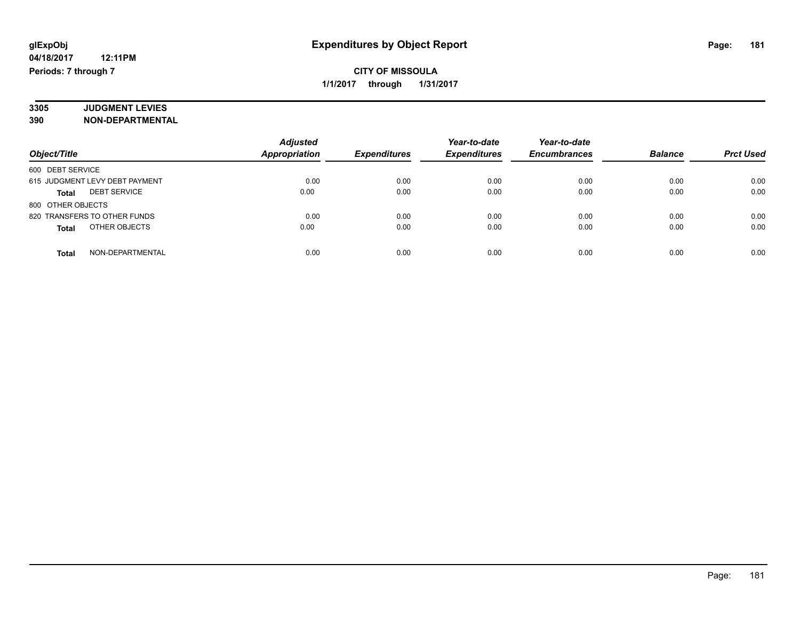## **CITY OF MISSOULA 1/1/2017 through 1/31/2017**

#### **3305 JUDGMENT LEVIES 390 NON-DEPARTMENTAL**

|                                     | <b>Adjusted</b>      |                     | Year-to-date        | Year-to-date        |                |                  |
|-------------------------------------|----------------------|---------------------|---------------------|---------------------|----------------|------------------|
| Object/Title                        | <b>Appropriation</b> | <b>Expenditures</b> | <b>Expenditures</b> | <b>Encumbrances</b> | <b>Balance</b> | <b>Prct Used</b> |
| 600 DEBT SERVICE                    |                      |                     |                     |                     |                |                  |
| 615 JUDGMENT LEVY DEBT PAYMENT      | 0.00                 | 0.00                | 0.00                | 0.00                | 0.00           | 0.00             |
| <b>DEBT SERVICE</b><br><b>Total</b> | 0.00                 | 0.00                | 0.00                | 0.00                | 0.00           | 0.00             |
| 800 OTHER OBJECTS                   |                      |                     |                     |                     |                |                  |
| 820 TRANSFERS TO OTHER FUNDS        | 0.00                 | 0.00                | 0.00                | 0.00                | 0.00           | 0.00             |
| OTHER OBJECTS<br><b>Total</b>       | 0.00                 | 0.00                | 0.00                | 0.00                | 0.00           | 0.00             |
| NON-DEPARTMENTAL<br><b>Total</b>    | 0.00                 | 0.00                | 0.00                | 0.00                | 0.00           | 0.00             |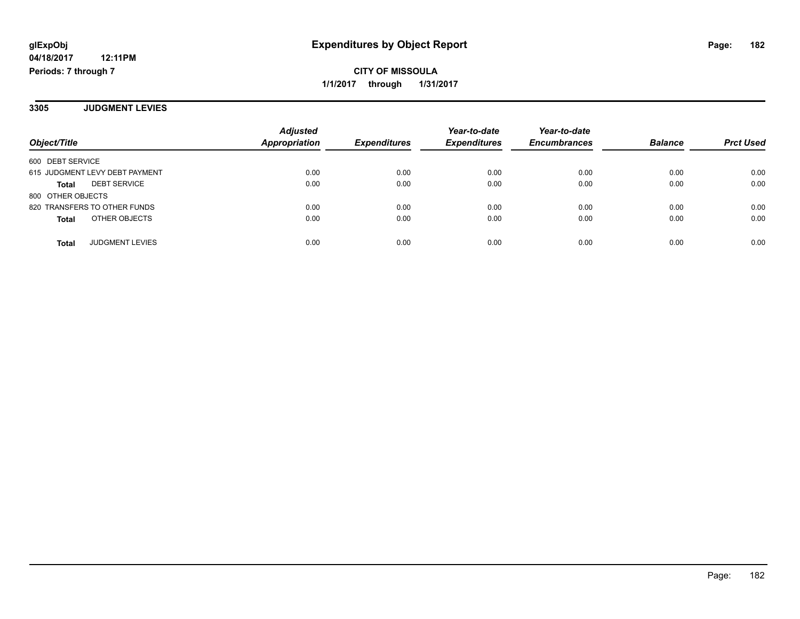**CITY OF MISSOULA 1/1/2017 through 1/31/2017**

**3305 JUDGMENT LEVIES**

| Object/Title                        | <b>Adjusted</b><br><b>Appropriation</b> | <b>Expenditures</b> | Year-to-date<br><b>Expenditures</b> | Year-to-date<br><b>Encumbrances</b> | <b>Balance</b> | <b>Prct Used</b> |
|-------------------------------------|-----------------------------------------|---------------------|-------------------------------------|-------------------------------------|----------------|------------------|
| 600 DEBT SERVICE                    |                                         |                     |                                     |                                     |                |                  |
| 615 JUDGMENT LEVY DEBT PAYMENT      | 0.00                                    | 0.00                | 0.00                                | 0.00                                | 0.00           | 0.00             |
| <b>DEBT SERVICE</b><br><b>Total</b> | 0.00                                    | 0.00                | 0.00                                | 0.00                                | 0.00           | 0.00             |
| 800 OTHER OBJECTS                   |                                         |                     |                                     |                                     |                |                  |
| 820 TRANSFERS TO OTHER FUNDS        | 0.00                                    | 0.00                | 0.00                                | 0.00                                | 0.00           | 0.00             |
| OTHER OBJECTS<br><b>Total</b>       | 0.00                                    | 0.00                | 0.00                                | 0.00                                | 0.00           | 0.00             |
| <b>JUDGMENT LEVIES</b><br>Total     | 0.00                                    | 0.00                | 0.00                                | 0.00                                | 0.00           | 0.00             |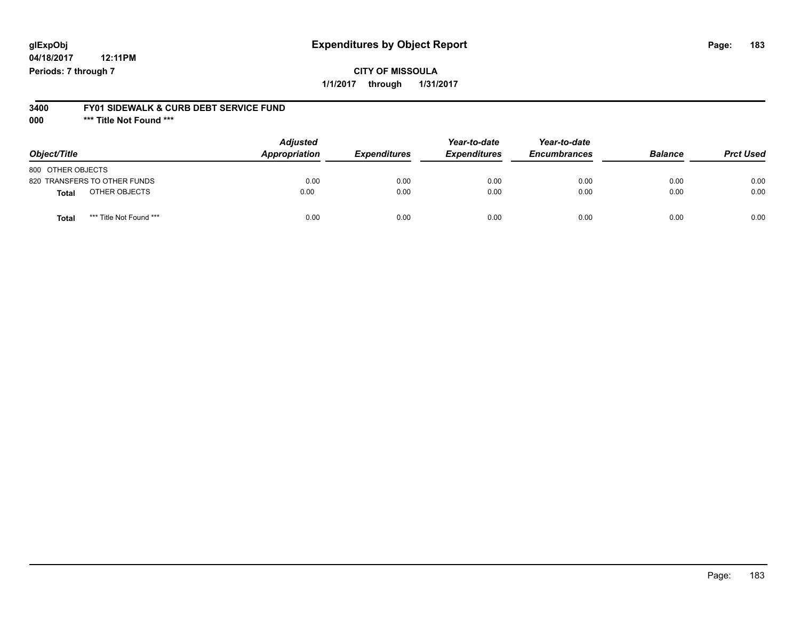# **glExpObj Expenditures by Object Report Page: 183**

**04/18/2017 12:11PM Periods: 7 through 7**

#### **3400 FY01 SIDEWALK & CURB DEBT SERVICE FUND**

**000 \*\*\* Title Not Found \*\*\***

| Object/Title                            | <b>Adjusted</b><br>Appropriation | <b>Expenditures</b> | Year-to-date<br><b>Expenditures</b> | Year-to-date<br><b>Encumbrances</b> | <b>Balance</b> | <b>Prct Used</b> |
|-----------------------------------------|----------------------------------|---------------------|-------------------------------------|-------------------------------------|----------------|------------------|
| 800 OTHER OBJECTS                       |                                  |                     |                                     |                                     |                |                  |
| 820 TRANSFERS TO OTHER FUNDS            | 0.00                             | 0.00                | 0.00                                | 0.00                                | 0.00           | 0.00             |
| OTHER OBJECTS<br><b>Total</b>           | 0.00                             | 0.00                | 0.00                                | 0.00                                | 0.00           | 0.00             |
| *** Title Not Found ***<br><b>Total</b> | 0.00                             | 0.00                | 0.00                                | 0.00                                | 0.00           | 0.00             |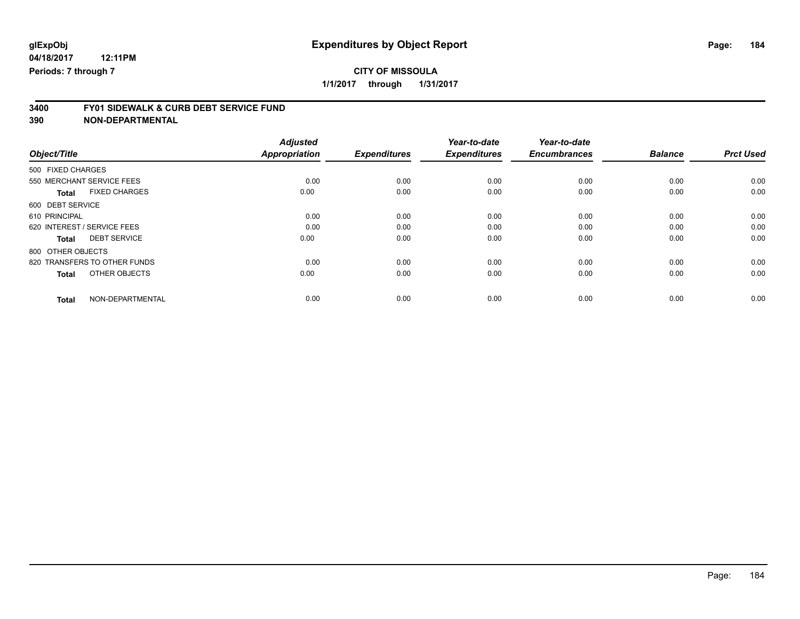**1/1/2017 through 1/31/2017**

# **3400 FY01 SIDEWALK & CURB DEBT SERVICE FUND**

|                                      | <b>Adjusted</b>      |                     | Year-to-date        | Year-to-date        |                |                  |
|--------------------------------------|----------------------|---------------------|---------------------|---------------------|----------------|------------------|
| Object/Title                         | <b>Appropriation</b> | <b>Expenditures</b> | <b>Expenditures</b> | <b>Encumbrances</b> | <b>Balance</b> | <b>Prct Used</b> |
| 500 FIXED CHARGES                    |                      |                     |                     |                     |                |                  |
| 550 MERCHANT SERVICE FEES            | 0.00                 | 0.00                | 0.00                | 0.00                | 0.00           | 0.00             |
| <b>FIXED CHARGES</b><br><b>Total</b> | 0.00                 | 0.00                | 0.00                | 0.00                | 0.00           | 0.00             |
| 600 DEBT SERVICE                     |                      |                     |                     |                     |                |                  |
| 610 PRINCIPAL                        | 0.00                 | 0.00                | 0.00                | 0.00                | 0.00           | 0.00             |
| 620 INTEREST / SERVICE FEES          | 0.00                 | 0.00                | 0.00                | 0.00                | 0.00           | 0.00             |
| <b>DEBT SERVICE</b><br><b>Total</b>  | 0.00                 | 0.00                | 0.00                | 0.00                | 0.00           | 0.00             |
| 800 OTHER OBJECTS                    |                      |                     |                     |                     |                |                  |
| 820 TRANSFERS TO OTHER FUNDS         | 0.00                 | 0.00                | 0.00                | 0.00                | 0.00           | 0.00             |
| OTHER OBJECTS<br><b>Total</b>        | 0.00                 | 0.00                | 0.00                | 0.00                | 0.00           | 0.00             |
| NON-DEPARTMENTAL<br><b>Total</b>     | 0.00                 | 0.00                | 0.00                | 0.00                | 0.00           | 0.00             |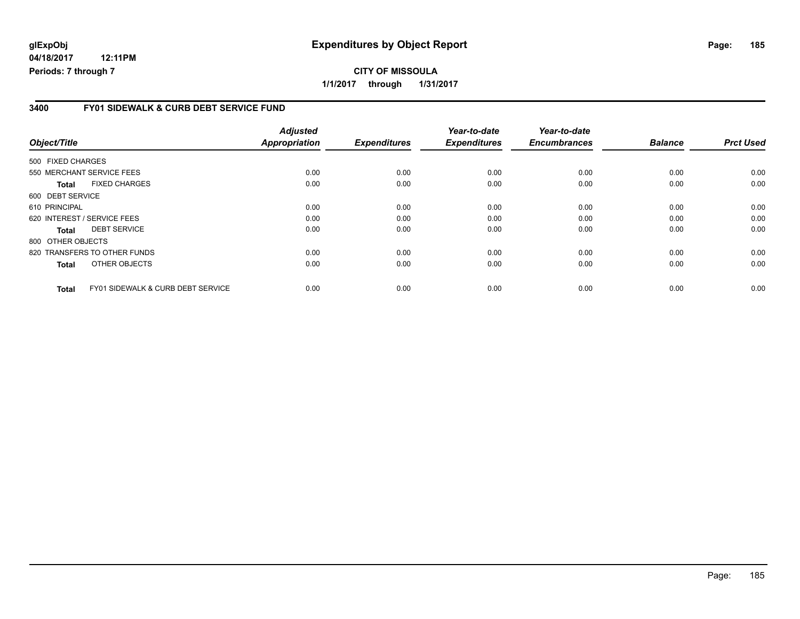# **glExpObj Expenditures by Object Report Page: 185**

**04/18/2017 12:11PM Periods: 7 through 7**

#### **3400 FY01 SIDEWALK & CURB DEBT SERVICE FUND**

| Object/Title                        | <b>Adjusted</b><br><b>Appropriation</b>              | <b>Expenditures</b> | Year-to-date<br><b>Expenditures</b> | Year-to-date<br><b>Encumbrances</b> | <b>Balance</b> | <b>Prct Used</b> |
|-------------------------------------|------------------------------------------------------|---------------------|-------------------------------------|-------------------------------------|----------------|------------------|
| 500 FIXED CHARGES                   |                                                      |                     |                                     |                                     |                |                  |
| 550 MERCHANT SERVICE FEES           | 0.00                                                 | 0.00                | 0.00                                | 0.00                                | 0.00           | 0.00             |
| <b>FIXED CHARGES</b><br>Total       | 0.00                                                 | 0.00                | 0.00                                | 0.00                                | 0.00           | 0.00             |
| 600 DEBT SERVICE                    |                                                      |                     |                                     |                                     |                |                  |
| 610 PRINCIPAL                       | 0.00                                                 | 0.00                | 0.00                                | 0.00                                | 0.00           | 0.00             |
| 620 INTEREST / SERVICE FEES         | 0.00                                                 | 0.00                | 0.00                                | 0.00                                | 0.00           | 0.00             |
| <b>DEBT SERVICE</b><br><b>Total</b> | 0.00                                                 | 0.00                | 0.00                                | 0.00                                | 0.00           | 0.00             |
| 800 OTHER OBJECTS                   |                                                      |                     |                                     |                                     |                |                  |
| 820 TRANSFERS TO OTHER FUNDS        | 0.00                                                 | 0.00                | 0.00                                | 0.00                                | 0.00           | 0.00             |
| OTHER OBJECTS<br><b>Total</b>       | 0.00                                                 | 0.00                | 0.00                                | 0.00                                | 0.00           | 0.00             |
| <b>Total</b>                        | 0.00<br><b>FY01 SIDEWALK &amp; CURB DEBT SERVICE</b> | 0.00                | 0.00                                | 0.00                                | 0.00           | 0.00             |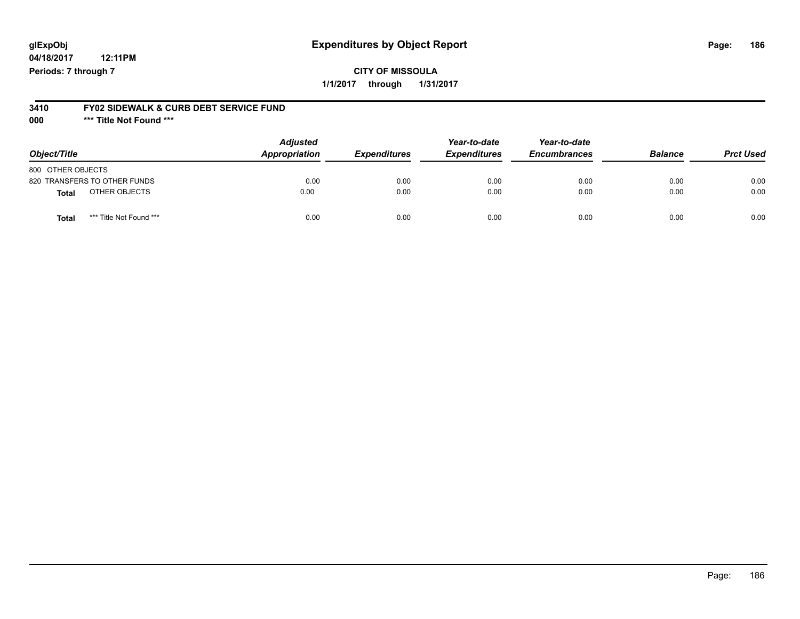# **glExpObj Expenditures by Object Report Page: 186**

**04/18/2017 12:11PM Periods: 7 through 7**

### **CITY OF MISSOULA 1/1/2017 through 1/31/2017**

#### **3410 FY02 SIDEWALK & CURB DEBT SERVICE FUND**

**000 \*\*\* Title Not Found \*\*\***

| Object/Title                            | <b>Adjusted</b><br>Appropriation | <b>Expenditures</b> | Year-to-date<br><b>Expenditures</b> | Year-to-date<br><b>Encumbrances</b> | <b>Balance</b> | <b>Prct Used</b> |
|-----------------------------------------|----------------------------------|---------------------|-------------------------------------|-------------------------------------|----------------|------------------|
| 800 OTHER OBJECTS                       |                                  |                     |                                     |                                     |                |                  |
| 820 TRANSFERS TO OTHER FUNDS            | 0.00                             | 0.00                | 0.00                                | 0.00                                | 0.00           | 0.00             |
| OTHER OBJECTS<br>Total                  | 0.00                             | 0.00                | 0.00                                | 0.00                                | 0.00           | 0.00             |
| *** Title Not Found ***<br><b>Total</b> | 0.00                             | 0.00                | 0.00                                | 0.00                                | 0.00           | 0.00             |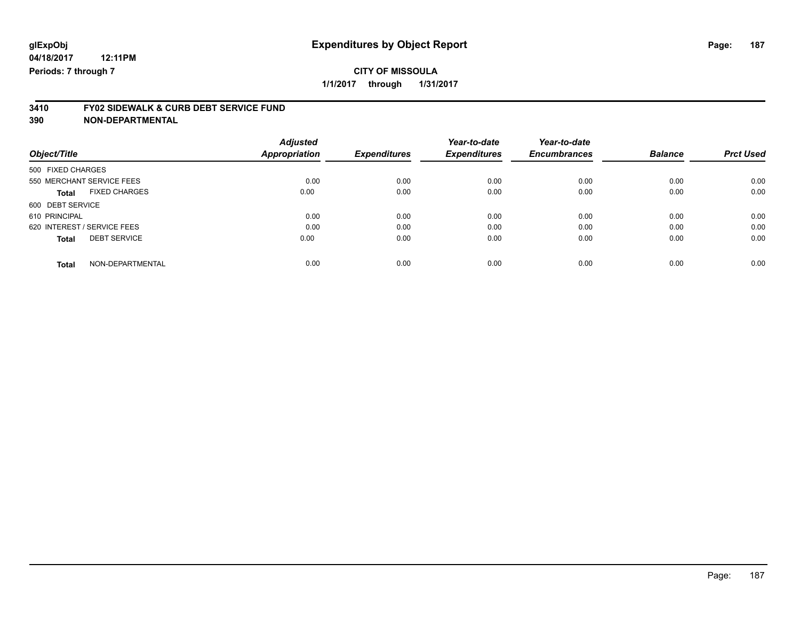# **3410 FY02 SIDEWALK & CURB DEBT SERVICE FUND**

| Object/Title                         | <b>Adjusted</b><br><b>Appropriation</b> | <b>Expenditures</b> | Year-to-date<br><b>Expenditures</b> | Year-to-date<br><b>Encumbrances</b> | <b>Balance</b> | <b>Prct Used</b> |
|--------------------------------------|-----------------------------------------|---------------------|-------------------------------------|-------------------------------------|----------------|------------------|
|                                      |                                         |                     |                                     |                                     |                |                  |
| 500 FIXED CHARGES                    |                                         |                     |                                     |                                     |                |                  |
| 550 MERCHANT SERVICE FEES            | 0.00                                    | 0.00                | 0.00                                | 0.00                                | 0.00           | 0.00             |
| <b>FIXED CHARGES</b><br><b>Total</b> | 0.00                                    | 0.00                | 0.00                                | 0.00                                | 0.00           | 0.00             |
| 600 DEBT SERVICE                     |                                         |                     |                                     |                                     |                |                  |
| 610 PRINCIPAL                        | 0.00                                    | 0.00                | 0.00                                | 0.00                                | 0.00           | 0.00             |
| 620 INTEREST / SERVICE FEES          | 0.00                                    | 0.00                | 0.00                                | 0.00                                | 0.00           | 0.00             |
| <b>DEBT SERVICE</b><br><b>Total</b>  | 0.00                                    | 0.00                | 0.00                                | 0.00                                | 0.00           | 0.00             |
| NON-DEPARTMENTAL<br><b>Total</b>     | 0.00                                    | 0.00                | 0.00                                | 0.00                                | 0.00           | 0.00             |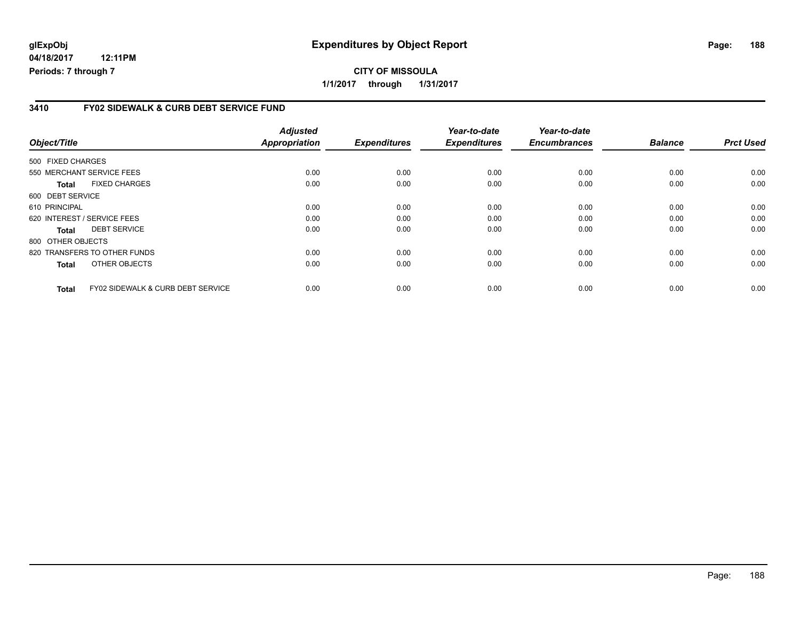# **glExpObj Expenditures by Object Report Page: 188**

**04/18/2017 12:11PM Periods: 7 through 7**

#### **3410 FY02 SIDEWALK & CURB DEBT SERVICE FUND**

| Object/Title      |                                              | <b>Adjusted</b><br><b>Appropriation</b> | <b>Expenditures</b> | Year-to-date<br><b>Expenditures</b> | Year-to-date<br><b>Encumbrances</b> | <b>Balance</b> | <b>Prct Used</b> |
|-------------------|----------------------------------------------|-----------------------------------------|---------------------|-------------------------------------|-------------------------------------|----------------|------------------|
|                   |                                              |                                         |                     |                                     |                                     |                |                  |
| 500 FIXED CHARGES |                                              |                                         |                     |                                     |                                     |                |                  |
|                   | 550 MERCHANT SERVICE FEES                    | 0.00                                    | 0.00                | 0.00                                | 0.00                                | 0.00           | 0.00             |
| Total             | <b>FIXED CHARGES</b>                         | 0.00                                    | 0.00                | 0.00                                | 0.00                                | 0.00           | 0.00             |
| 600 DEBT SERVICE  |                                              |                                         |                     |                                     |                                     |                |                  |
| 610 PRINCIPAL     |                                              | 0.00                                    | 0.00                | 0.00                                | 0.00                                | 0.00           | 0.00             |
|                   | 620 INTEREST / SERVICE FEES                  | 0.00                                    | 0.00                | 0.00                                | 0.00                                | 0.00           | 0.00             |
| <b>Total</b>      | <b>DEBT SERVICE</b>                          | 0.00                                    | 0.00                | 0.00                                | 0.00                                | 0.00           | 0.00             |
| 800 OTHER OBJECTS |                                              |                                         |                     |                                     |                                     |                |                  |
|                   | 820 TRANSFERS TO OTHER FUNDS                 | 0.00                                    | 0.00                | 0.00                                | 0.00                                | 0.00           | 0.00             |
| <b>Total</b>      | OTHER OBJECTS                                | 0.00                                    | 0.00                | 0.00                                | 0.00                                | 0.00           | 0.00             |
| <b>Total</b>      | <b>FY02 SIDEWALK &amp; CURB DEBT SERVICE</b> | 0.00                                    | 0.00                | 0.00                                | 0.00                                | 0.00           | 0.00             |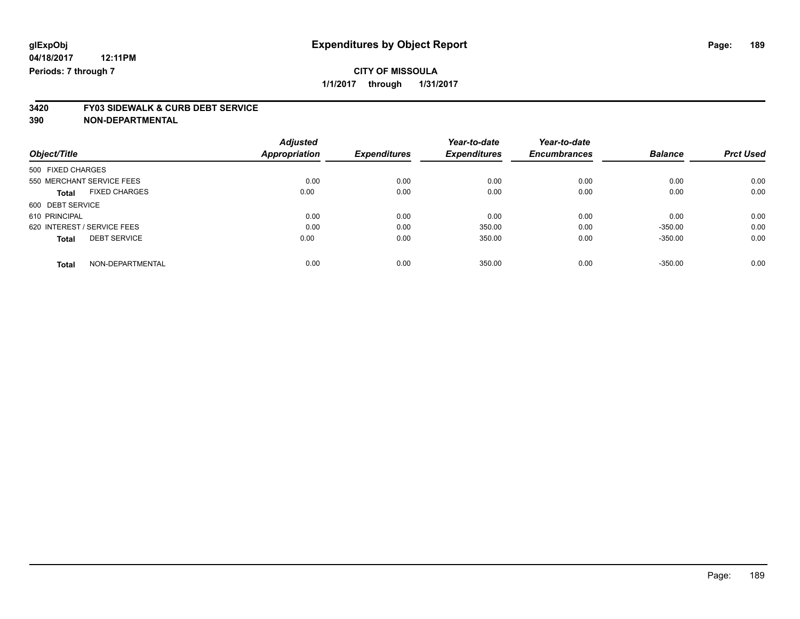# **3420 FY03 SIDEWALK & CURB DEBT SERVICE**

| <b>Adjusted</b> |                       | Year-to-date                | Year-to-date                  |                             | <b>Prct Used</b>            |
|-----------------|-----------------------|-----------------------------|-------------------------------|-----------------------------|-----------------------------|
|                 |                       |                             |                               |                             |                             |
|                 |                       |                             |                               |                             |                             |
| 0.00            | 0.00                  | 0.00                        | 0.00                          | 0.00                        | 0.00                        |
| 0.00            | 0.00                  | 0.00                        | 0.00                          | 0.00                        | 0.00                        |
|                 |                       |                             |                               |                             |                             |
| 0.00            | 0.00                  | 0.00                        | 0.00                          | 0.00                        | 0.00                        |
| 0.00            | 0.00                  | 350.00                      | 0.00                          | $-350.00$                   | 0.00                        |
| 0.00            | 0.00                  | 350.00                      | 0.00                          | $-350.00$                   | 0.00                        |
|                 |                       |                             |                               |                             | 0.00                        |
|                 | Appropriation<br>0.00 | <b>Expenditures</b><br>0.00 | <b>Expenditures</b><br>350.00 | <b>Encumbrances</b><br>0.00 | <b>Balance</b><br>$-350.00$ |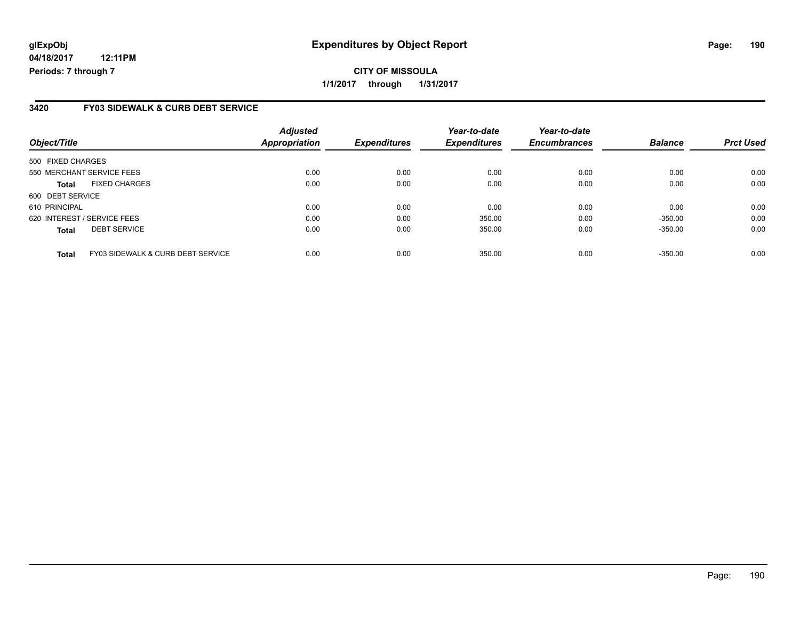# **glExpObj Expenditures by Object Report Page: 190**

**04/18/2017 12:11PM Periods: 7 through 7**

#### **3420 FY03 SIDEWALK & CURB DEBT SERVICE**

| Object/Title                |                                   | <b>Adjusted</b><br>Appropriation | <b>Expenditures</b> | Year-to-date<br><b>Expenditures</b> | Year-to-date<br><b>Encumbrances</b> | <b>Balance</b> | <b>Prct Used</b> |
|-----------------------------|-----------------------------------|----------------------------------|---------------------|-------------------------------------|-------------------------------------|----------------|------------------|
| 500 FIXED CHARGES           |                                   |                                  |                     |                                     |                                     |                |                  |
| 550 MERCHANT SERVICE FEES   |                                   | 0.00                             | 0.00                | 0.00                                | 0.00                                | 0.00           | 0.00             |
| <b>Total</b>                | <b>FIXED CHARGES</b>              | 0.00                             | 0.00                | 0.00                                | 0.00                                | 0.00           | 0.00             |
| 600 DEBT SERVICE            |                                   |                                  |                     |                                     |                                     |                |                  |
| 610 PRINCIPAL               |                                   | 0.00                             | 0.00                | 0.00                                | 0.00                                | 0.00           | 0.00             |
| 620 INTEREST / SERVICE FEES |                                   | 0.00                             | 0.00                | 350.00                              | 0.00                                | $-350.00$      | 0.00             |
| <b>Total</b>                | <b>DEBT SERVICE</b>               | 0.00                             | 0.00                | 350.00                              | 0.00                                | $-350.00$      | 0.00             |
| <b>Total</b>                | FY03 SIDEWALK & CURB DEBT SERVICE | 0.00                             | 0.00                | 350.00                              | 0.00                                | $-350.00$      | 0.00             |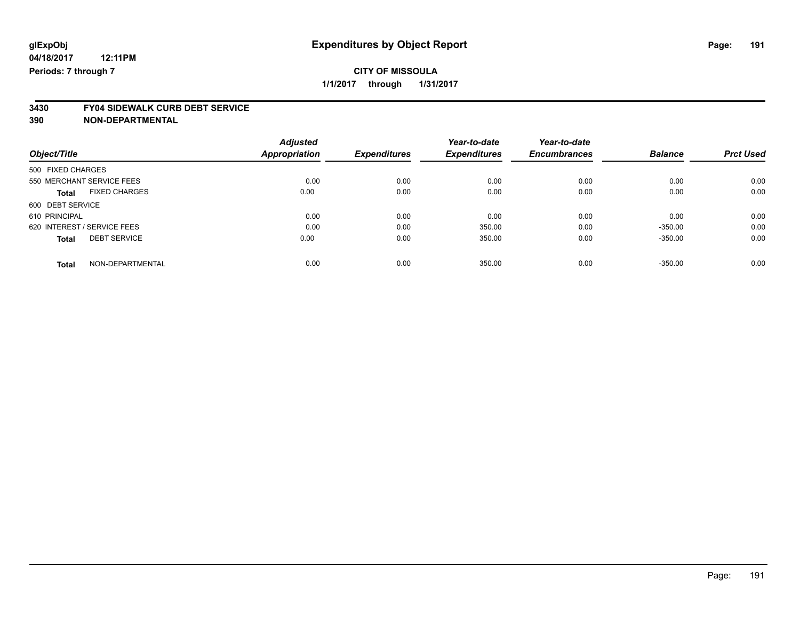### **CITY OF MISSOULA 1/1/2017 through 1/31/2017**

# **3430 FY04 SIDEWALK CURB DEBT SERVICE**

|                             |                      | <b>Adjusted</b> |                     | Year-to-date        | Year-to-date        |                |                  |
|-----------------------------|----------------------|-----------------|---------------------|---------------------|---------------------|----------------|------------------|
| Object/Title                |                      | Appropriation   | <b>Expenditures</b> | <b>Expenditures</b> | <b>Encumbrances</b> | <b>Balance</b> | <b>Prct Used</b> |
| 500 FIXED CHARGES           |                      |                 |                     |                     |                     |                |                  |
| 550 MERCHANT SERVICE FEES   |                      | 0.00            | 0.00                | 0.00                | 0.00                | 0.00           | 0.00             |
| <b>Total</b>                | <b>FIXED CHARGES</b> | 0.00            | 0.00                | 0.00                | 0.00                | 0.00           | 0.00             |
| 600 DEBT SERVICE            |                      |                 |                     |                     |                     |                |                  |
| 610 PRINCIPAL               |                      | 0.00            | 0.00                | 0.00                | 0.00                | 0.00           | 0.00             |
| 620 INTEREST / SERVICE FEES |                      | 0.00            | 0.00                | 350.00              | 0.00                | $-350.00$      | 0.00             |
| <b>Total</b>                | <b>DEBT SERVICE</b>  | 0.00            | 0.00                | 350.00              | 0.00                | $-350.00$      | 0.00             |
| <b>Total</b>                | NON-DEPARTMENTAL     | 0.00            | 0.00                | 350.00              | 0.00                | $-350.00$      | 0.00             |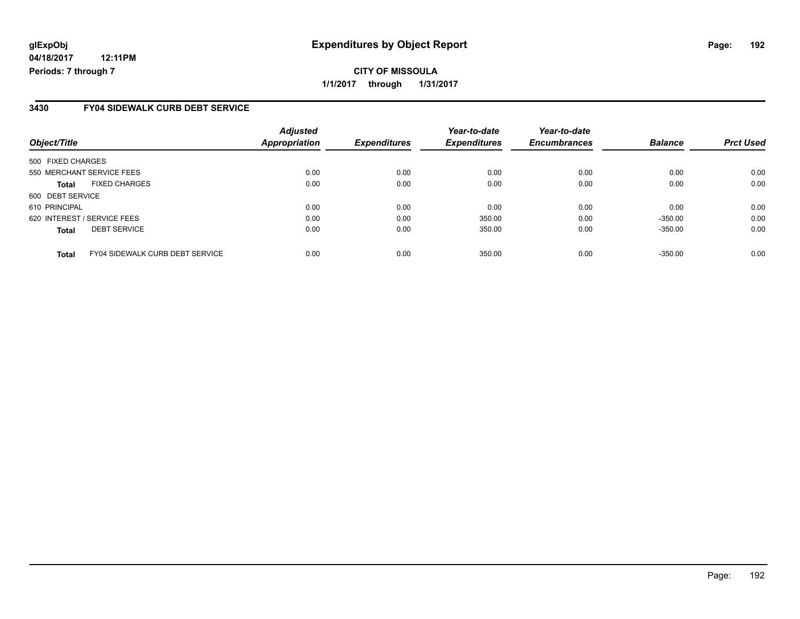# **glExpObj Expenditures by Object Report Page: 192**

**04/18/2017 12:11PM Periods: 7 through 7**

#### **3430 FY04 SIDEWALK CURB DEBT SERVICE**

| Object/Title      |                                        | <b>Adjusted</b><br>Appropriation | <b>Expenditures</b> | Year-to-date<br><b>Expenditures</b> | Year-to-date<br><b>Encumbrances</b> | <b>Balance</b> | <b>Prct Used</b> |
|-------------------|----------------------------------------|----------------------------------|---------------------|-------------------------------------|-------------------------------------|----------------|------------------|
| 500 FIXED CHARGES |                                        |                                  |                     |                                     |                                     |                |                  |
|                   | 550 MERCHANT SERVICE FEES              | 0.00                             | 0.00                | 0.00                                | 0.00                                | 0.00           | 0.00             |
| <b>Total</b>      | <b>FIXED CHARGES</b>                   | 0.00                             | 0.00                | 0.00                                | 0.00                                | 0.00           | 0.00             |
| 600 DEBT SERVICE  |                                        |                                  |                     |                                     |                                     |                |                  |
| 610 PRINCIPAL     |                                        | 0.00                             | 0.00                | 0.00                                | 0.00                                | 0.00           | 0.00             |
|                   | 620 INTEREST / SERVICE FEES            | 0.00                             | 0.00                | 350.00                              | 0.00                                | $-350.00$      | 0.00             |
| <b>Total</b>      | <b>DEBT SERVICE</b>                    | 0.00                             | 0.00                | 350.00                              | 0.00                                | $-350.00$      | 0.00             |
| <b>Total</b>      | <b>FY04 SIDEWALK CURB DEBT SERVICE</b> | 0.00                             | 0.00                | 350.00                              | 0.00                                | $-350.00$      | 0.00             |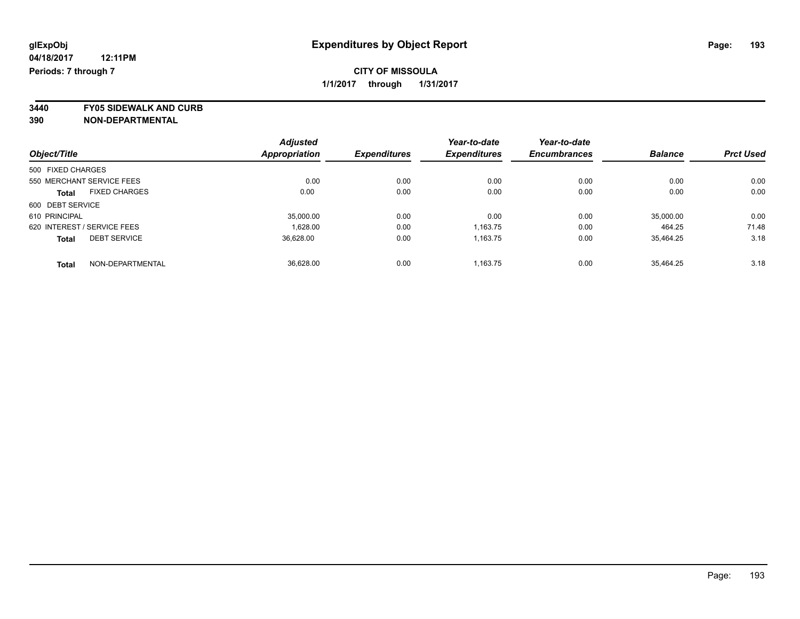### **CITY OF MISSOULA 1/1/2017 through 1/31/2017**

**3440 FY05 SIDEWALK AND CURB**

|                                      | <b>Adjusted</b> |                     | Year-to-date        | Year-to-date        |                |                  |
|--------------------------------------|-----------------|---------------------|---------------------|---------------------|----------------|------------------|
| Object/Title                         | Appropriation   | <b>Expenditures</b> | <b>Expenditures</b> | <b>Encumbrances</b> | <b>Balance</b> | <b>Prct Used</b> |
| 500 FIXED CHARGES                    |                 |                     |                     |                     |                |                  |
| 550 MERCHANT SERVICE FEES            | 0.00            | 0.00                | 0.00                | 0.00                | 0.00           | 0.00             |
| <b>FIXED CHARGES</b><br><b>Total</b> | 0.00            | 0.00                | 0.00                | 0.00                | 0.00           | 0.00             |
| 600 DEBT SERVICE                     |                 |                     |                     |                     |                |                  |
| 610 PRINCIPAL                        | 35,000.00       | 0.00                | 0.00                | 0.00                | 35,000.00      | 0.00             |
| 620 INTEREST / SERVICE FEES          | 1,628.00        | 0.00                | 1,163.75            | 0.00                | 464.25         | 71.48            |
| <b>DEBT SERVICE</b><br><b>Total</b>  | 36.628.00       | 0.00                | 1,163.75            | 0.00                | 35.464.25      | 3.18             |
| NON-DEPARTMENTAL<br><b>Total</b>     | 36.628.00       | 0.00                | 1.163.75            | 0.00                | 35.464.25      | 3.18             |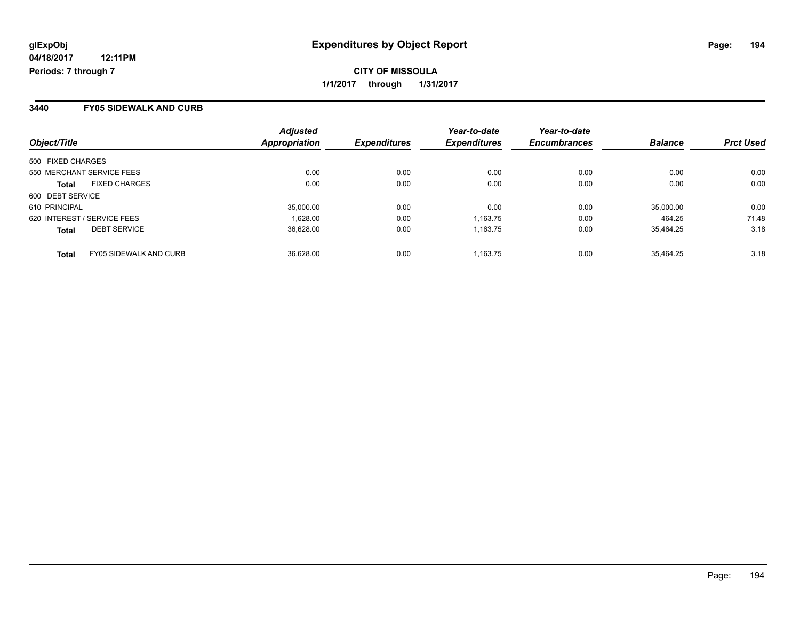**CITY OF MISSOULA 1/1/2017 through 1/31/2017**

#### **3440 FY05 SIDEWALK AND CURB**

| Object/Title                           | <b>Adjusted</b><br>Appropriation | <b>Expenditures</b> | Year-to-date<br><b>Expenditures</b> | Year-to-date<br><b>Encumbrances</b> | <b>Balance</b> | <b>Prct Used</b> |
|----------------------------------------|----------------------------------|---------------------|-------------------------------------|-------------------------------------|----------------|------------------|
| 500 FIXED CHARGES                      |                                  |                     |                                     |                                     |                |                  |
| 550 MERCHANT SERVICE FEES              | 0.00                             | 0.00                | 0.00                                | 0.00                                | 0.00           | 0.00             |
| <b>FIXED CHARGES</b><br><b>Total</b>   | 0.00                             | 0.00                | 0.00                                | 0.00                                | 0.00           | 0.00             |
| 600 DEBT SERVICE                       |                                  |                     |                                     |                                     |                |                  |
| 610 PRINCIPAL                          | 35,000.00                        | 0.00                | 0.00                                | 0.00                                | 35,000.00      | 0.00             |
| 620 INTEREST / SERVICE FEES            | 1.628.00                         | 0.00                | 1,163.75                            | 0.00                                | 464.25         | 71.48            |
| <b>DEBT SERVICE</b><br><b>Total</b>    | 36.628.00                        | 0.00                | 1.163.75                            | 0.00                                | 35.464.25      | 3.18             |
| FY05 SIDEWALK AND CURB<br><b>Total</b> | 36.628.00                        | 0.00                | 1.163.75                            | 0.00                                | 35.464.25      | 3.18             |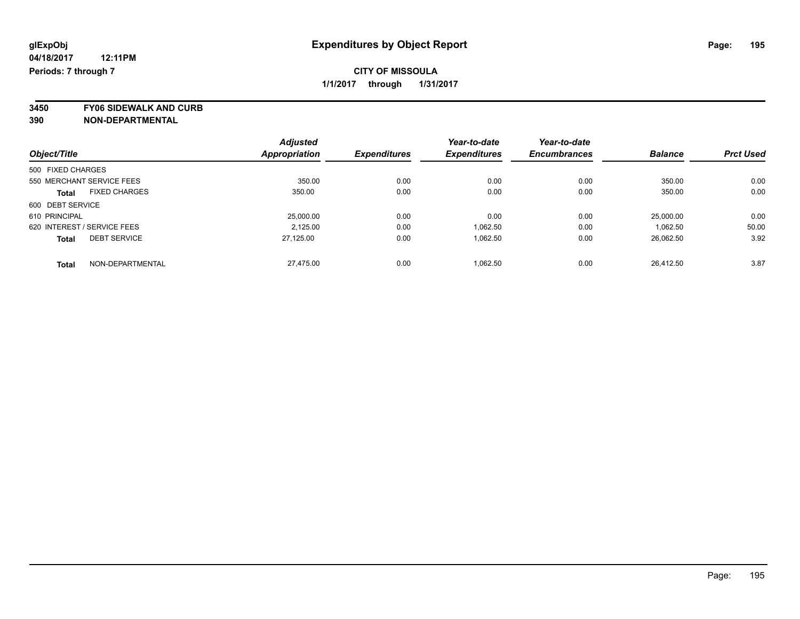### **CITY OF MISSOULA 1/1/2017 through 1/31/2017**

**3450 FY06 SIDEWALK AND CURB**

|                                      | <b>Adjusted</b> |                     | Year-to-date        | Year-to-date        |                |                  |
|--------------------------------------|-----------------|---------------------|---------------------|---------------------|----------------|------------------|
| Object/Title                         | Appropriation   | <b>Expenditures</b> | <b>Expenditures</b> | <b>Encumbrances</b> | <b>Balance</b> | <b>Prct Used</b> |
| 500 FIXED CHARGES                    |                 |                     |                     |                     |                |                  |
| 550 MERCHANT SERVICE FEES            | 350.00          | 0.00                | 0.00                | 0.00                | 350.00         | 0.00             |
| <b>FIXED CHARGES</b><br><b>Total</b> | 350.00          | 0.00                | 0.00                | 0.00                | 350.00         | 0.00             |
| 600 DEBT SERVICE                     |                 |                     |                     |                     |                |                  |
| 610 PRINCIPAL                        | 25,000.00       | 0.00                | 0.00                | 0.00                | 25.000.00      | 0.00             |
| 620 INTEREST / SERVICE FEES          | 2.125.00        | 0.00                | 1.062.50            | 0.00                | 1.062.50       | 50.00            |
| <b>DEBT SERVICE</b><br><b>Total</b>  | 27.125.00       | 0.00                | 1.062.50            | 0.00                | 26,062.50      | 3.92             |
| NON-DEPARTMENTAL<br><b>Total</b>     | 27.475.00       | 0.00                | 1.062.50            | 0.00                | 26.412.50      | 3.87             |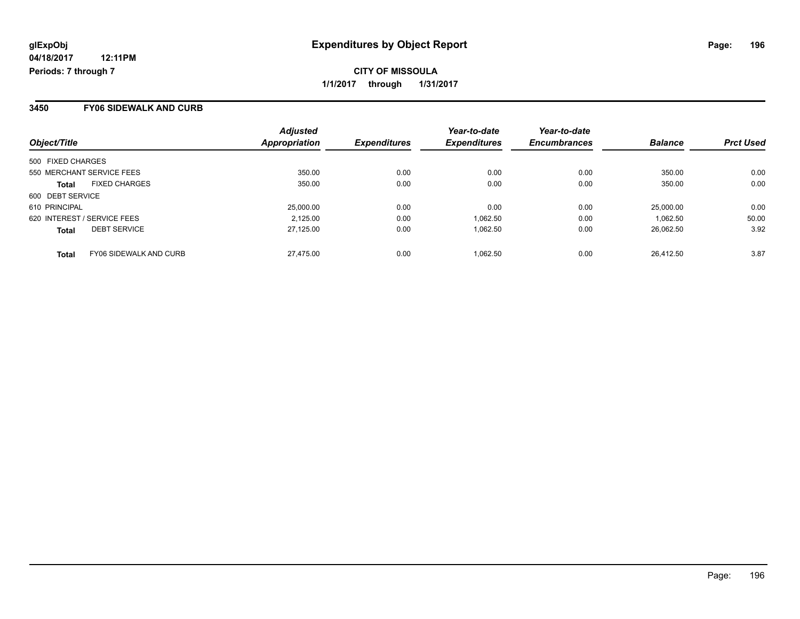**CITY OF MISSOULA 1/1/2017 through 1/31/2017**

#### **3450 FY06 SIDEWALK AND CURB**

| Object/Title                                  | <b>Adjusted</b><br>Appropriation | <i><b>Expenditures</b></i> | Year-to-date<br><b>Expenditures</b> | Year-to-date<br><b>Encumbrances</b> | <b>Balance</b> | <b>Prct Used</b> |
|-----------------------------------------------|----------------------------------|----------------------------|-------------------------------------|-------------------------------------|----------------|------------------|
| 500 FIXED CHARGES                             |                                  |                            |                                     |                                     |                |                  |
| 550 MERCHANT SERVICE FEES                     | 350.00                           | 0.00                       | 0.00                                | 0.00                                | 350.00         | 0.00             |
| <b>FIXED CHARGES</b><br><b>Total</b>          | 350.00                           | 0.00                       | 0.00                                | 0.00                                | 350.00         | 0.00             |
| 600 DEBT SERVICE                              |                                  |                            |                                     |                                     |                |                  |
| 610 PRINCIPAL                                 | 25,000.00                        | 0.00                       | 0.00                                | 0.00                                | 25,000.00      | 0.00             |
| 620 INTEREST / SERVICE FEES                   | 2,125.00                         | 0.00                       | 1.062.50                            | 0.00                                | 1.062.50       | 50.00            |
| <b>DEBT SERVICE</b><br><b>Total</b>           | 27,125.00                        | 0.00                       | 1.062.50                            | 0.00                                | 26.062.50      | 3.92             |
| <b>FY06 SIDEWALK AND CURB</b><br><b>Total</b> | 27.475.00                        | 0.00                       | 1.062.50                            | 0.00                                | 26.412.50      | 3.87             |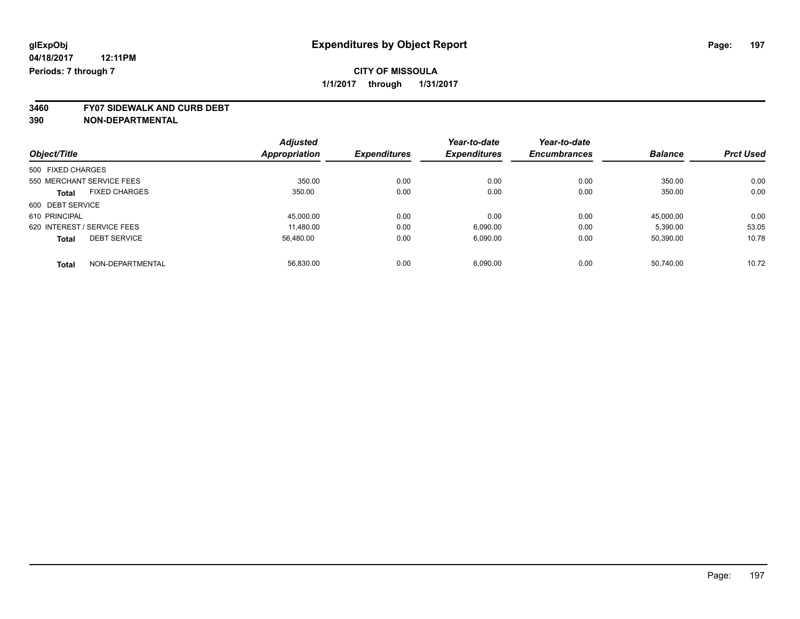### **CITY OF MISSOULA 1/1/2017 through 1/31/2017**

**3460 FY07 SIDEWALK AND CURB DEBT**

|                             |                           | <b>Adjusted</b>      |                     | Year-to-date        | Year-to-date        |                |                  |
|-----------------------------|---------------------------|----------------------|---------------------|---------------------|---------------------|----------------|------------------|
| Object/Title                |                           | <b>Appropriation</b> | <b>Expenditures</b> | <b>Expenditures</b> | <b>Encumbrances</b> | <b>Balance</b> | <b>Prct Used</b> |
| 500 FIXED CHARGES           |                           |                      |                     |                     |                     |                |                  |
|                             | 550 MERCHANT SERVICE FEES | 350.00               | 0.00                | 0.00                | 0.00                | 350.00         | 0.00             |
| <b>Total</b>                | <b>FIXED CHARGES</b>      | 350.00               | 0.00                | 0.00                | 0.00                | 350.00         | 0.00             |
| 600 DEBT SERVICE            |                           |                      |                     |                     |                     |                |                  |
| 610 PRINCIPAL               |                           | 45.000.00            | 0.00                | 0.00                | 0.00                | 45.000.00      | 0.00             |
| 620 INTEREST / SERVICE FEES |                           | 11,480.00            | 0.00                | 6,090.00            | 0.00                | 5,390.00       | 53.05            |
| <b>Total</b>                | <b>DEBT SERVICE</b>       | 56,480.00            | 0.00                | 6,090.00            | 0.00                | 50,390.00      | 10.78            |
| <b>Total</b>                | NON-DEPARTMENTAL          | 56.830.00            | 0.00                | 6.090.00            | 0.00                | 50.740.00      | 10.72            |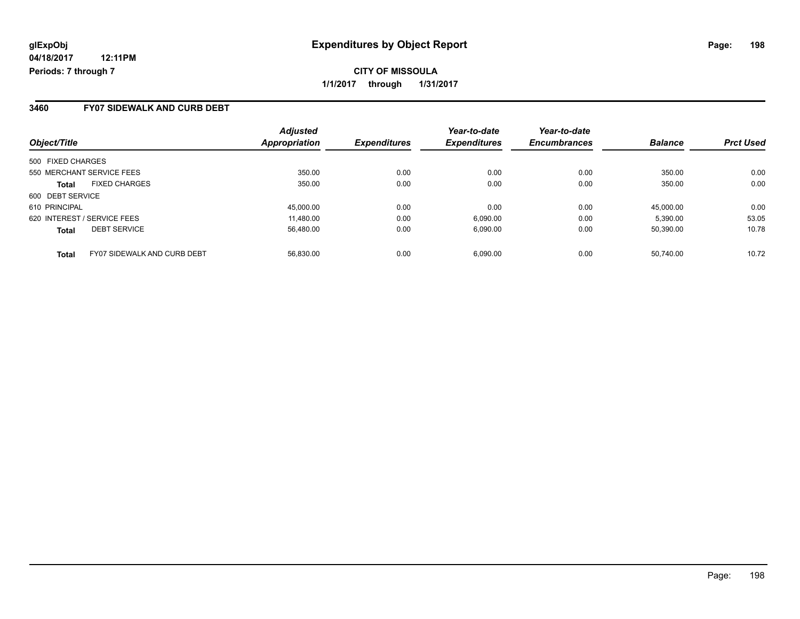### **3460 FY07 SIDEWALK AND CURB DEBT**

| Object/Title                                       | <b>Adjusted</b><br>Appropriation | <b>Expenditures</b> | Year-to-date<br><b>Expenditures</b> | Year-to-date<br><b>Encumbrances</b> | <b>Balance</b> | <b>Prct Used</b> |
|----------------------------------------------------|----------------------------------|---------------------|-------------------------------------|-------------------------------------|----------------|------------------|
| 500 FIXED CHARGES                                  |                                  |                     |                                     |                                     |                |                  |
| 550 MERCHANT SERVICE FEES                          | 350.00                           | 0.00                | 0.00                                | 0.00                                | 350.00         | 0.00             |
| <b>FIXED CHARGES</b><br><b>Total</b>               | 350.00                           | 0.00                | 0.00                                | 0.00                                | 350.00         | 0.00             |
| 600 DEBT SERVICE                                   |                                  |                     |                                     |                                     |                |                  |
| 610 PRINCIPAL                                      | 45,000.00                        | 0.00                | 0.00                                | 0.00                                | 45.000.00      | 0.00             |
| 620 INTEREST / SERVICE FEES                        | 11,480.00                        | 0.00                | 6,090.00                            | 0.00                                | 5,390.00       | 53.05            |
| <b>DEBT SERVICE</b><br><b>Total</b>                | 56.480.00                        | 0.00                | 6.090.00                            | 0.00                                | 50.390.00      | 10.78            |
| <b>FY07 SIDEWALK AND CURB DEBT</b><br><b>Total</b> | 56.830.00                        | 0.00                | 6.090.00                            | 0.00                                | 50.740.00      | 10.72            |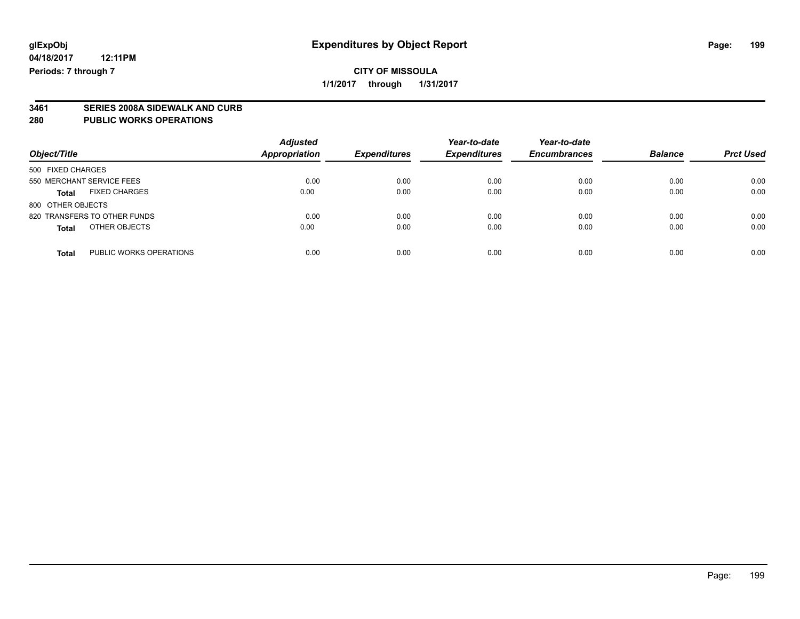**3461 SERIES 2008A SIDEWALK AND CURB**

### **280 PUBLIC WORKS OPERATIONS**

| Object/Title                            | <b>Adjusted</b><br><b>Appropriation</b> | <b>Expenditures</b> | Year-to-date<br><b>Expenditures</b> | Year-to-date<br><b>Encumbrances</b> | <b>Balance</b> | <b>Prct Used</b> |
|-----------------------------------------|-----------------------------------------|---------------------|-------------------------------------|-------------------------------------|----------------|------------------|
| 500 FIXED CHARGES                       |                                         |                     |                                     |                                     |                |                  |
| 550 MERCHANT SERVICE FEES               | 0.00                                    | 0.00                | 0.00                                | 0.00                                | 0.00           | 0.00             |
| <b>FIXED CHARGES</b><br><b>Total</b>    | 0.00                                    | 0.00                | 0.00                                | 0.00                                | 0.00           | 0.00             |
| 800 OTHER OBJECTS                       |                                         |                     |                                     |                                     |                |                  |
| 820 TRANSFERS TO OTHER FUNDS            | 0.00                                    | 0.00                | 0.00                                | 0.00                                | 0.00           | 0.00             |
| OTHER OBJECTS<br><b>Total</b>           | 0.00                                    | 0.00                | 0.00                                | 0.00                                | 0.00           | 0.00             |
| PUBLIC WORKS OPERATIONS<br><b>Total</b> | 0.00                                    | 0.00                | 0.00                                | 0.00                                | 0.00           | 0.00             |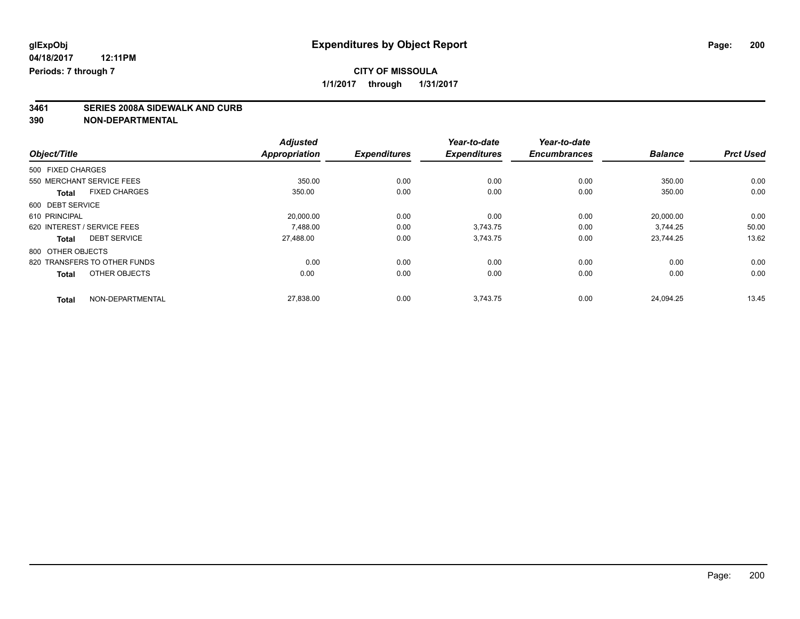**1/1/2017 through 1/31/2017**

# **3461 SERIES 2008A SIDEWALK AND CURB**

|                   |                              | <b>Adjusted</b>      |                     | Year-to-date        | Year-to-date        |                |                  |
|-------------------|------------------------------|----------------------|---------------------|---------------------|---------------------|----------------|------------------|
| Object/Title      |                              | <b>Appropriation</b> | <b>Expenditures</b> | <b>Expenditures</b> | <b>Encumbrances</b> | <b>Balance</b> | <b>Prct Used</b> |
| 500 FIXED CHARGES |                              |                      |                     |                     |                     |                |                  |
|                   | 550 MERCHANT SERVICE FEES    | 350.00               | 0.00                | 0.00                | 0.00                | 350.00         | 0.00             |
| <b>Total</b>      | <b>FIXED CHARGES</b>         | 350.00               | 0.00                | 0.00                | 0.00                | 350.00         | 0.00             |
| 600 DEBT SERVICE  |                              |                      |                     |                     |                     |                |                  |
| 610 PRINCIPAL     |                              | 20,000.00            | 0.00                | 0.00                | 0.00                | 20,000.00      | 0.00             |
|                   | 620 INTEREST / SERVICE FEES  | 7.488.00             | 0.00                | 3.743.75            | 0.00                | 3.744.25       | 50.00            |
| <b>Total</b>      | <b>DEBT SERVICE</b>          | 27,488.00            | 0.00                | 3,743.75            | 0.00                | 23,744.25      | 13.62            |
| 800 OTHER OBJECTS |                              |                      |                     |                     |                     |                |                  |
|                   | 820 TRANSFERS TO OTHER FUNDS | 0.00                 | 0.00                | 0.00                | 0.00                | 0.00           | 0.00             |
| <b>Total</b>      | OTHER OBJECTS                | 0.00                 | 0.00                | 0.00                | 0.00                | 0.00           | 0.00             |
| <b>Total</b>      | NON-DEPARTMENTAL             | 27,838.00            | 0.00                | 3,743.75            | 0.00                | 24,094.25      | 13.45            |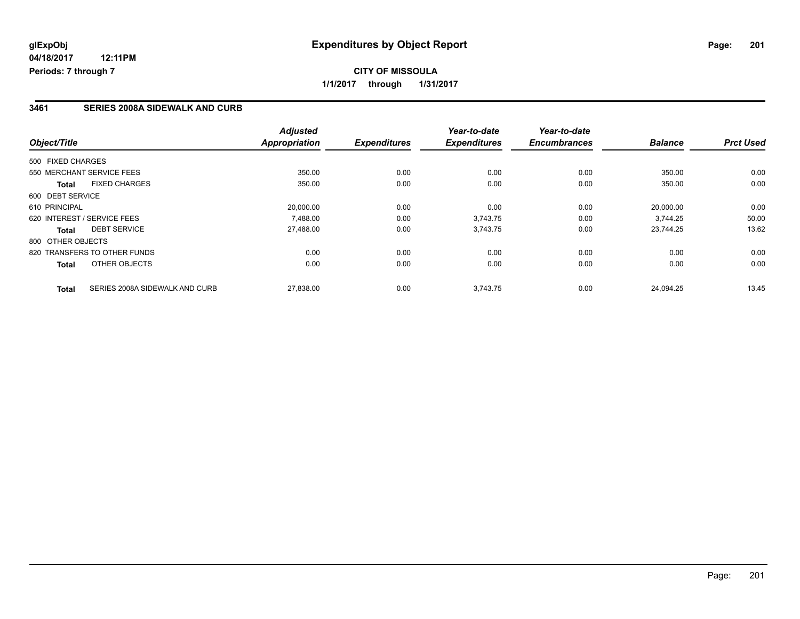#### **3461 SERIES 2008A SIDEWALK AND CURB**

| Object/Title                                   | <b>Adjusted</b><br><b>Appropriation</b> | <b>Expenditures</b> | Year-to-date<br><b>Expenditures</b> | Year-to-date<br><b>Encumbrances</b> | <b>Balance</b> | <b>Prct Used</b> |
|------------------------------------------------|-----------------------------------------|---------------------|-------------------------------------|-------------------------------------|----------------|------------------|
|                                                |                                         |                     |                                     |                                     |                |                  |
| 500 FIXED CHARGES                              |                                         |                     |                                     |                                     |                |                  |
| 550 MERCHANT SERVICE FEES                      | 350.00                                  | 0.00                | 0.00                                | 0.00                                | 350.00         | 0.00             |
| <b>FIXED CHARGES</b><br><b>Total</b>           | 350.00                                  | 0.00                | 0.00                                | 0.00                                | 350.00         | 0.00             |
| 600 DEBT SERVICE                               |                                         |                     |                                     |                                     |                |                  |
| 610 PRINCIPAL                                  | 20,000.00                               | 0.00                | 0.00                                | 0.00                                | 20,000.00      | 0.00             |
| 620 INTEREST / SERVICE FEES                    | 7.488.00                                | 0.00                | 3,743.75                            | 0.00                                | 3.744.25       | 50.00            |
| <b>DEBT SERVICE</b><br>Total                   | 27,488.00                               | 0.00                | 3,743.75                            | 0.00                                | 23.744.25      | 13.62            |
| 800 OTHER OBJECTS                              |                                         |                     |                                     |                                     |                |                  |
| 820 TRANSFERS TO OTHER FUNDS                   | 0.00                                    | 0.00                | 0.00                                | 0.00                                | 0.00           | 0.00             |
| OTHER OBJECTS<br><b>Total</b>                  | 0.00                                    | 0.00                | 0.00                                | 0.00                                | 0.00           | 0.00             |
| SERIES 2008A SIDEWALK AND CURB<br><b>Total</b> | 27,838.00                               | 0.00                | 3,743.75                            | 0.00                                | 24.094.25      | 13.45            |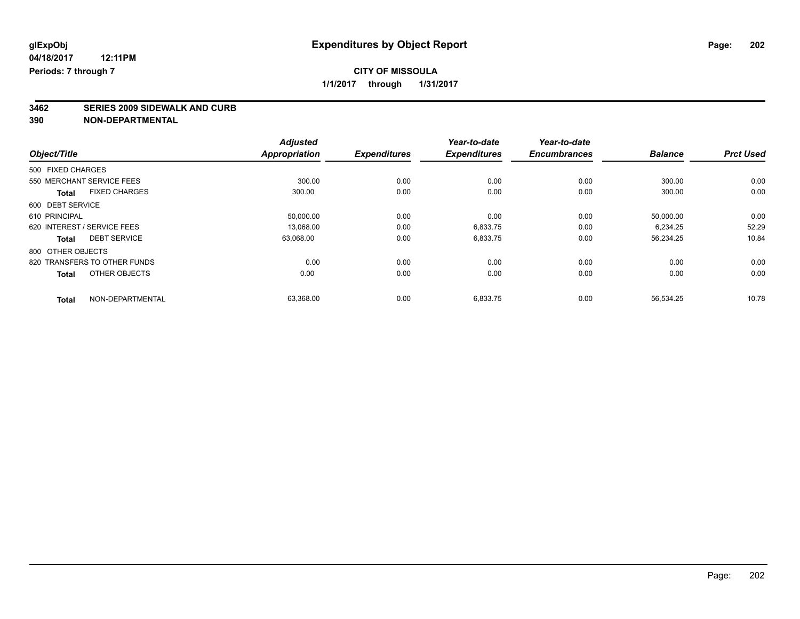# **3462 SERIES 2009 SIDEWALK AND CURB**

|                   |                              | <b>Adjusted</b>      |                     | Year-to-date        | Year-to-date        |                |                  |
|-------------------|------------------------------|----------------------|---------------------|---------------------|---------------------|----------------|------------------|
| Object/Title      |                              | <b>Appropriation</b> | <b>Expenditures</b> | <b>Expenditures</b> | <b>Encumbrances</b> | <b>Balance</b> | <b>Prct Used</b> |
| 500 FIXED CHARGES |                              |                      |                     |                     |                     |                |                  |
|                   | 550 MERCHANT SERVICE FEES    | 300.00               | 0.00                | 0.00                | 0.00                | 300.00         | 0.00             |
| <b>Total</b>      | <b>FIXED CHARGES</b>         | 300.00               | 0.00                | 0.00                | 0.00                | 300.00         | 0.00             |
| 600 DEBT SERVICE  |                              |                      |                     |                     |                     |                |                  |
| 610 PRINCIPAL     |                              | 50,000.00            | 0.00                | 0.00                | 0.00                | 50,000.00      | 0.00             |
|                   | 620 INTEREST / SERVICE FEES  | 13.068.00            | 0.00                | 6,833.75            | 0.00                | 6,234.25       | 52.29            |
| <b>Total</b>      | <b>DEBT SERVICE</b>          | 63.068.00            | 0.00                | 6,833.75            | 0.00                | 56.234.25      | 10.84            |
| 800 OTHER OBJECTS |                              |                      |                     |                     |                     |                |                  |
|                   | 820 TRANSFERS TO OTHER FUNDS | 0.00                 | 0.00                | 0.00                | 0.00                | 0.00           | 0.00             |
| <b>Total</b>      | OTHER OBJECTS                | 0.00                 | 0.00                | 0.00                | 0.00                | 0.00           | 0.00             |
| <b>Total</b>      | NON-DEPARTMENTAL             | 63,368.00            | 0.00                | 6.833.75            | 0.00                | 56.534.25      | 10.78            |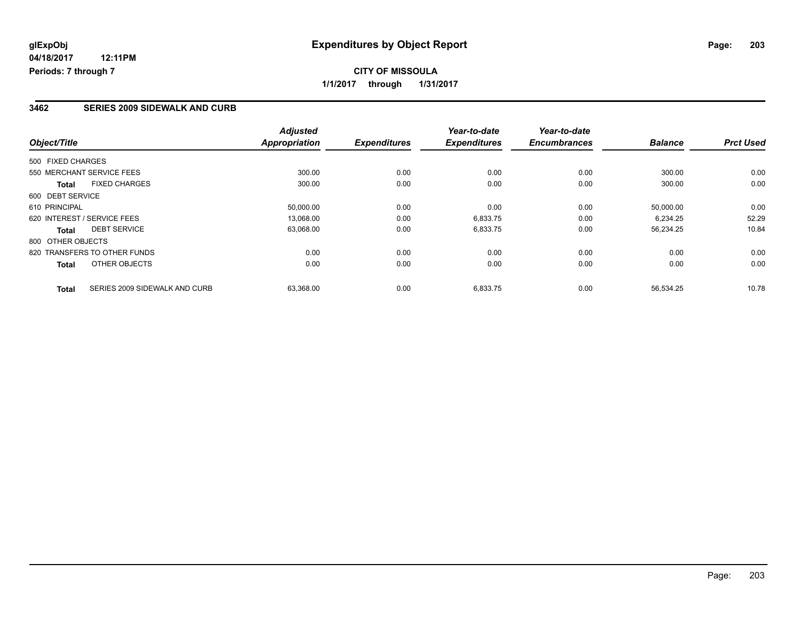#### **3462 SERIES 2009 SIDEWALK AND CURB**

|                                               | <b>Adjusted</b>      |                     | Year-to-date        | Year-to-date        |                |                  |
|-----------------------------------------------|----------------------|---------------------|---------------------|---------------------|----------------|------------------|
| Object/Title                                  | <b>Appropriation</b> | <b>Expenditures</b> | <b>Expenditures</b> | <b>Encumbrances</b> | <b>Balance</b> | <b>Prct Used</b> |
| 500 FIXED CHARGES                             |                      |                     |                     |                     |                |                  |
| 550 MERCHANT SERVICE FEES                     | 300.00               | 0.00                | 0.00                | 0.00                | 300.00         | 0.00             |
| <b>FIXED CHARGES</b><br><b>Total</b>          | 300.00               | 0.00                | 0.00                | 0.00                | 300.00         | 0.00             |
| 600 DEBT SERVICE                              |                      |                     |                     |                     |                |                  |
| 610 PRINCIPAL                                 | 50,000.00            | 0.00                | 0.00                | 0.00                | 50.000.00      | 0.00             |
| 620 INTEREST / SERVICE FEES                   | 13,068.00            | 0.00                | 6,833.75            | 0.00                | 6.234.25       | 52.29            |
| <b>DEBT SERVICE</b><br><b>Total</b>           | 63,068.00            | 0.00                | 6,833.75            | 0.00                | 56,234.25      | 10.84            |
| 800 OTHER OBJECTS                             |                      |                     |                     |                     |                |                  |
| 820 TRANSFERS TO OTHER FUNDS                  | 0.00                 | 0.00                | 0.00                | 0.00                | 0.00           | 0.00             |
| OTHER OBJECTS<br>Total                        | 0.00                 | 0.00                | 0.00                | 0.00                | 0.00           | 0.00             |
| SERIES 2009 SIDEWALK AND CURB<br><b>Total</b> | 63.368.00            | 0.00                | 6,833.75            | 0.00                | 56.534.25      | 10.78            |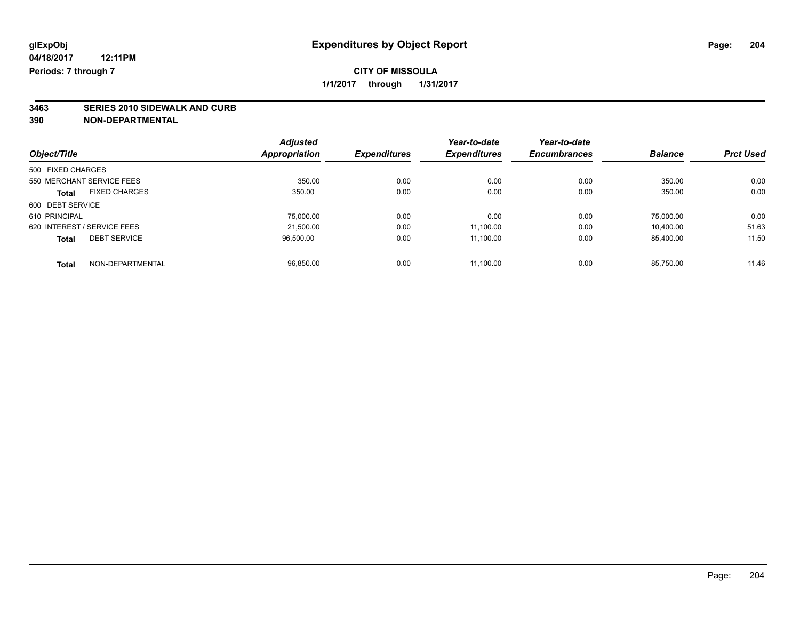### **CITY OF MISSOULA 1/1/2017 through 1/31/2017**

# **3463 SERIES 2010 SIDEWALK AND CURB**

|                                      | <b>Adjusted</b> |                     | Year-to-date        | Year-to-date        |                |                  |
|--------------------------------------|-----------------|---------------------|---------------------|---------------------|----------------|------------------|
| Object/Title                         | Appropriation   | <b>Expenditures</b> | <b>Expenditures</b> | <b>Encumbrances</b> | <b>Balance</b> | <b>Prct Used</b> |
| 500 FIXED CHARGES                    |                 |                     |                     |                     |                |                  |
| 550 MERCHANT SERVICE FEES            | 350.00          | 0.00                | 0.00                | 0.00                | 350.00         | 0.00             |
| <b>FIXED CHARGES</b><br><b>Total</b> | 350.00          | 0.00                | 0.00                | 0.00                | 350.00         | 0.00             |
| 600 DEBT SERVICE                     |                 |                     |                     |                     |                |                  |
| 610 PRINCIPAL                        | 75,000.00       | 0.00                | 0.00                | 0.00                | 75.000.00      | 0.00             |
| 620 INTEREST / SERVICE FEES          | 21.500.00       | 0.00                | 11,100.00           | 0.00                | 10.400.00      | 51.63            |
| <b>DEBT SERVICE</b><br><b>Total</b>  | 96.500.00       | 0.00                | 11.100.00           | 0.00                | 85.400.00      | 11.50            |
| NON-DEPARTMENTAL<br><b>Total</b>     | 96.850.00       | 0.00                | 11.100.00           | 0.00                | 85.750.00      | 11.46            |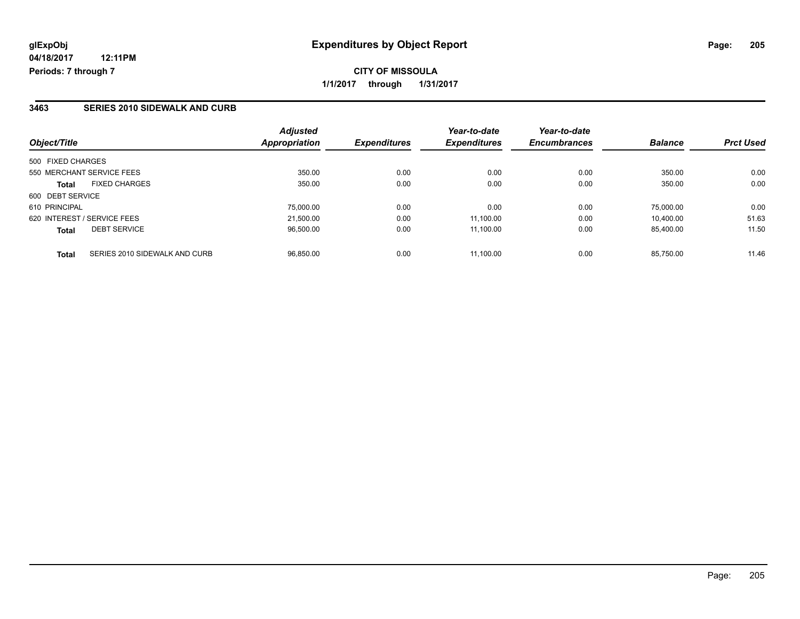## **CITY OF MISSOULA 1/1/2017 through 1/31/2017**

### **3463 SERIES 2010 SIDEWALK AND CURB**

| Object/Title                                  | <b>Adjusted</b><br>Appropriation | <b>Expenditures</b> | Year-to-date<br><b>Expenditures</b> | Year-to-date<br><b>Encumbrances</b> | <b>Balance</b> | <b>Prct Used</b> |
|-----------------------------------------------|----------------------------------|---------------------|-------------------------------------|-------------------------------------|----------------|------------------|
| 500 FIXED CHARGES                             |                                  |                     |                                     |                                     |                |                  |
| 550 MERCHANT SERVICE FEES                     | 350.00                           | 0.00                | 0.00                                | 0.00                                | 350.00         | 0.00             |
| <b>FIXED CHARGES</b><br><b>Total</b>          | 350.00                           | 0.00                | 0.00                                | 0.00                                | 350.00         | 0.00             |
| 600 DEBT SERVICE                              |                                  |                     |                                     |                                     |                |                  |
| 610 PRINCIPAL                                 | 75.000.00                        | 0.00                | 0.00                                | 0.00                                | 75.000.00      | 0.00             |
| 620 INTEREST / SERVICE FEES                   | 21.500.00                        | 0.00                | 11.100.00                           | 0.00                                | 10.400.00      | 51.63            |
| <b>DEBT SERVICE</b><br><b>Total</b>           | 96,500.00                        | 0.00                | 11,100.00                           | 0.00                                | 85,400.00      | 11.50            |
| SERIES 2010 SIDEWALK AND CURB<br><b>Total</b> | 96.850.00                        | 0.00                | 11.100.00                           | 0.00                                | 85.750.00      | 11.46            |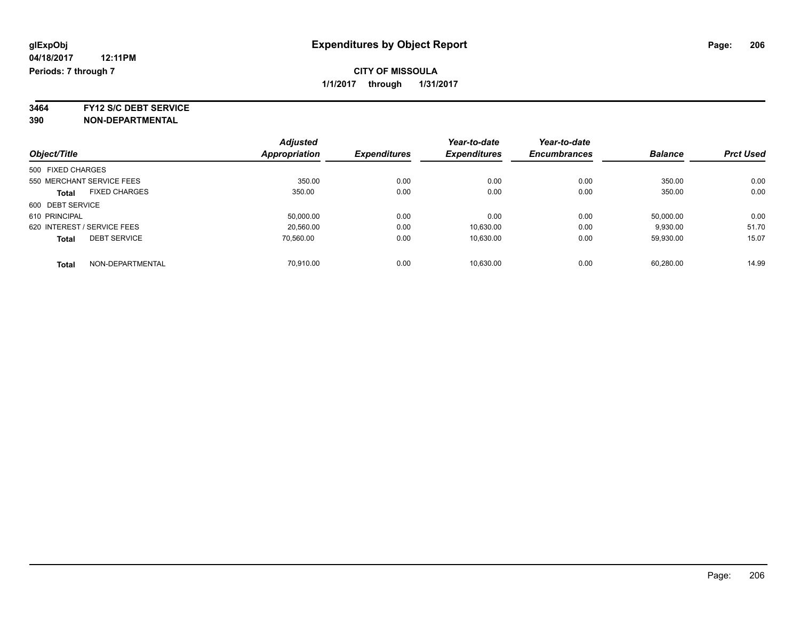### **CITY OF MISSOULA 1/1/2017 through 1/31/2017**

**3464 FY12 S/C DEBT SERVICE**

|                                      | <b>Adjusted</b> |                     | Year-to-date        | Year-to-date        |                |                  |
|--------------------------------------|-----------------|---------------------|---------------------|---------------------|----------------|------------------|
| Object/Title                         | Appropriation   | <b>Expenditures</b> | <b>Expenditures</b> | <b>Encumbrances</b> | <b>Balance</b> | <b>Prct Used</b> |
| 500 FIXED CHARGES                    |                 |                     |                     |                     |                |                  |
| 550 MERCHANT SERVICE FEES            | 350.00          | 0.00                | 0.00                | 0.00                | 350.00         | 0.00             |
| <b>FIXED CHARGES</b><br><b>Total</b> | 350.00          | 0.00                | 0.00                | 0.00                | 350.00         | 0.00             |
| 600 DEBT SERVICE                     |                 |                     |                     |                     |                |                  |
| 610 PRINCIPAL                        | 50,000.00       | 0.00                | 0.00                | 0.00                | 50,000.00      | 0.00             |
| 620 INTEREST / SERVICE FEES          | 20.560.00       | 0.00                | 10,630.00           | 0.00                | 9,930.00       | 51.70            |
| <b>DEBT SERVICE</b><br><b>Total</b>  | 70.560.00       | 0.00                | 10.630.00           | 0.00                | 59.930.00      | 15.07            |
| NON-DEPARTMENTAL<br><b>Total</b>     | 70.910.00       | 0.00                | 10.630.00           | 0.00                | 60.280.00      | 14.99            |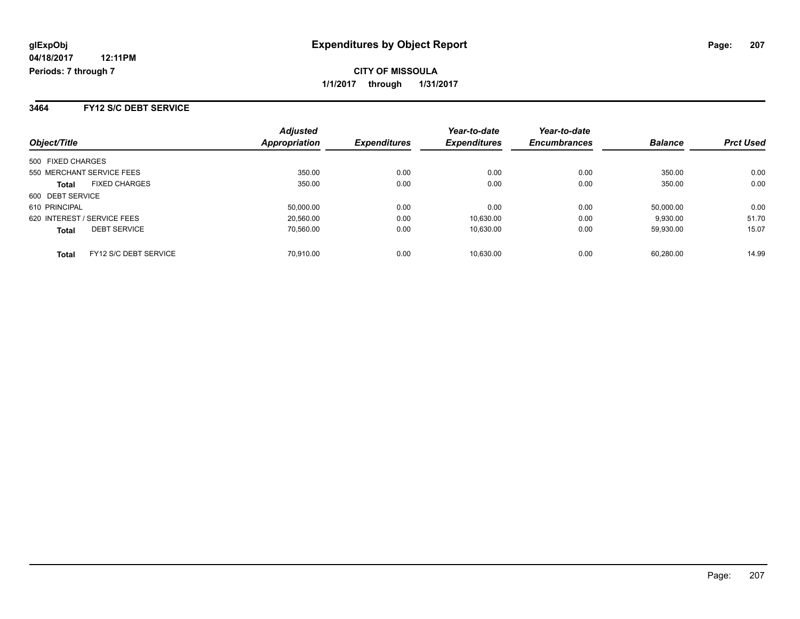#### **3464 FY12 S/C DEBT SERVICE**

| Object/Title                          | <b>Adjusted</b><br>Appropriation | <b>Expenditures</b> | Year-to-date<br><b>Expenditures</b> | Year-to-date<br><b>Encumbrances</b> | <b>Balance</b> | <b>Prct Used</b> |
|---------------------------------------|----------------------------------|---------------------|-------------------------------------|-------------------------------------|----------------|------------------|
| 500 FIXED CHARGES                     |                                  |                     |                                     |                                     |                |                  |
| 550 MERCHANT SERVICE FEES             | 350.00                           | 0.00                | 0.00                                | 0.00                                | 350.00         | 0.00             |
| <b>FIXED CHARGES</b><br><b>Total</b>  | 350.00                           | 0.00                | 0.00                                | 0.00                                | 350.00         | 0.00             |
| 600 DEBT SERVICE                      |                                  |                     |                                     |                                     |                |                  |
| 610 PRINCIPAL                         | 50,000.00                        | 0.00                | 0.00                                | 0.00                                | 50,000.00      | 0.00             |
| 620 INTEREST / SERVICE FEES           | 20,560.00                        | 0.00                | 10.630.00                           | 0.00                                | 9,930.00       | 51.70            |
| <b>DEBT SERVICE</b><br><b>Total</b>   | 70.560.00                        | 0.00                | 10.630.00                           | 0.00                                | 59.930.00      | 15.07            |
| FY12 S/C DEBT SERVICE<br><b>Total</b> | 70.910.00                        | 0.00                | 10.630.00                           | 0.00                                | 60.280.00      | 14.99            |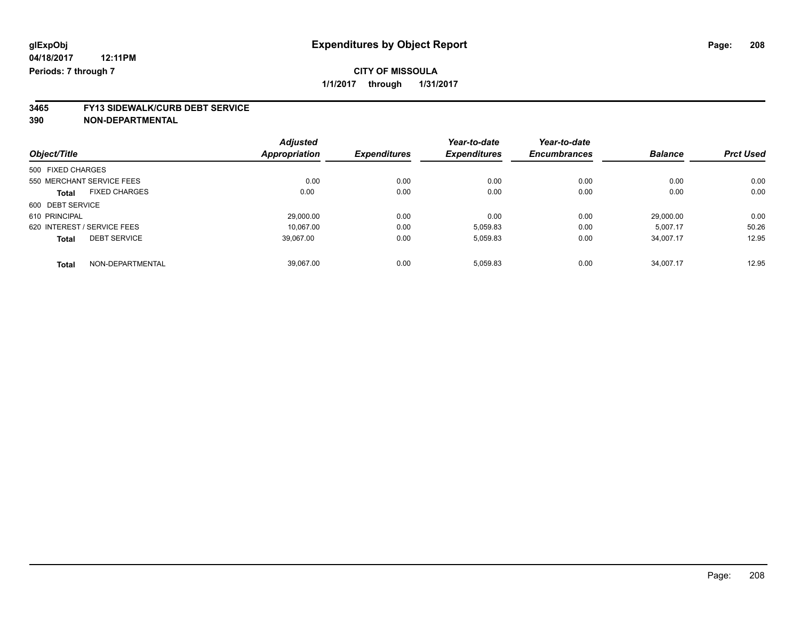# **3465 FY13 SIDEWALK/CURB DEBT SERVICE**

|                                      | <b>Adjusted</b> |                     | Year-to-date        | Year-to-date        |                |                  |
|--------------------------------------|-----------------|---------------------|---------------------|---------------------|----------------|------------------|
| Object/Title                         | Appropriation   | <b>Expenditures</b> | <b>Expenditures</b> | <b>Encumbrances</b> | <b>Balance</b> | <b>Prct Used</b> |
| 500 FIXED CHARGES                    |                 |                     |                     |                     |                |                  |
| 550 MERCHANT SERVICE FEES            | 0.00            | 0.00                | 0.00                | 0.00                | 0.00           | 0.00             |
| <b>FIXED CHARGES</b><br><b>Total</b> | 0.00            | 0.00                | 0.00                | 0.00                | 0.00           | 0.00             |
| 600 DEBT SERVICE                     |                 |                     |                     |                     |                |                  |
| 610 PRINCIPAL                        | 29,000.00       | 0.00                | 0.00                | 0.00                | 29.000.00      | 0.00             |
| 620 INTEREST / SERVICE FEES          | 10.067.00       | 0.00                | 5,059.83            | 0.00                | 5.007.17       | 50.26            |
| <b>DEBT SERVICE</b><br><b>Total</b>  | 39.067.00       | 0.00                | 5,059.83            | 0.00                | 34,007.17      | 12.95            |
| NON-DEPARTMENTAL<br><b>Total</b>     | 39.067.00       | 0.00                | 5.059.83            | 0.00                | 34.007.17      | 12.95            |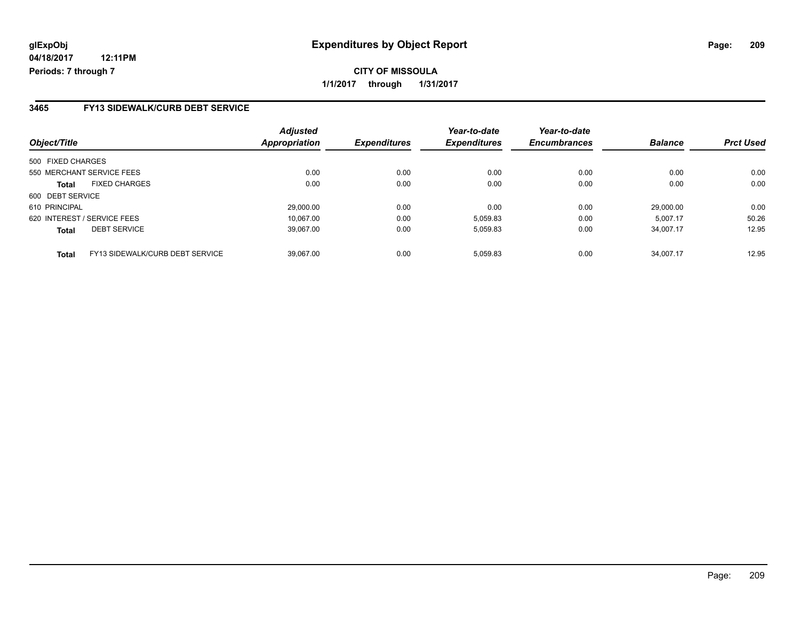## **CITY OF MISSOULA 1/1/2017 through 1/31/2017**

### **3465 FY13 SIDEWALK/CURB DEBT SERVICE**

| Object/Title                                    | <b>Adjusted</b><br>Appropriation | <b>Expenditures</b> | Year-to-date<br><b>Expenditures</b> | Year-to-date<br><b>Encumbrances</b> | <b>Balance</b> | <b>Prct Used</b> |
|-------------------------------------------------|----------------------------------|---------------------|-------------------------------------|-------------------------------------|----------------|------------------|
| 500 FIXED CHARGES                               |                                  |                     |                                     |                                     |                |                  |
| 550 MERCHANT SERVICE FEES                       | 0.00                             | 0.00                | 0.00                                | 0.00                                | 0.00           | 0.00             |
| <b>FIXED CHARGES</b><br><b>Total</b>            | 0.00                             | 0.00                | 0.00                                | 0.00                                | 0.00           | 0.00             |
| 600 DEBT SERVICE                                |                                  |                     |                                     |                                     |                |                  |
| 610 PRINCIPAL                                   | 29,000.00                        | 0.00                | 0.00                                | 0.00                                | 29,000.00      | 0.00             |
| 620 INTEREST / SERVICE FEES                     | 10.067.00                        | 0.00                | 5,059.83                            | 0.00                                | 5,007.17       | 50.26            |
| <b>DEBT SERVICE</b><br><b>Total</b>             | 39,067.00                        | 0.00                | 5,059.83                            | 0.00                                | 34,007.17      | 12.95            |
| FY13 SIDEWALK/CURB DEBT SERVICE<br><b>Total</b> | 39.067.00                        | 0.00                | 5,059.83                            | 0.00                                | 34.007.17      | 12.95            |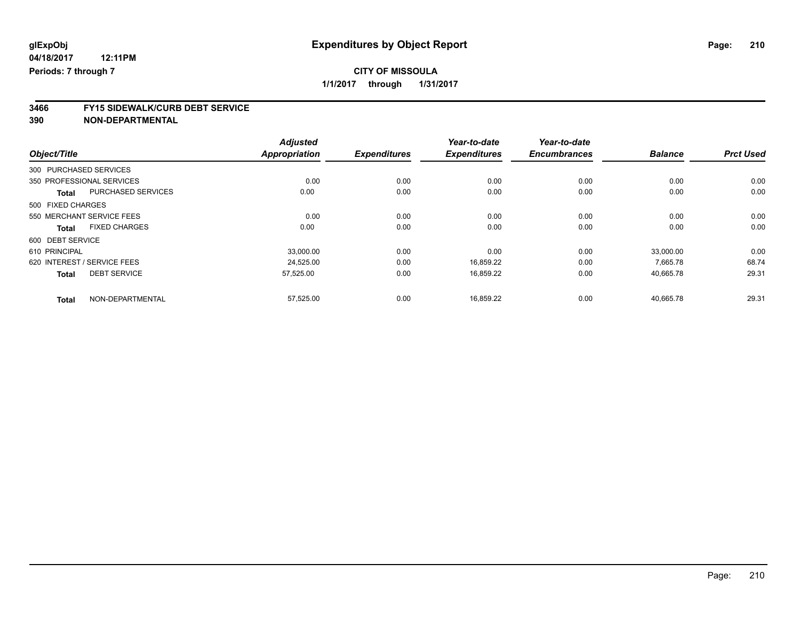|                                     |                           | <b>Adjusted</b>      |                     | Year-to-date        | Year-to-date        |                |                  |
|-------------------------------------|---------------------------|----------------------|---------------------|---------------------|---------------------|----------------|------------------|
| Object/Title                        |                           | <b>Appropriation</b> | <b>Expenditures</b> | <b>Expenditures</b> | <b>Encumbrances</b> | <b>Balance</b> | <b>Prct Used</b> |
| 300 PURCHASED SERVICES              |                           |                      |                     |                     |                     |                |                  |
| 350 PROFESSIONAL SERVICES           |                           | 0.00                 | 0.00                | 0.00                | 0.00                | 0.00           | 0.00             |
| <b>Total</b>                        | <b>PURCHASED SERVICES</b> | 0.00                 | 0.00                | 0.00                | 0.00                | 0.00           | 0.00             |
| 500 FIXED CHARGES                   |                           |                      |                     |                     |                     |                |                  |
| 550 MERCHANT SERVICE FEES           |                           | 0.00                 | 0.00                | 0.00                | 0.00                | 0.00           | 0.00             |
| <b>Total</b>                        | <b>FIXED CHARGES</b>      | 0.00                 | 0.00                | 0.00                | 0.00                | 0.00           | 0.00             |
| 600 DEBT SERVICE                    |                           |                      |                     |                     |                     |                |                  |
| 610 PRINCIPAL                       |                           | 33,000.00            | 0.00                | 0.00                | 0.00                | 33,000.00      | 0.00             |
| 620 INTEREST / SERVICE FEES         |                           | 24,525.00            | 0.00                | 16,859.22           | 0.00                | 7,665.78       | 68.74            |
| <b>DEBT SERVICE</b><br><b>Total</b> |                           | 57,525.00            | 0.00                | 16,859.22           | 0.00                | 40,665.78      | 29.31            |
| <b>Total</b>                        | NON-DEPARTMENTAL          | 57,525.00            | 0.00                | 16,859.22           | 0.00                | 40,665.78      | 29.31            |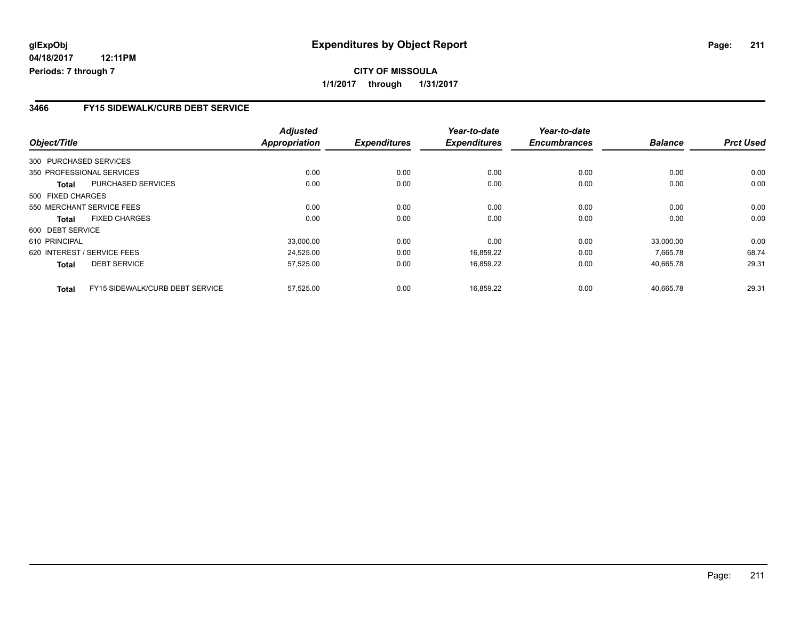### **3466 FY15 SIDEWALK/CURB DEBT SERVICE**

| Object/Title           |                                 | <b>Adjusted</b><br><b>Appropriation</b> | <b>Expenditures</b> | Year-to-date<br><b>Expenditures</b> | Year-to-date<br><b>Encumbrances</b> | <b>Balance</b> | <b>Prct Used</b> |
|------------------------|---------------------------------|-----------------------------------------|---------------------|-------------------------------------|-------------------------------------|----------------|------------------|
|                        |                                 |                                         |                     |                                     |                                     |                |                  |
| 300 PURCHASED SERVICES |                                 |                                         |                     |                                     |                                     |                |                  |
|                        | 350 PROFESSIONAL SERVICES       | 0.00                                    | 0.00                | 0.00                                | 0.00                                | 0.00           | 0.00             |
| Total                  | PURCHASED SERVICES              | 0.00                                    | 0.00                | 0.00                                | 0.00                                | 0.00           | 0.00             |
| 500 FIXED CHARGES      |                                 |                                         |                     |                                     |                                     |                |                  |
|                        | 550 MERCHANT SERVICE FEES       | 0.00                                    | 0.00                | 0.00                                | 0.00                                | 0.00           | 0.00             |
| Total                  | <b>FIXED CHARGES</b>            | 0.00                                    | 0.00                | 0.00                                | 0.00                                | 0.00           | 0.00             |
| 600 DEBT SERVICE       |                                 |                                         |                     |                                     |                                     |                |                  |
| 610 PRINCIPAL          |                                 | 33,000.00                               | 0.00                | 0.00                                | 0.00                                | 33,000.00      | 0.00             |
|                        | 620 INTEREST / SERVICE FEES     | 24,525.00                               | 0.00                | 16,859.22                           | 0.00                                | 7.665.78       | 68.74            |
| <b>Total</b>           | <b>DEBT SERVICE</b>             | 57,525.00                               | 0.00                | 16,859.22                           | 0.00                                | 40,665.78      | 29.31            |
| <b>Total</b>           | FY15 SIDEWALK/CURB DEBT SERVICE | 57,525.00                               | 0.00                | 16.859.22                           | 0.00                                | 40.665.78      | 29.31            |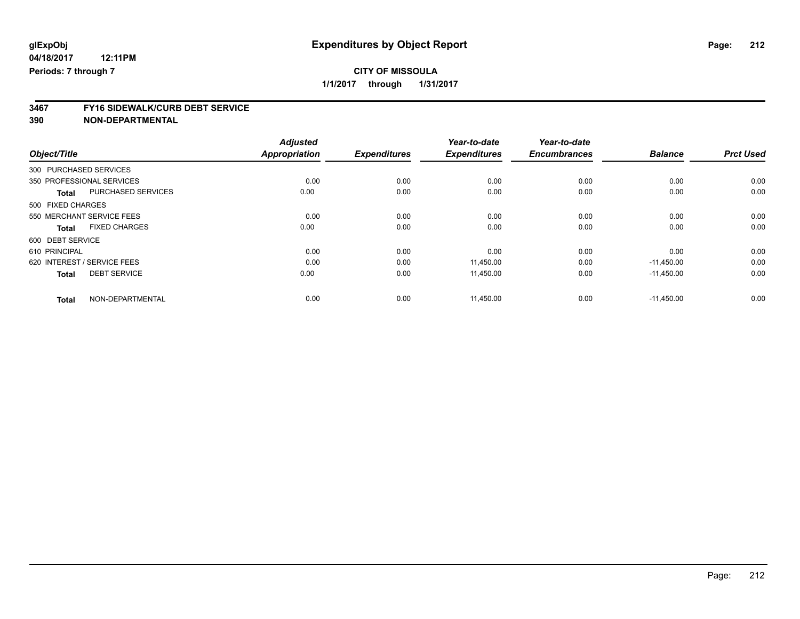|                             |                      | <b>Adjusted</b>      |                     | Year-to-date        | Year-to-date        |                |                  |
|-----------------------------|----------------------|----------------------|---------------------|---------------------|---------------------|----------------|------------------|
| Object/Title                |                      | <b>Appropriation</b> | <b>Expenditures</b> | <b>Expenditures</b> | <b>Encumbrances</b> | <b>Balance</b> | <b>Prct Used</b> |
| 300 PURCHASED SERVICES      |                      |                      |                     |                     |                     |                |                  |
| 350 PROFESSIONAL SERVICES   |                      | 0.00                 | 0.00                | 0.00                | 0.00                | 0.00           | 0.00             |
| <b>Total</b>                | PURCHASED SERVICES   | 0.00                 | 0.00                | 0.00                | 0.00                | 0.00           | 0.00             |
| 500 FIXED CHARGES           |                      |                      |                     |                     |                     |                |                  |
| 550 MERCHANT SERVICE FEES   |                      | 0.00                 | 0.00                | 0.00                | 0.00                | 0.00           | 0.00             |
| <b>Total</b>                | <b>FIXED CHARGES</b> | 0.00                 | 0.00                | 0.00                | 0.00                | 0.00           | 0.00             |
| 600 DEBT SERVICE            |                      |                      |                     |                     |                     |                |                  |
| 610 PRINCIPAL               |                      | 0.00                 | 0.00                | 0.00                | 0.00                | 0.00           | 0.00             |
| 620 INTEREST / SERVICE FEES |                      | 0.00                 | 0.00                | 11.450.00           | 0.00                | $-11,450.00$   | 0.00             |
| <b>Total</b>                | <b>DEBT SERVICE</b>  | 0.00                 | 0.00                | 11,450.00           | 0.00                | $-11,450.00$   | 0.00             |
| <b>Total</b>                | NON-DEPARTMENTAL     | 0.00                 | 0.00                | 11,450.00           | 0.00                | $-11.450.00$   | 0.00             |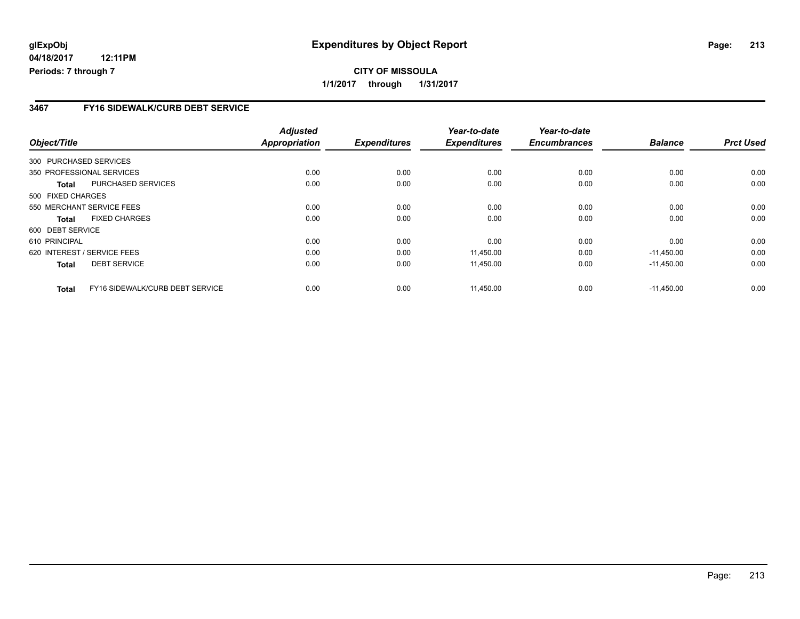### **3467 FY16 SIDEWALK/CURB DEBT SERVICE**

| Object/Title           |                                 | <b>Adjusted</b><br>Appropriation | <b>Expenditures</b> | Year-to-date<br><b>Expenditures</b> | Year-to-date<br><b>Encumbrances</b> | <b>Balance</b> | <b>Prct Used</b> |
|------------------------|---------------------------------|----------------------------------|---------------------|-------------------------------------|-------------------------------------|----------------|------------------|
|                        |                                 |                                  |                     |                                     |                                     |                |                  |
| 300 PURCHASED SERVICES |                                 |                                  |                     |                                     |                                     |                |                  |
|                        | 350 PROFESSIONAL SERVICES       | 0.00                             | 0.00                | 0.00                                | 0.00                                | 0.00           | 0.00             |
| Total                  | PURCHASED SERVICES              | 0.00                             | 0.00                | 0.00                                | 0.00                                | 0.00           | 0.00             |
| 500 FIXED CHARGES      |                                 |                                  |                     |                                     |                                     |                |                  |
|                        | 550 MERCHANT SERVICE FEES       | 0.00                             | 0.00                | 0.00                                | 0.00                                | 0.00           | 0.00             |
| <b>Total</b>           | <b>FIXED CHARGES</b>            | 0.00                             | 0.00                | 0.00                                | 0.00                                | 0.00           | 0.00             |
| 600 DEBT SERVICE       |                                 |                                  |                     |                                     |                                     |                |                  |
| 610 PRINCIPAL          |                                 | 0.00                             | 0.00                | 0.00                                | 0.00                                | 0.00           | 0.00             |
|                        | 620 INTEREST / SERVICE FEES     | 0.00                             | 0.00                | 11,450.00                           | 0.00                                | $-11,450.00$   | 0.00             |
| <b>Total</b>           | <b>DEBT SERVICE</b>             | 0.00                             | 0.00                | 11,450.00                           | 0.00                                | $-11,450.00$   | 0.00             |
| <b>Total</b>           | FY16 SIDEWALK/CURB DEBT SERVICE | 0.00                             | 0.00                | 11.450.00                           | 0.00                                | $-11,450.00$   | 0.00             |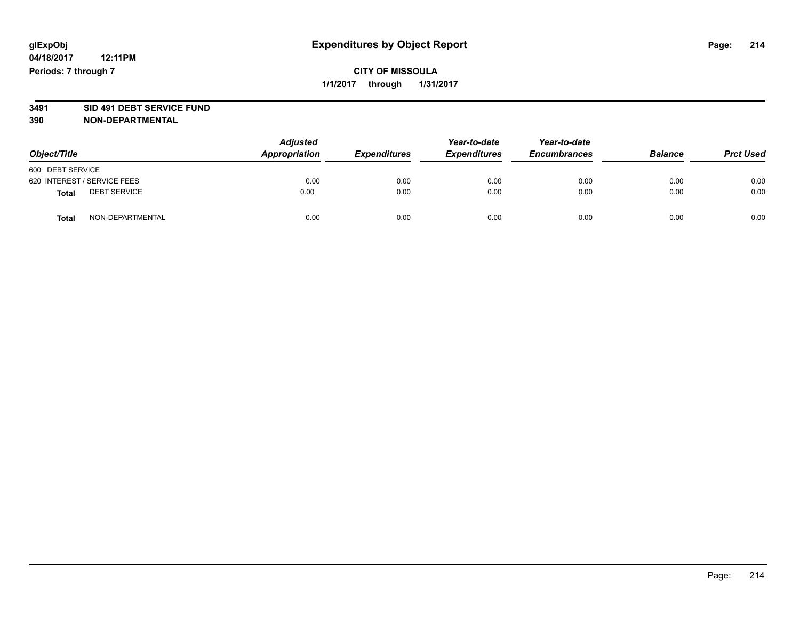## **CITY OF MISSOULA 1/1/2017 through 1/31/2017**

# **3491 SID 491 DEBT SERVICE FUND**

| Object/Title                |                     | <b>Adjusted</b><br>Appropriation | <b>Expenditures</b> | Year-to-date<br><b>Expenditures</b> | Year-to-date<br><b>Encumbrances</b> | <b>Balance</b> | <b>Prct Used</b> |
|-----------------------------|---------------------|----------------------------------|---------------------|-------------------------------------|-------------------------------------|----------------|------------------|
| 600 DEBT SERVICE            |                     |                                  |                     |                                     |                                     |                |                  |
| 620 INTEREST / SERVICE FEES |                     | 0.00                             | 0.00                | 0.00                                | 0.00                                | 0.00           | 0.00             |
| <b>Total</b>                | <b>DEBT SERVICE</b> | 0.00                             | 0.00                | 0.00                                | 0.00                                | 0.00           | 0.00             |
| <b>Total</b>                | NON-DEPARTMENTAL    | 0.00                             | 0.00                | 0.00                                | 0.00                                | 0.00           | 0.00             |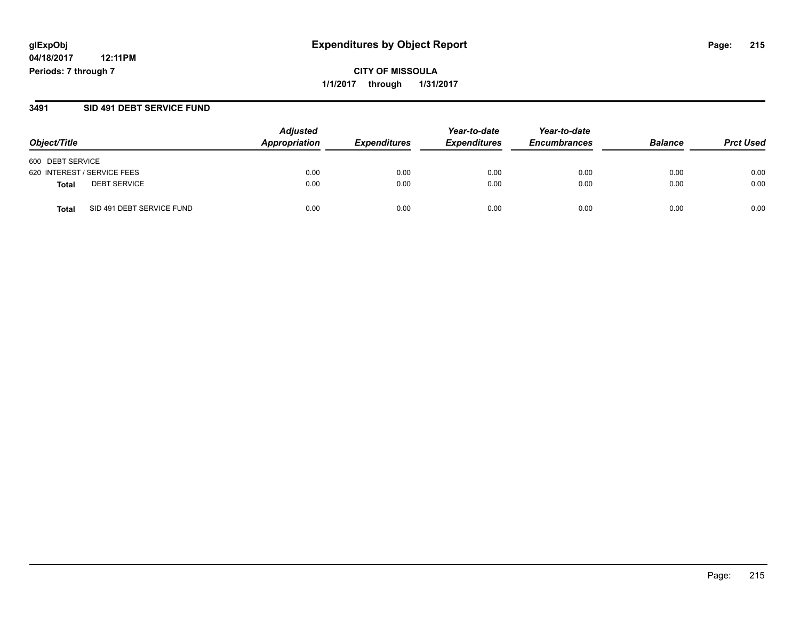**CITY OF MISSOULA 1/1/2017 through 1/31/2017**

#### **3491 SID 491 DEBT SERVICE FUND**

| Object/Title                        | <b>Adjusted</b><br>Appropriation | <b>Expenditures</b> | Year-to-date<br><b>Expenditures</b> | Year-to-date<br><b>Encumbrances</b> | <b>Balance</b> | <b>Prct Used</b> |
|-------------------------------------|----------------------------------|---------------------|-------------------------------------|-------------------------------------|----------------|------------------|
| 600 DEBT SERVICE                    |                                  |                     |                                     |                                     |                |                  |
| 620 INTEREST / SERVICE FEES         | 0.00                             | 0.00                | 0.00                                | 0.00                                | 0.00           | 0.00             |
| <b>DEBT SERVICE</b><br><b>Total</b> | 0.00                             | 0.00                | 0.00                                | 0.00                                | 0.00           | 0.00             |
| SID 491 DEBT SERVICE FUND<br>Total  | 0.00                             | 0.00                | 0.00                                | 0.00                                | 0.00           | 0.00             |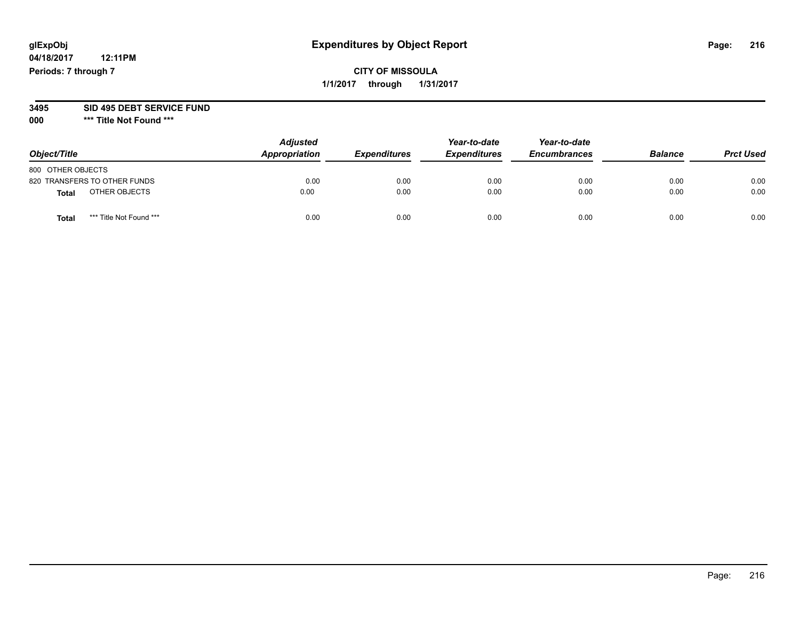# **glExpObj Expenditures by Object Report Page: 216**

**04/18/2017 12:11PM Periods: 7 through 7**

**000 \*\*\* Title Not Found \*\*\***

| Object/Title                            | <b>Adjusted</b><br>Appropriation | <b>Expenditures</b> | Year-to-date<br><b>Expenditures</b> | Year-to-date<br><b>Encumbrances</b> | <b>Balance</b> | <b>Prct Used</b> |
|-----------------------------------------|----------------------------------|---------------------|-------------------------------------|-------------------------------------|----------------|------------------|
| 800 OTHER OBJECTS                       |                                  |                     |                                     |                                     |                |                  |
| 820 TRANSFERS TO OTHER FUNDS            | 0.00                             | 0.00                | 0.00                                | 0.00                                | 0.00           | 0.00             |
| OTHER OBJECTS<br>Total                  | 0.00                             | 0.00                | 0.00                                | 0.00                                | 0.00           | 0.00             |
| *** Title Not Found ***<br><b>Total</b> | 0.00                             | 0.00                | 0.00                                | 0.00                                | 0.00           | 0.00             |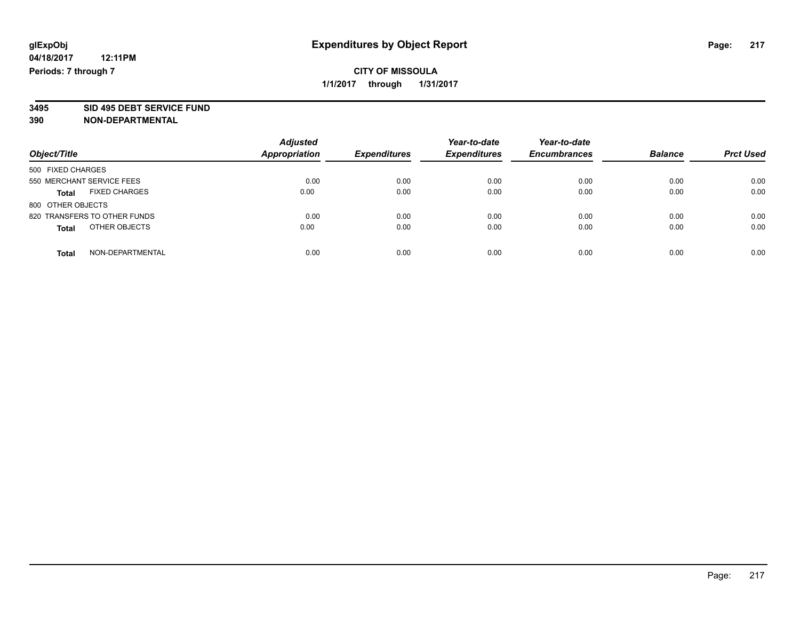# **3495 SID 495 DEBT SERVICE FUND**

| Object/Title                  | <b>Adjusted</b><br>Appropriation | <b>Expenditures</b> | Year-to-date<br><b>Expenditures</b> | Year-to-date<br><b>Encumbrances</b> | <b>Balance</b> | <b>Prct Used</b> |
|-------------------------------|----------------------------------|---------------------|-------------------------------------|-------------------------------------|----------------|------------------|
| 500 FIXED CHARGES             |                                  |                     |                                     |                                     |                |                  |
| 550 MERCHANT SERVICE FEES     | 0.00                             | 0.00                | 0.00                                | 0.00                                | 0.00           | 0.00             |
| <b>FIXED CHARGES</b><br>Total | 0.00                             | 0.00                | 0.00                                | 0.00                                | 0.00           | 0.00             |
| 800 OTHER OBJECTS             |                                  |                     |                                     |                                     |                |                  |
| 820 TRANSFERS TO OTHER FUNDS  | 0.00                             | 0.00                | 0.00                                | 0.00                                | 0.00           | 0.00             |
| OTHER OBJECTS<br><b>Total</b> | 0.00                             | 0.00                | 0.00                                | 0.00                                | 0.00           | 0.00             |
| NON-DEPARTMENTAL<br>Total     | 0.00                             | 0.00                | 0.00                                | 0.00                                | 0.00           | 0.00             |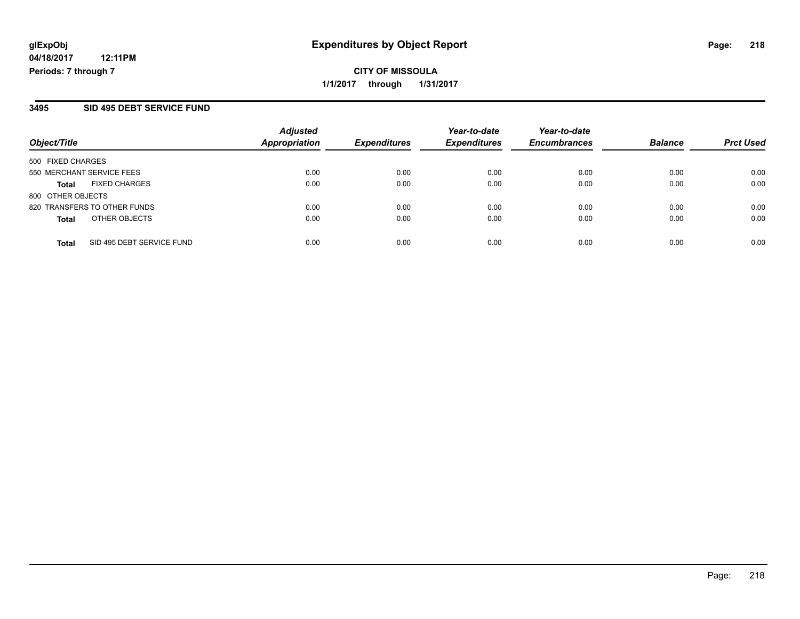**CITY OF MISSOULA 1/1/2017 through 1/31/2017**

#### **3495 SID 495 DEBT SERVICE FUND**

| Object/Title                              | <b>Adjusted</b><br>Appropriation | <b>Expenditures</b> | Year-to-date<br><b>Expenditures</b> | Year-to-date<br><b>Encumbrances</b> | <b>Balance</b> | <b>Prct Used</b> |
|-------------------------------------------|----------------------------------|---------------------|-------------------------------------|-------------------------------------|----------------|------------------|
| 500 FIXED CHARGES                         |                                  |                     |                                     |                                     |                |                  |
| 550 MERCHANT SERVICE FEES                 | 0.00                             | 0.00                | 0.00                                | 0.00                                | 0.00           | 0.00             |
| <b>FIXED CHARGES</b><br><b>Total</b>      | 0.00                             | 0.00                | 0.00                                | 0.00                                | 0.00           | 0.00             |
| 800 OTHER OBJECTS                         |                                  |                     |                                     |                                     |                |                  |
| 820 TRANSFERS TO OTHER FUNDS              | 0.00                             | 0.00                | 0.00                                | 0.00                                | 0.00           | 0.00             |
| OTHER OBJECTS<br><b>Total</b>             | 0.00                             | 0.00                | 0.00                                | 0.00                                | 0.00           | 0.00             |
| SID 495 DEBT SERVICE FUND<br><b>Total</b> | 0.00                             | 0.00                | 0.00                                | 0.00                                | 0.00           | 0.00             |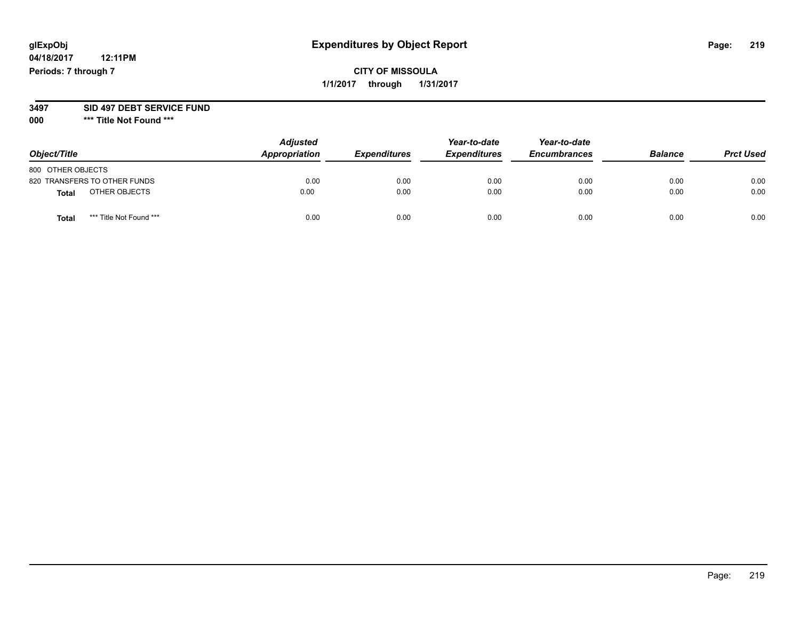**04/18/2017 12:11PM Periods: 7 through 7**

| Object/Title      |                              | <b>Adjusted</b><br>Appropriation | <b>Expenditures</b> | Year-to-date<br><b>Expenditures</b> | Year-to-date<br><b>Encumbrances</b> | <b>Balance</b> | <b>Prct Used</b> |
|-------------------|------------------------------|----------------------------------|---------------------|-------------------------------------|-------------------------------------|----------------|------------------|
| 800 OTHER OBJECTS |                              |                                  |                     |                                     |                                     |                |                  |
|                   | 820 TRANSFERS TO OTHER FUNDS | 0.00                             | 0.00                | 0.00                                | 0.00                                | 0.00           | 0.00             |
| <b>Total</b>      | OTHER OBJECTS                | 0.00                             | 0.00                | 0.00                                | 0.00                                | 0.00           | 0.00             |
| Total             | *** Title Not Found ***      | 0.00                             | 0.00                | 0.00                                | 0.00                                | 0.00           | 0.00             |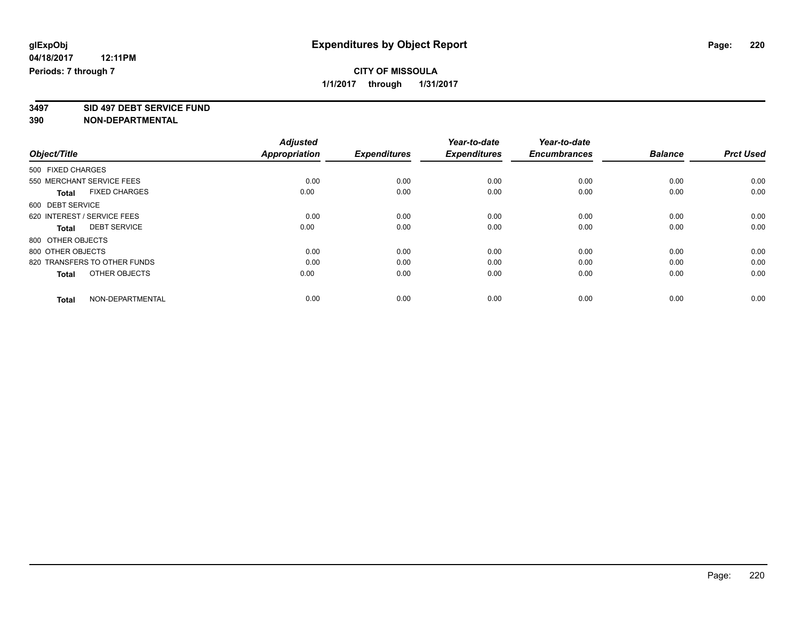**3497 SID 497 DEBT SERVICE FUND**

|                                      | <b>Adjusted</b><br><b>Appropriation</b> |                     | Year-to-date<br><b>Expenditures</b> | Year-to-date<br><b>Encumbrances</b> | <b>Balance</b> | <b>Prct Used</b> |
|--------------------------------------|-----------------------------------------|---------------------|-------------------------------------|-------------------------------------|----------------|------------------|
| Object/Title                         |                                         | <b>Expenditures</b> |                                     |                                     |                |                  |
| 500 FIXED CHARGES                    |                                         |                     |                                     |                                     |                |                  |
| 550 MERCHANT SERVICE FEES            | 0.00                                    | 0.00                | 0.00                                | 0.00                                | 0.00           | 0.00             |
| <b>FIXED CHARGES</b><br><b>Total</b> | 0.00                                    | 0.00                | 0.00                                | 0.00                                | 0.00           | 0.00             |
| 600 DEBT SERVICE                     |                                         |                     |                                     |                                     |                |                  |
| 620 INTEREST / SERVICE FEES          | 0.00                                    | 0.00                | 0.00                                | 0.00                                | 0.00           | 0.00             |
| <b>DEBT SERVICE</b><br><b>Total</b>  | 0.00                                    | 0.00                | 0.00                                | 0.00                                | 0.00           | 0.00             |
| 800 OTHER OBJECTS                    |                                         |                     |                                     |                                     |                |                  |
| 800 OTHER OBJECTS                    | 0.00                                    | 0.00                | 0.00                                | 0.00                                | 0.00           | 0.00             |
| 820 TRANSFERS TO OTHER FUNDS         | 0.00                                    | 0.00                | 0.00                                | 0.00                                | 0.00           | 0.00             |
| OTHER OBJECTS<br><b>Total</b>        | 0.00                                    | 0.00                | 0.00                                | 0.00                                | 0.00           | 0.00             |
|                                      |                                         |                     |                                     |                                     |                |                  |
| NON-DEPARTMENTAL<br><b>Total</b>     | 0.00                                    | 0.00                | 0.00                                | 0.00                                | 0.00           | 0.00             |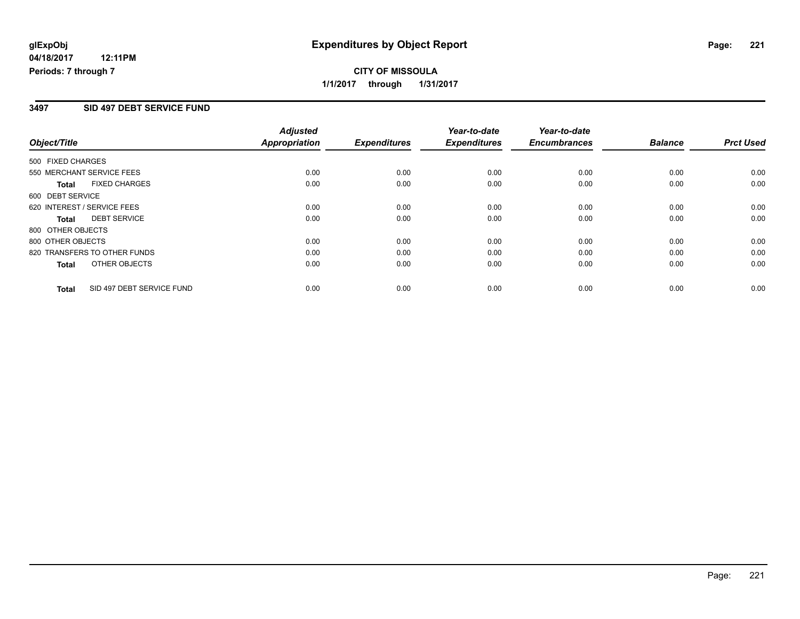## **CITY OF MISSOULA 1/1/2017 through 1/31/2017**

#### **3497 SID 497 DEBT SERVICE FUND**

|                                           | <b>Adjusted</b>      |                     | Year-to-date        | Year-to-date        |                |                  |
|-------------------------------------------|----------------------|---------------------|---------------------|---------------------|----------------|------------------|
| Object/Title                              | <b>Appropriation</b> | <b>Expenditures</b> | <b>Expenditures</b> | <b>Encumbrances</b> | <b>Balance</b> | <b>Prct Used</b> |
| 500 FIXED CHARGES                         |                      |                     |                     |                     |                |                  |
| 550 MERCHANT SERVICE FEES                 | 0.00                 | 0.00                | 0.00                | 0.00                | 0.00           | 0.00             |
| <b>FIXED CHARGES</b><br>Total             | 0.00                 | 0.00                | 0.00                | 0.00                | 0.00           | 0.00             |
| 600 DEBT SERVICE                          |                      |                     |                     |                     |                |                  |
| 620 INTEREST / SERVICE FEES               | 0.00                 | 0.00                | 0.00                | 0.00                | 0.00           | 0.00             |
| <b>DEBT SERVICE</b><br><b>Total</b>       | 0.00                 | 0.00                | 0.00                | 0.00                | 0.00           | 0.00             |
| 800 OTHER OBJECTS                         |                      |                     |                     |                     |                |                  |
| 800 OTHER OBJECTS                         | 0.00                 | 0.00                | 0.00                | 0.00                | 0.00           | 0.00             |
| 820 TRANSFERS TO OTHER FUNDS              | 0.00                 | 0.00                | 0.00                | 0.00                | 0.00           | 0.00             |
| OTHER OBJECTS<br><b>Total</b>             | 0.00                 | 0.00                | 0.00                | 0.00                | 0.00           | 0.00             |
| SID 497 DEBT SERVICE FUND<br><b>Total</b> | 0.00                 | 0.00                | 0.00                | 0.00                | 0.00           | 0.00             |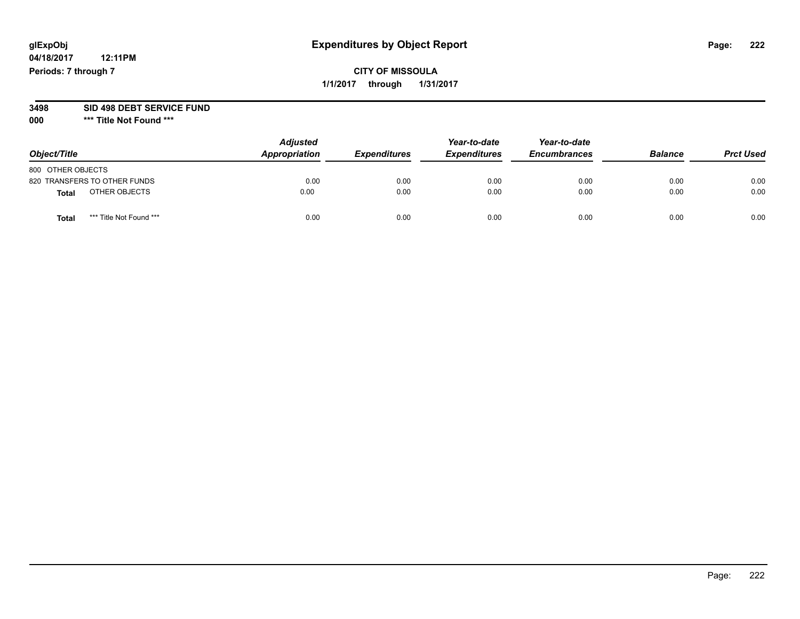**04/18/2017 12:11PM Periods: 7 through 7**

| Object/Title                            | <b>Adjusted</b><br>Appropriation | <b>Expenditures</b> | Year-to-date<br><b>Expenditures</b> | Year-to-date<br><b>Encumbrances</b> | <b>Balance</b> | <b>Prct Used</b> |
|-----------------------------------------|----------------------------------|---------------------|-------------------------------------|-------------------------------------|----------------|------------------|
| 800 OTHER OBJECTS                       |                                  |                     |                                     |                                     |                |                  |
| 820 TRANSFERS TO OTHER FUNDS            | 0.00                             | 0.00                | 0.00                                | 0.00                                | 0.00           | 0.00             |
| OTHER OBJECTS<br>Total                  | 0.00                             | 0.00                | 0.00                                | 0.00                                | 0.00           | 0.00             |
| *** Title Not Found ***<br><b>Total</b> | 0.00                             | 0.00                | 0.00                                | 0.00                                | 0.00           | 0.00             |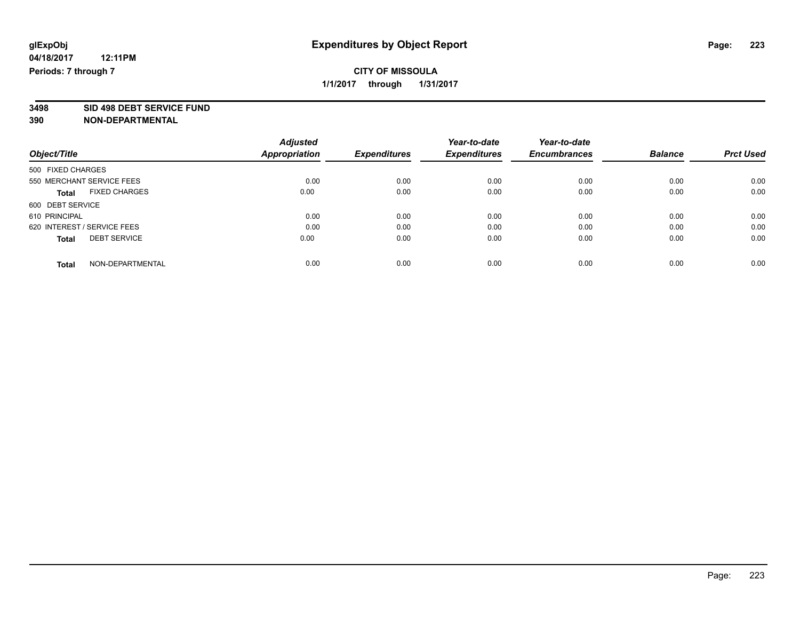**3498 SID 498 DEBT SERVICE FUND**

|                                      | <b>Adjusted</b>      |                     | Year-to-date<br><b>Expenditures</b> | Year-to-date<br><b>Encumbrances</b> | <b>Balance</b> | <b>Prct Used</b> |
|--------------------------------------|----------------------|---------------------|-------------------------------------|-------------------------------------|----------------|------------------|
| Object/Title                         | <b>Appropriation</b> | <b>Expenditures</b> |                                     |                                     |                |                  |
| 500 FIXED CHARGES                    |                      |                     |                                     |                                     |                |                  |
| 550 MERCHANT SERVICE FEES            | 0.00                 | 0.00                | 0.00                                | 0.00                                | 0.00           | 0.00             |
| <b>FIXED CHARGES</b><br><b>Total</b> | 0.00                 | 0.00                | 0.00                                | 0.00                                | 0.00           | 0.00             |
| 600 DEBT SERVICE                     |                      |                     |                                     |                                     |                |                  |
| 610 PRINCIPAL                        | 0.00                 | 0.00                | 0.00                                | 0.00                                | 0.00           | 0.00             |
| 620 INTEREST / SERVICE FEES          | 0.00                 | 0.00                | 0.00                                | 0.00                                | 0.00           | 0.00             |
| <b>DEBT SERVICE</b><br><b>Total</b>  | 0.00                 | 0.00                | 0.00                                | 0.00                                | 0.00           | 0.00             |
| NON-DEPARTMENTAL<br>Total            | 0.00                 | 0.00                | 0.00                                | 0.00                                | 0.00           | 0.00             |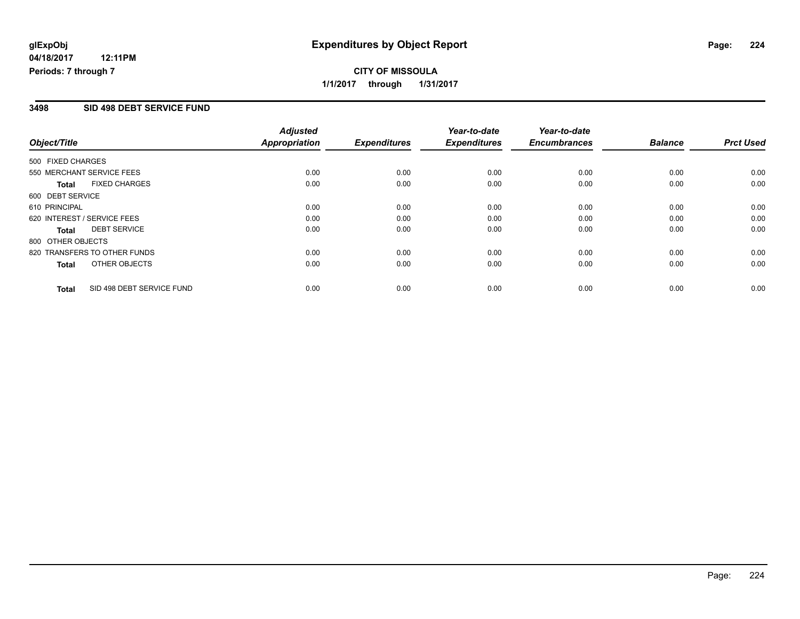## **CITY OF MISSOULA 1/1/2017 through 1/31/2017**

#### **3498 SID 498 DEBT SERVICE FUND**

|                   |                              | <b>Adjusted</b>      |                     | Year-to-date        | Year-to-date        |                |                  |
|-------------------|------------------------------|----------------------|---------------------|---------------------|---------------------|----------------|------------------|
| Object/Title      |                              | <b>Appropriation</b> | <b>Expenditures</b> | <b>Expenditures</b> | <b>Encumbrances</b> | <b>Balance</b> | <b>Prct Used</b> |
| 500 FIXED CHARGES |                              |                      |                     |                     |                     |                |                  |
|                   | 550 MERCHANT SERVICE FEES    | 0.00                 | 0.00                | 0.00                | 0.00                | 0.00           | 0.00             |
| <b>Total</b>      | <b>FIXED CHARGES</b>         | 0.00                 | 0.00                | 0.00                | 0.00                | 0.00           | 0.00             |
| 600 DEBT SERVICE  |                              |                      |                     |                     |                     |                |                  |
| 610 PRINCIPAL     |                              | 0.00                 | 0.00                | 0.00                | 0.00                | 0.00           | 0.00             |
|                   | 620 INTEREST / SERVICE FEES  | 0.00                 | 0.00                | 0.00                | 0.00                | 0.00           | 0.00             |
| Total             | <b>DEBT SERVICE</b>          | 0.00                 | 0.00                | 0.00                | 0.00                | 0.00           | 0.00             |
| 800 OTHER OBJECTS |                              |                      |                     |                     |                     |                |                  |
|                   | 820 TRANSFERS TO OTHER FUNDS | 0.00                 | 0.00                | 0.00                | 0.00                | 0.00           | 0.00             |
| Total             | OTHER OBJECTS                | 0.00                 | 0.00                | 0.00                | 0.00                | 0.00           | 0.00             |
| <b>Total</b>      | SID 498 DEBT SERVICE FUND    | 0.00                 | 0.00                | 0.00                | 0.00                | 0.00           | 0.00             |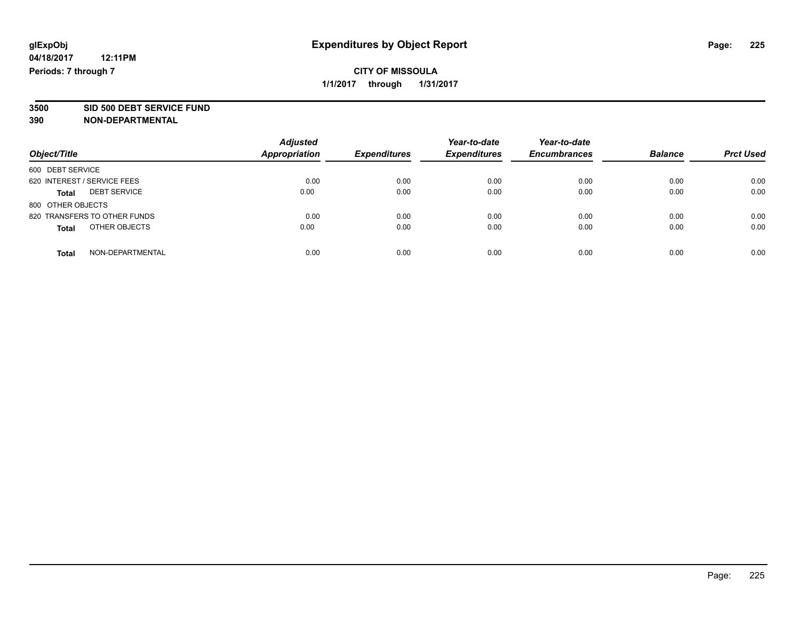# **3500 SID 500 DEBT SERVICE FUND**

| Object/Title                        | <b>Adjusted</b><br><b>Appropriation</b> | <b>Expenditures</b> | Year-to-date<br><b>Expenditures</b> | Year-to-date<br><b>Encumbrances</b> | <b>Balance</b> | <b>Prct Used</b> |
|-------------------------------------|-----------------------------------------|---------------------|-------------------------------------|-------------------------------------|----------------|------------------|
|                                     |                                         |                     |                                     |                                     |                |                  |
| 600 DEBT SERVICE                    |                                         |                     |                                     |                                     |                |                  |
| 620 INTEREST / SERVICE FEES         | 0.00                                    | 0.00                | 0.00                                | 0.00                                | 0.00           | 0.00             |
| <b>DEBT SERVICE</b><br><b>Total</b> | 0.00                                    | 0.00                | 0.00                                | 0.00                                | 0.00           | 0.00             |
| 800 OTHER OBJECTS                   |                                         |                     |                                     |                                     |                |                  |
| 820 TRANSFERS TO OTHER FUNDS        | 0.00                                    | 0.00                | 0.00                                | 0.00                                | 0.00           | 0.00             |
| OTHER OBJECTS<br><b>Total</b>       | 0.00                                    | 0.00                | 0.00                                | 0.00                                | 0.00           | 0.00             |
| NON-DEPARTMENTAL<br>Total           | 0.00                                    | 0.00                | 0.00                                | 0.00                                | 0.00           | 0.00             |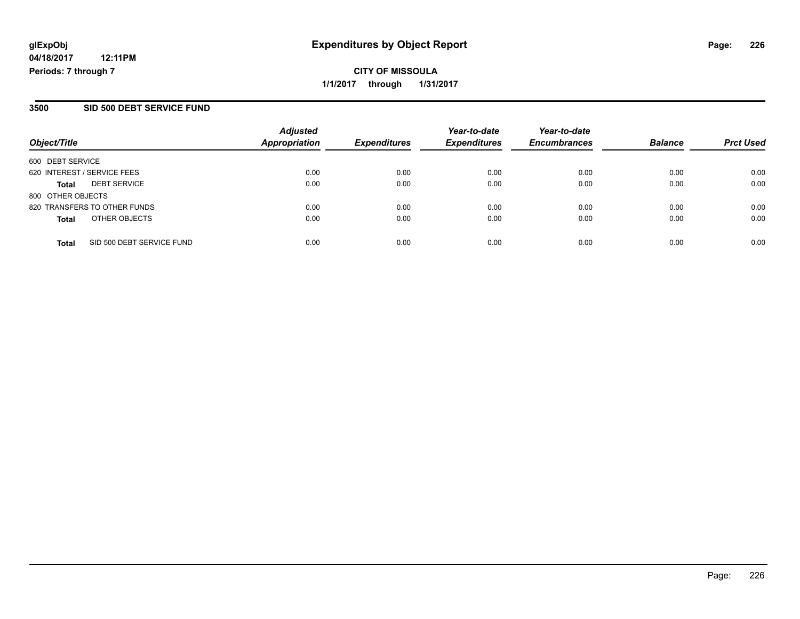**CITY OF MISSOULA 1/1/2017 through 1/31/2017**

#### **3500 SID 500 DEBT SERVICE FUND**

| Object/Title                              | <b>Adjusted</b><br><b>Appropriation</b> | <b>Expenditures</b> | Year-to-date<br><b>Expenditures</b> | Year-to-date<br><b>Encumbrances</b> | <b>Balance</b> | <b>Prct Used</b> |
|-------------------------------------------|-----------------------------------------|---------------------|-------------------------------------|-------------------------------------|----------------|------------------|
| 600 DEBT SERVICE                          |                                         |                     |                                     |                                     |                |                  |
| 620 INTEREST / SERVICE FEES               | 0.00                                    | 0.00                | 0.00                                | 0.00                                | 0.00           | 0.00             |
| <b>DEBT SERVICE</b><br><b>Total</b>       | 0.00                                    | 0.00                | 0.00                                | 0.00                                | 0.00           | 0.00             |
| 800 OTHER OBJECTS                         |                                         |                     |                                     |                                     |                |                  |
| 820 TRANSFERS TO OTHER FUNDS              | 0.00                                    | 0.00                | 0.00                                | 0.00                                | 0.00           | 0.00             |
| OTHER OBJECTS<br><b>Total</b>             | 0.00                                    | 0.00                | 0.00                                | 0.00                                | 0.00           | 0.00             |
| SID 500 DEBT SERVICE FUND<br><b>Total</b> | 0.00                                    | 0.00                | 0.00                                | 0.00                                | 0.00           | 0.00             |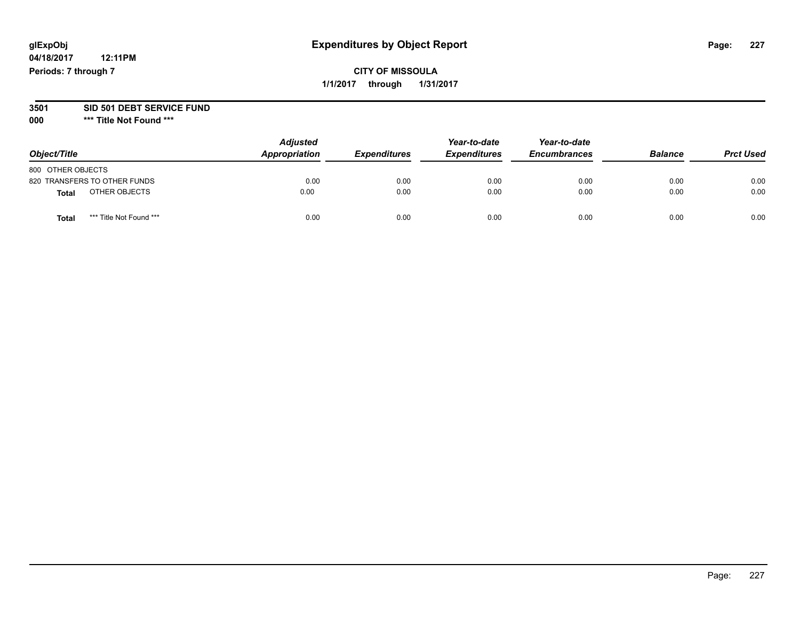## **CITY OF MISSOULA 1/1/2017 through 1/31/2017**

#### **3501 SID 501 DEBT SERVICE FUND**

| Object/Title                     | <b>Adjusted</b><br>Appropriation | <b>Expenditures</b> | Year-to-date<br><b>Expenditures</b> | Year-to-date<br><b>Encumbrances</b> | <b>Balance</b> | <b>Prct Used</b> |
|----------------------------------|----------------------------------|---------------------|-------------------------------------|-------------------------------------|----------------|------------------|
| 800 OTHER OBJECTS                |                                  |                     |                                     |                                     |                |                  |
| 820 TRANSFERS TO OTHER FUNDS     | 0.00                             | 0.00                | 0.00                                | 0.00                                | 0.00           | 0.00             |
| OTHER OBJECTS<br><b>Total</b>    | 0.00                             | 0.00                | 0.00                                | 0.00                                | 0.00           | 0.00             |
| *** Title Not Found ***<br>Total | 0.00                             | 0.00                | 0.00                                | 0.00                                | 0.00           | 0.00             |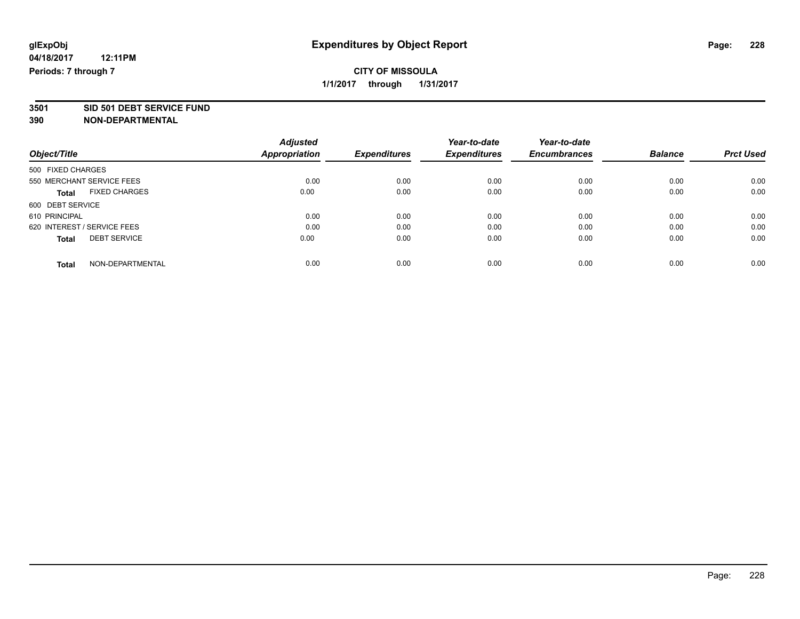# **3501 SID 501 DEBT SERVICE FUND**

|                                      | <b>Adjusted</b> | <b>Expenditures</b> | Year-to-date        | Year-to-date        | <b>Balance</b> |                  |
|--------------------------------------|-----------------|---------------------|---------------------|---------------------|----------------|------------------|
| Object/Title                         | Appropriation   |                     | <b>Expenditures</b> | <b>Encumbrances</b> |                | <b>Prct Used</b> |
| 500 FIXED CHARGES                    |                 |                     |                     |                     |                |                  |
| 550 MERCHANT SERVICE FEES            | 0.00            | 0.00                | 0.00                | 0.00                | 0.00           | 0.00             |
| <b>FIXED CHARGES</b><br><b>Total</b> | 0.00            | 0.00                | 0.00                | 0.00                | 0.00           | 0.00             |
| 600 DEBT SERVICE                     |                 |                     |                     |                     |                |                  |
| 610 PRINCIPAL                        | 0.00            | 0.00                | 0.00                | 0.00                | 0.00           | 0.00             |
| 620 INTEREST / SERVICE FEES          | 0.00            | 0.00                | 0.00                | 0.00                | 0.00           | 0.00             |
| <b>DEBT SERVICE</b><br><b>Total</b>  | 0.00            | 0.00                | 0.00                | 0.00                | 0.00           | 0.00             |
| NON-DEPARTMENTAL<br><b>Total</b>     | 0.00            | 0.00                | 0.00                | 0.00                | 0.00           | 0.00             |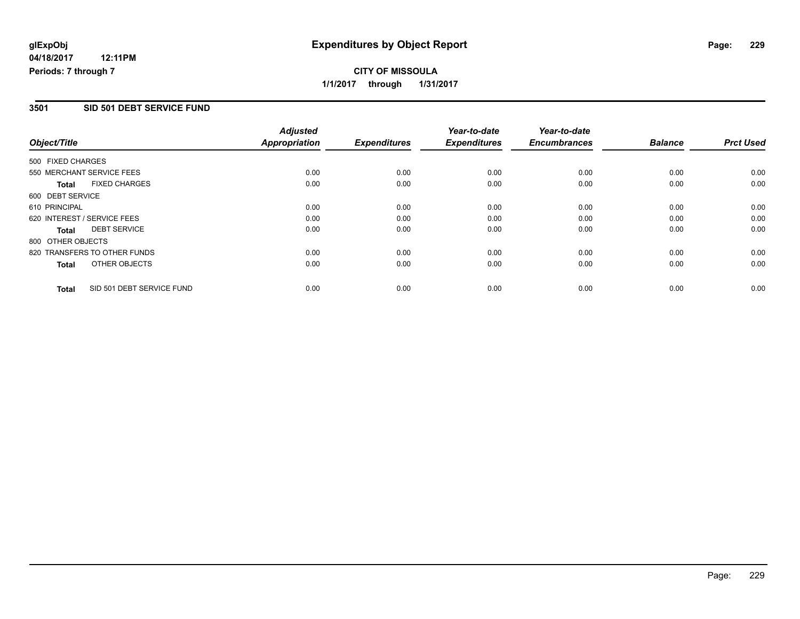## **CITY OF MISSOULA 1/1/2017 through 1/31/2017**

#### **3501 SID 501 DEBT SERVICE FUND**

|                   |                              | <b>Adjusted</b>      |                     | Year-to-date        | Year-to-date        |                |                  |
|-------------------|------------------------------|----------------------|---------------------|---------------------|---------------------|----------------|------------------|
| Object/Title      |                              | <b>Appropriation</b> | <b>Expenditures</b> | <b>Expenditures</b> | <b>Encumbrances</b> | <b>Balance</b> | <b>Prct Used</b> |
| 500 FIXED CHARGES |                              |                      |                     |                     |                     |                |                  |
|                   | 550 MERCHANT SERVICE FEES    | 0.00                 | 0.00                | 0.00                | 0.00                | 0.00           | 0.00             |
| <b>Total</b>      | <b>FIXED CHARGES</b>         | 0.00                 | 0.00                | 0.00                | 0.00                | 0.00           | 0.00             |
| 600 DEBT SERVICE  |                              |                      |                     |                     |                     |                |                  |
| 610 PRINCIPAL     |                              | 0.00                 | 0.00                | 0.00                | 0.00                | 0.00           | 0.00             |
|                   | 620 INTEREST / SERVICE FEES  | 0.00                 | 0.00                | 0.00                | 0.00                | 0.00           | 0.00             |
| Total             | <b>DEBT SERVICE</b>          | 0.00                 | 0.00                | 0.00                | 0.00                | 0.00           | 0.00             |
| 800 OTHER OBJECTS |                              |                      |                     |                     |                     |                |                  |
|                   | 820 TRANSFERS TO OTHER FUNDS | 0.00                 | 0.00                | 0.00                | 0.00                | 0.00           | 0.00             |
| Total             | OTHER OBJECTS                | 0.00                 | 0.00                | 0.00                | 0.00                | 0.00           | 0.00             |
| <b>Total</b>      | SID 501 DEBT SERVICE FUND    | 0.00                 | 0.00                | 0.00                | 0.00                | 0.00           | 0.00             |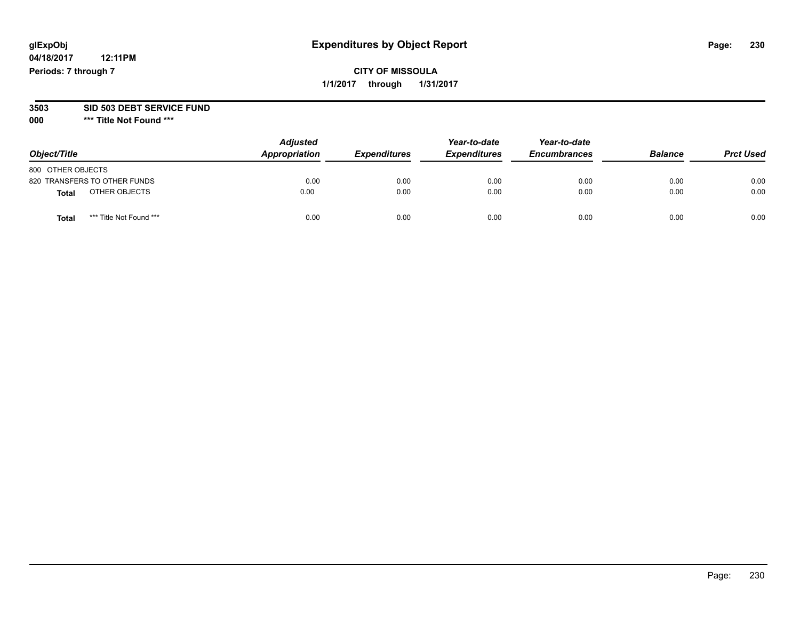## **CITY OF MISSOULA 1/1/2017 through 1/31/2017**

#### **3503 SID 503 DEBT SERVICE FUND**

| Object/Title                            | <b>Adjusted</b><br>Appropriation | <b>Expenditures</b> | Year-to-date<br><b>Expenditures</b> | Year-to-date<br><b>Encumbrances</b> | <b>Balance</b> | <b>Prct Used</b> |
|-----------------------------------------|----------------------------------|---------------------|-------------------------------------|-------------------------------------|----------------|------------------|
| 800 OTHER OBJECTS                       |                                  |                     |                                     |                                     |                |                  |
| 820 TRANSFERS TO OTHER FUNDS            | 0.00                             | 0.00                | 0.00                                | 0.00                                | 0.00           | 0.00             |
| OTHER OBJECTS<br>Total                  | 0.00                             | 0.00                | 0.00                                | 0.00                                | 0.00           | 0.00             |
| *** Title Not Found ***<br><b>Total</b> | 0.00                             | 0.00                | 0.00                                | 0.00                                | 0.00           | 0.00             |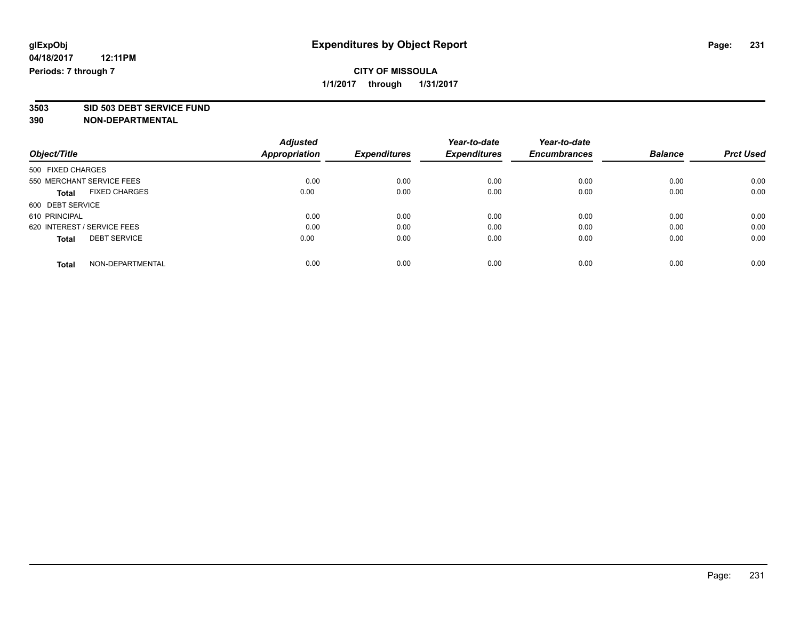# **3503 SID 503 DEBT SERVICE FUND**

|                                      | <b>Adjusted</b> |                     | Year-to-date        | Year-to-date        |                |                  |
|--------------------------------------|-----------------|---------------------|---------------------|---------------------|----------------|------------------|
| Object/Title                         | Appropriation   | <b>Expenditures</b> | <b>Expenditures</b> | <b>Encumbrances</b> | <b>Balance</b> | <b>Prct Used</b> |
| 500 FIXED CHARGES                    |                 |                     |                     |                     |                |                  |
| 550 MERCHANT SERVICE FEES            | 0.00            | 0.00                | 0.00                | 0.00                | 0.00           | 0.00             |
| <b>FIXED CHARGES</b><br><b>Total</b> | 0.00            | 0.00                | 0.00                | 0.00                | 0.00           | 0.00             |
| 600 DEBT SERVICE                     |                 |                     |                     |                     |                |                  |
| 610 PRINCIPAL                        | 0.00            | 0.00                | 0.00                | 0.00                | 0.00           | 0.00             |
| 620 INTEREST / SERVICE FEES          | 0.00            | 0.00                | 0.00                | 0.00                | 0.00           | 0.00             |
| <b>DEBT SERVICE</b><br><b>Total</b>  | 0.00            | 0.00                | 0.00                | 0.00                | 0.00           | 0.00             |
| NON-DEPARTMENTAL<br><b>Total</b>     | 0.00            | 0.00                | 0.00                | 0.00                | 0.00           | 0.00             |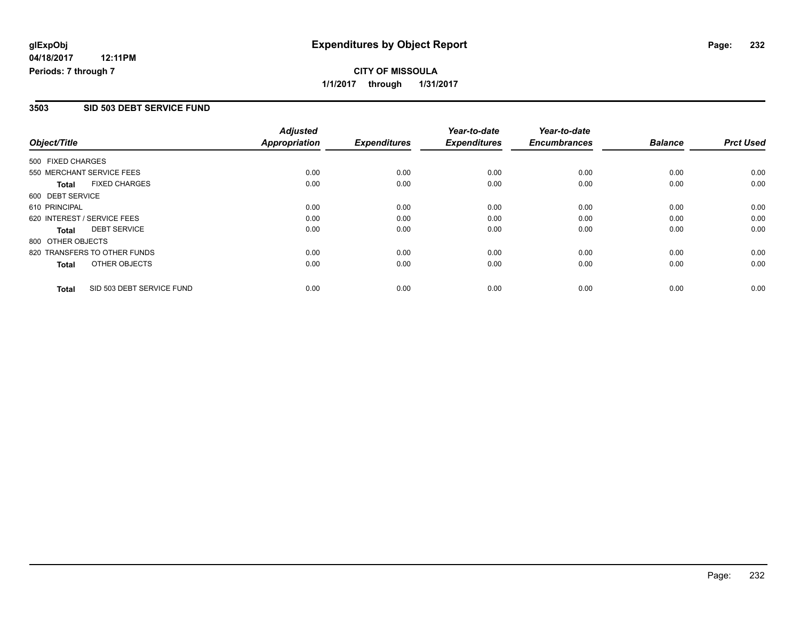## **CITY OF MISSOULA 1/1/2017 through 1/31/2017**

### **3503 SID 503 DEBT SERVICE FUND**

|                   |                              | <b>Adjusted</b> |                     | Year-to-date        | Year-to-date        |                |                  |
|-------------------|------------------------------|-----------------|---------------------|---------------------|---------------------|----------------|------------------|
| Object/Title      |                              | Appropriation   | <b>Expenditures</b> | <b>Expenditures</b> | <b>Encumbrances</b> | <b>Balance</b> | <b>Prct Used</b> |
| 500 FIXED CHARGES |                              |                 |                     |                     |                     |                |                  |
|                   | 550 MERCHANT SERVICE FEES    | 0.00            | 0.00                | 0.00                | 0.00                | 0.00           | 0.00             |
| Total             | <b>FIXED CHARGES</b>         | 0.00            | 0.00                | 0.00                | 0.00                | 0.00           | 0.00             |
| 600 DEBT SERVICE  |                              |                 |                     |                     |                     |                |                  |
| 610 PRINCIPAL     |                              | 0.00            | 0.00                | 0.00                | 0.00                | 0.00           | 0.00             |
|                   | 620 INTEREST / SERVICE FEES  | 0.00            | 0.00                | 0.00                | 0.00                | 0.00           | 0.00             |
| Total             | <b>DEBT SERVICE</b>          | 0.00            | 0.00                | 0.00                | 0.00                | 0.00           | 0.00             |
| 800 OTHER OBJECTS |                              |                 |                     |                     |                     |                |                  |
|                   | 820 TRANSFERS TO OTHER FUNDS | 0.00            | 0.00                | 0.00                | 0.00                | 0.00           | 0.00             |
| Total             | OTHER OBJECTS                | 0.00            | 0.00                | 0.00                | 0.00                | 0.00           | 0.00             |
| <b>Total</b>      | SID 503 DEBT SERVICE FUND    | 0.00            | 0.00                | 0.00                | 0.00                | 0.00           | 0.00             |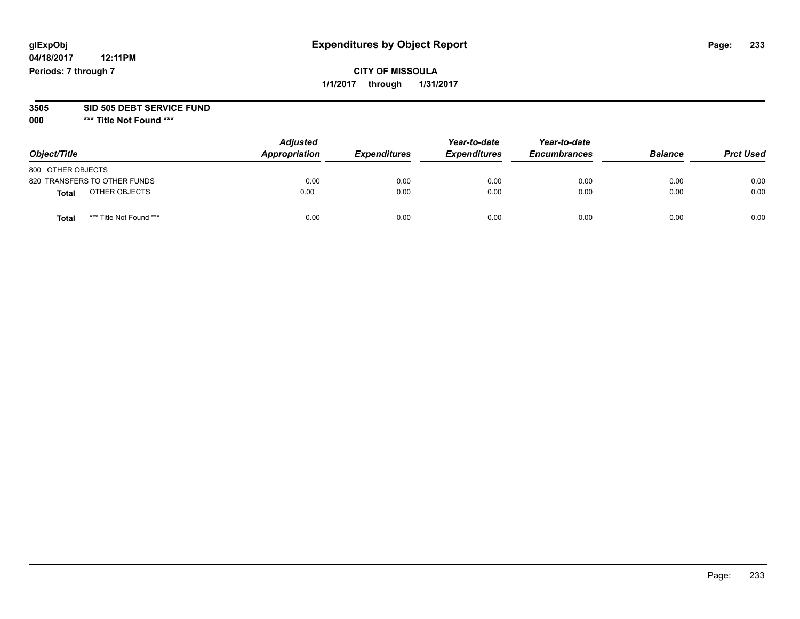**04/18/2017 12:11PM Periods: 7 through 7**

#### **3505 SID 505 DEBT SERVICE FUND**

| Object/Title                     | <b>Adjusted</b><br>Appropriation | <b>Expenditures</b> | Year-to-date<br><b>Expenditures</b> | Year-to-date<br><b>Encumbrances</b> | <b>Balance</b> | <b>Prct Used</b> |
|----------------------------------|----------------------------------|---------------------|-------------------------------------|-------------------------------------|----------------|------------------|
| 800 OTHER OBJECTS                |                                  |                     |                                     |                                     |                |                  |
| 820 TRANSFERS TO OTHER FUNDS     | 0.00                             | 0.00                | 0.00                                | 0.00                                | 0.00           | 0.00             |
| OTHER OBJECTS<br><b>Total</b>    | 0.00                             | 0.00                | 0.00                                | 0.00                                | 0.00           | 0.00             |
| *** Title Not Found ***<br>Total | 0.00                             | 0.00                | 0.00                                | 0.00                                | 0.00           | 0.00             |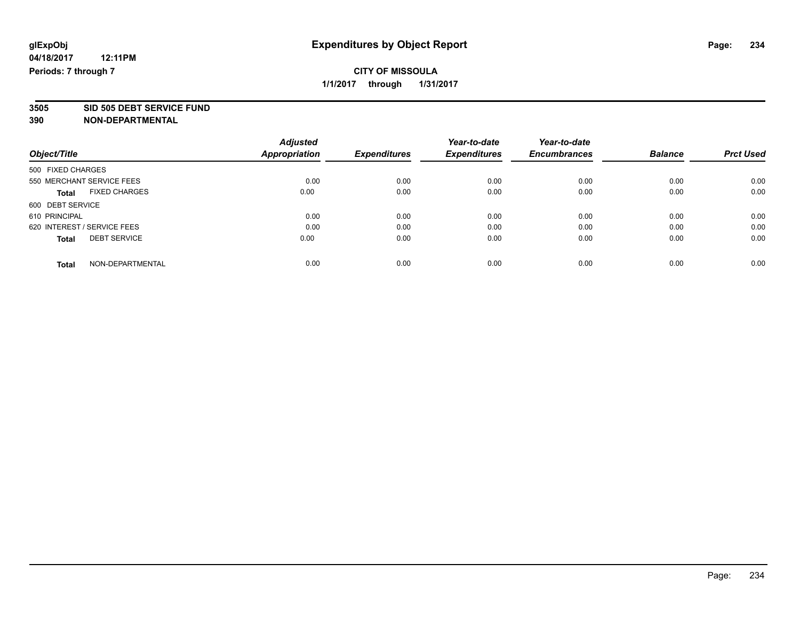# **3505 SID 505 DEBT SERVICE FUND**

|                                      | <b>Adjusted</b> |                     | Year-to-date        | Year-to-date        |                |                  |
|--------------------------------------|-----------------|---------------------|---------------------|---------------------|----------------|------------------|
| Object/Title                         | Appropriation   | <b>Expenditures</b> | <b>Expenditures</b> | <b>Encumbrances</b> | <b>Balance</b> | <b>Prct Used</b> |
| 500 FIXED CHARGES                    |                 |                     |                     |                     |                |                  |
| 550 MERCHANT SERVICE FEES            | 0.00            | 0.00                | 0.00                | 0.00                | 0.00           | 0.00             |
| <b>FIXED CHARGES</b><br><b>Total</b> | 0.00            | 0.00                | 0.00                | 0.00                | 0.00           | 0.00             |
| 600 DEBT SERVICE                     |                 |                     |                     |                     |                |                  |
| 610 PRINCIPAL                        | 0.00            | 0.00                | 0.00                | 0.00                | 0.00           | 0.00             |
| 620 INTEREST / SERVICE FEES          | 0.00            | 0.00                | 0.00                | 0.00                | 0.00           | 0.00             |
| <b>DEBT SERVICE</b><br><b>Total</b>  | 0.00            | 0.00                | 0.00                | 0.00                | 0.00           | 0.00             |
| NON-DEPARTMENTAL<br><b>Total</b>     | 0.00            | 0.00                | 0.00                | 0.00                | 0.00           | 0.00             |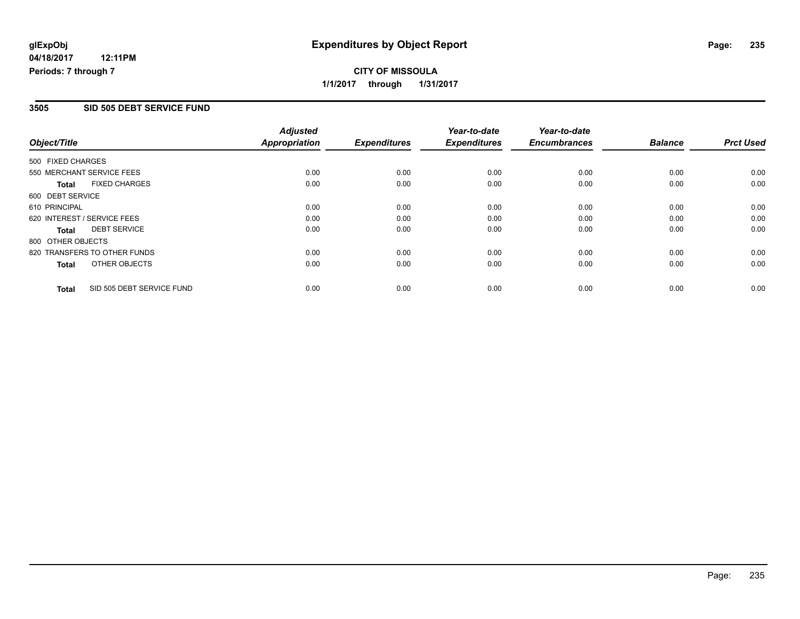**CITY OF MISSOULA 1/1/2017 through 1/31/2017**

#### **3505 SID 505 DEBT SERVICE FUND**

|                   |                              | <b>Adjusted</b>      |                     | Year-to-date        | Year-to-date        |                |                  |
|-------------------|------------------------------|----------------------|---------------------|---------------------|---------------------|----------------|------------------|
| Object/Title      |                              | <b>Appropriation</b> | <b>Expenditures</b> | <b>Expenditures</b> | <b>Encumbrances</b> | <b>Balance</b> | <b>Prct Used</b> |
| 500 FIXED CHARGES |                              |                      |                     |                     |                     |                |                  |
|                   | 550 MERCHANT SERVICE FEES    | 0.00                 | 0.00                | 0.00                | 0.00                | 0.00           | 0.00             |
| <b>Total</b>      | <b>FIXED CHARGES</b>         | 0.00                 | 0.00                | 0.00                | 0.00                | 0.00           | 0.00             |
| 600 DEBT SERVICE  |                              |                      |                     |                     |                     |                |                  |
| 610 PRINCIPAL     |                              | 0.00                 | 0.00                | 0.00                | 0.00                | 0.00           | 0.00             |
|                   | 620 INTEREST / SERVICE FEES  | 0.00                 | 0.00                | 0.00                | 0.00                | 0.00           | 0.00             |
| Total             | <b>DEBT SERVICE</b>          | 0.00                 | 0.00                | 0.00                | 0.00                | 0.00           | 0.00             |
| 800 OTHER OBJECTS |                              |                      |                     |                     |                     |                |                  |
|                   | 820 TRANSFERS TO OTHER FUNDS | 0.00                 | 0.00                | 0.00                | 0.00                | 0.00           | 0.00             |
| Total             | OTHER OBJECTS                | 0.00                 | 0.00                | 0.00                | 0.00                | 0.00           | 0.00             |
| <b>Total</b>      | SID 505 DEBT SERVICE FUND    | 0.00                 | 0.00                | 0.00                | 0.00                | 0.00           | 0.00             |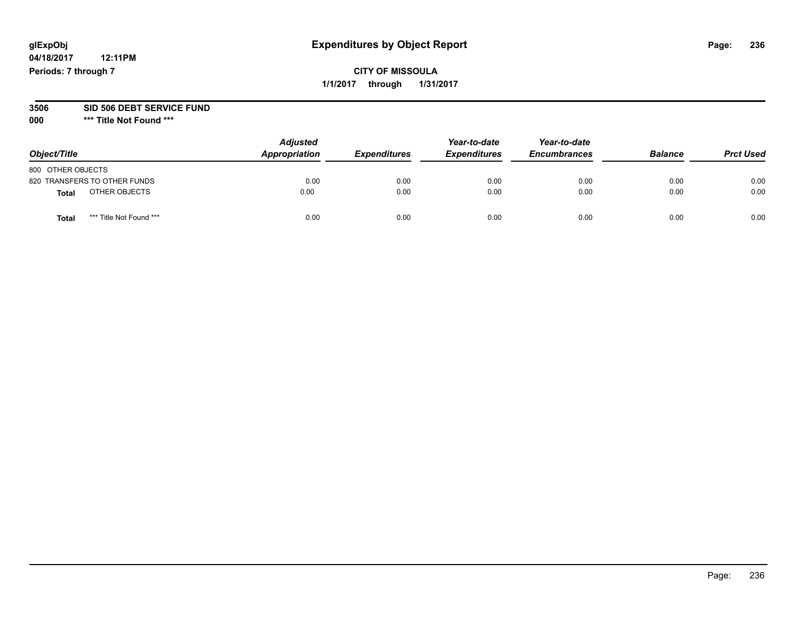**04/18/2017 12:11PM Periods: 7 through 7**

#### **3506 SID 506 DEBT SERVICE FUND**

| Object/Title                            | <b>Adjusted</b><br>Appropriation | <b>Expenditures</b> | Year-to-date<br><b>Expenditures</b> | Year-to-date<br><b>Encumbrances</b> | <b>Balance</b> | <b>Prct Used</b> |
|-----------------------------------------|----------------------------------|---------------------|-------------------------------------|-------------------------------------|----------------|------------------|
| 800 OTHER OBJECTS                       |                                  |                     |                                     |                                     |                |                  |
| 820 TRANSFERS TO OTHER FUNDS            | 0.00                             | 0.00                | 0.00                                | 0.00                                | 0.00           | 0.00             |
| OTHER OBJECTS<br>Total                  | 0.00                             | 0.00                | 0.00                                | 0.00                                | 0.00           | 0.00             |
| *** Title Not Found ***<br><b>Total</b> | 0.00                             | 0.00                | 0.00                                | 0.00                                | 0.00           | 0.00             |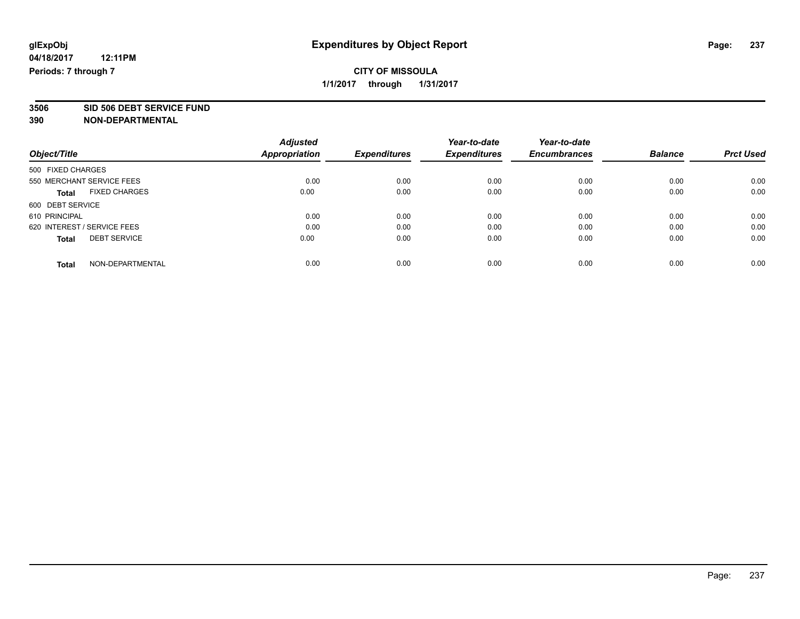**3506 SID 506 DEBT SERVICE FUND**

|                                      | <b>Adjusted</b>      |                     | Year-to-date        | Year-to-date        |                |                  |
|--------------------------------------|----------------------|---------------------|---------------------|---------------------|----------------|------------------|
| Object/Title                         | <b>Appropriation</b> | <b>Expenditures</b> | <b>Expenditures</b> | <b>Encumbrances</b> | <b>Balance</b> | <b>Prct Used</b> |
| 500 FIXED CHARGES                    |                      |                     |                     |                     |                |                  |
| 550 MERCHANT SERVICE FEES            | 0.00                 | 0.00                | 0.00                | 0.00                | 0.00           | 0.00             |
| <b>FIXED CHARGES</b><br><b>Total</b> | 0.00                 | 0.00                | 0.00                | 0.00                | 0.00           | 0.00             |
| 600 DEBT SERVICE                     |                      |                     |                     |                     |                |                  |
| 610 PRINCIPAL                        | 0.00                 | 0.00                | 0.00                | 0.00                | 0.00           | 0.00             |
| 620 INTEREST / SERVICE FEES          | 0.00                 | 0.00                | 0.00                | 0.00                | 0.00           | 0.00             |
| <b>DEBT SERVICE</b><br><b>Total</b>  | 0.00                 | 0.00                | 0.00                | 0.00                | 0.00           | 0.00             |
| NON-DEPARTMENTAL<br>Total            | 0.00                 | 0.00                | 0.00                | 0.00                | 0.00           | 0.00             |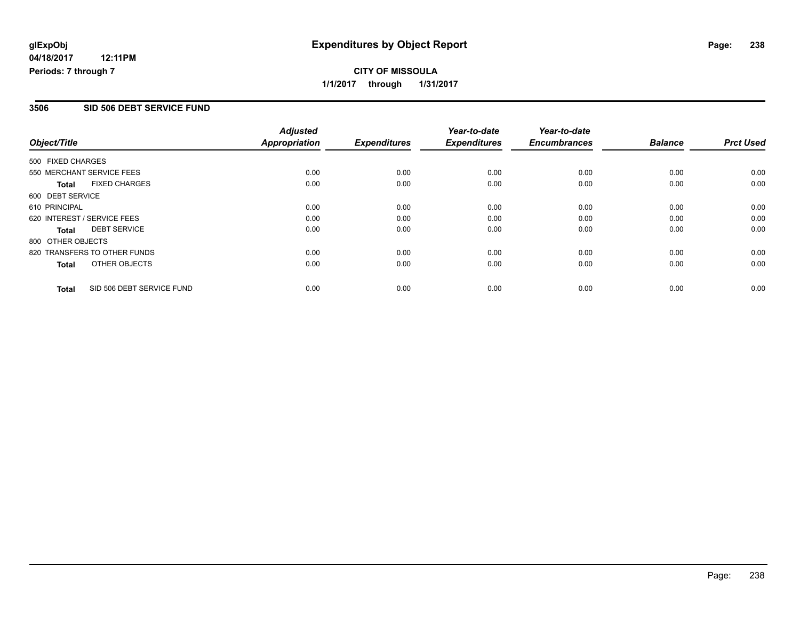## **CITY OF MISSOULA 1/1/2017 through 1/31/2017**

#### **3506 SID 506 DEBT SERVICE FUND**

|                   |                              | <b>Adjusted</b> |                     | Year-to-date        | Year-to-date        |                |                  |
|-------------------|------------------------------|-----------------|---------------------|---------------------|---------------------|----------------|------------------|
| Object/Title      |                              | Appropriation   | <b>Expenditures</b> | <b>Expenditures</b> | <b>Encumbrances</b> | <b>Balance</b> | <b>Prct Used</b> |
| 500 FIXED CHARGES |                              |                 |                     |                     |                     |                |                  |
|                   | 550 MERCHANT SERVICE FEES    | 0.00            | 0.00                | 0.00                | 0.00                | 0.00           | 0.00             |
| Total             | <b>FIXED CHARGES</b>         | 0.00            | 0.00                | 0.00                | 0.00                | 0.00           | 0.00             |
| 600 DEBT SERVICE  |                              |                 |                     |                     |                     |                |                  |
| 610 PRINCIPAL     |                              | 0.00            | 0.00                | 0.00                | 0.00                | 0.00           | 0.00             |
|                   | 620 INTEREST / SERVICE FEES  | 0.00            | 0.00                | 0.00                | 0.00                | 0.00           | 0.00             |
| Total             | <b>DEBT SERVICE</b>          | 0.00            | 0.00                | 0.00                | 0.00                | 0.00           | 0.00             |
| 800 OTHER OBJECTS |                              |                 |                     |                     |                     |                |                  |
|                   | 820 TRANSFERS TO OTHER FUNDS | 0.00            | 0.00                | 0.00                | 0.00                | 0.00           | 0.00             |
| Total             | OTHER OBJECTS                | 0.00            | 0.00                | 0.00                | 0.00                | 0.00           | 0.00             |
| <b>Total</b>      | SID 506 DEBT SERVICE FUND    | 0.00            | 0.00                | 0.00                | 0.00                | 0.00           | 0.00             |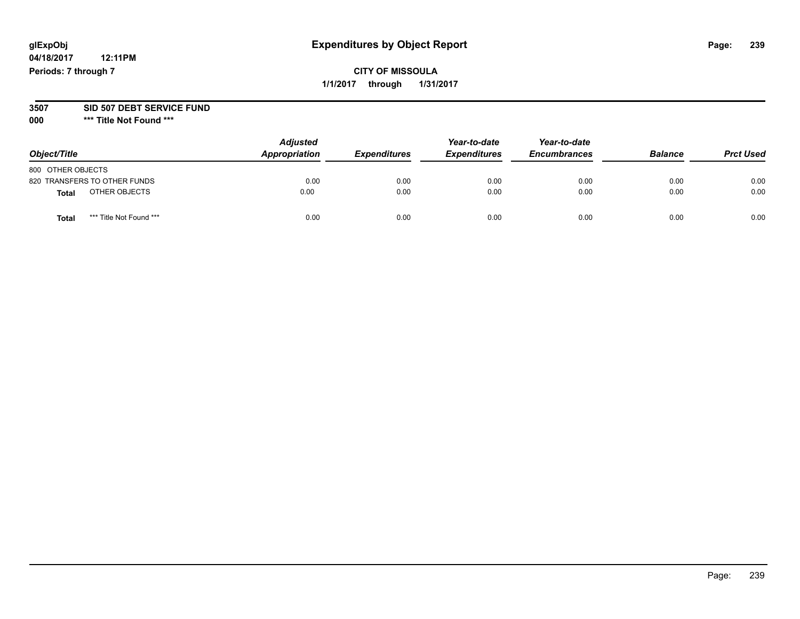## **CITY OF MISSOULA 1/1/2017 through 1/31/2017**

#### **3507 SID 507 DEBT SERVICE FUND**

| Object/Title                            | <b>Adjusted</b><br>Appropriation | <b>Expenditures</b> | Year-to-date<br><b>Expenditures</b> | Year-to-date<br><b>Encumbrances</b> | <b>Balance</b> | <b>Prct Used</b> |
|-----------------------------------------|----------------------------------|---------------------|-------------------------------------|-------------------------------------|----------------|------------------|
| 800 OTHER OBJECTS                       |                                  |                     |                                     |                                     |                |                  |
| 820 TRANSFERS TO OTHER FUNDS            | 0.00                             | 0.00                | 0.00                                | 0.00                                | 0.00           | 0.00             |
| OTHER OBJECTS<br>Total                  | 0.00                             | 0.00                | 0.00                                | 0.00                                | 0.00           | 0.00             |
| *** Title Not Found ***<br><b>Total</b> | 0.00                             | 0.00                | 0.00                                | 0.00                                | 0.00           | 0.00             |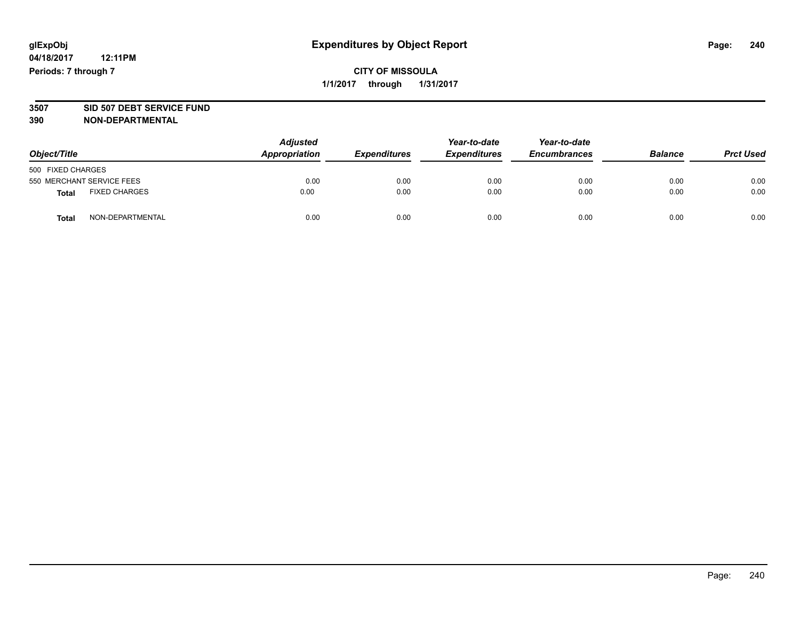# **3507 SID 507 DEBT SERVICE FUND**

| Object/Title                         |                  | <b>Adjusted</b><br>Appropriation<br><b>Expenditures</b> | Year-to-date<br><b>Expenditures</b> | Year-to-date<br><b>Encumbrances</b> | <b>Balance</b> | <b>Prct Used</b> |      |
|--------------------------------------|------------------|---------------------------------------------------------|-------------------------------------|-------------------------------------|----------------|------------------|------|
| 500 FIXED CHARGES                    |                  |                                                         |                                     |                                     |                |                  |      |
| 550 MERCHANT SERVICE FEES            |                  | 0.00                                                    | 0.00                                | 0.00                                | 0.00           | 0.00             | 0.00 |
| <b>FIXED CHARGES</b><br><b>Total</b> |                  | 0.00                                                    | 0.00                                | 0.00                                | 0.00           | 0.00             | 0.00 |
| <b>Total</b>                         | NON-DEPARTMENTAL | 0.00                                                    | 0.00                                | 0.00                                | 0.00           | 0.00             | 0.00 |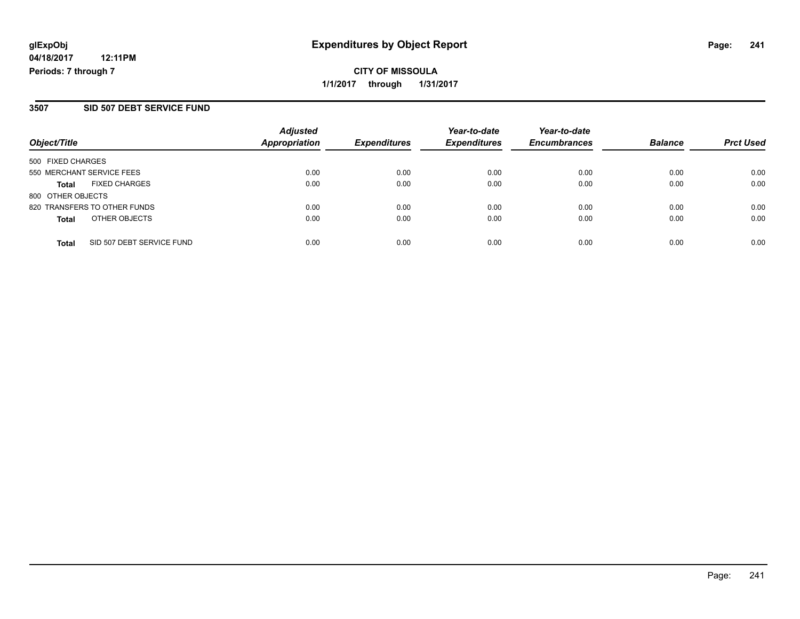## **CITY OF MISSOULA 1/1/2017 through 1/31/2017**

#### **3507 SID 507 DEBT SERVICE FUND**

| Object/Title                              | <b>Adjusted</b><br>Appropriation | <b>Expenditures</b> | Year-to-date<br><b>Expenditures</b> | Year-to-date<br><b>Encumbrances</b> | <b>Balance</b> | <b>Prct Used</b> |
|-------------------------------------------|----------------------------------|---------------------|-------------------------------------|-------------------------------------|----------------|------------------|
| 500 FIXED CHARGES                         |                                  |                     |                                     |                                     |                |                  |
| 550 MERCHANT SERVICE FEES                 | 0.00                             | 0.00                | 0.00                                | 0.00                                | 0.00           | 0.00             |
| <b>FIXED CHARGES</b><br><b>Total</b>      | 0.00                             | 0.00                | 0.00                                | 0.00                                | 0.00           | 0.00             |
| 800 OTHER OBJECTS                         |                                  |                     |                                     |                                     |                |                  |
| 820 TRANSFERS TO OTHER FUNDS              | 0.00                             | 0.00                | 0.00                                | 0.00                                | 0.00           | 0.00             |
| OTHER OBJECTS<br><b>Total</b>             | 0.00                             | 0.00                | 0.00                                | 0.00                                | 0.00           | 0.00             |
| SID 507 DEBT SERVICE FUND<br><b>Total</b> | 0.00                             | 0.00                | 0.00                                | 0.00                                | 0.00           | 0.00             |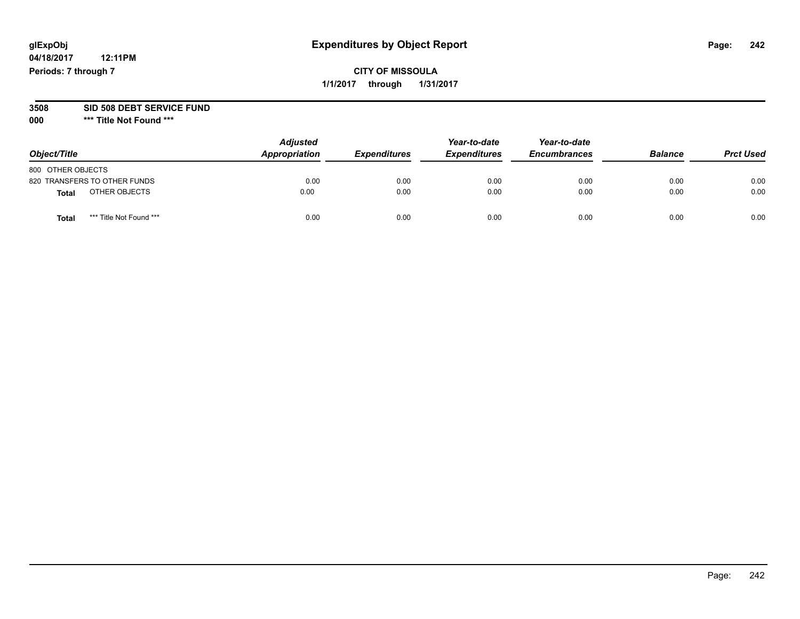**04/18/2017 12:11PM Periods: 7 through 7**

## **CITY OF MISSOULA 1/1/2017 through 1/31/2017**

#### **3508 SID 508 DEBT SERVICE FUND**

| Object/Title      |                              | <b>Adjusted</b><br>Appropriation | <b>Expenditures</b> | Year-to-date<br><b>Expenditures</b> | Year-to-date<br><b>Encumbrances</b> | <b>Balance</b> | <b>Prct Used</b> |
|-------------------|------------------------------|----------------------------------|---------------------|-------------------------------------|-------------------------------------|----------------|------------------|
| 800 OTHER OBJECTS |                              |                                  |                     |                                     |                                     |                |                  |
|                   | 820 TRANSFERS TO OTHER FUNDS | 0.00                             | 0.00                | 0.00                                | 0.00                                | 0.00           | 0.00             |
| <b>Total</b>      | OTHER OBJECTS                | 0.00                             | 0.00                | 0.00                                | 0.00                                | 0.00           | 0.00             |
| <b>Total</b>      | *** Title Not Found ***      | 0.00                             | 0.00                | 0.00                                | 0.00                                | 0.00           | 0.00             |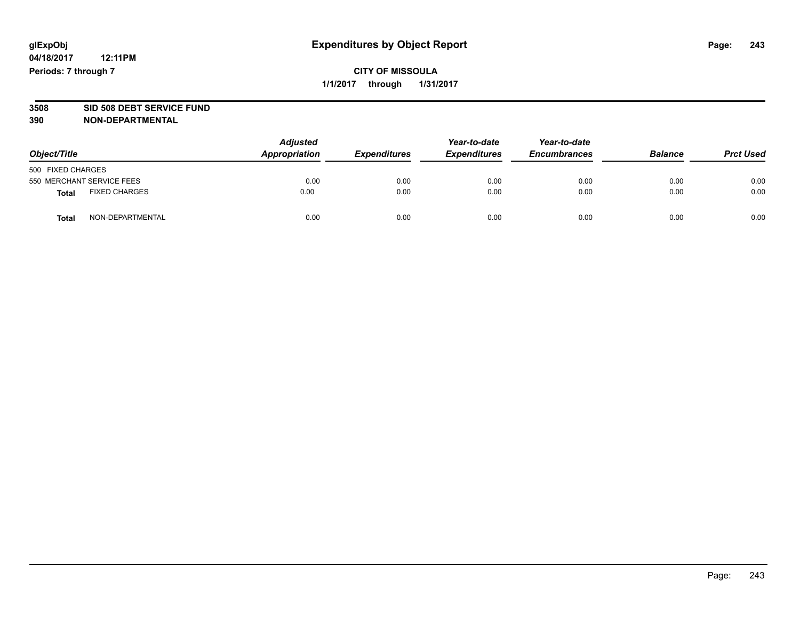# **3508 SID 508 DEBT SERVICE FUND**

| Object/Title                         |                  | <b>Adjusted</b><br>Appropriation | <b>Expenditures</b> | Year-to-date<br><b>Expenditures</b> | Year-to-date<br><b>Encumbrances</b> | <b>Balance</b> | <b>Prct Used</b> |
|--------------------------------------|------------------|----------------------------------|---------------------|-------------------------------------|-------------------------------------|----------------|------------------|
| 500 FIXED CHARGES                    |                  |                                  |                     |                                     |                                     |                |                  |
| 550 MERCHANT SERVICE FEES            |                  | 0.00                             | 0.00                | 0.00                                | 0.00                                | 0.00           | 0.00             |
| <b>FIXED CHARGES</b><br><b>Total</b> |                  | 0.00                             | 0.00                | 0.00                                | 0.00                                | 0.00           | 0.00             |
| <b>Total</b>                         | NON-DEPARTMENTAL | 0.00                             | 0.00                | 0.00                                | 0.00                                | 0.00           | 0.00             |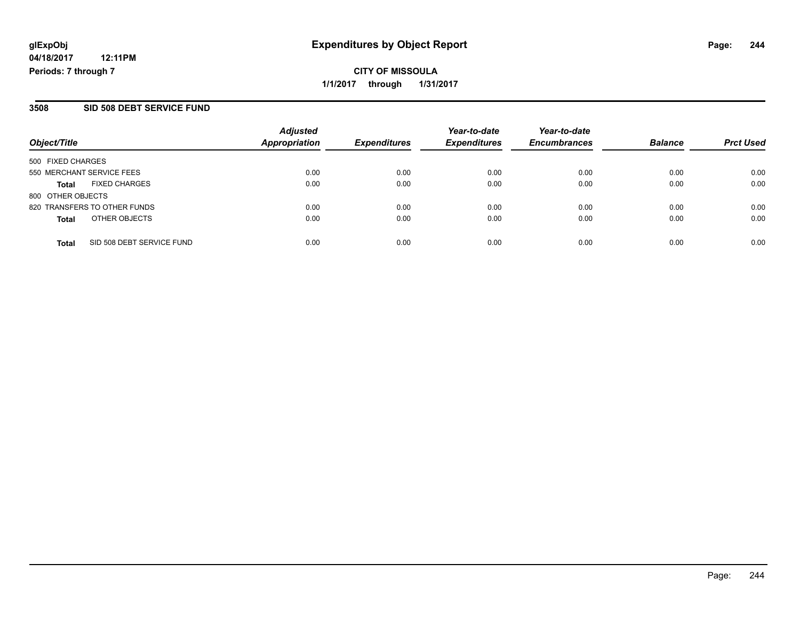## **CITY OF MISSOULA 1/1/2017 through 1/31/2017**

#### **3508 SID 508 DEBT SERVICE FUND**

| Object/Title              |                              | <b>Adjusted</b><br>Appropriation | <b>Expenditures</b> | Year-to-date<br><b>Expenditures</b> | Year-to-date<br><b>Encumbrances</b> | <b>Balance</b> | <b>Prct Used</b> |
|---------------------------|------------------------------|----------------------------------|---------------------|-------------------------------------|-------------------------------------|----------------|------------------|
| 500 FIXED CHARGES         |                              |                                  |                     |                                     |                                     |                |                  |
| 550 MERCHANT SERVICE FEES |                              | 0.00                             | 0.00                | 0.00                                | 0.00                                | 0.00           | 0.00             |
| <b>Total</b>              | <b>FIXED CHARGES</b>         | 0.00                             | 0.00                | 0.00                                | 0.00                                | 0.00           | 0.00             |
| 800 OTHER OBJECTS         |                              |                                  |                     |                                     |                                     |                |                  |
|                           | 820 TRANSFERS TO OTHER FUNDS | 0.00                             | 0.00                | 0.00                                | 0.00                                | 0.00           | 0.00             |
| <b>Total</b>              | OTHER OBJECTS                | 0.00                             | 0.00                | 0.00                                | 0.00                                | 0.00           | 0.00             |
| <b>Total</b>              | SID 508 DEBT SERVICE FUND    | 0.00                             | 0.00                | 0.00                                | 0.00                                | 0.00           | 0.00             |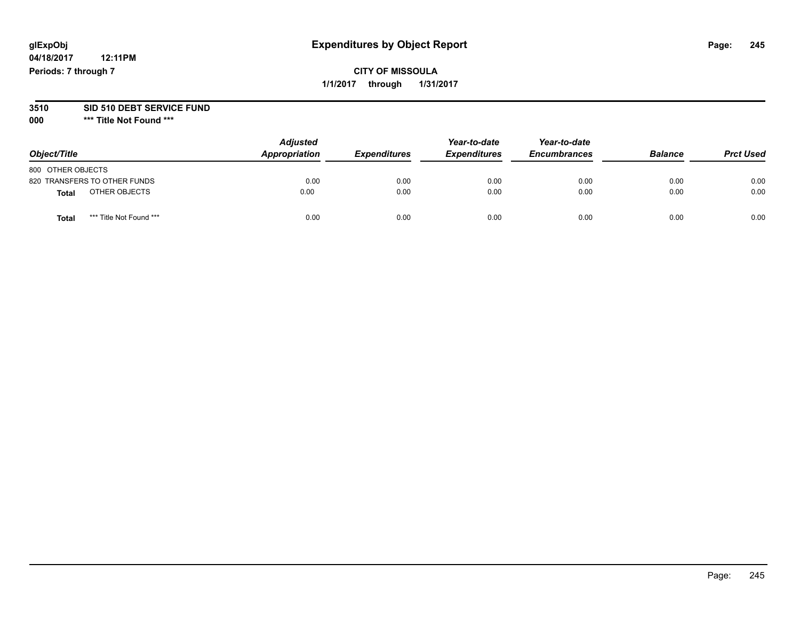## **CITY OF MISSOULA 1/1/2017 through 1/31/2017**

# **3510 SID 510 DEBT SERVICE FUND**

| Object/Title                     | <b>Adjusted</b><br>Appropriation | <b>Expenditures</b> | Year-to-date<br><b>Expenditures</b> | Year-to-date<br><b>Encumbrances</b> | <b>Balance</b> | <b>Prct Used</b> |
|----------------------------------|----------------------------------|---------------------|-------------------------------------|-------------------------------------|----------------|------------------|
| 800 OTHER OBJECTS                |                                  |                     |                                     |                                     |                |                  |
| 820 TRANSFERS TO OTHER FUNDS     | 0.00                             | 0.00                | 0.00                                | 0.00                                | 0.00           | 0.00             |
| OTHER OBJECTS<br><b>Total</b>    | 0.00                             | 0.00                | 0.00                                | 0.00                                | 0.00           | 0.00             |
| *** Title Not Found ***<br>Total | 0.00                             | 0.00                | 0.00                                | 0.00                                | 0.00           | 0.00             |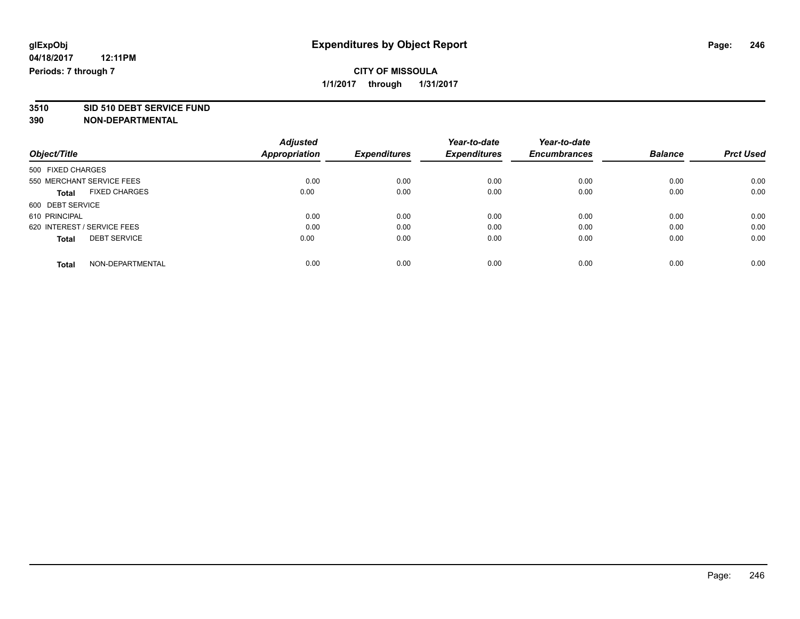# **3510 SID 510 DEBT SERVICE FUND**

|                                      | <b>Adjusted</b>      |                     | Year-to-date        | Year-to-date        |                |                  |
|--------------------------------------|----------------------|---------------------|---------------------|---------------------|----------------|------------------|
| Object/Title                         | <b>Appropriation</b> | <b>Expenditures</b> | <b>Expenditures</b> | <b>Encumbrances</b> | <b>Balance</b> | <b>Prct Used</b> |
| 500 FIXED CHARGES                    |                      |                     |                     |                     |                |                  |
| 550 MERCHANT SERVICE FEES            | 0.00                 | 0.00                | 0.00                | 0.00                | 0.00           | 0.00             |
| <b>FIXED CHARGES</b><br><b>Total</b> | 0.00                 | 0.00                | 0.00                | 0.00                | 0.00           | 0.00             |
| 600 DEBT SERVICE                     |                      |                     |                     |                     |                |                  |
| 610 PRINCIPAL                        | 0.00                 | 0.00                | 0.00                | 0.00                | 0.00           | 0.00             |
| 620 INTEREST / SERVICE FEES          | 0.00                 | 0.00                | 0.00                | 0.00                | 0.00           | 0.00             |
| <b>DEBT SERVICE</b><br><b>Total</b>  | 0.00                 | 0.00                | 0.00                | 0.00                | 0.00           | 0.00             |
| NON-DEPARTMENTAL<br>Total            | 0.00                 | 0.00                | 0.00                | 0.00                | 0.00           | 0.00             |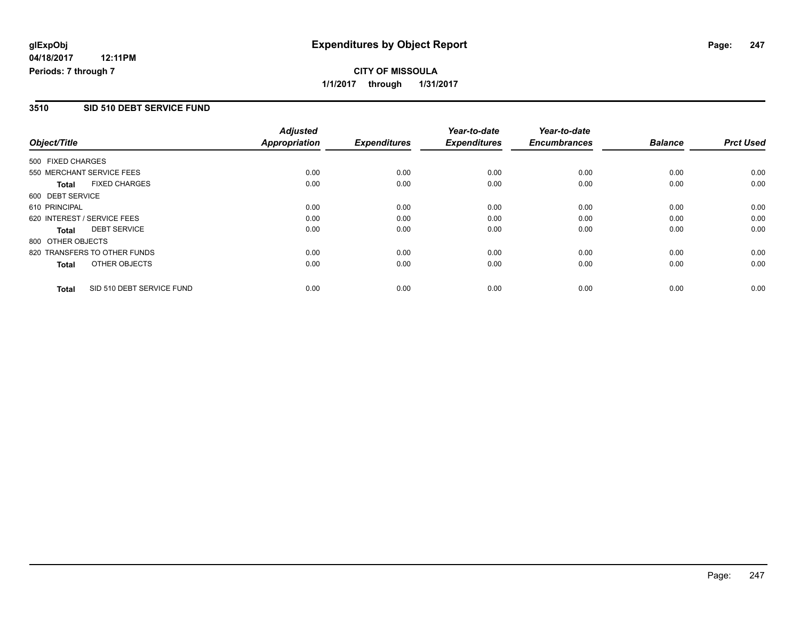## **CITY OF MISSOULA 1/1/2017 through 1/31/2017**

### **3510 SID 510 DEBT SERVICE FUND**

|                   |                              | <b>Adjusted</b>      |                     | Year-to-date        | Year-to-date        |                |                  |
|-------------------|------------------------------|----------------------|---------------------|---------------------|---------------------|----------------|------------------|
| Object/Title      |                              | <b>Appropriation</b> | <b>Expenditures</b> | <b>Expenditures</b> | <b>Encumbrances</b> | <b>Balance</b> | <b>Prct Used</b> |
| 500 FIXED CHARGES |                              |                      |                     |                     |                     |                |                  |
|                   | 550 MERCHANT SERVICE FEES    | 0.00                 | 0.00                | 0.00                | 0.00                | 0.00           | 0.00             |
| <b>Total</b>      | <b>FIXED CHARGES</b>         | 0.00                 | 0.00                | 0.00                | 0.00                | 0.00           | 0.00             |
| 600 DEBT SERVICE  |                              |                      |                     |                     |                     |                |                  |
| 610 PRINCIPAL     |                              | 0.00                 | 0.00                | 0.00                | 0.00                | 0.00           | 0.00             |
|                   | 620 INTEREST / SERVICE FEES  | 0.00                 | 0.00                | 0.00                | 0.00                | 0.00           | 0.00             |
| Total             | <b>DEBT SERVICE</b>          | 0.00                 | 0.00                | 0.00                | 0.00                | 0.00           | 0.00             |
| 800 OTHER OBJECTS |                              |                      |                     |                     |                     |                |                  |
|                   | 820 TRANSFERS TO OTHER FUNDS | 0.00                 | 0.00                | 0.00                | 0.00                | 0.00           | 0.00             |
| Total             | OTHER OBJECTS                | 0.00                 | 0.00                | 0.00                | 0.00                | 0.00           | 0.00             |
| <b>Total</b>      | SID 510 DEBT SERVICE FUND    | 0.00                 | 0.00                | 0.00                | 0.00                | 0.00           | 0.00             |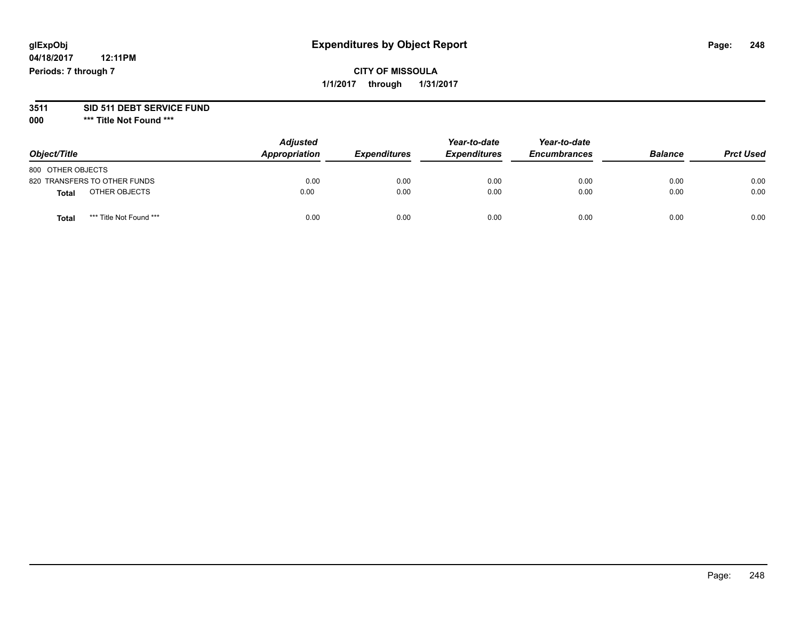## **CITY OF MISSOULA 1/1/2017 through 1/31/2017**

#### **3511 SID 511 DEBT SERVICE FUND**

| Object/Title                            | <b>Adjusted</b><br>Appropriation | <b>Expenditures</b> | Year-to-date<br><b>Expenditures</b> | Year-to-date<br><b>Encumbrances</b> | <b>Balance</b> | <b>Prct Used</b> |
|-----------------------------------------|----------------------------------|---------------------|-------------------------------------|-------------------------------------|----------------|------------------|
| 800 OTHER OBJECTS                       |                                  |                     |                                     |                                     |                |                  |
| 820 TRANSFERS TO OTHER FUNDS            | 0.00                             | 0.00                | 0.00                                | 0.00                                | 0.00           | 0.00             |
| OTHER OBJECTS<br>Total                  | 0.00                             | 0.00                | 0.00                                | 0.00                                | 0.00           | 0.00             |
| *** Title Not Found ***<br><b>Total</b> | 0.00                             | 0.00                | 0.00                                | 0.00                                | 0.00           | 0.00             |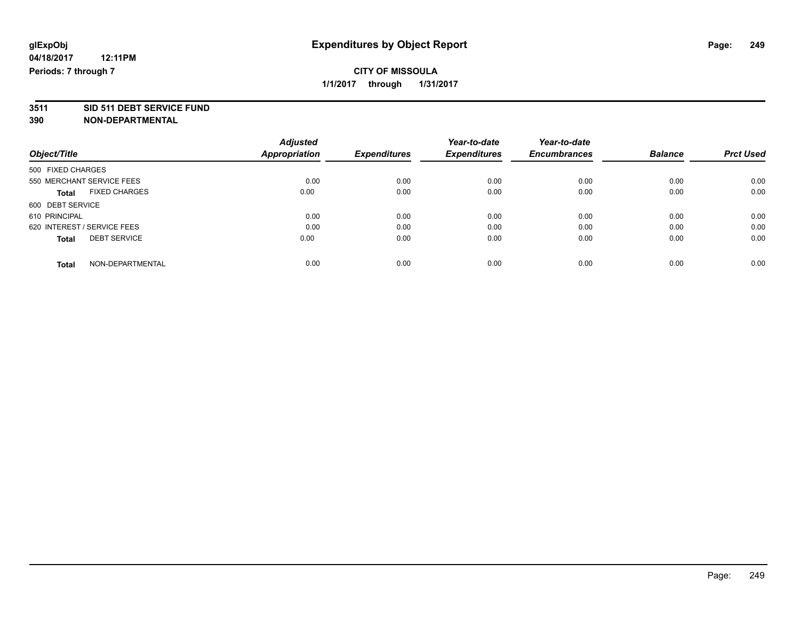# **3511 SID 511 DEBT SERVICE FUND**

|                                      | <b>Adjusted</b>      |                     | Year-to-date        | Year-to-date        |                |                  |
|--------------------------------------|----------------------|---------------------|---------------------|---------------------|----------------|------------------|
| Object/Title                         | <b>Appropriation</b> | <b>Expenditures</b> | <b>Expenditures</b> | <b>Encumbrances</b> | <b>Balance</b> | <b>Prct Used</b> |
| 500 FIXED CHARGES                    |                      |                     |                     |                     |                |                  |
| 550 MERCHANT SERVICE FEES            | 0.00                 | 0.00                | 0.00                | 0.00                | 0.00           | 0.00             |
| <b>FIXED CHARGES</b><br><b>Total</b> | 0.00                 | 0.00                | 0.00                | 0.00                | 0.00           | 0.00             |
| 600 DEBT SERVICE                     |                      |                     |                     |                     |                |                  |
| 610 PRINCIPAL                        | 0.00                 | 0.00                | 0.00                | 0.00                | 0.00           | 0.00             |
| 620 INTEREST / SERVICE FEES          | 0.00                 | 0.00                | 0.00                | 0.00                | 0.00           | 0.00             |
| <b>DEBT SERVICE</b><br><b>Total</b>  | 0.00                 | 0.00                | 0.00                | 0.00                | 0.00           | 0.00             |
| NON-DEPARTMENTAL<br>Total            | 0.00                 | 0.00                | 0.00                | 0.00                | 0.00           | 0.00             |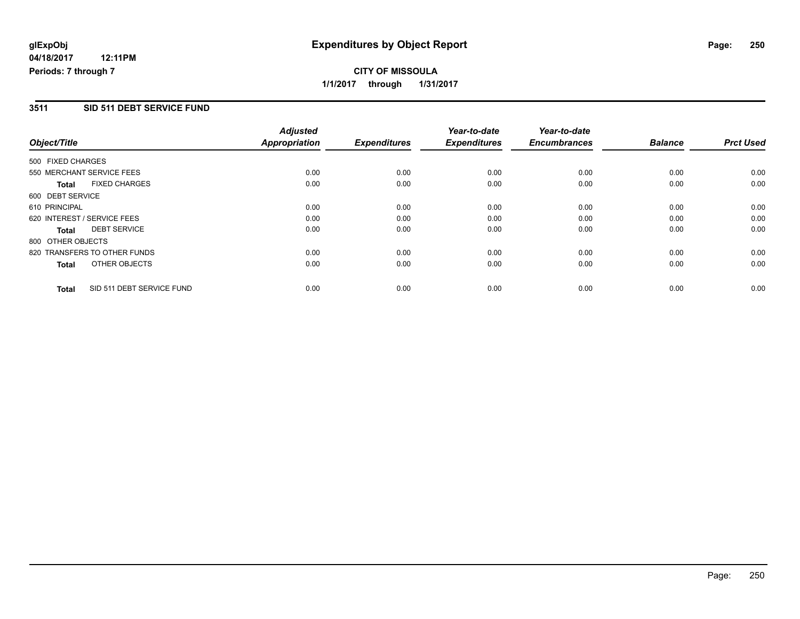## **CITY OF MISSOULA 1/1/2017 through 1/31/2017**

#### **3511 SID 511 DEBT SERVICE FUND**

|                                           | <b>Adjusted</b>      |                     | Year-to-date        | Year-to-date        |                |                  |
|-------------------------------------------|----------------------|---------------------|---------------------|---------------------|----------------|------------------|
| Object/Title                              | <b>Appropriation</b> | <b>Expenditures</b> | <b>Expenditures</b> | <b>Encumbrances</b> | <b>Balance</b> | <b>Prct Used</b> |
| 500 FIXED CHARGES                         |                      |                     |                     |                     |                |                  |
| 550 MERCHANT SERVICE FEES                 | 0.00                 | 0.00                | 0.00                | 0.00                | 0.00           | 0.00             |
| <b>FIXED CHARGES</b><br><b>Total</b>      | 0.00                 | 0.00                | 0.00                | 0.00                | 0.00           | 0.00             |
| 600 DEBT SERVICE                          |                      |                     |                     |                     |                |                  |
| 610 PRINCIPAL                             | 0.00                 | 0.00                | 0.00                | 0.00                | 0.00           | 0.00             |
| 620 INTEREST / SERVICE FEES               | 0.00                 | 0.00                | 0.00                | 0.00                | 0.00           | 0.00             |
| <b>DEBT SERVICE</b><br>Total              | 0.00                 | 0.00                | 0.00                | 0.00                | 0.00           | 0.00             |
| 800 OTHER OBJECTS                         |                      |                     |                     |                     |                |                  |
| 820 TRANSFERS TO OTHER FUNDS              | 0.00                 | 0.00                | 0.00                | 0.00                | 0.00           | 0.00             |
| OTHER OBJECTS<br><b>Total</b>             | 0.00                 | 0.00                | 0.00                | 0.00                | 0.00           | 0.00             |
|                                           |                      |                     |                     |                     |                |                  |
| SID 511 DEBT SERVICE FUND<br><b>Total</b> | 0.00                 | 0.00                | 0.00                | 0.00                | 0.00           | 0.00             |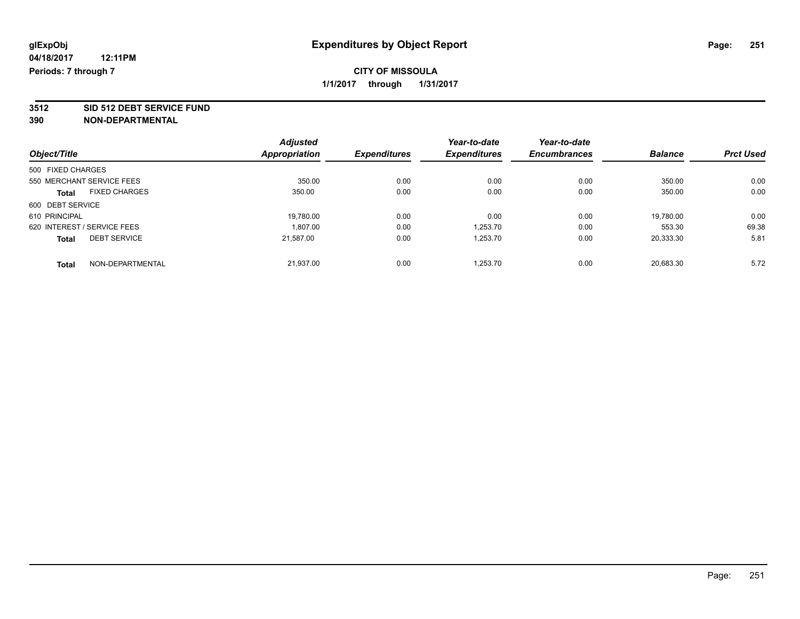**3512 SID 512 DEBT SERVICE FUND**

|                                      | <b>Adjusted</b>      | <b>Expenditures</b> | Year-to-date<br><b>Expenditures</b> | Year-to-date<br><b>Encumbrances</b> | <b>Balance</b> | <b>Prct Used</b> |
|--------------------------------------|----------------------|---------------------|-------------------------------------|-------------------------------------|----------------|------------------|
| Object/Title                         | <b>Appropriation</b> |                     |                                     |                                     |                |                  |
| 500 FIXED CHARGES                    |                      |                     |                                     |                                     |                |                  |
| 550 MERCHANT SERVICE FEES            | 350.00               | 0.00                | 0.00                                | 0.00                                | 350.00         | 0.00             |
| <b>FIXED CHARGES</b><br><b>Total</b> | 350.00               | 0.00                | 0.00                                | 0.00                                | 350.00         | 0.00             |
| 600 DEBT SERVICE                     |                      |                     |                                     |                                     |                |                  |
| 610 PRINCIPAL                        | 19.780.00            | 0.00                | 0.00                                | 0.00                                | 19.780.00      | 0.00             |
| 620 INTEREST / SERVICE FEES          | 1.807.00             | 0.00                | 1.253.70                            | 0.00                                | 553.30         | 69.38            |
| <b>DEBT SERVICE</b><br><b>Total</b>  | 21,587.00            | 0.00                | 1,253.70                            | 0.00                                | 20,333.30      | 5.81             |
| NON-DEPARTMENTAL<br>Total            | 21.937.00            | 0.00                | 1.253.70                            | 0.00                                | 20.683.30      | 5.72             |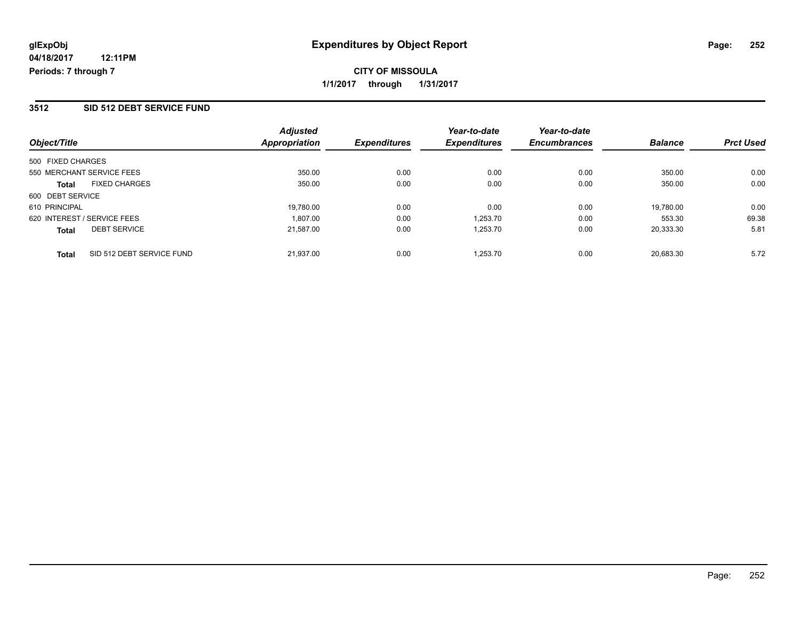## **CITY OF MISSOULA 1/1/2017 through 1/31/2017**

### **3512 SID 512 DEBT SERVICE FUND**

| Object/Title                              | <b>Adjusted</b><br>Appropriation | <b>Expenditures</b> | Year-to-date<br><b>Expenditures</b> | Year-to-date<br><b>Encumbrances</b> | <b>Balance</b> | <b>Prct Used</b> |
|-------------------------------------------|----------------------------------|---------------------|-------------------------------------|-------------------------------------|----------------|------------------|
| 500 FIXED CHARGES                         |                                  |                     |                                     |                                     |                |                  |
| 550 MERCHANT SERVICE FEES                 | 350.00                           | 0.00                | 0.00                                | 0.00                                | 350.00         | 0.00             |
| <b>FIXED CHARGES</b><br><b>Total</b>      | 350.00                           | 0.00                | 0.00                                | 0.00                                | 350.00         | 0.00             |
| 600 DEBT SERVICE                          |                                  |                     |                                     |                                     |                |                  |
| 610 PRINCIPAL                             | 19.780.00                        | 0.00                | 0.00                                | 0.00                                | 19.780.00      | 0.00             |
| 620 INTEREST / SERVICE FEES               | 1.807.00                         | 0.00                | 1.253.70                            | 0.00                                | 553.30         | 69.38            |
| <b>DEBT SERVICE</b><br><b>Total</b>       | 21,587.00                        | 0.00                | 1,253.70                            | 0.00                                | 20,333.30      | 5.81             |
| SID 512 DEBT SERVICE FUND<br><b>Total</b> | 21.937.00                        | 0.00                | 1.253.70                            | 0.00                                | 20.683.30      | 5.72             |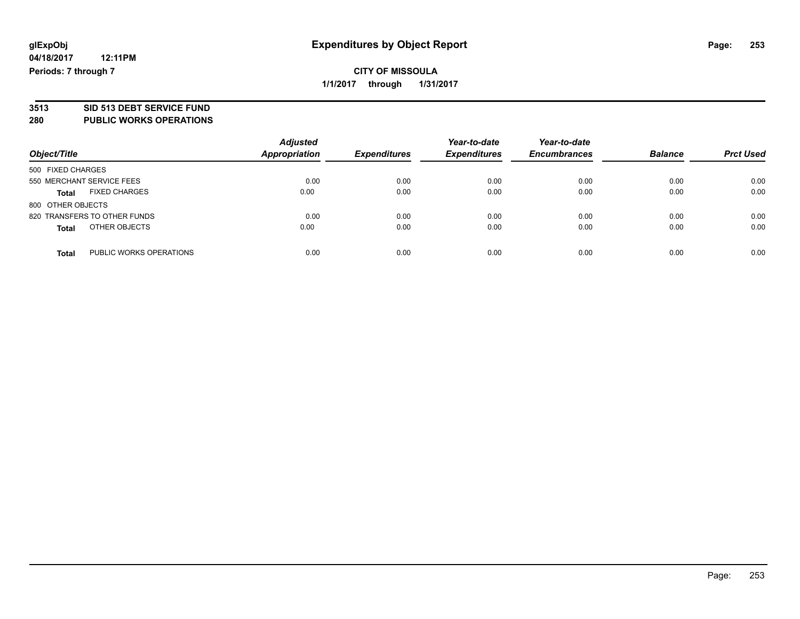# **3513 SID 513 DEBT SERVICE FUND**

#### **280 PUBLIC WORKS OPERATIONS**

| Object/Title                            | <b>Adjusted</b><br>Appropriation | <b>Expenditures</b> | Year-to-date<br><b>Expenditures</b> | Year-to-date<br><b>Encumbrances</b> | <b>Balance</b> | <b>Prct Used</b> |
|-----------------------------------------|----------------------------------|---------------------|-------------------------------------|-------------------------------------|----------------|------------------|
| 500 FIXED CHARGES                       |                                  |                     |                                     |                                     |                |                  |
| 550 MERCHANT SERVICE FEES               | 0.00                             | 0.00                | 0.00                                | 0.00                                | 0.00           | 0.00             |
| <b>FIXED CHARGES</b><br><b>Total</b>    | 0.00                             | 0.00                | 0.00                                | 0.00                                | 0.00           | 0.00             |
| 800 OTHER OBJECTS                       |                                  |                     |                                     |                                     |                |                  |
| 820 TRANSFERS TO OTHER FUNDS            | 0.00                             | 0.00                | 0.00                                | 0.00                                | 0.00           | 0.00             |
| OTHER OBJECTS<br><b>Total</b>           | 0.00                             | 0.00                | 0.00                                | 0.00                                | 0.00           | 0.00             |
| PUBLIC WORKS OPERATIONS<br><b>Total</b> | 0.00                             | 0.00                | 0.00                                | 0.00                                | 0.00           | 0.00             |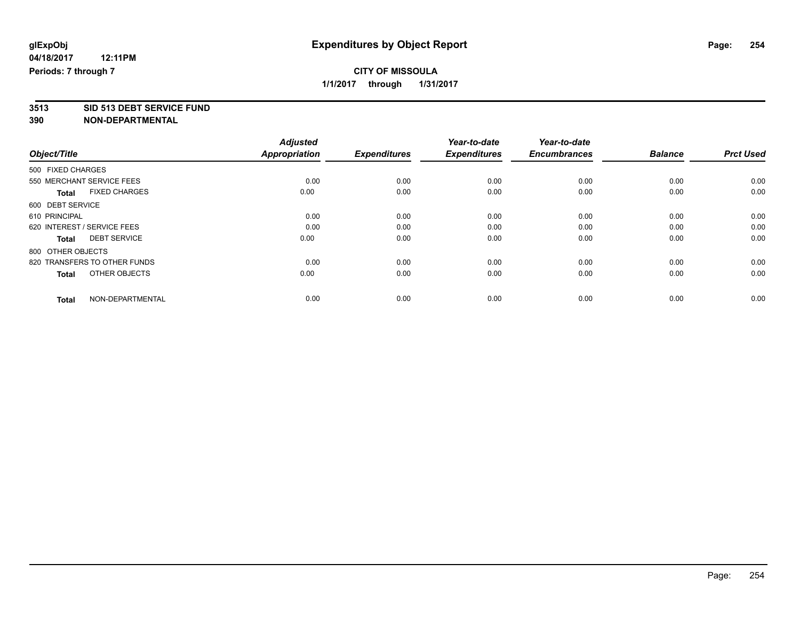## **CITY OF MISSOULA 1/1/2017 through 1/31/2017**

**3513 SID 513 DEBT SERVICE FUND**

|                                      | <b>Adjusted</b>      |                     | Year-to-date        | Year-to-date        |                |                  |
|--------------------------------------|----------------------|---------------------|---------------------|---------------------|----------------|------------------|
| Object/Title                         | <b>Appropriation</b> | <b>Expenditures</b> | <b>Expenditures</b> | <b>Encumbrances</b> | <b>Balance</b> | <b>Prct Used</b> |
| 500 FIXED CHARGES                    |                      |                     |                     |                     |                |                  |
| 550 MERCHANT SERVICE FEES            | 0.00                 | 0.00                | 0.00                | 0.00                | 0.00           | 0.00             |
| <b>FIXED CHARGES</b><br><b>Total</b> | 0.00                 | 0.00                | 0.00                | 0.00                | 0.00           | 0.00             |
| 600 DEBT SERVICE                     |                      |                     |                     |                     |                |                  |
| 610 PRINCIPAL                        | 0.00                 | 0.00                | 0.00                | 0.00                | 0.00           | 0.00             |
| 620 INTEREST / SERVICE FEES          | 0.00                 | 0.00                | 0.00                | 0.00                | 0.00           | 0.00             |
| <b>DEBT SERVICE</b><br><b>Total</b>  | 0.00                 | 0.00                | 0.00                | 0.00                | 0.00           | 0.00             |
| 800 OTHER OBJECTS                    |                      |                     |                     |                     |                |                  |
| 820 TRANSFERS TO OTHER FUNDS         | 0.00                 | 0.00                | 0.00                | 0.00                | 0.00           | 0.00             |
| OTHER OBJECTS<br><b>Total</b>        | 0.00                 | 0.00                | 0.00                | 0.00                | 0.00           | 0.00             |
|                                      |                      |                     |                     |                     |                |                  |
| NON-DEPARTMENTAL<br><b>Total</b>     | 0.00                 | 0.00                | 0.00                | 0.00                | 0.00           | 0.00             |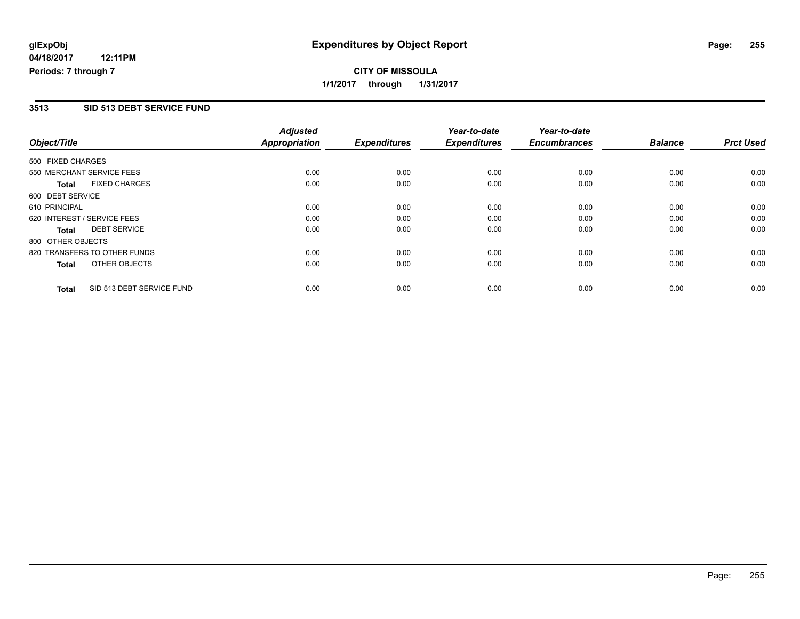## **CITY OF MISSOULA 1/1/2017 through 1/31/2017**

#### **3513 SID 513 DEBT SERVICE FUND**

|                   |                              | <b>Adjusted</b>      |                     | Year-to-date        | Year-to-date        |                |                  |
|-------------------|------------------------------|----------------------|---------------------|---------------------|---------------------|----------------|------------------|
| Object/Title      |                              | <b>Appropriation</b> | <b>Expenditures</b> | <b>Expenditures</b> | <b>Encumbrances</b> | <b>Balance</b> | <b>Prct Used</b> |
| 500 FIXED CHARGES |                              |                      |                     |                     |                     |                |                  |
|                   | 550 MERCHANT SERVICE FEES    | 0.00                 | 0.00                | 0.00                | 0.00                | 0.00           | 0.00             |
| <b>Total</b>      | <b>FIXED CHARGES</b>         | 0.00                 | 0.00                | 0.00                | 0.00                | 0.00           | 0.00             |
| 600 DEBT SERVICE  |                              |                      |                     |                     |                     |                |                  |
| 610 PRINCIPAL     |                              | 0.00                 | 0.00                | 0.00                | 0.00                | 0.00           | 0.00             |
|                   | 620 INTEREST / SERVICE FEES  | 0.00                 | 0.00                | 0.00                | 0.00                | 0.00           | 0.00             |
| <b>Total</b>      | <b>DEBT SERVICE</b>          | 0.00                 | 0.00                | 0.00                | 0.00                | 0.00           | 0.00             |
| 800 OTHER OBJECTS |                              |                      |                     |                     |                     |                |                  |
|                   | 820 TRANSFERS TO OTHER FUNDS | 0.00                 | 0.00                | 0.00                | 0.00                | 0.00           | 0.00             |
| <b>Total</b>      | OTHER OBJECTS                | 0.00                 | 0.00                | 0.00                | 0.00                | 0.00           | 0.00             |
| <b>Total</b>      | SID 513 DEBT SERVICE FUND    | 0.00                 | 0.00                | 0.00                | 0.00                | 0.00           | 0.00             |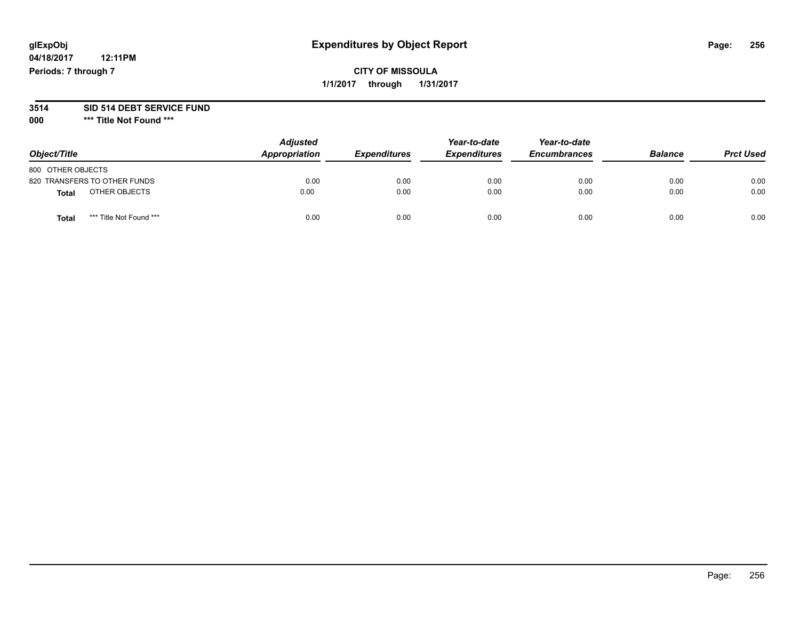## **glExpObj Expenditures by Object Report Page: 256**

## **CITY OF MISSOULA 1/1/2017 through 1/31/2017**

#### **3514 SID 514 DEBT SERVICE FUND**

**000 \*\*\* Title Not Found \*\*\***

| Object/Title                     | <b>Adjusted</b><br>Appropriation | <b>Expenditures</b> | Year-to-date<br><b>Expenditures</b> | Year-to-date<br><b>Encumbrances</b> | <b>Balance</b> | <b>Prct Used</b> |
|----------------------------------|----------------------------------|---------------------|-------------------------------------|-------------------------------------|----------------|------------------|
| 800 OTHER OBJECTS                |                                  |                     |                                     |                                     |                |                  |
| 820 TRANSFERS TO OTHER FUNDS     | 0.00                             | 0.00                | 0.00                                | 0.00                                | 0.00           | 0.00             |
| OTHER OBJECTS<br><b>Total</b>    | 0.00                             | 0.00                | 0.00                                | 0.00                                | 0.00           | 0.00             |
| *** Title Not Found ***<br>Total | 0.00                             | 0.00                | 0.00                                | 0.00                                | 0.00           | 0.00             |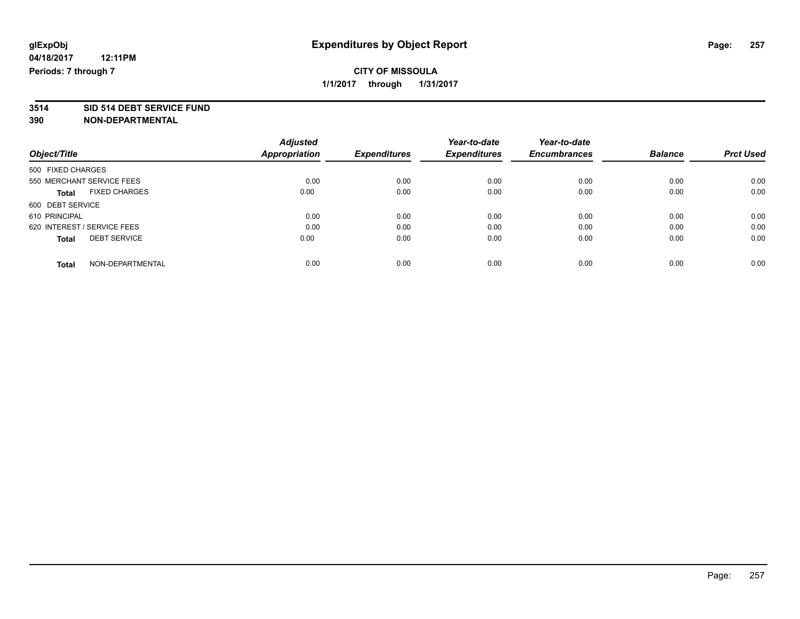# **3514 SID 514 DEBT SERVICE FUND**

|                                      | <b>Adjusted</b>      |                     | Year-to-date        | Year-to-date        |                |                  |
|--------------------------------------|----------------------|---------------------|---------------------|---------------------|----------------|------------------|
| Object/Title                         | <b>Appropriation</b> | <b>Expenditures</b> | <b>Expenditures</b> | <b>Encumbrances</b> | <b>Balance</b> | <b>Prct Used</b> |
| 500 FIXED CHARGES                    |                      |                     |                     |                     |                |                  |
| 550 MERCHANT SERVICE FEES            | 0.00                 | 0.00                | 0.00                | 0.00                | 0.00           | 0.00             |
| <b>FIXED CHARGES</b><br><b>Total</b> | 0.00                 | 0.00                | 0.00                | 0.00                | 0.00           | 0.00             |
| 600 DEBT SERVICE                     |                      |                     |                     |                     |                |                  |
| 610 PRINCIPAL                        | 0.00                 | 0.00                | 0.00                | 0.00                | 0.00           | 0.00             |
| 620 INTEREST / SERVICE FEES          | 0.00                 | 0.00                | 0.00                | 0.00                | 0.00           | 0.00             |
| <b>DEBT SERVICE</b><br><b>Total</b>  | 0.00                 | 0.00                | 0.00                | 0.00                | 0.00           | 0.00             |
| NON-DEPARTMENTAL<br>Total            | 0.00                 | 0.00                | 0.00                | 0.00                | 0.00           | 0.00             |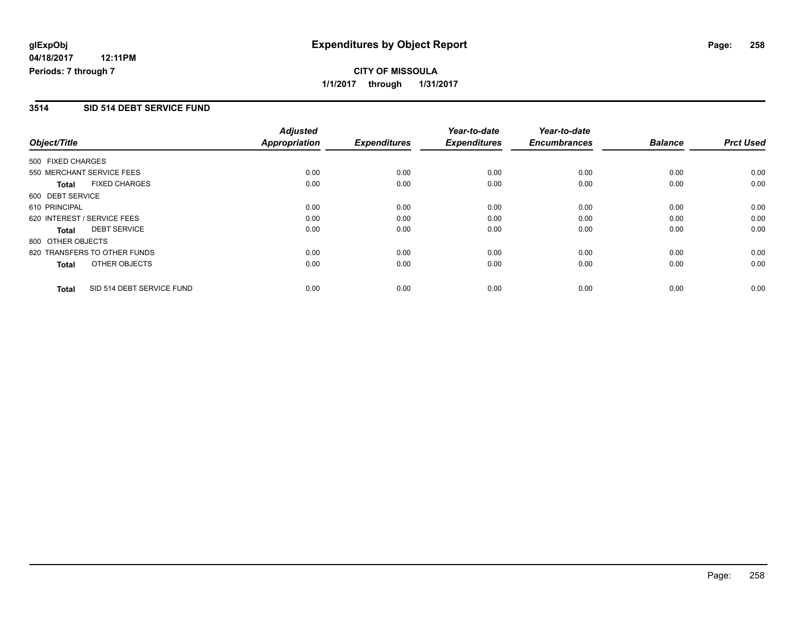## **CITY OF MISSOULA 1/1/2017 through 1/31/2017**

#### **3514 SID 514 DEBT SERVICE FUND**

|                   |                              | <b>Adjusted</b>      |                     | Year-to-date        | Year-to-date        |                |                  |
|-------------------|------------------------------|----------------------|---------------------|---------------------|---------------------|----------------|------------------|
| Object/Title      |                              | <b>Appropriation</b> | <b>Expenditures</b> | <b>Expenditures</b> | <b>Encumbrances</b> | <b>Balance</b> | <b>Prct Used</b> |
| 500 FIXED CHARGES |                              |                      |                     |                     |                     |                |                  |
|                   | 550 MERCHANT SERVICE FEES    | 0.00                 | 0.00                | 0.00                | 0.00                | 0.00           | 0.00             |
| <b>Total</b>      | <b>FIXED CHARGES</b>         | 0.00                 | 0.00                | 0.00                | 0.00                | 0.00           | 0.00             |
| 600 DEBT SERVICE  |                              |                      |                     |                     |                     |                |                  |
| 610 PRINCIPAL     |                              | 0.00                 | 0.00                | 0.00                | 0.00                | 0.00           | 0.00             |
|                   | 620 INTEREST / SERVICE FEES  | 0.00                 | 0.00                | 0.00                | 0.00                | 0.00           | 0.00             |
| Total             | <b>DEBT SERVICE</b>          | 0.00                 | 0.00                | 0.00                | 0.00                | 0.00           | 0.00             |
| 800 OTHER OBJECTS |                              |                      |                     |                     |                     |                |                  |
|                   | 820 TRANSFERS TO OTHER FUNDS | 0.00                 | 0.00                | 0.00                | 0.00                | 0.00           | 0.00             |
| Total             | OTHER OBJECTS                | 0.00                 | 0.00                | 0.00                | 0.00                | 0.00           | 0.00             |
| <b>Total</b>      | SID 514 DEBT SERVICE FUND    | 0.00                 | 0.00                | 0.00                | 0.00                | 0.00           | 0.00             |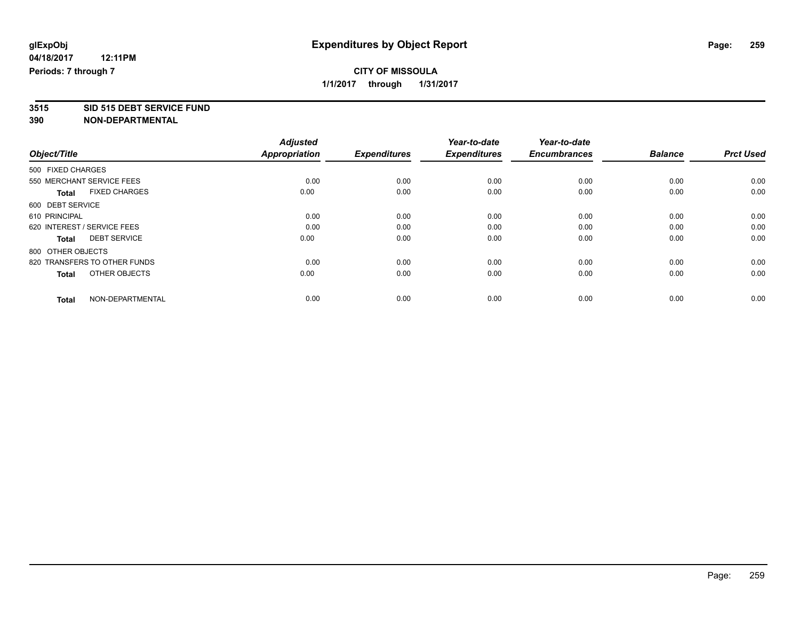## **CITY OF MISSOULA 1/1/2017 through 1/31/2017**

**3515 SID 515 DEBT SERVICE FUND**

|                                      | <b>Adjusted</b><br><b>Appropriation</b> |                     | Year-to-date<br><b>Expenditures</b> | Year-to-date<br><b>Encumbrances</b> | <b>Balance</b> |                  |
|--------------------------------------|-----------------------------------------|---------------------|-------------------------------------|-------------------------------------|----------------|------------------|
| Object/Title                         |                                         | <b>Expenditures</b> |                                     |                                     |                | <b>Prct Used</b> |
| 500 FIXED CHARGES                    |                                         |                     |                                     |                                     |                |                  |
| 550 MERCHANT SERVICE FEES            | 0.00                                    | 0.00                | 0.00                                | 0.00                                | 0.00           | 0.00             |
| <b>FIXED CHARGES</b><br><b>Total</b> | 0.00                                    | 0.00                | 0.00                                | 0.00                                | 0.00           | 0.00             |
| 600 DEBT SERVICE                     |                                         |                     |                                     |                                     |                |                  |
| 610 PRINCIPAL                        | 0.00                                    | 0.00                | 0.00                                | 0.00                                | 0.00           | 0.00             |
| 620 INTEREST / SERVICE FEES          | 0.00                                    | 0.00                | 0.00                                | 0.00                                | 0.00           | 0.00             |
| <b>DEBT SERVICE</b><br><b>Total</b>  | 0.00                                    | 0.00                | 0.00                                | 0.00                                | 0.00           | 0.00             |
| 800 OTHER OBJECTS                    |                                         |                     |                                     |                                     |                |                  |
| 820 TRANSFERS TO OTHER FUNDS         | 0.00                                    | 0.00                | 0.00                                | 0.00                                | 0.00           | 0.00             |
| OTHER OBJECTS<br><b>Total</b>        | 0.00                                    | 0.00                | 0.00                                | 0.00                                | 0.00           | 0.00             |
|                                      |                                         |                     |                                     |                                     |                |                  |
| NON-DEPARTMENTAL<br><b>Total</b>     | 0.00                                    | 0.00                | 0.00                                | 0.00                                | 0.00           | 0.00             |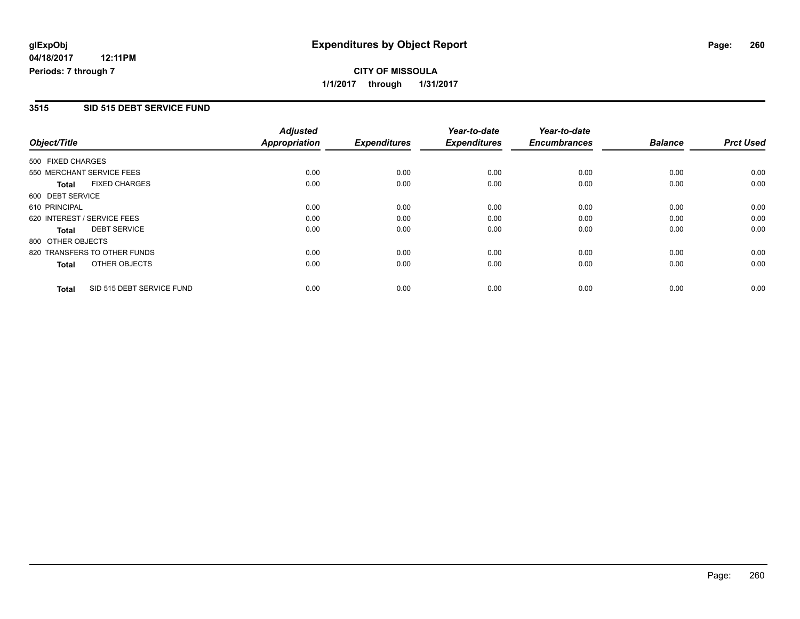## **CITY OF MISSOULA 1/1/2017 through 1/31/2017**

#### **3515 SID 515 DEBT SERVICE FUND**

|                   |                              | <b>Adjusted</b>      |                     | Year-to-date        | Year-to-date        |                |                  |
|-------------------|------------------------------|----------------------|---------------------|---------------------|---------------------|----------------|------------------|
| Object/Title      |                              | <b>Appropriation</b> | <b>Expenditures</b> | <b>Expenditures</b> | <b>Encumbrances</b> | <b>Balance</b> | <b>Prct Used</b> |
| 500 FIXED CHARGES |                              |                      |                     |                     |                     |                |                  |
|                   | 550 MERCHANT SERVICE FEES    | 0.00                 | 0.00                | 0.00                | 0.00                | 0.00           | 0.00             |
| <b>Total</b>      | <b>FIXED CHARGES</b>         | 0.00                 | 0.00                | 0.00                | 0.00                | 0.00           | 0.00             |
| 600 DEBT SERVICE  |                              |                      |                     |                     |                     |                |                  |
| 610 PRINCIPAL     |                              | 0.00                 | 0.00                | 0.00                | 0.00                | 0.00           | 0.00             |
|                   | 620 INTEREST / SERVICE FEES  | 0.00                 | 0.00                | 0.00                | 0.00                | 0.00           | 0.00             |
| Total             | <b>DEBT SERVICE</b>          | 0.00                 | 0.00                | 0.00                | 0.00                | 0.00           | 0.00             |
| 800 OTHER OBJECTS |                              |                      |                     |                     |                     |                |                  |
|                   | 820 TRANSFERS TO OTHER FUNDS | 0.00                 | 0.00                | 0.00                | 0.00                | 0.00           | 0.00             |
| Total             | OTHER OBJECTS                | 0.00                 | 0.00                | 0.00                | 0.00                | 0.00           | 0.00             |
| <b>Total</b>      | SID 515 DEBT SERVICE FUND    | 0.00                 | 0.00                | 0.00                | 0.00                | 0.00           | 0.00             |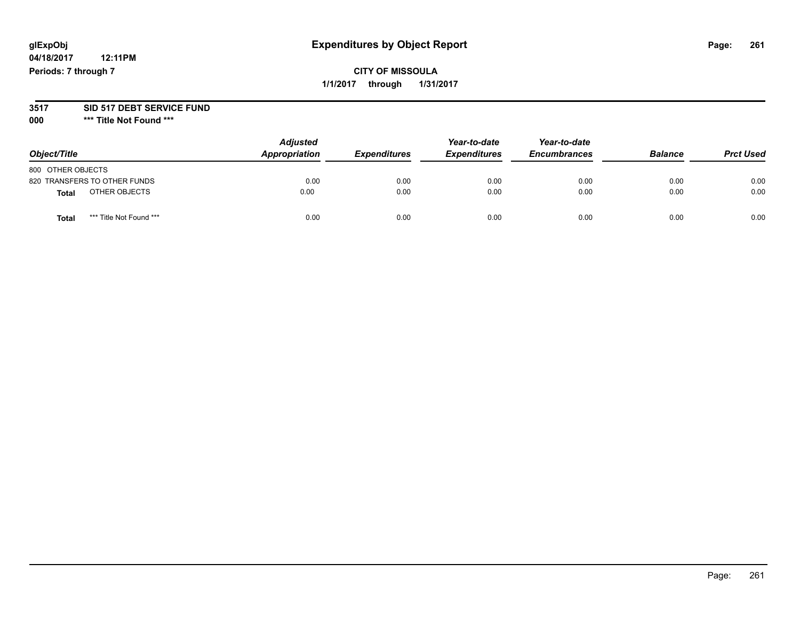## **glExpObj Expenditures by Object Report Page: 261**

## **CITY OF MISSOULA 1/1/2017 through 1/31/2017**

#### **3517 SID 517 DEBT SERVICE FUND**

**000 \*\*\* Title Not Found \*\*\***

| Object/Title                            | <b>Adjusted</b><br>Appropriation | <b>Expenditures</b> | Year-to-date<br><b>Expenditures</b> | Year-to-date<br><b>Encumbrances</b> | <b>Balance</b> | <b>Prct Used</b> |
|-----------------------------------------|----------------------------------|---------------------|-------------------------------------|-------------------------------------|----------------|------------------|
| 800 OTHER OBJECTS                       |                                  |                     |                                     |                                     |                |                  |
| 820 TRANSFERS TO OTHER FUNDS            | 0.00                             | 0.00                | 0.00                                | 0.00                                | 0.00           | 0.00             |
| OTHER OBJECTS<br>Total                  | 0.00                             | 0.00                | 0.00                                | 0.00                                | 0.00           | 0.00             |
| *** Title Not Found ***<br><b>Total</b> | 0.00                             | 0.00                | 0.00                                | 0.00                                | 0.00           | 0.00             |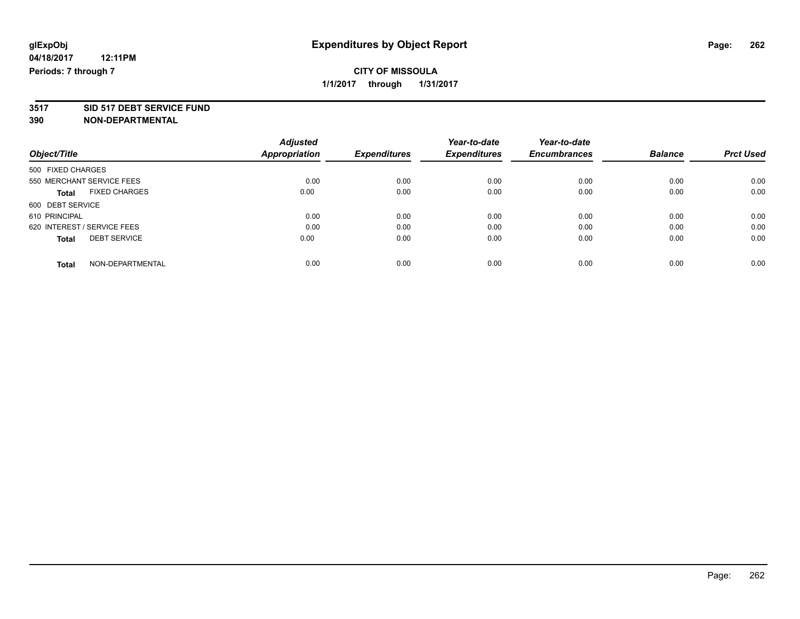# **3517 SID 517 DEBT SERVICE FUND**

|                                      | <b>Adjusted</b>      |                     | Year-to-date        | Year-to-date        |                |                  |
|--------------------------------------|----------------------|---------------------|---------------------|---------------------|----------------|------------------|
| Object/Title                         | <b>Appropriation</b> | <b>Expenditures</b> | <b>Expenditures</b> | <b>Encumbrances</b> | <b>Balance</b> | <b>Prct Used</b> |
| 500 FIXED CHARGES                    |                      |                     |                     |                     |                |                  |
| 550 MERCHANT SERVICE FEES            | 0.00                 | 0.00                | 0.00                | 0.00                | 0.00           | 0.00             |
| <b>FIXED CHARGES</b><br><b>Total</b> | 0.00                 | 0.00                | 0.00                | 0.00                | 0.00           | 0.00             |
| 600 DEBT SERVICE                     |                      |                     |                     |                     |                |                  |
| 610 PRINCIPAL                        | 0.00                 | 0.00                | 0.00                | 0.00                | 0.00           | 0.00             |
| 620 INTEREST / SERVICE FEES          | 0.00                 | 0.00                | 0.00                | 0.00                | 0.00           | 0.00             |
| <b>DEBT SERVICE</b><br><b>Total</b>  | 0.00                 | 0.00                | 0.00                | 0.00                | 0.00           | 0.00             |
| NON-DEPARTMENTAL<br>Total            | 0.00                 | 0.00                | 0.00                | 0.00                | 0.00           | 0.00             |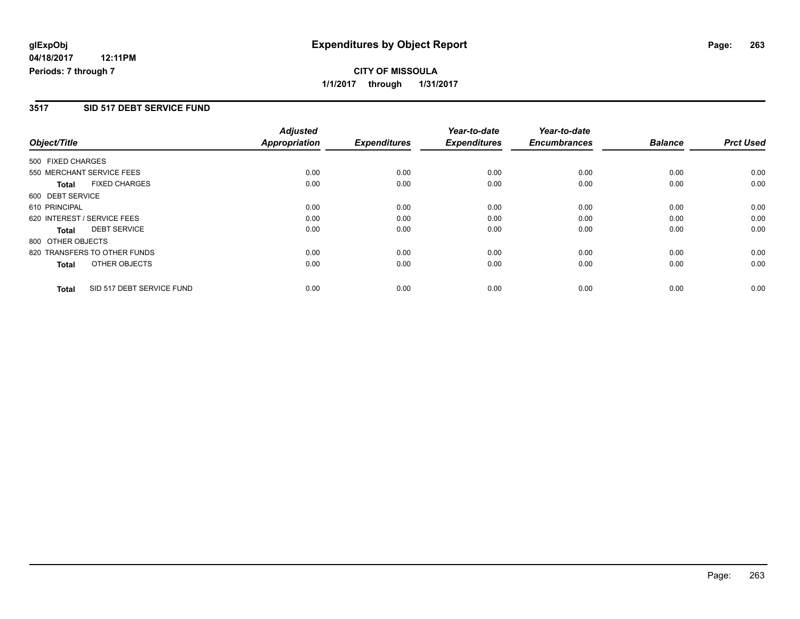## **CITY OF MISSOULA 1/1/2017 through 1/31/2017**

#### **3517 SID 517 DEBT SERVICE FUND**

|                   |                              | <b>Adjusted</b>      |                     | Year-to-date        | Year-to-date        |                |                  |
|-------------------|------------------------------|----------------------|---------------------|---------------------|---------------------|----------------|------------------|
| Object/Title      |                              | <b>Appropriation</b> | <b>Expenditures</b> | <b>Expenditures</b> | <b>Encumbrances</b> | <b>Balance</b> | <b>Prct Used</b> |
| 500 FIXED CHARGES |                              |                      |                     |                     |                     |                |                  |
|                   | 550 MERCHANT SERVICE FEES    | 0.00                 | 0.00                | 0.00                | 0.00                | 0.00           | 0.00             |
| <b>Total</b>      | <b>FIXED CHARGES</b>         | 0.00                 | 0.00                | 0.00                | 0.00                | 0.00           | 0.00             |
| 600 DEBT SERVICE  |                              |                      |                     |                     |                     |                |                  |
| 610 PRINCIPAL     |                              | 0.00                 | 0.00                | 0.00                | 0.00                | 0.00           | 0.00             |
|                   | 620 INTEREST / SERVICE FEES  | 0.00                 | 0.00                | 0.00                | 0.00                | 0.00           | 0.00             |
| <b>Total</b>      | <b>DEBT SERVICE</b>          | 0.00                 | 0.00                | 0.00                | 0.00                | 0.00           | 0.00             |
| 800 OTHER OBJECTS |                              |                      |                     |                     |                     |                |                  |
|                   | 820 TRANSFERS TO OTHER FUNDS | 0.00                 | 0.00                | 0.00                | 0.00                | 0.00           | 0.00             |
| <b>Total</b>      | OTHER OBJECTS                | 0.00                 | 0.00                | 0.00                | 0.00                | 0.00           | 0.00             |
| <b>Total</b>      | SID 517 DEBT SERVICE FUND    | 0.00                 | 0.00                | 0.00                | 0.00                | 0.00           | 0.00             |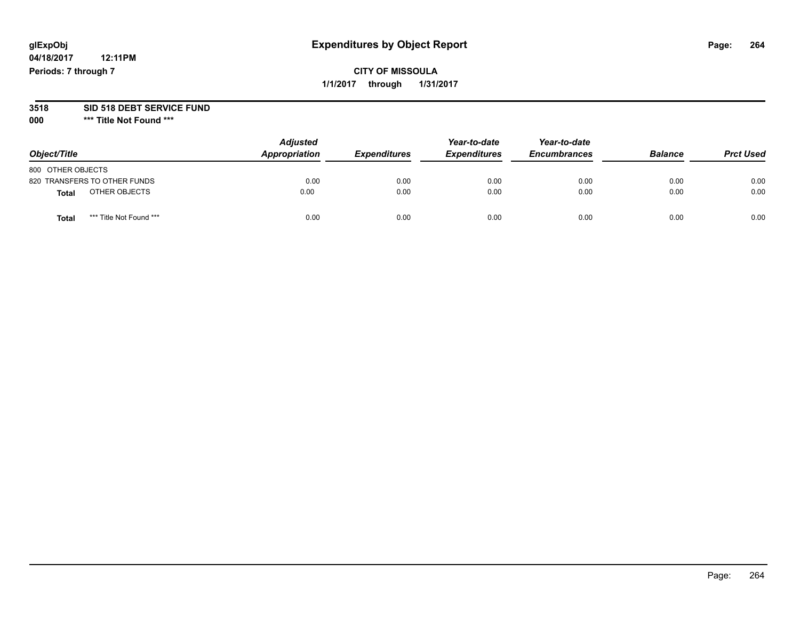## **glExpObj Expenditures by Object Report Page: 264**

## **CITY OF MISSOULA 1/1/2017 through 1/31/2017**

# **3518 SID 518 DEBT SERVICE FUND**

**000 \*\*\* Title Not Found \*\*\***

| Object/Title                            | <b>Adjusted</b><br>Appropriation | <b>Expenditures</b> | Year-to-date<br><b>Expenditures</b> | Year-to-date<br><b>Encumbrances</b> | <b>Balance</b> | <b>Prct Used</b> |
|-----------------------------------------|----------------------------------|---------------------|-------------------------------------|-------------------------------------|----------------|------------------|
| 800 OTHER OBJECTS                       |                                  |                     |                                     |                                     |                |                  |
| 820 TRANSFERS TO OTHER FUNDS            | 0.00                             | 0.00                | 0.00                                | 0.00                                | 0.00           | 0.00             |
| OTHER OBJECTS<br>Total                  | 0.00                             | 0.00                | 0.00                                | 0.00                                | 0.00           | 0.00             |
| *** Title Not Found ***<br><b>Total</b> | 0.00                             | 0.00                | 0.00                                | 0.00                                | 0.00           | 0.00             |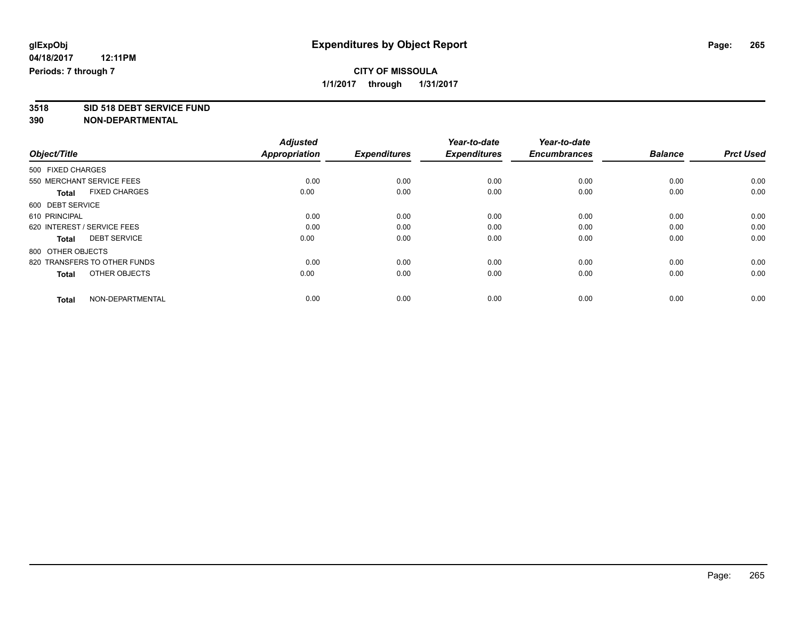## **CITY OF MISSOULA 1/1/2017 through 1/31/2017**

**3518 SID 518 DEBT SERVICE FUND**

|                                      | <b>Adjusted</b>      |                     | Year-to-date        | Year-to-date        |                |                  |
|--------------------------------------|----------------------|---------------------|---------------------|---------------------|----------------|------------------|
| Object/Title                         | <b>Appropriation</b> | <b>Expenditures</b> | <b>Expenditures</b> | <b>Encumbrances</b> | <b>Balance</b> | <b>Prct Used</b> |
| 500 FIXED CHARGES                    |                      |                     |                     |                     |                |                  |
| 550 MERCHANT SERVICE FEES            | 0.00                 | 0.00                | 0.00                | 0.00                | 0.00           | 0.00             |
| <b>FIXED CHARGES</b><br><b>Total</b> | 0.00                 | 0.00                | 0.00                | 0.00                | 0.00           | 0.00             |
| 600 DEBT SERVICE                     |                      |                     |                     |                     |                |                  |
| 610 PRINCIPAL                        | 0.00                 | 0.00                | 0.00                | 0.00                | 0.00           | 0.00             |
| 620 INTEREST / SERVICE FEES          | 0.00                 | 0.00                | 0.00                | 0.00                | 0.00           | 0.00             |
| <b>DEBT SERVICE</b><br><b>Total</b>  | 0.00                 | 0.00                | 0.00                | 0.00                | 0.00           | 0.00             |
| 800 OTHER OBJECTS                    |                      |                     |                     |                     |                |                  |
| 820 TRANSFERS TO OTHER FUNDS         | 0.00                 | 0.00                | 0.00                | 0.00                | 0.00           | 0.00             |
| OTHER OBJECTS<br><b>Total</b>        | 0.00                 | 0.00                | 0.00                | 0.00                | 0.00           | 0.00             |
|                                      |                      |                     |                     |                     |                |                  |
| NON-DEPARTMENTAL<br><b>Total</b>     | 0.00                 | 0.00                | 0.00                | 0.00                | 0.00           | 0.00             |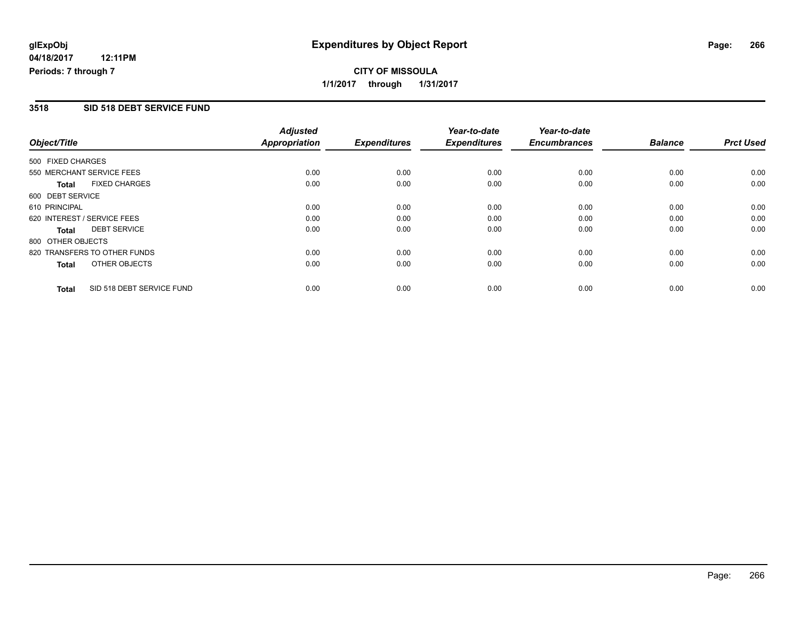## **CITY OF MISSOULA 1/1/2017 through 1/31/2017**

#### **3518 SID 518 DEBT SERVICE FUND**

|                   |                              | <b>Adjusted</b>      |                     | Year-to-date        | Year-to-date        |                |                  |
|-------------------|------------------------------|----------------------|---------------------|---------------------|---------------------|----------------|------------------|
| Object/Title      |                              | <b>Appropriation</b> | <b>Expenditures</b> | <b>Expenditures</b> | <b>Encumbrances</b> | <b>Balance</b> | <b>Prct Used</b> |
| 500 FIXED CHARGES |                              |                      |                     |                     |                     |                |                  |
|                   | 550 MERCHANT SERVICE FEES    | 0.00                 | 0.00                | 0.00                | 0.00                | 0.00           | 0.00             |
| Total             | <b>FIXED CHARGES</b>         | 0.00                 | 0.00                | 0.00                | 0.00                | 0.00           | 0.00             |
| 600 DEBT SERVICE  |                              |                      |                     |                     |                     |                |                  |
| 610 PRINCIPAL     |                              | 0.00                 | 0.00                | 0.00                | 0.00                | 0.00           | 0.00             |
|                   | 620 INTEREST / SERVICE FEES  | 0.00                 | 0.00                | 0.00                | 0.00                | 0.00           | 0.00             |
| <b>Total</b>      | <b>DEBT SERVICE</b>          | 0.00                 | 0.00                | 0.00                | 0.00                | 0.00           | 0.00             |
| 800 OTHER OBJECTS |                              |                      |                     |                     |                     |                |                  |
|                   | 820 TRANSFERS TO OTHER FUNDS | 0.00                 | 0.00                | 0.00                | 0.00                | 0.00           | 0.00             |
| Total             | OTHER OBJECTS                | 0.00                 | 0.00                | 0.00                | 0.00                | 0.00           | 0.00             |
| <b>Total</b>      | SID 518 DEBT SERVICE FUND    | 0.00                 | 0.00                | 0.00                | 0.00                | 0.00           | 0.00             |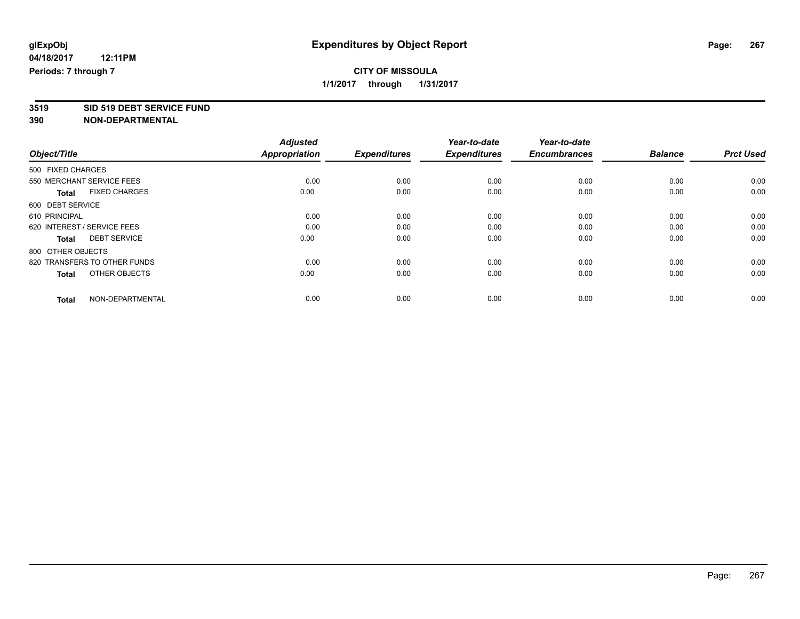## **CITY OF MISSOULA 1/1/2017 through 1/31/2017**

**3519 SID 519 DEBT SERVICE FUND**

|                                      | <b>Adjusted</b>      |                     | Year-to-date        | Year-to-date        |                |                  |
|--------------------------------------|----------------------|---------------------|---------------------|---------------------|----------------|------------------|
| Object/Title                         | <b>Appropriation</b> | <b>Expenditures</b> | <b>Expenditures</b> | <b>Encumbrances</b> | <b>Balance</b> | <b>Prct Used</b> |
| 500 FIXED CHARGES                    |                      |                     |                     |                     |                |                  |
| 550 MERCHANT SERVICE FEES            | 0.00                 | 0.00                | 0.00                | 0.00                | 0.00           | 0.00             |
| <b>FIXED CHARGES</b><br><b>Total</b> | 0.00                 | 0.00                | 0.00                | 0.00                | 0.00           | 0.00             |
| 600 DEBT SERVICE                     |                      |                     |                     |                     |                |                  |
| 610 PRINCIPAL                        | 0.00                 | 0.00                | 0.00                | 0.00                | 0.00           | 0.00             |
| 620 INTEREST / SERVICE FEES          | 0.00                 | 0.00                | 0.00                | 0.00                | 0.00           | 0.00             |
| <b>DEBT SERVICE</b><br><b>Total</b>  | 0.00                 | 0.00                | 0.00                | 0.00                | 0.00           | 0.00             |
| 800 OTHER OBJECTS                    |                      |                     |                     |                     |                |                  |
| 820 TRANSFERS TO OTHER FUNDS         | 0.00                 | 0.00                | 0.00                | 0.00                | 0.00           | 0.00             |
| OTHER OBJECTS<br><b>Total</b>        | 0.00                 | 0.00                | 0.00                | 0.00                | 0.00           | 0.00             |
|                                      |                      |                     |                     |                     |                |                  |
| NON-DEPARTMENTAL<br><b>Total</b>     | 0.00                 | 0.00                | 0.00                | 0.00                | 0.00           | 0.00             |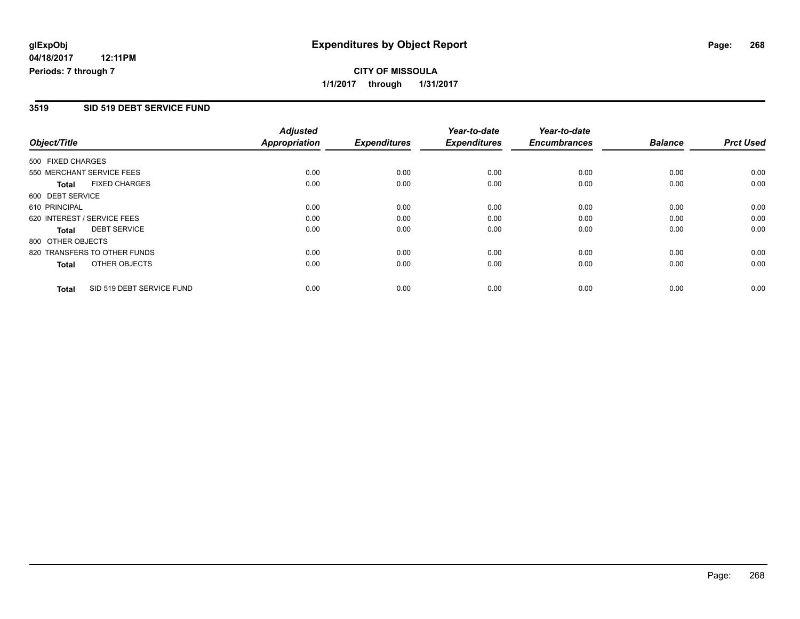**CITY OF MISSOULA 1/1/2017 through 1/31/2017**

#### **3519 SID 519 DEBT SERVICE FUND**

|                   |                              | <b>Adjusted</b>      |                     | Year-to-date        | Year-to-date        |                |                  |
|-------------------|------------------------------|----------------------|---------------------|---------------------|---------------------|----------------|------------------|
| Object/Title      |                              | <b>Appropriation</b> | <b>Expenditures</b> | <b>Expenditures</b> | <b>Encumbrances</b> | <b>Balance</b> | <b>Prct Used</b> |
| 500 FIXED CHARGES |                              |                      |                     |                     |                     |                |                  |
|                   | 550 MERCHANT SERVICE FEES    | 0.00                 | 0.00                | 0.00                | 0.00                | 0.00           | 0.00             |
| <b>Total</b>      | <b>FIXED CHARGES</b>         | 0.00                 | 0.00                | 0.00                | 0.00                | 0.00           | 0.00             |
| 600 DEBT SERVICE  |                              |                      |                     |                     |                     |                |                  |
| 610 PRINCIPAL     |                              | 0.00                 | 0.00                | 0.00                | 0.00                | 0.00           | 0.00             |
|                   | 620 INTEREST / SERVICE FEES  | 0.00                 | 0.00                | 0.00                | 0.00                | 0.00           | 0.00             |
| <b>Total</b>      | <b>DEBT SERVICE</b>          | 0.00                 | 0.00                | 0.00                | 0.00                | 0.00           | 0.00             |
| 800 OTHER OBJECTS |                              |                      |                     |                     |                     |                |                  |
|                   | 820 TRANSFERS TO OTHER FUNDS | 0.00                 | 0.00                | 0.00                | 0.00                | 0.00           | 0.00             |
| <b>Total</b>      | OTHER OBJECTS                | 0.00                 | 0.00                | 0.00                | 0.00                | 0.00           | 0.00             |
| <b>Total</b>      | SID 519 DEBT SERVICE FUND    | 0.00                 | 0.00                | 0.00                | 0.00                | 0.00           | 0.00             |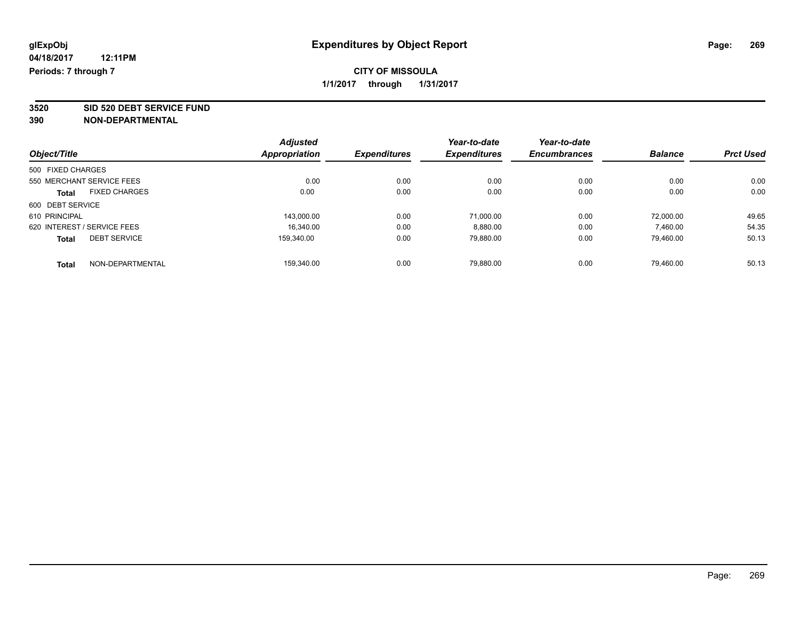**3520 SID 520 DEBT SERVICE FUND**

|                                      | <b>Adjusted</b> |                     | Year-to-date        | Year-to-date        |                |                  |
|--------------------------------------|-----------------|---------------------|---------------------|---------------------|----------------|------------------|
| Object/Title                         | Appropriation   | <b>Expenditures</b> | <b>Expenditures</b> | <b>Encumbrances</b> | <b>Balance</b> | <b>Prct Used</b> |
| 500 FIXED CHARGES                    |                 |                     |                     |                     |                |                  |
| 550 MERCHANT SERVICE FEES            | 0.00            | 0.00                | 0.00                | 0.00                | 0.00           | 0.00             |
| <b>FIXED CHARGES</b><br><b>Total</b> | 0.00            | 0.00                | 0.00                | 0.00                | 0.00           | 0.00             |
| 600 DEBT SERVICE                     |                 |                     |                     |                     |                |                  |
| 610 PRINCIPAL                        | 143,000.00      | 0.00                | 71,000.00           | 0.00                | 72,000.00      | 49.65            |
| 620 INTEREST / SERVICE FEES          | 16.340.00       | 0.00                | 8,880.00            | 0.00                | 7,460.00       | 54.35            |
| <b>DEBT SERVICE</b><br><b>Total</b>  | 159.340.00      | 0.00                | 79,880.00           | 0.00                | 79,460.00      | 50.13            |
| NON-DEPARTMENTAL<br><b>Total</b>     | 159.340.00      | 0.00                | 79.880.00           | 0.00                | 79.460.00      | 50.13            |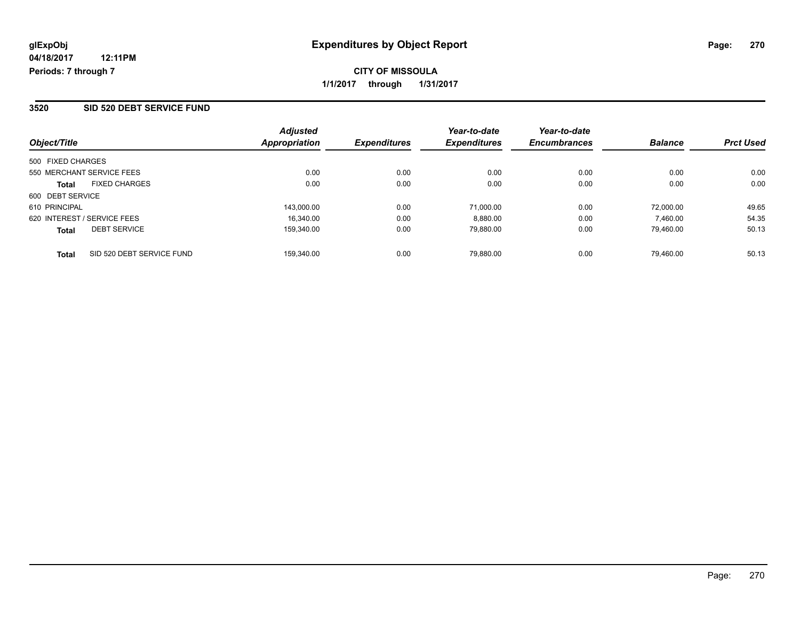| Object/Title                              | <b>Adjusted</b><br>Appropriation | <b>Expenditures</b> | Year-to-date<br><b>Expenditures</b> | Year-to-date<br><b>Encumbrances</b> | <b>Balance</b> | <b>Prct Used</b> |
|-------------------------------------------|----------------------------------|---------------------|-------------------------------------|-------------------------------------|----------------|------------------|
| 500 FIXED CHARGES                         |                                  |                     |                                     |                                     |                |                  |
| 550 MERCHANT SERVICE FEES                 | 0.00                             | 0.00                | 0.00                                | 0.00                                | 0.00           | 0.00             |
| <b>FIXED CHARGES</b><br><b>Total</b>      | 0.00                             | 0.00                | 0.00                                | 0.00                                | 0.00           | 0.00             |
| 600 DEBT SERVICE                          |                                  |                     |                                     |                                     |                |                  |
| 610 PRINCIPAL                             | 143.000.00                       | 0.00                | 71,000.00                           | 0.00                                | 72,000.00      | 49.65            |
| 620 INTEREST / SERVICE FEES               | 16.340.00                        | 0.00                | 8,880.00                            | 0.00                                | 7,460.00       | 54.35            |
| <b>DEBT SERVICE</b><br><b>Total</b>       | 159.340.00                       | 0.00                | 79,880.00                           | 0.00                                | 79.460.00      | 50.13            |
| SID 520 DEBT SERVICE FUND<br><b>Total</b> | 159.340.00                       | 0.00                | 79.880.00                           | 0.00                                | 79.460.00      | 50.13            |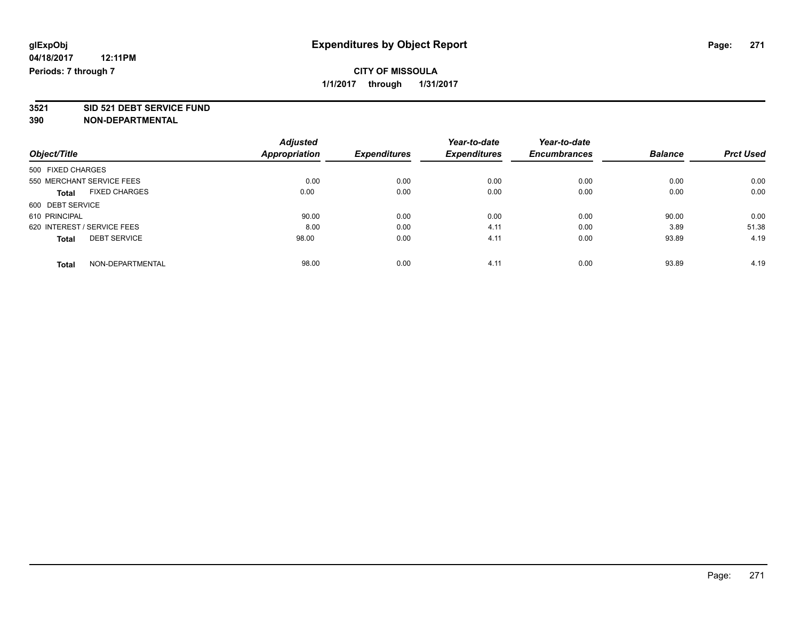# **3521 SID 521 DEBT SERVICE FUND**

|                                      | <b>Adjusted</b>      |                     | Year-to-date        | Year-to-date        |                |                  |
|--------------------------------------|----------------------|---------------------|---------------------|---------------------|----------------|------------------|
| Object/Title                         | <b>Appropriation</b> | <b>Expenditures</b> | <b>Expenditures</b> | <b>Encumbrances</b> | <b>Balance</b> | <b>Prct Used</b> |
| 500 FIXED CHARGES                    |                      |                     |                     |                     |                |                  |
| 550 MERCHANT SERVICE FEES            | 0.00                 | 0.00                | 0.00                | 0.00                | 0.00           | 0.00             |
| <b>FIXED CHARGES</b><br><b>Total</b> | 0.00                 | 0.00                | 0.00                | 0.00                | 0.00           | 0.00             |
| 600 DEBT SERVICE                     |                      |                     |                     |                     |                |                  |
| 610 PRINCIPAL                        | 90.00                | 0.00                | 0.00                | 0.00                | 90.00          | 0.00             |
| 620 INTEREST / SERVICE FEES          | 8.00                 | 0.00                | 4.11                | 0.00                | 3.89           | 51.38            |
| <b>DEBT SERVICE</b><br><b>Total</b>  | 98.00                | 0.00                | 4.11                | 0.00                | 93.89          | 4.19             |
| NON-DEPARTMENTAL<br>Total            | 98.00                | 0.00                | 4.11                | 0.00                | 93.89          | 4.19             |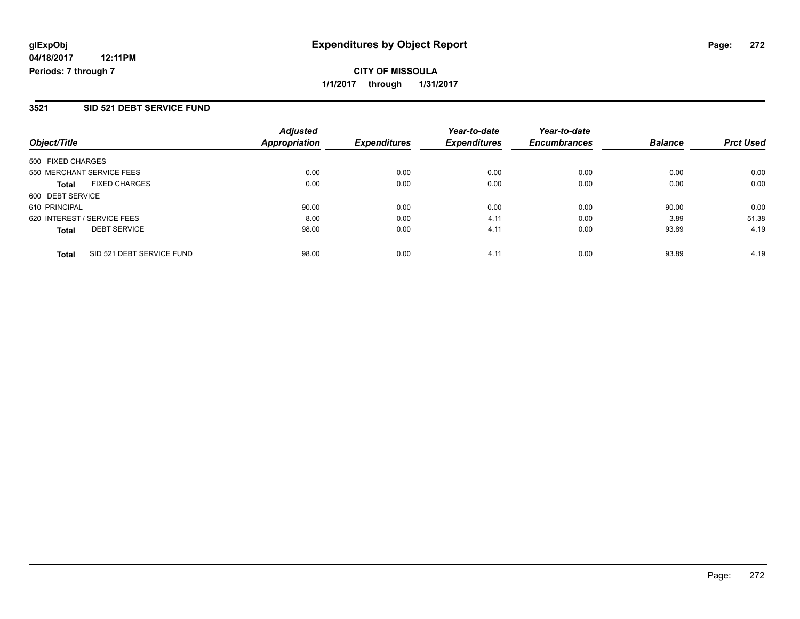## **CITY OF MISSOULA 1/1/2017 through 1/31/2017**

#### **3521 SID 521 DEBT SERVICE FUND**

| Object/Title                              | <b>Adjusted</b><br><b>Appropriation</b> | <b>Expenditures</b> | Year-to-date<br><b>Expenditures</b> | Year-to-date<br><b>Encumbrances</b> | <b>Balance</b> | <b>Prct Used</b> |
|-------------------------------------------|-----------------------------------------|---------------------|-------------------------------------|-------------------------------------|----------------|------------------|
| 500 FIXED CHARGES                         |                                         |                     |                                     |                                     |                |                  |
| 550 MERCHANT SERVICE FEES                 | 0.00                                    | 0.00                | 0.00                                | 0.00                                | 0.00           | 0.00             |
| <b>FIXED CHARGES</b><br><b>Total</b>      | 0.00                                    | 0.00                | 0.00                                | 0.00                                | 0.00           | 0.00             |
| 600 DEBT SERVICE                          |                                         |                     |                                     |                                     |                |                  |
| 610 PRINCIPAL                             | 90.00                                   | 0.00                | 0.00                                | 0.00                                | 90.00          | 0.00             |
| 620 INTEREST / SERVICE FEES               | 8.00                                    | 0.00                | 4.11                                | 0.00                                | 3.89           | 51.38            |
| <b>DEBT SERVICE</b><br><b>Total</b>       | 98.00                                   | 0.00                | 4.11                                | 0.00                                | 93.89          | 4.19             |
| SID 521 DEBT SERVICE FUND<br><b>Total</b> | 98.00                                   | 0.00                | 4.11                                | 0.00                                | 93.89          | 4.19             |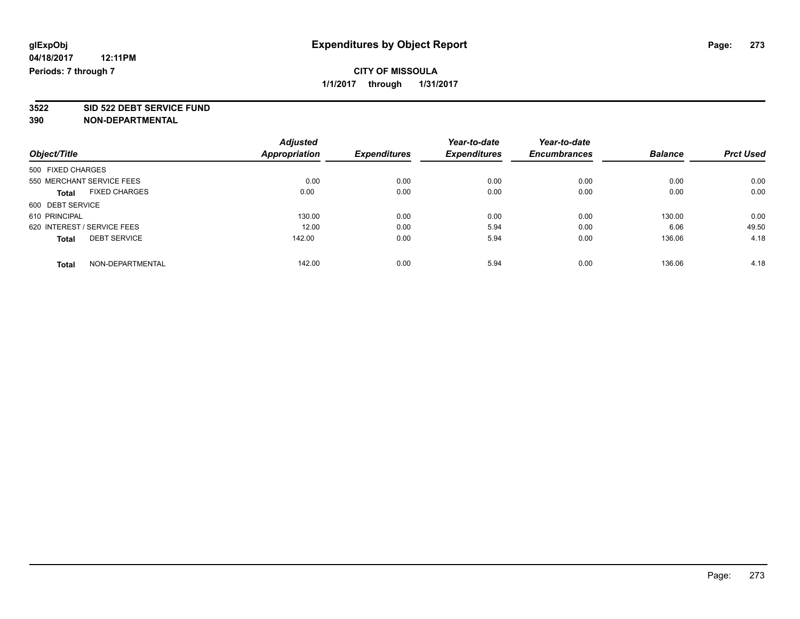**3522 SID 522 DEBT SERVICE FUND**

|                                      | <b>Adjusted</b>      |                     | Year-to-date        | Year-to-date        |                |                  |
|--------------------------------------|----------------------|---------------------|---------------------|---------------------|----------------|------------------|
| Object/Title                         | <b>Appropriation</b> | <b>Expenditures</b> | <b>Expenditures</b> | <b>Encumbrances</b> | <b>Balance</b> | <b>Prct Used</b> |
| 500 FIXED CHARGES                    |                      |                     |                     |                     |                |                  |
| 550 MERCHANT SERVICE FEES            | 0.00                 | 0.00                | 0.00                | 0.00                | 0.00           | 0.00             |
| <b>FIXED CHARGES</b><br><b>Total</b> | 0.00                 | 0.00                | 0.00                | 0.00                | 0.00           | 0.00             |
| 600 DEBT SERVICE                     |                      |                     |                     |                     |                |                  |
| 610 PRINCIPAL                        | 130.00               | 0.00                | 0.00                | 0.00                | 130.00         | 0.00             |
| 620 INTEREST / SERVICE FEES          | 12.00                | 0.00                | 5.94                | 0.00                | 6.06           | 49.50            |
| <b>DEBT SERVICE</b><br><b>Total</b>  | 142.00               | 0.00                | 5.94                | 0.00                | 136.06         | 4.18             |
| NON-DEPARTMENTAL<br>Total            | 142.00               | 0.00                | 5.94                | 0.00                | 136.06         | 4.18             |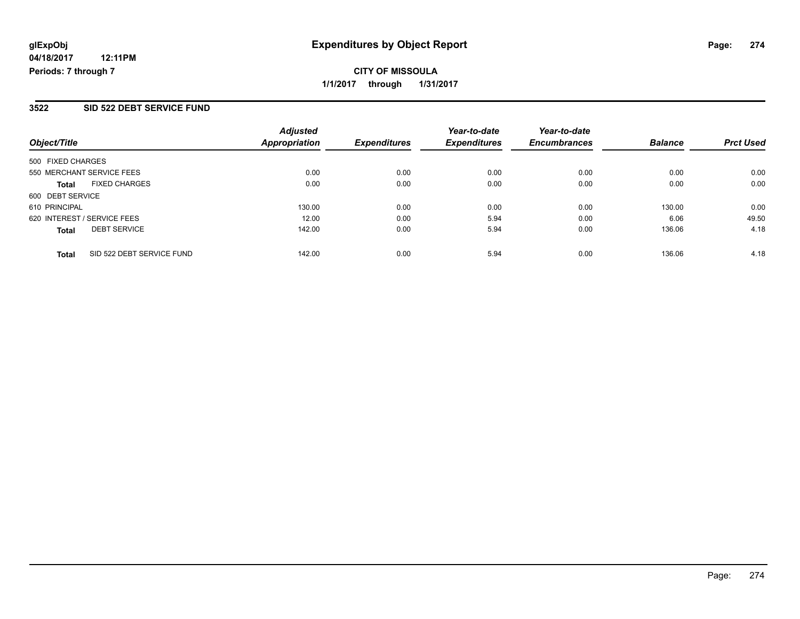**CITY OF MISSOULA 1/1/2017 through 1/31/2017**

## **3522 SID 522 DEBT SERVICE FUND**

| Object/Title                              | <b>Adjusted</b><br><b>Appropriation</b> | <b>Expenditures</b> | Year-to-date<br><b>Expenditures</b> | Year-to-date<br><b>Encumbrances</b> | <b>Balance</b> | <b>Prct Used</b> |
|-------------------------------------------|-----------------------------------------|---------------------|-------------------------------------|-------------------------------------|----------------|------------------|
| 500 FIXED CHARGES                         |                                         |                     |                                     |                                     |                |                  |
| 550 MERCHANT SERVICE FEES                 | 0.00                                    | 0.00                | 0.00                                | 0.00                                | 0.00           | 0.00             |
| <b>FIXED CHARGES</b><br><b>Total</b>      | 0.00                                    | 0.00                | 0.00                                | 0.00                                | 0.00           | 0.00             |
| 600 DEBT SERVICE                          |                                         |                     |                                     |                                     |                |                  |
| 610 PRINCIPAL                             | 130.00                                  | 0.00                | 0.00                                | 0.00                                | 130.00         | 0.00             |
| 620 INTEREST / SERVICE FEES               | 12.00                                   | 0.00                | 5.94                                | 0.00                                | 6.06           | 49.50            |
| <b>DEBT SERVICE</b><br><b>Total</b>       | 142.00                                  | 0.00                | 5.94                                | 0.00                                | 136.06         | 4.18             |
| SID 522 DEBT SERVICE FUND<br><b>Total</b> | 142.00                                  | 0.00                | 5.94                                | 0.00                                | 136.06         | 4.18             |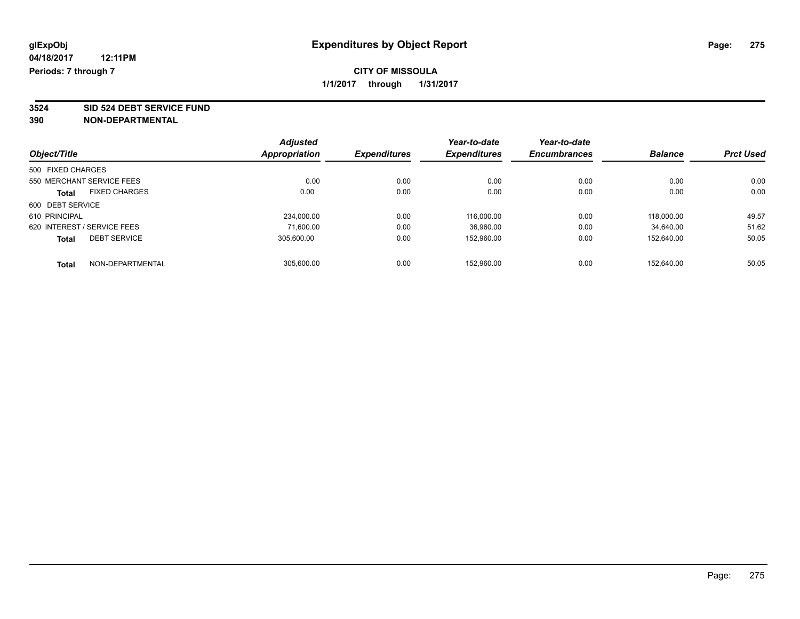**3524 SID 524 DEBT SERVICE FUND**

| Object/Title                |                           | <b>Adjusted</b> | <b>Expenditures</b> | Year-to-date<br><b>Expenditures</b> | Year-to-date        | <b>Balance</b> | <b>Prct Used</b> |
|-----------------------------|---------------------------|-----------------|---------------------|-------------------------------------|---------------------|----------------|------------------|
|                             |                           | Appropriation   |                     |                                     | <b>Encumbrances</b> |                |                  |
| 500 FIXED CHARGES           |                           |                 |                     |                                     |                     |                |                  |
|                             | 550 MERCHANT SERVICE FEES | 0.00            | 0.00                | 0.00                                | 0.00                | 0.00           | 0.00             |
| <b>Total</b>                | <b>FIXED CHARGES</b>      | 0.00            | 0.00                | 0.00                                | 0.00                | 0.00           | 0.00             |
| 600 DEBT SERVICE            |                           |                 |                     |                                     |                     |                |                  |
| 610 PRINCIPAL               |                           | 234.000.00      | 0.00                | 116.000.00                          | 0.00                | 118,000.00     | 49.57            |
| 620 INTEREST / SERVICE FEES |                           | 71.600.00       | 0.00                | 36,960.00                           | 0.00                | 34.640.00      | 51.62            |
| <b>Total</b>                | <b>DEBT SERVICE</b>       | 305.600.00      | 0.00                | 152.960.00                          | 0.00                | 152.640.00     | 50.05            |
| <b>Total</b>                | NON-DEPARTMENTAL          | 305.600.00      | 0.00                | 152.960.00                          | 0.00                | 152.640.00     | 50.05            |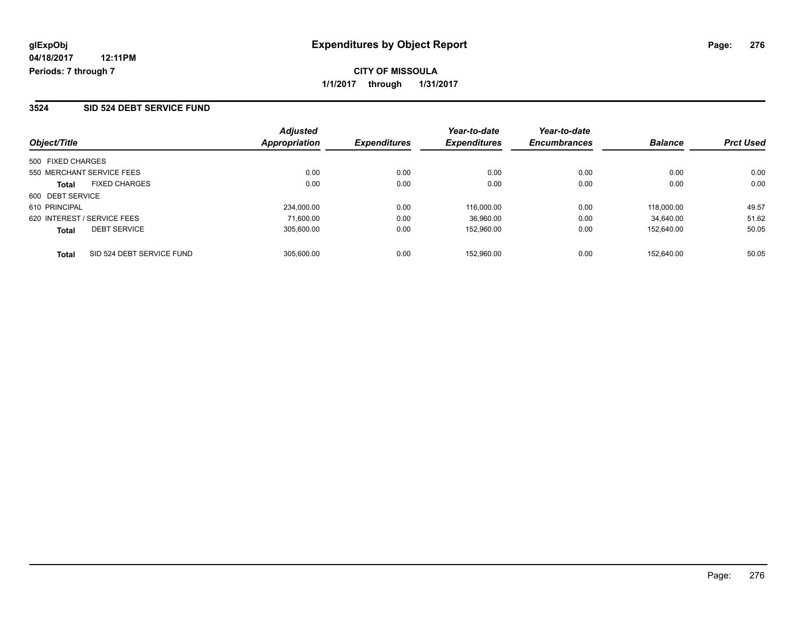## **CITY OF MISSOULA 1/1/2017 through 1/31/2017**

#### **3524 SID 524 DEBT SERVICE FUND**

| Object/Title                              | <b>Adjusted</b><br>Appropriation | <b>Expenditures</b> | Year-to-date<br><b>Expenditures</b> | Year-to-date<br><b>Encumbrances</b> | <b>Balance</b> | <b>Prct Used</b> |
|-------------------------------------------|----------------------------------|---------------------|-------------------------------------|-------------------------------------|----------------|------------------|
| 500 FIXED CHARGES                         |                                  |                     |                                     |                                     |                |                  |
| 550 MERCHANT SERVICE FEES                 | 0.00                             | 0.00                | 0.00                                | 0.00                                | 0.00           | 0.00             |
| <b>FIXED CHARGES</b><br><b>Total</b>      | 0.00                             | 0.00                | 0.00                                | 0.00                                | 0.00           | 0.00             |
| 600 DEBT SERVICE                          |                                  |                     |                                     |                                     |                |                  |
| 610 PRINCIPAL                             | 234,000.00                       | 0.00                | 116.000.00                          | 0.00                                | 118.000.00     | 49.57            |
| 620 INTEREST / SERVICE FEES               | 71.600.00                        | 0.00                | 36,960.00                           | 0.00                                | 34.640.00      | 51.62            |
| <b>DEBT SERVICE</b><br><b>Total</b>       | 305.600.00                       | 0.00                | 152.960.00                          | 0.00                                | 152.640.00     | 50.05            |
| SID 524 DEBT SERVICE FUND<br><b>Total</b> | 305.600.00                       | 0.00                | 152.960.00                          | 0.00                                | 152.640.00     | 50.05            |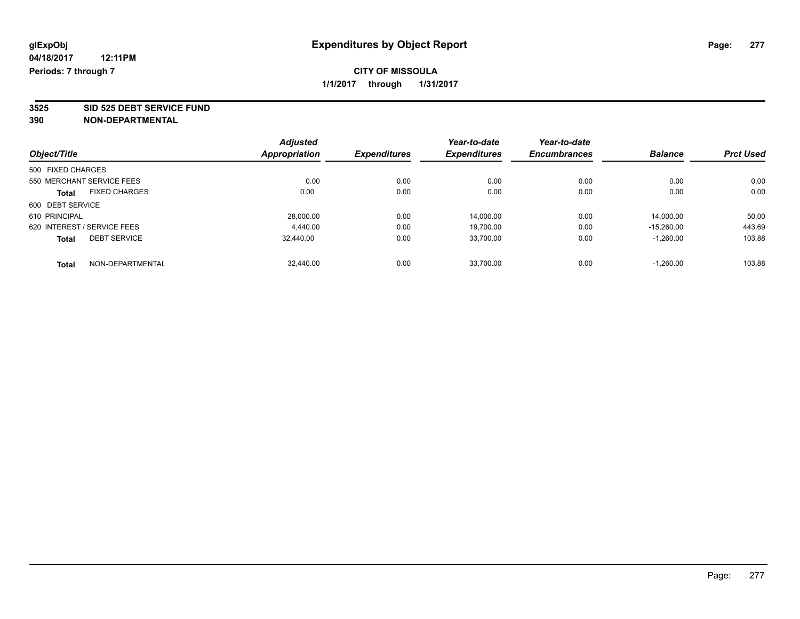**3525 SID 525 DEBT SERVICE FUND**

|                             |                      | <b>Adjusted</b> |                     | Year-to-date        | Year-to-date        |                |                  |
|-----------------------------|----------------------|-----------------|---------------------|---------------------|---------------------|----------------|------------------|
| Object/Title                |                      | Appropriation   | <b>Expenditures</b> | <b>Expenditures</b> | <b>Encumbrances</b> | <b>Balance</b> | <b>Prct Used</b> |
| 500 FIXED CHARGES           |                      |                 |                     |                     |                     |                |                  |
| 550 MERCHANT SERVICE FEES   |                      | 0.00            | 0.00                | 0.00                | 0.00                | 0.00           | 0.00             |
| <b>Total</b>                | <b>FIXED CHARGES</b> | 0.00            | 0.00                | 0.00                | 0.00                | 0.00           | 0.00             |
| 600 DEBT SERVICE            |                      |                 |                     |                     |                     |                |                  |
| 610 PRINCIPAL               |                      | 28.000.00       | 0.00                | 14.000.00           | 0.00                | 14.000.00      | 50.00            |
| 620 INTEREST / SERVICE FEES |                      | 4,440.00        | 0.00                | 19,700.00           | 0.00                | $-15.260.00$   | 443.69           |
| <b>Total</b>                | <b>DEBT SERVICE</b>  | 32.440.00       | 0.00                | 33,700.00           | 0.00                | $-1,260.00$    | 103.88           |
| <b>Total</b>                | NON-DEPARTMENTAL     | 32,440.00       | 0.00                | 33.700.00           | 0.00                | $-1.260.00$    | 103.88           |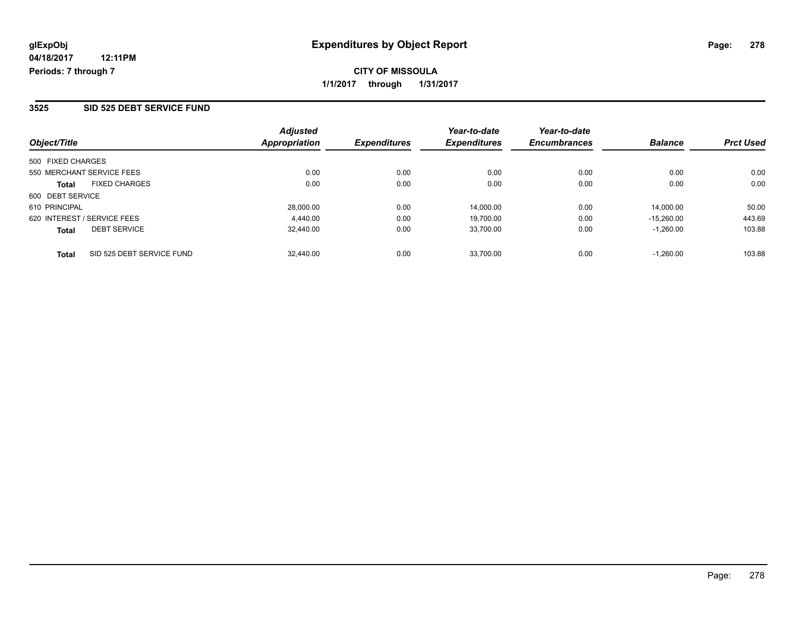**CITY OF MISSOULA 1/1/2017 through 1/31/2017**

#### **3525 SID 525 DEBT SERVICE FUND**

| Object/Title                              | <b>Adjusted</b><br>Appropriation | <b>Expenditures</b> | Year-to-date<br><b>Expenditures</b> | Year-to-date<br><b>Encumbrances</b> | <b>Balance</b> | <b>Prct Used</b> |
|-------------------------------------------|----------------------------------|---------------------|-------------------------------------|-------------------------------------|----------------|------------------|
| 500 FIXED CHARGES                         |                                  |                     |                                     |                                     |                |                  |
| 550 MERCHANT SERVICE FEES                 | 0.00                             | 0.00                | 0.00                                | 0.00                                | 0.00           | 0.00             |
| <b>FIXED CHARGES</b><br><b>Total</b>      | 0.00                             | 0.00                | 0.00                                | 0.00                                | 0.00           | 0.00             |
| 600 DEBT SERVICE                          |                                  |                     |                                     |                                     |                |                  |
| 610 PRINCIPAL                             | 28,000.00                        | 0.00                | 14.000.00                           | 0.00                                | 14.000.00      | 50.00            |
| 620 INTEREST / SERVICE FEES               | 4.440.00                         | 0.00                | 19,700.00                           | 0.00                                | $-15.260.00$   | 443.69           |
| <b>DEBT SERVICE</b><br><b>Total</b>       | 32.440.00                        | 0.00                | 33,700.00                           | 0.00                                | $-1.260.00$    | 103.88           |
| SID 525 DEBT SERVICE FUND<br><b>Total</b> | 32,440.00                        | 0.00                | 33.700.00                           | 0.00                                | $-1.260.00$    | 103.88           |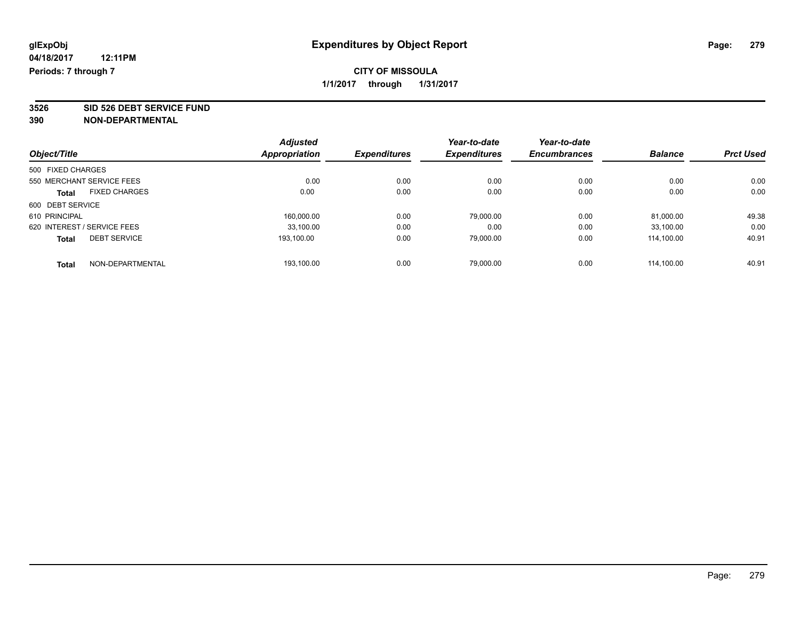**3526 SID 526 DEBT SERVICE FUND**

|                                      | <b>Adjusted</b>      |                     | Year-to-date | Year-to-date        |                |                  |
|--------------------------------------|----------------------|---------------------|--------------|---------------------|----------------|------------------|
| Object/Title                         | <b>Appropriation</b> | <b>Expenditures</b> | Expenditures | <b>Encumbrances</b> | <b>Balance</b> | <b>Prct Used</b> |
| 500 FIXED CHARGES                    |                      |                     |              |                     |                |                  |
| 550 MERCHANT SERVICE FEES            | 0.00                 | 0.00                | 0.00         | 0.00                | 0.00           | 0.00             |
| <b>FIXED CHARGES</b><br><b>Total</b> | 0.00                 | 0.00                | 0.00         | 0.00                | 0.00           | 0.00             |
| 600 DEBT SERVICE                     |                      |                     |              |                     |                |                  |
| 610 PRINCIPAL                        | 160,000.00           | 0.00                | 79,000.00    | 0.00                | 81,000.00      | 49.38            |
| 620 INTEREST / SERVICE FEES          | 33.100.00            | 0.00                | 0.00         | 0.00                | 33.100.00      | 0.00             |
| <b>DEBT SERVICE</b><br><b>Total</b>  | 193.100.00           | 0.00                | 79,000.00    | 0.00                | 114.100.00     | 40.91            |
| NON-DEPARTMENTAL<br>Total            | 193.100.00           | 0.00                | 79.000.00    | 0.00                | 114.100.00     | 40.91            |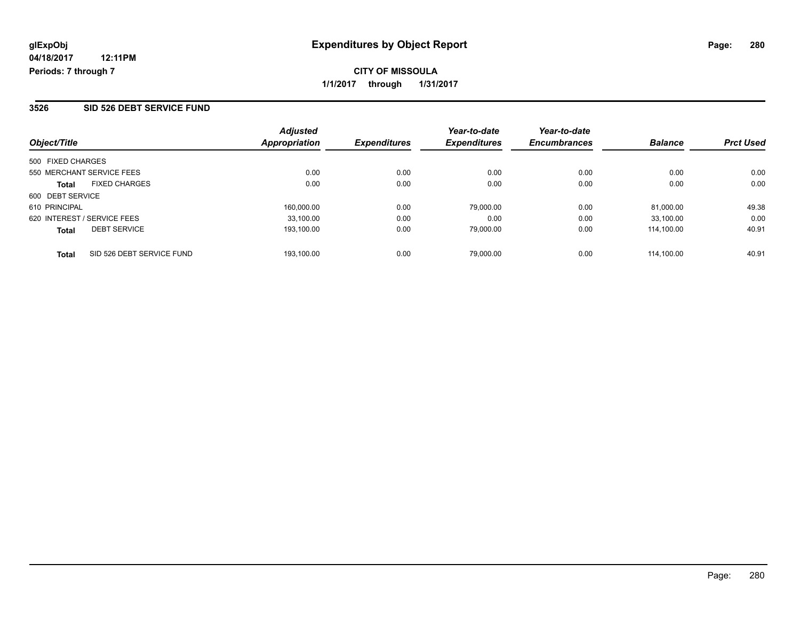**1/1/2017 through 1/31/2017**

#### **3526 SID 526 DEBT SERVICE FUND**

| Object/Title                              | <b>Adjusted</b><br><b>Appropriation</b> | <b>Expenditures</b> | Year-to-date<br><b>Expenditures</b> | Year-to-date<br><b>Encumbrances</b> | <b>Balance</b> | <b>Prct Used</b> |
|-------------------------------------------|-----------------------------------------|---------------------|-------------------------------------|-------------------------------------|----------------|------------------|
| 500 FIXED CHARGES                         |                                         |                     |                                     |                                     |                |                  |
| 550 MERCHANT SERVICE FEES                 | 0.00                                    | 0.00                | 0.00                                | 0.00                                | 0.00           | 0.00             |
| <b>FIXED CHARGES</b><br><b>Total</b>      | 0.00                                    | 0.00                | 0.00                                | 0.00                                | 0.00           | 0.00             |
| 600 DEBT SERVICE                          |                                         |                     |                                     |                                     |                |                  |
| 610 PRINCIPAL                             | 160.000.00                              | 0.00                | 79.000.00                           | 0.00                                | 81.000.00      | 49.38            |
| 620 INTEREST / SERVICE FEES               | 33.100.00                               | 0.00                | 0.00                                | 0.00                                | 33.100.00      | 0.00             |
| <b>DEBT SERVICE</b><br><b>Total</b>       | 193.100.00                              | 0.00                | 79.000.00                           | 0.00                                | 114.100.00     | 40.91            |
| SID 526 DEBT SERVICE FUND<br><b>Total</b> | 193.100.00                              | 0.00                | 79.000.00                           | 0.00                                | 114.100.00     | 40.91            |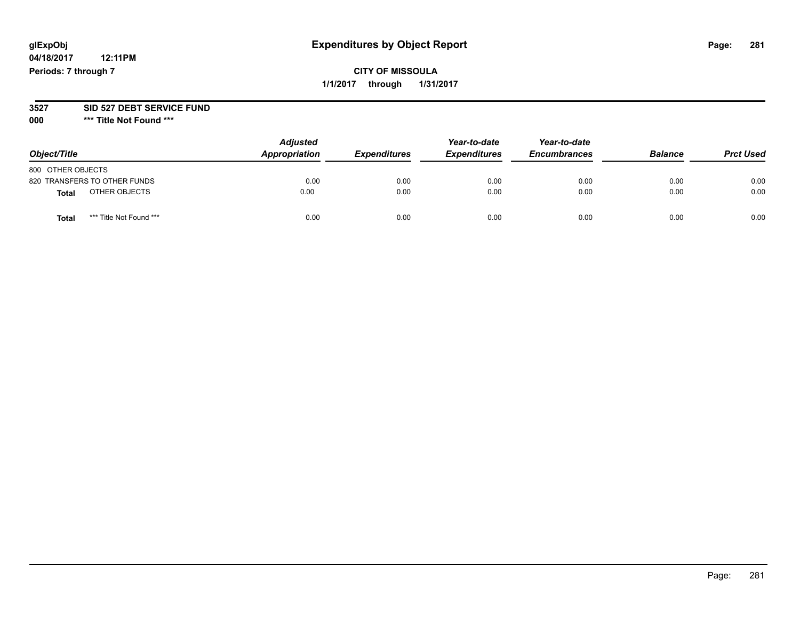## **glExpObj Expenditures by Object Report Page: 281**

**04/18/2017 12:11PM Periods: 7 through 7**

**CITY OF MISSOULA 1/1/2017 through 1/31/2017**

#### **3527 SID 527 DEBT SERVICE FUND**

**000 \*\*\* Title Not Found \*\*\***

| Object/Title      |                              | <b>Adjusted</b><br>Appropriation | <b>Expenditures</b> | Year-to-date<br><b>Expenditures</b> | Year-to-date<br><b>Encumbrances</b> | <b>Balance</b> | <b>Prct Used</b> |
|-------------------|------------------------------|----------------------------------|---------------------|-------------------------------------|-------------------------------------|----------------|------------------|
| 800 OTHER OBJECTS |                              |                                  |                     |                                     |                                     |                |                  |
|                   | 820 TRANSFERS TO OTHER FUNDS | 0.00                             | 0.00                | 0.00                                | 0.00                                | 0.00           | 0.00             |
| <b>Total</b>      | OTHER OBJECTS                | 0.00                             | 0.00                | 0.00                                | 0.00                                | 0.00           | 0.00             |
| <b>Total</b>      | *** Title Not Found ***      | 0.00                             | 0.00                | 0.00                                | 0.00                                | 0.00           | 0.00             |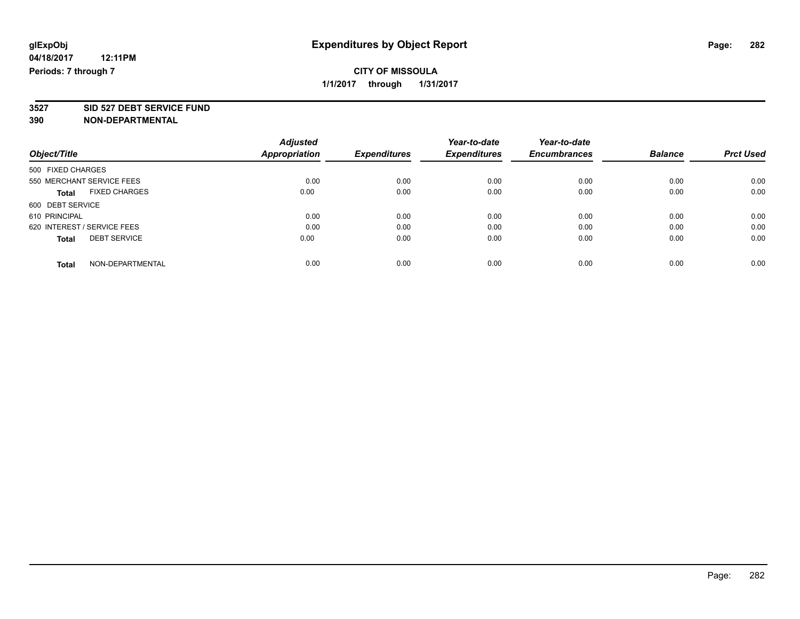**3527 SID 527 DEBT SERVICE FUND**

|                                      | <b>Adjusted</b>      |                     | Year-to-date        | Year-to-date        |                |                  |
|--------------------------------------|----------------------|---------------------|---------------------|---------------------|----------------|------------------|
| Object/Title                         | <b>Appropriation</b> | <b>Expenditures</b> | <b>Expenditures</b> | <b>Encumbrances</b> | <b>Balance</b> | <b>Prct Used</b> |
| 500 FIXED CHARGES                    |                      |                     |                     |                     |                |                  |
| 550 MERCHANT SERVICE FEES            | 0.00                 | 0.00                | 0.00                | 0.00                | 0.00           | 0.00             |
| <b>FIXED CHARGES</b><br><b>Total</b> | 0.00                 | 0.00                | 0.00                | 0.00                | 0.00           | 0.00             |
| 600 DEBT SERVICE                     |                      |                     |                     |                     |                |                  |
| 610 PRINCIPAL                        | 0.00                 | 0.00                | 0.00                | 0.00                | 0.00           | 0.00             |
| 620 INTEREST / SERVICE FEES          | 0.00                 | 0.00                | 0.00                | 0.00                | 0.00           | 0.00             |
| <b>DEBT SERVICE</b><br><b>Total</b>  | 0.00                 | 0.00                | 0.00                | 0.00                | 0.00           | 0.00             |
| NON-DEPARTMENTAL<br><b>Total</b>     | 0.00                 | 0.00                | 0.00                | 0.00                | 0.00           | 0.00             |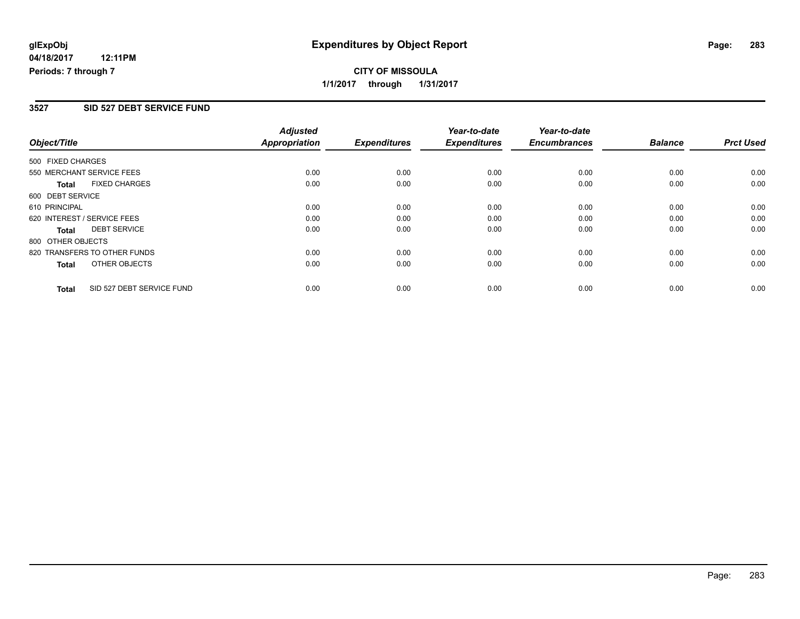**CITY OF MISSOULA 1/1/2017 through 1/31/2017**

#### **3527 SID 527 DEBT SERVICE FUND**

|                   |                              | <b>Adjusted</b>      |                     | Year-to-date        | Year-to-date        |                |                  |
|-------------------|------------------------------|----------------------|---------------------|---------------------|---------------------|----------------|------------------|
| Object/Title      |                              | <b>Appropriation</b> | <b>Expenditures</b> | <b>Expenditures</b> | <b>Encumbrances</b> | <b>Balance</b> | <b>Prct Used</b> |
| 500 FIXED CHARGES |                              |                      |                     |                     |                     |                |                  |
|                   | 550 MERCHANT SERVICE FEES    | 0.00                 | 0.00                | 0.00                | 0.00                | 0.00           | 0.00             |
| <b>Total</b>      | <b>FIXED CHARGES</b>         | 0.00                 | 0.00                | 0.00                | 0.00                | 0.00           | 0.00             |
| 600 DEBT SERVICE  |                              |                      |                     |                     |                     |                |                  |
| 610 PRINCIPAL     |                              | 0.00                 | 0.00                | 0.00                | 0.00                | 0.00           | 0.00             |
|                   | 620 INTEREST / SERVICE FEES  | 0.00                 | 0.00                | 0.00                | 0.00                | 0.00           | 0.00             |
| Total             | <b>DEBT SERVICE</b>          | 0.00                 | 0.00                | 0.00                | 0.00                | 0.00           | 0.00             |
| 800 OTHER OBJECTS |                              |                      |                     |                     |                     |                |                  |
|                   | 820 TRANSFERS TO OTHER FUNDS | 0.00                 | 0.00                | 0.00                | 0.00                | 0.00           | 0.00             |
| Total             | OTHER OBJECTS                | 0.00                 | 0.00                | 0.00                | 0.00                | 0.00           | 0.00             |
| <b>Total</b>      | SID 527 DEBT SERVICE FUND    | 0.00                 | 0.00                | 0.00                | 0.00                | 0.00           | 0.00             |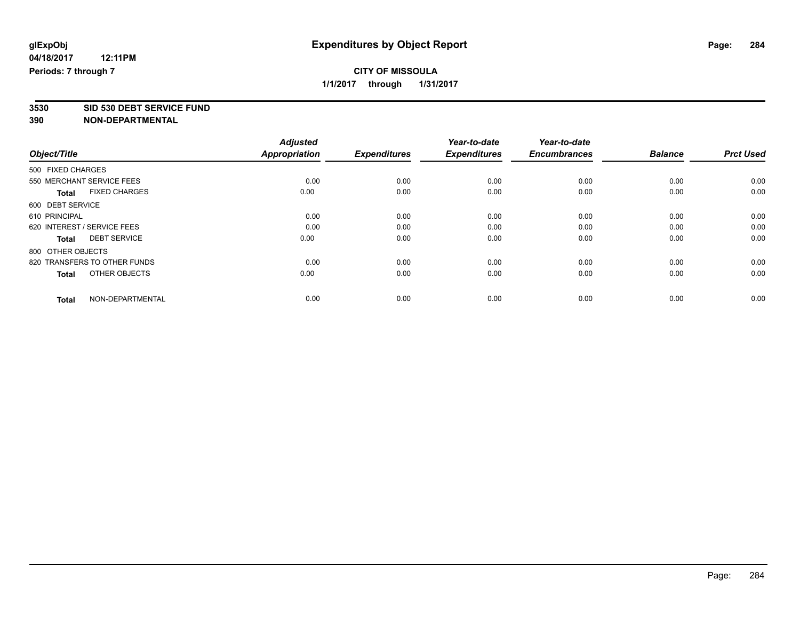## **CITY OF MISSOULA 1/1/2017 through 1/31/2017**

**3530 SID 530 DEBT SERVICE FUND**

|                                      | <b>Adjusted</b>      |                     | Year-to-date        | Year-to-date        |                |                  |
|--------------------------------------|----------------------|---------------------|---------------------|---------------------|----------------|------------------|
| Object/Title                         | <b>Appropriation</b> | <b>Expenditures</b> | <b>Expenditures</b> | <b>Encumbrances</b> | <b>Balance</b> | <b>Prct Used</b> |
| 500 FIXED CHARGES                    |                      |                     |                     |                     |                |                  |
| 550 MERCHANT SERVICE FEES            | 0.00                 | 0.00                | 0.00                | 0.00                | 0.00           | 0.00             |
| <b>FIXED CHARGES</b><br><b>Total</b> | 0.00                 | 0.00                | 0.00                | 0.00                | 0.00           | 0.00             |
| 600 DEBT SERVICE                     |                      |                     |                     |                     |                |                  |
| 610 PRINCIPAL                        | 0.00                 | 0.00                | 0.00                | 0.00                | 0.00           | 0.00             |
| 620 INTEREST / SERVICE FEES          | 0.00                 | 0.00                | 0.00                | 0.00                | 0.00           | 0.00             |
| <b>DEBT SERVICE</b><br><b>Total</b>  | 0.00                 | 0.00                | 0.00                | 0.00                | 0.00           | 0.00             |
| 800 OTHER OBJECTS                    |                      |                     |                     |                     |                |                  |
| 820 TRANSFERS TO OTHER FUNDS         | 0.00                 | 0.00                | 0.00                | 0.00                | 0.00           | 0.00             |
| OTHER OBJECTS<br><b>Total</b>        | 0.00                 | 0.00                | 0.00                | 0.00                | 0.00           | 0.00             |
|                                      |                      |                     |                     |                     |                |                  |
| NON-DEPARTMENTAL<br><b>Total</b>     | 0.00                 | 0.00                | 0.00                | 0.00                | 0.00           | 0.00             |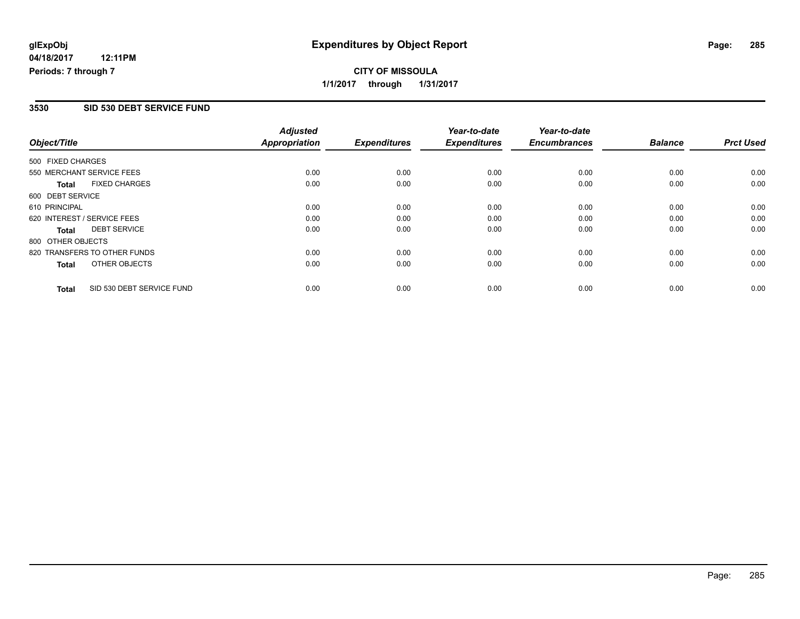## **CITY OF MISSOULA 1/1/2017 through 1/31/2017**

#### **3530 SID 530 DEBT SERVICE FUND**

|                   |                              | <b>Adjusted</b>      |                     | Year-to-date        | Year-to-date        |                |                  |
|-------------------|------------------------------|----------------------|---------------------|---------------------|---------------------|----------------|------------------|
| Object/Title      |                              | <b>Appropriation</b> | <b>Expenditures</b> | <b>Expenditures</b> | <b>Encumbrances</b> | <b>Balance</b> | <b>Prct Used</b> |
| 500 FIXED CHARGES |                              |                      |                     |                     |                     |                |                  |
|                   | 550 MERCHANT SERVICE FEES    | 0.00                 | 0.00                | 0.00                | 0.00                | 0.00           | 0.00             |
| <b>Total</b>      | <b>FIXED CHARGES</b>         | 0.00                 | 0.00                | 0.00                | 0.00                | 0.00           | 0.00             |
| 600 DEBT SERVICE  |                              |                      |                     |                     |                     |                |                  |
| 610 PRINCIPAL     |                              | 0.00                 | 0.00                | 0.00                | 0.00                | 0.00           | 0.00             |
|                   | 620 INTEREST / SERVICE FEES  | 0.00                 | 0.00                | 0.00                | 0.00                | 0.00           | 0.00             |
| Total             | <b>DEBT SERVICE</b>          | 0.00                 | 0.00                | 0.00                | 0.00                | 0.00           | 0.00             |
| 800 OTHER OBJECTS |                              |                      |                     |                     |                     |                |                  |
|                   | 820 TRANSFERS TO OTHER FUNDS | 0.00                 | 0.00                | 0.00                | 0.00                | 0.00           | 0.00             |
| Total             | OTHER OBJECTS                | 0.00                 | 0.00                | 0.00                | 0.00                | 0.00           | 0.00             |
| <b>Total</b>      | SID 530 DEBT SERVICE FUND    | 0.00                 | 0.00                | 0.00                | 0.00                | 0.00           | 0.00             |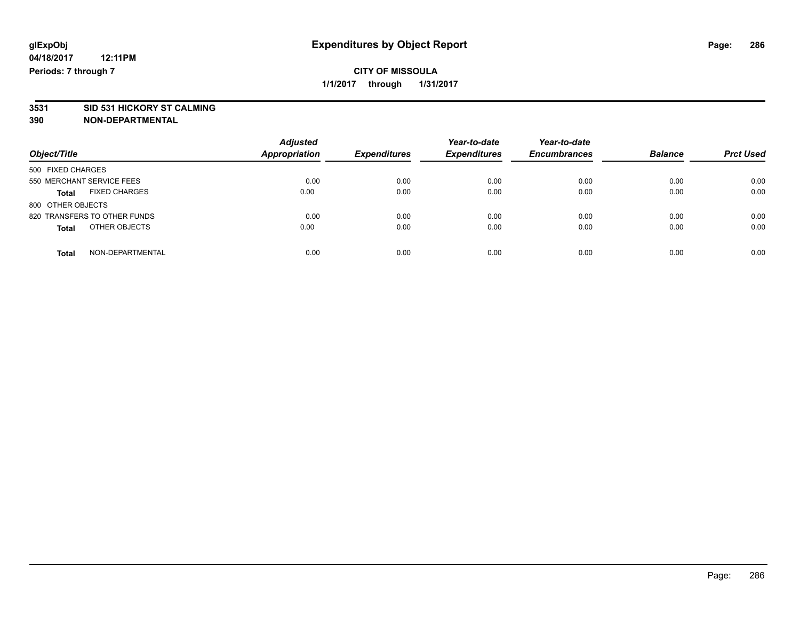# **3531 SID 531 HICKORY ST CALMING**

|                                      | <b>Adjusted</b>      |                     | Year-to-date        | Year-to-date        |                |                  |
|--------------------------------------|----------------------|---------------------|---------------------|---------------------|----------------|------------------|
| Object/Title                         | <b>Appropriation</b> | <b>Expenditures</b> | <b>Expenditures</b> | <b>Encumbrances</b> | <b>Balance</b> | <b>Prct Used</b> |
| 500 FIXED CHARGES                    |                      |                     |                     |                     |                |                  |
| 550 MERCHANT SERVICE FEES            | 0.00                 | 0.00                | 0.00                | 0.00                | 0.00           | 0.00             |
| <b>FIXED CHARGES</b><br><b>Total</b> | 0.00                 | 0.00                | 0.00                | 0.00                | 0.00           | 0.00             |
| 800 OTHER OBJECTS                    |                      |                     |                     |                     |                |                  |
| 820 TRANSFERS TO OTHER FUNDS         | 0.00                 | 0.00                | 0.00                | 0.00                | 0.00           | 0.00             |
| OTHER OBJECTS<br><b>Total</b>        | 0.00                 | 0.00                | 0.00                | 0.00                | 0.00           | 0.00             |
| NON-DEPARTMENTAL<br>Total            | 0.00                 | 0.00                | 0.00                | 0.00                | 0.00           | 0.00             |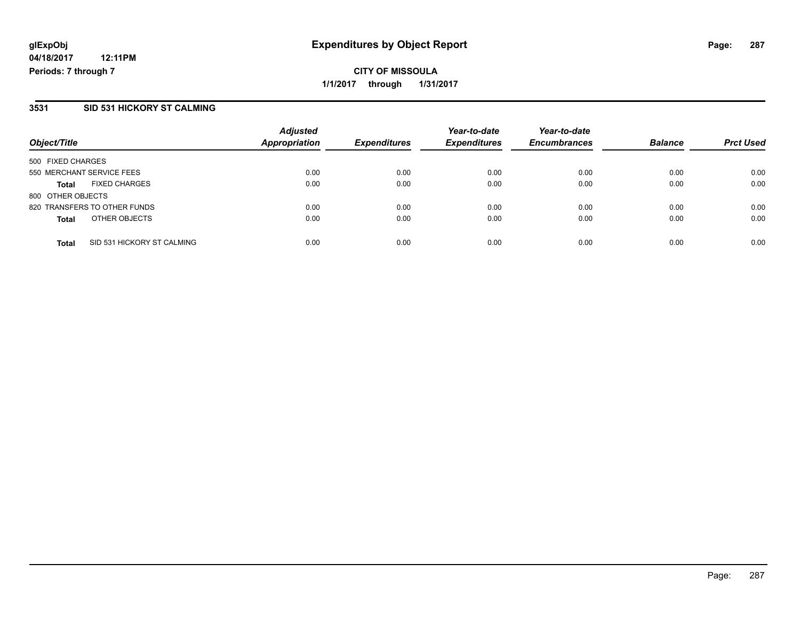## **CITY OF MISSOULA 1/1/2017 through 1/31/2017**

#### **3531 SID 531 HICKORY ST CALMING**

| Object/Title                               | <b>Adjusted</b><br><b>Appropriation</b> | <b>Expenditures</b> | Year-to-date<br><b>Expenditures</b> | Year-to-date<br><b>Encumbrances</b> | <b>Balance</b> | <b>Prct Used</b> |
|--------------------------------------------|-----------------------------------------|---------------------|-------------------------------------|-------------------------------------|----------------|------------------|
| 500 FIXED CHARGES                          |                                         |                     |                                     |                                     |                |                  |
| 550 MERCHANT SERVICE FEES                  | 0.00                                    | 0.00                | 0.00                                | 0.00                                | 0.00           | 0.00             |
| <b>FIXED CHARGES</b><br><b>Total</b>       | 0.00                                    | 0.00                | 0.00                                | 0.00                                | 0.00           | 0.00             |
| 800 OTHER OBJECTS                          |                                         |                     |                                     |                                     |                |                  |
| 820 TRANSFERS TO OTHER FUNDS               | 0.00                                    | 0.00                | 0.00                                | 0.00                                | 0.00           | 0.00             |
| OTHER OBJECTS<br><b>Total</b>              | 0.00                                    | 0.00                | 0.00                                | 0.00                                | 0.00           | 0.00             |
| SID 531 HICKORY ST CALMING<br><b>Total</b> | 0.00                                    | 0.00                | 0.00                                | 0.00                                | 0.00           | 0.00             |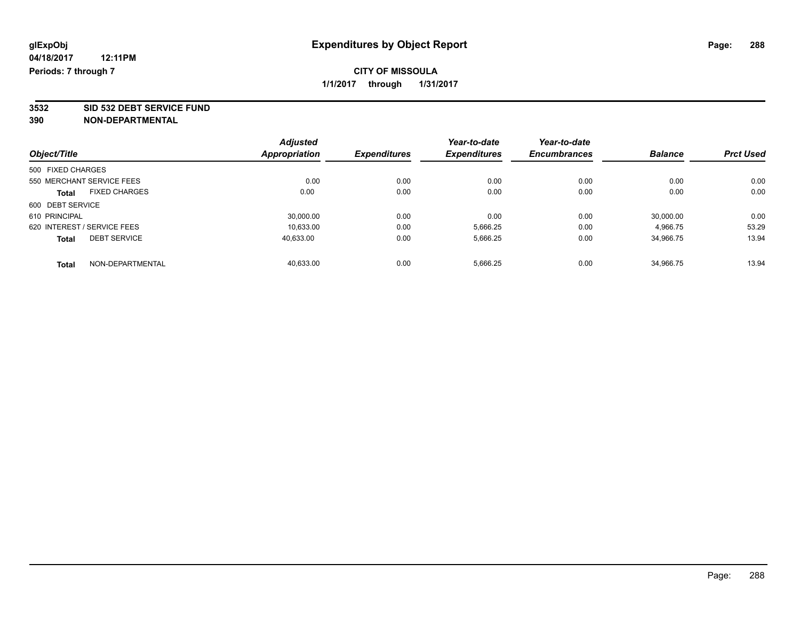**3532 SID 532 DEBT SERVICE FUND**

|                                      |  | <b>Adjusted</b> |                     | Year-to-date        | Year-to-date        |                |                  |
|--------------------------------------|--|-----------------|---------------------|---------------------|---------------------|----------------|------------------|
| Object/Title                         |  | Appropriation   | <b>Expenditures</b> | <b>Expenditures</b> | <b>Encumbrances</b> | <b>Balance</b> | <b>Prct Used</b> |
| 500 FIXED CHARGES                    |  |                 |                     |                     |                     |                |                  |
| 550 MERCHANT SERVICE FEES            |  | 0.00            | 0.00                | 0.00                | 0.00                | 0.00           | 0.00             |
| <b>FIXED CHARGES</b><br><b>Total</b> |  | 0.00            | 0.00                | 0.00                | 0.00                | 0.00           | 0.00             |
| 600 DEBT SERVICE                     |  |                 |                     |                     |                     |                |                  |
| 610 PRINCIPAL                        |  | 30,000.00       | 0.00                | 0.00                | 0.00                | 30,000.00      | 0.00             |
| 620 INTEREST / SERVICE FEES          |  | 10.633.00       | 0.00                | 5,666.25            | 0.00                | 4.966.75       | 53.29            |
| <b>DEBT SERVICE</b><br><b>Total</b>  |  | 40,633.00       | 0.00                | 5,666.25            | 0.00                | 34,966.75      | 13.94            |
| NON-DEPARTMENTAL<br><b>Total</b>     |  | 40.633.00       | 0.00                | 5.666.25            | 0.00                | 34.966.75      | 13.94            |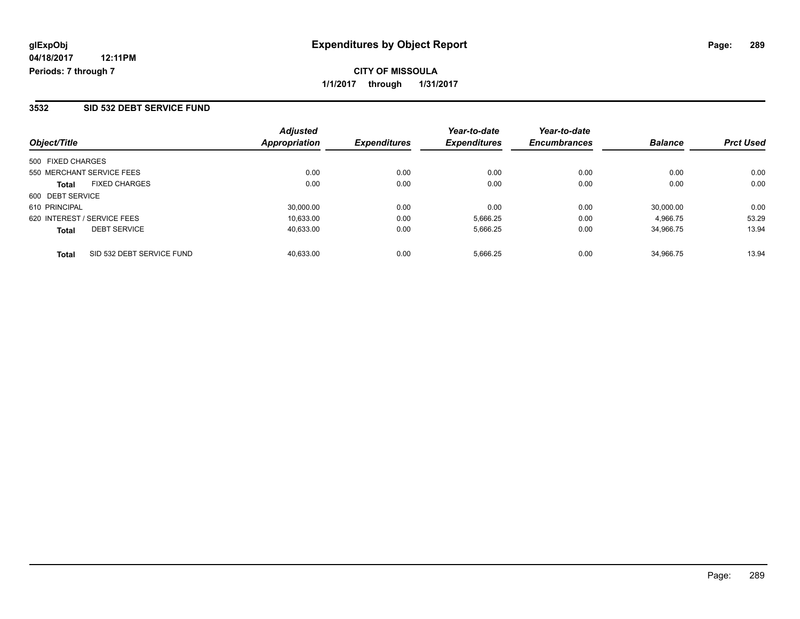**CITY OF MISSOULA 1/1/2017 through 1/31/2017**

### **3532 SID 532 DEBT SERVICE FUND**

| Object/Title                              | <b>Adjusted</b><br><b>Appropriation</b> | <b>Expenditures</b> | Year-to-date<br><b>Expenditures</b> | Year-to-date<br><b>Encumbrances</b> | <b>Balance</b> | <b>Prct Used</b> |
|-------------------------------------------|-----------------------------------------|---------------------|-------------------------------------|-------------------------------------|----------------|------------------|
| 500 FIXED CHARGES                         |                                         |                     |                                     |                                     |                |                  |
| 550 MERCHANT SERVICE FEES                 | 0.00                                    | 0.00                | 0.00                                | 0.00                                | 0.00           | 0.00             |
| <b>FIXED CHARGES</b><br><b>Total</b>      | 0.00                                    | 0.00                | 0.00                                | 0.00                                | 0.00           | 0.00             |
| 600 DEBT SERVICE                          |                                         |                     |                                     |                                     |                |                  |
| 610 PRINCIPAL                             | 30,000.00                               | 0.00                | 0.00                                | 0.00                                | 30.000.00      | 0.00             |
| 620 INTEREST / SERVICE FEES               | 10,633.00                               | 0.00                | 5,666.25                            | 0.00                                | 4.966.75       | 53.29            |
| <b>DEBT SERVICE</b><br><b>Total</b>       | 40,633.00                               | 0.00                | 5,666.25                            | 0.00                                | 34.966.75      | 13.94            |
| SID 532 DEBT SERVICE FUND<br><b>Total</b> | 40.633.00                               | 0.00                | 5,666.25                            | 0.00                                | 34.966.75      | 13.94            |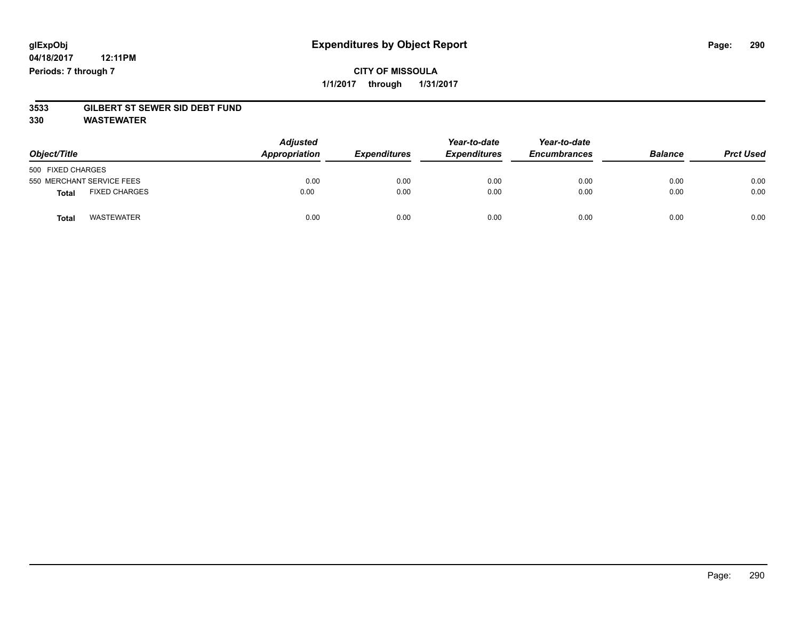## **CITY OF MISSOULA 1/1/2017 through 1/31/2017**

# **3533 GILBERT ST SEWER SID DEBT FUND**

**330 WASTEWATER**

| Object/Title                         | <b>Adjusted</b><br>Appropriation | <b>Expenditures</b> | Year-to-date<br><b>Expenditures</b> | Year-to-date<br><b>Encumbrances</b> | <b>Balance</b> | <b>Prct Used</b> |
|--------------------------------------|----------------------------------|---------------------|-------------------------------------|-------------------------------------|----------------|------------------|
| 500 FIXED CHARGES                    |                                  |                     |                                     |                                     |                |                  |
| 550 MERCHANT SERVICE FEES            | 0.00                             | 0.00                | 0.00                                | 0.00                                | 0.00           | 0.00             |
| <b>FIXED CHARGES</b><br><b>Total</b> | 0.00                             | 0.00                | 0.00                                | 0.00                                | 0.00           | 0.00             |
| WASTEWATER<br>Total                  | 0.00                             | 0.00                | 0.00                                | 0.00                                | 0.00           | 0.00             |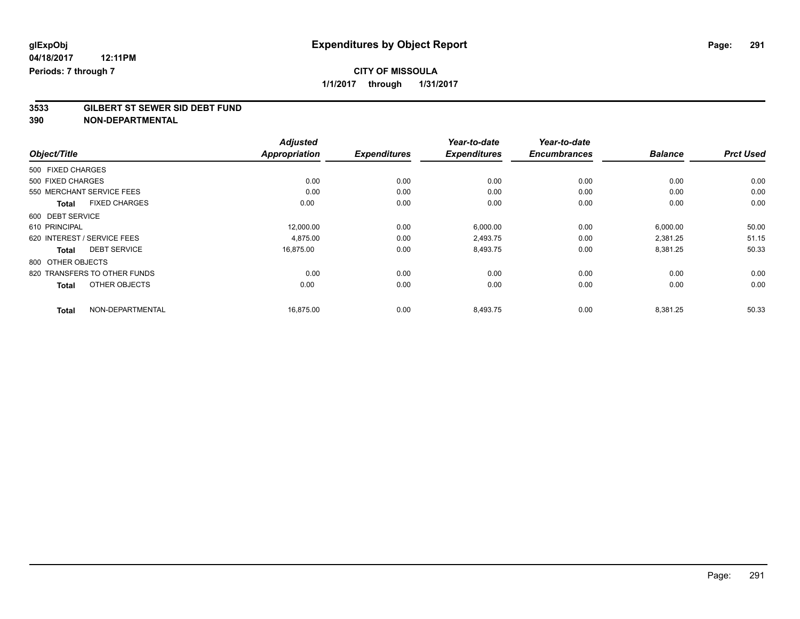# **3533 GILBERT ST SEWER SID DEBT FUND**

| Object/Title                         | <b>Adjusted</b><br><b>Appropriation</b> | <b>Expenditures</b> | Year-to-date<br><b>Expenditures</b> | Year-to-date<br><b>Encumbrances</b> | <b>Balance</b> | <b>Prct Used</b> |
|--------------------------------------|-----------------------------------------|---------------------|-------------------------------------|-------------------------------------|----------------|------------------|
| 500 FIXED CHARGES                    |                                         |                     |                                     |                                     |                |                  |
| 500 FIXED CHARGES                    | 0.00                                    | 0.00                | 0.00                                | 0.00                                | 0.00           | 0.00             |
| 550 MERCHANT SERVICE FEES            | 0.00                                    | 0.00                | 0.00                                | 0.00                                | 0.00           | 0.00             |
| <b>FIXED CHARGES</b><br><b>Total</b> | 0.00                                    | 0.00                | 0.00                                | 0.00                                | 0.00           | 0.00             |
| 600 DEBT SERVICE                     |                                         |                     |                                     |                                     |                |                  |
| 610 PRINCIPAL                        | 12,000.00                               | 0.00                | 6,000.00                            | 0.00                                | 6,000.00       | 50.00            |
| 620 INTEREST / SERVICE FEES          | 4,875.00                                | 0.00                | 2,493.75                            | 0.00                                | 2,381.25       | 51.15            |
| <b>DEBT SERVICE</b><br><b>Total</b>  | 16,875.00                               | 0.00                | 8,493.75                            | 0.00                                | 8,381.25       | 50.33            |
| 800 OTHER OBJECTS                    |                                         |                     |                                     |                                     |                |                  |
| 820 TRANSFERS TO OTHER FUNDS         | 0.00                                    | 0.00                | 0.00                                | 0.00                                | 0.00           | 0.00             |
| OTHER OBJECTS<br><b>Total</b>        | 0.00                                    | 0.00                | 0.00                                | 0.00                                | 0.00           | 0.00             |
| NON-DEPARTMENTAL<br><b>Total</b>     | 16,875.00                               | 0.00                | 8,493.75                            | 0.00                                | 8,381.25       | 50.33            |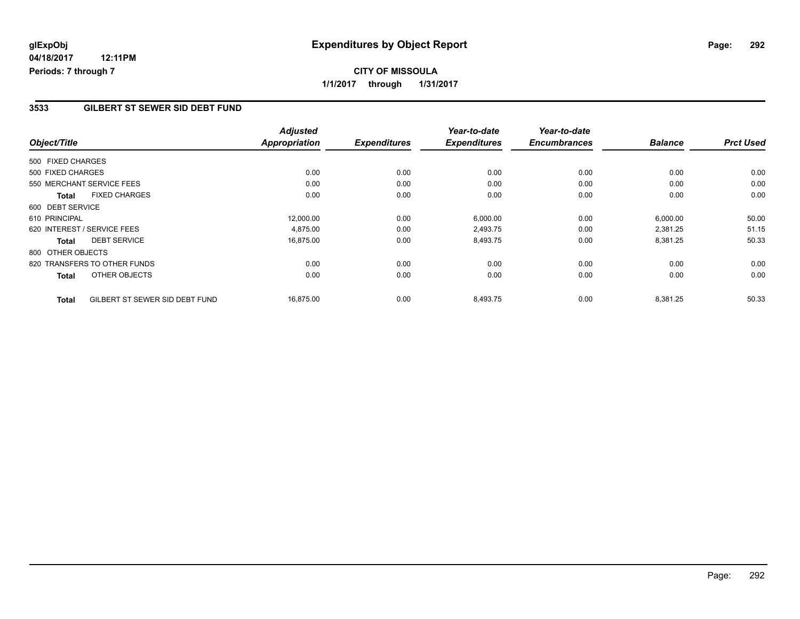### **3533 GILBERT ST SEWER SID DEBT FUND**

|                   |                                | <b>Adjusted</b>      |                     | Year-to-date        | Year-to-date        |                |                  |
|-------------------|--------------------------------|----------------------|---------------------|---------------------|---------------------|----------------|------------------|
| Object/Title      |                                | <b>Appropriation</b> | <b>Expenditures</b> | <b>Expenditures</b> | <b>Encumbrances</b> | <b>Balance</b> | <b>Prct Used</b> |
| 500 FIXED CHARGES |                                |                      |                     |                     |                     |                |                  |
| 500 FIXED CHARGES |                                | 0.00                 | 0.00                | 0.00                | 0.00                | 0.00           | 0.00             |
|                   | 550 MERCHANT SERVICE FEES      | 0.00                 | 0.00                | 0.00                | 0.00                | 0.00           | 0.00             |
| <b>Total</b>      | <b>FIXED CHARGES</b>           | 0.00                 | 0.00                | 0.00                | 0.00                | 0.00           | 0.00             |
| 600 DEBT SERVICE  |                                |                      |                     |                     |                     |                |                  |
| 610 PRINCIPAL     |                                | 12,000.00            | 0.00                | 6,000.00            | 0.00                | 6,000.00       | 50.00            |
|                   | 620 INTEREST / SERVICE FEES    | 4,875.00             | 0.00                | 2,493.75            | 0.00                | 2,381.25       | 51.15            |
| <b>Total</b>      | <b>DEBT SERVICE</b>            | 16,875.00            | 0.00                | 8,493.75            | 0.00                | 8,381.25       | 50.33            |
| 800 OTHER OBJECTS |                                |                      |                     |                     |                     |                |                  |
|                   | 820 TRANSFERS TO OTHER FUNDS   | 0.00                 | 0.00                | 0.00                | 0.00                | 0.00           | 0.00             |
| <b>Total</b>      | OTHER OBJECTS                  | 0.00                 | 0.00                | 0.00                | 0.00                | 0.00           | 0.00             |
| <b>Total</b>      | GILBERT ST SEWER SID DEBT FUND | 16,875.00            | 0.00                | 8,493.75            | 0.00                | 8,381.25       | 50.33            |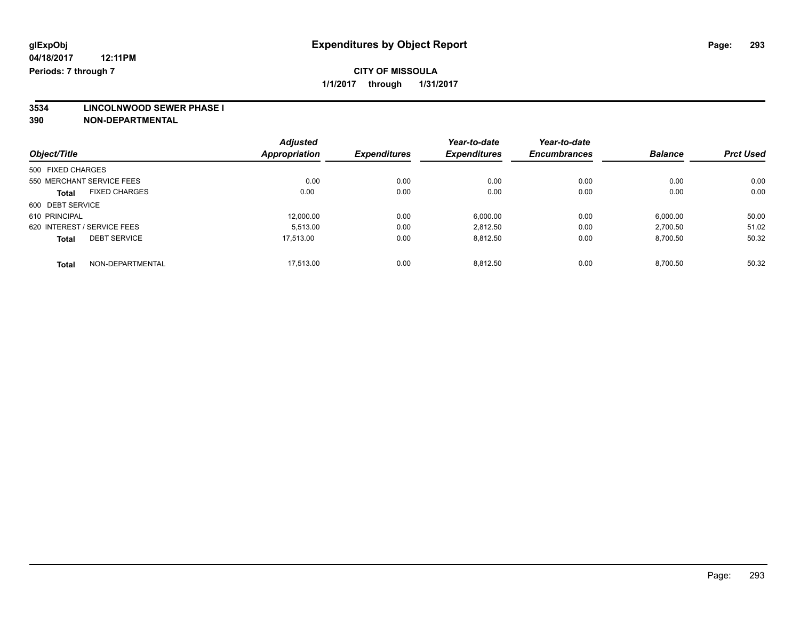**3534 LINCOLNWOOD SEWER PHASE I**

|                                      | <b>Adjusted</b> |                     | Year-to-date        | Year-to-date        |                |                  |
|--------------------------------------|-----------------|---------------------|---------------------|---------------------|----------------|------------------|
| Object/Title                         | Appropriation   | <b>Expenditures</b> | <b>Expenditures</b> | <b>Encumbrances</b> | <b>Balance</b> | <b>Prct Used</b> |
| 500 FIXED CHARGES                    |                 |                     |                     |                     |                |                  |
| 550 MERCHANT SERVICE FEES            | 0.00            | 0.00                | 0.00                | 0.00                | 0.00           | 0.00             |
| <b>FIXED CHARGES</b><br><b>Total</b> | 0.00            | 0.00                | 0.00                | 0.00                | 0.00           | 0.00             |
| 600 DEBT SERVICE                     |                 |                     |                     |                     |                |                  |
| 610 PRINCIPAL                        | 12,000.00       | 0.00                | 6,000.00            | 0.00                | 6,000.00       | 50.00            |
| 620 INTEREST / SERVICE FEES          | 5.513.00        | 0.00                | 2,812.50            | 0.00                | 2,700.50       | 51.02            |
| <b>DEBT SERVICE</b><br><b>Total</b>  | 17.513.00       | 0.00                | 8,812.50            | 0.00                | 8,700.50       | 50.32            |
| NON-DEPARTMENTAL<br>Total            | 17.513.00       | 0.00                | 8.812.50            | 0.00                | 8.700.50       | 50.32            |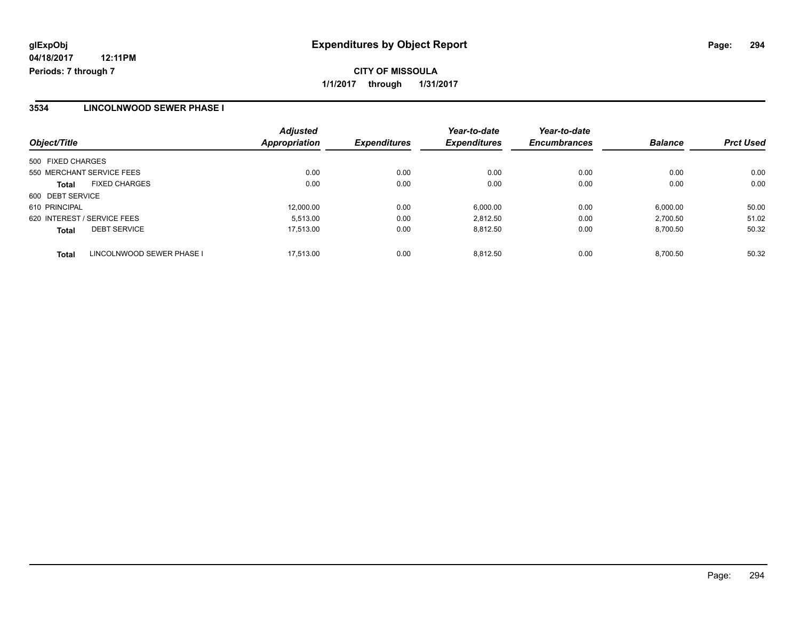### **3534 LINCOLNWOOD SEWER PHASE I**

| Object/Title                              | <b>Adjusted</b><br>Appropriation | <b>Expenditures</b> | Year-to-date<br><b>Expenditures</b> | Year-to-date<br><b>Encumbrances</b> | <b>Balance</b> | <b>Prct Used</b> |
|-------------------------------------------|----------------------------------|---------------------|-------------------------------------|-------------------------------------|----------------|------------------|
| 500 FIXED CHARGES                         |                                  |                     |                                     |                                     |                |                  |
| 550 MERCHANT SERVICE FEES                 | 0.00                             | 0.00                | 0.00                                | 0.00                                | 0.00           | 0.00             |
| <b>FIXED CHARGES</b><br>Total             | 0.00                             | 0.00                | 0.00                                | 0.00                                | 0.00           | 0.00             |
| 600 DEBT SERVICE                          |                                  |                     |                                     |                                     |                |                  |
| 610 PRINCIPAL                             | 12,000.00                        | 0.00                | 6,000.00                            | 0.00                                | 6,000.00       | 50.00            |
| 620 INTEREST / SERVICE FEES               | 5.513.00                         | 0.00                | 2.812.50                            | 0.00                                | 2.700.50       | 51.02            |
| <b>DEBT SERVICE</b><br><b>Total</b>       | 17.513.00                        | 0.00                | 8.812.50                            | 0.00                                | 8,700.50       | 50.32            |
| LINCOLNWOOD SEWER PHASE I<br><b>Total</b> | 17.513.00                        | 0.00                | 8.812.50                            | 0.00                                | 8.700.50       | 50.32            |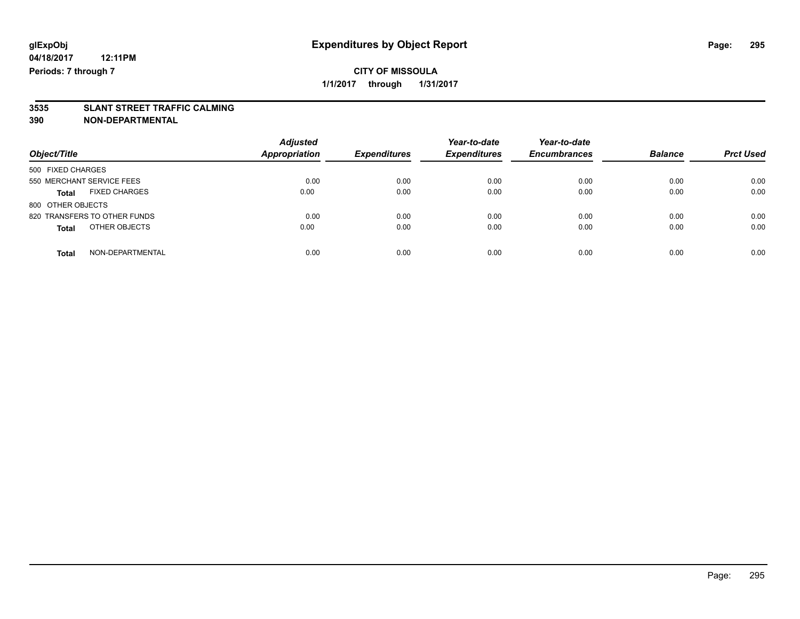# **3535 SLANT STREET TRAFFIC CALMING**

| Object/Title                         | <b>Adjusted</b><br><b>Appropriation</b> | <b>Expenditures</b> | Year-to-date<br><b>Expenditures</b> | Year-to-date<br><b>Encumbrances</b> | <b>Balance</b> | <b>Prct Used</b> |
|--------------------------------------|-----------------------------------------|---------------------|-------------------------------------|-------------------------------------|----------------|------------------|
| 500 FIXED CHARGES                    |                                         |                     |                                     |                                     |                |                  |
| 550 MERCHANT SERVICE FEES            | 0.00                                    | 0.00                | 0.00                                | 0.00                                | 0.00           | 0.00             |
| <b>FIXED CHARGES</b><br><b>Total</b> | 0.00                                    | 0.00                | 0.00                                | 0.00                                | 0.00           | 0.00             |
| 800 OTHER OBJECTS                    |                                         |                     |                                     |                                     |                |                  |
| 820 TRANSFERS TO OTHER FUNDS         | 0.00                                    | 0.00                | 0.00                                | 0.00                                | 0.00           | 0.00             |
| OTHER OBJECTS<br><b>Total</b>        | 0.00                                    | 0.00                | 0.00                                | 0.00                                | 0.00           | 0.00             |
| NON-DEPARTMENTAL<br>Total            | 0.00                                    | 0.00                | 0.00                                | 0.00                                | 0.00           | 0.00             |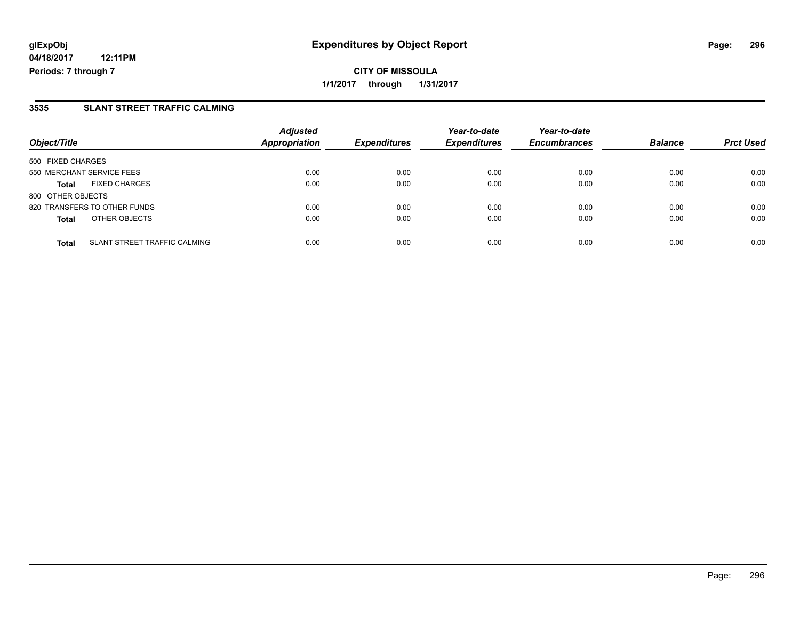### **3535 SLANT STREET TRAFFIC CALMING**

| Object/Title      |                                     | <b>Adjusted</b><br>Appropriation | <b>Expenditures</b> | Year-to-date<br><b>Expenditures</b> | Year-to-date<br><b>Encumbrances</b> | <b>Balance</b> | <b>Prct Used</b> |
|-------------------|-------------------------------------|----------------------------------|---------------------|-------------------------------------|-------------------------------------|----------------|------------------|
| 500 FIXED CHARGES |                                     |                                  |                     |                                     |                                     |                |                  |
|                   | 550 MERCHANT SERVICE FEES           | 0.00                             | 0.00                | 0.00                                | 0.00                                | 0.00           | 0.00             |
| <b>Total</b>      | <b>FIXED CHARGES</b>                | 0.00                             | 0.00                | 0.00                                | 0.00                                | 0.00           | 0.00             |
| 800 OTHER OBJECTS |                                     |                                  |                     |                                     |                                     |                |                  |
|                   | 820 TRANSFERS TO OTHER FUNDS        | 0.00                             | 0.00                | 0.00                                | 0.00                                | 0.00           | 0.00             |
| <b>Total</b>      | OTHER OBJECTS                       | 0.00                             | 0.00                | 0.00                                | 0.00                                | 0.00           | 0.00             |
| <b>Total</b>      | <b>SLANT STREET TRAFFIC CALMING</b> | 0.00                             | 0.00                | 0.00                                | 0.00                                | 0.00           | 0.00             |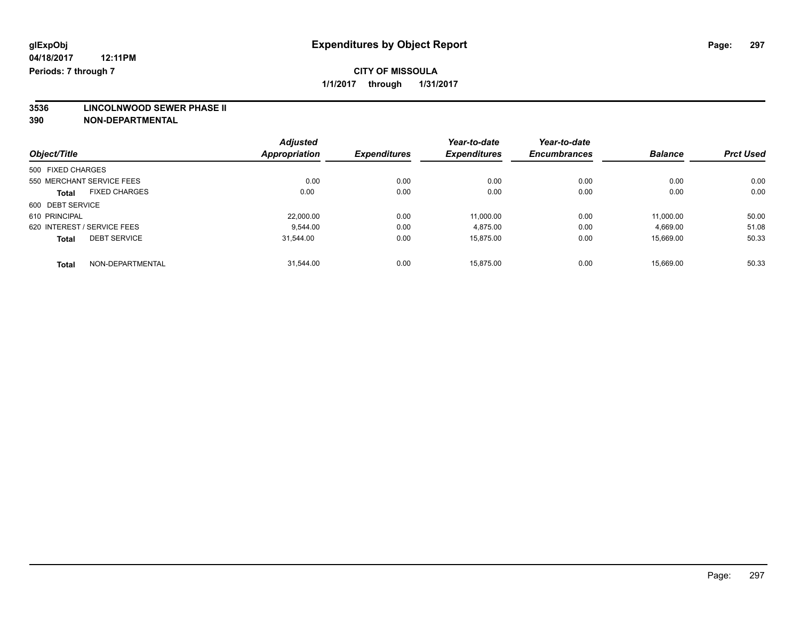**3536 LINCOLNWOOD SEWER PHASE II**

|                                      | <b>Adjusted</b>      |                     | Year-to-date        | Year-to-date        |                |                  |
|--------------------------------------|----------------------|---------------------|---------------------|---------------------|----------------|------------------|
| Object/Title                         | <b>Appropriation</b> | <b>Expenditures</b> | <b>Expenditures</b> | <b>Encumbrances</b> | <b>Balance</b> | <b>Prct Used</b> |
| 500 FIXED CHARGES                    |                      |                     |                     |                     |                |                  |
| 550 MERCHANT SERVICE FEES            | 0.00                 | 0.00                | 0.00                | 0.00                | 0.00           | 0.00             |
| <b>FIXED CHARGES</b><br><b>Total</b> | 0.00                 | 0.00                | 0.00                | 0.00                | 0.00           | 0.00             |
| 600 DEBT SERVICE                     |                      |                     |                     |                     |                |                  |
| 610 PRINCIPAL                        | 22,000.00            | 0.00                | 11.000.00           | 0.00                | 11.000.00      | 50.00            |
| 620 INTEREST / SERVICE FEES          | 9.544.00             | 0.00                | 4,875.00            | 0.00                | 4,669.00       | 51.08            |
| <b>DEBT SERVICE</b><br><b>Total</b>  | 31,544.00            | 0.00                | 15,875.00           | 0.00                | 15,669.00      | 50.33            |
| NON-DEPARTMENTAL<br>Total            | 31.544.00            | 0.00                | 15.875.00           | 0.00                | 15.669.00      | 50.33            |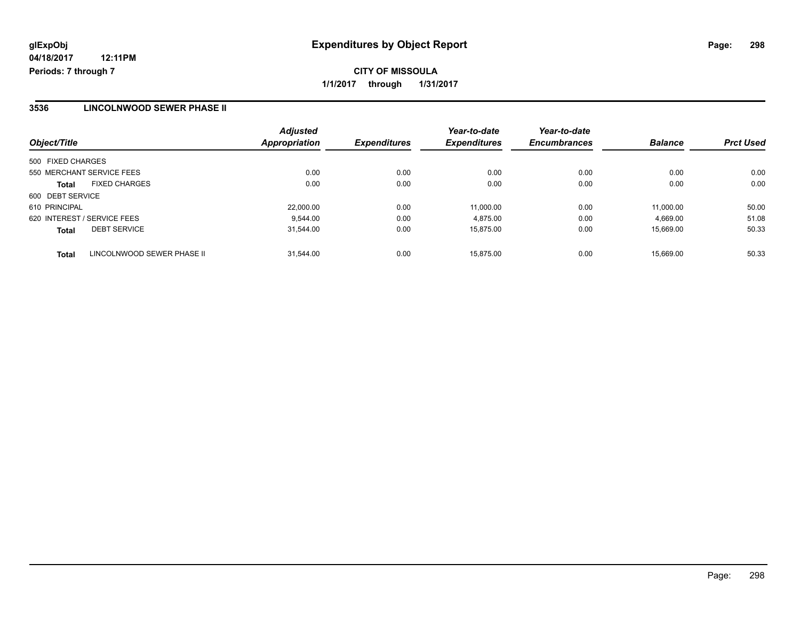### **3536 LINCOLNWOOD SEWER PHASE II**

| Object/Title                               | <b>Adjusted</b><br>Appropriation | <b>Expenditures</b> | Year-to-date<br><b>Expenditures</b> | Year-to-date<br><b>Encumbrances</b> | <b>Balance</b> | <b>Prct Used</b> |
|--------------------------------------------|----------------------------------|---------------------|-------------------------------------|-------------------------------------|----------------|------------------|
| 500 FIXED CHARGES                          |                                  |                     |                                     |                                     |                |                  |
| 550 MERCHANT SERVICE FEES                  | 0.00                             | 0.00                | 0.00                                | 0.00                                | 0.00           | 0.00             |
| <b>FIXED CHARGES</b><br>Total              | 0.00                             | 0.00                | 0.00                                | 0.00                                | 0.00           | 0.00             |
| 600 DEBT SERVICE                           |                                  |                     |                                     |                                     |                |                  |
| 610 PRINCIPAL                              | 22,000.00                        | 0.00                | 11.000.00                           | 0.00                                | 11.000.00      | 50.00            |
| 620 INTEREST / SERVICE FEES                | 9.544.00                         | 0.00                | 4.875.00                            | 0.00                                | 4,669.00       | 51.08            |
| <b>DEBT SERVICE</b><br><b>Total</b>        | 31.544.00                        | 0.00                | 15.875.00                           | 0.00                                | 15.669.00      | 50.33            |
| LINCOLNWOOD SEWER PHASE II<br><b>Total</b> | 31.544.00                        | 0.00                | 15.875.00                           | 0.00                                | 15.669.00      | 50.33            |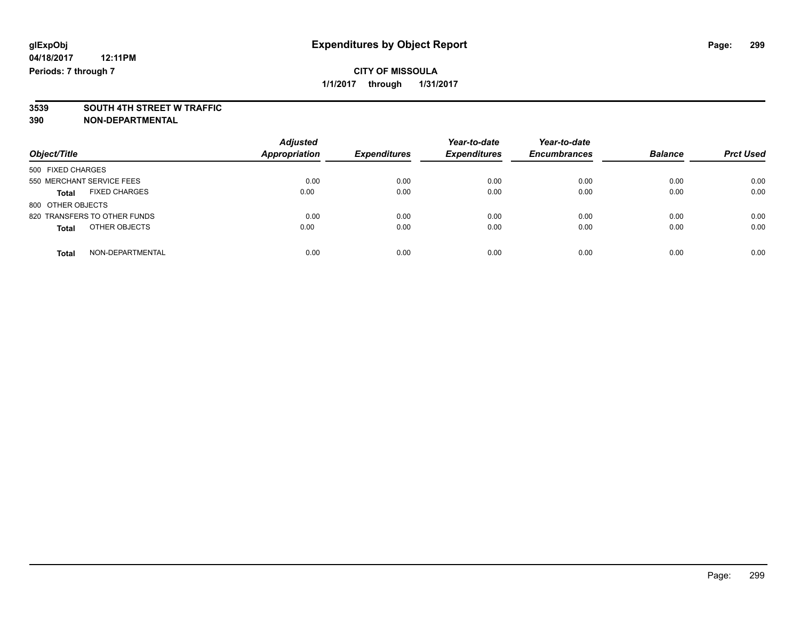# **3539 SOUTH 4TH STREET W TRAFFIC**

| Object/Title                         | <b>Adjusted</b><br><b>Appropriation</b> | <b>Expenditures</b> | Year-to-date<br><b>Expenditures</b> | Year-to-date<br><b>Encumbrances</b> | <b>Balance</b> | <b>Prct Used</b> |
|--------------------------------------|-----------------------------------------|---------------------|-------------------------------------|-------------------------------------|----------------|------------------|
|                                      |                                         |                     |                                     |                                     |                |                  |
| 500 FIXED CHARGES                    |                                         |                     |                                     |                                     |                |                  |
| 550 MERCHANT SERVICE FEES            | 0.00                                    | 0.00                | 0.00                                | 0.00                                | 0.00           | 0.00             |
| <b>FIXED CHARGES</b><br><b>Total</b> | 0.00                                    | 0.00                | 0.00                                | 0.00                                | 0.00           | 0.00             |
| 800 OTHER OBJECTS                    |                                         |                     |                                     |                                     |                |                  |
| 820 TRANSFERS TO OTHER FUNDS         | 0.00                                    | 0.00                | 0.00                                | 0.00                                | 0.00           | 0.00             |
| OTHER OBJECTS<br><b>Total</b>        | 0.00                                    | 0.00                | 0.00                                | 0.00                                | 0.00           | 0.00             |
| NON-DEPARTMENTAL<br><b>Total</b>     | 0.00                                    | 0.00                | 0.00                                | 0.00                                | 0.00           | 0.00             |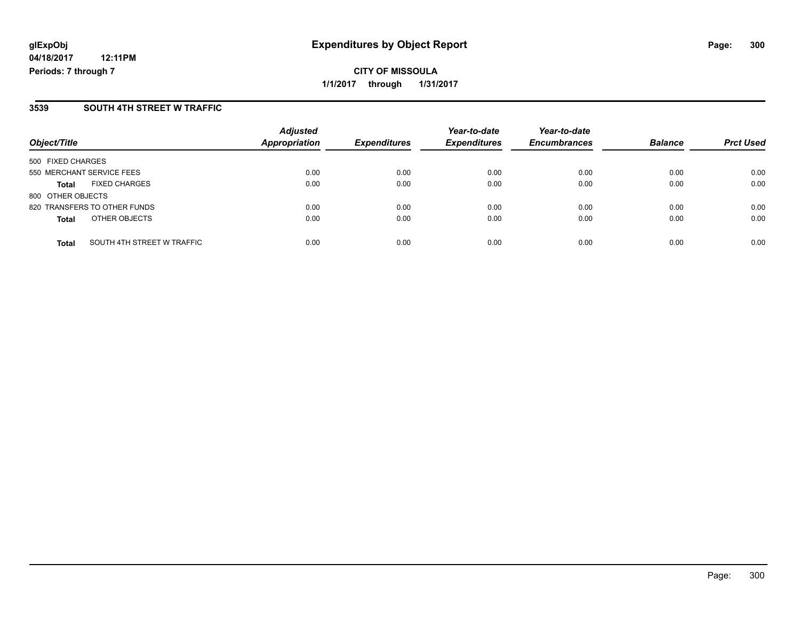**CITY OF MISSOULA 1/1/2017 through 1/31/2017**

### **3539 SOUTH 4TH STREET W TRAFFIC**

| Object/Title                               | <b>Adjusted</b><br>Appropriation | <b>Expenditures</b> | Year-to-date<br><b>Expenditures</b> | Year-to-date<br><b>Encumbrances</b> | <b>Balance</b> | <b>Prct Used</b> |
|--------------------------------------------|----------------------------------|---------------------|-------------------------------------|-------------------------------------|----------------|------------------|
| 500 FIXED CHARGES                          |                                  |                     |                                     |                                     |                |                  |
| 550 MERCHANT SERVICE FEES                  | 0.00                             | 0.00                | 0.00                                | 0.00                                | 0.00           | 0.00             |
| <b>FIXED CHARGES</b><br><b>Total</b>       | 0.00                             | 0.00                | 0.00                                | 0.00                                | 0.00           | 0.00             |
| 800 OTHER OBJECTS                          |                                  |                     |                                     |                                     |                |                  |
| 820 TRANSFERS TO OTHER FUNDS               | 0.00                             | 0.00                | 0.00                                | 0.00                                | 0.00           | 0.00             |
| OTHER OBJECTS<br><b>Total</b>              | 0.00                             | 0.00                | 0.00                                | 0.00                                | 0.00           | 0.00             |
| SOUTH 4TH STREET W TRAFFIC<br><b>Total</b> | 0.00                             | 0.00                | 0.00                                | 0.00                                | 0.00           | 0.00             |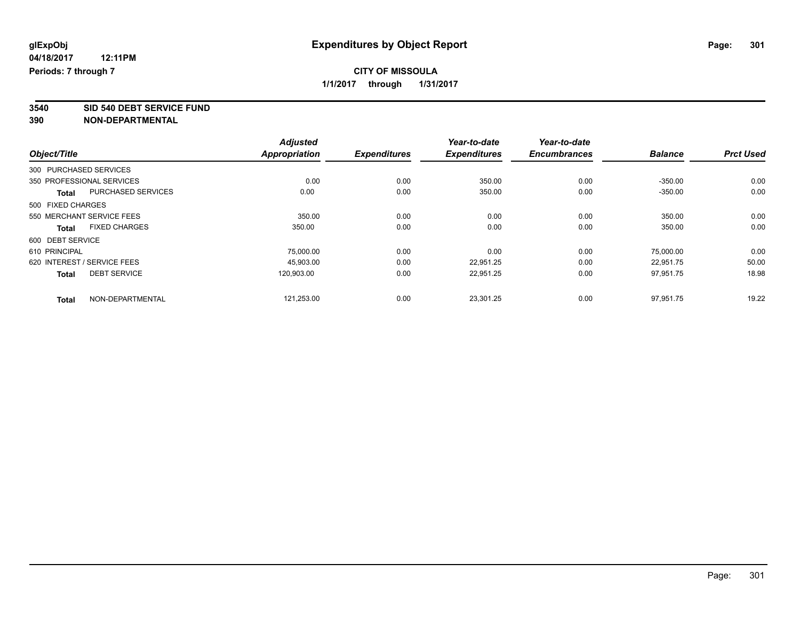**3540 SID 540 DEBT SERVICE FUND**

|                             |                           | <b>Adjusted</b>      |                     | Year-to-date        | Year-to-date        |                |                  |
|-----------------------------|---------------------------|----------------------|---------------------|---------------------|---------------------|----------------|------------------|
| Object/Title                |                           | <b>Appropriation</b> | <b>Expenditures</b> | <b>Expenditures</b> | <b>Encumbrances</b> | <b>Balance</b> | <b>Prct Used</b> |
| 300 PURCHASED SERVICES      |                           |                      |                     |                     |                     |                |                  |
| 350 PROFESSIONAL SERVICES   |                           | 0.00                 | 0.00                | 350.00              | 0.00                | $-350.00$      | 0.00             |
| <b>Total</b>                | <b>PURCHASED SERVICES</b> | 0.00                 | 0.00                | 350.00              | 0.00                | $-350.00$      | 0.00             |
| 500 FIXED CHARGES           |                           |                      |                     |                     |                     |                |                  |
| 550 MERCHANT SERVICE FEES   |                           | 350.00               | 0.00                | 0.00                | 0.00                | 350.00         | 0.00             |
| <b>Total</b>                | <b>FIXED CHARGES</b>      | 350.00               | 0.00                | 0.00                | 0.00                | 350.00         | 0.00             |
| 600 DEBT SERVICE            |                           |                      |                     |                     |                     |                |                  |
| 610 PRINCIPAL               |                           | 75,000.00            | 0.00                | 0.00                | 0.00                | 75,000.00      | 0.00             |
| 620 INTEREST / SERVICE FEES |                           | 45,903.00            | 0.00                | 22,951.25           | 0.00                | 22,951.75      | 50.00            |
| <b>Total</b>                | <b>DEBT SERVICE</b>       | 120,903.00           | 0.00                | 22,951.25           | 0.00                | 97,951.75      | 18.98            |
| <b>Total</b>                | NON-DEPARTMENTAL          | 121,253.00           | 0.00                | 23,301.25           | 0.00                | 97,951.75      | 19.22            |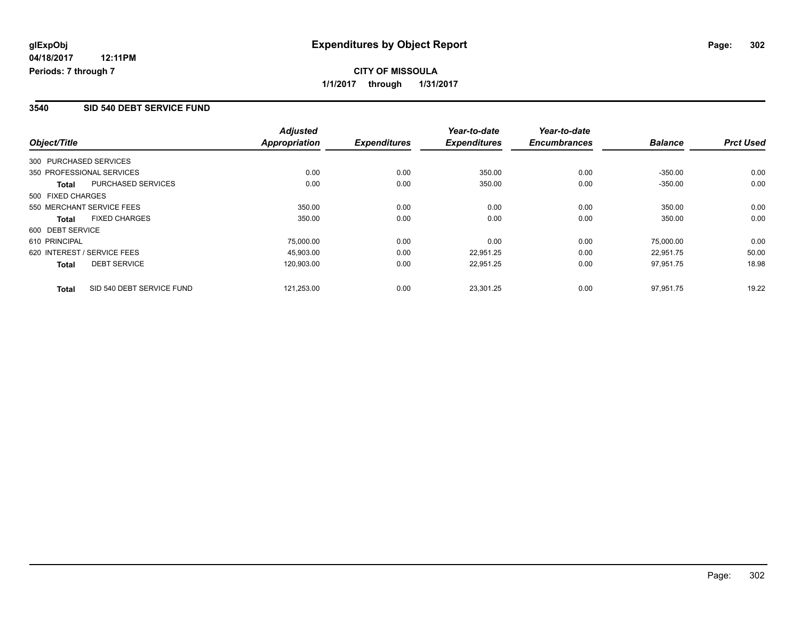#### **3540 SID 540 DEBT SERVICE FUND**

|                   |                             | <b>Adjusted</b> |                     | Year-to-date        | Year-to-date        |                |                  |
|-------------------|-----------------------------|-----------------|---------------------|---------------------|---------------------|----------------|------------------|
| Object/Title      |                             | Appropriation   | <b>Expenditures</b> | <b>Expenditures</b> | <b>Encumbrances</b> | <b>Balance</b> | <b>Prct Used</b> |
|                   | 300 PURCHASED SERVICES      |                 |                     |                     |                     |                |                  |
|                   | 350 PROFESSIONAL SERVICES   | 0.00            | 0.00                | 350.00              | 0.00                | $-350.00$      | 0.00             |
| Total             | PURCHASED SERVICES          | 0.00            | 0.00                | 350.00              | 0.00                | $-350.00$      | 0.00             |
| 500 FIXED CHARGES |                             |                 |                     |                     |                     |                |                  |
|                   | 550 MERCHANT SERVICE FEES   | 350.00          | 0.00                | 0.00                | 0.00                | 350.00         | 0.00             |
| <b>Total</b>      | <b>FIXED CHARGES</b>        | 350.00          | 0.00                | 0.00                | 0.00                | 350.00         | 0.00             |
| 600 DEBT SERVICE  |                             |                 |                     |                     |                     |                |                  |
| 610 PRINCIPAL     |                             | 75,000.00       | 0.00                | 0.00                | 0.00                | 75,000.00      | 0.00             |
|                   | 620 INTEREST / SERVICE FEES | 45.903.00       | 0.00                | 22.951.25           | 0.00                | 22.951.75      | 50.00            |
| <b>Total</b>      | <b>DEBT SERVICE</b>         | 120,903.00      | 0.00                | 22,951.25           | 0.00                | 97,951.75      | 18.98            |
| <b>Total</b>      | SID 540 DEBT SERVICE FUND   | 121.253.00      | 0.00                | 23.301.25           | 0.00                | 97.951.75      | 19.22            |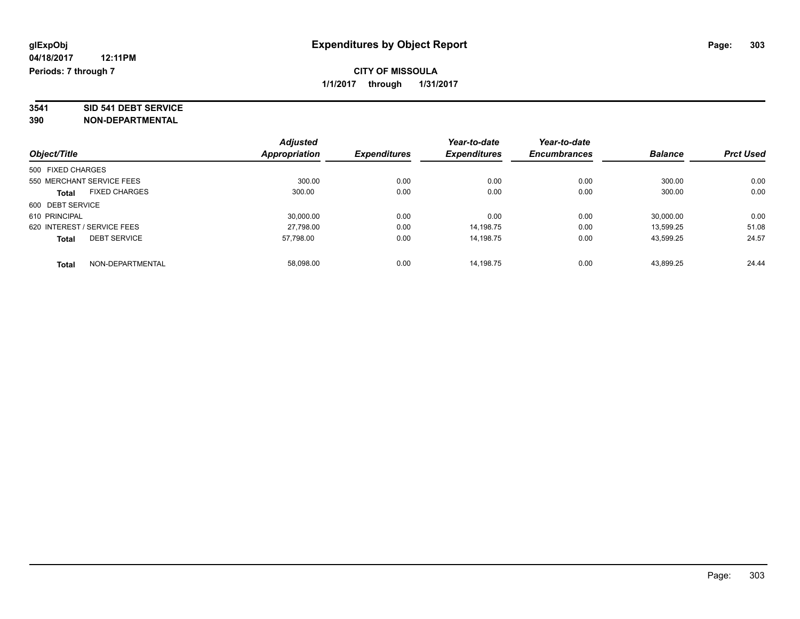# **3541 SID 541 DEBT SERVICE**

| Object/Title                         |                  | <b>Adjusted</b> | <b>Expenditures</b> | Year-to-date<br><b>Expenditures</b> | Year-to-date<br><b>Encumbrances</b> | <b>Balance</b> | <b>Prct Used</b> |
|--------------------------------------|------------------|-----------------|---------------------|-------------------------------------|-------------------------------------|----------------|------------------|
|                                      |                  | Appropriation   |                     |                                     |                                     |                |                  |
| 500 FIXED CHARGES                    |                  |                 |                     |                                     |                                     |                |                  |
| 550 MERCHANT SERVICE FEES            |                  | 300.00          | 0.00                | 0.00                                | 0.00                                | 300.00         | 0.00             |
| <b>FIXED CHARGES</b><br><b>Total</b> |                  | 300.00          | 0.00                | 0.00                                | 0.00                                | 300.00         | 0.00             |
| 600 DEBT SERVICE                     |                  |                 |                     |                                     |                                     |                |                  |
| 610 PRINCIPAL                        |                  | 30,000.00       | 0.00                | 0.00                                | 0.00                                | 30,000.00      | 0.00             |
| 620 INTEREST / SERVICE FEES          |                  | 27.798.00       | 0.00                | 14.198.75                           | 0.00                                | 13.599.25      | 51.08            |
| <b>DEBT SERVICE</b><br><b>Total</b>  |                  | 57.798.00       | 0.00                | 14.198.75                           | 0.00                                | 43,599.25      | 24.57            |
| <b>Total</b>                         | NON-DEPARTMENTAL | 58.098.00       | 0.00                | 14.198.75                           | 0.00                                | 43.899.25      | 24.44            |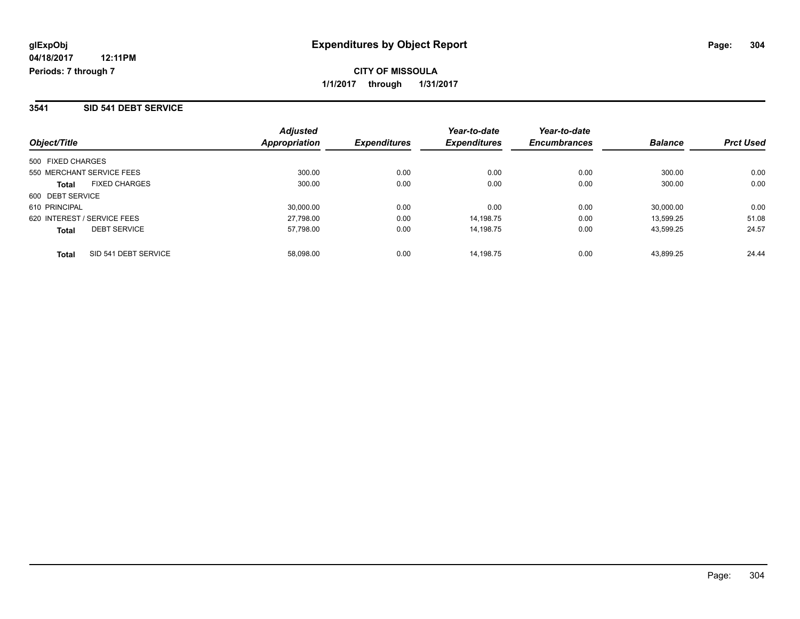#### **3541 SID 541 DEBT SERVICE**

**04/18/2017**

| Object/Title                         | <b>Adjusted</b><br>Appropriation | <b>Expenditures</b> | Year-to-date<br><b>Expenditures</b> | Year-to-date<br><b>Encumbrances</b> | <b>Balance</b> | <b>Prct Used</b> |
|--------------------------------------|----------------------------------|---------------------|-------------------------------------|-------------------------------------|----------------|------------------|
| 500 FIXED CHARGES                    |                                  |                     |                                     |                                     |                |                  |
| 550 MERCHANT SERVICE FEES            | 300.00                           | 0.00                | 0.00                                | 0.00                                | 300.00         | 0.00             |
| <b>FIXED CHARGES</b><br><b>Total</b> | 300.00                           | 0.00                | 0.00                                | 0.00                                | 300.00         | 0.00             |
| 600 DEBT SERVICE                     |                                  |                     |                                     |                                     |                |                  |
| 610 PRINCIPAL                        | 30.000.00                        | 0.00                | 0.00                                | 0.00                                | 30,000.00      | 0.00             |
| 620 INTEREST / SERVICE FEES          | 27,798.00                        | 0.00                | 14.198.75                           | 0.00                                | 13.599.25      | 51.08            |
| <b>DEBT SERVICE</b><br><b>Total</b>  | 57,798.00                        | 0.00                | 14.198.75                           | 0.00                                | 43.599.25      | 24.57            |
| SID 541 DEBT SERVICE<br><b>Total</b> | 58.098.00                        | 0.00                | 14.198.75                           | 0.00                                | 43.899.25      | 24.44            |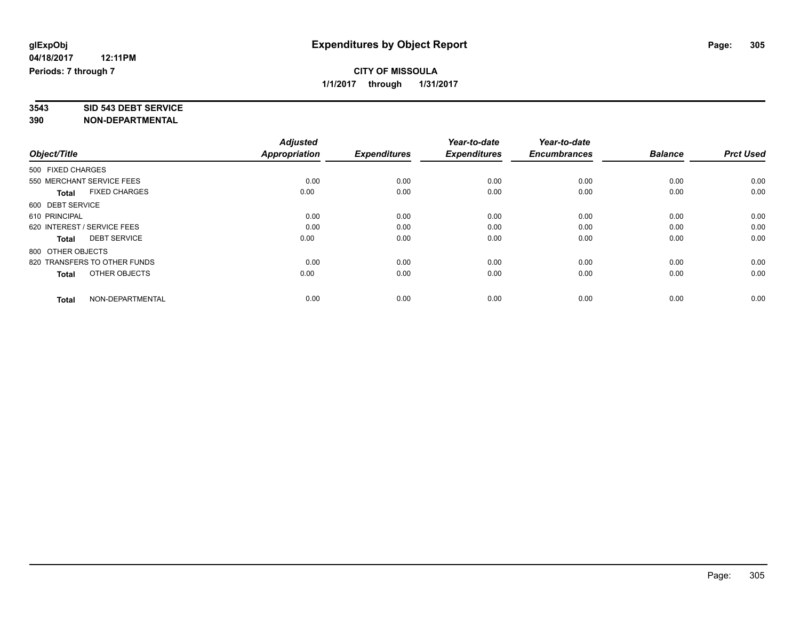# **3543 SID 543 DEBT SERVICE**

|                                      | <b>Adjusted</b> |                     | Year-to-date        | Year-to-date        |                |                  |
|--------------------------------------|-----------------|---------------------|---------------------|---------------------|----------------|------------------|
| Object/Title                         | Appropriation   | <b>Expenditures</b> | <b>Expenditures</b> | <b>Encumbrances</b> | <b>Balance</b> | <b>Prct Used</b> |
| 500 FIXED CHARGES                    |                 |                     |                     |                     |                |                  |
| 550 MERCHANT SERVICE FEES            | 0.00            | 0.00                | 0.00                | 0.00                | 0.00           | 0.00             |
| <b>FIXED CHARGES</b><br><b>Total</b> | 0.00            | 0.00                | 0.00                | 0.00                | 0.00           | 0.00             |
| 600 DEBT SERVICE                     |                 |                     |                     |                     |                |                  |
| 610 PRINCIPAL                        | 0.00            | 0.00                | 0.00                | 0.00                | 0.00           | 0.00             |
| 620 INTEREST / SERVICE FEES          | 0.00            | 0.00                | 0.00                | 0.00                | 0.00           | 0.00             |
| <b>DEBT SERVICE</b><br><b>Total</b>  | 0.00            | 0.00                | 0.00                | 0.00                | 0.00           | 0.00             |
| 800 OTHER OBJECTS                    |                 |                     |                     |                     |                |                  |
| 820 TRANSFERS TO OTHER FUNDS         | 0.00            | 0.00                | 0.00                | 0.00                | 0.00           | 0.00             |
| OTHER OBJECTS<br>Total               | 0.00            | 0.00                | 0.00                | 0.00                | 0.00           | 0.00             |
|                                      |                 |                     |                     |                     |                |                  |
| NON-DEPARTMENTAL<br><b>Total</b>     | 0.00            | 0.00                | 0.00                | 0.00                | 0.00           | 0.00             |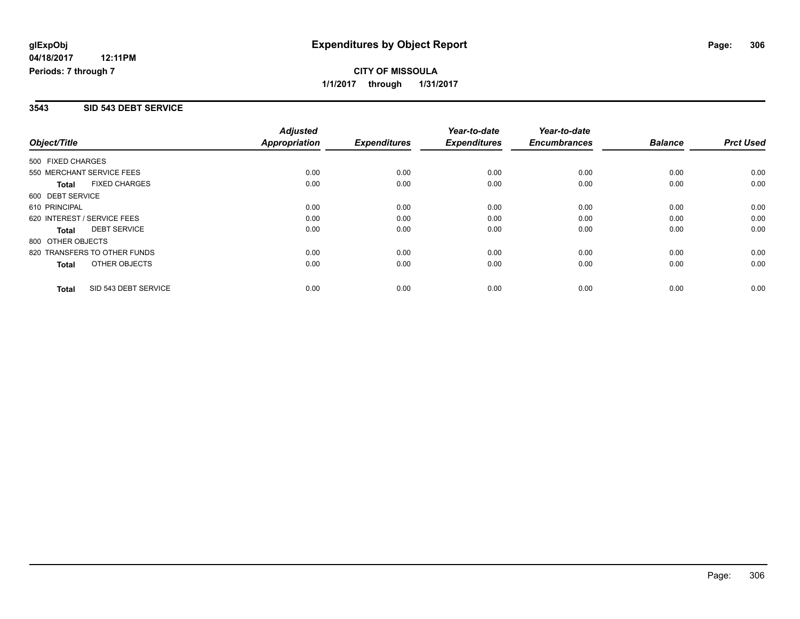## **CITY OF MISSOULA 1/1/2017 through 1/31/2017**

#### **3543 SID 543 DEBT SERVICE**

|                             |                              | <b>Adjusted</b>      |                     | Year-to-date        | Year-to-date        |                |                  |
|-----------------------------|------------------------------|----------------------|---------------------|---------------------|---------------------|----------------|------------------|
| Object/Title                |                              | <b>Appropriation</b> | <b>Expenditures</b> | <b>Expenditures</b> | <b>Encumbrances</b> | <b>Balance</b> | <b>Prct Used</b> |
| 500 FIXED CHARGES           |                              |                      |                     |                     |                     |                |                  |
| 550 MERCHANT SERVICE FEES   |                              | 0.00                 | 0.00                | 0.00                | 0.00                | 0.00           | 0.00             |
| <b>Total</b>                | <b>FIXED CHARGES</b>         | 0.00                 | 0.00                | 0.00                | 0.00                | 0.00           | 0.00             |
| 600 DEBT SERVICE            |                              |                      |                     |                     |                     |                |                  |
| 610 PRINCIPAL               |                              | 0.00                 | 0.00                | 0.00                | 0.00                | 0.00           | 0.00             |
| 620 INTEREST / SERVICE FEES |                              | 0.00                 | 0.00                | 0.00                | 0.00                | 0.00           | 0.00             |
| <b>Total</b>                | <b>DEBT SERVICE</b>          | 0.00                 | 0.00                | 0.00                | 0.00                | 0.00           | 0.00             |
| 800 OTHER OBJECTS           |                              |                      |                     |                     |                     |                |                  |
|                             | 820 TRANSFERS TO OTHER FUNDS | 0.00                 | 0.00                | 0.00                | 0.00                | 0.00           | 0.00             |
| <b>Total</b>                | OTHER OBJECTS                | 0.00                 | 0.00                | 0.00                | 0.00                | 0.00           | 0.00             |
| <b>Total</b>                | SID 543 DEBT SERVICE         | 0.00                 | 0.00                | 0.00                | 0.00                | 0.00           | 0.00             |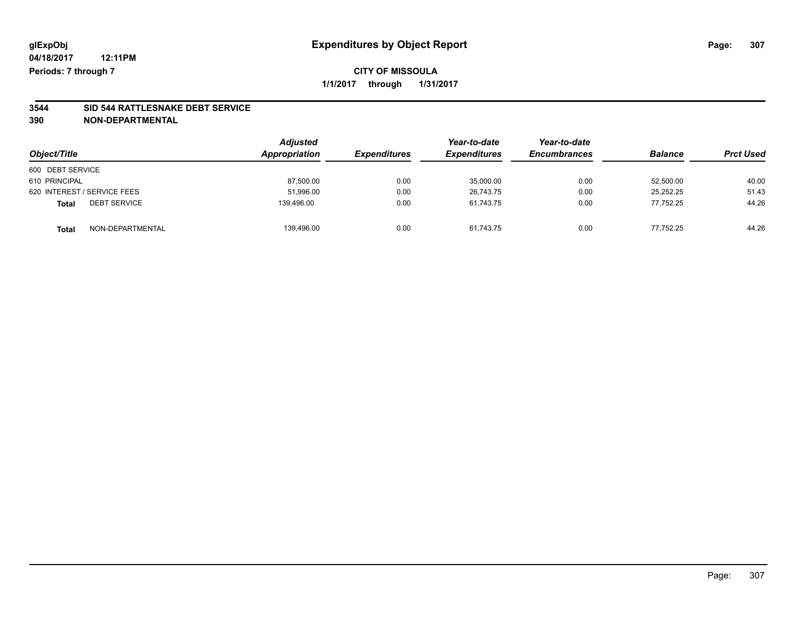## **CITY OF MISSOULA 1/1/2017 through 1/31/2017**

# **3544 SID 544 RATTLESNAKE DEBT SERVICE**

| Object/Title                        | <b>Adjusted</b><br>Appropriation | <b>Expenditures</b> | Year-to-date<br><b>Expenditures</b> | Year-to-date<br><b>Encumbrances</b> | <b>Balance</b> | <b>Prct Used</b> |
|-------------------------------------|----------------------------------|---------------------|-------------------------------------|-------------------------------------|----------------|------------------|
| 600 DEBT SERVICE                    |                                  |                     |                                     |                                     |                |                  |
| 610 PRINCIPAL                       | 87,500.00                        | 0.00                | 35,000.00                           | 0.00                                | 52,500.00      | 40.00            |
| 620 INTEREST / SERVICE FEES         | 51,996.00                        | 0.00                | 26,743.75                           | 0.00                                | 25,252.25      | 51.43            |
| <b>DEBT SERVICE</b><br><b>Total</b> | 139.496.00                       | 0.00                | 61.743.75                           | 0.00                                | 77.752.25      | 44.26            |
| NON-DEPARTMENTAL<br><b>Total</b>    | 139,496.00                       | 0.00                | 61,743.75                           | 0.00                                | 77.752.25      | 44.26            |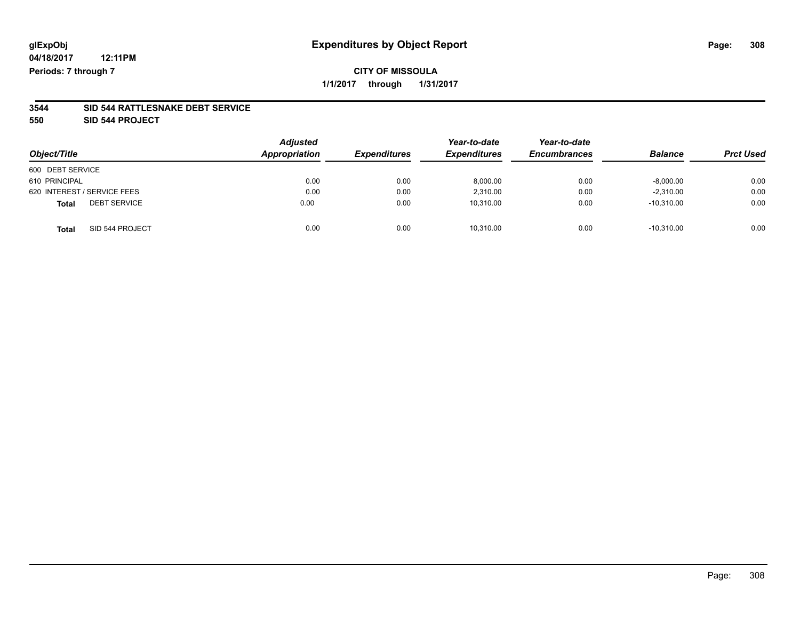## **CITY OF MISSOULA 1/1/2017 through 1/31/2017**

#### **3544 SID 544 RATTLESNAKE DEBT SERVICE**

**550 SID 544 PROJECT**

| Object/Title                        | <b>Adjusted</b><br>Appropriation | <b>Expenditures</b> | Year-to-date<br><b>Expenditures</b> | Year-to-date<br><b>Encumbrances</b> | <b>Balance</b> | <b>Prct Used</b> |
|-------------------------------------|----------------------------------|---------------------|-------------------------------------|-------------------------------------|----------------|------------------|
| 600 DEBT SERVICE                    |                                  |                     |                                     |                                     |                |                  |
| 610 PRINCIPAL                       | 0.00                             | 0.00                | 8,000.00                            | 0.00                                | $-8,000.00$    | 0.00             |
| 620 INTEREST / SERVICE FEES         | 0.00                             | 0.00                | 2,310.00                            | 0.00                                | $-2,310.00$    | 0.00             |
| <b>DEBT SERVICE</b><br><b>Total</b> | 0.00                             | 0.00                | 10,310.00                           | 0.00                                | $-10.310.00$   | 0.00             |
| SID 544 PROJECT<br><b>Total</b>     | 0.00                             | 0.00                | 10,310.00                           | 0.00                                | $-10.310.00$   | 0.00             |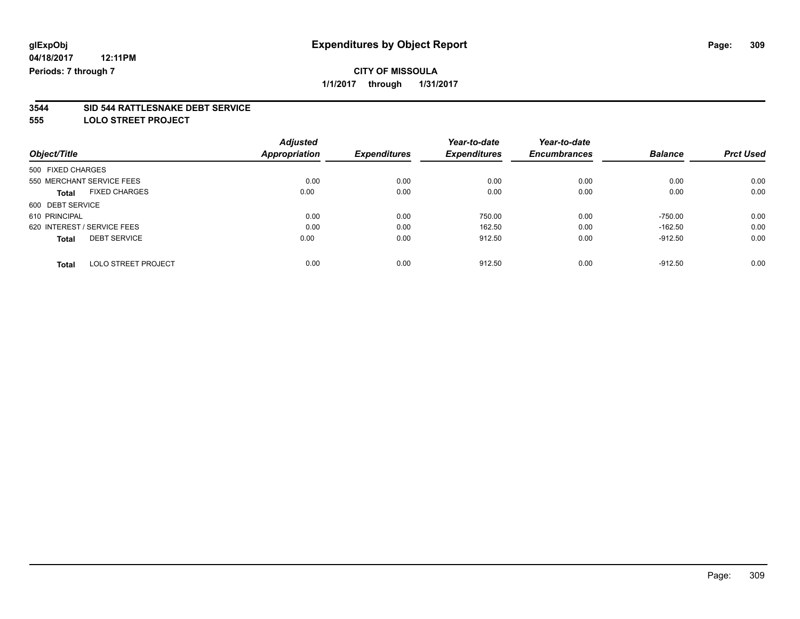**1/1/2017 through 1/31/2017**

#### **3544 SID 544 RATTLESNAKE DEBT SERVICE**

**555 LOLO STREET PROJECT**

|                                            | <b>Adjusted</b>      |                     | Year-to-date        | Year-to-date        |                |                  |
|--------------------------------------------|----------------------|---------------------|---------------------|---------------------|----------------|------------------|
| Object/Title                               | <b>Appropriation</b> | <b>Expenditures</b> | <b>Expenditures</b> | <b>Encumbrances</b> | <b>Balance</b> | <b>Prct Used</b> |
| 500 FIXED CHARGES                          |                      |                     |                     |                     |                |                  |
| 550 MERCHANT SERVICE FEES                  | 0.00                 | 0.00                | 0.00                | 0.00                | 0.00           | 0.00             |
| <b>FIXED CHARGES</b><br><b>Total</b>       | 0.00                 | 0.00                | 0.00                | 0.00                | 0.00           | 0.00             |
| 600 DEBT SERVICE                           |                      |                     |                     |                     |                |                  |
| 610 PRINCIPAL                              | 0.00                 | 0.00                | 750.00              | 0.00                | $-750.00$      | 0.00             |
| 620 INTEREST / SERVICE FEES                | 0.00                 | 0.00                | 162.50              | 0.00                | $-162.50$      | 0.00             |
| <b>DEBT SERVICE</b><br><b>Total</b>        | 0.00                 | 0.00                | 912.50              | 0.00                | $-912.50$      | 0.00             |
| <b>LOLO STREET PROJECT</b><br><b>Total</b> | 0.00                 | 0.00                | 912.50              | 0.00                | $-912.50$      | 0.00             |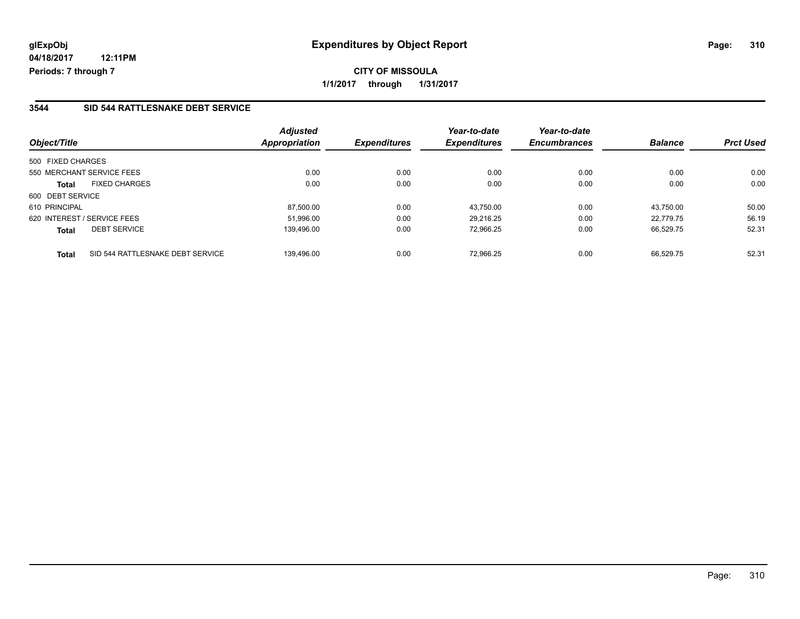**CITY OF MISSOULA 1/1/2017 through 1/31/2017**

### **3544 SID 544 RATTLESNAKE DEBT SERVICE**

| Object/Title                                     | <b>Adjusted</b><br><b>Appropriation</b> | <b>Expenditures</b> | Year-to-date<br><b>Expenditures</b> | Year-to-date<br><b>Encumbrances</b> | <b>Balance</b> | <b>Prct Used</b> |
|--------------------------------------------------|-----------------------------------------|---------------------|-------------------------------------|-------------------------------------|----------------|------------------|
| 500 FIXED CHARGES                                |                                         |                     |                                     |                                     |                |                  |
| 550 MERCHANT SERVICE FEES                        | 0.00                                    | 0.00                | 0.00                                | 0.00                                | 0.00           | 0.00             |
| <b>FIXED CHARGES</b><br><b>Total</b>             | 0.00                                    | 0.00                | 0.00                                | 0.00                                | 0.00           | 0.00             |
| 600 DEBT SERVICE                                 |                                         |                     |                                     |                                     |                |                  |
| 610 PRINCIPAL                                    | 87.500.00                               | 0.00                | 43.750.00                           | 0.00                                | 43.750.00      | 50.00            |
| 620 INTEREST / SERVICE FEES                      | 51.996.00                               | 0.00                | 29.216.25                           | 0.00                                | 22.779.75      | 56.19            |
| <b>DEBT SERVICE</b><br><b>Total</b>              | 139,496.00                              | 0.00                | 72,966.25                           | 0.00                                | 66,529.75      | 52.31            |
| SID 544 RATTLESNAKE DEBT SERVICE<br><b>Total</b> | 139.496.00                              | 0.00                | 72.966.25                           | 0.00                                | 66.529.75      | 52.31            |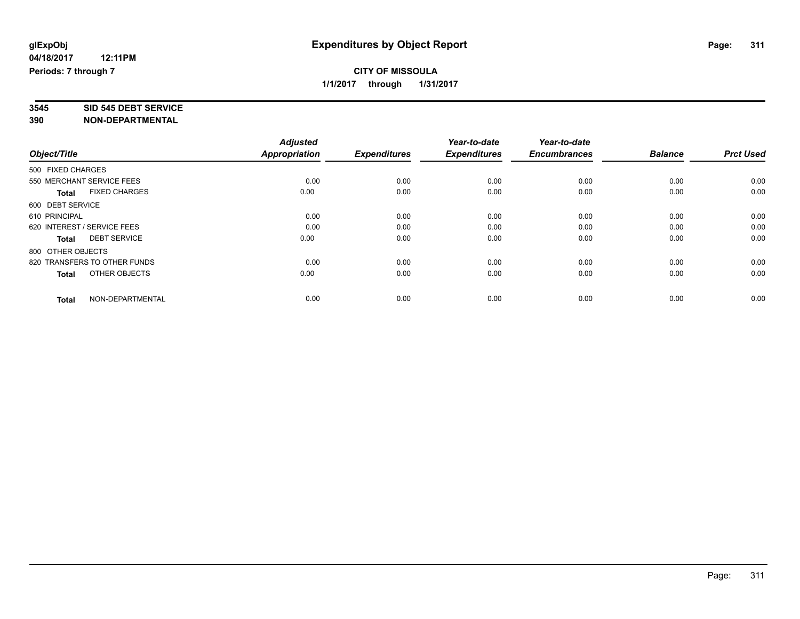# **3545 SID 545 DEBT SERVICE**

|                                      | <b>Adjusted</b> |                     | Year-to-date        | Year-to-date        |                |                  |
|--------------------------------------|-----------------|---------------------|---------------------|---------------------|----------------|------------------|
| Object/Title                         | Appropriation   | <b>Expenditures</b> | <b>Expenditures</b> | <b>Encumbrances</b> | <b>Balance</b> | <b>Prct Used</b> |
| 500 FIXED CHARGES                    |                 |                     |                     |                     |                |                  |
| 550 MERCHANT SERVICE FEES            | 0.00            | 0.00                | 0.00                | 0.00                | 0.00           | 0.00             |
| <b>FIXED CHARGES</b><br><b>Total</b> | 0.00            | 0.00                | 0.00                | 0.00                | 0.00           | 0.00             |
| 600 DEBT SERVICE                     |                 |                     |                     |                     |                |                  |
| 610 PRINCIPAL                        | 0.00            | 0.00                | 0.00                | 0.00                | 0.00           | 0.00             |
| 620 INTEREST / SERVICE FEES          | 0.00            | 0.00                | 0.00                | 0.00                | 0.00           | 0.00             |
| <b>DEBT SERVICE</b><br><b>Total</b>  | 0.00            | 0.00                | 0.00                | 0.00                | 0.00           | 0.00             |
| 800 OTHER OBJECTS                    |                 |                     |                     |                     |                |                  |
| 820 TRANSFERS TO OTHER FUNDS         | 0.00            | 0.00                | 0.00                | 0.00                | 0.00           | 0.00             |
| OTHER OBJECTS<br>Total               | 0.00            | 0.00                | 0.00                | 0.00                | 0.00           | 0.00             |
|                                      |                 |                     |                     |                     |                |                  |
| NON-DEPARTMENTAL<br><b>Total</b>     | 0.00            | 0.00                | 0.00                | 0.00                | 0.00           | 0.00             |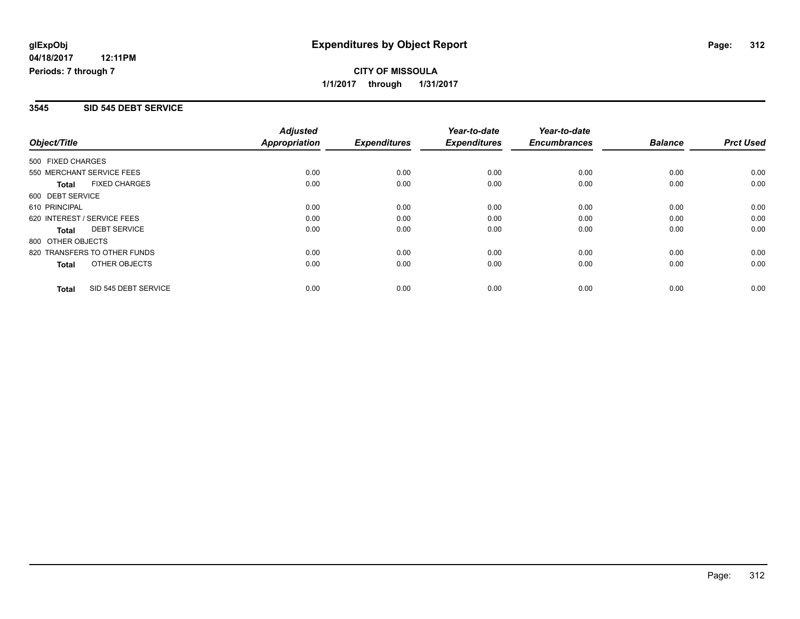## **CITY OF MISSOULA 1/1/2017 through 1/31/2017**

#### **3545 SID 545 DEBT SERVICE**

| Object/Title                |                              | <b>Adjusted</b><br><b>Appropriation</b> | <b>Expenditures</b> | Year-to-date<br><b>Expenditures</b> | Year-to-date<br><b>Encumbrances</b> | <b>Balance</b> | <b>Prct Used</b> |
|-----------------------------|------------------------------|-----------------------------------------|---------------------|-------------------------------------|-------------------------------------|----------------|------------------|
| 500 FIXED CHARGES           |                              |                                         |                     |                                     |                                     |                |                  |
| 550 MERCHANT SERVICE FEES   |                              | 0.00                                    | 0.00                | 0.00                                | 0.00                                | 0.00           | 0.00             |
| Total                       | <b>FIXED CHARGES</b>         | 0.00                                    | 0.00                | 0.00                                | 0.00                                | 0.00           | 0.00             |
| 600 DEBT SERVICE            |                              |                                         |                     |                                     |                                     |                |                  |
| 610 PRINCIPAL               |                              | 0.00                                    | 0.00                | 0.00                                | 0.00                                | 0.00           | 0.00             |
| 620 INTEREST / SERVICE FEES |                              | 0.00                                    | 0.00                | 0.00                                | 0.00                                | 0.00           | 0.00             |
| Total                       | <b>DEBT SERVICE</b>          | 0.00                                    | 0.00                | 0.00                                | 0.00                                | 0.00           | 0.00             |
| 800 OTHER OBJECTS           |                              |                                         |                     |                                     |                                     |                |                  |
|                             | 820 TRANSFERS TO OTHER FUNDS | 0.00                                    | 0.00                | 0.00                                | 0.00                                | 0.00           | 0.00             |
| Total                       | OTHER OBJECTS                | 0.00                                    | 0.00                | 0.00                                | 0.00                                | 0.00           | 0.00             |
| Total                       | SID 545 DEBT SERVICE         | 0.00                                    | 0.00                | 0.00                                | 0.00                                | 0.00           | 0.00             |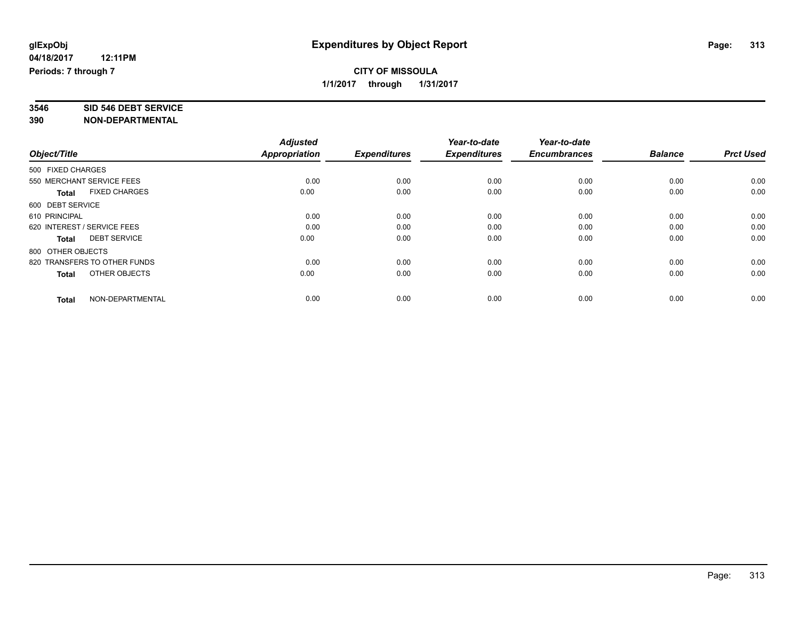# **3546 SID 546 DEBT SERVICE**

|                                      | <b>Adjusted</b> |                     | Year-to-date        | Year-to-date        |                |                  |
|--------------------------------------|-----------------|---------------------|---------------------|---------------------|----------------|------------------|
| Object/Title                         | Appropriation   | <b>Expenditures</b> | <b>Expenditures</b> | <b>Encumbrances</b> | <b>Balance</b> | <b>Prct Used</b> |
| 500 FIXED CHARGES                    |                 |                     |                     |                     |                |                  |
| 550 MERCHANT SERVICE FEES            | 0.00            | 0.00                | 0.00                | 0.00                | 0.00           | 0.00             |
| <b>FIXED CHARGES</b><br><b>Total</b> | 0.00            | 0.00                | 0.00                | 0.00                | 0.00           | 0.00             |
| 600 DEBT SERVICE                     |                 |                     |                     |                     |                |                  |
| 610 PRINCIPAL                        | 0.00            | 0.00                | 0.00                | 0.00                | 0.00           | 0.00             |
| 620 INTEREST / SERVICE FEES          | 0.00            | 0.00                | 0.00                | 0.00                | 0.00           | 0.00             |
| <b>DEBT SERVICE</b><br><b>Total</b>  | 0.00            | 0.00                | 0.00                | 0.00                | 0.00           | 0.00             |
| 800 OTHER OBJECTS                    |                 |                     |                     |                     |                |                  |
| 820 TRANSFERS TO OTHER FUNDS         | 0.00            | 0.00                | 0.00                | 0.00                | 0.00           | 0.00             |
| OTHER OBJECTS<br>Total               | 0.00            | 0.00                | 0.00                | 0.00                | 0.00           | 0.00             |
|                                      |                 |                     |                     |                     |                |                  |
| NON-DEPARTMENTAL<br><b>Total</b>     | 0.00            | 0.00                | 0.00                | 0.00                | 0.00           | 0.00             |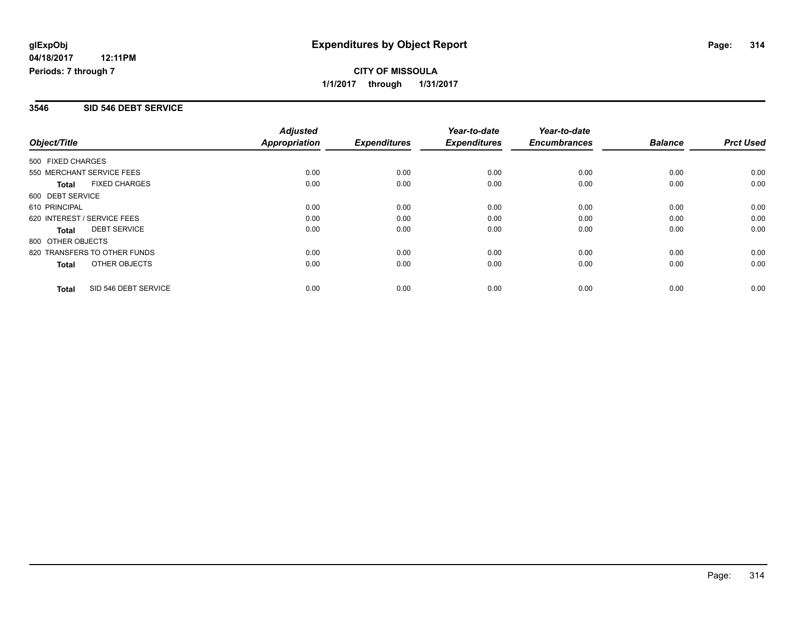## **CITY OF MISSOULA 1/1/2017 through 1/31/2017**

#### **3546 SID 546 DEBT SERVICE**

|                             |                              | <b>Adjusted</b>      |                     | Year-to-date        | Year-to-date        |                |                  |
|-----------------------------|------------------------------|----------------------|---------------------|---------------------|---------------------|----------------|------------------|
| Object/Title                |                              | <b>Appropriation</b> | <b>Expenditures</b> | <b>Expenditures</b> | <b>Encumbrances</b> | <b>Balance</b> | <b>Prct Used</b> |
| 500 FIXED CHARGES           |                              |                      |                     |                     |                     |                |                  |
| 550 MERCHANT SERVICE FEES   |                              | 0.00                 | 0.00                | 0.00                | 0.00                | 0.00           | 0.00             |
| <b>Total</b>                | <b>FIXED CHARGES</b>         | 0.00                 | 0.00                | 0.00                | 0.00                | 0.00           | 0.00             |
| 600 DEBT SERVICE            |                              |                      |                     |                     |                     |                |                  |
| 610 PRINCIPAL               |                              | 0.00                 | 0.00                | 0.00                | 0.00                | 0.00           | 0.00             |
| 620 INTEREST / SERVICE FEES |                              | 0.00                 | 0.00                | 0.00                | 0.00                | 0.00           | 0.00             |
| <b>Total</b>                | <b>DEBT SERVICE</b>          | 0.00                 | 0.00                | 0.00                | 0.00                | 0.00           | 0.00             |
| 800 OTHER OBJECTS           |                              |                      |                     |                     |                     |                |                  |
|                             | 820 TRANSFERS TO OTHER FUNDS | 0.00                 | 0.00                | 0.00                | 0.00                | 0.00           | 0.00             |
| <b>Total</b>                | OTHER OBJECTS                | 0.00                 | 0.00                | 0.00                | 0.00                | 0.00           | 0.00             |
| <b>Total</b>                | SID 546 DEBT SERVICE         | 0.00                 | 0.00                | 0.00                | 0.00                | 0.00           | 0.00             |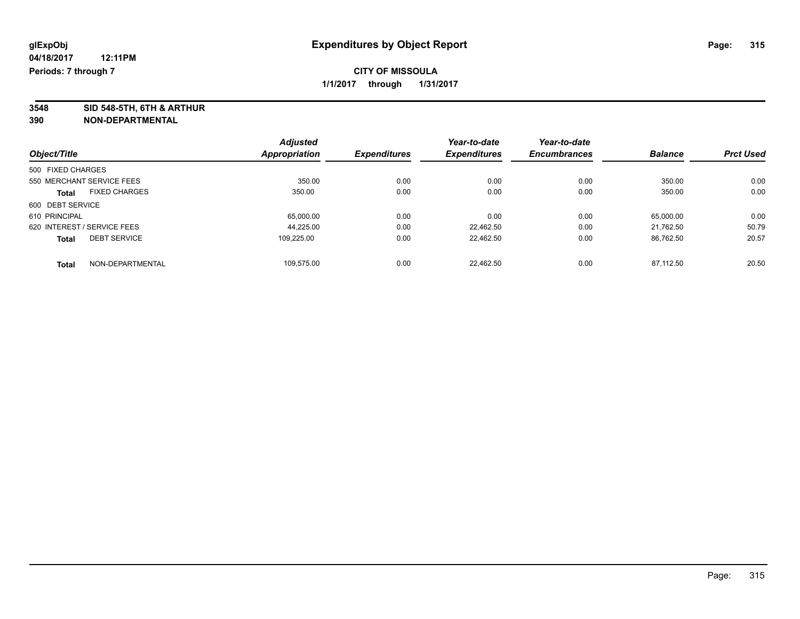**3548 SID 548-5TH, 6TH & ARTHUR**

|                                      |               | <b>Adjusted</b>     | Year-to-date        | Year-to-date        |                |                  |
|--------------------------------------|---------------|---------------------|---------------------|---------------------|----------------|------------------|
| Object/Title                         | Appropriation | <b>Expenditures</b> | <b>Expenditures</b> | <b>Encumbrances</b> | <b>Balance</b> | <b>Prct Used</b> |
| 500 FIXED CHARGES                    |               |                     |                     |                     |                |                  |
| 550 MERCHANT SERVICE FEES            |               | 350.00              | 0.00<br>0.00        | 0.00                | 350.00         | 0.00             |
| <b>FIXED CHARGES</b><br><b>Total</b> |               | 350.00              | 0.00<br>0.00        | 0.00                | 350.00         | 0.00             |
| 600 DEBT SERVICE                     |               |                     |                     |                     |                |                  |
| 610 PRINCIPAL                        |               | 65,000.00           | 0.00<br>0.00        | 0.00                | 65,000.00      | 0.00             |
| 620 INTEREST / SERVICE FEES          |               | 44.225.00           | 0.00<br>22.462.50   | 0.00                | 21.762.50      | 50.79            |
| <b>DEBT SERVICE</b><br><b>Total</b>  |               | 109.225.00          | 0.00<br>22.462.50   | 0.00                | 86.762.50      | 20.57            |
| NON-DEPARTMENTAL<br><b>Total</b>     |               | 109.575.00          | 0.00<br>22.462.50   | 0.00                | 87.112.50      | 20.50            |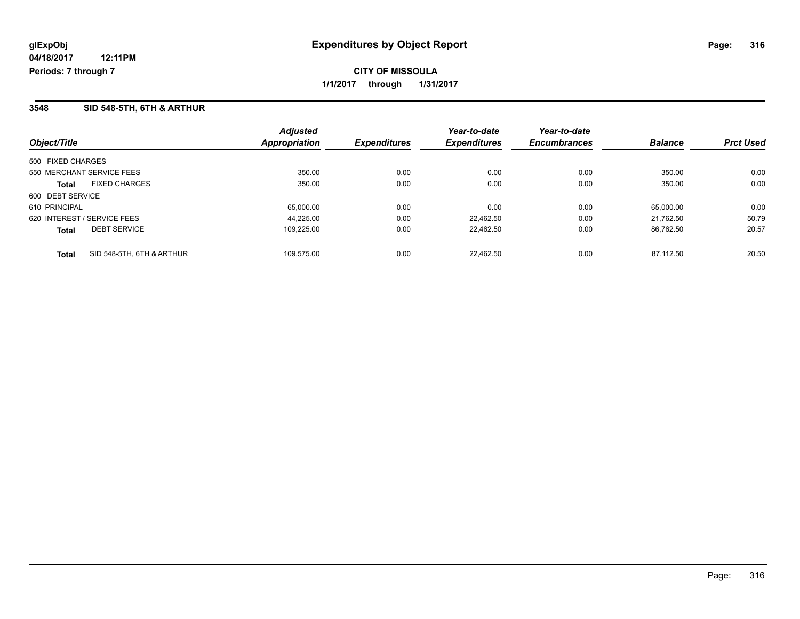**CITY OF MISSOULA 1/1/2017 through 1/31/2017**

### **3548 SID 548-5TH, 6TH & ARTHUR**

| Object/Title                              | <b>Adjusted</b><br>Appropriation | <b>Expenditures</b> | Year-to-date<br><b>Expenditures</b> | Year-to-date<br><b>Encumbrances</b> | <b>Balance</b> | <b>Prct Used</b> |
|-------------------------------------------|----------------------------------|---------------------|-------------------------------------|-------------------------------------|----------------|------------------|
| 500 FIXED CHARGES                         |                                  |                     |                                     |                                     |                |                  |
| 550 MERCHANT SERVICE FEES                 | 350.00                           | 0.00                | 0.00                                | 0.00                                | 350.00         | 0.00             |
| <b>FIXED CHARGES</b><br>Total             | 350.00                           | 0.00                | 0.00                                | 0.00                                | 350.00         | 0.00             |
| 600 DEBT SERVICE                          |                                  |                     |                                     |                                     |                |                  |
| 610 PRINCIPAL                             | 65,000.00                        | 0.00                | 0.00                                | 0.00                                | 65.000.00      | 0.00             |
| 620 INTEREST / SERVICE FEES               | 44.225.00                        | 0.00                | 22.462.50                           | 0.00                                | 21.762.50      | 50.79            |
| <b>DEBT SERVICE</b><br><b>Total</b>       | 109,225.00                       | 0.00                | 22,462.50                           | 0.00                                | 86,762.50      | 20.57            |
| SID 548-5TH, 6TH & ARTHUR<br><b>Total</b> | 109.575.00                       | 0.00                | 22.462.50                           | 0.00                                | 87.112.50      | 20.50            |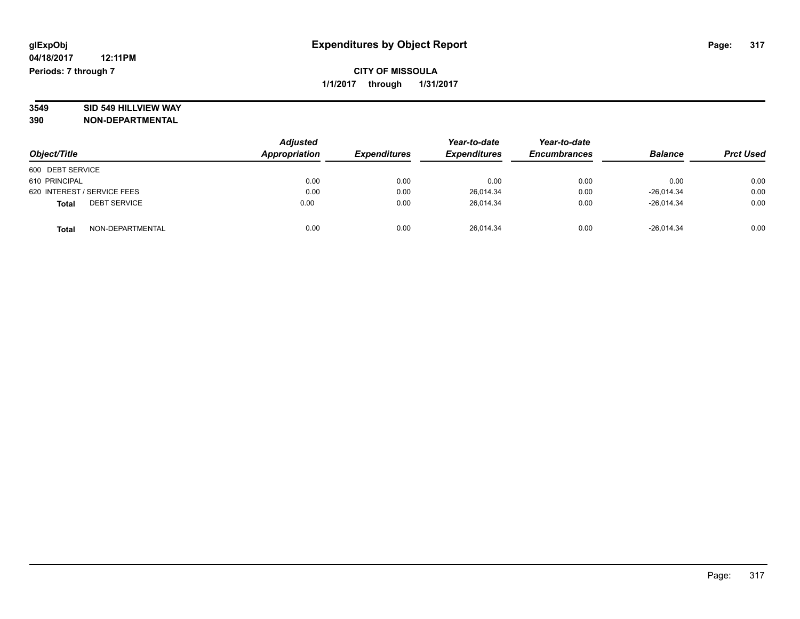# **3549 SID 549 HILLVIEW WAY**

| Object/Title                        | <b>Adjusted</b><br>Appropriation | <b>Expenditures</b> | Year-to-date<br><b>Expenditures</b> | Year-to-date<br><b>Encumbrances</b> | <b>Balance</b> | <b>Prct Used</b> |
|-------------------------------------|----------------------------------|---------------------|-------------------------------------|-------------------------------------|----------------|------------------|
| 600 DEBT SERVICE                    |                                  |                     |                                     |                                     |                |                  |
| 610 PRINCIPAL                       | 0.00                             | 0.00                | 0.00                                | 0.00                                | 0.00           | 0.00             |
| 620 INTEREST / SERVICE FEES         | 0.00                             | 0.00                | 26.014.34                           | 0.00                                | $-26.014.34$   | 0.00             |
| <b>DEBT SERVICE</b><br><b>Total</b> | 0.00                             | 0.00                | 26.014.34                           | 0.00                                | $-26.014.34$   | 0.00             |
| NON-DEPARTMENTAL<br><b>Total</b>    | 0.00                             | 0.00                | 26,014.34                           | 0.00                                | $-26,014.34$   | 0.00             |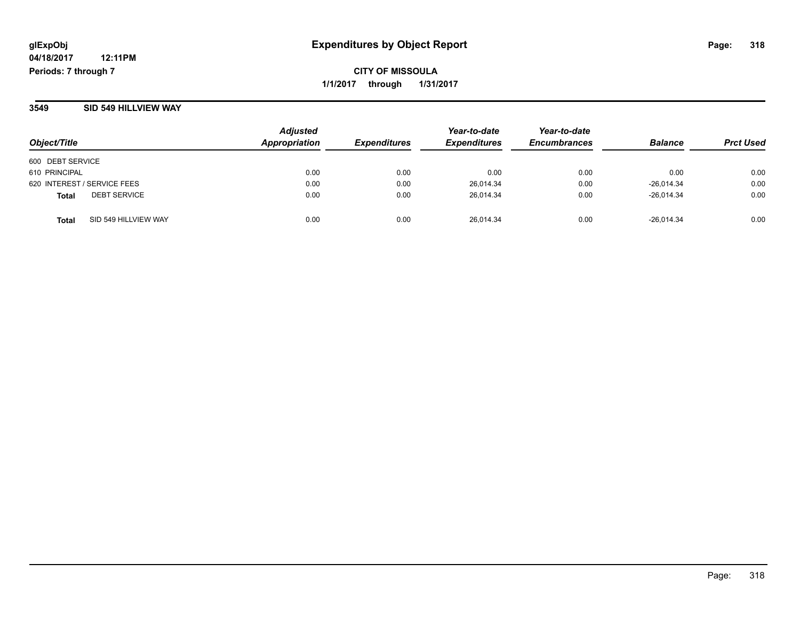**CITY OF MISSOULA 1/1/2017 through 1/31/2017**

#### **3549 SID 549 HILLVIEW WAY**

| Object/Title                         | <b>Adjusted</b><br>Appropriation | <b>Expenditures</b> | Year-to-date<br><b>Expenditures</b> | Year-to-date<br><b>Encumbrances</b> | <b>Balance</b> | <b>Prct Used</b> |
|--------------------------------------|----------------------------------|---------------------|-------------------------------------|-------------------------------------|----------------|------------------|
| 600 DEBT SERVICE                     |                                  |                     |                                     |                                     |                |                  |
| 610 PRINCIPAL                        | 0.00                             | 0.00                | 0.00                                | 0.00                                | 0.00           | 0.00             |
| 620 INTEREST / SERVICE FEES          | 0.00                             | 0.00                | 26,014.34                           | 0.00                                | $-26,014.34$   | 0.00             |
| <b>DEBT SERVICE</b><br><b>Total</b>  | 0.00                             | 0.00                | 26,014.34                           | 0.00                                | $-26.014.34$   | 0.00             |
| SID 549 HILLVIEW WAY<br><b>Total</b> | 0.00                             | 0.00                | 26.014.34                           | 0.00                                | $-26.014.34$   | 0.00             |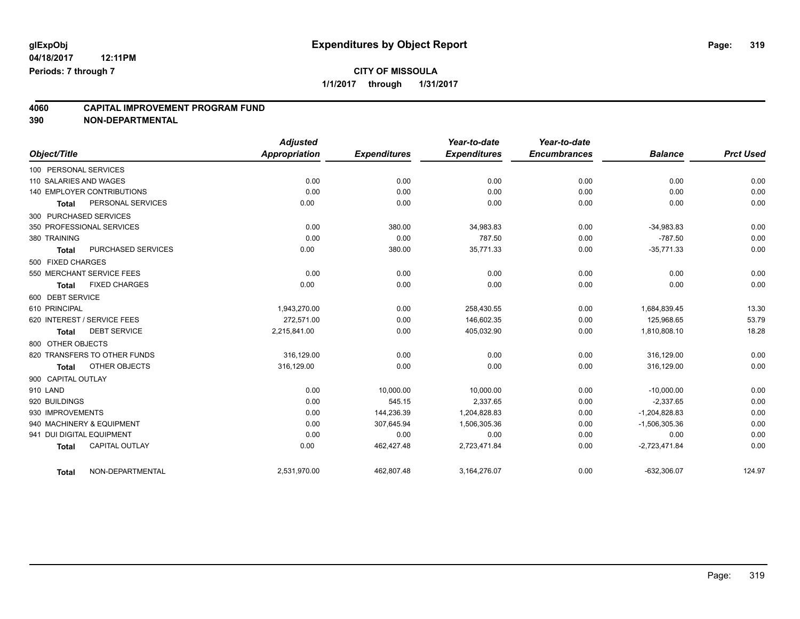## **4060 CAPITAL IMPROVEMENT PROGRAM FUND**

| Object/Title                          | <b>Adjusted</b><br>Appropriation | <b>Expenditures</b> | Year-to-date<br><b>Expenditures</b> | Year-to-date<br><b>Encumbrances</b> | <b>Balance</b>  | <b>Prct Used</b> |
|---------------------------------------|----------------------------------|---------------------|-------------------------------------|-------------------------------------|-----------------|------------------|
| 100 PERSONAL SERVICES                 |                                  |                     |                                     |                                     |                 |                  |
| 110 SALARIES AND WAGES                | 0.00                             | 0.00                | 0.00                                | 0.00                                | 0.00            | 0.00             |
| <b>140 EMPLOYER CONTRIBUTIONS</b>     | 0.00                             | 0.00                | 0.00                                | 0.00                                | 0.00            | 0.00             |
| PERSONAL SERVICES<br><b>Total</b>     | 0.00                             | 0.00                | 0.00                                | 0.00                                | 0.00            | 0.00             |
| 300 PURCHASED SERVICES                |                                  |                     |                                     |                                     |                 |                  |
| 350 PROFESSIONAL SERVICES             | 0.00                             | 380.00              | 34,983.83                           | 0.00                                | $-34,983.83$    | 0.00             |
| 380 TRAINING                          | 0.00                             | 0.00                | 787.50                              | 0.00                                | $-787.50$       | 0.00             |
| PURCHASED SERVICES<br><b>Total</b>    | 0.00                             | 380.00              | 35,771.33                           | 0.00                                | $-35,771.33$    | 0.00             |
| 500 FIXED CHARGES                     |                                  |                     |                                     |                                     |                 |                  |
| 550 MERCHANT SERVICE FEES             | 0.00                             | 0.00                | 0.00                                | 0.00                                | 0.00            | 0.00             |
| <b>FIXED CHARGES</b><br><b>Total</b>  | 0.00                             | 0.00                | 0.00                                | 0.00                                | 0.00            | 0.00             |
| 600 DEBT SERVICE                      |                                  |                     |                                     |                                     |                 |                  |
| 610 PRINCIPAL                         | 1,943,270.00                     | 0.00                | 258,430.55                          | 0.00                                | 1,684,839.45    | 13.30            |
| 620 INTEREST / SERVICE FEES           | 272,571.00                       | 0.00                | 146,602.35                          | 0.00                                | 125,968.65      | 53.79            |
| <b>DEBT SERVICE</b><br><b>Total</b>   | 2,215,841.00                     | 0.00                | 405,032.90                          | 0.00                                | 1,810,808.10    | 18.28            |
| 800 OTHER OBJECTS                     |                                  |                     |                                     |                                     |                 |                  |
| 820 TRANSFERS TO OTHER FUNDS          | 316.129.00                       | 0.00                | 0.00                                | 0.00                                | 316,129.00      | 0.00             |
| OTHER OBJECTS<br><b>Total</b>         | 316,129.00                       | 0.00                | 0.00                                | 0.00                                | 316,129.00      | 0.00             |
| 900 CAPITAL OUTLAY                    |                                  |                     |                                     |                                     |                 |                  |
| 910 LAND                              | 0.00                             | 10,000.00           | 10,000.00                           | 0.00                                | $-10,000.00$    | 0.00             |
| 920 BUILDINGS                         | 0.00                             | 545.15              | 2,337.65                            | 0.00                                | $-2,337.65$     | 0.00             |
| 930 IMPROVEMENTS                      | 0.00                             | 144,236.39          | 1,204,828.83                        | 0.00                                | $-1,204,828.83$ | 0.00             |
| 940 MACHINERY & EQUIPMENT             | 0.00                             | 307,645.94          | 1,506,305.36                        | 0.00                                | $-1,506,305.36$ | 0.00             |
| 941 DUI DIGITAL EQUIPMENT             | 0.00                             | 0.00                | 0.00                                | 0.00                                | 0.00            | 0.00             |
| <b>CAPITAL OUTLAY</b><br><b>Total</b> | 0.00                             | 462,427.48          | 2,723,471.84                        | 0.00                                | $-2,723,471.84$ | 0.00             |
| NON-DEPARTMENTAL<br><b>Total</b>      | 2,531,970.00                     | 462,807.48          | 3,164,276.07                        | 0.00                                | $-632,306.07$   | 124.97           |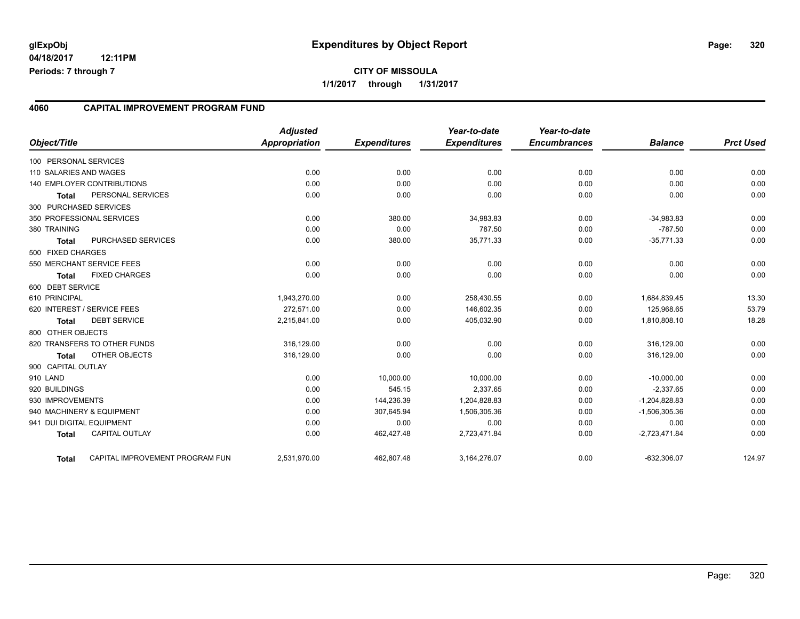#### **4060 CAPITAL IMPROVEMENT PROGRAM FUND**

| Object/Title              |                                 | <b>Adjusted</b><br><b>Appropriation</b> | <b>Expenditures</b> | Year-to-date<br><b>Expenditures</b> | Year-to-date<br><b>Encumbrances</b> | <b>Balance</b>  | <b>Prct Used</b> |
|---------------------------|---------------------------------|-----------------------------------------|---------------------|-------------------------------------|-------------------------------------|-----------------|------------------|
| 100 PERSONAL SERVICES     |                                 |                                         |                     |                                     |                                     |                 |                  |
| 110 SALARIES AND WAGES    |                                 | 0.00                                    | 0.00                | 0.00                                | 0.00                                | 0.00            | 0.00             |
|                           | 140 EMPLOYER CONTRIBUTIONS      | 0.00                                    | 0.00                | 0.00                                | 0.00                                | 0.00            | 0.00             |
| Total                     | PERSONAL SERVICES               | 0.00                                    | 0.00                | 0.00                                | 0.00                                | 0.00            | 0.00             |
| 300 PURCHASED SERVICES    |                                 |                                         |                     |                                     |                                     |                 |                  |
|                           | 350 PROFESSIONAL SERVICES       | 0.00                                    | 380.00              | 34,983.83                           | 0.00                                | $-34,983.83$    | 0.00             |
| 380 TRAINING              |                                 | 0.00                                    | 0.00                | 787.50                              | 0.00                                | $-787.50$       | 0.00             |
| <b>Total</b>              | PURCHASED SERVICES              | 0.00                                    | 380.00              | 35,771.33                           | 0.00                                | $-35,771.33$    | 0.00             |
| 500 FIXED CHARGES         |                                 |                                         |                     |                                     |                                     |                 |                  |
|                           | 550 MERCHANT SERVICE FEES       | 0.00                                    | 0.00                | 0.00                                | 0.00                                | 0.00            | 0.00             |
| <b>Total</b>              | <b>FIXED CHARGES</b>            | 0.00                                    | 0.00                | 0.00                                | 0.00                                | 0.00            | 0.00             |
| 600 DEBT SERVICE          |                                 |                                         |                     |                                     |                                     |                 |                  |
| 610 PRINCIPAL             |                                 | 1,943,270.00                            | 0.00                | 258,430.55                          | 0.00                                | 1,684,839.45    | 13.30            |
|                           | 620 INTEREST / SERVICE FEES     | 272.571.00                              | 0.00                | 146.602.35                          | 0.00                                | 125.968.65      | 53.79            |
| <b>Total</b>              | <b>DEBT SERVICE</b>             | 2,215,841.00                            | 0.00                | 405,032.90                          | 0.00                                | 1,810,808.10    | 18.28            |
| 800 OTHER OBJECTS         |                                 |                                         |                     |                                     |                                     |                 |                  |
|                           | 820 TRANSFERS TO OTHER FUNDS    | 316,129.00                              | 0.00                | 0.00                                | 0.00                                | 316,129.00      | 0.00             |
| Total                     | OTHER OBJECTS                   | 316,129.00                              | 0.00                | 0.00                                | 0.00                                | 316,129.00      | 0.00             |
| 900 CAPITAL OUTLAY        |                                 |                                         |                     |                                     |                                     |                 |                  |
| 910 LAND                  |                                 | 0.00                                    | 10,000.00           | 10,000.00                           | 0.00                                | $-10,000.00$    | 0.00             |
| 920 BUILDINGS             |                                 | 0.00                                    | 545.15              | 2,337.65                            | 0.00                                | $-2,337.65$     | 0.00             |
| 930 IMPROVEMENTS          |                                 | 0.00                                    | 144,236.39          | 1,204,828.83                        | 0.00                                | $-1,204,828.83$ | 0.00             |
|                           | 940 MACHINERY & EQUIPMENT       | 0.00                                    | 307,645.94          | 1,506,305.36                        | 0.00                                | $-1,506,305.36$ | 0.00             |
| 941 DUI DIGITAL EQUIPMENT |                                 | 0.00                                    | 0.00                | 0.00                                | 0.00                                | 0.00            | 0.00             |
| <b>Total</b>              | <b>CAPITAL OUTLAY</b>           | 0.00                                    | 462,427.48          | 2,723,471.84                        | 0.00                                | $-2,723,471.84$ | 0.00             |
| <b>Total</b>              | CAPITAL IMPROVEMENT PROGRAM FUN | 2,531,970.00                            | 462,807.48          | 3,164,276.07                        | 0.00                                | $-632,306.07$   | 124.97           |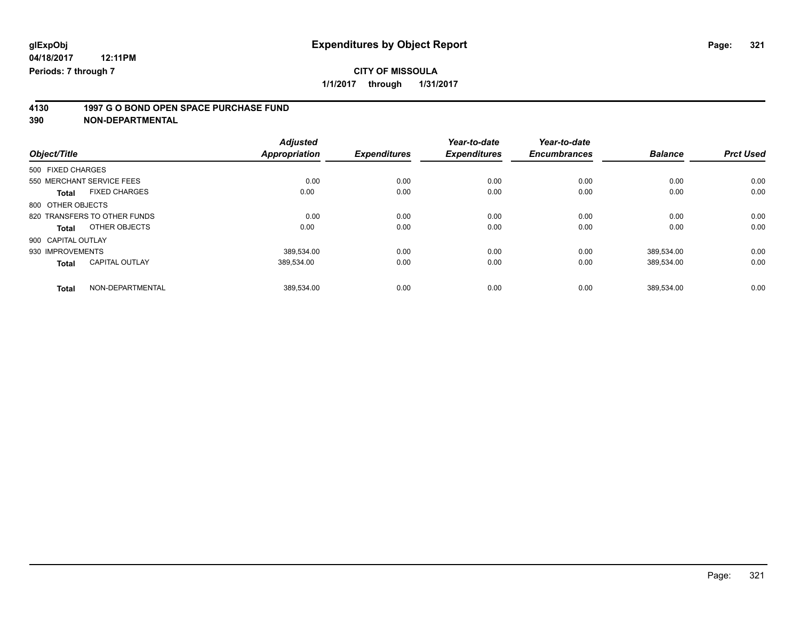**4130 1997 G O BOND OPEN SPACE PURCHASE FUND**

|                                       | <b>Adjusted</b>      |                     | Year-to-date        | Year-to-date        |                |                  |
|---------------------------------------|----------------------|---------------------|---------------------|---------------------|----------------|------------------|
| Object/Title                          | <b>Appropriation</b> | <b>Expenditures</b> | <b>Expenditures</b> | <b>Encumbrances</b> | <b>Balance</b> | <b>Prct Used</b> |
| 500 FIXED CHARGES                     |                      |                     |                     |                     |                |                  |
| 550 MERCHANT SERVICE FEES             | 0.00                 | 0.00                | 0.00                | 0.00                | 0.00           | 0.00             |
| <b>FIXED CHARGES</b><br><b>Total</b>  | 0.00                 | 0.00                | 0.00                | 0.00                | 0.00           | 0.00             |
| 800 OTHER OBJECTS                     |                      |                     |                     |                     |                |                  |
| 820 TRANSFERS TO OTHER FUNDS          | 0.00                 | 0.00                | 0.00                | 0.00                | 0.00           | 0.00             |
| OTHER OBJECTS<br>Total                | 0.00                 | 0.00                | 0.00                | 0.00                | 0.00           | 0.00             |
| 900 CAPITAL OUTLAY                    |                      |                     |                     |                     |                |                  |
| 930 IMPROVEMENTS                      | 389.534.00           | 0.00                | 0.00                | 0.00                | 389.534.00     | 0.00             |
| <b>CAPITAL OUTLAY</b><br><b>Total</b> | 389,534.00           | 0.00                | 0.00                | 0.00                | 389,534.00     | 0.00             |
| NON-DEPARTMENTAL<br><b>Total</b>      | 389.534.00           | 0.00                | 0.00                | 0.00                | 389.534.00     | 0.00             |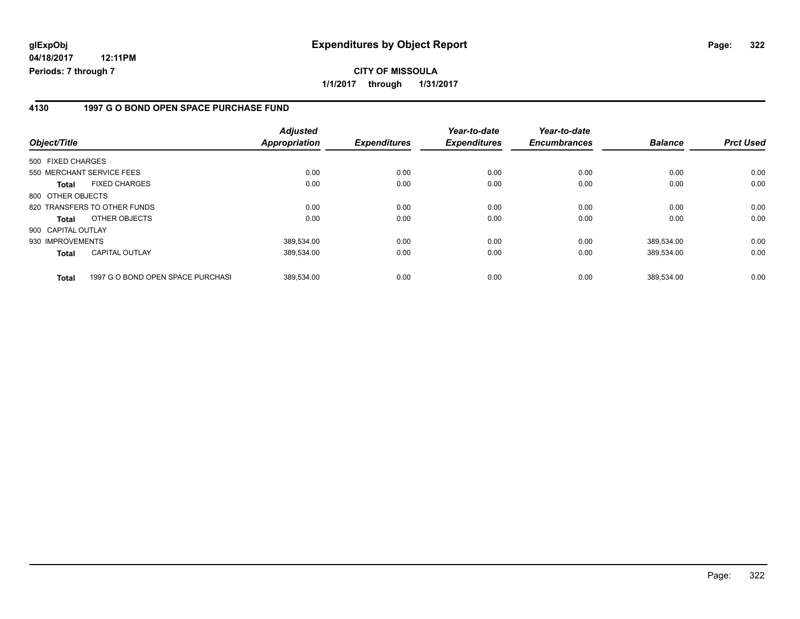### **4130 1997 G O BOND OPEN SPACE PURCHASE FUND**

| Object/Title                                      | <b>Adjusted</b><br><b>Appropriation</b> | <b>Expenditures</b> | Year-to-date<br><b>Expenditures</b> | Year-to-date<br><b>Encumbrances</b> | <b>Balance</b> | <b>Prct Used</b> |
|---------------------------------------------------|-----------------------------------------|---------------------|-------------------------------------|-------------------------------------|----------------|------------------|
| 500 FIXED CHARGES                                 |                                         |                     |                                     |                                     |                |                  |
| 550 MERCHANT SERVICE FEES                         | 0.00                                    | 0.00                | 0.00                                | 0.00                                | 0.00           | 0.00             |
| <b>FIXED CHARGES</b><br><b>Total</b>              | 0.00                                    | 0.00                | 0.00                                | 0.00                                | 0.00           | 0.00             |
| 800 OTHER OBJECTS                                 |                                         |                     |                                     |                                     |                |                  |
| 820 TRANSFERS TO OTHER FUNDS                      | 0.00                                    | 0.00                | 0.00                                | 0.00                                | 0.00           | 0.00             |
| OTHER OBJECTS<br><b>Total</b>                     | 0.00                                    | 0.00                | 0.00                                | 0.00                                | 0.00           | 0.00             |
| 900 CAPITAL OUTLAY                                |                                         |                     |                                     |                                     |                |                  |
| 930 IMPROVEMENTS                                  | 389,534.00                              | 0.00                | 0.00                                | 0.00                                | 389,534.00     | 0.00             |
| <b>CAPITAL OUTLAY</b><br><b>Total</b>             | 389.534.00                              | 0.00                | 0.00                                | 0.00                                | 389,534.00     | 0.00             |
| 1997 G O BOND OPEN SPACE PURCHASI<br><b>Total</b> | 389.534.00                              | 0.00                | 0.00                                | 0.00                                | 389.534.00     | 0.00             |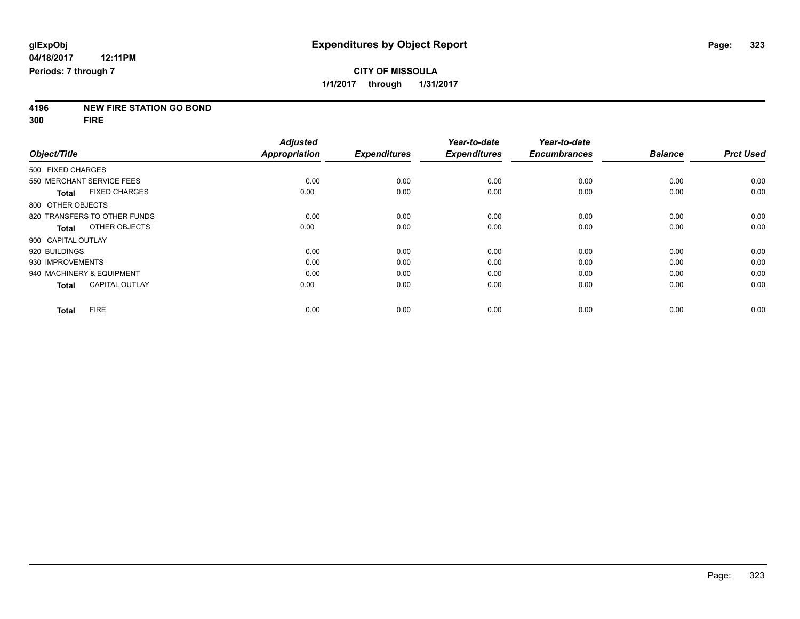# **4196 NEW FIRE STATION GO BOND**

**300 FIRE**

|                           |                              | <b>Adjusted</b>      |                     | Year-to-date        | Year-to-date        |                |                  |
|---------------------------|------------------------------|----------------------|---------------------|---------------------|---------------------|----------------|------------------|
| Object/Title              |                              | <b>Appropriation</b> | <b>Expenditures</b> | <b>Expenditures</b> | <b>Encumbrances</b> | <b>Balance</b> | <b>Prct Used</b> |
| 500 FIXED CHARGES         |                              |                      |                     |                     |                     |                |                  |
| 550 MERCHANT SERVICE FEES |                              | 0.00                 | 0.00                | 0.00                | 0.00                | 0.00           | 0.00             |
| Total                     | <b>FIXED CHARGES</b>         | 0.00                 | 0.00                | 0.00                | 0.00                | 0.00           | 0.00             |
| 800 OTHER OBJECTS         |                              |                      |                     |                     |                     |                |                  |
|                           | 820 TRANSFERS TO OTHER FUNDS | 0.00                 | 0.00                | 0.00                | 0.00                | 0.00           | 0.00             |
| Total                     | OTHER OBJECTS                | 0.00                 | 0.00                | 0.00                | 0.00                | 0.00           | 0.00             |
| 900 CAPITAL OUTLAY        |                              |                      |                     |                     |                     |                |                  |
| 920 BUILDINGS             |                              | 0.00                 | 0.00                | 0.00                | 0.00                | 0.00           | 0.00             |
| 930 IMPROVEMENTS          |                              | 0.00                 | 0.00                | 0.00                | 0.00                | 0.00           | 0.00             |
| 940 MACHINERY & EQUIPMENT |                              | 0.00                 | 0.00                | 0.00                | 0.00                | 0.00           | 0.00             |
| <b>Total</b>              | <b>CAPITAL OUTLAY</b>        | 0.00                 | 0.00                | 0.00                | 0.00                | 0.00           | 0.00             |
| <b>Total</b>              | <b>FIRE</b>                  | 0.00                 | 0.00                | 0.00                | 0.00                | 0.00           | 0.00             |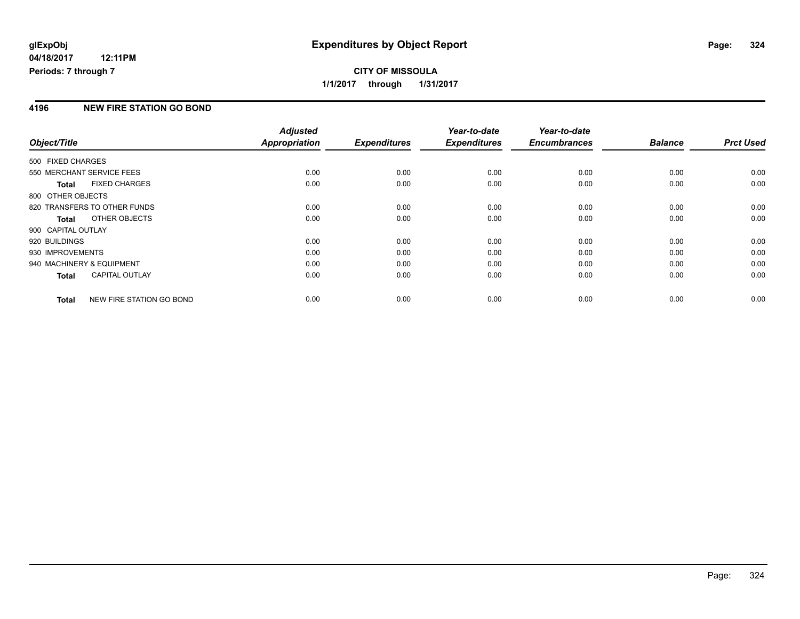### **4196 NEW FIRE STATION GO BOND**

|                           |                              | <b>Adjusted</b> |                     | Year-to-date        | Year-to-date        |                |                  |
|---------------------------|------------------------------|-----------------|---------------------|---------------------|---------------------|----------------|------------------|
| Object/Title              |                              | Appropriation   | <b>Expenditures</b> | <b>Expenditures</b> | <b>Encumbrances</b> | <b>Balance</b> | <b>Prct Used</b> |
| 500 FIXED CHARGES         |                              |                 |                     |                     |                     |                |                  |
| 550 MERCHANT SERVICE FEES |                              | 0.00            | 0.00                | 0.00                | 0.00                | 0.00           | 0.00             |
| <b>Total</b>              | <b>FIXED CHARGES</b>         | 0.00            | 0.00                | 0.00                | 0.00                | 0.00           | 0.00             |
| 800 OTHER OBJECTS         |                              |                 |                     |                     |                     |                |                  |
|                           | 820 TRANSFERS TO OTHER FUNDS | 0.00            | 0.00                | 0.00                | 0.00                | 0.00           | 0.00             |
| <b>Total</b>              | OTHER OBJECTS                | 0.00            | 0.00                | 0.00                | 0.00                | 0.00           | 0.00             |
| 900 CAPITAL OUTLAY        |                              |                 |                     |                     |                     |                |                  |
| 920 BUILDINGS             |                              | 0.00            | 0.00                | 0.00                | 0.00                | 0.00           | 0.00             |
| 930 IMPROVEMENTS          |                              | 0.00            | 0.00                | 0.00                | 0.00                | 0.00           | 0.00             |
| 940 MACHINERY & EQUIPMENT |                              | 0.00            | 0.00                | 0.00                | 0.00                | 0.00           | 0.00             |
| <b>Total</b>              | <b>CAPITAL OUTLAY</b>        | 0.00            | 0.00                | 0.00                | 0.00                | 0.00           | 0.00             |
| <b>Total</b>              | NEW FIRE STATION GO BOND     | 0.00            | 0.00                | 0.00                | 0.00                | 0.00           | 0.00             |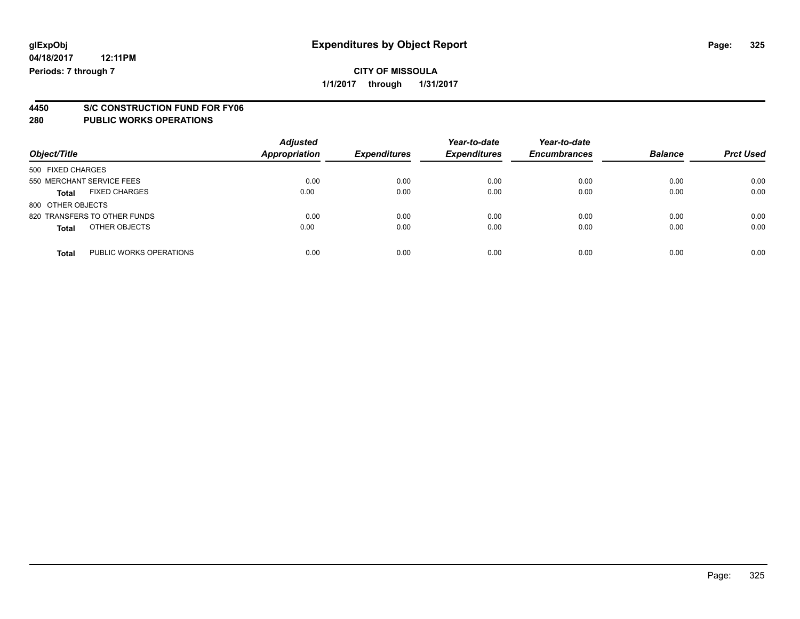## **CITY OF MISSOULA**

**1/1/2017 through 1/31/2017**

# **4450 S/C CONSTRUCTION FUND FOR FY06**

| Object/Title                            | <b>Adjusted</b><br><b>Appropriation</b> | <b>Expenditures</b> | Year-to-date<br><b>Expenditures</b> | Year-to-date<br><b>Encumbrances</b> | <b>Balance</b> | <b>Prct Used</b> |
|-----------------------------------------|-----------------------------------------|---------------------|-------------------------------------|-------------------------------------|----------------|------------------|
| 500 FIXED CHARGES                       |                                         |                     |                                     |                                     |                |                  |
| 550 MERCHANT SERVICE FEES               | 0.00                                    | 0.00                | 0.00                                | 0.00                                | 0.00           | 0.00             |
| <b>FIXED CHARGES</b><br>Total           | 0.00                                    | 0.00                | 0.00                                | 0.00                                | 0.00           | 0.00             |
| 800 OTHER OBJECTS                       |                                         |                     |                                     |                                     |                |                  |
| 820 TRANSFERS TO OTHER FUNDS            | 0.00                                    | 0.00                | 0.00                                | 0.00                                | 0.00           | 0.00             |
| OTHER OBJECTS<br><b>Total</b>           | 0.00                                    | 0.00                | 0.00                                | 0.00                                | 0.00           | 0.00             |
| PUBLIC WORKS OPERATIONS<br><b>Total</b> | 0.00                                    | 0.00                | 0.00                                | 0.00                                | 0.00           | 0.00             |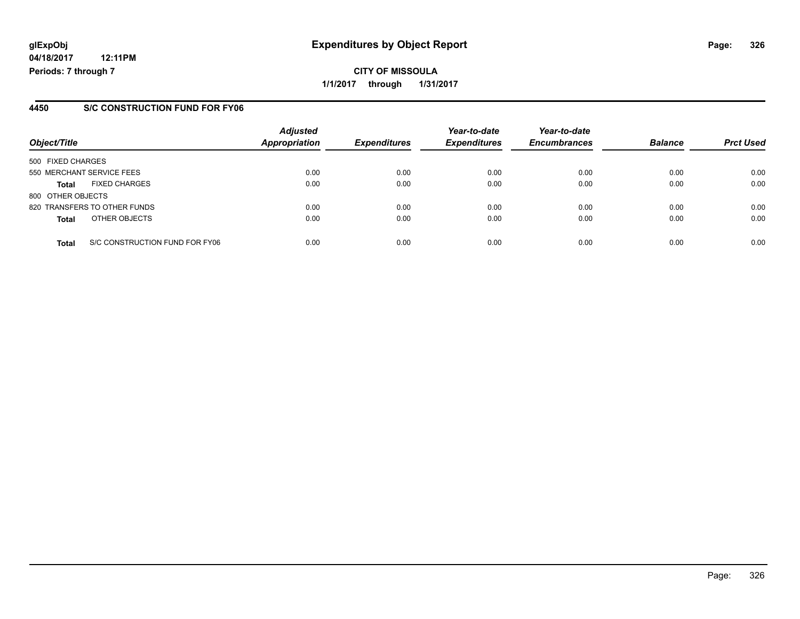#### **4450 S/C CONSTRUCTION FUND FOR FY06**

| Object/Title              |                                | <b>Adjusted</b><br><b>Appropriation</b> | <b>Expenditures</b> | Year-to-date<br><b>Expenditures</b> | Year-to-date<br><b>Encumbrances</b> | <b>Balance</b> | <b>Prct Used</b> |
|---------------------------|--------------------------------|-----------------------------------------|---------------------|-------------------------------------|-------------------------------------|----------------|------------------|
| 500 FIXED CHARGES         |                                |                                         |                     |                                     |                                     |                |                  |
| 550 MERCHANT SERVICE FEES |                                | 0.00                                    | 0.00                | 0.00                                | 0.00                                | 0.00           | 0.00             |
| <b>Total</b>              | <b>FIXED CHARGES</b>           | 0.00                                    | 0.00                | 0.00                                | 0.00                                | 0.00           | 0.00             |
| 800 OTHER OBJECTS         |                                |                                         |                     |                                     |                                     |                |                  |
|                           | 820 TRANSFERS TO OTHER FUNDS   | 0.00                                    | 0.00                | 0.00                                | 0.00                                | 0.00           | 0.00             |
| <b>Total</b>              | OTHER OBJECTS                  | 0.00                                    | 0.00                | 0.00                                | 0.00                                | 0.00           | 0.00             |
| <b>Total</b>              | S/C CONSTRUCTION FUND FOR FY06 | 0.00                                    | 0.00                | 0.00                                | 0.00                                | 0.00           | 0.00             |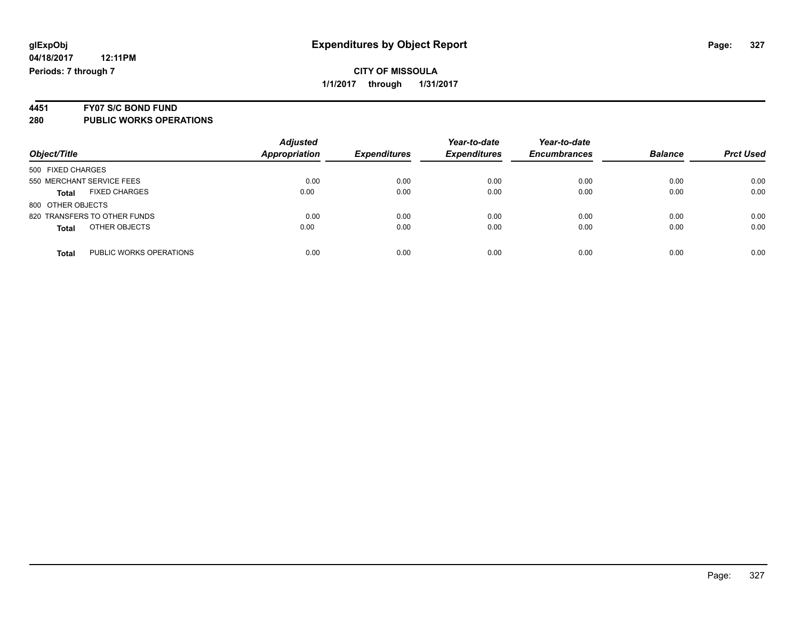#### **CITY OF MISSOULA 1/1/2017 through 1/31/2017**

# **4451 FY07 S/C BOND FUND**

|                                      | <b>Adjusted</b>      |                     | Year-to-date        | Year-to-date        |                |                  |
|--------------------------------------|----------------------|---------------------|---------------------|---------------------|----------------|------------------|
| Object/Title                         | <b>Appropriation</b> | <b>Expenditures</b> | <b>Expenditures</b> | <b>Encumbrances</b> | <b>Balance</b> | <b>Prct Used</b> |
| 500 FIXED CHARGES                    |                      |                     |                     |                     |                |                  |
| 550 MERCHANT SERVICE FEES            | 0.00                 | 0.00                | 0.00                | 0.00                | 0.00           | 0.00             |
| <b>FIXED CHARGES</b><br><b>Total</b> | 0.00                 | 0.00                | 0.00                | 0.00                | 0.00           | 0.00             |
| 800 OTHER OBJECTS                    |                      |                     |                     |                     |                |                  |
| 820 TRANSFERS TO OTHER FUNDS         | 0.00                 | 0.00                | 0.00                | 0.00                | 0.00           | 0.00             |
| OTHER OBJECTS<br><b>Total</b>        | 0.00                 | 0.00                | 0.00                | 0.00                | 0.00           | 0.00             |
| PUBLIC WORKS OPERATIONS<br>Total     | 0.00                 | 0.00                | 0.00                | 0.00                | 0.00           | 0.00             |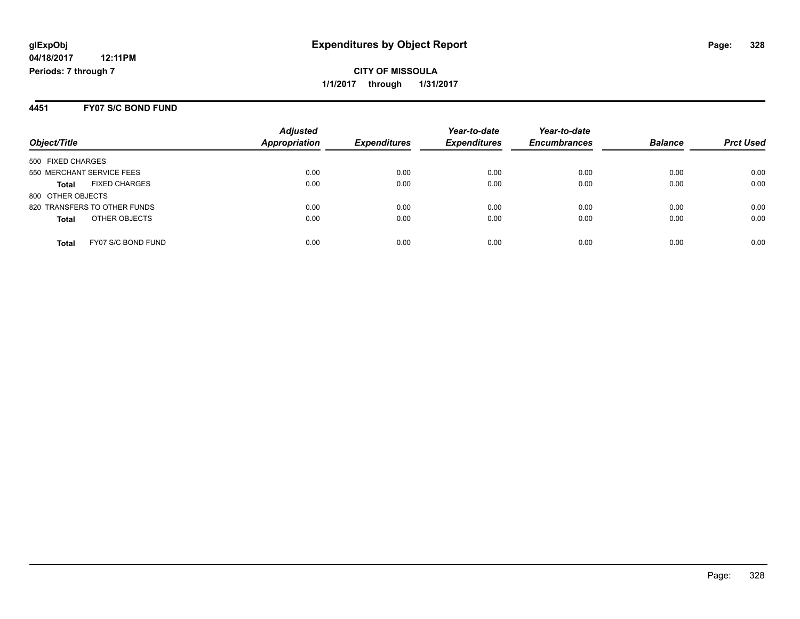**CITY OF MISSOULA 1/1/2017 through 1/31/2017**

#### **4451 FY07 S/C BOND FUND**

| Object/Title                         | <b>Adjusted</b><br>Appropriation | <b>Expenditures</b> | Year-to-date<br><b>Expenditures</b> | Year-to-date<br><b>Encumbrances</b> | <b>Balance</b> | <b>Prct Used</b> |
|--------------------------------------|----------------------------------|---------------------|-------------------------------------|-------------------------------------|----------------|------------------|
| 500 FIXED CHARGES                    |                                  |                     |                                     |                                     |                |                  |
| 550 MERCHANT SERVICE FEES            | 0.00                             | 0.00                | 0.00                                | 0.00                                | 0.00           | 0.00             |
| <b>FIXED CHARGES</b><br><b>Total</b> | 0.00                             | 0.00                | 0.00                                | 0.00                                | 0.00           | 0.00             |
| 800 OTHER OBJECTS                    |                                  |                     |                                     |                                     |                |                  |
| 820 TRANSFERS TO OTHER FUNDS         | 0.00                             | 0.00                | 0.00                                | 0.00                                | 0.00           | 0.00             |
| OTHER OBJECTS<br><b>Total</b>        | 0.00                             | 0.00                | 0.00                                | 0.00                                | 0.00           | 0.00             |
| FY07 S/C BOND FUND<br><b>Total</b>   | 0.00                             | 0.00                | 0.00                                | 0.00                                | 0.00           | 0.00             |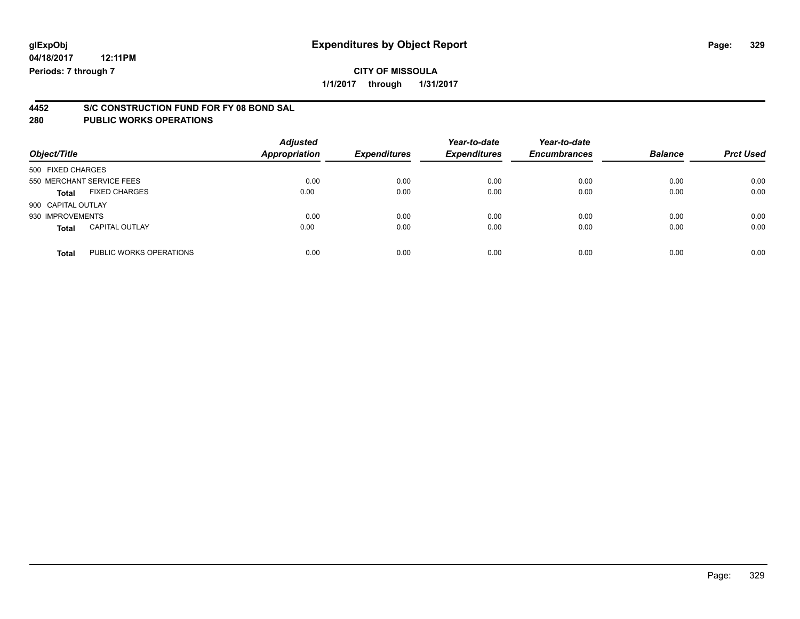### **CITY OF MISSOULA**

**1/1/2017 through 1/31/2017**

# **4452 S/C CONSTRUCTION FUND FOR FY 08 BOND SAL**

| Object/Title              |                         | <b>Adjusted</b><br>Appropriation | <b>Expenditures</b> | Year-to-date<br><b>Expenditures</b> | Year-to-date<br><b>Encumbrances</b> | <b>Balance</b> | <b>Prct Used</b> |
|---------------------------|-------------------------|----------------------------------|---------------------|-------------------------------------|-------------------------------------|----------------|------------------|
| 500 FIXED CHARGES         |                         |                                  |                     |                                     |                                     |                |                  |
| 550 MERCHANT SERVICE FEES |                         | 0.00                             | 0.00                | 0.00                                | 0.00                                | 0.00           | 0.00             |
| <b>Total</b>              | <b>FIXED CHARGES</b>    | 0.00                             | 0.00                | 0.00                                | 0.00                                | 0.00           | 0.00             |
| 900 CAPITAL OUTLAY        |                         |                                  |                     |                                     |                                     |                |                  |
| 930 IMPROVEMENTS          |                         | 0.00                             | 0.00                | 0.00                                | 0.00                                | 0.00           | 0.00             |
| <b>Total</b>              | <b>CAPITAL OUTLAY</b>   | 0.00                             | 0.00                | 0.00                                | 0.00                                | 0.00           | 0.00             |
| <b>Total</b>              | PUBLIC WORKS OPERATIONS | 0.00                             | 0.00                | 0.00                                | 0.00                                | 0.00           | 0.00             |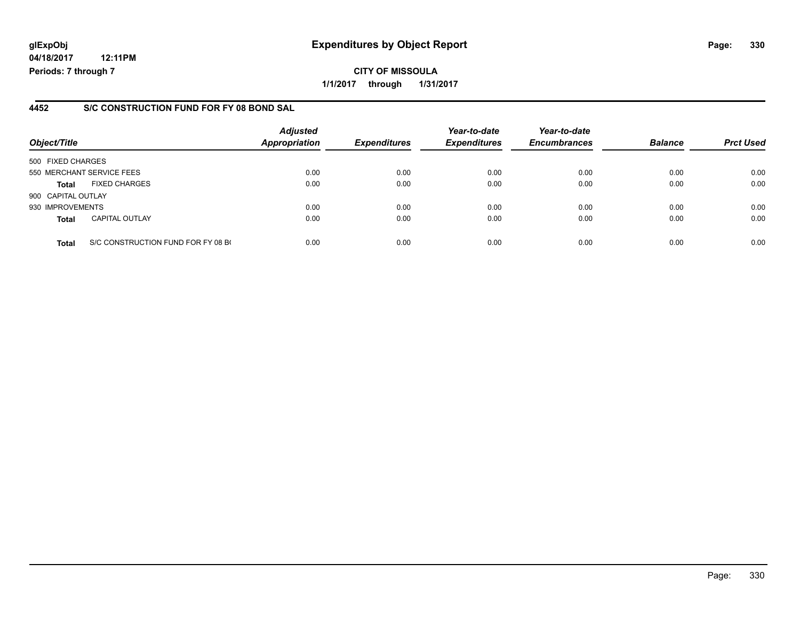**04/18/2017 12:11PM Periods: 7 through 7**

#### **4452 S/C CONSTRUCTION FUND FOR FY 08 BOND SAL**

| Object/Title              |                                    | <b>Adjusted</b><br>Appropriation | <b>Expenditures</b> | Year-to-date<br><b>Expenditures</b> | Year-to-date<br><b>Encumbrances</b> | <b>Balance</b> | <b>Prct Used</b> |
|---------------------------|------------------------------------|----------------------------------|---------------------|-------------------------------------|-------------------------------------|----------------|------------------|
| 500 FIXED CHARGES         |                                    |                                  |                     |                                     |                                     |                |                  |
| 550 MERCHANT SERVICE FEES |                                    | 0.00                             | 0.00                | 0.00                                | 0.00                                | 0.00           | 0.00             |
| <b>Total</b>              | <b>FIXED CHARGES</b>               | 0.00                             | 0.00                | 0.00                                | 0.00                                | 0.00           | 0.00             |
| 900 CAPITAL OUTLAY        |                                    |                                  |                     |                                     |                                     |                |                  |
| 930 IMPROVEMENTS          |                                    | 0.00                             | 0.00                | 0.00                                | 0.00                                | 0.00           | 0.00             |
| <b>Total</b>              | <b>CAPITAL OUTLAY</b>              | 0.00                             | 0.00                | 0.00                                | 0.00                                | 0.00           | 0.00             |
| <b>Total</b>              | S/C CONSTRUCTION FUND FOR FY 08 BO | 0.00                             | 0.00                | 0.00                                | 0.00                                | 0.00           | 0.00             |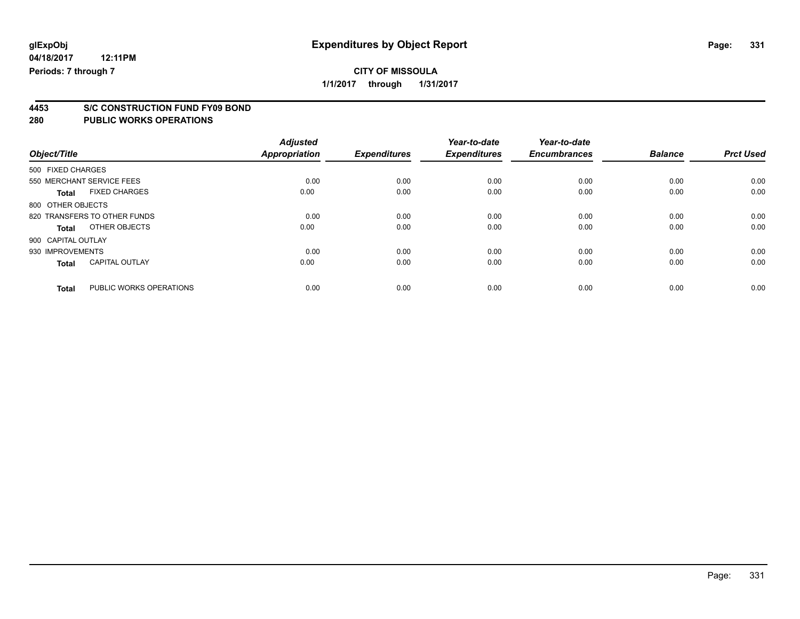### **CITY OF MISSOULA**

**1/1/2017 through 1/31/2017**

# **4453 S/C CONSTRUCTION FUND FY09 BOND**

| Object/Title       |                              | <b>Adjusted</b><br><b>Appropriation</b> | <b>Expenditures</b> | Year-to-date<br><b>Expenditures</b> | Year-to-date<br><b>Encumbrances</b> | <b>Balance</b> | <b>Prct Used</b> |
|--------------------|------------------------------|-----------------------------------------|---------------------|-------------------------------------|-------------------------------------|----------------|------------------|
| 500 FIXED CHARGES  |                              |                                         |                     |                                     |                                     |                |                  |
|                    | 550 MERCHANT SERVICE FEES    | 0.00                                    | 0.00                | 0.00                                | 0.00                                | 0.00           | 0.00             |
| <b>Total</b>       | <b>FIXED CHARGES</b>         | 0.00                                    | 0.00                | 0.00                                | 0.00                                | 0.00           | 0.00             |
| 800 OTHER OBJECTS  |                              |                                         |                     |                                     |                                     |                |                  |
|                    | 820 TRANSFERS TO OTHER FUNDS | 0.00                                    | 0.00                | 0.00                                | 0.00                                | 0.00           | 0.00             |
| Total              | OTHER OBJECTS                | 0.00                                    | 0.00                | 0.00                                | 0.00                                | 0.00           | 0.00             |
| 900 CAPITAL OUTLAY |                              |                                         |                     |                                     |                                     |                |                  |
| 930 IMPROVEMENTS   |                              | 0.00                                    | 0.00                | 0.00                                | 0.00                                | 0.00           | 0.00             |
| <b>Total</b>       | <b>CAPITAL OUTLAY</b>        | 0.00                                    | 0.00                | 0.00                                | 0.00                                | 0.00           | 0.00             |
|                    |                              |                                         |                     |                                     |                                     |                |                  |
| <b>Total</b>       | PUBLIC WORKS OPERATIONS      | 0.00                                    | 0.00                | 0.00                                | 0.00                                | 0.00           | 0.00             |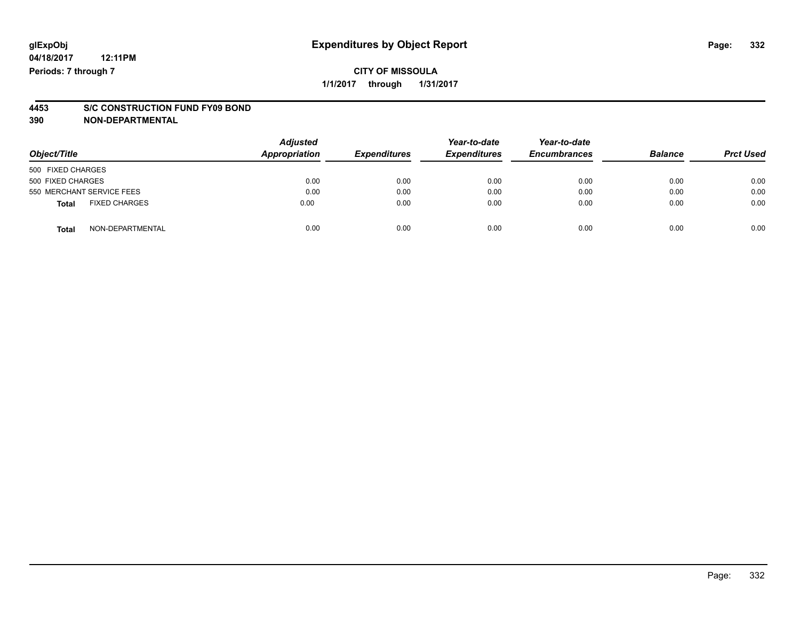# **4453 S/C CONSTRUCTION FUND FY09 BOND**

**390 NON-DEPARTMENTAL**

| Object/Title                         | <b>Adjusted</b><br>Appropriation | <b>Expenditures</b> | Year-to-date<br><b>Expenditures</b> | Year-to-date<br><b>Encumbrances</b> | <b>Balance</b> | <b>Prct Used</b> |
|--------------------------------------|----------------------------------|---------------------|-------------------------------------|-------------------------------------|----------------|------------------|
| 500 FIXED CHARGES                    |                                  |                     |                                     |                                     |                |                  |
| 500 FIXED CHARGES                    | 0.00                             | 0.00                | 0.00                                | 0.00                                | 0.00           | 0.00             |
| 550 MERCHANT SERVICE FEES            | 0.00                             | 0.00                | 0.00                                | 0.00                                | 0.00           | 0.00             |
| <b>FIXED CHARGES</b><br><b>Total</b> | 0.00                             | 0.00                | 0.00                                | 0.00                                | 0.00           | 0.00             |
| NON-DEPARTMENTAL<br><b>Total</b>     | 0.00                             | 0.00                | 0.00                                | 0.00                                | 0.00           | 0.00             |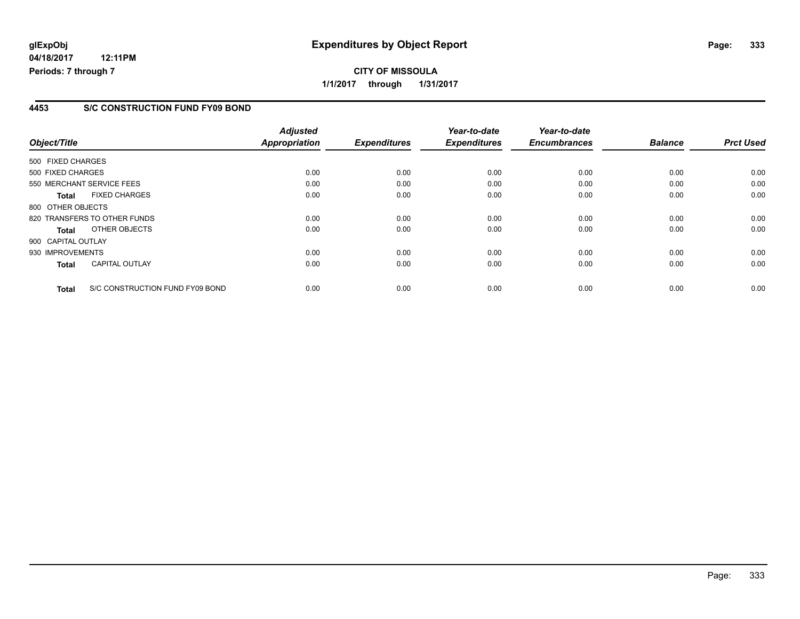**04/18/2017 12:11PM Periods: 7 through 7**

#### **4453 S/C CONSTRUCTION FUND FY09 BOND**

| Object/Title                                    | <b>Adjusted</b><br><b>Appropriation</b> | <b>Expenditures</b> | Year-to-date<br><b>Expenditures</b> | Year-to-date<br><b>Encumbrances</b> | <b>Balance</b> | <b>Prct Used</b> |
|-------------------------------------------------|-----------------------------------------|---------------------|-------------------------------------|-------------------------------------|----------------|------------------|
|                                                 |                                         |                     |                                     |                                     |                |                  |
| 500 FIXED CHARGES                               |                                         |                     |                                     |                                     |                |                  |
| 500 FIXED CHARGES                               | 0.00                                    | 0.00                | 0.00                                | 0.00                                | 0.00           | 0.00             |
| 550 MERCHANT SERVICE FEES                       | 0.00                                    | 0.00                | 0.00                                | 0.00                                | 0.00           | 0.00             |
| <b>FIXED CHARGES</b><br><b>Total</b>            | 0.00                                    | 0.00                | 0.00                                | 0.00                                | 0.00           | 0.00             |
| 800 OTHER OBJECTS                               |                                         |                     |                                     |                                     |                |                  |
| 820 TRANSFERS TO OTHER FUNDS                    | 0.00                                    | 0.00                | 0.00                                | 0.00                                | 0.00           | 0.00             |
| OTHER OBJECTS<br>Total                          | 0.00                                    | 0.00                | 0.00                                | 0.00                                | 0.00           | 0.00             |
| 900 CAPITAL OUTLAY                              |                                         |                     |                                     |                                     |                |                  |
| 930 IMPROVEMENTS                                | 0.00                                    | 0.00                | 0.00                                | 0.00                                | 0.00           | 0.00             |
| <b>CAPITAL OUTLAY</b><br><b>Total</b>           | 0.00                                    | 0.00                | 0.00                                | 0.00                                | 0.00           | 0.00             |
|                                                 |                                         |                     |                                     |                                     |                |                  |
| S/C CONSTRUCTION FUND FY09 BOND<br><b>Total</b> | 0.00                                    | 0.00                | 0.00                                | 0.00                                | 0.00           | 0.00             |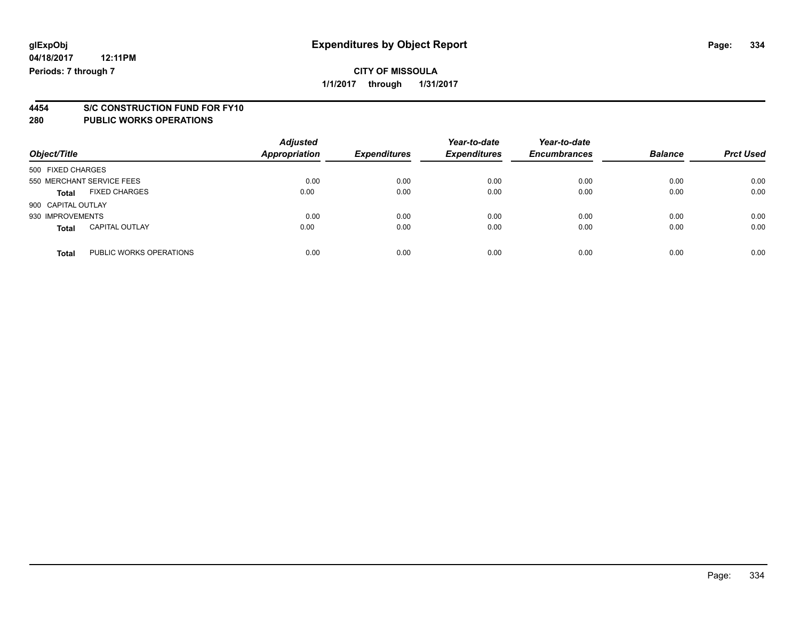## **CITY OF MISSOULA**

**1/1/2017 through 1/31/2017**

# **4454 S/C CONSTRUCTION FUND FOR FY10**

| Object/Title       |                           | <b>Adjusted</b><br><b>Appropriation</b> | <b>Expenditures</b> | Year-to-date<br><b>Expenditures</b> | Year-to-date<br><b>Encumbrances</b> | <b>Balance</b> | <b>Prct Used</b> |
|--------------------|---------------------------|-----------------------------------------|---------------------|-------------------------------------|-------------------------------------|----------------|------------------|
| 500 FIXED CHARGES  |                           |                                         |                     |                                     |                                     |                |                  |
|                    | 550 MERCHANT SERVICE FEES | 0.00                                    | 0.00                | 0.00                                | 0.00                                | 0.00           | 0.00             |
| <b>Total</b>       | <b>FIXED CHARGES</b>      | 0.00                                    | 0.00                | 0.00                                | 0.00                                | 0.00           | 0.00             |
| 900 CAPITAL OUTLAY |                           |                                         |                     |                                     |                                     |                |                  |
| 930 IMPROVEMENTS   |                           | 0.00                                    | 0.00                | 0.00                                | 0.00                                | 0.00           | 0.00             |
| <b>Total</b>       | <b>CAPITAL OUTLAY</b>     | 0.00                                    | 0.00                | 0.00                                | 0.00                                | 0.00           | 0.00             |
| <b>Total</b>       | PUBLIC WORKS OPERATIONS   | 0.00                                    | 0.00                | 0.00                                | 0.00                                | 0.00           | 0.00             |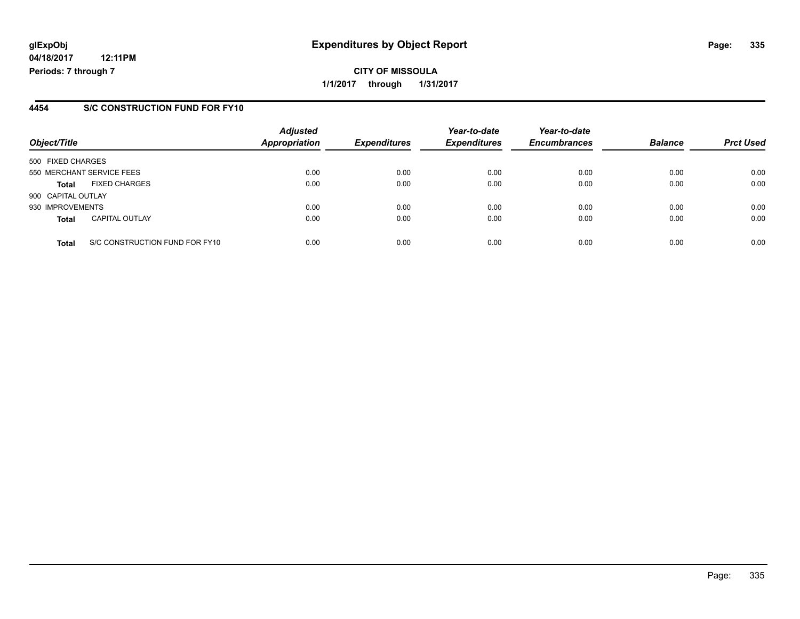**04/18/2017 12:11PM Periods: 7 through 7**

#### **4454 S/C CONSTRUCTION FUND FOR FY10**

| Object/Title       |                                | <b>Adjusted</b><br><b>Appropriation</b> | <b>Expenditures</b> | Year-to-date<br><b>Expenditures</b> | Year-to-date<br><b>Encumbrances</b> | <b>Balance</b> | <b>Prct Used</b> |
|--------------------|--------------------------------|-----------------------------------------|---------------------|-------------------------------------|-------------------------------------|----------------|------------------|
| 500 FIXED CHARGES  |                                |                                         |                     |                                     |                                     |                |                  |
|                    | 550 MERCHANT SERVICE FEES      | 0.00                                    | 0.00                | 0.00                                | 0.00                                | 0.00           | 0.00             |
| <b>Total</b>       | <b>FIXED CHARGES</b>           | 0.00                                    | 0.00                | 0.00                                | 0.00                                | 0.00           | 0.00             |
| 900 CAPITAL OUTLAY |                                |                                         |                     |                                     |                                     |                |                  |
| 930 IMPROVEMENTS   |                                | 0.00                                    | 0.00                | 0.00                                | 0.00                                | 0.00           | 0.00             |
| <b>Total</b>       | <b>CAPITAL OUTLAY</b>          | 0.00                                    | 0.00                | 0.00                                | 0.00                                | 0.00           | 0.00             |
| <b>Total</b>       | S/C CONSTRUCTION FUND FOR FY10 | 0.00                                    | 0.00                | 0.00                                | 0.00                                | 0.00           | 0.00             |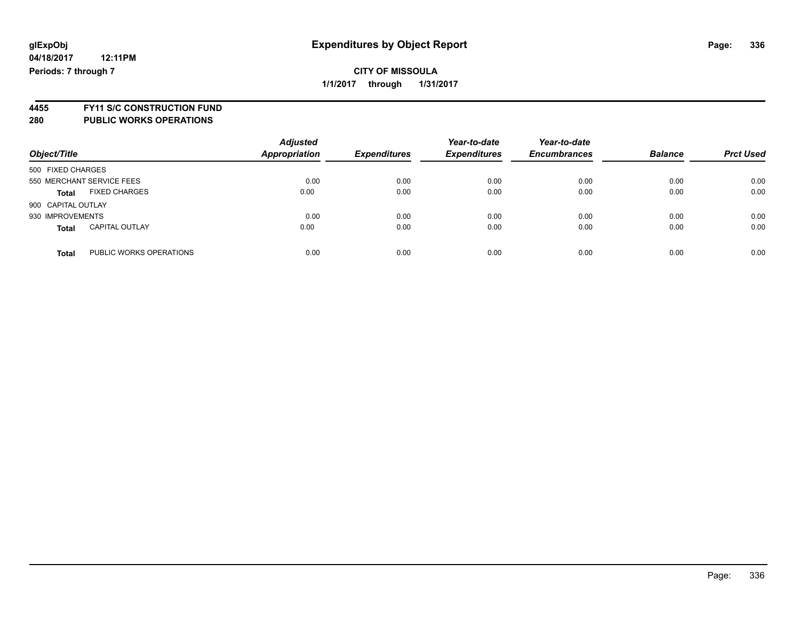#### **CITY OF MISSOULA 1/1/2017 through 1/31/2017**

**4455 FY11 S/C CONSTRUCTION FUND**

| Object/Title                            | <b>Adjusted</b><br>Appropriation | <b>Expenditures</b> | Year-to-date<br><b>Expenditures</b> | Year-to-date<br><b>Encumbrances</b> | <b>Balance</b> | <b>Prct Used</b> |
|-----------------------------------------|----------------------------------|---------------------|-------------------------------------|-------------------------------------|----------------|------------------|
| 500 FIXED CHARGES                       |                                  |                     |                                     |                                     |                |                  |
| 550 MERCHANT SERVICE FEES               | 0.00                             | 0.00                | 0.00                                | 0.00                                | 0.00           | 0.00             |
| <b>FIXED CHARGES</b><br><b>Total</b>    | 0.00                             | 0.00                | 0.00                                | 0.00                                | 0.00           | 0.00             |
| 900 CAPITAL OUTLAY                      |                                  |                     |                                     |                                     |                |                  |
| 930 IMPROVEMENTS                        | 0.00                             | 0.00                | 0.00                                | 0.00                                | 0.00           | 0.00             |
| <b>CAPITAL OUTLAY</b><br><b>Total</b>   | 0.00                             | 0.00                | 0.00                                | 0.00                                | 0.00           | 0.00             |
| PUBLIC WORKS OPERATIONS<br><b>Total</b> | 0.00                             | 0.00                | 0.00                                | 0.00                                | 0.00           | 0.00             |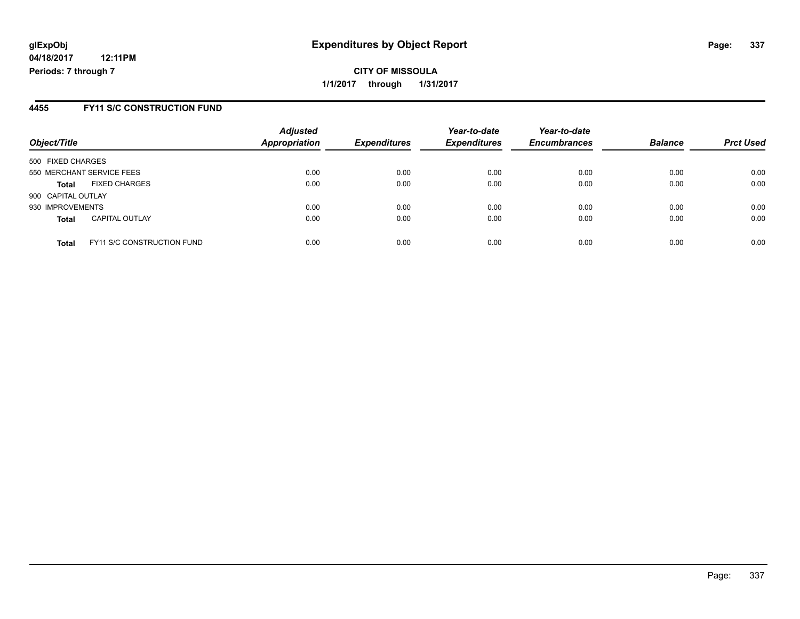**CITY OF MISSOULA 1/1/2017 through 1/31/2017**

#### **4455 FY11 S/C CONSTRUCTION FUND**

| Object/Title       |                                   | <b>Adjusted</b><br><b>Appropriation</b> | <b>Expenditures</b> | Year-to-date<br><b>Expenditures</b> | Year-to-date<br><b>Encumbrances</b> | <b>Balance</b> | <b>Prct Used</b> |
|--------------------|-----------------------------------|-----------------------------------------|---------------------|-------------------------------------|-------------------------------------|----------------|------------------|
| 500 FIXED CHARGES  |                                   |                                         |                     |                                     |                                     |                |                  |
|                    | 550 MERCHANT SERVICE FEES         | 0.00                                    | 0.00                | 0.00                                | 0.00                                | 0.00           | 0.00             |
| <b>Total</b>       | <b>FIXED CHARGES</b>              | 0.00                                    | 0.00                | 0.00                                | 0.00                                | 0.00           | 0.00             |
| 900 CAPITAL OUTLAY |                                   |                                         |                     |                                     |                                     |                |                  |
| 930 IMPROVEMENTS   |                                   | 0.00                                    | 0.00                | 0.00                                | 0.00                                | 0.00           | 0.00             |
| <b>Total</b>       | <b>CAPITAL OUTLAY</b>             | 0.00                                    | 0.00                | 0.00                                | 0.00                                | 0.00           | 0.00             |
| <b>Total</b>       | <b>FY11 S/C CONSTRUCTION FUND</b> | 0.00                                    | 0.00                | 0.00                                | 0.00                                | 0.00           | 0.00             |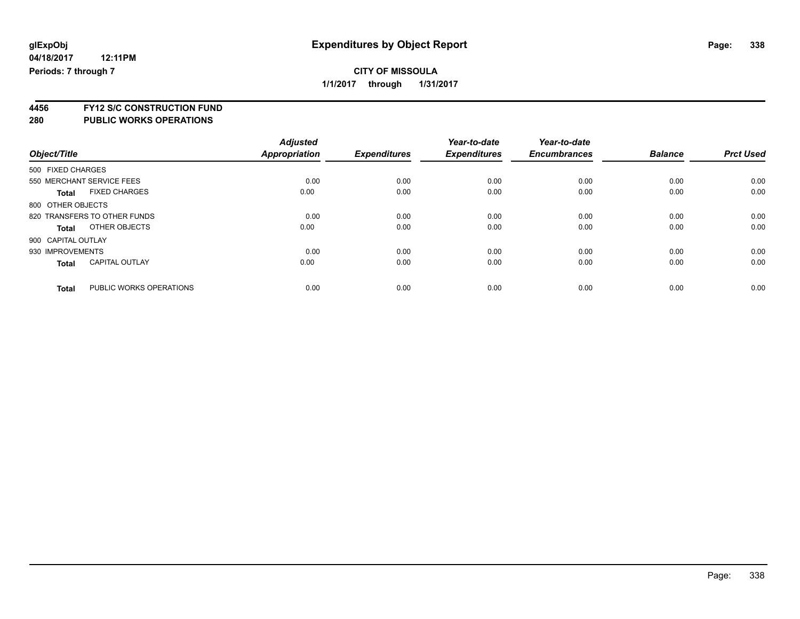**1/1/2017 through 1/31/2017**

**4456 FY12 S/C CONSTRUCTION FUND**

| Object/Title                 |                         | <b>Adjusted</b><br><b>Appropriation</b> | <b>Expenditures</b> | Year-to-date<br><b>Expenditures</b> | Year-to-date<br><b>Encumbrances</b> | <b>Balance</b> | <b>Prct Used</b> |
|------------------------------|-------------------------|-----------------------------------------|---------------------|-------------------------------------|-------------------------------------|----------------|------------------|
| 500 FIXED CHARGES            |                         |                                         |                     |                                     |                                     |                |                  |
| 550 MERCHANT SERVICE FEES    |                         | 0.00                                    | 0.00                | 0.00                                | 0.00                                | 0.00           | 0.00             |
| <b>Total</b>                 | <b>FIXED CHARGES</b>    | 0.00                                    | 0.00                | 0.00                                | 0.00                                | 0.00           | 0.00             |
| 800 OTHER OBJECTS            |                         |                                         |                     |                                     |                                     |                |                  |
| 820 TRANSFERS TO OTHER FUNDS |                         | 0.00                                    | 0.00                | 0.00                                | 0.00                                | 0.00           | 0.00             |
| Total                        | OTHER OBJECTS           | 0.00                                    | 0.00                | 0.00                                | 0.00                                | 0.00           | 0.00             |
| 900 CAPITAL OUTLAY           |                         |                                         |                     |                                     |                                     |                |                  |
| 930 IMPROVEMENTS             |                         | 0.00                                    | 0.00                | 0.00                                | 0.00                                | 0.00           | 0.00             |
| <b>Total</b>                 | <b>CAPITAL OUTLAY</b>   | 0.00                                    | 0.00                | 0.00                                | 0.00                                | 0.00           | 0.00             |
| <b>Total</b>                 | PUBLIC WORKS OPERATIONS | 0.00                                    | 0.00                | 0.00                                | 0.00                                | 0.00           | 0.00             |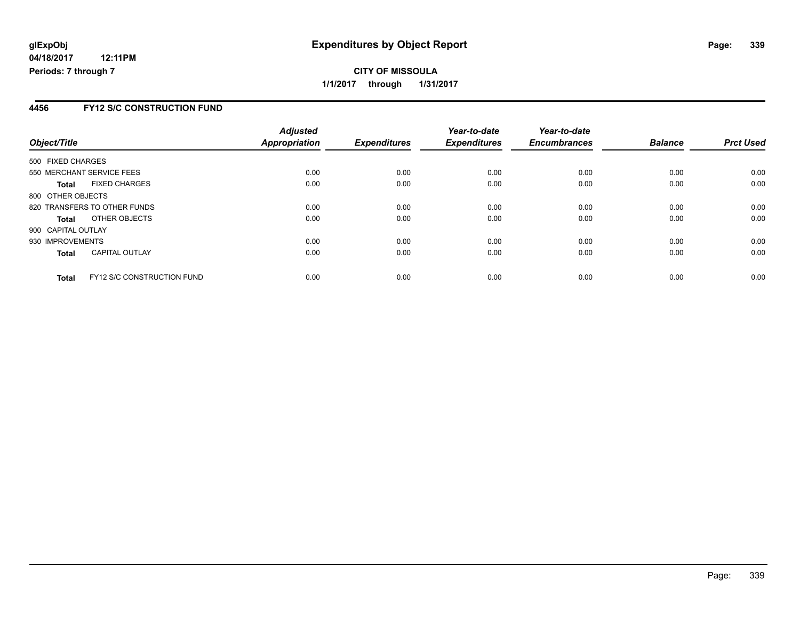#### **4456 FY12 S/C CONSTRUCTION FUND**

| Object/Title                 |                                   | <b>Adjusted</b><br>Appropriation | <b>Expenditures</b> | Year-to-date<br><b>Expenditures</b> | Year-to-date<br><b>Encumbrances</b> | <b>Balance</b> | <b>Prct Used</b> |
|------------------------------|-----------------------------------|----------------------------------|---------------------|-------------------------------------|-------------------------------------|----------------|------------------|
|                              |                                   |                                  |                     |                                     |                                     |                |                  |
| 500 FIXED CHARGES            |                                   |                                  |                     |                                     |                                     |                |                  |
| 550 MERCHANT SERVICE FEES    |                                   | 0.00                             | 0.00                | 0.00                                | 0.00                                | 0.00           | 0.00             |
| <b>Total</b>                 | <b>FIXED CHARGES</b>              | 0.00                             | 0.00                | 0.00                                | 0.00                                | 0.00           | 0.00             |
| 800 OTHER OBJECTS            |                                   |                                  |                     |                                     |                                     |                |                  |
| 820 TRANSFERS TO OTHER FUNDS |                                   | 0.00                             | 0.00                | 0.00                                | 0.00                                | 0.00           | 0.00             |
| <b>Total</b>                 | OTHER OBJECTS                     | 0.00                             | 0.00                | 0.00                                | 0.00                                | 0.00           | 0.00             |
| 900 CAPITAL OUTLAY           |                                   |                                  |                     |                                     |                                     |                |                  |
| 930 IMPROVEMENTS             |                                   | 0.00                             | 0.00                | 0.00                                | 0.00                                | 0.00           | 0.00             |
| <b>Total</b>                 | <b>CAPITAL OUTLAY</b>             | 0.00                             | 0.00                | 0.00                                | 0.00                                | 0.00           | 0.00             |
| <b>Total</b>                 | <b>FY12 S/C CONSTRUCTION FUND</b> | 0.00                             | 0.00                | 0.00                                | 0.00                                | 0.00           | 0.00             |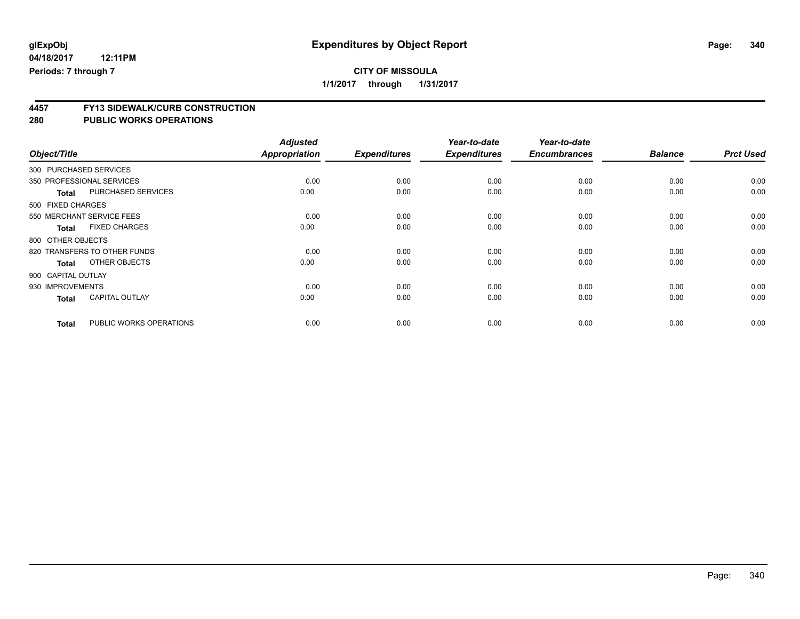### **CITY OF MISSOULA**

**1/1/2017 through 1/31/2017**

# **4457 FY13 SIDEWALK/CURB CONSTRUCTION**

|                    |                              | <b>Adjusted</b>      |                     | Year-to-date        | Year-to-date        |                |                  |
|--------------------|------------------------------|----------------------|---------------------|---------------------|---------------------|----------------|------------------|
| Object/Title       |                              | <b>Appropriation</b> | <b>Expenditures</b> | <b>Expenditures</b> | <b>Encumbrances</b> | <b>Balance</b> | <b>Prct Used</b> |
|                    | 300 PURCHASED SERVICES       |                      |                     |                     |                     |                |                  |
|                    | 350 PROFESSIONAL SERVICES    | 0.00                 | 0.00                | 0.00                | 0.00                | 0.00           | 0.00             |
| <b>Total</b>       | <b>PURCHASED SERVICES</b>    | 0.00                 | 0.00                | 0.00                | 0.00                | 0.00           | 0.00             |
| 500 FIXED CHARGES  |                              |                      |                     |                     |                     |                |                  |
|                    | 550 MERCHANT SERVICE FEES    | 0.00                 | 0.00                | 0.00                | 0.00                | 0.00           | 0.00             |
| <b>Total</b>       | <b>FIXED CHARGES</b>         | 0.00                 | 0.00                | 0.00                | 0.00                | 0.00           | 0.00             |
| 800 OTHER OBJECTS  |                              |                      |                     |                     |                     |                |                  |
|                    | 820 TRANSFERS TO OTHER FUNDS | 0.00                 | 0.00                | 0.00                | 0.00                | 0.00           | 0.00             |
| <b>Total</b>       | OTHER OBJECTS                | 0.00                 | 0.00                | 0.00                | 0.00                | 0.00           | 0.00             |
| 900 CAPITAL OUTLAY |                              |                      |                     |                     |                     |                |                  |
| 930 IMPROVEMENTS   |                              | 0.00                 | 0.00                | 0.00                | 0.00                | 0.00           | 0.00             |
| <b>Total</b>       | <b>CAPITAL OUTLAY</b>        | 0.00                 | 0.00                | 0.00                | 0.00                | 0.00           | 0.00             |
| <b>Total</b>       | PUBLIC WORKS OPERATIONS      | 0.00                 | 0.00                | 0.00                | 0.00                | 0.00           | 0.00             |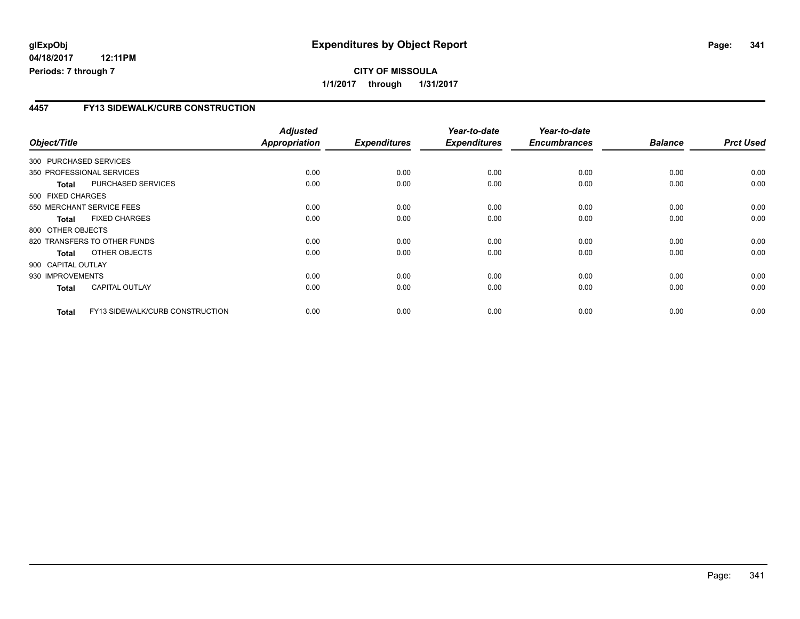#### **04/18/2017 12:11PM Periods: 7 through 7**

#### **4457 FY13 SIDEWALK/CURB CONSTRUCTION**

| Object/Title       |                                        | <b>Adjusted</b><br>Appropriation | <b>Expenditures</b> | Year-to-date<br><b>Expenditures</b> | Year-to-date<br><b>Encumbrances</b> | <b>Balance</b> | <b>Prct Used</b> |
|--------------------|----------------------------------------|----------------------------------|---------------------|-------------------------------------|-------------------------------------|----------------|------------------|
|                    | 300 PURCHASED SERVICES                 |                                  |                     |                                     |                                     |                |                  |
|                    | 350 PROFESSIONAL SERVICES              | 0.00                             | 0.00                | 0.00                                | 0.00                                | 0.00           | 0.00             |
| <b>Total</b>       | PURCHASED SERVICES                     | 0.00                             | 0.00                | 0.00                                | 0.00                                | 0.00           | 0.00             |
| 500 FIXED CHARGES  |                                        |                                  |                     |                                     |                                     |                |                  |
|                    | 550 MERCHANT SERVICE FEES              | 0.00                             | 0.00                | 0.00                                | 0.00                                | 0.00           | 0.00             |
| <b>Total</b>       | <b>FIXED CHARGES</b>                   | 0.00                             | 0.00                | 0.00                                | 0.00                                | 0.00           | 0.00             |
| 800 OTHER OBJECTS  |                                        |                                  |                     |                                     |                                     |                |                  |
|                    | 820 TRANSFERS TO OTHER FUNDS           | 0.00                             | 0.00                | 0.00                                | 0.00                                | 0.00           | 0.00             |
| <b>Total</b>       | OTHER OBJECTS                          | 0.00                             | 0.00                | 0.00                                | 0.00                                | 0.00           | 0.00             |
| 900 CAPITAL OUTLAY |                                        |                                  |                     |                                     |                                     |                |                  |
| 930 IMPROVEMENTS   |                                        | 0.00                             | 0.00                | 0.00                                | 0.00                                | 0.00           | 0.00             |
| <b>Total</b>       | <b>CAPITAL OUTLAY</b>                  | 0.00                             | 0.00                | 0.00                                | 0.00                                | 0.00           | 0.00             |
| <b>Total</b>       | <b>FY13 SIDEWALK/CURB CONSTRUCTION</b> | 0.00                             | 0.00                | 0.00                                | 0.00                                | 0.00           | 0.00             |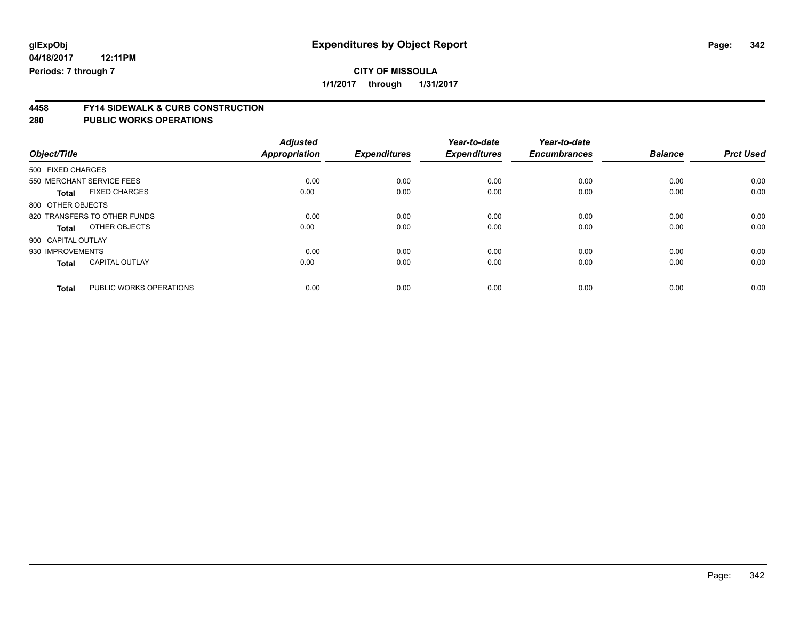### **CITY OF MISSOULA**

**1/1/2017 through 1/31/2017**

# **4458 FY14 SIDEWALK & CURB CONSTRUCTION**

|                                         | <b>Adjusted</b>      |                     | Year-to-date        | Year-to-date        |                |                  |
|-----------------------------------------|----------------------|---------------------|---------------------|---------------------|----------------|------------------|
| Object/Title                            | <b>Appropriation</b> | <b>Expenditures</b> | <b>Expenditures</b> | <b>Encumbrances</b> | <b>Balance</b> | <b>Prct Used</b> |
| 500 FIXED CHARGES                       |                      |                     |                     |                     |                |                  |
| 550 MERCHANT SERVICE FEES               | 0.00                 | 0.00                | 0.00                | 0.00                | 0.00           | 0.00             |
| <b>FIXED CHARGES</b><br><b>Total</b>    | 0.00                 | 0.00                | 0.00                | 0.00                | 0.00           | 0.00             |
| 800 OTHER OBJECTS                       |                      |                     |                     |                     |                |                  |
| 820 TRANSFERS TO OTHER FUNDS            | 0.00                 | 0.00                | 0.00                | 0.00                | 0.00           | 0.00             |
| OTHER OBJECTS<br>Total                  | 0.00                 | 0.00                | 0.00                | 0.00                | 0.00           | 0.00             |
| 900 CAPITAL OUTLAY                      |                      |                     |                     |                     |                |                  |
| 930 IMPROVEMENTS                        | 0.00                 | 0.00                | 0.00                | 0.00                | 0.00           | 0.00             |
| <b>CAPITAL OUTLAY</b><br><b>Total</b>   | 0.00                 | 0.00                | 0.00                | 0.00                | 0.00           | 0.00             |
| PUBLIC WORKS OPERATIONS<br><b>Total</b> | 0.00                 | 0.00                | 0.00                | 0.00                | 0.00           | 0.00             |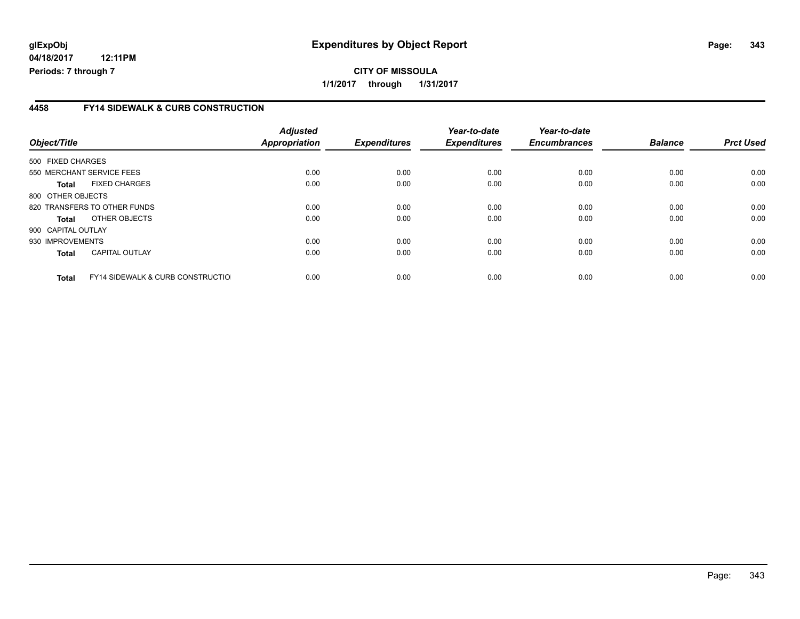#### **4458 FY14 SIDEWALK & CURB CONSTRUCTION**

| Object/Title       |                                              | <b>Adjusted</b><br>Appropriation | <b>Expenditures</b> | Year-to-date<br><b>Expenditures</b> | Year-to-date<br><b>Encumbrances</b> | <b>Balance</b> | <b>Prct Used</b> |
|--------------------|----------------------------------------------|----------------------------------|---------------------|-------------------------------------|-------------------------------------|----------------|------------------|
| 500 FIXED CHARGES  |                                              |                                  |                     |                                     |                                     |                |                  |
|                    | 550 MERCHANT SERVICE FEES                    | 0.00                             | 0.00                | 0.00                                | 0.00                                | 0.00           | 0.00             |
| Total              | <b>FIXED CHARGES</b>                         | 0.00                             | 0.00                | 0.00                                | 0.00                                | 0.00           | 0.00             |
| 800 OTHER OBJECTS  |                                              |                                  |                     |                                     |                                     |                |                  |
|                    | 820 TRANSFERS TO OTHER FUNDS                 | 0.00                             | 0.00                | 0.00                                | 0.00                                | 0.00           | 0.00             |
| Total              | OTHER OBJECTS                                | 0.00                             | 0.00                | 0.00                                | 0.00                                | 0.00           | 0.00             |
| 900 CAPITAL OUTLAY |                                              |                                  |                     |                                     |                                     |                |                  |
| 930 IMPROVEMENTS   |                                              | 0.00                             | 0.00                | 0.00                                | 0.00                                | 0.00           | 0.00             |
| <b>Total</b>       | <b>CAPITAL OUTLAY</b>                        | 0.00                             | 0.00                | 0.00                                | 0.00                                | 0.00           | 0.00             |
| <b>Total</b>       | <b>FY14 SIDEWALK &amp; CURB CONSTRUCTIOL</b> | 0.00                             | 0.00                | 0.00                                | 0.00                                | 0.00           | 0.00             |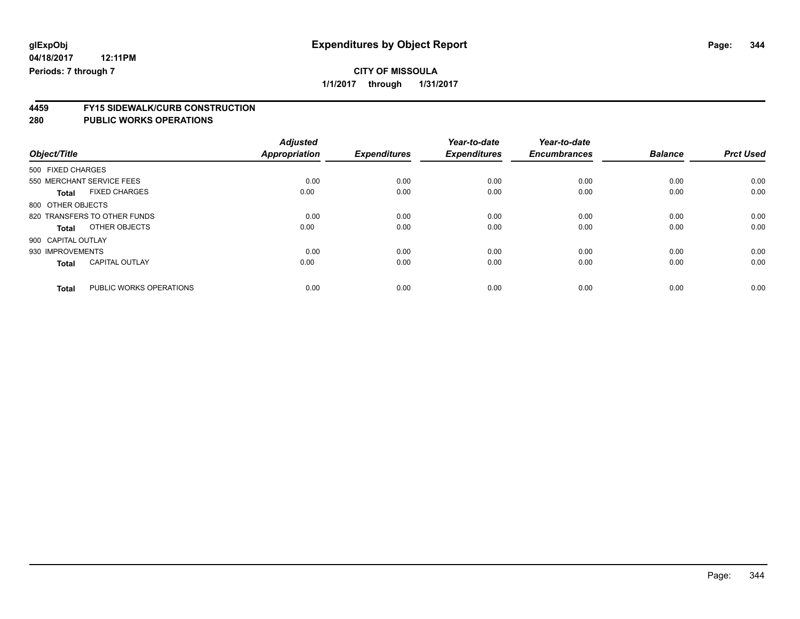### **CITY OF MISSOULA**

**1/1/2017 through 1/31/2017**

# **4459 FY15 SIDEWALK/CURB CONSTRUCTION**

| Object/Title       |                              | <b>Adjusted</b><br><b>Appropriation</b> | <b>Expenditures</b> | Year-to-date<br><b>Expenditures</b> | Year-to-date<br><b>Encumbrances</b> | <b>Balance</b> | <b>Prct Used</b> |
|--------------------|------------------------------|-----------------------------------------|---------------------|-------------------------------------|-------------------------------------|----------------|------------------|
| 500 FIXED CHARGES  |                              |                                         |                     |                                     |                                     |                |                  |
|                    | 550 MERCHANT SERVICE FEES    | 0.00                                    | 0.00                | 0.00                                | 0.00                                | 0.00           | 0.00             |
| <b>Total</b>       | <b>FIXED CHARGES</b>         | 0.00                                    | 0.00                | 0.00                                | 0.00                                | 0.00           | 0.00             |
| 800 OTHER OBJECTS  |                              |                                         |                     |                                     |                                     |                |                  |
|                    | 820 TRANSFERS TO OTHER FUNDS | 0.00                                    | 0.00                | 0.00                                | 0.00                                | 0.00           | 0.00             |
| <b>Total</b>       | OTHER OBJECTS                | 0.00                                    | 0.00                | 0.00                                | 0.00                                | 0.00           | 0.00             |
| 900 CAPITAL OUTLAY |                              |                                         |                     |                                     |                                     |                |                  |
| 930 IMPROVEMENTS   |                              | 0.00                                    | 0.00                | 0.00                                | 0.00                                | 0.00           | 0.00             |
| <b>Total</b>       | <b>CAPITAL OUTLAY</b>        | 0.00                                    | 0.00                | 0.00                                | 0.00                                | 0.00           | 0.00             |
| <b>Total</b>       | PUBLIC WORKS OPERATIONS      | 0.00                                    | 0.00                | 0.00                                | 0.00                                | 0.00           | 0.00             |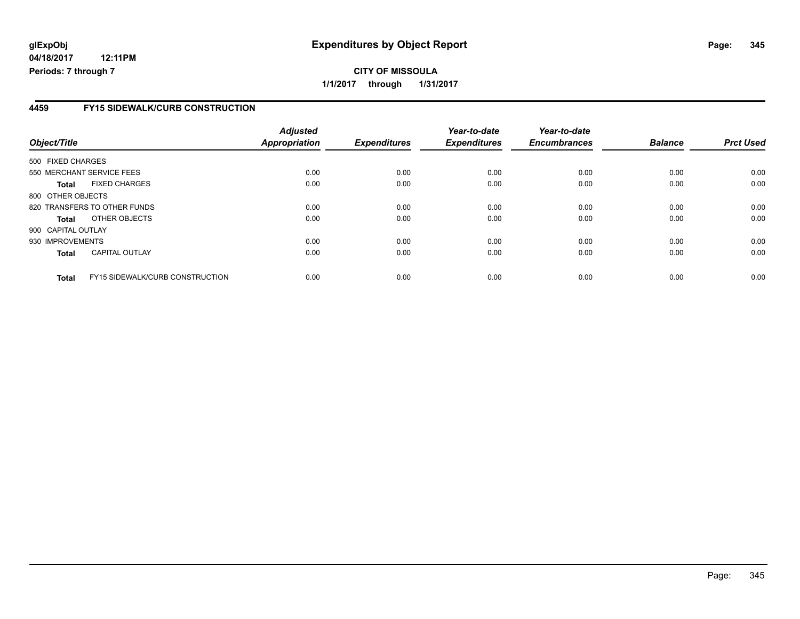**04/18/2017 12:11PM Periods: 7 through 7**

#### **4459 FY15 SIDEWALK/CURB CONSTRUCTION**

| Object/Title       |                                        | <b>Adjusted</b><br>Appropriation | <b>Expenditures</b> | Year-to-date<br><b>Expenditures</b> | Year-to-date<br><b>Encumbrances</b> | <b>Balance</b> | <b>Prct Used</b> |
|--------------------|----------------------------------------|----------------------------------|---------------------|-------------------------------------|-------------------------------------|----------------|------------------|
| 500 FIXED CHARGES  |                                        |                                  |                     |                                     |                                     |                |                  |
|                    | 550 MERCHANT SERVICE FEES              | 0.00                             | 0.00                | 0.00                                | 0.00                                | 0.00           | 0.00             |
| Total              | <b>FIXED CHARGES</b>                   | 0.00                             | 0.00                | 0.00                                | 0.00                                | 0.00           | 0.00             |
| 800 OTHER OBJECTS  |                                        |                                  |                     |                                     |                                     |                |                  |
|                    | 820 TRANSFERS TO OTHER FUNDS           | 0.00                             | 0.00                | 0.00                                | 0.00                                | 0.00           | 0.00             |
| Total              | OTHER OBJECTS                          | 0.00                             | 0.00                | 0.00                                | 0.00                                | 0.00           | 0.00             |
| 900 CAPITAL OUTLAY |                                        |                                  |                     |                                     |                                     |                |                  |
| 930 IMPROVEMENTS   |                                        | 0.00                             | 0.00                | 0.00                                | 0.00                                | 0.00           | 0.00             |
| <b>Total</b>       | <b>CAPITAL OUTLAY</b>                  | 0.00                             | 0.00                | 0.00                                | 0.00                                | 0.00           | 0.00             |
| <b>Total</b>       | <b>FY15 SIDEWALK/CURB CONSTRUCTION</b> | 0.00                             | 0.00                | 0.00                                | 0.00                                | 0.00           | 0.00             |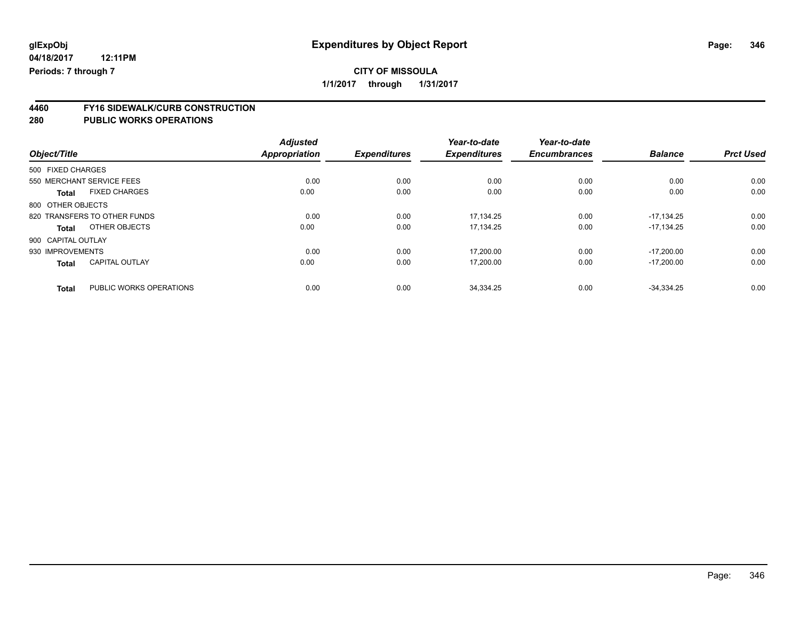### **CITY OF MISSOULA**

**1/1/2017 through 1/31/2017**

# **4460 FY16 SIDEWALK/CURB CONSTRUCTION**

| Object/Title       |                              | <b>Adjusted</b><br><b>Appropriation</b> | <b>Expenditures</b> | Year-to-date<br><b>Expenditures</b> | Year-to-date<br><b>Encumbrances</b> | <b>Balance</b> | <b>Prct Used</b> |
|--------------------|------------------------------|-----------------------------------------|---------------------|-------------------------------------|-------------------------------------|----------------|------------------|
| 500 FIXED CHARGES  |                              |                                         |                     |                                     |                                     |                |                  |
|                    | 550 MERCHANT SERVICE FEES    | 0.00                                    | 0.00                | 0.00                                | 0.00                                | 0.00           | 0.00             |
| Total              | <b>FIXED CHARGES</b>         | 0.00                                    | 0.00                | 0.00                                | 0.00                                | 0.00           | 0.00             |
| 800 OTHER OBJECTS  |                              |                                         |                     |                                     |                                     |                |                  |
|                    | 820 TRANSFERS TO OTHER FUNDS | 0.00                                    | 0.00                | 17.134.25                           | 0.00                                | $-17.134.25$   | 0.00             |
| Total              | OTHER OBJECTS                | 0.00                                    | 0.00                | 17,134.25                           | 0.00                                | $-17.134.25$   | 0.00             |
| 900 CAPITAL OUTLAY |                              |                                         |                     |                                     |                                     |                |                  |
| 930 IMPROVEMENTS   |                              | 0.00                                    | 0.00                | 17.200.00                           | 0.00                                | $-17.200.00$   | 0.00             |
| <b>Total</b>       | <b>CAPITAL OUTLAY</b>        | 0.00                                    | 0.00                | 17,200.00                           | 0.00                                | $-17.200.00$   | 0.00             |
| <b>Total</b>       | PUBLIC WORKS OPERATIONS      | 0.00                                    | 0.00                | 34,334.25                           | 0.00                                | $-34.334.25$   | 0.00             |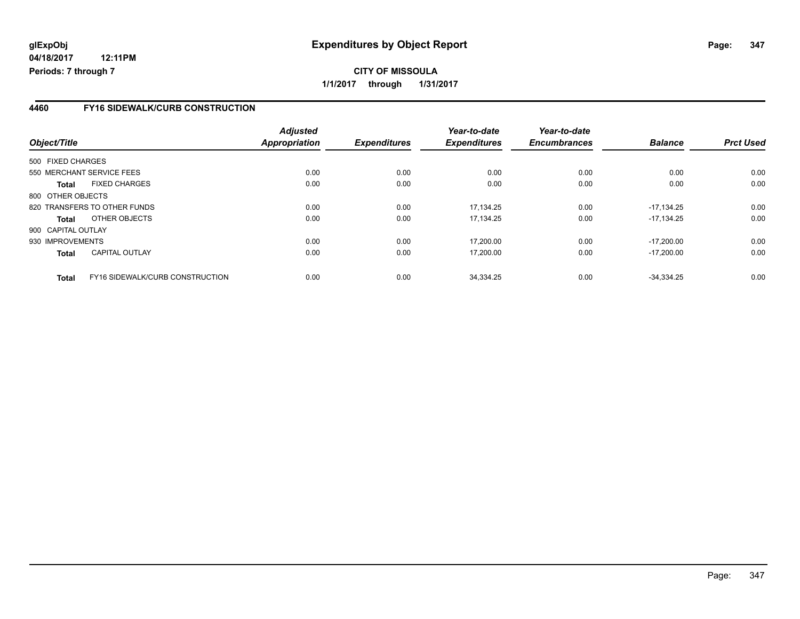**04/18/2017 12:11PM Periods: 7 through 7**

#### **4460 FY16 SIDEWALK/CURB CONSTRUCTION**

| Object/Title       |                                 | <b>Adjusted</b><br>Appropriation | <b>Expenditures</b> | Year-to-date<br><b>Expenditures</b> | Year-to-date<br><b>Encumbrances</b> | <b>Balance</b> | <b>Prct Used</b> |
|--------------------|---------------------------------|----------------------------------|---------------------|-------------------------------------|-------------------------------------|----------------|------------------|
| 500 FIXED CHARGES  |                                 |                                  |                     |                                     |                                     |                |                  |
|                    | 550 MERCHANT SERVICE FEES       | 0.00                             | 0.00                | 0.00                                | 0.00                                | 0.00           | 0.00             |
| <b>Total</b>       | <b>FIXED CHARGES</b>            | 0.00                             | 0.00                | 0.00                                | 0.00                                | 0.00           | 0.00             |
| 800 OTHER OBJECTS  |                                 |                                  |                     |                                     |                                     |                |                  |
|                    | 820 TRANSFERS TO OTHER FUNDS    | 0.00                             | 0.00                | 17.134.25                           | 0.00                                | $-17.134.25$   | 0.00             |
| <b>Total</b>       | OTHER OBJECTS                   | 0.00                             | 0.00                | 17.134.25                           | 0.00                                | $-17.134.25$   | 0.00             |
| 900 CAPITAL OUTLAY |                                 |                                  |                     |                                     |                                     |                |                  |
| 930 IMPROVEMENTS   |                                 | 0.00                             | 0.00                | 17,200.00                           | 0.00                                | $-17.200.00$   | 0.00             |
| <b>Total</b>       | <b>CAPITAL OUTLAY</b>           | 0.00                             | 0.00                | 17,200.00                           | 0.00                                | $-17,200.00$   | 0.00             |
| <b>Total</b>       | FY16 SIDEWALK/CURB CONSTRUCTION | 0.00                             | 0.00                | 34.334.25                           | 0.00                                | $-34.334.25$   | 0.00             |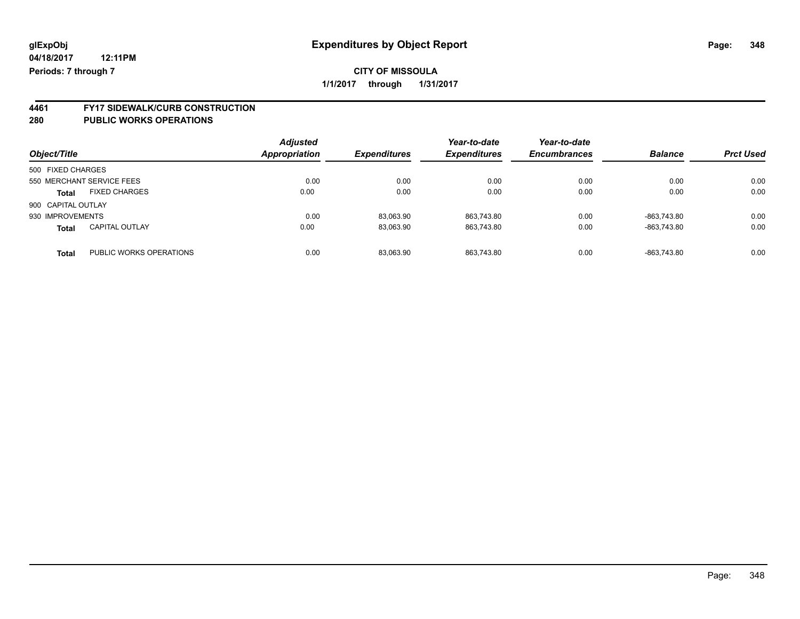**4461 FY17 SIDEWALK/CURB CONSTRUCTION**

| Object/Title       |                           | <b>Adjusted</b><br><b>Appropriation</b> | <b>Expenditures</b> | Year-to-date<br><b>Expenditures</b> | Year-to-date<br><b>Encumbrances</b> | <b>Balance</b> | <b>Prct Used</b> |
|--------------------|---------------------------|-----------------------------------------|---------------------|-------------------------------------|-------------------------------------|----------------|------------------|
| 500 FIXED CHARGES  |                           |                                         |                     |                                     |                                     |                |                  |
|                    | 550 MERCHANT SERVICE FEES | 0.00                                    | 0.00                | 0.00                                | 0.00                                | 0.00           | 0.00             |
| <b>Total</b>       | <b>FIXED CHARGES</b>      | 0.00                                    | 0.00                | 0.00                                | 0.00                                | 0.00           | 0.00             |
| 900 CAPITAL OUTLAY |                           |                                         |                     |                                     |                                     |                |                  |
| 930 IMPROVEMENTS   |                           | 0.00                                    | 83,063.90           | 863.743.80                          | 0.00                                | -863.743.80    | 0.00             |
| <b>Total</b>       | <b>CAPITAL OUTLAY</b>     | 0.00                                    | 83,063.90           | 863.743.80                          | 0.00                                | -863.743.80    | 0.00             |
| <b>Total</b>       | PUBLIC WORKS OPERATIONS   | 0.00                                    | 83,063.90           | 863.743.80                          | 0.00                                | -863.743.80    | 0.00             |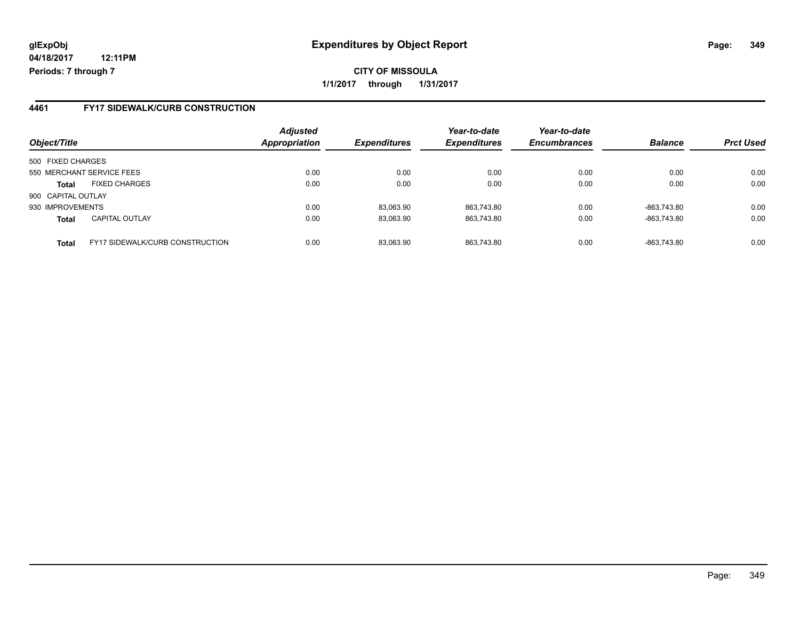**04/18/2017 12:11PM Periods: 7 through 7**

#### **4461 FY17 SIDEWALK/CURB CONSTRUCTION**

| Object/Title              |                                        | <b>Adjusted</b><br>Appropriation | <i><b>Expenditures</b></i> | Year-to-date<br><b>Expenditures</b> | Year-to-date<br><b>Encumbrances</b> | <b>Balance</b> | <b>Prct Used</b> |
|---------------------------|----------------------------------------|----------------------------------|----------------------------|-------------------------------------|-------------------------------------|----------------|------------------|
| 500 FIXED CHARGES         |                                        |                                  |                            |                                     |                                     |                |                  |
| 550 MERCHANT SERVICE FEES |                                        | 0.00                             | 0.00                       | 0.00                                | 0.00                                | 0.00           | 0.00             |
| <b>Total</b>              | <b>FIXED CHARGES</b>                   | 0.00                             | 0.00                       | 0.00                                | 0.00                                | 0.00           | 0.00             |
| 900 CAPITAL OUTLAY        |                                        |                                  |                            |                                     |                                     |                |                  |
| 930 IMPROVEMENTS          |                                        | 0.00                             | 83,063.90                  | 863,743.80                          | 0.00                                | -863.743.80    | 0.00             |
| <b>Total</b>              | <b>CAPITAL OUTLAY</b>                  | 0.00                             | 83,063.90                  | 863,743.80                          | 0.00                                | -863,743.80    | 0.00             |
| <b>Total</b>              | <b>FY17 SIDEWALK/CURB CONSTRUCTION</b> | 0.00                             | 83.063.90                  | 863.743.80                          | 0.00                                | -863.743.80    | 0.00             |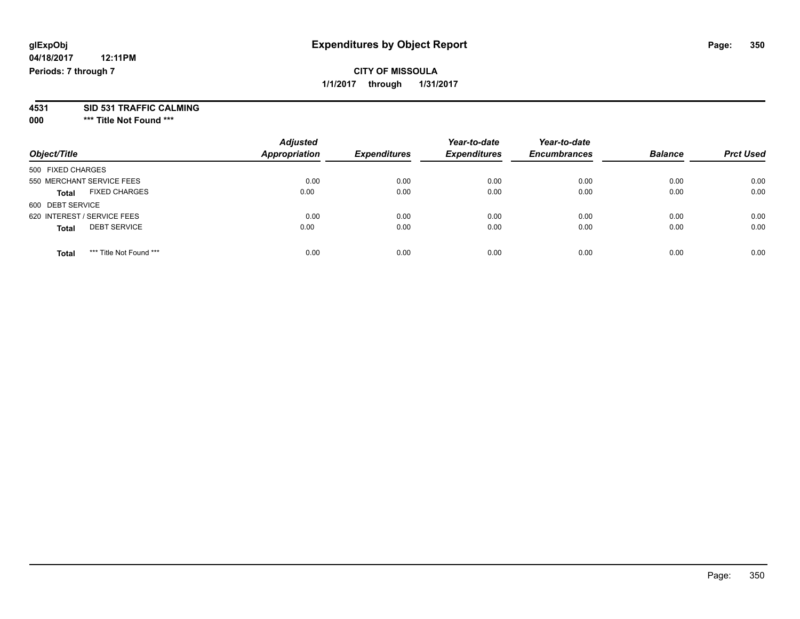#### **CITY OF MISSOULA 1/1/2017 through 1/31/2017**

# **4531 SID 531 TRAFFIC CALMING**

**000 \*\*\* Title Not Found \*\*\***

| Object/Title                            | <b>Adjusted</b><br><b>Appropriation</b> | <b>Expenditures</b> | Year-to-date<br><b>Expenditures</b> | Year-to-date<br><b>Encumbrances</b> | <b>Balance</b> | <b>Prct Used</b> |
|-----------------------------------------|-----------------------------------------|---------------------|-------------------------------------|-------------------------------------|----------------|------------------|
| 500 FIXED CHARGES                       |                                         |                     |                                     |                                     |                |                  |
| 550 MERCHANT SERVICE FEES               | 0.00                                    | 0.00                | 0.00                                | 0.00                                | 0.00           | 0.00             |
| <b>FIXED CHARGES</b><br><b>Total</b>    | 0.00                                    | 0.00                | 0.00                                | 0.00                                | 0.00           | 0.00             |
| 600 DEBT SERVICE                        |                                         |                     |                                     |                                     |                |                  |
| 620 INTEREST / SERVICE FEES             | 0.00                                    | 0.00                | 0.00                                | 0.00                                | 0.00           | 0.00             |
| <b>DEBT SERVICE</b><br><b>Total</b>     | 0.00                                    | 0.00                | 0.00                                | 0.00                                | 0.00           | 0.00             |
| *** Title Not Found ***<br><b>Total</b> | 0.00                                    | 0.00                | 0.00                                | 0.00                                | 0.00           | 0.00             |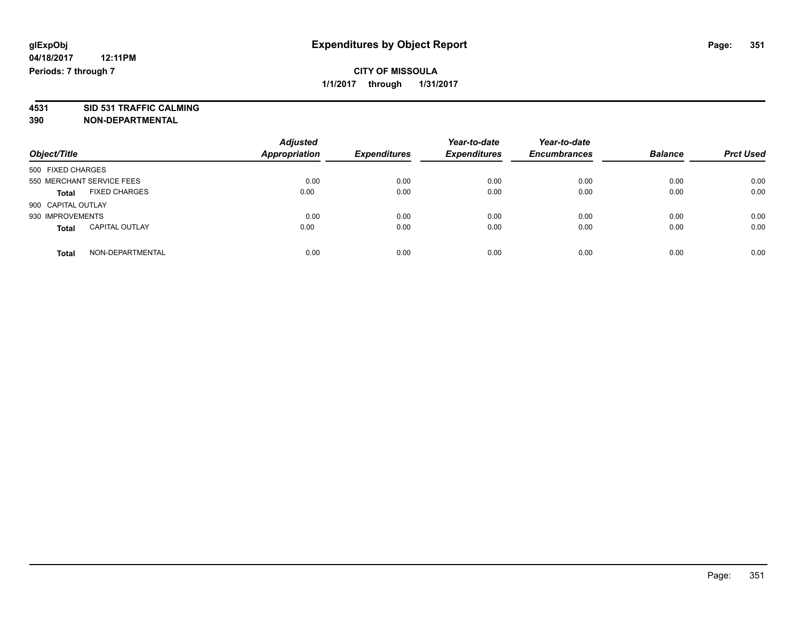#### **CITY OF MISSOULA 1/1/2017 through 1/31/2017**

**4531 SID 531 TRAFFIC CALMING 390 NON-DEPARTMENTAL**

| Object/Title                          | <b>Adjusted</b><br><b>Appropriation</b> | <b>Expenditures</b> | Year-to-date<br><b>Expenditures</b> | Year-to-date<br><b>Encumbrances</b> | <b>Balance</b> | <b>Prct Used</b> |
|---------------------------------------|-----------------------------------------|---------------------|-------------------------------------|-------------------------------------|----------------|------------------|
| 500 FIXED CHARGES                     |                                         |                     |                                     |                                     |                |                  |
| 550 MERCHANT SERVICE FEES             | 0.00                                    | 0.00                | 0.00                                | 0.00                                | 0.00           | 0.00             |
| <b>FIXED CHARGES</b><br><b>Total</b>  | 0.00                                    | 0.00                | 0.00                                | 0.00                                | 0.00           | 0.00             |
| 900 CAPITAL OUTLAY                    |                                         |                     |                                     |                                     |                |                  |
| 930 IMPROVEMENTS                      | 0.00                                    | 0.00                | 0.00                                | 0.00                                | 0.00           | 0.00             |
| <b>CAPITAL OUTLAY</b><br><b>Total</b> | 0.00                                    | 0.00                | 0.00                                | 0.00                                | 0.00           | 0.00             |
| NON-DEPARTMENTAL<br>Total             | 0.00                                    | 0.00                | 0.00                                | 0.00                                | 0.00           | 0.00             |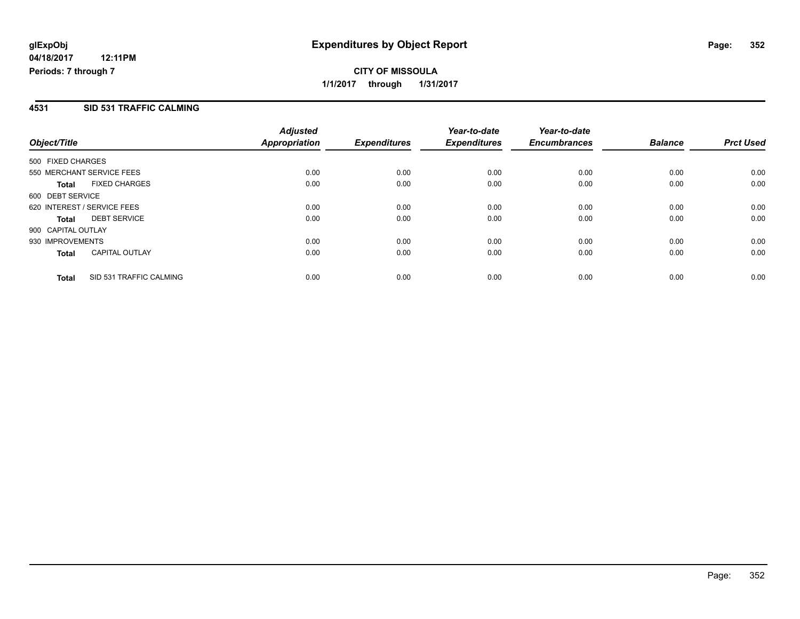**CITY OF MISSOULA 1/1/2017 through 1/31/2017**

#### **4531 SID 531 TRAFFIC CALMING**

|                                         | <b>Adjusted</b>      |                     | Year-to-date        | Year-to-date        |                |                  |
|-----------------------------------------|----------------------|---------------------|---------------------|---------------------|----------------|------------------|
| Object/Title                            | <b>Appropriation</b> | <b>Expenditures</b> | <b>Expenditures</b> | <b>Encumbrances</b> | <b>Balance</b> | <b>Prct Used</b> |
| 500 FIXED CHARGES                       |                      |                     |                     |                     |                |                  |
| 550 MERCHANT SERVICE FEES               | 0.00                 | 0.00                | 0.00                | 0.00                | 0.00           | 0.00             |
| <b>FIXED CHARGES</b><br>Total           | 0.00                 | 0.00                | 0.00                | 0.00                | 0.00           | 0.00             |
| 600 DEBT SERVICE                        |                      |                     |                     |                     |                |                  |
| 620 INTEREST / SERVICE FEES             | 0.00                 | 0.00                | 0.00                | 0.00                | 0.00           | 0.00             |
| <b>DEBT SERVICE</b><br>Total            | 0.00                 | 0.00                | 0.00                | 0.00                | 0.00           | 0.00             |
| 900 CAPITAL OUTLAY                      |                      |                     |                     |                     |                |                  |
| 930 IMPROVEMENTS                        | 0.00                 | 0.00                | 0.00                | 0.00                | 0.00           | 0.00             |
| <b>CAPITAL OUTLAY</b><br><b>Total</b>   | 0.00                 | 0.00                | 0.00                | 0.00                | 0.00           | 0.00             |
| SID 531 TRAFFIC CALMING<br><b>Total</b> | 0.00                 | 0.00                | 0.00                | 0.00                | 0.00           | 0.00             |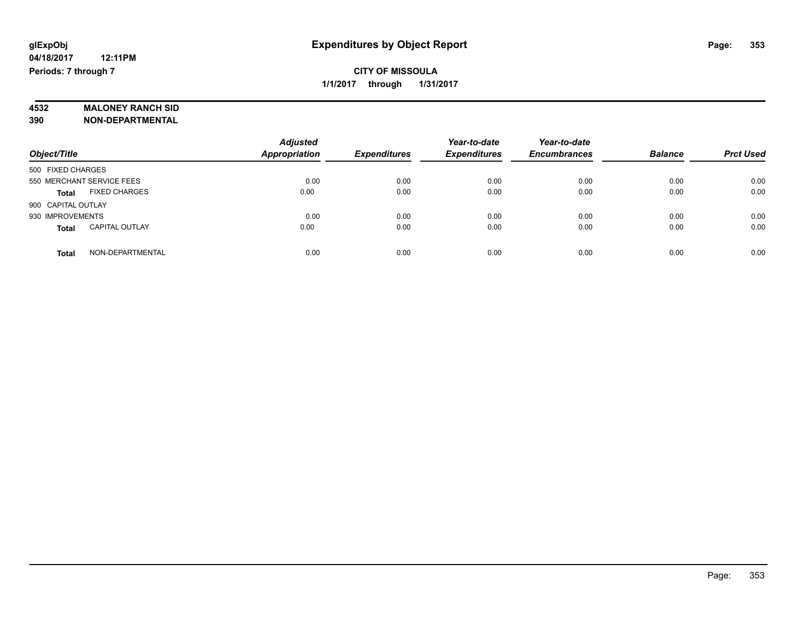#### **CITY OF MISSOULA 1/1/2017 through 1/31/2017**

# **4532 MALONEY RANCH SID**

**390 NON-DEPARTMENTAL**

|                                       | <b>Adjusted</b>      |                     | Year-to-date        | Year-to-date        |                |                  |
|---------------------------------------|----------------------|---------------------|---------------------|---------------------|----------------|------------------|
| Object/Title                          | <b>Appropriation</b> | <b>Expenditures</b> | <b>Expenditures</b> | <b>Encumbrances</b> | <b>Balance</b> | <b>Prct Used</b> |
| 500 FIXED CHARGES                     |                      |                     |                     |                     |                |                  |
| 550 MERCHANT SERVICE FEES             | 0.00                 | 0.00                | 0.00                | 0.00                | 0.00           | 0.00             |
| <b>FIXED CHARGES</b><br><b>Total</b>  | 0.00                 | 0.00                | 0.00                | 0.00                | 0.00           | 0.00             |
| 900 CAPITAL OUTLAY                    |                      |                     |                     |                     |                |                  |
| 930 IMPROVEMENTS                      | 0.00                 | 0.00                | 0.00                | 0.00                | 0.00           | 0.00             |
| <b>CAPITAL OUTLAY</b><br><b>Total</b> | 0.00                 | 0.00                | 0.00                | 0.00                | 0.00           | 0.00             |
| NON-DEPARTMENTAL<br><b>Total</b>      | 0.00                 | 0.00                | 0.00                | 0.00                | 0.00           | 0.00             |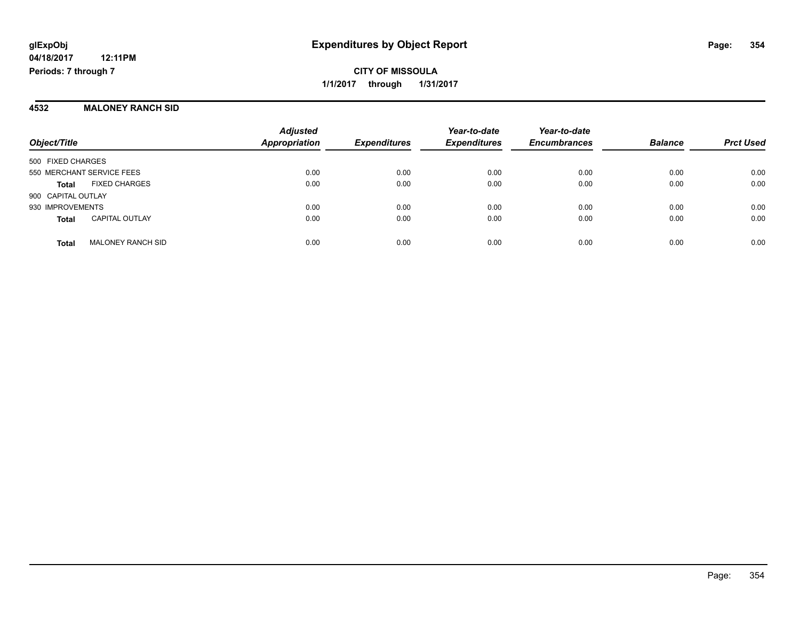**CITY OF MISSOULA 1/1/2017 through 1/31/2017**

#### **4532 MALONEY RANCH SID**

| Object/Title                             | <b>Adjusted</b><br><b>Appropriation</b> | <b>Expenditures</b> | Year-to-date<br><b>Expenditures</b> | Year-to-date<br><b>Encumbrances</b> | <b>Balance</b> | <b>Prct Used</b> |
|------------------------------------------|-----------------------------------------|---------------------|-------------------------------------|-------------------------------------|----------------|------------------|
| 500 FIXED CHARGES                        |                                         |                     |                                     |                                     |                |                  |
| 550 MERCHANT SERVICE FEES                | 0.00                                    | 0.00                | 0.00                                | 0.00                                | 0.00           | 0.00             |
| <b>FIXED CHARGES</b><br>Total            | 0.00                                    | 0.00                | 0.00                                | 0.00                                | 0.00           | 0.00             |
| 900 CAPITAL OUTLAY                       |                                         |                     |                                     |                                     |                |                  |
| 930 IMPROVEMENTS                         | 0.00                                    | 0.00                | 0.00                                | 0.00                                | 0.00           | 0.00             |
| <b>CAPITAL OUTLAY</b><br><b>Total</b>    | 0.00                                    | 0.00                | 0.00                                | 0.00                                | 0.00           | 0.00             |
| <b>MALONEY RANCH SID</b><br><b>Total</b> | 0.00                                    | 0.00                | 0.00                                | 0.00                                | 0.00           | 0.00             |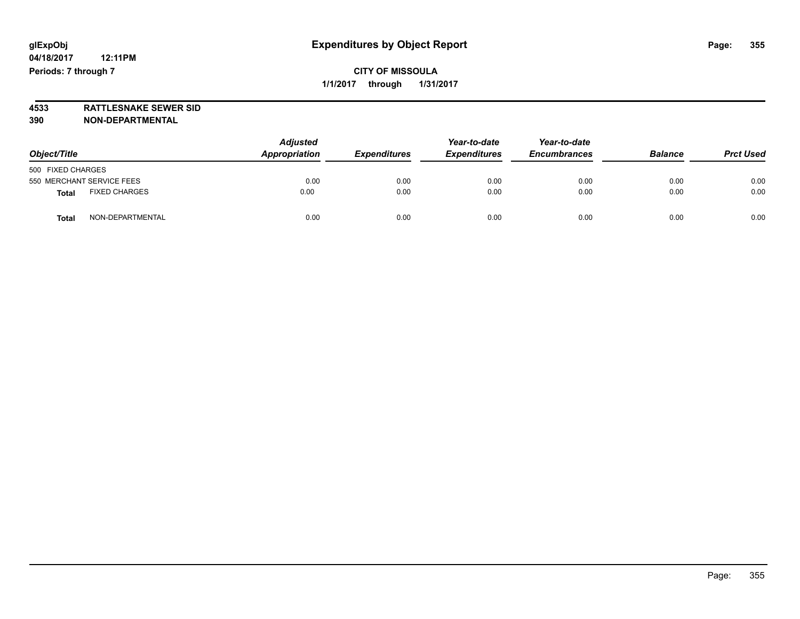#### **CITY OF MISSOULA 1/1/2017 through 1/31/2017**

**4533 RATTLESNAKE SEWER SID 390 NON-DEPARTMENTAL**

| Object/Title      |                           | <b>Adjusted</b><br>Appropriation | <b>Expenditures</b> | Year-to-date<br><b>Expenditures</b> | Year-to-date<br><b>Encumbrances</b> | <b>Balance</b> | <b>Prct Used</b> |
|-------------------|---------------------------|----------------------------------|---------------------|-------------------------------------|-------------------------------------|----------------|------------------|
| 500 FIXED CHARGES |                           |                                  |                     |                                     |                                     |                |                  |
|                   | 550 MERCHANT SERVICE FEES | 0.00                             | 0.00                | 0.00                                | 0.00                                | 0.00           | 0.00             |
| <b>Total</b>      | <b>FIXED CHARGES</b>      | 0.00                             | 0.00                | 0.00                                | 0.00                                | 0.00           | 0.00             |
| <b>Total</b>      | NON-DEPARTMENTAL          | 0.00                             | 0.00                | 0.00                                | 0.00                                | 0.00           | 0.00             |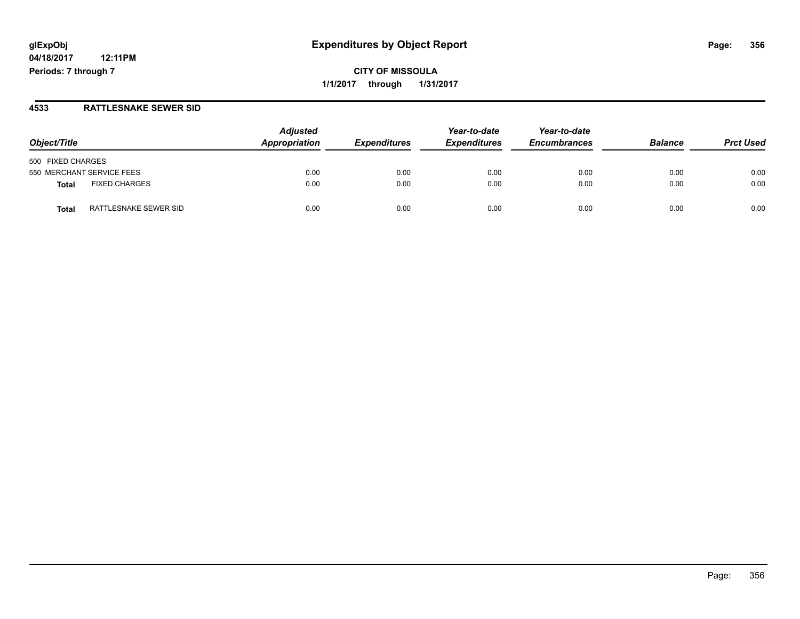**04/18/2017 12:11PM Periods: 7 through 7**

**CITY OF MISSOULA 1/1/2017 through 1/31/2017**

#### **4533 RATTLESNAKE SEWER SID**

| Object/Title                          | <b>Adjusted</b><br>Appropriation | <b>Expenditures</b> | Year-to-date<br><b>Expenditures</b> | Year-to-date<br><b>Encumbrances</b> | <b>Balance</b> | <b>Prct Used</b> |
|---------------------------------------|----------------------------------|---------------------|-------------------------------------|-------------------------------------|----------------|------------------|
| 500 FIXED CHARGES                     |                                  |                     |                                     |                                     |                |                  |
| 550 MERCHANT SERVICE FEES             | 0.00                             | 0.00                | 0.00                                | 0.00                                | 0.00           | 0.00             |
| <b>FIXED CHARGES</b><br><b>Total</b>  | 0.00                             | 0.00                | 0.00                                | 0.00                                | 0.00           | 0.00             |
| RATTLESNAKE SEWER SID<br><b>Total</b> | 0.00                             | 0.00                | 0.00                                | 0.00                                | 0.00           | 0.00             |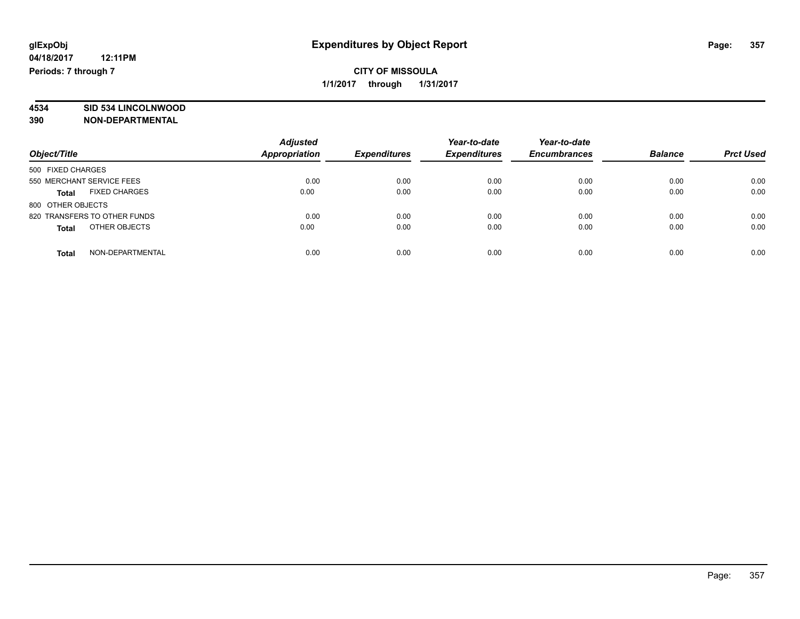#### **CITY OF MISSOULA 1/1/2017 through 1/31/2017**

# **4534 SID 534 LINCOLNWOOD**

**390 NON-DEPARTMENTAL**

| Object/Title                         | <b>Adjusted</b><br>Appropriation | <b>Expenditures</b> | Year-to-date<br><b>Expenditures</b> | Year-to-date<br><b>Encumbrances</b> | <b>Balance</b> | <b>Prct Used</b> |
|--------------------------------------|----------------------------------|---------------------|-------------------------------------|-------------------------------------|----------------|------------------|
| 500 FIXED CHARGES                    |                                  |                     |                                     |                                     |                |                  |
| 550 MERCHANT SERVICE FEES            | 0.00                             | 0.00                | 0.00                                | 0.00                                | 0.00           | 0.00             |
| <b>FIXED CHARGES</b><br><b>Total</b> | 0.00                             | 0.00                | 0.00                                | 0.00                                | 0.00           | 0.00             |
| 800 OTHER OBJECTS                    |                                  |                     |                                     |                                     |                |                  |
| 820 TRANSFERS TO OTHER FUNDS         | 0.00                             | 0.00                | 0.00                                | 0.00                                | 0.00           | 0.00             |
| OTHER OBJECTS<br><b>Total</b>        | 0.00                             | 0.00                | 0.00                                | 0.00                                | 0.00           | 0.00             |
| NON-DEPARTMENTAL<br>Total            | 0.00                             | 0.00                | 0.00                                | 0.00                                | 0.00           | 0.00             |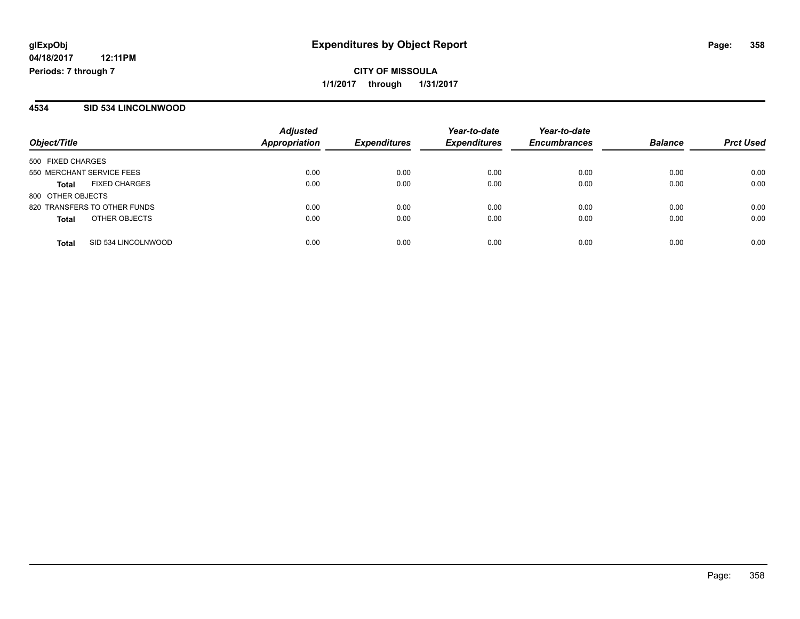**CITY OF MISSOULA 1/1/2017 through 1/31/2017**

#### **4534 SID 534 LINCOLNWOOD**

| Object/Title                         | <b>Adjusted</b><br><b>Appropriation</b> | <b>Expenditures</b> | Year-to-date<br><b>Expenditures</b> | Year-to-date<br><b>Encumbrances</b> | <b>Balance</b> | <b>Prct Used</b> |
|--------------------------------------|-----------------------------------------|---------------------|-------------------------------------|-------------------------------------|----------------|------------------|
| 500 FIXED CHARGES                    |                                         |                     |                                     |                                     |                |                  |
| 550 MERCHANT SERVICE FEES            | 0.00                                    | 0.00                | 0.00                                | 0.00                                | 0.00           | 0.00             |
| <b>FIXED CHARGES</b><br><b>Total</b> | 0.00                                    | 0.00                | 0.00                                | 0.00                                | 0.00           | 0.00             |
| 800 OTHER OBJECTS                    |                                         |                     |                                     |                                     |                |                  |
| 820 TRANSFERS TO OTHER FUNDS         | 0.00                                    | 0.00                | 0.00                                | 0.00                                | 0.00           | 0.00             |
| OTHER OBJECTS<br><b>Total</b>        | 0.00                                    | 0.00                | 0.00                                | 0.00                                | 0.00           | 0.00             |
| SID 534 LINCOLNWOOD<br><b>Total</b>  | 0.00                                    | 0.00                | 0.00                                | 0.00                                | 0.00           | 0.00             |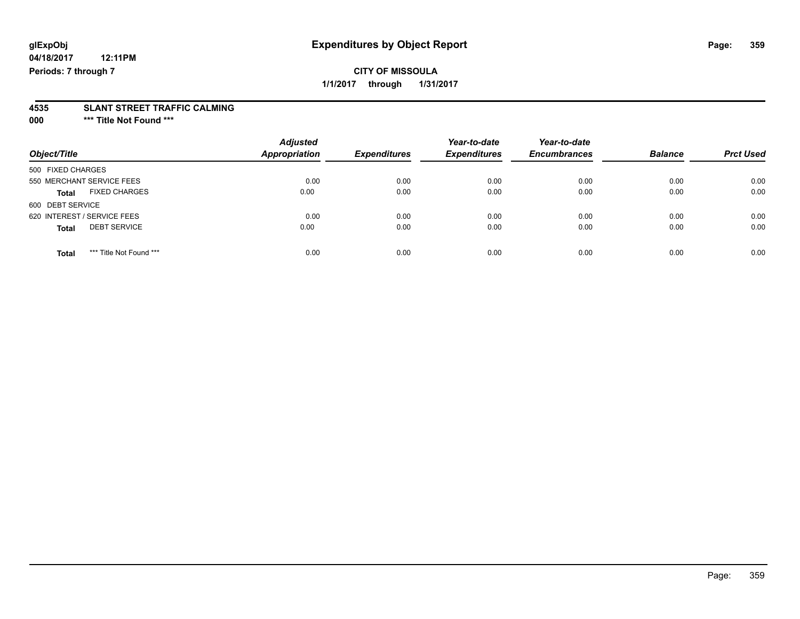**04/18/2017 12:11PM Periods: 7 through 7**

# **4535 SLANT STREET TRAFFIC CALMING**

**000 \*\*\* Title Not Found \*\*\***

|                                         | <b>Adjusted</b>      |                     | Year-to-date        | Year-to-date        |                |                  |
|-----------------------------------------|----------------------|---------------------|---------------------|---------------------|----------------|------------------|
| Object/Title                            | <b>Appropriation</b> | <b>Expenditures</b> | <b>Expenditures</b> | <b>Encumbrances</b> | <b>Balance</b> | <b>Prct Used</b> |
| 500 FIXED CHARGES                       |                      |                     |                     |                     |                |                  |
| 550 MERCHANT SERVICE FEES               | 0.00                 | 0.00                | 0.00                | 0.00                | 0.00           | 0.00             |
| <b>FIXED CHARGES</b><br><b>Total</b>    | 0.00                 | 0.00                | 0.00                | 0.00                | 0.00           | 0.00             |
| 600 DEBT SERVICE                        |                      |                     |                     |                     |                |                  |
| 620 INTEREST / SERVICE FEES             | 0.00                 | 0.00                | 0.00                | 0.00                | 0.00           | 0.00             |
| <b>DEBT SERVICE</b><br><b>Total</b>     | 0.00                 | 0.00                | 0.00                | 0.00                | 0.00           | 0.00             |
| *** Title Not Found ***<br><b>Total</b> | 0.00                 | 0.00                | 0.00                | 0.00                | 0.00           | 0.00             |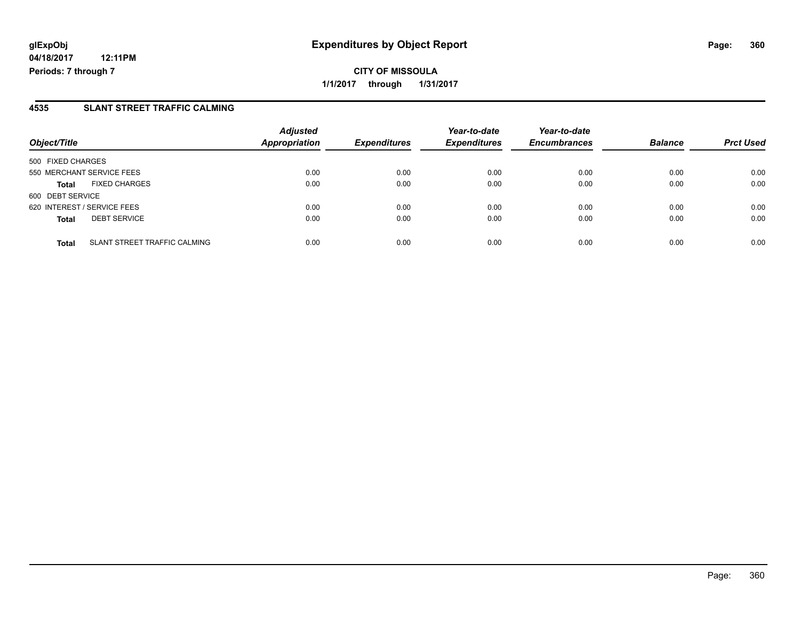#### **4535 SLANT STREET TRAFFIC CALMING**

| Object/Title                                        | <b>Adjusted</b><br><b>Appropriation</b> | <b>Expenditures</b> | Year-to-date<br><b>Expenditures</b> | Year-to-date<br><b>Encumbrances</b> | <b>Balance</b> | <b>Prct Used</b> |
|-----------------------------------------------------|-----------------------------------------|---------------------|-------------------------------------|-------------------------------------|----------------|------------------|
| 500 FIXED CHARGES                                   |                                         |                     |                                     |                                     |                |                  |
| 550 MERCHANT SERVICE FEES                           | 0.00                                    | 0.00                | 0.00                                | 0.00                                | 0.00           | 0.00             |
| <b>FIXED CHARGES</b><br><b>Total</b>                | 0.00                                    | 0.00                | 0.00                                | 0.00                                | 0.00           | 0.00             |
| 600 DEBT SERVICE                                    |                                         |                     |                                     |                                     |                |                  |
| 620 INTEREST / SERVICE FEES                         | 0.00                                    | 0.00                | 0.00                                | 0.00                                | 0.00           | 0.00             |
| <b>DEBT SERVICE</b><br><b>Total</b>                 | 0.00                                    | 0.00                | 0.00                                | 0.00                                | 0.00           | 0.00             |
| <b>SLANT STREET TRAFFIC CALMING</b><br><b>Total</b> | 0.00                                    | 0.00                | 0.00                                | 0.00                                | 0.00           | 0.00             |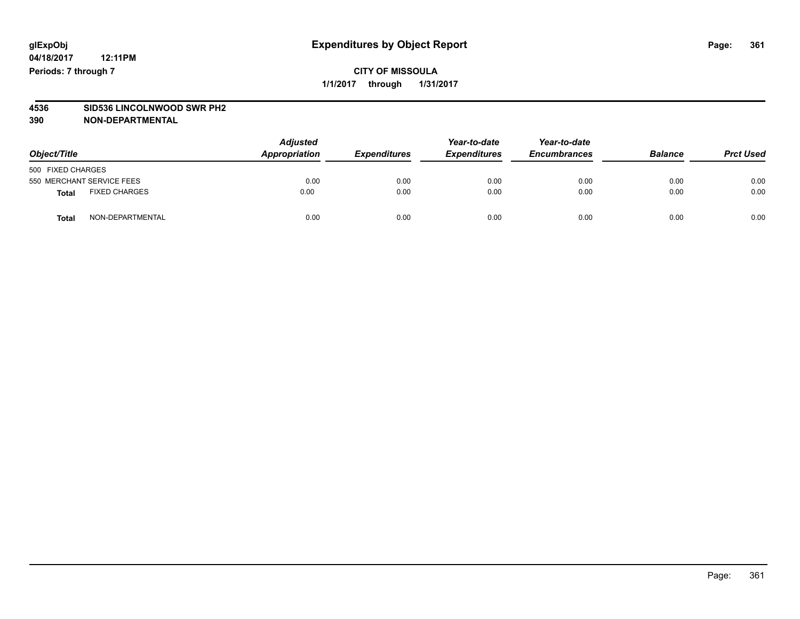# **4536 SID536 LINCOLNWOOD SWR PH2**

| Object/Title              |                      | <b>Adjusted</b><br>Appropriation | <b>Expenditures</b> | Year-to-date<br><b>Expenditures</b> | Year-to-date<br><b>Encumbrances</b> | <b>Balance</b> | <b>Prct Used</b> |
|---------------------------|----------------------|----------------------------------|---------------------|-------------------------------------|-------------------------------------|----------------|------------------|
| 500 FIXED CHARGES         |                      |                                  |                     |                                     |                                     |                |                  |
| 550 MERCHANT SERVICE FEES |                      | 0.00                             | 0.00                | 0.00                                | 0.00                                | 0.00           | 0.00             |
| Total                     | <b>FIXED CHARGES</b> | 0.00                             | 0.00                | 0.00                                | 0.00                                | 0.00           | 0.00             |
| <b>Total</b>              | NON-DEPARTMENTAL     | 0.00                             | 0.00                | 0.00                                | 0.00                                | 0.00           | 0.00             |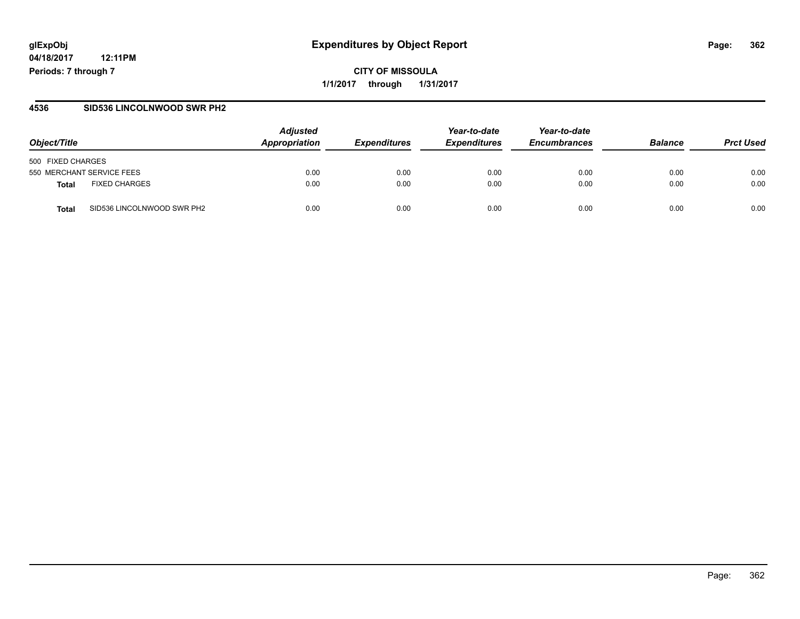# **glExpObj Expenditures by Object Report Page: 362**

**04/18/2017 12:11PM Periods: 7 through 7**

**CITY OF MISSOULA 1/1/2017 through 1/31/2017**

#### **4536 SID536 LINCOLNWOOD SWR PH2**

| Object/Title                               | <b>Adjusted</b><br>Appropriation | <b>Expenditures</b> | Year-to-date<br><b>Expenditures</b> | Year-to-date<br><b>Encumbrances</b> | <b>Balance</b> | <b>Prct Used</b> |
|--------------------------------------------|----------------------------------|---------------------|-------------------------------------|-------------------------------------|----------------|------------------|
| 500 FIXED CHARGES                          |                                  |                     |                                     |                                     |                |                  |
| 550 MERCHANT SERVICE FEES                  | 0.00                             | 0.00                | 0.00                                | 0.00                                | 0.00           | 0.00             |
| <b>FIXED CHARGES</b><br>Total              | 0.00                             | 0.00                | 0.00                                | 0.00                                | 0.00           | 0.00             |
| SID536 LINCOLNWOOD SWR PH2<br><b>Total</b> | 0.00                             | 0.00                | 0.00                                | 0.00                                | 0.00           | 0.00             |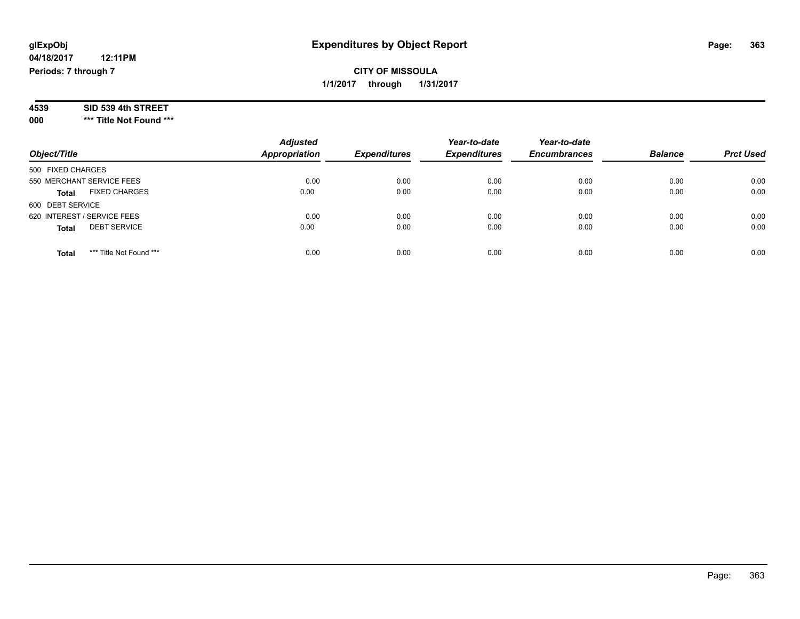| 4539 | SID 539 4th STREET |  |
|------|--------------------|--|
|------|--------------------|--|

**000 \*\*\* Title Not Found \*\*\***

| Object/Title                            | <b>Adjusted</b><br><b>Appropriation</b> | <b>Expenditures</b> | Year-to-date<br><b>Expenditures</b> | Year-to-date<br><b>Encumbrances</b> | <b>Balance</b> | <b>Prct Used</b> |
|-----------------------------------------|-----------------------------------------|---------------------|-------------------------------------|-------------------------------------|----------------|------------------|
| 500 FIXED CHARGES                       |                                         |                     |                                     |                                     |                |                  |
| 550 MERCHANT SERVICE FEES               | 0.00                                    | 0.00                | 0.00                                | 0.00                                | 0.00           | 0.00             |
| <b>FIXED CHARGES</b><br><b>Total</b>    | 0.00                                    | 0.00                | 0.00                                | 0.00                                | 0.00           | 0.00             |
| 600 DEBT SERVICE                        |                                         |                     |                                     |                                     |                |                  |
| 620 INTEREST / SERVICE FEES             | 0.00                                    | 0.00                | 0.00                                | 0.00                                | 0.00           | 0.00             |
| <b>DEBT SERVICE</b><br><b>Total</b>     | 0.00                                    | 0.00                | 0.00                                | 0.00                                | 0.00           | 0.00             |
| *** Title Not Found ***<br><b>Total</b> | 0.00                                    | 0.00                | 0.00                                | 0.00                                | 0.00           | 0.00             |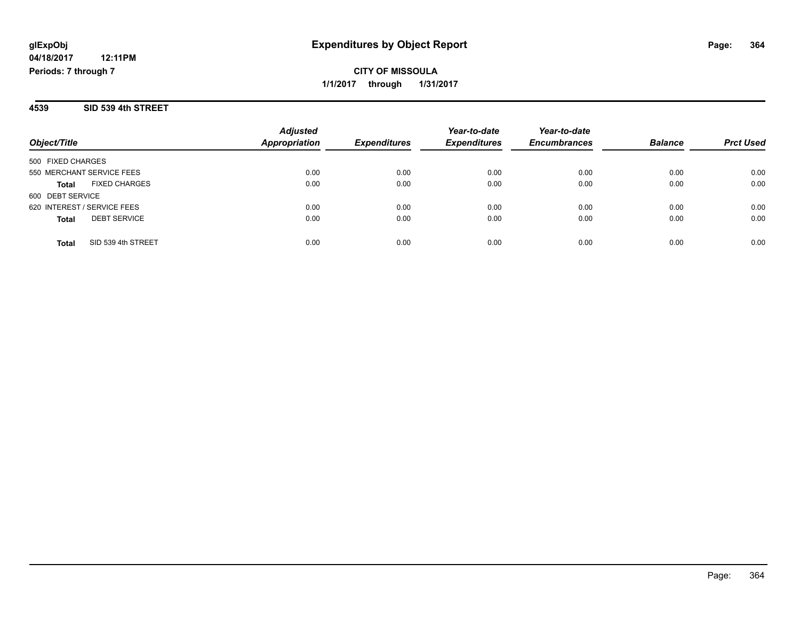#### **4539 SID 539 4th STREET**

|                                     | <b>Adjusted</b>      |                     | Year-to-date        | Year-to-date        | <b>Balance</b> | <b>Prct Used</b> |
|-------------------------------------|----------------------|---------------------|---------------------|---------------------|----------------|------------------|
| Object/Title                        | <b>Appropriation</b> | <b>Expenditures</b> | <b>Expenditures</b> | <b>Encumbrances</b> |                |                  |
| 500 FIXED CHARGES                   |                      |                     |                     |                     |                |                  |
| 550 MERCHANT SERVICE FEES           | 0.00                 | 0.00                | 0.00                | 0.00                | 0.00           | 0.00             |
| <b>FIXED CHARGES</b><br>Total       | 0.00                 | 0.00                | 0.00                | 0.00                | 0.00           | 0.00             |
| 600 DEBT SERVICE                    |                      |                     |                     |                     |                |                  |
| 620 INTEREST / SERVICE FEES         | 0.00                 | 0.00                | 0.00                | 0.00                | 0.00           | 0.00             |
| <b>DEBT SERVICE</b><br><b>Total</b> | 0.00                 | 0.00                | 0.00                | 0.00                | 0.00           | 0.00             |
| SID 539 4th STREET<br>Total         | 0.00                 | 0.00                | 0.00                | 0.00                | 0.00           | 0.00             |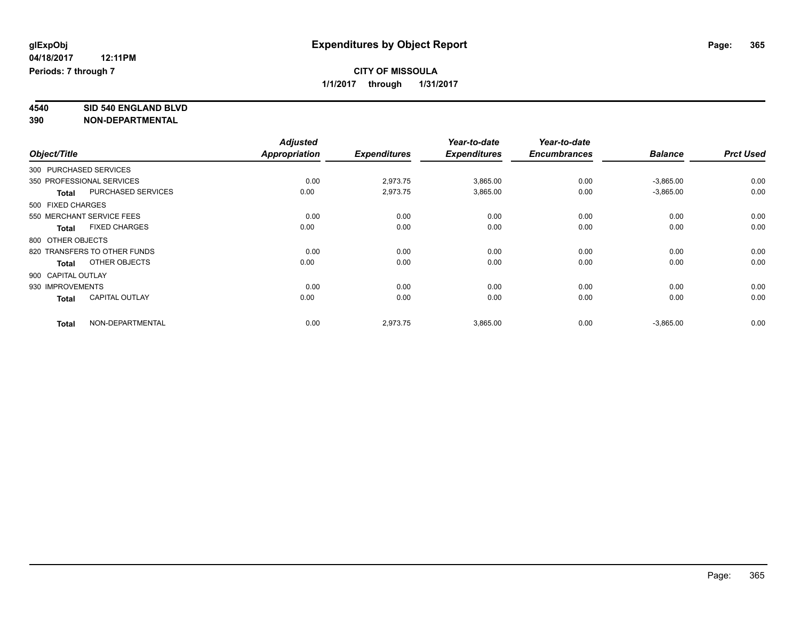**4540 SID 540 ENGLAND BLVD**

|                  |                              | <b>Adjusted</b> |                     | Year-to-date        | Year-to-date        |                |                  |
|------------------|------------------------------|-----------------|---------------------|---------------------|---------------------|----------------|------------------|
| Object/Title     |                              | Appropriation   | <b>Expenditures</b> | <b>Expenditures</b> | <b>Encumbrances</b> | <b>Balance</b> | <b>Prct Used</b> |
|                  | 300 PURCHASED SERVICES       |                 |                     |                     |                     |                |                  |
|                  | 350 PROFESSIONAL SERVICES    | 0.00            | 2,973.75            | 3,865.00            | 0.00                | $-3,865.00$    | 0.00             |
| <b>Total</b>     | <b>PURCHASED SERVICES</b>    | 0.00            | 2,973.75            | 3,865.00            | 0.00                | $-3,865.00$    | 0.00             |
|                  | 500 FIXED CHARGES            |                 |                     |                     |                     |                |                  |
|                  | 550 MERCHANT SERVICE FEES    | 0.00            | 0.00                | 0.00                | 0.00                | 0.00           | 0.00             |
| Total            | <b>FIXED CHARGES</b>         | 0.00            | 0.00                | 0.00                | 0.00                | 0.00           | 0.00             |
|                  | 800 OTHER OBJECTS            |                 |                     |                     |                     |                |                  |
|                  | 820 TRANSFERS TO OTHER FUNDS | 0.00            | 0.00                | 0.00                | 0.00                | 0.00           | 0.00             |
| <b>Total</b>     | OTHER OBJECTS                | 0.00            | 0.00                | 0.00                | 0.00                | 0.00           | 0.00             |
|                  | 900 CAPITAL OUTLAY           |                 |                     |                     |                     |                |                  |
| 930 IMPROVEMENTS |                              | 0.00            | 0.00                | 0.00                | 0.00                | 0.00           | 0.00             |
| <b>Total</b>     | <b>CAPITAL OUTLAY</b>        | 0.00            | 0.00                | 0.00                | 0.00                | 0.00           | 0.00             |
| <b>Total</b>     | NON-DEPARTMENTAL             | 0.00            | 2,973.75            | 3,865.00            | 0.00                | $-3,865.00$    | 0.00             |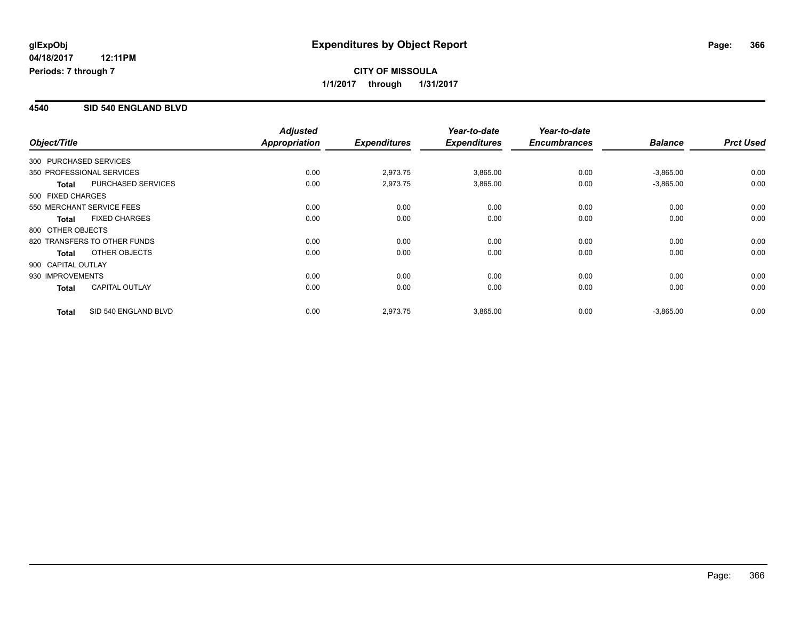## **CITY OF MISSOULA 1/1/2017 through 1/31/2017**

#### **4540 SID 540 ENGLAND BLVD**

| Object/Title       |                              | <b>Adjusted</b><br>Appropriation | <b>Expenditures</b> | Year-to-date<br><b>Expenditures</b> | Year-to-date<br><b>Encumbrances</b> | <b>Balance</b> | <b>Prct Used</b> |
|--------------------|------------------------------|----------------------------------|---------------------|-------------------------------------|-------------------------------------|----------------|------------------|
|                    | 300 PURCHASED SERVICES       |                                  |                     |                                     |                                     |                |                  |
|                    | 350 PROFESSIONAL SERVICES    | 0.00                             | 2,973.75            | 3,865.00                            | 0.00                                | $-3,865.00$    | 0.00             |
| <b>Total</b>       | <b>PURCHASED SERVICES</b>    | 0.00                             | 2,973.75            | 3,865.00                            | 0.00                                | $-3,865.00$    | 0.00             |
| 500 FIXED CHARGES  |                              |                                  |                     |                                     |                                     |                |                  |
|                    | 550 MERCHANT SERVICE FEES    | 0.00                             | 0.00                | 0.00                                | 0.00                                | 0.00           | 0.00             |
| <b>Total</b>       | <b>FIXED CHARGES</b>         | 0.00                             | 0.00                | 0.00                                | 0.00                                | 0.00           | 0.00             |
| 800 OTHER OBJECTS  |                              |                                  |                     |                                     |                                     |                |                  |
|                    | 820 TRANSFERS TO OTHER FUNDS | 0.00                             | 0.00                | 0.00                                | 0.00                                | 0.00           | 0.00             |
| <b>Total</b>       | OTHER OBJECTS                | 0.00                             | 0.00                | 0.00                                | 0.00                                | 0.00           | 0.00             |
| 900 CAPITAL OUTLAY |                              |                                  |                     |                                     |                                     |                |                  |
| 930 IMPROVEMENTS   |                              | 0.00                             | 0.00                | 0.00                                | 0.00                                | 0.00           | 0.00             |
| <b>Total</b>       | <b>CAPITAL OUTLAY</b>        | 0.00                             | 0.00                | 0.00                                | 0.00                                | 0.00           | 0.00             |
| <b>Total</b>       | SID 540 ENGLAND BLVD         | 0.00                             | 2,973.75            | 3,865.00                            | 0.00                                | $-3,865.00$    | 0.00             |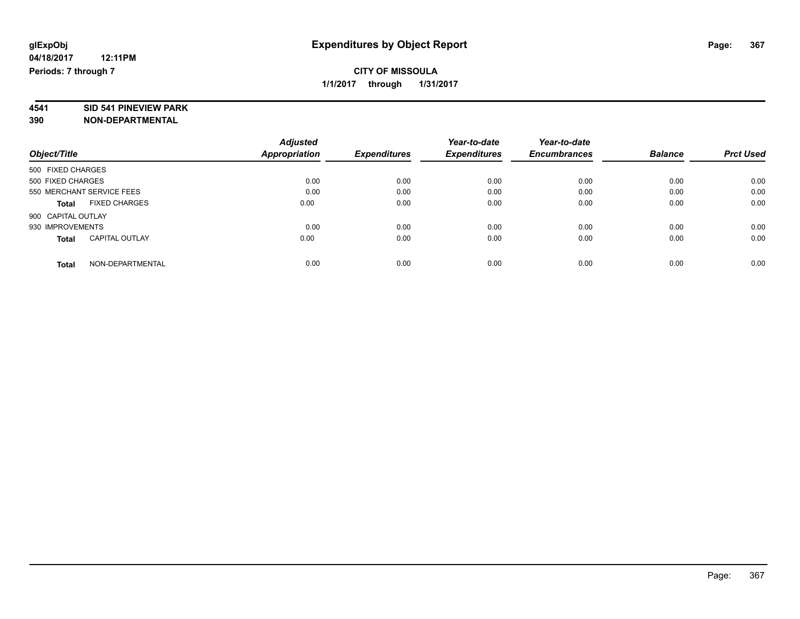# **4541 SID 541 PINEVIEW PARK**

|                                       | <b>Adjusted</b> | Year-to-date        |                     | Year-to-date        |                |                  |
|---------------------------------------|-----------------|---------------------|---------------------|---------------------|----------------|------------------|
| Object/Title                          | Appropriation   | <b>Expenditures</b> | <b>Expenditures</b> | <b>Encumbrances</b> | <b>Balance</b> | <b>Prct Used</b> |
| 500 FIXED CHARGES                     |                 |                     |                     |                     |                |                  |
| 500 FIXED CHARGES                     | 0.00            | 0.00                | 0.00                | 0.00                | 0.00           | 0.00             |
| 550 MERCHANT SERVICE FEES             | 0.00            | 0.00                | 0.00                | 0.00                | 0.00           | 0.00             |
| <b>FIXED CHARGES</b><br><b>Total</b>  | 0.00            | 0.00                | 0.00                | 0.00                | 0.00           | 0.00             |
| 900 CAPITAL OUTLAY                    |                 |                     |                     |                     |                |                  |
| 930 IMPROVEMENTS                      | 0.00            | 0.00                | 0.00                | 0.00                | 0.00           | 0.00             |
| <b>CAPITAL OUTLAY</b><br><b>Total</b> | 0.00            | 0.00                | 0.00                | 0.00                | 0.00           | 0.00             |
| NON-DEPARTMENTAL<br>Total             | 0.00            | 0.00                | 0.00                | 0.00                | 0.00           | 0.00             |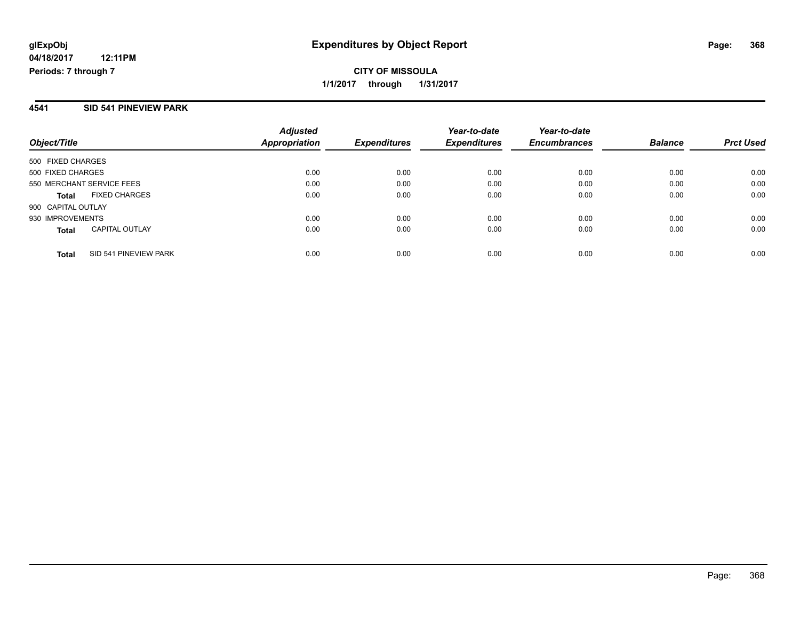**CITY OF MISSOULA 1/1/2017 through 1/31/2017**

#### **4541 SID 541 PINEVIEW PARK**

| Object/Title                          | <b>Adjusted</b><br><b>Appropriation</b> | <b>Expenditures</b> | Year-to-date<br><b>Expenditures</b> | Year-to-date<br><b>Encumbrances</b> | <b>Balance</b> | <b>Prct Used</b> |
|---------------------------------------|-----------------------------------------|---------------------|-------------------------------------|-------------------------------------|----------------|------------------|
| 500 FIXED CHARGES                     |                                         |                     |                                     |                                     |                |                  |
| 500 FIXED CHARGES                     | 0.00                                    | 0.00                | 0.00                                | 0.00                                | 0.00           | 0.00             |
| 550 MERCHANT SERVICE FEES             | 0.00                                    | 0.00                | 0.00                                | 0.00                                | 0.00           | 0.00             |
| <b>FIXED CHARGES</b><br><b>Total</b>  | 0.00                                    | 0.00                | 0.00                                | 0.00                                | 0.00           | 0.00             |
| 900 CAPITAL OUTLAY                    |                                         |                     |                                     |                                     |                |                  |
| 930 IMPROVEMENTS                      | 0.00                                    | 0.00                | 0.00                                | 0.00                                | 0.00           | 0.00             |
| <b>CAPITAL OUTLAY</b><br><b>Total</b> | 0.00                                    | 0.00                | 0.00                                | 0.00                                | 0.00           | 0.00             |
| SID 541 PINEVIEW PARK<br><b>Total</b> | 0.00                                    | 0.00                | 0.00                                | 0.00                                | 0.00           | 0.00             |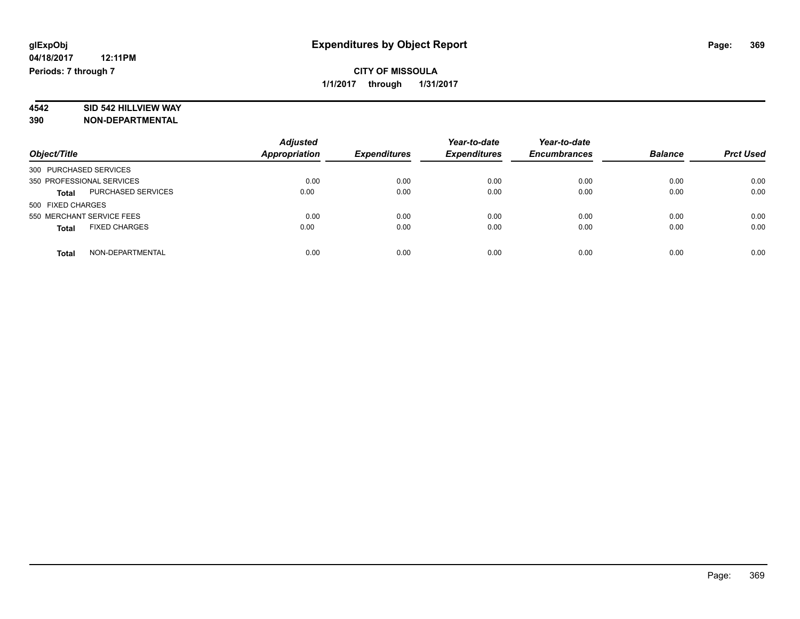# **4542 SID 542 HILLVIEW WAY**

| Object/Title                              | <b>Adjusted</b><br>Appropriation | <b>Expenditures</b> | Year-to-date<br><b>Expenditures</b> | Year-to-date<br><b>Encumbrances</b> | <b>Balance</b> | <b>Prct Used</b> |
|-------------------------------------------|----------------------------------|---------------------|-------------------------------------|-------------------------------------|----------------|------------------|
| 300 PURCHASED SERVICES                    |                                  |                     |                                     |                                     |                |                  |
| 350 PROFESSIONAL SERVICES                 | 0.00                             | 0.00                | 0.00                                | 0.00                                | 0.00           | 0.00             |
| <b>PURCHASED SERVICES</b><br><b>Total</b> | 0.00                             | 0.00                | 0.00                                | 0.00                                | 0.00           | 0.00             |
| 500 FIXED CHARGES                         |                                  |                     |                                     |                                     |                |                  |
| 550 MERCHANT SERVICE FEES                 | 0.00                             | 0.00                | 0.00                                | 0.00                                | 0.00           | 0.00             |
| <b>FIXED CHARGES</b><br><b>Total</b>      | 0.00                             | 0.00                | 0.00                                | 0.00                                | 0.00           | 0.00             |
| NON-DEPARTMENTAL<br><b>Total</b>          | 0.00                             | 0.00                | 0.00                                | 0.00                                | 0.00           | 0.00             |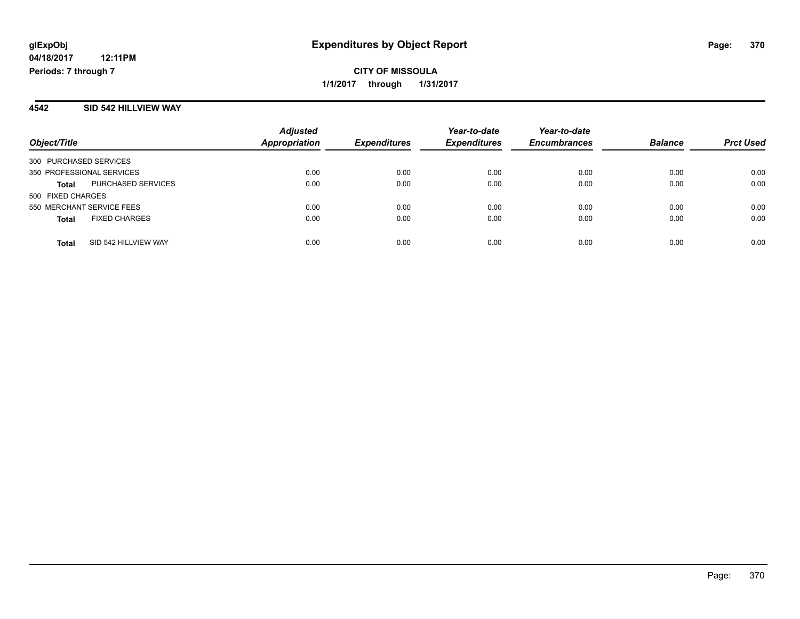#### **4542 SID 542 HILLVIEW WAY**

| Object/Title                              | <b>Adjusted</b><br><b>Appropriation</b> | <b>Expenditures</b> | Year-to-date<br><b>Expenditures</b> | Year-to-date<br><b>Encumbrances</b> | <b>Balance</b> | <b>Prct Used</b> |
|-------------------------------------------|-----------------------------------------|---------------------|-------------------------------------|-------------------------------------|----------------|------------------|
| 300 PURCHASED SERVICES                    |                                         |                     |                                     |                                     |                |                  |
| 350 PROFESSIONAL SERVICES                 | 0.00                                    | 0.00                | 0.00                                | 0.00                                | 0.00           | 0.00             |
| <b>PURCHASED SERVICES</b><br><b>Total</b> | 0.00                                    | 0.00                | 0.00                                | 0.00                                | 0.00           | 0.00             |
| 500 FIXED CHARGES                         |                                         |                     |                                     |                                     |                |                  |
| 550 MERCHANT SERVICE FEES                 | 0.00                                    | 0.00                | 0.00                                | 0.00                                | 0.00           | 0.00             |
| <b>FIXED CHARGES</b><br><b>Total</b>      | 0.00                                    | 0.00                | 0.00                                | 0.00                                | 0.00           | 0.00             |
| SID 542 HILLVIEW WAY<br><b>Total</b>      | 0.00                                    | 0.00                | 0.00                                | 0.00                                | 0.00           | 0.00             |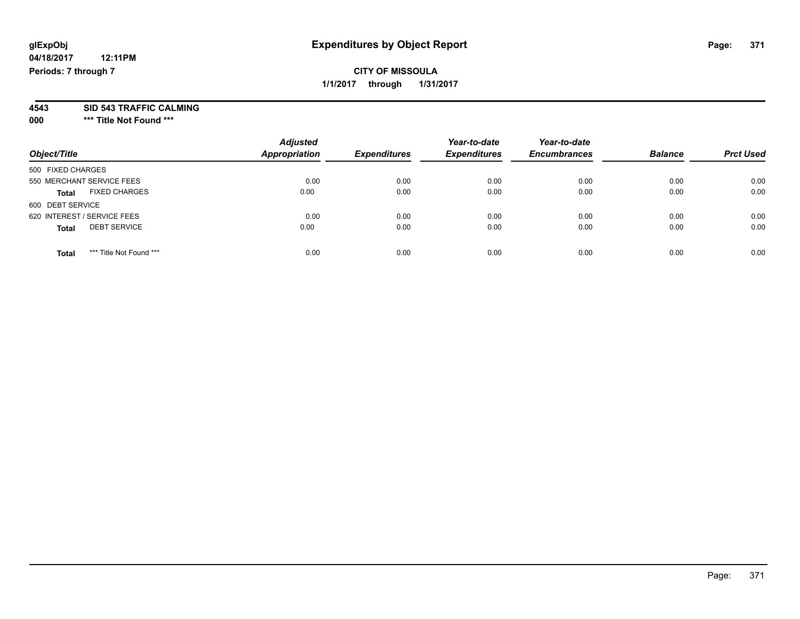#### **4543 SID 543 TRAFFIC CALMING**

**000 \*\*\* Title Not Found \*\*\***

| Object/Title                            | <b>Adjusted</b><br><b>Appropriation</b> | <b>Expenditures</b> | Year-to-date<br><b>Expenditures</b> | Year-to-date<br><b>Encumbrances</b> | <b>Balance</b> | <b>Prct Used</b> |
|-----------------------------------------|-----------------------------------------|---------------------|-------------------------------------|-------------------------------------|----------------|------------------|
| 500 FIXED CHARGES                       |                                         |                     |                                     |                                     |                |                  |
| 550 MERCHANT SERVICE FEES               | 0.00                                    | 0.00                | 0.00                                | 0.00                                | 0.00           | 0.00             |
| <b>FIXED CHARGES</b><br><b>Total</b>    | 0.00                                    | 0.00                | 0.00                                | 0.00                                | 0.00           | 0.00             |
| 600 DEBT SERVICE                        |                                         |                     |                                     |                                     |                |                  |
| 620 INTEREST / SERVICE FEES             | 0.00                                    | 0.00                | 0.00                                | 0.00                                | 0.00           | 0.00             |
| <b>DEBT SERVICE</b><br><b>Total</b>     | 0.00                                    | 0.00                | 0.00                                | 0.00                                | 0.00           | 0.00             |
| *** Title Not Found ***<br><b>Total</b> | 0.00                                    | 0.00                | 0.00                                | 0.00                                | 0.00           | 0.00             |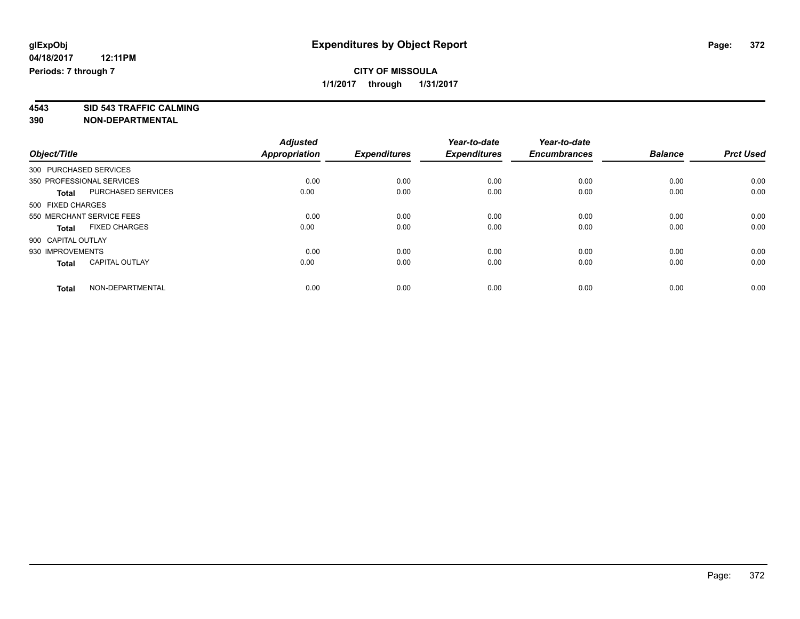**4543 SID 543 TRAFFIC CALMING**

|                        |                           | <b>Adjusted</b> |                     | Year-to-date        | Year-to-date        |                |                  |
|------------------------|---------------------------|-----------------|---------------------|---------------------|---------------------|----------------|------------------|
| Object/Title           |                           | Appropriation   | <b>Expenditures</b> | <b>Expenditures</b> | <b>Encumbrances</b> | <b>Balance</b> | <b>Prct Used</b> |
| 300 PURCHASED SERVICES |                           |                 |                     |                     |                     |                |                  |
|                        | 350 PROFESSIONAL SERVICES | 0.00            | 0.00                | 0.00                | 0.00                | 0.00           | 0.00             |
| <b>Total</b>           | PURCHASED SERVICES        | 0.00            | 0.00                | 0.00                | 0.00                | 0.00           | 0.00             |
| 500 FIXED CHARGES      |                           |                 |                     |                     |                     |                |                  |
|                        | 550 MERCHANT SERVICE FEES | 0.00            | 0.00                | 0.00                | 0.00                | 0.00           | 0.00             |
| <b>Total</b>           | <b>FIXED CHARGES</b>      | 0.00            | 0.00                | 0.00                | 0.00                | 0.00           | 0.00             |
| 900 CAPITAL OUTLAY     |                           |                 |                     |                     |                     |                |                  |
| 930 IMPROVEMENTS       |                           | 0.00            | 0.00                | 0.00                | 0.00                | 0.00           | 0.00             |
| <b>Total</b>           | <b>CAPITAL OUTLAY</b>     | 0.00            | 0.00                | 0.00                | 0.00                | 0.00           | 0.00             |
| <b>Total</b>           | NON-DEPARTMENTAL          | 0.00            | 0.00                | 0.00                | 0.00                | 0.00           | 0.00             |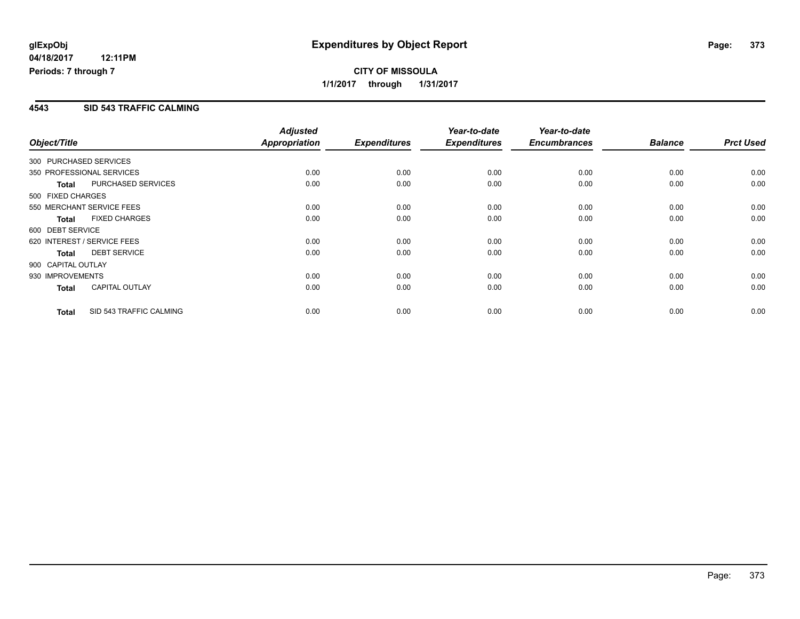**CITY OF MISSOULA 1/1/2017 through 1/31/2017**

#### **4543 SID 543 TRAFFIC CALMING**

| Object/Title       |                             | <b>Adjusted</b><br><b>Appropriation</b> | <b>Expenditures</b> | Year-to-date<br><b>Expenditures</b> | Year-to-date<br><b>Encumbrances</b> | <b>Balance</b> | <b>Prct Used</b> |
|--------------------|-----------------------------|-----------------------------------------|---------------------|-------------------------------------|-------------------------------------|----------------|------------------|
|                    | 300 PURCHASED SERVICES      |                                         |                     |                                     |                                     |                |                  |
|                    | 350 PROFESSIONAL SERVICES   | 0.00                                    | 0.00                | 0.00                                | 0.00                                | 0.00           | 0.00             |
| <b>Total</b>       | <b>PURCHASED SERVICES</b>   | 0.00                                    | 0.00                | 0.00                                | 0.00                                | 0.00           | 0.00             |
| 500 FIXED CHARGES  |                             |                                         |                     |                                     |                                     |                |                  |
|                    | 550 MERCHANT SERVICE FEES   | 0.00                                    | 0.00                | 0.00                                | 0.00                                | 0.00           | 0.00             |
| <b>Total</b>       | <b>FIXED CHARGES</b>        | 0.00                                    | 0.00                | 0.00                                | 0.00                                | 0.00           | 0.00             |
| 600 DEBT SERVICE   |                             |                                         |                     |                                     |                                     |                |                  |
|                    | 620 INTEREST / SERVICE FEES | 0.00                                    | 0.00                | 0.00                                | 0.00                                | 0.00           | 0.00             |
| <b>Total</b>       | <b>DEBT SERVICE</b>         | 0.00                                    | 0.00                | 0.00                                | 0.00                                | 0.00           | 0.00             |
| 900 CAPITAL OUTLAY |                             |                                         |                     |                                     |                                     |                |                  |
| 930 IMPROVEMENTS   |                             | 0.00                                    | 0.00                | 0.00                                | 0.00                                | 0.00           | 0.00             |
| <b>Total</b>       | <b>CAPITAL OUTLAY</b>       | 0.00                                    | 0.00                | 0.00                                | 0.00                                | 0.00           | 0.00             |
| <b>Total</b>       | SID 543 TRAFFIC CALMING     | 0.00                                    | 0.00                | 0.00                                | 0.00                                | 0.00           | 0.00             |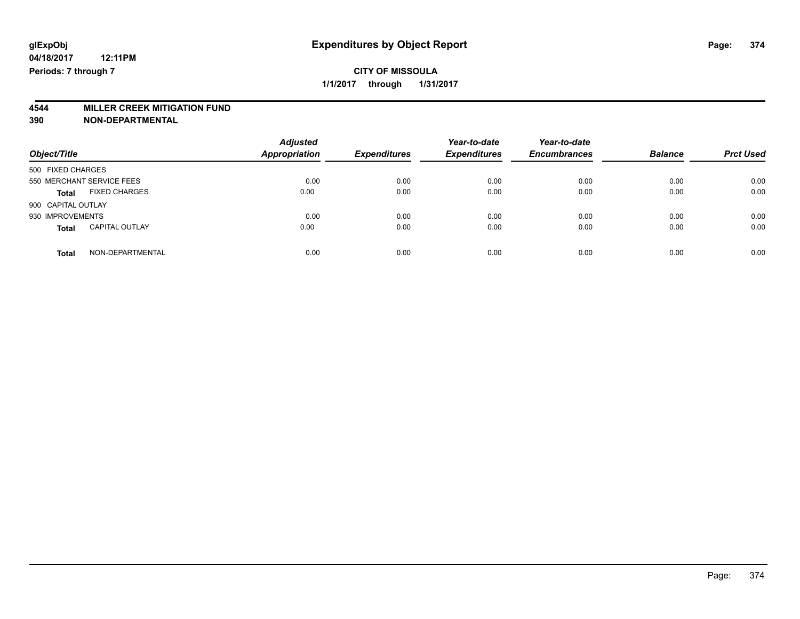# **4544 MILLER CREEK MITIGATION FUND**

| Object/Title                          | <b>Adjusted</b><br><b>Appropriation</b> | <b>Expenditures</b> | Year-to-date<br><b>Expenditures</b> | Year-to-date<br><b>Encumbrances</b> | <b>Balance</b> | <b>Prct Used</b> |
|---------------------------------------|-----------------------------------------|---------------------|-------------------------------------|-------------------------------------|----------------|------------------|
| 500 FIXED CHARGES                     |                                         |                     |                                     |                                     |                |                  |
| 550 MERCHANT SERVICE FEES             | 0.00                                    | 0.00                | 0.00                                | 0.00                                | 0.00           | 0.00             |
| <b>FIXED CHARGES</b><br><b>Total</b>  | 0.00                                    | 0.00                | 0.00                                | 0.00                                | 0.00           | 0.00             |
| 900 CAPITAL OUTLAY                    |                                         |                     |                                     |                                     |                |                  |
| 930 IMPROVEMENTS                      | 0.00                                    | 0.00                | 0.00                                | 0.00                                | 0.00           | 0.00             |
| <b>CAPITAL OUTLAY</b><br><b>Total</b> | 0.00                                    | 0.00                | 0.00                                | 0.00                                | 0.00           | 0.00             |
| NON-DEPARTMENTAL<br><b>Total</b>      | 0.00                                    | 0.00                | 0.00                                | 0.00                                | 0.00           | 0.00             |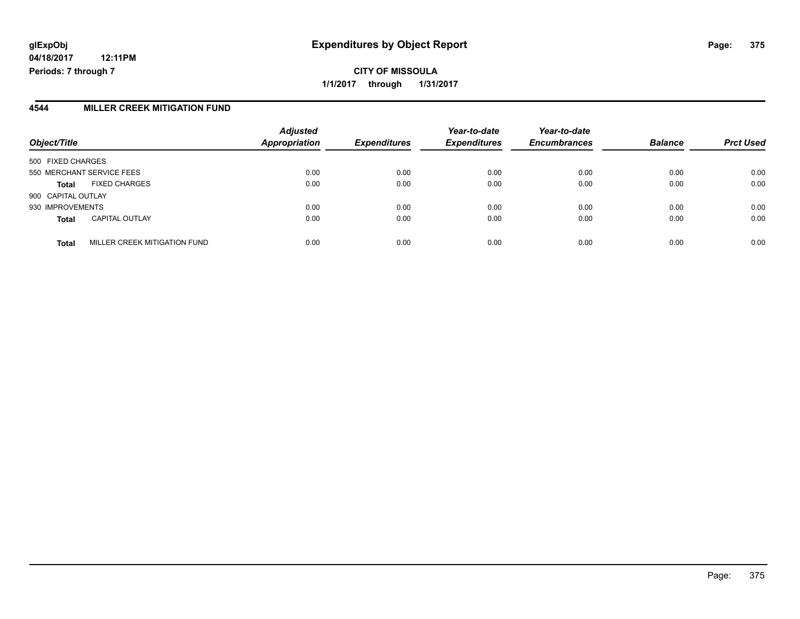# **glExpObj Expenditures by Object Report Page: 375**

**04/18/2017 12:11PM Periods: 7 through 7**

#### **4544 MILLER CREEK MITIGATION FUND**

| Object/Title              |                              | <b>Adjusted</b><br><b>Appropriation</b> | <b>Expenditures</b> | Year-to-date<br><b>Expenditures</b> | Year-to-date<br><b>Encumbrances</b> | <b>Balance</b> | <b>Prct Used</b> |
|---------------------------|------------------------------|-----------------------------------------|---------------------|-------------------------------------|-------------------------------------|----------------|------------------|
| 500 FIXED CHARGES         |                              |                                         |                     |                                     |                                     |                |                  |
| 550 MERCHANT SERVICE FEES |                              | 0.00                                    | 0.00                | 0.00                                | 0.00                                | 0.00           | 0.00             |
| <b>Total</b>              | <b>FIXED CHARGES</b>         | 0.00                                    | 0.00                | 0.00                                | 0.00                                | 0.00           | 0.00             |
| 900 CAPITAL OUTLAY        |                              |                                         |                     |                                     |                                     |                |                  |
| 930 IMPROVEMENTS          |                              | 0.00                                    | 0.00                | 0.00                                | 0.00                                | 0.00           | 0.00             |
| <b>Total</b>              | <b>CAPITAL OUTLAY</b>        | 0.00                                    | 0.00                | 0.00                                | 0.00                                | 0.00           | 0.00             |
| <b>Total</b>              | MILLER CREEK MITIGATION FUND | 0.00                                    | 0.00                | 0.00                                | 0.00                                | 0.00           | 0.00             |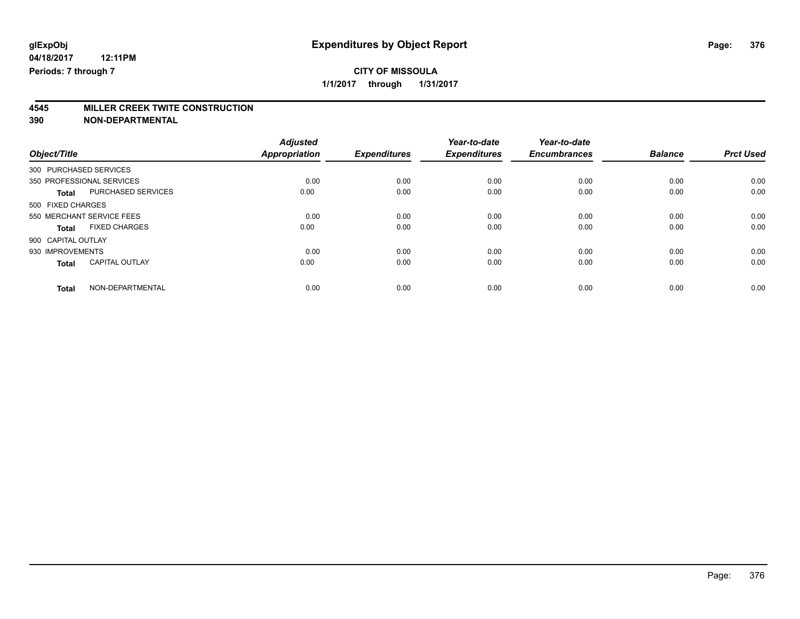**4545 MILLER CREEK TWITE CONSTRUCTION**

|                                           | <b>Adjusted</b>      |                     | Year-to-date        | Year-to-date        |                |                  |
|-------------------------------------------|----------------------|---------------------|---------------------|---------------------|----------------|------------------|
| Object/Title                              | <b>Appropriation</b> | <b>Expenditures</b> | <b>Expenditures</b> | <b>Encumbrances</b> | <b>Balance</b> | <b>Prct Used</b> |
| 300 PURCHASED SERVICES                    |                      |                     |                     |                     |                |                  |
| 350 PROFESSIONAL SERVICES                 | 0.00                 | 0.00                | 0.00                | 0.00                | 0.00           | 0.00             |
| <b>PURCHASED SERVICES</b><br><b>Total</b> | 0.00                 | 0.00                | 0.00                | 0.00                | 0.00           | 0.00             |
| 500 FIXED CHARGES                         |                      |                     |                     |                     |                |                  |
| 550 MERCHANT SERVICE FEES                 | 0.00                 | 0.00                | 0.00                | 0.00                | 0.00           | 0.00             |
| <b>FIXED CHARGES</b><br><b>Total</b>      | 0.00                 | 0.00                | 0.00                | 0.00                | 0.00           | 0.00             |
| 900 CAPITAL OUTLAY                        |                      |                     |                     |                     |                |                  |
| 930 IMPROVEMENTS                          | 0.00                 | 0.00                | 0.00                | 0.00                | 0.00           | 0.00             |
| <b>CAPITAL OUTLAY</b><br><b>Total</b>     | 0.00                 | 0.00                | 0.00                | 0.00                | 0.00           | 0.00             |
| NON-DEPARTMENTAL<br><b>Total</b>          | 0.00                 | 0.00                | 0.00                | 0.00                | 0.00           | 0.00             |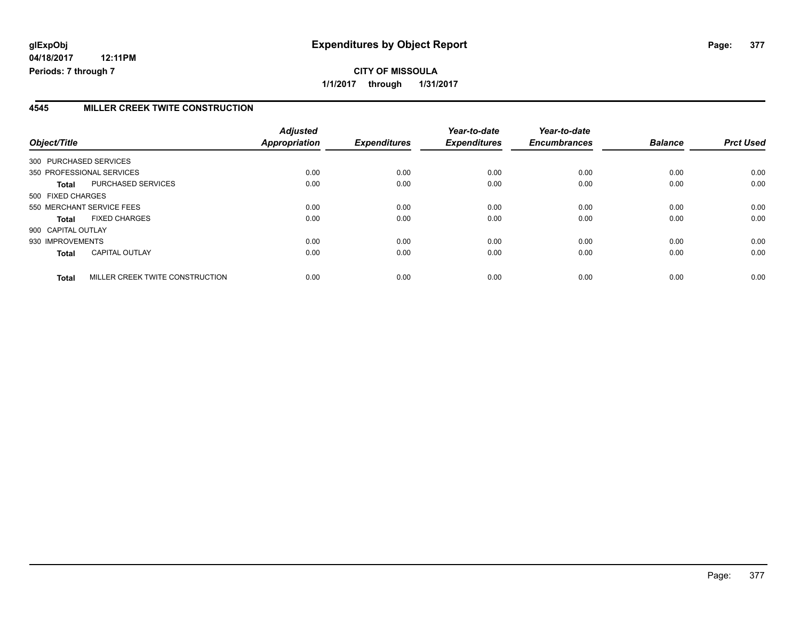#### **4545 MILLER CREEK TWITE CONSTRUCTION**

| Object/Title           |                                 | <b>Adjusted</b><br>Appropriation | <b>Expenditures</b> | Year-to-date<br><b>Expenditures</b> | Year-to-date<br><b>Encumbrances</b> | <b>Balance</b> | <b>Prct Used</b> |
|------------------------|---------------------------------|----------------------------------|---------------------|-------------------------------------|-------------------------------------|----------------|------------------|
| 300 PURCHASED SERVICES |                                 |                                  |                     |                                     |                                     |                |                  |
|                        | 350 PROFESSIONAL SERVICES       | 0.00                             | 0.00                | 0.00                                | 0.00                                | 0.00           | 0.00             |
| Total                  | PURCHASED SERVICES              | 0.00                             | 0.00                | 0.00                                | 0.00                                | 0.00           | 0.00             |
| 500 FIXED CHARGES      |                                 |                                  |                     |                                     |                                     |                |                  |
|                        | 550 MERCHANT SERVICE FEES       | 0.00                             | 0.00                | 0.00                                | 0.00                                | 0.00           | 0.00             |
| Total                  | <b>FIXED CHARGES</b>            | 0.00                             | 0.00                | 0.00                                | 0.00                                | 0.00           | 0.00             |
| 900 CAPITAL OUTLAY     |                                 |                                  |                     |                                     |                                     |                |                  |
| 930 IMPROVEMENTS       |                                 | 0.00                             | 0.00                | 0.00                                | 0.00                                | 0.00           | 0.00             |
| <b>Total</b>           | <b>CAPITAL OUTLAY</b>           | 0.00                             | 0.00                | 0.00                                | 0.00                                | 0.00           | 0.00             |
| <b>Total</b>           | MILLER CREEK TWITE CONSTRUCTION | 0.00                             | 0.00                | 0.00                                | 0.00                                | 0.00           | 0.00             |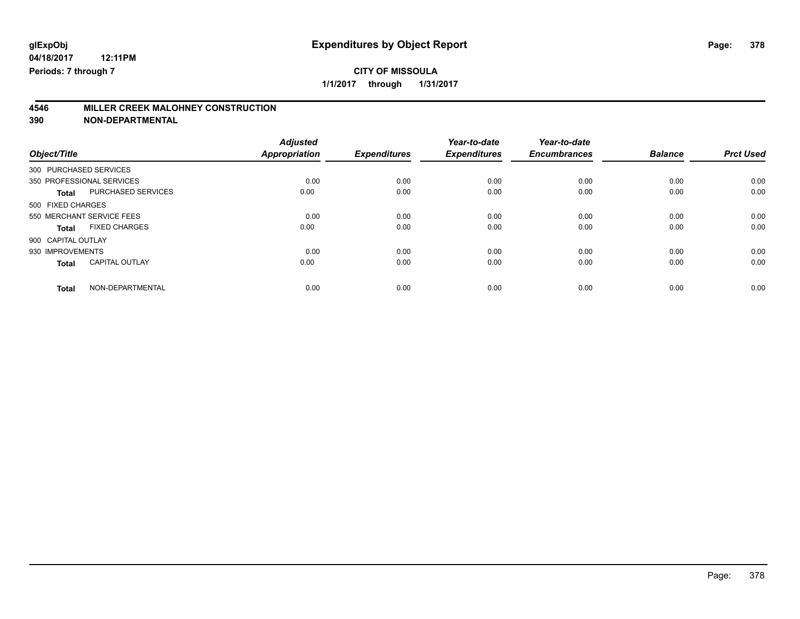# **CITY OF MISSOULA**

**1/1/2017 through 1/31/2017**

# **4546 MILLER CREEK MALOHNEY CONSTRUCTION**

|                           | <b>Adjusted</b>                                                         |                                      | Year-to-date                        | Year-to-date                        |                                     | <b>Prct Used</b>               |
|---------------------------|-------------------------------------------------------------------------|--------------------------------------|-------------------------------------|-------------------------------------|-------------------------------------|--------------------------------|
|                           |                                                                         |                                      |                                     |                                     |                                     |                                |
|                           |                                                                         |                                      |                                     |                                     |                                     |                                |
|                           |                                                                         |                                      |                                     |                                     |                                     | 0.00                           |
| PURCHASED SERVICES        | 0.00                                                                    | 0.00                                 | 0.00                                | 0.00                                | 0.00                                | 0.00                           |
|                           |                                                                         |                                      |                                     |                                     |                                     |                                |
| 550 MERCHANT SERVICE FEES | 0.00                                                                    | 0.00                                 | 0.00                                | 0.00                                | 0.00                                | 0.00                           |
| <b>FIXED CHARGES</b>      | 0.00                                                                    | 0.00                                 | 0.00                                | 0.00                                | 0.00                                | 0.00                           |
|                           |                                                                         |                                      |                                     |                                     |                                     |                                |
|                           | 0.00                                                                    | 0.00                                 | 0.00                                | 0.00                                | 0.00                                | 0.00                           |
| <b>CAPITAL OUTLAY</b>     | 0.00                                                                    | 0.00                                 | 0.00                                | 0.00                                | 0.00                                | 0.00                           |
|                           |                                                                         |                                      |                                     |                                     |                                     | 0.00                           |
|                           | 300 PURCHASED SERVICES<br>350 PROFESSIONAL SERVICES<br>NON-DEPARTMENTAL | <b>Appropriation</b><br>0.00<br>0.00 | <b>Expenditures</b><br>0.00<br>0.00 | <b>Expenditures</b><br>0.00<br>0.00 | <b>Encumbrances</b><br>0.00<br>0.00 | <b>Balance</b><br>0.00<br>0.00 |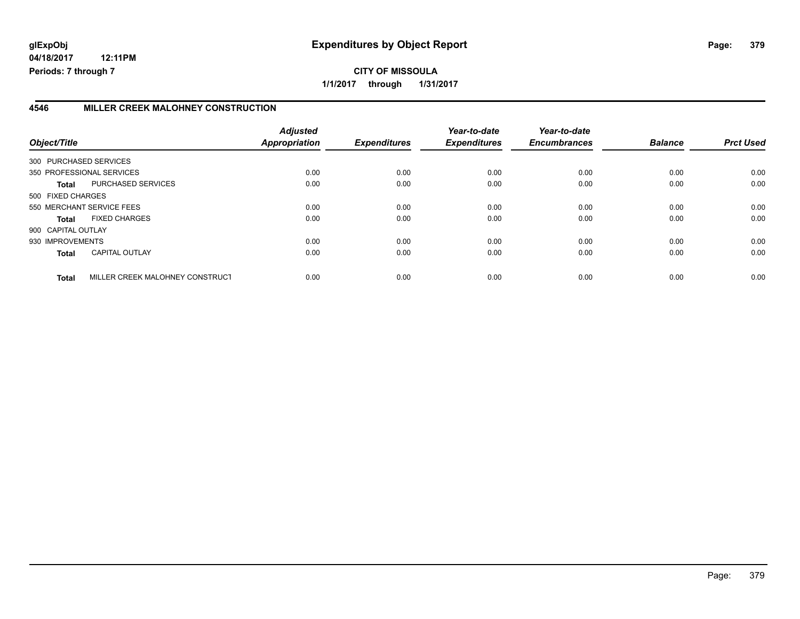#### **4546 MILLER CREEK MALOHNEY CONSTRUCTION**

| Object/Title       |                                 | <b>Adjusted</b><br><b>Appropriation</b> | <b>Expenditures</b> | Year-to-date<br><b>Expenditures</b> | Year-to-date<br><b>Encumbrances</b> | <b>Balance</b> | <b>Prct Used</b> |
|--------------------|---------------------------------|-----------------------------------------|---------------------|-------------------------------------|-------------------------------------|----------------|------------------|
|                    | 300 PURCHASED SERVICES          |                                         |                     |                                     |                                     |                |                  |
|                    | 350 PROFESSIONAL SERVICES       | 0.00                                    | 0.00                | 0.00                                | 0.00                                | 0.00           | 0.00             |
| Total              | PURCHASED SERVICES              | 0.00                                    | 0.00                | 0.00                                | 0.00                                | 0.00           | 0.00             |
| 500 FIXED CHARGES  |                                 |                                         |                     |                                     |                                     |                |                  |
|                    | 550 MERCHANT SERVICE FEES       | 0.00                                    | 0.00                | 0.00                                | 0.00                                | 0.00           | 0.00             |
| <b>Total</b>       | <b>FIXED CHARGES</b>            | 0.00                                    | 0.00                | 0.00                                | 0.00                                | 0.00           | 0.00             |
| 900 CAPITAL OUTLAY |                                 |                                         |                     |                                     |                                     |                |                  |
| 930 IMPROVEMENTS   |                                 | 0.00                                    | 0.00                | 0.00                                | 0.00                                | 0.00           | 0.00             |
| <b>Total</b>       | <b>CAPITAL OUTLAY</b>           | 0.00                                    | 0.00                | 0.00                                | 0.00                                | 0.00           | 0.00             |
| <b>Total</b>       | MILLER CREEK MALOHNEY CONSTRUCT | 0.00                                    | 0.00                | 0.00                                | 0.00                                | 0.00           | 0.00             |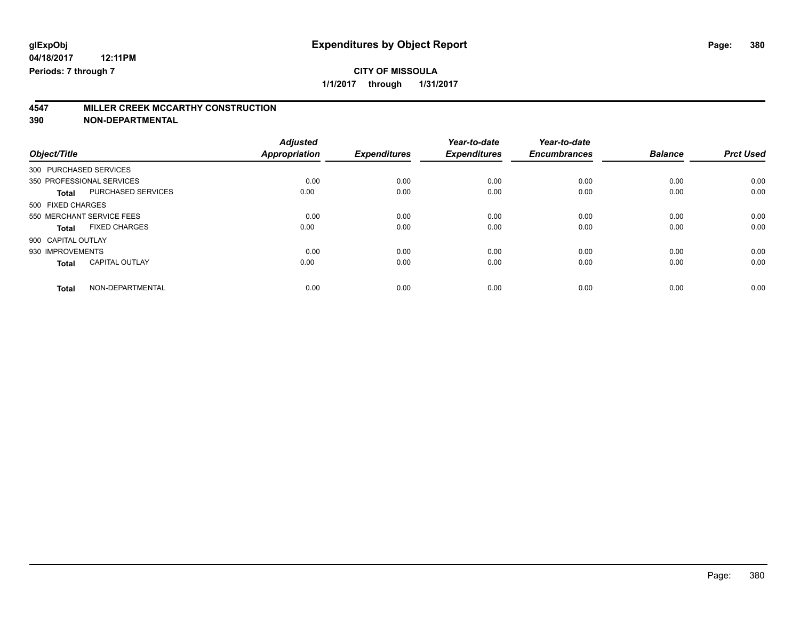# **CITY OF MISSOULA**

**1/1/2017 through 1/31/2017**

# **4547 MILLER CREEK MCCARTHY CONSTRUCTION**

|                           | <b>Adjusted</b>                                                         |                                      | Year-to-date                        | Year-to-date                        |                                     | <b>Prct Used</b>               |
|---------------------------|-------------------------------------------------------------------------|--------------------------------------|-------------------------------------|-------------------------------------|-------------------------------------|--------------------------------|
|                           |                                                                         |                                      |                                     |                                     |                                     |                                |
|                           |                                                                         |                                      |                                     |                                     |                                     |                                |
|                           |                                                                         |                                      |                                     |                                     |                                     | 0.00                           |
| PURCHASED SERVICES        | 0.00                                                                    | 0.00                                 | 0.00                                | 0.00                                | 0.00                                | 0.00                           |
|                           |                                                                         |                                      |                                     |                                     |                                     |                                |
| 550 MERCHANT SERVICE FEES | 0.00                                                                    | 0.00                                 | 0.00                                | 0.00                                | 0.00                                | 0.00                           |
| <b>FIXED CHARGES</b>      | 0.00                                                                    | 0.00                                 | 0.00                                | 0.00                                | 0.00                                | 0.00                           |
|                           |                                                                         |                                      |                                     |                                     |                                     |                                |
|                           | 0.00                                                                    | 0.00                                 | 0.00                                | 0.00                                | 0.00                                | 0.00                           |
| <b>CAPITAL OUTLAY</b>     | 0.00                                                                    | 0.00                                 | 0.00                                | 0.00                                | 0.00                                | 0.00                           |
|                           |                                                                         |                                      |                                     |                                     |                                     | 0.00                           |
|                           | 300 PURCHASED SERVICES<br>350 PROFESSIONAL SERVICES<br>NON-DEPARTMENTAL | <b>Appropriation</b><br>0.00<br>0.00 | <b>Expenditures</b><br>0.00<br>0.00 | <b>Expenditures</b><br>0.00<br>0.00 | <b>Encumbrances</b><br>0.00<br>0.00 | <b>Balance</b><br>0.00<br>0.00 |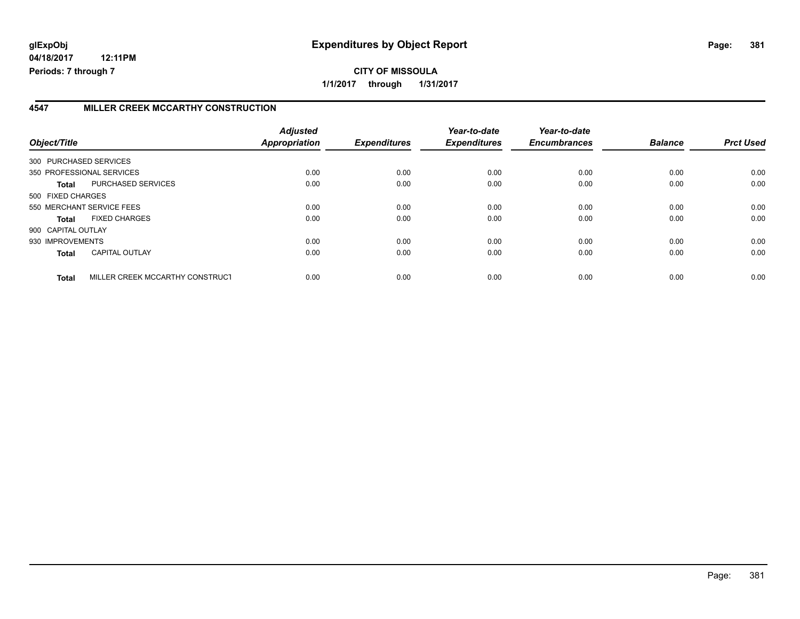#### **4547 MILLER CREEK MCCARTHY CONSTRUCTION**

| Object/Title           |                                 | <b>Adjusted</b><br>Appropriation | <b>Expenditures</b> | Year-to-date<br><b>Expenditures</b> | Year-to-date<br><b>Encumbrances</b> | <b>Balance</b> | <b>Prct Used</b> |
|------------------------|---------------------------------|----------------------------------|---------------------|-------------------------------------|-------------------------------------|----------------|------------------|
| 300 PURCHASED SERVICES |                                 |                                  |                     |                                     |                                     |                |                  |
|                        | 350 PROFESSIONAL SERVICES       | 0.00                             | 0.00                | 0.00                                | 0.00                                | 0.00           | 0.00             |
| Total                  | PURCHASED SERVICES              | 0.00                             | 0.00                | 0.00                                | 0.00                                | 0.00           | 0.00             |
| 500 FIXED CHARGES      |                                 |                                  |                     |                                     |                                     |                |                  |
|                        | 550 MERCHANT SERVICE FEES       | 0.00                             | 0.00                | 0.00                                | 0.00                                | 0.00           | 0.00             |
| <b>Total</b>           | <b>FIXED CHARGES</b>            | 0.00                             | 0.00                | 0.00                                | 0.00                                | 0.00           | 0.00             |
| 900 CAPITAL OUTLAY     |                                 |                                  |                     |                                     |                                     |                |                  |
| 930 IMPROVEMENTS       |                                 | 0.00                             | 0.00                | 0.00                                | 0.00                                | 0.00           | 0.00             |
| <b>Total</b>           | <b>CAPITAL OUTLAY</b>           | 0.00                             | 0.00                | 0.00                                | 0.00                                | 0.00           | 0.00             |
| <b>Total</b>           | MILLER CREEK MCCARTHY CONSTRUCT | 0.00                             | 0.00                | 0.00                                | 0.00                                | 0.00           | 0.00             |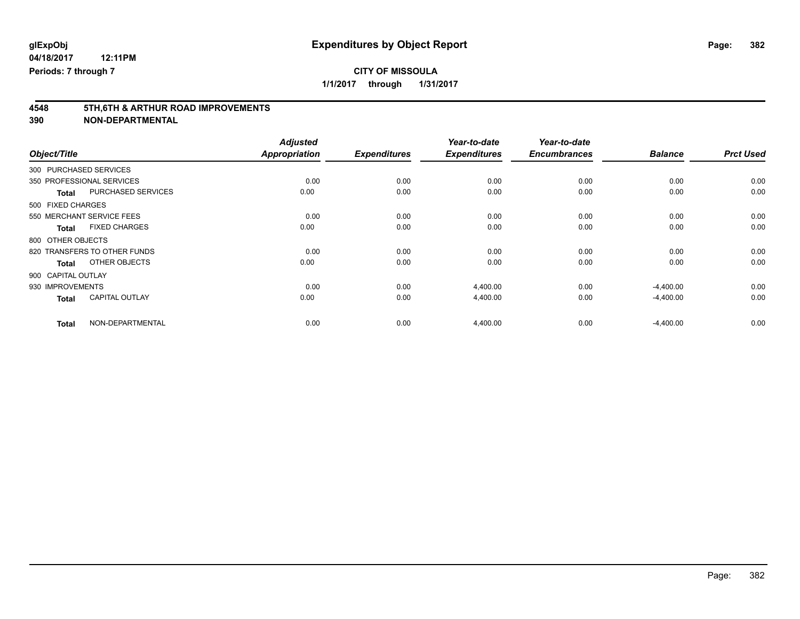**1/1/2017 through 1/31/2017**

# **4548 5TH,6TH & ARTHUR ROAD IMPROVEMENTS**

| Object/Title                              | <b>Adjusted</b><br><b>Appropriation</b> | <b>Expenditures</b> | Year-to-date<br><b>Expenditures</b> | Year-to-date<br><b>Encumbrances</b> | <b>Balance</b> | <b>Prct Used</b> |
|-------------------------------------------|-----------------------------------------|---------------------|-------------------------------------|-------------------------------------|----------------|------------------|
| 300 PURCHASED SERVICES                    |                                         |                     |                                     |                                     |                |                  |
| 350 PROFESSIONAL SERVICES                 | 0.00                                    | 0.00                | 0.00                                | 0.00                                | 0.00           | 0.00             |
| <b>PURCHASED SERVICES</b><br><b>Total</b> | 0.00                                    | 0.00                | 0.00                                | 0.00                                | 0.00           | 0.00             |
| 500 FIXED CHARGES                         |                                         |                     |                                     |                                     |                |                  |
| 550 MERCHANT SERVICE FEES                 | 0.00                                    | 0.00                | 0.00                                | 0.00                                | 0.00           | 0.00             |
| <b>FIXED CHARGES</b><br><b>Total</b>      | 0.00                                    | 0.00                | 0.00                                | 0.00                                | 0.00           | 0.00             |
| 800 OTHER OBJECTS                         |                                         |                     |                                     |                                     |                |                  |
| 820 TRANSFERS TO OTHER FUNDS              | 0.00                                    | 0.00                | 0.00                                | 0.00                                | 0.00           | 0.00             |
| OTHER OBJECTS<br><b>Total</b>             | 0.00                                    | 0.00                | 0.00                                | 0.00                                | 0.00           | 0.00             |
| 900 CAPITAL OUTLAY                        |                                         |                     |                                     |                                     |                |                  |
| 930 IMPROVEMENTS                          | 0.00                                    | 0.00                | 4,400.00                            | 0.00                                | $-4,400.00$    | 0.00             |
| <b>CAPITAL OUTLAY</b><br><b>Total</b>     | 0.00                                    | 0.00                | 4,400.00                            | 0.00                                | $-4,400.00$    | 0.00             |
| NON-DEPARTMENTAL<br><b>Total</b>          | 0.00                                    | 0.00                | 4,400.00                            | 0.00                                | $-4,400.00$    | 0.00             |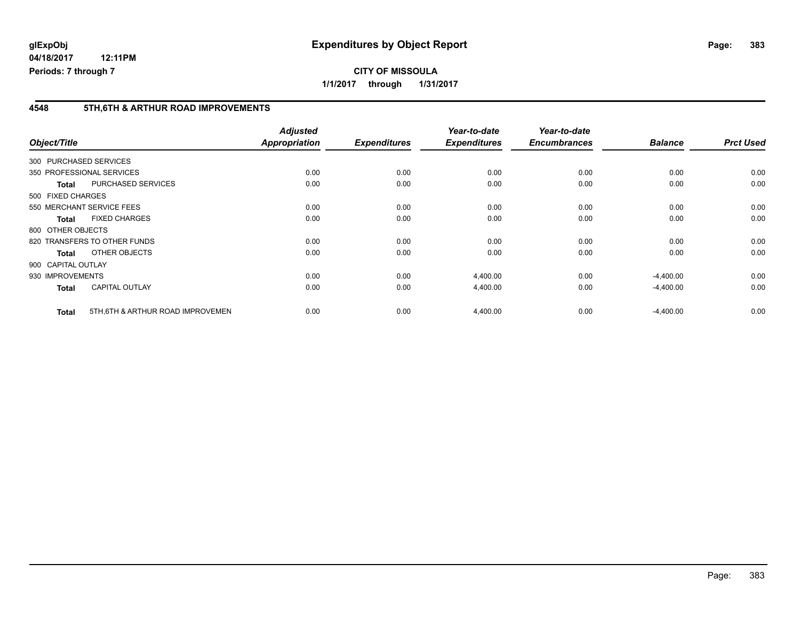#### **4548 5TH,6TH & ARTHUR ROAD IMPROVEMENTS**

| Object/Title       |                                   | <b>Adjusted</b><br>Appropriation | <b>Expenditures</b> | Year-to-date<br><b>Expenditures</b> | Year-to-date<br><b>Encumbrances</b> | <b>Balance</b> | <b>Prct Used</b> |
|--------------------|-----------------------------------|----------------------------------|---------------------|-------------------------------------|-------------------------------------|----------------|------------------|
|                    | 300 PURCHASED SERVICES            |                                  |                     |                                     |                                     |                |                  |
|                    | 350 PROFESSIONAL SERVICES         | 0.00                             | 0.00                | 0.00                                | 0.00                                | 0.00           | 0.00             |
| <b>Total</b>       | PURCHASED SERVICES                | 0.00                             | 0.00                | 0.00                                | 0.00                                | 0.00           | 0.00             |
| 500 FIXED CHARGES  |                                   |                                  |                     |                                     |                                     |                |                  |
|                    | 550 MERCHANT SERVICE FEES         | 0.00                             | 0.00                | 0.00                                | 0.00                                | 0.00           | 0.00             |
| <b>Total</b>       | <b>FIXED CHARGES</b>              | 0.00                             | 0.00                | 0.00                                | 0.00                                | 0.00           | 0.00             |
| 800 OTHER OBJECTS  |                                   |                                  |                     |                                     |                                     |                |                  |
|                    | 820 TRANSFERS TO OTHER FUNDS      | 0.00                             | 0.00                | 0.00                                | 0.00                                | 0.00           | 0.00             |
| <b>Total</b>       | OTHER OBJECTS                     | 0.00                             | 0.00                | 0.00                                | 0.00                                | 0.00           | 0.00             |
| 900 CAPITAL OUTLAY |                                   |                                  |                     |                                     |                                     |                |                  |
| 930 IMPROVEMENTS   |                                   | 0.00                             | 0.00                | 4,400.00                            | 0.00                                | $-4,400.00$    | 0.00             |
| <b>Total</b>       | <b>CAPITAL OUTLAY</b>             | 0.00                             | 0.00                | 4,400.00                            | 0.00                                | $-4,400.00$    | 0.00             |
| <b>Total</b>       | 5TH, 6TH & ARTHUR ROAD IMPROVEMEN | 0.00                             | 0.00                | 4,400.00                            | 0.00                                | $-4,400.00$    | 0.00             |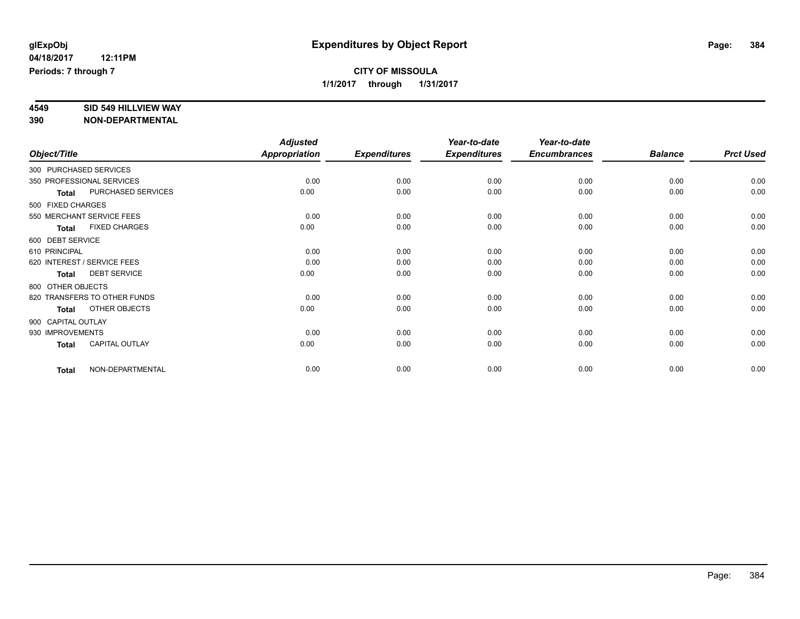# **4549 SID 549 HILLVIEW WAY**

|               |                                      | <b>Adjusted</b>      |                     | Year-to-date        | Year-to-date        |                |                  |
|---------------|--------------------------------------|----------------------|---------------------|---------------------|---------------------|----------------|------------------|
| Object/Title  |                                      | <b>Appropriation</b> | <b>Expenditures</b> | <b>Expenditures</b> | <b>Encumbrances</b> | <b>Balance</b> | <b>Prct Used</b> |
|               | 300 PURCHASED SERVICES               |                      |                     |                     |                     |                |                  |
|               | 350 PROFESSIONAL SERVICES            | 0.00                 | 0.00                | 0.00                | 0.00                | 0.00           | 0.00             |
|               | PURCHASED SERVICES<br><b>Total</b>   | 0.00                 | 0.00                | 0.00                | 0.00                | 0.00           | 0.00             |
|               | 500 FIXED CHARGES                    |                      |                     |                     |                     |                |                  |
|               | 550 MERCHANT SERVICE FEES            | 0.00                 | 0.00                | 0.00                | 0.00                | 0.00           | 0.00             |
|               | <b>FIXED CHARGES</b><br><b>Total</b> | 0.00                 | 0.00                | 0.00                | 0.00                | 0.00           | 0.00             |
|               | 600 DEBT SERVICE                     |                      |                     |                     |                     |                |                  |
| 610 PRINCIPAL |                                      | 0.00                 | 0.00                | 0.00                | 0.00                | 0.00           | 0.00             |
|               | 620 INTEREST / SERVICE FEES          | 0.00                 | 0.00                | 0.00                | 0.00                | 0.00           | 0.00             |
|               | <b>DEBT SERVICE</b><br><b>Total</b>  | 0.00                 | 0.00                | 0.00                | 0.00                | 0.00           | 0.00             |
|               | 800 OTHER OBJECTS                    |                      |                     |                     |                     |                |                  |
|               | 820 TRANSFERS TO OTHER FUNDS         | 0.00                 | 0.00                | 0.00                | 0.00                | 0.00           | 0.00             |
|               | OTHER OBJECTS<br><b>Total</b>        | 0.00                 | 0.00                | 0.00                | 0.00                | 0.00           | 0.00             |
|               | 900 CAPITAL OUTLAY                   |                      |                     |                     |                     |                |                  |
|               | 930 IMPROVEMENTS                     | 0.00                 | 0.00                | 0.00                | 0.00                | 0.00           | 0.00             |
|               | CAPITAL OUTLAY<br><b>Total</b>       | 0.00                 | 0.00                | 0.00                | 0.00                | 0.00           | 0.00             |
|               | NON-DEPARTMENTAL<br><b>Total</b>     | 0.00                 | 0.00                | 0.00                | 0.00                | 0.00           | 0.00             |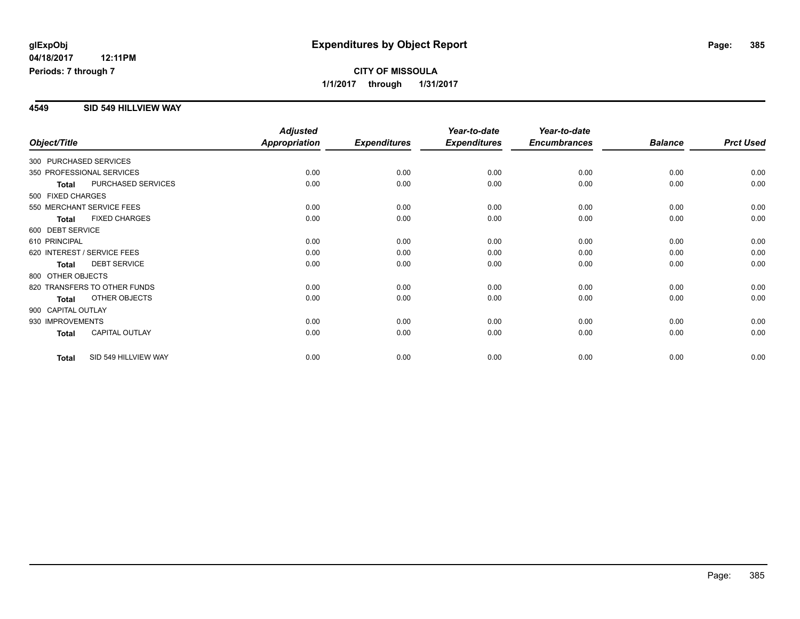## **CITY OF MISSOULA 1/1/2017 through 1/31/2017**

#### **4549 SID 549 HILLVIEW WAY**

| Object/Title           |                              | <b>Adjusted</b><br><b>Appropriation</b> | <b>Expenditures</b> | Year-to-date<br><b>Expenditures</b> | Year-to-date<br><b>Encumbrances</b> | <b>Balance</b> | <b>Prct Used</b> |
|------------------------|------------------------------|-----------------------------------------|---------------------|-------------------------------------|-------------------------------------|----------------|------------------|
|                        |                              |                                         |                     |                                     |                                     |                |                  |
| 300 PURCHASED SERVICES |                              |                                         |                     |                                     |                                     |                |                  |
|                        | 350 PROFESSIONAL SERVICES    | 0.00                                    | 0.00                | 0.00                                | 0.00                                | 0.00           | 0.00             |
| <b>Total</b>           | PURCHASED SERVICES           | 0.00                                    | 0.00                | 0.00                                | 0.00                                | 0.00           | 0.00             |
| 500 FIXED CHARGES      |                              |                                         |                     |                                     |                                     |                |                  |
|                        | 550 MERCHANT SERVICE FEES    | 0.00                                    | 0.00                | 0.00                                | 0.00                                | 0.00           | 0.00             |
| <b>Total</b>           | <b>FIXED CHARGES</b>         | 0.00                                    | 0.00                | 0.00                                | 0.00                                | 0.00           | 0.00             |
| 600 DEBT SERVICE       |                              |                                         |                     |                                     |                                     |                |                  |
| 610 PRINCIPAL          |                              | 0.00                                    | 0.00                | 0.00                                | 0.00                                | 0.00           | 0.00             |
|                        | 620 INTEREST / SERVICE FEES  | 0.00                                    | 0.00                | 0.00                                | 0.00                                | 0.00           | 0.00             |
| <b>Total</b>           | <b>DEBT SERVICE</b>          | 0.00                                    | 0.00                | 0.00                                | 0.00                                | 0.00           | 0.00             |
| 800 OTHER OBJECTS      |                              |                                         |                     |                                     |                                     |                |                  |
|                        | 820 TRANSFERS TO OTHER FUNDS | 0.00                                    | 0.00                | 0.00                                | 0.00                                | 0.00           | 0.00             |
| <b>Total</b>           | OTHER OBJECTS                | 0.00                                    | 0.00                | 0.00                                | 0.00                                | 0.00           | 0.00             |
| 900 CAPITAL OUTLAY     |                              |                                         |                     |                                     |                                     |                |                  |
| 930 IMPROVEMENTS       |                              | 0.00                                    | 0.00                | 0.00                                | 0.00                                | 0.00           | 0.00             |
| Total                  | <b>CAPITAL OUTLAY</b>        | 0.00                                    | 0.00                | 0.00                                | 0.00                                | 0.00           | 0.00             |
| <b>Total</b>           | SID 549 HILLVIEW WAY         | 0.00                                    | 0.00                | 0.00                                | 0.00                                | 0.00           | 0.00             |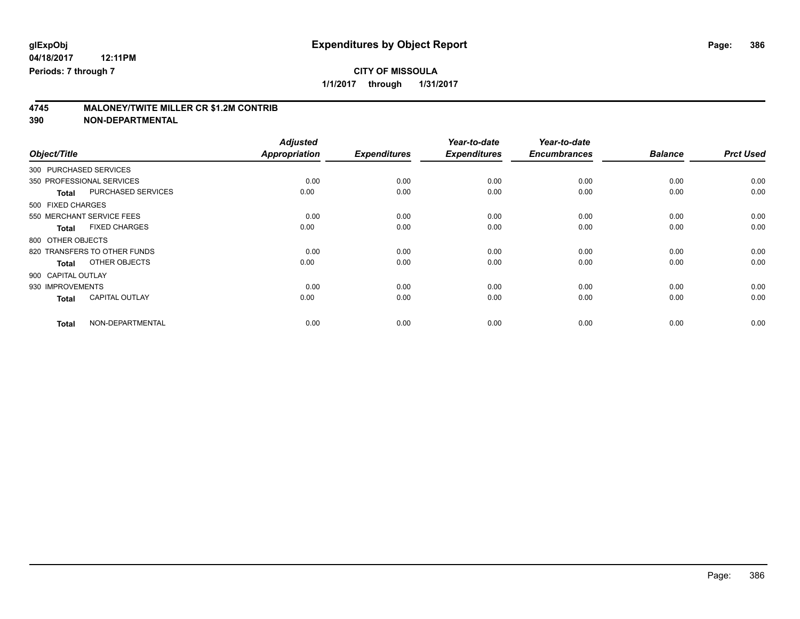# **CITY OF MISSOULA**

**1/1/2017 through 1/31/2017**

# **4745 MALONEY/TWITE MILLER CR \$1.2M CONTRIB**

| Object/Title                          | <b>Adjusted</b><br>Appropriation | <b>Expenditures</b> | Year-to-date<br><b>Expenditures</b> | Year-to-date<br><b>Encumbrances</b> | <b>Balance</b> | <b>Prct Used</b> |
|---------------------------------------|----------------------------------|---------------------|-------------------------------------|-------------------------------------|----------------|------------------|
|                                       |                                  |                     |                                     |                                     |                |                  |
| 300 PURCHASED SERVICES                |                                  |                     |                                     |                                     |                |                  |
| 350 PROFESSIONAL SERVICES             | 0.00                             | 0.00                | 0.00                                | 0.00                                | 0.00           | 0.00             |
| PURCHASED SERVICES<br><b>Total</b>    | 0.00                             | 0.00                | 0.00                                | 0.00                                | 0.00           | 0.00             |
| 500 FIXED CHARGES                     |                                  |                     |                                     |                                     |                |                  |
| 550 MERCHANT SERVICE FEES             | 0.00                             | 0.00                | 0.00                                | 0.00                                | 0.00           | 0.00             |
| <b>FIXED CHARGES</b><br><b>Total</b>  | 0.00                             | 0.00                | 0.00                                | 0.00                                | 0.00           | 0.00             |
| 800 OTHER OBJECTS                     |                                  |                     |                                     |                                     |                |                  |
| 820 TRANSFERS TO OTHER FUNDS          | 0.00                             | 0.00                | 0.00                                | 0.00                                | 0.00           | 0.00             |
| OTHER OBJECTS<br>Total                | 0.00                             | 0.00                | 0.00                                | 0.00                                | 0.00           | 0.00             |
| 900 CAPITAL OUTLAY                    |                                  |                     |                                     |                                     |                |                  |
| 930 IMPROVEMENTS                      | 0.00                             | 0.00                | 0.00                                | 0.00                                | 0.00           | 0.00             |
| <b>CAPITAL OUTLAY</b><br><b>Total</b> | 0.00                             | 0.00                | 0.00                                | 0.00                                | 0.00           | 0.00             |
| NON-DEPARTMENTAL<br><b>Total</b>      | 0.00                             | 0.00                | 0.00                                | 0.00                                | 0.00           | 0.00             |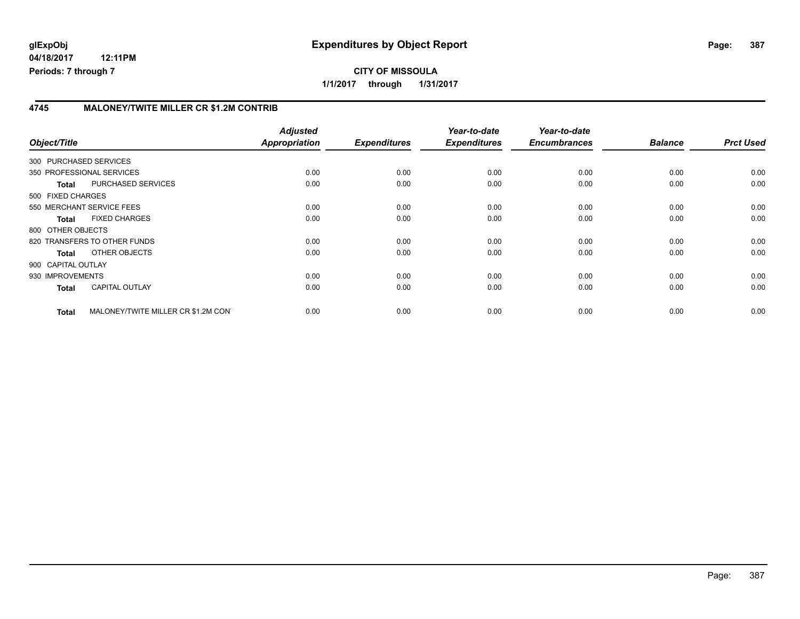#### **4745 MALONEY/TWITE MILLER CR \$1.2M CONTRIB**

| Object/Title       |                                     | <b>Adjusted</b><br>Appropriation | <b>Expenditures</b> | Year-to-date<br><b>Expenditures</b> | Year-to-date<br><b>Encumbrances</b> | <b>Balance</b> | <b>Prct Used</b> |
|--------------------|-------------------------------------|----------------------------------|---------------------|-------------------------------------|-------------------------------------|----------------|------------------|
|                    | 300 PURCHASED SERVICES              |                                  |                     |                                     |                                     |                |                  |
|                    | 350 PROFESSIONAL SERVICES           | 0.00                             | 0.00                | 0.00                                | 0.00                                | 0.00           | 0.00             |
| <b>Total</b>       | PURCHASED SERVICES                  | 0.00                             | 0.00                | 0.00                                | 0.00                                | 0.00           | 0.00             |
| 500 FIXED CHARGES  |                                     |                                  |                     |                                     |                                     |                |                  |
|                    | 550 MERCHANT SERVICE FEES           | 0.00                             | 0.00                | 0.00                                | 0.00                                | 0.00           | 0.00             |
| <b>Total</b>       | <b>FIXED CHARGES</b>                | 0.00                             | 0.00                | 0.00                                | 0.00                                | 0.00           | 0.00             |
| 800 OTHER OBJECTS  |                                     |                                  |                     |                                     |                                     |                |                  |
|                    | 820 TRANSFERS TO OTHER FUNDS        | 0.00                             | 0.00                | 0.00                                | 0.00                                | 0.00           | 0.00             |
| Total              | OTHER OBJECTS                       | 0.00                             | 0.00                | 0.00                                | 0.00                                | 0.00           | 0.00             |
| 900 CAPITAL OUTLAY |                                     |                                  |                     |                                     |                                     |                |                  |
| 930 IMPROVEMENTS   |                                     | 0.00                             | 0.00                | 0.00                                | 0.00                                | 0.00           | 0.00             |
| <b>Total</b>       | <b>CAPITAL OUTLAY</b>               | 0.00                             | 0.00                | 0.00                                | 0.00                                | 0.00           | 0.00             |
| <b>Total</b>       | MALONEY/TWITE MILLER CR \$1.2M CON' | 0.00                             | 0.00                | 0.00                                | 0.00                                | 0.00           | 0.00             |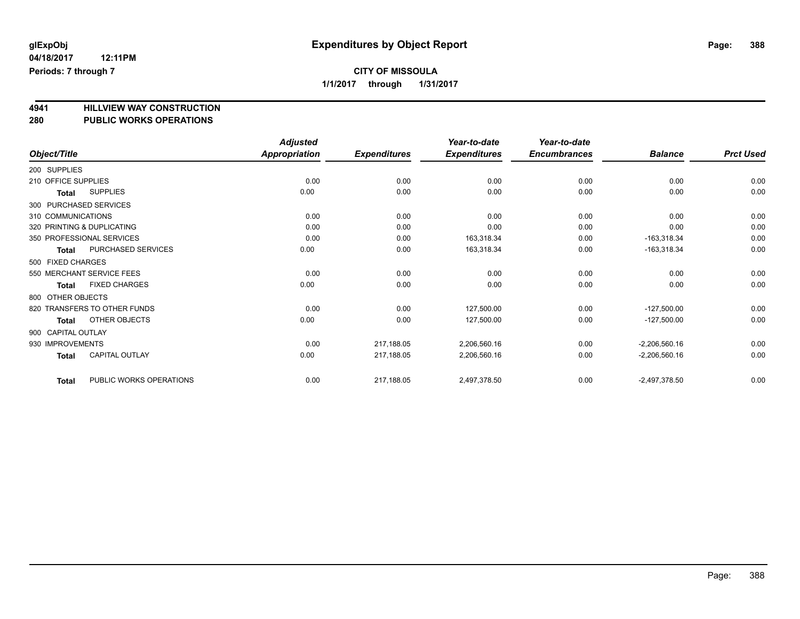# **1/1/2017 through 1/31/2017**

# **4941 HILLVIEW WAY CONSTRUCTION**

| 4J4 I<br>280        | <b>FILLYIEW WAT CONSTRUCTION</b><br><b>PUBLIC WORKS OPERATIONS</b> |                 |                     |                     |                     |                 |                  |
|---------------------|--------------------------------------------------------------------|-----------------|---------------------|---------------------|---------------------|-----------------|------------------|
|                     |                                                                    | <b>Adjusted</b> |                     | Year-to-date        | Year-to-date        |                 |                  |
| Object/Title        |                                                                    | Appropriation   | <b>Expenditures</b> | <b>Expenditures</b> | <b>Encumbrances</b> | <b>Balance</b>  | <b>Prct Used</b> |
| 200 SUPPLIES        |                                                                    |                 |                     |                     |                     |                 |                  |
| 210 OFFICE SUPPLIES |                                                                    | 0.00            | 0.00                | 0.00                | 0.00                | 0.00            | 0.00             |
| <b>Total</b>        | <b>SUPPLIES</b>                                                    | 0.00            | 0.00                | 0.00                | 0.00                | 0.00            | 0.00             |
|                     | 300 PURCHASED SERVICES                                             |                 |                     |                     |                     |                 |                  |
| 310 COMMUNICATIONS  |                                                                    | 0.00            | 0.00                | 0.00                | 0.00                | 0.00            | 0.00             |
|                     | 320 PRINTING & DUPLICATING                                         | 0.00            | 0.00                | 0.00                | 0.00                | 0.00            | 0.00             |
|                     | 350 PROFESSIONAL SERVICES                                          | 0.00            | 0.00                | 163.318.34          | 0.00                | $-163,318.34$   | 0.00             |
| <b>Total</b>        | PURCHASED SERVICES                                                 | 0.00            | 0.00                | 163,318.34          | 0.00                | $-163,318.34$   | 0.00             |
| 500 FIXED CHARGES   |                                                                    |                 |                     |                     |                     |                 |                  |
|                     | 550 MERCHANT SERVICE FEES                                          | 0.00            | 0.00                | 0.00                | 0.00                | 0.00            | 0.00             |
| <b>Total</b>        | <b>FIXED CHARGES</b>                                               | 0.00            | 0.00                | 0.00                | 0.00                | 0.00            | 0.00             |
| 800 OTHER OBJECTS   |                                                                    |                 |                     |                     |                     |                 |                  |
|                     | 820 TRANSFERS TO OTHER FUNDS                                       | 0.00            | 0.00                | 127.500.00          | 0.00                | $-127.500.00$   | 0.00             |
| <b>Total</b>        | <b>OTHER OBJECTS</b>                                               | 0.00            | 0.00                | 127,500.00          | 0.00                | $-127,500.00$   | 0.00             |
| 900 CAPITAL OUTLAY  |                                                                    |                 |                     |                     |                     |                 |                  |
| 930 IMPROVEMENTS    |                                                                    | 0.00            | 217,188.05          | 2,206,560.16        | 0.00                | $-2,206,560.16$ | 0.00             |
| <b>Total</b>        | <b>CAPITAL OUTLAY</b>                                              | 0.00            | 217,188.05          | 2,206,560.16        | 0.00                | $-2,206,560.16$ | 0.00             |
| <b>Total</b>        | PUBLIC WORKS OPERATIONS                                            | 0.00            | 217,188.05          | 2,497,378.50        | 0.00                | $-2,497,378.50$ | 0.00             |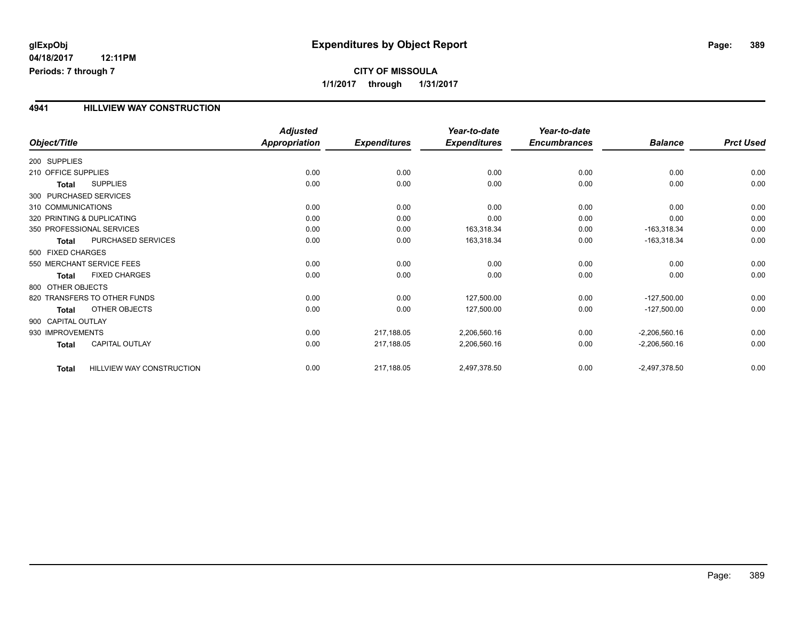#### **4941 HILLVIEW WAY CONSTRUCTION**

|                              |                           | <b>Adjusted</b>      |                     | Year-to-date        | Year-to-date        |                 |                  |
|------------------------------|---------------------------|----------------------|---------------------|---------------------|---------------------|-----------------|------------------|
| Object/Title                 |                           | <b>Appropriation</b> | <b>Expenditures</b> | <b>Expenditures</b> | <b>Encumbrances</b> | <b>Balance</b>  | <b>Prct Used</b> |
| 200 SUPPLIES                 |                           |                      |                     |                     |                     |                 |                  |
| 210 OFFICE SUPPLIES          |                           | 0.00                 | 0.00                | 0.00                | 0.00                | 0.00            | 0.00             |
| <b>Total</b>                 | <b>SUPPLIES</b>           | 0.00                 | 0.00                | 0.00                | 0.00                | 0.00            | 0.00             |
| 300 PURCHASED SERVICES       |                           |                      |                     |                     |                     |                 |                  |
| 310 COMMUNICATIONS           |                           | 0.00                 | 0.00                | 0.00                | 0.00                | 0.00            | 0.00             |
| 320 PRINTING & DUPLICATING   |                           | 0.00                 | 0.00                | 0.00                | 0.00                | 0.00            | 0.00             |
| 350 PROFESSIONAL SERVICES    |                           | 0.00                 | 0.00                | 163,318.34          | 0.00                | $-163,318.34$   | 0.00             |
| <b>Total</b>                 | PURCHASED SERVICES        | 0.00                 | 0.00                | 163,318.34          | 0.00                | $-163,318.34$   | 0.00             |
| 500 FIXED CHARGES            |                           |                      |                     |                     |                     |                 |                  |
| 550 MERCHANT SERVICE FEES    |                           | 0.00                 | 0.00                | 0.00                | 0.00                | 0.00            | 0.00             |
| <b>Total</b>                 | <b>FIXED CHARGES</b>      | 0.00                 | 0.00                | 0.00                | 0.00                | 0.00            | 0.00             |
| 800 OTHER OBJECTS            |                           |                      |                     |                     |                     |                 |                  |
| 820 TRANSFERS TO OTHER FUNDS |                           | 0.00                 | 0.00                | 127,500.00          | 0.00                | $-127,500.00$   | 0.00             |
| <b>Total</b>                 | OTHER OBJECTS             | 0.00                 | 0.00                | 127,500.00          | 0.00                | $-127,500.00$   | 0.00             |
| 900 CAPITAL OUTLAY           |                           |                      |                     |                     |                     |                 |                  |
| 930 IMPROVEMENTS             |                           | 0.00                 | 217,188.05          | 2,206,560.16        | 0.00                | $-2,206,560.16$ | 0.00             |
| <b>Total</b>                 | <b>CAPITAL OUTLAY</b>     | 0.00                 | 217,188.05          | 2,206,560.16        | 0.00                | $-2,206,560.16$ | 0.00             |
| <b>Total</b>                 | HILLVIEW WAY CONSTRUCTION | 0.00                 | 217,188.05          | 2,497,378.50        | 0.00                | $-2,497,378.50$ | 0.00             |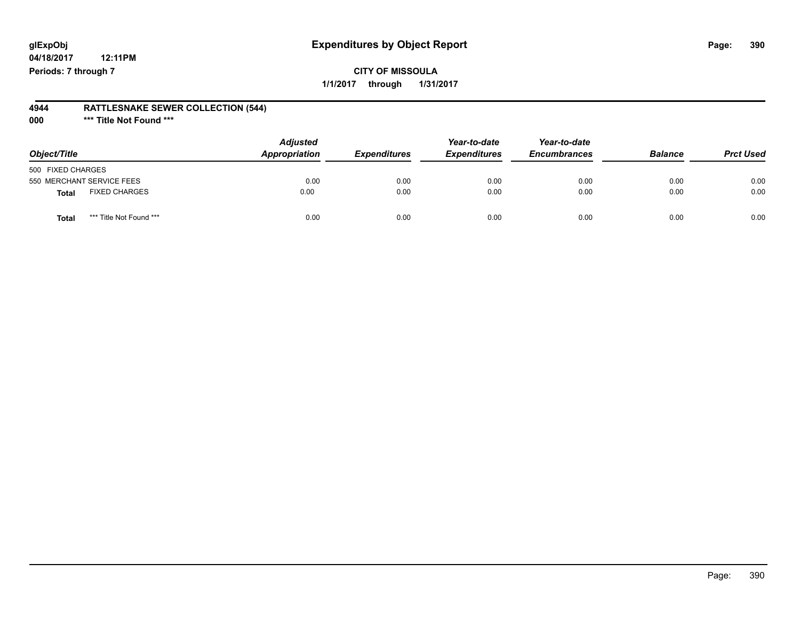## **glExpObj Expenditures by Object Report Page: 390**

**04/18/2017 12:11PM Periods: 7 through 7**

#### **4944 RATTLESNAKE SEWER COLLECTION (544)**

**000 \*\*\* Title Not Found \*\*\***

| Object/Title                            | <b>Adjusted</b><br>Appropriation | <b>Expenditures</b> | Year-to-date<br><b>Expenditures</b> | Year-to-date<br><b>Encumbrances</b> | <b>Balance</b> | <b>Prct Used</b> |
|-----------------------------------------|----------------------------------|---------------------|-------------------------------------|-------------------------------------|----------------|------------------|
| 500 FIXED CHARGES                       |                                  |                     |                                     |                                     |                |                  |
| 550 MERCHANT SERVICE FEES               | 0.00                             | 0.00                | 0.00                                | 0.00                                | 0.00           | 0.00             |
| <b>FIXED CHARGES</b><br>Total           | 0.00                             | 0.00                | 0.00                                | 0.00                                | 0.00           | 0.00             |
| *** Title Not Found ***<br><b>Total</b> | 0.00                             | 0.00                | 0.00                                | 0.00                                | 0.00           | 0.00             |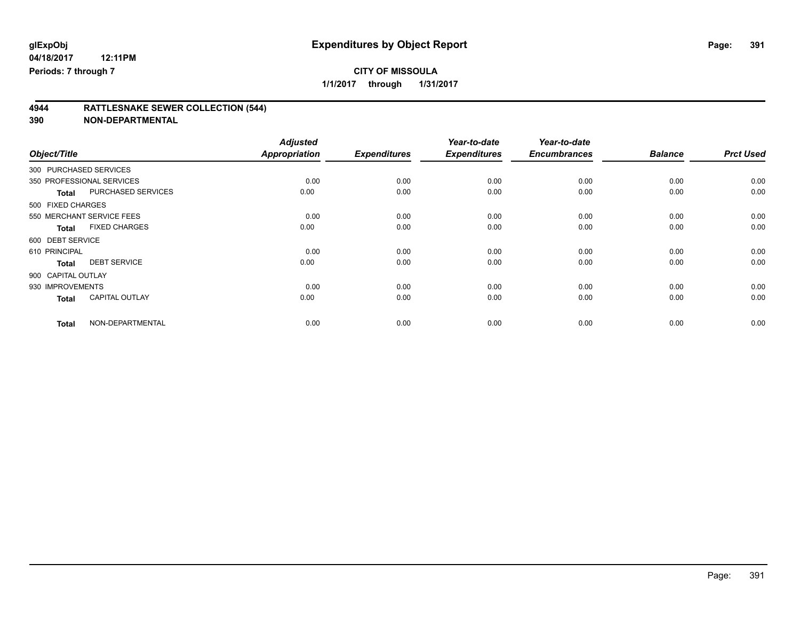# **CITY OF MISSOULA**

**1/1/2017 through 1/31/2017**

# **4944 RATTLESNAKE SEWER COLLECTION (544)**

|                    |                           | <b>Adjusted</b>      |                     | Year-to-date        | Year-to-date        |                |                  |
|--------------------|---------------------------|----------------------|---------------------|---------------------|---------------------|----------------|------------------|
| Object/Title       |                           | <b>Appropriation</b> | <b>Expenditures</b> | <b>Expenditures</b> | <b>Encumbrances</b> | <b>Balance</b> | <b>Prct Used</b> |
|                    | 300 PURCHASED SERVICES    |                      |                     |                     |                     |                |                  |
|                    | 350 PROFESSIONAL SERVICES | 0.00                 | 0.00                | 0.00                | 0.00                | 0.00           | 0.00             |
| <b>Total</b>       | PURCHASED SERVICES        | 0.00                 | 0.00                | 0.00                | 0.00                | 0.00           | 0.00             |
| 500 FIXED CHARGES  |                           |                      |                     |                     |                     |                |                  |
|                    | 550 MERCHANT SERVICE FEES | 0.00                 | 0.00                | 0.00                | 0.00                | 0.00           | 0.00             |
| <b>Total</b>       | <b>FIXED CHARGES</b>      | 0.00                 | 0.00                | 0.00                | 0.00                | 0.00           | 0.00             |
| 600 DEBT SERVICE   |                           |                      |                     |                     |                     |                |                  |
| 610 PRINCIPAL      |                           | 0.00                 | 0.00                | 0.00                | 0.00                | 0.00           | 0.00             |
| <b>Total</b>       | <b>DEBT SERVICE</b>       | 0.00                 | 0.00                | 0.00                | 0.00                | 0.00           | 0.00             |
| 900 CAPITAL OUTLAY |                           |                      |                     |                     |                     |                |                  |
| 930 IMPROVEMENTS   |                           | 0.00                 | 0.00                | 0.00                | 0.00                | 0.00           | 0.00             |
| <b>Total</b>       | <b>CAPITAL OUTLAY</b>     | 0.00                 | 0.00                | 0.00                | 0.00                | 0.00           | 0.00             |
| <b>Total</b>       | NON-DEPARTMENTAL          | 0.00                 | 0.00                | 0.00                | 0.00                | 0.00           | 0.00             |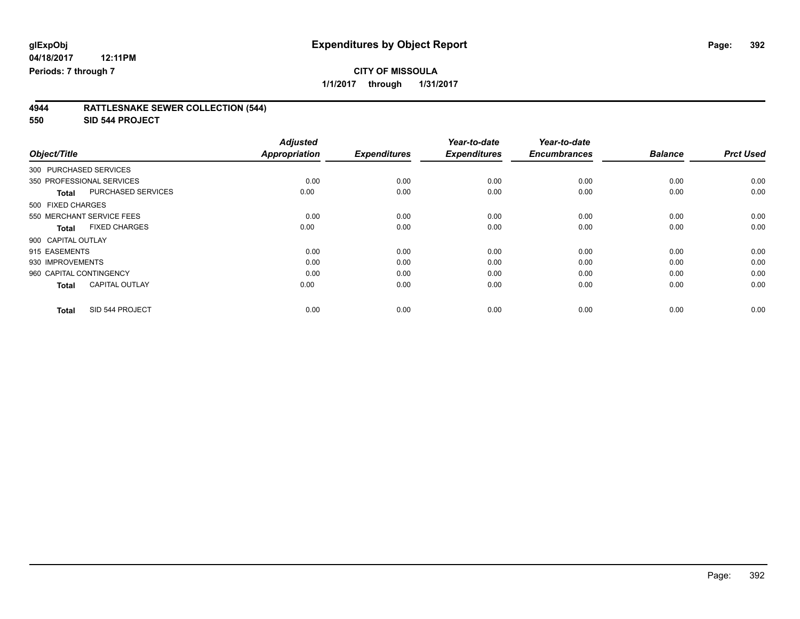# **CITY OF MISSOULA**

**1/1/2017 through 1/31/2017**

#### **4944 RATTLESNAKE SEWER COLLECTION (544)**

**550 SID 544 PROJECT**

| Object/Title                              | <b>Adjusted</b><br><b>Appropriation</b> | <b>Expenditures</b> | Year-to-date<br><b>Expenditures</b> | Year-to-date<br><b>Encumbrances</b> | <b>Balance</b> | <b>Prct Used</b> |
|-------------------------------------------|-----------------------------------------|---------------------|-------------------------------------|-------------------------------------|----------------|------------------|
| 300 PURCHASED SERVICES                    |                                         |                     |                                     |                                     |                |                  |
|                                           |                                         |                     |                                     |                                     |                |                  |
| 350 PROFESSIONAL SERVICES                 | 0.00                                    | 0.00                | 0.00                                | 0.00                                | 0.00           | 0.00             |
| <b>PURCHASED SERVICES</b><br><b>Total</b> | 0.00                                    | 0.00                | 0.00                                | 0.00                                | 0.00           | 0.00             |
| 500 FIXED CHARGES                         |                                         |                     |                                     |                                     |                |                  |
| 550 MERCHANT SERVICE FEES                 | 0.00                                    | 0.00                | 0.00                                | 0.00                                | 0.00           | 0.00             |
| <b>FIXED CHARGES</b><br>Total             | 0.00                                    | 0.00                | 0.00                                | 0.00                                | 0.00           | 0.00             |
| 900 CAPITAL OUTLAY                        |                                         |                     |                                     |                                     |                |                  |
| 915 EASEMENTS                             | 0.00                                    | 0.00                | 0.00                                | 0.00                                | 0.00           | 0.00             |
| 930 IMPROVEMENTS                          | 0.00                                    | 0.00                | 0.00                                | 0.00                                | 0.00           | 0.00             |
| 960 CAPITAL CONTINGENCY                   | 0.00                                    | 0.00                | 0.00                                | 0.00                                | 0.00           | 0.00             |
| <b>CAPITAL OUTLAY</b><br><b>Total</b>     | 0.00                                    | 0.00                | 0.00                                | 0.00                                | 0.00           | 0.00             |
|                                           |                                         |                     |                                     |                                     |                |                  |
| SID 544 PROJECT<br><b>Total</b>           | 0.00                                    | 0.00                | 0.00                                | 0.00                                | 0.00           | 0.00             |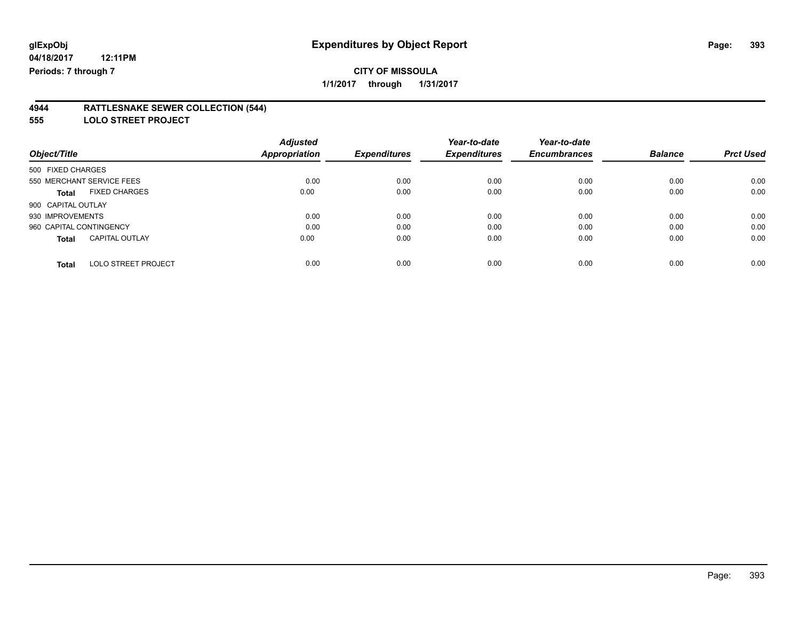#### **4944 RATTLESNAKE SEWER COLLECTION (544)**

**555 LOLO STREET PROJECT**

|                                       | <b>Adjusted</b> |                     | Year-to-date        | Year-to-date        |                |                  |
|---------------------------------------|-----------------|---------------------|---------------------|---------------------|----------------|------------------|
| Object/Title                          | Appropriation   | <b>Expenditures</b> | <b>Expenditures</b> | <b>Encumbrances</b> | <b>Balance</b> | <b>Prct Used</b> |
| 500 FIXED CHARGES                     |                 |                     |                     |                     |                |                  |
| 550 MERCHANT SERVICE FEES             | 0.00            | 0.00                | 0.00                | 0.00                | 0.00           | 0.00             |
| <b>FIXED CHARGES</b><br><b>Total</b>  | 0.00            | 0.00                | 0.00                | 0.00                | 0.00           | 0.00             |
| 900 CAPITAL OUTLAY                    |                 |                     |                     |                     |                |                  |
| 930 IMPROVEMENTS                      | 0.00            | 0.00                | 0.00                | 0.00                | 0.00           | 0.00             |
| 960 CAPITAL CONTINGENCY               | 0.00            | 0.00                | 0.00                | 0.00                | 0.00           | 0.00             |
| <b>CAPITAL OUTLAY</b><br><b>Total</b> | 0.00            | 0.00                | 0.00                | 0.00                | 0.00           | 0.00             |
| LOLO STREET PROJECT<br>Total          | 0.00            | 0.00                | 0.00                | 0.00                | 0.00           | 0.00             |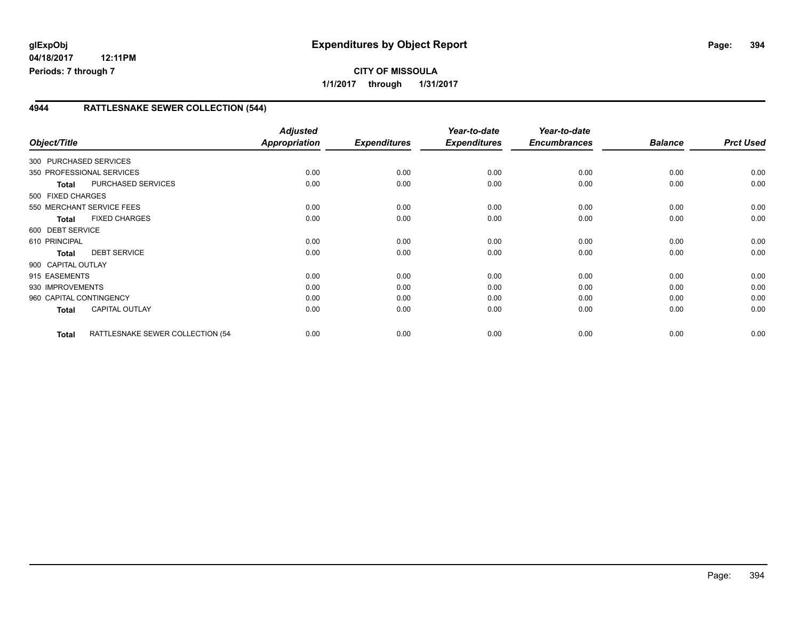### **4944 RATTLESNAKE SEWER COLLECTION (544)**

| Object/Title            |                                   | <b>Adjusted</b><br><b>Appropriation</b> | <b>Expenditures</b> | Year-to-date<br><b>Expenditures</b> | Year-to-date<br><b>Encumbrances</b> | <b>Balance</b> | <b>Prct Used</b> |
|-------------------------|-----------------------------------|-----------------------------------------|---------------------|-------------------------------------|-------------------------------------|----------------|------------------|
| 300 PURCHASED SERVICES  |                                   |                                         |                     |                                     |                                     |                |                  |
|                         | 350 PROFESSIONAL SERVICES         | 0.00                                    | 0.00                | 0.00                                | 0.00                                | 0.00           | 0.00             |
| <b>Total</b>            | PURCHASED SERVICES                | 0.00                                    | 0.00                | 0.00                                | 0.00                                | 0.00           | 0.00             |
| 500 FIXED CHARGES       |                                   |                                         |                     |                                     |                                     |                |                  |
|                         | 550 MERCHANT SERVICE FEES         | 0.00                                    | 0.00                | 0.00                                | 0.00                                | 0.00           | 0.00             |
| <b>Total</b>            | <b>FIXED CHARGES</b>              | 0.00                                    | 0.00                | 0.00                                | 0.00                                | 0.00           | 0.00             |
| 600 DEBT SERVICE        |                                   |                                         |                     |                                     |                                     |                |                  |
| 610 PRINCIPAL           |                                   | 0.00                                    | 0.00                | 0.00                                | 0.00                                | 0.00           | 0.00             |
| <b>Total</b>            | <b>DEBT SERVICE</b>               | 0.00                                    | 0.00                | 0.00                                | 0.00                                | 0.00           | 0.00             |
| 900 CAPITAL OUTLAY      |                                   |                                         |                     |                                     |                                     |                |                  |
| 915 EASEMENTS           |                                   | 0.00                                    | 0.00                | 0.00                                | 0.00                                | 0.00           | 0.00             |
| 930 IMPROVEMENTS        |                                   | 0.00                                    | 0.00                | 0.00                                | 0.00                                | 0.00           | 0.00             |
| 960 CAPITAL CONTINGENCY |                                   | 0.00                                    | 0.00                | 0.00                                | 0.00                                | 0.00           | 0.00             |
| <b>Total</b>            | <b>CAPITAL OUTLAY</b>             | 0.00                                    | 0.00                | 0.00                                | 0.00                                | 0.00           | 0.00             |
| Total                   | RATTLESNAKE SEWER COLLECTION (54- | 0.00                                    | 0.00                | 0.00                                | 0.00                                | 0.00           | 0.00             |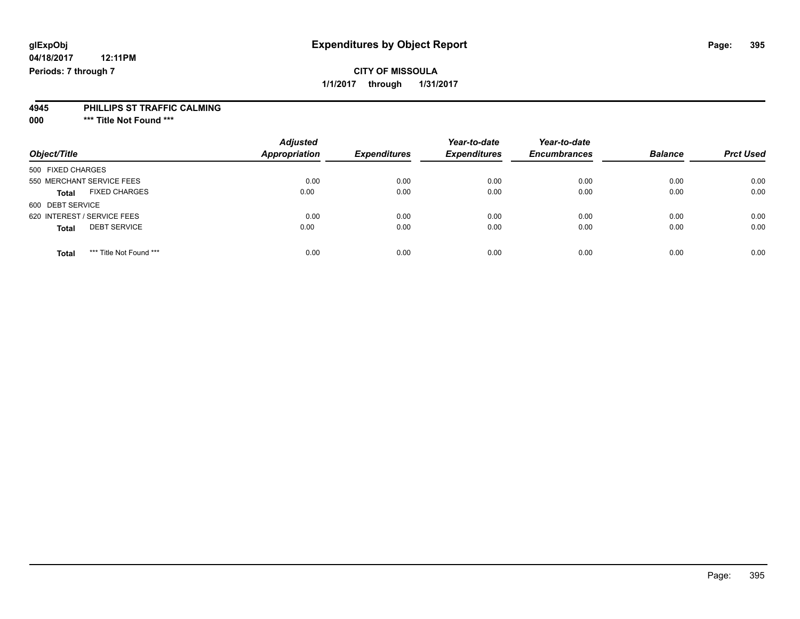# **glExpObj Expenditures by Object Report Page: 395**

**04/18/2017 12:11PM Periods: 7 through 7**

#### **4945 PHILLIPS ST TRAFFIC CALMING**

**000 \*\*\* Title Not Found \*\*\***

| Object/Title                            | <b>Adjusted</b><br><b>Appropriation</b> | <b>Expenditures</b> | Year-to-date<br><b>Expenditures</b> | Year-to-date<br><b>Encumbrances</b> | <b>Balance</b> | <b>Prct Used</b> |
|-----------------------------------------|-----------------------------------------|---------------------|-------------------------------------|-------------------------------------|----------------|------------------|
| 500 FIXED CHARGES                       |                                         |                     |                                     |                                     |                |                  |
| 550 MERCHANT SERVICE FEES               | 0.00                                    | 0.00                | 0.00                                | 0.00                                | 0.00           | 0.00             |
| <b>FIXED CHARGES</b><br><b>Total</b>    | 0.00                                    | 0.00                | 0.00                                | 0.00                                | 0.00           | 0.00             |
| 600 DEBT SERVICE                        |                                         |                     |                                     |                                     |                |                  |
| 620 INTEREST / SERVICE FEES             | 0.00                                    | 0.00                | 0.00                                | 0.00                                | 0.00           | 0.00             |
| <b>DEBT SERVICE</b><br><b>Total</b>     | 0.00                                    | 0.00                | 0.00                                | 0.00                                | 0.00           | 0.00             |
| *** Title Not Found ***<br><b>Total</b> | 0.00                                    | 0.00                | 0.00                                | 0.00                                | 0.00           | 0.00             |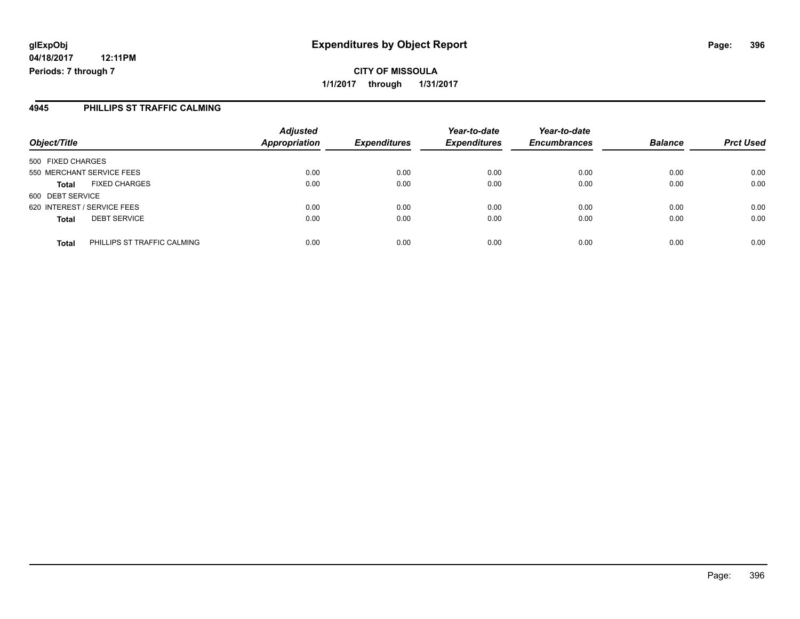## **CITY OF MISSOULA 1/1/2017 through 1/31/2017**

#### **4945 PHILLIPS ST TRAFFIC CALMING**

| Object/Title                                | <b>Adjusted</b><br><b>Appropriation</b> | <b>Expenditures</b> | Year-to-date<br><b>Expenditures</b> | Year-to-date<br><b>Encumbrances</b> | <b>Balance</b> | <b>Prct Used</b> |
|---------------------------------------------|-----------------------------------------|---------------------|-------------------------------------|-------------------------------------|----------------|------------------|
| 500 FIXED CHARGES                           |                                         |                     |                                     |                                     |                |                  |
| 550 MERCHANT SERVICE FEES                   | 0.00                                    | 0.00                | 0.00                                | 0.00                                | 0.00           | 0.00             |
| <b>FIXED CHARGES</b><br><b>Total</b>        | 0.00                                    | 0.00                | 0.00                                | 0.00                                | 0.00           | 0.00             |
| 600 DEBT SERVICE                            |                                         |                     |                                     |                                     |                |                  |
| 620 INTEREST / SERVICE FEES                 | 0.00                                    | 0.00                | 0.00                                | 0.00                                | 0.00           | 0.00             |
| <b>DEBT SERVICE</b><br><b>Total</b>         | 0.00                                    | 0.00                | 0.00                                | 0.00                                | 0.00           | 0.00             |
| PHILLIPS ST TRAFFIC CALMING<br><b>Total</b> | 0.00                                    | 0.00                | 0.00                                | 0.00                                | 0.00           | 0.00             |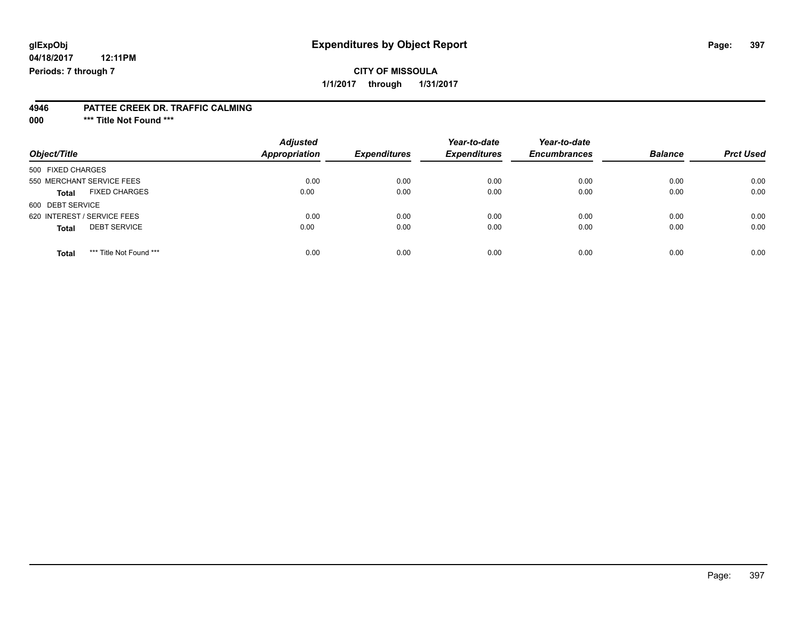# **glExpObj Expenditures by Object Report Page: 397**

**04/18/2017 12:11PM Periods: 7 through 7**

## **CITY OF MISSOULA 1/1/2017 through 1/31/2017**

#### **4946 PATTEE CREEK DR. TRAFFIC CALMING**

**000 \*\*\* Title Not Found \*\*\***

| Object/Title                            | <b>Adjusted</b><br>Appropriation | <b>Expenditures</b> | Year-to-date<br><b>Expenditures</b> | Year-to-date<br><b>Encumbrances</b> | <b>Balance</b> | <b>Prct Used</b> |
|-----------------------------------------|----------------------------------|---------------------|-------------------------------------|-------------------------------------|----------------|------------------|
| 500 FIXED CHARGES                       |                                  |                     |                                     |                                     |                |                  |
| 550 MERCHANT SERVICE FEES               | 0.00                             | 0.00                | 0.00                                | 0.00                                | 0.00           | 0.00             |
| <b>FIXED CHARGES</b><br><b>Total</b>    | 0.00                             | 0.00                | 0.00                                | 0.00                                | 0.00           | 0.00             |
| 600 DEBT SERVICE                        |                                  |                     |                                     |                                     |                |                  |
| 620 INTEREST / SERVICE FEES             | 0.00                             | 0.00                | 0.00                                | 0.00                                | 0.00           | 0.00             |
| <b>DEBT SERVICE</b><br><b>Total</b>     | 0.00                             | 0.00                | 0.00                                | 0.00                                | 0.00           | 0.00             |
| *** Title Not Found ***<br><b>Total</b> | 0.00                             | 0.00                | 0.00                                | 0.00                                | 0.00           | 0.00             |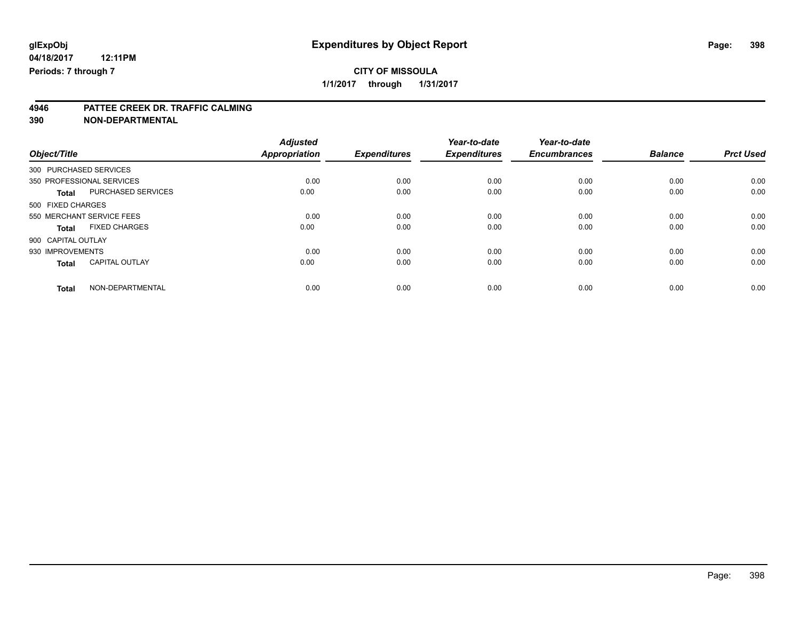**4946 PATTEE CREEK DR. TRAFFIC CALMING**

**390 NON-DEPARTMENTAL**

|                                       | <b>Adjusted</b>      |                     | Year-to-date        | Year-to-date        |                |                  |
|---------------------------------------|----------------------|---------------------|---------------------|---------------------|----------------|------------------|
| Object/Title                          | <b>Appropriation</b> | <b>Expenditures</b> | <b>Expenditures</b> | <b>Encumbrances</b> | <b>Balance</b> | <b>Prct Used</b> |
| 300 PURCHASED SERVICES                |                      |                     |                     |                     |                |                  |
| 350 PROFESSIONAL SERVICES             | 0.00                 | 0.00                | 0.00                | 0.00                | 0.00           | 0.00             |
| PURCHASED SERVICES<br><b>Total</b>    | 0.00                 | 0.00                | 0.00                | 0.00                | 0.00           | 0.00             |
| 500 FIXED CHARGES                     |                      |                     |                     |                     |                |                  |
| 550 MERCHANT SERVICE FEES             | 0.00                 | 0.00                | 0.00                | 0.00                | 0.00           | 0.00             |
| <b>FIXED CHARGES</b><br><b>Total</b>  | 0.00                 | 0.00                | 0.00                | 0.00                | 0.00           | 0.00             |
| 900 CAPITAL OUTLAY                    |                      |                     |                     |                     |                |                  |
| 930 IMPROVEMENTS                      | 0.00                 | 0.00                | 0.00                | 0.00                | 0.00           | 0.00             |
| <b>CAPITAL OUTLAY</b><br><b>Total</b> | 0.00                 | 0.00                | 0.00                | 0.00                | 0.00           | 0.00             |
| NON-DEPARTMENTAL<br><b>Total</b>      | 0.00                 | 0.00                | 0.00                | 0.00                | 0.00           | 0.00             |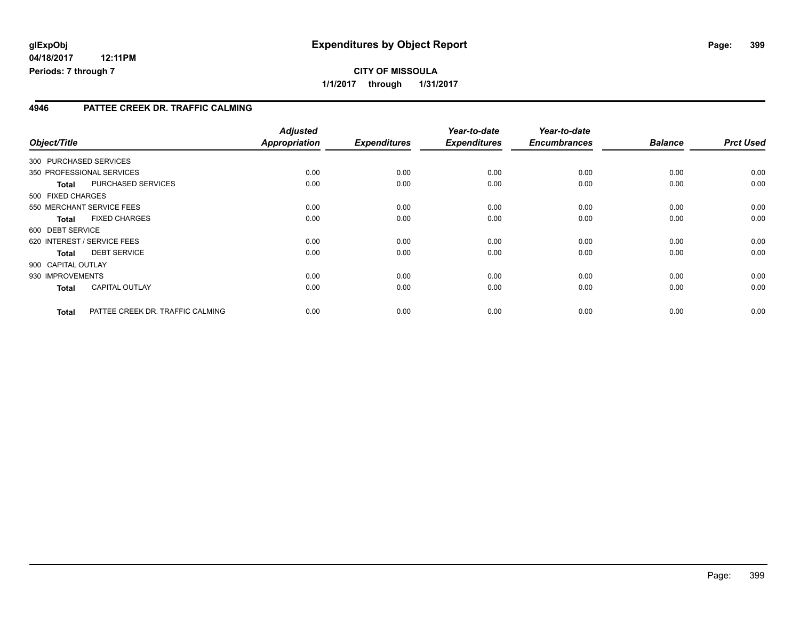### **4946 PATTEE CREEK DR. TRAFFIC CALMING**

| Object/Title       |              |                                  | <b>Adjusted</b><br><b>Appropriation</b> | <b>Expenditures</b> | Year-to-date<br><b>Expenditures</b> | Year-to-date<br><b>Encumbrances</b> | <b>Balance</b> | <b>Prct Used</b> |
|--------------------|--------------|----------------------------------|-----------------------------------------|---------------------|-------------------------------------|-------------------------------------|----------------|------------------|
|                    |              | 300 PURCHASED SERVICES           |                                         |                     |                                     |                                     |                |                  |
|                    |              | 350 PROFESSIONAL SERVICES        | 0.00                                    | 0.00                | 0.00                                | 0.00                                | 0.00           | 0.00             |
|                    | <b>Total</b> | PURCHASED SERVICES               | 0.00                                    | 0.00                | 0.00                                | 0.00                                | 0.00           | 0.00             |
| 500 FIXED CHARGES  |              |                                  |                                         |                     |                                     |                                     |                |                  |
|                    |              | 550 MERCHANT SERVICE FEES        | 0.00                                    | 0.00                | 0.00                                | 0.00                                | 0.00           | 0.00             |
|                    | <b>Total</b> | <b>FIXED CHARGES</b>             | 0.00                                    | 0.00                | 0.00                                | 0.00                                | 0.00           | 0.00             |
| 600 DEBT SERVICE   |              |                                  |                                         |                     |                                     |                                     |                |                  |
|                    |              | 620 INTEREST / SERVICE FEES      | 0.00                                    | 0.00                | 0.00                                | 0.00                                | 0.00           | 0.00             |
|                    | <b>Total</b> | <b>DEBT SERVICE</b>              | 0.00                                    | 0.00                | 0.00                                | 0.00                                | 0.00           | 0.00             |
| 900 CAPITAL OUTLAY |              |                                  |                                         |                     |                                     |                                     |                |                  |
| 930 IMPROVEMENTS   |              |                                  | 0.00                                    | 0.00                | 0.00                                | 0.00                                | 0.00           | 0.00             |
|                    | <b>Total</b> | <b>CAPITAL OUTLAY</b>            | 0.00                                    | 0.00                | 0.00                                | 0.00                                | 0.00           | 0.00             |
|                    | <b>Total</b> | PATTEE CREEK DR. TRAFFIC CALMING | 0.00                                    | 0.00                | 0.00                                | 0.00                                | 0.00           | 0.00             |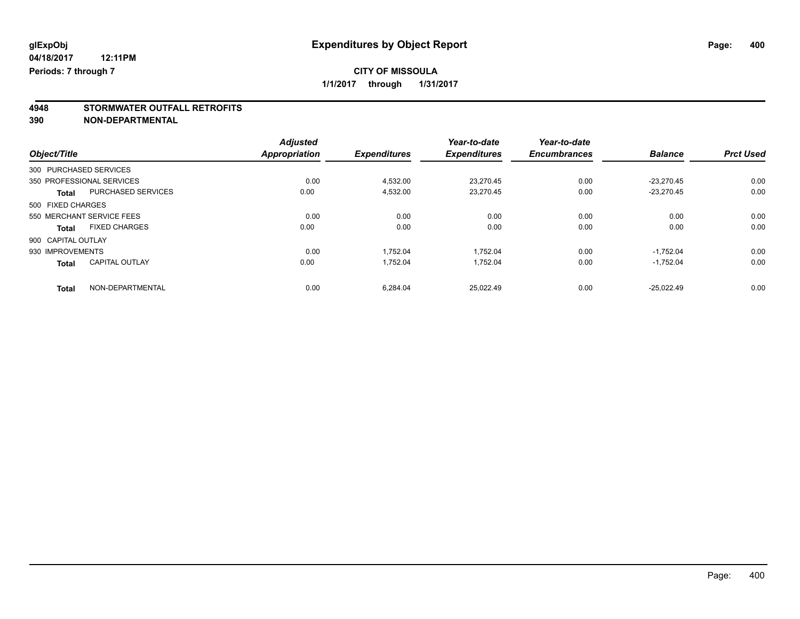# **4948 STORMWATER OUTFALL RETROFITS**

**390 NON-DEPARTMENTAL**

|                        |                           | <b>Adjusted</b> |                     | Year-to-date        | Year-to-date        |                |                  |
|------------------------|---------------------------|-----------------|---------------------|---------------------|---------------------|----------------|------------------|
| Object/Title           |                           | Appropriation   | <b>Expenditures</b> | <b>Expenditures</b> | <b>Encumbrances</b> | <b>Balance</b> | <b>Prct Used</b> |
| 300 PURCHASED SERVICES |                           |                 |                     |                     |                     |                |                  |
|                        | 350 PROFESSIONAL SERVICES | 0.00            | 4.532.00            | 23.270.45           | 0.00                | $-23.270.45$   | 0.00             |
| <b>Total</b>           | <b>PURCHASED SERVICES</b> | 0.00            | 4,532.00            | 23,270.45           | 0.00                | $-23.270.45$   | 0.00             |
| 500 FIXED CHARGES      |                           |                 |                     |                     |                     |                |                  |
|                        | 550 MERCHANT SERVICE FEES | 0.00            | 0.00                | 0.00                | 0.00                | 0.00           | 0.00             |
| <b>Total</b>           | <b>FIXED CHARGES</b>      | 0.00            | 0.00                | 0.00                | 0.00                | 0.00           | 0.00             |
| 900 CAPITAL OUTLAY     |                           |                 |                     |                     |                     |                |                  |
| 930 IMPROVEMENTS       |                           | 0.00            | 1.752.04            | 1.752.04            | 0.00                | $-1.752.04$    | 0.00             |
| <b>Total</b>           | <b>CAPITAL OUTLAY</b>     | 0.00            | 1,752.04            | 1.752.04            | 0.00                | $-1,752.04$    | 0.00             |
| <b>Total</b>           | NON-DEPARTMENTAL          | 0.00            | 6.284.04            | 25.022.49           | 0.00                | $-25.022.49$   | 0.00             |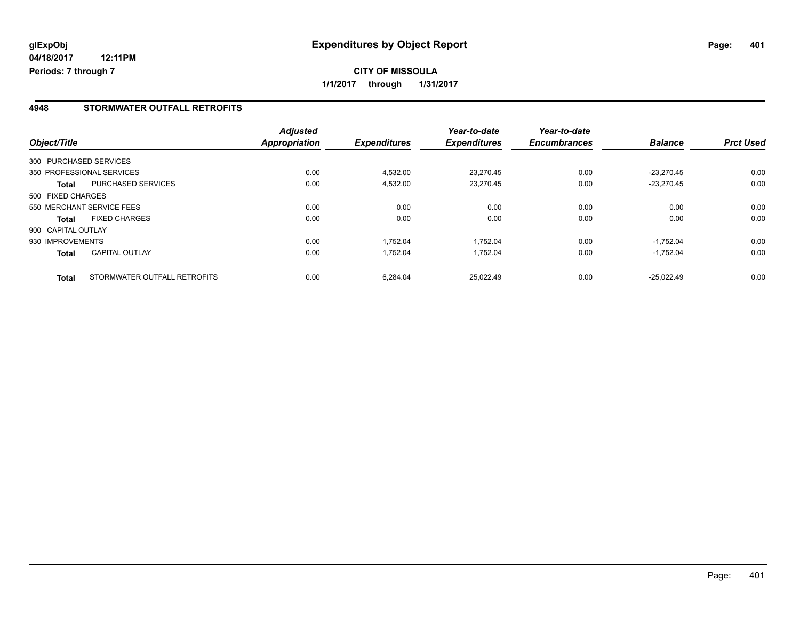### **4948 STORMWATER OUTFALL RETROFITS**

| Object/Title       |                              | <b>Adjusted</b><br><b>Appropriation</b> | <b>Expenditures</b> | Year-to-date<br><b>Expenditures</b> | Year-to-date<br><b>Encumbrances</b> | <b>Balance</b> | <b>Prct Used</b> |
|--------------------|------------------------------|-----------------------------------------|---------------------|-------------------------------------|-------------------------------------|----------------|------------------|
|                    |                              |                                         |                     |                                     |                                     |                |                  |
|                    | 300 PURCHASED SERVICES       |                                         |                     |                                     |                                     |                |                  |
|                    | 350 PROFESSIONAL SERVICES    | 0.00                                    | 4,532.00            | 23.270.45                           | 0.00                                | $-23.270.45$   | 0.00             |
| Total              | PURCHASED SERVICES           | 0.00                                    | 4,532.00            | 23.270.45                           | 0.00                                | $-23.270.45$   | 0.00             |
| 500 FIXED CHARGES  |                              |                                         |                     |                                     |                                     |                |                  |
|                    | 550 MERCHANT SERVICE FEES    | 0.00                                    | 0.00                | 0.00                                | 0.00                                | 0.00           | 0.00             |
| Total              | <b>FIXED CHARGES</b>         | 0.00                                    | 0.00                | 0.00                                | 0.00                                | 0.00           | 0.00             |
| 900 CAPITAL OUTLAY |                              |                                         |                     |                                     |                                     |                |                  |
| 930 IMPROVEMENTS   |                              | 0.00                                    | 1,752.04            | 1.752.04                            | 0.00                                | $-1.752.04$    | 0.00             |
| <b>Total</b>       | <b>CAPITAL OUTLAY</b>        | 0.00                                    | 1.752.04            | 1.752.04                            | 0.00                                | $-1.752.04$    | 0.00             |
| <b>Total</b>       | STORMWATER OUTFALL RETROFITS | 0.00                                    | 6.284.04            | 25.022.49                           | 0.00                                | $-25.022.49$   | 0.00             |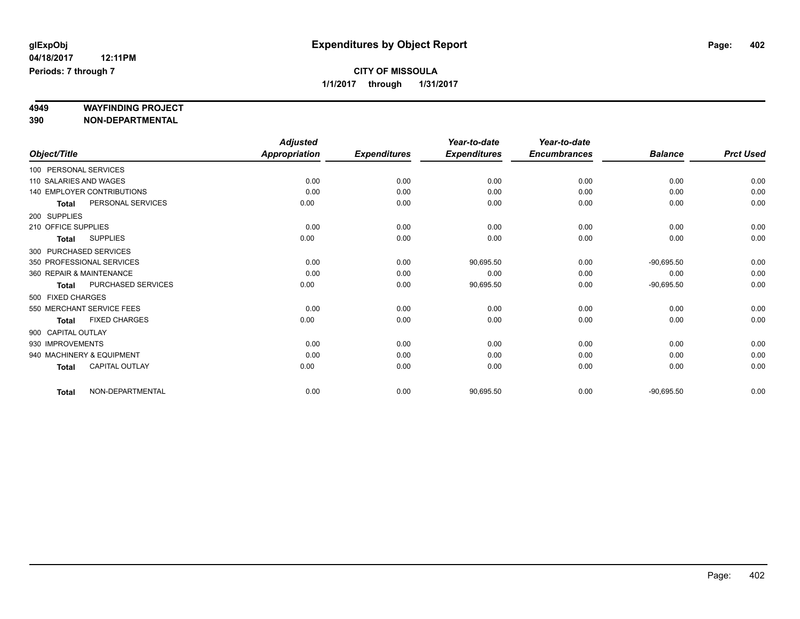# **4949 WAYFINDING PROJECT**

**390 NON-DEPARTMENTAL**

|                          |                            | <b>Adjusted</b>      |                     | Year-to-date        | Year-to-date        |                |                  |
|--------------------------|----------------------------|----------------------|---------------------|---------------------|---------------------|----------------|------------------|
| Object/Title             |                            | <b>Appropriation</b> | <b>Expenditures</b> | <b>Expenditures</b> | <b>Encumbrances</b> | <b>Balance</b> | <b>Prct Used</b> |
| 100 PERSONAL SERVICES    |                            |                      |                     |                     |                     |                |                  |
| 110 SALARIES AND WAGES   |                            | 0.00                 | 0.00                | 0.00                | 0.00                | 0.00           | 0.00             |
|                          | 140 EMPLOYER CONTRIBUTIONS | 0.00                 | 0.00                | 0.00                | 0.00                | 0.00           | 0.00             |
| <b>Total</b>             | PERSONAL SERVICES          | 0.00                 | 0.00                | 0.00                | 0.00                | 0.00           | 0.00             |
| 200 SUPPLIES             |                            |                      |                     |                     |                     |                |                  |
| 210 OFFICE SUPPLIES      |                            | 0.00                 | 0.00                | 0.00                | 0.00                | 0.00           | 0.00             |
| <b>Total</b>             | <b>SUPPLIES</b>            | 0.00                 | 0.00                | 0.00                | 0.00                | 0.00           | 0.00             |
| 300 PURCHASED SERVICES   |                            |                      |                     |                     |                     |                |                  |
|                          | 350 PROFESSIONAL SERVICES  | 0.00                 | 0.00                | 90,695.50           | 0.00                | $-90,695.50$   | 0.00             |
| 360 REPAIR & MAINTENANCE |                            | 0.00                 | 0.00                | 0.00                | 0.00                | 0.00           | 0.00             |
| <b>Total</b>             | PURCHASED SERVICES         | 0.00                 | 0.00                | 90,695.50           | 0.00                | $-90,695.50$   | 0.00             |
| 500 FIXED CHARGES        |                            |                      |                     |                     |                     |                |                  |
|                          | 550 MERCHANT SERVICE FEES  | 0.00                 | 0.00                | 0.00                | 0.00                | 0.00           | 0.00             |
| <b>Total</b>             | <b>FIXED CHARGES</b>       | 0.00                 | 0.00                | 0.00                | 0.00                | 0.00           | 0.00             |
| 900 CAPITAL OUTLAY       |                            |                      |                     |                     |                     |                |                  |
| 930 IMPROVEMENTS         |                            | 0.00                 | 0.00                | 0.00                | 0.00                | 0.00           | 0.00             |
|                          | 940 MACHINERY & EQUIPMENT  | 0.00                 | 0.00                | 0.00                | 0.00                | 0.00           | 0.00             |
| <b>Total</b>             | CAPITAL OUTLAY             | 0.00                 | 0.00                | 0.00                | 0.00                | 0.00           | 0.00             |
| <b>Total</b>             | NON-DEPARTMENTAL           | 0.00                 | 0.00                | 90,695.50           | 0.00                | $-90,695.50$   | 0.00             |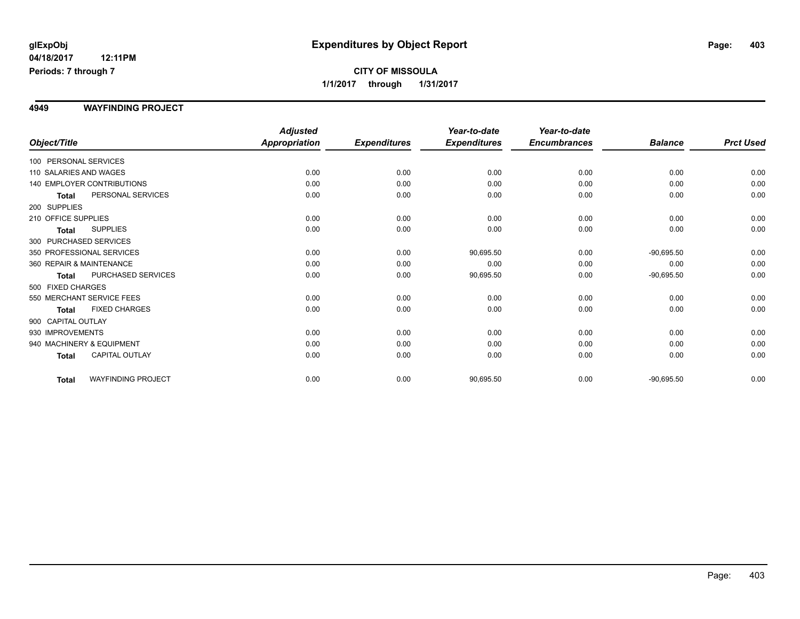# **CITY OF MISSOULA 1/1/2017 through 1/31/2017**

#### **4949 WAYFINDING PROJECT**

|                          |                            | <b>Adjusted</b>      |                     | Year-to-date        | Year-to-date        |                |                  |
|--------------------------|----------------------------|----------------------|---------------------|---------------------|---------------------|----------------|------------------|
| Object/Title             |                            | <b>Appropriation</b> | <b>Expenditures</b> | <b>Expenditures</b> | <b>Encumbrances</b> | <b>Balance</b> | <b>Prct Used</b> |
| 100 PERSONAL SERVICES    |                            |                      |                     |                     |                     |                |                  |
| 110 SALARIES AND WAGES   |                            | 0.00                 | 0.00                | 0.00                | 0.00                | 0.00           | 0.00             |
|                          | 140 EMPLOYER CONTRIBUTIONS | 0.00                 | 0.00                | 0.00                | 0.00                | 0.00           | 0.00             |
| Total                    | PERSONAL SERVICES          | 0.00                 | 0.00                | 0.00                | 0.00                | 0.00           | 0.00             |
| 200 SUPPLIES             |                            |                      |                     |                     |                     |                |                  |
| 210 OFFICE SUPPLIES      |                            | 0.00                 | 0.00                | 0.00                | 0.00                | 0.00           | 0.00             |
| Total                    | <b>SUPPLIES</b>            | 0.00                 | 0.00                | 0.00                | 0.00                | 0.00           | 0.00             |
| 300 PURCHASED SERVICES   |                            |                      |                     |                     |                     |                |                  |
|                          | 350 PROFESSIONAL SERVICES  | 0.00                 | 0.00                | 90,695.50           | 0.00                | $-90,695.50$   | 0.00             |
| 360 REPAIR & MAINTENANCE |                            | 0.00                 | 0.00                | 0.00                | 0.00                | 0.00           | 0.00             |
| <b>Total</b>             | PURCHASED SERVICES         | 0.00                 | 0.00                | 90,695.50           | 0.00                | $-90,695.50$   | 0.00             |
| 500 FIXED CHARGES        |                            |                      |                     |                     |                     |                |                  |
|                          | 550 MERCHANT SERVICE FEES  | 0.00                 | 0.00                | 0.00                | 0.00                | 0.00           | 0.00             |
| <b>Total</b>             | <b>FIXED CHARGES</b>       | 0.00                 | 0.00                | 0.00                | 0.00                | 0.00           | 0.00             |
| 900 CAPITAL OUTLAY       |                            |                      |                     |                     |                     |                |                  |
| 930 IMPROVEMENTS         |                            | 0.00                 | 0.00                | 0.00                | 0.00                | 0.00           | 0.00             |
|                          | 940 MACHINERY & EQUIPMENT  | 0.00                 | 0.00                | 0.00                | 0.00                | 0.00           | 0.00             |
| Total                    | <b>CAPITAL OUTLAY</b>      | 0.00                 | 0.00                | 0.00                | 0.00                | 0.00           | 0.00             |
| Total                    | <b>WAYFINDING PROJECT</b>  | 0.00                 | 0.00                | 90,695.50           | 0.00                | $-90,695.50$   | 0.00             |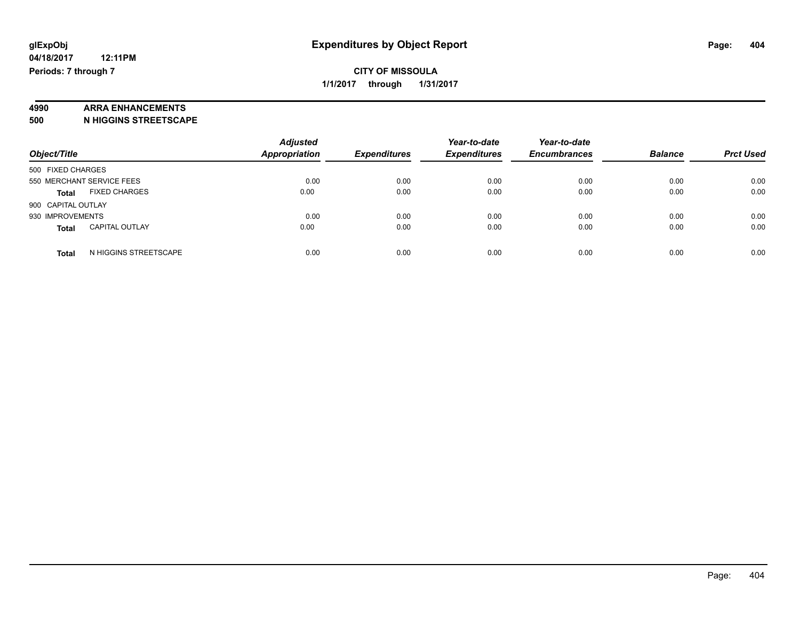# **4990 ARRA ENHANCEMENTS**

**500 N HIGGINS STREETSCAPE**

|                                       | <b>Adjusted</b>      |                     | Year-to-date        | Year-to-date        |                |                  |
|---------------------------------------|----------------------|---------------------|---------------------|---------------------|----------------|------------------|
| Object/Title                          | <b>Appropriation</b> | <b>Expenditures</b> | <b>Expenditures</b> | <b>Encumbrances</b> | <b>Balance</b> | <b>Prct Used</b> |
| 500 FIXED CHARGES                     |                      |                     |                     |                     |                |                  |
| 550 MERCHANT SERVICE FEES             | 0.00                 | 0.00                | 0.00                | 0.00                | 0.00           | 0.00             |
| <b>FIXED CHARGES</b><br><b>Total</b>  | 0.00                 | 0.00                | 0.00                | 0.00                | 0.00           | 0.00             |
| 900 CAPITAL OUTLAY                    |                      |                     |                     |                     |                |                  |
| 930 IMPROVEMENTS                      | 0.00                 | 0.00                | 0.00                | 0.00                | 0.00           | 0.00             |
| <b>CAPITAL OUTLAY</b><br><b>Total</b> | 0.00                 | 0.00                | 0.00                | 0.00                | 0.00           | 0.00             |
| N HIGGINS STREETSCAPE<br><b>Total</b> | 0.00                 | 0.00                | 0.00                | 0.00                | 0.00           | 0.00             |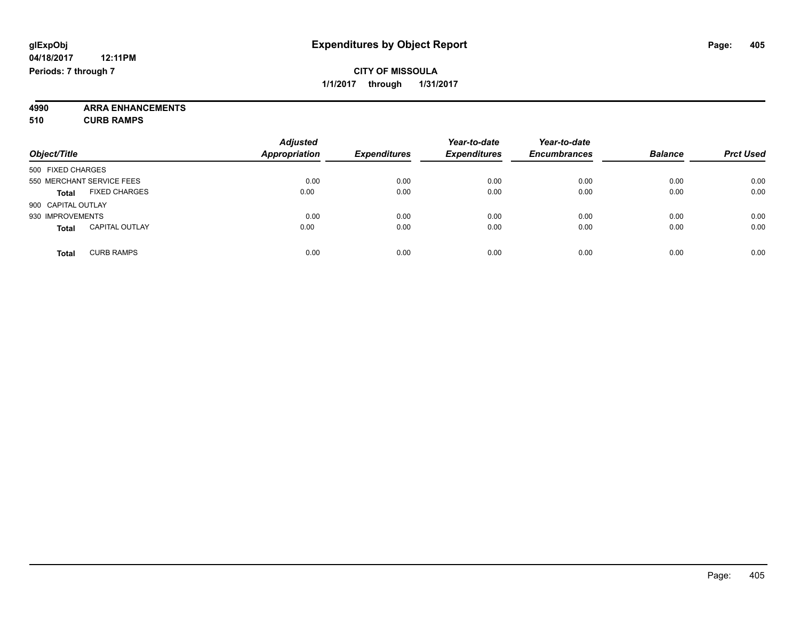**4990 ARRA ENHANCEMENTS 510 CURB RAMPS**

|                                       | <b>Adjusted</b> |                     | Year-to-date        | Year-to-date        |                |                  |
|---------------------------------------|-----------------|---------------------|---------------------|---------------------|----------------|------------------|
| Object/Title                          | Appropriation   | <b>Expenditures</b> | <b>Expenditures</b> | <b>Encumbrances</b> | <b>Balance</b> | <b>Prct Used</b> |
| 500 FIXED CHARGES                     |                 |                     |                     |                     |                |                  |
| 550 MERCHANT SERVICE FEES             | 0.00            | 0.00                | 0.00                | 0.00                | 0.00           | 0.00             |
| <b>FIXED CHARGES</b><br><b>Total</b>  | 0.00            | 0.00                | 0.00                | 0.00                | 0.00           | 0.00             |
| 900 CAPITAL OUTLAY                    |                 |                     |                     |                     |                |                  |
| 930 IMPROVEMENTS                      | 0.00            | 0.00                | 0.00                | 0.00                | 0.00           | 0.00             |
| <b>CAPITAL OUTLAY</b><br><b>Total</b> | 0.00            | 0.00                | 0.00                | 0.00                | 0.00           | 0.00             |
| <b>CURB RAMPS</b><br><b>Total</b>     | 0.00            | 0.00                | 0.00                | 0.00                | 0.00           | 0.00             |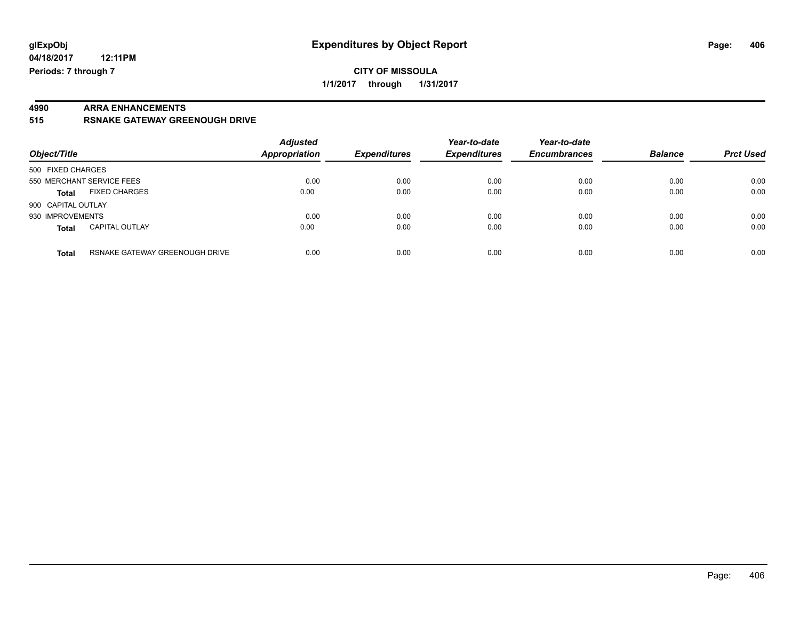# **4990 ARRA ENHANCEMENTS**

**515 RSNAKE GATEWAY GREENOUGH DRIVE**

| Object/Title                          |                                | <b>Adjusted</b><br><b>Appropriation</b> | <b>Expenditures</b> | Year-to-date<br><b>Expenditures</b> | Year-to-date<br><b>Encumbrances</b> | <b>Balance</b> | <b>Prct Used</b> |
|---------------------------------------|--------------------------------|-----------------------------------------|---------------------|-------------------------------------|-------------------------------------|----------------|------------------|
| 500 FIXED CHARGES                     |                                |                                         |                     |                                     |                                     |                |                  |
| 550 MERCHANT SERVICE FEES             |                                | 0.00                                    | 0.00                | 0.00                                | 0.00                                | 0.00           | 0.00             |
| <b>FIXED CHARGES</b><br><b>Total</b>  |                                | 0.00                                    | 0.00                | 0.00                                | 0.00                                | 0.00           | 0.00             |
| 900 CAPITAL OUTLAY                    |                                |                                         |                     |                                     |                                     |                |                  |
| 930 IMPROVEMENTS                      |                                | 0.00                                    | 0.00                | 0.00                                | 0.00                                | 0.00           | 0.00             |
| <b>CAPITAL OUTLAY</b><br><b>Total</b> |                                | 0.00                                    | 0.00                | 0.00                                | 0.00                                | 0.00           | 0.00             |
| <b>Total</b>                          | RSNAKE GATEWAY GREENOUGH DRIVE | 0.00                                    | 0.00                | 0.00                                | 0.00                                | 0.00           | 0.00             |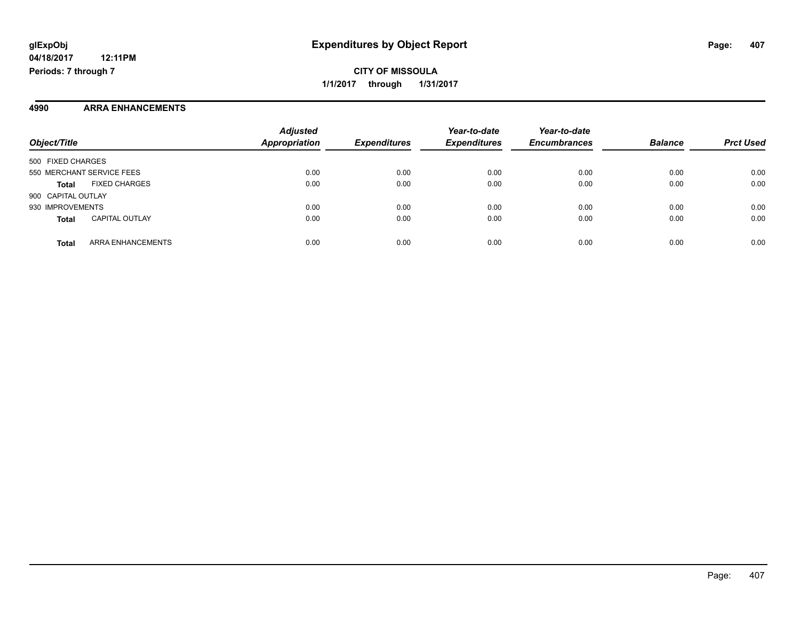**CITY OF MISSOULA 1/1/2017 through 1/31/2017**

#### **4990 ARRA ENHANCEMENTS**

| Object/Title                          | <b>Adjusted</b><br><b>Appropriation</b> | <b>Expenditures</b> | Year-to-date<br><b>Expenditures</b> | Year-to-date<br><b>Encumbrances</b> | <b>Balance</b> | <b>Prct Used</b> |
|---------------------------------------|-----------------------------------------|---------------------|-------------------------------------|-------------------------------------|----------------|------------------|
| 500 FIXED CHARGES                     |                                         |                     |                                     |                                     |                |                  |
| 550 MERCHANT SERVICE FEES             | 0.00                                    | 0.00                | 0.00                                | 0.00                                | 0.00           | 0.00             |
| <b>FIXED CHARGES</b><br><b>Total</b>  | 0.00                                    | 0.00                | 0.00                                | 0.00                                | 0.00           | 0.00             |
| 900 CAPITAL OUTLAY                    |                                         |                     |                                     |                                     |                |                  |
| 930 IMPROVEMENTS                      | 0.00                                    | 0.00                | 0.00                                | 0.00                                | 0.00           | 0.00             |
| <b>CAPITAL OUTLAY</b><br><b>Total</b> | 0.00                                    | 0.00                | 0.00                                | 0.00                                | 0.00           | 0.00             |
| ARRA ENHANCEMENTS<br><b>Total</b>     | 0.00                                    | 0.00                | 0.00                                | 0.00                                | 0.00           | 0.00             |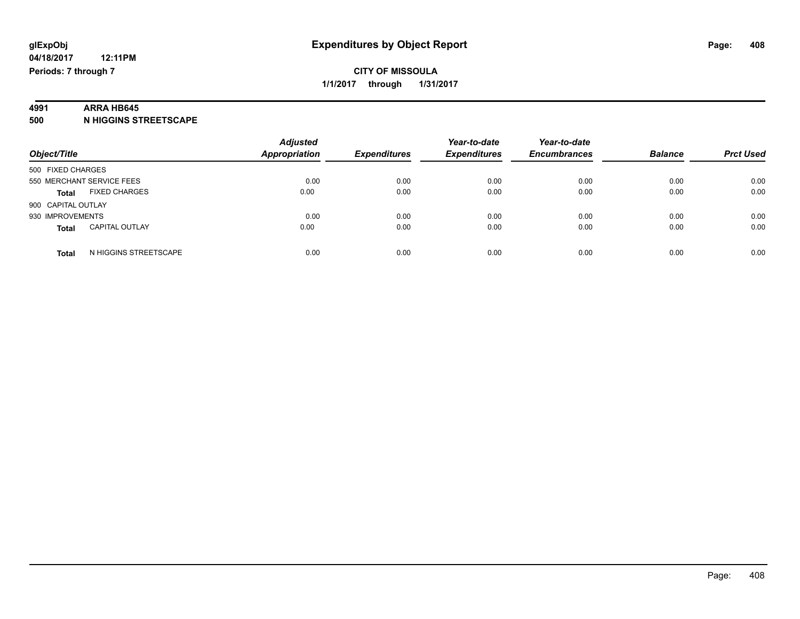## **4991 ARRA HB645**

**500 N HIGGINS STREETSCAPE**

| Object/Title                          | <b>Adjusted</b><br><b>Appropriation</b> | <b>Expenditures</b> | Year-to-date<br><b>Expenditures</b> | Year-to-date<br><b>Encumbrances</b> | <b>Balance</b> | <b>Prct Used</b> |
|---------------------------------------|-----------------------------------------|---------------------|-------------------------------------|-------------------------------------|----------------|------------------|
| 500 FIXED CHARGES                     |                                         |                     |                                     |                                     |                |                  |
| 550 MERCHANT SERVICE FEES             | 0.00                                    | 0.00                | 0.00                                | 0.00                                | 0.00           | 0.00             |
| <b>FIXED CHARGES</b><br><b>Total</b>  | 0.00                                    | 0.00                | 0.00                                | 0.00                                | 0.00           | 0.00             |
| 900 CAPITAL OUTLAY                    |                                         |                     |                                     |                                     |                |                  |
| 930 IMPROVEMENTS                      | 0.00                                    | 0.00                | 0.00                                | 0.00                                | 0.00           | 0.00             |
| <b>CAPITAL OUTLAY</b><br><b>Total</b> | 0.00                                    | 0.00                | 0.00                                | 0.00                                | 0.00           | 0.00             |
| N HIGGINS STREETSCAPE<br><b>Total</b> | 0.00                                    | 0.00                | 0.00                                | 0.00                                | 0.00           | 0.00             |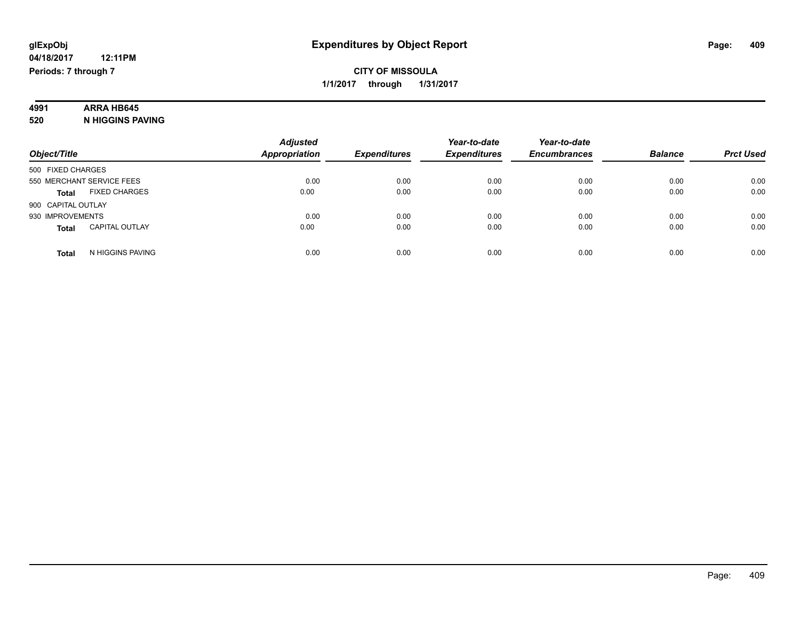# **4991 ARRA HB645**

**520 N HIGGINS PAVING**

|                                       | <b>Adjusted</b>      |                     | Year-to-date        | Year-to-date        |                |                  |
|---------------------------------------|----------------------|---------------------|---------------------|---------------------|----------------|------------------|
| Object/Title                          | <b>Appropriation</b> | <b>Expenditures</b> | <b>Expenditures</b> | <b>Encumbrances</b> | <b>Balance</b> | <b>Prct Used</b> |
| 500 FIXED CHARGES                     |                      |                     |                     |                     |                |                  |
| 550 MERCHANT SERVICE FEES             | 0.00                 | 0.00                | 0.00                | 0.00                | 0.00           | 0.00             |
| <b>FIXED CHARGES</b><br><b>Total</b>  | 0.00                 | 0.00                | 0.00                | 0.00                | 0.00           | 0.00             |
| 900 CAPITAL OUTLAY                    |                      |                     |                     |                     |                |                  |
| 930 IMPROVEMENTS                      | 0.00                 | 0.00                | 0.00                | 0.00                | 0.00           | 0.00             |
| <b>CAPITAL OUTLAY</b><br><b>Total</b> | 0.00                 | 0.00                | 0.00                | 0.00                | 0.00           | 0.00             |
| N HIGGINS PAVING<br><b>Total</b>      | 0.00                 | 0.00                | 0.00                | 0.00                | 0.00           | 0.00             |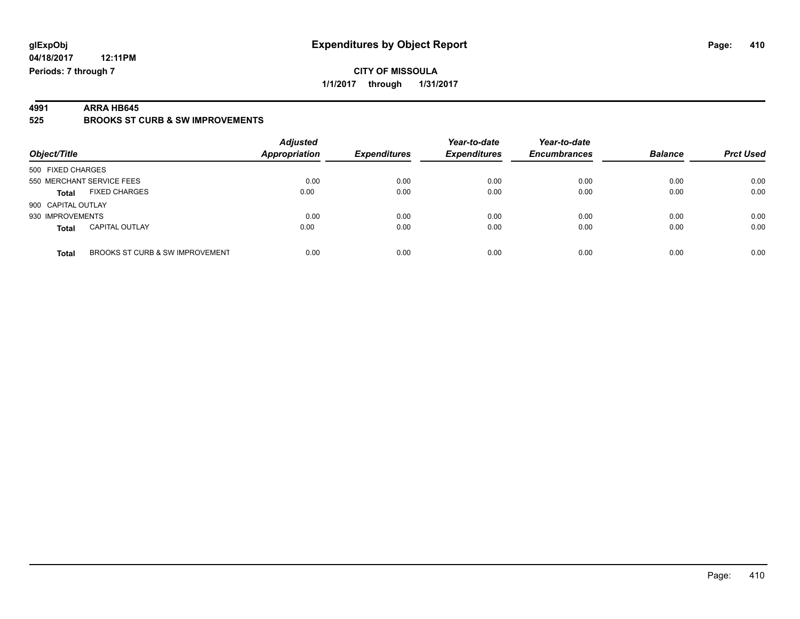**4991 ARRA HB645 525 BROOKS ST CURB & SW IMPROVEMENTS**

| Object/Title       |                                 | <b>Adjusted</b><br><b>Appropriation</b> | <b>Expenditures</b> | Year-to-date<br><b>Expenditures</b> | Year-to-date<br><b>Encumbrances</b> | <b>Balance</b> | <b>Prct Used</b> |
|--------------------|---------------------------------|-----------------------------------------|---------------------|-------------------------------------|-------------------------------------|----------------|------------------|
| 500 FIXED CHARGES  |                                 |                                         |                     |                                     |                                     |                |                  |
|                    | 550 MERCHANT SERVICE FEES       | 0.00                                    | 0.00                | 0.00                                | 0.00                                | 0.00           | 0.00             |
| <b>Total</b>       | <b>FIXED CHARGES</b>            | 0.00                                    | 0.00                | 0.00                                | 0.00                                | 0.00           | 0.00             |
| 900 CAPITAL OUTLAY |                                 |                                         |                     |                                     |                                     |                |                  |
| 930 IMPROVEMENTS   |                                 | 0.00                                    | 0.00                | 0.00                                | 0.00                                | 0.00           | 0.00             |
| <b>Total</b>       | <b>CAPITAL OUTLAY</b>           | 0.00                                    | 0.00                | 0.00                                | 0.00                                | 0.00           | 0.00             |
| <b>Total</b>       | BROOKS ST CURB & SW IMPROVEMENT | 0.00                                    | 0.00                | 0.00                                | 0.00                                | 0.00           | 0.00             |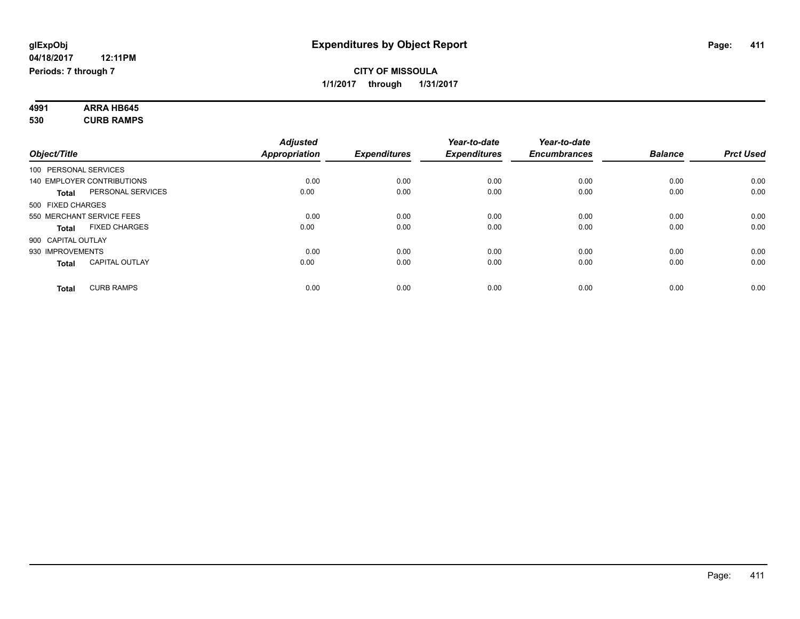#### **4991 ARRA HB645 530 CURB RAMPS**

| Object/Title       |                            | <b>Adjusted</b><br><b>Appropriation</b> | <b>Expenditures</b> | Year-to-date<br><b>Expenditures</b> | Year-to-date<br><b>Encumbrances</b> | <b>Balance</b> | <b>Prct Used</b> |
|--------------------|----------------------------|-----------------------------------------|---------------------|-------------------------------------|-------------------------------------|----------------|------------------|
|                    | 100 PERSONAL SERVICES      |                                         |                     |                                     |                                     |                |                  |
|                    | 140 EMPLOYER CONTRIBUTIONS | 0.00                                    | 0.00                | 0.00                                | 0.00                                | 0.00           | 0.00             |
| <b>Total</b>       | PERSONAL SERVICES          | 0.00                                    | 0.00                | 0.00                                | 0.00                                | 0.00           | 0.00             |
| 500 FIXED CHARGES  |                            |                                         |                     |                                     |                                     |                |                  |
|                    | 550 MERCHANT SERVICE FEES  | 0.00                                    | 0.00                | 0.00                                | 0.00                                | 0.00           | 0.00             |
| <b>Total</b>       | <b>FIXED CHARGES</b>       | 0.00                                    | 0.00                | 0.00                                | 0.00                                | 0.00           | 0.00             |
| 900 CAPITAL OUTLAY |                            |                                         |                     |                                     |                                     |                |                  |
| 930 IMPROVEMENTS   |                            | 0.00                                    | 0.00                | 0.00                                | 0.00                                | 0.00           | 0.00             |
| <b>Total</b>       | <b>CAPITAL OUTLAY</b>      | 0.00                                    | 0.00                | 0.00                                | 0.00                                | 0.00           | 0.00             |
| <b>Total</b>       | <b>CURB RAMPS</b>          | 0.00                                    | 0.00                | 0.00                                | 0.00                                | 0.00           | 0.00             |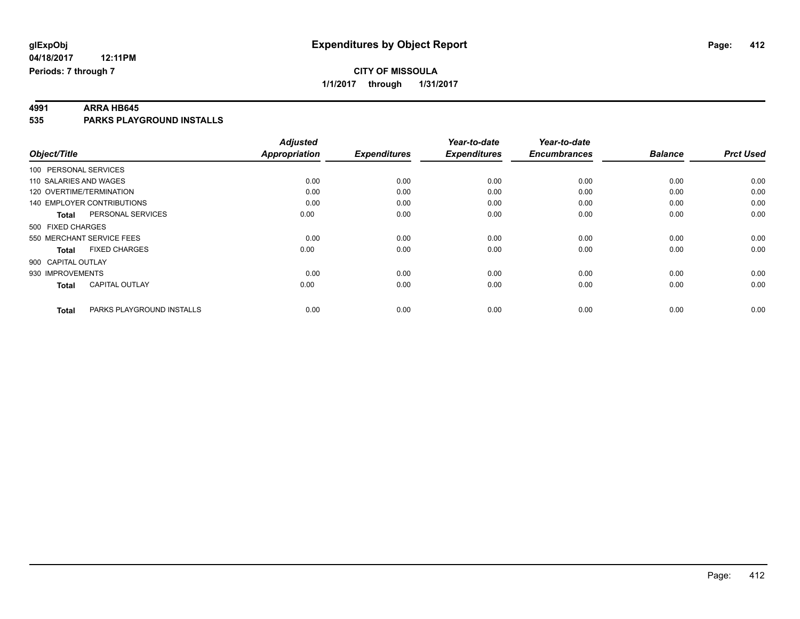**4991 ARRA HB645 535 PARKS PLAYGROUND INSTALLS**

| Object/Title                      |                           | <b>Adjusted</b><br><b>Appropriation</b> | <b>Expenditures</b> | Year-to-date<br><b>Expenditures</b> | Year-to-date<br><b>Encumbrances</b> | <b>Balance</b> | <b>Prct Used</b> |
|-----------------------------------|---------------------------|-----------------------------------------|---------------------|-------------------------------------|-------------------------------------|----------------|------------------|
| 100 PERSONAL SERVICES             |                           |                                         |                     |                                     |                                     |                |                  |
| 110 SALARIES AND WAGES            |                           | 0.00                                    | 0.00                | 0.00                                | 0.00                                | 0.00           | 0.00             |
| 120 OVERTIME/TERMINATION          |                           | 0.00                                    | 0.00                | 0.00                                | 0.00                                | 0.00           | 0.00             |
| <b>140 EMPLOYER CONTRIBUTIONS</b> |                           | 0.00                                    | 0.00                | 0.00                                | 0.00                                | 0.00           | 0.00             |
| <b>Total</b>                      | PERSONAL SERVICES         | 0.00                                    | 0.00                | 0.00                                | 0.00                                | 0.00           | 0.00             |
| 500 FIXED CHARGES                 |                           |                                         |                     |                                     |                                     |                |                  |
| 550 MERCHANT SERVICE FEES         |                           | 0.00                                    | 0.00                | 0.00                                | 0.00                                | 0.00           | 0.00             |
| <b>Total</b>                      | <b>FIXED CHARGES</b>      | 0.00                                    | 0.00                | 0.00                                | 0.00                                | 0.00           | 0.00             |
| 900 CAPITAL OUTLAY                |                           |                                         |                     |                                     |                                     |                |                  |
| 930 IMPROVEMENTS                  |                           | 0.00                                    | 0.00                | 0.00                                | 0.00                                | 0.00           | 0.00             |
| <b>Total</b>                      | <b>CAPITAL OUTLAY</b>     | 0.00                                    | 0.00                | 0.00                                | 0.00                                | 0.00           | 0.00             |
| <b>Total</b>                      | PARKS PLAYGROUND INSTALLS | 0.00                                    | 0.00                | 0.00                                | 0.00                                | 0.00           | 0.00             |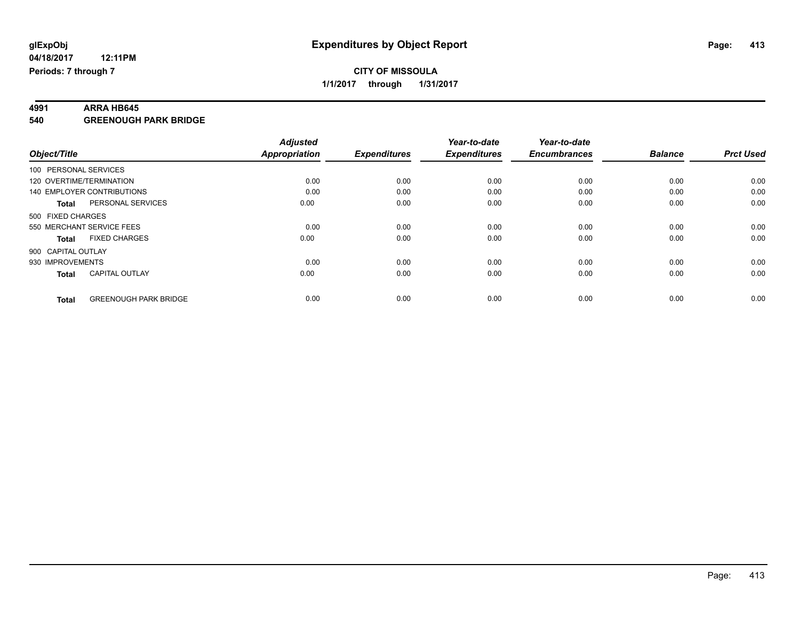**4991 ARRA HB645 540 GREENOUGH PARK BRIDGE**

|                       |                              | <b>Adjusted</b>      |                     | Year-to-date        | Year-to-date        |                |                  |
|-----------------------|------------------------------|----------------------|---------------------|---------------------|---------------------|----------------|------------------|
| Object/Title          |                              | <b>Appropriation</b> | <b>Expenditures</b> | <b>Expenditures</b> | <b>Encumbrances</b> | <b>Balance</b> | <b>Prct Used</b> |
| 100 PERSONAL SERVICES |                              |                      |                     |                     |                     |                |                  |
|                       | 120 OVERTIME/TERMINATION     | 0.00                 | 0.00                | 0.00                | 0.00                | 0.00           | 0.00             |
|                       | 140 EMPLOYER CONTRIBUTIONS   | 0.00                 | 0.00                | 0.00                | 0.00                | 0.00           | 0.00             |
| <b>Total</b>          | PERSONAL SERVICES            | 0.00                 | 0.00                | 0.00                | 0.00                | 0.00           | 0.00             |
| 500 FIXED CHARGES     |                              |                      |                     |                     |                     |                |                  |
|                       | 550 MERCHANT SERVICE FEES    | 0.00                 | 0.00                | 0.00                | 0.00                | 0.00           | 0.00             |
| <b>Total</b>          | <b>FIXED CHARGES</b>         | 0.00                 | 0.00                | 0.00                | 0.00                | 0.00           | 0.00             |
| 900 CAPITAL OUTLAY    |                              |                      |                     |                     |                     |                |                  |
| 930 IMPROVEMENTS      |                              | 0.00                 | 0.00                | 0.00                | 0.00                | 0.00           | 0.00             |
| <b>Total</b>          | <b>CAPITAL OUTLAY</b>        | 0.00                 | 0.00                | 0.00                | 0.00                | 0.00           | 0.00             |
|                       |                              |                      |                     |                     |                     |                |                  |
| <b>Total</b>          | <b>GREENOUGH PARK BRIDGE</b> | 0.00                 | 0.00                | 0.00                | 0.00                | 0.00           | 0.00             |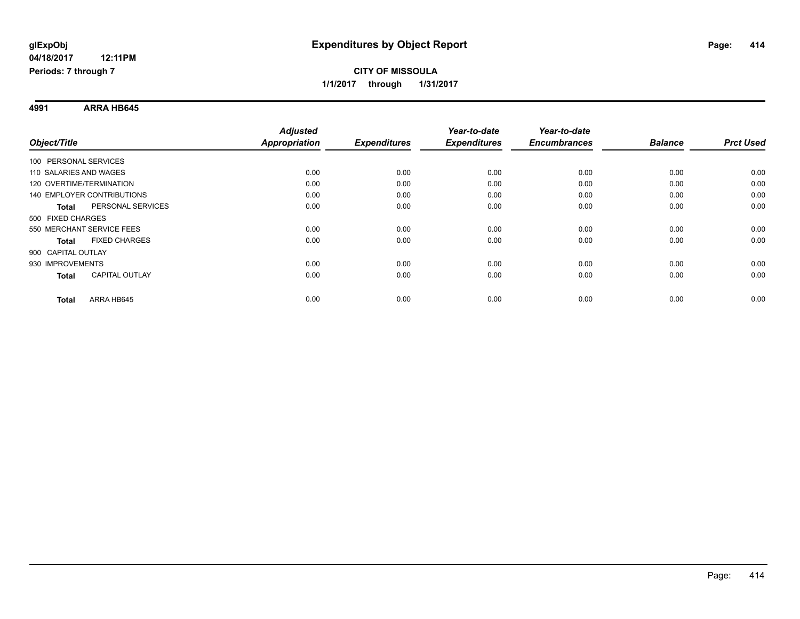**4991 ARRA HB645**

|                                       | <b>Adjusted</b>      |                     | Year-to-date        | Year-to-date        |                |                  |
|---------------------------------------|----------------------|---------------------|---------------------|---------------------|----------------|------------------|
| Object/Title                          | <b>Appropriation</b> | <b>Expenditures</b> | <b>Expenditures</b> | <b>Encumbrances</b> | <b>Balance</b> | <b>Prct Used</b> |
| 100 PERSONAL SERVICES                 |                      |                     |                     |                     |                |                  |
| 110 SALARIES AND WAGES                | 0.00                 | 0.00                | 0.00                | 0.00                | 0.00           | 0.00             |
| 120 OVERTIME/TERMINATION              | 0.00                 | 0.00                | 0.00                | 0.00                | 0.00           | 0.00             |
| <b>140 EMPLOYER CONTRIBUTIONS</b>     | 0.00                 | 0.00                | 0.00                | 0.00                | 0.00           | 0.00             |
| PERSONAL SERVICES<br><b>Total</b>     | 0.00                 | 0.00                | 0.00                | 0.00                | 0.00           | 0.00             |
| 500 FIXED CHARGES                     |                      |                     |                     |                     |                |                  |
| 550 MERCHANT SERVICE FEES             | 0.00                 | 0.00                | 0.00                | 0.00                | 0.00           | 0.00             |
| <b>FIXED CHARGES</b><br><b>Total</b>  | 0.00                 | 0.00                | 0.00                | 0.00                | 0.00           | 0.00             |
| 900 CAPITAL OUTLAY                    |                      |                     |                     |                     |                |                  |
| 930 IMPROVEMENTS                      | 0.00                 | 0.00                | 0.00                | 0.00                | 0.00           | 0.00             |
| <b>CAPITAL OUTLAY</b><br><b>Total</b> | 0.00                 | 0.00                | 0.00                | 0.00                | 0.00           | 0.00             |
| ARRA HB645<br><b>Total</b>            | 0.00                 | 0.00                | 0.00                | 0.00                | 0.00           | 0.00             |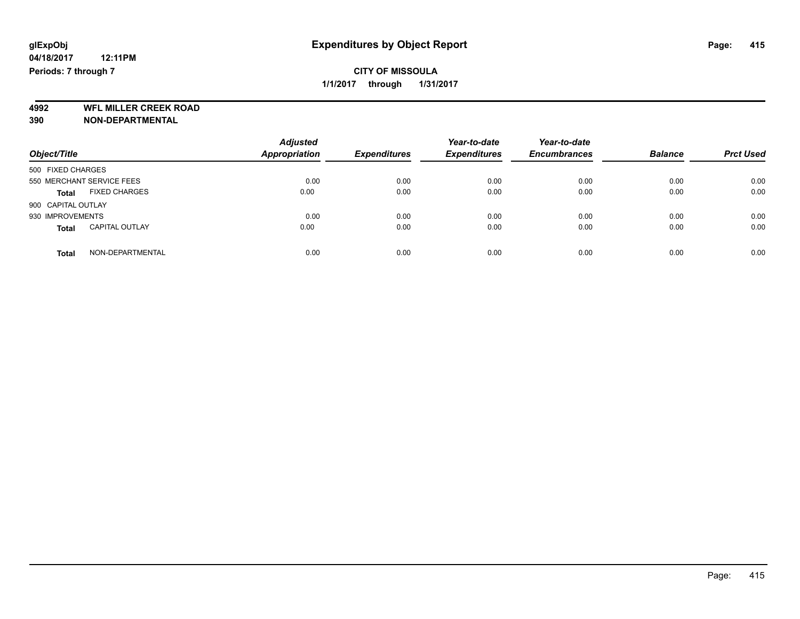**4992 WFL MILLER CREEK ROAD 390 NON-DEPARTMENTAL**

| Object/Title                          | <b>Adjusted</b><br><b>Appropriation</b> | <b>Expenditures</b> | Year-to-date<br><b>Expenditures</b> | Year-to-date<br><b>Encumbrances</b> | <b>Balance</b> | <b>Prct Used</b> |
|---------------------------------------|-----------------------------------------|---------------------|-------------------------------------|-------------------------------------|----------------|------------------|
| 500 FIXED CHARGES                     |                                         |                     |                                     |                                     |                |                  |
| 550 MERCHANT SERVICE FEES             | 0.00                                    | 0.00                | 0.00                                | 0.00                                | 0.00           | 0.00             |
| <b>FIXED CHARGES</b><br><b>Total</b>  | 0.00                                    | 0.00                | 0.00                                | 0.00                                | 0.00           | 0.00             |
| 900 CAPITAL OUTLAY                    |                                         |                     |                                     |                                     |                |                  |
| 930 IMPROVEMENTS                      | 0.00                                    | 0.00                | 0.00                                | 0.00                                | 0.00           | 0.00             |
| <b>CAPITAL OUTLAY</b><br><b>Total</b> | 0.00                                    | 0.00                | 0.00                                | 0.00                                | 0.00           | 0.00             |
| NON-DEPARTMENTAL<br><b>Total</b>      | 0.00                                    | 0.00                | 0.00                                | 0.00                                | 0.00           | 0.00             |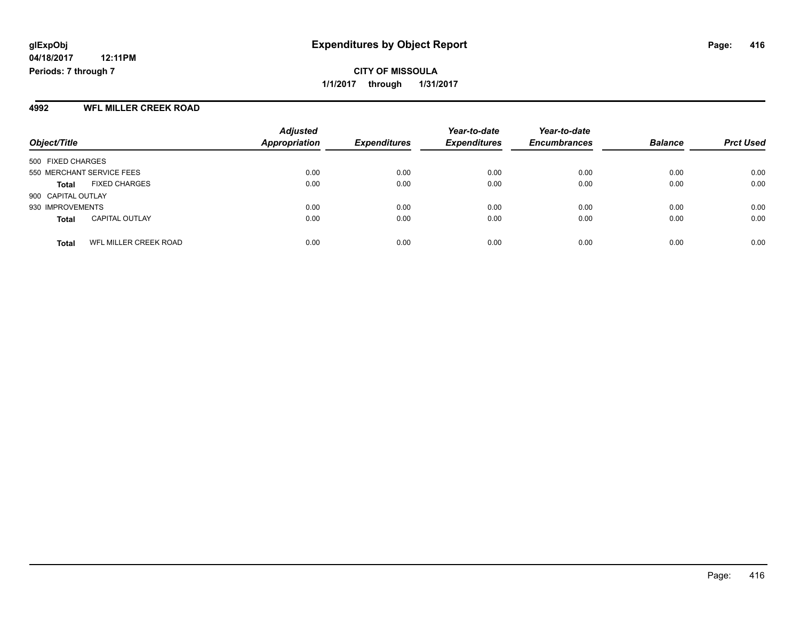**CITY OF MISSOULA 1/1/2017 through 1/31/2017**

#### **4992 WFL MILLER CREEK ROAD**

| Object/Title              |                              | <b>Adjusted</b><br>Appropriation | <b>Expenditures</b> | Year-to-date<br><b>Expenditures</b> | Year-to-date<br><b>Encumbrances</b> | <b>Balance</b> | <b>Prct Used</b> |
|---------------------------|------------------------------|----------------------------------|---------------------|-------------------------------------|-------------------------------------|----------------|------------------|
| 500 FIXED CHARGES         |                              |                                  |                     |                                     |                                     |                |                  |
| 550 MERCHANT SERVICE FEES |                              | 0.00                             | 0.00                | 0.00                                | 0.00                                | 0.00           | 0.00             |
| <b>Total</b>              | <b>FIXED CHARGES</b>         | 0.00                             | 0.00                | 0.00                                | 0.00                                | 0.00           | 0.00             |
| 900 CAPITAL OUTLAY        |                              |                                  |                     |                                     |                                     |                |                  |
| 930 IMPROVEMENTS          |                              | 0.00                             | 0.00                | 0.00                                | 0.00                                | 0.00           | 0.00             |
| <b>Total</b>              | <b>CAPITAL OUTLAY</b>        | 0.00                             | 0.00                | 0.00                                | 0.00                                | 0.00           | 0.00             |
| <b>Total</b>              | <b>WFL MILLER CREEK ROAD</b> | 0.00                             | 0.00                | 0.00                                | 0.00                                | 0.00           | 0.00             |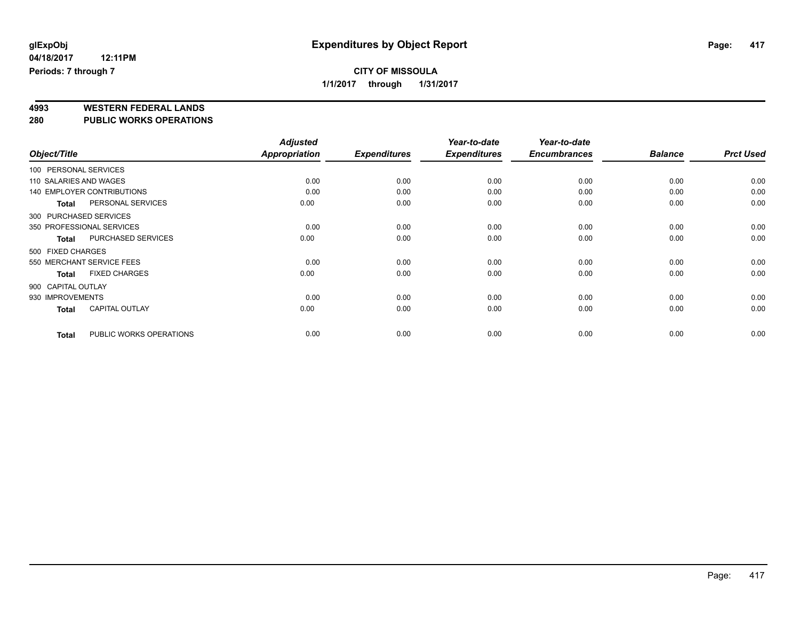# **4993 WESTERN FEDERAL LANDS**

**280 PUBLIC WORKS OPERATIONS**

|                        |                                   | <b>Adjusted</b> |                     | Year-to-date        | Year-to-date        |                |                  |
|------------------------|-----------------------------------|-----------------|---------------------|---------------------|---------------------|----------------|------------------|
| Object/Title           |                                   | Appropriation   | <b>Expenditures</b> | <b>Expenditures</b> | <b>Encumbrances</b> | <b>Balance</b> | <b>Prct Used</b> |
| 100 PERSONAL SERVICES  |                                   |                 |                     |                     |                     |                |                  |
| 110 SALARIES AND WAGES |                                   | 0.00            | 0.00                | 0.00                | 0.00                | 0.00           | 0.00             |
|                        | <b>140 EMPLOYER CONTRIBUTIONS</b> | 0.00            | 0.00                | 0.00                | 0.00                | 0.00           | 0.00             |
| <b>Total</b>           | PERSONAL SERVICES                 | 0.00            | 0.00                | 0.00                | 0.00                | 0.00           | 0.00             |
| 300 PURCHASED SERVICES |                                   |                 |                     |                     |                     |                |                  |
|                        | 350 PROFESSIONAL SERVICES         | 0.00            | 0.00                | 0.00                | 0.00                | 0.00           | 0.00             |
| <b>Total</b>           | <b>PURCHASED SERVICES</b>         | 0.00            | 0.00                | 0.00                | 0.00                | 0.00           | 0.00             |
| 500 FIXED CHARGES      |                                   |                 |                     |                     |                     |                |                  |
|                        | 550 MERCHANT SERVICE FEES         | 0.00            | 0.00                | 0.00                | 0.00                | 0.00           | 0.00             |
| <b>Total</b>           | <b>FIXED CHARGES</b>              | 0.00            | 0.00                | 0.00                | 0.00                | 0.00           | 0.00             |
| 900 CAPITAL OUTLAY     |                                   |                 |                     |                     |                     |                |                  |
| 930 IMPROVEMENTS       |                                   | 0.00            | 0.00                | 0.00                | 0.00                | 0.00           | 0.00             |
| <b>Total</b>           | <b>CAPITAL OUTLAY</b>             | 0.00            | 0.00                | 0.00                | 0.00                | 0.00           | 0.00             |
| <b>Total</b>           | PUBLIC WORKS OPERATIONS           | 0.00            | 0.00                | 0.00                | 0.00                | 0.00           | 0.00             |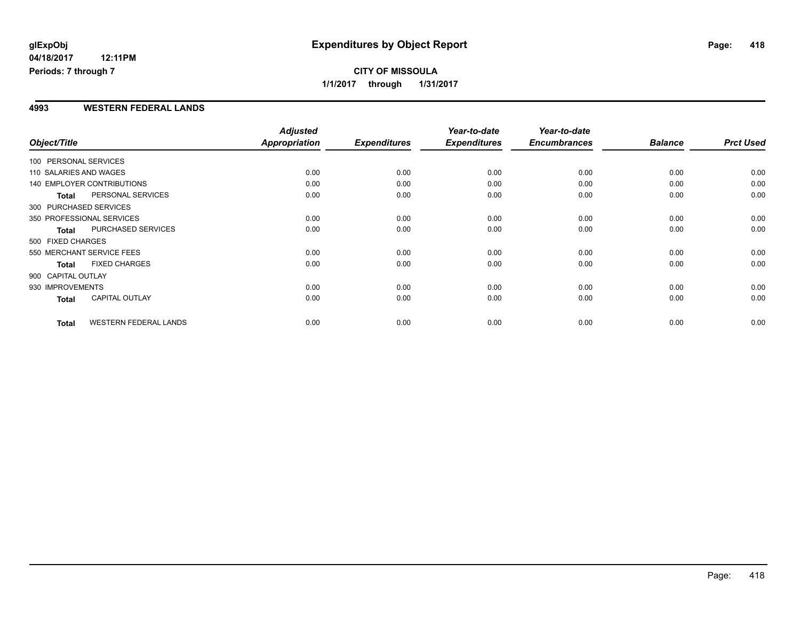### **4993 WESTERN FEDERAL LANDS**

| Object/Title           |                                   | <b>Adjusted</b><br><b>Appropriation</b> | <b>Expenditures</b> | Year-to-date<br><b>Expenditures</b> | Year-to-date<br><b>Encumbrances</b> | <b>Balance</b> | <b>Prct Used</b> |
|------------------------|-----------------------------------|-----------------------------------------|---------------------|-------------------------------------|-------------------------------------|----------------|------------------|
| 100 PERSONAL SERVICES  |                                   |                                         |                     |                                     |                                     |                |                  |
| 110 SALARIES AND WAGES |                                   | 0.00                                    | 0.00                | 0.00                                | 0.00                                | 0.00           | 0.00             |
|                        | <b>140 EMPLOYER CONTRIBUTIONS</b> | 0.00                                    | 0.00                | 0.00                                | 0.00                                | 0.00           | 0.00             |
| <b>Total</b>           | PERSONAL SERVICES                 | 0.00                                    | 0.00                | 0.00                                | 0.00                                | 0.00           | 0.00             |
| 300 PURCHASED SERVICES |                                   |                                         |                     |                                     |                                     |                |                  |
|                        | 350 PROFESSIONAL SERVICES         | 0.00                                    | 0.00                | 0.00                                | 0.00                                | 0.00           | 0.00             |
| <b>Total</b>           | PURCHASED SERVICES                | 0.00                                    | 0.00                | 0.00                                | 0.00                                | 0.00           | 0.00             |
| 500 FIXED CHARGES      |                                   |                                         |                     |                                     |                                     |                |                  |
|                        | 550 MERCHANT SERVICE FEES         | 0.00                                    | 0.00                | 0.00                                | 0.00                                | 0.00           | 0.00             |
| <b>Total</b>           | <b>FIXED CHARGES</b>              | 0.00                                    | 0.00                | 0.00                                | 0.00                                | 0.00           | 0.00             |
| 900 CAPITAL OUTLAY     |                                   |                                         |                     |                                     |                                     |                |                  |
| 930 IMPROVEMENTS       |                                   | 0.00                                    | 0.00                | 0.00                                | 0.00                                | 0.00           | 0.00             |
| <b>Total</b>           | <b>CAPITAL OUTLAY</b>             | 0.00                                    | 0.00                | 0.00                                | 0.00                                | 0.00           | 0.00             |
| <b>Total</b>           | <b>WESTERN FEDERAL LANDS</b>      | 0.00                                    | 0.00                | 0.00                                | 0.00                                | 0.00           | 0.00             |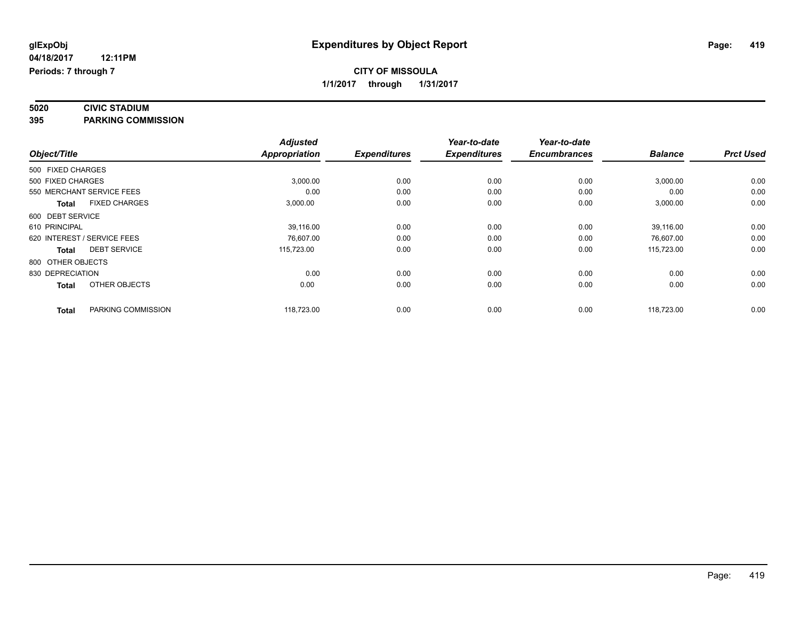# **5020 CIVIC STADIUM**

**395 PARKING COMMISSION**

|                                      |  | <b>Adjusted</b>      |                     | Year-to-date        | Year-to-date        |                |                  |
|--------------------------------------|--|----------------------|---------------------|---------------------|---------------------|----------------|------------------|
| Object/Title                         |  | <b>Appropriation</b> | <b>Expenditures</b> | <b>Expenditures</b> | <b>Encumbrances</b> | <b>Balance</b> | <b>Prct Used</b> |
| 500 FIXED CHARGES                    |  |                      |                     |                     |                     |                |                  |
| 500 FIXED CHARGES                    |  | 3,000.00             | 0.00                | 0.00                | 0.00                | 3,000.00       | 0.00             |
| 550 MERCHANT SERVICE FEES            |  | 0.00                 | 0.00                | 0.00                | 0.00                | 0.00           | 0.00             |
| <b>FIXED CHARGES</b><br><b>Total</b> |  | 3,000.00             | 0.00                | 0.00                | 0.00                | 3,000.00       | 0.00             |
| 600 DEBT SERVICE                     |  |                      |                     |                     |                     |                |                  |
| 610 PRINCIPAL                        |  | 39,116.00            | 0.00                | 0.00                | 0.00                | 39,116.00      | 0.00             |
| 620 INTEREST / SERVICE FEES          |  | 76,607.00            | 0.00                | 0.00                | 0.00                | 76,607.00      | 0.00             |
| <b>DEBT SERVICE</b><br><b>Total</b>  |  | 115,723.00           | 0.00                | 0.00                | 0.00                | 115,723.00     | 0.00             |
| 800 OTHER OBJECTS                    |  |                      |                     |                     |                     |                |                  |
| 830 DEPRECIATION                     |  | 0.00                 | 0.00                | 0.00                | 0.00                | 0.00           | 0.00             |
| OTHER OBJECTS<br><b>Total</b>        |  | 0.00                 | 0.00                | 0.00                | 0.00                | 0.00           | 0.00             |
| PARKING COMMISSION<br><b>Total</b>   |  | 118,723.00           | 0.00                | 0.00                | 0.00                | 118,723.00     | 0.00             |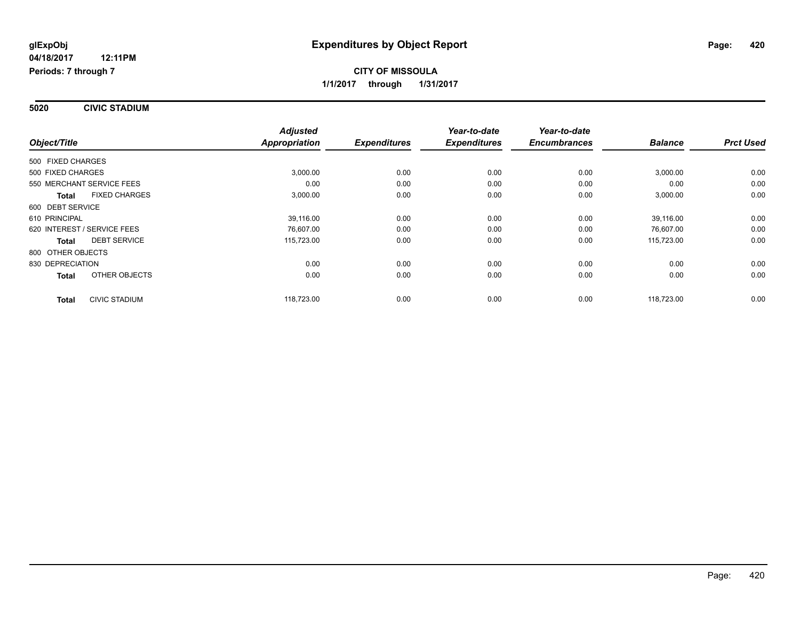**5020 CIVIC STADIUM**

|                                      | <b>Adjusted</b>      |                     | Year-to-date        | Year-to-date        |                |                  |
|--------------------------------------|----------------------|---------------------|---------------------|---------------------|----------------|------------------|
| Object/Title                         | <b>Appropriation</b> | <b>Expenditures</b> | <b>Expenditures</b> | <b>Encumbrances</b> | <b>Balance</b> | <b>Prct Used</b> |
| 500 FIXED CHARGES                    |                      |                     |                     |                     |                |                  |
| 500 FIXED CHARGES                    | 3,000.00             | 0.00                | 0.00                | 0.00                | 3,000.00       | 0.00             |
| 550 MERCHANT SERVICE FEES            | 0.00                 | 0.00                | 0.00                | 0.00                | 0.00           | 0.00             |
| <b>FIXED CHARGES</b><br><b>Total</b> | 3,000.00             | 0.00                | 0.00                | 0.00                | 3,000.00       | 0.00             |
| 600 DEBT SERVICE                     |                      |                     |                     |                     |                |                  |
| 610 PRINCIPAL                        | 39,116.00            | 0.00                | 0.00                | 0.00                | 39,116.00      | 0.00             |
| 620 INTEREST / SERVICE FEES          | 76,607.00            | 0.00                | 0.00                | 0.00                | 76,607.00      | 0.00             |
| <b>DEBT SERVICE</b><br><b>Total</b>  | 115,723.00           | 0.00                | 0.00                | 0.00                | 115,723.00     | 0.00             |
| 800 OTHER OBJECTS                    |                      |                     |                     |                     |                |                  |
| 830 DEPRECIATION                     | 0.00                 | 0.00                | 0.00                | 0.00                | 0.00           | 0.00             |
| OTHER OBJECTS<br><b>Total</b>        | 0.00                 | 0.00                | 0.00                | 0.00                | 0.00           | 0.00             |
| CIVIC STADIUM<br><b>Total</b>        | 118,723.00           | 0.00                | 0.00                | 0.00                | 118,723.00     | 0.00             |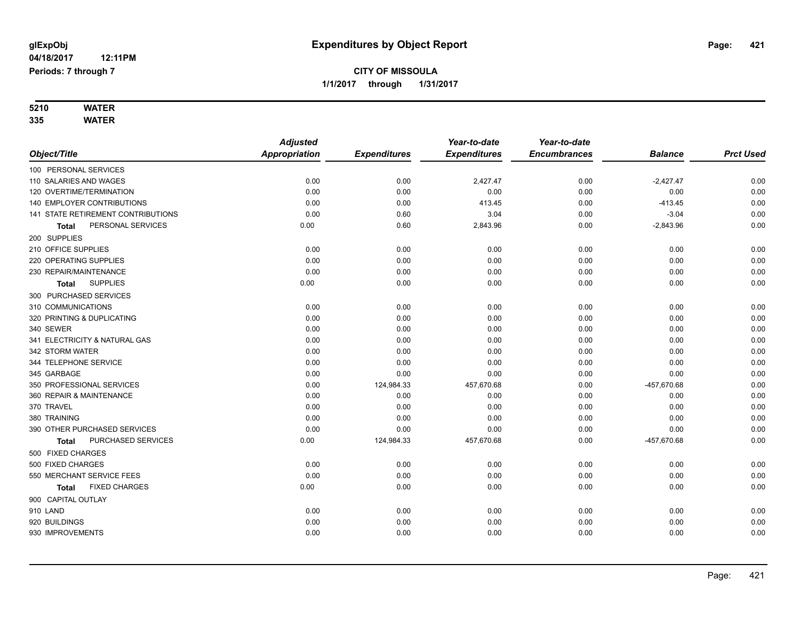#### **5210 WATER 335 WATER**

|                                    | <b>Adjusted</b> |                     | Year-to-date        | Year-to-date        |                |                  |
|------------------------------------|-----------------|---------------------|---------------------|---------------------|----------------|------------------|
| Object/Title                       | Appropriation   | <b>Expenditures</b> | <b>Expenditures</b> | <b>Encumbrances</b> | <b>Balance</b> | <b>Prct Used</b> |
| 100 PERSONAL SERVICES              |                 |                     |                     |                     |                |                  |
| 110 SALARIES AND WAGES             | 0.00            | 0.00                | 2,427.47            | 0.00                | $-2,427.47$    | 0.00             |
| 120 OVERTIME/TERMINATION           | 0.00            | 0.00                | 0.00                | 0.00                | 0.00           | 0.00             |
| 140 EMPLOYER CONTRIBUTIONS         | 0.00            | 0.00                | 413.45              | 0.00                | $-413.45$      | 0.00             |
| 141 STATE RETIREMENT CONTRIBUTIONS | 0.00            | 0.60                | 3.04                | 0.00                | $-3.04$        | 0.00             |
| PERSONAL SERVICES<br>Total         | 0.00            | 0.60                | 2,843.96            | 0.00                | $-2,843.96$    | 0.00             |
| 200 SUPPLIES                       |                 |                     |                     |                     |                |                  |
| 210 OFFICE SUPPLIES                | 0.00            | 0.00                | 0.00                | 0.00                | 0.00           | 0.00             |
| 220 OPERATING SUPPLIES             | 0.00            | 0.00                | 0.00                | 0.00                | 0.00           | 0.00             |
| 230 REPAIR/MAINTENANCE             | 0.00            | 0.00                | 0.00                | 0.00                | 0.00           | 0.00             |
| <b>SUPPLIES</b><br><b>Total</b>    | 0.00            | 0.00                | 0.00                | 0.00                | 0.00           | 0.00             |
| 300 PURCHASED SERVICES             |                 |                     |                     |                     |                |                  |
| 310 COMMUNICATIONS                 | 0.00            | 0.00                | 0.00                | 0.00                | 0.00           | 0.00             |
| 320 PRINTING & DUPLICATING         | 0.00            | 0.00                | 0.00                | 0.00                | 0.00           | 0.00             |
| 340 SEWER                          | 0.00            | 0.00                | 0.00                | 0.00                | 0.00           | 0.00             |
| 341 ELECTRICITY & NATURAL GAS      | 0.00            | 0.00                | 0.00                | 0.00                | 0.00           | 0.00             |
| 342 STORM WATER                    | 0.00            | 0.00                | 0.00                | 0.00                | 0.00           | 0.00             |
| 344 TELEPHONE SERVICE              | 0.00            | 0.00                | 0.00                | 0.00                | 0.00           | 0.00             |
| 345 GARBAGE                        | 0.00            | 0.00                | 0.00                | 0.00                | 0.00           | 0.00             |
| 350 PROFESSIONAL SERVICES          | 0.00            | 124,984.33          | 457,670.68          | 0.00                | -457,670.68    | 0.00             |
| 360 REPAIR & MAINTENANCE           | 0.00            | 0.00                | 0.00                | 0.00                | 0.00           | 0.00             |
| 370 TRAVEL                         | 0.00            | 0.00                | 0.00                | 0.00                | 0.00           | 0.00             |
| 380 TRAINING                       | 0.00            | 0.00                | 0.00                | 0.00                | 0.00           | 0.00             |
| 390 OTHER PURCHASED SERVICES       | 0.00            | 0.00                | 0.00                | 0.00                | 0.00           | 0.00             |
| PURCHASED SERVICES<br><b>Total</b> | 0.00            | 124,984.33          | 457,670.68          | 0.00                | -457,670.68    | 0.00             |
| 500 FIXED CHARGES                  |                 |                     |                     |                     |                |                  |
| 500 FIXED CHARGES                  | 0.00            | 0.00                | 0.00                | 0.00                | 0.00           | 0.00             |
| 550 MERCHANT SERVICE FEES          | 0.00            | 0.00                | 0.00                | 0.00                | 0.00           | 0.00             |
| <b>FIXED CHARGES</b><br>Total      | 0.00            | 0.00                | 0.00                | 0.00                | 0.00           | 0.00             |
| 900 CAPITAL OUTLAY                 |                 |                     |                     |                     |                |                  |
| 910 LAND                           | 0.00            | 0.00                | 0.00                | 0.00                | 0.00           | 0.00             |
| 920 BUILDINGS                      | 0.00            | 0.00                | 0.00                | 0.00                | 0.00           | 0.00             |
| 930 IMPROVEMENTS                   | 0.00            | 0.00                | 0.00                | 0.00                | 0.00           | 0.00             |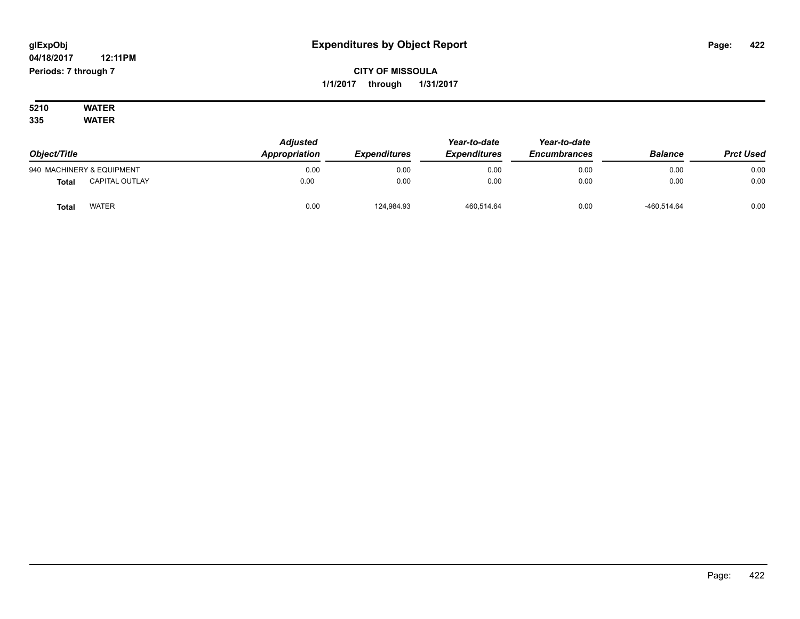# **CITY OF MISSOULA 1/1/2017 through 1/31/2017**

#### **5210 WATER 335 WATER**

| Object/Title |                           | <b>Adjusted</b><br>Appropriation | <b>Expenditures</b> | Year-to-date<br><b>Expenditures</b> | Year-to-date<br><b>Encumbrances</b> | <b>Balance</b> | <b>Prct Used</b> |
|--------------|---------------------------|----------------------------------|---------------------|-------------------------------------|-------------------------------------|----------------|------------------|
|              | 940 MACHINERY & EQUIPMENT | 0.00                             | 0.00                | 0.00                                | 0.00                                | 0.00           | 0.00             |
| <b>Total</b> | <b>CAPITAL OUTLAY</b>     | 0.00                             | 0.00                | 0.00                                | 0.00                                | 0.00           | 0.00             |
| <b>Total</b> | <b>WATER</b>              | 0.00                             | 124,984.93          | 460.514.64                          | 0.00                                | -460.514.64    | 0.00             |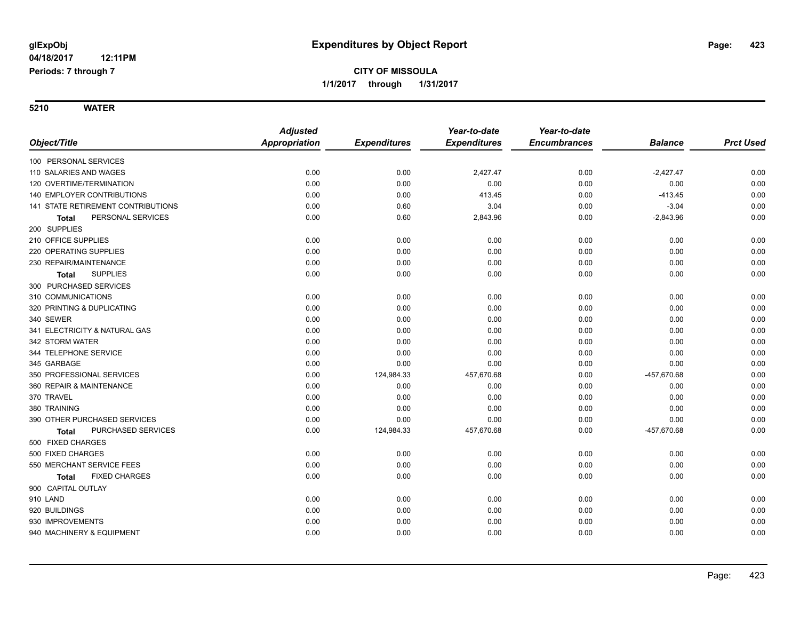|                                      | <b>Adjusted</b>      |                     | Year-to-date        | Year-to-date        |                |                  |
|--------------------------------------|----------------------|---------------------|---------------------|---------------------|----------------|------------------|
| Object/Title                         | <b>Appropriation</b> | <b>Expenditures</b> | <b>Expenditures</b> | <b>Encumbrances</b> | <b>Balance</b> | <b>Prct Used</b> |
| 100 PERSONAL SERVICES                |                      |                     |                     |                     |                |                  |
| 110 SALARIES AND WAGES               | 0.00                 | 0.00                | 2,427.47            | 0.00                | $-2,427.47$    | 0.00             |
| 120 OVERTIME/TERMINATION             | 0.00                 | 0.00                | 0.00                | 0.00                | 0.00           | 0.00             |
| 140 EMPLOYER CONTRIBUTIONS           | 0.00                 | 0.00                | 413.45              | 0.00                | $-413.45$      | 0.00             |
| 141 STATE RETIREMENT CONTRIBUTIONS   | 0.00                 | 0.60                | 3.04                | 0.00                | $-3.04$        | 0.00             |
| PERSONAL SERVICES<br><b>Total</b>    | 0.00                 | 0.60                | 2,843.96            | 0.00                | $-2,843.96$    | 0.00             |
| 200 SUPPLIES                         |                      |                     |                     |                     |                |                  |
| 210 OFFICE SUPPLIES                  | 0.00                 | 0.00                | 0.00                | 0.00                | 0.00           | 0.00             |
| 220 OPERATING SUPPLIES               | 0.00                 | 0.00                | 0.00                | 0.00                | 0.00           | 0.00             |
| 230 REPAIR/MAINTENANCE               | 0.00                 | 0.00                | 0.00                | 0.00                | 0.00           | 0.00             |
| <b>SUPPLIES</b><br>Total             | 0.00                 | 0.00                | 0.00                | 0.00                | 0.00           | 0.00             |
| 300 PURCHASED SERVICES               |                      |                     |                     |                     |                |                  |
| 310 COMMUNICATIONS                   | 0.00                 | 0.00                | 0.00                | 0.00                | 0.00           | 0.00             |
| 320 PRINTING & DUPLICATING           | 0.00                 | 0.00                | 0.00                | 0.00                | 0.00           | 0.00             |
| 340 SEWER                            | 0.00                 | 0.00                | 0.00                | 0.00                | 0.00           | 0.00             |
| 341 ELECTRICITY & NATURAL GAS        | 0.00                 | 0.00                | 0.00                | 0.00                | 0.00           | 0.00             |
| 342 STORM WATER                      | 0.00                 | 0.00                | 0.00                | 0.00                | 0.00           | 0.00             |
| 344 TELEPHONE SERVICE                | 0.00                 | 0.00                | 0.00                | 0.00                | 0.00           | 0.00             |
| 345 GARBAGE                          | 0.00                 | 0.00                | 0.00                | 0.00                | 0.00           | 0.00             |
| 350 PROFESSIONAL SERVICES            | 0.00                 | 124,984.33          | 457,670.68          | 0.00                | -457,670.68    | 0.00             |
| 360 REPAIR & MAINTENANCE             | 0.00                 | 0.00                | 0.00                | 0.00                | 0.00           | 0.00             |
| 370 TRAVEL                           | 0.00                 | 0.00                | 0.00                | 0.00                | 0.00           | 0.00             |
| 380 TRAINING                         | 0.00                 | 0.00                | 0.00                | 0.00                | 0.00           | 0.00             |
| 390 OTHER PURCHASED SERVICES         | 0.00                 | 0.00                | 0.00                | 0.00                | 0.00           | 0.00             |
| PURCHASED SERVICES<br><b>Total</b>   | 0.00                 | 124,984.33          | 457,670.68          | 0.00                | -457,670.68    | 0.00             |
| 500 FIXED CHARGES                    |                      |                     |                     |                     |                |                  |
| 500 FIXED CHARGES                    | 0.00                 | 0.00                | 0.00                | 0.00                | 0.00           | 0.00             |
| 550 MERCHANT SERVICE FEES            | 0.00                 | 0.00                | 0.00                | 0.00                | 0.00           | 0.00             |
| <b>FIXED CHARGES</b><br><b>Total</b> | 0.00                 | 0.00                | 0.00                | 0.00                | 0.00           | 0.00             |
| 900 CAPITAL OUTLAY                   |                      |                     |                     |                     |                |                  |
| 910 LAND                             | 0.00                 | 0.00                | 0.00                | 0.00                | 0.00           | 0.00             |
| 920 BUILDINGS                        | 0.00                 | 0.00                | 0.00                | 0.00                | 0.00           | 0.00             |
| 930 IMPROVEMENTS                     | 0.00                 | 0.00                | 0.00                | 0.00                | 0.00           | 0.00             |
| 940 MACHINERY & EQUIPMENT            | 0.00                 | 0.00                | 0.00                | 0.00                | 0.00           | 0.00             |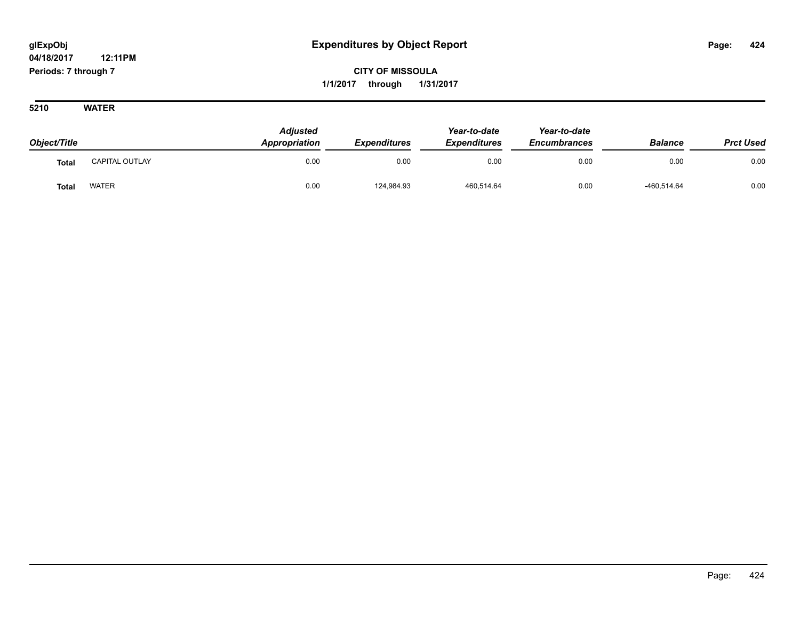**CITY OF MISSOULA 1/1/2017 through 1/31/2017**

| Object/Title |                       | <b>Adjusted</b><br><b>Appropriation</b> | <b>Expenditures</b> | Year-to-date<br><b>Expenditures</b> | Year-to-date<br><b>Encumbrances</b> | <b>Balance</b> | <b>Prct Used</b> |
|--------------|-----------------------|-----------------------------------------|---------------------|-------------------------------------|-------------------------------------|----------------|------------------|
| <b>Total</b> | <b>CAPITAL OUTLAY</b> | 0.00                                    | 0.00                | 0.00                                | 0.00                                | 0.00           | 0.00             |
| <b>Total</b> | <b>WATER</b>          | 0.00                                    | 124,984.93          | 460,514.64                          | 0.00                                | $-460,514.64$  | 0.00             |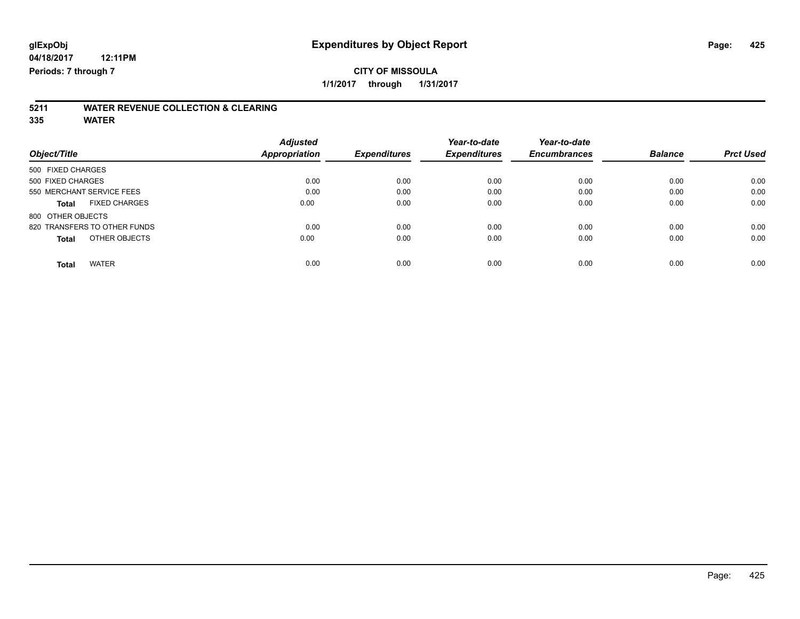# **5211 WATER REVENUE COLLECTION & CLEARING**

|                                      | <b>Adjusted</b> |                     | Year-to-date        | Year-to-date        |                |                  |
|--------------------------------------|-----------------|---------------------|---------------------|---------------------|----------------|------------------|
| Object/Title                         | Appropriation   | <b>Expenditures</b> | <b>Expenditures</b> | <b>Encumbrances</b> | <b>Balance</b> | <b>Prct Used</b> |
| 500 FIXED CHARGES                    |                 |                     |                     |                     |                |                  |
| 500 FIXED CHARGES                    | 0.00            | 0.00                | 0.00                | 0.00                | 0.00           | 0.00             |
| 550 MERCHANT SERVICE FEES            | 0.00            | 0.00                | 0.00                | 0.00                | 0.00           | 0.00             |
| <b>FIXED CHARGES</b><br><b>Total</b> | 0.00            | 0.00                | 0.00                | 0.00                | 0.00           | 0.00             |
| 800 OTHER OBJECTS                    |                 |                     |                     |                     |                |                  |
| 820 TRANSFERS TO OTHER FUNDS         | 0.00            | 0.00                | 0.00                | 0.00                | 0.00           | 0.00             |
| OTHER OBJECTS<br><b>Total</b>        | 0.00            | 0.00                | 0.00                | 0.00                | 0.00           | 0.00             |
| <b>WATER</b><br>Total                | 0.00            | 0.00                | 0.00                | 0.00                | 0.00           | 0.00             |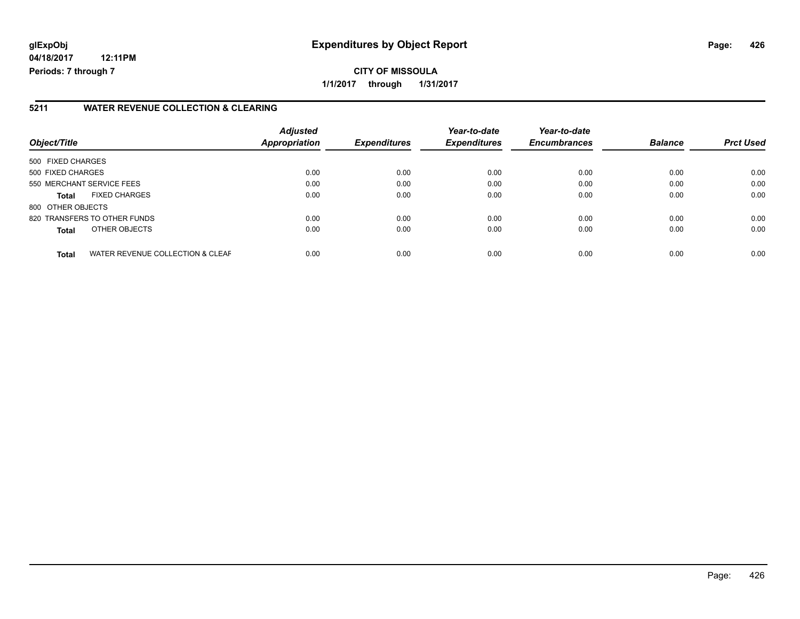# **glExpObj Expenditures by Object Report Page: 426**

**04/18/2017 12:11PM Periods: 7 through 7**

**CITY OF MISSOULA 1/1/2017 through 1/31/2017**

### **5211 WATER REVENUE COLLECTION & CLEARING**

| Object/Title                                     | <b>Adjusted</b><br>Appropriation | <b>Expenditures</b> | Year-to-date<br><b>Expenditures</b> | Year-to-date<br><b>Encumbrances</b> | <b>Balance</b> | <b>Prct Used</b> |
|--------------------------------------------------|----------------------------------|---------------------|-------------------------------------|-------------------------------------|----------------|------------------|
| 500 FIXED CHARGES                                |                                  |                     |                                     |                                     |                |                  |
| 500 FIXED CHARGES                                | 0.00                             | 0.00                | 0.00                                | 0.00                                | 0.00           | 0.00             |
| 550 MERCHANT SERVICE FEES                        | 0.00                             | 0.00                | 0.00                                | 0.00                                | 0.00           | 0.00             |
| <b>FIXED CHARGES</b><br><b>Total</b>             | 0.00                             | 0.00                | 0.00                                | 0.00                                | 0.00           | 0.00             |
| 800 OTHER OBJECTS                                |                                  |                     |                                     |                                     |                |                  |
| 820 TRANSFERS TO OTHER FUNDS                     | 0.00                             | 0.00                | 0.00                                | 0.00                                | 0.00           | 0.00             |
| OTHER OBJECTS<br><b>Total</b>                    | 0.00                             | 0.00                | 0.00                                | 0.00                                | 0.00           | 0.00             |
| WATER REVENUE COLLECTION & CLEAF<br><b>Total</b> | 0.00                             | 0.00                | 0.00                                | 0.00                                | 0.00           | 0.00             |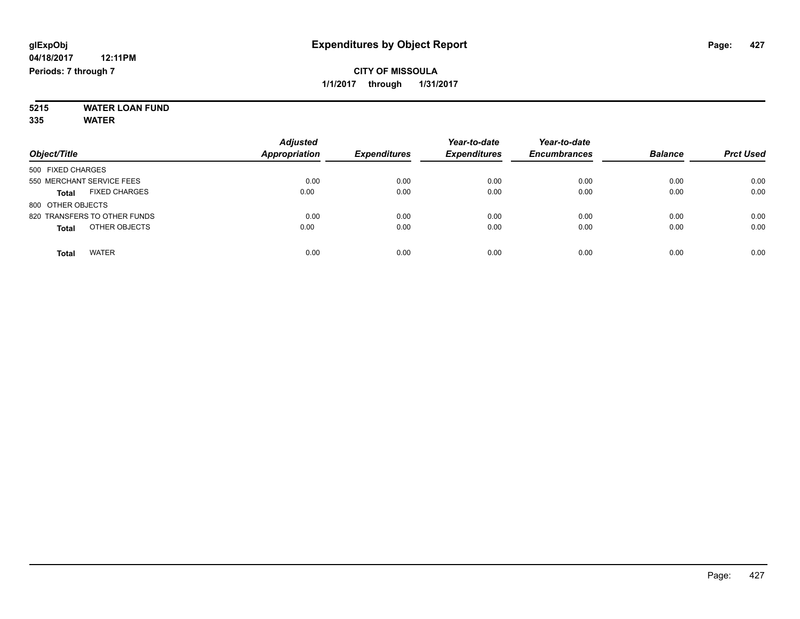#### **5215 WATER LOAN FUND 335 WATER**

| Object/Title                         | <b>Adjusted</b><br><b>Appropriation</b> | <b>Expenditures</b> | Year-to-date<br><b>Expenditures</b> | Year-to-date<br><b>Encumbrances</b> | <b>Balance</b> | <b>Prct Used</b> |
|--------------------------------------|-----------------------------------------|---------------------|-------------------------------------|-------------------------------------|----------------|------------------|
| 500 FIXED CHARGES                    |                                         |                     |                                     |                                     |                |                  |
| 550 MERCHANT SERVICE FEES            | 0.00                                    | 0.00                | 0.00                                | 0.00                                | 0.00           | 0.00             |
| <b>FIXED CHARGES</b><br><b>Total</b> | 0.00                                    | 0.00                | 0.00                                | 0.00                                | 0.00           | 0.00             |
| 800 OTHER OBJECTS                    |                                         |                     |                                     |                                     |                |                  |
| 820 TRANSFERS TO OTHER FUNDS         | 0.00                                    | 0.00                | 0.00                                | 0.00                                | 0.00           | 0.00             |
| OTHER OBJECTS<br><b>Total</b>        | 0.00                                    | 0.00                | 0.00                                | 0.00                                | 0.00           | 0.00             |
| <b>WATER</b><br>Total                | 0.00                                    | 0.00                | 0.00                                | 0.00                                | 0.00           | 0.00             |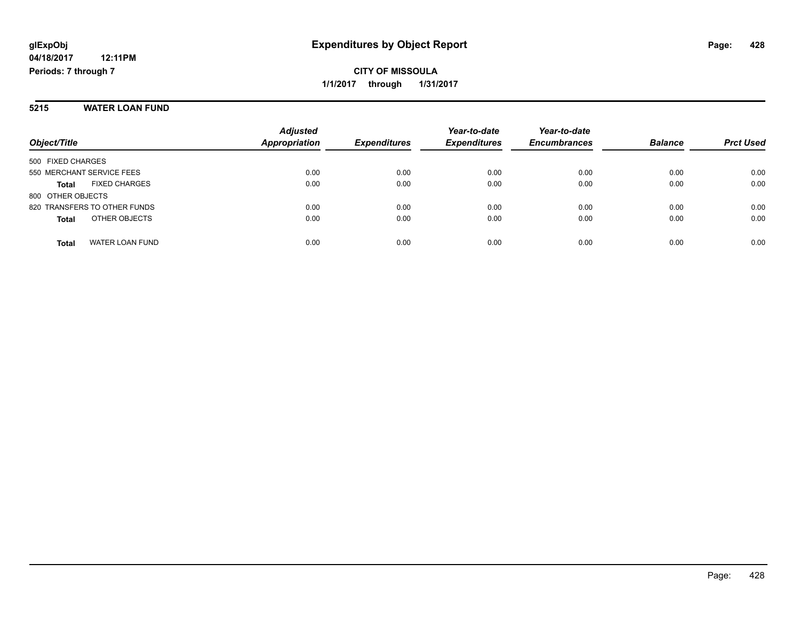**CITY OF MISSOULA 1/1/2017 through 1/31/2017**

#### **5215 WATER LOAN FUND**

| Object/Title                         | <b>Adjusted</b><br>Appropriation | <b>Expenditures</b> | Year-to-date<br><b>Expenditures</b> | Year-to-date<br><b>Encumbrances</b> | <b>Balance</b> | <b>Prct Used</b> |
|--------------------------------------|----------------------------------|---------------------|-------------------------------------|-------------------------------------|----------------|------------------|
| 500 FIXED CHARGES                    |                                  |                     |                                     |                                     |                |                  |
| 550 MERCHANT SERVICE FEES            | 0.00                             | 0.00                | 0.00                                | 0.00                                | 0.00           | 0.00             |
| <b>FIXED CHARGES</b><br><b>Total</b> | 0.00                             | 0.00                | 0.00                                | 0.00                                | 0.00           | 0.00             |
| 800 OTHER OBJECTS                    |                                  |                     |                                     |                                     |                |                  |
| 820 TRANSFERS TO OTHER FUNDS         | 0.00                             | 0.00                | 0.00                                | 0.00                                | 0.00           | 0.00             |
| OTHER OBJECTS<br><b>Total</b>        | 0.00                             | 0.00                | 0.00                                | 0.00                                | 0.00           | 0.00             |
| WATER LOAN FUND<br><b>Total</b>      | 0.00                             | 0.00                | 0.00                                | 0.00                                | 0.00           | 0.00             |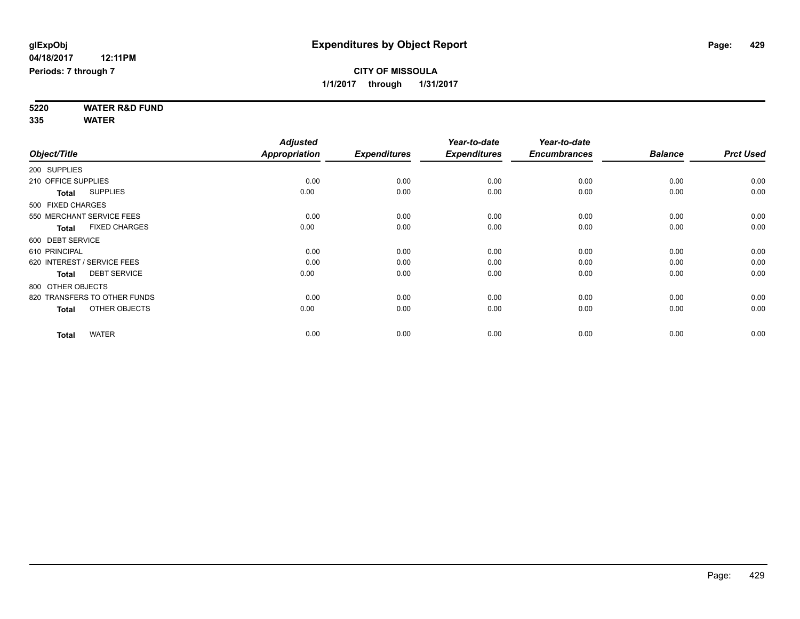**5220 WATER R&D FUND 335 WATER**

|                     |                              | <b>Adjusted</b>      |                     | Year-to-date        | Year-to-date        |                |                  |
|---------------------|------------------------------|----------------------|---------------------|---------------------|---------------------|----------------|------------------|
| Object/Title        |                              | <b>Appropriation</b> | <b>Expenditures</b> | <b>Expenditures</b> | <b>Encumbrances</b> | <b>Balance</b> | <b>Prct Used</b> |
| 200 SUPPLIES        |                              |                      |                     |                     |                     |                |                  |
| 210 OFFICE SUPPLIES |                              | 0.00                 | 0.00                | 0.00                | 0.00                | 0.00           | 0.00             |
| <b>Total</b>        | <b>SUPPLIES</b>              | 0.00                 | 0.00                | 0.00                | 0.00                | 0.00           | 0.00             |
| 500 FIXED CHARGES   |                              |                      |                     |                     |                     |                |                  |
|                     | 550 MERCHANT SERVICE FEES    | 0.00                 | 0.00                | 0.00                | 0.00                | 0.00           | 0.00             |
| <b>Total</b>        | <b>FIXED CHARGES</b>         | 0.00                 | 0.00                | 0.00                | 0.00                | 0.00           | 0.00             |
| 600 DEBT SERVICE    |                              |                      |                     |                     |                     |                |                  |
| 610 PRINCIPAL       |                              | 0.00                 | 0.00                | 0.00                | 0.00                | 0.00           | 0.00             |
|                     | 620 INTEREST / SERVICE FEES  | 0.00                 | 0.00                | 0.00                | 0.00                | 0.00           | 0.00             |
| <b>Total</b>        | <b>DEBT SERVICE</b>          | 0.00                 | 0.00                | 0.00                | 0.00                | 0.00           | 0.00             |
| 800 OTHER OBJECTS   |                              |                      |                     |                     |                     |                |                  |
|                     | 820 TRANSFERS TO OTHER FUNDS | 0.00                 | 0.00                | 0.00                | 0.00                | 0.00           | 0.00             |
| <b>Total</b>        | OTHER OBJECTS                | 0.00                 | 0.00                | 0.00                | 0.00                | 0.00           | 0.00             |
| <b>Total</b>        | <b>WATER</b>                 | 0.00                 | 0.00                | 0.00                | 0.00                | 0.00           | 0.00             |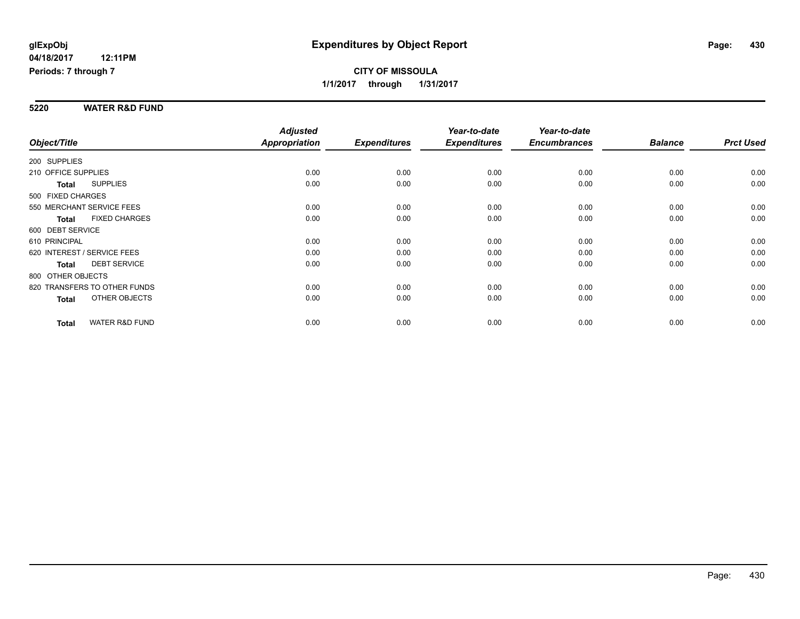#### **5220 WATER R&D FUND**

| Object/Title                              | <b>Adjusted</b><br><b>Appropriation</b> | <b>Expenditures</b> | Year-to-date<br><b>Expenditures</b> | Year-to-date<br><b>Encumbrances</b> | <b>Balance</b> | <b>Prct Used</b> |
|-------------------------------------------|-----------------------------------------|---------------------|-------------------------------------|-------------------------------------|----------------|------------------|
|                                           |                                         |                     |                                     |                                     |                |                  |
| 200 SUPPLIES                              |                                         |                     |                                     |                                     |                |                  |
| 210 OFFICE SUPPLIES                       | 0.00                                    | 0.00                | 0.00                                | 0.00                                | 0.00           | 0.00             |
| <b>SUPPLIES</b><br><b>Total</b>           | 0.00                                    | 0.00                | 0.00                                | 0.00                                | 0.00           | 0.00             |
| 500 FIXED CHARGES                         |                                         |                     |                                     |                                     |                |                  |
| 550 MERCHANT SERVICE FEES                 | 0.00                                    | 0.00                | 0.00                                | 0.00                                | 0.00           | 0.00             |
| <b>FIXED CHARGES</b><br><b>Total</b>      | 0.00                                    | 0.00                | 0.00                                | 0.00                                | 0.00           | 0.00             |
| 600 DEBT SERVICE                          |                                         |                     |                                     |                                     |                |                  |
| 610 PRINCIPAL                             | 0.00                                    | 0.00                | 0.00                                | 0.00                                | 0.00           | 0.00             |
| 620 INTEREST / SERVICE FEES               | 0.00                                    | 0.00                | 0.00                                | 0.00                                | 0.00           | 0.00             |
| <b>DEBT SERVICE</b><br><b>Total</b>       | 0.00                                    | 0.00                | 0.00                                | 0.00                                | 0.00           | 0.00             |
| 800 OTHER OBJECTS                         |                                         |                     |                                     |                                     |                |                  |
| 820 TRANSFERS TO OTHER FUNDS              | 0.00                                    | 0.00                | 0.00                                | 0.00                                | 0.00           | 0.00             |
| OTHER OBJECTS<br>Total                    | 0.00                                    | 0.00                | 0.00                                | 0.00                                | 0.00           | 0.00             |
|                                           |                                         |                     |                                     |                                     |                |                  |
| <b>WATER R&amp;D FUND</b><br><b>Total</b> | 0.00                                    | 0.00                | 0.00                                | 0.00                                | 0.00           | 0.00             |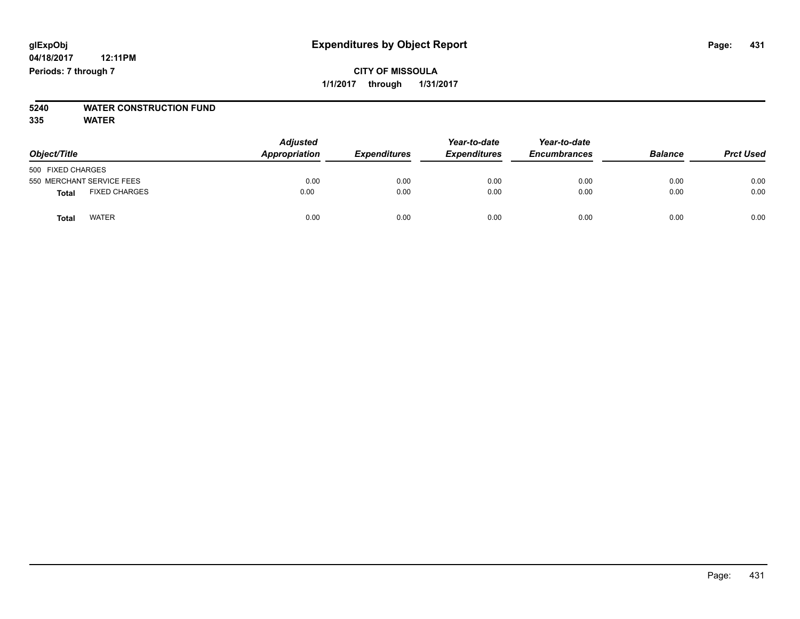# **CITY OF MISSOULA 1/1/2017 through 1/31/2017**

# **5240 WATER CONSTRUCTION FUND**

| Object/Title                         | <b>Adjusted</b><br>Appropriation | <b>Expenditures</b> | Year-to-date<br><b>Expenditures</b> | Year-to-date<br><b>Encumbrances</b> | <b>Balance</b> | <b>Prct Used</b> |
|--------------------------------------|----------------------------------|---------------------|-------------------------------------|-------------------------------------|----------------|------------------|
| 500 FIXED CHARGES                    |                                  |                     |                                     |                                     |                |                  |
| 550 MERCHANT SERVICE FEES            | 0.00                             | 0.00                | 0.00                                | 0.00                                | 0.00           | 0.00             |
| <b>FIXED CHARGES</b><br><b>Total</b> | 0.00                             | 0.00                | 0.00                                | 0.00                                | 0.00           | 0.00             |
| <b>WATER</b><br>Total                | 0.00                             | 0.00                | 0.00                                | 0.00                                | 0.00           | 0.00             |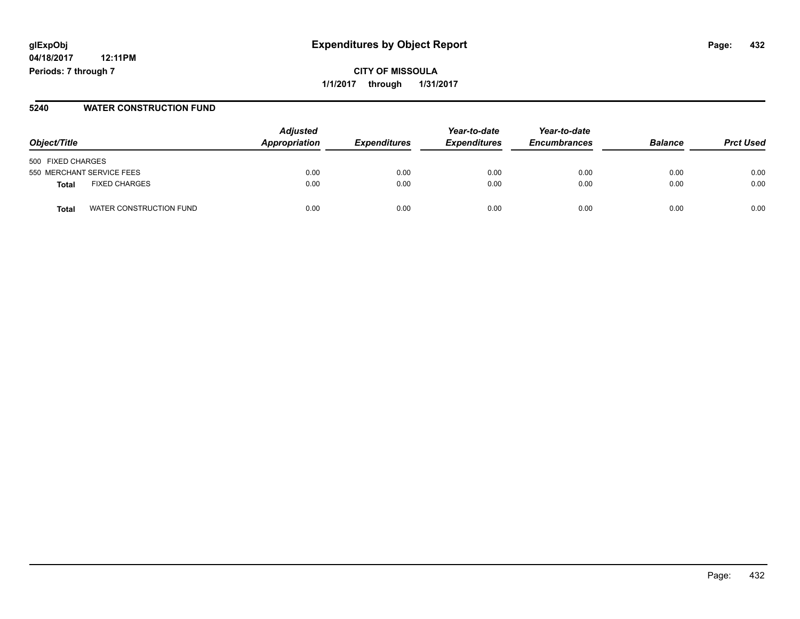**CITY OF MISSOULA 1/1/2017 through 1/31/2017**

#### **5240 WATER CONSTRUCTION FUND**

| Object/Title                         | <b>Adjusted</b><br>Appropriation | <b>Expenditures</b> | Year-to-date<br><b>Expenditures</b> | Year-to-date<br><b>Encumbrances</b> | <b>Balance</b> | <b>Prct Used</b> |
|--------------------------------------|----------------------------------|---------------------|-------------------------------------|-------------------------------------|----------------|------------------|
| 500 FIXED CHARGES                    |                                  |                     |                                     |                                     |                |                  |
| 550 MERCHANT SERVICE FEES            | 0.00                             | 0.00                | 0.00                                | 0.00                                | 0.00           | 0.00             |
| <b>FIXED CHARGES</b><br><b>Total</b> | 0.00                             | 0.00                | 0.00                                | 0.00                                | 0.00           | 0.00             |
| WATER CONSTRUCTION FUND<br>Total     | 0.00                             | 0.00                | 0.00                                | 0.00                                | 0.00           | 0.00             |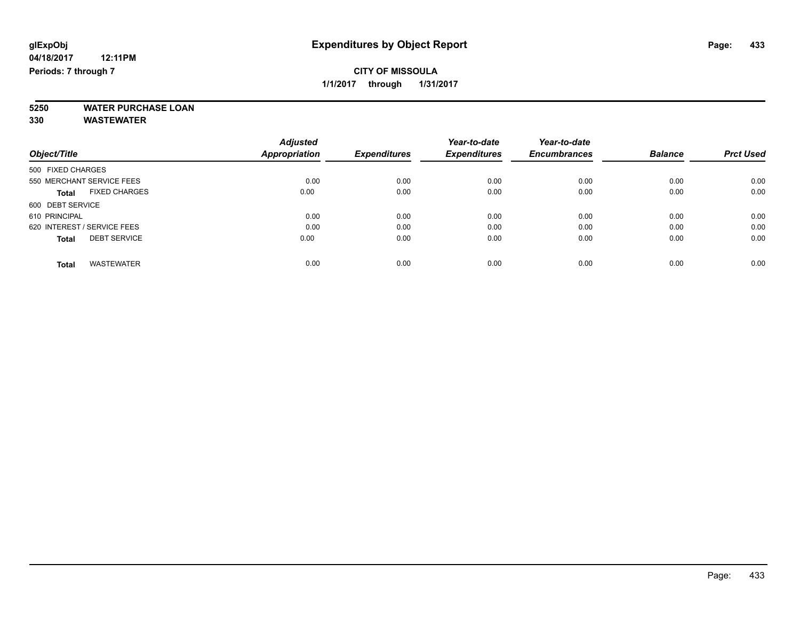**5250 WATER PURCHASE LOAN**

|                                      | <b>Adjusted</b> |                     | Year-to-date        | Year-to-date        |                |                  |
|--------------------------------------|-----------------|---------------------|---------------------|---------------------|----------------|------------------|
| Object/Title                         | Appropriation   | <b>Expenditures</b> | <b>Expenditures</b> | <b>Encumbrances</b> | <b>Balance</b> | <b>Prct Used</b> |
| 500 FIXED CHARGES                    |                 |                     |                     |                     |                |                  |
| 550 MERCHANT SERVICE FEES            | 0.00            | 0.00                | 0.00                | 0.00                | 0.00           | 0.00             |
| <b>FIXED CHARGES</b><br><b>Total</b> | 0.00            | 0.00                | 0.00                | 0.00                | 0.00           | 0.00             |
| 600 DEBT SERVICE                     |                 |                     |                     |                     |                |                  |
| 610 PRINCIPAL                        | 0.00            | 0.00                | 0.00                | 0.00                | 0.00           | 0.00             |
| 620 INTEREST / SERVICE FEES          | 0.00            | 0.00                | 0.00                | 0.00                | 0.00           | 0.00             |
| <b>DEBT SERVICE</b><br><b>Total</b>  | 0.00            | 0.00                | 0.00                | 0.00                | 0.00           | 0.00             |
| <b>WASTEWATER</b><br><b>Total</b>    | 0.00            | 0.00                | 0.00                | 0.00                | 0.00           | 0.00             |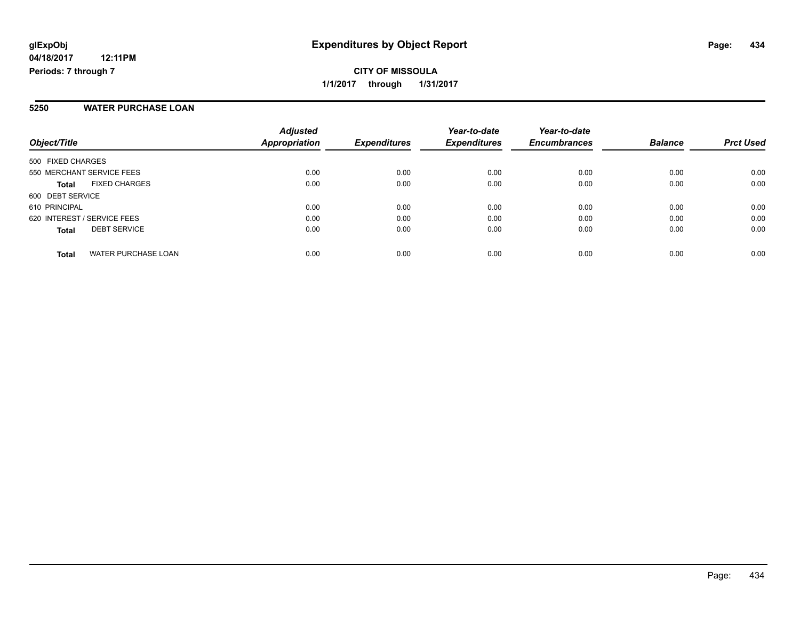**CITY OF MISSOULA 1/1/2017 through 1/31/2017**

### **5250 WATER PURCHASE LOAN**

| Object/Title                               | <b>Adjusted</b><br><b>Appropriation</b> | <b>Expenditures</b> | Year-to-date<br><b>Expenditures</b> | Year-to-date<br><b>Encumbrances</b> | <b>Balance</b> | <b>Prct Used</b> |
|--------------------------------------------|-----------------------------------------|---------------------|-------------------------------------|-------------------------------------|----------------|------------------|
| 500 FIXED CHARGES                          |                                         |                     |                                     |                                     |                |                  |
| 550 MERCHANT SERVICE FEES                  | 0.00                                    | 0.00                | 0.00                                | 0.00                                | 0.00           | 0.00             |
| <b>FIXED CHARGES</b><br><b>Total</b>       | 0.00                                    | 0.00                | 0.00                                | 0.00                                | 0.00           | 0.00             |
| 600 DEBT SERVICE                           |                                         |                     |                                     |                                     |                |                  |
| 610 PRINCIPAL                              | 0.00                                    | 0.00                | 0.00                                | 0.00                                | 0.00           | 0.00             |
| 620 INTEREST / SERVICE FEES                | 0.00                                    | 0.00                | 0.00                                | 0.00                                | 0.00           | 0.00             |
| <b>DEBT SERVICE</b><br><b>Total</b>        | 0.00                                    | 0.00                | 0.00                                | 0.00                                | 0.00           | 0.00             |
| <b>WATER PURCHASE LOAN</b><br><b>Total</b> | 0.00                                    | 0.00                | 0.00                                | 0.00                                | 0.00           | 0.00             |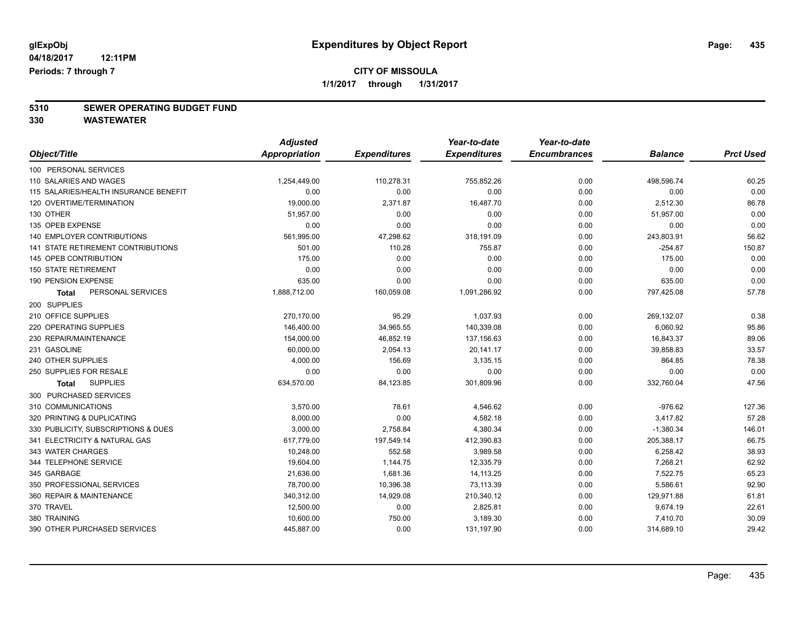**5310 SEWER OPERATING BUDGET FUND**

|                                       | <b>Adjusted</b>      |                     | Year-to-date        | Year-to-date        |                |                  |
|---------------------------------------|----------------------|---------------------|---------------------|---------------------|----------------|------------------|
| Object/Title                          | <b>Appropriation</b> | <b>Expenditures</b> | <b>Expenditures</b> | <b>Encumbrances</b> | <b>Balance</b> | <b>Prct Used</b> |
| 100 PERSONAL SERVICES                 |                      |                     |                     |                     |                |                  |
| 110 SALARIES AND WAGES                | 1,254,449.00         | 110,278.31          | 755,852.26          | 0.00                | 498,596.74     | 60.25            |
| 115 SALARIES/HEALTH INSURANCE BENEFIT | 0.00                 | 0.00                | 0.00                | 0.00                | 0.00           | 0.00             |
| 120 OVERTIME/TERMINATION              | 19,000.00            | 2,371.87            | 16,487.70           | 0.00                | 2,512.30       | 86.78            |
| 130 OTHER                             | 51,957.00            | 0.00                | 0.00                | 0.00                | 51,957.00      | 0.00             |
| 135 OPEB EXPENSE                      | 0.00                 | 0.00                | 0.00                | 0.00                | 0.00           | 0.00             |
| 140 EMPLOYER CONTRIBUTIONS            | 561,995.00           | 47,298.62           | 318,191.09          | 0.00                | 243,803.91     | 56.62            |
| 141 STATE RETIREMENT CONTRIBUTIONS    | 501.00               | 110.28              | 755.87              | 0.00                | $-254.87$      | 150.87           |
| 145 OPEB CONTRIBUTION                 | 175.00               | 0.00                | 0.00                | 0.00                | 175.00         | 0.00             |
| <b>150 STATE RETIREMENT</b>           | 0.00                 | 0.00                | 0.00                | 0.00                | 0.00           | 0.00             |
| 190 PENSION EXPENSE                   | 635.00               | 0.00                | 0.00                | 0.00                | 635.00         | 0.00             |
| PERSONAL SERVICES<br>Total            | 1,888,712.00         | 160,059.08          | 1,091,286.92        | 0.00                | 797,425.08     | 57.78            |
| 200 SUPPLIES                          |                      |                     |                     |                     |                |                  |
| 210 OFFICE SUPPLIES                   | 270,170.00           | 95.29               | 1,037.93            | 0.00                | 269,132.07     | 0.38             |
| 220 OPERATING SUPPLIES                | 146,400.00           | 34,965.55           | 140,339.08          | 0.00                | 6,060.92       | 95.86            |
| 230 REPAIR/MAINTENANCE                | 154,000.00           | 46,852.19           | 137, 156.63         | 0.00                | 16,843.37      | 89.06            |
| 231 GASOLINE                          | 60,000.00            | 2,054.13            | 20,141.17           | 0.00                | 39,858.83      | 33.57            |
| 240 OTHER SUPPLIES                    | 4,000.00             | 156.69              | 3,135.15            | 0.00                | 864.85         | 78.38            |
| 250 SUPPLIES FOR RESALE               | 0.00                 | 0.00                | 0.00                | 0.00                | 0.00           | 0.00             |
| <b>SUPPLIES</b><br><b>Total</b>       | 634,570.00           | 84,123.85           | 301,809.96          | 0.00                | 332,760.04     | 47.56            |
| 300 PURCHASED SERVICES                |                      |                     |                     |                     |                |                  |
| 310 COMMUNICATIONS                    | 3,570.00             | 78.61               | 4,546.62            | 0.00                | $-976.62$      | 127.36           |
| 320 PRINTING & DUPLICATING            | 8,000.00             | 0.00                | 4,582.18            | 0.00                | 3,417.82       | 57.28            |
| 330 PUBLICITY, SUBSCRIPTIONS & DUES   | 3,000.00             | 2,758.84            | 4,380.34            | 0.00                | $-1,380.34$    | 146.01           |
| 341 ELECTRICITY & NATURAL GAS         | 617,779.00           | 197,549.14          | 412,390.83          | 0.00                | 205,388.17     | 66.75            |
| 343 WATER CHARGES                     | 10,248.00            | 552.58              | 3,989.58            | 0.00                | 6,258.42       | 38.93            |
| 344 TELEPHONE SERVICE                 | 19,604.00            | 1,144.75            | 12,335.79           | 0.00                | 7,268.21       | 62.92            |
| 345 GARBAGE                           | 21,636.00            | 1,681.36            | 14, 113. 25         | 0.00                | 7,522.75       | 65.23            |
| 350 PROFESSIONAL SERVICES             | 78,700.00            | 10,396.38           | 73,113.39           | 0.00                | 5,586.61       | 92.90            |
| 360 REPAIR & MAINTENANCE              | 340,312.00           | 14,929.08           | 210,340.12          | 0.00                | 129,971.88     | 61.81            |
| 370 TRAVEL                            | 12,500.00            | 0.00                | 2,825.81            | 0.00                | 9,674.19       | 22.61            |
| 380 TRAINING                          | 10,600.00            | 750.00              | 3,189.30            | 0.00                | 7,410.70       | 30.09            |
| 390 OTHER PURCHASED SERVICES          | 445,887.00           | 0.00                | 131,197.90          | 0.00                | 314,689.10     | 29.42            |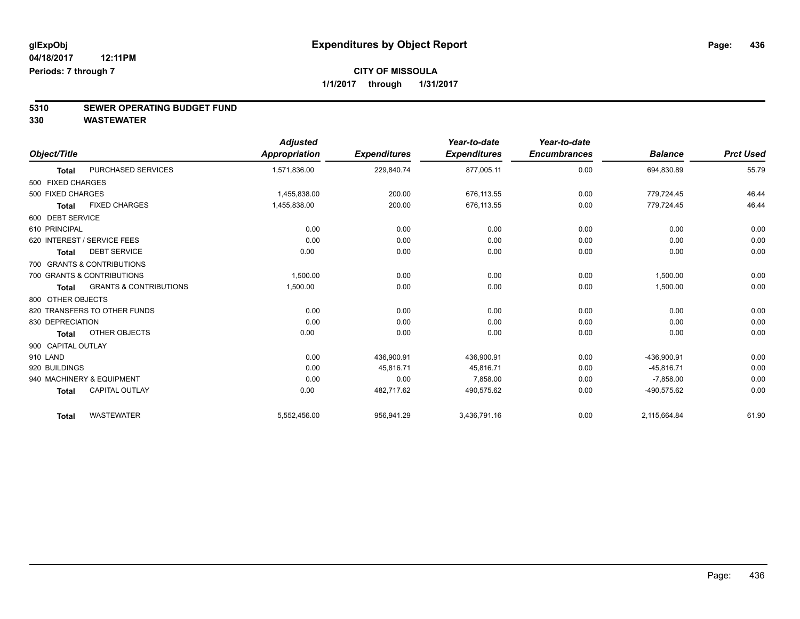# **5310 SEWER OPERATING BUDGET FUND**

|                    |                                   | <b>Adjusted</b> |                     | Year-to-date        | Year-to-date        |                |                  |
|--------------------|-----------------------------------|-----------------|---------------------|---------------------|---------------------|----------------|------------------|
| Object/Title       |                                   | Appropriation   | <b>Expenditures</b> | <b>Expenditures</b> | <b>Encumbrances</b> | <b>Balance</b> | <b>Prct Used</b> |
| <b>Total</b>       | PURCHASED SERVICES                | 1,571,836.00    | 229,840.74          | 877,005.11          | 0.00                | 694,830.89     | 55.79            |
| 500 FIXED CHARGES  |                                   |                 |                     |                     |                     |                |                  |
| 500 FIXED CHARGES  |                                   | 1.455.838.00    | 200.00              | 676.113.55          | 0.00                | 779,724.45     | 46.44            |
| <b>Total</b>       | <b>FIXED CHARGES</b>              | 1,455,838.00    | 200.00              | 676,113.55          | 0.00                | 779,724.45     | 46.44            |
| 600 DEBT SERVICE   |                                   |                 |                     |                     |                     |                |                  |
| 610 PRINCIPAL      |                                   | 0.00            | 0.00                | 0.00                | 0.00                | 0.00           | 0.00             |
|                    | 620 INTEREST / SERVICE FEES       | 0.00            | 0.00                | 0.00                | 0.00                | 0.00           | 0.00             |
| <b>Total</b>       | <b>DEBT SERVICE</b>               | 0.00            | 0.00                | 0.00                | 0.00                | 0.00           | 0.00             |
|                    | 700 GRANTS & CONTRIBUTIONS        |                 |                     |                     |                     |                |                  |
|                    | 700 GRANTS & CONTRIBUTIONS        | 1.500.00        | 0.00                | 0.00                | 0.00                | 1,500.00       | 0.00             |
| Total              | <b>GRANTS &amp; CONTRIBUTIONS</b> | 1,500.00        | 0.00                | 0.00                | 0.00                | 1,500.00       | 0.00             |
| 800 OTHER OBJECTS  |                                   |                 |                     |                     |                     |                |                  |
|                    | 820 TRANSFERS TO OTHER FUNDS      | 0.00            | 0.00                | 0.00                | 0.00                | 0.00           | 0.00             |
| 830 DEPRECIATION   |                                   | 0.00            | 0.00                | 0.00                | 0.00                | 0.00           | 0.00             |
| <b>Total</b>       | OTHER OBJECTS                     | 0.00            | 0.00                | 0.00                | 0.00                | 0.00           | 0.00             |
| 900 CAPITAL OUTLAY |                                   |                 |                     |                     |                     |                |                  |
| 910 LAND           |                                   | 0.00            | 436,900.91          | 436,900.91          | 0.00                | -436,900.91    | 0.00             |
| 920 BUILDINGS      |                                   | 0.00            | 45,816.71           | 45.816.71           | 0.00                | $-45.816.71$   | 0.00             |
|                    | 940 MACHINERY & EQUIPMENT         | 0.00            | 0.00                | 7,858.00            | 0.00                | $-7,858.00$    | 0.00             |
| <b>Total</b>       | <b>CAPITAL OUTLAY</b>             | 0.00            | 482,717.62          | 490,575.62          | 0.00                | -490,575.62    | 0.00             |
| <b>Total</b>       | <b>WASTEWATER</b>                 | 5,552,456.00    | 956,941.29          | 3,436,791.16        | 0.00                | 2,115,664.84   | 61.90            |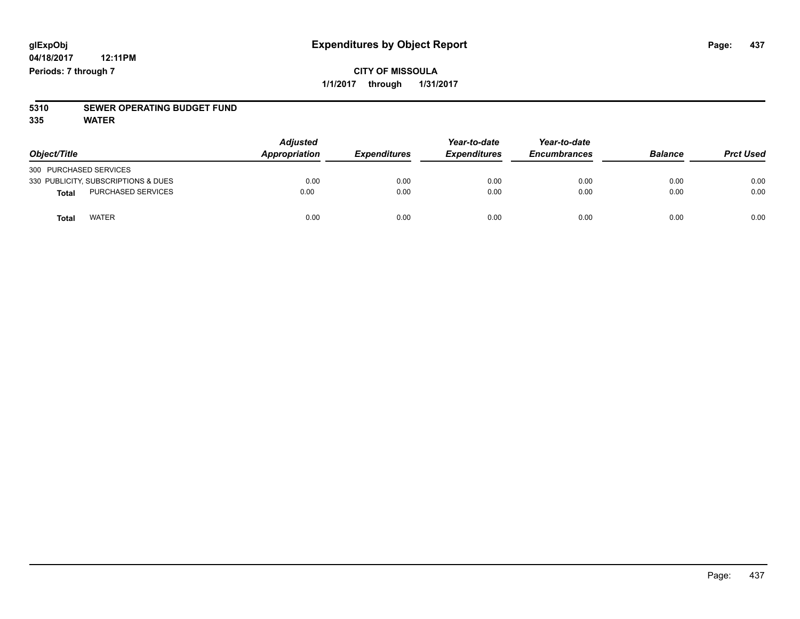# **5310 SEWER OPERATING BUDGET FUND**

**335 WATER**

| Object/Title                        | <b>Adjusted</b><br>Appropriation | <b>Expenditures</b> | Year-to-date<br><b>Expenditures</b> | Year-to-date<br><b>Encumbrances</b> | <b>Balance</b> | <b>Prct Used</b> |
|-------------------------------------|----------------------------------|---------------------|-------------------------------------|-------------------------------------|----------------|------------------|
| 300 PURCHASED SERVICES              |                                  |                     |                                     |                                     |                |                  |
| 330 PUBLICITY, SUBSCRIPTIONS & DUES | 0.00                             | 0.00                | 0.00                                | 0.00                                | 0.00           | 0.00             |
| <b>PURCHASED SERVICES</b><br>Total  | 0.00                             | 0.00                | 0.00                                | 0.00                                | 0.00           | 0.00             |
| <b>WATER</b><br>Total               | 0.00                             | 0.00                | 0.00                                | 0.00                                | 0.00           | 0.00             |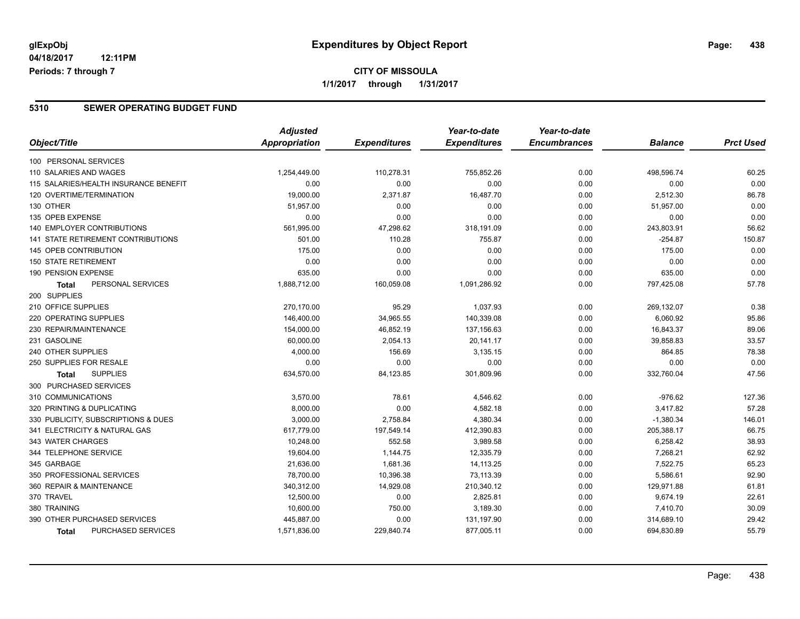### **CITY OF MISSOULA 1/1/2017 through 1/31/2017**

### **5310 SEWER OPERATING BUDGET FUND**

|                                           | <b>Adjusted</b> |                     | Year-to-date        | Year-to-date        |                |                  |
|-------------------------------------------|-----------------|---------------------|---------------------|---------------------|----------------|------------------|
| Object/Title                              | Appropriation   | <b>Expenditures</b> | <b>Expenditures</b> | <b>Encumbrances</b> | <b>Balance</b> | <b>Prct Used</b> |
| 100 PERSONAL SERVICES                     |                 |                     |                     |                     |                |                  |
| 110 SALARIES AND WAGES                    | 1,254,449.00    | 110,278.31          | 755,852.26          | 0.00                | 498,596.74     | 60.25            |
| 115 SALARIES/HEALTH INSURANCE BENEFIT     | 0.00            | 0.00                | 0.00                | 0.00                | 0.00           | 0.00             |
| 120 OVERTIME/TERMINATION                  | 19,000.00       | 2,371.87            | 16,487.70           | 0.00                | 2,512.30       | 86.78            |
| 130 OTHER                                 | 51,957.00       | 0.00                | 0.00                | 0.00                | 51,957.00      | 0.00             |
| 135 OPEB EXPENSE                          | 0.00            | 0.00                | 0.00                | 0.00                | 0.00           | 0.00             |
| 140 EMPLOYER CONTRIBUTIONS                | 561,995.00      | 47,298.62           | 318,191.09          | 0.00                | 243,803.91     | 56.62            |
| 141 STATE RETIREMENT CONTRIBUTIONS        | 501.00          | 110.28              | 755.87              | 0.00                | $-254.87$      | 150.87           |
| 145 OPEB CONTRIBUTION                     | 175.00          | 0.00                | 0.00                | 0.00                | 175.00         | 0.00             |
| <b>150 STATE RETIREMENT</b>               | 0.00            | 0.00                | 0.00                | 0.00                | 0.00           | 0.00             |
| 190 PENSION EXPENSE                       | 635.00          | 0.00                | 0.00                | 0.00                | 635.00         | 0.00             |
| PERSONAL SERVICES<br>Total                | 1,888,712.00    | 160,059.08          | 1,091,286.92        | 0.00                | 797,425.08     | 57.78            |
| 200 SUPPLIES                              |                 |                     |                     |                     |                |                  |
| 210 OFFICE SUPPLIES                       | 270,170.00      | 95.29               | 1,037.93            | 0.00                | 269,132.07     | 0.38             |
| 220 OPERATING SUPPLIES                    | 146,400.00      | 34,965.55           | 140,339.08          | 0.00                | 6,060.92       | 95.86            |
| 230 REPAIR/MAINTENANCE                    | 154,000.00      | 46,852.19           | 137,156.63          | 0.00                | 16,843.37      | 89.06            |
| 231 GASOLINE                              | 60,000.00       | 2,054.13            | 20,141.17           | 0.00                | 39,858.83      | 33.57            |
| 240 OTHER SUPPLIES                        | 4,000.00        | 156.69              | 3,135.15            | 0.00                | 864.85         | 78.38            |
| 250 SUPPLIES FOR RESALE                   | 0.00            | 0.00                | 0.00                | 0.00                | 0.00           | 0.00             |
| <b>SUPPLIES</b><br>Total                  | 634,570.00      | 84,123.85           | 301,809.96          | 0.00                | 332,760.04     | 47.56            |
| 300 PURCHASED SERVICES                    |                 |                     |                     |                     |                |                  |
| 310 COMMUNICATIONS                        | 3,570.00        | 78.61               | 4,546.62            | 0.00                | $-976.62$      | 127.36           |
| 320 PRINTING & DUPLICATING                | 8,000.00        | 0.00                | 4,582.18            | 0.00                | 3,417.82       | 57.28            |
| 330 PUBLICITY, SUBSCRIPTIONS & DUES       | 3,000.00        | 2,758.84            | 4,380.34            | 0.00                | $-1,380.34$    | 146.01           |
| 341 ELECTRICITY & NATURAL GAS             | 617,779.00      | 197,549.14          | 412,390.83          | 0.00                | 205,388.17     | 66.75            |
| 343 WATER CHARGES                         | 10,248.00       | 552.58              | 3,989.58            | 0.00                | 6,258.42       | 38.93            |
| 344 TELEPHONE SERVICE                     | 19,604.00       | 1,144.75            | 12,335.79           | 0.00                | 7,268.21       | 62.92            |
| 345 GARBAGE                               | 21,636.00       | 1,681.36            | 14,113.25           | 0.00                | 7,522.75       | 65.23            |
| 350 PROFESSIONAL SERVICES                 | 78,700.00       | 10,396.38           | 73,113.39           | 0.00                | 5,586.61       | 92.90            |
| 360 REPAIR & MAINTENANCE                  | 340,312.00      | 14,929.08           | 210,340.12          | 0.00                | 129,971.88     | 61.81            |
| 370 TRAVEL                                | 12,500.00       | 0.00                | 2,825.81            | 0.00                | 9,674.19       | 22.61            |
| 380 TRAINING                              | 10,600.00       | 750.00              | 3,189.30            | 0.00                | 7,410.70       | 30.09            |
| 390 OTHER PURCHASED SERVICES              | 445,887.00      | 0.00                | 131,197.90          | 0.00                | 314,689.10     | 29.42            |
| <b>PURCHASED SERVICES</b><br><b>Total</b> | 1,571,836.00    | 229,840.74          | 877,005.11          | 0.00                | 694,830.89     | 55.79            |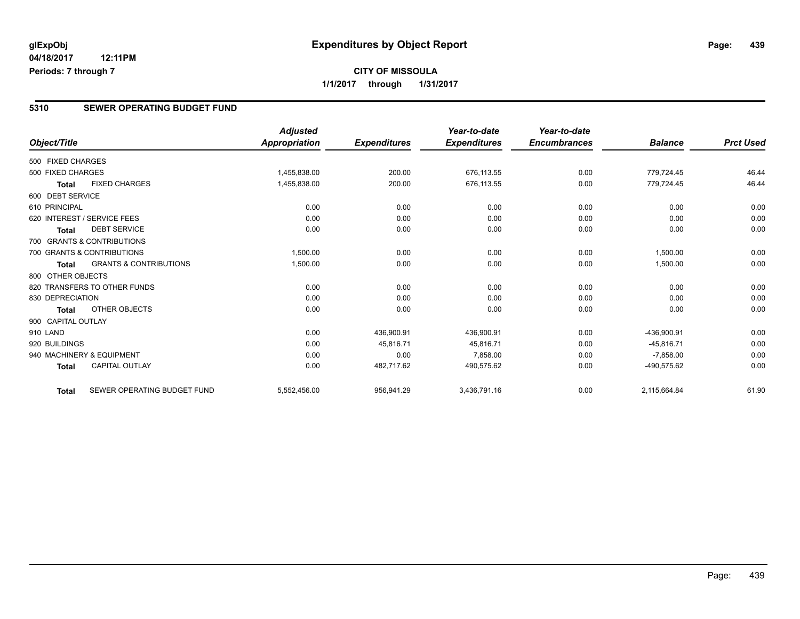### **5310 SEWER OPERATING BUDGET FUND**

|                    |                                   | <b>Adjusted</b> |                     | Year-to-date        | Year-to-date        |                |                  |
|--------------------|-----------------------------------|-----------------|---------------------|---------------------|---------------------|----------------|------------------|
| Object/Title       |                                   | Appropriation   | <b>Expenditures</b> | <b>Expenditures</b> | <b>Encumbrances</b> | <b>Balance</b> | <b>Prct Used</b> |
| 500 FIXED CHARGES  |                                   |                 |                     |                     |                     |                |                  |
| 500 FIXED CHARGES  |                                   | 1.455.838.00    | 200.00              | 676.113.55          | 0.00                | 779.724.45     | 46.44            |
| <b>Total</b>       | <b>FIXED CHARGES</b>              | 1,455,838.00    | 200.00              | 676,113.55          | 0.00                | 779,724.45     | 46.44            |
| 600 DEBT SERVICE   |                                   |                 |                     |                     |                     |                |                  |
| 610 PRINCIPAL      |                                   | 0.00            | 0.00                | 0.00                | 0.00                | 0.00           | 0.00             |
|                    | 620 INTEREST / SERVICE FEES       | 0.00            | 0.00                | 0.00                | 0.00                | 0.00           | 0.00             |
| <b>Total</b>       | <b>DEBT SERVICE</b>               | 0.00            | 0.00                | 0.00                | 0.00                | 0.00           | 0.00             |
|                    | 700 GRANTS & CONTRIBUTIONS        |                 |                     |                     |                     |                |                  |
|                    | 700 GRANTS & CONTRIBUTIONS        | 1,500.00        | 0.00                | 0.00                | 0.00                | 1,500.00       | 0.00             |
| <b>Total</b>       | <b>GRANTS &amp; CONTRIBUTIONS</b> | 1,500.00        | 0.00                | 0.00                | 0.00                | 1,500.00       | 0.00             |
| 800 OTHER OBJECTS  |                                   |                 |                     |                     |                     |                |                  |
|                    | 820 TRANSFERS TO OTHER FUNDS      | 0.00            | 0.00                | 0.00                | 0.00                | 0.00           | 0.00             |
| 830 DEPRECIATION   |                                   | 0.00            | 0.00                | 0.00                | 0.00                | 0.00           | 0.00             |
| <b>Total</b>       | <b>OTHER OBJECTS</b>              | 0.00            | 0.00                | 0.00                | 0.00                | 0.00           | 0.00             |
| 900 CAPITAL OUTLAY |                                   |                 |                     |                     |                     |                |                  |
| 910 LAND           |                                   | 0.00            | 436,900.91          | 436,900.91          | 0.00                | -436,900.91    | 0.00             |
| 920 BUILDINGS      |                                   | 0.00            | 45.816.71           | 45.816.71           | 0.00                | $-45.816.71$   | 0.00             |
|                    | 940 MACHINERY & EQUIPMENT         | 0.00            | 0.00                | 7,858.00            | 0.00                | $-7,858.00$    | 0.00             |
| <b>Total</b>       | <b>CAPITAL OUTLAY</b>             | 0.00            | 482,717.62          | 490,575.62          | 0.00                | -490,575.62    | 0.00             |
| <b>Total</b>       | SEWER OPERATING BUDGET FUND       | 5,552,456.00    | 956,941.29          | 3,436,791.16        | 0.00                | 2,115,664.84   | 61.90            |

Page: 439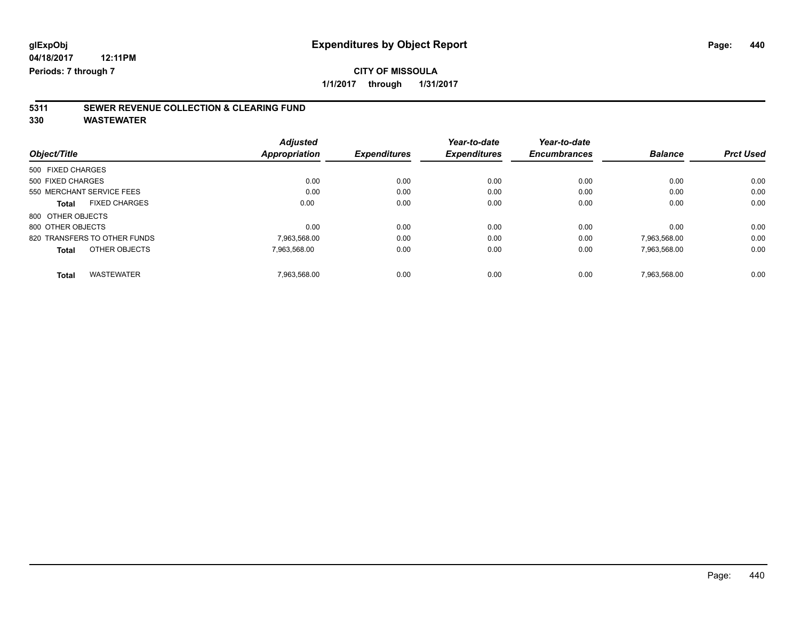# **5311 SEWER REVENUE COLLECTION & CLEARING FUND**

| Object/Title                         | <b>Adjusted</b><br><b>Appropriation</b> | <b>Expenditures</b> | Year-to-date<br><b>Expenditures</b> | Year-to-date<br><b>Encumbrances</b> | <b>Balance</b> | <b>Prct Used</b> |
|--------------------------------------|-----------------------------------------|---------------------|-------------------------------------|-------------------------------------|----------------|------------------|
| 500 FIXED CHARGES                    |                                         |                     |                                     |                                     |                |                  |
| 500 FIXED CHARGES                    | 0.00                                    | 0.00                | 0.00                                | 0.00                                | 0.00           | 0.00             |
| 550 MERCHANT SERVICE FEES            | 0.00                                    | 0.00                | 0.00                                | 0.00                                | 0.00           | 0.00             |
| <b>FIXED CHARGES</b><br><b>Total</b> | 0.00                                    | 0.00                | 0.00                                | 0.00                                | 0.00           | 0.00             |
| 800 OTHER OBJECTS                    |                                         |                     |                                     |                                     |                |                  |
| 800 OTHER OBJECTS                    | 0.00                                    | 0.00                | 0.00                                | 0.00                                | 0.00           | 0.00             |
| 820 TRANSFERS TO OTHER FUNDS         | 7,963,568.00                            | 0.00                | 0.00                                | 0.00                                | 7,963,568.00   | 0.00             |
| OTHER OBJECTS<br><b>Total</b>        | 7.963.568.00                            | 0.00                | 0.00                                | 0.00                                | 7,963,568.00   | 0.00             |
| <b>WASTEWATER</b><br><b>Total</b>    | 7.963.568.00                            | 0.00                | 0.00                                | 0.00                                | 7.963.568.00   | 0.00             |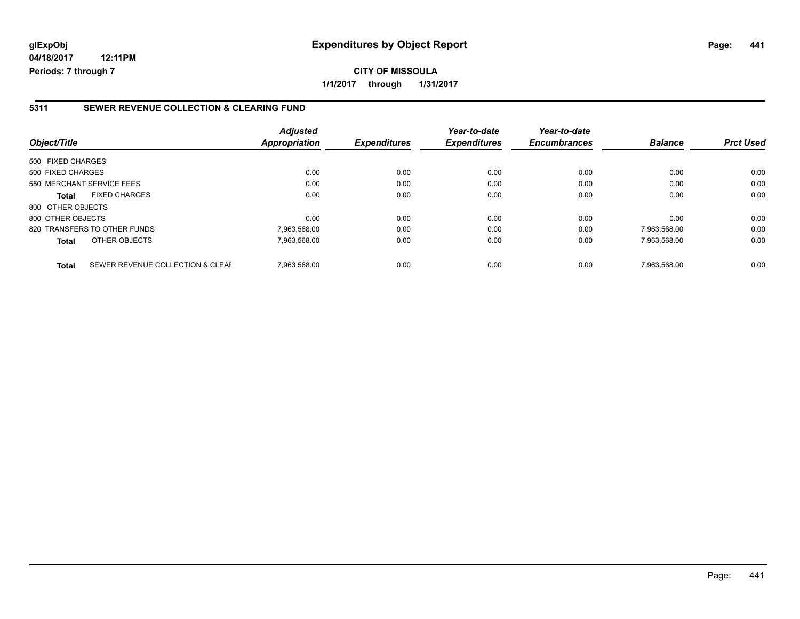## **glExpObj Expenditures by Object Report Page: 441**

**04/18/2017 12:11PM Periods: 7 through 7**

### **5311 SEWER REVENUE COLLECTION & CLEARING FUND**

| Object/Title              |                                  | <b>Adjusted</b><br>Appropriation | <b>Expenditures</b> | Year-to-date<br><b>Expenditures</b> | Year-to-date<br><b>Encumbrances</b> | <b>Balance</b> | <b>Prct Used</b> |
|---------------------------|----------------------------------|----------------------------------|---------------------|-------------------------------------|-------------------------------------|----------------|------------------|
| 500 FIXED CHARGES         |                                  |                                  |                     |                                     |                                     |                |                  |
| 500 FIXED CHARGES         |                                  | 0.00                             | 0.00                | 0.00                                | 0.00                                | 0.00           | 0.00             |
| 550 MERCHANT SERVICE FEES |                                  | 0.00                             | 0.00                | 0.00                                | 0.00                                | 0.00           | 0.00             |
| <b>Total</b>              | <b>FIXED CHARGES</b>             | 0.00                             | 0.00                | 0.00                                | 0.00                                | 0.00           | 0.00             |
| 800 OTHER OBJECTS         |                                  |                                  |                     |                                     |                                     |                |                  |
| 800 OTHER OBJECTS         |                                  | 0.00                             | 0.00                | 0.00                                | 0.00                                | 0.00           | 0.00             |
|                           | 820 TRANSFERS TO OTHER FUNDS     | 7,963,568.00                     | 0.00                | 0.00                                | 0.00                                | 7,963,568.00   | 0.00             |
| <b>Total</b>              | OTHER OBJECTS                    | 7,963,568.00                     | 0.00                | 0.00                                | 0.00                                | 7,963,568.00   | 0.00             |
| <b>Total</b>              | SEWER REVENUE COLLECTION & CLEAF | 7.963.568.00                     | 0.00                | 0.00                                | 0.00                                | 7.963.568.00   | 0.00             |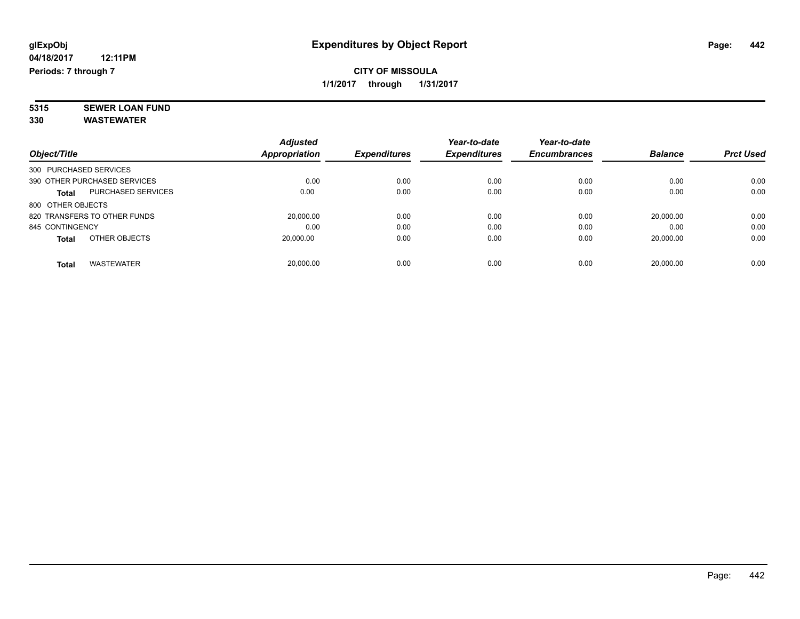**5315 SEWER LOAN FUND 330 WASTEWATER**

|                        |                              | <b>Adjusted</b> |                     | Year-to-date        | Year-to-date        |                |                  |
|------------------------|------------------------------|-----------------|---------------------|---------------------|---------------------|----------------|------------------|
| Object/Title           |                              | Appropriation   | <b>Expenditures</b> | <b>Expenditures</b> | <b>Encumbrances</b> | <b>Balance</b> | <b>Prct Used</b> |
| 300 PURCHASED SERVICES |                              |                 |                     |                     |                     |                |                  |
|                        | 390 OTHER PURCHASED SERVICES | 0.00            | 0.00                | 0.00                | 0.00                | 0.00           | 0.00             |
| <b>Total</b>           | <b>PURCHASED SERVICES</b>    | 0.00            | 0.00                | 0.00                | 0.00                | 0.00           | 0.00             |
| 800 OTHER OBJECTS      |                              |                 |                     |                     |                     |                |                  |
|                        | 820 TRANSFERS TO OTHER FUNDS | 20,000.00       | 0.00                | 0.00                | 0.00                | 20.000.00      | 0.00             |
| 845 CONTINGENCY        |                              | 0.00            | 0.00                | 0.00                | 0.00                | 0.00           | 0.00             |
| <b>Total</b>           | OTHER OBJECTS                | 20,000.00       | 0.00                | 0.00                | 0.00                | 20,000.00      | 0.00             |
| Total                  | <b>WASTEWATER</b>            | 20.000.00       | 0.00                | 0.00                | 0.00                | 20.000.00      | 0.00             |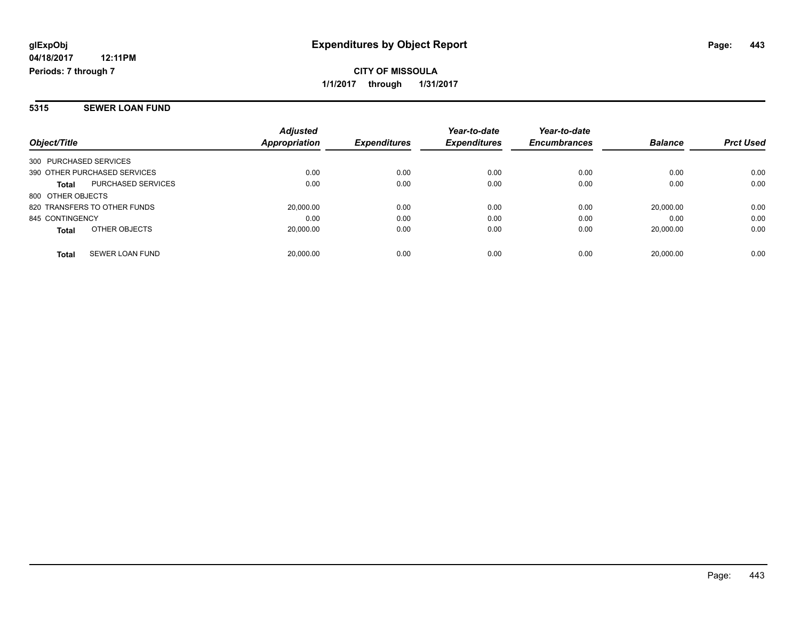#### **5315 SEWER LOAN FUND**

| Object/Title                              | <b>Adjusted</b><br>Appropriation | <b>Expenditures</b> | Year-to-date<br><b>Expenditures</b> | Year-to-date<br><b>Encumbrances</b> | <b>Balance</b> | <b>Prct Used</b> |
|-------------------------------------------|----------------------------------|---------------------|-------------------------------------|-------------------------------------|----------------|------------------|
| 300 PURCHASED SERVICES                    |                                  |                     |                                     |                                     |                |                  |
| 390 OTHER PURCHASED SERVICES              | 0.00                             | 0.00                | 0.00                                | 0.00                                | 0.00           | 0.00             |
| <b>PURCHASED SERVICES</b><br><b>Total</b> | 0.00                             | 0.00                | 0.00                                | 0.00                                | 0.00           | 0.00             |
| 800 OTHER OBJECTS                         |                                  |                     |                                     |                                     |                |                  |
| 820 TRANSFERS TO OTHER FUNDS              | 20,000.00                        | 0.00                | 0.00                                | 0.00                                | 20.000.00      | 0.00             |
| 845 CONTINGENCY                           | 0.00                             | 0.00                | 0.00                                | 0.00                                | 0.00           | 0.00             |
| OTHER OBJECTS<br><b>Total</b>             | 20,000.00                        | 0.00                | 0.00                                | 0.00                                | 20.000.00      | 0.00             |
| SEWER LOAN FUND<br><b>Total</b>           | 20.000.00                        | 0.00                | 0.00                                | 0.00                                | 20.000.00      | 0.00             |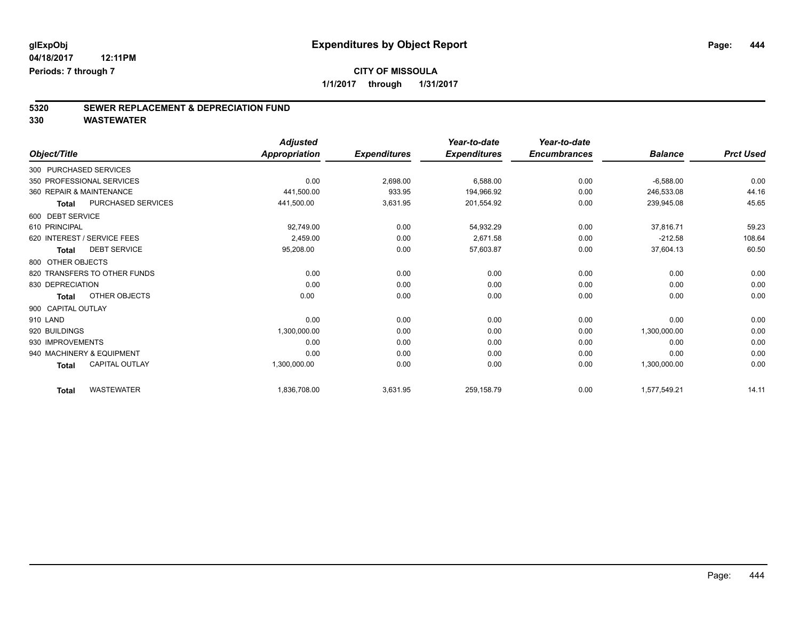# **CITY OF MISSOULA**

**1/1/2017 through 1/31/2017**

# **5320 SEWER REPLACEMENT & DEPRECIATION FUND**

| Object/Title                 |                       | <b>Adjusted</b><br><b>Appropriation</b> | <b>Expenditures</b> | Year-to-date<br><b>Expenditures</b> | Year-to-date<br><b>Encumbrances</b> | <b>Balance</b> | <b>Prct Used</b> |
|------------------------------|-----------------------|-----------------------------------------|---------------------|-------------------------------------|-------------------------------------|----------------|------------------|
|                              |                       |                                         |                     |                                     |                                     |                |                  |
| 300 PURCHASED SERVICES       |                       |                                         |                     |                                     |                                     |                |                  |
| 350 PROFESSIONAL SERVICES    |                       | 0.00                                    | 2,698.00            | 6,588.00                            | 0.00                                | $-6,588.00$    | 0.00             |
| 360 REPAIR & MAINTENANCE     |                       | 441,500.00                              | 933.95              | 194,966.92                          | 0.00                                | 246,533.08     | 44.16            |
| <b>Total</b>                 | PURCHASED SERVICES    | 441,500.00                              | 3,631.95            | 201,554.92                          | 0.00                                | 239,945.08     | 45.65            |
| 600 DEBT SERVICE             |                       |                                         |                     |                                     |                                     |                |                  |
| 610 PRINCIPAL                |                       | 92,749.00                               | 0.00                | 54,932.29                           | 0.00                                | 37,816.71      | 59.23            |
| 620 INTEREST / SERVICE FEES  |                       | 2,459.00                                | 0.00                | 2,671.58                            | 0.00                                | $-212.58$      | 108.64           |
| <b>Total</b>                 | <b>DEBT SERVICE</b>   | 95,208.00                               | 0.00                | 57,603.87                           | 0.00                                | 37,604.13      | 60.50            |
| 800 OTHER OBJECTS            |                       |                                         |                     |                                     |                                     |                |                  |
| 820 TRANSFERS TO OTHER FUNDS |                       | 0.00                                    | 0.00                | 0.00                                | 0.00                                | 0.00           | 0.00             |
| 830 DEPRECIATION             |                       | 0.00                                    | 0.00                | 0.00                                | 0.00                                | 0.00           | 0.00             |
| <b>Total</b>                 | OTHER OBJECTS         | 0.00                                    | 0.00                | 0.00                                | 0.00                                | 0.00           | 0.00             |
| 900 CAPITAL OUTLAY           |                       |                                         |                     |                                     |                                     |                |                  |
| 910 LAND                     |                       | 0.00                                    | 0.00                | 0.00                                | 0.00                                | 0.00           | 0.00             |
| 920 BUILDINGS                |                       | 1,300,000.00                            | 0.00                | 0.00                                | 0.00                                | 1,300,000.00   | 0.00             |
| 930 IMPROVEMENTS             |                       | 0.00                                    | 0.00                | 0.00                                | 0.00                                | 0.00           | 0.00             |
| 940 MACHINERY & EQUIPMENT    |                       | 0.00                                    | 0.00                | 0.00                                | 0.00                                | 0.00           | 0.00             |
| <b>Total</b>                 | <b>CAPITAL OUTLAY</b> | 1,300,000.00                            | 0.00                | 0.00                                | 0.00                                | 1,300,000.00   | 0.00             |
| <b>Total</b>                 | <b>WASTEWATER</b>     | 1,836,708.00                            | 3,631.95            | 259,158.79                          | 0.00                                | 1,577,549.21   | 14.11            |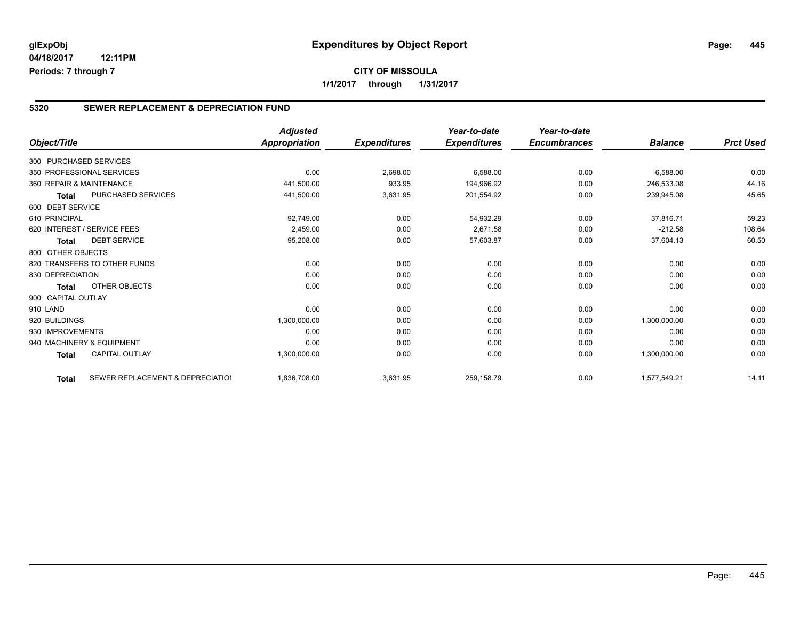#### **5320 SEWER REPLACEMENT & DEPRECIATION FUND**

| Object/Title           |                                  | <b>Adjusted</b><br><b>Appropriation</b> | <b>Expenditures</b> | Year-to-date<br><b>Expenditures</b> | Year-to-date<br><b>Encumbrances</b> | <b>Balance</b> | <b>Prct Used</b> |
|------------------------|----------------------------------|-----------------------------------------|---------------------|-------------------------------------|-------------------------------------|----------------|------------------|
|                        |                                  |                                         |                     |                                     |                                     |                |                  |
| 300 PURCHASED SERVICES |                                  |                                         |                     |                                     |                                     |                |                  |
|                        | 350 PROFESSIONAL SERVICES        | 0.00                                    | 2,698.00            | 6,588.00                            | 0.00                                | $-6,588.00$    | 0.00             |
|                        | 360 REPAIR & MAINTENANCE         | 441,500.00                              | 933.95              | 194,966.92                          | 0.00                                | 246,533.08     | 44.16            |
| <b>Total</b>           | PURCHASED SERVICES               | 441,500.00                              | 3,631.95            | 201,554.92                          | 0.00                                | 239,945.08     | 45.65            |
| 600 DEBT SERVICE       |                                  |                                         |                     |                                     |                                     |                |                  |
| 610 PRINCIPAL          |                                  | 92,749.00                               | 0.00                | 54,932.29                           | 0.00                                | 37,816.71      | 59.23            |
|                        | 620 INTEREST / SERVICE FEES      | 2,459.00                                | 0.00                | 2,671.58                            | 0.00                                | $-212.58$      | 108.64           |
| Total                  | <b>DEBT SERVICE</b>              | 95,208.00                               | 0.00                | 57,603.87                           | 0.00                                | 37,604.13      | 60.50            |
| 800 OTHER OBJECTS      |                                  |                                         |                     |                                     |                                     |                |                  |
|                        | 820 TRANSFERS TO OTHER FUNDS     | 0.00                                    | 0.00                | 0.00                                | 0.00                                | 0.00           | 0.00             |
| 830 DEPRECIATION       |                                  | 0.00                                    | 0.00                | 0.00                                | 0.00                                | 0.00           | 0.00             |
| <b>Total</b>           | OTHER OBJECTS                    | 0.00                                    | 0.00                | 0.00                                | 0.00                                | 0.00           | 0.00             |
| 900 CAPITAL OUTLAY     |                                  |                                         |                     |                                     |                                     |                |                  |
| 910 LAND               |                                  | 0.00                                    | 0.00                | 0.00                                | 0.00                                | 0.00           | 0.00             |
| 920 BUILDINGS          |                                  | 1,300,000.00                            | 0.00                | 0.00                                | 0.00                                | 1,300,000.00   | 0.00             |
| 930 IMPROVEMENTS       |                                  | 0.00                                    | 0.00                | 0.00                                | 0.00                                | 0.00           | 0.00             |
|                        | 940 MACHINERY & EQUIPMENT        | 0.00                                    | 0.00                | 0.00                                | 0.00                                | 0.00           | 0.00             |
| <b>Total</b>           | <b>CAPITAL OUTLAY</b>            | 1,300,000.00                            | 0.00                | 0.00                                | 0.00                                | 1,300,000.00   | 0.00             |
| <b>Total</b>           | SEWER REPLACEMENT & DEPRECIATION | 1,836,708.00                            | 3,631.95            | 259,158.79                          | 0.00                                | 1,577,549.21   | 14.11            |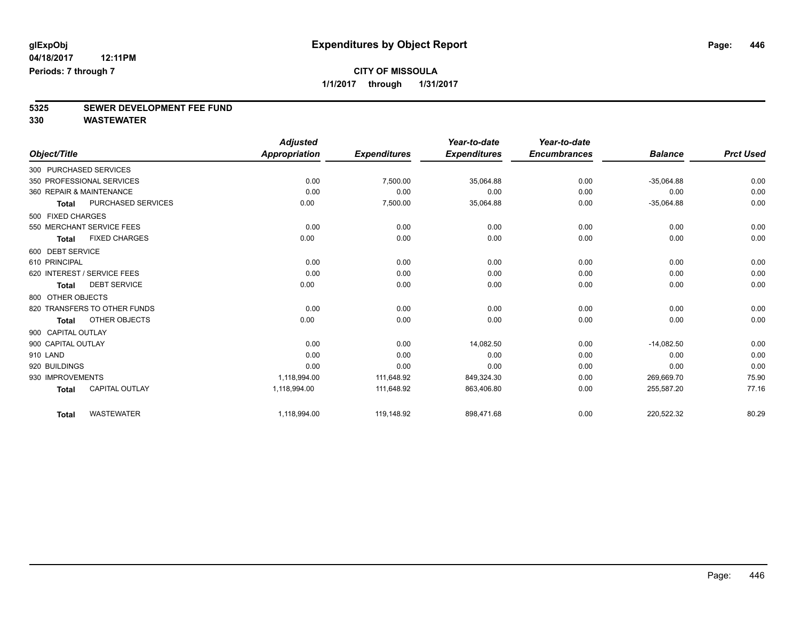# **5325 SEWER DEVELOPMENT FEE FUND**

|                    |                              | <b>Adjusted</b> |                     | Year-to-date        | Year-to-date        |                |                  |
|--------------------|------------------------------|-----------------|---------------------|---------------------|---------------------|----------------|------------------|
| Object/Title       |                              | Appropriation   | <b>Expenditures</b> | <b>Expenditures</b> | <b>Encumbrances</b> | <b>Balance</b> | <b>Prct Used</b> |
|                    | 300 PURCHASED SERVICES       |                 |                     |                     |                     |                |                  |
|                    | 350 PROFESSIONAL SERVICES    | 0.00            | 7,500.00            | 35,064.88           | 0.00                | $-35,064.88$   | 0.00             |
|                    | 360 REPAIR & MAINTENANCE     | 0.00            | 0.00                | 0.00                | 0.00                | 0.00           | 0.00             |
| Total              | PURCHASED SERVICES           | 0.00            | 7,500.00            | 35,064.88           | 0.00                | $-35,064.88$   | 0.00             |
| 500 FIXED CHARGES  |                              |                 |                     |                     |                     |                |                  |
|                    | 550 MERCHANT SERVICE FEES    | 0.00            | 0.00                | 0.00                | 0.00                | 0.00           | 0.00             |
| Total              | <b>FIXED CHARGES</b>         | 0.00            | 0.00                | 0.00                | 0.00                | 0.00           | 0.00             |
| 600 DEBT SERVICE   |                              |                 |                     |                     |                     |                |                  |
| 610 PRINCIPAL      |                              | 0.00            | 0.00                | 0.00                | 0.00                | 0.00           | 0.00             |
|                    | 620 INTEREST / SERVICE FEES  | 0.00            | 0.00                | 0.00                | 0.00                | 0.00           | 0.00             |
| <b>Total</b>       | <b>DEBT SERVICE</b>          | 0.00            | 0.00                | 0.00                | 0.00                | 0.00           | 0.00             |
| 800 OTHER OBJECTS  |                              |                 |                     |                     |                     |                |                  |
|                    | 820 TRANSFERS TO OTHER FUNDS | 0.00            | 0.00                | 0.00                | 0.00                | 0.00           | 0.00             |
| <b>Total</b>       | <b>OTHER OBJECTS</b>         | 0.00            | 0.00                | 0.00                | 0.00                | 0.00           | 0.00             |
| 900 CAPITAL OUTLAY |                              |                 |                     |                     |                     |                |                  |
| 900 CAPITAL OUTLAY |                              | 0.00            | 0.00                | 14.082.50           | 0.00                | $-14.082.50$   | 0.00             |
| 910 LAND           |                              | 0.00            | 0.00                | 0.00                | 0.00                | 0.00           | 0.00             |
| 920 BUILDINGS      |                              | 0.00            | 0.00                | 0.00                | 0.00                | 0.00           | 0.00             |
| 930 IMPROVEMENTS   |                              | 1,118,994.00    | 111,648.92          | 849,324.30          | 0.00                | 269.669.70     | 75.90            |
| <b>Total</b>       | <b>CAPITAL OUTLAY</b>        | 1,118,994.00    | 111,648.92          | 863,406.80          | 0.00                | 255,587.20     | 77.16            |
| <b>Total</b>       | <b>WASTEWATER</b>            | 1,118,994.00    | 119,148.92          | 898,471.68          | 0.00                | 220,522.32     | 80.29            |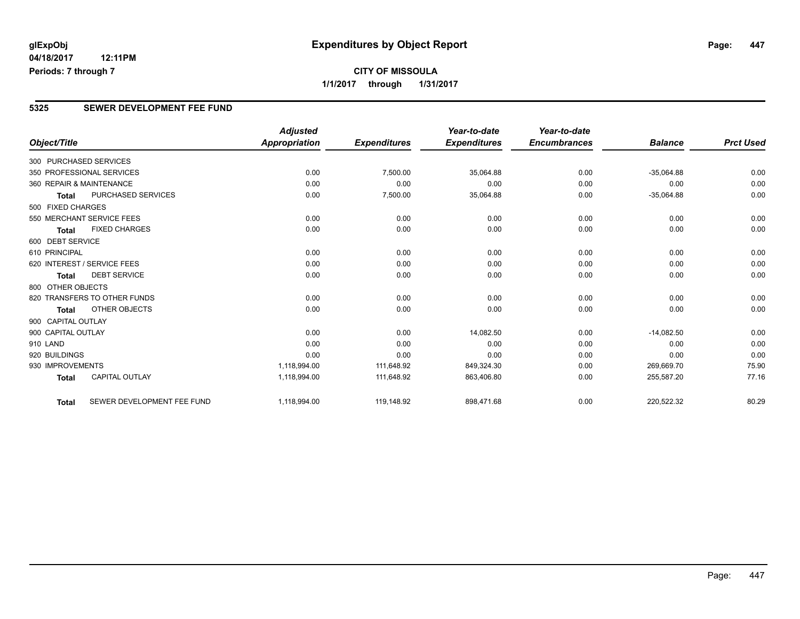### **5325 SEWER DEVELOPMENT FEE FUND**

|                        |                              | <b>Adjusted</b>      |                     | Year-to-date        | Year-to-date        |                |                  |
|------------------------|------------------------------|----------------------|---------------------|---------------------|---------------------|----------------|------------------|
| Object/Title           |                              | <b>Appropriation</b> | <b>Expenditures</b> | <b>Expenditures</b> | <b>Encumbrances</b> | <b>Balance</b> | <b>Prct Used</b> |
| 300 PURCHASED SERVICES |                              |                      |                     |                     |                     |                |                  |
|                        | 350 PROFESSIONAL SERVICES    | 0.00                 | 7,500.00            | 35,064.88           | 0.00                | $-35,064.88$   | 0.00             |
|                        | 360 REPAIR & MAINTENANCE     | 0.00                 | 0.00                | 0.00                | 0.00                | 0.00           | 0.00             |
| Total                  | <b>PURCHASED SERVICES</b>    | 0.00                 | 7,500.00            | 35,064.88           | 0.00                | $-35,064.88$   | 0.00             |
| 500 FIXED CHARGES      |                              |                      |                     |                     |                     |                |                  |
|                        | 550 MERCHANT SERVICE FEES    | 0.00                 | 0.00                | 0.00                | 0.00                | 0.00           | 0.00             |
| <b>Total</b>           | <b>FIXED CHARGES</b>         | 0.00                 | 0.00                | 0.00                | 0.00                | 0.00           | 0.00             |
| 600 DEBT SERVICE       |                              |                      |                     |                     |                     |                |                  |
| 610 PRINCIPAL          |                              | 0.00                 | 0.00                | 0.00                | 0.00                | 0.00           | 0.00             |
|                        | 620 INTEREST / SERVICE FEES  | 0.00                 | 0.00                | 0.00                | 0.00                | 0.00           | 0.00             |
| <b>Total</b>           | <b>DEBT SERVICE</b>          | 0.00                 | 0.00                | 0.00                | 0.00                | 0.00           | 0.00             |
| 800 OTHER OBJECTS      |                              |                      |                     |                     |                     |                |                  |
|                        | 820 TRANSFERS TO OTHER FUNDS | 0.00                 | 0.00                | 0.00                | 0.00                | 0.00           | 0.00             |
| <b>Total</b>           | OTHER OBJECTS                | 0.00                 | 0.00                | 0.00                | 0.00                | 0.00           | 0.00             |
| 900 CAPITAL OUTLAY     |                              |                      |                     |                     |                     |                |                  |
| 900 CAPITAL OUTLAY     |                              | 0.00                 | 0.00                | 14,082.50           | 0.00                | $-14,082.50$   | 0.00             |
| 910 LAND               |                              | 0.00                 | 0.00                | 0.00                | 0.00                | 0.00           | 0.00             |
| 920 BUILDINGS          |                              | 0.00                 | 0.00                | 0.00                | 0.00                | 0.00           | 0.00             |
| 930 IMPROVEMENTS       |                              | 1,118,994.00         | 111,648.92          | 849,324.30          | 0.00                | 269,669.70     | 75.90            |
| <b>Total</b>           | <b>CAPITAL OUTLAY</b>        | 1,118,994.00         | 111,648.92          | 863,406.80          | 0.00                | 255,587.20     | 77.16            |
| <b>Total</b>           | SEWER DEVELOPMENT FEE FUND   | 1,118,994.00         | 119,148.92          | 898,471.68          | 0.00                | 220,522.32     | 80.29            |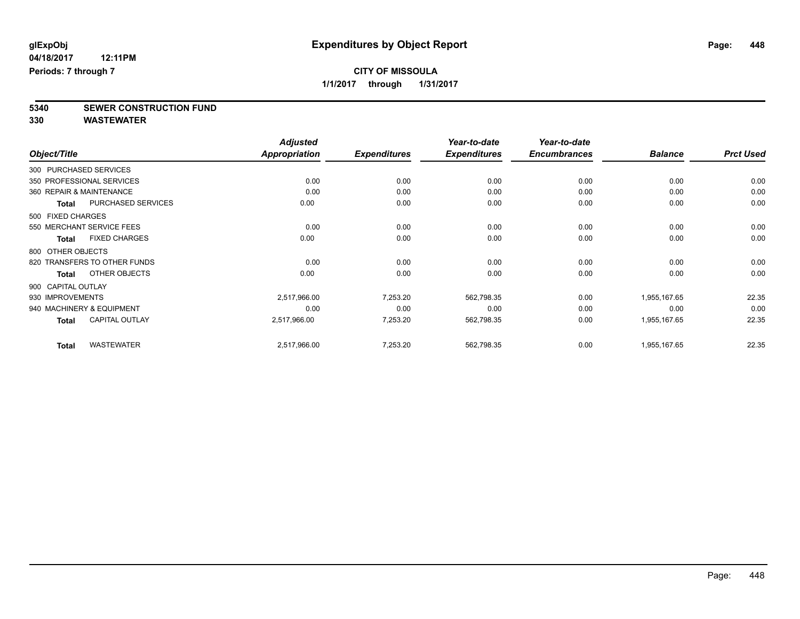**5340 SEWER CONSTRUCTION FUND**

|                    |                              | <b>Adjusted</b>      |                     | Year-to-date        | Year-to-date        |                |                  |
|--------------------|------------------------------|----------------------|---------------------|---------------------|---------------------|----------------|------------------|
| Object/Title       |                              | <b>Appropriation</b> | <b>Expenditures</b> | <b>Expenditures</b> | <b>Encumbrances</b> | <b>Balance</b> | <b>Prct Used</b> |
|                    | 300 PURCHASED SERVICES       |                      |                     |                     |                     |                |                  |
|                    | 350 PROFESSIONAL SERVICES    | 0.00                 | 0.00                | 0.00                | 0.00                | 0.00           | 0.00             |
|                    | 360 REPAIR & MAINTENANCE     | 0.00                 | 0.00                | 0.00                | 0.00                | 0.00           | 0.00             |
| <b>Total</b>       | PURCHASED SERVICES           | 0.00                 | 0.00                | 0.00                | 0.00                | 0.00           | 0.00             |
| 500 FIXED CHARGES  |                              |                      |                     |                     |                     |                |                  |
|                    | 550 MERCHANT SERVICE FEES    | 0.00                 | 0.00                | 0.00                | 0.00                | 0.00           | 0.00             |
| Total              | <b>FIXED CHARGES</b>         | 0.00                 | 0.00                | 0.00                | 0.00                | 0.00           | 0.00             |
| 800 OTHER OBJECTS  |                              |                      |                     |                     |                     |                |                  |
|                    | 820 TRANSFERS TO OTHER FUNDS | 0.00                 | 0.00                | 0.00                | 0.00                | 0.00           | 0.00             |
| <b>Total</b>       | OTHER OBJECTS                | 0.00                 | 0.00                | 0.00                | 0.00                | 0.00           | 0.00             |
| 900 CAPITAL OUTLAY |                              |                      |                     |                     |                     |                |                  |
| 930 IMPROVEMENTS   |                              | 2,517,966.00         | 7,253.20            | 562,798.35          | 0.00                | 1,955,167.65   | 22.35            |
|                    | 940 MACHINERY & EQUIPMENT    | 0.00                 | 0.00                | 0.00                | 0.00                | 0.00           | 0.00             |
| <b>Total</b>       | <b>CAPITAL OUTLAY</b>        | 2,517,966.00         | 7,253.20            | 562,798.35          | 0.00                | 1,955,167.65   | 22.35            |
| <b>Total</b>       | <b>WASTEWATER</b>            | 2,517,966.00         | 7,253.20            | 562,798.35          | 0.00                | 1,955,167.65   | 22.35            |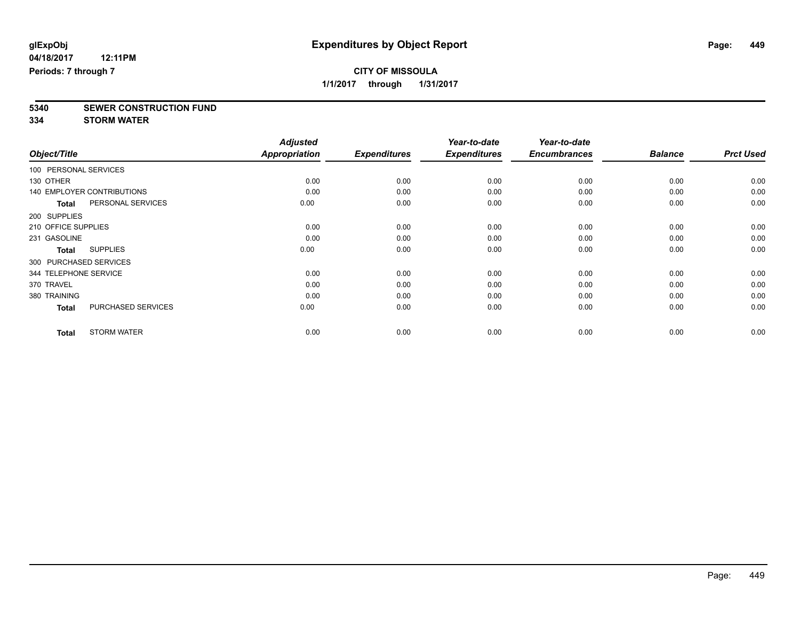**5340 SEWER CONSTRUCTION FUND**

**334 STORM WATER**

| Object/Title           |                                   | <b>Adjusted</b><br>Appropriation | <b>Expenditures</b> | Year-to-date<br><b>Expenditures</b> | Year-to-date<br><b>Encumbrances</b> | <b>Balance</b> | <b>Prct Used</b> |
|------------------------|-----------------------------------|----------------------------------|---------------------|-------------------------------------|-------------------------------------|----------------|------------------|
| 100 PERSONAL SERVICES  |                                   |                                  |                     |                                     |                                     |                |                  |
| 130 OTHER              |                                   | 0.00                             | 0.00                | 0.00                                | 0.00                                | 0.00           | 0.00             |
|                        | <b>140 EMPLOYER CONTRIBUTIONS</b> | 0.00                             | 0.00                | 0.00                                | 0.00                                | 0.00           | 0.00             |
| <b>Total</b>           | PERSONAL SERVICES                 | 0.00                             | 0.00                | 0.00                                | 0.00                                | 0.00           | 0.00             |
| 200 SUPPLIES           |                                   |                                  |                     |                                     |                                     |                |                  |
| 210 OFFICE SUPPLIES    |                                   | 0.00                             | 0.00                | 0.00                                | 0.00                                | 0.00           | 0.00             |
| 231 GASOLINE           |                                   | 0.00                             | 0.00                | 0.00                                | 0.00                                | 0.00           | 0.00             |
| <b>Total</b>           | <b>SUPPLIES</b>                   | 0.00                             | 0.00                | 0.00                                | 0.00                                | 0.00           | 0.00             |
| 300 PURCHASED SERVICES |                                   |                                  |                     |                                     |                                     |                |                  |
| 344 TELEPHONE SERVICE  |                                   | 0.00                             | 0.00                | 0.00                                | 0.00                                | 0.00           | 0.00             |
| 370 TRAVEL             |                                   | 0.00                             | 0.00                | 0.00                                | 0.00                                | 0.00           | 0.00             |
| 380 TRAINING           |                                   | 0.00                             | 0.00                | 0.00                                | 0.00                                | 0.00           | 0.00             |
| <b>Total</b>           | PURCHASED SERVICES                | 0.00                             | 0.00                | 0.00                                | 0.00                                | 0.00           | 0.00             |
| <b>Total</b>           | <b>STORM WATER</b>                | 0.00                             | 0.00                | 0.00                                | 0.00                                | 0.00           | 0.00             |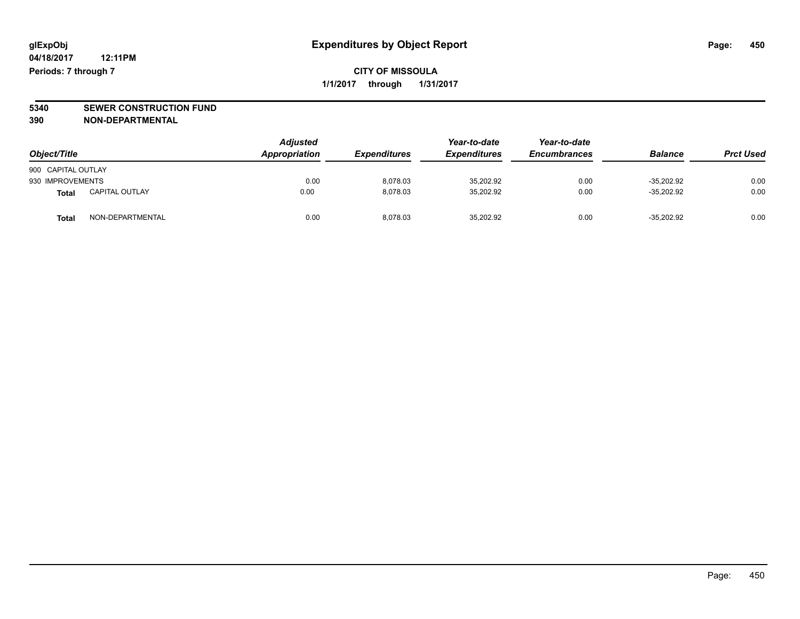# **5340 SEWER CONSTRUCTION FUND**

**390 NON-DEPARTMENTAL**

| Object/Title       |                       | <b>Adjusted</b><br><b>Appropriation</b> | <b>Expenditures</b> | Year-to-date<br><b>Expenditures</b> | Year-to-date<br><b>Encumbrances</b> | <b>Balance</b> | <b>Prct Used</b> |
|--------------------|-----------------------|-----------------------------------------|---------------------|-------------------------------------|-------------------------------------|----------------|------------------|
| 900 CAPITAL OUTLAY |                       |                                         |                     |                                     |                                     |                |                  |
| 930 IMPROVEMENTS   |                       | 0.00                                    | 8.078.03            | 35.202.92                           | 0.00                                | $-35.202.92$   | 0.00             |
| Total              | <b>CAPITAL OUTLAY</b> | 0.00                                    | 8.078.03            | 35,202.92                           | 0.00                                | $-35,202.92$   | 0.00             |
| Total              | NON-DEPARTMENTAL      | 0.00                                    | 8.078.03            | 35.202.92                           | 0.00                                | $-35.202.92$   | 0.00             |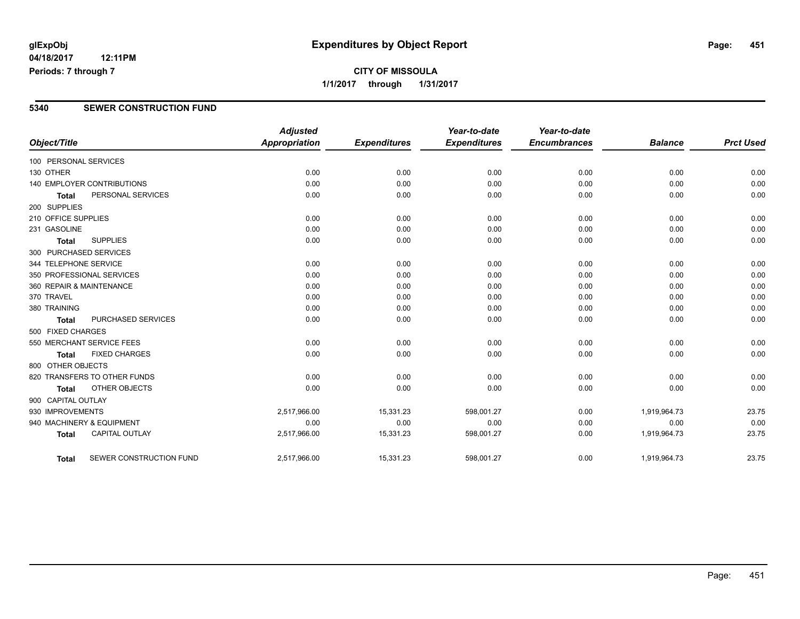### **5340 SEWER CONSTRUCTION FUND**

| Object/Title           |                                   | <b>Adjusted</b><br><b>Appropriation</b> | <b>Expenditures</b> | Year-to-date<br><b>Expenditures</b> | Year-to-date<br><b>Encumbrances</b> | <b>Balance</b> | <b>Prct Used</b> |
|------------------------|-----------------------------------|-----------------------------------------|---------------------|-------------------------------------|-------------------------------------|----------------|------------------|
| 100 PERSONAL SERVICES  |                                   |                                         |                     |                                     |                                     |                |                  |
| 130 OTHER              |                                   | 0.00                                    | 0.00                | 0.00                                | 0.00                                | 0.00           | 0.00             |
|                        | <b>140 EMPLOYER CONTRIBUTIONS</b> | 0.00                                    | 0.00                | 0.00                                | 0.00                                | 0.00           | 0.00             |
| <b>Total</b>           | PERSONAL SERVICES                 | 0.00                                    | 0.00                | 0.00                                | 0.00                                | 0.00           | 0.00             |
| 200 SUPPLIES           |                                   |                                         |                     |                                     |                                     |                |                  |
| 210 OFFICE SUPPLIES    |                                   | 0.00                                    | 0.00                | 0.00                                | 0.00                                | 0.00           | 0.00             |
| 231 GASOLINE           |                                   | 0.00                                    | 0.00                | 0.00                                | 0.00                                | 0.00           | 0.00             |
| <b>Total</b>           | <b>SUPPLIES</b>                   | 0.00                                    | 0.00                | 0.00                                | 0.00                                | 0.00           | 0.00             |
| 300 PURCHASED SERVICES |                                   |                                         |                     |                                     |                                     |                |                  |
| 344 TELEPHONE SERVICE  |                                   | 0.00                                    | 0.00                | 0.00                                | 0.00                                | 0.00           | 0.00             |
|                        | 350 PROFESSIONAL SERVICES         | 0.00                                    | 0.00                | 0.00                                | 0.00                                | 0.00           | 0.00             |
|                        | 360 REPAIR & MAINTENANCE          | 0.00                                    | 0.00                | 0.00                                | 0.00                                | 0.00           | 0.00             |
| 370 TRAVEL             |                                   | 0.00                                    | 0.00                | 0.00                                | 0.00                                | 0.00           | 0.00             |
| 380 TRAINING           |                                   | 0.00                                    | 0.00                | 0.00                                | 0.00                                | 0.00           | 0.00             |
| <b>Total</b>           | PURCHASED SERVICES                | 0.00                                    | 0.00                | 0.00                                | 0.00                                | 0.00           | 0.00             |
| 500 FIXED CHARGES      |                                   |                                         |                     |                                     |                                     |                |                  |
|                        | 550 MERCHANT SERVICE FEES         | 0.00                                    | 0.00                | 0.00                                | 0.00                                | 0.00           | 0.00             |
| <b>Total</b>           | <b>FIXED CHARGES</b>              | 0.00                                    | 0.00                | 0.00                                | 0.00                                | 0.00           | 0.00             |
| 800 OTHER OBJECTS      |                                   |                                         |                     |                                     |                                     |                |                  |
|                        | 820 TRANSFERS TO OTHER FUNDS      | 0.00                                    | 0.00                | 0.00                                | 0.00                                | 0.00           | 0.00             |
| <b>Total</b>           | OTHER OBJECTS                     | 0.00                                    | 0.00                | 0.00                                | 0.00                                | 0.00           | 0.00             |
| 900 CAPITAL OUTLAY     |                                   |                                         |                     |                                     |                                     |                |                  |
| 930 IMPROVEMENTS       |                                   | 2,517,966.00                            | 15,331.23           | 598,001.27                          | 0.00                                | 1,919,964.73   | 23.75            |
|                        | 940 MACHINERY & EQUIPMENT         | 0.00                                    | 0.00                | 0.00                                | 0.00                                | 0.00           | 0.00             |
| <b>Total</b>           | <b>CAPITAL OUTLAY</b>             | 2,517,966.00                            | 15,331.23           | 598,001.27                          | 0.00                                | 1,919,964.73   | 23.75            |
| Total                  | SEWER CONSTRUCTION FUND           | 2,517,966.00                            | 15,331.23           | 598,001.27                          | 0.00                                | 1,919,964.73   | 23.75            |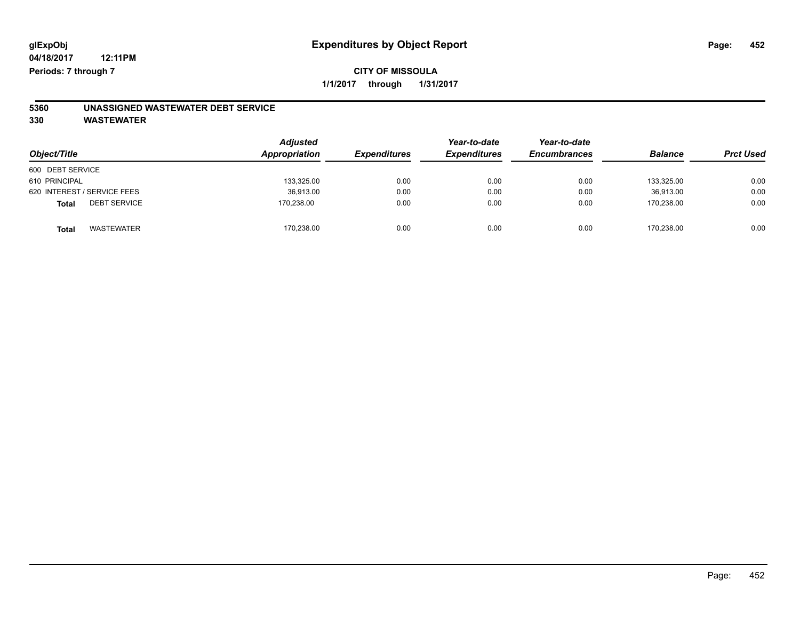# **5360 UNASSIGNED WASTEWATER DEBT SERVICE**

| Object/Title                        | <b>Adjusted</b><br>Appropriation | <b>Expenditures</b> | Year-to-date<br><b>Expenditures</b> | Year-to-date<br><b>Encumbrances</b> | <b>Balance</b> | <b>Prct Used</b> |
|-------------------------------------|----------------------------------|---------------------|-------------------------------------|-------------------------------------|----------------|------------------|
| 600 DEBT SERVICE                    |                                  |                     |                                     |                                     |                |                  |
| 610 PRINCIPAL                       | 133,325.00                       | 0.00                | 0.00                                | 0.00                                | 133.325.00     | 0.00             |
| 620 INTEREST / SERVICE FEES         | 36,913.00                        | 0.00                | 0.00                                | 0.00                                | 36.913.00      | 0.00             |
| <b>DEBT SERVICE</b><br><b>Total</b> | 170.238.00                       | 0.00                | 0.00                                | 0.00                                | 170.238.00     | 0.00             |
| <b>WASTEWATER</b><br>Tota           | 170,238.00                       | 0.00                | 0.00                                | 0.00                                | 170.238.00     | 0.00             |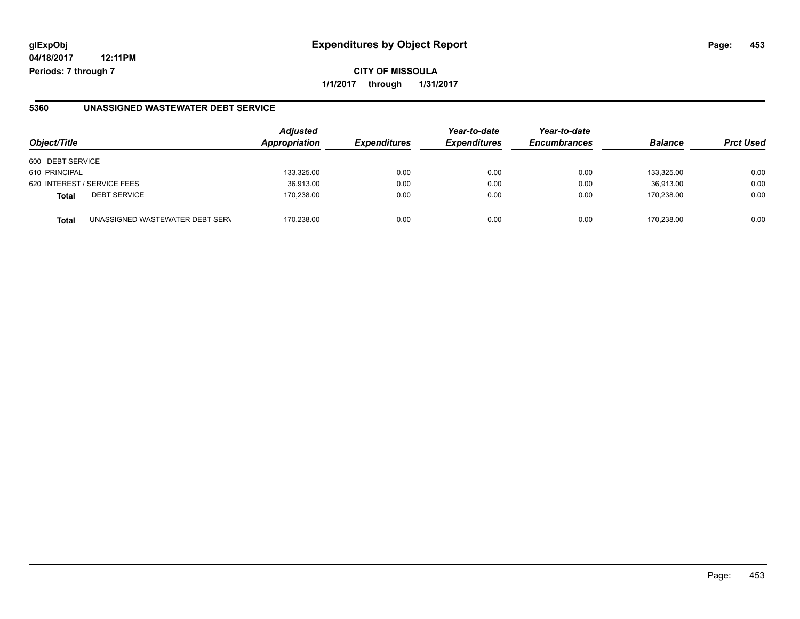## **glExpObj Expenditures by Object Report Page: 453**

**04/18/2017 12:11PM Periods: 7 through 7**

**CITY OF MISSOULA 1/1/2017 through 1/31/2017**

#### **5360 UNASSIGNED WASTEWATER DEBT SERVICE**

| Object/Title                                    | <b>Adjusted</b><br><b>Appropriation</b> | <b>Expenditures</b> | Year-to-date<br><b>Expenditures</b> | Year-to-date<br><b>Encumbrances</b> | <b>Balance</b> | <b>Prct Used</b> |
|-------------------------------------------------|-----------------------------------------|---------------------|-------------------------------------|-------------------------------------|----------------|------------------|
| 600 DEBT SERVICE                                |                                         |                     |                                     |                                     |                |                  |
| 610 PRINCIPAL                                   | 133,325.00                              | 0.00                | 0.00                                | 0.00                                | 133.325.00     | 0.00             |
| 620 INTEREST / SERVICE FEES                     | 36,913.00                               | 0.00                | 0.00                                | 0.00                                | 36.913.00      | 0.00             |
| <b>DEBT SERVICE</b><br><b>Total</b>             | 170.238.00                              | 0.00                | 0.00                                | 0.00                                | 170.238.00     | 0.00             |
| UNASSIGNED WASTEWATER DEBT SERV<br><b>Total</b> | 170.238.00                              | 0.00                | 0.00                                | 0.00                                | 170.238.00     | 0.00             |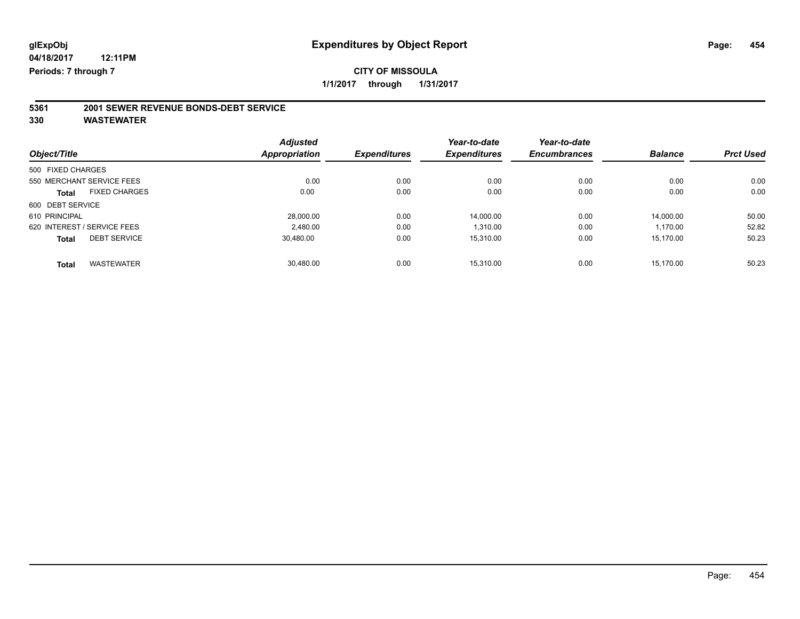# **5361 2001 SEWER REVENUE BONDS-DEBT SERVICE**

|                                      | <b>Adjusted</b>      |                     | Year-to-date        | Year-to-date        |                |                  |
|--------------------------------------|----------------------|---------------------|---------------------|---------------------|----------------|------------------|
| Object/Title                         | <b>Appropriation</b> | <b>Expenditures</b> | <b>Expenditures</b> | <b>Encumbrances</b> | <b>Balance</b> | <b>Prct Used</b> |
| 500 FIXED CHARGES                    |                      |                     |                     |                     |                |                  |
| 550 MERCHANT SERVICE FEES            | 0.00                 | 0.00                | 0.00                | 0.00                | 0.00           | 0.00             |
| <b>FIXED CHARGES</b><br><b>Total</b> | 0.00                 | 0.00                | 0.00                | 0.00                | 0.00           | 0.00             |
| 600 DEBT SERVICE                     |                      |                     |                     |                     |                |                  |
| 610 PRINCIPAL                        | 28,000.00            | 0.00                | 14.000.00           | 0.00                | 14.000.00      | 50.00            |
| 620 INTEREST / SERVICE FEES          | 2.480.00             | 0.00                | 1.310.00            | 0.00                | 1,170.00       | 52.82            |
| <b>DEBT SERVICE</b><br><b>Total</b>  | 30.480.00            | 0.00                | 15.310.00           | 0.00                | 15,170.00      | 50.23            |
| <b>WASTEWATER</b><br><b>Total</b>    | 30.480.00            | 0.00                | 15.310.00           | 0.00                | 15.170.00      | 50.23            |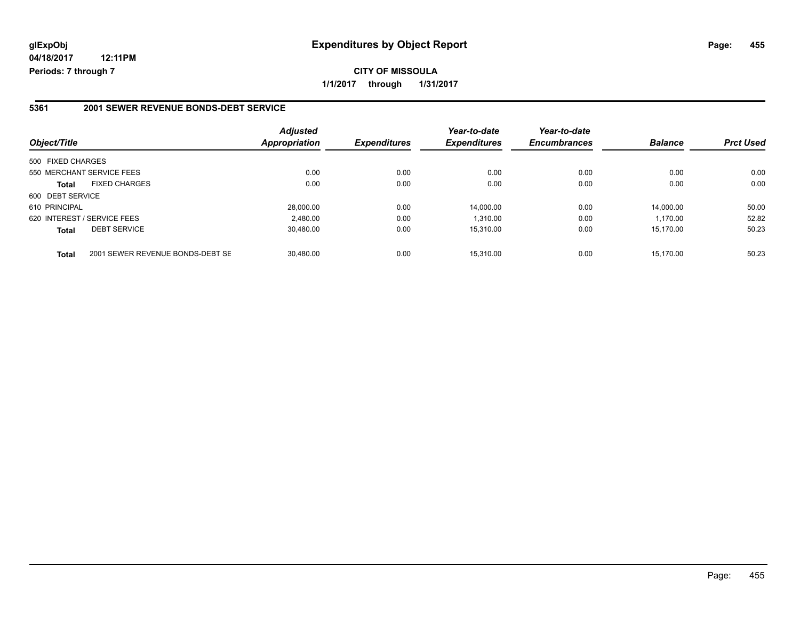**CITY OF MISSOULA 1/1/2017 through 1/31/2017**

#### **5361 2001 SEWER REVENUE BONDS-DEBT SERVICE**

| Object/Title                                     | <b>Adjusted</b><br>Appropriation | <b>Expenditures</b> | Year-to-date<br><b>Expenditures</b> | Year-to-date<br><b>Encumbrances</b> | <b>Balance</b> | <b>Prct Used</b> |
|--------------------------------------------------|----------------------------------|---------------------|-------------------------------------|-------------------------------------|----------------|------------------|
| 500 FIXED CHARGES                                |                                  |                     |                                     |                                     |                |                  |
| 550 MERCHANT SERVICE FEES                        | 0.00                             | 0.00                | 0.00                                | 0.00                                | 0.00           | 0.00             |
| <b>FIXED CHARGES</b><br><b>Total</b>             | 0.00                             | 0.00                | 0.00                                | 0.00                                | 0.00           | 0.00             |
| 600 DEBT SERVICE                                 |                                  |                     |                                     |                                     |                |                  |
| 610 PRINCIPAL                                    | 28,000.00                        | 0.00                | 14,000.00                           | 0.00                                | 14.000.00      | 50.00            |
| 620 INTEREST / SERVICE FEES                      | 2,480.00                         | 0.00                | 1.310.00                            | 0.00                                | 1.170.00       | 52.82            |
| <b>DEBT SERVICE</b><br><b>Total</b>              | 30,480.00                        | 0.00                | 15.310.00                           | 0.00                                | 15.170.00      | 50.23            |
| 2001 SEWER REVENUE BONDS-DEBT SE<br><b>Total</b> | 30.480.00                        | 0.00                | 15.310.00                           | 0.00                                | 15.170.00      | 50.23            |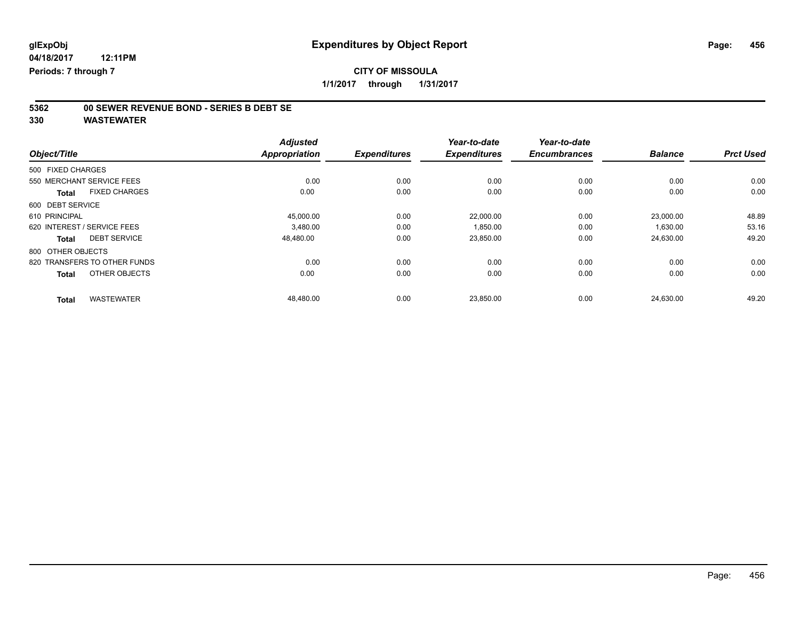# **5362 00 SEWER REVENUE BOND - SERIES B DEBT SE**

|                                      | <b>Adjusted</b>      |                     | Year-to-date        | Year-to-date        |                |                  |
|--------------------------------------|----------------------|---------------------|---------------------|---------------------|----------------|------------------|
| Object/Title                         | <b>Appropriation</b> | <b>Expenditures</b> | <b>Expenditures</b> | <b>Encumbrances</b> | <b>Balance</b> | <b>Prct Used</b> |
| 500 FIXED CHARGES                    |                      |                     |                     |                     |                |                  |
| 550 MERCHANT SERVICE FEES            | 0.00                 | 0.00                | 0.00                | 0.00                | 0.00           | 0.00             |
| <b>FIXED CHARGES</b><br><b>Total</b> | 0.00                 | 0.00                | 0.00                | 0.00                | 0.00           | 0.00             |
| 600 DEBT SERVICE                     |                      |                     |                     |                     |                |                  |
| 610 PRINCIPAL                        | 45,000.00            | 0.00                | 22.000.00           | 0.00                | 23.000.00      | 48.89            |
| 620 INTEREST / SERVICE FEES          | 3.480.00             | 0.00                | 1.850.00            | 0.00                | 1,630.00       | 53.16            |
| <b>DEBT SERVICE</b><br><b>Total</b>  | 48,480.00            | 0.00                | 23,850.00           | 0.00                | 24,630.00      | 49.20            |
| 800 OTHER OBJECTS                    |                      |                     |                     |                     |                |                  |
| 820 TRANSFERS TO OTHER FUNDS         | 0.00                 | 0.00                | 0.00                | 0.00                | 0.00           | 0.00             |
| OTHER OBJECTS<br><b>Total</b>        | 0.00                 | 0.00                | 0.00                | 0.00                | 0.00           | 0.00             |
| <b>WASTEWATER</b><br><b>Total</b>    | 48,480.00            | 0.00                | 23,850.00           | 0.00                | 24,630.00      | 49.20            |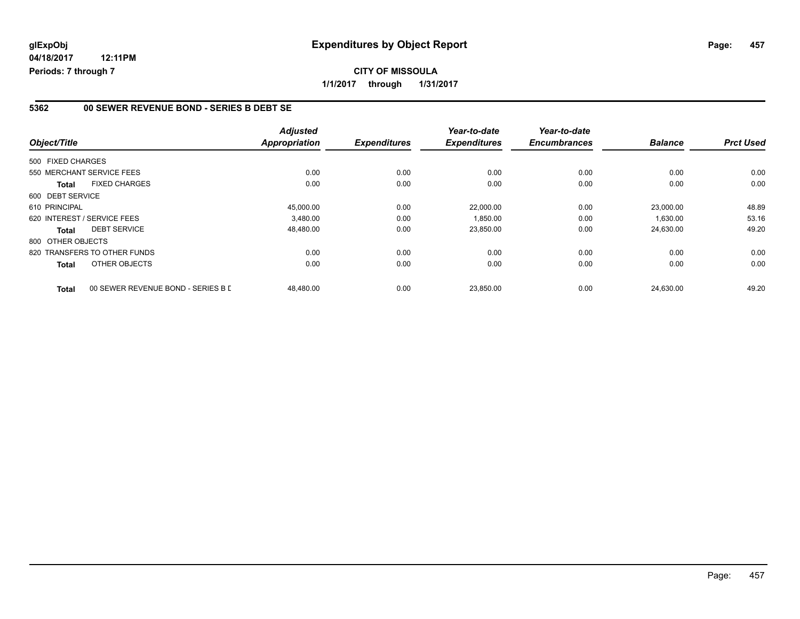### **5362 00 SEWER REVENUE BOND - SERIES B DEBT SE**

| Object/Title      |                                    | <b>Adjusted</b><br><b>Appropriation</b> | <b>Expenditures</b> | Year-to-date<br><b>Expenditures</b> | Year-to-date<br><b>Encumbrances</b> | <b>Balance</b> | <b>Prct Used</b> |
|-------------------|------------------------------------|-----------------------------------------|---------------------|-------------------------------------|-------------------------------------|----------------|------------------|
|                   |                                    |                                         |                     |                                     |                                     |                |                  |
| 500 FIXED CHARGES |                                    |                                         |                     |                                     |                                     |                |                  |
|                   | 550 MERCHANT SERVICE FEES          | 0.00                                    | 0.00                | 0.00                                | 0.00                                | 0.00           | 0.00             |
| <b>Total</b>      | <b>FIXED CHARGES</b>               | 0.00                                    | 0.00                | 0.00                                | 0.00                                | 0.00           | 0.00             |
| 600 DEBT SERVICE  |                                    |                                         |                     |                                     |                                     |                |                  |
| 610 PRINCIPAL     |                                    | 45,000.00                               | 0.00                | 22,000.00                           | 0.00                                | 23,000.00      | 48.89            |
|                   | 620 INTEREST / SERVICE FEES        | 3.480.00                                | 0.00                | 1,850.00                            | 0.00                                | 1,630.00       | 53.16            |
| <b>Total</b>      | <b>DEBT SERVICE</b>                | 48,480.00                               | 0.00                | 23,850.00                           | 0.00                                | 24,630.00      | 49.20            |
| 800 OTHER OBJECTS |                                    |                                         |                     |                                     |                                     |                |                  |
|                   | 820 TRANSFERS TO OTHER FUNDS       | 0.00                                    | 0.00                | 0.00                                | 0.00                                | 0.00           | 0.00             |
| <b>Total</b>      | OTHER OBJECTS                      | 0.00                                    | 0.00                | 0.00                                | 0.00                                | 0.00           | 0.00             |
| <b>Total</b>      | 00 SEWER REVENUE BOND - SERIES B L | 48,480.00                               | 0.00                | 23,850.00                           | 0.00                                | 24,630.00      | 49.20            |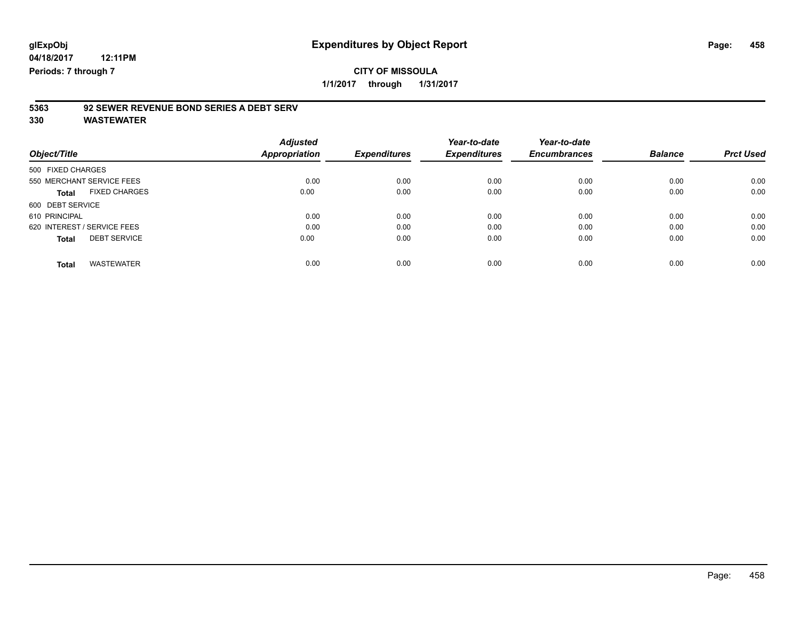# **5363 92 SEWER REVENUE BOND SERIES A DEBT SERV**

|                                      | <b>Adjusted</b> |                     | Year-to-date        | Year-to-date        |                |                  |
|--------------------------------------|-----------------|---------------------|---------------------|---------------------|----------------|------------------|
| Object/Title                         | Appropriation   | <b>Expenditures</b> | <b>Expenditures</b> | <b>Encumbrances</b> | <b>Balance</b> | <b>Prct Used</b> |
| 500 FIXED CHARGES                    |                 |                     |                     |                     |                |                  |
| 550 MERCHANT SERVICE FEES            | 0.00            | 0.00                | 0.00                | 0.00                | 0.00           | 0.00             |
| <b>FIXED CHARGES</b><br><b>Total</b> | 0.00            | 0.00                | 0.00                | 0.00                | 0.00           | 0.00             |
| 600 DEBT SERVICE                     |                 |                     |                     |                     |                |                  |
| 610 PRINCIPAL                        | 0.00            | 0.00                | 0.00                | 0.00                | 0.00           | 0.00             |
| 620 INTEREST / SERVICE FEES          | 0.00            | 0.00                | 0.00                | 0.00                | 0.00           | 0.00             |
| <b>DEBT SERVICE</b><br><b>Total</b>  | 0.00            | 0.00                | 0.00                | 0.00                | 0.00           | 0.00             |
| <b>WASTEWATER</b><br>Total           | 0.00            | 0.00                | 0.00                | 0.00                | 0.00           | 0.00             |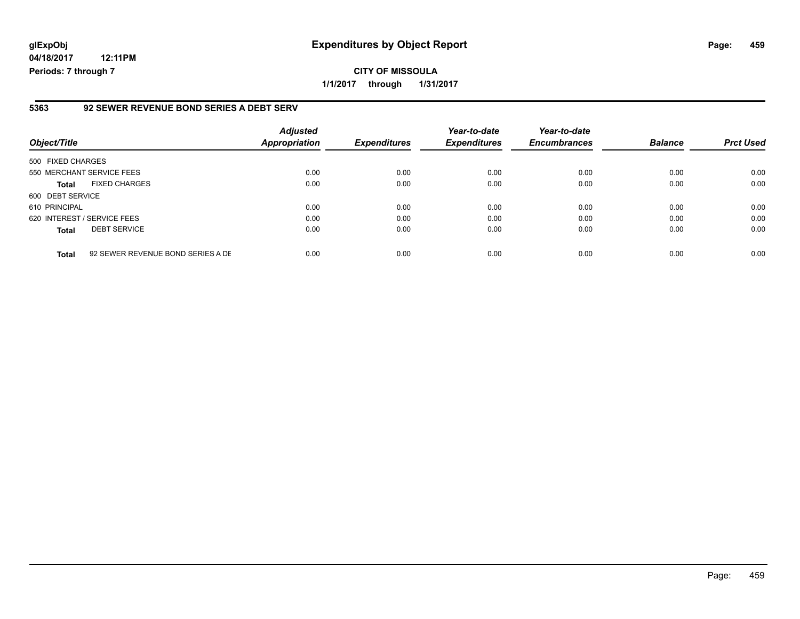## **glExpObj Expenditures by Object Report Page: 459**

**04/18/2017 12:11PM Periods: 7 through 7**

#### **5363 92 SEWER REVENUE BOND SERIES A DEBT SERV**

| Object/Title      |                                   | <b>Adjusted</b><br><b>Appropriation</b> | <b>Expenditures</b> | Year-to-date<br><b>Expenditures</b> | Year-to-date<br><b>Encumbrances</b> | <b>Balance</b> | <b>Prct Used</b> |
|-------------------|-----------------------------------|-----------------------------------------|---------------------|-------------------------------------|-------------------------------------|----------------|------------------|
| 500 FIXED CHARGES |                                   |                                         |                     |                                     |                                     |                |                  |
|                   | 550 MERCHANT SERVICE FEES         | 0.00                                    | 0.00                | 0.00                                | 0.00                                | 0.00           | 0.00             |
| <b>Total</b>      | <b>FIXED CHARGES</b>              | 0.00                                    | 0.00                | 0.00                                | 0.00                                | 0.00           | 0.00             |
| 600 DEBT SERVICE  |                                   |                                         |                     |                                     |                                     |                |                  |
| 610 PRINCIPAL     |                                   | 0.00                                    | 0.00                | 0.00                                | 0.00                                | 0.00           | 0.00             |
|                   | 620 INTEREST / SERVICE FEES       | 0.00                                    | 0.00                | 0.00                                | 0.00                                | 0.00           | 0.00             |
| <b>Total</b>      | <b>DEBT SERVICE</b>               | 0.00                                    | 0.00                | 0.00                                | 0.00                                | 0.00           | 0.00             |
| <b>Total</b>      | 92 SEWER REVENUE BOND SERIES A DE | 0.00                                    | 0.00                | 0.00                                | 0.00                                | 0.00           | 0.00             |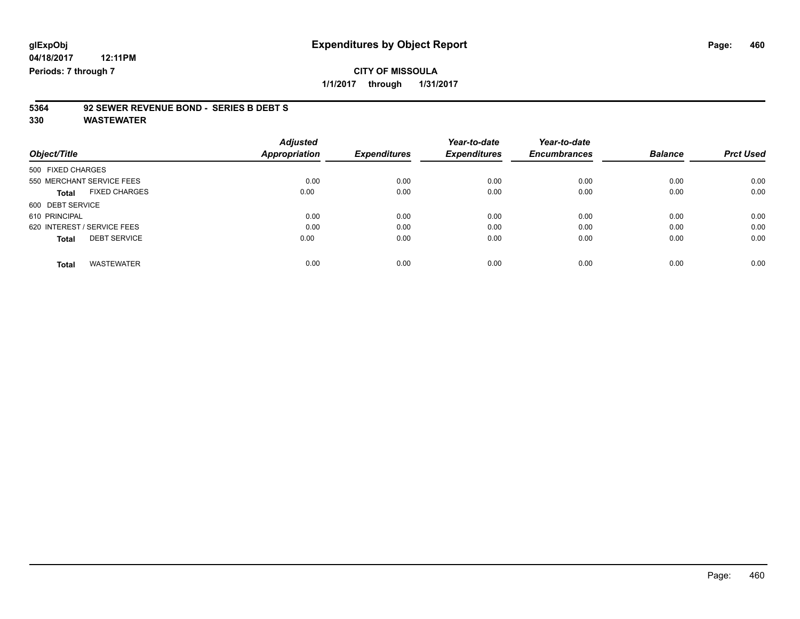# **5364 92 SEWER REVENUE BOND - SERIES B DEBT S**

|                                      | <b>Adjusted</b> |                     | Year-to-date        | Year-to-date        |                |                  |
|--------------------------------------|-----------------|---------------------|---------------------|---------------------|----------------|------------------|
| Object/Title                         | Appropriation   | <b>Expenditures</b> | <b>Expenditures</b> | <b>Encumbrances</b> | <b>Balance</b> | <b>Prct Used</b> |
| 500 FIXED CHARGES                    |                 |                     |                     |                     |                |                  |
| 550 MERCHANT SERVICE FEES            | 0.00            | 0.00                | 0.00                | 0.00                | 0.00           | 0.00             |
| <b>FIXED CHARGES</b><br><b>Total</b> | 0.00            | 0.00                | 0.00                | 0.00                | 0.00           | 0.00             |
| 600 DEBT SERVICE                     |                 |                     |                     |                     |                |                  |
| 610 PRINCIPAL                        | 0.00            | 0.00                | 0.00                | 0.00                | 0.00           | 0.00             |
| 620 INTEREST / SERVICE FEES          | 0.00            | 0.00                | 0.00                | 0.00                | 0.00           | 0.00             |
| <b>DEBT SERVICE</b><br><b>Total</b>  | 0.00            | 0.00                | 0.00                | 0.00                | 0.00           | 0.00             |
| <b>WASTEWATER</b><br><b>Total</b>    | 0.00            | 0.00                | 0.00                | 0.00                | 0.00           | 0.00             |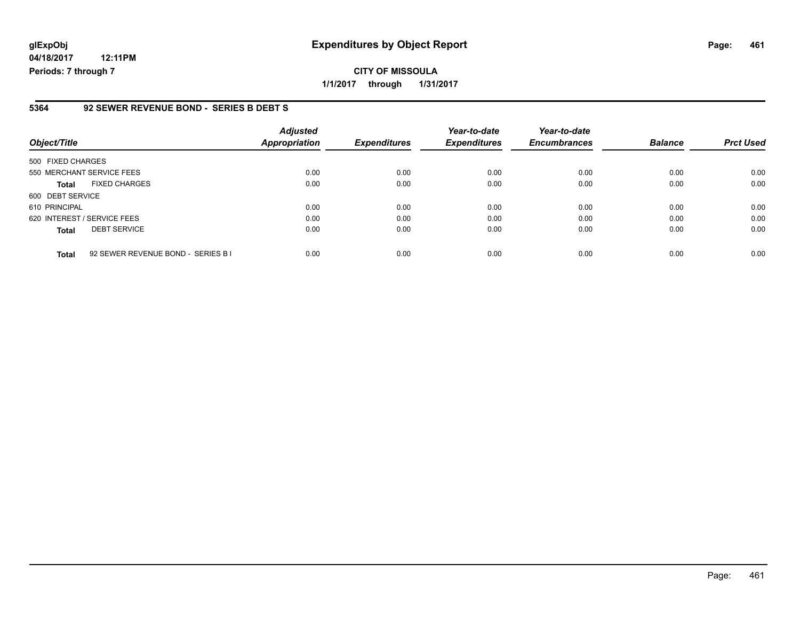## **glExpObj Expenditures by Object Report Page: 461**

**04/18/2017 12:11PM Periods: 7 through 7**

### **5364 92 SEWER REVENUE BOND - SERIES B DEBT S**

| Object/Title                |                                    | <b>Adjusted</b><br>Appropriation | <b>Expenditures</b> | Year-to-date<br><b>Expenditures</b> | Year-to-date<br><b>Encumbrances</b> | <b>Balance</b> | <b>Prct Used</b> |
|-----------------------------|------------------------------------|----------------------------------|---------------------|-------------------------------------|-------------------------------------|----------------|------------------|
| 500 FIXED CHARGES           |                                    |                                  |                     |                                     |                                     |                |                  |
| 550 MERCHANT SERVICE FEES   |                                    | 0.00                             | 0.00                | 0.00                                | 0.00                                | 0.00           | 0.00             |
| <b>Total</b>                | <b>FIXED CHARGES</b>               | 0.00                             | 0.00                | 0.00                                | 0.00                                | 0.00           | 0.00             |
| 600 DEBT SERVICE            |                                    |                                  |                     |                                     |                                     |                |                  |
| 610 PRINCIPAL               |                                    | 0.00                             | 0.00                | 0.00                                | 0.00                                | 0.00           | 0.00             |
| 620 INTEREST / SERVICE FEES |                                    | 0.00                             | 0.00                | 0.00                                | 0.00                                | 0.00           | 0.00             |
| <b>Total</b>                | <b>DEBT SERVICE</b>                | 0.00                             | 0.00                | 0.00                                | 0.00                                | 0.00           | 0.00             |
| <b>Total</b>                | 92 SEWER REVENUE BOND - SERIES B I | 0.00                             | 0.00                | 0.00                                | 0.00                                | 0.00           | 0.00             |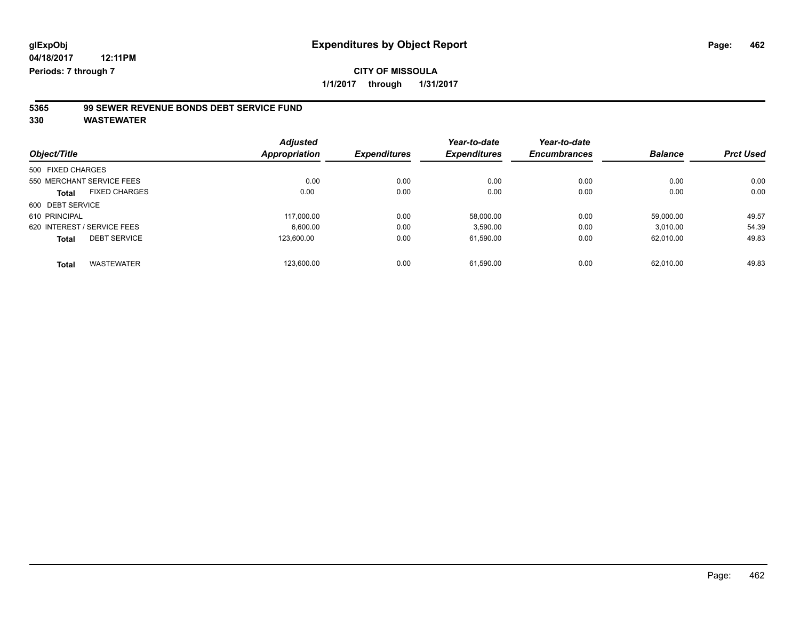# **5365 99 SEWER REVENUE BONDS DEBT SERVICE FUND**

|                                      | <b>Adjusted</b>      |                     | Year-to-date        | Year-to-date        |                |                  |
|--------------------------------------|----------------------|---------------------|---------------------|---------------------|----------------|------------------|
| Object/Title                         | <b>Appropriation</b> | <b>Expenditures</b> | <b>Expenditures</b> | <b>Encumbrances</b> | <b>Balance</b> | <b>Prct Used</b> |
| 500 FIXED CHARGES                    |                      |                     |                     |                     |                |                  |
| 550 MERCHANT SERVICE FEES            | 0.00                 | 0.00                | 0.00                | 0.00                | 0.00           | 0.00             |
| <b>FIXED CHARGES</b><br><b>Total</b> | 0.00                 | 0.00                | 0.00                | 0.00                | 0.00           | 0.00             |
| 600 DEBT SERVICE                     |                      |                     |                     |                     |                |                  |
| 610 PRINCIPAL                        | 117.000.00           | 0.00                | 58.000.00           | 0.00                | 59.000.00      | 49.57            |
| 620 INTEREST / SERVICE FEES          | 6.600.00             | 0.00                | 3,590.00            | 0.00                | 3,010.00       | 54.39            |
| <b>DEBT SERVICE</b><br><b>Total</b>  | 123.600.00           | 0.00                | 61,590.00           | 0.00                | 62.010.00      | 49.83            |
| <b>WASTEWATER</b><br><b>Total</b>    | 123.600.00           | 0.00                | 61.590.00           | 0.00                | 62.010.00      | 49.83            |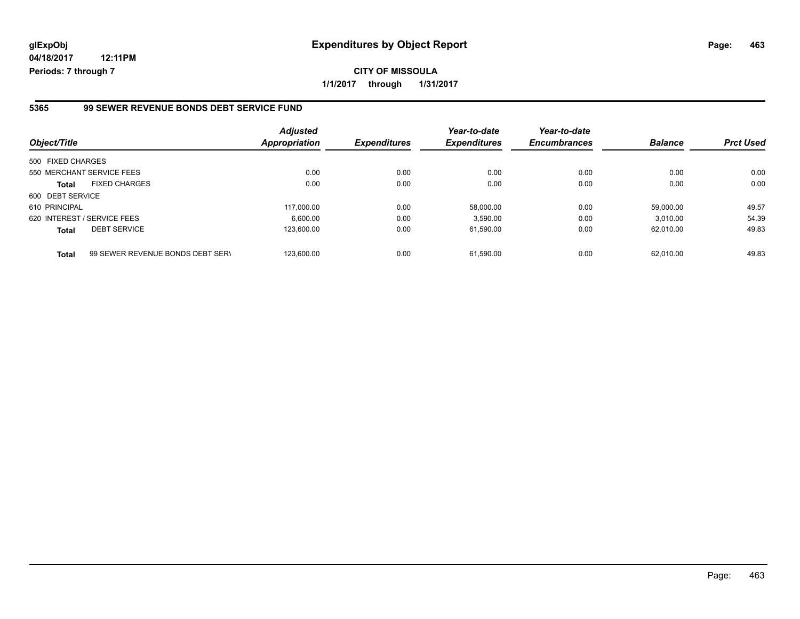## **glExpObj Expenditures by Object Report Page: 463**

**04/18/2017 12:11PM Periods: 7 through 7**

#### **5365 99 SEWER REVENUE BONDS DEBT SERVICE FUND**

| Object/Title                |                                  | <b>Adjusted</b><br>Appropriation | <b>Expenditures</b> | Year-to-date<br><b>Expenditures</b> | Year-to-date<br><b>Encumbrances</b> | <b>Balance</b> | <b>Prct Used</b> |
|-----------------------------|----------------------------------|----------------------------------|---------------------|-------------------------------------|-------------------------------------|----------------|------------------|
| 500 FIXED CHARGES           |                                  |                                  |                     |                                     |                                     |                |                  |
|                             | 550 MERCHANT SERVICE FEES        | 0.00                             | 0.00                | 0.00                                | 0.00                                | 0.00           | 0.00             |
| <b>Total</b>                | <b>FIXED CHARGES</b>             | 0.00                             | 0.00                | 0.00                                | 0.00                                | 0.00           | 0.00             |
| 600 DEBT SERVICE            |                                  |                                  |                     |                                     |                                     |                |                  |
| 610 PRINCIPAL               |                                  | 117.000.00                       | 0.00                | 58.000.00                           | 0.00                                | 59.000.00      | 49.57            |
| 620 INTEREST / SERVICE FEES |                                  | 6.600.00                         | 0.00                | 3,590.00                            | 0.00                                | 3.010.00       | 54.39            |
| <b>Total</b>                | <b>DEBT SERVICE</b>              | 123.600.00                       | 0.00                | 61,590.00                           | 0.00                                | 62.010.00      | 49.83            |
| <b>Total</b>                | 99 SEWER REVENUE BONDS DEBT SERV | 123.600.00                       | 0.00                | 61.590.00                           | 0.00                                | 62.010.00      | 49.83            |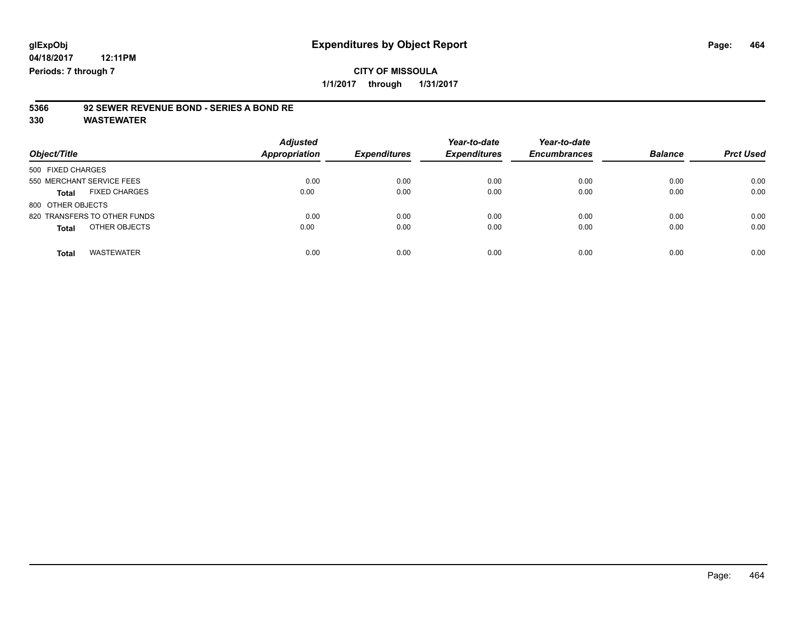# **5366 92 SEWER REVENUE BOND - SERIES A BOND RE**

| Object/Title                         | <b>Adjusted</b><br><b>Appropriation</b> | <b>Expenditures</b> | Year-to-date<br><b>Expenditures</b> | Year-to-date<br><b>Encumbrances</b> | <b>Balance</b> | <b>Prct Used</b> |
|--------------------------------------|-----------------------------------------|---------------------|-------------------------------------|-------------------------------------|----------------|------------------|
| 500 FIXED CHARGES                    |                                         |                     |                                     |                                     |                |                  |
| 550 MERCHANT SERVICE FEES            | 0.00                                    | 0.00                | 0.00                                | 0.00                                | 0.00           | 0.00             |
| <b>FIXED CHARGES</b><br><b>Total</b> | 0.00                                    | 0.00                | 0.00                                | 0.00                                | 0.00           | 0.00             |
| 800 OTHER OBJECTS                    |                                         |                     |                                     |                                     |                |                  |
| 820 TRANSFERS TO OTHER FUNDS         | 0.00                                    | 0.00                | 0.00                                | 0.00                                | 0.00           | 0.00             |
| OTHER OBJECTS<br><b>Total</b>        | 0.00                                    | 0.00                | 0.00                                | 0.00                                | 0.00           | 0.00             |
| <b>WASTEWATER</b><br>Total           | 0.00                                    | 0.00                | 0.00                                | 0.00                                | 0.00           | 0.00             |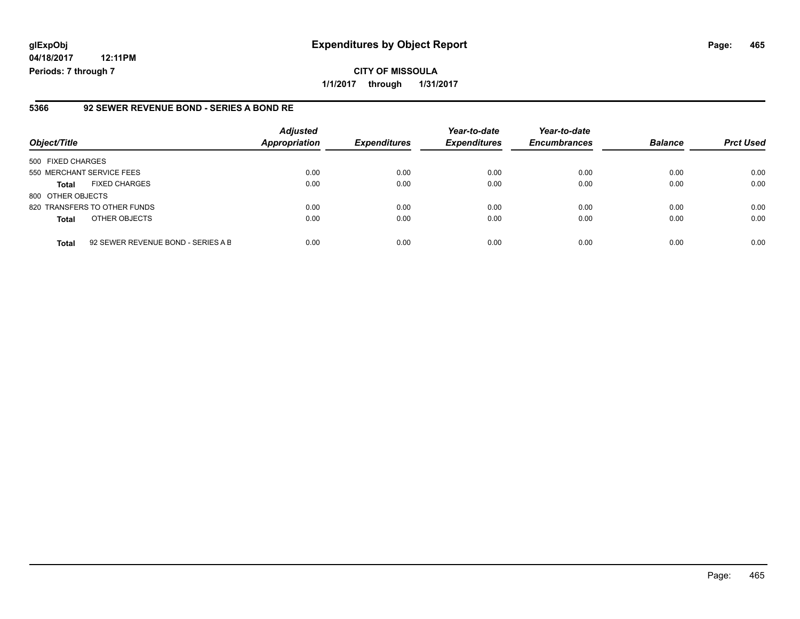## **glExpObj Expenditures by Object Report Page: 465**

**04/18/2017 12:11PM Periods: 7 through 7**

#### **5366 92 SEWER REVENUE BOND - SERIES A BOND RE**

| Object/Title              |                                    | <b>Adjusted</b><br><b>Appropriation</b> | <b>Expenditures</b> | Year-to-date<br><b>Expenditures</b> | Year-to-date<br><b>Encumbrances</b> | <b>Balance</b> | <b>Prct Used</b> |
|---------------------------|------------------------------------|-----------------------------------------|---------------------|-------------------------------------|-------------------------------------|----------------|------------------|
| 500 FIXED CHARGES         |                                    |                                         |                     |                                     |                                     |                |                  |
| 550 MERCHANT SERVICE FEES |                                    | 0.00                                    | 0.00                | 0.00                                | 0.00                                | 0.00           | 0.00             |
| <b>Total</b>              | <b>FIXED CHARGES</b>               | 0.00                                    | 0.00                | 0.00                                | 0.00                                | 0.00           | 0.00             |
| 800 OTHER OBJECTS         |                                    |                                         |                     |                                     |                                     |                |                  |
|                           | 820 TRANSFERS TO OTHER FUNDS       | 0.00                                    | 0.00                | 0.00                                | 0.00                                | 0.00           | 0.00             |
| <b>Total</b>              | OTHER OBJECTS                      | 0.00                                    | 0.00                | 0.00                                | 0.00                                | 0.00           | 0.00             |
| <b>Total</b>              | 92 SEWER REVENUE BOND - SERIES A B | 0.00                                    | 0.00                | 0.00                                | 0.00                                | 0.00           | 0.00             |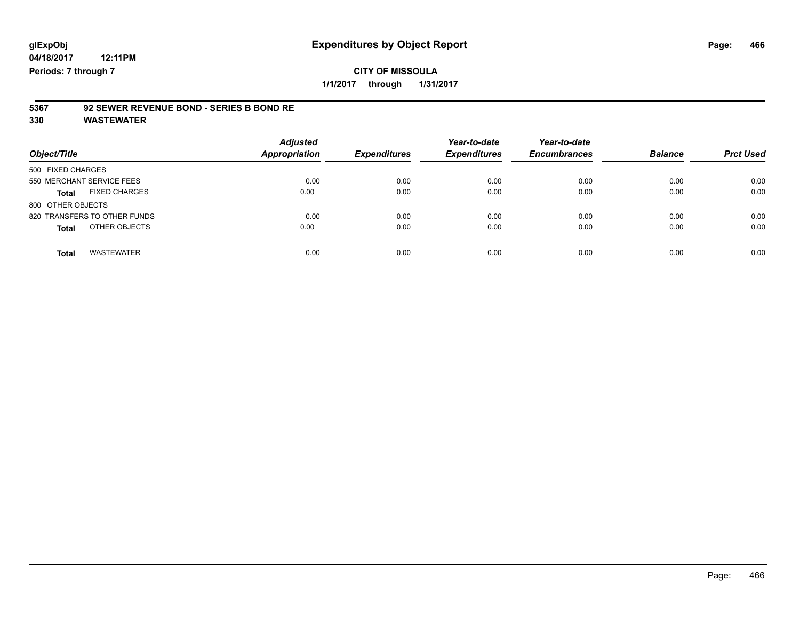# **5367 92 SEWER REVENUE BOND - SERIES B BOND RE**

| Object/Title                         | <b>Adjusted</b><br><b>Appropriation</b> | <b>Expenditures</b> | Year-to-date<br><b>Expenditures</b> | Year-to-date<br><b>Encumbrances</b> | <b>Balance</b> | <b>Prct Used</b> |
|--------------------------------------|-----------------------------------------|---------------------|-------------------------------------|-------------------------------------|----------------|------------------|
| 500 FIXED CHARGES                    |                                         |                     |                                     |                                     |                |                  |
| 550 MERCHANT SERVICE FEES            | 0.00                                    | 0.00                | 0.00                                | 0.00                                | 0.00           | 0.00             |
| <b>FIXED CHARGES</b><br><b>Total</b> | 0.00                                    | 0.00                | 0.00                                | 0.00                                | 0.00           | 0.00             |
| 800 OTHER OBJECTS                    |                                         |                     |                                     |                                     |                |                  |
| 820 TRANSFERS TO OTHER FUNDS         | 0.00                                    | 0.00                | 0.00                                | 0.00                                | 0.00           | 0.00             |
| OTHER OBJECTS<br><b>Total</b>        | 0.00                                    | 0.00                | 0.00                                | 0.00                                | 0.00           | 0.00             |
| <b>WASTEWATER</b><br><b>Total</b>    | 0.00                                    | 0.00                | 0.00                                | 0.00                                | 0.00           | 0.00             |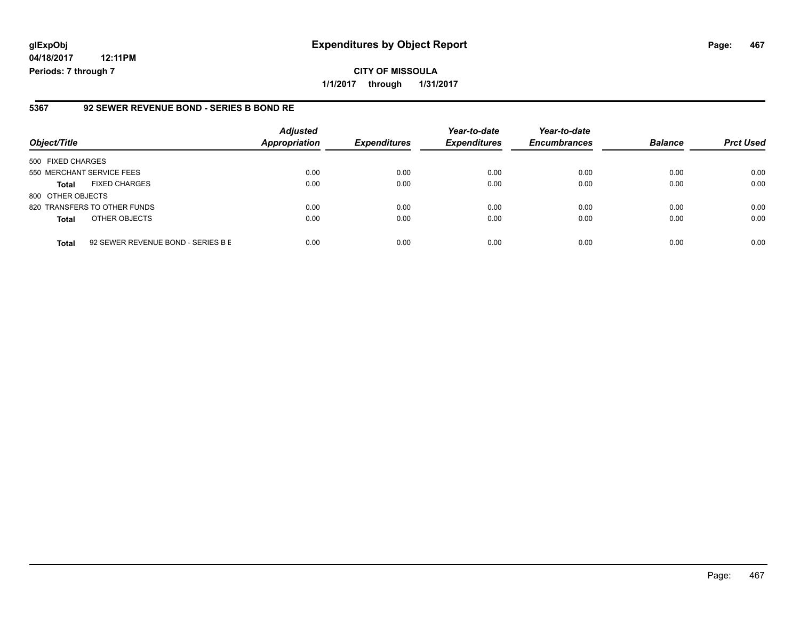## **glExpObj Expenditures by Object Report Page: 467**

**04/18/2017 12:11PM Periods: 7 through 7**

### **5367 92 SEWER REVENUE BOND - SERIES B BOND RE**

| Object/Title              |                                    | <b>Adjusted</b><br><b>Appropriation</b> | <b>Expenditures</b> | Year-to-date<br><b>Expenditures</b> | Year-to-date<br><b>Encumbrances</b> | <b>Balance</b> | <b>Prct Used</b> |
|---------------------------|------------------------------------|-----------------------------------------|---------------------|-------------------------------------|-------------------------------------|----------------|------------------|
| 500 FIXED CHARGES         |                                    |                                         |                     |                                     |                                     |                |                  |
| 550 MERCHANT SERVICE FEES |                                    | 0.00                                    | 0.00                | 0.00                                | 0.00                                | 0.00           | 0.00             |
| <b>Total</b>              | <b>FIXED CHARGES</b>               | 0.00                                    | 0.00                | 0.00                                | 0.00                                | 0.00           | 0.00             |
| 800 OTHER OBJECTS         |                                    |                                         |                     |                                     |                                     |                |                  |
|                           | 820 TRANSFERS TO OTHER FUNDS       | 0.00                                    | 0.00                | 0.00                                | 0.00                                | 0.00           | 0.00             |
| <b>Total</b>              | OTHER OBJECTS                      | 0.00                                    | 0.00                | 0.00                                | 0.00                                | 0.00           | 0.00             |
| <b>Total</b>              | 92 SEWER REVENUE BOND - SERIES B E | 0.00                                    | 0.00                | 0.00                                | 0.00                                | 0.00           | 0.00             |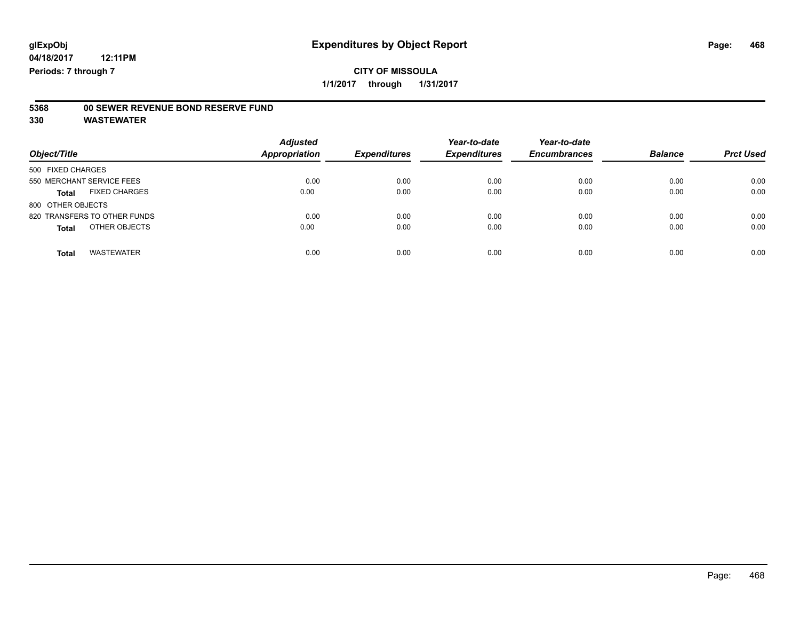# **5368 00 SEWER REVENUE BOND RESERVE FUND**

| Object/Title                         | <b>Adjusted</b><br><b>Appropriation</b> | <b>Expenditures</b> | Year-to-date<br><b>Expenditures</b> | Year-to-date<br><b>Encumbrances</b> | <b>Balance</b> | <b>Prct Used</b> |
|--------------------------------------|-----------------------------------------|---------------------|-------------------------------------|-------------------------------------|----------------|------------------|
| 500 FIXED CHARGES                    |                                         |                     |                                     |                                     |                |                  |
| 550 MERCHANT SERVICE FEES            | 0.00                                    | 0.00                | 0.00                                | 0.00                                | 0.00           | 0.00             |
| <b>FIXED CHARGES</b><br><b>Total</b> | 0.00                                    | 0.00                | 0.00                                | 0.00                                | 0.00           | 0.00             |
| 800 OTHER OBJECTS                    |                                         |                     |                                     |                                     |                |                  |
| 820 TRANSFERS TO OTHER FUNDS         | 0.00                                    | 0.00                | 0.00                                | 0.00                                | 0.00           | 0.00             |
| OTHER OBJECTS<br><b>Total</b>        | 0.00                                    | 0.00                | 0.00                                | 0.00                                | 0.00           | 0.00             |
| <b>WASTEWATER</b><br><b>Total</b>    | 0.00                                    | 0.00                | 0.00                                | 0.00                                | 0.00           | 0.00             |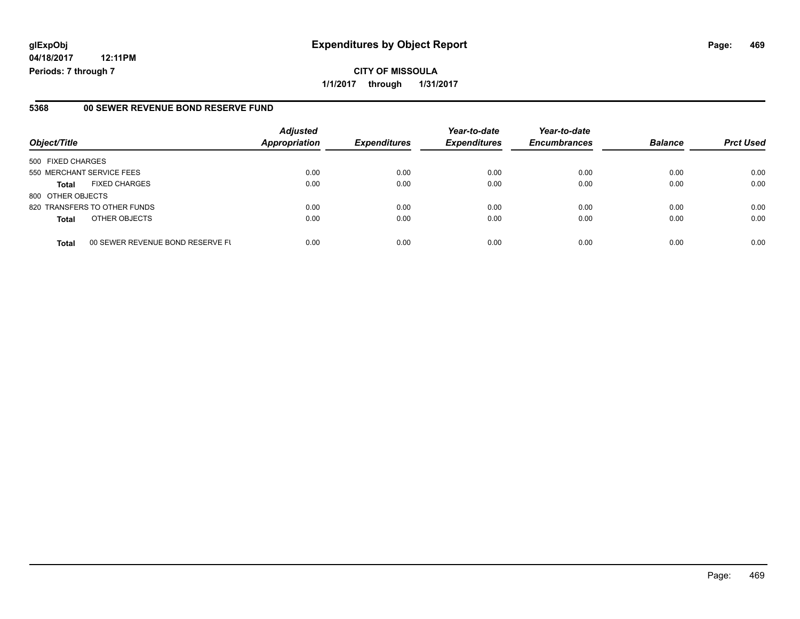# **glExpObj Expenditures by Object Report Page: 469**

**04/18/2017 12:11PM Periods: 7 through 7**

#### **5368 00 SEWER REVENUE BOND RESERVE FUND**

| Object/Title              |                                  | <b>Adjusted</b><br><b>Appropriation</b> | <b>Expenditures</b> | Year-to-date<br><b>Expenditures</b> | Year-to-date<br><b>Encumbrances</b> | <b>Balance</b> | <b>Prct Used</b> |
|---------------------------|----------------------------------|-----------------------------------------|---------------------|-------------------------------------|-------------------------------------|----------------|------------------|
| 500 FIXED CHARGES         |                                  |                                         |                     |                                     |                                     |                |                  |
| 550 MERCHANT SERVICE FEES |                                  | 0.00                                    | 0.00                | 0.00                                | 0.00                                | 0.00           | 0.00             |
| <b>Total</b>              | <b>FIXED CHARGES</b>             | 0.00                                    | 0.00                | 0.00                                | 0.00                                | 0.00           | 0.00             |
| 800 OTHER OBJECTS         |                                  |                                         |                     |                                     |                                     |                |                  |
|                           | 820 TRANSFERS TO OTHER FUNDS     | 0.00                                    | 0.00                | 0.00                                | 0.00                                | 0.00           | 0.00             |
| <b>Total</b>              | OTHER OBJECTS                    | 0.00                                    | 0.00                | 0.00                                | 0.00                                | 0.00           | 0.00             |
| <b>Total</b>              | 00 SEWER REVENUE BOND RESERVE FU | 0.00                                    | 0.00                | 0.00                                | 0.00                                | 0.00           | 0.00             |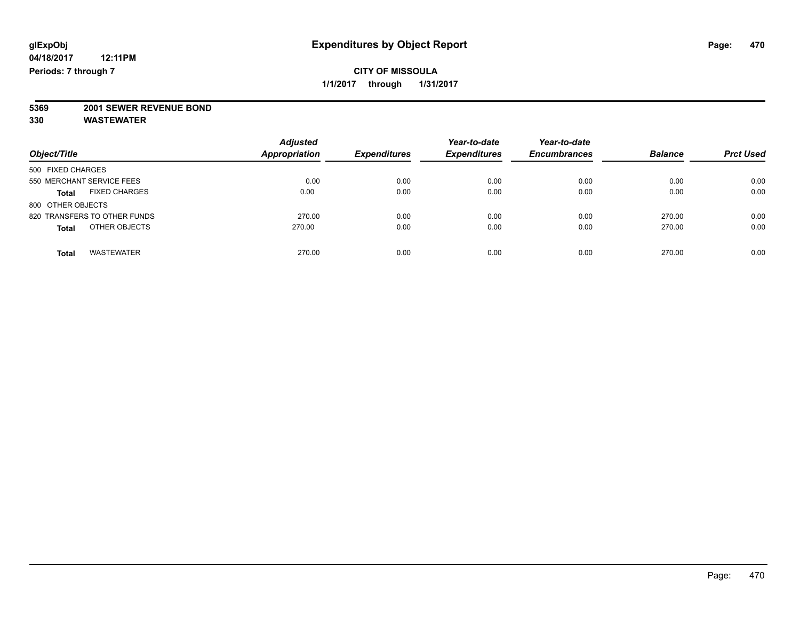**5369 2001 SEWER REVENUE BOND**

| Object/Title                         | <b>Adjusted</b><br><b>Appropriation</b> | <b>Expenditures</b> | Year-to-date<br><b>Expenditures</b> | Year-to-date<br><b>Encumbrances</b> | <b>Balance</b> | <b>Prct Used</b> |
|--------------------------------------|-----------------------------------------|---------------------|-------------------------------------|-------------------------------------|----------------|------------------|
| 500 FIXED CHARGES                    |                                         |                     |                                     |                                     |                |                  |
| 550 MERCHANT SERVICE FEES            | 0.00                                    | 0.00                | 0.00                                | 0.00                                | 0.00           | 0.00             |
| <b>FIXED CHARGES</b><br><b>Total</b> | 0.00                                    | 0.00                | 0.00                                | 0.00                                | 0.00           | 0.00             |
| 800 OTHER OBJECTS                    |                                         |                     |                                     |                                     |                |                  |
| 820 TRANSFERS TO OTHER FUNDS         | 270.00                                  | 0.00                | 0.00                                | 0.00                                | 270.00         | 0.00             |
| OTHER OBJECTS<br><b>Total</b>        | 270.00                                  | 0.00                | 0.00                                | 0.00                                | 270.00         | 0.00             |
| <b>WASTEWATER</b><br>Total           | 270.00                                  | 0.00                | 0.00                                | 0.00                                | 270.00         | 0.00             |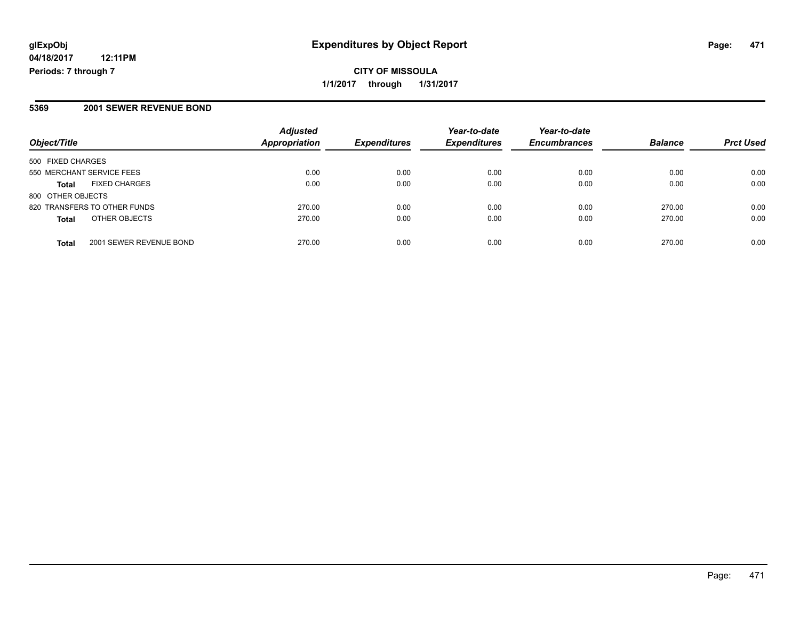# **CITY OF MISSOULA 1/1/2017 through 1/31/2017**

### **5369 2001 SEWER REVENUE BOND**

| Object/Title                            | <b>Adjusted</b><br>Appropriation | <b>Expenditures</b> | Year-to-date<br><b>Expenditures</b> | Year-to-date<br><b>Encumbrances</b> | <b>Balance</b> | <b>Prct Used</b> |
|-----------------------------------------|----------------------------------|---------------------|-------------------------------------|-------------------------------------|----------------|------------------|
| 500 FIXED CHARGES                       |                                  |                     |                                     |                                     |                |                  |
| 550 MERCHANT SERVICE FEES               | 0.00                             | 0.00                | 0.00                                | 0.00                                | 0.00           | 0.00             |
| <b>FIXED CHARGES</b><br><b>Total</b>    | 0.00                             | 0.00                | 0.00                                | 0.00                                | 0.00           | 0.00             |
| 800 OTHER OBJECTS                       |                                  |                     |                                     |                                     |                |                  |
| 820 TRANSFERS TO OTHER FUNDS            | 270.00                           | 0.00                | 0.00                                | 0.00                                | 270.00         | 0.00             |
| OTHER OBJECTS<br><b>Total</b>           | 270.00                           | 0.00                | 0.00                                | 0.00                                | 270.00         | 0.00             |
| 2001 SEWER REVENUE BOND<br><b>Total</b> | 270.00                           | 0.00                | 0.00                                | 0.00                                | 270.00         | 0.00             |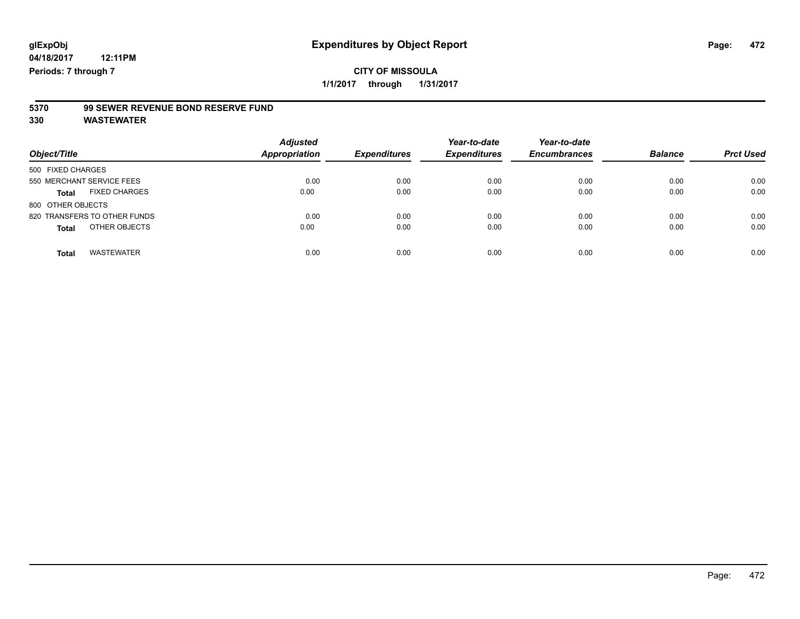**1/1/2017 through 1/31/2017**

# **5370 99 SEWER REVENUE BOND RESERVE FUND**

| Object/Title                         | <b>Adjusted</b><br><b>Appropriation</b> | <b>Expenditures</b> | Year-to-date<br><b>Expenditures</b> | Year-to-date<br><b>Encumbrances</b> | <b>Balance</b> | <b>Prct Used</b> |
|--------------------------------------|-----------------------------------------|---------------------|-------------------------------------|-------------------------------------|----------------|------------------|
| 500 FIXED CHARGES                    |                                         |                     |                                     |                                     |                |                  |
| 550 MERCHANT SERVICE FEES            | 0.00                                    | 0.00                | 0.00                                | 0.00                                | 0.00           | 0.00             |
| <b>FIXED CHARGES</b><br><b>Total</b> | 0.00                                    | 0.00                | 0.00                                | 0.00                                | 0.00           | 0.00             |
| 800 OTHER OBJECTS                    |                                         |                     |                                     |                                     |                |                  |
| 820 TRANSFERS TO OTHER FUNDS         | 0.00                                    | 0.00                | 0.00                                | 0.00                                | 0.00           | 0.00             |
| OTHER OBJECTS<br><b>Total</b>        | 0.00                                    | 0.00                | 0.00                                | 0.00                                | 0.00           | 0.00             |
| <b>WASTEWATER</b><br><b>Total</b>    | 0.00                                    | 0.00                | 0.00                                | 0.00                                | 0.00           | 0.00             |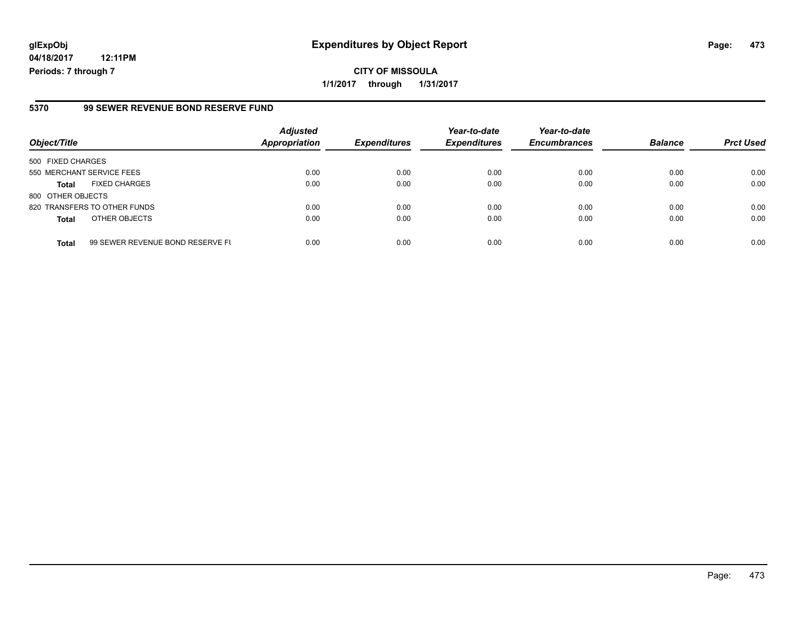# **glExpObj Expenditures by Object Report Page: 473**

**04/18/2017 12:11PM Periods: 7 through 7**

### **5370 99 SEWER REVENUE BOND RESERVE FUND**

| Object/Title              |                                  | <b>Adjusted</b><br><b>Appropriation</b> | <b>Expenditures</b> | Year-to-date<br><b>Expenditures</b> | Year-to-date<br><b>Encumbrances</b> | <b>Balance</b> | <b>Prct Used</b> |
|---------------------------|----------------------------------|-----------------------------------------|---------------------|-------------------------------------|-------------------------------------|----------------|------------------|
| 500 FIXED CHARGES         |                                  |                                         |                     |                                     |                                     |                |                  |
| 550 MERCHANT SERVICE FEES |                                  | 0.00                                    | 0.00                | 0.00                                | 0.00                                | 0.00           | 0.00             |
| <b>Total</b>              | <b>FIXED CHARGES</b>             | 0.00                                    | 0.00                | 0.00                                | 0.00                                | 0.00           | 0.00             |
| 800 OTHER OBJECTS         |                                  |                                         |                     |                                     |                                     |                |                  |
|                           | 820 TRANSFERS TO OTHER FUNDS     | 0.00                                    | 0.00                | 0.00                                | 0.00                                | 0.00           | 0.00             |
| <b>Total</b>              | OTHER OBJECTS                    | 0.00                                    | 0.00                | 0.00                                | 0.00                                | 0.00           | 0.00             |
| <b>Total</b>              | 99 SEWER REVENUE BOND RESERVE FU | 0.00                                    | 0.00                | 0.00                                | 0.00                                | 0.00           | 0.00             |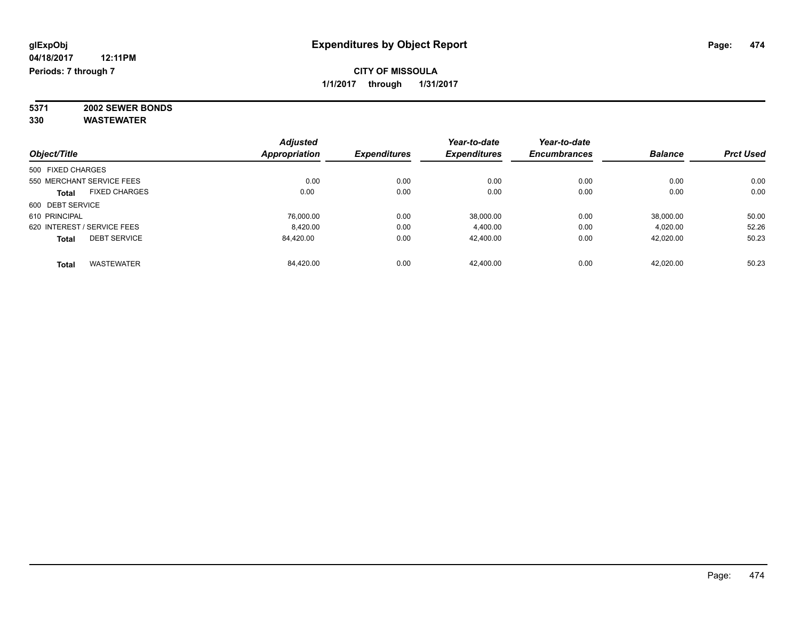**5371 2002 SEWER BONDS 330 WASTEWATER**

*Object/Title Adjusted Appropriation Expenditures Year-to-date Expenditures Year-to-date Encumbrances Balance Prct Used* 500 FIXED CHARGES 550 MERCHANT SERVICE FEES 0.00 0.00 0.00 0.00 0.00 0.00 **Total** FIXED CHARGES 0.00 0.00 0.00 0.00 0.00 0.00 600 DEBT SERVICE 610 PRINCIPAL 76,000.00 0.00 38,000.00 0.00 38,000.00 50.00 620 INTEREST / SERVICE FEES 8,420.00 0.00 4,400.00 0.00 4,020.00 52.26 **Total** DEBT SERVICE 84,420.00 0.00 42,400.00 0.00 42,020.00 50.23 **Total** WASTEWATER 84,420.00 0.00 42,400.00 0.00 42,020.00 50.23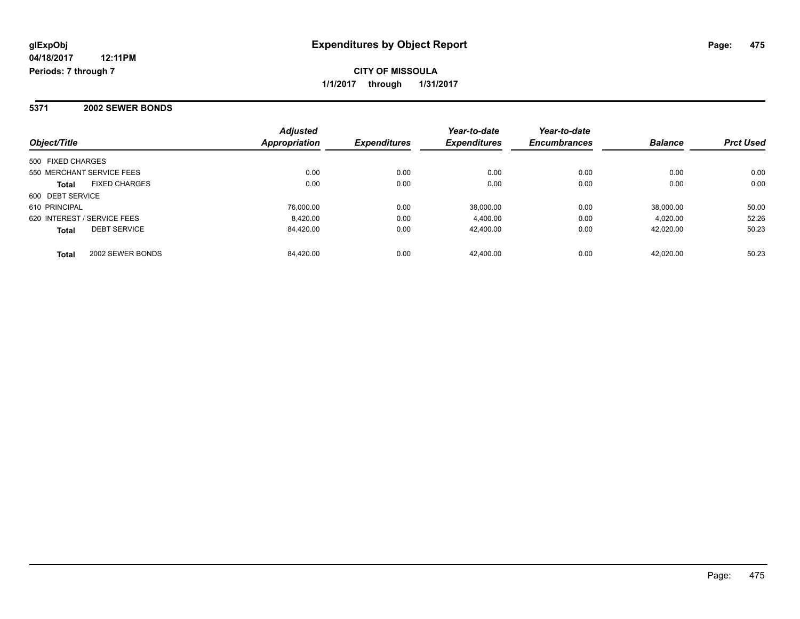### **5371 2002 SEWER BONDS**

| Object/Title                         | <b>Adjusted</b><br>Appropriation | <b>Expenditures</b> | Year-to-date<br><b>Expenditures</b> | Year-to-date<br><b>Encumbrances</b> | <b>Balance</b> | <b>Prct Used</b> |
|--------------------------------------|----------------------------------|---------------------|-------------------------------------|-------------------------------------|----------------|------------------|
| 500 FIXED CHARGES                    |                                  |                     |                                     |                                     |                |                  |
| 550 MERCHANT SERVICE FEES            | 0.00                             | 0.00                | 0.00                                | 0.00                                | 0.00           | 0.00             |
| <b>FIXED CHARGES</b><br><b>Total</b> | 0.00                             | 0.00                | 0.00                                | 0.00                                | 0.00           | 0.00             |
| 600 DEBT SERVICE                     |                                  |                     |                                     |                                     |                |                  |
| 610 PRINCIPAL                        | 76.000.00                        | 0.00                | 38.000.00                           | 0.00                                | 38,000.00      | 50.00            |
| 620 INTEREST / SERVICE FEES          | 8.420.00                         | 0.00                | 4.400.00                            | 0.00                                | 4.020.00       | 52.26            |
| <b>DEBT SERVICE</b><br><b>Total</b>  | 84.420.00                        | 0.00                | 42.400.00                           | 0.00                                | 42.020.00      | 50.23            |
| 2002 SEWER BONDS<br><b>Total</b>     | 84.420.00                        | 0.00                | 42.400.00                           | 0.00                                | 42.020.00      | 50.23            |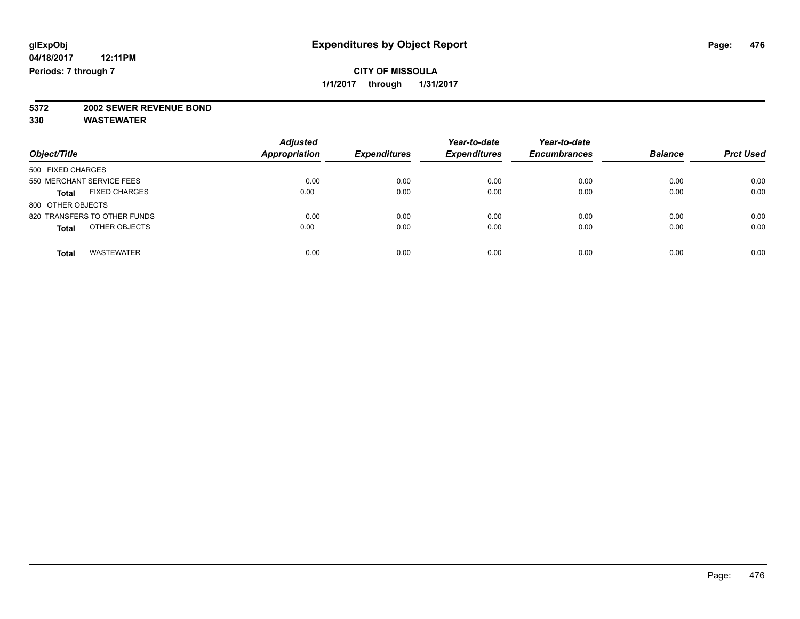# **5372 2002 SEWER REVENUE BOND**

| Object/Title                         | <b>Adjusted</b><br><b>Appropriation</b> | <b>Expenditures</b> | Year-to-date<br><b>Expenditures</b> | Year-to-date<br><b>Encumbrances</b> | <b>Balance</b> | <b>Prct Used</b> |
|--------------------------------------|-----------------------------------------|---------------------|-------------------------------------|-------------------------------------|----------------|------------------|
| 500 FIXED CHARGES                    |                                         |                     |                                     |                                     |                |                  |
| 550 MERCHANT SERVICE FEES            | 0.00                                    | 0.00                | 0.00                                | 0.00                                | 0.00           | 0.00             |
| <b>FIXED CHARGES</b><br><b>Total</b> | 0.00                                    | 0.00                | 0.00                                | 0.00                                | 0.00           | 0.00             |
| 800 OTHER OBJECTS                    |                                         |                     |                                     |                                     |                |                  |
| 820 TRANSFERS TO OTHER FUNDS         | 0.00                                    | 0.00                | 0.00                                | 0.00                                | 0.00           | 0.00             |
| OTHER OBJECTS<br><b>Total</b>        | 0.00                                    | 0.00                | 0.00                                | 0.00                                | 0.00           | 0.00             |
| <b>WASTEWATER</b><br>Total           | 0.00                                    | 0.00                | 0.00                                | 0.00                                | 0.00           | 0.00             |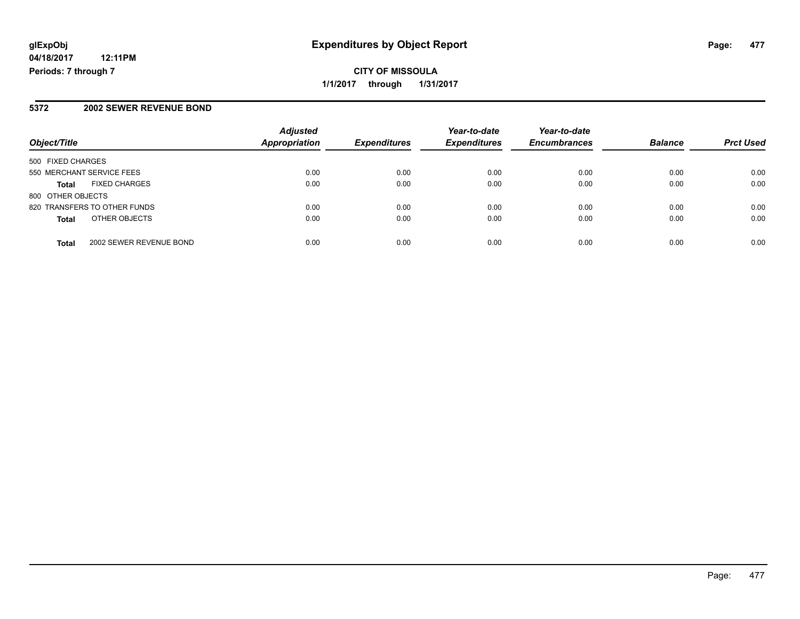# **CITY OF MISSOULA 1/1/2017 through 1/31/2017**

### **5372 2002 SEWER REVENUE BOND**

| Object/Title                            | <b>Adjusted</b><br>Appropriation | <b>Expenditures</b> | Year-to-date<br><b>Expenditures</b> | Year-to-date<br><b>Encumbrances</b> | <b>Balance</b> | <b>Prct Used</b> |
|-----------------------------------------|----------------------------------|---------------------|-------------------------------------|-------------------------------------|----------------|------------------|
| 500 FIXED CHARGES                       |                                  |                     |                                     |                                     |                |                  |
| 550 MERCHANT SERVICE FEES               | 0.00                             | 0.00                | 0.00                                | 0.00                                | 0.00           | 0.00             |
| <b>FIXED CHARGES</b><br><b>Total</b>    | 0.00                             | 0.00                | 0.00                                | 0.00                                | 0.00           | 0.00             |
| 800 OTHER OBJECTS                       |                                  |                     |                                     |                                     |                |                  |
| 820 TRANSFERS TO OTHER FUNDS            | 0.00                             | 0.00                | 0.00                                | 0.00                                | 0.00           | 0.00             |
| OTHER OBJECTS<br><b>Total</b>           | 0.00                             | 0.00                | 0.00                                | 0.00                                | 0.00           | 0.00             |
| 2002 SEWER REVENUE BOND<br><b>Total</b> | 0.00                             | 0.00                | 0.00                                | 0.00                                | 0.00           | 0.00             |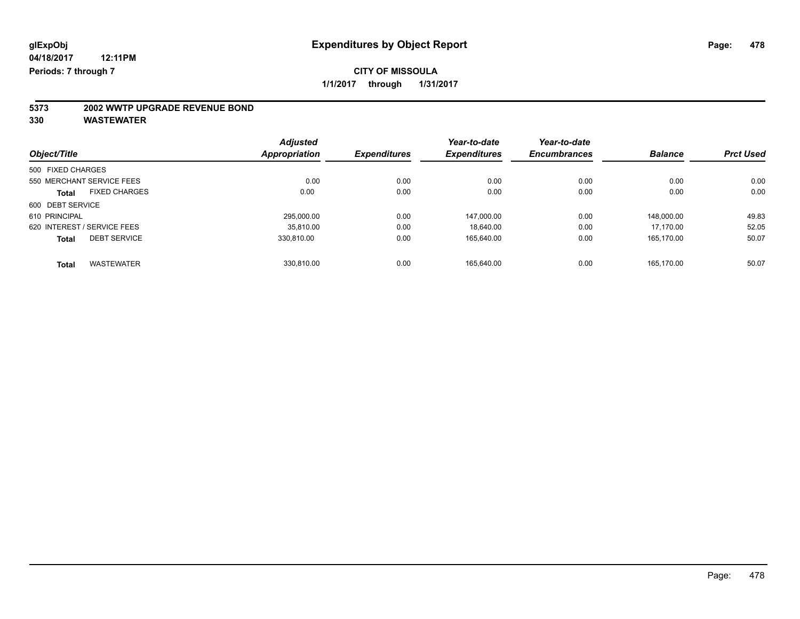# **5373 2002 WWTP UPGRADE REVENUE BOND**

|                             |                      | <b>Adjusted</b>      |                     | Year-to-date        | Year-to-date        |                |                  |
|-----------------------------|----------------------|----------------------|---------------------|---------------------|---------------------|----------------|------------------|
| Object/Title                |                      | <b>Appropriation</b> | <b>Expenditures</b> | <b>Expenditures</b> | <b>Encumbrances</b> | <b>Balance</b> | <b>Prct Used</b> |
| 500 FIXED CHARGES           |                      |                      |                     |                     |                     |                |                  |
| 550 MERCHANT SERVICE FEES   |                      | 0.00                 | 0.00                | 0.00                | 0.00                | 0.00           | 0.00             |
| <b>Total</b>                | <b>FIXED CHARGES</b> | 0.00                 | 0.00                | 0.00                | 0.00                | 0.00           | 0.00             |
| 600 DEBT SERVICE            |                      |                      |                     |                     |                     |                |                  |
| 610 PRINCIPAL               |                      | 295.000.00           | 0.00                | 147.000.00          | 0.00                | 148.000.00     | 49.83            |
| 620 INTEREST / SERVICE FEES |                      | 35.810.00            | 0.00                | 18.640.00           | 0.00                | 17.170.00      | 52.05            |
| <b>Total</b>                | <b>DEBT SERVICE</b>  | 330.810.00           | 0.00                | 165,640.00          | 0.00                | 165.170.00     | 50.07            |
| <b>Total</b>                | <b>WASTEWATER</b>    | 330.810.00           | 0.00                | 165.640.00          | 0.00                | 165.170.00     | 50.07            |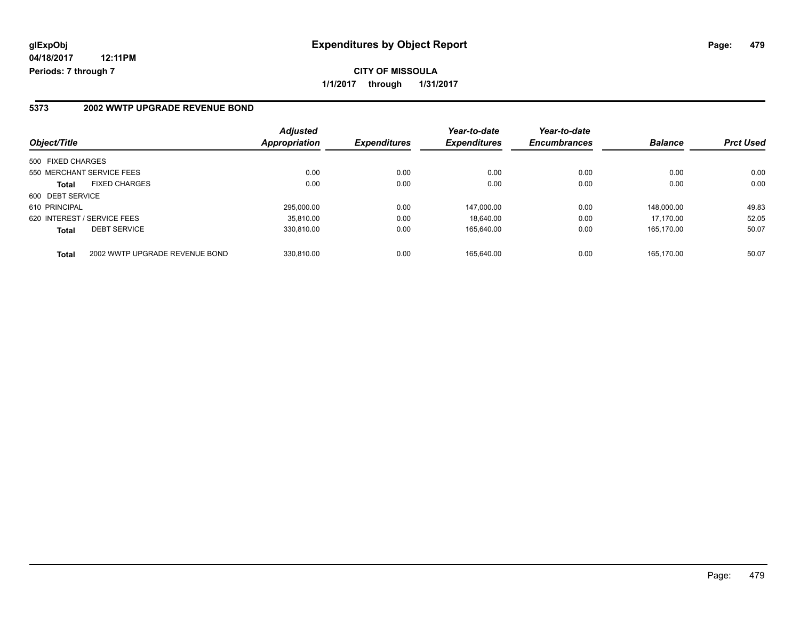**CITY OF MISSOULA 1/1/2017 through 1/31/2017**

#### **5373 2002 WWTP UPGRADE REVENUE BOND**

| Object/Title                |                                | <b>Adjusted</b><br>Appropriation | <b>Expenditures</b> | Year-to-date<br><b>Expenditures</b> | Year-to-date<br><b>Encumbrances</b> | <b>Balance</b> | <b>Prct Used</b> |
|-----------------------------|--------------------------------|----------------------------------|---------------------|-------------------------------------|-------------------------------------|----------------|------------------|
| 500 FIXED CHARGES           |                                |                                  |                     |                                     |                                     |                |                  |
| 550 MERCHANT SERVICE FEES   |                                | 0.00                             | 0.00                | 0.00                                | 0.00                                | 0.00           | 0.00             |
| <b>Total</b>                | <b>FIXED CHARGES</b>           | 0.00                             | 0.00                | 0.00                                | 0.00                                | 0.00           | 0.00             |
| 600 DEBT SERVICE            |                                |                                  |                     |                                     |                                     |                |                  |
| 610 PRINCIPAL               |                                | 295.000.00                       | 0.00                | 147.000.00                          | 0.00                                | 148.000.00     | 49.83            |
| 620 INTEREST / SERVICE FEES |                                | 35.810.00                        | 0.00                | 18.640.00                           | 0.00                                | 17.170.00      | 52.05            |
| <b>Total</b>                | <b>DEBT SERVICE</b>            | 330.810.00                       | 0.00                | 165,640.00                          | 0.00                                | 165.170.00     | 50.07            |
| <b>Total</b>                | 2002 WWTP UPGRADE REVENUE BOND | 330.810.00                       | 0.00                | 165.640.00                          | 0.00                                | 165.170.00     | 50.07            |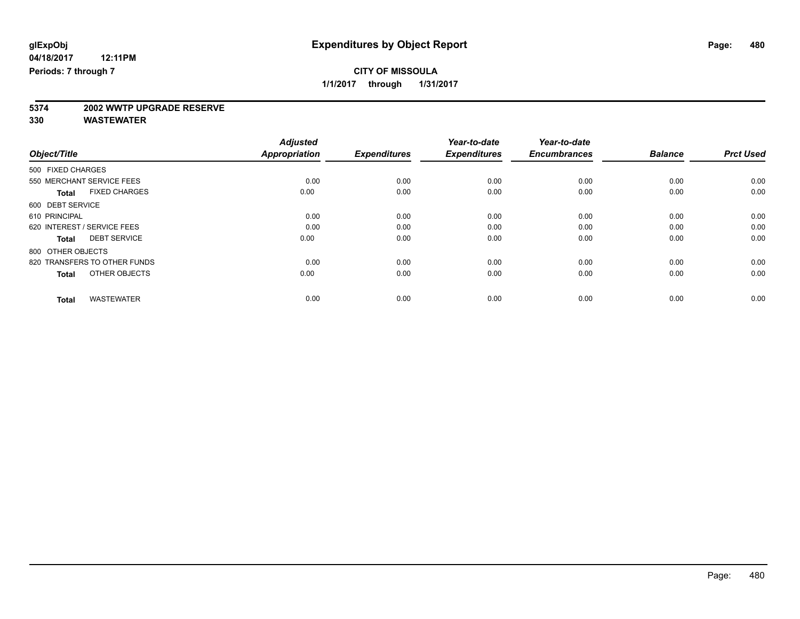# **5374 2002 WWTP UPGRADE RESERVE**

|                                      | <b>Adjusted</b>      |                     | Year-to-date        | Year-to-date        |                |                  |
|--------------------------------------|----------------------|---------------------|---------------------|---------------------|----------------|------------------|
| Object/Title                         | <b>Appropriation</b> | <b>Expenditures</b> | <b>Expenditures</b> | <b>Encumbrances</b> | <b>Balance</b> | <b>Prct Used</b> |
| 500 FIXED CHARGES                    |                      |                     |                     |                     |                |                  |
| 550 MERCHANT SERVICE FEES            | 0.00                 | 0.00                | 0.00                | 0.00                | 0.00           | 0.00             |
| <b>FIXED CHARGES</b><br><b>Total</b> | 0.00                 | 0.00                | 0.00                | 0.00                | 0.00           | 0.00             |
| 600 DEBT SERVICE                     |                      |                     |                     |                     |                |                  |
| 610 PRINCIPAL                        | 0.00                 | 0.00                | 0.00                | 0.00                | 0.00           | 0.00             |
| 620 INTEREST / SERVICE FEES          | 0.00                 | 0.00                | 0.00                | 0.00                | 0.00           | 0.00             |
| <b>DEBT SERVICE</b><br><b>Total</b>  | 0.00                 | 0.00                | 0.00                | 0.00                | 0.00           | 0.00             |
| 800 OTHER OBJECTS                    |                      |                     |                     |                     |                |                  |
| 820 TRANSFERS TO OTHER FUNDS         | 0.00                 | 0.00                | 0.00                | 0.00                | 0.00           | 0.00             |
| OTHER OBJECTS<br><b>Total</b>        | 0.00                 | 0.00                | 0.00                | 0.00                | 0.00           | 0.00             |
|                                      |                      |                     |                     |                     |                |                  |
| <b>WASTEWATER</b><br><b>Total</b>    | 0.00                 | 0.00                | 0.00                | 0.00                | 0.00           | 0.00             |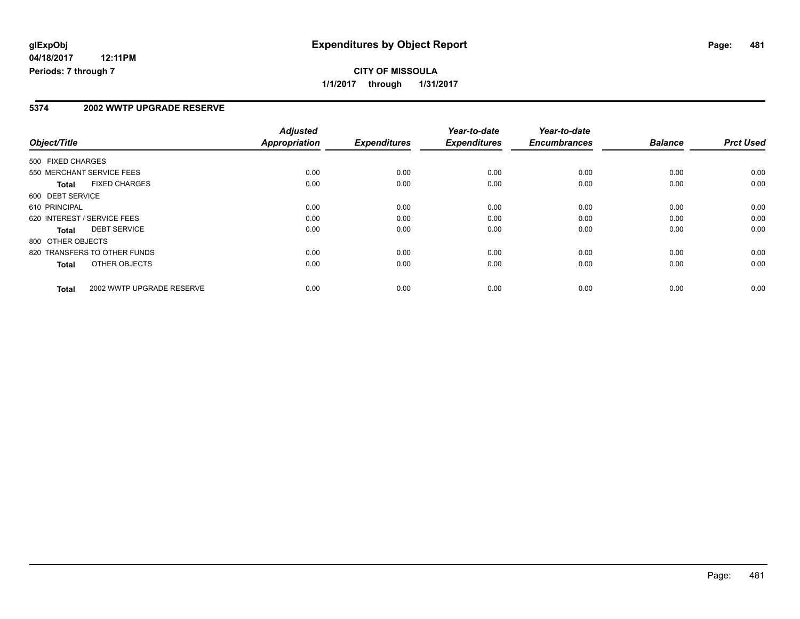# **CITY OF MISSOULA 1/1/2017 through 1/31/2017**

### **5374 2002 WWTP UPGRADE RESERVE**

|                   |                              | <b>Adjusted</b>      |                     | Year-to-date        | Year-to-date        |                |                  |
|-------------------|------------------------------|----------------------|---------------------|---------------------|---------------------|----------------|------------------|
| Object/Title      |                              | <b>Appropriation</b> | <b>Expenditures</b> | <b>Expenditures</b> | <b>Encumbrances</b> | <b>Balance</b> | <b>Prct Used</b> |
| 500 FIXED CHARGES |                              |                      |                     |                     |                     |                |                  |
|                   | 550 MERCHANT SERVICE FEES    | 0.00                 | 0.00                | 0.00                | 0.00                | 0.00           | 0.00             |
| <b>Total</b>      | <b>FIXED CHARGES</b>         | 0.00                 | 0.00                | 0.00                | 0.00                | 0.00           | 0.00             |
| 600 DEBT SERVICE  |                              |                      |                     |                     |                     |                |                  |
| 610 PRINCIPAL     |                              | 0.00                 | 0.00                | 0.00                | 0.00                | 0.00           | 0.00             |
|                   | 620 INTEREST / SERVICE FEES  | 0.00                 | 0.00                | 0.00                | 0.00                | 0.00           | 0.00             |
| <b>Total</b>      | <b>DEBT SERVICE</b>          | 0.00                 | 0.00                | 0.00                | 0.00                | 0.00           | 0.00             |
| 800 OTHER OBJECTS |                              |                      |                     |                     |                     |                |                  |
|                   | 820 TRANSFERS TO OTHER FUNDS | 0.00                 | 0.00                | 0.00                | 0.00                | 0.00           | 0.00             |
| <b>Total</b>      | OTHER OBJECTS                | 0.00                 | 0.00                | 0.00                | 0.00                | 0.00           | 0.00             |
| Total             | 2002 WWTP UPGRADE RESERVE    | 0.00                 | 0.00                | 0.00                | 0.00                | 0.00           | 0.00             |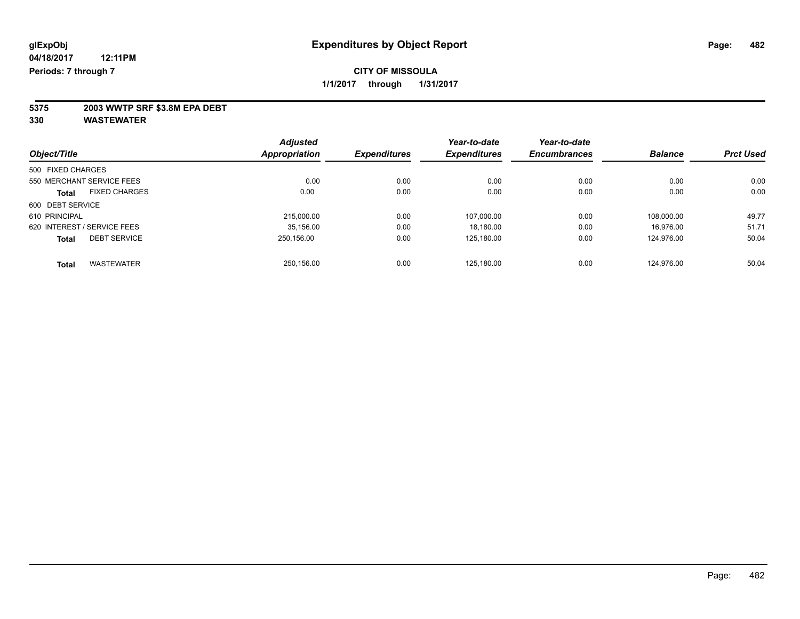**5375 2003 WWTP SRF \$3.8M EPA DEBT**

|                                     |                      | <b>Adjusted</b> | Year-to-date        | Year-to-date        |                     |                |                  |
|-------------------------------------|----------------------|-----------------|---------------------|---------------------|---------------------|----------------|------------------|
| Object/Title                        |                      | Appropriation   | <b>Expenditures</b> | <b>Expenditures</b> | <b>Encumbrances</b> | <b>Balance</b> | <b>Prct Used</b> |
| 500 FIXED CHARGES                   |                      |                 |                     |                     |                     |                |                  |
| 550 MERCHANT SERVICE FEES           |                      | 0.00            | 0.00                | 0.00                | 0.00                | 0.00           | 0.00             |
| <b>Total</b>                        | <b>FIXED CHARGES</b> | 0.00            | 0.00                | 0.00                | 0.00                | 0.00           | 0.00             |
| 600 DEBT SERVICE                    |                      |                 |                     |                     |                     |                |                  |
| 610 PRINCIPAL                       |                      | 215,000.00      | 0.00                | 107,000.00          | 0.00                | 108.000.00     | 49.77            |
| 620 INTEREST / SERVICE FEES         |                      | 35,156.00       | 0.00                | 18,180.00           | 0.00                | 16.976.00      | 51.71            |
| <b>DEBT SERVICE</b><br><b>Total</b> |                      | 250.156.00      | 0.00                | 125.180.00          | 0.00                | 124.976.00     | 50.04            |
| <b>WASTEWATER</b><br><b>Total</b>   |                      | 250.156.00      | 0.00                | 125.180.00          | 0.00                | 124.976.00     | 50.04            |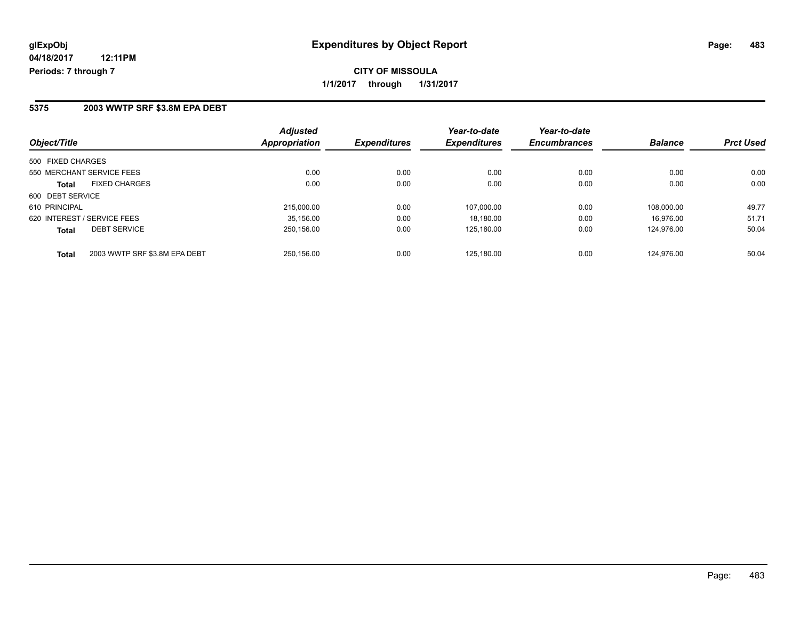**CITY OF MISSOULA 1/1/2017 through 1/31/2017**

#### **5375 2003 WWTP SRF \$3.8M EPA DEBT**

| Object/Title                                  | <b>Adjusted</b><br>Appropriation | <b>Expenditures</b> | Year-to-date<br><b>Expenditures</b> | Year-to-date<br><b>Encumbrances</b> | <b>Balance</b> | <b>Prct Used</b> |
|-----------------------------------------------|----------------------------------|---------------------|-------------------------------------|-------------------------------------|----------------|------------------|
| 500 FIXED CHARGES                             |                                  |                     |                                     |                                     |                |                  |
| 550 MERCHANT SERVICE FEES                     | 0.00                             | 0.00                | 0.00                                | 0.00                                | 0.00           | 0.00             |
| <b>FIXED CHARGES</b><br><b>Total</b>          | 0.00                             | 0.00                | 0.00                                | 0.00                                | 0.00           | 0.00             |
| 600 DEBT SERVICE                              |                                  |                     |                                     |                                     |                |                  |
| 610 PRINCIPAL                                 | 215,000.00                       | 0.00                | 107,000.00                          | 0.00                                | 108.000.00     | 49.77            |
| 620 INTEREST / SERVICE FEES                   | 35.156.00                        | 0.00                | 18,180.00                           | 0.00                                | 16.976.00      | 51.71            |
| <b>DEBT SERVICE</b><br><b>Total</b>           | 250,156.00                       | 0.00                | 125,180.00                          | 0.00                                | 124.976.00     | 50.04            |
| 2003 WWTP SRF \$3.8M EPA DEBT<br><b>Total</b> | 250.156.00                       | 0.00                | 125.180.00                          | 0.00                                | 124.976.00     | 50.04            |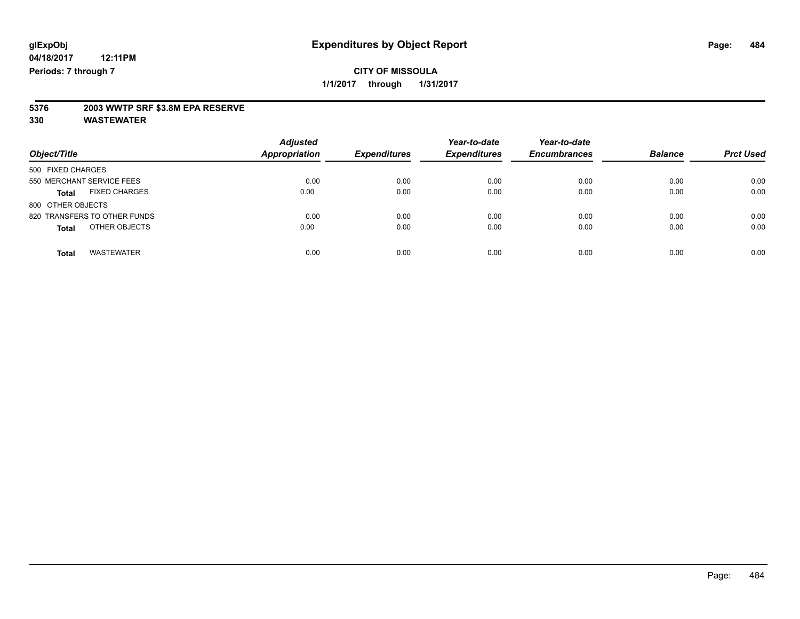## **CITY OF MISSOULA 1/1/2017 through 1/31/2017**

# **5376 2003 WWTP SRF \$3.8M EPA RESERVE**

| Object/Title                         | <b>Adjusted</b><br><b>Appropriation</b> | <b>Expenditures</b> | Year-to-date<br><b>Expenditures</b> | Year-to-date<br><b>Encumbrances</b> | <b>Balance</b> | <b>Prct Used</b> |
|--------------------------------------|-----------------------------------------|---------------------|-------------------------------------|-------------------------------------|----------------|------------------|
| 500 FIXED CHARGES                    |                                         |                     |                                     |                                     |                |                  |
| 550 MERCHANT SERVICE FEES            | 0.00                                    | 0.00                | 0.00                                | 0.00                                | 0.00           | 0.00             |
| <b>FIXED CHARGES</b><br><b>Total</b> | 0.00                                    | 0.00                | 0.00                                | 0.00                                | 0.00           | 0.00             |
| 800 OTHER OBJECTS                    |                                         |                     |                                     |                                     |                |                  |
| 820 TRANSFERS TO OTHER FUNDS         | 0.00                                    | 0.00                | 0.00                                | 0.00                                | 0.00           | 0.00             |
| OTHER OBJECTS<br><b>Total</b>        | 0.00                                    | 0.00                | 0.00                                | 0.00                                | 0.00           | 0.00             |
| <b>WASTEWATER</b><br>Total           | 0.00                                    | 0.00                | 0.00                                | 0.00                                | 0.00           | 0.00             |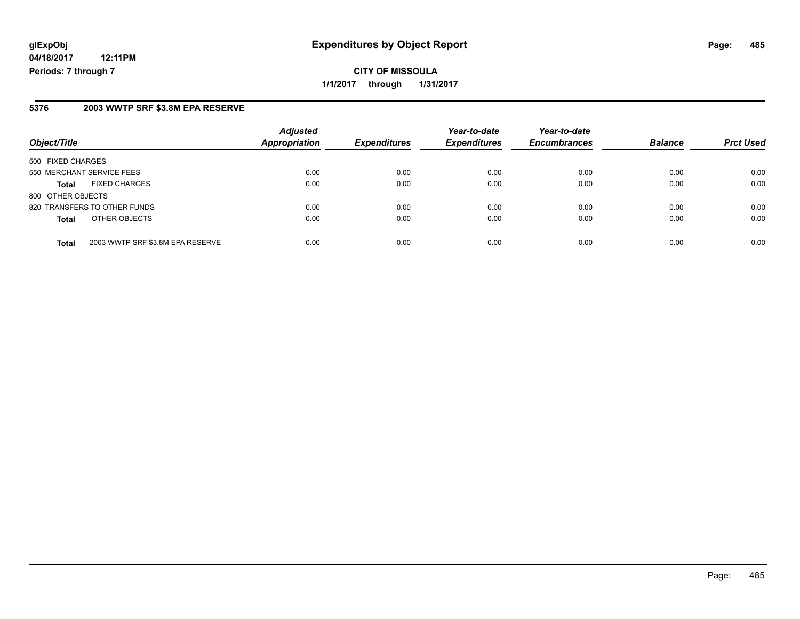# **glExpObj Expenditures by Object Report Page: 485**

**04/18/2017 12:11PM Periods: 7 through 7**

### **5376 2003 WWTP SRF \$3.8M EPA RESERVE**

| Object/Title                                     | <b>Adjusted</b><br><b>Appropriation</b> | <b>Expenditures</b> | Year-to-date<br><b>Expenditures</b> | Year-to-date<br><b>Encumbrances</b> | <b>Balance</b> | <b>Prct Used</b> |
|--------------------------------------------------|-----------------------------------------|---------------------|-------------------------------------|-------------------------------------|----------------|------------------|
| 500 FIXED CHARGES                                |                                         |                     |                                     |                                     |                |                  |
| 550 MERCHANT SERVICE FEES                        | 0.00                                    | 0.00                | 0.00                                | 0.00                                | 0.00           | 0.00             |
| <b>FIXED CHARGES</b><br><b>Total</b>             | 0.00                                    | 0.00                | 0.00                                | 0.00                                | 0.00           | 0.00             |
| 800 OTHER OBJECTS                                |                                         |                     |                                     |                                     |                |                  |
| 820 TRANSFERS TO OTHER FUNDS                     | 0.00                                    | 0.00                | 0.00                                | 0.00                                | 0.00           | 0.00             |
| OTHER OBJECTS<br><b>Total</b>                    | 0.00                                    | 0.00                | 0.00                                | 0.00                                | 0.00           | 0.00             |
| 2003 WWTP SRF \$3.8M EPA RESERVE<br><b>Total</b> | 0.00                                    | 0.00                | 0.00                                | 0.00                                | 0.00           | 0.00             |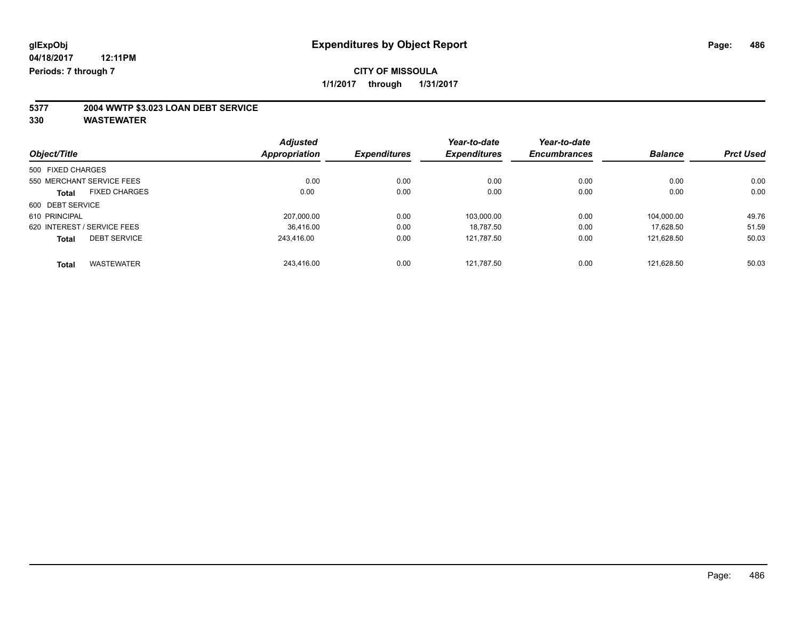# **5377 2004 WWTP \$3.023 LOAN DEBT SERVICE**

|                                      | <b>Adjusted</b> |                     | Year-to-date        | Year-to-date        |                |                  |
|--------------------------------------|-----------------|---------------------|---------------------|---------------------|----------------|------------------|
| Object/Title                         | Appropriation   | <b>Expenditures</b> | <b>Expenditures</b> | <b>Encumbrances</b> | <b>Balance</b> | <b>Prct Used</b> |
| 500 FIXED CHARGES                    |                 |                     |                     |                     |                |                  |
| 550 MERCHANT SERVICE FEES            | 0.00            | 0.00                | 0.00                | 0.00                | 0.00           | 0.00             |
| <b>FIXED CHARGES</b><br><b>Total</b> | 0.00            | 0.00                | 0.00                | 0.00                | 0.00           | 0.00             |
| 600 DEBT SERVICE                     |                 |                     |                     |                     |                |                  |
| 610 PRINCIPAL                        | 207,000.00      | 0.00                | 103,000.00          | 0.00                | 104.000.00     | 49.76            |
| 620 INTEREST / SERVICE FEES          | 36.416.00       | 0.00                | 18.787.50           | 0.00                | 17.628.50      | 51.59            |
| <b>DEBT SERVICE</b><br><b>Total</b>  | 243.416.00      | 0.00                | 121.787.50          | 0.00                | 121.628.50     | 50.03            |
| <b>WASTEWATER</b><br><b>Total</b>    | 243.416.00      | 0.00                | 121.787.50          | 0.00                | 121.628.50     | 50.03            |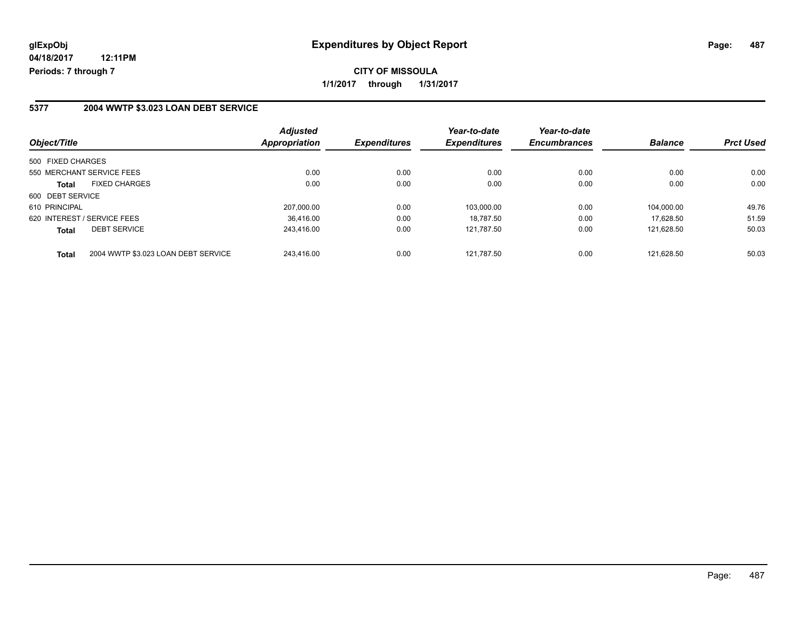### **5377 2004 WWTP \$3.023 LOAN DEBT SERVICE**

| Object/Title                                        | <b>Adjusted</b><br>Appropriation | <b>Expenditures</b> | Year-to-date<br><b>Expenditures</b> | Year-to-date<br><b>Encumbrances</b> | <b>Balance</b> | <b>Prct Used</b> |
|-----------------------------------------------------|----------------------------------|---------------------|-------------------------------------|-------------------------------------|----------------|------------------|
| 500 FIXED CHARGES                                   |                                  |                     |                                     |                                     |                |                  |
| 550 MERCHANT SERVICE FEES                           | 0.00                             | 0.00                | 0.00                                | 0.00                                | 0.00           | 0.00             |
| <b>FIXED CHARGES</b><br><b>Total</b>                | 0.00                             | 0.00                | 0.00                                | 0.00                                | 0.00           | 0.00             |
| 600 DEBT SERVICE                                    |                                  |                     |                                     |                                     |                |                  |
| 610 PRINCIPAL                                       | 207,000.00                       | 0.00                | 103.000.00                          | 0.00                                | 104.000.00     | 49.76            |
| 620 INTEREST / SERVICE FEES                         | 36.416.00                        | 0.00                | 18.787.50                           | 0.00                                | 17.628.50      | 51.59            |
| <b>DEBT SERVICE</b><br><b>Total</b>                 | 243.416.00                       | 0.00                | 121.787.50                          | 0.00                                | 121.628.50     | 50.03            |
| 2004 WWTP \$3.023 LOAN DEBT SERVICE<br><b>Total</b> | 243.416.00                       | 0.00                | 121.787.50                          | 0.00                                | 121.628.50     | 50.03            |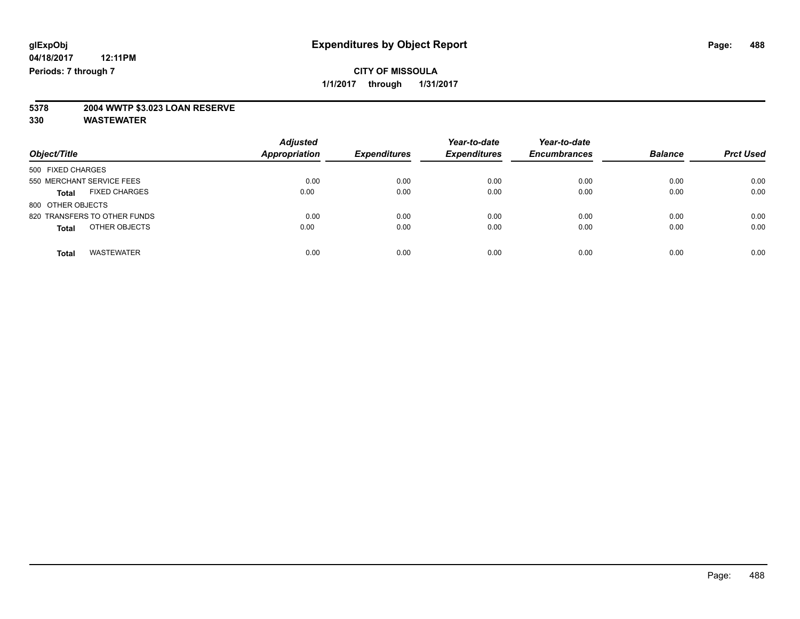# **5378 2004 WWTP \$3.023 LOAN RESERVE**

| Object/Title                         | <b>Adjusted</b><br><b>Appropriation</b> | <b>Expenditures</b> | Year-to-date<br><b>Expenditures</b> | Year-to-date<br><b>Encumbrances</b> | <b>Balance</b> | <b>Prct Used</b> |
|--------------------------------------|-----------------------------------------|---------------------|-------------------------------------|-------------------------------------|----------------|------------------|
| 500 FIXED CHARGES                    |                                         |                     |                                     |                                     |                |                  |
| 550 MERCHANT SERVICE FEES            | 0.00                                    | 0.00                | 0.00                                | 0.00                                | 0.00           | 0.00             |
| <b>FIXED CHARGES</b><br><b>Total</b> | 0.00                                    | 0.00                | 0.00                                | 0.00                                | 0.00           | 0.00             |
| 800 OTHER OBJECTS                    |                                         |                     |                                     |                                     |                |                  |
| 820 TRANSFERS TO OTHER FUNDS         | 0.00                                    | 0.00                | 0.00                                | 0.00                                | 0.00           | 0.00             |
| OTHER OBJECTS<br><b>Total</b>        | 0.00                                    | 0.00                | 0.00                                | 0.00                                | 0.00           | 0.00             |
|                                      |                                         |                     |                                     |                                     |                |                  |
| <b>WASTEWATER</b><br>Total           | 0.00                                    | 0.00                | 0.00                                | 0.00                                | 0.00           | 0.00             |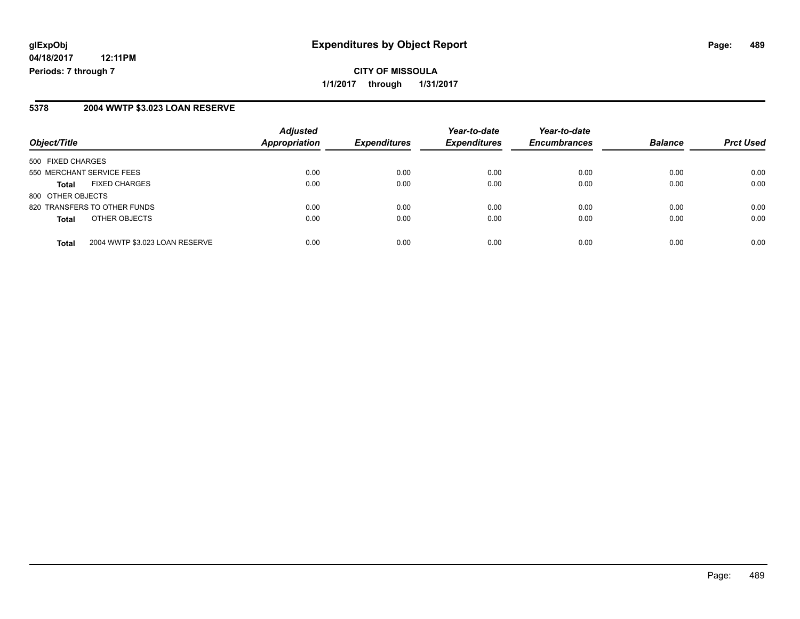### **5378 2004 WWTP \$3.023 LOAN RESERVE**

| Object/Title                                   | <b>Adjusted</b><br>Appropriation | <b>Expenditures</b> | Year-to-date<br><b>Expenditures</b> | Year-to-date<br><b>Encumbrances</b> | <b>Balance</b> | <b>Prct Used</b> |
|------------------------------------------------|----------------------------------|---------------------|-------------------------------------|-------------------------------------|----------------|------------------|
| 500 FIXED CHARGES                              |                                  |                     |                                     |                                     |                |                  |
| 550 MERCHANT SERVICE FEES                      | 0.00                             | 0.00                | 0.00                                | 0.00                                | 0.00           | 0.00             |
| <b>FIXED CHARGES</b><br><b>Total</b>           | 0.00                             | 0.00                | 0.00                                | 0.00                                | 0.00           | 0.00             |
| 800 OTHER OBJECTS                              |                                  |                     |                                     |                                     |                |                  |
| 820 TRANSFERS TO OTHER FUNDS                   | 0.00                             | 0.00                | 0.00                                | 0.00                                | 0.00           | 0.00             |
| OTHER OBJECTS<br><b>Total</b>                  | 0.00                             | 0.00                | 0.00                                | 0.00                                | 0.00           | 0.00             |
| 2004 WWTP \$3.023 LOAN RESERVE<br><b>Total</b> | 0.00                             | 0.00                | 0.00                                | 0.00                                | 0.00           | 0.00             |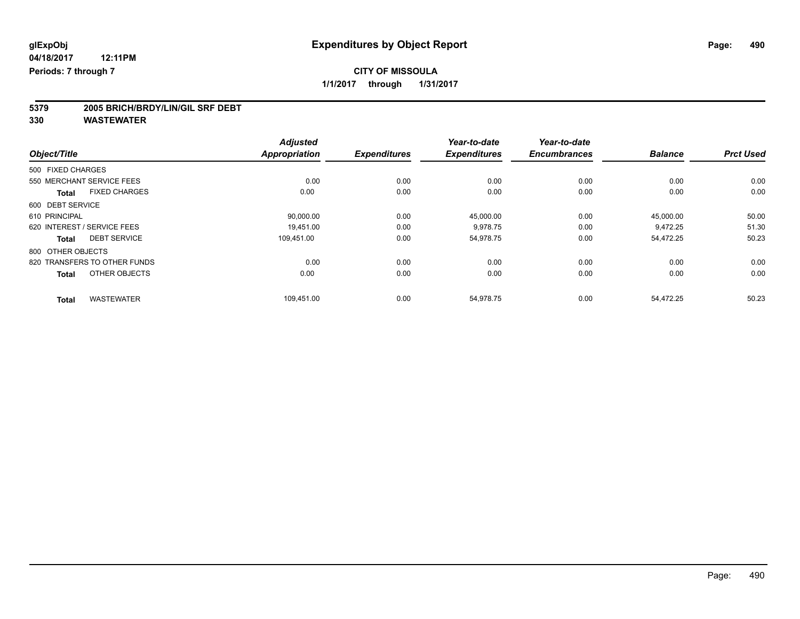# **5379 2005 BRICH/BRDY/LIN/GIL SRF DEBT**

|                                      | <b>Adjusted</b>      |                     | Year-to-date        | Year-to-date        |                |                  |
|--------------------------------------|----------------------|---------------------|---------------------|---------------------|----------------|------------------|
| Object/Title                         | <b>Appropriation</b> | <b>Expenditures</b> | <b>Expenditures</b> | <b>Encumbrances</b> | <b>Balance</b> | <b>Prct Used</b> |
| 500 FIXED CHARGES                    |                      |                     |                     |                     |                |                  |
| 550 MERCHANT SERVICE FEES            | 0.00                 | 0.00                | 0.00                | 0.00                | 0.00           | 0.00             |
| <b>FIXED CHARGES</b><br><b>Total</b> | 0.00                 | 0.00                | 0.00                | 0.00                | 0.00           | 0.00             |
| 600 DEBT SERVICE                     |                      |                     |                     |                     |                |                  |
| 610 PRINCIPAL                        | 90,000.00            | 0.00                | 45,000.00           | 0.00                | 45,000.00      | 50.00            |
| 620 INTEREST / SERVICE FEES          | 19,451.00            | 0.00                | 9,978.75            | 0.00                | 9,472.25       | 51.30            |
| <b>DEBT SERVICE</b><br><b>Total</b>  | 109,451.00           | 0.00                | 54,978.75           | 0.00                | 54,472.25      | 50.23            |
| 800 OTHER OBJECTS                    |                      |                     |                     |                     |                |                  |
| 820 TRANSFERS TO OTHER FUNDS         | 0.00                 | 0.00                | 0.00                | 0.00                | 0.00           | 0.00             |
| OTHER OBJECTS<br><b>Total</b>        | 0.00                 | 0.00                | 0.00                | 0.00                | 0.00           | 0.00             |
| <b>WASTEWATER</b><br><b>Total</b>    | 109,451.00           | 0.00                | 54,978.75           | 0.00                | 54,472.25      | 50.23            |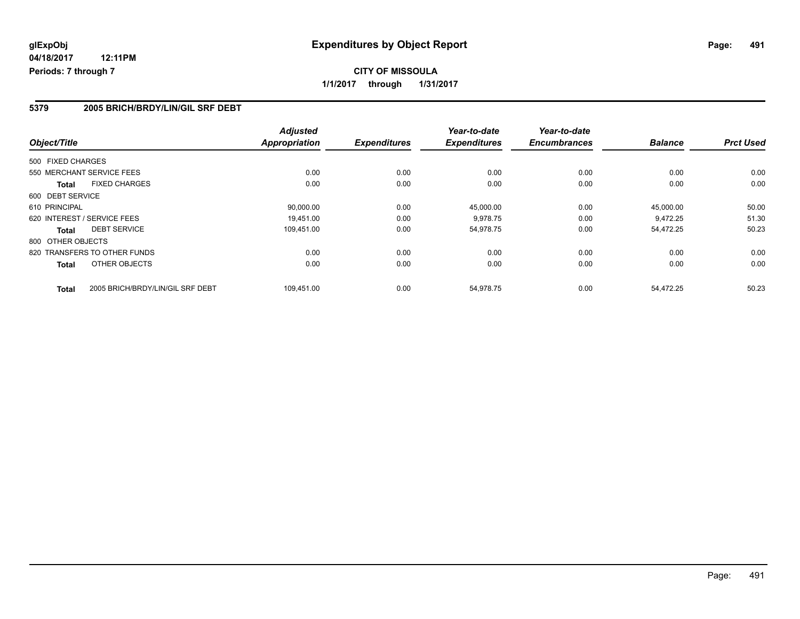### **5379 2005 BRICH/BRDY/LIN/GIL SRF DEBT**

| Object/Title                                     | <b>Adjusted</b><br><b>Appropriation</b> | <b>Expenditures</b> | Year-to-date<br><b>Expenditures</b> | Year-to-date<br><b>Encumbrances</b> | <b>Balance</b> | <b>Prct Used</b> |
|--------------------------------------------------|-----------------------------------------|---------------------|-------------------------------------|-------------------------------------|----------------|------------------|
|                                                  |                                         |                     |                                     |                                     |                |                  |
| 500 FIXED CHARGES                                |                                         |                     |                                     |                                     |                |                  |
| 550 MERCHANT SERVICE FEES                        | 0.00                                    | 0.00                | 0.00                                | 0.00                                | 0.00           | 0.00             |
| <b>FIXED CHARGES</b><br><b>Total</b>             | 0.00                                    | 0.00                | 0.00                                | 0.00                                | 0.00           | 0.00             |
| 600 DEBT SERVICE                                 |                                         |                     |                                     |                                     |                |                  |
| 610 PRINCIPAL                                    | 90,000.00                               | 0.00                | 45,000.00                           | 0.00                                | 45.000.00      | 50.00            |
| 620 INTEREST / SERVICE FEES                      | 19.451.00                               | 0.00                | 9,978.75                            | 0.00                                | 9,472.25       | 51.30            |
| <b>DEBT SERVICE</b><br><b>Total</b>              | 109,451.00                              | 0.00                | 54,978.75                           | 0.00                                | 54,472.25      | 50.23            |
| 800 OTHER OBJECTS                                |                                         |                     |                                     |                                     |                |                  |
| 820 TRANSFERS TO OTHER FUNDS                     | 0.00                                    | 0.00                | 0.00                                | 0.00                                | 0.00           | 0.00             |
| OTHER OBJECTS<br><b>Total</b>                    | 0.00                                    | 0.00                | 0.00                                | 0.00                                | 0.00           | 0.00             |
| 2005 BRICH/BRDY/LIN/GIL SRF DEBT<br><b>Total</b> | 109.451.00                              | 0.00                | 54,978.75                           | 0.00                                | 54,472.25      | 50.23            |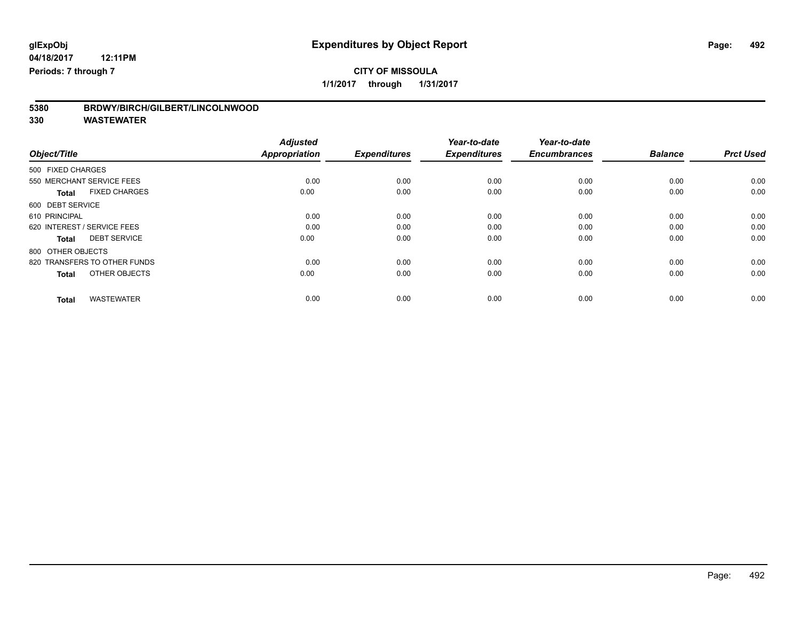# **CITY OF MISSOULA**

**1/1/2017 through 1/31/2017**

| BRDWY/BIRCH/GILBERT/LINCOLNWOOD<br>5380 |  |
|-----------------------------------------|--|
|-----------------------------------------|--|

| Object/Title                         | <b>Adjusted</b><br><b>Appropriation</b> | <b>Expenditures</b> | Year-to-date<br><b>Expenditures</b> | Year-to-date<br><b>Encumbrances</b> | <b>Balance</b> | <b>Prct Used</b> |
|--------------------------------------|-----------------------------------------|---------------------|-------------------------------------|-------------------------------------|----------------|------------------|
| 500 FIXED CHARGES                    |                                         |                     |                                     |                                     |                |                  |
| 550 MERCHANT SERVICE FEES            | 0.00                                    | 0.00                | 0.00                                | 0.00                                | 0.00           | 0.00             |
| <b>FIXED CHARGES</b><br><b>Total</b> | 0.00                                    | 0.00                | 0.00                                | 0.00                                | 0.00           | 0.00             |
| 600 DEBT SERVICE                     |                                         |                     |                                     |                                     |                |                  |
| 610 PRINCIPAL                        | 0.00                                    | 0.00                | 0.00                                | 0.00                                | 0.00           | 0.00             |
| 620 INTEREST / SERVICE FEES          | 0.00                                    | 0.00                | 0.00                                | 0.00                                | 0.00           | 0.00             |
| <b>DEBT SERVICE</b><br><b>Total</b>  | 0.00                                    | 0.00                | 0.00                                | 0.00                                | 0.00           | 0.00             |
| 800 OTHER OBJECTS                    |                                         |                     |                                     |                                     |                |                  |
| 820 TRANSFERS TO OTHER FUNDS         | 0.00                                    | 0.00                | 0.00                                | 0.00                                | 0.00           | 0.00             |
| OTHER OBJECTS<br><b>Total</b>        | 0.00                                    | 0.00                | 0.00                                | 0.00                                | 0.00           | 0.00             |
|                                      |                                         |                     |                                     |                                     |                |                  |
| <b>WASTEWATER</b><br>Total           | 0.00                                    | 0.00                | 0.00                                | 0.00                                | 0.00           | 0.00             |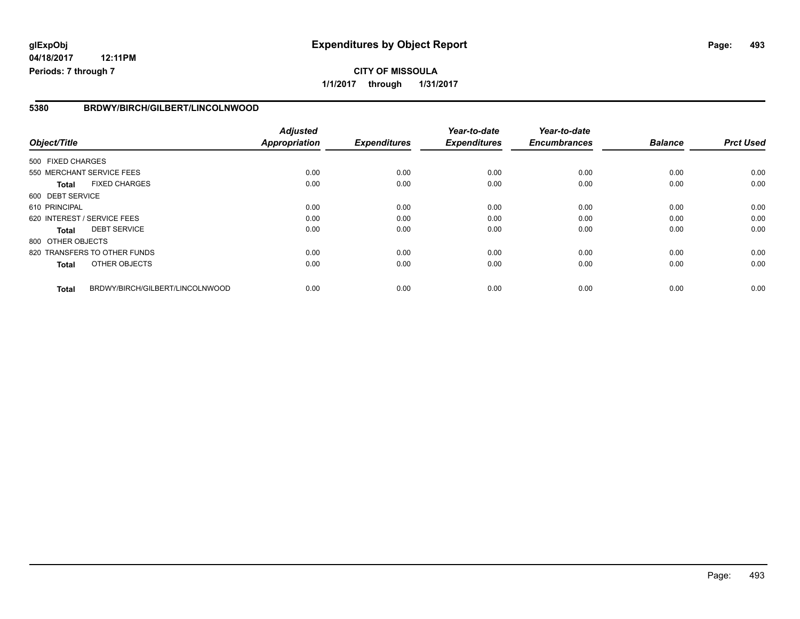# **glExpObj Expenditures by Object Report Page: 493**

**04/18/2017 12:11PM Periods: 7 through 7**

### **5380 BRDWY/BIRCH/GILBERT/LINCOLNWOOD**

| Object/Title                 |                                 | <b>Adjusted</b><br><b>Appropriation</b> | <b>Expenditures</b> | Year-to-date<br><b>Expenditures</b> | Year-to-date<br><b>Encumbrances</b> | <b>Balance</b> | <b>Prct Used</b> |
|------------------------------|---------------------------------|-----------------------------------------|---------------------|-------------------------------------|-------------------------------------|----------------|------------------|
|                              |                                 |                                         |                     |                                     |                                     |                |                  |
| 500 FIXED CHARGES            |                                 |                                         |                     |                                     |                                     |                |                  |
| 550 MERCHANT SERVICE FEES    |                                 | 0.00                                    | 0.00                | 0.00                                | 0.00                                | 0.00           | 0.00             |
| <b>Total</b>                 | <b>FIXED CHARGES</b>            | 0.00                                    | 0.00                | 0.00                                | 0.00                                | 0.00           | 0.00             |
| 600 DEBT SERVICE             |                                 |                                         |                     |                                     |                                     |                |                  |
| 610 PRINCIPAL                |                                 | 0.00                                    | 0.00                | 0.00                                | 0.00                                | 0.00           | 0.00             |
| 620 INTEREST / SERVICE FEES  |                                 | 0.00                                    | 0.00                | 0.00                                | 0.00                                | 0.00           | 0.00             |
| Total                        | <b>DEBT SERVICE</b>             | 0.00                                    | 0.00                | 0.00                                | 0.00                                | 0.00           | 0.00             |
| 800 OTHER OBJECTS            |                                 |                                         |                     |                                     |                                     |                |                  |
| 820 TRANSFERS TO OTHER FUNDS |                                 | 0.00                                    | 0.00                | 0.00                                | 0.00                                | 0.00           | 0.00             |
| <b>Total</b>                 | OTHER OBJECTS                   | 0.00                                    | 0.00                | 0.00                                | 0.00                                | 0.00           | 0.00             |
| <b>Total</b>                 | BRDWY/BIRCH/GILBERT/LINCOLNWOOD | 0.00                                    | 0.00                | 0.00                                | 0.00                                | 0.00           | 0.00             |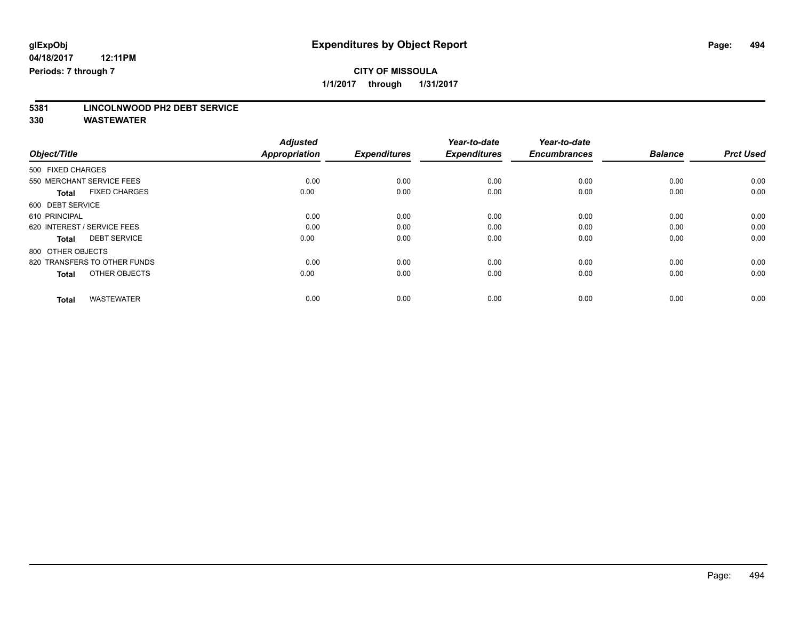**5381 LINCOLNWOOD PH2 DEBT SERVICE**

|                                      | <b>Adjusted</b> |                     | Year-to-date        | Year-to-date        |                |                  |
|--------------------------------------|-----------------|---------------------|---------------------|---------------------|----------------|------------------|
| Object/Title                         | Appropriation   | <b>Expenditures</b> | <b>Expenditures</b> | <b>Encumbrances</b> | <b>Balance</b> | <b>Prct Used</b> |
| 500 FIXED CHARGES                    |                 |                     |                     |                     |                |                  |
| 550 MERCHANT SERVICE FEES            | 0.00            | 0.00                | 0.00                | 0.00                | 0.00           | 0.00             |
| <b>FIXED CHARGES</b><br><b>Total</b> | 0.00            | 0.00                | 0.00                | 0.00                | 0.00           | 0.00             |
| 600 DEBT SERVICE                     |                 |                     |                     |                     |                |                  |
| 610 PRINCIPAL                        | 0.00            | 0.00                | 0.00                | 0.00                | 0.00           | 0.00             |
| 620 INTEREST / SERVICE FEES          | 0.00            | 0.00                | 0.00                | 0.00                | 0.00           | 0.00             |
| <b>DEBT SERVICE</b><br><b>Total</b>  | 0.00            | 0.00                | 0.00                | 0.00                | 0.00           | 0.00             |
| 800 OTHER OBJECTS                    |                 |                     |                     |                     |                |                  |
| 820 TRANSFERS TO OTHER FUNDS         | 0.00            | 0.00                | 0.00                | 0.00                | 0.00           | 0.00             |
| OTHER OBJECTS<br><b>Total</b>        | 0.00            | 0.00                | 0.00                | 0.00                | 0.00           | 0.00             |
|                                      |                 |                     |                     |                     |                |                  |
| <b>WASTEWATER</b><br>Total           | 0.00            | 0.00                | 0.00                | 0.00                | 0.00           | 0.00             |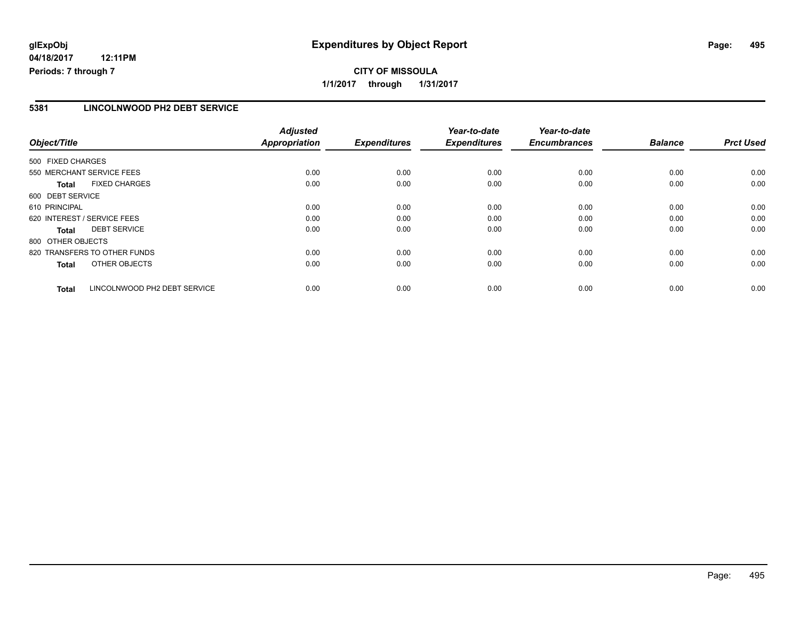# **glExpObj Expenditures by Object Report Page: 495**

**04/18/2017 12:11PM Periods: 7 through 7**

### **5381 LINCOLNWOOD PH2 DEBT SERVICE**

| Object/Title                                 | <b>Adjusted</b><br><b>Appropriation</b> | <b>Expenditures</b> | Year-to-date<br><b>Expenditures</b> | Year-to-date<br><b>Encumbrances</b> | <b>Balance</b> | <b>Prct Used</b> |
|----------------------------------------------|-----------------------------------------|---------------------|-------------------------------------|-------------------------------------|----------------|------------------|
| 500 FIXED CHARGES                            |                                         |                     |                                     |                                     |                |                  |
| 550 MERCHANT SERVICE FEES                    | 0.00                                    | 0.00                | 0.00                                | 0.00                                | 0.00           | 0.00             |
| <b>FIXED CHARGES</b><br><b>Total</b>         | 0.00                                    | 0.00                | 0.00                                | 0.00                                | 0.00           | 0.00             |
| 600 DEBT SERVICE                             |                                         |                     |                                     |                                     |                |                  |
| 610 PRINCIPAL                                | 0.00                                    | 0.00                | 0.00                                | 0.00                                | 0.00           | 0.00             |
| 620 INTEREST / SERVICE FEES                  | 0.00                                    | 0.00                | 0.00                                | 0.00                                | 0.00           | 0.00             |
| <b>DEBT SERVICE</b><br>Total                 | 0.00                                    | 0.00                | 0.00                                | 0.00                                | 0.00           | 0.00             |
| 800 OTHER OBJECTS                            |                                         |                     |                                     |                                     |                |                  |
| 820 TRANSFERS TO OTHER FUNDS                 | 0.00                                    | 0.00                | 0.00                                | 0.00                                | 0.00           | 0.00             |
| OTHER OBJECTS<br><b>Total</b>                | 0.00                                    | 0.00                | 0.00                                | 0.00                                | 0.00           | 0.00             |
| LINCOLNWOOD PH2 DEBT SERVICE<br><b>Total</b> | 0.00                                    | 0.00                | 0.00                                | 0.00                                | 0.00           | 0.00             |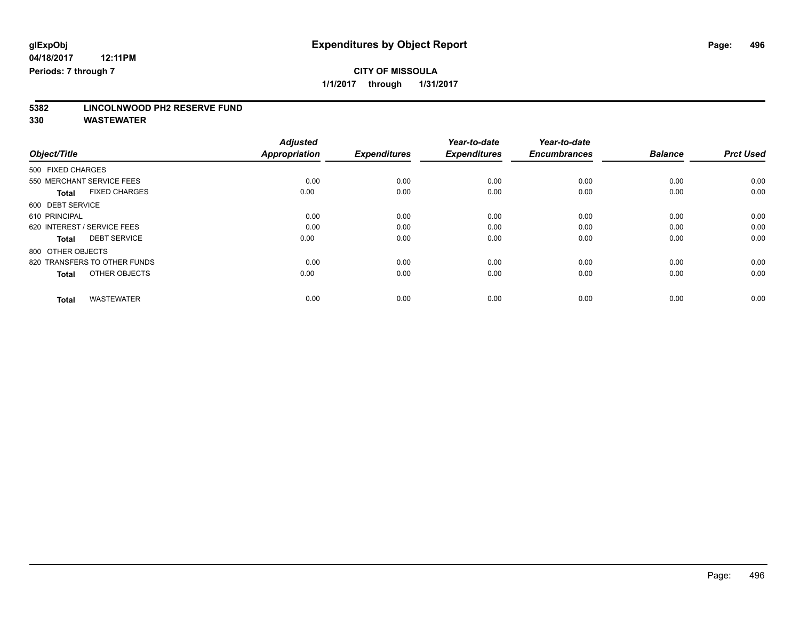**5382 LINCOLNWOOD PH2 RESERVE FUND**

|                                      | <b>Adjusted</b> |                     | Year-to-date        | Year-to-date        |                |                  |
|--------------------------------------|-----------------|---------------------|---------------------|---------------------|----------------|------------------|
| Object/Title                         | Appropriation   | <b>Expenditures</b> | <b>Expenditures</b> | <b>Encumbrances</b> | <b>Balance</b> | <b>Prct Used</b> |
| 500 FIXED CHARGES                    |                 |                     |                     |                     |                |                  |
| 550 MERCHANT SERVICE FEES            | 0.00            | 0.00                | 0.00                | 0.00                | 0.00           | 0.00             |
| <b>FIXED CHARGES</b><br><b>Total</b> | 0.00            | 0.00                | 0.00                | 0.00                | 0.00           | 0.00             |
| 600 DEBT SERVICE                     |                 |                     |                     |                     |                |                  |
| 610 PRINCIPAL                        | 0.00            | 0.00                | 0.00                | 0.00                | 0.00           | 0.00             |
| 620 INTEREST / SERVICE FEES          | 0.00            | 0.00                | 0.00                | 0.00                | 0.00           | 0.00             |
| <b>DEBT SERVICE</b><br><b>Total</b>  | 0.00            | 0.00                | 0.00                | 0.00                | 0.00           | 0.00             |
| 800 OTHER OBJECTS                    |                 |                     |                     |                     |                |                  |
| 820 TRANSFERS TO OTHER FUNDS         | 0.00            | 0.00                | 0.00                | 0.00                | 0.00           | 0.00             |
| OTHER OBJECTS<br><b>Total</b>        | 0.00            | 0.00                | 0.00                | 0.00                | 0.00           | 0.00             |
|                                      |                 |                     |                     |                     |                |                  |
| <b>WASTEWATER</b><br>Total           | 0.00            | 0.00                | 0.00                | 0.00                | 0.00           | 0.00             |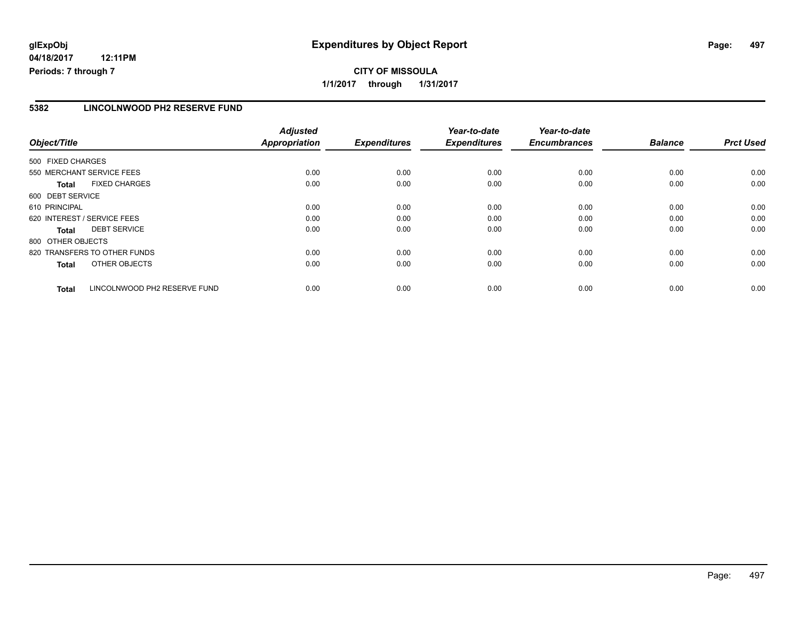# **glExpObj Expenditures by Object Report Page: 497**

**04/18/2017 12:11PM Periods: 7 through 7**

### **5382 LINCOLNWOOD PH2 RESERVE FUND**

| Object/Title      |                              | <b>Adjusted</b><br><b>Appropriation</b> | <b>Expenditures</b> | Year-to-date<br><b>Expenditures</b> | Year-to-date<br><b>Encumbrances</b> | <b>Balance</b> | <b>Prct Used</b> |
|-------------------|------------------------------|-----------------------------------------|---------------------|-------------------------------------|-------------------------------------|----------------|------------------|
|                   |                              |                                         |                     |                                     |                                     |                |                  |
| 500 FIXED CHARGES |                              |                                         |                     |                                     |                                     |                |                  |
|                   | 550 MERCHANT SERVICE FEES    | 0.00                                    | 0.00                | 0.00                                | 0.00                                | 0.00           | 0.00             |
| <b>Total</b>      | <b>FIXED CHARGES</b>         | 0.00                                    | 0.00                | 0.00                                | 0.00                                | 0.00           | 0.00             |
| 600 DEBT SERVICE  |                              |                                         |                     |                                     |                                     |                |                  |
| 610 PRINCIPAL     |                              | 0.00                                    | 0.00                | 0.00                                | 0.00                                | 0.00           | 0.00             |
|                   | 620 INTEREST / SERVICE FEES  | 0.00                                    | 0.00                | 0.00                                | 0.00                                | 0.00           | 0.00             |
| <b>Total</b>      | <b>DEBT SERVICE</b>          | 0.00                                    | 0.00                | 0.00                                | 0.00                                | 0.00           | 0.00             |
| 800 OTHER OBJECTS |                              |                                         |                     |                                     |                                     |                |                  |
|                   | 820 TRANSFERS TO OTHER FUNDS | 0.00                                    | 0.00                | 0.00                                | 0.00                                | 0.00           | 0.00             |
| <b>Total</b>      | OTHER OBJECTS                | 0.00                                    | 0.00                | 0.00                                | 0.00                                | 0.00           | 0.00             |
| <b>Total</b>      | LINCOLNWOOD PH2 RESERVE FUND | 0.00                                    | 0.00                | 0.00                                | 0.00                                | 0.00           | 0.00             |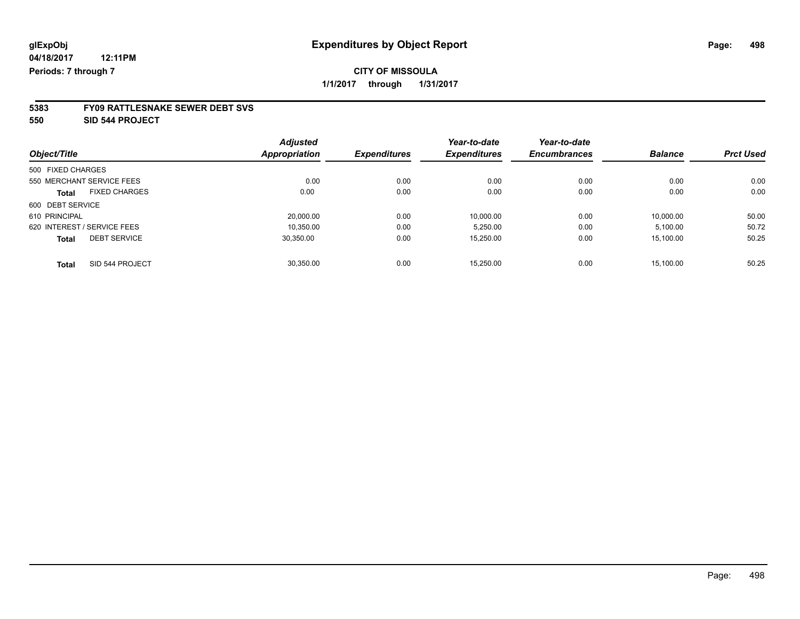**550 SID 544 PROJECT**

|                                      | <b>Adjusted</b> |                     | Year-to-date        | Year-to-date        |                |                  |
|--------------------------------------|-----------------|---------------------|---------------------|---------------------|----------------|------------------|
| Object/Title                         | Appropriation   | <b>Expenditures</b> | <b>Expenditures</b> | <b>Encumbrances</b> | <b>Balance</b> | <b>Prct Used</b> |
| 500 FIXED CHARGES                    |                 |                     |                     |                     |                |                  |
| 550 MERCHANT SERVICE FEES            | 0.00            | 0.00                | 0.00                | 0.00                | 0.00           | 0.00             |
| <b>FIXED CHARGES</b><br><b>Total</b> | 0.00            | 0.00                | 0.00                | 0.00                | 0.00           | 0.00             |
| 600 DEBT SERVICE                     |                 |                     |                     |                     |                |                  |
| 610 PRINCIPAL                        | 20.000.00       | 0.00                | 10.000.00           | 0.00                | 10.000.00      | 50.00            |
| 620 INTEREST / SERVICE FEES          | 10.350.00       | 0.00                | 5.250.00            | 0.00                | 5,100.00       | 50.72            |
| <b>DEBT SERVICE</b><br><b>Total</b>  | 30.350.00       | 0.00                | 15.250.00           | 0.00                | 15,100.00      | 50.25            |
| SID 544 PROJECT<br><b>Total</b>      | 30.350.00       | 0.00                | 15.250.00           | 0.00                | 15.100.00      | 50.25            |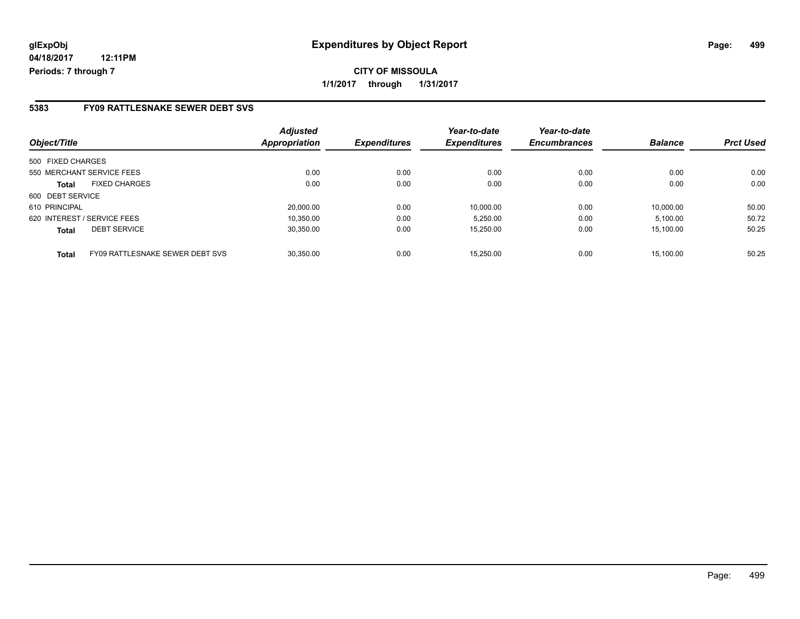### **5383 FY09 RATTLESNAKE SEWER DEBT SVS**

| Object/Title      |                                        | <b>Adjusted</b><br><b>Appropriation</b> | <b>Expenditures</b> | Year-to-date<br><b>Expenditures</b> | Year-to-date<br><b>Encumbrances</b> | <b>Balance</b> | <b>Prct Used</b> |
|-------------------|----------------------------------------|-----------------------------------------|---------------------|-------------------------------------|-------------------------------------|----------------|------------------|
| 500 FIXED CHARGES |                                        |                                         |                     |                                     |                                     |                |                  |
|                   | 550 MERCHANT SERVICE FEES              | 0.00                                    | 0.00                | 0.00                                | 0.00                                | 0.00           | 0.00             |
| <b>Total</b>      | <b>FIXED CHARGES</b>                   | 0.00                                    | 0.00                | 0.00                                | 0.00                                | 0.00           | 0.00             |
| 600 DEBT SERVICE  |                                        |                                         |                     |                                     |                                     |                |                  |
| 610 PRINCIPAL     |                                        | 20.000.00                               | 0.00                | 10.000.00                           | 0.00                                | 10.000.00      | 50.00            |
|                   | 620 INTEREST / SERVICE FEES            | 10.350.00                               | 0.00                | 5.250.00                            | 0.00                                | 5,100.00       | 50.72            |
| <b>Total</b>      | <b>DEBT SERVICE</b>                    | 30,350.00                               | 0.00                | 15,250.00                           | 0.00                                | 15,100.00      | 50.25            |
| <b>Total</b>      | <b>FY09 RATTLESNAKE SEWER DEBT SVS</b> | 30.350.00                               | 0.00                | 15.250.00                           | 0.00                                | 15.100.00      | 50.25            |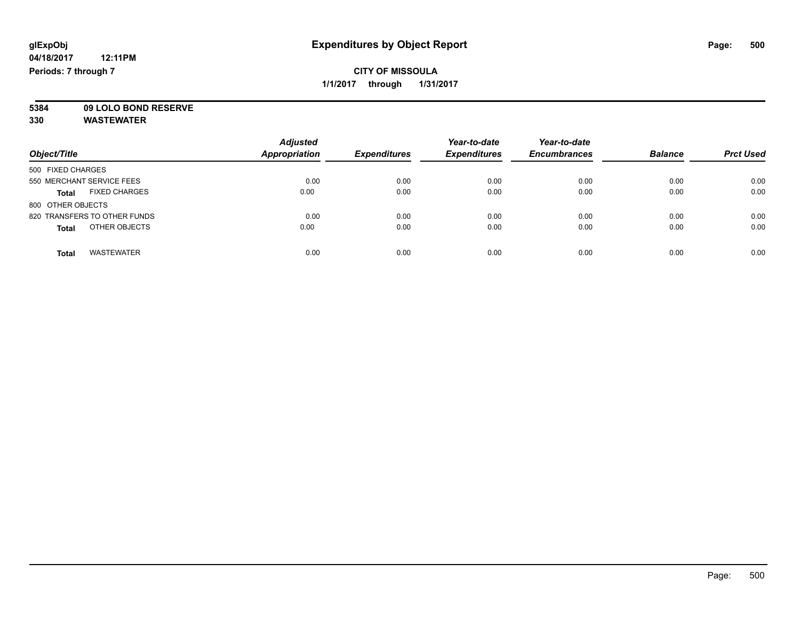**5384 09 LOLO BOND RESERVE**

|                                      | <b>Adjusted</b> |                     | Year-to-date        | Year-to-date        |                |                  |
|--------------------------------------|-----------------|---------------------|---------------------|---------------------|----------------|------------------|
| Object/Title                         | Appropriation   | <b>Expenditures</b> | <b>Expenditures</b> | <b>Encumbrances</b> | <b>Balance</b> | <b>Prct Used</b> |
| 500 FIXED CHARGES                    |                 |                     |                     |                     |                |                  |
| 550 MERCHANT SERVICE FEES            | 0.00            | 0.00                | 0.00                | 0.00                | 0.00           | 0.00             |
| <b>FIXED CHARGES</b><br><b>Total</b> | 0.00            | 0.00                | 0.00                | 0.00                | 0.00           | 0.00             |
| 800 OTHER OBJECTS                    |                 |                     |                     |                     |                |                  |
| 820 TRANSFERS TO OTHER FUNDS         | 0.00            | 0.00                | 0.00                | 0.00                | 0.00           | 0.00             |
| OTHER OBJECTS<br><b>Total</b>        | 0.00            | 0.00                | 0.00                | 0.00                | 0.00           | 0.00             |
| <b>WASTEWATER</b><br><b>Total</b>    | 0.00            | 0.00                | 0.00                | 0.00                | 0.00           | 0.00             |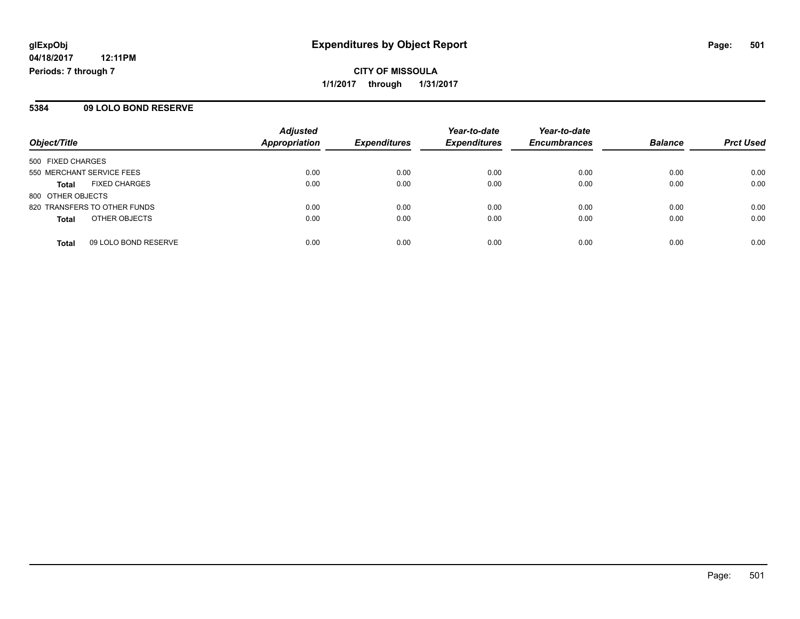### **5384 09 LOLO BOND RESERVE**

| Object/Title                         | <b>Adjusted</b><br><b>Appropriation</b> | <b>Expenditures</b> | Year-to-date<br><b>Expenditures</b> | Year-to-date<br><b>Encumbrances</b> | <b>Balance</b> | <b>Prct Used</b> |
|--------------------------------------|-----------------------------------------|---------------------|-------------------------------------|-------------------------------------|----------------|------------------|
| 500 FIXED CHARGES                    |                                         |                     |                                     |                                     |                |                  |
| 550 MERCHANT SERVICE FEES            | 0.00                                    | 0.00                | 0.00                                | 0.00                                | 0.00           | 0.00             |
| <b>FIXED CHARGES</b><br><b>Total</b> | 0.00                                    | 0.00                | 0.00                                | 0.00                                | 0.00           | 0.00             |
| 800 OTHER OBJECTS                    |                                         |                     |                                     |                                     |                |                  |
| 820 TRANSFERS TO OTHER FUNDS         | 0.00                                    | 0.00                | 0.00                                | 0.00                                | 0.00           | 0.00             |
| OTHER OBJECTS<br><b>Total</b>        | 0.00                                    | 0.00                | 0.00                                | 0.00                                | 0.00           | 0.00             |
| 09 LOLO BOND RESERVE<br><b>Total</b> | 0.00                                    | 0.00                | 0.00                                | 0.00                                | 0.00           | 0.00             |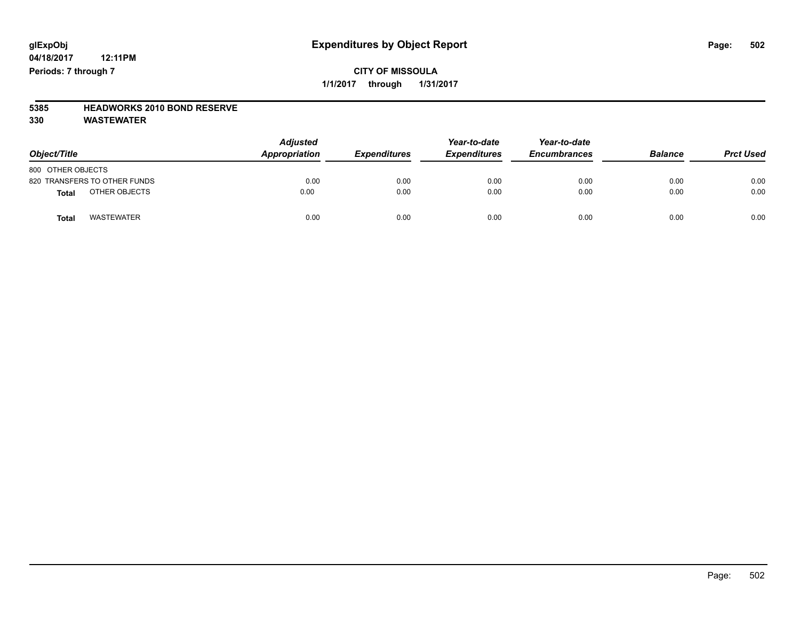## **CITY OF MISSOULA 1/1/2017 through 1/31/2017**

# **5385 HEADWORKS 2010 BOND RESERVE**

| Object/Title                      | <b>Adjusted</b><br>Appropriation | Year-to-date<br><b>Expenditures</b><br><b>Expenditures</b> |      | Year-to-date<br><b>Encumbrances</b> | <b>Balance</b> | <b>Prct Used</b> |
|-----------------------------------|----------------------------------|------------------------------------------------------------|------|-------------------------------------|----------------|------------------|
| 800 OTHER OBJECTS                 |                                  |                                                            |      |                                     |                |                  |
| 820 TRANSFERS TO OTHER FUNDS      | 0.00                             | 0.00                                                       | 0.00 | 0.00                                | 0.00           | 0.00             |
| OTHER OBJECTS<br><b>Total</b>     | 0.00                             | 0.00                                                       | 0.00 | 0.00                                | 0.00           | 0.00             |
| <b>WASTEWATER</b><br><b>Total</b> | 0.00                             | 0.00                                                       | 0.00 | 0.00                                | 0.00           | 0.00             |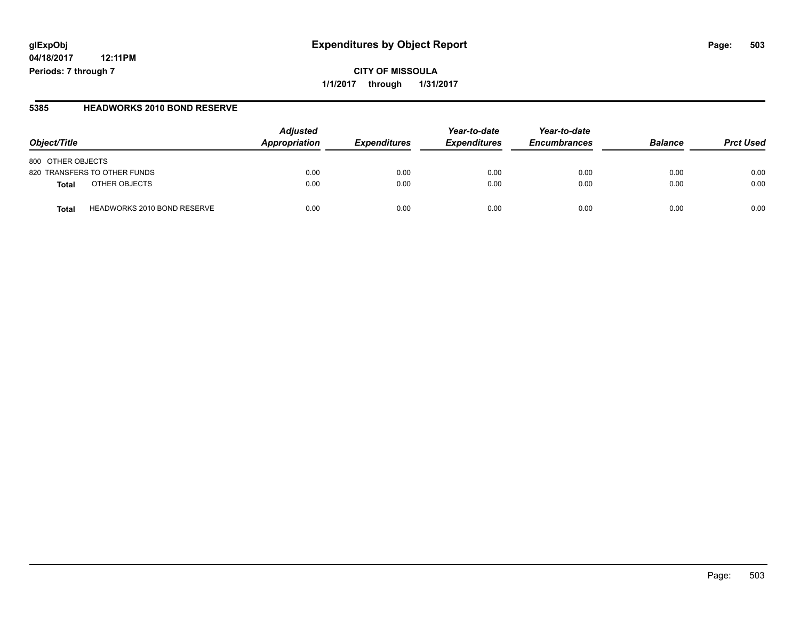# **glExpObj Expenditures by Object Report Page: 503**

**04/18/2017 12:11PM Periods: 7 through 7**

#### **5385 HEADWORKS 2010 BOND RESERVE**

| Object/Title                         | <b>Adjusted</b><br>Appropriation | <b>Expenditures</b> | Year-to-date<br><b>Expenditures</b> | Year-to-date<br><b>Encumbrances</b> | <b>Balance</b> | <b>Prct Used</b> |
|--------------------------------------|----------------------------------|---------------------|-------------------------------------|-------------------------------------|----------------|------------------|
| 800 OTHER OBJECTS                    |                                  |                     |                                     |                                     |                |                  |
| 820 TRANSFERS TO OTHER FUNDS         | 0.00                             | 0.00                | 0.00                                | 0.00                                | 0.00           | 0.00             |
| OTHER OBJECTS<br>Total               | 0.00                             | 0.00                | 0.00                                | 0.00                                | 0.00           | 0.00             |
| HEADWORKS 2010 BOND RESERVE<br>Total | 0.00                             | 0.00                | 0.00                                | 0.00                                | 0.00           | 0.00             |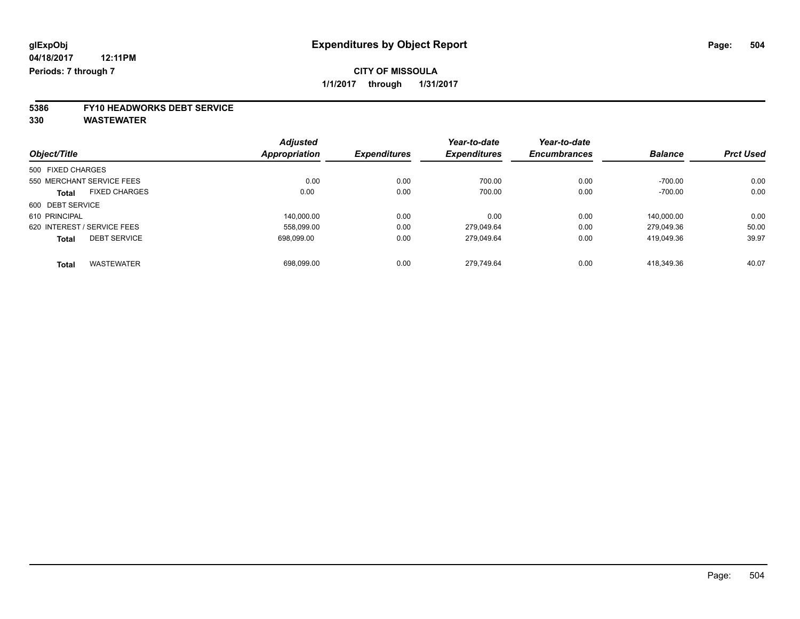# **5386 FY10 HEADWORKS DEBT SERVICE**

|                                      | <b>Adjusted</b> |                     | Year-to-date        | Year-to-date        |                |                  |
|--------------------------------------|-----------------|---------------------|---------------------|---------------------|----------------|------------------|
| Object/Title                         | Appropriation   | <b>Expenditures</b> | <b>Expenditures</b> | <b>Encumbrances</b> | <b>Balance</b> | <b>Prct Used</b> |
| 500 FIXED CHARGES                    |                 |                     |                     |                     |                |                  |
| 550 MERCHANT SERVICE FEES            | 0.00            | 0.00                | 700.00              | 0.00                | $-700.00$      | 0.00             |
| <b>FIXED CHARGES</b><br><b>Total</b> | 0.00            | 0.00                | 700.00              | 0.00                | $-700.00$      | 0.00             |
| 600 DEBT SERVICE                     |                 |                     |                     |                     |                |                  |
| 610 PRINCIPAL                        | 140.000.00      | 0.00                | 0.00                | 0.00                | 140.000.00     | 0.00             |
| 620 INTEREST / SERVICE FEES          | 558,099.00      | 0.00                | 279.049.64          | 0.00                | 279.049.36     | 50.00            |
| <b>DEBT SERVICE</b><br><b>Total</b>  | 698.099.00      | 0.00                | 279.049.64          | 0.00                | 419.049.36     | 39.97            |
| <b>WASTEWATER</b><br><b>Total</b>    | 698,099.00      | 0.00                | 279.749.64          | 0.00                | 418.349.36     | 40.07            |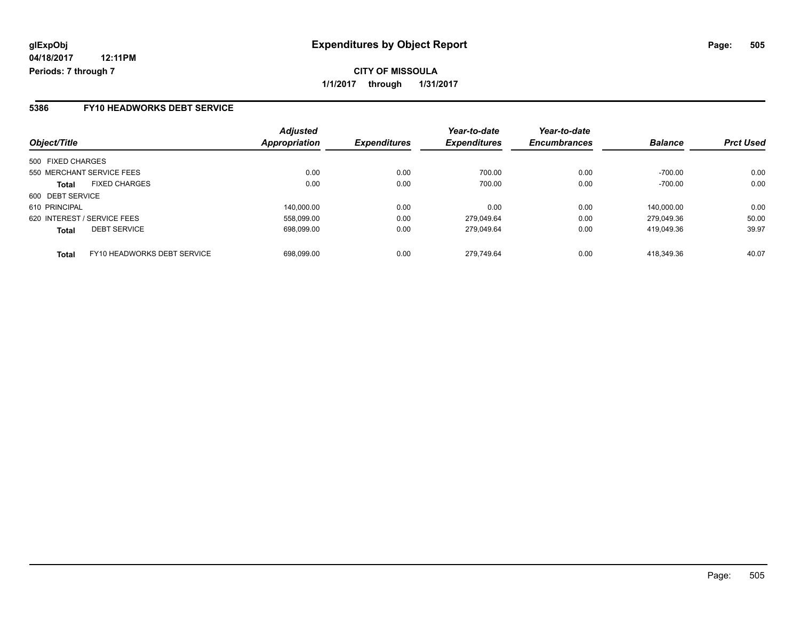### **5386 FY10 HEADWORKS DEBT SERVICE**

| Object/Title                                | <b>Adjusted</b><br>Appropriation | <b>Expenditures</b> | Year-to-date<br><b>Expenditures</b> | Year-to-date<br><b>Encumbrances</b> | <b>Balance</b> | <b>Prct Used</b> |
|---------------------------------------------|----------------------------------|---------------------|-------------------------------------|-------------------------------------|----------------|------------------|
| 500 FIXED CHARGES                           |                                  |                     |                                     |                                     |                |                  |
| 550 MERCHANT SERVICE FEES                   | 0.00                             | 0.00                | 700.00                              | 0.00                                | $-700.00$      | 0.00             |
| <b>FIXED CHARGES</b><br>Total               | 0.00                             | 0.00                | 700.00                              | 0.00                                | $-700.00$      | 0.00             |
| 600 DEBT SERVICE                            |                                  |                     |                                     |                                     |                |                  |
| 610 PRINCIPAL                               | 140,000.00                       | 0.00                | 0.00                                | 0.00                                | 140.000.00     | 0.00             |
| 620 INTEREST / SERVICE FEES                 | 558.099.00                       | 0.00                | 279.049.64                          | 0.00                                | 279.049.36     | 50.00            |
| <b>DEBT SERVICE</b><br><b>Total</b>         | 698.099.00                       | 0.00                | 279.049.64                          | 0.00                                | 419.049.36     | 39.97            |
| FY10 HEADWORKS DEBT SERVICE<br><b>Total</b> | 698.099.00                       | 0.00                | 279.749.64                          | 0.00                                | 418.349.36     | 40.07            |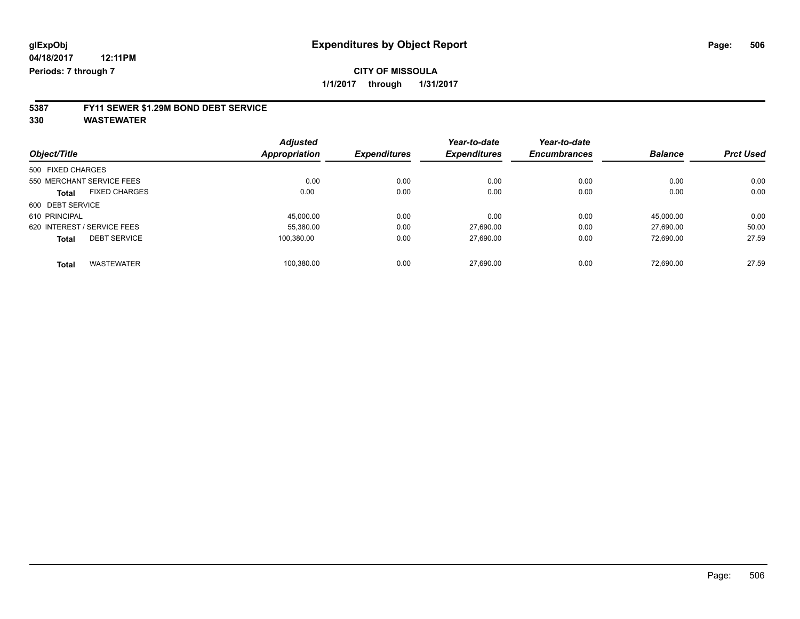### **5387 FY11 SEWER \$1.29M BOND DEBT SERVICE**

**330 WASTEWATER**

|                                      | <b>Adjusted</b>      |                     | Year-to-date        | Year-to-date        |                |                  |
|--------------------------------------|----------------------|---------------------|---------------------|---------------------|----------------|------------------|
| Object/Title                         | <b>Appropriation</b> | <b>Expenditures</b> | <b>Expenditures</b> | <b>Encumbrances</b> | <b>Balance</b> | <b>Prct Used</b> |
| 500 FIXED CHARGES                    |                      |                     |                     |                     |                |                  |
| 550 MERCHANT SERVICE FEES            | 0.00                 | 0.00                | 0.00                | 0.00                | 0.00           | 0.00             |
| <b>FIXED CHARGES</b><br><b>Total</b> | 0.00                 | 0.00                | 0.00                | 0.00                | 0.00           | 0.00             |
| 600 DEBT SERVICE                     |                      |                     |                     |                     |                |                  |
| 610 PRINCIPAL                        | 45.000.00            | 0.00                | 0.00                | 0.00                | 45.000.00      | 0.00             |
| 620 INTEREST / SERVICE FEES          | 55,380.00            | 0.00                | 27,690.00           | 0.00                | 27.690.00      | 50.00            |
| <b>DEBT SERVICE</b><br><b>Total</b>  | 100.380.00           | 0.00                | 27,690.00           | 0.00                | 72,690.00      | 27.59            |
| <b>WASTEWATER</b><br><b>Total</b>    | 100.380.00           | 0.00                | 27.690.00           | 0.00                | 72.690.00      | 27.59            |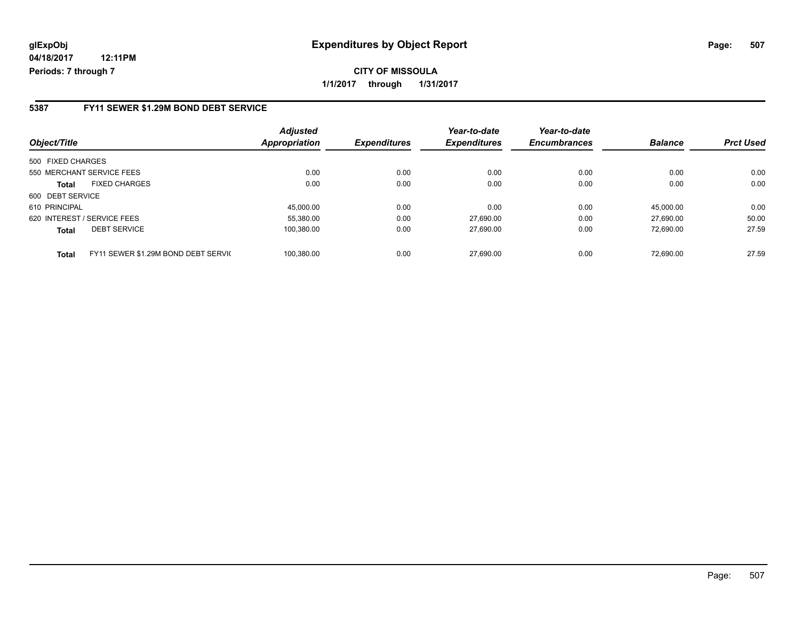**CITY OF MISSOULA 1/1/2017 through 1/31/2017**

#### **5387 FY11 SEWER \$1.29M BOND DEBT SERVICE**

| Object/Title                                        | <b>Adjusted</b><br><b>Appropriation</b> | <b>Expenditures</b> | Year-to-date<br><b>Expenditures</b> | Year-to-date<br><b>Encumbrances</b> | <b>Balance</b> | <b>Prct Used</b> |
|-----------------------------------------------------|-----------------------------------------|---------------------|-------------------------------------|-------------------------------------|----------------|------------------|
| 500 FIXED CHARGES                                   |                                         |                     |                                     |                                     |                |                  |
| 550 MERCHANT SERVICE FEES                           | 0.00                                    | 0.00                | 0.00                                | 0.00                                | 0.00           | 0.00             |
| <b>FIXED CHARGES</b><br>Total                       | 0.00                                    | 0.00                | 0.00                                | 0.00                                | 0.00           | 0.00             |
| 600 DEBT SERVICE                                    |                                         |                     |                                     |                                     |                |                  |
| 610 PRINCIPAL                                       | 45.000.00                               | 0.00                | 0.00                                | 0.00                                | 45.000.00      | 0.00             |
| 620 INTEREST / SERVICE FEES                         | 55,380.00                               | 0.00                | 27.690.00                           | 0.00                                | 27.690.00      | 50.00            |
| <b>DEBT SERVICE</b><br><b>Total</b>                 | 100,380.00                              | 0.00                | 27,690.00                           | 0.00                                | 72,690.00      | 27.59            |
| FY11 SEWER \$1.29M BOND DEBT SERVIC<br><b>Total</b> | 100.380.00                              | 0.00                | 27.690.00                           | 0.00                                | 72.690.00      | 27.59            |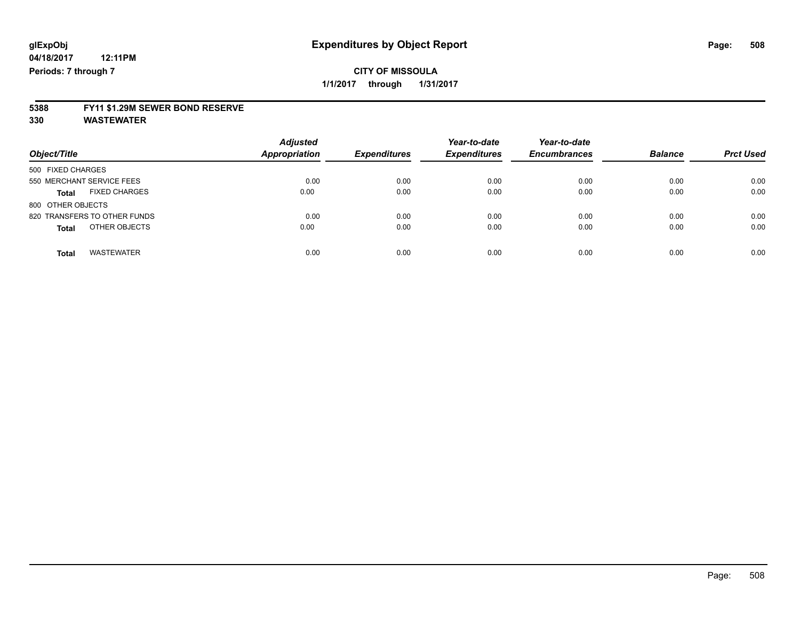### **CITY OF MISSOULA 1/1/2017 through 1/31/2017**

### **5388 FY11 \$1.29M SEWER BOND RESERVE**

**330 WASTEWATER**

| Object/Title                         | <b>Adjusted</b><br>Appropriation | <b>Expenditures</b> | Year-to-date<br><b>Expenditures</b> | Year-to-date<br><b>Encumbrances</b> | <b>Balance</b> | <b>Prct Used</b> |
|--------------------------------------|----------------------------------|---------------------|-------------------------------------|-------------------------------------|----------------|------------------|
| 500 FIXED CHARGES                    |                                  |                     |                                     |                                     |                |                  |
| 550 MERCHANT SERVICE FEES            | 0.00                             | 0.00                | 0.00                                | 0.00                                | 0.00           | 0.00             |
| <b>FIXED CHARGES</b><br><b>Total</b> | 0.00                             | 0.00                | 0.00                                | 0.00                                | 0.00           | 0.00             |
| 800 OTHER OBJECTS                    |                                  |                     |                                     |                                     |                |                  |
| 820 TRANSFERS TO OTHER FUNDS         | 0.00                             | 0.00                | 0.00                                | 0.00                                | 0.00           | 0.00             |
| OTHER OBJECTS<br><b>Total</b>        | 0.00                             | 0.00                | 0.00                                | 0.00                                | 0.00           | 0.00             |
| <b>WASTEWATER</b><br><b>Total</b>    | 0.00                             | 0.00                | 0.00                                | 0.00                                | 0.00           | 0.00             |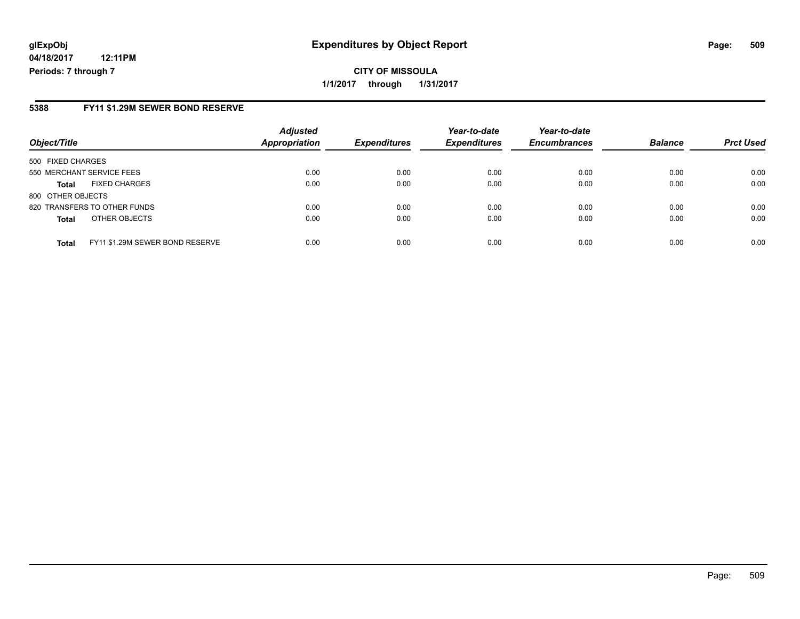### **glExpObj Expenditures by Object Report Page: 509**

**04/18/2017 12:11PM Periods: 7 through 7**

#### **5388 FY11 \$1.29M SEWER BOND RESERVE**

| Object/Title                                    | <b>Adjusted</b><br>Appropriation | <b>Expenditures</b> | Year-to-date<br><b>Expenditures</b> | Year-to-date<br><b>Encumbrances</b> | <b>Balance</b> | <b>Prct Used</b> |
|-------------------------------------------------|----------------------------------|---------------------|-------------------------------------|-------------------------------------|----------------|------------------|
| 500 FIXED CHARGES                               |                                  |                     |                                     |                                     |                |                  |
| 550 MERCHANT SERVICE FEES                       | 0.00                             | 0.00                | 0.00                                | 0.00                                | 0.00           | 0.00             |
| <b>FIXED CHARGES</b><br><b>Total</b>            | 0.00                             | 0.00                | 0.00                                | 0.00                                | 0.00           | 0.00             |
| 800 OTHER OBJECTS                               |                                  |                     |                                     |                                     |                |                  |
| 820 TRANSFERS TO OTHER FUNDS                    | 0.00                             | 0.00                | 0.00                                | 0.00                                | 0.00           | 0.00             |
| OTHER OBJECTS<br><b>Total</b>                   | 0.00                             | 0.00                | 0.00                                | 0.00                                | 0.00           | 0.00             |
| FY11 \$1.29M SEWER BOND RESERVE<br><b>Total</b> | 0.00                             | 0.00                | 0.00                                | 0.00                                | 0.00           | 0.00             |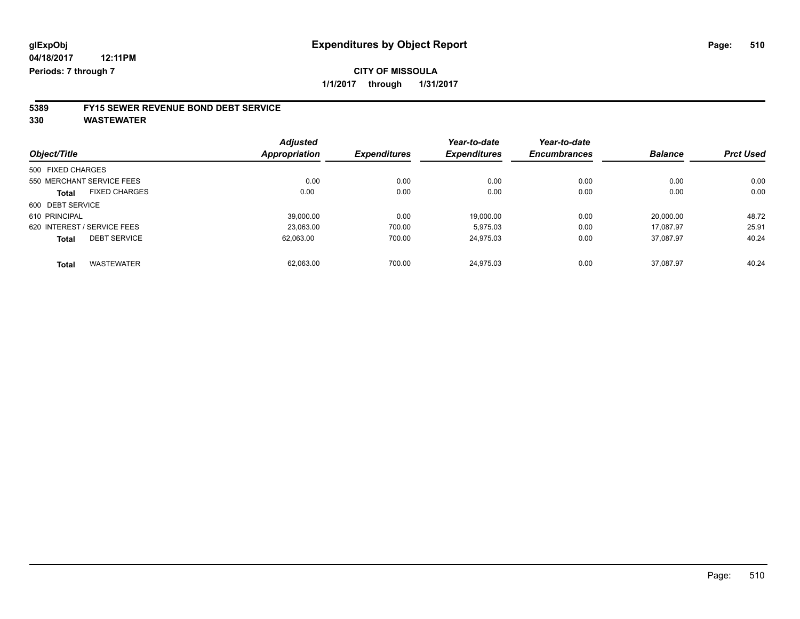### **5389 FY15 SEWER REVENUE BOND DEBT SERVICE**

**330 WASTEWATER**

|                                     | <b>Adjusted</b>      |                     | Year-to-date        | Year-to-date        |                |                  |
|-------------------------------------|----------------------|---------------------|---------------------|---------------------|----------------|------------------|
| Object/Title                        | <b>Appropriation</b> | <b>Expenditures</b> | <b>Expenditures</b> | <b>Encumbrances</b> | <b>Balance</b> | <b>Prct Used</b> |
| 500 FIXED CHARGES                   |                      |                     |                     |                     |                |                  |
| 550 MERCHANT SERVICE FEES           | 0.00                 | 0.00                | 0.00                | 0.00                | 0.00           | 0.00             |
| <b>FIXED CHARGES</b><br>Total       | 0.00                 | 0.00                | 0.00                | 0.00                | 0.00           | 0.00             |
| 600 DEBT SERVICE                    |                      |                     |                     |                     |                |                  |
| 610 PRINCIPAL                       | 39,000.00            | 0.00                | 19.000.00           | 0.00                | 20.000.00      | 48.72            |
| 620 INTEREST / SERVICE FEES         | 23.063.00            | 700.00              | 5.975.03            | 0.00                | 17.087.97      | 25.91            |
| <b>DEBT SERVICE</b><br><b>Total</b> | 62.063.00            | 700.00              | 24,975.03           | 0.00                | 37,087.97      | 40.24            |
| <b>WASTEWATER</b><br>Total          | 62.063.00            | 700.00              | 24.975.03           | 0.00                | 37.087.97      | 40.24            |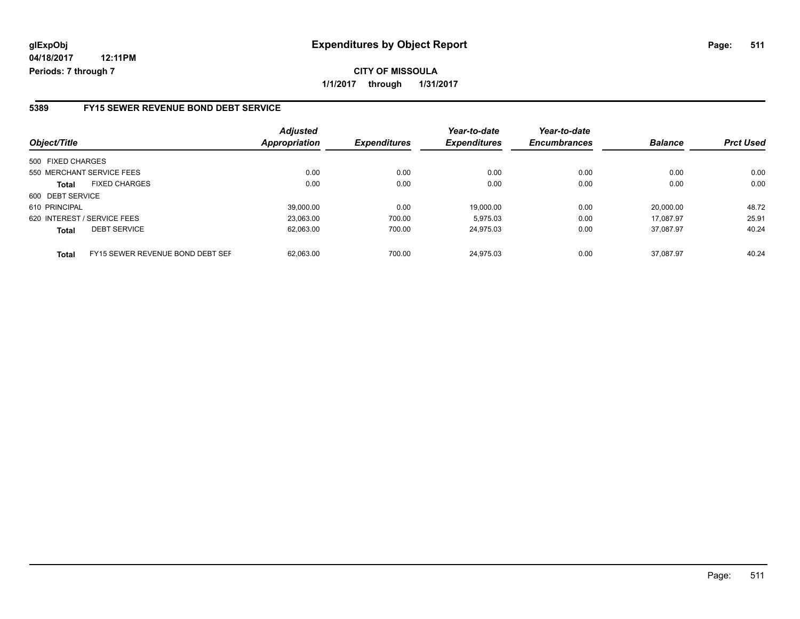### **glExpObj Expenditures by Object Report Page: 511**

**04/18/2017 12:11PM Periods: 7 through 7**

#### **5389 FY15 SEWER REVENUE BOND DEBT SERVICE**

| Object/Title      |                                  | <b>Adjusted</b><br>Appropriation | <b>Expenditures</b> | Year-to-date<br><b>Expenditures</b> | Year-to-date<br><b>Encumbrances</b> | <b>Balance</b> | <b>Prct Used</b> |
|-------------------|----------------------------------|----------------------------------|---------------------|-------------------------------------|-------------------------------------|----------------|------------------|
| 500 FIXED CHARGES |                                  |                                  |                     |                                     |                                     |                |                  |
|                   | 550 MERCHANT SERVICE FEES        | 0.00                             | 0.00                | 0.00                                | 0.00                                | 0.00           | 0.00             |
| <b>Total</b>      | <b>FIXED CHARGES</b>             | 0.00                             | 0.00                | 0.00                                | 0.00                                | 0.00           | 0.00             |
| 600 DEBT SERVICE  |                                  |                                  |                     |                                     |                                     |                |                  |
| 610 PRINCIPAL     |                                  | 39.000.00                        | 0.00                | 19.000.00                           | 0.00                                | 20.000.00      | 48.72            |
|                   | 620 INTEREST / SERVICE FEES      | 23,063.00                        | 700.00              | 5.975.03                            | 0.00                                | 17.087.97      | 25.91            |
| <b>Total</b>      | <b>DEBT SERVICE</b>              | 62.063.00                        | 700.00              | 24.975.03                           | 0.00                                | 37.087.97      | 40.24            |
| <b>Total</b>      | FY15 SEWER REVENUE BOND DEBT SEF | 62.063.00                        | 700.00              | 24.975.03                           | 0.00                                | 37.087.97      | 40.24            |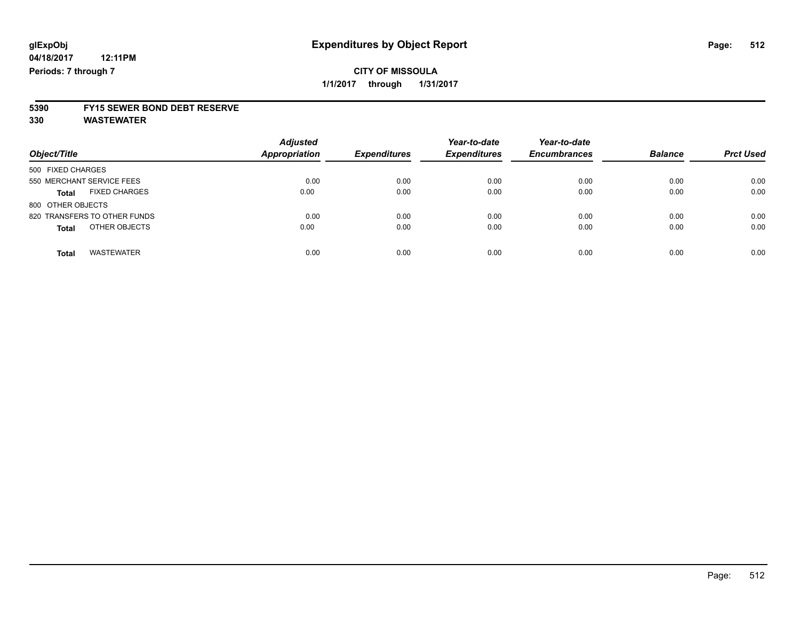# **5390 FY15 SEWER BOND DEBT RESERVE**

**330 WASTEWATER**

| Object/Title                         | <b>Adjusted</b><br>Appropriation | <b>Expenditures</b> | Year-to-date<br><b>Expenditures</b> | Year-to-date<br><b>Encumbrances</b> | <b>Balance</b> | <b>Prct Used</b> |
|--------------------------------------|----------------------------------|---------------------|-------------------------------------|-------------------------------------|----------------|------------------|
| 500 FIXED CHARGES                    |                                  |                     |                                     |                                     |                |                  |
| 550 MERCHANT SERVICE FEES            | 0.00                             | 0.00                | 0.00                                | 0.00                                | 0.00           | 0.00             |
| <b>FIXED CHARGES</b><br><b>Total</b> | 0.00                             | 0.00                | 0.00                                | 0.00                                | 0.00           | 0.00             |
| 800 OTHER OBJECTS                    |                                  |                     |                                     |                                     |                |                  |
| 820 TRANSFERS TO OTHER FUNDS         | 0.00                             | 0.00                | 0.00                                | 0.00                                | 0.00           | 0.00             |
| OTHER OBJECTS<br><b>Total</b>        | 0.00                             | 0.00                | 0.00                                | 0.00                                | 0.00           | 0.00             |
| <b>WASTEWATER</b><br>Total           | 0.00                             | 0.00                | 0.00                                | 0.00                                | 0.00           | 0.00             |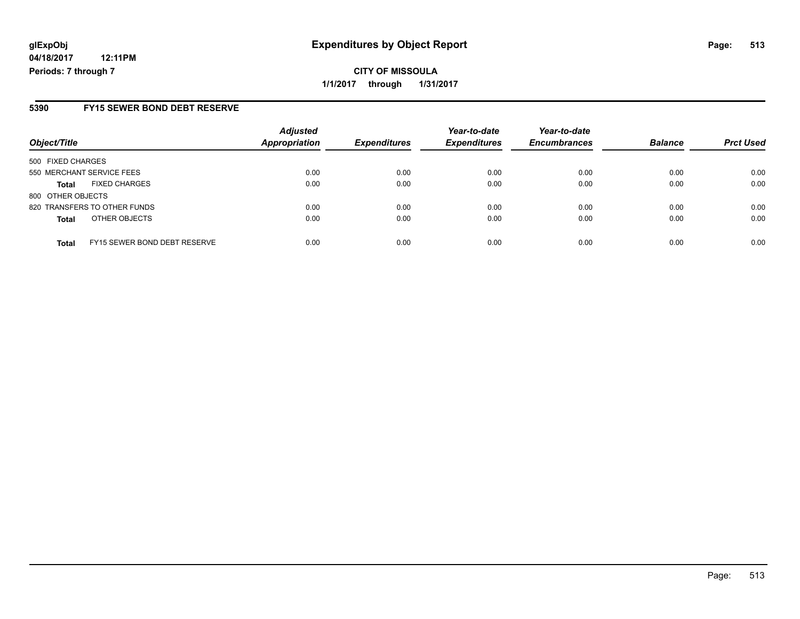#### **5390 FY15 SEWER BOND DEBT RESERVE**

| Object/Title              |                              | <b>Adjusted</b><br><b>Appropriation</b> | <b>Expenditures</b> | Year-to-date<br><b>Expenditures</b> | Year-to-date<br><b>Encumbrances</b> | <b>Balance</b> | <b>Prct Used</b> |
|---------------------------|------------------------------|-----------------------------------------|---------------------|-------------------------------------|-------------------------------------|----------------|------------------|
| 500 FIXED CHARGES         |                              |                                         |                     |                                     |                                     |                |                  |
| 550 MERCHANT SERVICE FEES |                              | 0.00                                    | 0.00                | 0.00                                | 0.00                                | 0.00           | 0.00             |
| <b>Total</b>              | <b>FIXED CHARGES</b>         | 0.00                                    | 0.00                | 0.00                                | 0.00                                | 0.00           | 0.00             |
| 800 OTHER OBJECTS         |                              |                                         |                     |                                     |                                     |                |                  |
|                           | 820 TRANSFERS TO OTHER FUNDS | 0.00                                    | 0.00                | 0.00                                | 0.00                                | 0.00           | 0.00             |
| <b>Total</b>              | OTHER OBJECTS                | 0.00                                    | 0.00                | 0.00                                | 0.00                                | 0.00           | 0.00             |
| <b>Total</b>              | FY15 SEWER BOND DEBT RESERVE | 0.00                                    | 0.00                | 0.00                                | 0.00                                | 0.00           | 0.00             |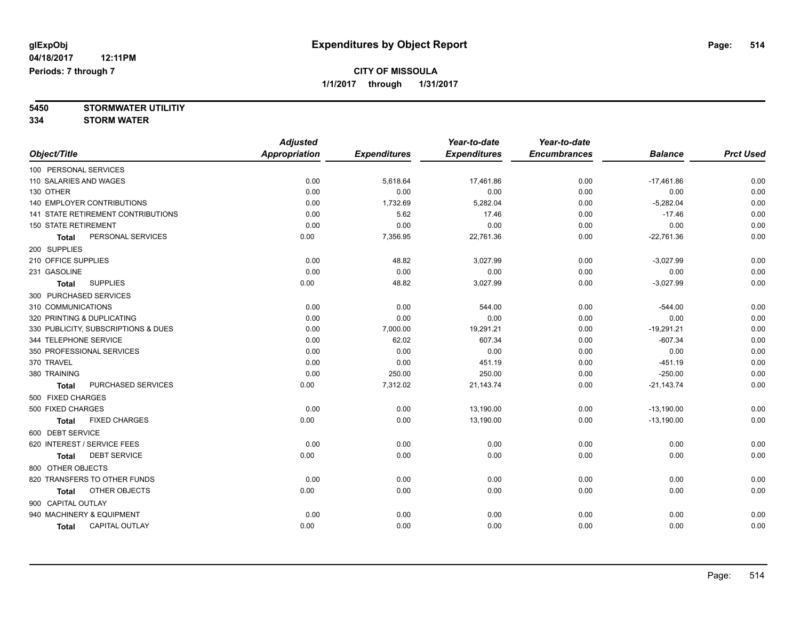**5450 STORMWATER UTILITIY 334 STORM WATER**

|                                      | <b>Adjusted</b>      |                     | Year-to-date        | Year-to-date        |                |                  |
|--------------------------------------|----------------------|---------------------|---------------------|---------------------|----------------|------------------|
| Object/Title                         | <b>Appropriation</b> | <b>Expenditures</b> | <b>Expenditures</b> | <b>Encumbrances</b> | <b>Balance</b> | <b>Prct Used</b> |
| 100 PERSONAL SERVICES                |                      |                     |                     |                     |                |                  |
| 110 SALARIES AND WAGES               | 0.00                 | 5,618.64            | 17,461.86           | 0.00                | $-17,461.86$   | 0.00             |
| 130 OTHER                            | 0.00                 | 0.00                | 0.00                | 0.00                | 0.00           | 0.00             |
| <b>140 EMPLOYER CONTRIBUTIONS</b>    | 0.00                 | 1,732.69            | 5,282.04            | 0.00                | $-5,282.04$    | 0.00             |
| 141 STATE RETIREMENT CONTRIBUTIONS   | 0.00                 | 5.62                | 17.46               | 0.00                | $-17.46$       | 0.00             |
| <b>150 STATE RETIREMENT</b>          | 0.00                 | 0.00                | 0.00                | 0.00                | 0.00           | 0.00             |
| PERSONAL SERVICES<br><b>Total</b>    | 0.00                 | 7,356.95            | 22,761.36           | 0.00                | $-22,761.36$   | 0.00             |
| 200 SUPPLIES                         |                      |                     |                     |                     |                |                  |
| 210 OFFICE SUPPLIES                  | 0.00                 | 48.82               | 3,027.99            | 0.00                | $-3,027.99$    | 0.00             |
| 231 GASOLINE                         | 0.00                 | 0.00                | 0.00                | 0.00                | 0.00           | 0.00             |
| <b>SUPPLIES</b><br><b>Total</b>      | 0.00                 | 48.82               | 3,027.99            | 0.00                | $-3,027.99$    | 0.00             |
| 300 PURCHASED SERVICES               |                      |                     |                     |                     |                |                  |
| 310 COMMUNICATIONS                   | 0.00                 | 0.00                | 544.00              | 0.00                | $-544.00$      | 0.00             |
| 320 PRINTING & DUPLICATING           | 0.00                 | 0.00                | 0.00                | 0.00                | 0.00           | 0.00             |
| 330 PUBLICITY, SUBSCRIPTIONS & DUES  | 0.00                 | 7,000.00            | 19,291.21           | 0.00                | $-19,291.21$   | 0.00             |
| 344 TELEPHONE SERVICE                | 0.00                 | 62.02               | 607.34              | 0.00                | $-607.34$      | 0.00             |
| 350 PROFESSIONAL SERVICES            | 0.00                 | 0.00                | 0.00                | 0.00                | 0.00           | 0.00             |
| 370 TRAVEL                           | 0.00                 | 0.00                | 451.19              | 0.00                | $-451.19$      | 0.00             |
| 380 TRAINING                         | 0.00                 | 250.00              | 250.00              | 0.00                | $-250.00$      | 0.00             |
| PURCHASED SERVICES<br><b>Total</b>   | 0.00                 | 7,312.02            | 21,143.74           | 0.00                | $-21,143.74$   | 0.00             |
| 500 FIXED CHARGES                    |                      |                     |                     |                     |                |                  |
| 500 FIXED CHARGES                    | 0.00                 | 0.00                | 13,190.00           | 0.00                | $-13,190.00$   | 0.00             |
| <b>FIXED CHARGES</b><br><b>Total</b> | 0.00                 | 0.00                | 13,190.00           | 0.00                | $-13,190.00$   | 0.00             |
| 600 DEBT SERVICE                     |                      |                     |                     |                     |                |                  |
| 620 INTEREST / SERVICE FEES          | 0.00                 | 0.00                | 0.00                | 0.00                | 0.00           | 0.00             |
| <b>DEBT SERVICE</b><br><b>Total</b>  | 0.00                 | 0.00                | 0.00                | 0.00                | 0.00           | 0.00             |
| 800 OTHER OBJECTS                    |                      |                     |                     |                     |                |                  |
| 820 TRANSFERS TO OTHER FUNDS         | 0.00                 | 0.00                | 0.00                | 0.00                | 0.00           | 0.00             |
| OTHER OBJECTS<br><b>Total</b>        | 0.00                 | 0.00                | 0.00                | 0.00                | 0.00           | 0.00             |
| 900 CAPITAL OUTLAY                   |                      |                     |                     |                     |                |                  |
| 940 MACHINERY & EQUIPMENT            | 0.00                 | 0.00                | 0.00                | 0.00                | 0.00           | 0.00             |
| CAPITAL OUTLAY<br><b>Total</b>       | 0.00                 | 0.00                | 0.00                | 0.00                | 0.00           | 0.00             |
|                                      |                      |                     |                     |                     |                |                  |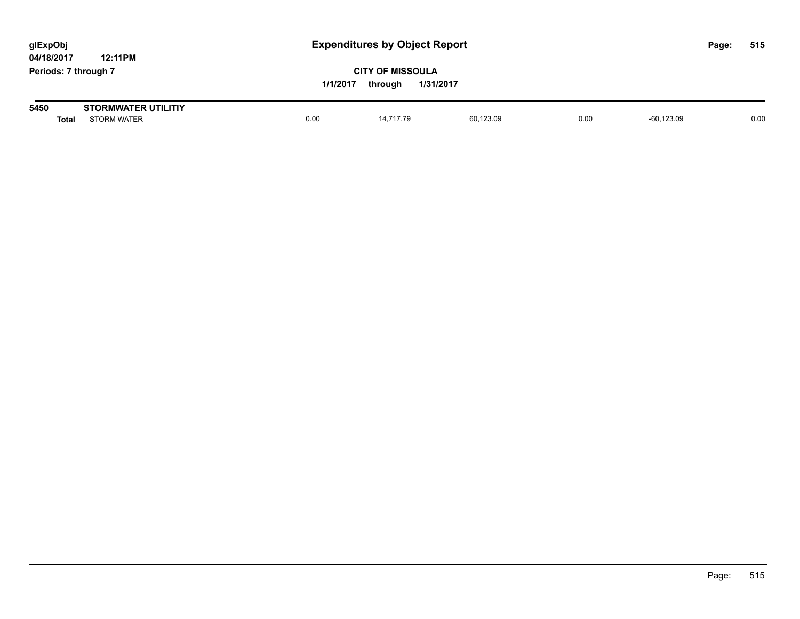| glExpObj<br>04/18/2017 | <b>Expenditures by Object Report</b><br>12:11PM  |          |                                                 |           |      | Page:         | 515 |      |
|------------------------|--------------------------------------------------|----------|-------------------------------------------------|-----------|------|---------------|-----|------|
| Periods: 7 through 7   |                                                  | 1/1/2017 | <b>CITY OF MISSOULA</b><br>1/31/2017<br>through |           |      |               |     |      |
| 5450<br><b>Total</b>   | <b>STORMWATER UTILITIY</b><br><b>STORM WATER</b> | 0.00     | 14,717.79                                       | 60,123.09 | 0.00 | $-60, 123.09$ |     | 0.00 |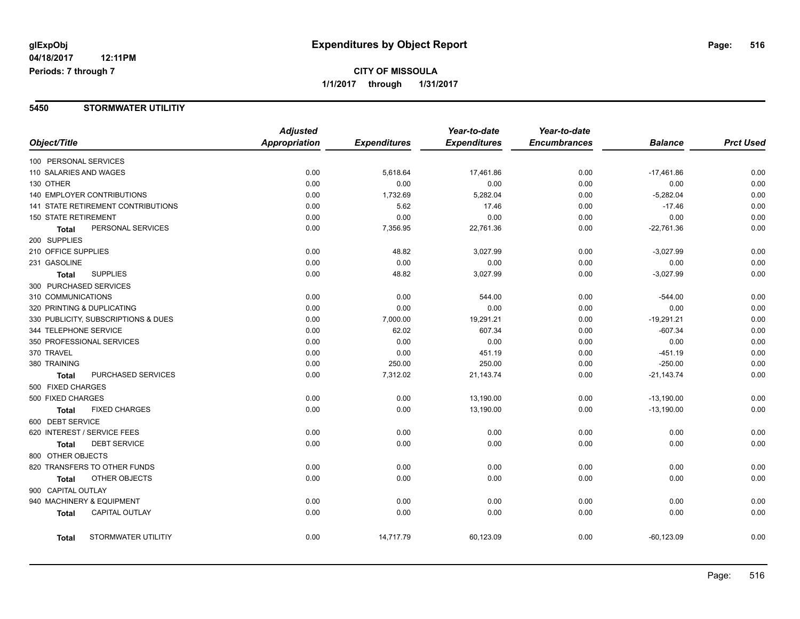### **CITY OF MISSOULA 1/1/2017 through 1/31/2017**

### **5450 STORMWATER UTILITIY**

|                            |                                     | <b>Adjusted</b>      |                     | Year-to-date        | Year-to-date        |                |                  |
|----------------------------|-------------------------------------|----------------------|---------------------|---------------------|---------------------|----------------|------------------|
| Object/Title               |                                     | <b>Appropriation</b> | <b>Expenditures</b> | <b>Expenditures</b> | <b>Encumbrances</b> | <b>Balance</b> | <b>Prct Used</b> |
| 100 PERSONAL SERVICES      |                                     |                      |                     |                     |                     |                |                  |
| 110 SALARIES AND WAGES     |                                     | 0.00                 | 5,618.64            | 17,461.86           | 0.00                | $-17,461.86$   | 0.00             |
| 130 OTHER                  |                                     | 0.00                 | 0.00                | 0.00                | 0.00                | 0.00           | 0.00             |
|                            | <b>140 EMPLOYER CONTRIBUTIONS</b>   | 0.00                 | 1,732.69            | 5,282.04            | 0.00                | $-5,282.04$    | 0.00             |
|                            | 141 STATE RETIREMENT CONTRIBUTIONS  | 0.00                 | 5.62                | 17.46               | 0.00                | $-17.46$       | 0.00             |
| 150 STATE RETIREMENT       |                                     | 0.00                 | 0.00                | 0.00                | 0.00                | 0.00           | 0.00             |
| <b>Total</b>               | PERSONAL SERVICES                   | 0.00                 | 7,356.95            | 22,761.36           | 0.00                | $-22,761.36$   | 0.00             |
| 200 SUPPLIES               |                                     |                      |                     |                     |                     |                |                  |
| 210 OFFICE SUPPLIES        |                                     | 0.00                 | 48.82               | 3,027.99            | 0.00                | $-3,027.99$    | 0.00             |
| 231 GASOLINE               |                                     | 0.00                 | 0.00                | 0.00                | 0.00                | 0.00           | 0.00             |
| <b>Total</b>               | <b>SUPPLIES</b>                     | 0.00                 | 48.82               | 3,027.99            | 0.00                | $-3,027.99$    | 0.00             |
| 300 PURCHASED SERVICES     |                                     |                      |                     |                     |                     |                |                  |
| 310 COMMUNICATIONS         |                                     | 0.00                 | 0.00                | 544.00              | 0.00                | $-544.00$      | 0.00             |
| 320 PRINTING & DUPLICATING |                                     | 0.00                 | 0.00                | 0.00                | 0.00                | 0.00           | 0.00             |
|                            | 330 PUBLICITY, SUBSCRIPTIONS & DUES | 0.00                 | 7,000.00            | 19,291.21           | 0.00                | $-19,291.21$   | 0.00             |
| 344 TELEPHONE SERVICE      |                                     | 0.00                 | 62.02               | 607.34              | 0.00                | $-607.34$      | 0.00             |
|                            | 350 PROFESSIONAL SERVICES           | 0.00                 | 0.00                | 0.00                | 0.00                | 0.00           | 0.00             |
| 370 TRAVEL                 |                                     | 0.00                 | 0.00                | 451.19              | 0.00                | $-451.19$      | 0.00             |
| 380 TRAINING               |                                     | 0.00                 | 250.00              | 250.00              | 0.00                | $-250.00$      | 0.00             |
| <b>Total</b>               | PURCHASED SERVICES                  | 0.00                 | 7,312.02            | 21,143.74           | 0.00                | $-21,143.74$   | 0.00             |
| 500 FIXED CHARGES          |                                     |                      |                     |                     |                     |                |                  |
| 500 FIXED CHARGES          |                                     | 0.00                 | 0.00                | 13,190.00           | 0.00                | $-13,190.00$   | 0.00             |
| <b>Total</b>               | <b>FIXED CHARGES</b>                | 0.00                 | 0.00                | 13,190.00           | 0.00                | $-13,190.00$   | 0.00             |
| 600 DEBT SERVICE           |                                     |                      |                     |                     |                     |                |                  |
|                            | 620 INTEREST / SERVICE FEES         | 0.00                 | 0.00                | 0.00                | 0.00                | 0.00           | 0.00             |
| <b>Total</b>               | <b>DEBT SERVICE</b>                 | 0.00                 | 0.00                | 0.00                | 0.00                | 0.00           | 0.00             |
| 800 OTHER OBJECTS          |                                     |                      |                     |                     |                     |                |                  |
|                            | 820 TRANSFERS TO OTHER FUNDS        | 0.00                 | 0.00                | 0.00                | 0.00                | 0.00           | 0.00             |
| <b>Total</b>               | OTHER OBJECTS                       | 0.00                 | 0.00                | 0.00                | 0.00                | 0.00           | 0.00             |
| 900 CAPITAL OUTLAY         |                                     |                      |                     |                     |                     |                |                  |
|                            | 940 MACHINERY & EQUIPMENT           | 0.00                 | 0.00                | 0.00                | 0.00                | 0.00           | 0.00             |
| Total                      | <b>CAPITAL OUTLAY</b>               | 0.00                 | 0.00                | 0.00                | 0.00                | 0.00           | 0.00             |
| <b>Total</b>               | STORMWATER UTILITIY                 | 0.00                 | 14,717.79           | 60,123.09           | 0.00                | $-60, 123.09$  | 0.00             |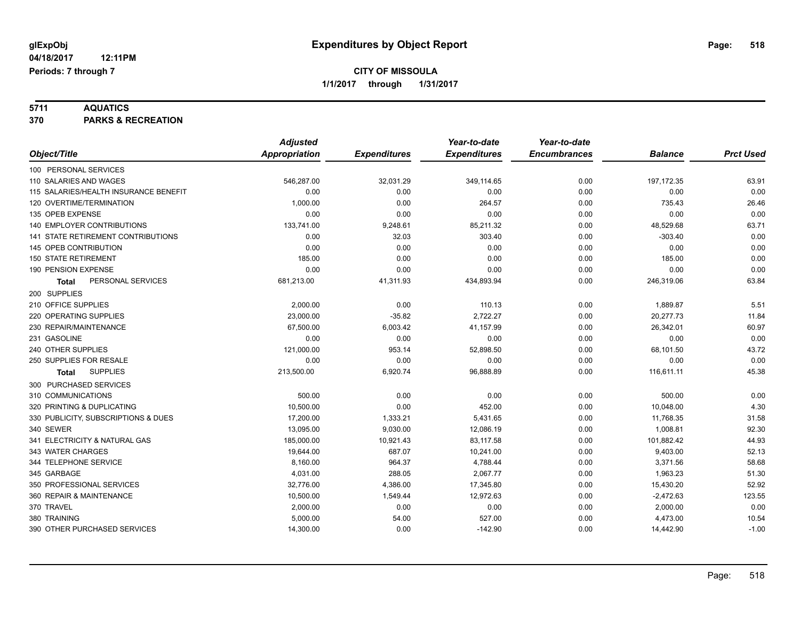**5711 AQUATICS 370 PARKS & RECREATION**

|                                       | <b>Adjusted</b>      |                     | Year-to-date        | Year-to-date        |                |                  |
|---------------------------------------|----------------------|---------------------|---------------------|---------------------|----------------|------------------|
| Object/Title                          | <b>Appropriation</b> | <b>Expenditures</b> | <b>Expenditures</b> | <b>Encumbrances</b> | <b>Balance</b> | <b>Prct Used</b> |
| 100 PERSONAL SERVICES                 |                      |                     |                     |                     |                |                  |
| 110 SALARIES AND WAGES                | 546,287.00           | 32,031.29           | 349,114.65          | 0.00                | 197, 172.35    | 63.91            |
| 115 SALARIES/HEALTH INSURANCE BENEFIT | 0.00                 | 0.00                | 0.00                | 0.00                | 0.00           | 0.00             |
| 120 OVERTIME/TERMINATION              | 1,000.00             | 0.00                | 264.57              | 0.00                | 735.43         | 26.46            |
| 135 OPEB EXPENSE                      | 0.00                 | 0.00                | 0.00                | 0.00                | 0.00           | 0.00             |
| <b>140 EMPLOYER CONTRIBUTIONS</b>     | 133,741.00           | 9,248.61            | 85,211.32           | 0.00                | 48,529.68      | 63.71            |
| 141 STATE RETIREMENT CONTRIBUTIONS    | 0.00                 | 32.03               | 303.40              | 0.00                | $-303.40$      | 0.00             |
| 145 OPEB CONTRIBUTION                 | 0.00                 | 0.00                | 0.00                | 0.00                | 0.00           | 0.00             |
| <b>150 STATE RETIREMENT</b>           | 185.00               | 0.00                | 0.00                | 0.00                | 185.00         | 0.00             |
| 190 PENSION EXPENSE                   | 0.00                 | 0.00                | 0.00                | 0.00                | 0.00           | 0.00             |
| PERSONAL SERVICES<br>Total            | 681,213.00           | 41,311.93           | 434,893.94          | 0.00                | 246,319.06     | 63.84            |
| 200 SUPPLIES                          |                      |                     |                     |                     |                |                  |
| 210 OFFICE SUPPLIES                   | 2,000.00             | 0.00                | 110.13              | 0.00                | 1,889.87       | 5.51             |
| 220 OPERATING SUPPLIES                | 23,000.00            | $-35.82$            | 2,722.27            | 0.00                | 20,277.73      | 11.84            |
| 230 REPAIR/MAINTENANCE                | 67,500.00            | 6,003.42            | 41,157.99           | 0.00                | 26,342.01      | 60.97            |
| 231 GASOLINE                          | 0.00                 | 0.00                | 0.00                | 0.00                | 0.00           | 0.00             |
| 240 OTHER SUPPLIES                    | 121,000.00           | 953.14              | 52,898.50           | 0.00                | 68,101.50      | 43.72            |
| 250 SUPPLIES FOR RESALE               | 0.00                 | 0.00                | 0.00                | 0.00                | 0.00           | 0.00             |
| <b>SUPPLIES</b><br>Total              | 213,500.00           | 6,920.74            | 96,888.89           | 0.00                | 116,611.11     | 45.38            |
| 300 PURCHASED SERVICES                |                      |                     |                     |                     |                |                  |
| 310 COMMUNICATIONS                    | 500.00               | 0.00                | 0.00                | 0.00                | 500.00         | 0.00             |
| 320 PRINTING & DUPLICATING            | 10,500.00            | 0.00                | 452.00              | 0.00                | 10,048.00      | 4.30             |
| 330 PUBLICITY, SUBSCRIPTIONS & DUES   | 17,200.00            | 1,333.21            | 5,431.65            | 0.00                | 11,768.35      | 31.58            |
| 340 SEWER                             | 13,095.00            | 9,030.00            | 12,086.19           | 0.00                | 1,008.81       | 92.30            |
| 341 ELECTRICITY & NATURAL GAS         | 185,000.00           | 10,921.43           | 83,117.58           | 0.00                | 101,882.42     | 44.93            |
| 343 WATER CHARGES                     | 19,644.00            | 687.07              | 10,241.00           | 0.00                | 9,403.00       | 52.13            |
| 344 TELEPHONE SERVICE                 | 8,160.00             | 964.37              | 4,788.44            | 0.00                | 3,371.56       | 58.68            |
| 345 GARBAGE                           | 4,031.00             | 288.05              | 2,067.77            | 0.00                | 1,963.23       | 51.30            |
| 350 PROFESSIONAL SERVICES             | 32,776.00            | 4,386.00            | 17,345.80           | 0.00                | 15,430.20      | 52.92            |
| 360 REPAIR & MAINTENANCE              | 10,500.00            | 1,549.44            | 12,972.63           | 0.00                | $-2,472.63$    | 123.55           |
| 370 TRAVEL                            | 2,000.00             | 0.00                | 0.00                | 0.00                | 2,000.00       | 0.00             |
| 380 TRAINING                          | 5,000.00             | 54.00               | 527.00              | 0.00                | 4,473.00       | 10.54            |
| 390 OTHER PURCHASED SERVICES          | 14,300.00            | 0.00                | $-142.90$           | 0.00                | 14,442.90      | $-1.00$          |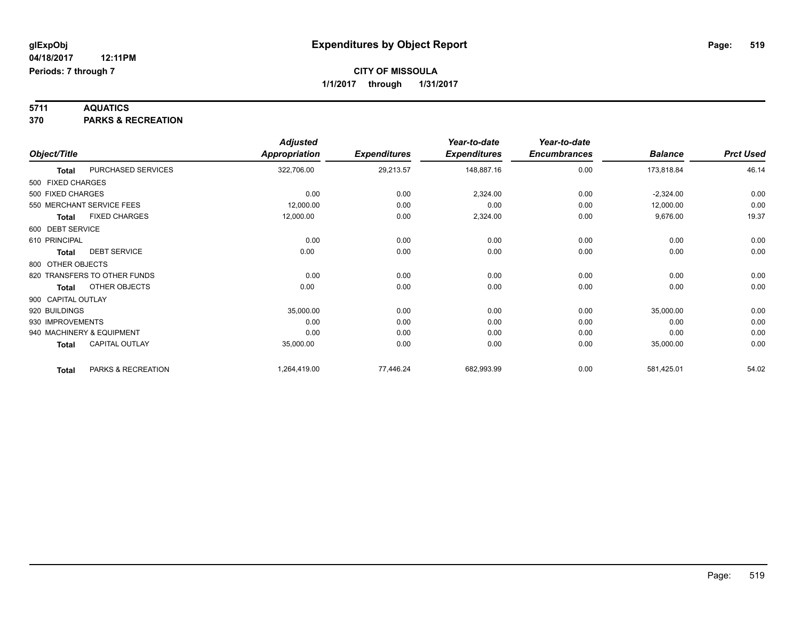**5711 AQUATICS 370 PARKS & RECREATION**

|                    |                              | <b>Adjusted</b>      |                     | Year-to-date        | Year-to-date        |                |                  |
|--------------------|------------------------------|----------------------|---------------------|---------------------|---------------------|----------------|------------------|
| Object/Title       |                              | <b>Appropriation</b> | <b>Expenditures</b> | <b>Expenditures</b> | <b>Encumbrances</b> | <b>Balance</b> | <b>Prct Used</b> |
| <b>Total</b>       | PURCHASED SERVICES           | 322,706.00           | 29,213.57           | 148,887.16          | 0.00                | 173,818.84     | 46.14            |
| 500 FIXED CHARGES  |                              |                      |                     |                     |                     |                |                  |
| 500 FIXED CHARGES  |                              | 0.00                 | 0.00                | 2,324.00            | 0.00                | $-2,324.00$    | 0.00             |
|                    | 550 MERCHANT SERVICE FEES    | 12,000.00            | 0.00                | 0.00                | 0.00                | 12,000.00      | 0.00             |
| Total              | <b>FIXED CHARGES</b>         | 12,000.00            | 0.00                | 2,324.00            | 0.00                | 9,676.00       | 19.37            |
| 600 DEBT SERVICE   |                              |                      |                     |                     |                     |                |                  |
| 610 PRINCIPAL      |                              | 0.00                 | 0.00                | 0.00                | 0.00                | 0.00           | 0.00             |
| <b>Total</b>       | <b>DEBT SERVICE</b>          | 0.00                 | 0.00                | 0.00                | 0.00                | 0.00           | 0.00             |
| 800 OTHER OBJECTS  |                              |                      |                     |                     |                     |                |                  |
|                    | 820 TRANSFERS TO OTHER FUNDS | 0.00                 | 0.00                | 0.00                | 0.00                | 0.00           | 0.00             |
| Total              | OTHER OBJECTS                | 0.00                 | 0.00                | 0.00                | 0.00                | 0.00           | 0.00             |
| 900 CAPITAL OUTLAY |                              |                      |                     |                     |                     |                |                  |
| 920 BUILDINGS      |                              | 35,000.00            | 0.00                | 0.00                | 0.00                | 35,000.00      | 0.00             |
| 930 IMPROVEMENTS   |                              | 0.00                 | 0.00                | 0.00                | 0.00                | 0.00           | 0.00             |
|                    | 940 MACHINERY & EQUIPMENT    | 0.00                 | 0.00                | 0.00                | 0.00                | 0.00           | 0.00             |
| <b>Total</b>       | CAPITAL OUTLAY               | 35,000.00            | 0.00                | 0.00                | 0.00                | 35,000.00      | 0.00             |
| <b>Total</b>       | PARKS & RECREATION           | 1,264,419.00         | 77,446.24           | 682,993.99          | 0.00                | 581,425.01     | 54.02            |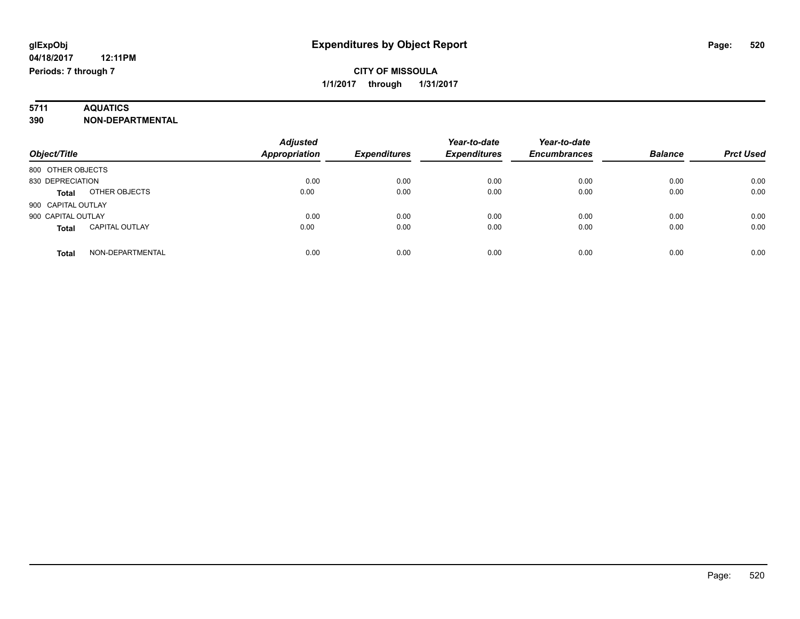# **5711 AQUATICS**

### **390 NON-DEPARTMENTAL**

| Object/Title                          | <b>Adjusted</b><br>Appropriation | <b>Expenditures</b> | Year-to-date<br><b>Expenditures</b> | Year-to-date<br><b>Encumbrances</b> | <b>Balance</b> | <b>Prct Used</b> |
|---------------------------------------|----------------------------------|---------------------|-------------------------------------|-------------------------------------|----------------|------------------|
| 800 OTHER OBJECTS                     |                                  |                     |                                     |                                     |                |                  |
| 830 DEPRECIATION                      | 0.00                             | 0.00                | 0.00                                | 0.00                                | 0.00           | 0.00             |
| OTHER OBJECTS<br><b>Total</b>         | 0.00                             | 0.00                | 0.00                                | 0.00                                | 0.00           | 0.00             |
| 900 CAPITAL OUTLAY                    |                                  |                     |                                     |                                     |                |                  |
| 900 CAPITAL OUTLAY                    | 0.00                             | 0.00                | 0.00                                | 0.00                                | 0.00           | 0.00             |
| <b>CAPITAL OUTLAY</b><br><b>Total</b> | 0.00                             | 0.00                | 0.00                                | 0.00                                | 0.00           | 0.00             |
| NON-DEPARTMENTAL<br>Total             | 0.00                             | 0.00                | 0.00                                | 0.00                                | 0.00           | 0.00             |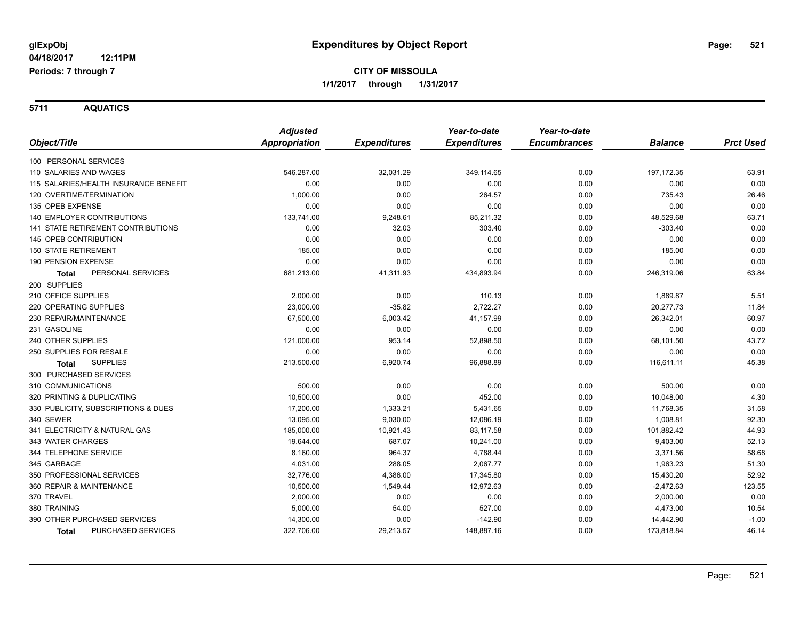**5711 AQUATICS**

|                                       | <b>Adjusted</b> |                     | Year-to-date        | Year-to-date        |                |                  |
|---------------------------------------|-----------------|---------------------|---------------------|---------------------|----------------|------------------|
| Object/Title                          | Appropriation   | <b>Expenditures</b> | <b>Expenditures</b> | <b>Encumbrances</b> | <b>Balance</b> | <b>Prct Used</b> |
| 100 PERSONAL SERVICES                 |                 |                     |                     |                     |                |                  |
| 110 SALARIES AND WAGES                | 546,287.00      | 32,031.29           | 349,114.65          | 0.00                | 197, 172.35    | 63.91            |
| 115 SALARIES/HEALTH INSURANCE BENEFIT | 0.00            | 0.00                | 0.00                | 0.00                | 0.00           | 0.00             |
| 120 OVERTIME/TERMINATION              | 1,000.00        | 0.00                | 264.57              | 0.00                | 735.43         | 26.46            |
| 135 OPEB EXPENSE                      | 0.00            | 0.00                | 0.00                | 0.00                | 0.00           | 0.00             |
| 140 EMPLOYER CONTRIBUTIONS            | 133,741.00      | 9,248.61            | 85,211.32           | 0.00                | 48,529.68      | 63.71            |
| 141 STATE RETIREMENT CONTRIBUTIONS    | 0.00            | 32.03               | 303.40              | 0.00                | $-303.40$      | 0.00             |
| 145 OPEB CONTRIBUTION                 | 0.00            | 0.00                | 0.00                | 0.00                | 0.00           | 0.00             |
| <b>150 STATE RETIREMENT</b>           | 185.00          | 0.00                | 0.00                | 0.00                | 185.00         | 0.00             |
| 190 PENSION EXPENSE                   | 0.00            | 0.00                | 0.00                | 0.00                | 0.00           | 0.00             |
| PERSONAL SERVICES<br><b>Total</b>     | 681,213.00      | 41,311.93           | 434,893.94          | 0.00                | 246,319.06     | 63.84            |
| 200 SUPPLIES                          |                 |                     |                     |                     |                |                  |
| 210 OFFICE SUPPLIES                   | 2,000.00        | 0.00                | 110.13              | 0.00                | 1,889.87       | 5.51             |
| 220 OPERATING SUPPLIES                | 23,000.00       | $-35.82$            | 2,722.27            | 0.00                | 20,277.73      | 11.84            |
| 230 REPAIR/MAINTENANCE                | 67,500.00       | 6,003.42            | 41,157.99           | 0.00                | 26,342.01      | 60.97            |
| 231 GASOLINE                          | 0.00            | 0.00                | 0.00                | 0.00                | 0.00           | 0.00             |
| 240 OTHER SUPPLIES                    | 121,000.00      | 953.14              | 52,898.50           | 0.00                | 68,101.50      | 43.72            |
| 250 SUPPLIES FOR RESALE               | 0.00            | 0.00                | 0.00                | 0.00                | 0.00           | 0.00             |
| <b>SUPPLIES</b><br><b>Total</b>       | 213,500.00      | 6,920.74            | 96,888.89           | 0.00                | 116,611.11     | 45.38            |
| 300 PURCHASED SERVICES                |                 |                     |                     |                     |                |                  |
| 310 COMMUNICATIONS                    | 500.00          | 0.00                | 0.00                | 0.00                | 500.00         | 0.00             |
| 320 PRINTING & DUPLICATING            | 10,500.00       | 0.00                | 452.00              | 0.00                | 10,048.00      | 4.30             |
| 330 PUBLICITY, SUBSCRIPTIONS & DUES   | 17,200.00       | 1,333.21            | 5,431.65            | 0.00                | 11,768.35      | 31.58            |
| 340 SEWER                             | 13,095.00       | 9,030.00            | 12,086.19           | 0.00                | 1,008.81       | 92.30            |
| 341 ELECTRICITY & NATURAL GAS         | 185,000.00      | 10,921.43           | 83,117.58           | 0.00                | 101,882.42     | 44.93            |
| 343 WATER CHARGES                     | 19,644.00       | 687.07              | 10,241.00           | 0.00                | 9,403.00       | 52.13            |
| 344 TELEPHONE SERVICE                 | 8,160.00        | 964.37              | 4,788.44            | 0.00                | 3,371.56       | 58.68            |
| 345 GARBAGE                           | 4,031.00        | 288.05              | 2,067.77            | 0.00                | 1,963.23       | 51.30            |
| 350 PROFESSIONAL SERVICES             | 32,776.00       | 4,386.00            | 17,345.80           | 0.00                | 15,430.20      | 52.92            |
| 360 REPAIR & MAINTENANCE              | 10,500.00       | 1,549.44            | 12,972.63           | 0.00                | $-2,472.63$    | 123.55           |
| 370 TRAVEL                            | 2,000.00        | 0.00                | 0.00                | 0.00                | 2,000.00       | 0.00             |
| 380 TRAINING                          | 5,000.00        | 54.00               | 527.00              | 0.00                | 4,473.00       | 10.54            |
| 390 OTHER PURCHASED SERVICES          | 14,300.00       | 0.00                | $-142.90$           | 0.00                | 14,442.90      | $-1.00$          |
| <b>PURCHASED SERVICES</b><br>Total    | 322,706.00      | 29,213.57           | 148,887.16          | 0.00                | 173,818.84     | 46.14            |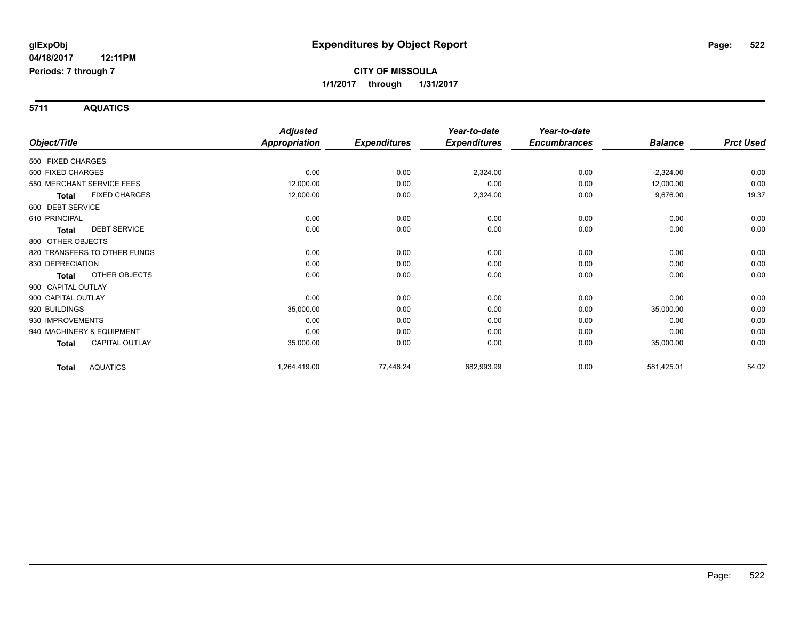**5711 AQUATICS**

|                    |                              | <b>Adjusted</b>      |                     | Year-to-date        | Year-to-date        |                |                  |
|--------------------|------------------------------|----------------------|---------------------|---------------------|---------------------|----------------|------------------|
| Object/Title       |                              | <b>Appropriation</b> | <b>Expenditures</b> | <b>Expenditures</b> | <b>Encumbrances</b> | <b>Balance</b> | <b>Prct Used</b> |
| 500 FIXED CHARGES  |                              |                      |                     |                     |                     |                |                  |
| 500 FIXED CHARGES  |                              | 0.00                 | 0.00                | 2,324.00            | 0.00                | $-2,324.00$    | 0.00             |
|                    | 550 MERCHANT SERVICE FEES    | 12,000.00            | 0.00                | 0.00                | 0.00                | 12,000.00      | 0.00             |
| <b>Total</b>       | <b>FIXED CHARGES</b>         | 12,000.00            | 0.00                | 2,324.00            | 0.00                | 9,676.00       | 19.37            |
| 600 DEBT SERVICE   |                              |                      |                     |                     |                     |                |                  |
| 610 PRINCIPAL      |                              | 0.00                 | 0.00                | 0.00                | 0.00                | 0.00           | 0.00             |
| Total              | <b>DEBT SERVICE</b>          | 0.00                 | 0.00                | 0.00                | 0.00                | 0.00           | 0.00             |
| 800 OTHER OBJECTS  |                              |                      |                     |                     |                     |                |                  |
|                    | 820 TRANSFERS TO OTHER FUNDS | 0.00                 | 0.00                | 0.00                | 0.00                | 0.00           | 0.00             |
| 830 DEPRECIATION   |                              | 0.00                 | 0.00                | 0.00                | 0.00                | 0.00           | 0.00             |
| <b>Total</b>       | OTHER OBJECTS                | 0.00                 | 0.00                | 0.00                | 0.00                | 0.00           | 0.00             |
| 900 CAPITAL OUTLAY |                              |                      |                     |                     |                     |                |                  |
| 900 CAPITAL OUTLAY |                              | 0.00                 | 0.00                | 0.00                | 0.00                | 0.00           | 0.00             |
| 920 BUILDINGS      |                              | 35,000.00            | 0.00                | 0.00                | 0.00                | 35,000.00      | 0.00             |
| 930 IMPROVEMENTS   |                              | 0.00                 | 0.00                | 0.00                | 0.00                | 0.00           | 0.00             |
|                    | 940 MACHINERY & EQUIPMENT    | 0.00                 | 0.00                | 0.00                | 0.00                | 0.00           | 0.00             |
| Total              | <b>CAPITAL OUTLAY</b>        | 35,000.00            | 0.00                | 0.00                | 0.00                | 35,000.00      | 0.00             |
| <b>Total</b>       | <b>AQUATICS</b>              | 1,264,419.00         | 77,446.24           | 682,993.99          | 0.00                | 581,425.01     | 54.02            |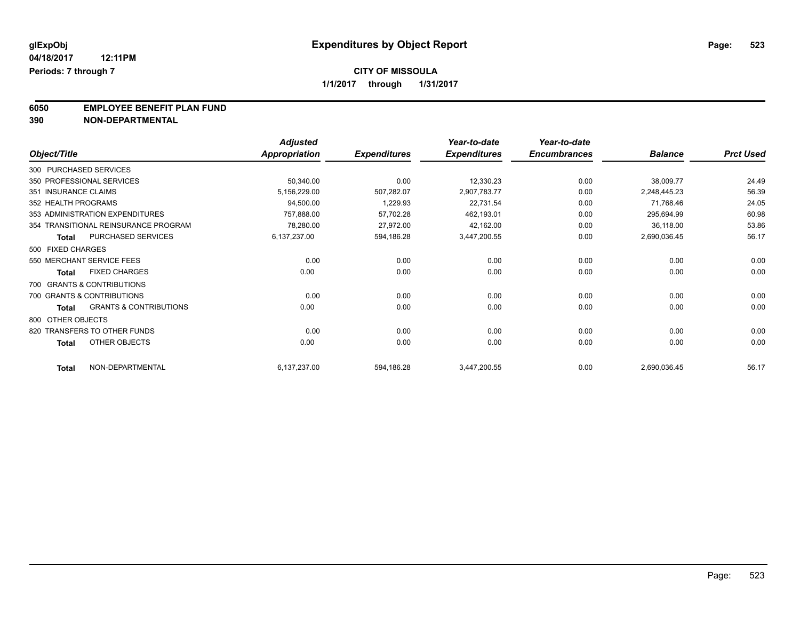**6050 EMPLOYEE BENEFIT PLAN FUND**<br>390 NON-DEPARTMENTAL

**390 NON-DEPARTMENTAL**

|                        |                                      | <b>Adjusted</b>      |                     | Year-to-date        | Year-to-date        |                |                  |
|------------------------|--------------------------------------|----------------------|---------------------|---------------------|---------------------|----------------|------------------|
| Object/Title           |                                      | <b>Appropriation</b> | <b>Expenditures</b> | <b>Expenditures</b> | <b>Encumbrances</b> | <b>Balance</b> | <b>Prct Used</b> |
| 300 PURCHASED SERVICES |                                      |                      |                     |                     |                     |                |                  |
|                        | 350 PROFESSIONAL SERVICES            | 50,340.00            | 0.00                | 12,330.23           | 0.00                | 38,009.77      | 24.49            |
| 351 INSURANCE CLAIMS   |                                      | 5,156,229.00         | 507,282.07          | 2,907,783.77        | 0.00                | 2,248,445.23   | 56.39            |
| 352 HEALTH PROGRAMS    |                                      | 94,500.00            | 1,229.93            | 22,731.54           | 0.00                | 71,768.46      | 24.05            |
|                        | 353 ADMINISTRATION EXPENDITURES      | 757,888.00           | 57,702.28           | 462,193.01          | 0.00                | 295,694.99     | 60.98            |
|                        | 354 TRANSITIONAL REINSURANCE PROGRAM | 78,280.00            | 27,972.00           | 42,162.00           | 0.00                | 36,118.00      | 53.86            |
| <b>Total</b>           | PURCHASED SERVICES                   | 6,137,237.00         | 594,186.28          | 3,447,200.55        | 0.00                | 2,690,036.45   | 56.17            |
| 500 FIXED CHARGES      |                                      |                      |                     |                     |                     |                |                  |
|                        | 550 MERCHANT SERVICE FEES            | 0.00                 | 0.00                | 0.00                | 0.00                | 0.00           | 0.00             |
| <b>Total</b>           | <b>FIXED CHARGES</b>                 | 0.00                 | 0.00                | 0.00                | 0.00                | 0.00           | 0.00             |
|                        | 700 GRANTS & CONTRIBUTIONS           |                      |                     |                     |                     |                |                  |
|                        | 700 GRANTS & CONTRIBUTIONS           | 0.00                 | 0.00                | 0.00                | 0.00                | 0.00           | 0.00             |
| <b>Total</b>           | <b>GRANTS &amp; CONTRIBUTIONS</b>    | 0.00                 | 0.00                | 0.00                | 0.00                | 0.00           | 0.00             |
| 800 OTHER OBJECTS      |                                      |                      |                     |                     |                     |                |                  |
|                        | 820 TRANSFERS TO OTHER FUNDS         | 0.00                 | 0.00                | 0.00                | 0.00                | 0.00           | 0.00             |
| <b>Total</b>           | <b>OTHER OBJECTS</b>                 | 0.00                 | 0.00                | 0.00                | 0.00                | 0.00           | 0.00             |
| <b>Total</b>           | NON-DEPARTMENTAL                     | 6,137,237.00         | 594,186.28          | 3,447,200.55        | 0.00                | 2,690,036.45   | 56.17            |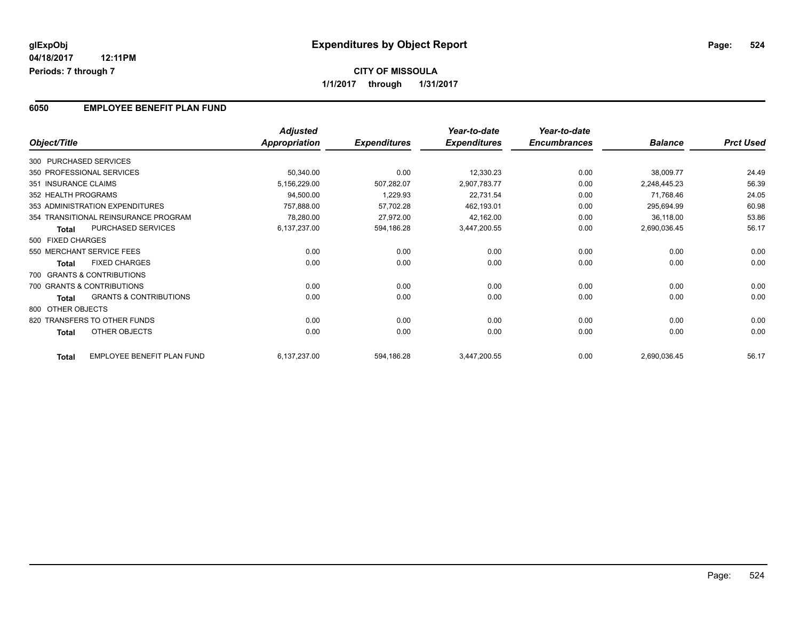### **6050 EMPLOYEE BENEFIT PLAN FUND**

|                        |                                      | <b>Adjusted</b>      |                     | Year-to-date        | Year-to-date        |                |                  |
|------------------------|--------------------------------------|----------------------|---------------------|---------------------|---------------------|----------------|------------------|
| Object/Title           |                                      | <b>Appropriation</b> | <b>Expenditures</b> | <b>Expenditures</b> | <b>Encumbrances</b> | <b>Balance</b> | <b>Prct Used</b> |
| 300 PURCHASED SERVICES |                                      |                      |                     |                     |                     |                |                  |
|                        | 350 PROFESSIONAL SERVICES            | 50,340.00            | 0.00                | 12,330.23           | 0.00                | 38,009.77      | 24.49            |
| 351 INSURANCE CLAIMS   |                                      | 5,156,229.00         | 507,282.07          | 2,907,783.77        | 0.00                | 2,248,445.23   | 56.39            |
| 352 HEALTH PROGRAMS    |                                      | 94,500.00            | 1,229.93            | 22,731.54           | 0.00                | 71,768.46      | 24.05            |
|                        | 353 ADMINISTRATION EXPENDITURES      | 757,888.00           | 57,702.28           | 462,193.01          | 0.00                | 295,694.99     | 60.98            |
|                        | 354 TRANSITIONAL REINSURANCE PROGRAM | 78,280.00            | 27,972.00           | 42,162.00           | 0.00                | 36,118.00      | 53.86            |
| <b>Total</b>           | PURCHASED SERVICES                   | 6,137,237.00         | 594,186.28          | 3,447,200.55        | 0.00                | 2,690,036.45   | 56.17            |
| 500 FIXED CHARGES      |                                      |                      |                     |                     |                     |                |                  |
|                        | 550 MERCHANT SERVICE FEES            | 0.00                 | 0.00                | 0.00                | 0.00                | 0.00           | 0.00             |
| <b>Total</b>           | <b>FIXED CHARGES</b>                 | 0.00                 | 0.00                | 0.00                | 0.00                | 0.00           | 0.00             |
|                        | 700 GRANTS & CONTRIBUTIONS           |                      |                     |                     |                     |                |                  |
|                        | 700 GRANTS & CONTRIBUTIONS           | 0.00                 | 0.00                | 0.00                | 0.00                | 0.00           | 0.00             |
| Total                  | <b>GRANTS &amp; CONTRIBUTIONS</b>    | 0.00                 | 0.00                | 0.00                | 0.00                | 0.00           | 0.00             |
| 800 OTHER OBJECTS      |                                      |                      |                     |                     |                     |                |                  |
|                        | 820 TRANSFERS TO OTHER FUNDS         | 0.00                 | 0.00                | 0.00                | 0.00                | 0.00           | 0.00             |
| <b>Total</b>           | OTHER OBJECTS                        | 0.00                 | 0.00                | 0.00                | 0.00                | 0.00           | 0.00             |
| <b>Total</b>           | EMPLOYEE BENEFIT PLAN FUND           | 6,137,237.00         | 594,186.28          | 3,447,200.55        | 0.00                | 2,690,036.45   | 56.17            |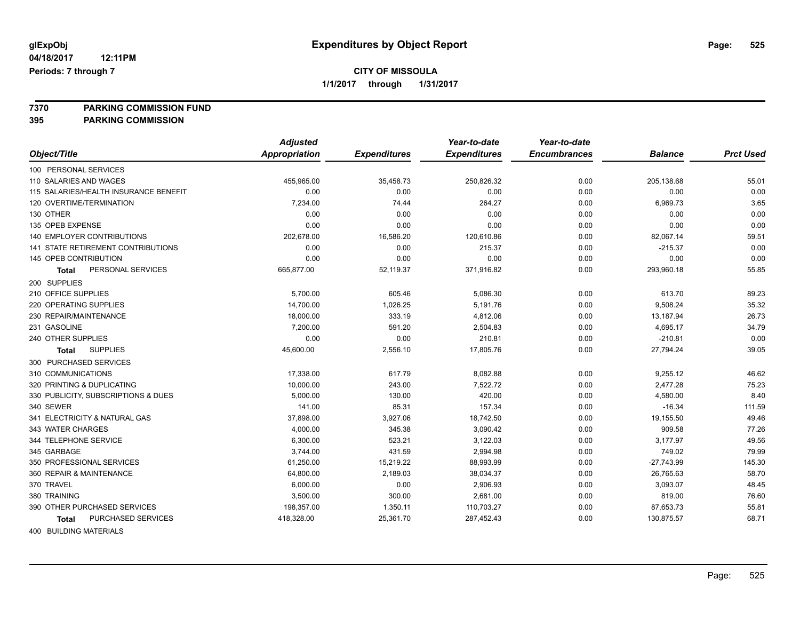**7370 PARKING COMMISSION FUND**

**395 PARKING COMMISSION**

|                                           | <b>Adjusted</b> |                     | Year-to-date        | Year-to-date        |                |                  |
|-------------------------------------------|-----------------|---------------------|---------------------|---------------------|----------------|------------------|
| Object/Title                              | Appropriation   | <b>Expenditures</b> | <b>Expenditures</b> | <b>Encumbrances</b> | <b>Balance</b> | <b>Prct Used</b> |
| 100 PERSONAL SERVICES                     |                 |                     |                     |                     |                |                  |
| 110 SALARIES AND WAGES                    | 455,965.00      | 35,458.73           | 250,826.32          | 0.00                | 205,138.68     | 55.01            |
| 115 SALARIES/HEALTH INSURANCE BENEFIT     | 0.00            | 0.00                | 0.00                | 0.00                | 0.00           | 0.00             |
| 120 OVERTIME/TERMINATION                  | 7,234.00        | 74.44               | 264.27              | 0.00                | 6,969.73       | 3.65             |
| 130 OTHER                                 | 0.00            | 0.00                | 0.00                | 0.00                | 0.00           | 0.00             |
| 135 OPEB EXPENSE                          | 0.00            | 0.00                | 0.00                | 0.00                | 0.00           | 0.00             |
| <b>140 EMPLOYER CONTRIBUTIONS</b>         | 202,678.00      | 16,586.20           | 120,610.86          | 0.00                | 82,067.14      | 59.51            |
| <b>141 STATE RETIREMENT CONTRIBUTIONS</b> | 0.00            | 0.00                | 215.37              | 0.00                | $-215.37$      | 0.00             |
| 145 OPEB CONTRIBUTION                     | 0.00            | 0.00                | 0.00                | 0.00                | 0.00           | 0.00             |
| PERSONAL SERVICES<br><b>Total</b>         | 665,877.00      | 52,119.37           | 371,916.82          | 0.00                | 293,960.18     | 55.85            |
| 200 SUPPLIES                              |                 |                     |                     |                     |                |                  |
| 210 OFFICE SUPPLIES                       | 5,700.00        | 605.46              | 5,086.30            | 0.00                | 613.70         | 89.23            |
| 220 OPERATING SUPPLIES                    | 14,700.00       | 1,026.25            | 5,191.76            | 0.00                | 9,508.24       | 35.32            |
| 230 REPAIR/MAINTENANCE                    | 18,000.00       | 333.19              | 4,812.06            | 0.00                | 13,187.94      | 26.73            |
| 231 GASOLINE                              | 7,200.00        | 591.20              | 2,504.83            | 0.00                | 4,695.17       | 34.79            |
| 240 OTHER SUPPLIES                        | 0.00            | 0.00                | 210.81              | 0.00                | $-210.81$      | 0.00             |
| <b>SUPPLIES</b><br><b>Total</b>           | 45,600.00       | 2,556.10            | 17,805.76           | 0.00                | 27,794.24      | 39.05            |
| 300 PURCHASED SERVICES                    |                 |                     |                     |                     |                |                  |
| 310 COMMUNICATIONS                        | 17,338.00       | 617.79              | 8,082.88            | 0.00                | 9,255.12       | 46.62            |
| 320 PRINTING & DUPLICATING                | 10,000.00       | 243.00              | 7,522.72            | 0.00                | 2,477.28       | 75.23            |
| 330 PUBLICITY, SUBSCRIPTIONS & DUES       | 5,000.00        | 130.00              | 420.00              | 0.00                | 4,580.00       | 8.40             |
| 340 SEWER                                 | 141.00          | 85.31               | 157.34              | 0.00                | $-16.34$       | 111.59           |
| 341 ELECTRICITY & NATURAL GAS             | 37,898.00       | 3,927.06            | 18,742.50           | 0.00                | 19,155.50      | 49.46            |
| 343 WATER CHARGES                         | 4,000.00        | 345.38              | 3,090.42            | 0.00                | 909.58         | 77.26            |
| 344 TELEPHONE SERVICE                     | 6,300.00        | 523.21              | 3,122.03            | 0.00                | 3,177.97       | 49.56            |
| 345 GARBAGE                               | 3,744.00        | 431.59              | 2,994.98            | 0.00                | 749.02         | 79.99            |
| 350 PROFESSIONAL SERVICES                 | 61,250.00       | 15,219.22           | 88,993.99           | 0.00                | $-27,743.99$   | 145.30           |
| 360 REPAIR & MAINTENANCE                  | 64,800.00       | 2,189.03            | 38,034.37           | 0.00                | 26,765.63      | 58.70            |
| 370 TRAVEL                                | 6,000.00        | 0.00                | 2,906.93            | 0.00                | 3,093.07       | 48.45            |
| 380 TRAINING                              | 3,500.00        | 300.00              | 2,681.00            | 0.00                | 819.00         | 76.60            |
| 390 OTHER PURCHASED SERVICES              | 198,357.00      | 1,350.11            | 110,703.27          | 0.00                | 87,653.73      | 55.81            |
| PURCHASED SERVICES<br><b>Total</b>        | 418,328.00      | 25,361.70           | 287,452.43          | 0.00                | 130,875.57     | 68.71            |
|                                           |                 |                     |                     |                     |                |                  |

400 BUILDING MATERIALS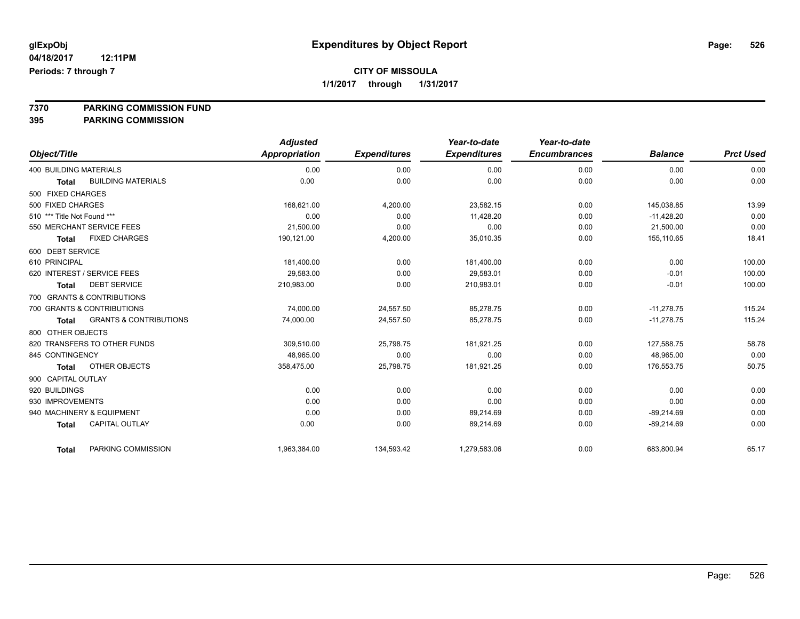**7370 PARKING COMMISSION FUND**

**395 PARKING COMMISSION**

|                               |                                   | <b>Adjusted</b>      |                     | Year-to-date        | Year-to-date        |                |                  |
|-------------------------------|-----------------------------------|----------------------|---------------------|---------------------|---------------------|----------------|------------------|
| Object/Title                  |                                   | <b>Appropriation</b> | <b>Expenditures</b> | <b>Expenditures</b> | <b>Encumbrances</b> | <b>Balance</b> | <b>Prct Used</b> |
| <b>400 BUILDING MATERIALS</b> |                                   | 0.00                 | 0.00                | 0.00                | 0.00                | 0.00           | 0.00             |
| <b>Total</b>                  | <b>BUILDING MATERIALS</b>         | 0.00                 | 0.00                | 0.00                | 0.00                | 0.00           | 0.00             |
| 500 FIXED CHARGES             |                                   |                      |                     |                     |                     |                |                  |
| 500 FIXED CHARGES             |                                   | 168,621.00           | 4,200.00            | 23,582.15           | 0.00                | 145,038.85     | 13.99            |
| 510 *** Title Not Found ***   |                                   | 0.00                 | 0.00                | 11,428.20           | 0.00                | $-11,428.20$   | 0.00             |
| 550 MERCHANT SERVICE FEES     |                                   | 21,500.00            | 0.00                | 0.00                | 0.00                | 21,500.00      | 0.00             |
| <b>Total</b>                  | <b>FIXED CHARGES</b>              | 190,121.00           | 4,200.00            | 35,010.35           | 0.00                | 155,110.65     | 18.41            |
| 600 DEBT SERVICE              |                                   |                      |                     |                     |                     |                |                  |
| 610 PRINCIPAL                 |                                   | 181,400.00           | 0.00                | 181,400.00          | 0.00                | 0.00           | 100.00           |
| 620 INTEREST / SERVICE FEES   |                                   | 29.583.00            | 0.00                | 29.583.01           | 0.00                | $-0.01$        | 100.00           |
| <b>Total</b>                  | <b>DEBT SERVICE</b>               | 210,983.00           | 0.00                | 210,983.01          | 0.00                | $-0.01$        | 100.00           |
| 700 GRANTS & CONTRIBUTIONS    |                                   |                      |                     |                     |                     |                |                  |
| 700 GRANTS & CONTRIBUTIONS    |                                   | 74,000.00            | 24,557.50           | 85.278.75           | 0.00                | $-11.278.75$   | 115.24           |
| <b>Total</b>                  | <b>GRANTS &amp; CONTRIBUTIONS</b> | 74,000.00            | 24,557.50           | 85,278.75           | 0.00                | $-11,278.75$   | 115.24           |
| 800 OTHER OBJECTS             |                                   |                      |                     |                     |                     |                |                  |
| 820 TRANSFERS TO OTHER FUNDS  |                                   | 309.510.00           | 25,798.75           | 181,921.25          | 0.00                | 127.588.75     | 58.78            |
| 845 CONTINGENCY               |                                   | 48.965.00            | 0.00                | 0.00                | 0.00                | 48.965.00      | 0.00             |
| <b>Total</b>                  | <b>OTHER OBJECTS</b>              | 358,475.00           | 25,798.75           | 181,921.25          | 0.00                | 176,553.75     | 50.75            |
| 900 CAPITAL OUTLAY            |                                   |                      |                     |                     |                     |                |                  |
| 920 BUILDINGS                 |                                   | 0.00                 | 0.00                | 0.00                | 0.00                | 0.00           | 0.00             |
| 930 IMPROVEMENTS              |                                   | 0.00                 | 0.00                | 0.00                | 0.00                | 0.00           | 0.00             |
| 940 MACHINERY & EQUIPMENT     |                                   | 0.00                 | 0.00                | 89,214.69           | 0.00                | $-89,214.69$   | 0.00             |
| <b>Total</b>                  | <b>CAPITAL OUTLAY</b>             | 0.00                 | 0.00                | 89,214.69           | 0.00                | $-89,214.69$   | 0.00             |
| <b>Total</b>                  | PARKING COMMISSION                | 1,963,384.00         | 134,593.42          | 1,279,583.06        | 0.00                | 683,800.94     | 65.17            |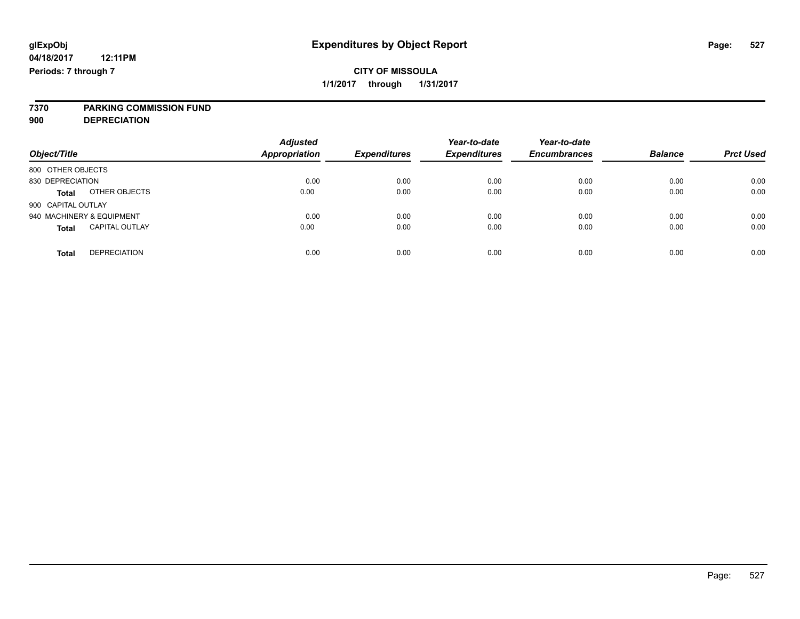# **7370 PARKING COMMISSION FUND**

**900 DEPRECIATION**

| Object/Title                          | <b>Adjusted</b><br><b>Appropriation</b> | <b>Expenditures</b> | Year-to-date<br><b>Expenditures</b> | Year-to-date<br><b>Encumbrances</b> | <b>Balance</b> | <b>Prct Used</b> |
|---------------------------------------|-----------------------------------------|---------------------|-------------------------------------|-------------------------------------|----------------|------------------|
|                                       |                                         |                     |                                     |                                     |                |                  |
| 800 OTHER OBJECTS                     |                                         |                     |                                     |                                     |                |                  |
| 830 DEPRECIATION                      | 0.00                                    | 0.00                | 0.00                                | 0.00                                | 0.00           | 0.00             |
| OTHER OBJECTS<br><b>Total</b>         | 0.00                                    | 0.00                | 0.00                                | 0.00                                | 0.00           | 0.00             |
| 900 CAPITAL OUTLAY                    |                                         |                     |                                     |                                     |                |                  |
| 940 MACHINERY & EQUIPMENT             | 0.00                                    | 0.00                | 0.00                                | 0.00                                | 0.00           | 0.00             |
| <b>CAPITAL OUTLAY</b><br><b>Total</b> | 0.00                                    | 0.00                | 0.00                                | 0.00                                | 0.00           | 0.00             |
| <b>DEPRECIATION</b><br><b>Total</b>   | 0.00                                    | 0.00                | 0.00                                | 0.00                                | 0.00           | 0.00             |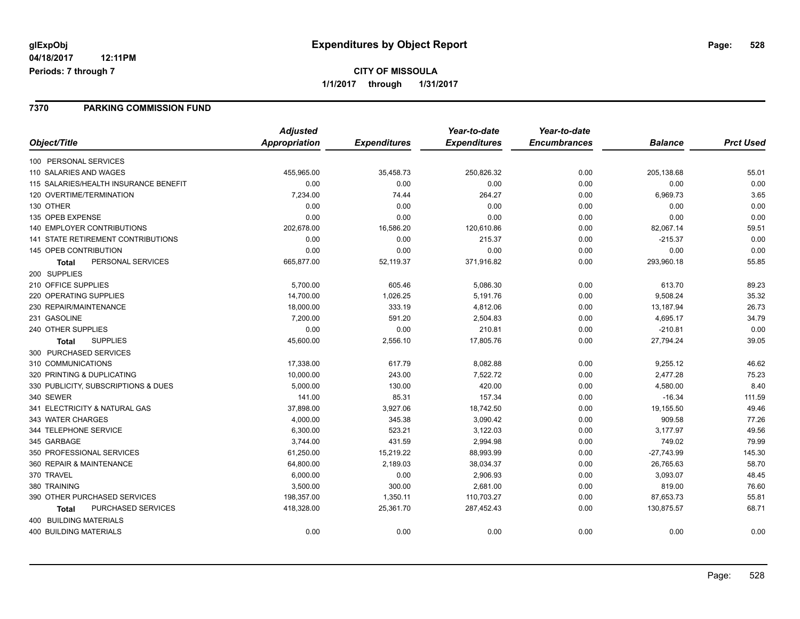### **CITY OF MISSOULA 1/1/2017 through 1/31/2017**

### **7370 PARKING COMMISSION FUND**

|                                           | <b>Adjusted</b>      |                     | Year-to-date        | Year-to-date        |                |                  |
|-------------------------------------------|----------------------|---------------------|---------------------|---------------------|----------------|------------------|
| Object/Title                              | <b>Appropriation</b> | <b>Expenditures</b> | <b>Expenditures</b> | <b>Encumbrances</b> | <b>Balance</b> | <b>Prct Used</b> |
| 100 PERSONAL SERVICES                     |                      |                     |                     |                     |                |                  |
| 110 SALARIES AND WAGES                    | 455,965.00           | 35,458.73           | 250,826.32          | 0.00                | 205,138.68     | 55.01            |
| 115 SALARIES/HEALTH INSURANCE BENEFIT     | 0.00                 | 0.00                | 0.00                | 0.00                | 0.00           | 0.00             |
| 120 OVERTIME/TERMINATION                  | 7,234.00             | 74.44               | 264.27              | 0.00                | 6,969.73       | 3.65             |
| 130 OTHER                                 | 0.00                 | 0.00                | 0.00                | 0.00                | 0.00           | 0.00             |
| 135 OPEB EXPENSE                          | 0.00                 | 0.00                | 0.00                | 0.00                | 0.00           | 0.00             |
| 140 EMPLOYER CONTRIBUTIONS                | 202,678.00           | 16,586.20           | 120,610.86          | 0.00                | 82,067.14      | 59.51            |
| <b>141 STATE RETIREMENT CONTRIBUTIONS</b> | 0.00                 | 0.00                | 215.37              | 0.00                | $-215.37$      | 0.00             |
| <b>145 OPEB CONTRIBUTION</b>              | 0.00                 | 0.00                | 0.00                | 0.00                | 0.00           | 0.00             |
| PERSONAL SERVICES<br><b>Total</b>         | 665,877.00           | 52,119.37           | 371,916.82          | 0.00                | 293,960.18     | 55.85            |
| 200 SUPPLIES                              |                      |                     |                     |                     |                |                  |
| 210 OFFICE SUPPLIES                       | 5,700.00             | 605.46              | 5,086.30            | 0.00                | 613.70         | 89.23            |
| 220 OPERATING SUPPLIES                    | 14,700.00            | 1,026.25            | 5,191.76            | 0.00                | 9,508.24       | 35.32            |
| 230 REPAIR/MAINTENANCE                    | 18,000.00            | 333.19              | 4,812.06            | 0.00                | 13,187.94      | 26.73            |
| 231 GASOLINE                              | 7,200.00             | 591.20              | 2,504.83            | 0.00                | 4,695.17       | 34.79            |
| 240 OTHER SUPPLIES                        | 0.00                 | 0.00                | 210.81              | 0.00                | $-210.81$      | 0.00             |
| <b>SUPPLIES</b><br><b>Total</b>           | 45,600.00            | 2,556.10            | 17,805.76           | 0.00                | 27,794.24      | 39.05            |
| 300 PURCHASED SERVICES                    |                      |                     |                     |                     |                |                  |
| 310 COMMUNICATIONS                        | 17,338.00            | 617.79              | 8,082.88            | 0.00                | 9,255.12       | 46.62            |
| 320 PRINTING & DUPLICATING                | 10,000.00            | 243.00              | 7,522.72            | 0.00                | 2,477.28       | 75.23            |
| 330 PUBLICITY, SUBSCRIPTIONS & DUES       | 5,000.00             | 130.00              | 420.00              | 0.00                | 4,580.00       | 8.40             |
| 340 SEWER                                 | 141.00               | 85.31               | 157.34              | 0.00                | $-16.34$       | 111.59           |
| 341 ELECTRICITY & NATURAL GAS             | 37,898.00            | 3,927.06            | 18,742.50           | 0.00                | 19,155.50      | 49.46            |
| 343 WATER CHARGES                         | 4,000.00             | 345.38              | 3,090.42            | 0.00                | 909.58         | 77.26            |
| 344 TELEPHONE SERVICE                     | 6,300.00             | 523.21              | 3,122.03            | 0.00                | 3,177.97       | 49.56            |
| 345 GARBAGE                               | 3,744.00             | 431.59              | 2,994.98            | 0.00                | 749.02         | 79.99            |
| 350 PROFESSIONAL SERVICES                 | 61,250.00            | 15,219.22           | 88,993.99           | 0.00                | $-27,743.99$   | 145.30           |
| 360 REPAIR & MAINTENANCE                  | 64,800.00            | 2,189.03            | 38,034.37           | 0.00                | 26,765.63      | 58.70            |
| 370 TRAVEL                                | 6,000.00             | 0.00                | 2,906.93            | 0.00                | 3,093.07       | 48.45            |
| 380 TRAINING                              | 3,500.00             | 300.00              | 2,681.00            | 0.00                | 819.00         | 76.60            |
| 390 OTHER PURCHASED SERVICES              | 198,357.00           | 1,350.11            | 110,703.27          | 0.00                | 87,653.73      | 55.81            |
| PURCHASED SERVICES<br><b>Total</b>        | 418,328.00           | 25,361.70           | 287,452.43          | 0.00                | 130,875.57     | 68.71            |
| 400 BUILDING MATERIALS                    |                      |                     |                     |                     |                |                  |
| <b>400 BUILDING MATERIALS</b>             | 0.00                 | 0.00                | 0.00                | 0.00                | 0.00           | 0.00             |
|                                           |                      |                     |                     |                     |                |                  |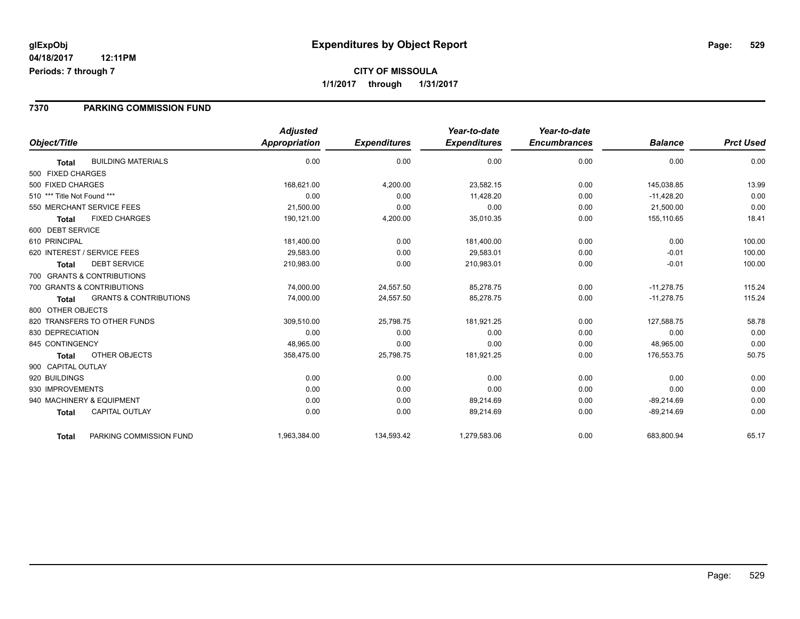### **7370 PARKING COMMISSION FUND**

|                             |                                   | <b>Adjusted</b>      |                     | Year-to-date        | Year-to-date        |                |                  |
|-----------------------------|-----------------------------------|----------------------|---------------------|---------------------|---------------------|----------------|------------------|
| Object/Title                |                                   | <b>Appropriation</b> | <b>Expenditures</b> | <b>Expenditures</b> | <b>Encumbrances</b> | <b>Balance</b> | <b>Prct Used</b> |
| <b>Total</b>                | <b>BUILDING MATERIALS</b>         | 0.00                 | 0.00                | 0.00                | 0.00                | 0.00           | 0.00             |
| 500 FIXED CHARGES           |                                   |                      |                     |                     |                     |                |                  |
| 500 FIXED CHARGES           |                                   | 168,621.00           | 4,200.00            | 23,582.15           | 0.00                | 145,038.85     | 13.99            |
| 510 *** Title Not Found *** |                                   | 0.00                 | 0.00                | 11.428.20           | 0.00                | $-11,428.20$   | 0.00             |
| 550 MERCHANT SERVICE FEES   |                                   | 21,500.00            | 0.00                | 0.00                | 0.00                | 21,500.00      | 0.00             |
| <b>Total</b>                | <b>FIXED CHARGES</b>              | 190,121.00           | 4,200.00            | 35,010.35           | 0.00                | 155,110.65     | 18.41            |
| 600 DEBT SERVICE            |                                   |                      |                     |                     |                     |                |                  |
| 610 PRINCIPAL               |                                   | 181,400.00           | 0.00                | 181,400.00          | 0.00                | 0.00           | 100.00           |
| 620 INTEREST / SERVICE FEES |                                   | 29,583.00            | 0.00                | 29,583.01           | 0.00                | $-0.01$        | 100.00           |
| <b>Total</b>                | <b>DEBT SERVICE</b>               | 210,983.00           | 0.00                | 210,983.01          | 0.00                | $-0.01$        | 100.00           |
| 700 GRANTS & CONTRIBUTIONS  |                                   |                      |                     |                     |                     |                |                  |
| 700 GRANTS & CONTRIBUTIONS  |                                   | 74,000.00            | 24,557.50           | 85,278.75           | 0.00                | $-11,278.75$   | 115.24           |
| <b>Total</b>                | <b>GRANTS &amp; CONTRIBUTIONS</b> | 74,000.00            | 24,557.50           | 85,278.75           | 0.00                | $-11,278.75$   | 115.24           |
| 800 OTHER OBJECTS           |                                   |                      |                     |                     |                     |                |                  |
|                             | 820 TRANSFERS TO OTHER FUNDS      | 309,510.00           | 25,798.75           | 181,921.25          | 0.00                | 127,588.75     | 58.78            |
| 830 DEPRECIATION            |                                   | 0.00                 | 0.00                | 0.00                | 0.00                | 0.00           | 0.00             |
| 845 CONTINGENCY             |                                   | 48,965.00            | 0.00                | 0.00                | 0.00                | 48,965.00      | 0.00             |
| <b>Total</b>                | <b>OTHER OBJECTS</b>              | 358,475.00           | 25,798.75           | 181,921.25          | 0.00                | 176,553.75     | 50.75            |
| 900 CAPITAL OUTLAY          |                                   |                      |                     |                     |                     |                |                  |
| 920 BUILDINGS               |                                   | 0.00                 | 0.00                | 0.00                | 0.00                | 0.00           | 0.00             |
| 930 IMPROVEMENTS            |                                   | 0.00                 | 0.00                | 0.00                | 0.00                | 0.00           | 0.00             |
| 940 MACHINERY & EQUIPMENT   |                                   | 0.00                 | 0.00                | 89,214.69           | 0.00                | $-89,214.69$   | 0.00             |
| <b>Total</b>                | <b>CAPITAL OUTLAY</b>             | 0.00                 | 0.00                | 89,214.69           | 0.00                | $-89,214.69$   | 0.00             |
| <b>Total</b>                | PARKING COMMISSION FUND           | 1,963,384.00         | 134,593.42          | 1,279,583.06        | 0.00                | 683,800.94     | 65.17            |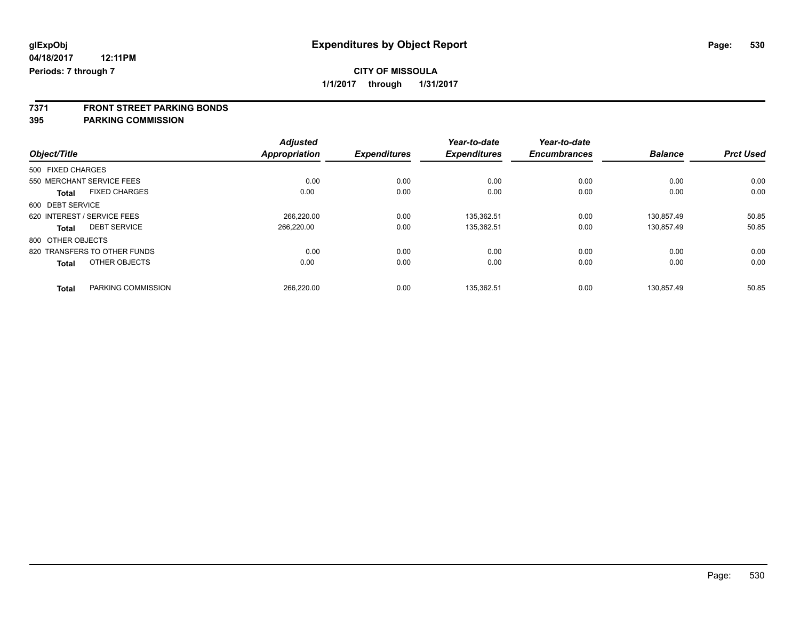**7371 FRONT STREET PARKING BONDS**

**395 PARKING COMMISSION**

|                                      | <b>Adjusted</b><br>Appropriation |                     | Year-to-date<br><b>Expenditures</b> | Year-to-date<br><b>Encumbrances</b> | <b>Balance</b> | <b>Prct Used</b> |
|--------------------------------------|----------------------------------|---------------------|-------------------------------------|-------------------------------------|----------------|------------------|
| Object/Title                         |                                  | <b>Expenditures</b> |                                     |                                     |                |                  |
| 500 FIXED CHARGES                    |                                  |                     |                                     |                                     |                |                  |
| 550 MERCHANT SERVICE FEES            | 0.00                             | 0.00                | 0.00                                | 0.00                                | 0.00           | 0.00             |
| <b>FIXED CHARGES</b><br><b>Total</b> | 0.00                             | 0.00                | 0.00                                | 0.00                                | 0.00           | 0.00             |
| 600 DEBT SERVICE                     |                                  |                     |                                     |                                     |                |                  |
| 620 INTEREST / SERVICE FEES          | 266.220.00                       | 0.00                | 135.362.51                          | 0.00                                | 130.857.49     | 50.85            |
| <b>DEBT SERVICE</b><br><b>Total</b>  | 266,220.00                       | 0.00                | 135,362.51                          | 0.00                                | 130,857.49     | 50.85            |
| 800 OTHER OBJECTS                    |                                  |                     |                                     |                                     |                |                  |
| 820 TRANSFERS TO OTHER FUNDS         | 0.00                             | 0.00                | 0.00                                | 0.00                                | 0.00           | 0.00             |
| OTHER OBJECTS<br><b>Total</b>        | 0.00                             | 0.00                | 0.00                                | 0.00                                | 0.00           | 0.00             |
| PARKING COMMISSION<br><b>Total</b>   | 266.220.00                       | 0.00                | 135.362.51                          | 0.00                                | 130.857.49     | 50.85            |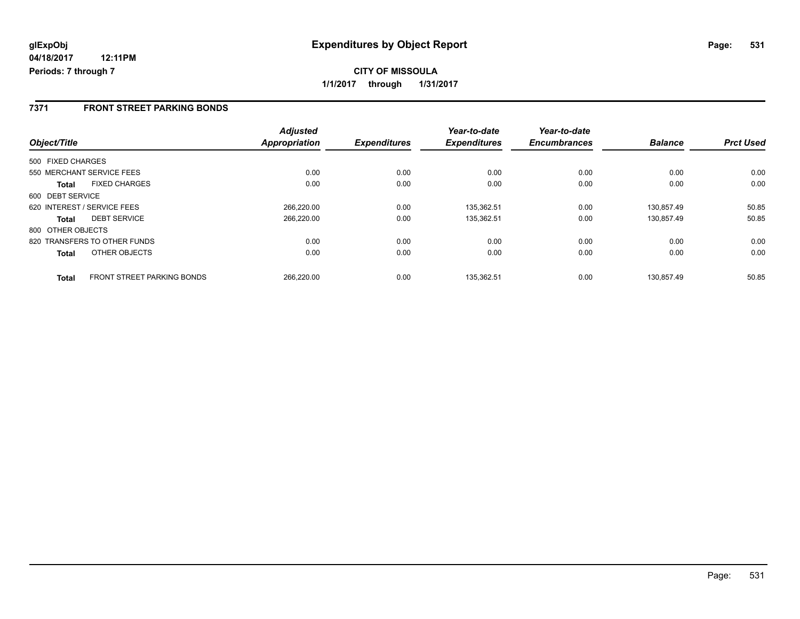### **7371 FRONT STREET PARKING BONDS**

| Object/Title      |                                   | <b>Adjusted</b><br>Appropriation | <b>Expenditures</b> | Year-to-date<br><b>Expenditures</b> | Year-to-date<br><b>Encumbrances</b> | <b>Balance</b> | <b>Prct Used</b> |
|-------------------|-----------------------------------|----------------------------------|---------------------|-------------------------------------|-------------------------------------|----------------|------------------|
|                   |                                   |                                  |                     |                                     |                                     |                |                  |
| 500 FIXED CHARGES |                                   |                                  |                     |                                     |                                     |                |                  |
|                   | 550 MERCHANT SERVICE FEES         | 0.00                             | 0.00                | 0.00                                | 0.00                                | 0.00           | 0.00             |
| <b>Total</b>      | <b>FIXED CHARGES</b>              | 0.00                             | 0.00                | 0.00                                | 0.00                                | 0.00           | 0.00             |
| 600 DEBT SERVICE  |                                   |                                  |                     |                                     |                                     |                |                  |
|                   | 620 INTEREST / SERVICE FEES       | 266,220.00                       | 0.00                | 135,362.51                          | 0.00                                | 130.857.49     | 50.85            |
| <b>Total</b>      | <b>DEBT SERVICE</b>               | 266.220.00                       | 0.00                | 135,362.51                          | 0.00                                | 130.857.49     | 50.85            |
| 800 OTHER OBJECTS |                                   |                                  |                     |                                     |                                     |                |                  |
|                   | 820 TRANSFERS TO OTHER FUNDS      | 0.00                             | 0.00                | 0.00                                | 0.00                                | 0.00           | 0.00             |
| <b>Total</b>      | OTHER OBJECTS                     | 0.00                             | 0.00                | 0.00                                | 0.00                                | 0.00           | 0.00             |
| <b>Total</b>      | <b>FRONT STREET PARKING BONDS</b> | 266.220.00                       | 0.00                | 135.362.51                          | 0.00                                | 130.857.49     | 50.85            |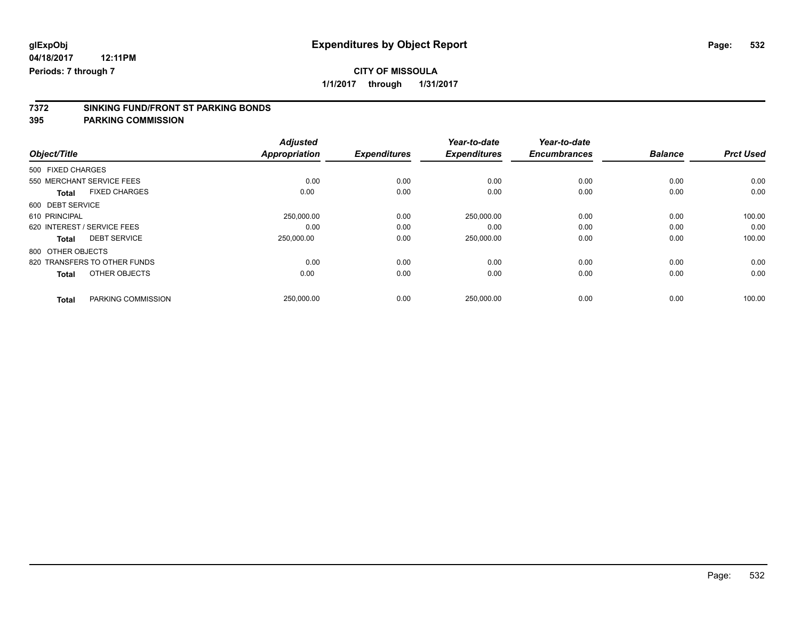### **CITY OF MISSOULA**

**1/1/2017 through 1/31/2017**

# **7372 SINKING FUND/FRONT ST PARKING BONDS**

**395 PARKING COMMISSION**

|                                      | <b>Adjusted</b>      |                     | Year-to-date        | Year-to-date        |                |                  |
|--------------------------------------|----------------------|---------------------|---------------------|---------------------|----------------|------------------|
| Object/Title                         | <b>Appropriation</b> | <b>Expenditures</b> | <b>Expenditures</b> | <b>Encumbrances</b> | <b>Balance</b> | <b>Prct Used</b> |
| 500 FIXED CHARGES                    |                      |                     |                     |                     |                |                  |
| 550 MERCHANT SERVICE FEES            | 0.00                 | 0.00                | 0.00                | 0.00                | 0.00           | 0.00             |
| <b>FIXED CHARGES</b><br><b>Total</b> | 0.00                 | 0.00                | 0.00                | 0.00                | 0.00           | 0.00             |
| 600 DEBT SERVICE                     |                      |                     |                     |                     |                |                  |
| 610 PRINCIPAL                        | 250,000.00           | 0.00                | 250,000.00          | 0.00                | 0.00           | 100.00           |
| 620 INTEREST / SERVICE FEES          | 0.00                 | 0.00                | 0.00                | 0.00                | 0.00           | 0.00             |
| <b>DEBT SERVICE</b><br><b>Total</b>  | 250.000.00           | 0.00                | 250,000.00          | 0.00                | 0.00           | 100.00           |
| 800 OTHER OBJECTS                    |                      |                     |                     |                     |                |                  |
| 820 TRANSFERS TO OTHER FUNDS         | 0.00                 | 0.00                | 0.00                | 0.00                | 0.00           | 0.00             |
| OTHER OBJECTS<br><b>Total</b>        | 0.00                 | 0.00                | 0.00                | 0.00                | 0.00           | 0.00             |
| PARKING COMMISSION<br><b>Total</b>   | 250,000.00           | 0.00                | 250,000.00          | 0.00                | 0.00           | 100.00           |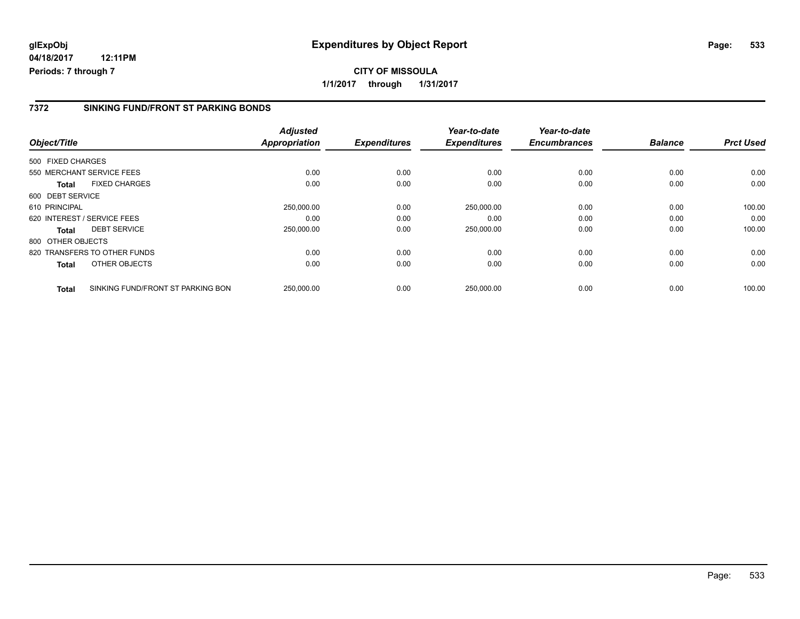### **7372 SINKING FUND/FRONT ST PARKING BONDS**

| Object/Title      |                                   | <b>Adjusted</b><br><b>Appropriation</b> | <b>Expenditures</b> | Year-to-date<br><b>Expenditures</b> | Year-to-date<br><b>Encumbrances</b> | <b>Balance</b> | <b>Prct Used</b> |
|-------------------|-----------------------------------|-----------------------------------------|---------------------|-------------------------------------|-------------------------------------|----------------|------------------|
|                   |                                   |                                         |                     |                                     |                                     |                |                  |
| 500 FIXED CHARGES |                                   |                                         |                     |                                     |                                     |                |                  |
|                   | 550 MERCHANT SERVICE FEES         | 0.00                                    | 0.00                | 0.00                                | 0.00                                | 0.00           | 0.00             |
| <b>Total</b>      | <b>FIXED CHARGES</b>              | 0.00                                    | 0.00                | 0.00                                | 0.00                                | 0.00           | 0.00             |
| 600 DEBT SERVICE  |                                   |                                         |                     |                                     |                                     |                |                  |
| 610 PRINCIPAL     |                                   | 250,000.00                              | 0.00                | 250,000.00                          | 0.00                                | 0.00           | 100.00           |
|                   | 620 INTEREST / SERVICE FEES       | 0.00                                    | 0.00                | 0.00                                | 0.00                                | 0.00           | 0.00             |
| <b>Total</b>      | <b>DEBT SERVICE</b>               | 250,000.00                              | 0.00                | 250,000.00                          | 0.00                                | 0.00           | 100.00           |
| 800 OTHER OBJECTS |                                   |                                         |                     |                                     |                                     |                |                  |
|                   | 820 TRANSFERS TO OTHER FUNDS      | 0.00                                    | 0.00                | 0.00                                | 0.00                                | 0.00           | 0.00             |
| Total             | OTHER OBJECTS                     | 0.00                                    | 0.00                | 0.00                                | 0.00                                | 0.00           | 0.00             |
| <b>Total</b>      | SINKING FUND/FRONT ST PARKING BON | 250,000.00                              | 0.00                | 250.000.00                          | 0.00                                | 0.00           | 100.00           |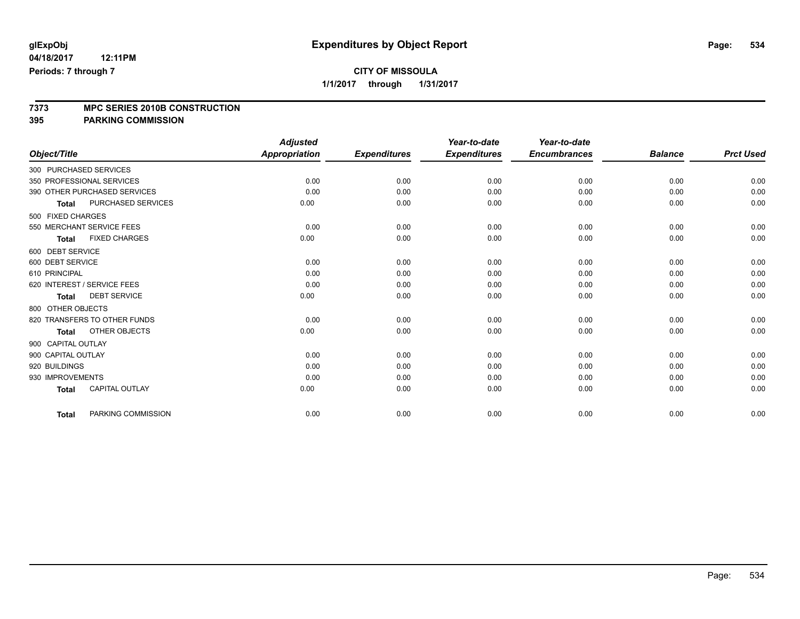### **CITY OF MISSOULA**

**1/1/2017 through 1/31/2017**

# **7373 MPC SERIES 2010B CONSTRUCTION**

**395 PARKING COMMISSION**

|                              |                           | <b>Adjusted</b>      |                     | Year-to-date        | Year-to-date        |                |                  |
|------------------------------|---------------------------|----------------------|---------------------|---------------------|---------------------|----------------|------------------|
| Object/Title                 |                           | <b>Appropriation</b> | <b>Expenditures</b> | <b>Expenditures</b> | <b>Encumbrances</b> | <b>Balance</b> | <b>Prct Used</b> |
| 300 PURCHASED SERVICES       |                           |                      |                     |                     |                     |                |                  |
| 350 PROFESSIONAL SERVICES    |                           | 0.00                 | 0.00                | 0.00                | 0.00                | 0.00           | 0.00             |
| 390 OTHER PURCHASED SERVICES |                           | 0.00                 | 0.00                | 0.00                | 0.00                | 0.00           | 0.00             |
| <b>Total</b>                 | <b>PURCHASED SERVICES</b> | 0.00                 | 0.00                | 0.00                | 0.00                | 0.00           | 0.00             |
| 500 FIXED CHARGES            |                           |                      |                     |                     |                     |                |                  |
| 550 MERCHANT SERVICE FEES    |                           | 0.00                 | 0.00                | 0.00                | 0.00                | 0.00           | 0.00             |
| <b>Total</b>                 | <b>FIXED CHARGES</b>      | 0.00                 | 0.00                | 0.00                | 0.00                | 0.00           | 0.00             |
| 600 DEBT SERVICE             |                           |                      |                     |                     |                     |                |                  |
| 600 DEBT SERVICE             |                           | 0.00                 | 0.00                | 0.00                | 0.00                | 0.00           | 0.00             |
| 610 PRINCIPAL                |                           | 0.00                 | 0.00                | 0.00                | 0.00                | 0.00           | 0.00             |
| 620 INTEREST / SERVICE FEES  |                           | 0.00                 | 0.00                | 0.00                | 0.00                | 0.00           | 0.00             |
| <b>Total</b>                 | <b>DEBT SERVICE</b>       | 0.00                 | 0.00                | 0.00                | 0.00                | 0.00           | 0.00             |
| 800 OTHER OBJECTS            |                           |                      |                     |                     |                     |                |                  |
| 820 TRANSFERS TO OTHER FUNDS |                           | 0.00                 | 0.00                | 0.00                | 0.00                | 0.00           | 0.00             |
| <b>Total</b>                 | OTHER OBJECTS             | 0.00                 | 0.00                | 0.00                | 0.00                | 0.00           | 0.00             |
| 900 CAPITAL OUTLAY           |                           |                      |                     |                     |                     |                |                  |
| 900 CAPITAL OUTLAY           |                           | 0.00                 | 0.00                | 0.00                | 0.00                | 0.00           | 0.00             |
| 920 BUILDINGS                |                           | 0.00                 | 0.00                | 0.00                | 0.00                | 0.00           | 0.00             |
| 930 IMPROVEMENTS             |                           | 0.00                 | 0.00                | 0.00                | 0.00                | 0.00           | 0.00             |
| <b>Total</b>                 | <b>CAPITAL OUTLAY</b>     | 0.00                 | 0.00                | 0.00                | 0.00                | 0.00           | 0.00             |
| <b>Total</b>                 | PARKING COMMISSION        | 0.00                 | 0.00                | 0.00                | 0.00                | 0.00           | 0.00             |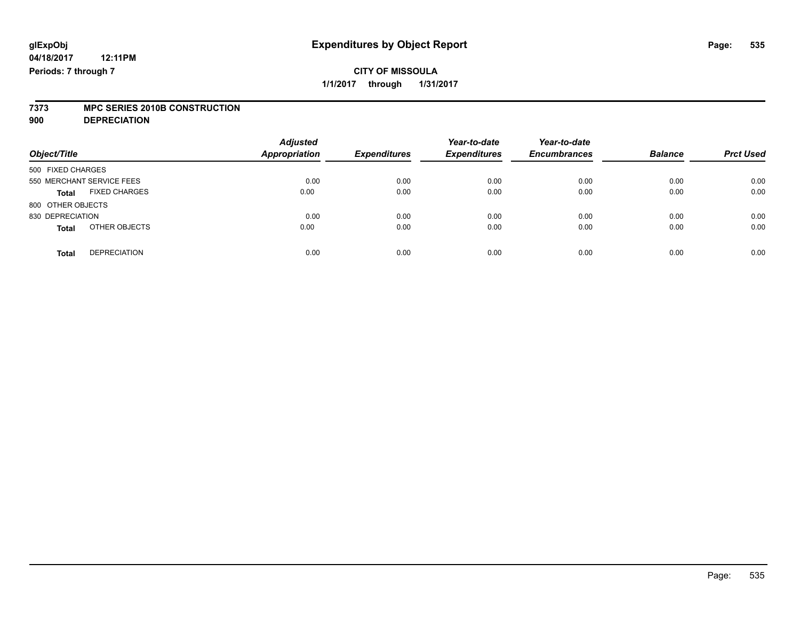# **7373 MPC SERIES 2010B CONSTRUCTION**

**900 DEPRECIATION**

| Object/Title              |                      | <b>Adjusted</b><br><b>Appropriation</b> | <b>Expenditures</b> | Year-to-date<br><b>Expenditures</b> | Year-to-date<br><b>Encumbrances</b> | <b>Balance</b> | <b>Prct Used</b> |
|---------------------------|----------------------|-----------------------------------------|---------------------|-------------------------------------|-------------------------------------|----------------|------------------|
| 500 FIXED CHARGES         |                      |                                         |                     |                                     |                                     |                |                  |
| 550 MERCHANT SERVICE FEES |                      | 0.00                                    | 0.00                | 0.00                                | 0.00                                | 0.00           | 0.00             |
| <b>Total</b>              | <b>FIXED CHARGES</b> | 0.00                                    | 0.00                | 0.00                                | 0.00                                | 0.00           | 0.00             |
| 800 OTHER OBJECTS         |                      |                                         |                     |                                     |                                     |                |                  |
| 830 DEPRECIATION          |                      | 0.00                                    | 0.00                | 0.00                                | 0.00                                | 0.00           | 0.00             |
| <b>Total</b>              | OTHER OBJECTS        | 0.00                                    | 0.00                | 0.00                                | 0.00                                | 0.00           | 0.00             |
| <b>Total</b>              | <b>DEPRECIATION</b>  | 0.00                                    | 0.00                | 0.00                                | 0.00                                | 0.00           | 0.00             |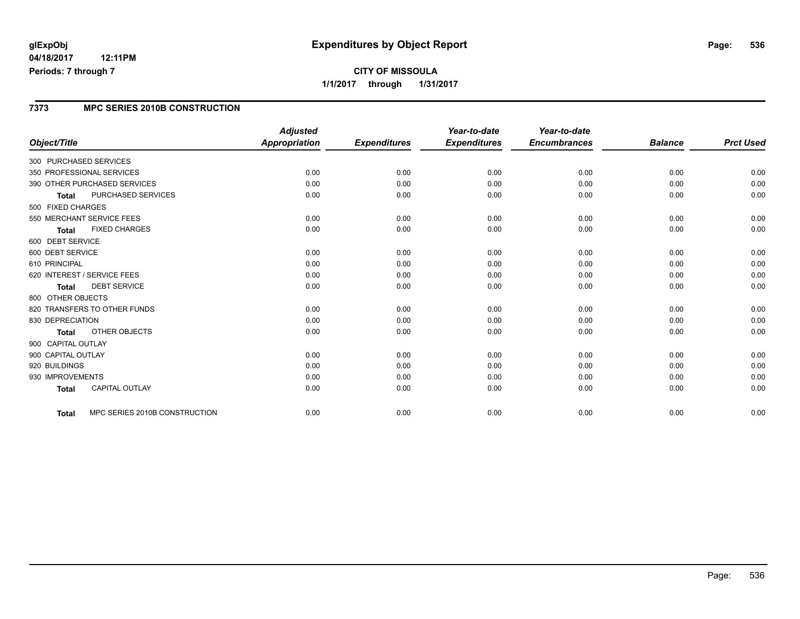### **7373 MPC SERIES 2010B CONSTRUCTION**

|                                               | <b>Adjusted</b>      |                     | Year-to-date        | Year-to-date        |                |                  |
|-----------------------------------------------|----------------------|---------------------|---------------------|---------------------|----------------|------------------|
| Object/Title                                  | <b>Appropriation</b> | <b>Expenditures</b> | <b>Expenditures</b> | <b>Encumbrances</b> | <b>Balance</b> | <b>Prct Used</b> |
| 300 PURCHASED SERVICES                        |                      |                     |                     |                     |                |                  |
| 350 PROFESSIONAL SERVICES                     | 0.00                 | 0.00                | 0.00                | 0.00                | 0.00           | 0.00             |
| 390 OTHER PURCHASED SERVICES                  | 0.00                 | 0.00                | 0.00                | 0.00                | 0.00           | 0.00             |
| PURCHASED SERVICES<br><b>Total</b>            | 0.00                 | 0.00                | 0.00                | 0.00                | 0.00           | 0.00             |
| 500 FIXED CHARGES                             |                      |                     |                     |                     |                |                  |
| 550 MERCHANT SERVICE FEES                     | 0.00                 | 0.00                | 0.00                | 0.00                | 0.00           | 0.00             |
| <b>FIXED CHARGES</b><br><b>Total</b>          | 0.00                 | 0.00                | 0.00                | 0.00                | 0.00           | 0.00             |
| 600 DEBT SERVICE                              |                      |                     |                     |                     |                |                  |
| 600 DEBT SERVICE                              | 0.00                 | 0.00                | 0.00                | 0.00                | 0.00           | 0.00             |
| 610 PRINCIPAL                                 | 0.00                 | 0.00                | 0.00                | 0.00                | 0.00           | 0.00             |
| 620 INTEREST / SERVICE FEES                   | 0.00                 | 0.00                | 0.00                | 0.00                | 0.00           | 0.00             |
| <b>DEBT SERVICE</b><br><b>Total</b>           | 0.00                 | 0.00                | 0.00                | 0.00                | 0.00           | 0.00             |
| 800 OTHER OBJECTS                             |                      |                     |                     |                     |                |                  |
| 820 TRANSFERS TO OTHER FUNDS                  | 0.00                 | 0.00                | 0.00                | 0.00                | 0.00           | 0.00             |
| 830 DEPRECIATION                              | 0.00                 | 0.00                | 0.00                | 0.00                | 0.00           | 0.00             |
| <b>OTHER OBJECTS</b><br><b>Total</b>          | 0.00                 | 0.00                | 0.00                | 0.00                | 0.00           | 0.00             |
| 900 CAPITAL OUTLAY                            |                      |                     |                     |                     |                |                  |
| 900 CAPITAL OUTLAY                            | 0.00                 | 0.00                | 0.00                | 0.00                | 0.00           | 0.00             |
| 920 BUILDINGS                                 | 0.00                 | 0.00                | 0.00                | 0.00                | 0.00           | 0.00             |
| 930 IMPROVEMENTS                              | 0.00                 | 0.00                | 0.00                | 0.00                | 0.00           | 0.00             |
| <b>CAPITAL OUTLAY</b><br><b>Total</b>         | 0.00                 | 0.00                | 0.00                | 0.00                | 0.00           | 0.00             |
| MPC SERIES 2010B CONSTRUCTION<br><b>Total</b> | 0.00                 | 0.00                | 0.00                | 0.00                | 0.00           | 0.00             |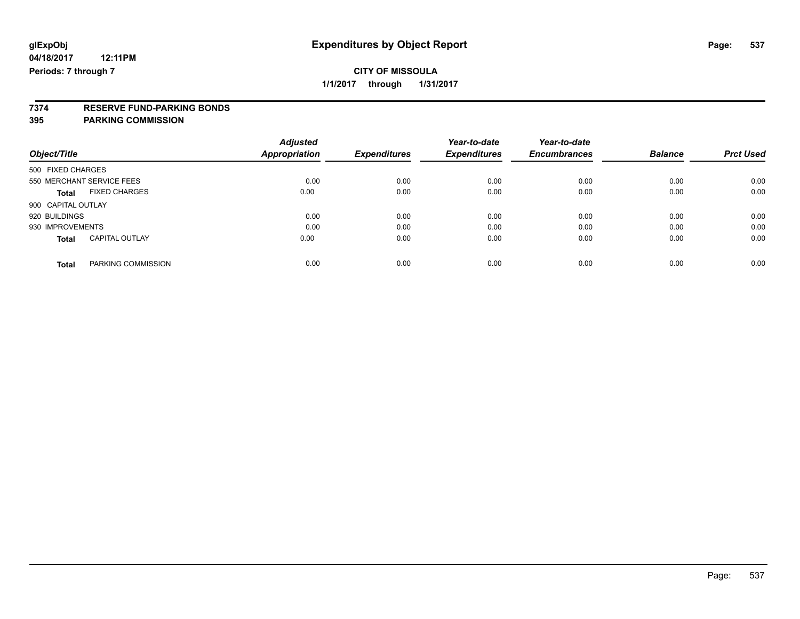# **7374 RESERVE FUND-PARKING BONDS**

### **395 PARKING COMMISSION**

| Object/Title              |                       | <b>Adjusted</b><br>Appropriation | <b>Expenditures</b> | Year-to-date<br><b>Expenditures</b> | Year-to-date<br><b>Encumbrances</b> | <b>Balance</b> | <b>Prct Used</b> |
|---------------------------|-----------------------|----------------------------------|---------------------|-------------------------------------|-------------------------------------|----------------|------------------|
| 500 FIXED CHARGES         |                       |                                  |                     |                                     |                                     |                |                  |
| 550 MERCHANT SERVICE FEES |                       | 0.00                             | 0.00                | 0.00                                | 0.00                                | 0.00           | 0.00             |
| Total                     | <b>FIXED CHARGES</b>  | 0.00                             | 0.00                | 0.00                                | 0.00                                | 0.00           | 0.00             |
| 900 CAPITAL OUTLAY        |                       |                                  |                     |                                     |                                     |                |                  |
| 920 BUILDINGS             |                       | 0.00                             | 0.00                | 0.00                                | 0.00                                | 0.00           | 0.00             |
| 930 IMPROVEMENTS          |                       | 0.00                             | 0.00                | 0.00                                | 0.00                                | 0.00           | 0.00             |
| <b>Total</b>              | <b>CAPITAL OUTLAY</b> | 0.00                             | 0.00                | 0.00                                | 0.00                                | 0.00           | 0.00             |
| <b>Total</b>              | PARKING COMMISSION    | 0.00                             | 0.00                | 0.00                                | 0.00                                | 0.00           | 0.00             |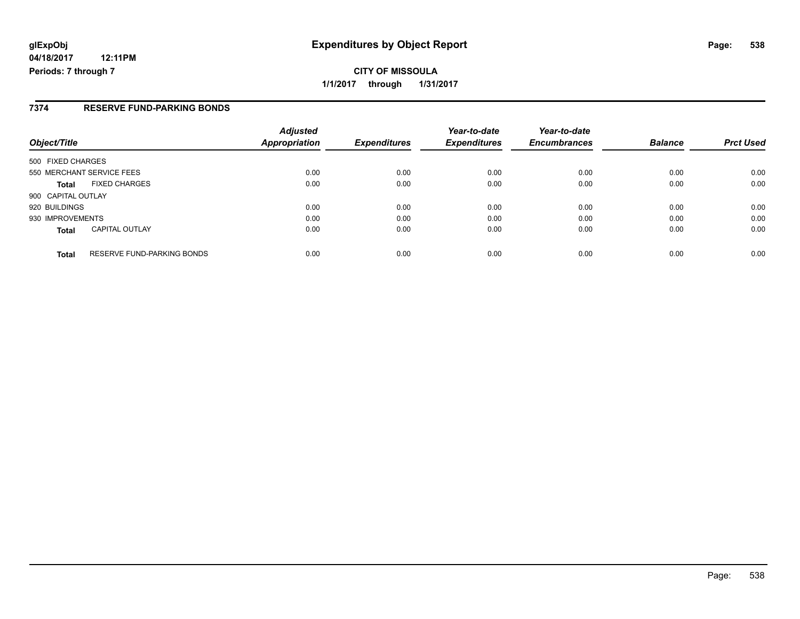**CITY OF MISSOULA 1/1/2017 through 1/31/2017**

### **7374 RESERVE FUND-PARKING BONDS**

| Object/Title                                      | <b>Adjusted</b><br><b>Appropriation</b> | <b>Expenditures</b> | Year-to-date<br><b>Expenditures</b> | Year-to-date<br><b>Encumbrances</b> | <b>Balance</b> | <b>Prct Used</b> |
|---------------------------------------------------|-----------------------------------------|---------------------|-------------------------------------|-------------------------------------|----------------|------------------|
| 500 FIXED CHARGES                                 |                                         |                     |                                     |                                     |                |                  |
| 550 MERCHANT SERVICE FEES                         | 0.00                                    | 0.00                | 0.00                                | 0.00                                | 0.00           | 0.00             |
| <b>FIXED CHARGES</b><br><b>Total</b>              | 0.00                                    | 0.00                | 0.00                                | 0.00                                | 0.00           | 0.00             |
| 900 CAPITAL OUTLAY                                |                                         |                     |                                     |                                     |                |                  |
| 920 BUILDINGS                                     | 0.00                                    | 0.00                | 0.00                                | 0.00                                | 0.00           | 0.00             |
| 930 IMPROVEMENTS                                  | 0.00                                    | 0.00                | 0.00                                | 0.00                                | 0.00           | 0.00             |
| <b>CAPITAL OUTLAY</b><br><b>Total</b>             | 0.00                                    | 0.00                | 0.00                                | 0.00                                | 0.00           | 0.00             |
| <b>RESERVE FUND-PARKING BONDS</b><br><b>Total</b> | 0.00                                    | 0.00                | 0.00                                | 0.00                                | 0.00           | 0.00             |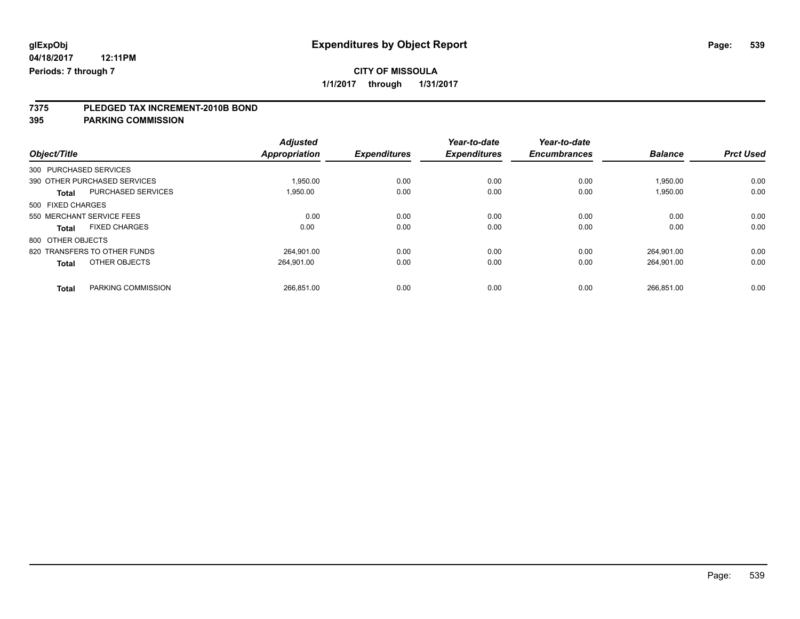### **CITY OF MISSOULA**

**1/1/2017 through 1/31/2017**

# **7375 PLEDGED TAX INCREMENT-2010B BOND**

**395 PARKING COMMISSION**

|                                           | <b>Adjusted</b>      |                     | Year-to-date        | Year-to-date        |                |                  |
|-------------------------------------------|----------------------|---------------------|---------------------|---------------------|----------------|------------------|
| Object/Title                              | <b>Appropriation</b> | <b>Expenditures</b> | <b>Expenditures</b> | <b>Encumbrances</b> | <b>Balance</b> | <b>Prct Used</b> |
| 300 PURCHASED SERVICES                    |                      |                     |                     |                     |                |                  |
| 390 OTHER PURCHASED SERVICES              | 1,950.00             | 0.00                | 0.00                | 0.00                | 1,950.00       | 0.00             |
| PURCHASED SERVICES<br><b>Total</b>        | 1.950.00             | 0.00                | 0.00                | 0.00                | 1,950.00       | 0.00             |
| 500 FIXED CHARGES                         |                      |                     |                     |                     |                |                  |
| 550 MERCHANT SERVICE FEES                 | 0.00                 | 0.00                | 0.00                | 0.00                | 0.00           | 0.00             |
| <b>FIXED CHARGES</b><br><b>Total</b>      | 0.00                 | 0.00                | 0.00                | 0.00                | 0.00           | 0.00             |
| 800 OTHER OBJECTS                         |                      |                     |                     |                     |                |                  |
| 820 TRANSFERS TO OTHER FUNDS              | 264.901.00           | 0.00                | 0.00                | 0.00                | 264.901.00     | 0.00             |
| OTHER OBJECTS<br><b>Total</b>             | 264.901.00           | 0.00                | 0.00                | 0.00                | 264.901.00     | 0.00             |
| <b>PARKING COMMISSION</b><br><b>Total</b> | 266.851.00           | 0.00                | 0.00                | 0.00                | 266.851.00     | 0.00             |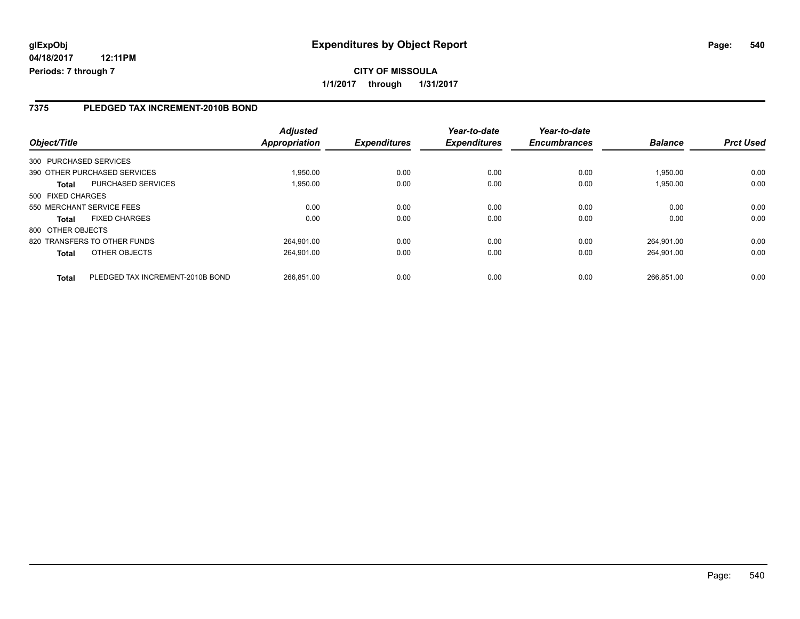### **7375 PLEDGED TAX INCREMENT-2010B BOND**

| Object/Title      |                                  | <b>Adjusted</b><br>Appropriation | <b>Expenditures</b> | Year-to-date<br><b>Expenditures</b> | Year-to-date<br><b>Encumbrances</b> | <b>Balance</b> | <b>Prct Used</b> |
|-------------------|----------------------------------|----------------------------------|---------------------|-------------------------------------|-------------------------------------|----------------|------------------|
|                   | 300 PURCHASED SERVICES           |                                  |                     |                                     |                                     |                |                  |
|                   | 390 OTHER PURCHASED SERVICES     | 1.950.00                         | 0.00                | 0.00                                | 0.00                                | 1.950.00       | 0.00             |
| <b>Total</b>      | <b>PURCHASED SERVICES</b>        | 1,950.00                         | 0.00                | 0.00                                | 0.00                                | 1,950.00       | 0.00             |
| 500 FIXED CHARGES |                                  |                                  |                     |                                     |                                     |                |                  |
|                   | 550 MERCHANT SERVICE FEES        | 0.00                             | 0.00                | 0.00                                | 0.00                                | 0.00           | 0.00             |
| <b>Total</b>      | <b>FIXED CHARGES</b>             | 0.00                             | 0.00                | 0.00                                | 0.00                                | 0.00           | 0.00             |
| 800 OTHER OBJECTS |                                  |                                  |                     |                                     |                                     |                |                  |
|                   | 820 TRANSFERS TO OTHER FUNDS     | 264.901.00                       | 0.00                | 0.00                                | 0.00                                | 264.901.00     | 0.00             |
| <b>Total</b>      | OTHER OBJECTS                    | 264.901.00                       | 0.00                | 0.00                                | 0.00                                | 264.901.00     | 0.00             |
| <b>Total</b>      | PLEDGED TAX INCREMENT-2010B BOND | 266.851.00                       | 0.00                | 0.00                                | 0.00                                | 266.851.00     | 0.00             |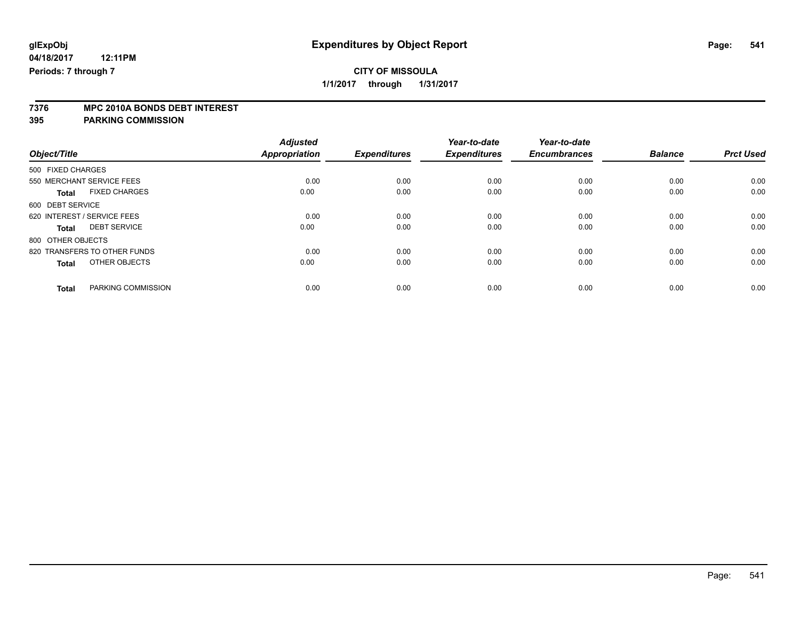**7376 MPC 2010A BONDS DEBT INTEREST**

**395 PARKING COMMISSION**

|                                      | <b>Adjusted</b><br><b>Appropriation</b> |                     | Year-to-date<br><b>Expenditures</b> | Year-to-date<br><b>Encumbrances</b> | <b>Balance</b> |                  |
|--------------------------------------|-----------------------------------------|---------------------|-------------------------------------|-------------------------------------|----------------|------------------|
| Object/Title                         |                                         | <b>Expenditures</b> |                                     |                                     |                | <b>Prct Used</b> |
| 500 FIXED CHARGES                    |                                         |                     |                                     |                                     |                |                  |
| 550 MERCHANT SERVICE FEES            | 0.00                                    | 0.00                | 0.00                                | 0.00                                | 0.00           | 0.00             |
| <b>FIXED CHARGES</b><br><b>Total</b> | 0.00                                    | 0.00                | 0.00                                | 0.00                                | 0.00           | 0.00             |
| 600 DEBT SERVICE                     |                                         |                     |                                     |                                     |                |                  |
| 620 INTEREST / SERVICE FEES          | 0.00                                    | 0.00                | 0.00                                | 0.00                                | 0.00           | 0.00             |
| <b>DEBT SERVICE</b><br>Total         | 0.00                                    | 0.00                | 0.00                                | 0.00                                | 0.00           | 0.00             |
| 800 OTHER OBJECTS                    |                                         |                     |                                     |                                     |                |                  |
| 820 TRANSFERS TO OTHER FUNDS         | 0.00                                    | 0.00                | 0.00                                | 0.00                                | 0.00           | 0.00             |
| OTHER OBJECTS<br><b>Total</b>        | 0.00                                    | 0.00                | 0.00                                | 0.00                                | 0.00           | 0.00             |
| PARKING COMMISSION<br><b>Total</b>   | 0.00                                    | 0.00                | 0.00                                | 0.00                                | 0.00           | 0.00             |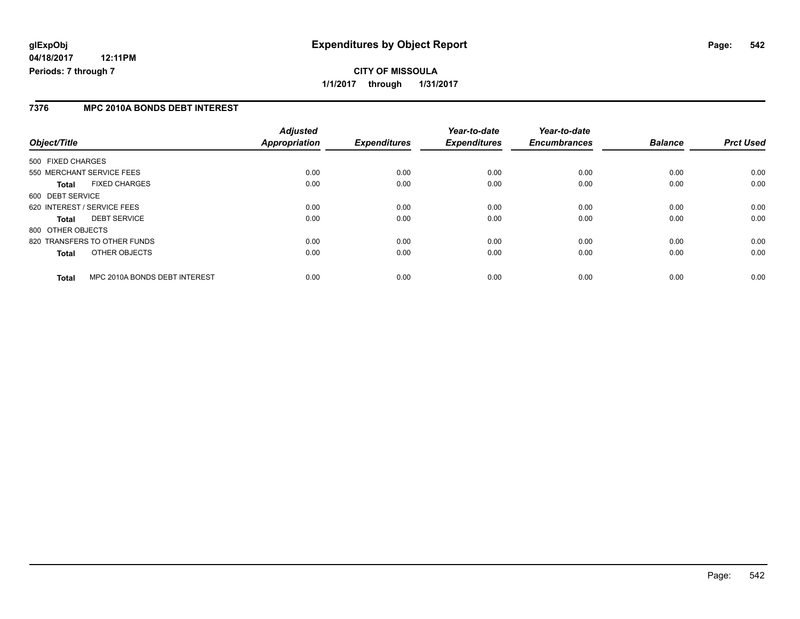### **7376 MPC 2010A BONDS DEBT INTEREST**

| Object/Title                                  | <b>Adjusted</b><br>Appropriation | <b>Expenditures</b> | Year-to-date<br><b>Expenditures</b> | Year-to-date<br><b>Encumbrances</b> | <b>Balance</b> | <b>Prct Used</b> |
|-----------------------------------------------|----------------------------------|---------------------|-------------------------------------|-------------------------------------|----------------|------------------|
|                                               |                                  |                     |                                     |                                     |                |                  |
| 500 FIXED CHARGES                             |                                  |                     |                                     |                                     |                |                  |
| 550 MERCHANT SERVICE FEES                     | 0.00                             | 0.00                | 0.00                                | 0.00                                | 0.00           | 0.00             |
| <b>FIXED CHARGES</b><br><b>Total</b>          | 0.00                             | 0.00                | 0.00                                | 0.00                                | 0.00           | 0.00             |
| 600 DEBT SERVICE                              |                                  |                     |                                     |                                     |                |                  |
| 620 INTEREST / SERVICE FEES                   | 0.00                             | 0.00                | 0.00                                | 0.00                                | 0.00           | 0.00             |
| <b>DEBT SERVICE</b><br><b>Total</b>           | 0.00                             | 0.00                | 0.00                                | 0.00                                | 0.00           | 0.00             |
| 800 OTHER OBJECTS                             |                                  |                     |                                     |                                     |                |                  |
| 820 TRANSFERS TO OTHER FUNDS                  | 0.00                             | 0.00                | 0.00                                | 0.00                                | 0.00           | 0.00             |
| OTHER OBJECTS<br><b>Total</b>                 | 0.00                             | 0.00                | 0.00                                | 0.00                                | 0.00           | 0.00             |
| MPC 2010A BONDS DEBT INTEREST<br><b>Total</b> | 0.00                             | 0.00                | 0.00                                | 0.00                                | 0.00           | 0.00             |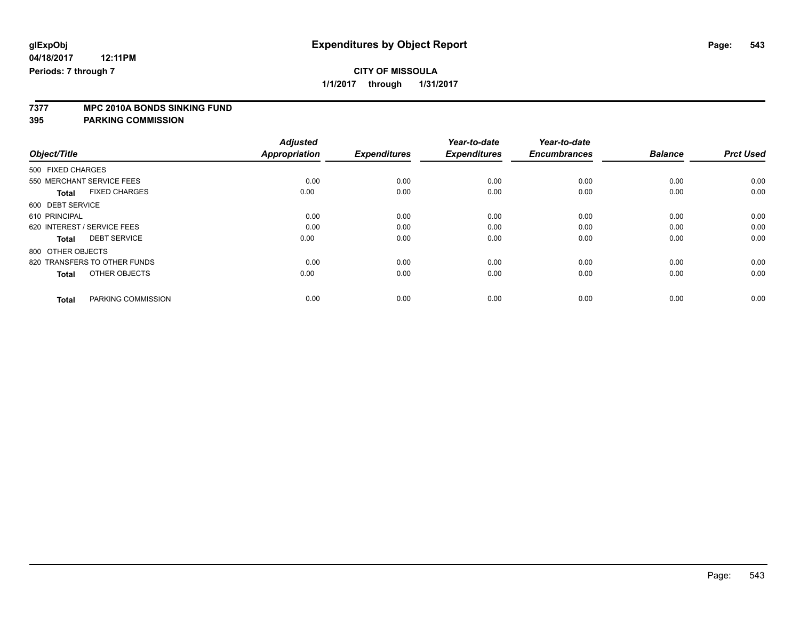# **7377 MPC 2010A BONDS SINKING FUND**

**395 PARKING COMMISSION**

|                                      | <b>Adjusted</b>      |                     | Year-to-date        | Year-to-date        |                |                  |
|--------------------------------------|----------------------|---------------------|---------------------|---------------------|----------------|------------------|
| Object/Title                         | <b>Appropriation</b> | <b>Expenditures</b> | <b>Expenditures</b> | <b>Encumbrances</b> | <b>Balance</b> | <b>Prct Used</b> |
| 500 FIXED CHARGES                    |                      |                     |                     |                     |                |                  |
| 550 MERCHANT SERVICE FEES            | 0.00                 | 0.00                | 0.00                | 0.00                | 0.00           | 0.00             |
| <b>FIXED CHARGES</b><br><b>Total</b> | 0.00                 | 0.00                | 0.00                | 0.00                | 0.00           | 0.00             |
| 600 DEBT SERVICE                     |                      |                     |                     |                     |                |                  |
| 610 PRINCIPAL                        | 0.00                 | 0.00                | 0.00                | 0.00                | 0.00           | 0.00             |
| 620 INTEREST / SERVICE FEES          | 0.00                 | 0.00                | 0.00                | 0.00                | 0.00           | 0.00             |
| <b>DEBT SERVICE</b><br><b>Total</b>  | 0.00                 | 0.00                | 0.00                | 0.00                | 0.00           | 0.00             |
| 800 OTHER OBJECTS                    |                      |                     |                     |                     |                |                  |
| 820 TRANSFERS TO OTHER FUNDS         | 0.00                 | 0.00                | 0.00                | 0.00                | 0.00           | 0.00             |
| OTHER OBJECTS<br><b>Total</b>        | 0.00                 | 0.00                | 0.00                | 0.00                | 0.00           | 0.00             |
|                                      |                      |                     |                     |                     |                |                  |
| PARKING COMMISSION<br><b>Total</b>   | 0.00                 | 0.00                | 0.00                | 0.00                | 0.00           | 0.00             |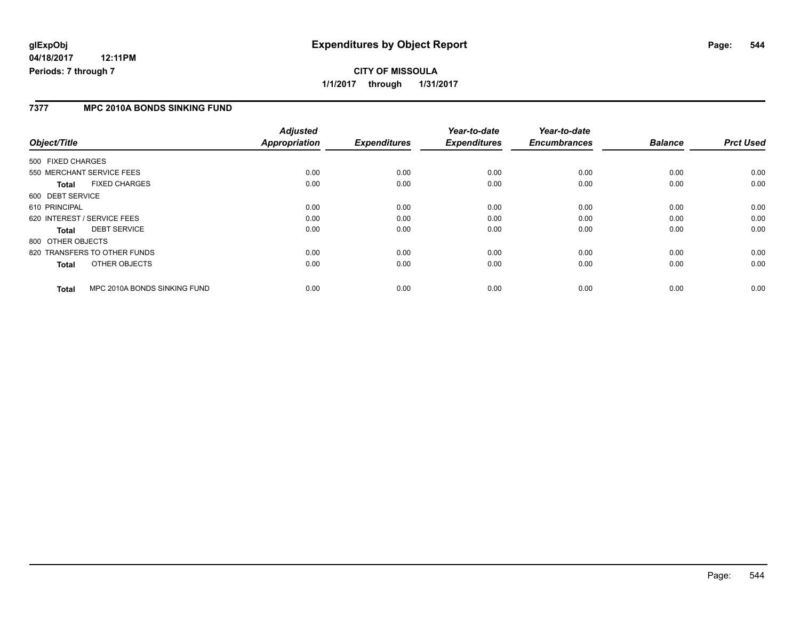## **glExpObj Expenditures by Object Report Page: 544**

**04/18/2017 12:11PM Periods: 7 through 7**

#### **7377 MPC 2010A BONDS SINKING FUND**

| Object/Title                                 | <b>Adjusted</b><br><b>Appropriation</b> | <b>Expenditures</b> | Year-to-date<br><b>Expenditures</b> | Year-to-date<br><b>Encumbrances</b> | <b>Balance</b> | <b>Prct Used</b> |
|----------------------------------------------|-----------------------------------------|---------------------|-------------------------------------|-------------------------------------|----------------|------------------|
| 500 FIXED CHARGES                            |                                         |                     |                                     |                                     |                |                  |
| 550 MERCHANT SERVICE FEES                    | 0.00                                    | 0.00                | 0.00                                | 0.00                                | 0.00           | 0.00             |
| <b>FIXED CHARGES</b><br>Total                | 0.00                                    | 0.00                | 0.00                                | 0.00                                | 0.00           | 0.00             |
| 600 DEBT SERVICE                             |                                         |                     |                                     |                                     |                |                  |
| 610 PRINCIPAL                                | 0.00                                    | 0.00                | 0.00                                | 0.00                                | 0.00           | 0.00             |
| 620 INTEREST / SERVICE FEES                  | 0.00                                    | 0.00                | 0.00                                | 0.00                                | 0.00           | 0.00             |
| <b>DEBT SERVICE</b><br>Total                 | 0.00                                    | 0.00                | 0.00                                | 0.00                                | 0.00           | 0.00             |
| 800 OTHER OBJECTS                            |                                         |                     |                                     |                                     |                |                  |
| 820 TRANSFERS TO OTHER FUNDS                 | 0.00                                    | 0.00                | 0.00                                | 0.00                                | 0.00           | 0.00             |
| OTHER OBJECTS<br>Total                       | 0.00                                    | 0.00                | 0.00                                | 0.00                                | 0.00           | 0.00             |
| MPC 2010A BONDS SINKING FUND<br><b>Total</b> | 0.00                                    | 0.00                | 0.00                                | 0.00                                | 0.00           | 0.00             |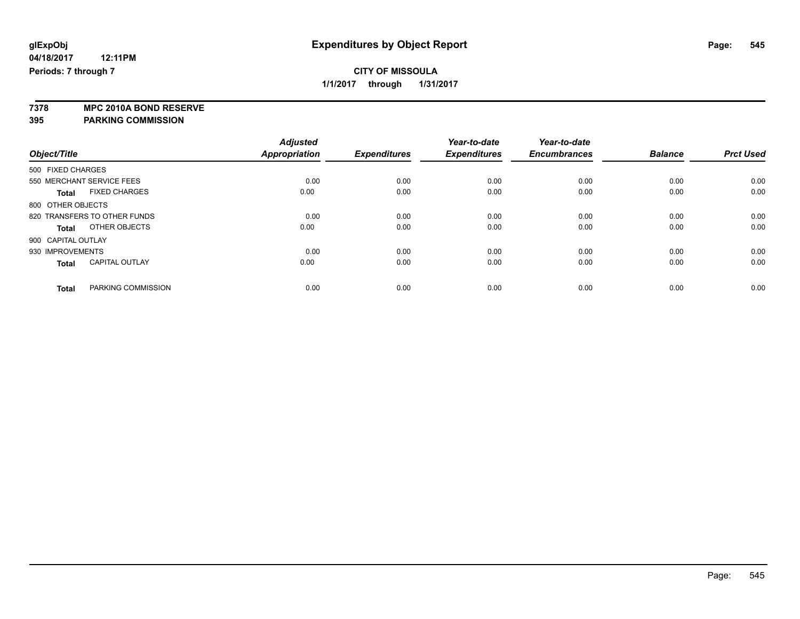**7378 MPC 2010A BOND RESERVE 395 PARKING COMMISSION**

|                                       | <b>Adjusted</b>      | <b>Expenditures</b> | Year-to-date<br><b>Expenditures</b> | Year-to-date<br><b>Encumbrances</b> | <b>Balance</b> |                  |
|---------------------------------------|----------------------|---------------------|-------------------------------------|-------------------------------------|----------------|------------------|
| Object/Title                          | <b>Appropriation</b> |                     |                                     |                                     |                | <b>Prct Used</b> |
| 500 FIXED CHARGES                     |                      |                     |                                     |                                     |                |                  |
| 550 MERCHANT SERVICE FEES             | 0.00                 | 0.00                | 0.00                                | 0.00                                | 0.00           | 0.00             |
| <b>FIXED CHARGES</b><br><b>Total</b>  | 0.00                 | 0.00                | 0.00                                | 0.00                                | 0.00           | 0.00             |
| 800 OTHER OBJECTS                     |                      |                     |                                     |                                     |                |                  |
| 820 TRANSFERS TO OTHER FUNDS          | 0.00                 | 0.00                | 0.00                                | 0.00                                | 0.00           | 0.00             |
| OTHER OBJECTS<br><b>Total</b>         | 0.00                 | 0.00                | 0.00                                | 0.00                                | 0.00           | 0.00             |
| 900 CAPITAL OUTLAY                    |                      |                     |                                     |                                     |                |                  |
| 930 IMPROVEMENTS                      | 0.00                 | 0.00                | 0.00                                | 0.00                                | 0.00           | 0.00             |
| <b>CAPITAL OUTLAY</b><br><b>Total</b> | 0.00                 | 0.00                | 0.00                                | 0.00                                | 0.00           | 0.00             |
| PARKING COMMISSION<br><b>Total</b>    | 0.00                 | 0.00                | 0.00                                | 0.00                                | 0.00           | 0.00             |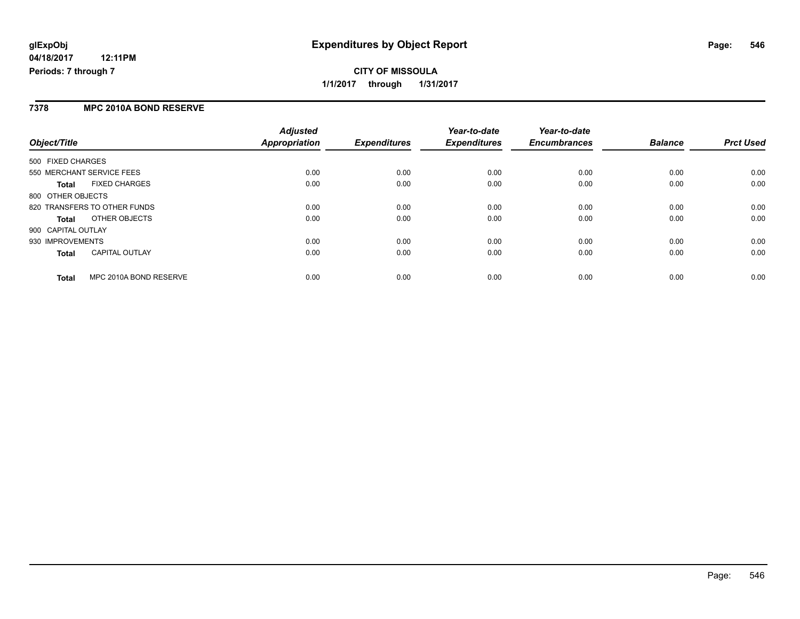## **CITY OF MISSOULA 1/1/2017 through 1/31/2017**

#### **7378 MPC 2010A BOND RESERVE**

| Object/Title                           | <b>Adjusted</b><br>Appropriation | <b>Expenditures</b> | Year-to-date<br><b>Expenditures</b> | Year-to-date<br><b>Encumbrances</b> | <b>Balance</b> | <b>Prct Used</b> |
|----------------------------------------|----------------------------------|---------------------|-------------------------------------|-------------------------------------|----------------|------------------|
|                                        |                                  |                     |                                     |                                     |                |                  |
| 500 FIXED CHARGES                      |                                  |                     |                                     |                                     |                |                  |
| 550 MERCHANT SERVICE FEES              | 0.00                             | 0.00                | 0.00                                | 0.00                                | 0.00           | 0.00             |
| <b>FIXED CHARGES</b><br><b>Total</b>   | 0.00                             | 0.00                | 0.00                                | 0.00                                | 0.00           | 0.00             |
| 800 OTHER OBJECTS                      |                                  |                     |                                     |                                     |                |                  |
| 820 TRANSFERS TO OTHER FUNDS           | 0.00                             | 0.00                | 0.00                                | 0.00                                | 0.00           | 0.00             |
| OTHER OBJECTS<br><b>Total</b>          | 0.00                             | 0.00                | 0.00                                | 0.00                                | 0.00           | 0.00             |
| 900 CAPITAL OUTLAY                     |                                  |                     |                                     |                                     |                |                  |
| 930 IMPROVEMENTS                       | 0.00                             | 0.00                | 0.00                                | 0.00                                | 0.00           | 0.00             |
| <b>CAPITAL OUTLAY</b><br><b>Total</b>  | 0.00                             | 0.00                | 0.00                                | 0.00                                | 0.00           | 0.00             |
| MPC 2010A BOND RESERVE<br><b>Total</b> | 0.00                             | 0.00                | 0.00                                | 0.00                                | 0.00           | 0.00             |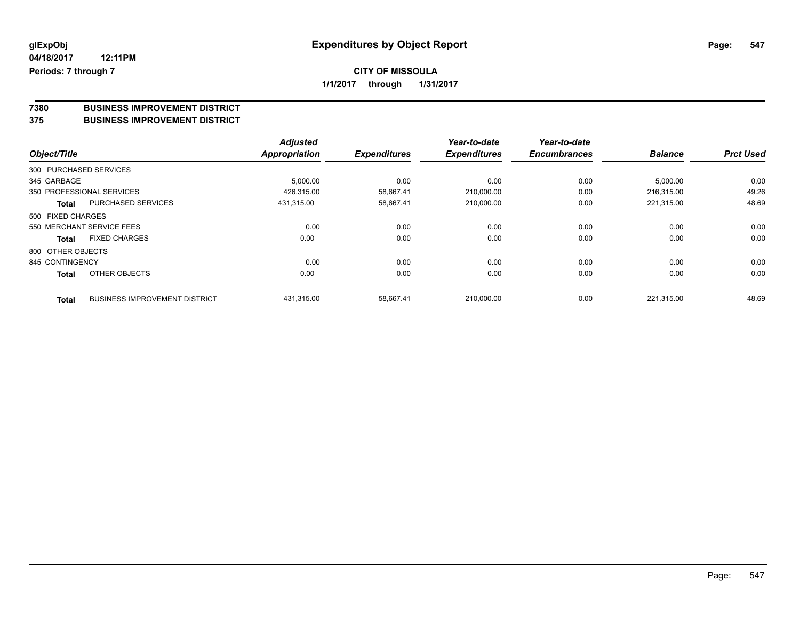## **CITY OF MISSOULA**

**1/1/2017 through 1/31/2017**

# **7380 BUSINESS IMPROVEMENT DISTRICT**

#### **375 BUSINESS IMPROVEMENT DISTRICT**

|                        |                                      | <b>Adjusted</b>      |                     | Year-to-date        | Year-to-date        |                |                  |
|------------------------|--------------------------------------|----------------------|---------------------|---------------------|---------------------|----------------|------------------|
| Object/Title           |                                      | <b>Appropriation</b> | <b>Expenditures</b> | <b>Expenditures</b> | <b>Encumbrances</b> | <b>Balance</b> | <b>Prct Used</b> |
| 300 PURCHASED SERVICES |                                      |                      |                     |                     |                     |                |                  |
| 345 GARBAGE            |                                      | 5,000.00             | 0.00                | 0.00                | 0.00                | 5,000.00       | 0.00             |
|                        | 350 PROFESSIONAL SERVICES            | 426,315.00           | 58,667.41           | 210,000.00          | 0.00                | 216.315.00     | 49.26            |
| Total                  | <b>PURCHASED SERVICES</b>            | 431.315.00           | 58,667.41           | 210,000.00          | 0.00                | 221,315.00     | 48.69            |
| 500 FIXED CHARGES      |                                      |                      |                     |                     |                     |                |                  |
|                        | 550 MERCHANT SERVICE FEES            | 0.00                 | 0.00                | 0.00                | 0.00                | 0.00           | 0.00             |
| <b>Total</b>           | <b>FIXED CHARGES</b>                 | 0.00                 | 0.00                | 0.00                | 0.00                | 0.00           | 0.00             |
| 800 OTHER OBJECTS      |                                      |                      |                     |                     |                     |                |                  |
| 845 CONTINGENCY        |                                      | 0.00                 | 0.00                | 0.00                | 0.00                | 0.00           | 0.00             |
| <b>Total</b>           | OTHER OBJECTS                        | 0.00                 | 0.00                | 0.00                | 0.00                | 0.00           | 0.00             |
| <b>Total</b>           | <b>BUSINESS IMPROVEMENT DISTRICT</b> | 431,315.00           | 58.667.41           | 210,000.00          | 0.00                | 221,315.00     | 48.69            |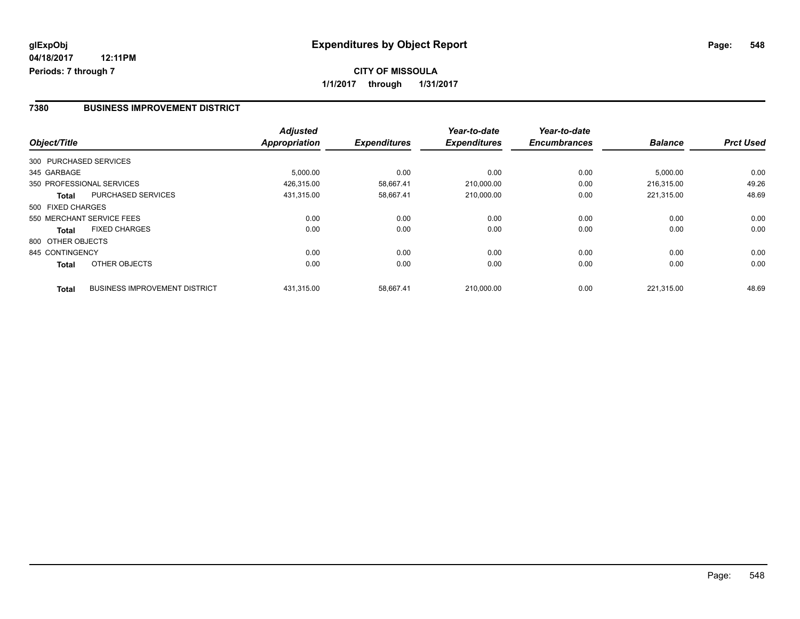#### **7380 BUSINESS IMPROVEMENT DISTRICT**

| Object/Title      |                                      | <b>Adjusted</b><br><b>Appropriation</b> | <b>Expenditures</b> | Year-to-date<br><b>Expenditures</b> | Year-to-date<br><b>Encumbrances</b> | <b>Balance</b> | <b>Prct Used</b> |
|-------------------|--------------------------------------|-----------------------------------------|---------------------|-------------------------------------|-------------------------------------|----------------|------------------|
|                   |                                      |                                         |                     |                                     |                                     |                |                  |
|                   | 300 PURCHASED SERVICES               |                                         |                     |                                     |                                     |                |                  |
| 345 GARBAGE       |                                      | 5,000.00                                | 0.00                | 0.00                                | 0.00                                | 5,000.00       | 0.00             |
|                   | 350 PROFESSIONAL SERVICES            | 426,315.00                              | 58.667.41           | 210,000.00                          | 0.00                                | 216.315.00     | 49.26            |
| Total             | <b>PURCHASED SERVICES</b>            | 431,315.00                              | 58,667.41           | 210,000.00                          | 0.00                                | 221,315.00     | 48.69            |
| 500 FIXED CHARGES |                                      |                                         |                     |                                     |                                     |                |                  |
|                   | 550 MERCHANT SERVICE FEES            | 0.00                                    | 0.00                | 0.00                                | 0.00                                | 0.00           | 0.00             |
| Total             | <b>FIXED CHARGES</b>                 | 0.00                                    | 0.00                | 0.00                                | 0.00                                | 0.00           | 0.00             |
| 800 OTHER OBJECTS |                                      |                                         |                     |                                     |                                     |                |                  |
| 845 CONTINGENCY   |                                      | 0.00                                    | 0.00                | 0.00                                | 0.00                                | 0.00           | 0.00             |
| <b>Total</b>      | OTHER OBJECTS                        | 0.00                                    | 0.00                | 0.00                                | 0.00                                | 0.00           | 0.00             |
| <b>Total</b>      | <b>BUSINESS IMPROVEMENT DISTRICT</b> | 431.315.00                              | 58.667.41           | 210.000.00                          | 0.00                                | 221.315.00     | 48.69            |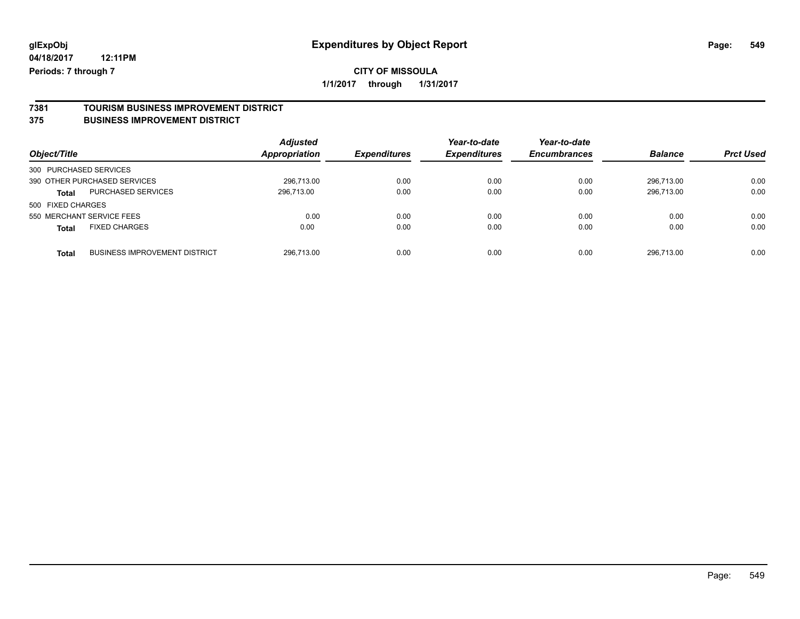## **CITY OF MISSOULA**

**1/1/2017 through 1/31/2017**

## **7381 TOURISM BUSINESS IMPROVEMENT DISTRICT**

### **375 BUSINESS IMPROVEMENT DISTRICT**

| Object/Title                         |                                      | <b>Adjusted</b><br><b>Appropriation</b> | <b>Expenditures</b> | Year-to-date<br><b>Expenditures</b> | Year-to-date<br><b>Encumbrances</b> | <b>Balance</b> | <b>Prct Used</b> |
|--------------------------------------|--------------------------------------|-----------------------------------------|---------------------|-------------------------------------|-------------------------------------|----------------|------------------|
| 300 PURCHASED SERVICES               |                                      |                                         |                     |                                     |                                     |                |                  |
| 390 OTHER PURCHASED SERVICES         |                                      | 296.713.00                              | 0.00                | 0.00                                | 0.00                                | 296.713.00     | 0.00             |
| <b>Total</b>                         | PURCHASED SERVICES                   | 296,713.00                              | 0.00                | 0.00                                | 0.00                                | 296,713.00     | 0.00             |
| 500 FIXED CHARGES                    |                                      |                                         |                     |                                     |                                     |                |                  |
| 550 MERCHANT SERVICE FEES            |                                      | 0.00                                    | 0.00                | 0.00                                | 0.00                                | 0.00           | 0.00             |
| <b>FIXED CHARGES</b><br><b>Total</b> |                                      | 0.00                                    | 0.00                | 0.00                                | 0.00                                | 0.00           | 0.00             |
| <b>Total</b>                         | <b>BUSINESS IMPROVEMENT DISTRICT</b> | 296.713.00                              | 0.00                | 0.00                                | 0.00                                | 296.713.00     | 0.00             |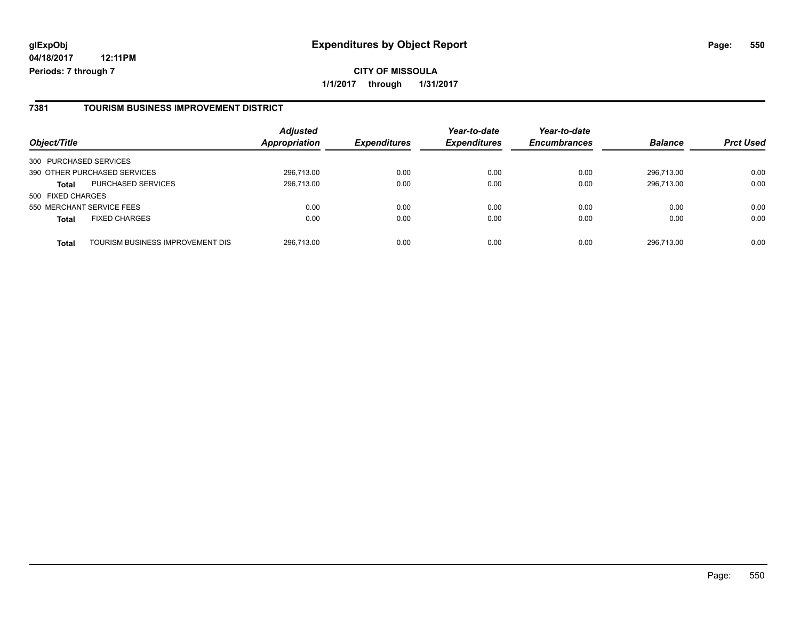#### **7381 TOURISM BUSINESS IMPROVEMENT DISTRICT**

| Object/Title           |                                  | <b>Adjusted</b><br><b>Appropriation</b> | <b>Expenditures</b> | Year-to-date<br><b>Expenditures</b> | Year-to-date<br><b>Encumbrances</b> | <b>Balance</b> | <b>Prct Used</b> |
|------------------------|----------------------------------|-----------------------------------------|---------------------|-------------------------------------|-------------------------------------|----------------|------------------|
| 300 PURCHASED SERVICES |                                  |                                         |                     |                                     |                                     |                |                  |
|                        | 390 OTHER PURCHASED SERVICES     | 296,713.00                              | 0.00                | 0.00                                | 0.00                                | 296.713.00     | 0.00             |
| <b>Total</b>           | <b>PURCHASED SERVICES</b>        | 296,713.00                              | 0.00                | 0.00                                | 0.00                                | 296.713.00     | 0.00             |
| 500 FIXED CHARGES      |                                  |                                         |                     |                                     |                                     |                |                  |
|                        | 550 MERCHANT SERVICE FEES        | 0.00                                    | 0.00                | 0.00                                | 0.00                                | 0.00           | 0.00             |
| <b>Total</b>           | <b>FIXED CHARGES</b>             | 0.00                                    | 0.00                | 0.00                                | 0.00                                | 0.00           | 0.00             |
| <b>Total</b>           | TOURISM BUSINESS IMPROVEMENT DIS | 296,713.00                              | 0.00                | 0.00                                | 0.00                                | 296.713.00     | 0.00             |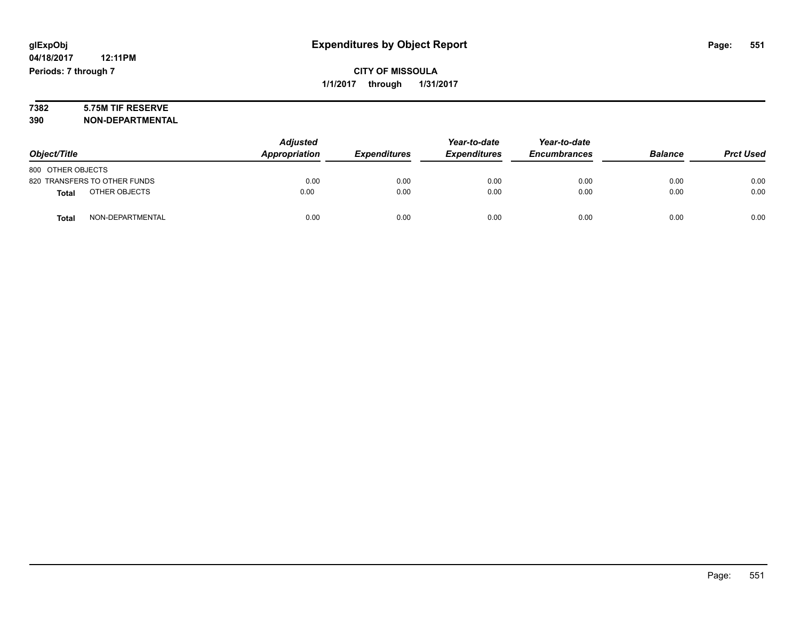# **7382 5.75M TIF RESERVE**

**390 NON-DEPARTMENTAL**

|                                  | <b>Adjusted</b> | Year-to-date        | Year-to-date        |                     |                |                  |
|----------------------------------|-----------------|---------------------|---------------------|---------------------|----------------|------------------|
| Object/Title                     | Appropriation   | <b>Expenditures</b> | <b>Expenditures</b> | <b>Encumbrances</b> | <b>Balance</b> | <b>Prct Used</b> |
| 800 OTHER OBJECTS                |                 |                     |                     |                     |                |                  |
| 820 TRANSFERS TO OTHER FUNDS     | 0.00            | 0.00                | 0.00                | 0.00                | 0.00           | 0.00             |
| OTHER OBJECTS<br><b>Total</b>    | 0.00            | 0.00                | 0.00                | 0.00                | 0.00           | 0.00             |
| NON-DEPARTMENTAL<br><b>Total</b> | 0.00            | 0.00                | 0.00                | 0.00                | 0.00           | 0.00             |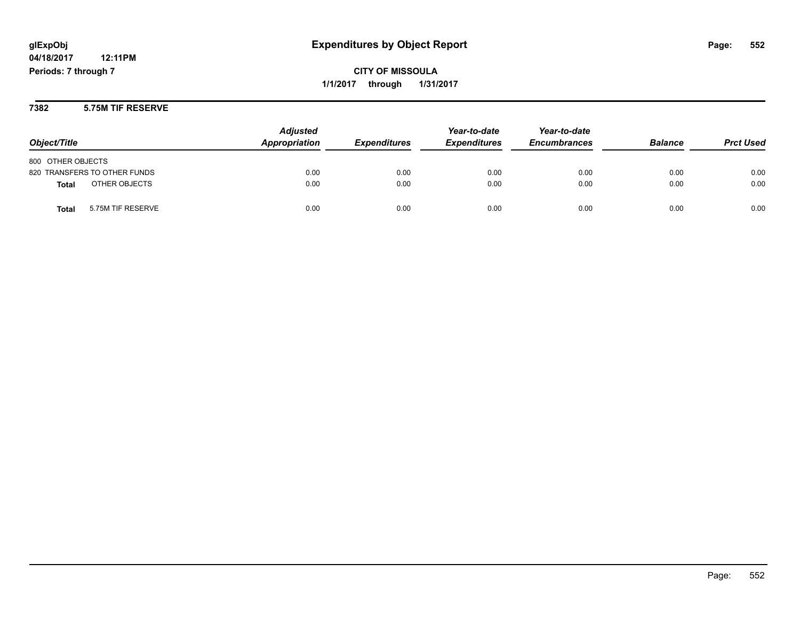**CITY OF MISSOULA 1/1/2017 through 1/31/2017**

**7382 5.75M TIF RESERVE**

| Object/Title                  | <b>Adjusted</b><br>Appropriation | <b>Expenditures</b> | Year-to-date<br><b>Expenditures</b> | Year-to-date<br><b>Encumbrances</b> | <b>Balance</b> | <b>Prct Used</b> |
|-------------------------------|----------------------------------|---------------------|-------------------------------------|-------------------------------------|----------------|------------------|
| 800 OTHER OBJECTS             |                                  |                     |                                     |                                     |                |                  |
| 820 TRANSFERS TO OTHER FUNDS  | 0.00                             | 0.00                | 0.00                                | 0.00                                | 0.00           | 0.00             |
| OTHER OBJECTS<br><b>Total</b> | 0.00                             | 0.00                | 0.00                                | 0.00                                | 0.00           | 0.00             |
| 5.75M TIF RESERVE<br>Total    | 0.00                             | 0.00                | 0.00                                | 0.00                                | 0.00           | 0.00             |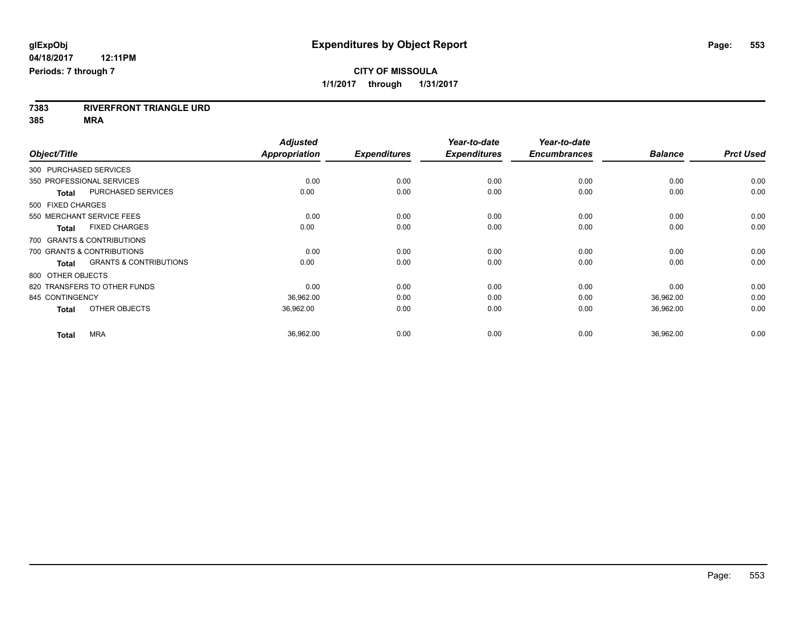**7383 RIVERFRONT TRIANGLE URD**

**385 MRA**

|                                                   | <b>Adjusted</b>      |                     | Year-to-date        | Year-to-date        |                |                  |
|---------------------------------------------------|----------------------|---------------------|---------------------|---------------------|----------------|------------------|
| Object/Title                                      | <b>Appropriation</b> | <b>Expenditures</b> | <b>Expenditures</b> | <b>Encumbrances</b> | <b>Balance</b> | <b>Prct Used</b> |
| 300 PURCHASED SERVICES                            |                      |                     |                     |                     |                |                  |
| 350 PROFESSIONAL SERVICES                         | 0.00                 | 0.00                | 0.00                | 0.00                | 0.00           | 0.00             |
| <b>PURCHASED SERVICES</b><br><b>Total</b>         | 0.00                 | 0.00                | 0.00                | 0.00                | 0.00           | 0.00             |
| 500 FIXED CHARGES                                 |                      |                     |                     |                     |                |                  |
| 550 MERCHANT SERVICE FEES                         | 0.00                 | 0.00                | 0.00                | 0.00                | 0.00           | 0.00             |
| <b>FIXED CHARGES</b><br><b>Total</b>              | 0.00                 | 0.00                | 0.00                | 0.00                | 0.00           | 0.00             |
| 700 GRANTS & CONTRIBUTIONS                        |                      |                     |                     |                     |                |                  |
| 700 GRANTS & CONTRIBUTIONS                        | 0.00                 | 0.00                | 0.00                | 0.00                | 0.00           | 0.00             |
| <b>GRANTS &amp; CONTRIBUTIONS</b><br><b>Total</b> | 0.00                 | 0.00                | 0.00                | 0.00                | 0.00           | 0.00             |
| 800 OTHER OBJECTS                                 |                      |                     |                     |                     |                |                  |
| 820 TRANSFERS TO OTHER FUNDS                      | 0.00                 | 0.00                | 0.00                | 0.00                | 0.00           | 0.00             |
| 845 CONTINGENCY                                   | 36,962.00            | 0.00                | 0.00                | 0.00                | 36,962.00      | 0.00             |
| OTHER OBJECTS<br><b>Total</b>                     | 36,962.00            | 0.00                | 0.00                | 0.00                | 36,962.00      | 0.00             |
| <b>MRA</b><br><b>Total</b>                        | 36,962.00            | 0.00                | 0.00                | 0.00                | 36,962.00      | 0.00             |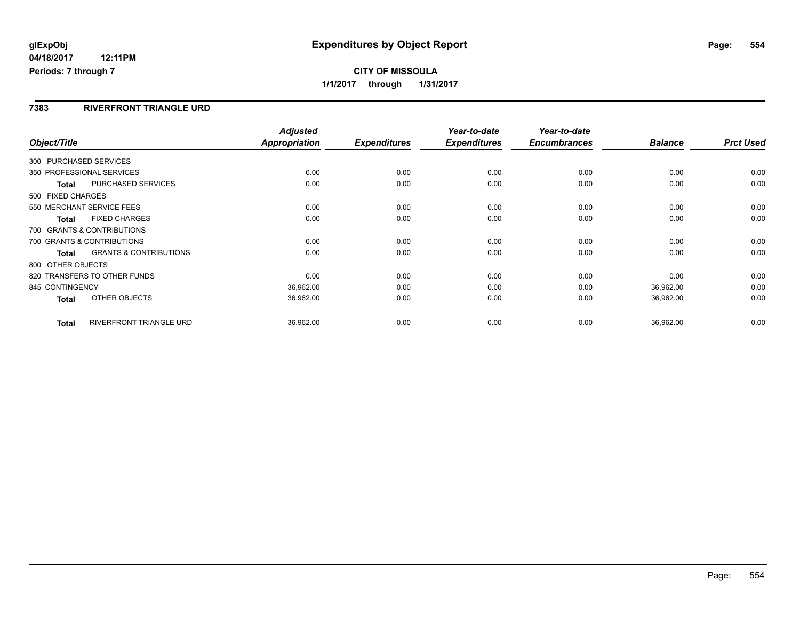### **7383 RIVERFRONT TRIANGLE URD**

| Object/Title                                      | <b>Appropriation</b> | <b>Adjusted</b> | <b>Expenditures</b> | Year-to-date<br><b>Expenditures</b> | Year-to-date<br><b>Encumbrances</b> | <b>Balance</b> | <b>Prct Used</b> |
|---------------------------------------------------|----------------------|-----------------|---------------------|-------------------------------------|-------------------------------------|----------------|------------------|
| 300 PURCHASED SERVICES                            |                      |                 |                     |                                     |                                     |                |                  |
| 350 PROFESSIONAL SERVICES                         |                      | 0.00            | 0.00                | 0.00                                | 0.00                                | 0.00           | 0.00             |
| PURCHASED SERVICES<br>Total                       |                      | 0.00            | 0.00                | 0.00                                | 0.00                                | 0.00           | 0.00             |
| 500 FIXED CHARGES                                 |                      |                 |                     |                                     |                                     |                |                  |
| 550 MERCHANT SERVICE FEES                         |                      | 0.00            | 0.00                | 0.00                                | 0.00                                | 0.00           | 0.00             |
| <b>FIXED CHARGES</b><br>Total                     |                      | 0.00            | 0.00                | 0.00                                | 0.00                                | 0.00           | 0.00             |
| 700 GRANTS & CONTRIBUTIONS                        |                      |                 |                     |                                     |                                     |                |                  |
| 700 GRANTS & CONTRIBUTIONS                        |                      | 0.00            | 0.00                | 0.00                                | 0.00                                | 0.00           | 0.00             |
| <b>GRANTS &amp; CONTRIBUTIONS</b><br><b>Total</b> |                      | 0.00            | 0.00                | 0.00                                | 0.00                                | 0.00           | 0.00             |
| 800 OTHER OBJECTS                                 |                      |                 |                     |                                     |                                     |                |                  |
| 820 TRANSFERS TO OTHER FUNDS                      |                      | 0.00            | 0.00                | 0.00                                | 0.00                                | 0.00           | 0.00             |
| 845 CONTINGENCY                                   |                      | 36,962.00       | 0.00                | 0.00                                | 0.00                                | 36,962.00      | 0.00             |
| OTHER OBJECTS<br><b>Total</b>                     |                      | 36,962.00       | 0.00                | 0.00                                | 0.00                                | 36,962.00      | 0.00             |
| RIVERFRONT TRIANGLE URD<br><b>Total</b>           |                      | 36,962.00       | 0.00                | 0.00                                | 0.00                                | 36,962.00      | 0.00             |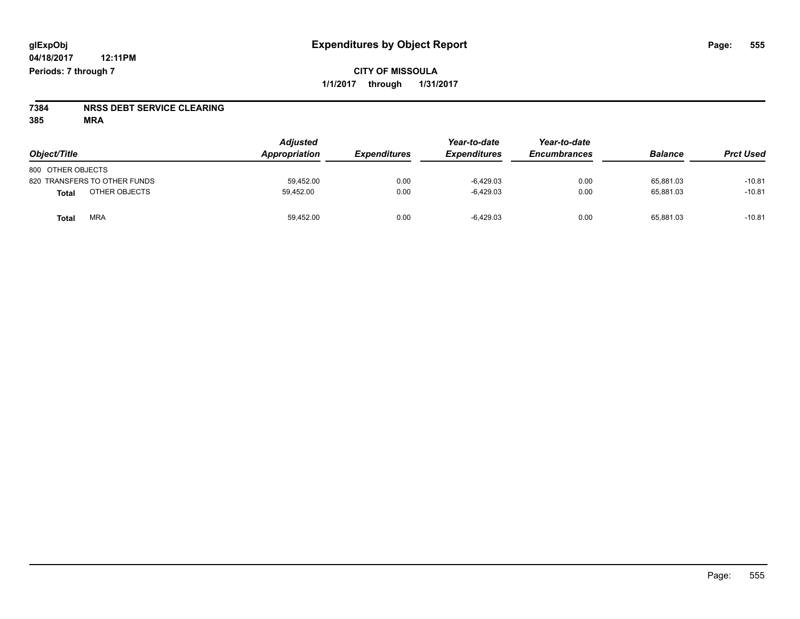**CITY OF MISSOULA 1/1/2017 through 1/31/2017**

# **7384 NRSS DEBT SERVICE CLEARING**

**385 MRA**

| Object/Title                 | <b>Adjusted</b><br>Appropriation | <b>Expenditures</b> | Year-to-date<br><b>Expenditures</b> | Year-to-date<br><b>Encumbrances</b> | <b>Balance</b> | <b>Prct Used</b> |
|------------------------------|----------------------------------|---------------------|-------------------------------------|-------------------------------------|----------------|------------------|
| 800 OTHER OBJECTS            |                                  |                     |                                     |                                     |                |                  |
| 820 TRANSFERS TO OTHER FUNDS | 59.452.00                        | 0.00                | $-6.429.03$                         | 0.00                                | 65.881.03      | $-10.81$         |
| OTHER OBJECTS<br>Total       | 59.452.00                        | 0.00                | $-6,429.03$                         | 0.00                                | 65.881.03      | $-10.81$         |
| <b>MRA</b><br>Total          | 59,452.00                        | 0.00                | $-6,429.03$                         | 0.00                                | 65,881.03      | $-10.81$         |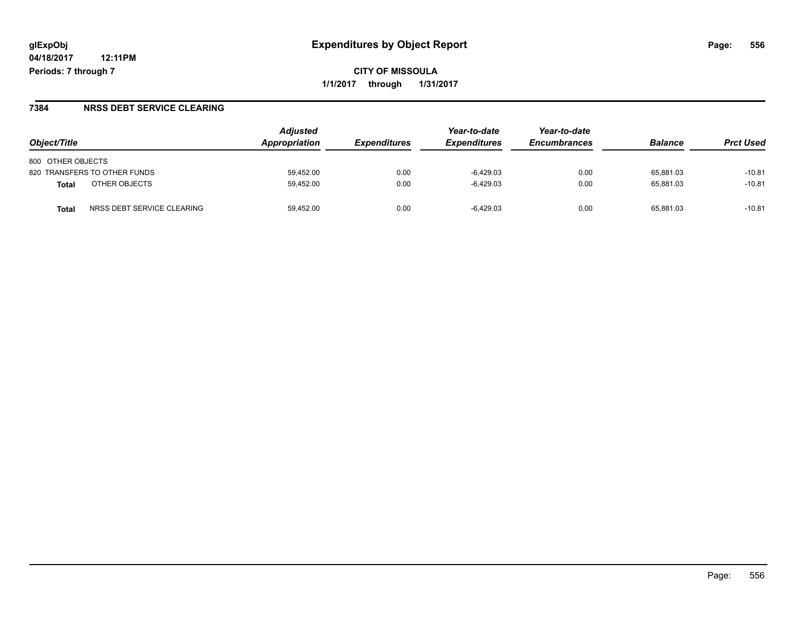**CITY OF MISSOULA 1/1/2017 through 1/31/2017**

#### **7384 NRSS DEBT SERVICE CLEARING**

| Object/Title                               | <b>Adjusted</b><br>Appropriation | <b>Expenditures</b> | Year-to-date<br><b>Expenditures</b> | Year-to-date<br><b>Encumbrances</b> | <b>Balance</b> | <b>Prct Used</b> |
|--------------------------------------------|----------------------------------|---------------------|-------------------------------------|-------------------------------------|----------------|------------------|
| 800 OTHER OBJECTS                          |                                  |                     |                                     |                                     |                |                  |
| 820 TRANSFERS TO OTHER FUNDS               | 59.452.00                        | 0.00                | $-6.429.03$                         | 0.00                                | 65.881.03      | $-10.81$         |
| OTHER OBJECTS<br>Total                     | 59,452.00                        | 0.00                | -6.429.03                           | 0.00                                | 65.881.03      | $-10.81$         |
| NRSS DEBT SERVICE CLEARING<br><b>Total</b> | 59.452.00                        | 0.00                | $-6.429.03$                         | 0.00                                | 65.881.03      | $-10.81$         |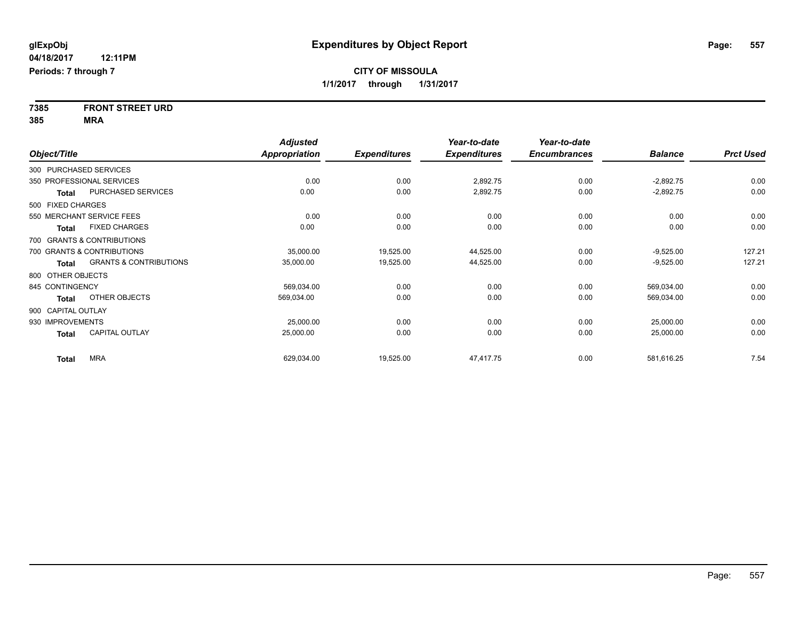**7385 FRONT STREET URD 385 MRA**

|                    |                                   | <b>Adjusted</b>      |                     | Year-to-date        | Year-to-date        |                |                  |
|--------------------|-----------------------------------|----------------------|---------------------|---------------------|---------------------|----------------|------------------|
| Object/Title       |                                   | <b>Appropriation</b> | <b>Expenditures</b> | <b>Expenditures</b> | <b>Encumbrances</b> | <b>Balance</b> | <b>Prct Used</b> |
|                    | 300 PURCHASED SERVICES            |                      |                     |                     |                     |                |                  |
|                    | 350 PROFESSIONAL SERVICES         | 0.00                 | 0.00                | 2,892.75            | 0.00                | $-2,892.75$    | 0.00             |
| <b>Total</b>       | PURCHASED SERVICES                | 0.00                 | 0.00                | 2,892.75            | 0.00                | $-2,892.75$    | 0.00             |
| 500 FIXED CHARGES  |                                   |                      |                     |                     |                     |                |                  |
|                    | 550 MERCHANT SERVICE FEES         | 0.00                 | 0.00                | 0.00                | 0.00                | 0.00           | 0.00             |
| <b>Total</b>       | <b>FIXED CHARGES</b>              | 0.00                 | 0.00                | 0.00                | 0.00                | 0.00           | 0.00             |
|                    | 700 GRANTS & CONTRIBUTIONS        |                      |                     |                     |                     |                |                  |
|                    | 700 GRANTS & CONTRIBUTIONS        | 35,000.00            | 19,525.00           | 44,525.00           | 0.00                | $-9,525.00$    | 127.21           |
| <b>Total</b>       | <b>GRANTS &amp; CONTRIBUTIONS</b> | 35,000.00            | 19,525.00           | 44,525.00           | 0.00                | $-9,525.00$    | 127.21           |
| 800 OTHER OBJECTS  |                                   |                      |                     |                     |                     |                |                  |
| 845 CONTINGENCY    |                                   | 569,034.00           | 0.00                | 0.00                | 0.00                | 569,034.00     | 0.00             |
| Total              | OTHER OBJECTS                     | 569,034.00           | 0.00                | 0.00                | 0.00                | 569,034.00     | 0.00             |
| 900 CAPITAL OUTLAY |                                   |                      |                     |                     |                     |                |                  |
| 930 IMPROVEMENTS   |                                   | 25,000.00            | 0.00                | 0.00                | 0.00                | 25,000.00      | 0.00             |
| <b>Total</b>       | <b>CAPITAL OUTLAY</b>             | 25,000.00            | 0.00                | 0.00                | 0.00                | 25,000.00      | 0.00             |
| <b>Total</b>       | <b>MRA</b>                        | 629,034.00           | 19,525.00           | 47,417.75           | 0.00                | 581,616.25     | 7.54             |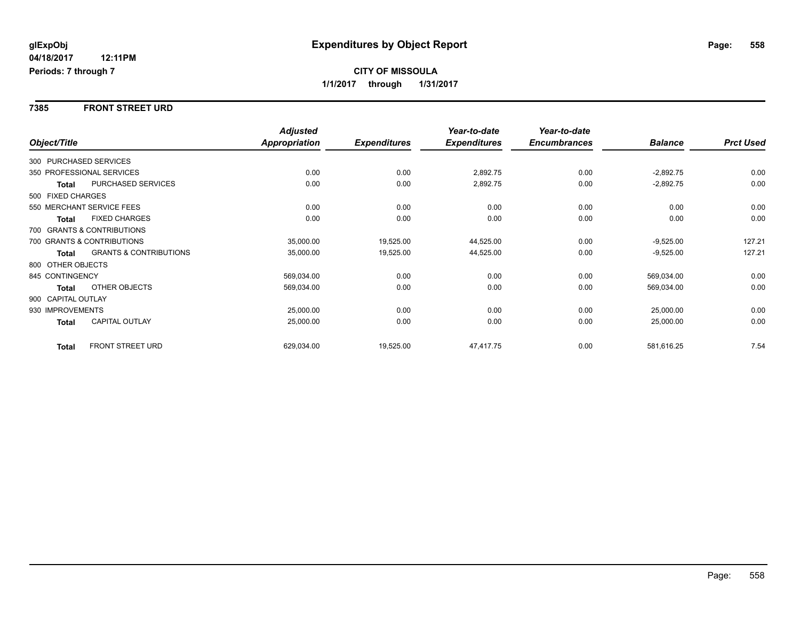#### **7385 FRONT STREET URD**

|                    |                                   | <b>Adjusted</b>      |                     | Year-to-date        | Year-to-date        |                |                  |
|--------------------|-----------------------------------|----------------------|---------------------|---------------------|---------------------|----------------|------------------|
| Object/Title       |                                   | <b>Appropriation</b> | <b>Expenditures</b> | <b>Expenditures</b> | <b>Encumbrances</b> | <b>Balance</b> | <b>Prct Used</b> |
|                    | 300 PURCHASED SERVICES            |                      |                     |                     |                     |                |                  |
|                    | 350 PROFESSIONAL SERVICES         | 0.00                 | 0.00                | 2,892.75            | 0.00                | $-2,892.75$    | 0.00             |
| <b>Total</b>       | PURCHASED SERVICES                | 0.00                 | 0.00                | 2,892.75            | 0.00                | $-2,892.75$    | 0.00             |
| 500 FIXED CHARGES  |                                   |                      |                     |                     |                     |                |                  |
|                    | 550 MERCHANT SERVICE FEES         | 0.00                 | 0.00                | 0.00                | 0.00                | 0.00           | 0.00             |
| <b>Total</b>       | <b>FIXED CHARGES</b>              | 0.00                 | 0.00                | 0.00                | 0.00                | 0.00           | 0.00             |
|                    | 700 GRANTS & CONTRIBUTIONS        |                      |                     |                     |                     |                |                  |
|                    | 700 GRANTS & CONTRIBUTIONS        | 35,000.00            | 19,525.00           | 44,525.00           | 0.00                | $-9,525.00$    | 127.21           |
| <b>Total</b>       | <b>GRANTS &amp; CONTRIBUTIONS</b> | 35,000.00            | 19,525.00           | 44,525.00           | 0.00                | $-9,525.00$    | 127.21           |
| 800 OTHER OBJECTS  |                                   |                      |                     |                     |                     |                |                  |
| 845 CONTINGENCY    |                                   | 569,034.00           | 0.00                | 0.00                | 0.00                | 569,034.00     | 0.00             |
| <b>Total</b>       | OTHER OBJECTS                     | 569,034.00           | 0.00                | 0.00                | 0.00                | 569,034.00     | 0.00             |
| 900 CAPITAL OUTLAY |                                   |                      |                     |                     |                     |                |                  |
| 930 IMPROVEMENTS   |                                   | 25,000.00            | 0.00                | 0.00                | 0.00                | 25,000.00      | 0.00             |
| <b>Total</b>       | CAPITAL OUTLAY                    | 25,000.00            | 0.00                | 0.00                | 0.00                | 25,000.00      | 0.00             |
| <b>Total</b>       | <b>FRONT STREET URD</b>           | 629,034.00           | 19,525.00           | 47,417.75           | 0.00                | 581,616.25     | 7.54             |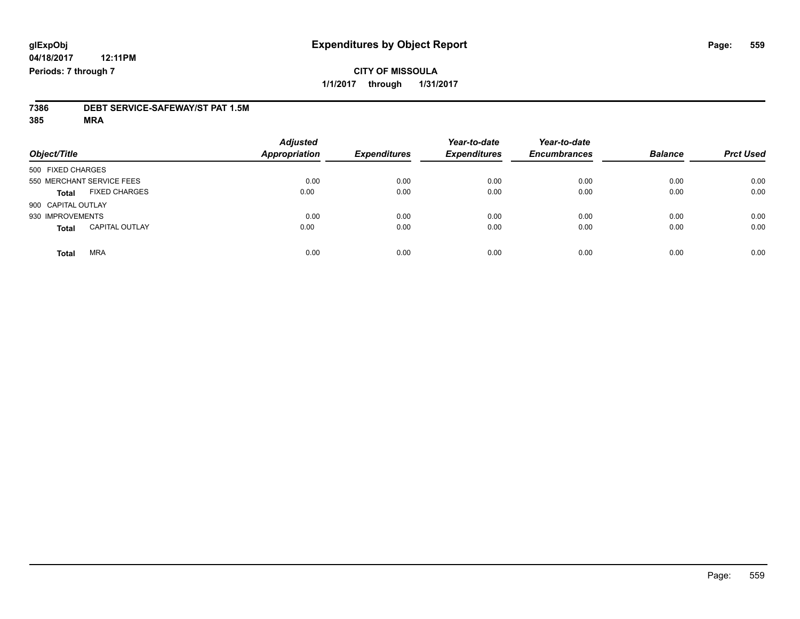## **CITY OF MISSOULA 1/1/2017 through 1/31/2017**

# **7386 DEBT SERVICE-SAFEWAY/ST PAT 1.5M**

**385 MRA**

| Object/Title       |                           | <b>Adjusted</b><br><b>Appropriation</b> | <b>Expenditures</b> | Year-to-date<br><b>Expenditures</b> | Year-to-date<br><b>Encumbrances</b> | <b>Balance</b> | <b>Prct Used</b> |
|--------------------|---------------------------|-----------------------------------------|---------------------|-------------------------------------|-------------------------------------|----------------|------------------|
| 500 FIXED CHARGES  |                           |                                         |                     |                                     |                                     |                |                  |
|                    | 550 MERCHANT SERVICE FEES | 0.00                                    | 0.00                | 0.00                                | 0.00                                | 0.00           | 0.00             |
| <b>Total</b>       | <b>FIXED CHARGES</b>      | 0.00                                    | 0.00                | 0.00                                | 0.00                                | 0.00           | 0.00             |
| 900 CAPITAL OUTLAY |                           |                                         |                     |                                     |                                     |                |                  |
| 930 IMPROVEMENTS   |                           | 0.00                                    | 0.00                | 0.00                                | 0.00                                | 0.00           | 0.00             |
| <b>Total</b>       | <b>CAPITAL OUTLAY</b>     | 0.00                                    | 0.00                | 0.00                                | 0.00                                | 0.00           | 0.00             |
| <b>Total</b>       | <b>MRA</b>                | 0.00                                    | 0.00                | 0.00                                | 0.00                                | 0.00           | 0.00             |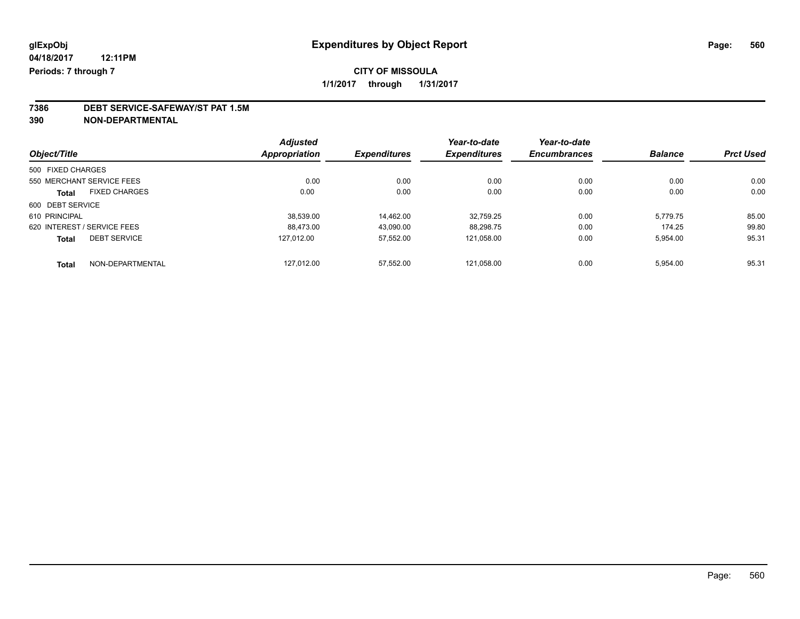### **CITY OF MISSOULA 1/1/2017 through 1/31/2017**

## **7386 DEBT SERVICE-SAFEWAY/ST PAT 1.5M**

**390 NON-DEPARTMENTAL**

|                                     | <b>Adjusted</b>      |                     | Year-to-date        | Year-to-date        |                |                  |
|-------------------------------------|----------------------|---------------------|---------------------|---------------------|----------------|------------------|
| Object/Title                        | <b>Appropriation</b> | <b>Expenditures</b> | <b>Expenditures</b> | <b>Encumbrances</b> | <b>Balance</b> | <b>Prct Used</b> |
| 500 FIXED CHARGES                   |                      |                     |                     |                     |                |                  |
| 550 MERCHANT SERVICE FEES           | 0.00                 | 0.00                | 0.00                | 0.00                | 0.00           | 0.00             |
| <b>FIXED CHARGES</b><br>Total       | 0.00                 | 0.00                | 0.00                | 0.00                | 0.00           | 0.00             |
| 600 DEBT SERVICE                    |                      |                     |                     |                     |                |                  |
| 610 PRINCIPAL                       | 38.539.00            | 14.462.00           | 32.759.25           | 0.00                | 5.779.75       | 85.00            |
| 620 INTEREST / SERVICE FEES         | 88.473.00            | 43,090.00           | 88.298.75           | 0.00                | 174.25         | 99.80            |
| <b>DEBT SERVICE</b><br><b>Total</b> | 127.012.00           | 57,552.00           | 121.058.00          | 0.00                | 5,954.00       | 95.31            |
| NON-DEPARTMENTAL<br><b>Total</b>    | 127.012.00           | 57.552.00           | 121.058.00          | 0.00                | 5.954.00       | 95.31            |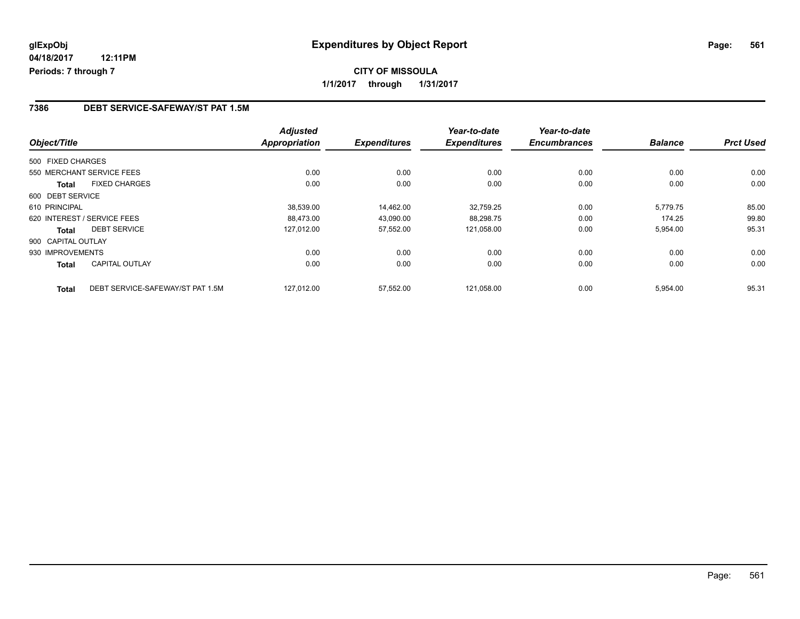#### **7386 DEBT SERVICE-SAFEWAY/ST PAT 1.5M**

| Object/Title       |                                  | <b>Adjusted</b><br>Appropriation | <b>Expenditures</b> | Year-to-date<br><b>Expenditures</b> | Year-to-date<br><b>Encumbrances</b> | <b>Balance</b> | <b>Prct Used</b> |
|--------------------|----------------------------------|----------------------------------|---------------------|-------------------------------------|-------------------------------------|----------------|------------------|
|                    |                                  |                                  |                     |                                     |                                     |                |                  |
| 500 FIXED CHARGES  |                                  |                                  |                     |                                     |                                     |                |                  |
|                    | 550 MERCHANT SERVICE FEES        | 0.00                             | 0.00                | 0.00                                | 0.00                                | 0.00           | 0.00             |
| <b>Total</b>       | <b>FIXED CHARGES</b>             | 0.00                             | 0.00                | 0.00                                | 0.00                                | 0.00           | 0.00             |
| 600 DEBT SERVICE   |                                  |                                  |                     |                                     |                                     |                |                  |
| 610 PRINCIPAL      |                                  | 38,539.00                        | 14.462.00           | 32,759.25                           | 0.00                                | 5,779.75       | 85.00            |
|                    | 620 INTEREST / SERVICE FEES      | 88.473.00                        | 43,090.00           | 88,298.75                           | 0.00                                | 174.25         | 99.80            |
| <b>Total</b>       | <b>DEBT SERVICE</b>              | 127,012.00                       | 57,552.00           | 121.058.00                          | 0.00                                | 5,954.00       | 95.31            |
| 900 CAPITAL OUTLAY |                                  |                                  |                     |                                     |                                     |                |                  |
| 930 IMPROVEMENTS   |                                  | 0.00                             | 0.00                | 0.00                                | 0.00                                | 0.00           | 0.00             |
| Total              | <b>CAPITAL OUTLAY</b>            | 0.00                             | 0.00                | 0.00                                | 0.00                                | 0.00           | 0.00             |
| <b>Total</b>       | DEBT SERVICE-SAFEWAY/ST PAT 1.5M | 127.012.00                       | 57.552.00           | 121.058.00                          | 0.00                                | 5.954.00       | 95.31            |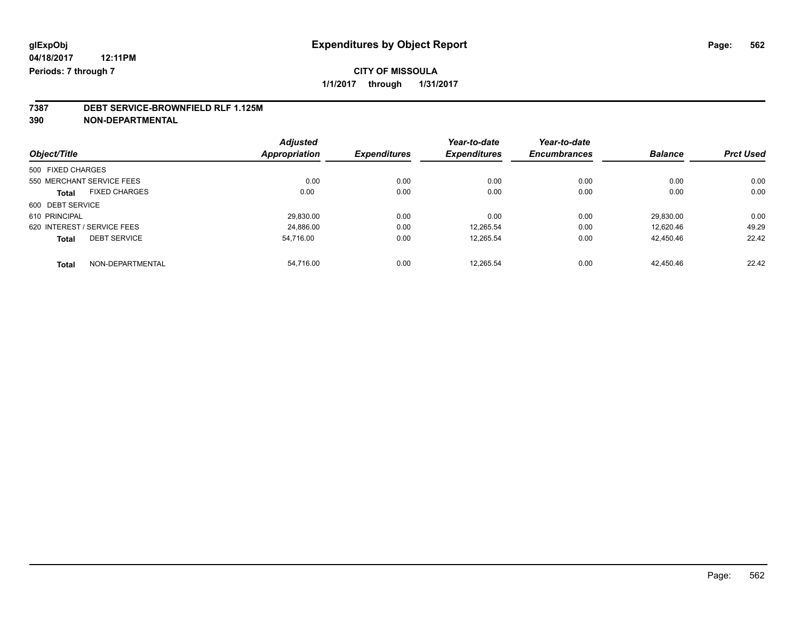**1/1/2017 through 1/31/2017**

## **7387 DEBT SERVICE-BROWNFIELD RLF 1.125M**

**390 NON-DEPARTMENTAL**

|                             |                      | <b>Adjusted</b> |                     | Year-to-date        | Year-to-date        |                |                  |
|-----------------------------|----------------------|-----------------|---------------------|---------------------|---------------------|----------------|------------------|
| Object/Title                |                      | Appropriation   | <b>Expenditures</b> | <b>Expenditures</b> | <b>Encumbrances</b> | <b>Balance</b> | <b>Prct Used</b> |
| 500 FIXED CHARGES           |                      |                 |                     |                     |                     |                |                  |
| 550 MERCHANT SERVICE FEES   |                      | 0.00            | 0.00                | 0.00                | 0.00                | 0.00           | 0.00             |
| Total                       | <b>FIXED CHARGES</b> | 0.00            | 0.00                | 0.00                | 0.00                | 0.00           | 0.00             |
| 600 DEBT SERVICE            |                      |                 |                     |                     |                     |                |                  |
| 610 PRINCIPAL               |                      | 29,830.00       | 0.00                | 0.00                | 0.00                | 29.830.00      | 0.00             |
| 620 INTEREST / SERVICE FEES |                      | 24,886.00       | 0.00                | 12.265.54           | 0.00                | 12,620.46      | 49.29            |
| <b>Total</b>                | <b>DEBT SERVICE</b>  | 54,716.00       | 0.00                | 12,265.54           | 0.00                | 42,450.46      | 22.42            |
| <b>Total</b>                | NON-DEPARTMENTAL     | 54.716.00       | 0.00                | 12.265.54           | 0.00                | 42.450.46      | 22.42            |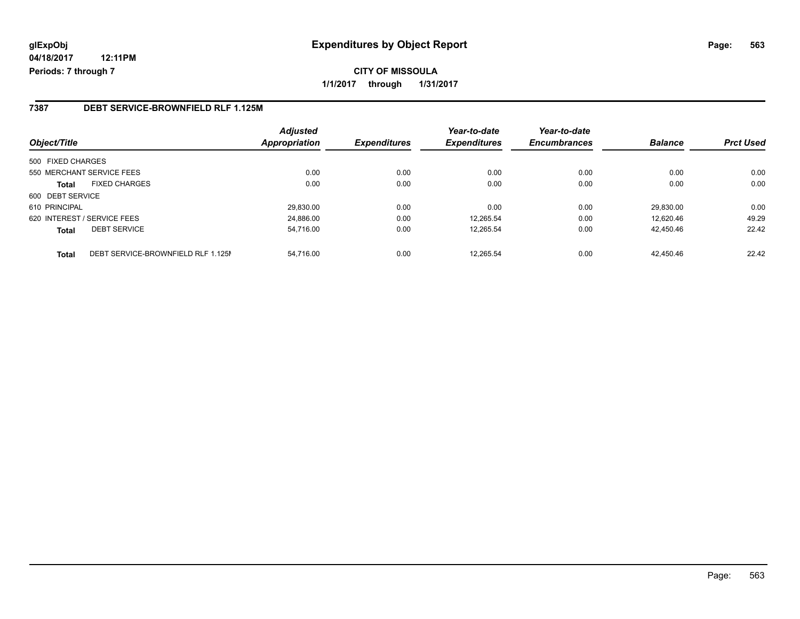**CITY OF MISSOULA 1/1/2017 through 1/31/2017**

#### **7387 DEBT SERVICE-BROWNFIELD RLF 1.125M**

| Object/Title                |                                    | <b>Adjusted</b><br>Appropriation | <b>Expenditures</b> | Year-to-date<br><b>Expenditures</b> | Year-to-date<br><b>Encumbrances</b> | <b>Balance</b> | <b>Prct Used</b> |
|-----------------------------|------------------------------------|----------------------------------|---------------------|-------------------------------------|-------------------------------------|----------------|------------------|
| 500 FIXED CHARGES           |                                    |                                  |                     |                                     |                                     |                |                  |
| 550 MERCHANT SERVICE FEES   |                                    | 0.00                             | 0.00                | 0.00                                | 0.00                                | 0.00           | 0.00             |
| <b>Total</b>                | <b>FIXED CHARGES</b>               | 0.00                             | 0.00                | 0.00                                | 0.00                                | 0.00           | 0.00             |
| 600 DEBT SERVICE            |                                    |                                  |                     |                                     |                                     |                |                  |
| 610 PRINCIPAL               |                                    | 29,830.00                        | 0.00                | 0.00                                | 0.00                                | 29.830.00      | 0.00             |
| 620 INTEREST / SERVICE FEES |                                    | 24,886.00                        | 0.00                | 12.265.54                           | 0.00                                | 12.620.46      | 49.29            |
| <b>Total</b>                | <b>DEBT SERVICE</b>                | 54,716.00                        | 0.00                | 12,265.54                           | 0.00                                | 42.450.46      | 22.42            |
| <b>Total</b>                | DEBT SERVICE-BROWNFIELD RLF 1.125M | 54.716.00                        | 0.00                | 12.265.54                           | 0.00                                | 42.450.46      | 22.42            |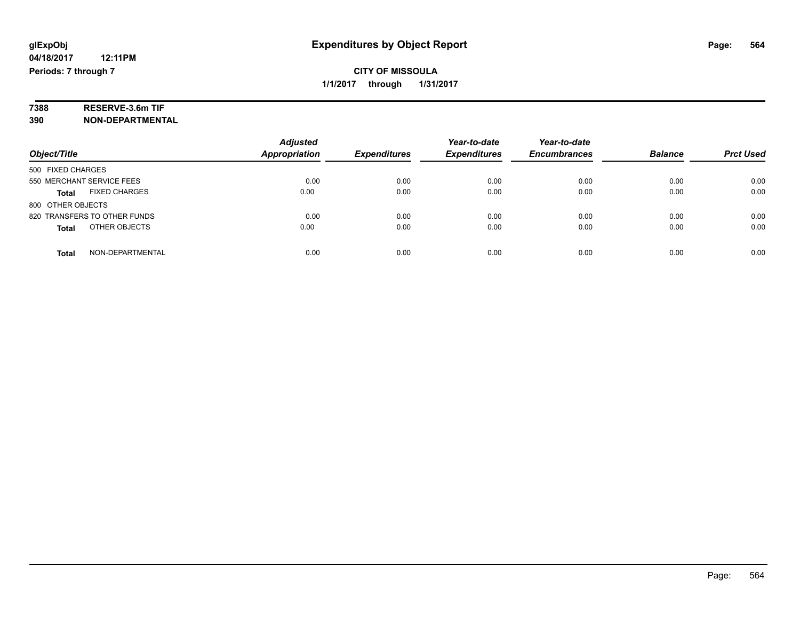# **7388 RESERVE-3.6m TIF**

**390 NON-DEPARTMENTAL**

|                                      | <b>Adjusted</b>      |                     | Year-to-date        | Year-to-date        |                |                  |
|--------------------------------------|----------------------|---------------------|---------------------|---------------------|----------------|------------------|
| Object/Title                         | <b>Appropriation</b> | <b>Expenditures</b> | <b>Expenditures</b> | <b>Encumbrances</b> | <b>Balance</b> | <b>Prct Used</b> |
| 500 FIXED CHARGES                    |                      |                     |                     |                     |                |                  |
| 550 MERCHANT SERVICE FEES            | 0.00                 | 0.00                | 0.00                | 0.00                | 0.00           | 0.00             |
| <b>FIXED CHARGES</b><br><b>Total</b> | 0.00                 | 0.00                | 0.00                | 0.00                | 0.00           | 0.00             |
| 800 OTHER OBJECTS                    |                      |                     |                     |                     |                |                  |
| 820 TRANSFERS TO OTHER FUNDS         | 0.00                 | 0.00                | 0.00                | 0.00                | 0.00           | 0.00             |
| OTHER OBJECTS<br><b>Total</b>        | 0.00                 | 0.00                | 0.00                | 0.00                | 0.00           | 0.00             |
| NON-DEPARTMENTAL<br>Total            | 0.00                 | 0.00                | 0.00                | 0.00                | 0.00           | 0.00             |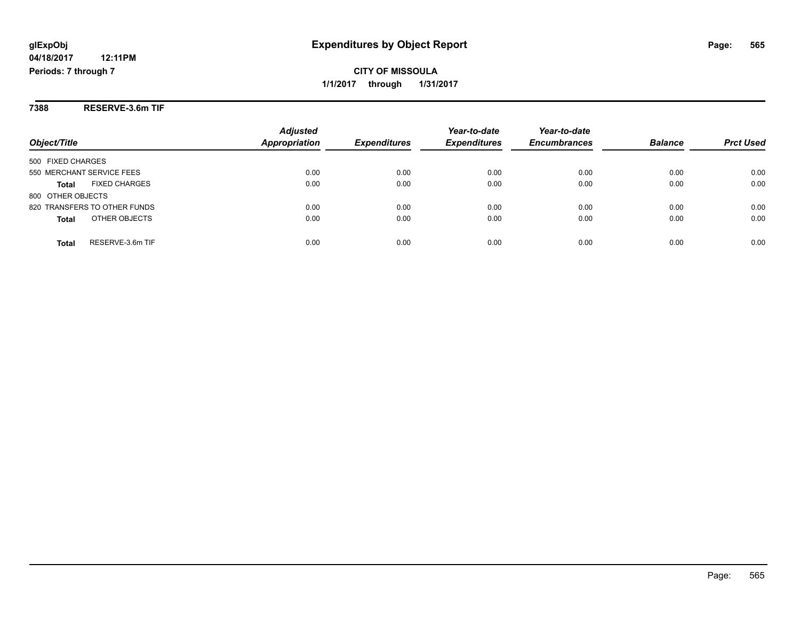**CITY OF MISSOULA 1/1/2017 through 1/31/2017**

**7388 RESERVE-3.6m TIF**

|                                      | <b>Adjusted</b>      |                     | Year-to-date        | Year-to-date        | <b>Balance</b> |                  |
|--------------------------------------|----------------------|---------------------|---------------------|---------------------|----------------|------------------|
| Object/Title                         | <b>Appropriation</b> | <b>Expenditures</b> | <b>Expenditures</b> | <b>Encumbrances</b> |                | <b>Prct Used</b> |
| 500 FIXED CHARGES                    |                      |                     |                     |                     |                |                  |
| 550 MERCHANT SERVICE FEES            | 0.00                 | 0.00                | 0.00                | 0.00                | 0.00           | 0.00             |
| <b>FIXED CHARGES</b><br><b>Total</b> | 0.00                 | 0.00                | 0.00                | 0.00                | 0.00           | 0.00             |
| 800 OTHER OBJECTS                    |                      |                     |                     |                     |                |                  |
| 820 TRANSFERS TO OTHER FUNDS         | 0.00                 | 0.00                | 0.00                | 0.00                | 0.00           | 0.00             |
| OTHER OBJECTS<br><b>Total</b>        | 0.00                 | 0.00                | 0.00                | 0.00                | 0.00           | 0.00             |
| RESERVE-3.6m TIF<br><b>Total</b>     | 0.00                 | 0.00                | 0.00                | 0.00                | 0.00           | 0.00             |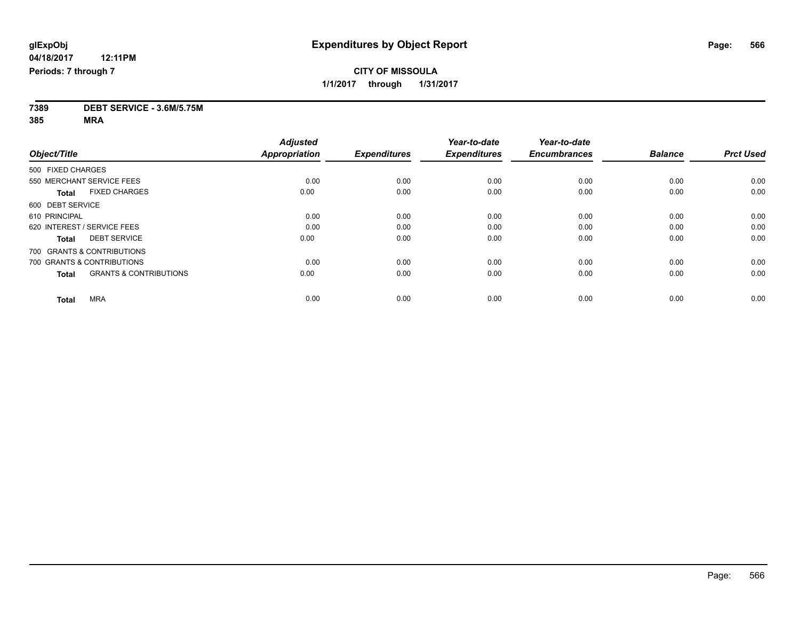**7389 DEBT SERVICE - 3.6M/5.75M**

**385 MRA**

|                                                   | <b>Adjusted</b>      |                     | Year-to-date        | Year-to-date        |                |                  |
|---------------------------------------------------|----------------------|---------------------|---------------------|---------------------|----------------|------------------|
| Object/Title                                      | <b>Appropriation</b> | <b>Expenditures</b> | <b>Expenditures</b> | <b>Encumbrances</b> | <b>Balance</b> | <b>Prct Used</b> |
| 500 FIXED CHARGES                                 |                      |                     |                     |                     |                |                  |
| 550 MERCHANT SERVICE FEES                         | 0.00                 | 0.00                | 0.00                | 0.00                | 0.00           | 0.00             |
| <b>FIXED CHARGES</b><br><b>Total</b>              | 0.00                 | 0.00                | 0.00                | 0.00                | 0.00           | 0.00             |
| 600 DEBT SERVICE                                  |                      |                     |                     |                     |                |                  |
| 610 PRINCIPAL                                     | 0.00                 | 0.00                | 0.00                | 0.00                | 0.00           | 0.00             |
| 620 INTEREST / SERVICE FEES                       | 0.00                 | 0.00                | 0.00                | 0.00                | 0.00           | 0.00             |
| <b>DEBT SERVICE</b><br><b>Total</b>               | 0.00                 | 0.00                | 0.00                | 0.00                | 0.00           | 0.00             |
| 700 GRANTS & CONTRIBUTIONS                        |                      |                     |                     |                     |                |                  |
| 700 GRANTS & CONTRIBUTIONS                        | 0.00                 | 0.00                | 0.00                | 0.00                | 0.00           | 0.00             |
| <b>GRANTS &amp; CONTRIBUTIONS</b><br><b>Total</b> | 0.00                 | 0.00                | 0.00                | 0.00                | 0.00           | 0.00             |
|                                                   |                      |                     |                     |                     |                |                  |
| <b>MRA</b><br><b>Total</b>                        | 0.00                 | 0.00                | 0.00                | 0.00                | 0.00           | 0.00             |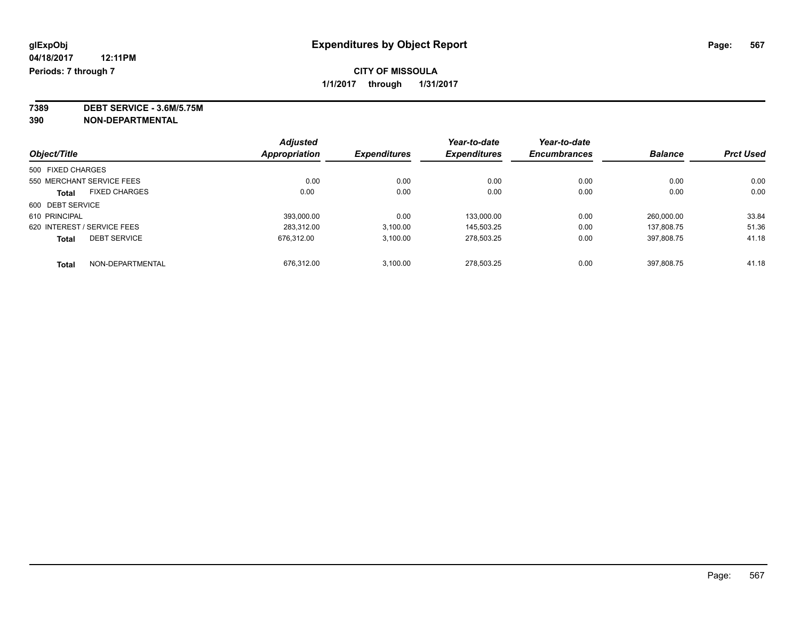**7389 DEBT SERVICE - 3.6M/5.75M**

**390 NON-DEPARTMENTAL**

| Object/Title                |                           | <b>Adjusted</b>      | <b>Expenditures</b> | Year-to-date<br><b>Expenditures</b> | Year-to-date<br><b>Encumbrances</b> | <b>Balance</b> | <b>Prct Used</b> |
|-----------------------------|---------------------------|----------------------|---------------------|-------------------------------------|-------------------------------------|----------------|------------------|
|                             |                           | <b>Appropriation</b> |                     |                                     |                                     |                |                  |
| 500 FIXED CHARGES           |                           |                      |                     |                                     |                                     |                |                  |
|                             | 550 MERCHANT SERVICE FEES | 0.00                 | 0.00                | 0.00                                | 0.00                                | 0.00           | 0.00             |
| <b>Total</b>                | <b>FIXED CHARGES</b>      | 0.00                 | 0.00                | 0.00                                | 0.00                                | 0.00           | 0.00             |
| 600 DEBT SERVICE            |                           |                      |                     |                                     |                                     |                |                  |
| 610 PRINCIPAL               |                           | 393.000.00           | 0.00                | 133.000.00                          | 0.00                                | 260.000.00     | 33.84            |
| 620 INTEREST / SERVICE FEES |                           | 283.312.00           | 3.100.00            | 145.503.25                          | 0.00                                | 137.808.75     | 51.36            |
| <b>Total</b>                | <b>DEBT SERVICE</b>       | 676.312.00           | 3.100.00            | 278.503.25                          | 0.00                                | 397.808.75     | 41.18            |
| <b>Total</b>                | NON-DEPARTMENTAL          | 676.312.00           | 3.100.00            | 278.503.25                          | 0.00                                | 397.808.75     | 41.18            |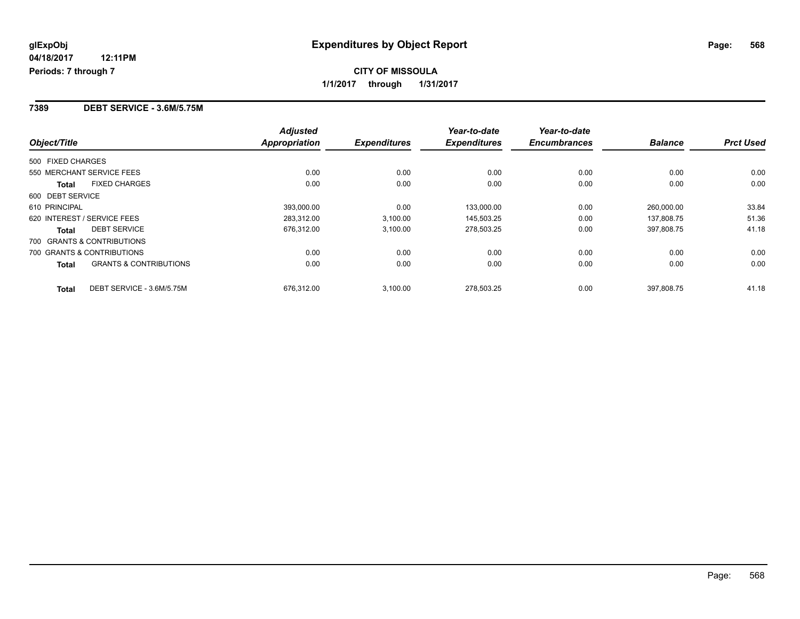#### **7389 DEBT SERVICE - 3.6M/5.75M**

|                                                   | <b>Adjusted</b>      |                     | Year-to-date        | Year-to-date        |                |                  |
|---------------------------------------------------|----------------------|---------------------|---------------------|---------------------|----------------|------------------|
| Object/Title                                      | <b>Appropriation</b> | <b>Expenditures</b> | <b>Expenditures</b> | <b>Encumbrances</b> | <b>Balance</b> | <b>Prct Used</b> |
| 500 FIXED CHARGES                                 |                      |                     |                     |                     |                |                  |
| 550 MERCHANT SERVICE FEES                         | 0.00                 | 0.00                | 0.00                | 0.00                | 0.00           | 0.00             |
| <b>FIXED CHARGES</b><br><b>Total</b>              | 0.00                 | 0.00                | 0.00                | 0.00                | 0.00           | 0.00             |
| 600 DEBT SERVICE                                  |                      |                     |                     |                     |                |                  |
| 610 PRINCIPAL                                     | 393.000.00           | 0.00                | 133,000.00          | 0.00                | 260,000.00     | 33.84            |
| 620 INTEREST / SERVICE FEES                       | 283,312.00           | 3,100.00            | 145,503.25          | 0.00                | 137.808.75     | 51.36            |
| <b>DEBT SERVICE</b><br><b>Total</b>               | 676,312.00           | 3,100.00            | 278,503.25          | 0.00                | 397,808.75     | 41.18            |
| 700 GRANTS & CONTRIBUTIONS                        |                      |                     |                     |                     |                |                  |
| 700 GRANTS & CONTRIBUTIONS                        | 0.00                 | 0.00                | 0.00                | 0.00                | 0.00           | 0.00             |
| <b>GRANTS &amp; CONTRIBUTIONS</b><br><b>Total</b> | 0.00                 | 0.00                | 0.00                | 0.00                | 0.00           | 0.00             |
| DEBT SERVICE - 3.6M/5.75M<br><b>Total</b>         | 676.312.00           | 3,100.00            | 278.503.25          | 0.00                | 397.808.75     | 41.18            |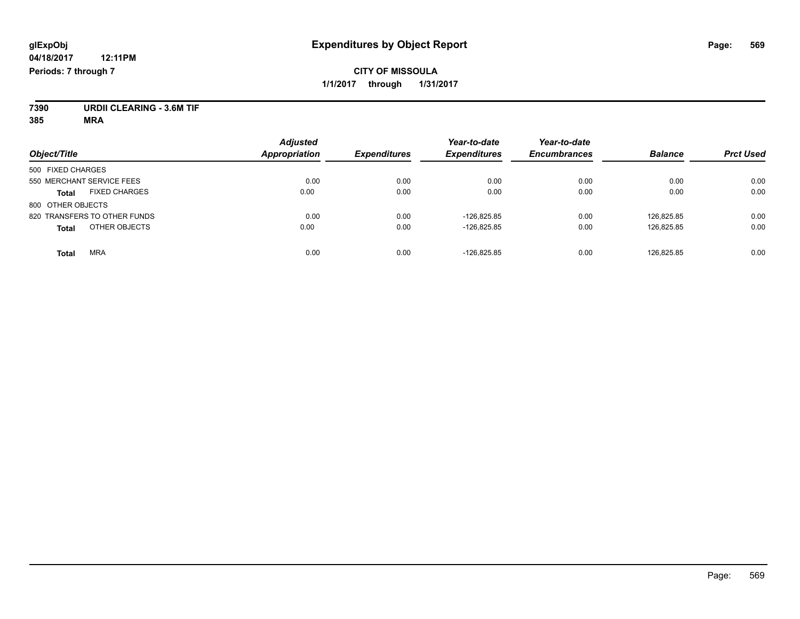## **CITY OF MISSOULA 1/1/2017 through 1/31/2017**

**7390 URDII CLEARING - 3.6M TIF**

**385 MRA**

| Object/Title                         | <b>Adjusted</b><br><b>Appropriation</b> | <b>Expenditures</b> | Year-to-date<br><b>Expenditures</b> | Year-to-date<br><b>Encumbrances</b> | <b>Balance</b> | <b>Prct Used</b> |
|--------------------------------------|-----------------------------------------|---------------------|-------------------------------------|-------------------------------------|----------------|------------------|
|                                      |                                         |                     |                                     |                                     |                |                  |
| 500 FIXED CHARGES                    |                                         |                     |                                     |                                     |                |                  |
| 550 MERCHANT SERVICE FEES            | 0.00                                    | 0.00                | 0.00                                | 0.00                                | 0.00           | 0.00             |
| <b>FIXED CHARGES</b><br><b>Total</b> | 0.00                                    | 0.00                | 0.00                                | 0.00                                | 0.00           | 0.00             |
| 800 OTHER OBJECTS                    |                                         |                     |                                     |                                     |                |                  |
| 820 TRANSFERS TO OTHER FUNDS         | 0.00                                    | 0.00                | $-126.825.85$                       | 0.00                                | 126.825.85     | 0.00             |
| OTHER OBJECTS<br><b>Total</b>        | 0.00                                    | 0.00                | $-126.825.85$                       | 0.00                                | 126,825.85     | 0.00             |
| <b>MRA</b><br><b>Total</b>           | 0.00                                    | 0.00                | $-126.825.85$                       | 0.00                                | 126.825.85     | 0.00             |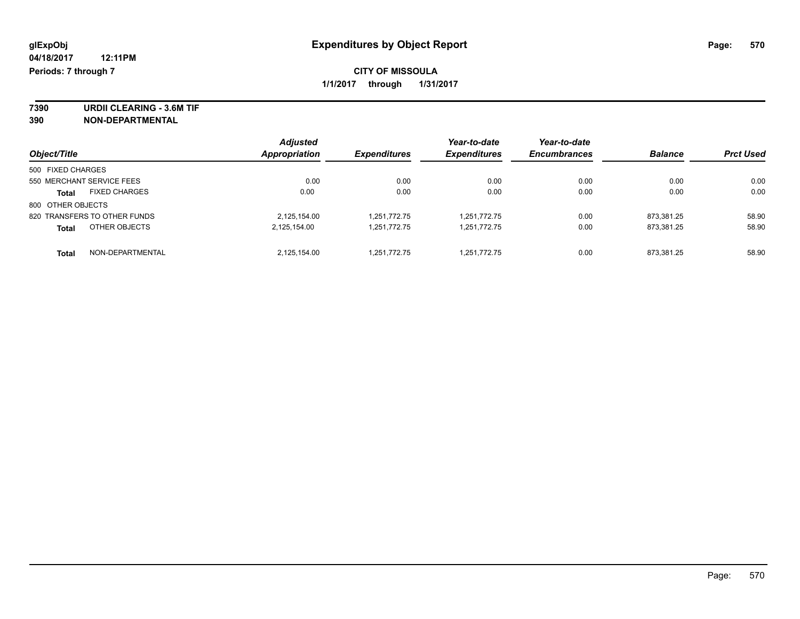**7390 URDII CLEARING - 3.6M TIF 390 NON-DEPARTMENTAL**

| Object/Title                         | <b>Adjusted</b><br><b>Appropriation</b> | <b>Expenditures</b> | Year-to-date<br><b>Expenditures</b> | Year-to-date<br><b>Encumbrances</b> | <b>Balance</b> | <b>Prct Used</b> |
|--------------------------------------|-----------------------------------------|---------------------|-------------------------------------|-------------------------------------|----------------|------------------|
|                                      |                                         |                     |                                     |                                     |                |                  |
| 500 FIXED CHARGES                    |                                         |                     |                                     |                                     |                |                  |
| 550 MERCHANT SERVICE FEES            | 0.00                                    | 0.00                | 0.00                                | 0.00                                | 0.00           | 0.00             |
| <b>FIXED CHARGES</b><br><b>Total</b> | 0.00                                    | 0.00                | 0.00                                | 0.00                                | 0.00           | 0.00             |
| 800 OTHER OBJECTS                    |                                         |                     |                                     |                                     |                |                  |
| 820 TRANSFERS TO OTHER FUNDS         | 2,125,154.00                            | 1,251,772.75        | 1,251,772.75                        | 0.00                                | 873.381.25     | 58.90            |
| OTHER OBJECTS<br><b>Total</b>        | 2,125,154.00                            | 1.251.772.75        | 1,251,772.75                        | 0.00                                | 873,381.25     | 58.90            |
| NON-DEPARTMENTAL<br><b>Total</b>     | 2,125,154.00                            | 1,251,772.75        | 1,251,772.75                        | 0.00                                | 873,381.25     | 58.90            |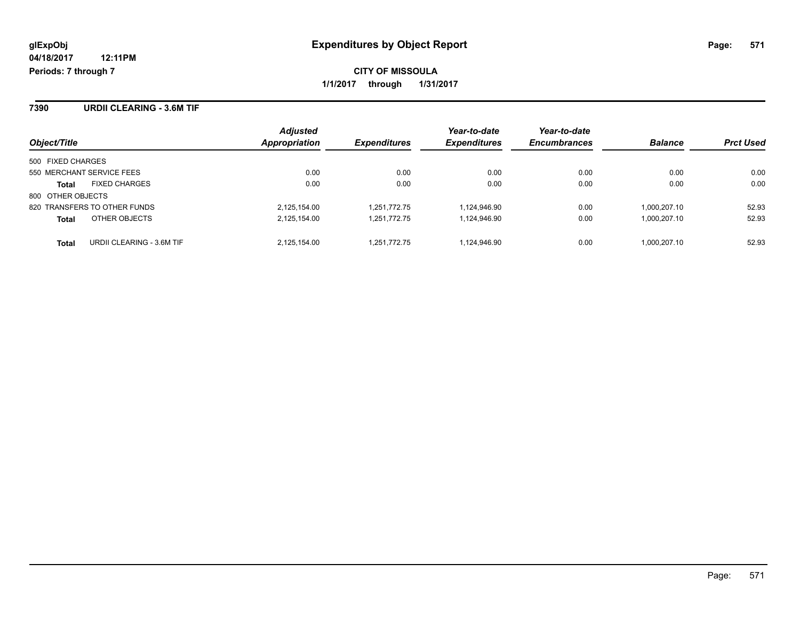**CITY OF MISSOULA 1/1/2017 through 1/31/2017**

**7390 URDII CLEARING - 3.6M TIF**

| Object/Title                              | <b>Adjusted</b><br>Appropriation | <i><b>Expenditures</b></i> | Year-to-date<br><b>Expenditures</b> | Year-to-date<br><b>Encumbrances</b> | <b>Balance</b> | <b>Prct Used</b> |
|-------------------------------------------|----------------------------------|----------------------------|-------------------------------------|-------------------------------------|----------------|------------------|
|                                           |                                  |                            |                                     |                                     |                |                  |
| 500 FIXED CHARGES                         |                                  |                            |                                     |                                     |                |                  |
| 550 MERCHANT SERVICE FEES                 | 0.00                             | 0.00                       | 0.00                                | 0.00                                | 0.00           | 0.00             |
| <b>FIXED CHARGES</b><br><b>Total</b>      | 0.00                             | 0.00                       | 0.00                                | 0.00                                | 0.00           | 0.00             |
| 800 OTHER OBJECTS                         |                                  |                            |                                     |                                     |                |                  |
| 820 TRANSFERS TO OTHER FUNDS              | 2,125,154.00                     | 1.251.772.75               | 1,124,946.90                        | 0.00                                | 1.000.207.10   | 52.93            |
| OTHER OBJECTS<br><b>Total</b>             | 2,125,154.00                     | 1.251.772.75               | 1,124,946.90                        | 0.00                                | 1,000,207.10   | 52.93            |
| URDII CLEARING - 3.6M TIF<br><b>Total</b> | 2.125.154.00                     | 1.251.772.75               | 1.124.946.90                        | 0.00                                | 1.000.207.10   | 52.93            |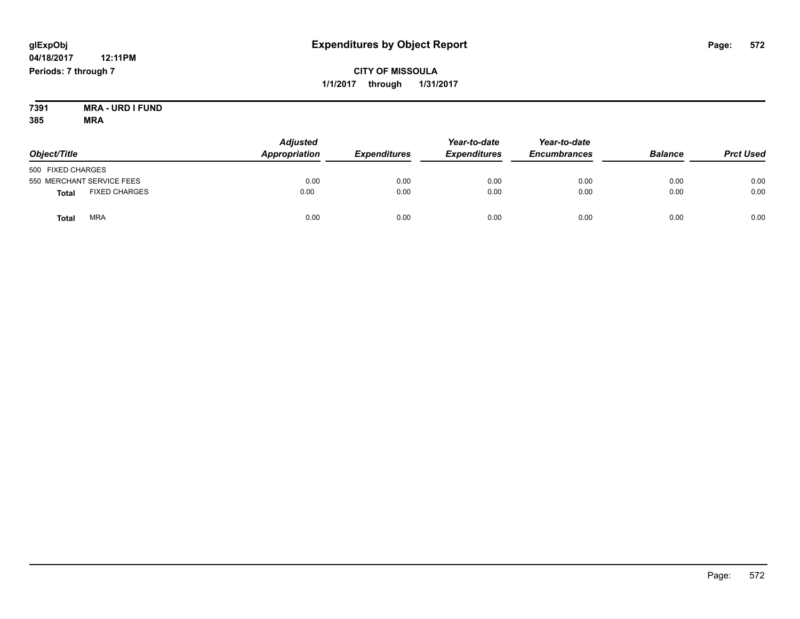## **CITY OF MISSOULA 1/1/2017 through 1/31/2017**

**7391 MRA - URD I FUND 385 MRA**

| Object/Title                         | <b>Adjusted</b><br>Appropriation | <b>Expenditures</b> | Year-to-date<br><b>Expenditures</b> | Year-to-date<br><b>Encumbrances</b> | <b>Balance</b> | <b>Prct Used</b> |
|--------------------------------------|----------------------------------|---------------------|-------------------------------------|-------------------------------------|----------------|------------------|
| 500 FIXED CHARGES                    |                                  |                     |                                     |                                     |                |                  |
| 550 MERCHANT SERVICE FEES            | 0.00                             | 0.00                | 0.00                                | 0.00                                | 0.00           | 0.00             |
| <b>FIXED CHARGES</b><br><b>Total</b> | 0.00                             | 0.00                | 0.00                                | 0.00                                | 0.00           | 0.00             |
| <b>MRA</b><br>Tota                   | 0.00                             | 0.00                | 0.00                                | 0.00                                | 0.00           | 0.00             |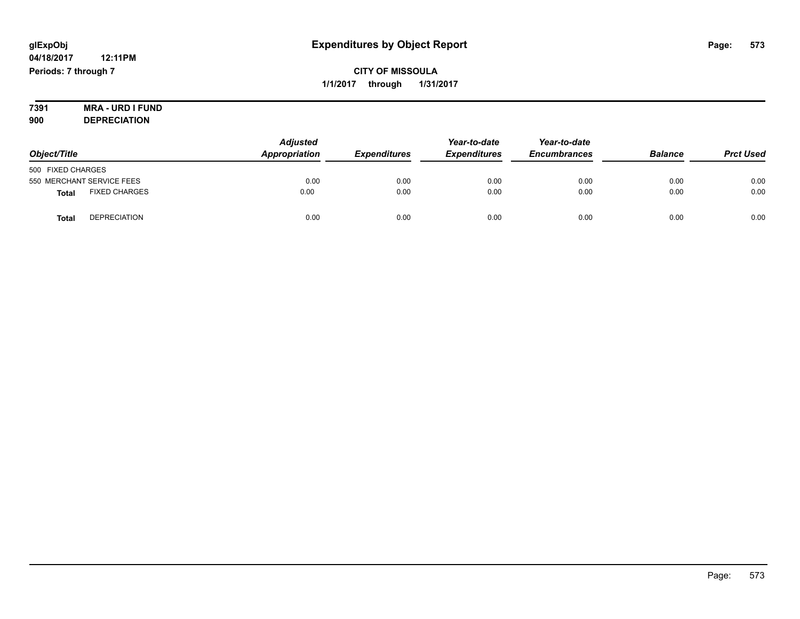**CITY OF MISSOULA 1/1/2017 through 1/31/2017**

#### **7391 MRA - URD I FUND 900 DEPRECIATION**

|                                      | <b>Adjusted</b>      |                     | Year-to-date        | Year-to-date        |                |                  |
|--------------------------------------|----------------------|---------------------|---------------------|---------------------|----------------|------------------|
| Object/Title                         | <b>Appropriation</b> | <b>Expenditures</b> | <b>Expenditures</b> | <b>Encumbrances</b> | <b>Balance</b> | <b>Prct Used</b> |
| 500 FIXED CHARGES                    |                      |                     |                     |                     |                |                  |
| 550 MERCHANT SERVICE FEES            | 0.00                 | 0.00                | 0.00                | 0.00                | 0.00           | 0.00             |
| <b>FIXED CHARGES</b><br><b>Total</b> | 0.00                 | 0.00                | 0.00                | 0.00                | 0.00           | 0.00             |
| <b>DEPRECIATION</b><br><b>Total</b>  | 0.00                 | 0.00                | 0.00                | 0.00                | 0.00           | 0.00             |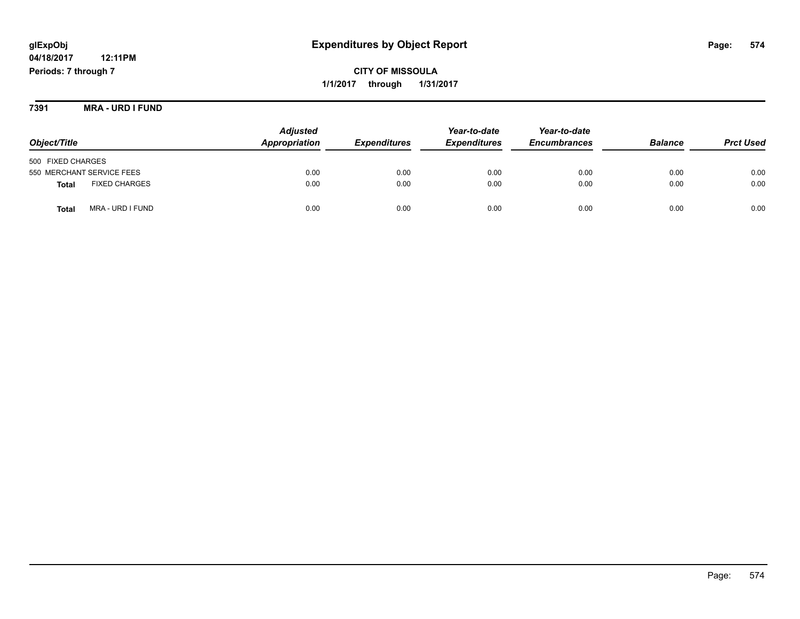## **glExpObj Expenditures by Object Report Page: 574**

**04/18/2017 12:11PM Periods: 7 through 7**

**CITY OF MISSOULA 1/1/2017 through 1/31/2017**

**7391 MRA - URD I FUND**

|                                      | <b>Adjusted</b> |                     | Year-to-date        | Year-to-date        | <b>Balance</b> | <b>Prct Used</b> |
|--------------------------------------|-----------------|---------------------|---------------------|---------------------|----------------|------------------|
| Object/Title                         | Appropriation   | <b>Expenditures</b> | <b>Expenditures</b> | <b>Encumbrances</b> |                |                  |
| 500 FIXED CHARGES                    |                 |                     |                     |                     |                |                  |
| 550 MERCHANT SERVICE FEES            | 0.00            | 0.00                | 0.00                | 0.00                | 0.00           | 0.00             |
| <b>FIXED CHARGES</b><br><b>Total</b> | 0.00            | 0.00                | 0.00                | 0.00                | 0.00           | 0.00             |
| MRA - URD I FUND<br>Total            | 0.00            | 0.00                | 0.00                | 0.00                | 0.00           | 0.00             |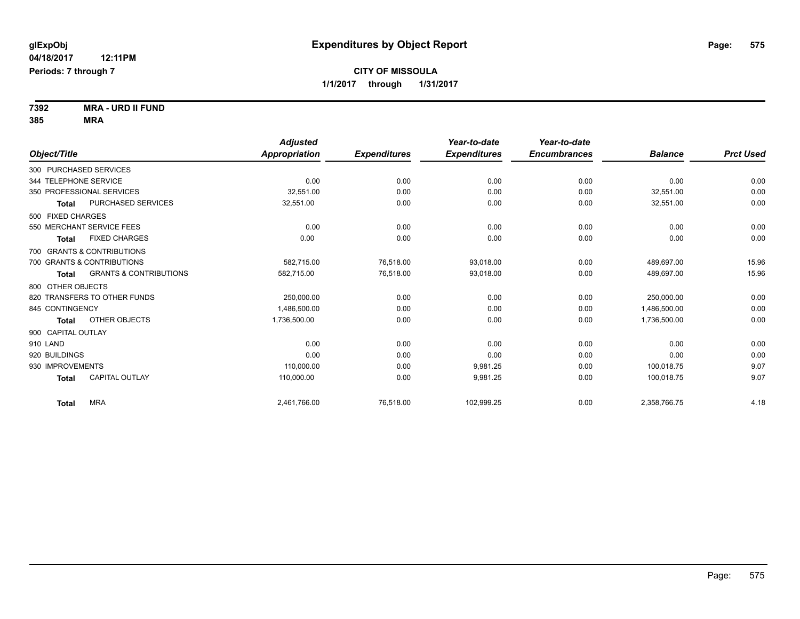**7392 MRA - URD II FUND 385 MRA**

| Object/Title                               | <b>Adjusted</b><br><b>Appropriation</b> | <b>Expenditures</b> | Year-to-date<br><b>Expenditures</b> | Year-to-date<br><b>Encumbrances</b> | <b>Balance</b> | <b>Prct Used</b> |
|--------------------------------------------|-----------------------------------------|---------------------|-------------------------------------|-------------------------------------|----------------|------------------|
| 300 PURCHASED SERVICES                     |                                         |                     |                                     |                                     |                |                  |
| 344 TELEPHONE SERVICE                      | 0.00                                    | 0.00                | 0.00                                | 0.00                                | 0.00           | 0.00             |
| 350 PROFESSIONAL SERVICES                  | 32.551.00                               | 0.00                | 0.00                                | 0.00                                | 32,551.00      | 0.00             |
| PURCHASED SERVICES<br>Total                | 32,551.00                               | 0.00                | 0.00                                | 0.00                                | 32,551.00      | 0.00             |
| 500 FIXED CHARGES                          |                                         |                     |                                     |                                     |                |                  |
| 550 MERCHANT SERVICE FEES                  | 0.00                                    | 0.00                | 0.00                                | 0.00                                | 0.00           | 0.00             |
| <b>FIXED CHARGES</b><br><b>Total</b>       | 0.00                                    | 0.00                | 0.00                                | 0.00                                | 0.00           | 0.00             |
| 700 GRANTS & CONTRIBUTIONS                 |                                         |                     |                                     |                                     |                |                  |
| 700 GRANTS & CONTRIBUTIONS                 | 582.715.00                              | 76.518.00           | 93.018.00                           | 0.00                                | 489.697.00     | 15.96            |
| <b>GRANTS &amp; CONTRIBUTIONS</b><br>Total | 582,715.00                              | 76,518.00           | 93,018.00                           | 0.00                                | 489,697.00     | 15.96            |
| 800 OTHER OBJECTS                          |                                         |                     |                                     |                                     |                |                  |
| 820 TRANSFERS TO OTHER FUNDS               | 250,000.00                              | 0.00                | 0.00                                | 0.00                                | 250.000.00     | 0.00             |
| 845 CONTINGENCY                            | 1,486,500.00                            | 0.00                | 0.00                                | 0.00                                | 1,486,500.00   | 0.00             |
| OTHER OBJECTS<br>Total                     | 1,736,500.00                            | 0.00                | 0.00                                | 0.00                                | 1,736,500.00   | 0.00             |
| 900 CAPITAL OUTLAY                         |                                         |                     |                                     |                                     |                |                  |
| 910 LAND                                   | 0.00                                    | 0.00                | 0.00                                | 0.00                                | 0.00           | 0.00             |
| 920 BUILDINGS                              | 0.00                                    | 0.00                | 0.00                                | 0.00                                | 0.00           | 0.00             |
| 930 IMPROVEMENTS                           | 110,000.00                              | 0.00                | 9.981.25                            | 0.00                                | 100.018.75     | 9.07             |
| <b>CAPITAL OUTLAY</b><br><b>Total</b>      | 110.000.00                              | 0.00                | 9.981.25                            | 0.00                                | 100.018.75     | 9.07             |
| <b>MRA</b><br>Total                        | 2,461,766.00                            | 76,518.00           | 102,999.25                          | 0.00                                | 2,358,766.75   | 4.18             |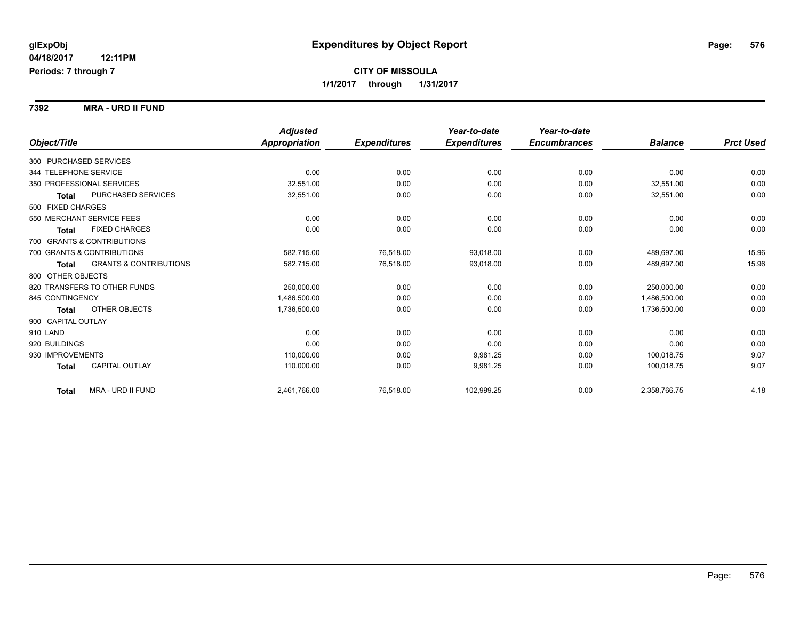#### **7392 MRA - URD II FUND**

|                                            | <b>Adjusted</b>      |                     | Year-to-date        | Year-to-date        |                |                  |
|--------------------------------------------|----------------------|---------------------|---------------------|---------------------|----------------|------------------|
| Object/Title                               | <b>Appropriation</b> | <b>Expenditures</b> | <b>Expenditures</b> | <b>Encumbrances</b> | <b>Balance</b> | <b>Prct Used</b> |
| 300 PURCHASED SERVICES                     |                      |                     |                     |                     |                |                  |
| 344 TELEPHONE SERVICE                      | 0.00                 | 0.00                | 0.00                | 0.00                | 0.00           | 0.00             |
| 350 PROFESSIONAL SERVICES                  | 32.551.00            | 0.00                | 0.00                | 0.00                | 32,551.00      | 0.00             |
| PURCHASED SERVICES<br><b>Total</b>         | 32,551.00            | 0.00                | 0.00                | 0.00                | 32,551.00      | 0.00             |
| 500 FIXED CHARGES                          |                      |                     |                     |                     |                |                  |
| 550 MERCHANT SERVICE FEES                  | 0.00                 | 0.00                | 0.00                | 0.00                | 0.00           | 0.00             |
| <b>FIXED CHARGES</b><br><b>Total</b>       | 0.00                 | 0.00                | 0.00                | 0.00                | 0.00           | 0.00             |
| 700 GRANTS & CONTRIBUTIONS                 |                      |                     |                     |                     |                |                  |
| 700 GRANTS & CONTRIBUTIONS                 | 582,715.00           | 76,518.00           | 93.018.00           | 0.00                | 489,697.00     | 15.96            |
| <b>GRANTS &amp; CONTRIBUTIONS</b><br>Total | 582,715.00           | 76,518.00           | 93.018.00           | 0.00                | 489,697.00     | 15.96            |
| 800 OTHER OBJECTS                          |                      |                     |                     |                     |                |                  |
| 820 TRANSFERS TO OTHER FUNDS               | 250,000.00           | 0.00                | 0.00                | 0.00                | 250,000.00     | 0.00             |
| 845 CONTINGENCY                            | 1,486,500.00         | 0.00                | 0.00                | 0.00                | 1,486,500.00   | 0.00             |
| OTHER OBJECTS<br>Total                     | 1,736,500.00         | 0.00                | 0.00                | 0.00                | 1,736,500.00   | 0.00             |
| 900 CAPITAL OUTLAY                         |                      |                     |                     |                     |                |                  |
| 910 LAND                                   | 0.00                 | 0.00                | 0.00                | 0.00                | 0.00           | 0.00             |
| 920 BUILDINGS                              | 0.00                 | 0.00                | 0.00                | 0.00                | 0.00           | 0.00             |
| 930 IMPROVEMENTS                           | 110,000.00           | 0.00                | 9,981.25            | 0.00                | 100,018.75     | 9.07             |
| <b>CAPITAL OUTLAY</b><br><b>Total</b>      | 110,000.00           | 0.00                | 9,981.25            | 0.00                | 100,018.75     | 9.07             |
| MRA - URD II FUND<br><b>Total</b>          | 2,461,766.00         | 76,518.00           | 102,999.25          | 0.00                | 2,358,766.75   | 4.18             |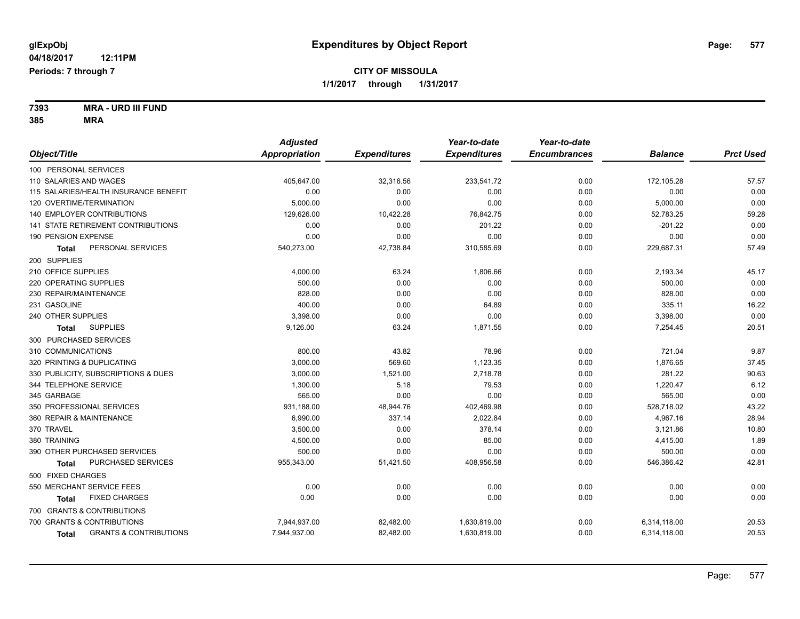**7393 MRA - URD III FUND 385 MRA**

|                                            | <b>Adjusted</b>      |                     | Year-to-date        | Year-to-date        |                |                  |
|--------------------------------------------|----------------------|---------------------|---------------------|---------------------|----------------|------------------|
| Object/Title                               | <b>Appropriation</b> | <b>Expenditures</b> | <b>Expenditures</b> | <b>Encumbrances</b> | <b>Balance</b> | <b>Prct Used</b> |
| 100 PERSONAL SERVICES                      |                      |                     |                     |                     |                |                  |
| 110 SALARIES AND WAGES                     | 405,647.00           | 32,316.56           | 233,541.72          | 0.00                | 172,105.28     | 57.57            |
| 115 SALARIES/HEALTH INSURANCE BENEFIT      | 0.00                 | 0.00                | 0.00                | 0.00                | 0.00           | 0.00             |
| 120 OVERTIME/TERMINATION                   | 5,000.00             | 0.00                | 0.00                | 0.00                | 5,000.00       | 0.00             |
| 140 EMPLOYER CONTRIBUTIONS                 | 129,626.00           | 10,422.28           | 76,842.75           | 0.00                | 52,783.25      | 59.28            |
| 141 STATE RETIREMENT CONTRIBUTIONS         | 0.00                 | 0.00                | 201.22              | 0.00                | $-201.22$      | 0.00             |
| 190 PENSION EXPENSE                        | 0.00                 | 0.00                | 0.00                | 0.00                | 0.00           | 0.00             |
| PERSONAL SERVICES<br>Total                 | 540,273.00           | 42,738.84           | 310,585.69          | 0.00                | 229,687.31     | 57.49            |
| 200 SUPPLIES                               |                      |                     |                     |                     |                |                  |
| 210 OFFICE SUPPLIES                        | 4,000.00             | 63.24               | 1,806.66            | 0.00                | 2,193.34       | 45.17            |
| 220 OPERATING SUPPLIES                     | 500.00               | 0.00                | 0.00                | 0.00                | 500.00         | 0.00             |
| 230 REPAIR/MAINTENANCE                     | 828.00               | 0.00                | 0.00                | 0.00                | 828.00         | 0.00             |
| 231 GASOLINE                               | 400.00               | 0.00                | 64.89               | 0.00                | 335.11         | 16.22            |
| 240 OTHER SUPPLIES                         | 3,398.00             | 0.00                | 0.00                | 0.00                | 3,398.00       | 0.00             |
| <b>SUPPLIES</b><br><b>Total</b>            | 9,126.00             | 63.24               | 1,871.55            | 0.00                | 7,254.45       | 20.51            |
| 300 PURCHASED SERVICES                     |                      |                     |                     |                     |                |                  |
| 310 COMMUNICATIONS                         | 800.00               | 43.82               | 78.96               | 0.00                | 721.04         | 9.87             |
| 320 PRINTING & DUPLICATING                 | 3,000.00             | 569.60              | 1,123.35            | 0.00                | 1,876.65       | 37.45            |
| 330 PUBLICITY, SUBSCRIPTIONS & DUES        | 3,000.00             | 1,521.00            | 2,718.78            | 0.00                | 281.22         | 90.63            |
| 344 TELEPHONE SERVICE                      | 1,300.00             | 5.18                | 79.53               | 0.00                | 1,220.47       | 6.12             |
| 345 GARBAGE                                | 565.00               | 0.00                | 0.00                | 0.00                | 565.00         | 0.00             |
| 350 PROFESSIONAL SERVICES                  | 931,188.00           | 48,944.76           | 402,469.98          | 0.00                | 528,718.02     | 43.22            |
| 360 REPAIR & MAINTENANCE                   | 6,990.00             | 337.14              | 2,022.84            | 0.00                | 4,967.16       | 28.94            |
| 370 TRAVEL                                 | 3,500.00             | 0.00                | 378.14              | 0.00                | 3,121.86       | 10.80            |
| 380 TRAINING                               | 4,500.00             | 0.00                | 85.00               | 0.00                | 4,415.00       | 1.89             |
| 390 OTHER PURCHASED SERVICES               | 500.00               | 0.00                | 0.00                | 0.00                | 500.00         | 0.00             |
| PURCHASED SERVICES<br><b>Total</b>         | 955,343.00           | 51,421.50           | 408,956.58          | 0.00                | 546,386.42     | 42.81            |
| 500 FIXED CHARGES                          |                      |                     |                     |                     |                |                  |
| 550 MERCHANT SERVICE FEES                  | 0.00                 | 0.00                | 0.00                | 0.00                | 0.00           | 0.00             |
| <b>FIXED CHARGES</b><br>Total              | 0.00                 | 0.00                | 0.00                | 0.00                | 0.00           | 0.00             |
| 700 GRANTS & CONTRIBUTIONS                 |                      |                     |                     |                     |                |                  |
| 700 GRANTS & CONTRIBUTIONS                 | 7,944,937.00         | 82,482.00           | 1,630,819.00        | 0.00                | 6,314,118.00   | 20.53            |
| <b>GRANTS &amp; CONTRIBUTIONS</b><br>Total | 7,944,937.00         | 82,482.00           | 1,630,819.00        | 0.00                | 6,314,118.00   | 20.53            |
|                                            |                      |                     |                     |                     |                |                  |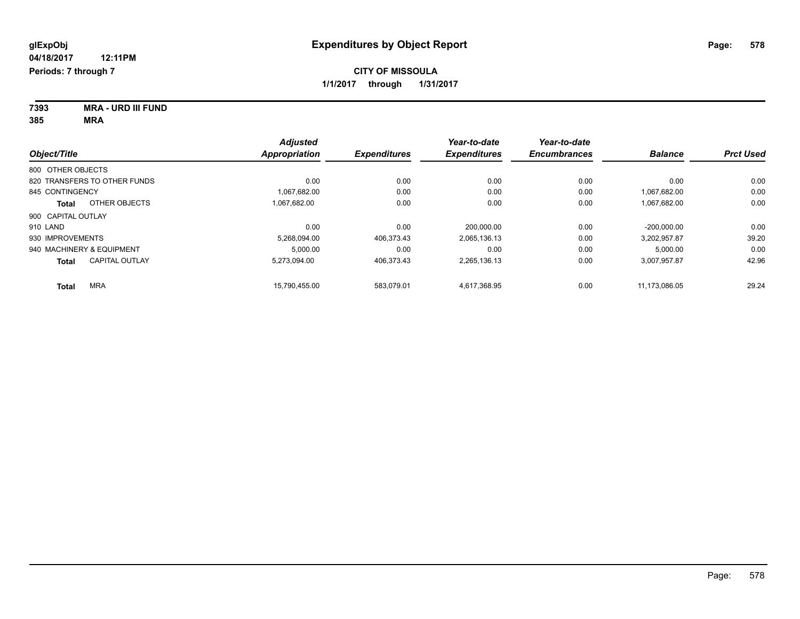| 7393 | <b>MRA - URD III FUND</b> |
|------|---------------------------|
| 385  | MRA                       |

|                                       | <b>Adjusted</b> |                     | Year-to-date        | Year-to-date        |                |                  |
|---------------------------------------|-----------------|---------------------|---------------------|---------------------|----------------|------------------|
| Object/Title                          | Appropriation   | <b>Expenditures</b> | <b>Expenditures</b> | <b>Encumbrances</b> | <b>Balance</b> | <b>Prct Used</b> |
| 800 OTHER OBJECTS                     |                 |                     |                     |                     |                |                  |
| 820 TRANSFERS TO OTHER FUNDS          | 0.00            | 0.00                | 0.00                | 0.00                | 0.00           | 0.00             |
| 845 CONTINGENCY                       | 1.067.682.00    | 0.00                | 0.00                | 0.00                | 1.067.682.00   | 0.00             |
| OTHER OBJECTS<br>Total                | 1.067.682.00    | 0.00                | 0.00                | 0.00                | 1,067,682.00   | 0.00             |
| 900 CAPITAL OUTLAY                    |                 |                     |                     |                     |                |                  |
| 910 LAND                              | 0.00            | 0.00                | 200.000.00          | 0.00                | $-200.000.00$  | 0.00             |
| 930 IMPROVEMENTS                      | 5,268,094.00    | 406,373.43          | 2,065,136.13        | 0.00                | 3,202,957.87   | 39.20            |
| 940 MACHINERY & EQUIPMENT             | 5,000.00        | 0.00                | 0.00                | 0.00                | 5,000.00       | 0.00             |
| <b>CAPITAL OUTLAY</b><br><b>Total</b> | 5.273.094.00    | 406,373.43          | 2,265,136.13        | 0.00                | 3,007,957.87   | 42.96            |
| <b>MRA</b><br><b>Total</b>            | 15.790.455.00   | 583.079.01          | 4.617.368.95        | 0.00                | 11.173.086.05  | 29.24            |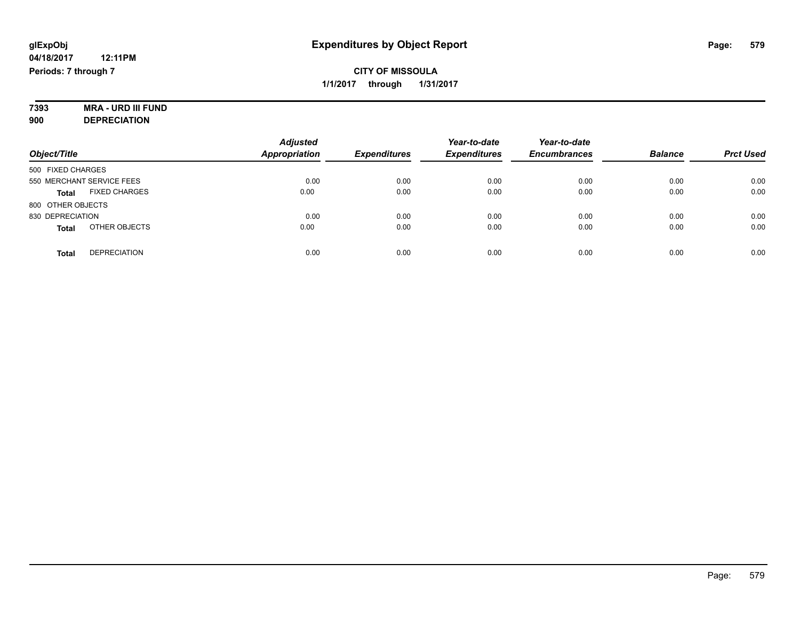# **7393 MRA - URD III FUND**

**900 DEPRECIATION**

| Object/Title                         | <b>Adjusted</b><br><b>Appropriation</b> | <b>Expenditures</b> | Year-to-date<br><b>Expenditures</b> | Year-to-date<br><b>Encumbrances</b> | <b>Balance</b> | <b>Prct Used</b> |
|--------------------------------------|-----------------------------------------|---------------------|-------------------------------------|-------------------------------------|----------------|------------------|
| 500 FIXED CHARGES                    |                                         |                     |                                     |                                     |                |                  |
| 550 MERCHANT SERVICE FEES            | 0.00                                    | 0.00                | 0.00                                | 0.00                                | 0.00           | 0.00             |
| <b>FIXED CHARGES</b><br><b>Total</b> | 0.00                                    | 0.00                | 0.00                                | 0.00                                | 0.00           | 0.00             |
| 800 OTHER OBJECTS                    |                                         |                     |                                     |                                     |                |                  |
| 830 DEPRECIATION                     | 0.00                                    | 0.00                | 0.00                                | 0.00                                | 0.00           | 0.00             |
| OTHER OBJECTS<br><b>Total</b>        | 0.00                                    | 0.00                | 0.00                                | 0.00                                | 0.00           | 0.00             |
| <b>DEPRECIATION</b><br><b>Total</b>  | 0.00                                    | 0.00                | 0.00                                | 0.00                                | 0.00           | 0.00             |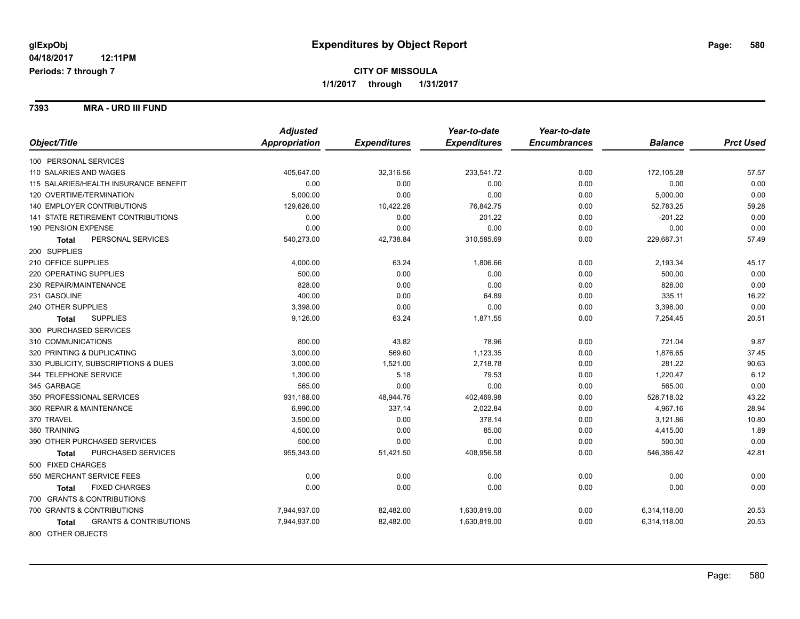**7393 MRA - URD III FUND**

| Object/Title<br>Appropriation<br><b>Expenditures</b><br><b>Expenditures</b><br><b>Encumbrances</b><br><b>Balance</b><br>100 PERSONAL SERVICES<br>110 SALARIES AND WAGES<br>405,647.00<br>32,316.56<br>233,541.72<br>0.00<br>172,105.28 | <b>Prct Used</b><br>57.57<br>0.00<br>0.00<br>59.28 |
|----------------------------------------------------------------------------------------------------------------------------------------------------------------------------------------------------------------------------------------|----------------------------------------------------|
|                                                                                                                                                                                                                                        |                                                    |
|                                                                                                                                                                                                                                        |                                                    |
|                                                                                                                                                                                                                                        |                                                    |
| 115 SALARIES/HEALTH INSURANCE BENEFIT<br>0.00<br>0.00<br>0.00<br>0.00<br>0.00                                                                                                                                                          |                                                    |
| 120 OVERTIME/TERMINATION<br>0.00<br>5,000.00<br>5,000.00<br>0.00<br>0.00                                                                                                                                                               |                                                    |
| <b>140 EMPLOYER CONTRIBUTIONS</b><br>129,626.00<br>52,783.25<br>10,422.28<br>76,842.75<br>0.00                                                                                                                                         |                                                    |
| 141 STATE RETIREMENT CONTRIBUTIONS<br>0.00<br>0.00<br>201.22<br>0.00<br>$-201.22$                                                                                                                                                      | 0.00                                               |
| 190 PENSION EXPENSE<br>0.00<br>0.00<br>0.00<br>0.00<br>0.00                                                                                                                                                                            | 0.00                                               |
| PERSONAL SERVICES<br>540,273.00<br>42,738.84<br>0.00<br>229,687.31<br>310,585.69<br><b>Total</b>                                                                                                                                       | 57.49                                              |
| 200 SUPPLIES                                                                                                                                                                                                                           |                                                    |
| 210 OFFICE SUPPLIES<br>4,000.00<br>63.24<br>0.00<br>2,193.34<br>1,806.66                                                                                                                                                               | 45.17                                              |
| 500.00<br>220 OPERATING SUPPLIES<br>0.00<br>0.00<br>500.00<br>0.00                                                                                                                                                                     | 0.00                                               |
| 828.00<br>230 REPAIR/MAINTENANCE<br>0.00<br>0.00<br>0.00<br>828.00                                                                                                                                                                     | 0.00                                               |
| 400.00<br>231 GASOLINE<br>0.00<br>335.11<br>64.89<br>0.00                                                                                                                                                                              | 16.22                                              |
| 240 OTHER SUPPLIES<br>3,398.00<br>0.00<br>0.00<br>0.00<br>3,398.00                                                                                                                                                                     | 0.00                                               |
| <b>SUPPLIES</b><br>9,126.00<br>63.24<br>0.00<br>7,254.45<br>1,871.55<br><b>Total</b>                                                                                                                                                   | 20.51                                              |
| 300 PURCHASED SERVICES                                                                                                                                                                                                                 |                                                    |
| 310 COMMUNICATIONS<br>800.00<br>43.82<br>78.96<br>721.04<br>0.00                                                                                                                                                                       | 9.87                                               |
| 3,000.00<br>569.60<br>1,123.35<br>1,876.65<br>320 PRINTING & DUPLICATING<br>0.00                                                                                                                                                       | 37.45                                              |
| 3,000.00<br>1,521.00<br>281.22<br>330 PUBLICITY, SUBSCRIPTIONS & DUES<br>2,718.78<br>0.00                                                                                                                                              | 90.63                                              |
| 344 TELEPHONE SERVICE<br>1,300.00<br>5.18<br>79.53<br>0.00<br>1,220.47                                                                                                                                                                 | 6.12                                               |
| 565.00<br>345 GARBAGE<br>0.00<br>0.00<br>0.00<br>565.00                                                                                                                                                                                | 0.00                                               |
| 350 PROFESSIONAL SERVICES<br>931,188.00<br>48,944.76<br>402,469.98<br>0.00<br>528,718.02                                                                                                                                               | 43.22                                              |
| 360 REPAIR & MAINTENANCE<br>6,990.00<br>337.14<br>2,022.84<br>4,967.16<br>0.00                                                                                                                                                         | 28.94                                              |
| 370 TRAVEL<br>3,500.00<br>0.00<br>378.14<br>0.00<br>3,121.86                                                                                                                                                                           | 10.80                                              |
| 380 TRAINING<br>4,500.00<br>0.00<br>85.00<br>0.00<br>4,415.00                                                                                                                                                                          | 1.89                                               |
| 500.00<br>0.00<br>0.00<br>500.00<br>390 OTHER PURCHASED SERVICES<br>0.00                                                                                                                                                               | 0.00                                               |
| PURCHASED SERVICES<br>955,343.00<br>51,421.50<br>408,956.58<br>0.00<br>546,386.42<br>Total                                                                                                                                             | 42.81                                              |
| 500 FIXED CHARGES                                                                                                                                                                                                                      |                                                    |
| 550 MERCHANT SERVICE FEES<br>0.00<br>0.00<br>0.00<br>0.00<br>0.00                                                                                                                                                                      | 0.00                                               |
| <b>FIXED CHARGES</b><br>0.00<br>0.00<br>0.00<br>0.00<br>0.00<br><b>Total</b>                                                                                                                                                           | 0.00                                               |
| 700 GRANTS & CONTRIBUTIONS                                                                                                                                                                                                             |                                                    |
| 700 GRANTS & CONTRIBUTIONS<br>7,944,937.00<br>82,482.00<br>1,630,819.00<br>0.00<br>6,314,118.00                                                                                                                                        | 20.53                                              |
| <b>GRANTS &amp; CONTRIBUTIONS</b><br>7,944,937.00<br>82,482.00<br>1,630,819.00<br>0.00<br>6,314,118.00<br>Total                                                                                                                        | 20.53                                              |
| 800 OTHER OBJECTS                                                                                                                                                                                                                      |                                                    |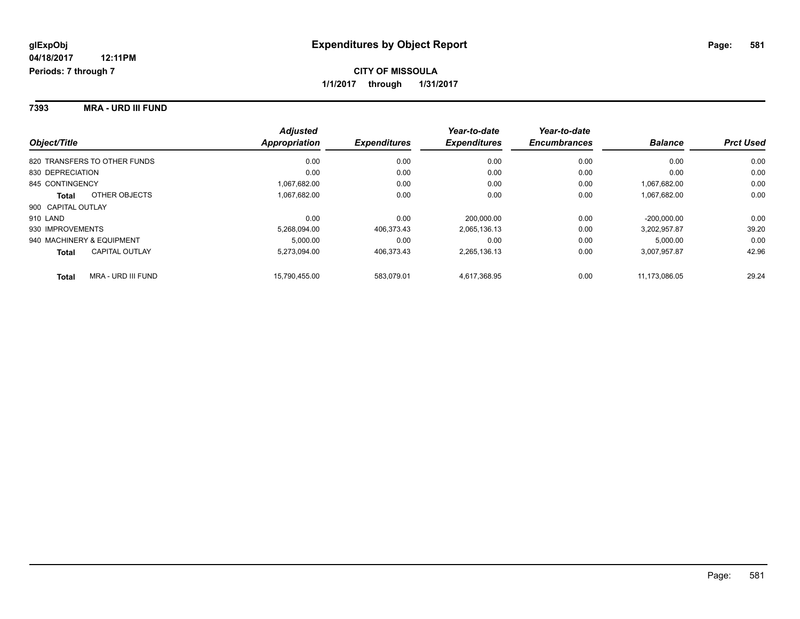**7393 MRA - URD III FUND**

| Object/Title                 |                       | <b>Adjusted</b><br>Appropriation | <b>Expenditures</b> | Year-to-date<br><b>Expenditures</b> | Year-to-date<br><b>Encumbrances</b> | <b>Balance</b> | <b>Prct Used</b> |
|------------------------------|-----------------------|----------------------------------|---------------------|-------------------------------------|-------------------------------------|----------------|------------------|
|                              |                       |                                  |                     |                                     |                                     |                |                  |
| 820 TRANSFERS TO OTHER FUNDS |                       | 0.00                             | 0.00                | 0.00                                | 0.00                                | 0.00           | 0.00             |
| 830 DEPRECIATION             |                       | 0.00                             | 0.00                | 0.00                                | 0.00                                | 0.00           | 0.00             |
| 845 CONTINGENCY              |                       | 1,067,682.00                     | 0.00                | 0.00                                | 0.00                                | 1,067,682.00   | 0.00             |
| <b>Total</b>                 | OTHER OBJECTS         | 1,067,682.00                     | 0.00                | 0.00                                | 0.00                                | 1,067,682.00   | 0.00             |
| 900 CAPITAL OUTLAY           |                       |                                  |                     |                                     |                                     |                |                  |
| 910 LAND                     |                       | 0.00                             | 0.00                | 200.000.00                          | 0.00                                | $-200.000.00$  | 0.00             |
| 930 IMPROVEMENTS             |                       | 5.268.094.00                     | 406.373.43          | 2,065,136.13                        | 0.00                                | 3,202,957.87   | 39.20            |
| 940 MACHINERY & EQUIPMENT    |                       | 5.000.00                         | 0.00                | 0.00                                | 0.00                                | 5.000.00       | 0.00             |
| <b>Total</b>                 | <b>CAPITAL OUTLAY</b> | 5.273.094.00                     | 406.373.43          | 2,265,136.13                        | 0.00                                | 3,007,957.87   | 42.96            |
| <b>Total</b>                 | MRA - URD III FUND    | 15,790,455.00                    | 583.079.01          | 4,617,368.95                        | 0.00                                | 11,173,086.05  | 29.24            |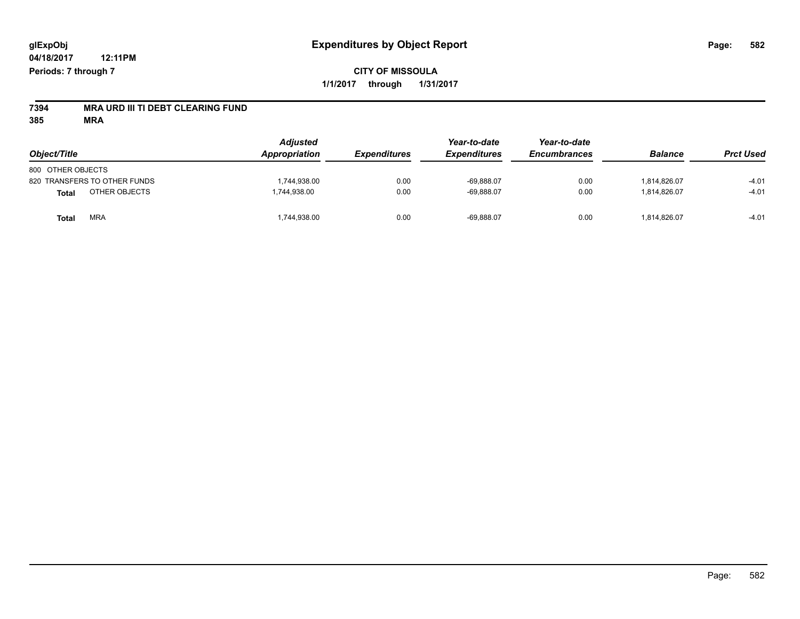# **7394 MRA URD III TI DEBT CLEARING FUND**

**385 MRA**

| Object/Title                  | <b>Adjusted</b><br>Appropriation | <b>Expenditures</b> | Year-to-date<br><b>Expenditures</b> | Year-to-date<br><b>Encumbrances</b> | <b>Balance</b> | <b>Prct Used</b> |
|-------------------------------|----------------------------------|---------------------|-------------------------------------|-------------------------------------|----------------|------------------|
| 800 OTHER OBJECTS             |                                  |                     |                                     |                                     |                |                  |
| 820 TRANSFERS TO OTHER FUNDS  | 1,744,938.00                     | 0.00                | $-69,888.07$                        | 0.00                                | 1.814.826.07   | $-4.01$          |
| OTHER OBJECTS<br><b>Total</b> | 1,744,938.00                     | 0.00                | $-69,888.07$                        | 0.00                                | 1.814.826.07   | $-4.01$          |
| MRA<br>Total                  | 1,744,938.00                     | 0.00                | $-69,888.07$                        | 0.00                                | 1,814,826.07   | $-4.01$          |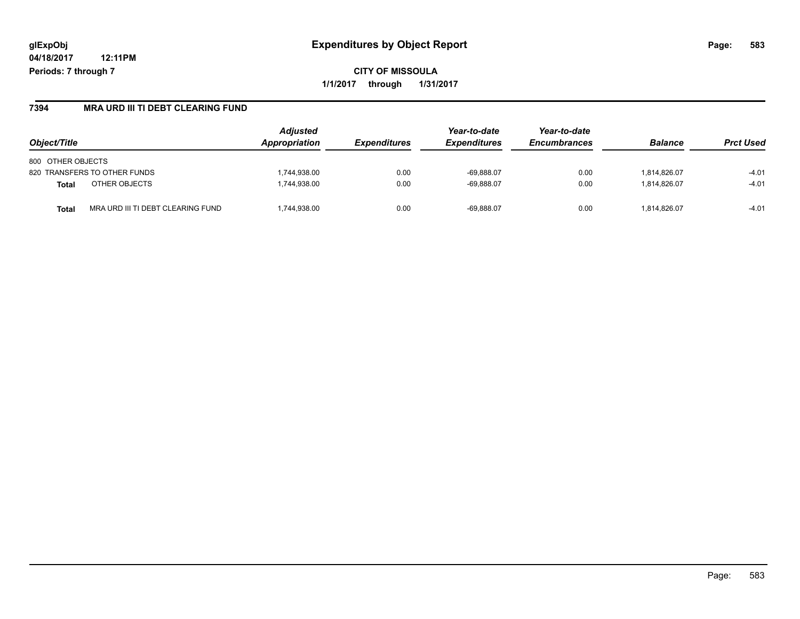**CITY OF MISSOULA 1/1/2017 through 1/31/2017**

#### **7394 MRA URD III TI DEBT CLEARING FUND**

| Object/Title                               | <b>Adjusted</b><br>Appropriation | <b>Expenditures</b> | Year-to-date<br><b>Expenditures</b> | Year-to-date<br><b>Encumbrances</b> | <b>Balance</b> | <b>Prct Used</b> |
|--------------------------------------------|----------------------------------|---------------------|-------------------------------------|-------------------------------------|----------------|------------------|
| 800 OTHER OBJECTS                          |                                  |                     |                                     |                                     |                |                  |
| 820 TRANSFERS TO OTHER FUNDS               | .744.938.00                      | 0.00                | $-69.888.07$                        | 0.00                                | 1.814.826.07   | $-4.01$          |
| OTHER OBJECTS<br><b>Total</b>              | ,744,938.00                      | 0.00                | $-69.888.07$                        | 0.00                                | 1.814.826.07   | $-4.01$          |
| MRA URD III TI DEBT CLEARING FUND<br>Total | .744.938.00                      | 0.00                | $-69.888.07$                        | 0.00                                | 1.814.826.07   | $-4.01$          |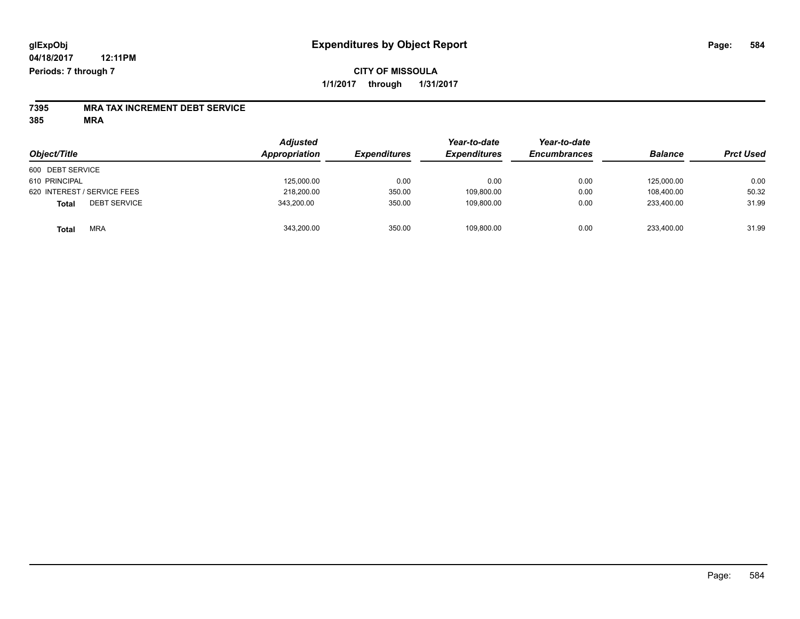### **CITY OF MISSOULA 1/1/2017 through 1/31/2017**

# **7395 MRA TAX INCREMENT DEBT SERVICE**

**385 MRA**

| Object/Title                        | <b>Adjusted</b><br>Appropriation | <b>Expenditures</b> | Year-to-date<br><b>Expenditures</b> | Year-to-date<br><b>Encumbrances</b> | <b>Balance</b> | <b>Prct Used</b> |
|-------------------------------------|----------------------------------|---------------------|-------------------------------------|-------------------------------------|----------------|------------------|
| 600 DEBT SERVICE                    |                                  |                     |                                     |                                     |                |                  |
| 610 PRINCIPAL                       | 125,000.00                       | 0.00                | 0.00                                | 0.00                                | 125.000.00     | 0.00             |
| 620 INTEREST / SERVICE FEES         | 218,200.00                       | 350.00              | 109,800.00                          | 0.00                                | 108.400.00     | 50.32            |
| <b>DEBT SERVICE</b><br><b>Total</b> | 343,200.00                       | 350.00              | 109.800.00                          | 0.00                                | 233.400.00     | 31.99            |
| <b>MRA</b><br><b>Total</b>          | 343,200.00                       | 350.00              | 109,800.00                          | 0.00                                | 233,400.00     | 31.99            |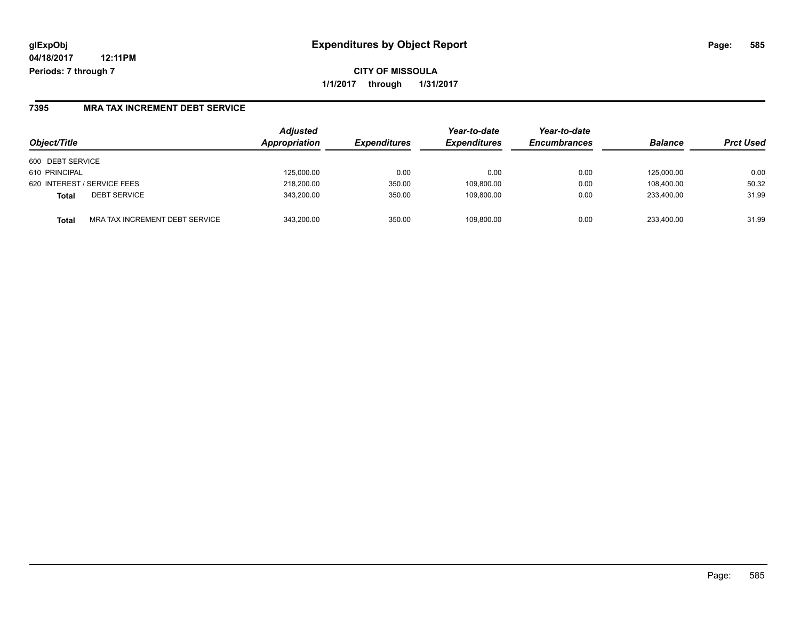**CITY OF MISSOULA 1/1/2017 through 1/31/2017**

#### **7395 MRA TAX INCREMENT DEBT SERVICE**

| Object/Title                            | <b>Adjusted</b><br>Appropriation | <b>Expenditures</b> | Year-to-date<br><b>Expenditures</b> | Year-to-date<br><b>Encumbrances</b> | <b>Balance</b> | <b>Prct Used</b> |
|-----------------------------------------|----------------------------------|---------------------|-------------------------------------|-------------------------------------|----------------|------------------|
| 600 DEBT SERVICE                        |                                  |                     |                                     |                                     |                |                  |
| 610 PRINCIPAL                           | 125.000.00                       | 0.00                | 0.00                                | 0.00                                | 125.000.00     | 0.00             |
| 620 INTEREST / SERVICE FEES             | 218,200.00                       | 350.00              | 109,800.00                          | 0.00                                | 108,400.00     | 50.32            |
| <b>DEBT SERVICE</b><br><b>Total</b>     | 343.200.00                       | 350.00              | 109.800.00                          | 0.00                                | 233.400.00     | 31.99            |
| MRA TAX INCREMENT DEBT SERVICE<br>Total | 343.200.00                       | 350.00              | 109.800.00                          | 0.00                                | 233.400.00     | 31.99            |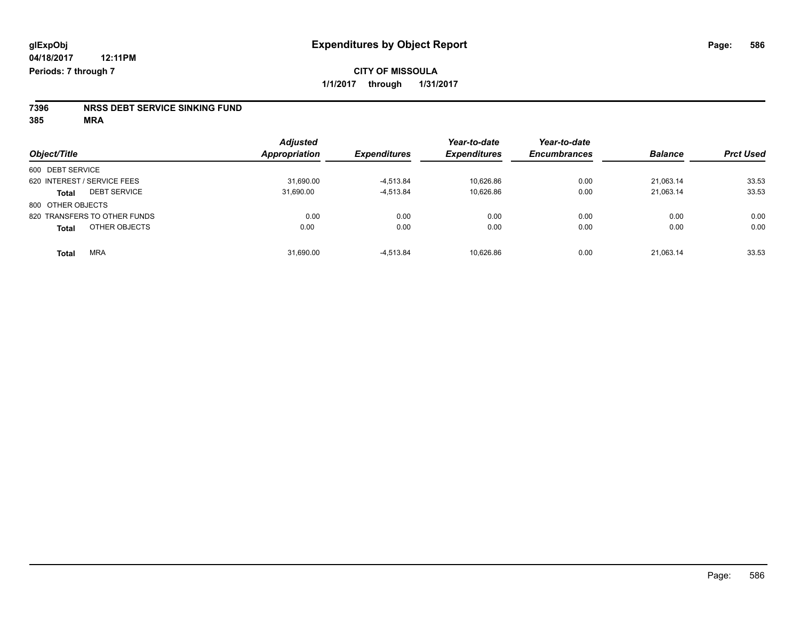# **7396 NRSS DEBT SERVICE SINKING FUND**

**385 MRA**

|                                     | <b>Adjusted</b><br><b>Appropriation</b> |                     | Year-to-date        | Year-to-date<br><b>Encumbrances</b> | <b>Balance</b> | <b>Prct Used</b> |
|-------------------------------------|-----------------------------------------|---------------------|---------------------|-------------------------------------|----------------|------------------|
| Object/Title                        |                                         | <b>Expenditures</b> | <b>Expenditures</b> |                                     |                |                  |
| 600 DEBT SERVICE                    |                                         |                     |                     |                                     |                |                  |
| 620 INTEREST / SERVICE FEES         | 31,690.00                               | $-4.513.84$         | 10.626.86           | 0.00                                | 21.063.14      | 33.53            |
| <b>DEBT SERVICE</b><br><b>Total</b> | 31,690.00                               | $-4,513.84$         | 10,626.86           | 0.00                                | 21,063.14      | 33.53            |
| 800 OTHER OBJECTS                   |                                         |                     |                     |                                     |                |                  |
| 820 TRANSFERS TO OTHER FUNDS        | 0.00                                    | 0.00                | 0.00                | 0.00                                | 0.00           | 0.00             |
| OTHER OBJECTS<br><b>Total</b>       | 0.00                                    | 0.00                | 0.00                | 0.00                                | 0.00           | 0.00             |
| <b>MRA</b><br><b>Total</b>          | 31,690.00                               | $-4.513.84$         | 10.626.86           | 0.00                                | 21.063.14      | 33.53            |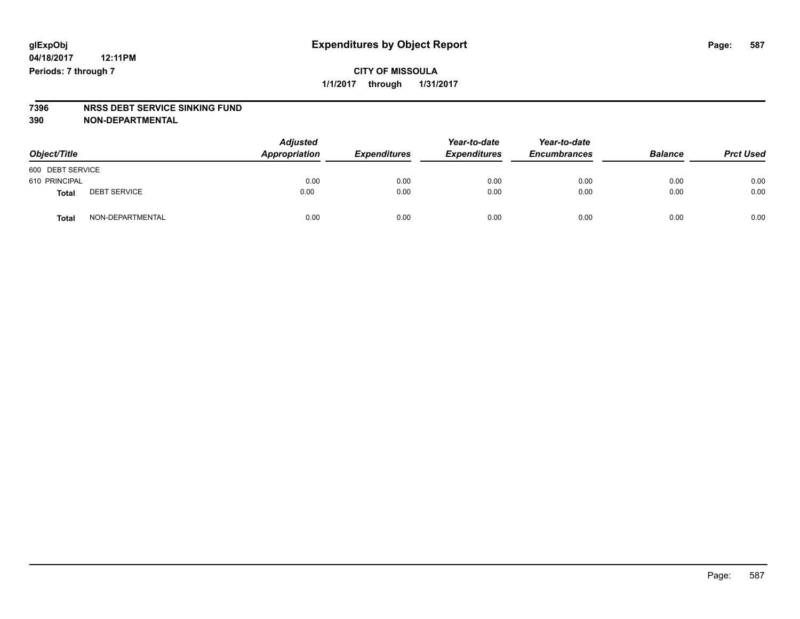### **CITY OF MISSOULA 1/1/2017 through 1/31/2017**

## **7396 NRSS DEBT SERVICE SINKING FUND**

**390 NON-DEPARTMENTAL**

| Object/Title     |                     | <b>Adjusted</b><br>Appropriation | <b>Expenditures</b> | Year-to-date<br><b>Expenditures</b> | Year-to-date<br><b>Encumbrances</b> | <b>Balance</b> | <b>Prct Used</b> |
|------------------|---------------------|----------------------------------|---------------------|-------------------------------------|-------------------------------------|----------------|------------------|
| 600 DEBT SERVICE |                     |                                  |                     |                                     |                                     |                |                  |
| 610 PRINCIPAL    |                     | 0.00                             | 0.00                | 0.00                                | 0.00                                | 0.00           | 0.00             |
| Total            | <b>DEBT SERVICE</b> | 0.00                             | 0.00                | 0.00                                | 0.00                                | 0.00           | 0.00             |
| Total            | NON-DEPARTMENTAL    | 0.00                             | 0.00                | 0.00                                | 0.00                                | 0.00           | 0.00             |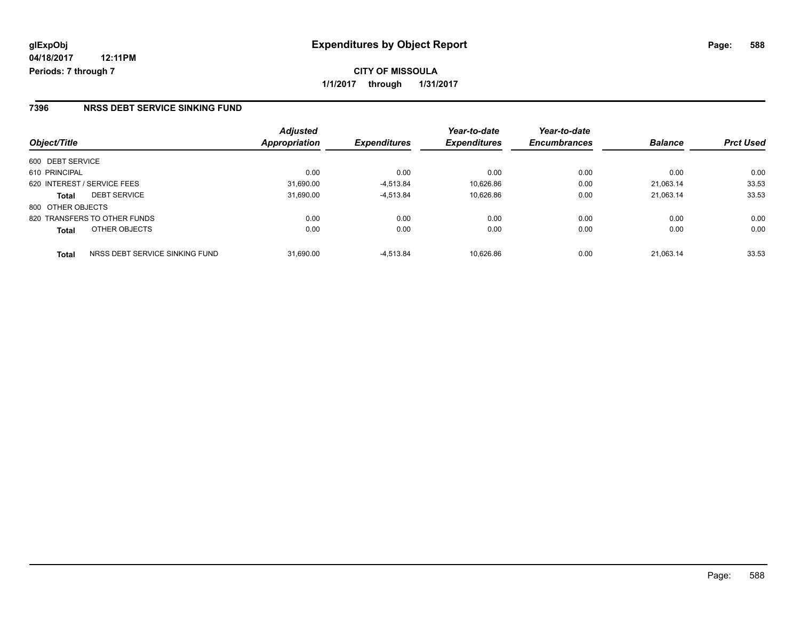**1/1/2017 through 1/31/2017**

#### **7396 NRSS DEBT SERVICE SINKING FUND**

| Object/Title                |                                | <b>Adjusted</b><br>Appropriation | <b>Expenditures</b> | Year-to-date<br><b>Expenditures</b> | Year-to-date<br><b>Encumbrances</b> | <b>Balance</b> | <b>Prct Used</b> |
|-----------------------------|--------------------------------|----------------------------------|---------------------|-------------------------------------|-------------------------------------|----------------|------------------|
| 600 DEBT SERVICE            |                                |                                  |                     |                                     |                                     |                |                  |
| 610 PRINCIPAL               |                                | 0.00                             | 0.00                | 0.00                                | 0.00                                | 0.00           | 0.00             |
| 620 INTEREST / SERVICE FEES |                                | 31,690.00                        | $-4,513.84$         | 10,626.86                           | 0.00                                | 21.063.14      | 33.53            |
| <b>Total</b>                | <b>DEBT SERVICE</b>            | 31,690.00                        | $-4,513.84$         | 10.626.86                           | 0.00                                | 21,063.14      | 33.53            |
| 800 OTHER OBJECTS           |                                |                                  |                     |                                     |                                     |                |                  |
|                             | 820 TRANSFERS TO OTHER FUNDS   | 0.00                             | 0.00                | 0.00                                | 0.00                                | 0.00           | 0.00             |
| <b>Total</b>                | OTHER OBJECTS                  | 0.00                             | 0.00                | 0.00                                | 0.00                                | 0.00           | 0.00             |
| <b>Total</b>                | NRSS DEBT SERVICE SINKING FUND | 31.690.00                        | $-4.513.84$         | 10.626.86                           | 0.00                                | 21.063.14      | 33.53            |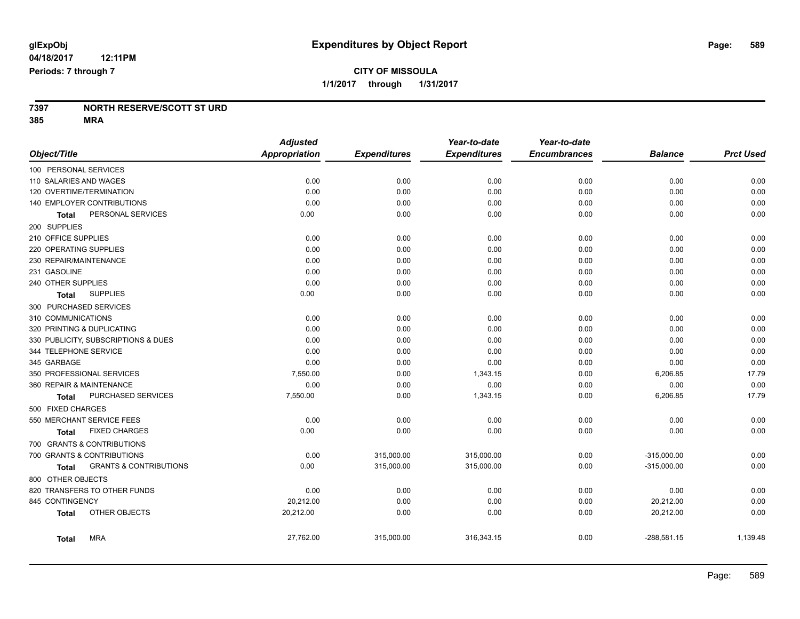#### **7397 NORTH RESERVE/SCOTT ST URD 385 MRA**

|                        |                                     | <b>Adjusted</b> |                     | Year-to-date        | Year-to-date        |                |                  |
|------------------------|-------------------------------------|-----------------|---------------------|---------------------|---------------------|----------------|------------------|
| Object/Title           |                                     | Appropriation   | <b>Expenditures</b> | <b>Expenditures</b> | <b>Encumbrances</b> | <b>Balance</b> | <b>Prct Used</b> |
| 100 PERSONAL SERVICES  |                                     |                 |                     |                     |                     |                |                  |
| 110 SALARIES AND WAGES |                                     | 0.00            | 0.00                | 0.00                | 0.00                | 0.00           | 0.00             |
|                        | 120 OVERTIME/TERMINATION            | 0.00            | 0.00                | 0.00                | 0.00                | 0.00           | 0.00             |
|                        | 140 EMPLOYER CONTRIBUTIONS          | 0.00            | 0.00                | 0.00                | 0.00                | 0.00           | 0.00             |
| Total                  | PERSONAL SERVICES                   | 0.00            | 0.00                | 0.00                | 0.00                | 0.00           | 0.00             |
| 200 SUPPLIES           |                                     |                 |                     |                     |                     |                |                  |
| 210 OFFICE SUPPLIES    |                                     | 0.00            | 0.00                | 0.00                | 0.00                | 0.00           | 0.00             |
| 220 OPERATING SUPPLIES |                                     | 0.00            | 0.00                | 0.00                | 0.00                | 0.00           | 0.00             |
| 230 REPAIR/MAINTENANCE |                                     | 0.00            | 0.00                | 0.00                | 0.00                | 0.00           | 0.00             |
| 231 GASOLINE           |                                     | 0.00            | 0.00                | 0.00                | 0.00                | 0.00           | 0.00             |
| 240 OTHER SUPPLIES     |                                     | 0.00            | 0.00                | 0.00                | 0.00                | 0.00           | 0.00             |
| Total                  | <b>SUPPLIES</b>                     | 0.00            | 0.00                | 0.00                | 0.00                | 0.00           | 0.00             |
| 300 PURCHASED SERVICES |                                     |                 |                     |                     |                     |                |                  |
| 310 COMMUNICATIONS     |                                     | 0.00            | 0.00                | 0.00                | 0.00                | 0.00           | 0.00             |
|                        | 320 PRINTING & DUPLICATING          | 0.00            | 0.00                | 0.00                | 0.00                | 0.00           | 0.00             |
|                        | 330 PUBLICITY, SUBSCRIPTIONS & DUES | 0.00            | 0.00                | 0.00                | 0.00                | 0.00           | 0.00             |
| 344 TELEPHONE SERVICE  |                                     | 0.00            | 0.00                | 0.00                | 0.00                | 0.00           | 0.00             |
| 345 GARBAGE            |                                     | 0.00            | 0.00                | 0.00                | 0.00                | 0.00           | 0.00             |
|                        | 350 PROFESSIONAL SERVICES           | 7,550.00        | 0.00                | 1,343.15            | 0.00                | 6,206.85       | 17.79            |
|                        | 360 REPAIR & MAINTENANCE            | 0.00            | 0.00                | 0.00                | 0.00                | 0.00           | 0.00             |
| Total                  | PURCHASED SERVICES                  | 7,550.00        | 0.00                | 1,343.15            | 0.00                | 6,206.85       | 17.79            |
| 500 FIXED CHARGES      |                                     |                 |                     |                     |                     |                |                  |
|                        | 550 MERCHANT SERVICE FEES           | 0.00            | 0.00                | 0.00                | 0.00                | 0.00           | 0.00             |
| Total                  | <b>FIXED CHARGES</b>                | 0.00            | 0.00                | 0.00                | 0.00                | 0.00           | 0.00             |
|                        | 700 GRANTS & CONTRIBUTIONS          |                 |                     |                     |                     |                |                  |
|                        | 700 GRANTS & CONTRIBUTIONS          | 0.00            | 315,000.00          | 315,000.00          | 0.00                | $-315,000.00$  | 0.00             |
| <b>Total</b>           | <b>GRANTS &amp; CONTRIBUTIONS</b>   | 0.00            | 315,000.00          | 315,000.00          | 0.00                | $-315,000.00$  | 0.00             |
| 800 OTHER OBJECTS      |                                     |                 |                     |                     |                     |                |                  |
|                        | 820 TRANSFERS TO OTHER FUNDS        | 0.00            | 0.00                | 0.00                | 0.00                | 0.00           | 0.00             |
| 845 CONTINGENCY        |                                     | 20,212.00       | 0.00                | 0.00                | 0.00                | 20,212.00      | 0.00             |
| <b>Total</b>           | OTHER OBJECTS                       | 20,212.00       | 0.00                | 0.00                | 0.00                | 20,212.00      | 0.00             |
| <b>Total</b>           | <b>MRA</b>                          | 27,762.00       | 315,000.00          | 316,343.15          | 0.00                | $-288,581.15$  | 1,139.48         |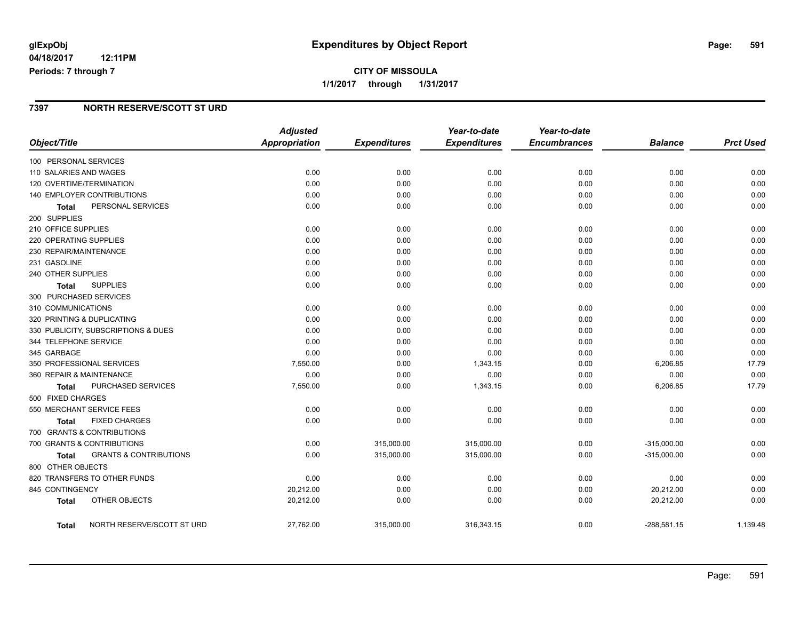## **CITY OF MISSOULA 1/1/2017 through 1/31/2017**

#### **7397 NORTH RESERVE/SCOTT ST URD**

|                                            | <b>Adjusted</b>      |                     | Year-to-date        | Year-to-date        |                |                  |
|--------------------------------------------|----------------------|---------------------|---------------------|---------------------|----------------|------------------|
| Object/Title                               | <b>Appropriation</b> | <b>Expenditures</b> | <b>Expenditures</b> | <b>Encumbrances</b> | <b>Balance</b> | <b>Prct Used</b> |
| 100 PERSONAL SERVICES                      |                      |                     |                     |                     |                |                  |
| 110 SALARIES AND WAGES                     | 0.00                 | 0.00                | 0.00                | 0.00                | 0.00           | 0.00             |
| 120 OVERTIME/TERMINATION                   | 0.00                 | 0.00                | 0.00                | 0.00                | 0.00           | 0.00             |
| <b>140 EMPLOYER CONTRIBUTIONS</b>          | 0.00                 | 0.00                | 0.00                | 0.00                | 0.00           | 0.00             |
| PERSONAL SERVICES<br>Total                 | 0.00                 | 0.00                | 0.00                | 0.00                | 0.00           | 0.00             |
| 200 SUPPLIES                               |                      |                     |                     |                     |                |                  |
| 210 OFFICE SUPPLIES                        | 0.00                 | 0.00                | 0.00                | 0.00                | 0.00           | 0.00             |
| 220 OPERATING SUPPLIES                     | 0.00                 | 0.00                | 0.00                | 0.00                | 0.00           | 0.00             |
| 230 REPAIR/MAINTENANCE                     | 0.00                 | 0.00                | 0.00                | 0.00                | 0.00           | 0.00             |
| 231 GASOLINE                               | 0.00                 | 0.00                | 0.00                | 0.00                | 0.00           | 0.00             |
| 240 OTHER SUPPLIES                         | 0.00                 | 0.00                | 0.00                | 0.00                | 0.00           | 0.00             |
| <b>SUPPLIES</b><br>Total                   | 0.00                 | 0.00                | 0.00                | 0.00                | 0.00           | 0.00             |
| 300 PURCHASED SERVICES                     |                      |                     |                     |                     |                |                  |
| 310 COMMUNICATIONS                         | 0.00                 | 0.00                | 0.00                | 0.00                | 0.00           | 0.00             |
| 320 PRINTING & DUPLICATING                 | 0.00                 | 0.00                | 0.00                | 0.00                | 0.00           | 0.00             |
| 330 PUBLICITY, SUBSCRIPTIONS & DUES        | 0.00                 | 0.00                | 0.00                | 0.00                | 0.00           | 0.00             |
| 344 TELEPHONE SERVICE                      | 0.00                 | 0.00                | 0.00                | 0.00                | 0.00           | 0.00             |
| 345 GARBAGE                                | 0.00                 | 0.00                | 0.00                | 0.00                | 0.00           | 0.00             |
| 350 PROFESSIONAL SERVICES                  | 7,550.00             | 0.00                | 1,343.15            | 0.00                | 6,206.85       | 17.79            |
| 360 REPAIR & MAINTENANCE                   | 0.00                 | 0.00                | 0.00                | 0.00                | 0.00           | 0.00             |
| PURCHASED SERVICES<br><b>Total</b>         | 7,550.00             | 0.00                | 1,343.15            | 0.00                | 6,206.85       | 17.79            |
| 500 FIXED CHARGES                          |                      |                     |                     |                     |                |                  |
| 550 MERCHANT SERVICE FEES                  | 0.00                 | 0.00                | 0.00                | 0.00                | 0.00           | 0.00             |
| <b>FIXED CHARGES</b><br><b>Total</b>       | 0.00                 | 0.00                | 0.00                | 0.00                | 0.00           | 0.00             |
| 700 GRANTS & CONTRIBUTIONS                 |                      |                     |                     |                     |                |                  |
| 700 GRANTS & CONTRIBUTIONS                 | 0.00                 | 315,000.00          | 315,000.00          | 0.00                | $-315,000.00$  | 0.00             |
| <b>GRANTS &amp; CONTRIBUTIONS</b><br>Total | 0.00                 | 315,000.00          | 315,000.00          | 0.00                | $-315,000.00$  | 0.00             |
| 800 OTHER OBJECTS                          |                      |                     |                     |                     |                |                  |
| 820 TRANSFERS TO OTHER FUNDS               | 0.00                 | 0.00                | 0.00                | 0.00                | 0.00           | 0.00             |
| 845 CONTINGENCY                            | 20,212.00            | 0.00                | 0.00                | 0.00                | 20,212.00      | 0.00             |
| OTHER OBJECTS<br><b>Total</b>              | 20,212.00            | 0.00                | 0.00                | 0.00                | 20,212.00      | 0.00             |
| NORTH RESERVE/SCOTT ST URD<br>Total        | 27,762.00            | 315,000.00          | 316,343.15          | 0.00                | $-288,581.15$  | 1,139.48         |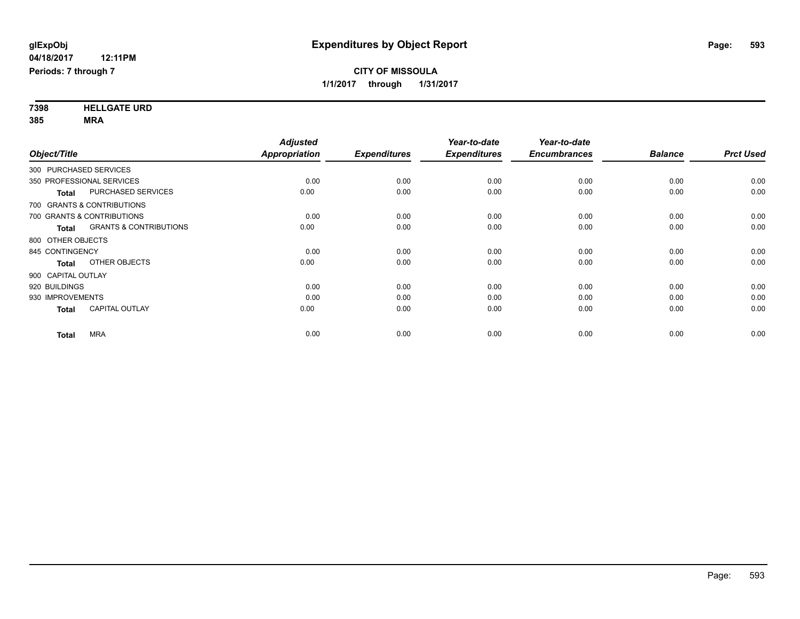**7398 HELLGATE URD 385 MRA**

|                                                   | <b>Adjusted</b>      |                     | Year-to-date        | Year-to-date        |                |                  |
|---------------------------------------------------|----------------------|---------------------|---------------------|---------------------|----------------|------------------|
| Object/Title                                      | <b>Appropriation</b> | <b>Expenditures</b> | <b>Expenditures</b> | <b>Encumbrances</b> | <b>Balance</b> | <b>Prct Used</b> |
| 300 PURCHASED SERVICES                            |                      |                     |                     |                     |                |                  |
| 350 PROFESSIONAL SERVICES                         | 0.00                 | 0.00                | 0.00                | 0.00                | 0.00           | 0.00             |
| PURCHASED SERVICES<br><b>Total</b>                | 0.00                 | 0.00                | 0.00                | 0.00                | 0.00           | 0.00             |
| 700 GRANTS & CONTRIBUTIONS                        |                      |                     |                     |                     |                |                  |
| 700 GRANTS & CONTRIBUTIONS                        | 0.00                 | 0.00                | 0.00                | 0.00                | 0.00           | 0.00             |
| <b>GRANTS &amp; CONTRIBUTIONS</b><br><b>Total</b> | 0.00                 | 0.00                | 0.00                | 0.00                | 0.00           | 0.00             |
| 800 OTHER OBJECTS                                 |                      |                     |                     |                     |                |                  |
| 845 CONTINGENCY                                   | 0.00                 | 0.00                | 0.00                | 0.00                | 0.00           | 0.00             |
| OTHER OBJECTS<br><b>Total</b>                     | 0.00                 | 0.00                | 0.00                | 0.00                | 0.00           | 0.00             |
| 900 CAPITAL OUTLAY                                |                      |                     |                     |                     |                |                  |
| 920 BUILDINGS                                     | 0.00                 | 0.00                | 0.00                | 0.00                | 0.00           | 0.00             |
| 930 IMPROVEMENTS                                  | 0.00                 | 0.00                | 0.00                | 0.00                | 0.00           | 0.00             |
| <b>CAPITAL OUTLAY</b><br><b>Total</b>             | 0.00                 | 0.00                | 0.00                | 0.00                | 0.00           | 0.00             |
| <b>MRA</b><br><b>Total</b>                        | 0.00                 | 0.00                | 0.00                | 0.00                | 0.00           | 0.00             |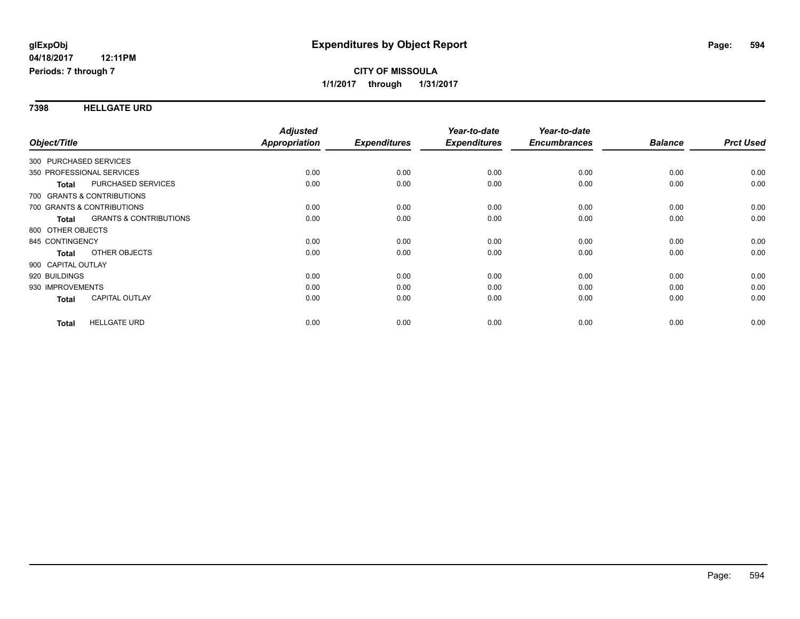#### **7398 HELLGATE URD**

| Object/Title                                      | <b>Adjusted</b><br>Appropriation | <b>Expenditures</b> | Year-to-date<br><b>Expenditures</b> | Year-to-date<br><b>Encumbrances</b> | <b>Balance</b> | <b>Prct Used</b> |
|---------------------------------------------------|----------------------------------|---------------------|-------------------------------------|-------------------------------------|----------------|------------------|
|                                                   |                                  |                     |                                     |                                     |                |                  |
| 300 PURCHASED SERVICES                            |                                  |                     |                                     |                                     |                |                  |
| 350 PROFESSIONAL SERVICES                         | 0.00                             | 0.00                | 0.00                                | 0.00                                | 0.00           | 0.00             |
| <b>PURCHASED SERVICES</b><br><b>Total</b>         | 0.00                             | 0.00                | 0.00                                | 0.00                                | 0.00           | 0.00             |
| 700 GRANTS & CONTRIBUTIONS                        |                                  |                     |                                     |                                     |                |                  |
| 700 GRANTS & CONTRIBUTIONS                        | 0.00                             | 0.00                | 0.00                                | 0.00                                | 0.00           | 0.00             |
| <b>GRANTS &amp; CONTRIBUTIONS</b><br><b>Total</b> | 0.00                             | 0.00                | 0.00                                | 0.00                                | 0.00           | 0.00             |
| 800 OTHER OBJECTS                                 |                                  |                     |                                     |                                     |                |                  |
| 845 CONTINGENCY                                   | 0.00                             | 0.00                | 0.00                                | 0.00                                | 0.00           | 0.00             |
| OTHER OBJECTS<br><b>Total</b>                     | 0.00                             | 0.00                | 0.00                                | 0.00                                | 0.00           | 0.00             |
| 900 CAPITAL OUTLAY                                |                                  |                     |                                     |                                     |                |                  |
| 920 BUILDINGS                                     | 0.00                             | 0.00                | 0.00                                | 0.00                                | 0.00           | 0.00             |
| 930 IMPROVEMENTS                                  | 0.00                             | 0.00                | 0.00                                | 0.00                                | 0.00           | 0.00             |
| <b>CAPITAL OUTLAY</b><br>Total                    | 0.00                             | 0.00                | 0.00                                | 0.00                                | 0.00           | 0.00             |
|                                                   |                                  |                     |                                     |                                     |                |                  |
| <b>HELLGATE URD</b><br><b>Total</b>               | 0.00                             | 0.00                | 0.00                                | 0.00                                | 0.00           | 0.00             |
|                                                   |                                  |                     |                                     |                                     |                |                  |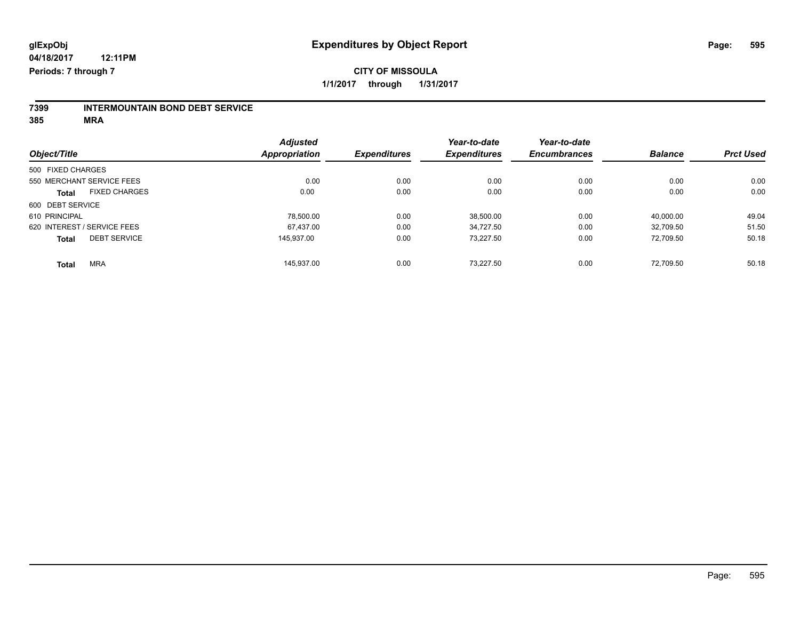# **7399 INTERMOUNTAIN BOND DEBT SERVICE**

**385 MRA**

|                                      | <b>Adjusted</b>      |                     | Year-to-date        | Year-to-date        |                |                  |
|--------------------------------------|----------------------|---------------------|---------------------|---------------------|----------------|------------------|
| Object/Title                         | <b>Appropriation</b> | <b>Expenditures</b> | <b>Expenditures</b> | <b>Encumbrances</b> | <b>Balance</b> | <b>Prct Used</b> |
| 500 FIXED CHARGES                    |                      |                     |                     |                     |                |                  |
| 550 MERCHANT SERVICE FEES            | 0.00                 | 0.00                | 0.00                | 0.00                | 0.00           | 0.00             |
| <b>FIXED CHARGES</b><br><b>Total</b> | 0.00                 | 0.00                | 0.00                | 0.00                | 0.00           | 0.00             |
| 600 DEBT SERVICE                     |                      |                     |                     |                     |                |                  |
| 610 PRINCIPAL                        | 78.500.00            | 0.00                | 38,500.00           | 0.00                | 40.000.00      | 49.04            |
| 620 INTEREST / SERVICE FEES          | 67.437.00            | 0.00                | 34.727.50           | 0.00                | 32.709.50      | 51.50            |
| <b>DEBT SERVICE</b><br><b>Total</b>  | 145.937.00           | 0.00                | 73.227.50           | 0.00                | 72.709.50      | 50.18            |
| <b>MRA</b><br><b>Total</b>           | 145.937.00           | 0.00                | 73.227.50           | 0.00                | 72.709.50      | 50.18            |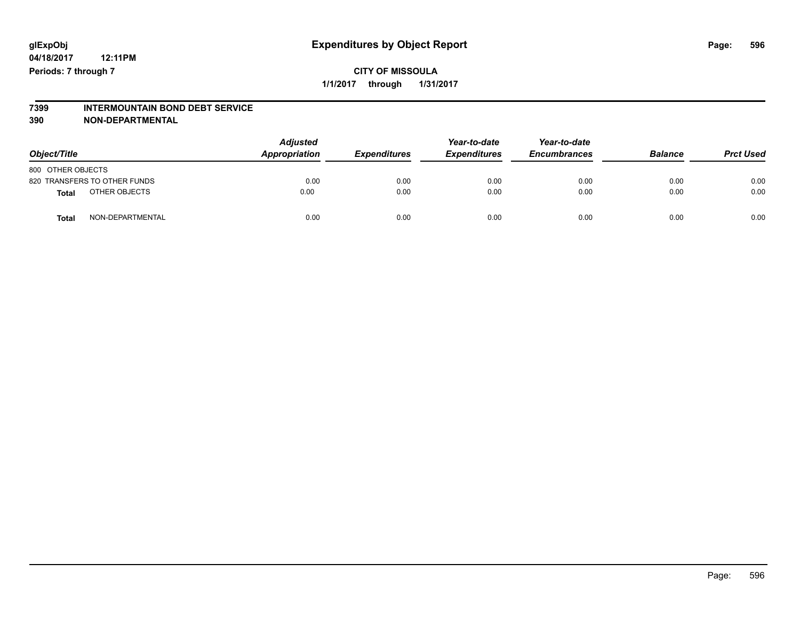# **7399 INTERMOUNTAIN BOND DEBT SERVICE**

**390 NON-DEPARTMENTAL**

| Object/Title      |                              | <b>Adjusted</b><br>Appropriation | <b>Expenditures</b> | Year-to-date<br><b>Expenditures</b> | Year-to-date<br><b>Encumbrances</b> | <b>Balance</b> | <b>Prct Used</b> |
|-------------------|------------------------------|----------------------------------|---------------------|-------------------------------------|-------------------------------------|----------------|------------------|
| 800 OTHER OBJECTS |                              |                                  |                     |                                     |                                     |                |                  |
|                   | 820 TRANSFERS TO OTHER FUNDS | 0.00                             | 0.00                | 0.00                                | 0.00                                | 0.00           | 0.00             |
| <b>Total</b>      | OTHER OBJECTS                | 0.00                             | 0.00                | 0.00                                | 0.00                                | 0.00           | 0.00             |
| <b>Total</b>      | NON-DEPARTMENTAL             | 0.00                             | 0.00                | 0.00                                | 0.00                                | 0.00           | 0.00             |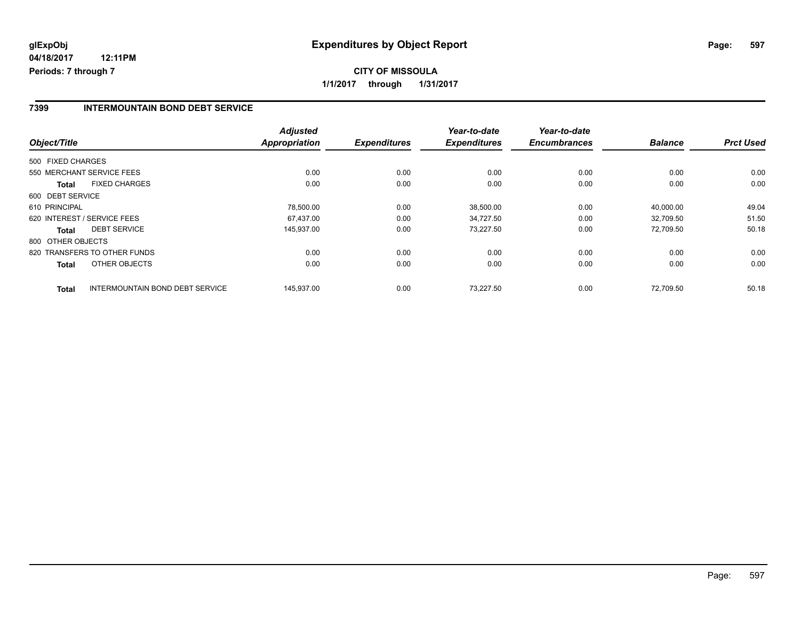#### **7399 INTERMOUNTAIN BOND DEBT SERVICE**

| Object/Title                                           | <b>Adjusted</b><br><b>Appropriation</b> | <b>Expenditures</b> | Year-to-date<br><b>Expenditures</b> | Year-to-date<br><b>Encumbrances</b> | <b>Balance</b> | <b>Prct Used</b> |
|--------------------------------------------------------|-----------------------------------------|---------------------|-------------------------------------|-------------------------------------|----------------|------------------|
| 500 FIXED CHARGES                                      |                                         |                     |                                     |                                     |                |                  |
| 550 MERCHANT SERVICE FEES                              | 0.00                                    | 0.00                | 0.00                                | 0.00                                | 0.00           | 0.00             |
| <b>FIXED CHARGES</b><br><b>Total</b>                   | 0.00                                    | 0.00                | 0.00                                | 0.00                                | 0.00           | 0.00             |
| 600 DEBT SERVICE                                       |                                         |                     |                                     |                                     |                |                  |
| 610 PRINCIPAL                                          | 78,500.00                               | 0.00                | 38,500.00                           | 0.00                                | 40,000.00      | 49.04            |
| 620 INTEREST / SERVICE FEES                            | 67.437.00                               | 0.00                | 34.727.50                           | 0.00                                | 32.709.50      | 51.50            |
| <b>DEBT SERVICE</b><br><b>Total</b>                    | 145,937.00                              | 0.00                | 73,227.50                           | 0.00                                | 72.709.50      | 50.18            |
| 800 OTHER OBJECTS                                      |                                         |                     |                                     |                                     |                |                  |
| 820 TRANSFERS TO OTHER FUNDS                           | 0.00                                    | 0.00                | 0.00                                | 0.00                                | 0.00           | 0.00             |
| OTHER OBJECTS<br><b>Total</b>                          | 0.00                                    | 0.00                | 0.00                                | 0.00                                | 0.00           | 0.00             |
| <b>INTERMOUNTAIN BOND DEBT SERVICE</b><br><b>Total</b> | 145,937.00                              | 0.00                | 73.227.50                           | 0.00                                | 72.709.50      | 50.18            |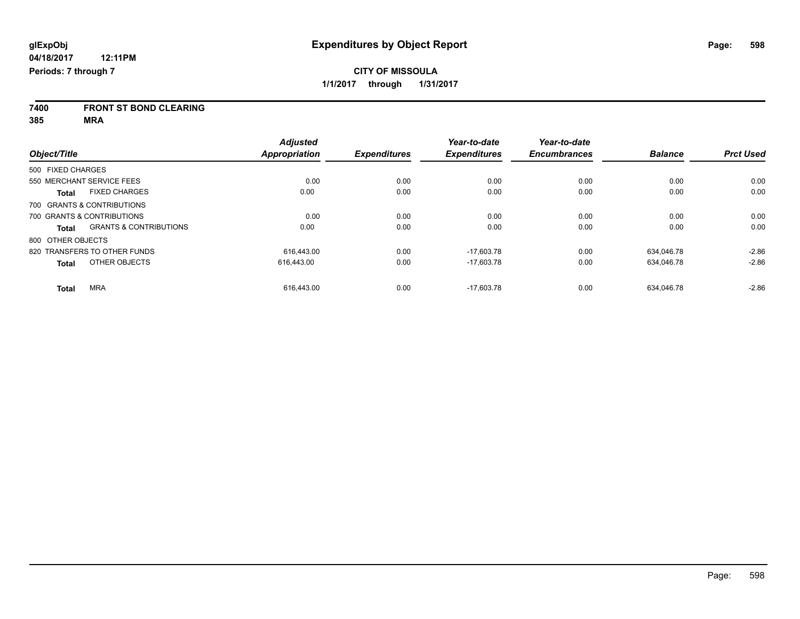**7400 FRONT ST BOND CLEARING**

**385 MRA**

|                                      |                                   | <b>Adjusted</b>      |                     | Year-to-date        | Year-to-date        |                |                  |
|--------------------------------------|-----------------------------------|----------------------|---------------------|---------------------|---------------------|----------------|------------------|
| Object/Title                         |                                   | <b>Appropriation</b> | <b>Expenditures</b> | <b>Expenditures</b> | <b>Encumbrances</b> | <b>Balance</b> | <b>Prct Used</b> |
| 500 FIXED CHARGES                    |                                   |                      |                     |                     |                     |                |                  |
| 550 MERCHANT SERVICE FEES            |                                   | 0.00                 | 0.00                | 0.00                | 0.00                | 0.00           | 0.00             |
| <b>FIXED CHARGES</b><br><b>Total</b> |                                   | 0.00                 | 0.00                | 0.00                | 0.00                | 0.00           | 0.00             |
| 700 GRANTS & CONTRIBUTIONS           |                                   |                      |                     |                     |                     |                |                  |
| 700 GRANTS & CONTRIBUTIONS           |                                   | 0.00                 | 0.00                | 0.00                | 0.00                | 0.00           | 0.00             |
| <b>Total</b>                         | <b>GRANTS &amp; CONTRIBUTIONS</b> | 0.00                 | 0.00                | 0.00                | 0.00                | 0.00           | 0.00             |
| 800 OTHER OBJECTS                    |                                   |                      |                     |                     |                     |                |                  |
| 820 TRANSFERS TO OTHER FUNDS         |                                   | 616.443.00           | 0.00                | $-17.603.78$        | 0.00                | 634.046.78     | $-2.86$          |
| OTHER OBJECTS<br><b>Total</b>        |                                   | 616,443.00           | 0.00                | $-17,603.78$        | 0.00                | 634,046.78     | $-2.86$          |
| <b>MRA</b><br><b>Total</b>           |                                   | 616.443.00           | 0.00                | $-17.603.78$        | 0.00                | 634.046.78     | $-2.86$          |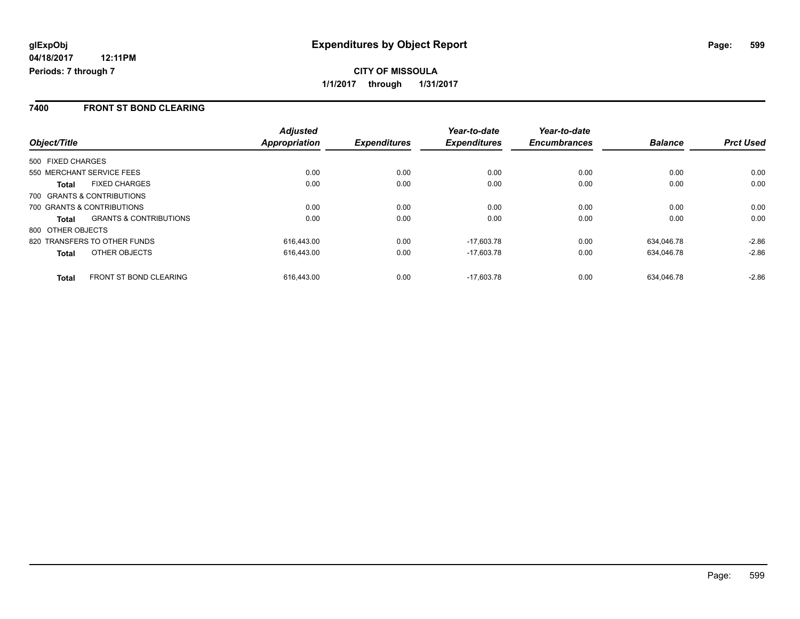#### **7400 FRONT ST BOND CLEARING**

|                                               | <b>Adjusted</b> |                     | Year-to-date        | Year-to-date        |                |                  |
|-----------------------------------------------|-----------------|---------------------|---------------------|---------------------|----------------|------------------|
| Object/Title                                  | Appropriation   | <b>Expenditures</b> | <b>Expenditures</b> | <b>Encumbrances</b> | <b>Balance</b> | <b>Prct Used</b> |
| 500 FIXED CHARGES                             |                 |                     |                     |                     |                |                  |
| 550 MERCHANT SERVICE FEES                     | 0.00            | 0.00                | 0.00                | 0.00                | 0.00           | 0.00             |
| <b>FIXED CHARGES</b><br>Total                 | 0.00            | 0.00                | 0.00                | 0.00                | 0.00           | 0.00             |
| 700 GRANTS & CONTRIBUTIONS                    |                 |                     |                     |                     |                |                  |
| 700 GRANTS & CONTRIBUTIONS                    | 0.00            | 0.00                | 0.00                | 0.00                | 0.00           | 0.00             |
| <b>GRANTS &amp; CONTRIBUTIONS</b><br>Total    | 0.00            | 0.00                | 0.00                | 0.00                | 0.00           | 0.00             |
| 800 OTHER OBJECTS                             |                 |                     |                     |                     |                |                  |
| 820 TRANSFERS TO OTHER FUNDS                  | 616.443.00      | 0.00                | $-17.603.78$        | 0.00                | 634.046.78     | $-2.86$          |
| OTHER OBJECTS<br><b>Total</b>                 | 616.443.00      | 0.00                | $-17.603.78$        | 0.00                | 634.046.78     | $-2.86$          |
| <b>FRONT ST BOND CLEARING</b><br><b>Total</b> | 616.443.00      | 0.00                | $-17.603.78$        | 0.00                | 634.046.78     | $-2.86$          |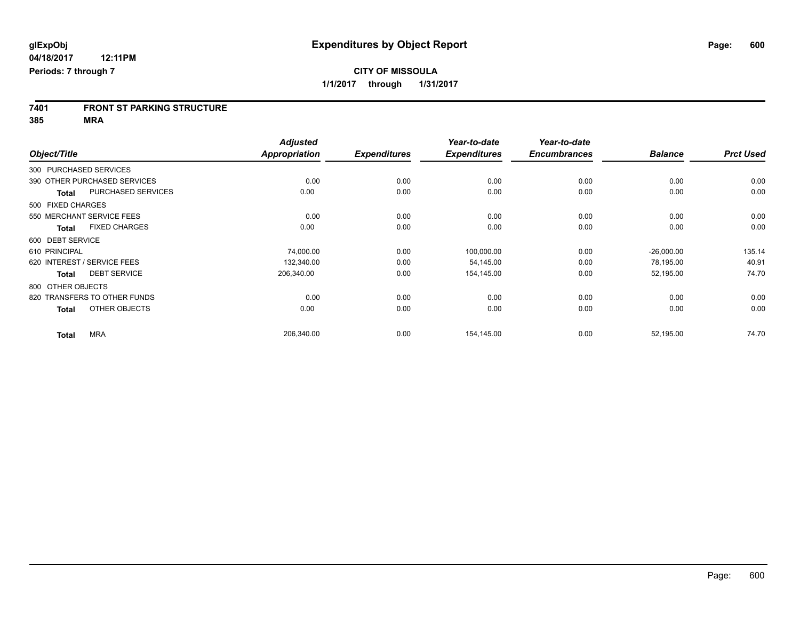# **7401 FRONT ST PARKING STRUCTURE**

**385 MRA**

|                   |                              | <b>Adjusted</b>      |                     | Year-to-date        | Year-to-date        |                |                  |
|-------------------|------------------------------|----------------------|---------------------|---------------------|---------------------|----------------|------------------|
| Object/Title      |                              | <b>Appropriation</b> | <b>Expenditures</b> | <b>Expenditures</b> | <b>Encumbrances</b> | <b>Balance</b> | <b>Prct Used</b> |
|                   | 300 PURCHASED SERVICES       |                      |                     |                     |                     |                |                  |
|                   | 390 OTHER PURCHASED SERVICES | 0.00                 | 0.00                | 0.00                | 0.00                | 0.00           | 0.00             |
| <b>Total</b>      | PURCHASED SERVICES           | 0.00                 | 0.00                | 0.00                | 0.00                | 0.00           | 0.00             |
| 500 FIXED CHARGES |                              |                      |                     |                     |                     |                |                  |
|                   | 550 MERCHANT SERVICE FEES    | 0.00                 | 0.00                | 0.00                | 0.00                | 0.00           | 0.00             |
| Total             | <b>FIXED CHARGES</b>         | 0.00                 | 0.00                | 0.00                | 0.00                | 0.00           | 0.00             |
| 600 DEBT SERVICE  |                              |                      |                     |                     |                     |                |                  |
| 610 PRINCIPAL     |                              | 74,000.00            | 0.00                | 100,000.00          | 0.00                | $-26,000.00$   | 135.14           |
|                   | 620 INTEREST / SERVICE FEES  | 132,340.00           | 0.00                | 54,145.00           | 0.00                | 78,195.00      | 40.91            |
| <b>Total</b>      | <b>DEBT SERVICE</b>          | 206,340.00           | 0.00                | 154,145.00          | 0.00                | 52,195.00      | 74.70            |
| 800 OTHER OBJECTS |                              |                      |                     |                     |                     |                |                  |
|                   | 820 TRANSFERS TO OTHER FUNDS | 0.00                 | 0.00                | 0.00                | 0.00                | 0.00           | 0.00             |
| <b>Total</b>      | OTHER OBJECTS                | 0.00                 | 0.00                | 0.00                | 0.00                | 0.00           | 0.00             |
| <b>Total</b>      | <b>MRA</b>                   | 206,340.00           | 0.00                | 154,145.00          | 0.00                | 52,195.00      | 74.70            |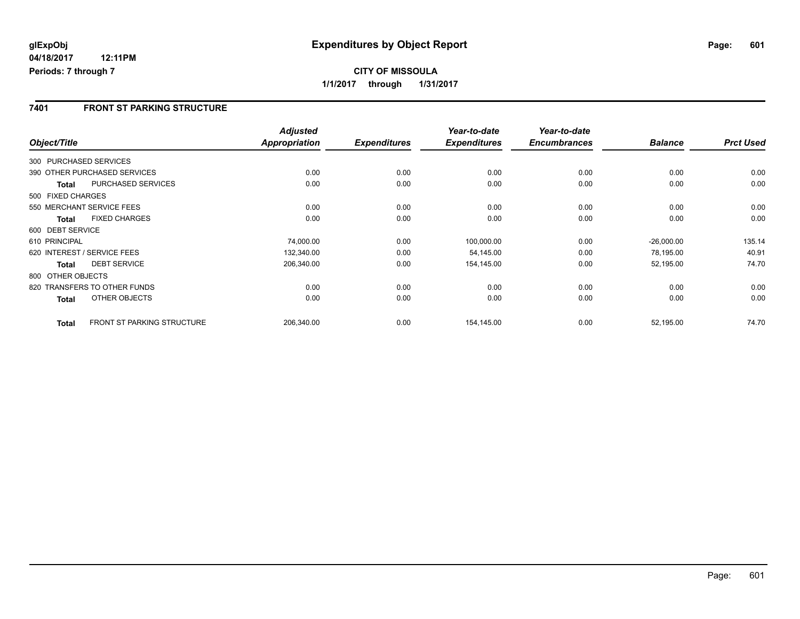### **7401 FRONT ST PARKING STRUCTURE**

|                        |                                   | <b>Adjusted</b>      |                     | Year-to-date        | Year-to-date        |                |                  |
|------------------------|-----------------------------------|----------------------|---------------------|---------------------|---------------------|----------------|------------------|
| Object/Title           |                                   | <b>Appropriation</b> | <b>Expenditures</b> | <b>Expenditures</b> | <b>Encumbrances</b> | <b>Balance</b> | <b>Prct Used</b> |
| 300 PURCHASED SERVICES |                                   |                      |                     |                     |                     |                |                  |
|                        | 390 OTHER PURCHASED SERVICES      | 0.00                 | 0.00                | 0.00                | 0.00                | 0.00           | 0.00             |
| <b>Total</b>           | <b>PURCHASED SERVICES</b>         | 0.00                 | 0.00                | 0.00                | 0.00                | 0.00           | 0.00             |
| 500 FIXED CHARGES      |                                   |                      |                     |                     |                     |                |                  |
|                        | 550 MERCHANT SERVICE FEES         | 0.00                 | 0.00                | 0.00                | 0.00                | 0.00           | 0.00             |
| <b>Total</b>           | <b>FIXED CHARGES</b>              | 0.00                 | 0.00                | 0.00                | 0.00                | 0.00           | 0.00             |
| 600 DEBT SERVICE       |                                   |                      |                     |                     |                     |                |                  |
| 610 PRINCIPAL          |                                   | 74,000.00            | 0.00                | 100,000.00          | 0.00                | $-26,000.00$   | 135.14           |
|                        | 620 INTEREST / SERVICE FEES       | 132,340.00           | 0.00                | 54,145.00           | 0.00                | 78,195.00      | 40.91            |
| <b>Total</b>           | <b>DEBT SERVICE</b>               | 206,340.00           | 0.00                | 154,145.00          | 0.00                | 52,195.00      | 74.70            |
| 800 OTHER OBJECTS      |                                   |                      |                     |                     |                     |                |                  |
|                        | 820 TRANSFERS TO OTHER FUNDS      | 0.00                 | 0.00                | 0.00                | 0.00                | 0.00           | 0.00             |
| <b>Total</b>           | OTHER OBJECTS                     | 0.00                 | 0.00                | 0.00                | 0.00                | 0.00           | 0.00             |
| <b>Total</b>           | <b>FRONT ST PARKING STRUCTURE</b> | 206,340.00           | 0.00                | 154,145.00          | 0.00                | 52,195.00      | 74.70            |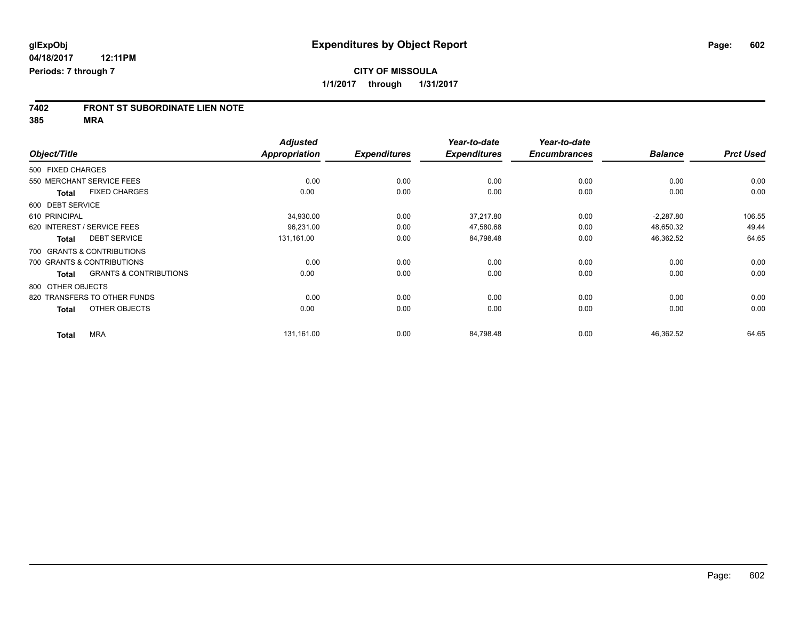# **7402 FRONT ST SUBORDINATE LIEN NOTE**

**385 MRA**

|                   |                                   | <b>Adjusted</b>      |                     | Year-to-date        | Year-to-date        |                |                  |
|-------------------|-----------------------------------|----------------------|---------------------|---------------------|---------------------|----------------|------------------|
| Object/Title      |                                   | <b>Appropriation</b> | <b>Expenditures</b> | <b>Expenditures</b> | <b>Encumbrances</b> | <b>Balance</b> | <b>Prct Used</b> |
| 500 FIXED CHARGES |                                   |                      |                     |                     |                     |                |                  |
|                   | 550 MERCHANT SERVICE FEES         | 0.00                 | 0.00                | 0.00                | 0.00                | 0.00           | 0.00             |
| <b>Total</b>      | <b>FIXED CHARGES</b>              | 0.00                 | 0.00                | 0.00                | 0.00                | 0.00           | 0.00             |
| 600 DEBT SERVICE  |                                   |                      |                     |                     |                     |                |                  |
| 610 PRINCIPAL     |                                   | 34,930.00            | 0.00                | 37,217.80           | 0.00                | $-2,287.80$    | 106.55           |
|                   | 620 INTEREST / SERVICE FEES       | 96,231.00            | 0.00                | 47,580.68           | 0.00                | 48,650.32      | 49.44            |
| <b>Total</b>      | <b>DEBT SERVICE</b>               | 131,161.00           | 0.00                | 84,798.48           | 0.00                | 46,362.52      | 64.65            |
|                   | 700 GRANTS & CONTRIBUTIONS        |                      |                     |                     |                     |                |                  |
|                   | 700 GRANTS & CONTRIBUTIONS        | 0.00                 | 0.00                | 0.00                | 0.00                | 0.00           | 0.00             |
| <b>Total</b>      | <b>GRANTS &amp; CONTRIBUTIONS</b> | 0.00                 | 0.00                | 0.00                | 0.00                | 0.00           | 0.00             |
| 800 OTHER OBJECTS |                                   |                      |                     |                     |                     |                |                  |
|                   | 820 TRANSFERS TO OTHER FUNDS      | 0.00                 | 0.00                | 0.00                | 0.00                | 0.00           | 0.00             |
| <b>Total</b>      | OTHER OBJECTS                     | 0.00                 | 0.00                | 0.00                | 0.00                | 0.00           | 0.00             |
| <b>Total</b>      | <b>MRA</b>                        | 131,161.00           | 0.00                | 84,798.48           | 0.00                | 46,362.52      | 64.65            |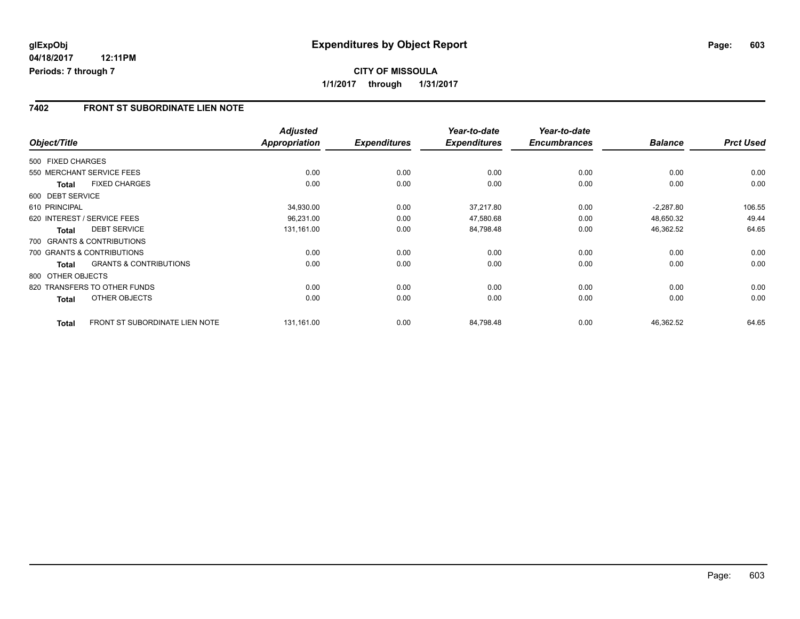### **7402 FRONT ST SUBORDINATE LIEN NOTE**

|                   |                                       | <b>Adjusted</b> |                     | Year-to-date        | Year-to-date        |                |                  |
|-------------------|---------------------------------------|-----------------|---------------------|---------------------|---------------------|----------------|------------------|
| Object/Title      |                                       | Appropriation   | <b>Expenditures</b> | <b>Expenditures</b> | <b>Encumbrances</b> | <b>Balance</b> | <b>Prct Used</b> |
| 500 FIXED CHARGES |                                       |                 |                     |                     |                     |                |                  |
|                   | 550 MERCHANT SERVICE FEES             | 0.00            | 0.00                | 0.00                | 0.00                | 0.00           | 0.00             |
| Total             | <b>FIXED CHARGES</b>                  | 0.00            | 0.00                | 0.00                | 0.00                | 0.00           | 0.00             |
| 600 DEBT SERVICE  |                                       |                 |                     |                     |                     |                |                  |
| 610 PRINCIPAL     |                                       | 34,930.00       | 0.00                | 37,217.80           | 0.00                | $-2,287.80$    | 106.55           |
|                   | 620 INTEREST / SERVICE FEES           | 96,231.00       | 0.00                | 47,580.68           | 0.00                | 48,650.32      | 49.44            |
| <b>Total</b>      | <b>DEBT SERVICE</b>                   | 131,161.00      | 0.00                | 84,798.48           | 0.00                | 46,362.52      | 64.65            |
|                   | 700 GRANTS & CONTRIBUTIONS            |                 |                     |                     |                     |                |                  |
|                   | 700 GRANTS & CONTRIBUTIONS            | 0.00            | 0.00                | 0.00                | 0.00                | 0.00           | 0.00             |
| <b>Total</b>      | <b>GRANTS &amp; CONTRIBUTIONS</b>     | 0.00            | 0.00                | 0.00                | 0.00                | 0.00           | 0.00             |
| 800 OTHER OBJECTS |                                       |                 |                     |                     |                     |                |                  |
|                   | 820 TRANSFERS TO OTHER FUNDS          | 0.00            | 0.00                | 0.00                | 0.00                | 0.00           | 0.00             |
| Total             | OTHER OBJECTS                         | 0.00            | 0.00                | 0.00                | 0.00                | 0.00           | 0.00             |
| <b>Total</b>      | <b>FRONT ST SUBORDINATE LIEN NOTE</b> | 131,161.00      | 0.00                | 84,798.48           | 0.00                | 46,362.52      | 64.65            |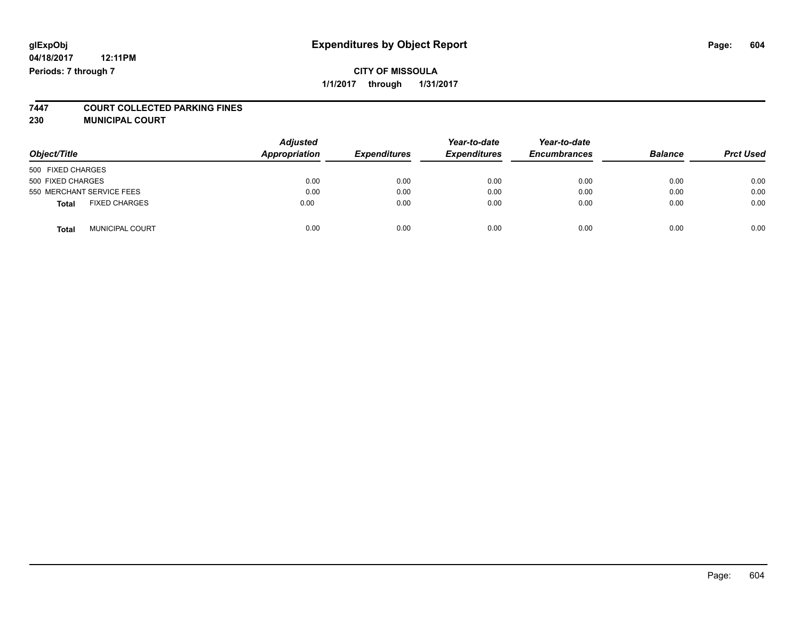## **glExpObj Expenditures by Object Report Page: 604**

**04/18/2017 12:11PM Periods: 7 through 7**

# **7447 COURT COLLECTED PARKING FINES**

**230 MUNICIPAL COURT**

| Object/Title                           | <b>Adjusted</b><br>Appropriation | <b>Expenditures</b> | Year-to-date<br><b>Expenditures</b> | Year-to-date<br><b>Encumbrances</b> | <b>Balance</b> | <b>Prct Used</b> |
|----------------------------------------|----------------------------------|---------------------|-------------------------------------|-------------------------------------|----------------|------------------|
| 500 FIXED CHARGES                      |                                  |                     |                                     |                                     |                |                  |
| 500 FIXED CHARGES                      | 0.00                             | 0.00                | 0.00                                | 0.00                                | 0.00           | 0.00             |
| 550 MERCHANT SERVICE FEES              | 0.00                             | 0.00                | 0.00                                | 0.00                                | 0.00           | 0.00             |
| <b>FIXED CHARGES</b><br><b>Total</b>   | 0.00                             | 0.00                | 0.00                                | 0.00                                | 0.00           | 0.00             |
| <b>MUNICIPAL COURT</b><br><b>Total</b> | 0.00                             | 0.00                | 0.00                                | 0.00                                | 0.00           | 0.00             |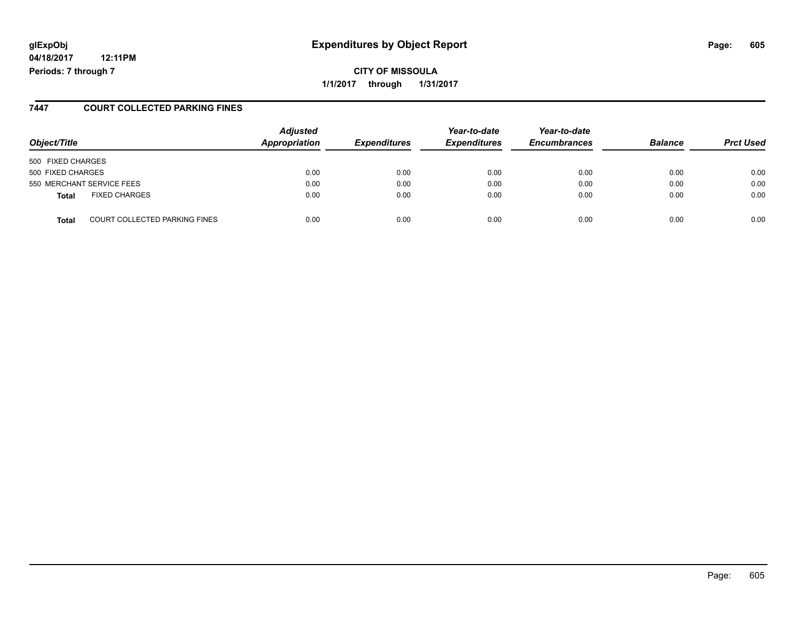## **glExpObj Expenditures by Object Report Page: 605**

**04/18/2017 12:11PM Periods: 7 through 7**

**CITY OF MISSOULA 1/1/2017 through 1/31/2017**

#### **7447 COURT COLLECTED PARKING FINES**

| Object/Title      |                                      | <b>Adjusted</b><br><b>Appropriation</b> | <b>Expenditures</b> | Year-to-date<br><b>Expenditures</b> | Year-to-date<br><b>Encumbrances</b> | <b>Balance</b> | <b>Prct Used</b> |
|-------------------|--------------------------------------|-----------------------------------------|---------------------|-------------------------------------|-------------------------------------|----------------|------------------|
| 500 FIXED CHARGES |                                      |                                         |                     |                                     |                                     |                |                  |
| 500 FIXED CHARGES |                                      | 0.00                                    | 0.00                | 0.00                                | 0.00                                | 0.00           | 0.00             |
|                   | 550 MERCHANT SERVICE FEES            | 0.00                                    | 0.00                | 0.00                                | 0.00                                | 0.00           | 0.00             |
| <b>Total</b>      | <b>FIXED CHARGES</b>                 | 0.00                                    | 0.00                | 0.00                                | 0.00                                | 0.00           | 0.00             |
| Total             | <b>COURT COLLECTED PARKING FINES</b> | 0.00                                    | 0.00                | 0.00                                | 0.00                                | 0.00           | 0.00             |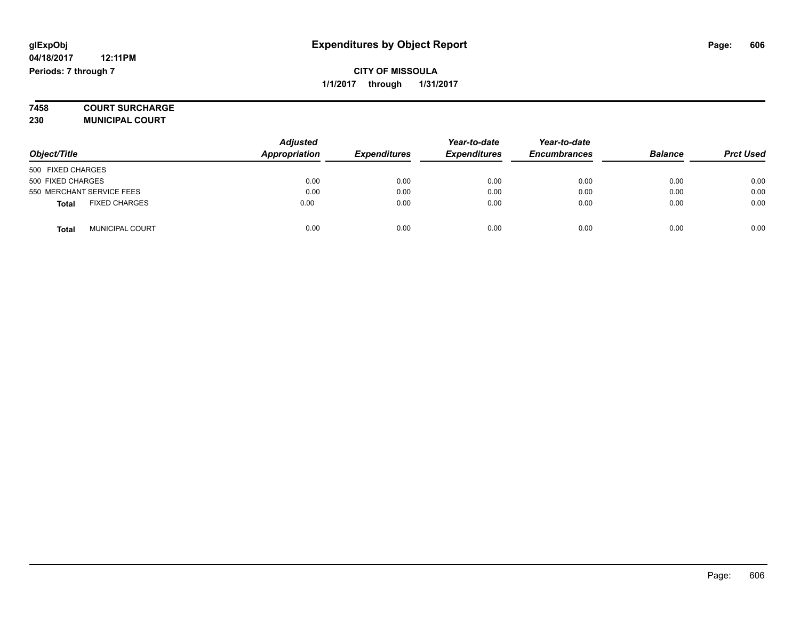# **7458 COURT SURCHARGE**

**230 MUNICIPAL COURT**

|                                        | <b>Adjusted</b> |                     | Year-to-date        | Year-to-date        |                |                  |
|----------------------------------------|-----------------|---------------------|---------------------|---------------------|----------------|------------------|
| Object/Title                           | Appropriation   | <b>Expenditures</b> | <b>Expenditures</b> | <b>Encumbrances</b> | <b>Balance</b> | <b>Prct Used</b> |
| 500 FIXED CHARGES                      |                 |                     |                     |                     |                |                  |
| 500 FIXED CHARGES                      | 0.00            | 0.00                | 0.00                | 0.00                | 0.00           | 0.00             |
| 550 MERCHANT SERVICE FEES              | 0.00            | 0.00                | 0.00                | 0.00                | 0.00           | 0.00             |
| <b>FIXED CHARGES</b><br><b>Total</b>   | 0.00            | 0.00                | 0.00                | 0.00                | 0.00           | 0.00             |
| <b>MUNICIPAL COURT</b><br><b>Total</b> | 0.00            | 0.00                | 0.00                | 0.00                | 0.00           | 0.00             |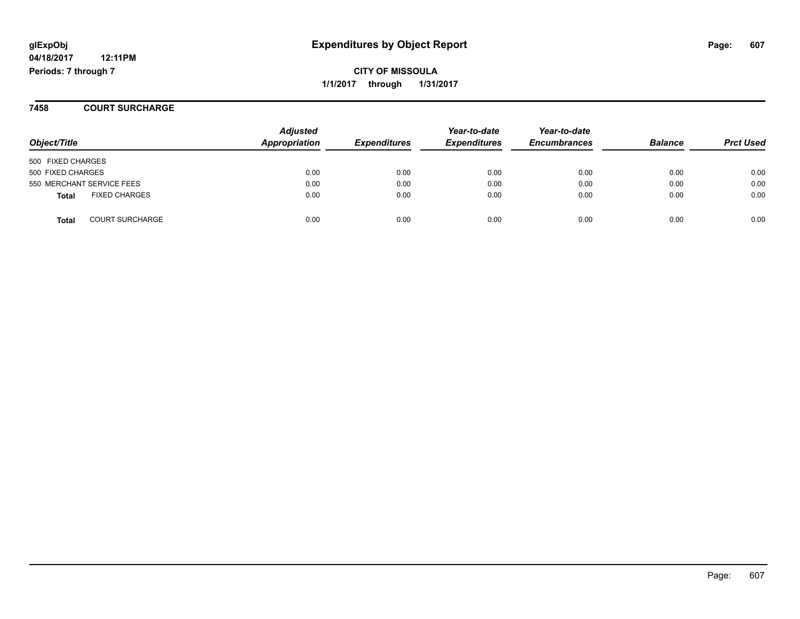**CITY OF MISSOULA 1/1/2017 through 1/31/2017**

**7458 COURT SURCHARGE**

| Object/Title                         | <b>Adjusted</b><br><b>Appropriation</b> | <b>Expenditures</b> | Year-to-date<br><b>Expenditures</b> | Year-to-date<br><b>Encumbrances</b> | <b>Balance</b> | <b>Prct Used</b> |
|--------------------------------------|-----------------------------------------|---------------------|-------------------------------------|-------------------------------------|----------------|------------------|
| 500 FIXED CHARGES                    |                                         |                     |                                     |                                     |                |                  |
| 500 FIXED CHARGES                    | 0.00                                    | 0.00                | 0.00                                | 0.00                                | 0.00           | 0.00             |
| 550 MERCHANT SERVICE FEES            | 0.00                                    | 0.00                | 0.00                                | 0.00                                | 0.00           | 0.00             |
| <b>FIXED CHARGES</b><br><b>Total</b> | 0.00                                    | 0.00                | 0.00                                | 0.00                                | 0.00           | 0.00             |
| <b>COURT SURCHARGE</b><br>Total      | 0.00                                    | 0.00                | 0.00                                | 0.00                                | 0.00           | 0.00             |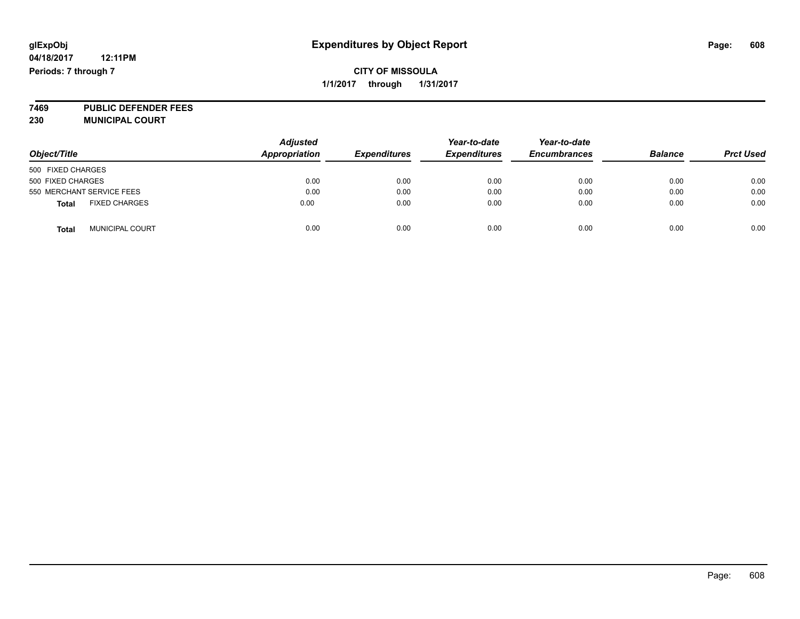**7469 PUBLIC DEFENDER FEES 230 MUNICIPAL COURT**

| Object/Title                           | <b>Adjusted</b><br><b>Appropriation</b> | <b>Expenditures</b> | Year-to-date<br><b>Expenditures</b> | Year-to-date<br><b>Encumbrances</b> | <b>Balance</b> | <b>Prct Used</b> |
|----------------------------------------|-----------------------------------------|---------------------|-------------------------------------|-------------------------------------|----------------|------------------|
| 500 FIXED CHARGES                      |                                         |                     |                                     |                                     |                |                  |
| 500 FIXED CHARGES                      | 0.00                                    | 0.00                | 0.00                                | 0.00                                | 0.00           | 0.00             |
| 550 MERCHANT SERVICE FEES              | 0.00                                    | 0.00                | 0.00                                | 0.00                                | 0.00           | 0.00             |
| <b>FIXED CHARGES</b><br><b>Total</b>   | 0.00                                    | 0.00                | 0.00                                | 0.00                                | 0.00           | 0.00             |
| <b>MUNICIPAL COURT</b><br><b>Total</b> | 0.00                                    | 0.00                | 0.00                                | 0.00                                | 0.00           | 0.00             |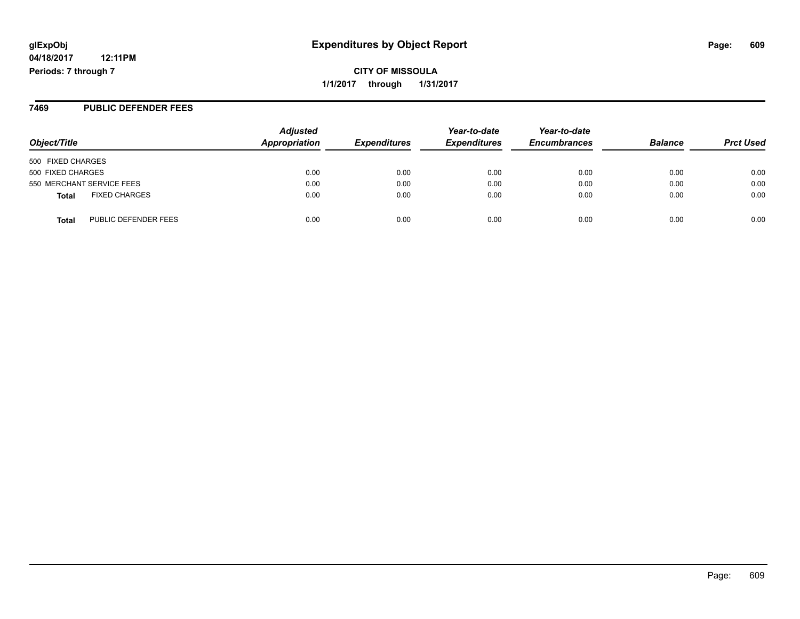**CITY OF MISSOULA 1/1/2017 through 1/31/2017**

#### **7469 PUBLIC DEFENDER FEES**

| Object/Title                         | <b>Adjusted</b><br>Appropriation | <b>Expenditures</b> | Year-to-date<br><b>Expenditures</b> | Year-to-date<br><b>Encumbrances</b> | <b>Balance</b> | <b>Prct Used</b> |
|--------------------------------------|----------------------------------|---------------------|-------------------------------------|-------------------------------------|----------------|------------------|
| 500 FIXED CHARGES                    |                                  |                     |                                     |                                     |                |                  |
| 500 FIXED CHARGES                    | 0.00                             | 0.00                | 0.00                                | 0.00                                | 0.00           | 0.00             |
| 550 MERCHANT SERVICE FEES            | 0.00                             | 0.00                | 0.00                                | 0.00                                | 0.00           | 0.00             |
| <b>FIXED CHARGES</b><br><b>Total</b> | 0.00                             | 0.00                | 0.00                                | 0.00                                | 0.00           | 0.00             |
| PUBLIC DEFENDER FEES<br><b>Total</b> | 0.00                             | 0.00                | 0.00                                | 0.00                                | 0.00           | 0.00             |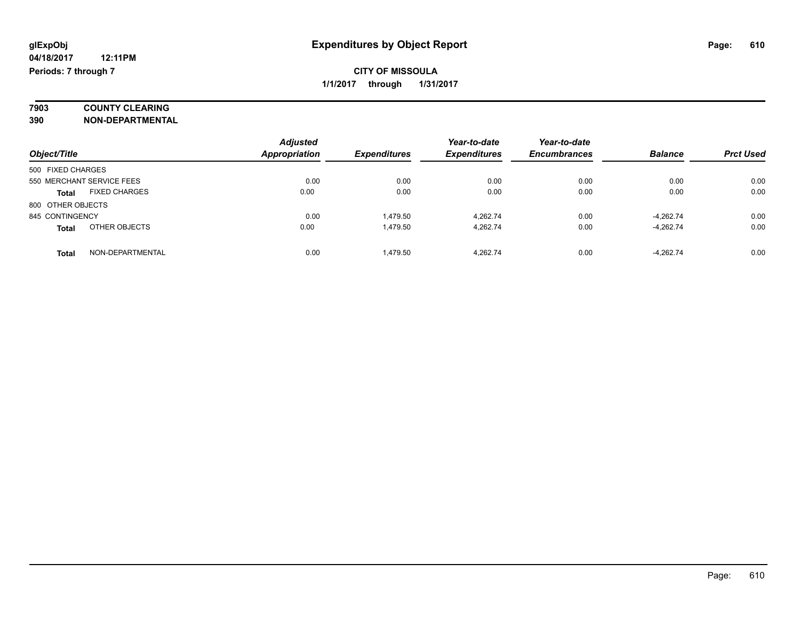# **7903 COUNTY CLEARING**

**390 NON-DEPARTMENTAL**

|                                      | <b>Adjusted</b>      |                     | Year-to-date        | Year-to-date        |                |                  |
|--------------------------------------|----------------------|---------------------|---------------------|---------------------|----------------|------------------|
| Object/Title                         | <b>Appropriation</b> | <b>Expenditures</b> | <b>Expenditures</b> | <b>Encumbrances</b> | <b>Balance</b> | <b>Prct Used</b> |
| 500 FIXED CHARGES                    |                      |                     |                     |                     |                |                  |
| 550 MERCHANT SERVICE FEES            | 0.00                 | 0.00                | 0.00                | 0.00                | 0.00           | 0.00             |
| <b>FIXED CHARGES</b><br><b>Total</b> | 0.00                 | 0.00                | 0.00                | 0.00                | 0.00           | 0.00             |
| 800 OTHER OBJECTS                    |                      |                     |                     |                     |                |                  |
| 845 CONTINGENCY                      | 0.00                 | 1.479.50            | 4.262.74            | 0.00                | $-4,262.74$    | 0.00             |
| OTHER OBJECTS<br><b>Total</b>        | 0.00                 | 1,479.50            | 4.262.74            | 0.00                | $-4,262.74$    | 0.00             |
| NON-DEPARTMENTAL<br><b>Total</b>     | 0.00                 | 1.479.50            | 4.262.74            | 0.00                | $-4.262.74$    | 0.00             |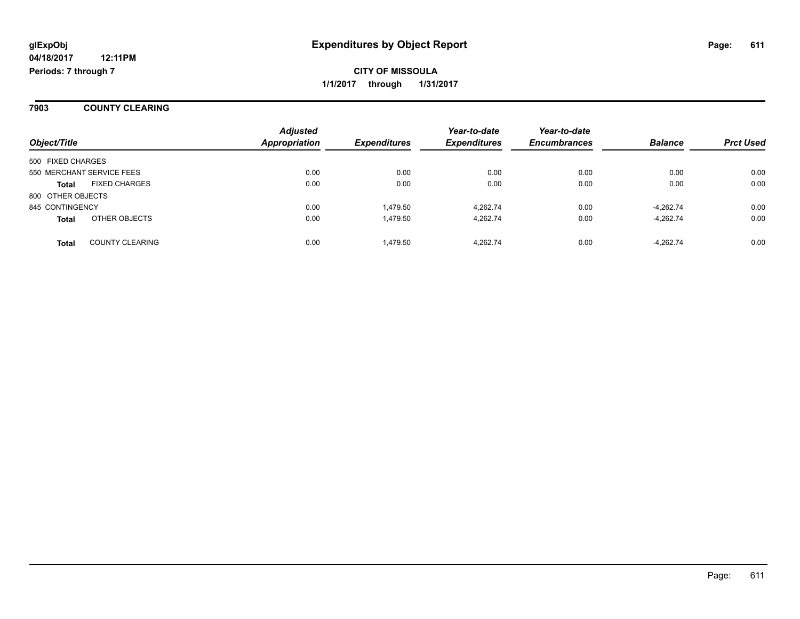**7903 COUNTY CLEARING**

| Object/Title              |                        | <b>Adjusted</b><br><b>Appropriation</b> | <b>Expenditures</b> | Year-to-date<br><b>Expenditures</b> | Year-to-date<br><b>Encumbrances</b> | <b>Balance</b> | <b>Prct Used</b> |
|---------------------------|------------------------|-----------------------------------------|---------------------|-------------------------------------|-------------------------------------|----------------|------------------|
|                           |                        |                                         |                     |                                     |                                     |                |                  |
| 500 FIXED CHARGES         |                        |                                         |                     |                                     |                                     |                |                  |
| 550 MERCHANT SERVICE FEES |                        | 0.00                                    | 0.00                | 0.00                                | 0.00                                | 0.00           | 0.00             |
| <b>Total</b>              | <b>FIXED CHARGES</b>   | 0.00                                    | 0.00                | 0.00                                | 0.00                                | 0.00           | 0.00             |
| 800 OTHER OBJECTS         |                        |                                         |                     |                                     |                                     |                |                  |
| 845 CONTINGENCY           |                        | 0.00                                    | 1.479.50            | 4.262.74                            | 0.00                                | $-4.262.74$    | 0.00             |
| <b>Total</b>              | OTHER OBJECTS          | 0.00                                    | 1.479.50            | 4.262.74                            | 0.00                                | $-4,262.74$    | 0.00             |
| Total                     | <b>COUNTY CLEARING</b> | 0.00                                    | 1.479.50            | 4.262.74                            | 0.00                                | $-4.262.74$    | 0.00             |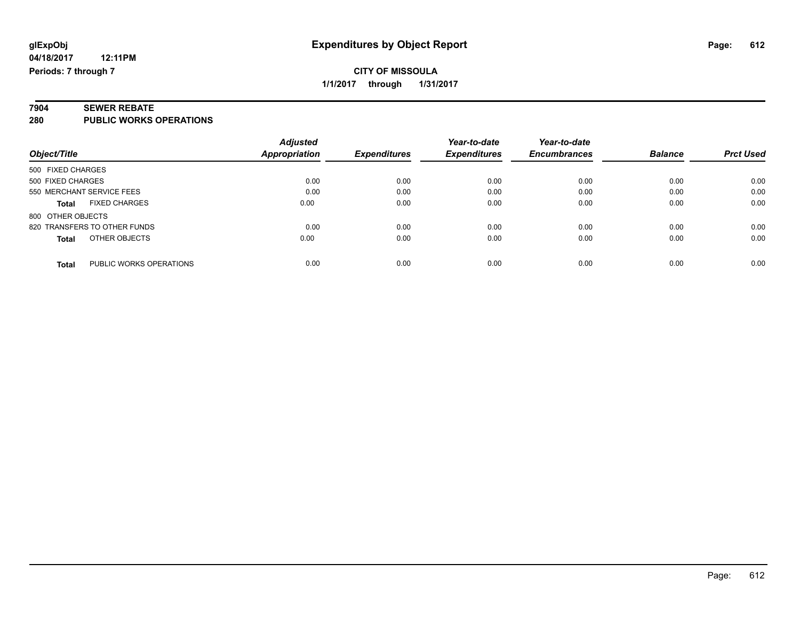# **7904 SEWER REBATE**

**280 PUBLIC WORKS OPERATIONS**

|                                         | <b>Adjusted</b> |                     | Year-to-date        | Year-to-date        |                |                  |
|-----------------------------------------|-----------------|---------------------|---------------------|---------------------|----------------|------------------|
| Object/Title                            | Appropriation   | <b>Expenditures</b> | <b>Expenditures</b> | <b>Encumbrances</b> | <b>Balance</b> | <b>Prct Used</b> |
| 500 FIXED CHARGES                       |                 |                     |                     |                     |                |                  |
| 500 FIXED CHARGES                       | 0.00            | 0.00                | 0.00                | 0.00                | 0.00           | 0.00             |
| 550 MERCHANT SERVICE FEES               | 0.00            | 0.00                | 0.00                | 0.00                | 0.00           | 0.00             |
| <b>FIXED CHARGES</b><br><b>Total</b>    | 0.00            | 0.00                | 0.00                | 0.00                | 0.00           | 0.00             |
| 800 OTHER OBJECTS                       |                 |                     |                     |                     |                |                  |
| 820 TRANSFERS TO OTHER FUNDS            | 0.00            | 0.00                | 0.00                | 0.00                | 0.00           | 0.00             |
| OTHER OBJECTS<br><b>Total</b>           | 0.00            | 0.00                | 0.00                | 0.00                | 0.00           | 0.00             |
| PUBLIC WORKS OPERATIONS<br><b>Total</b> | 0.00            | 0.00                | 0.00                | 0.00                | 0.00           | 0.00             |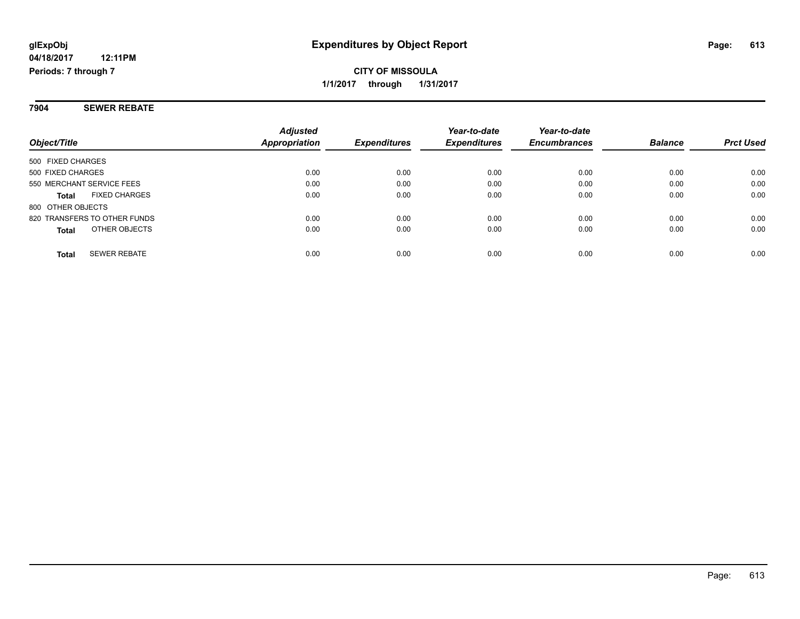#### **7904 SEWER REBATE**

| Object/Title                        | <b>Adjusted</b><br>Appropriation | <i><b>Expenditures</b></i> | Year-to-date<br><b>Expenditures</b> | Year-to-date<br><b>Encumbrances</b> | <b>Balance</b> | <b>Prct Used</b> |
|-------------------------------------|----------------------------------|----------------------------|-------------------------------------|-------------------------------------|----------------|------------------|
| 500 FIXED CHARGES                   |                                  |                            |                                     |                                     |                |                  |
| 500 FIXED CHARGES                   | 0.00                             | 0.00                       | 0.00                                | 0.00                                | 0.00           | 0.00             |
| 550 MERCHANT SERVICE FEES           | 0.00                             | 0.00                       | 0.00                                | 0.00                                | 0.00           | 0.00             |
| <b>FIXED CHARGES</b><br>Total       | 0.00                             | 0.00                       | 0.00                                | 0.00                                | 0.00           | 0.00             |
| 800 OTHER OBJECTS                   |                                  |                            |                                     |                                     |                |                  |
| 820 TRANSFERS TO OTHER FUNDS        | 0.00                             | 0.00                       | 0.00                                | 0.00                                | 0.00           | 0.00             |
| OTHER OBJECTS<br><b>Total</b>       | 0.00                             | 0.00                       | 0.00                                | 0.00                                | 0.00           | 0.00             |
| <b>SEWER REBATE</b><br><b>Total</b> | 0.00                             | 0.00                       | 0.00                                | 0.00                                | 0.00           | 0.00             |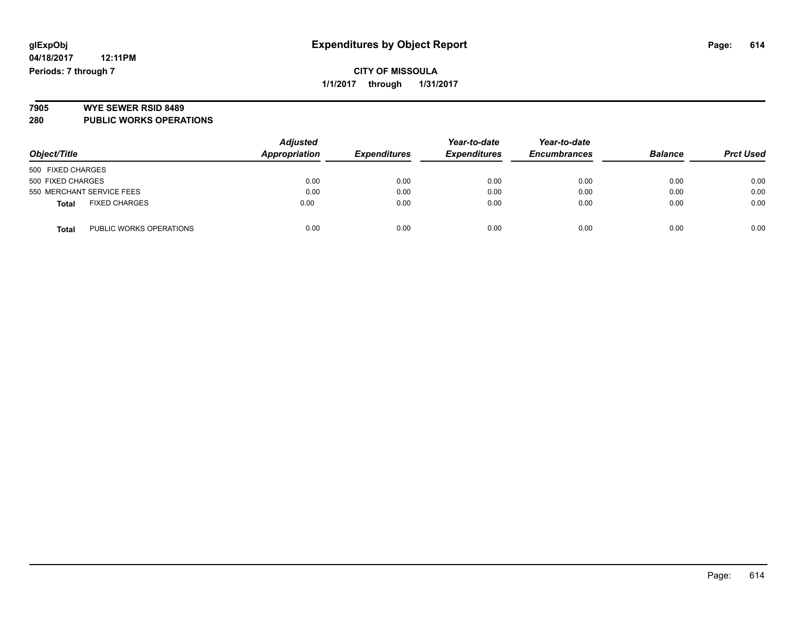## **CITY OF MISSOULA 1/1/2017 through 1/31/2017**

# **7905 WYE SEWER RSID 8489**

**280 PUBLIC WORKS OPERATIONS**

| Object/Title                            | <b>Adjusted</b><br>Appropriation | <b>Expenditures</b> | Year-to-date<br><b>Expenditures</b> | Year-to-date<br><b>Encumbrances</b> | <b>Balance</b> | <b>Prct Used</b> |
|-----------------------------------------|----------------------------------|---------------------|-------------------------------------|-------------------------------------|----------------|------------------|
| 500 FIXED CHARGES                       |                                  |                     |                                     |                                     |                |                  |
| 500 FIXED CHARGES                       | 0.00                             | 0.00                | 0.00                                | 0.00                                | 0.00           | 0.00             |
| 550 MERCHANT SERVICE FEES               | 0.00                             | 0.00                | 0.00                                | 0.00                                | 0.00           | 0.00             |
| <b>FIXED CHARGES</b><br><b>Total</b>    | 0.00                             | 0.00                | 0.00                                | 0.00                                | 0.00           | 0.00             |
| PUBLIC WORKS OPERATIONS<br><b>Total</b> | 0.00                             | 0.00                | 0.00                                | 0.00                                | 0.00           | 0.00             |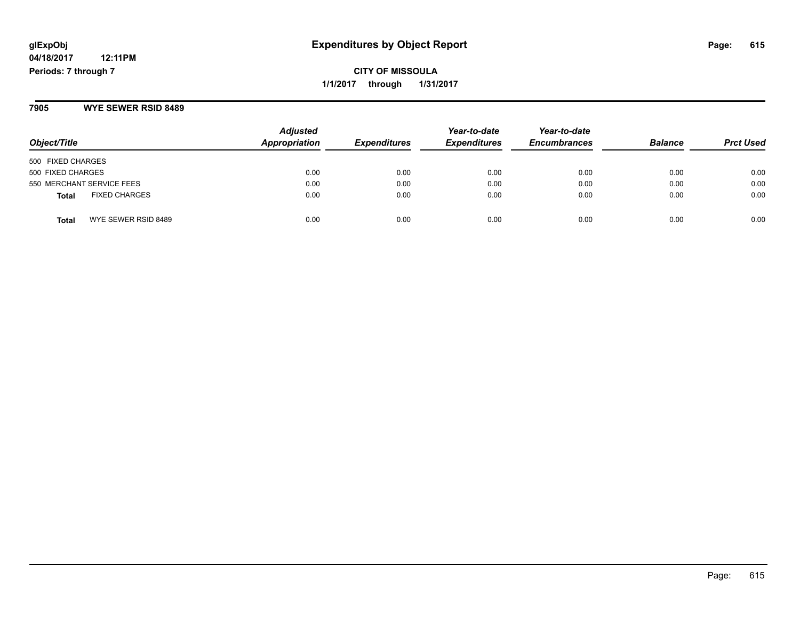**CITY OF MISSOULA 1/1/2017 through 1/31/2017**

**7905 WYE SEWER RSID 8489**

| Object/Title                         | <b>Adjusted</b><br>Appropriation | <b>Expenditures</b> | Year-to-date<br><b>Expenditures</b> | Year-to-date<br><b>Encumbrances</b> | <b>Balance</b> | <b>Prct Used</b> |
|--------------------------------------|----------------------------------|---------------------|-------------------------------------|-------------------------------------|----------------|------------------|
| 500 FIXED CHARGES                    |                                  |                     |                                     |                                     |                |                  |
| 500 FIXED CHARGES                    | 0.00                             | 0.00                | 0.00                                | 0.00                                | 0.00           | 0.00             |
| 550 MERCHANT SERVICE FEES            | 0.00                             | 0.00                | 0.00                                | 0.00                                | 0.00           | 0.00             |
| <b>FIXED CHARGES</b><br><b>Total</b> | 0.00                             | 0.00                | 0.00                                | 0.00                                | 0.00           | 0.00             |
| WYE SEWER RSID 8489<br><b>Total</b>  | 0.00                             | 0.00                | 0.00                                | 0.00                                | 0.00           | 0.00             |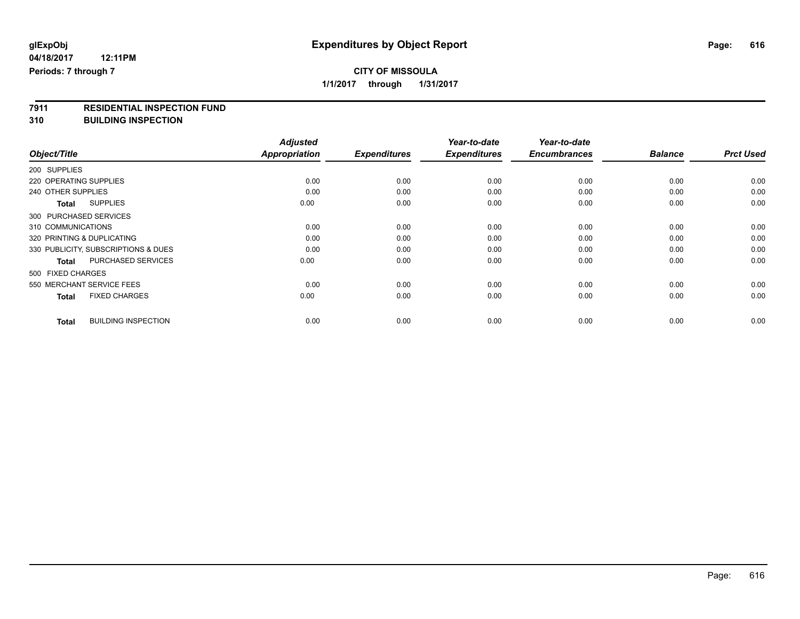## **CITY OF MISSOULA 1/1/2017 through 1/31/2017**

**7911 RESIDENTIAL INSPECTION FUND**

**310 BUILDING INSPECTION**

|                                            | <b>Adjusted</b>      |                     | Year-to-date        | Year-to-date        |                |                  |
|--------------------------------------------|----------------------|---------------------|---------------------|---------------------|----------------|------------------|
| Object/Title                               | <b>Appropriation</b> | <b>Expenditures</b> | <b>Expenditures</b> | <b>Encumbrances</b> | <b>Balance</b> | <b>Prct Used</b> |
| 200 SUPPLIES                               |                      |                     |                     |                     |                |                  |
| 220 OPERATING SUPPLIES                     | 0.00                 | 0.00                | 0.00                | 0.00                | 0.00           | 0.00             |
| 240 OTHER SUPPLIES                         | 0.00                 | 0.00                | 0.00                | 0.00                | 0.00           | 0.00             |
| <b>SUPPLIES</b><br><b>Total</b>            | 0.00                 | 0.00                | 0.00                | 0.00                | 0.00           | 0.00             |
| 300 PURCHASED SERVICES                     |                      |                     |                     |                     |                |                  |
| 310 COMMUNICATIONS                         | 0.00                 | 0.00                | 0.00                | 0.00                | 0.00           | 0.00             |
| 320 PRINTING & DUPLICATING                 | 0.00                 | 0.00                | 0.00                | 0.00                | 0.00           | 0.00             |
| 330 PUBLICITY, SUBSCRIPTIONS & DUES        | 0.00                 | 0.00                | 0.00                | 0.00                | 0.00           | 0.00             |
| <b>PURCHASED SERVICES</b><br><b>Total</b>  | 0.00                 | 0.00                | 0.00                | 0.00                | 0.00           | 0.00             |
| 500 FIXED CHARGES                          |                      |                     |                     |                     |                |                  |
| 550 MERCHANT SERVICE FEES                  | 0.00                 | 0.00                | 0.00                | 0.00                | 0.00           | 0.00             |
| <b>FIXED CHARGES</b><br><b>Total</b>       | 0.00                 | 0.00                | 0.00                | 0.00                | 0.00           | 0.00             |
| <b>BUILDING INSPECTION</b><br><b>Total</b> | 0.00                 | 0.00                | 0.00                | 0.00                | 0.00           | 0.00             |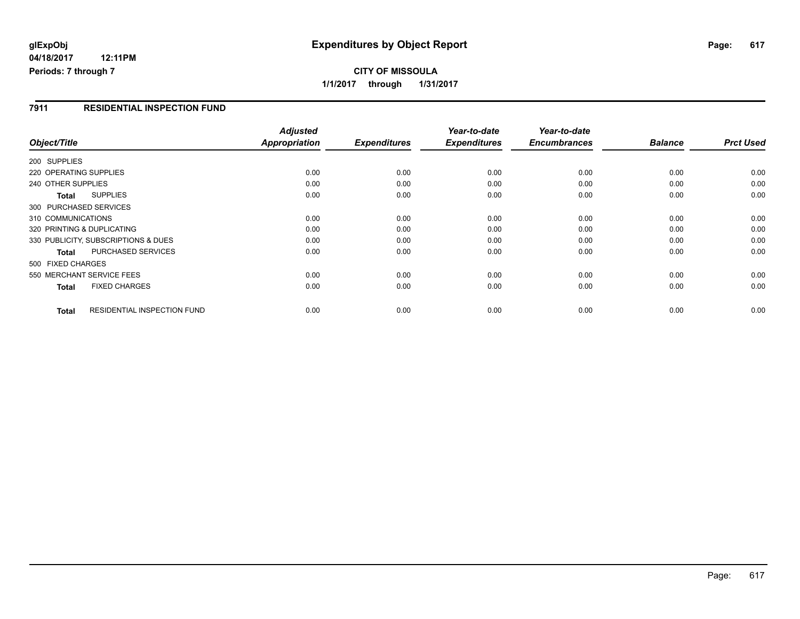# **glExpObj Expenditures by Object Report Page: 617**

**04/18/2017 12:11PM Periods: 7 through 7**

#### **7911 RESIDENTIAL INSPECTION FUND**

| Object/Title                                | <b>Adjusted</b><br>Appropriation | <b>Expenditures</b> | Year-to-date<br><b>Expenditures</b> | Year-to-date<br><b>Encumbrances</b> | <b>Balance</b> | <b>Prct Used</b> |
|---------------------------------------------|----------------------------------|---------------------|-------------------------------------|-------------------------------------|----------------|------------------|
| 200 SUPPLIES                                |                                  |                     |                                     |                                     |                |                  |
|                                             |                                  |                     |                                     |                                     |                |                  |
| 220 OPERATING SUPPLIES                      | 0.00                             | 0.00                | 0.00                                | 0.00                                | 0.00           | 0.00             |
| 240 OTHER SUPPLIES                          | 0.00                             | 0.00                | 0.00                                | 0.00                                | 0.00           | 0.00             |
| <b>SUPPLIES</b><br><b>Total</b>             | 0.00                             | 0.00                | 0.00                                | 0.00                                | 0.00           | 0.00             |
| 300 PURCHASED SERVICES                      |                                  |                     |                                     |                                     |                |                  |
| 310 COMMUNICATIONS                          | 0.00                             | 0.00                | 0.00                                | 0.00                                | 0.00           | 0.00             |
| 320 PRINTING & DUPLICATING                  | 0.00                             | 0.00                | 0.00                                | 0.00                                | 0.00           | 0.00             |
| 330 PUBLICITY, SUBSCRIPTIONS & DUES         | 0.00                             | 0.00                | 0.00                                | 0.00                                | 0.00           | 0.00             |
| PURCHASED SERVICES<br><b>Total</b>          | 0.00                             | 0.00                | 0.00                                | 0.00                                | 0.00           | 0.00             |
| 500 FIXED CHARGES                           |                                  |                     |                                     |                                     |                |                  |
| 550 MERCHANT SERVICE FEES                   | 0.00                             | 0.00                | 0.00                                | 0.00                                | 0.00           | 0.00             |
| <b>FIXED CHARGES</b><br><b>Total</b>        | 0.00                             | 0.00                | 0.00                                | 0.00                                | 0.00           | 0.00             |
| RESIDENTIAL INSPECTION FUND<br><b>Total</b> | 0.00                             | 0.00                | 0.00                                | 0.00                                | 0.00           | 0.00             |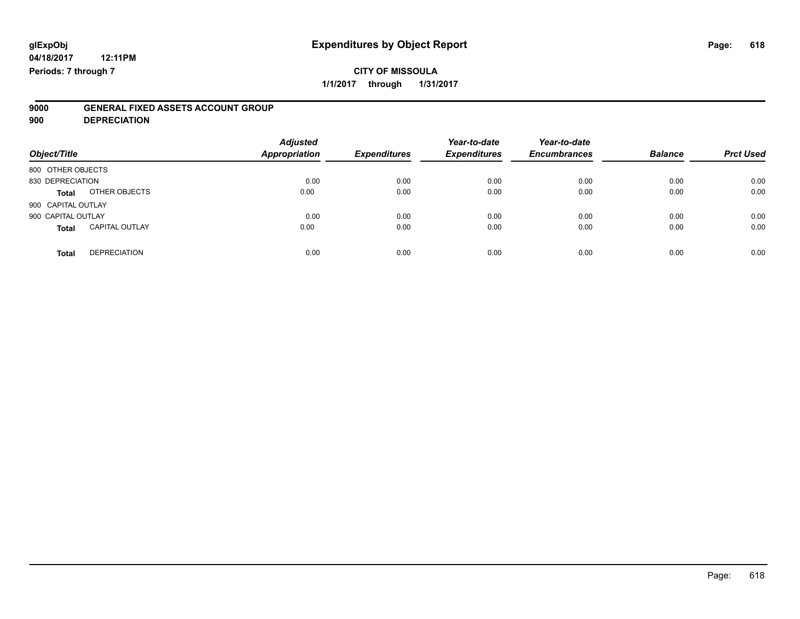**900 DEPRECIATION**

| Object/Title                          | <b>Adjusted</b><br><b>Appropriation</b> | <b>Expenditures</b> | Year-to-date<br><b>Expenditures</b> | Year-to-date<br><b>Encumbrances</b> | <b>Balance</b> | <b>Prct Used</b> |
|---------------------------------------|-----------------------------------------|---------------------|-------------------------------------|-------------------------------------|----------------|------------------|
| 800 OTHER OBJECTS                     |                                         |                     |                                     |                                     |                |                  |
| 830 DEPRECIATION                      | 0.00                                    | 0.00                | 0.00                                | 0.00                                | 0.00           | 0.00             |
| OTHER OBJECTS<br>Total                | 0.00                                    | 0.00                | 0.00                                | 0.00                                | 0.00           | 0.00             |
| 900 CAPITAL OUTLAY                    |                                         |                     |                                     |                                     |                |                  |
| 900 CAPITAL OUTLAY                    | 0.00                                    | 0.00                | 0.00                                | 0.00                                | 0.00           | 0.00             |
| <b>CAPITAL OUTLAY</b><br><b>Total</b> | 0.00                                    | 0.00                | 0.00                                | 0.00                                | 0.00           | 0.00             |
| <b>DEPRECIATION</b><br><b>Total</b>   | 0.00                                    | 0.00                | 0.00                                | 0.00                                | 0.00           | 0.00             |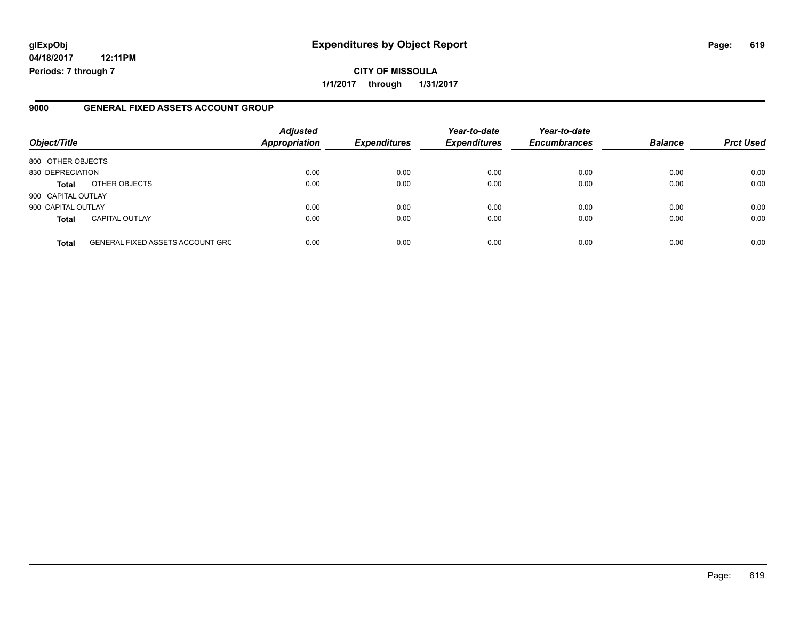# **glExpObj Expenditures by Object Report Page: 619**

**04/18/2017 12:11PM Periods: 7 through 7**

**CITY OF MISSOULA 1/1/2017 through 1/31/2017**

#### **9000 GENERAL FIXED ASSETS ACCOUNT GROUP**

| Object/Title       |                                         | <b>Adjusted</b><br>Appropriation | <b>Expenditures</b> | Year-to-date<br><b>Expenditures</b> | Year-to-date<br><b>Encumbrances</b> | <b>Balance</b> | <b>Prct Used</b> |
|--------------------|-----------------------------------------|----------------------------------|---------------------|-------------------------------------|-------------------------------------|----------------|------------------|
| 800 OTHER OBJECTS  |                                         |                                  |                     |                                     |                                     |                |                  |
| 830 DEPRECIATION   |                                         | 0.00                             | 0.00                | 0.00                                | 0.00                                | 0.00           | 0.00             |
| Total              | OTHER OBJECTS                           | 0.00                             | 0.00                | 0.00                                | 0.00                                | 0.00           | 0.00             |
| 900 CAPITAL OUTLAY |                                         |                                  |                     |                                     |                                     |                |                  |
| 900 CAPITAL OUTLAY |                                         | 0.00                             | 0.00                | 0.00                                | 0.00                                | 0.00           | 0.00             |
| <b>Total</b>       | <b>CAPITAL OUTLAY</b>                   | 0.00                             | 0.00                | 0.00                                | 0.00                                | 0.00           | 0.00             |
| <b>Total</b>       | <b>GENERAL FIXED ASSETS ACCOUNT GRC</b> | 0.00                             | 0.00                | 0.00                                | 0.00                                | 0.00           | 0.00             |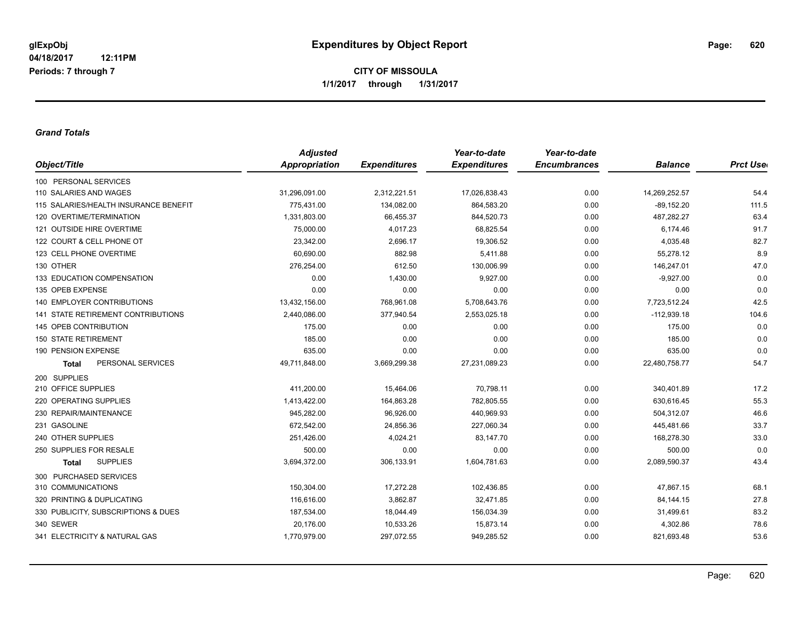#### *Grand Totals*

|                                           | <b>Adjusted</b>      |                     | Year-to-date        | Year-to-date        |                |                 |
|-------------------------------------------|----------------------|---------------------|---------------------|---------------------|----------------|-----------------|
| Object/Title                              | <b>Appropriation</b> | <b>Expenditures</b> | <b>Expenditures</b> | <b>Encumbrances</b> | <b>Balance</b> | <b>Prct Use</b> |
| 100 PERSONAL SERVICES                     |                      |                     |                     |                     |                |                 |
| 110 SALARIES AND WAGES                    | 31,296,091.00        | 2,312,221.51        | 17,026,838.43       | 0.00                | 14,269,252.57  | 54.4            |
| 115 SALARIES/HEALTH INSURANCE BENEFIT     | 775,431.00           | 134,082.00          | 864,583.20          | 0.00                | $-89,152.20$   | 111.5           |
| 120 OVERTIME/TERMINATION                  | 1,331,803.00         | 66,455.37           | 844,520.73          | 0.00                | 487,282.27     | 63.4            |
| 121 OUTSIDE HIRE OVERTIME                 | 75,000.00            | 4,017.23            | 68,825.54           | 0.00                | 6,174.46       | 91.7            |
| 122 COURT & CELL PHONE OT                 | 23,342.00            | 2,696.17            | 19,306.52           | 0.00                | 4,035.48       | 82.7            |
| 123 CELL PHONE OVERTIME                   | 60,690.00            | 882.98              | 5,411.88            | 0.00                | 55,278.12      | 8.9             |
| 130 OTHER                                 | 276,254.00           | 612.50              | 130,006.99          | 0.00                | 146,247.01     | 47.0            |
| 133 EDUCATION COMPENSATION                | 0.00                 | 1,430.00            | 9,927.00            | 0.00                | $-9,927.00$    | 0.0             |
| 135 OPEB EXPENSE                          | 0.00                 | 0.00                | 0.00                | 0.00                | 0.00           | 0.0             |
| <b>140 EMPLOYER CONTRIBUTIONS</b>         | 13,432,156.00        | 768,961.08          | 5,708,643.76        | 0.00                | 7,723,512.24   | 42.5            |
| <b>141 STATE RETIREMENT CONTRIBUTIONS</b> | 2,440,086.00         | 377,940.54          | 2,553,025.18        | 0.00                | $-112,939.18$  | 104.6           |
| 145 OPEB CONTRIBUTION                     | 175.00               | 0.00                | 0.00                | 0.00                | 175.00         | 0.0             |
| <b>150 STATE RETIREMENT</b>               | 185.00               | 0.00                | 0.00                | 0.00                | 185.00         | 0.0             |
| 190 PENSION EXPENSE                       | 635.00               | 0.00                | 0.00                | 0.00                | 635.00         | 0.0             |
| PERSONAL SERVICES<br><b>Total</b>         | 49,711,848.00        | 3,669,299.38        | 27,231,089.23       | 0.00                | 22,480,758.77  | 54.7            |
| 200 SUPPLIES                              |                      |                     |                     |                     |                |                 |
| 210 OFFICE SUPPLIES                       | 411,200.00           | 15,464.06           | 70,798.11           | 0.00                | 340,401.89     | 17.2            |
| 220 OPERATING SUPPLIES                    | 1,413,422.00         | 164,863.28          | 782,805.55          | 0.00                | 630,616.45     | 55.3            |
| 230 REPAIR/MAINTENANCE                    | 945,282.00           | 96,926.00           | 440,969.93          | 0.00                | 504,312.07     | 46.6            |
| 231 GASOLINE                              | 672,542.00           | 24,856.36           | 227,060.34          | 0.00                | 445,481.66     | 33.7            |
| 240 OTHER SUPPLIES                        | 251,426.00           | 4,024.21            | 83,147.70           | 0.00                | 168,278.30     | 33.0            |
| 250 SUPPLIES FOR RESALE                   | 500.00               | 0.00                | 0.00                | 0.00                | 500.00         | 0.0             |
| <b>SUPPLIES</b><br><b>Total</b>           | 3,694,372.00         | 306,133.91          | 1,604,781.63        | 0.00                | 2,089,590.37   | 43.4            |
| 300 PURCHASED SERVICES                    |                      |                     |                     |                     |                |                 |
| 310 COMMUNICATIONS                        | 150,304.00           | 17,272.28           | 102,436.85          | 0.00                | 47,867.15      | 68.1            |
| 320 PRINTING & DUPLICATING                | 116,616.00           | 3,862.87            | 32,471.85           | 0.00                | 84, 144. 15    | 27.8            |
| 330 PUBLICITY, SUBSCRIPTIONS & DUES       | 187,534.00           | 18,044.49           | 156,034.39          | 0.00                | 31,499.61      | 83.2            |
| 340 SEWER                                 | 20,176.00            | 10,533.26           | 15,873.14           | 0.00                | 4,302.86       | 78.6            |
| 341 ELECTRICITY & NATURAL GAS             | 1,770,979.00         | 297,072.55          | 949,285.52          | 0.00                | 821,693.48     | 53.6            |
|                                           |                      |                     |                     |                     |                |                 |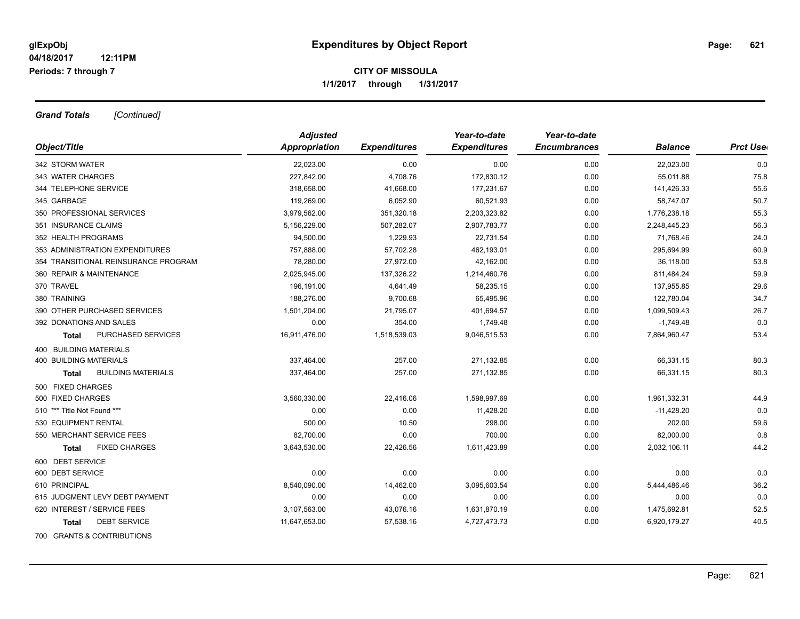*Grand Totals [Continued]*

|                                      | <b>Adjusted</b>      |                     | Year-to-date        | Year-to-date        |                |                  |
|--------------------------------------|----------------------|---------------------|---------------------|---------------------|----------------|------------------|
| Object/Title                         | <b>Appropriation</b> | <b>Expenditures</b> | <b>Expenditures</b> | <b>Encumbrances</b> | <b>Balance</b> | <b>Prct User</b> |
| 342 STORM WATER                      | 22,023.00            | 0.00                | 0.00                | 0.00                | 22,023.00      | 0.0              |
| 343 WATER CHARGES                    | 227,842.00           | 4,708.76            | 172,830.12          | 0.00                | 55,011.88      | 75.8             |
| 344 TELEPHONE SERVICE                | 318,658.00           | 41,668.00           | 177,231.67          | 0.00                | 141,426.33     | 55.6             |
| 345 GARBAGE                          | 119,269.00           | 6,052.90            | 60,521.93           | 0.00                | 58,747.07      | 50.7             |
| 350 PROFESSIONAL SERVICES            | 3,979,562.00         | 351,320.18          | 2,203,323.82        | 0.00                | 1,776,238.18   | 55.3             |
| 351 INSURANCE CLAIMS                 | 5,156,229.00         | 507,282.07          | 2,907,783.77        | 0.00                | 2,248,445.23   | 56.3             |
| 352 HEALTH PROGRAMS                  | 94.500.00            | 1,229.93            | 22.731.54           | 0.00                | 71,768.46      | 24.0             |
| 353 ADMINISTRATION EXPENDITURES      | 757,888.00           | 57,702.28           | 462,193.01          | 0.00                | 295,694.99     | 60.9             |
| 354 TRANSITIONAL REINSURANCE PROGRAM | 78,280.00            | 27,972.00           | 42,162.00           | 0.00                | 36,118.00      | 53.8             |
| 360 REPAIR & MAINTENANCE             | 2,025,945.00         | 137,326.22          | 1,214,460.76        | 0.00                | 811,484.24     | 59.9             |
| 370 TRAVEL                           | 196,191.00           | 4,641.49            | 58,235.15           | 0.00                | 137,955.85     | 29.6             |
| 380 TRAINING                         | 188,276.00           | 9,700.68            | 65,495.96           | 0.00                | 122,780.04     | 34.7             |
| 390 OTHER PURCHASED SERVICES         | 1,501,204.00         | 21,795.07           | 401,694.57          | 0.00                | 1,099,509.43   | 26.7             |
| 392 DONATIONS AND SALES              | 0.00                 | 354.00              | 1,749.48            | 0.00                | $-1,749.48$    | 0.0              |
| PURCHASED SERVICES<br><b>Total</b>   | 16,911,476.00        | 1,518,539.03        | 9,046,515.53        | 0.00                | 7,864,960.47   | 53.4             |
| 400 BUILDING MATERIALS               |                      |                     |                     |                     |                |                  |
| <b>400 BUILDING MATERIALS</b>        | 337,464.00           | 257.00              | 271,132.85          | 0.00                | 66,331.15      | 80.3             |
| <b>BUILDING MATERIALS</b><br>Total   | 337,464.00           | 257.00              | 271,132.85          | 0.00                | 66,331.15      | 80.3             |
| 500 FIXED CHARGES                    |                      |                     |                     |                     |                |                  |
| 500 FIXED CHARGES                    | 3,560,330.00         | 22,416.06           | 1,598,997.69        | 0.00                | 1,961,332.31   | 44.9             |
| 510 *** Title Not Found ***          | 0.00                 | 0.00                | 11,428.20           | 0.00                | $-11,428.20$   | 0.0              |
| 530 EQUIPMENT RENTAL                 | 500.00               | 10.50               | 298.00              | 0.00                | 202.00         | 59.6             |
| 550 MERCHANT SERVICE FEES            | 82,700.00            | 0.00                | 700.00              | 0.00                | 82,000.00      | 0.8              |
| <b>FIXED CHARGES</b><br>Total        | 3,643,530.00         | 22,426.56           | 1,611,423.89        | 0.00                | 2,032,106.11   | 44.2             |
| 600 DEBT SERVICE                     |                      |                     |                     |                     |                |                  |
| 600 DEBT SERVICE                     | 0.00                 | 0.00                | 0.00                | 0.00                | 0.00           | 0.0              |
| 610 PRINCIPAL                        | 8,540,090.00         | 14,462.00           | 3,095,603.54        | 0.00                | 5,444,486.46   | 36.2             |
| 615 JUDGMENT LEVY DEBT PAYMENT       | 0.00                 | 0.00                | 0.00                | 0.00                | 0.00           | 0.0              |
| 620 INTEREST / SERVICE FEES          | 3,107,563.00         | 43,076.16           | 1,631,870.19        | 0.00                | 1,475,692.81   | 52.5             |
| <b>DEBT SERVICE</b><br>Total         | 11,647,653.00        | 57,538.16           | 4,727,473.73        | 0.00                | 6,920,179.27   | 40.5             |
| 700 GRANTS & CONTRIBUTIONS           |                      |                     |                     |                     |                |                  |